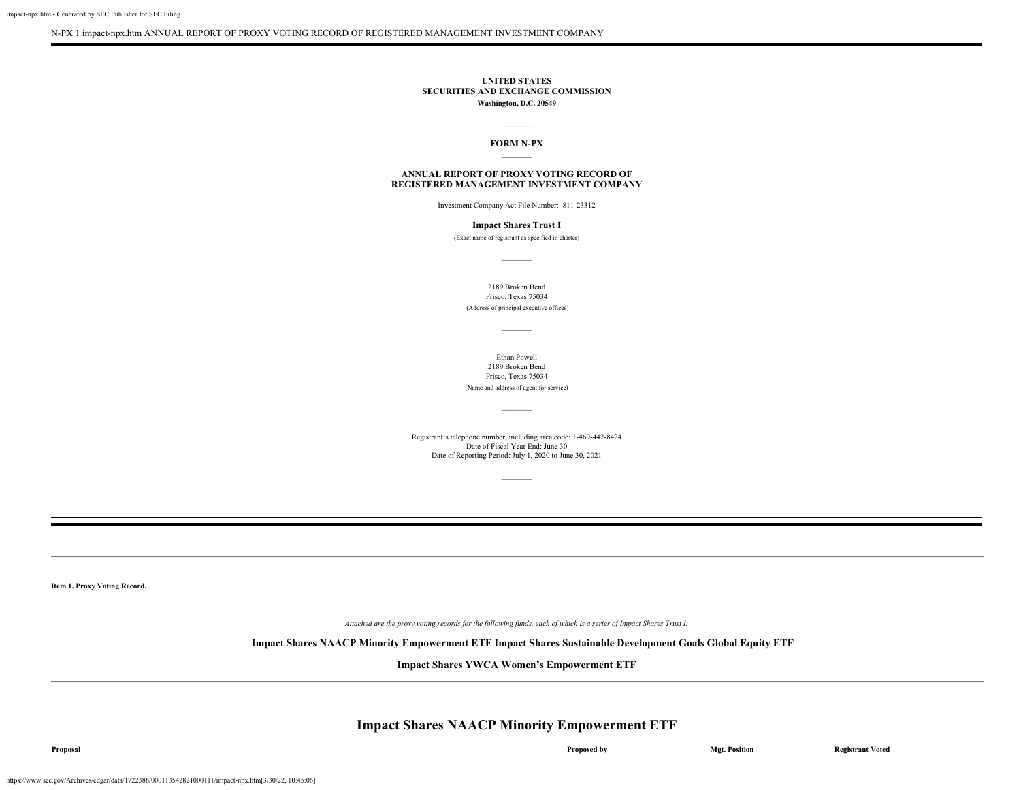N-PX 1 impact-npx.htm ANNUAL REPORT OF PROXY VOTING RECORD OF REGISTERED MANAGEMENT INVESTMENT COMPANY

#### **UNITED STATES SECURITIES AND EXCHANGE COMMISSION Washington, D.C. 20549**

### $\mathcal{L}$ **FORM N-PX \_\_\_\_\_\_\_\_**

#### **ANNUAL REPORT OF PROXY VOTING RECORD OF REGISTERED MANAGEMENT INVESTMENT COMPANY**

Investment Company Act File Number: 811-23312

#### **Impact Shares Trust I**

(Exact name of registrant as specified in charter)  $\mathcal{L}$ 

2189 Broken Bend Frisco, Texas 75034 (Address of principal executive offices)

Ethan Powell 2189 Broken Bend Frisco, Texas 75034 (Name and address of agent for service)

Registrant's telephone number, including area code: 1-469-442-8424 Date of Fiscal Year End: June 30 Date of Reporting Period: July 1, 2020 to June 30, 2021

 $\mathcal{L}$ 

 $\mathcal{L}$ 

**Item 1. Proxy Voting Record.**

*Attached are the proxy voting records for the following funds, each of which is a series of Impact Shares Trust I:*

#### **Impact Shares NAACP Minority Empowerment ETF Impact Shares Sustainable Development Goals Global Equity ETF**

**Impact Shares YWCA Women's Empowerment ETF**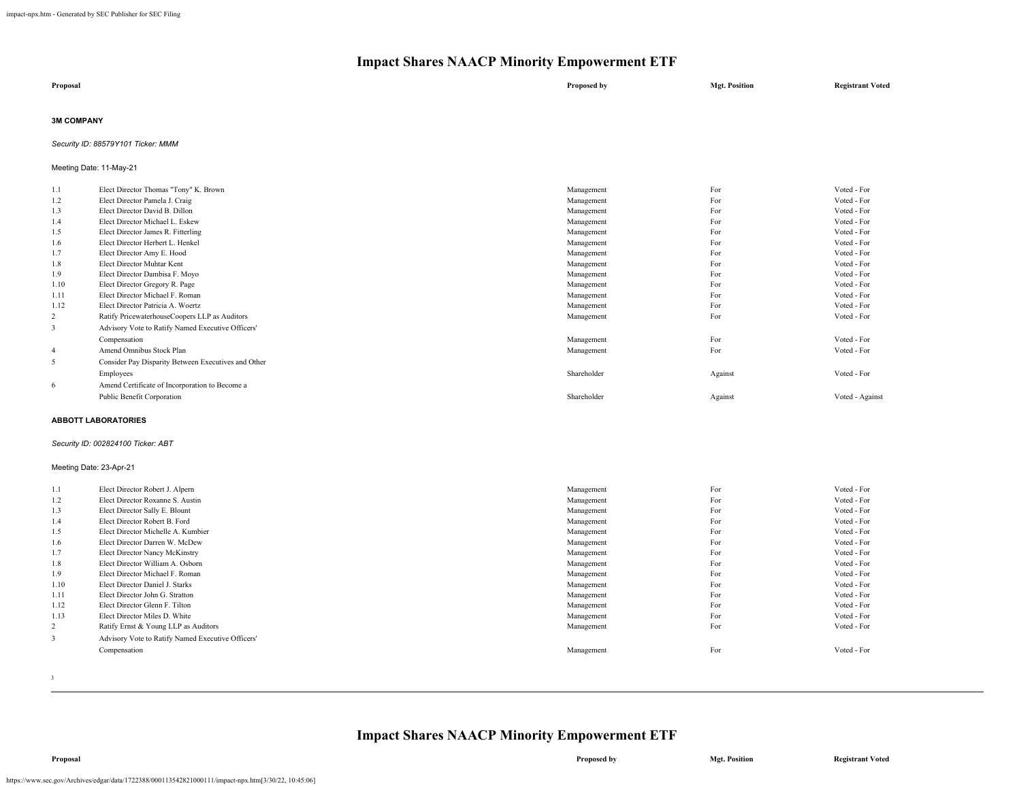| Proposal | Proposed by | <b>Mgt. Position</b> | <b>Registrant Voted</b> |
|----------|-------------|----------------------|-------------------------|
|          |             |                      |                         |

#### **3M COMPANY**

*Security ID: 88579Y101 Ticker: MMM*

#### Meeting Date: 11-May-21

| 1.1  | Elect Director Thomas "Tony" K. Brown               | Management  | For     | Voted - For     |
|------|-----------------------------------------------------|-------------|---------|-----------------|
| 1.2  | Elect Director Pamela J. Craig                      | Management  | For     | Voted - For     |
| 1.3  | Elect Director David B. Dillon                      | Management  | For     | Voted - For     |
| 1.4  | Elect Director Michael L. Eskew                     | Management  | For     | Voted - For     |
| 1.5  | Elect Director James R. Fitterling                  | Management  | For     | Voted - For     |
| 1.6  | Elect Director Herbert L. Henkel                    | Management  | For     | Voted - For     |
| 1.7  | Elect Director Amy E. Hood                          | Management  | For     | Voted - For     |
| 1.8  | Elect Director Muhtar Kent                          | Management  | For     | Voted - For     |
| 1.9  | Elect Director Dambisa F. Moyo                      | Management  | For     | Voted - For     |
| 1.10 | Elect Director Gregory R. Page                      | Management  | For     | Voted - For     |
| 1.11 | Elect Director Michael F. Roman                     | Management  | For     | Voted - For     |
| 1.12 | Elect Director Patricia A. Woertz                   | Management  | For     | Voted - For     |
| 2    | Ratify PricewaterhouseCoopers LLP as Auditors       | Management  | For     | Voted - For     |
| 3    | Advisory Vote to Ratify Named Executive Officers'   |             |         |                 |
|      | Compensation                                        | Management  | For     | Voted - For     |
| 4    | Amend Omnibus Stock Plan                            | Management  | For     | Voted - For     |
| 5    | Consider Pay Disparity Between Executives and Other |             |         |                 |
|      | Employees                                           | Shareholder | Against | Voted - For     |
| 6    | Amend Certificate of Incorporation to Become a      |             |         |                 |
|      | Public Benefit Corporation                          | Shareholder | Against | Voted - Against |
|      |                                                     |             |         |                 |

#### **ABBOTT LABORATORIES**

#### *Security ID: 002824100 Ticker: ABT*

#### Meeting Date: 23-Apr-21

| 1.1  | Elect Director Robert J. Alpern                   | Management | For | Voted - For |
|------|---------------------------------------------------|------------|-----|-------------|
| 1.2  | Elect Director Roxanne S. Austin                  | Management | For | Voted - For |
| 1.3  | Elect Director Sally E. Blount                    | Management | For | Voted - For |
| 1.4  | Elect Director Robert B. Ford                     | Management | For | Voted - For |
| 1.5  | Elect Director Michelle A. Kumbier                | Management | For | Voted - For |
| 1.6  | Elect Director Darren W. McDew                    | Management | For | Voted - For |
| 1.7  | Elect Director Nancy McKinstry                    | Management | For | Voted - For |
| 1.8  | Elect Director William A. Osborn                  | Management | For | Voted - For |
| 1.9  | Elect Director Michael F. Roman                   | Management | For | Voted - For |
| 1.10 | Elect Director Daniel J. Starks                   | Management | For | Voted - For |
| 1.11 | Elect Director John G. Stratton                   | Management | For | Voted - For |
| 1.12 | Elect Director Glenn F. Tilton                    | Management | For | Voted - For |
| 1.13 | Elect Director Miles D. White                     | Management | For | Voted - For |
| 2    | Ratify Ernst & Young LLP as Auditors              | Management | For | Voted - For |
|      | Advisory Vote to Ratify Named Executive Officers' |            |     |             |
|      | Compensation                                      | Management | For | Voted - For |
|      |                                                   |            |     |             |
|      |                                                   |            |     |             |

3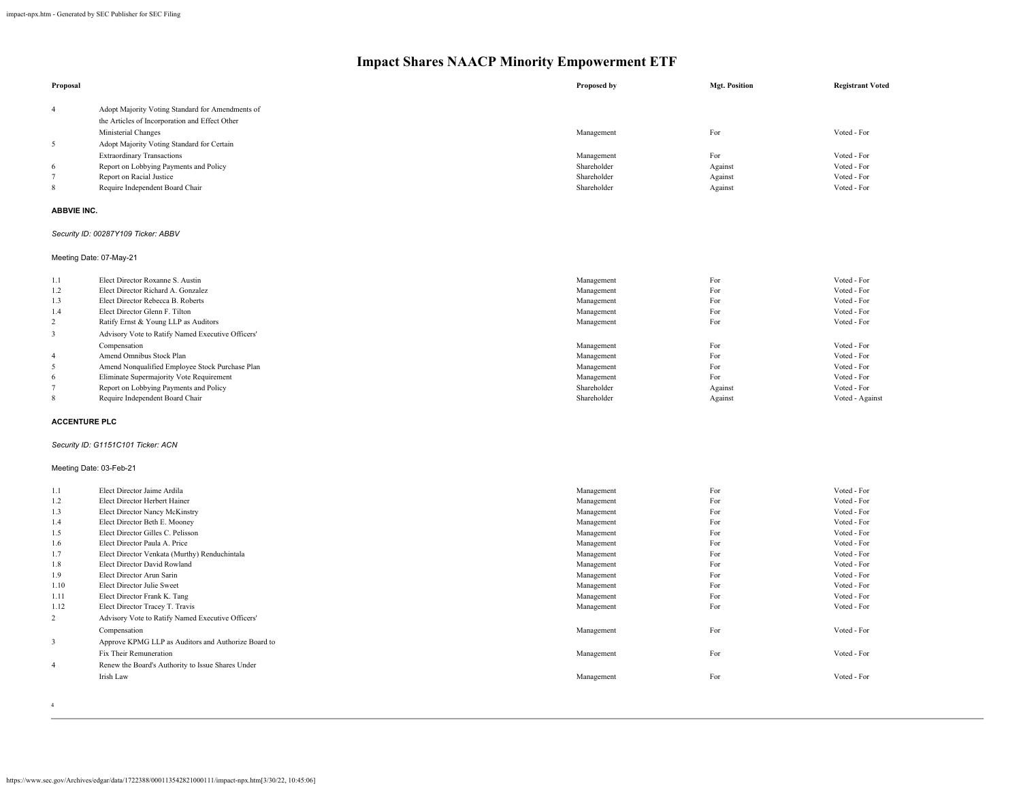| Proposal             |                                                                             | Proposed by               | <b>Mgt. Position</b> | <b>Registrant Voted</b>    |
|----------------------|-----------------------------------------------------------------------------|---------------------------|----------------------|----------------------------|
| $\overline{4}$       | Adopt Majority Voting Standard for Amendments of                            |                           |                      |                            |
|                      | the Articles of Incorporation and Effect Other                              |                           |                      |                            |
|                      | Ministerial Changes                                                         | Management                | For                  | Voted - For                |
| $\sqrt{5}$           | Adopt Majority Voting Standard for Certain                                  |                           |                      |                            |
|                      |                                                                             |                           | For                  | Voted - For                |
| 6                    | <b>Extraordinary Transactions</b><br>Report on Lobbying Payments and Policy | Management<br>Shareholder | Against              | Voted - For                |
| $\overline{7}$       | Report on Racial Justice                                                    | Shareholder               | Against              | Voted - For                |
| 8                    | Require Independent Board Chair                                             | Shareholder               | Against              | Voted - For                |
|                      |                                                                             |                           |                      |                            |
| <b>ABBVIE INC.</b>   |                                                                             |                           |                      |                            |
|                      | Security ID: 00287Y109 Ticker: ABBV                                         |                           |                      |                            |
|                      | Meeting Date: 07-May-21                                                     |                           |                      |                            |
| 1.1                  | Elect Director Roxanne S. Austin                                            | Management                | For                  | Voted - For                |
| 1.2                  | Elect Director Richard A. Gonzalez                                          | Management                | For                  | Voted - For                |
| 1.3                  | Elect Director Rebecca B. Roberts                                           | Management                | For                  | Voted - For                |
| 1.4                  | Elect Director Glenn F. Tilton                                              | Management                | For                  | Voted - For                |
| $\overline{c}$       | Ratify Ernst & Young LLP as Auditors                                        | Management                | For                  | Voted - For                |
| $\mathbf{3}$         | Advisory Vote to Ratify Named Executive Officers'                           |                           |                      |                            |
|                      | Compensation                                                                | Management                | For                  | Voted - For                |
| $\overline{4}$       | Amend Omnibus Stock Plan                                                    | Management                | For                  | Voted - For                |
| $\sqrt{5}$           | Amend Nonqualified Employee Stock Purchase Plan                             | Management                | For                  | Voted - For                |
| 6                    | Eliminate Supermajority Vote Requirement                                    | Management                | For                  | Voted - For                |
| $\tau$               | Report on Lobbying Payments and Policy                                      | Shareholder               | Against              | Voted - For                |
| 8                    | Require Independent Board Chair                                             | Shareholder               | Against              | Voted - Against            |
| <b>ACCENTURE PLC</b> |                                                                             |                           |                      |                            |
|                      | Security ID: G1151C101 Ticker: ACN                                          |                           |                      |                            |
|                      | Meeting Date: 03-Feb-21                                                     |                           |                      |                            |
| 1.1                  | Elect Director Jaime Ardila                                                 | Management                | For                  | Voted - For                |
| 1.2                  | Elect Director Herbert Hainer                                               | Management                | For                  | Voted - For                |
| 1.3                  | Elect Director Nancy McKinstry                                              | Management                | For                  | Voted - For                |
| 1.4                  | Elect Director Beth E. Mooney                                               | Management                | For                  | Voted - For                |
| 1.5                  | Elect Director Gilles C. Pelisson                                           | Management                | For                  | Voted - For                |
| 1.6                  | Elect Director Paula A. Price                                               | Management                | For                  | Voted - For                |
| 1.7                  | Elect Director Venkata (Murthy) Renduchintala                               | Management                | For                  | Voted - For                |
| 1.8                  | Elect Director David Rowland                                                | Management                | For                  | Voted - For                |
| 1.9                  | Elect Director Arun Sarin                                                   | Management                | For                  | Voted - For                |
| 1.10                 | Elect Director Julie Sweet                                                  | Management                | For<br>For           | Voted - For<br>Voted - For |
| 1.11                 | Elect Director Frank K. Tang                                                | Management                |                      |                            |
| 1.12                 | Elect Director Tracey T. Travis                                             | Management                | For                  | Voted - For                |
| $\overline{2}$       | Advisory Vote to Ratify Named Executive Officers'                           |                           |                      |                            |
|                      | Compensation                                                                | Management                | For                  | Voted - For                |
| $\mathbf{3}$         | Approve KPMG LLP as Auditors and Authorize Board to                         |                           |                      |                            |
|                      | Fix Their Remuneration                                                      | Management                | For                  | Voted - For                |
| $\overline{4}$       | Renew the Board's Authority to Issue Shares Under                           |                           |                      |                            |
|                      | Irish Law                                                                   | Management                | For                  | Voted - For                |
|                      |                                                                             |                           |                      |                            |

4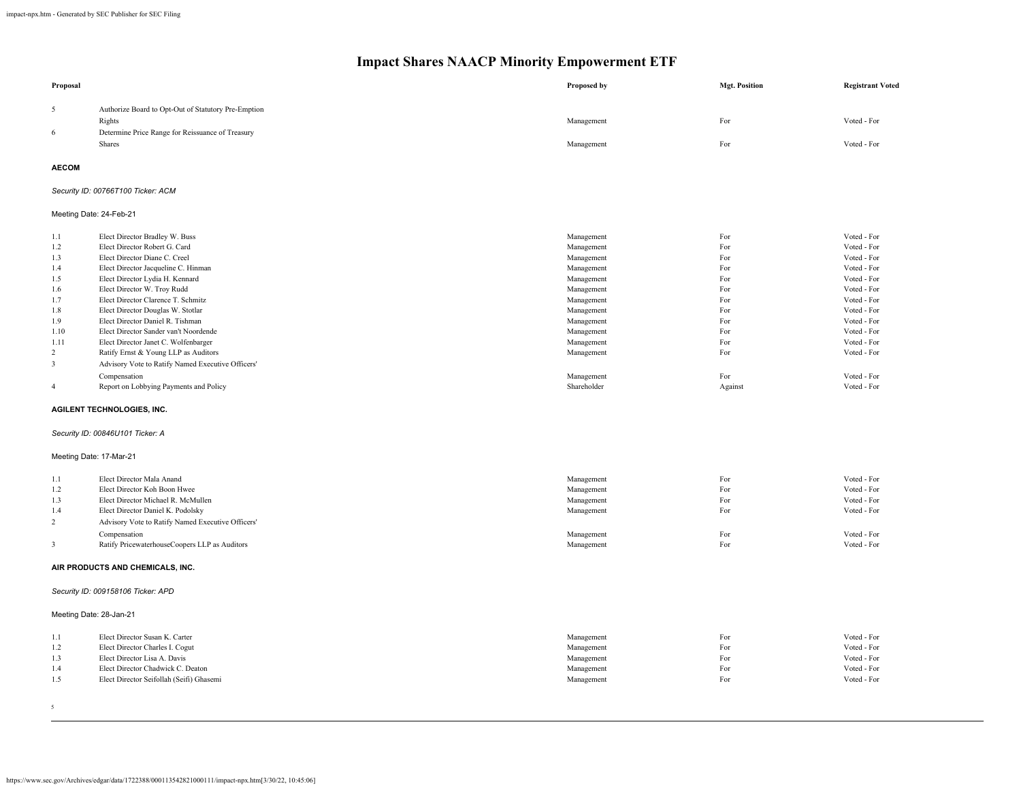| 5<br>Authorize Board to Opt-Out of Statutory Pre-Emption<br>For<br>Voted - For<br>Rights<br>Management<br>Determine Price Range for Reissuance of Treasury<br>6<br>Shares<br>Management<br>For<br>Voted - For<br><b>AECOM</b><br>Security ID: 00766T100 Ticker: ACM<br>Meeting Date: 24-Feb-21<br>Elect Director Bradley W. Buss<br>For<br>Voted - For<br>Management<br>1.1<br>For<br>1.2<br>Elect Director Robert G. Card<br>Voted - For<br>Management<br>1.3<br>Elect Director Diane C. Creel<br>For<br>Voted - For<br>Management<br>For<br>Voted - For<br>1.4<br>Elect Director Jacqueline C. Hinman<br>Management<br>1.5<br>Elect Director Lydia H. Kennard<br>For<br>Voted - For<br>Management<br>Elect Director W. Troy Rudd<br>Management<br>For<br>Voted - For<br>1.6<br>1.7<br>Elect Director Clarence T. Schmitz<br>For<br>Voted - For<br>Management<br>For<br>Voted - For<br>1.8<br>Elect Director Douglas W. Stotlar<br>Management<br>For<br>Voted - For<br>1.9<br>Elect Director Daniel R. Tishman<br>Management<br>Elect Director Sander van't Noordende<br>For<br>Voted - For<br>1.10<br>Management<br>Elect Director Janet C. Wolfenbarger<br>For<br>Voted - For<br>1.11<br>Management<br>$\overline{c}$<br>Ratify Ernst & Young LLP as Auditors<br>For<br>Voted - For<br>Management<br>$\overline{\mathbf{3}}$<br>Advisory Vote to Ratify Named Executive Officers'<br>Compensation<br>For<br>Voted - For<br>Management<br>Shareholder<br>$\overline{4}$<br>Report on Lobbying Payments and Policy<br>Against<br>Voted - For<br>AGILENT TECHNOLOGIES, INC.<br>Security ID: 00846U101 Ticker: A<br>Meeting Date: 17-Mar-21<br>Elect Director Mala Anand<br>For<br>Voted - For<br>1.1<br>Management<br>Elect Director Koh Boon Hwee<br>For<br>Voted - For<br>1.2<br>Management<br>1.3<br>Elect Director Michael R. McMullen<br>For<br>Voted - For<br>Management<br>For<br>Voted - For<br>1.4<br>Elect Director Daniel K. Podolsky<br>Management<br>$\overline{2}$<br>Advisory Vote to Ratify Named Executive Officers'<br>For<br>Voted - For<br>Compensation<br>Management<br>3<br>Ratify PricewaterhouseCoopers LLP as Auditors<br>Management<br>For<br>Voted - For<br>AIR PRODUCTS AND CHEMICALS, INC.<br>Security ID: 009158106 Ticker: APD<br>Meeting Date: 28-Jan-21<br>For<br>Voted - For<br>1.1<br>Elect Director Susan K. Carter<br>Management<br>1.2<br>Elect Director Charles I. Cogut<br>Management<br>For<br>Voted - For<br>1.3<br>Elect Director Lisa A. Davis<br>For<br>Voted - For<br>Management<br>1.4<br>Elect Director Chadwick C. Deaton<br>For<br>Voted - For<br>Management<br>1.5<br>Elect Director Seifollah (Seifi) Ghasemi<br>For<br>Voted - For<br>Management | Proposal | Proposed by | <b>Mgt. Position</b> | <b>Registrant Voted</b> |
|-------------------------------------------------------------------------------------------------------------------------------------------------------------------------------------------------------------------------------------------------------------------------------------------------------------------------------------------------------------------------------------------------------------------------------------------------------------------------------------------------------------------------------------------------------------------------------------------------------------------------------------------------------------------------------------------------------------------------------------------------------------------------------------------------------------------------------------------------------------------------------------------------------------------------------------------------------------------------------------------------------------------------------------------------------------------------------------------------------------------------------------------------------------------------------------------------------------------------------------------------------------------------------------------------------------------------------------------------------------------------------------------------------------------------------------------------------------------------------------------------------------------------------------------------------------------------------------------------------------------------------------------------------------------------------------------------------------------------------------------------------------------------------------------------------------------------------------------------------------------------------------------------------------------------------------------------------------------------------------------------------------------------------------------------------------------------------------------------------------------------------------------------------------------------------------------------------------------------------------------------------------------------------------------------------------------------------------------------------------------------------------------------------------------------------------------------------------------------------------------------------------------------------------------------------------------------------------------------------------------------------------------------------------------------------------------------------|----------|-------------|----------------------|-------------------------|
|                                                                                                                                                                                                                                                                                                                                                                                                                                                                                                                                                                                                                                                                                                                                                                                                                                                                                                                                                                                                                                                                                                                                                                                                                                                                                                                                                                                                                                                                                                                                                                                                                                                                                                                                                                                                                                                                                                                                                                                                                                                                                                                                                                                                                                                                                                                                                                                                                                                                                                                                                                                                                                                                                                       |          |             |                      |                         |
|                                                                                                                                                                                                                                                                                                                                                                                                                                                                                                                                                                                                                                                                                                                                                                                                                                                                                                                                                                                                                                                                                                                                                                                                                                                                                                                                                                                                                                                                                                                                                                                                                                                                                                                                                                                                                                                                                                                                                                                                                                                                                                                                                                                                                                                                                                                                                                                                                                                                                                                                                                                                                                                                                                       |          |             |                      |                         |
|                                                                                                                                                                                                                                                                                                                                                                                                                                                                                                                                                                                                                                                                                                                                                                                                                                                                                                                                                                                                                                                                                                                                                                                                                                                                                                                                                                                                                                                                                                                                                                                                                                                                                                                                                                                                                                                                                                                                                                                                                                                                                                                                                                                                                                                                                                                                                                                                                                                                                                                                                                                                                                                                                                       |          |             |                      |                         |
|                                                                                                                                                                                                                                                                                                                                                                                                                                                                                                                                                                                                                                                                                                                                                                                                                                                                                                                                                                                                                                                                                                                                                                                                                                                                                                                                                                                                                                                                                                                                                                                                                                                                                                                                                                                                                                                                                                                                                                                                                                                                                                                                                                                                                                                                                                                                                                                                                                                                                                                                                                                                                                                                                                       |          |             |                      |                         |
|                                                                                                                                                                                                                                                                                                                                                                                                                                                                                                                                                                                                                                                                                                                                                                                                                                                                                                                                                                                                                                                                                                                                                                                                                                                                                                                                                                                                                                                                                                                                                                                                                                                                                                                                                                                                                                                                                                                                                                                                                                                                                                                                                                                                                                                                                                                                                                                                                                                                                                                                                                                                                                                                                                       |          |             |                      |                         |
|                                                                                                                                                                                                                                                                                                                                                                                                                                                                                                                                                                                                                                                                                                                                                                                                                                                                                                                                                                                                                                                                                                                                                                                                                                                                                                                                                                                                                                                                                                                                                                                                                                                                                                                                                                                                                                                                                                                                                                                                                                                                                                                                                                                                                                                                                                                                                                                                                                                                                                                                                                                                                                                                                                       |          |             |                      |                         |
|                                                                                                                                                                                                                                                                                                                                                                                                                                                                                                                                                                                                                                                                                                                                                                                                                                                                                                                                                                                                                                                                                                                                                                                                                                                                                                                                                                                                                                                                                                                                                                                                                                                                                                                                                                                                                                                                                                                                                                                                                                                                                                                                                                                                                                                                                                                                                                                                                                                                                                                                                                                                                                                                                                       |          |             |                      |                         |
|                                                                                                                                                                                                                                                                                                                                                                                                                                                                                                                                                                                                                                                                                                                                                                                                                                                                                                                                                                                                                                                                                                                                                                                                                                                                                                                                                                                                                                                                                                                                                                                                                                                                                                                                                                                                                                                                                                                                                                                                                                                                                                                                                                                                                                                                                                                                                                                                                                                                                                                                                                                                                                                                                                       |          |             |                      |                         |
|                                                                                                                                                                                                                                                                                                                                                                                                                                                                                                                                                                                                                                                                                                                                                                                                                                                                                                                                                                                                                                                                                                                                                                                                                                                                                                                                                                                                                                                                                                                                                                                                                                                                                                                                                                                                                                                                                                                                                                                                                                                                                                                                                                                                                                                                                                                                                                                                                                                                                                                                                                                                                                                                                                       |          |             |                      |                         |
|                                                                                                                                                                                                                                                                                                                                                                                                                                                                                                                                                                                                                                                                                                                                                                                                                                                                                                                                                                                                                                                                                                                                                                                                                                                                                                                                                                                                                                                                                                                                                                                                                                                                                                                                                                                                                                                                                                                                                                                                                                                                                                                                                                                                                                                                                                                                                                                                                                                                                                                                                                                                                                                                                                       |          |             |                      |                         |
|                                                                                                                                                                                                                                                                                                                                                                                                                                                                                                                                                                                                                                                                                                                                                                                                                                                                                                                                                                                                                                                                                                                                                                                                                                                                                                                                                                                                                                                                                                                                                                                                                                                                                                                                                                                                                                                                                                                                                                                                                                                                                                                                                                                                                                                                                                                                                                                                                                                                                                                                                                                                                                                                                                       |          |             |                      |                         |
|                                                                                                                                                                                                                                                                                                                                                                                                                                                                                                                                                                                                                                                                                                                                                                                                                                                                                                                                                                                                                                                                                                                                                                                                                                                                                                                                                                                                                                                                                                                                                                                                                                                                                                                                                                                                                                                                                                                                                                                                                                                                                                                                                                                                                                                                                                                                                                                                                                                                                                                                                                                                                                                                                                       |          |             |                      |                         |
|                                                                                                                                                                                                                                                                                                                                                                                                                                                                                                                                                                                                                                                                                                                                                                                                                                                                                                                                                                                                                                                                                                                                                                                                                                                                                                                                                                                                                                                                                                                                                                                                                                                                                                                                                                                                                                                                                                                                                                                                                                                                                                                                                                                                                                                                                                                                                                                                                                                                                                                                                                                                                                                                                                       |          |             |                      |                         |
|                                                                                                                                                                                                                                                                                                                                                                                                                                                                                                                                                                                                                                                                                                                                                                                                                                                                                                                                                                                                                                                                                                                                                                                                                                                                                                                                                                                                                                                                                                                                                                                                                                                                                                                                                                                                                                                                                                                                                                                                                                                                                                                                                                                                                                                                                                                                                                                                                                                                                                                                                                                                                                                                                                       |          |             |                      |                         |
|                                                                                                                                                                                                                                                                                                                                                                                                                                                                                                                                                                                                                                                                                                                                                                                                                                                                                                                                                                                                                                                                                                                                                                                                                                                                                                                                                                                                                                                                                                                                                                                                                                                                                                                                                                                                                                                                                                                                                                                                                                                                                                                                                                                                                                                                                                                                                                                                                                                                                                                                                                                                                                                                                                       |          |             |                      |                         |
|                                                                                                                                                                                                                                                                                                                                                                                                                                                                                                                                                                                                                                                                                                                                                                                                                                                                                                                                                                                                                                                                                                                                                                                                                                                                                                                                                                                                                                                                                                                                                                                                                                                                                                                                                                                                                                                                                                                                                                                                                                                                                                                                                                                                                                                                                                                                                                                                                                                                                                                                                                                                                                                                                                       |          |             |                      |                         |
|                                                                                                                                                                                                                                                                                                                                                                                                                                                                                                                                                                                                                                                                                                                                                                                                                                                                                                                                                                                                                                                                                                                                                                                                                                                                                                                                                                                                                                                                                                                                                                                                                                                                                                                                                                                                                                                                                                                                                                                                                                                                                                                                                                                                                                                                                                                                                                                                                                                                                                                                                                                                                                                                                                       |          |             |                      |                         |
|                                                                                                                                                                                                                                                                                                                                                                                                                                                                                                                                                                                                                                                                                                                                                                                                                                                                                                                                                                                                                                                                                                                                                                                                                                                                                                                                                                                                                                                                                                                                                                                                                                                                                                                                                                                                                                                                                                                                                                                                                                                                                                                                                                                                                                                                                                                                                                                                                                                                                                                                                                                                                                                                                                       |          |             |                      |                         |
|                                                                                                                                                                                                                                                                                                                                                                                                                                                                                                                                                                                                                                                                                                                                                                                                                                                                                                                                                                                                                                                                                                                                                                                                                                                                                                                                                                                                                                                                                                                                                                                                                                                                                                                                                                                                                                                                                                                                                                                                                                                                                                                                                                                                                                                                                                                                                                                                                                                                                                                                                                                                                                                                                                       |          |             |                      |                         |
|                                                                                                                                                                                                                                                                                                                                                                                                                                                                                                                                                                                                                                                                                                                                                                                                                                                                                                                                                                                                                                                                                                                                                                                                                                                                                                                                                                                                                                                                                                                                                                                                                                                                                                                                                                                                                                                                                                                                                                                                                                                                                                                                                                                                                                                                                                                                                                                                                                                                                                                                                                                                                                                                                                       |          |             |                      |                         |
|                                                                                                                                                                                                                                                                                                                                                                                                                                                                                                                                                                                                                                                                                                                                                                                                                                                                                                                                                                                                                                                                                                                                                                                                                                                                                                                                                                                                                                                                                                                                                                                                                                                                                                                                                                                                                                                                                                                                                                                                                                                                                                                                                                                                                                                                                                                                                                                                                                                                                                                                                                                                                                                                                                       |          |             |                      |                         |
|                                                                                                                                                                                                                                                                                                                                                                                                                                                                                                                                                                                                                                                                                                                                                                                                                                                                                                                                                                                                                                                                                                                                                                                                                                                                                                                                                                                                                                                                                                                                                                                                                                                                                                                                                                                                                                                                                                                                                                                                                                                                                                                                                                                                                                                                                                                                                                                                                                                                                                                                                                                                                                                                                                       |          |             |                      |                         |
|                                                                                                                                                                                                                                                                                                                                                                                                                                                                                                                                                                                                                                                                                                                                                                                                                                                                                                                                                                                                                                                                                                                                                                                                                                                                                                                                                                                                                                                                                                                                                                                                                                                                                                                                                                                                                                                                                                                                                                                                                                                                                                                                                                                                                                                                                                                                                                                                                                                                                                                                                                                                                                                                                                       |          |             |                      |                         |
|                                                                                                                                                                                                                                                                                                                                                                                                                                                                                                                                                                                                                                                                                                                                                                                                                                                                                                                                                                                                                                                                                                                                                                                                                                                                                                                                                                                                                                                                                                                                                                                                                                                                                                                                                                                                                                                                                                                                                                                                                                                                                                                                                                                                                                                                                                                                                                                                                                                                                                                                                                                                                                                                                                       |          |             |                      |                         |
|                                                                                                                                                                                                                                                                                                                                                                                                                                                                                                                                                                                                                                                                                                                                                                                                                                                                                                                                                                                                                                                                                                                                                                                                                                                                                                                                                                                                                                                                                                                                                                                                                                                                                                                                                                                                                                                                                                                                                                                                                                                                                                                                                                                                                                                                                                                                                                                                                                                                                                                                                                                                                                                                                                       |          |             |                      |                         |
|                                                                                                                                                                                                                                                                                                                                                                                                                                                                                                                                                                                                                                                                                                                                                                                                                                                                                                                                                                                                                                                                                                                                                                                                                                                                                                                                                                                                                                                                                                                                                                                                                                                                                                                                                                                                                                                                                                                                                                                                                                                                                                                                                                                                                                                                                                                                                                                                                                                                                                                                                                                                                                                                                                       |          |             |                      |                         |
|                                                                                                                                                                                                                                                                                                                                                                                                                                                                                                                                                                                                                                                                                                                                                                                                                                                                                                                                                                                                                                                                                                                                                                                                                                                                                                                                                                                                                                                                                                                                                                                                                                                                                                                                                                                                                                                                                                                                                                                                                                                                                                                                                                                                                                                                                                                                                                                                                                                                                                                                                                                                                                                                                                       |          |             |                      |                         |
|                                                                                                                                                                                                                                                                                                                                                                                                                                                                                                                                                                                                                                                                                                                                                                                                                                                                                                                                                                                                                                                                                                                                                                                                                                                                                                                                                                                                                                                                                                                                                                                                                                                                                                                                                                                                                                                                                                                                                                                                                                                                                                                                                                                                                                                                                                                                                                                                                                                                                                                                                                                                                                                                                                       |          |             |                      |                         |
|                                                                                                                                                                                                                                                                                                                                                                                                                                                                                                                                                                                                                                                                                                                                                                                                                                                                                                                                                                                                                                                                                                                                                                                                                                                                                                                                                                                                                                                                                                                                                                                                                                                                                                                                                                                                                                                                                                                                                                                                                                                                                                                                                                                                                                                                                                                                                                                                                                                                                                                                                                                                                                                                                                       |          |             |                      |                         |
|                                                                                                                                                                                                                                                                                                                                                                                                                                                                                                                                                                                                                                                                                                                                                                                                                                                                                                                                                                                                                                                                                                                                                                                                                                                                                                                                                                                                                                                                                                                                                                                                                                                                                                                                                                                                                                                                                                                                                                                                                                                                                                                                                                                                                                                                                                                                                                                                                                                                                                                                                                                                                                                                                                       |          |             |                      |                         |
|                                                                                                                                                                                                                                                                                                                                                                                                                                                                                                                                                                                                                                                                                                                                                                                                                                                                                                                                                                                                                                                                                                                                                                                                                                                                                                                                                                                                                                                                                                                                                                                                                                                                                                                                                                                                                                                                                                                                                                                                                                                                                                                                                                                                                                                                                                                                                                                                                                                                                                                                                                                                                                                                                                       |          |             |                      |                         |
|                                                                                                                                                                                                                                                                                                                                                                                                                                                                                                                                                                                                                                                                                                                                                                                                                                                                                                                                                                                                                                                                                                                                                                                                                                                                                                                                                                                                                                                                                                                                                                                                                                                                                                                                                                                                                                                                                                                                                                                                                                                                                                                                                                                                                                                                                                                                                                                                                                                                                                                                                                                                                                                                                                       |          |             |                      |                         |
|                                                                                                                                                                                                                                                                                                                                                                                                                                                                                                                                                                                                                                                                                                                                                                                                                                                                                                                                                                                                                                                                                                                                                                                                                                                                                                                                                                                                                                                                                                                                                                                                                                                                                                                                                                                                                                                                                                                                                                                                                                                                                                                                                                                                                                                                                                                                                                                                                                                                                                                                                                                                                                                                                                       |          |             |                      |                         |
|                                                                                                                                                                                                                                                                                                                                                                                                                                                                                                                                                                                                                                                                                                                                                                                                                                                                                                                                                                                                                                                                                                                                                                                                                                                                                                                                                                                                                                                                                                                                                                                                                                                                                                                                                                                                                                                                                                                                                                                                                                                                                                                                                                                                                                                                                                                                                                                                                                                                                                                                                                                                                                                                                                       |          |             |                      |                         |
|                                                                                                                                                                                                                                                                                                                                                                                                                                                                                                                                                                                                                                                                                                                                                                                                                                                                                                                                                                                                                                                                                                                                                                                                                                                                                                                                                                                                                                                                                                                                                                                                                                                                                                                                                                                                                                                                                                                                                                                                                                                                                                                                                                                                                                                                                                                                                                                                                                                                                                                                                                                                                                                                                                       |          |             |                      |                         |
|                                                                                                                                                                                                                                                                                                                                                                                                                                                                                                                                                                                                                                                                                                                                                                                                                                                                                                                                                                                                                                                                                                                                                                                                                                                                                                                                                                                                                                                                                                                                                                                                                                                                                                                                                                                                                                                                                                                                                                                                                                                                                                                                                                                                                                                                                                                                                                                                                                                                                                                                                                                                                                                                                                       |          |             |                      |                         |
|                                                                                                                                                                                                                                                                                                                                                                                                                                                                                                                                                                                                                                                                                                                                                                                                                                                                                                                                                                                                                                                                                                                                                                                                                                                                                                                                                                                                                                                                                                                                                                                                                                                                                                                                                                                                                                                                                                                                                                                                                                                                                                                                                                                                                                                                                                                                                                                                                                                                                                                                                                                                                                                                                                       |          |             |                      |                         |
|                                                                                                                                                                                                                                                                                                                                                                                                                                                                                                                                                                                                                                                                                                                                                                                                                                                                                                                                                                                                                                                                                                                                                                                                                                                                                                                                                                                                                                                                                                                                                                                                                                                                                                                                                                                                                                                                                                                                                                                                                                                                                                                                                                                                                                                                                                                                                                                                                                                                                                                                                                                                                                                                                                       |          |             |                      |                         |
|                                                                                                                                                                                                                                                                                                                                                                                                                                                                                                                                                                                                                                                                                                                                                                                                                                                                                                                                                                                                                                                                                                                                                                                                                                                                                                                                                                                                                                                                                                                                                                                                                                                                                                                                                                                                                                                                                                                                                                                                                                                                                                                                                                                                                                                                                                                                                                                                                                                                                                                                                                                                                                                                                                       |          |             |                      |                         |
|                                                                                                                                                                                                                                                                                                                                                                                                                                                                                                                                                                                                                                                                                                                                                                                                                                                                                                                                                                                                                                                                                                                                                                                                                                                                                                                                                                                                                                                                                                                                                                                                                                                                                                                                                                                                                                                                                                                                                                                                                                                                                                                                                                                                                                                                                                                                                                                                                                                                                                                                                                                                                                                                                                       |          |             |                      |                         |
|                                                                                                                                                                                                                                                                                                                                                                                                                                                                                                                                                                                                                                                                                                                                                                                                                                                                                                                                                                                                                                                                                                                                                                                                                                                                                                                                                                                                                                                                                                                                                                                                                                                                                                                                                                                                                                                                                                                                                                                                                                                                                                                                                                                                                                                                                                                                                                                                                                                                                                                                                                                                                                                                                                       |          |             |                      |                         |

5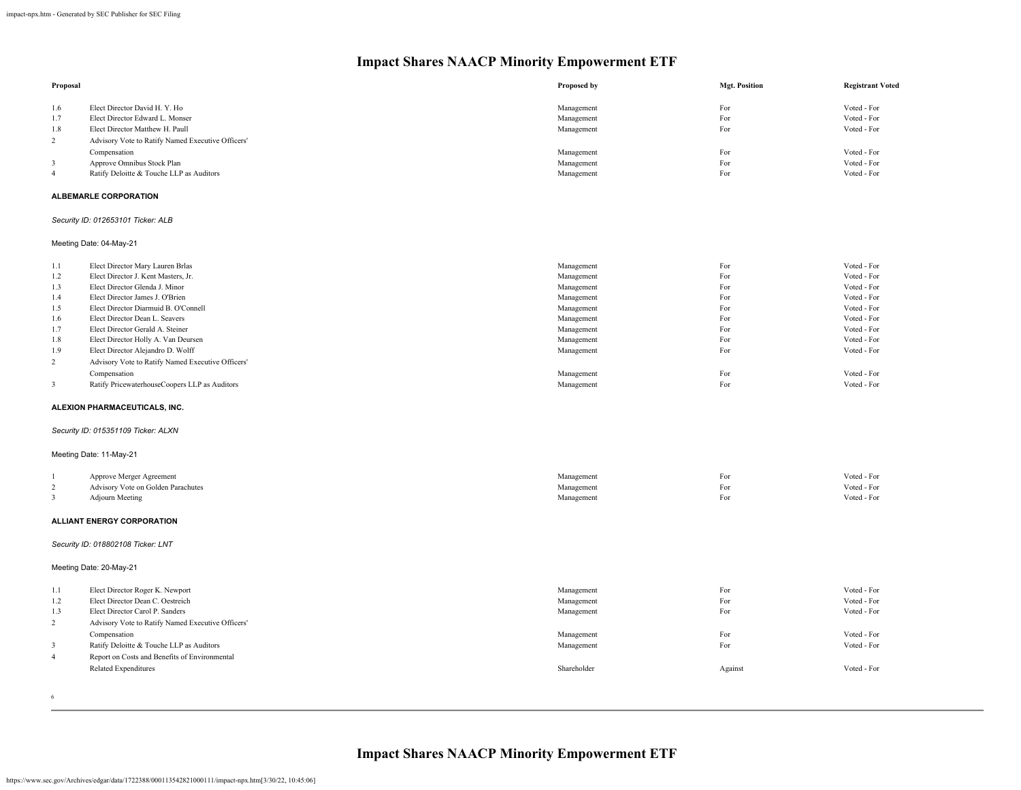| Proposal       |                                                   | Proposed by | <b>Mgt. Position</b> | <b>Registrant Voted</b> |
|----------------|---------------------------------------------------|-------------|----------------------|-------------------------|
| 1.6            | Elect Director David H. Y. Ho                     | Management  | For                  | Voted - For             |
| 1.7            | Elect Director Edward L. Monser                   | Management  | For                  | Voted - For             |
| 1.8            | Elect Director Matthew H. Paull                   | Management  | For                  | Voted - For             |
| $\sqrt{2}$     | Advisory Vote to Ratify Named Executive Officers' |             |                      |                         |
|                |                                                   |             |                      | Voted - For             |
| 3              | Compensation                                      | Management  | For<br>For           | Voted - For             |
|                | Approve Omnibus Stock Plan                        | Management  |                      |                         |
| $\overline{4}$ | Ratify Deloitte & Touche LLP as Auditors          | Management  | For                  | Voted - For             |
|                | <b>ALBEMARLE CORPORATION</b>                      |             |                      |                         |
|                | Security ID: 012653101 Ticker: ALB                |             |                      |                         |
|                | Meeting Date: 04-May-21                           |             |                      |                         |
| 1.1            | Elect Director Mary Lauren Brlas                  | Management  | For                  | Voted - For             |
| 1.2            | Elect Director J. Kent Masters, Jr.               | Management  | For                  | Voted - For             |
| 1.3            | Elect Director Glenda J. Minor                    | Management  | For                  | Voted - For             |
| 1.4            | Elect Director James J. O'Brien                   | Management  | For                  | Voted - For             |
| 1.5            | Elect Director Diarmuid B. O'Connell              | Management  | For                  | Voted - For             |
| 1.6            | Elect Director Dean L. Seavers                    | Management  | For                  | Voted - For             |
| 1.7            | Elect Director Gerald A. Steiner                  | Management  | For                  | Voted - For             |
| 1.8            | Elect Director Holly A. Van Deursen               | Management  | For                  | Voted - For             |
|                |                                                   |             |                      | Voted - For             |
| 1.9            | Elect Director Alejandro D. Wolff                 | Management  | For                  |                         |
| $\overline{c}$ | Advisory Vote to Ratify Named Executive Officers' |             |                      |                         |
|                | Compensation                                      | Management  | For                  | Voted - For             |
| $\mathbf{3}$   | Ratify PricewaterhouseCoopers LLP as Auditors     | Management  | For                  | Voted - For             |
|                | ALEXION PHARMACEUTICALS, INC.                     |             |                      |                         |
|                | Security ID: 015351109 Ticker: ALXN               |             |                      |                         |
|                | Meeting Date: 11-May-21                           |             |                      |                         |
|                | Approve Merger Agreement                          | Management  | For                  | Voted - For             |
| $\sqrt{2}$     | Advisory Vote on Golden Parachutes                | Management  | For                  | Voted - For             |
| 3              | <b>Adjourn Meeting</b>                            | Management  | For                  | Voted - For             |
|                | <b>ALLIANT ENERGY CORPORATION</b>                 |             |                      |                         |
|                | Security ID: 018802108 Ticker: LNT                |             |                      |                         |
|                | Meeting Date: 20-May-21                           |             |                      |                         |
|                |                                                   |             |                      |                         |
| 1.1            | Elect Director Roger K. Newport                   | Management  | For                  | Voted - For             |
| 1.2            | Elect Director Dean C. Oestreich                  | Management  | For                  | Voted - For             |
| 1.3            | Elect Director Carol P. Sanders                   | Management  | For                  | Voted - For             |
| $\overline{c}$ | Advisory Vote to Ratify Named Executive Officers' |             |                      |                         |
|                | Compensation                                      | Management  | For                  | Voted - For             |
| 3              | Ratify Deloitte & Touche LLP as Auditors          | Management  | For                  | Voted - For             |
| $\overline{4}$ | Report on Costs and Benefits of Environmental     |             |                      |                         |
|                | <b>Related Expenditures</b>                       | Shareholder | Against              | Voted - For             |

6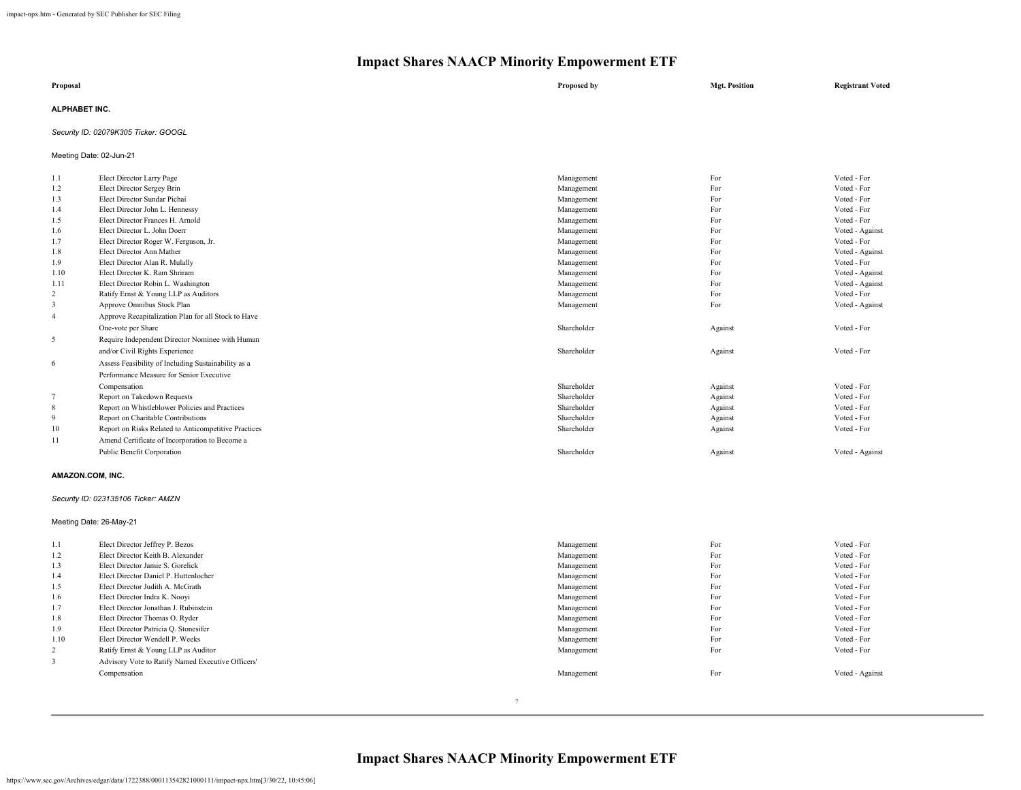| Proposal      | Proposed by | <b>Mgt. Position</b> | <b>Registrant Voted</b> |
|---------------|-------------|----------------------|-------------------------|
| ALPHABET INC. |             |                      |                         |

#### *Security ID: 02079K305 Ticker: GOOGL*

Meeting Date: 02-Jun-21

| 1.1            | Elect Director Larry Page                            | Management  | For     | Voted - For     |
|----------------|------------------------------------------------------|-------------|---------|-----------------|
| 1.2            | Elect Director Sergey Brin                           | Management  | For     | Voted - For     |
| 1.3            | Elect Director Sundar Pichai                         | Management  | For     | Voted - For     |
| 1.4            | Elect Director John L. Hennessy                      | Management  | For     | Voted - For     |
| 1.5            | Elect Director Frances H. Arnold                     | Management  | For     | Voted - For     |
| 1.6            | Elect Director L. John Doerr                         | Management  | For     | Voted - Against |
| 1.7            | Elect Director Roger W. Ferguson, Jr.                | Management  | For     | Voted - For     |
| 1.8            | Elect Director Ann Mather                            | Management  | For     | Voted - Against |
| 1.9            | Elect Director Alan R. Mulally                       | Management  | For     | Voted - For     |
| 1.10           | Elect Director K. Ram Shriram                        | Management  | For     | Voted - Against |
| 1.11           | Elect Director Robin L. Washington                   | Management  | For     | Voted - Against |
| $\overline{2}$ | Ratify Ernst & Young LLP as Auditors                 | Management  | For     | Voted - For     |
| 3              | Approve Omnibus Stock Plan                           | Management  | For     | Voted - Against |
| $\overline{4}$ | Approve Recapitalization Plan for all Stock to Have  |             |         |                 |
|                | One-vote per Share                                   | Shareholder | Against | Voted - For     |
| 5              | Require Independent Director Nominee with Human      |             |         |                 |
|                | and/or Civil Rights Experience                       | Shareholder | Against | Voted - For     |
| -6             | Assess Feasibility of Including Sustainability as a  |             |         |                 |
|                | Performance Measure for Senior Executive             |             |         |                 |
|                | Compensation                                         | Shareholder | Against | Voted - For     |
| 7              | Report on Takedown Requests                          | Shareholder | Against | Voted - For     |
| 8              | Report on Whistleblower Policies and Practices       | Shareholder | Against | Voted - For     |
| -9             | Report on Charitable Contributions                   | Shareholder | Against | Voted - For     |
| 10             | Report on Risks Related to Anticompetitive Practices | Shareholder | Against | Voted - For     |
| 11             | Amend Certificate of Incorporation to Become a       |             |         |                 |
|                | Public Benefit Corporation                           | Shareholder | Against | Voted - Against |
|                |                                                      |             |         |                 |
|                | AMAZON.COM, INC.                                     |             |         |                 |
|                | Security ID: 023135106 Ticker: AMZN                  |             |         |                 |
|                | Meeting Date: 26-May-21                              |             |         |                 |
| 1.1            | Elect Director Jeffrey P. Bezos                      | Management  | For     | Voted - For     |
| 1.2            | Elect Director Keith B. Alexander                    | Management  | For     | Voted - For     |
| 1.3            | Elect Director Jamie S. Gorelick                     | Management  | For     | Voted - For     |
| 1.4            | Elect Director Daniel P. Huttenlocher                | Management  | For     | Voted - For     |
| 1.5            | Elect Director Judith A. McGrath                     | Management  | For     | Voted - For     |
| 1.6            | Elect Director Indra K. Noovi                        | Management  | For     | Voted - For     |
| 1.7            | Elect Director Jonathan J. Rubinstein                | Management  | For     | Voted - For     |
| 1.8            | Elect Director Thomas O. Ryder                       | Management  | For     | Voted - For     |
| 1.9            | Elect Director Patricia Q. Stonesifer                | Management  | For     | Voted - For     |
| 1.10           | Elect Director Wendell P. Weeks                      | Management  | For     | Voted - For     |
| 2              | Ratify Ernst & Young LLP as Auditor                  | Management  | For     | Voted - For     |
|                |                                                      |             |         |                 |

Compensation **Management** For Voted - Against

### **Impact Shares NAACP Minority Empowerment ETF**

3 Advisory Vote to Ratify Named Executive Officers'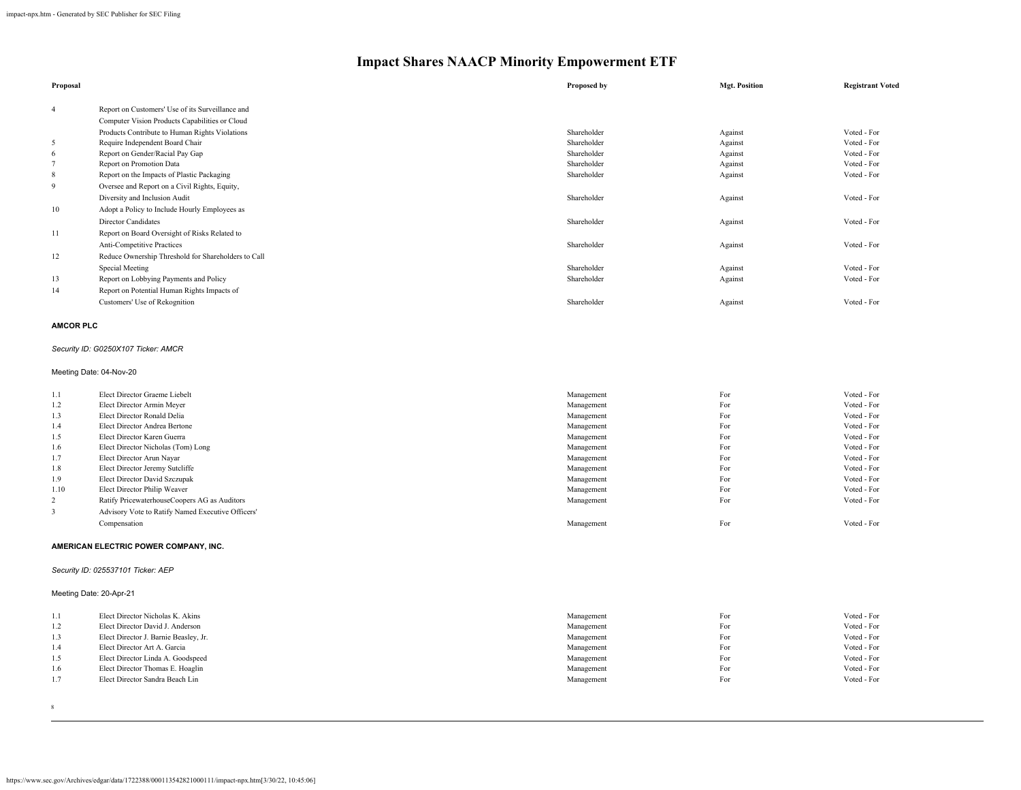| Proposal       |                                                     | Proposed by | <b>Mgt. Position</b> | <b>Registrant Voted</b> |
|----------------|-----------------------------------------------------|-------------|----------------------|-------------------------|
| $\overline{4}$ | Report on Customers' Use of its Surveillance and    |             |                      |                         |
|                | Computer Vision Products Capabilities or Cloud      |             |                      |                         |
|                | Products Contribute to Human Rights Violations      | Shareholder | Against              | Voted - For             |
| 5              | Require Independent Board Chair                     | Shareholder | Against              | Voted - For             |
| 6              | Report on Gender/Racial Pay Gap                     | Shareholder | Against              | Voted - For             |
|                | Report on Promotion Data                            | Shareholder | Against              | Voted - For             |
| 8              | Report on the Impacts of Plastic Packaging          | Shareholder | Against              | Voted - For             |
| 9              | Oversee and Report on a Civil Rights, Equity,       |             |                      |                         |
|                | Diversity and Inclusion Audit                       | Shareholder | Against              | Voted - For             |
| 10             | Adopt a Policy to Include Hourly Employees as       |             |                      |                         |
|                | Director Candidates                                 | Shareholder | Against              | Voted - For             |
| 11             | Report on Board Oversight of Risks Related to       |             |                      |                         |
|                | <b>Anti-Competitive Practices</b>                   | Shareholder | Against              | Voted - For             |
| 12             | Reduce Ownership Threshold for Shareholders to Call |             |                      |                         |
|                | Special Meeting                                     | Shareholder | Against              | Voted - For             |
| 13             | Report on Lobbying Payments and Policy              | Shareholder | Against              | Voted - For             |
| 14             | Report on Potential Human Rights Impacts of         |             |                      |                         |
|                | Customers' Use of Rekognition                       | Shareholder | Against              | Voted - For             |

#### **AMCOR PLC**

#### *Security ID: G0250X107 Ticker: AMCR*

#### Meeting Date: 04-Nov-20

| 1.1            | Elect Director Graeme Liebelt                     | Management | For | Voted - For |
|----------------|---------------------------------------------------|------------|-----|-------------|
| 1.2            | Elect Director Armin Meyer                        | Management | For | Voted - For |
| 1.3            | Elect Director Ronald Delia                       | Management | For | Voted - For |
| 1.4            | Elect Director Andrea Bertone                     | Management | For | Voted - For |
| 1.5            | Elect Director Karen Guerra                       | Management | For | Voted - For |
| 1.6            | Elect Director Nicholas (Tom) Long                | Management | For | Voted - For |
| 1.7            | Elect Director Arun Nayar                         | Management | For | Voted - For |
| 1.8            | Elect Director Jeremy Sutcliffe                   | Management | For | Voted - For |
| 1.9            | Elect Director David Szczupak                     | Management | For | Voted - For |
| 1.10           | Elect Director Philip Weaver                      | Management | For | Voted - For |
| $\overline{2}$ | Ratify PricewaterhouseCoopers AG as Auditors      | Management | For | Voted - For |
|                | Advisory Vote to Ratify Named Executive Officers' |            |     |             |
|                | Compensation                                      | Management | For | Voted - For |
|                |                                                   |            |     |             |

#### **AMERICAN ELECTRIC POWER COMPANY, INC.**

#### *Security ID: 025537101 Ticker: AEP*

#### Meeting Date: 20-Apr-21

| 1.1 | Elect Director Nicholas K. Akins      | Management | For | Voted - For |
|-----|---------------------------------------|------------|-----|-------------|
| 1.2 | Elect Director David J. Anderson      | Management | For | Voted - For |
| 1.3 | Elect Director J. Barnie Beasley, Jr. | Management | For | Voted - For |
| 1.4 | Elect Director Art A. Garcia          | Management | For | Voted - For |
| 1.5 | Elect Director Linda A. Goodspeed     | Management | For | Voted - For |
| 1.6 | Elect Director Thomas E. Hoaglin      | Management | For | Voted - For |
| 1.7 | Elect Director Sandra Beach Lin       | Management | For | Voted - For |
|     |                                       |            |     |             |

8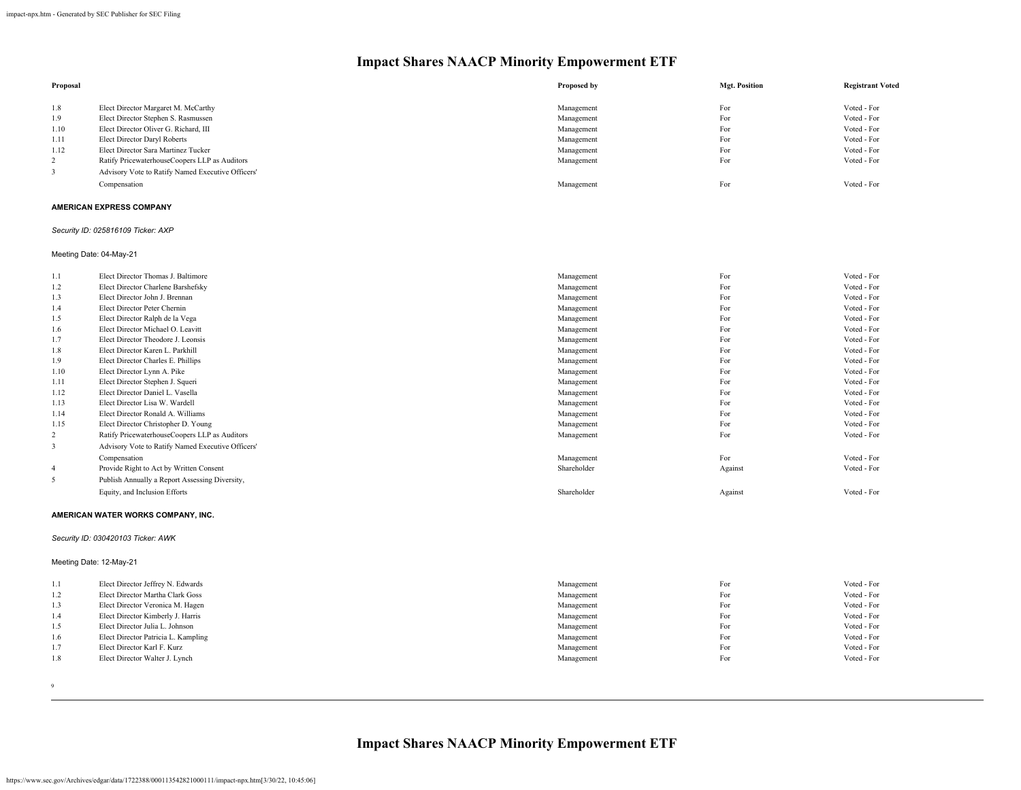| Proposal |                                                   | Proposed by | <b>Mgt. Position</b> | <b>Registrant Voted</b> |
|----------|---------------------------------------------------|-------------|----------------------|-------------------------|
| 1.8      | Elect Director Margaret M. McCarthy               | Management  | For                  | Voted - For             |
| 1.9      | Elect Director Stephen S. Rasmussen               | Management  | For                  | Voted - For             |
| 1.10     | Elect Director Oliver G. Richard, III             | Management  | For                  | Voted - For             |
| 1.11     | Elect Director Daryl Roberts                      | Management  | For                  | Voted - For             |
| 1.12     | Elect Director Sara Martinez Tucker               | Management  | For                  | Voted - For             |
| 2        | Ratify PricewaterhouseCoopers LLP as Auditors     | Management  | For                  | Voted - For             |
|          | Advisory Vote to Ratify Named Executive Officers' |             |                      |                         |
|          | Compensation                                      | Management  | For                  | Voted - For             |

#### **AMERICAN EXPRESS COMPANY**

#### *Security ID: 025816109 Ticker: AXP*

Meeting Date: 04-May-21

| 1.1            | Elect Director Thomas J. Baltimore                | Management  | For     | Voted - For |
|----------------|---------------------------------------------------|-------------|---------|-------------|
| 1.2            | Elect Director Charlene Barshefsky                | Management  | For     | Voted - For |
| 1.3            | Elect Director John J. Brennan                    | Management  | For     | Voted - For |
| 1.4            | Elect Director Peter Chernin                      | Management  | For     | Voted - For |
| 1.5            | Elect Director Ralph de la Vega                   | Management  | For     | Voted - For |
| 1.6            | Elect Director Michael O. Leavitt                 | Management  | For     | Voted - For |
| 1.7            | Elect Director Theodore J. Leonsis                | Management  | For     | Voted - For |
| 1.8            | Elect Director Karen L. Parkhill                  | Management  | For     | Voted - For |
| 1.9            | Elect Director Charles E. Phillips                | Management  | For     | Voted - For |
| 1.10           | Elect Director Lynn A. Pike                       | Management  | For     | Voted - For |
| 1.11           | Elect Director Stephen J. Squeri                  | Management  | For     | Voted - For |
| 1.12           | Elect Director Daniel L. Vasella                  | Management  | For     | Voted - For |
| 1.13           | Elect Director Lisa W. Wardell                    | Management  | For     | Voted - For |
| 1.14           | Elect Director Ronald A. Williams                 | Management  | For     | Voted - For |
| 1.15           | Elect Director Christopher D. Young               | Management  | For     | Voted - For |
| 2              | Ratify PricewaterhouseCoopers LLP as Auditors     | Management  | For     | Voted - For |
| 3              | Advisory Vote to Ratify Named Executive Officers' |             |         |             |
|                | Compensation                                      | Management  | For     | Voted - For |
| $\overline{4}$ | Provide Right to Act by Written Consent           | Shareholder | Against | Voted - For |
| 5              | Publish Annually a Report Assessing Diversity,    |             |         |             |
|                | Equity, and Inclusion Efforts                     | Shareholder | Against | Voted - For |

#### **AMERICAN WATER WORKS COMPANY, INC.**

#### *Security ID: 030420103 Ticker: AWK*

Meeting Date: 12-May-21

| 1.1  | Elect Director Jeffrey N. Edwards   | Management | For | Voted - For |
|------|-------------------------------------|------------|-----|-------------|
| 1.2  | Elect Director Martha Clark Goss    | Management | For | Voted - For |
| 1.3  | Elect Director Veronica M. Hagen    | Management | For | Voted - For |
| -1.4 | Elect Director Kimberly J. Harris   | Management | For | Voted - For |
| 1.5  | Elect Director Julia L. Johnson     | Management | For | Voted - For |
| 1.6  | Elect Director Patricia L. Kampling | Management | For | Voted - For |
| 1.7  | Elect Director Karl F. Kurz         | Management | For | Voted - For |
| 1.8  | Elect Director Walter J. Lynch      | Management | For | Voted - For |
|      |                                     |            |     |             |

9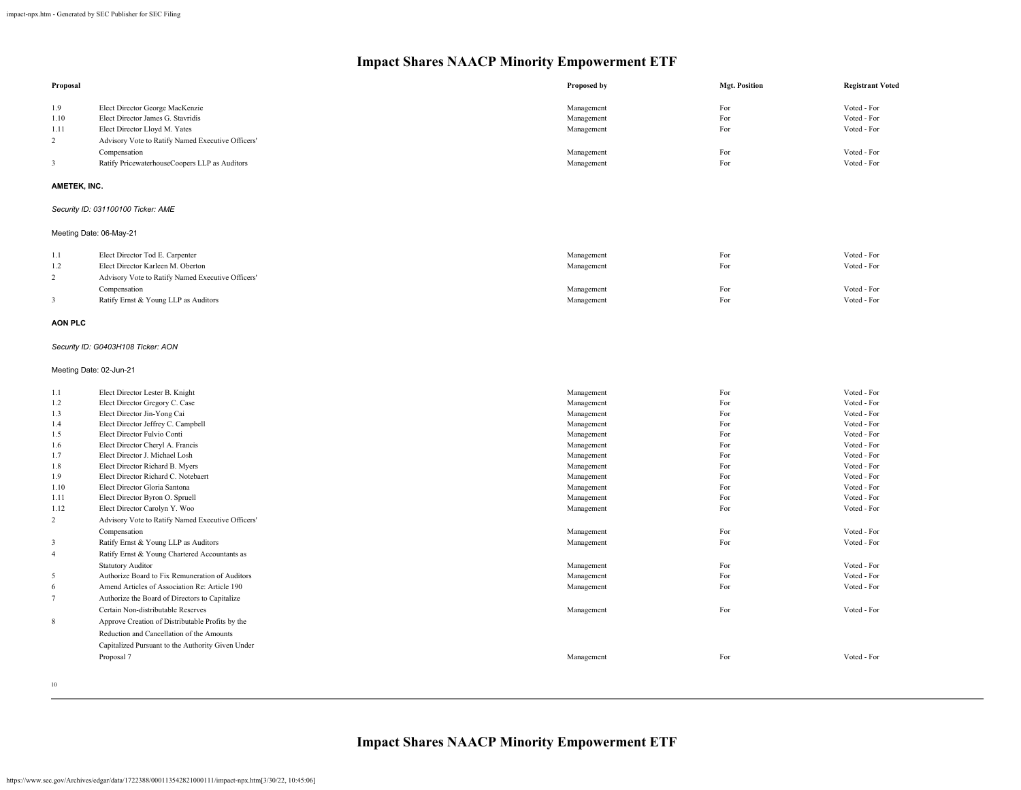| Proposal                |                                                                 | Proposed by              | <b>Mgt. Position</b> | <b>Registrant Voted</b>    |
|-------------------------|-----------------------------------------------------------------|--------------------------|----------------------|----------------------------|
| 1.9                     | Elect Director George MacKenzie                                 | Management               | For                  | Voted - For                |
| 1.10                    | Elect Director James G. Stavridis                               | Management               | For                  | Voted - For                |
| 1.11                    | Elect Director Lloyd M. Yates                                   | Management               | For                  | Voted - For                |
| $\overline{2}$          | Advisory Vote to Ratify Named Executive Officers'               |                          |                      |                            |
|                         | Compensation                                                    | Management               | For                  | Voted - For                |
| $\mathbf{3}$            | Ratify PricewaterhouseCoopers LLP as Auditors                   | Management               | For                  | Voted - For                |
| AMETEK, INC.            |                                                                 |                          |                      |                            |
|                         | Security ID: 031100100 Ticker: AME                              |                          |                      |                            |
|                         | Meeting Date: 06-May-21                                         |                          |                      |                            |
| 1.1                     | Elect Director Tod E. Carpenter                                 | Management               | For                  | Voted - For                |
| 1.2                     | Elect Director Karleen M. Oberton                               | Management               | For                  | Voted - For                |
| $\overline{2}$          | Advisory Vote to Ratify Named Executive Officers'               |                          |                      |                            |
|                         | Compensation                                                    | Management               | For                  | Voted - For                |
| 3                       | Ratify Ernst & Young LLP as Auditors                            | Management               | For                  | Voted - For                |
| <b>AON PLC</b>          |                                                                 |                          |                      |                            |
|                         | Security ID: G0403H108 Ticker: AON                              |                          |                      |                            |
| Meeting Date: 02-Jun-21 |                                                                 |                          |                      |                            |
| 1.1                     | Elect Director Lester B. Knight                                 | Management               | For                  | Voted - For                |
| 1.2                     | Elect Director Gregory C. Case                                  | Management               | For                  | Voted - For                |
| 1.3                     | Elect Director Jin-Yong Cai                                     | Management               | For                  | Voted - For                |
| 1.4                     | Elect Director Jeffrey C. Campbell                              | Management               | For                  | Voted - For                |
| 1.5                     | Elect Director Fulvio Conti<br>Elect Director Cheryl A. Francis | Management               | For<br>For           | Voted - For<br>Voted - For |
| 1.6<br>1.7              | Elect Director J. Michael Losh                                  | Management<br>Management | For                  | Voted - For                |
| 1.8                     | Elect Director Richard B. Myers                                 | Management               | For                  | Voted - For                |
| 1.9                     | Elect Director Richard C. Notebaert                             | Management               | For                  | Voted - For                |
| 1.10                    | Elect Director Gloria Santona                                   | Management               | For                  | Voted - For                |
| 1.11                    | Elect Director Byron O. Spruell                                 | Management               | For                  | Voted - For                |
| 1.12                    | Elect Director Carolyn Y. Woo                                   | Management               | For                  | Voted - For                |
| 2                       | Advisory Vote to Ratify Named Executive Officers'               |                          |                      |                            |
|                         | Compensation                                                    | Management               | For                  | Voted - For                |
| 3                       | Ratify Ernst & Young LLP as Auditors                            | Management               | For                  | Voted - For                |
| $\overline{4}$          | Ratify Ernst & Young Chartered Accountants as                   |                          |                      |                            |
|                         | <b>Statutory Auditor</b>                                        | Management               | For                  | Voted - For                |
| $\sqrt{5}$              | Authorize Board to Fix Remuneration of Auditors                 | Management               | For                  | Voted - For                |
| 6                       | Amend Articles of Association Re: Article 190                   | Management               | For                  | Voted - For                |
| $\overline{7}$          | Authorize the Board of Directors to Capitalize                  |                          |                      |                            |
|                         | Certain Non-distributable Reserves                              | Management               | For                  | Voted - For                |
| $\,$ 8 $\,$             | Approve Creation of Distributable Profits by the                |                          |                      |                            |
|                         | Reduction and Cancellation of the Amounts                       |                          |                      |                            |
|                         | Capitalized Pursuant to the Authority Given Under               |                          |                      |                            |
|                         | Proposal 7                                                      | Management               | For                  | Voted - For                |
|                         |                                                                 |                          |                      |                            |

10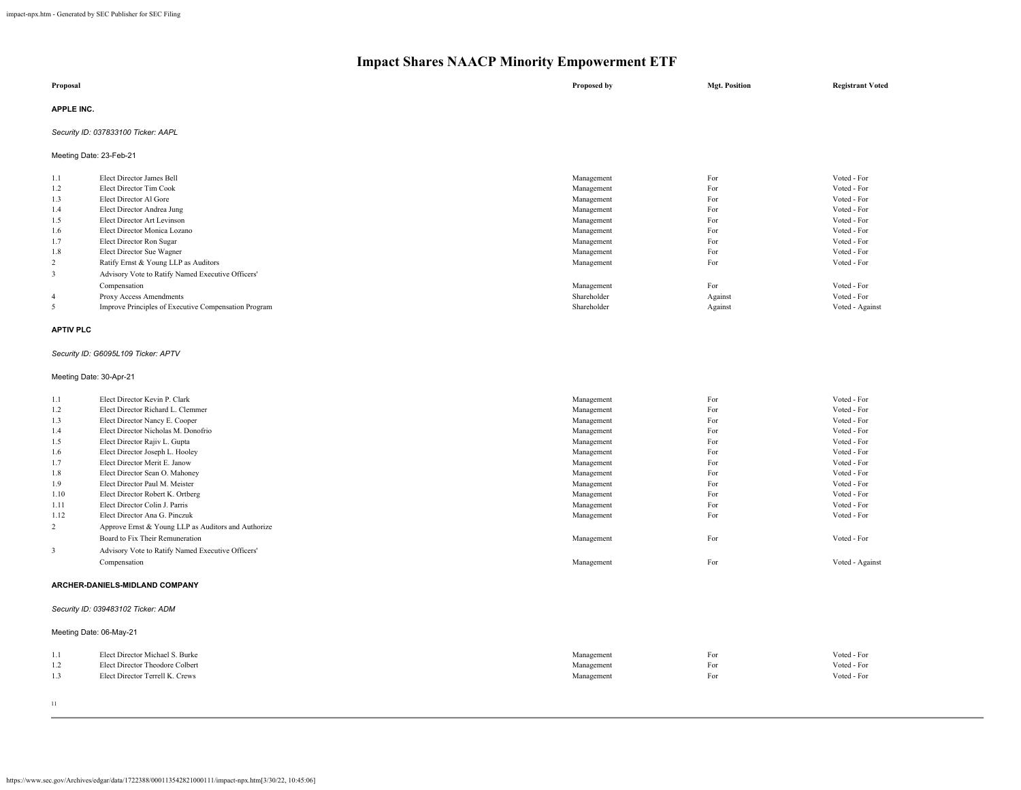| Proposal          | Proposed by | <b>Mgt. Position</b> | <b>Registrant Voted</b> |
|-------------------|-------------|----------------------|-------------------------|
| <b>APPLE INC.</b> |             |                      |                         |

#### *Security ID: 037833100 Ticker: AAPL*

Meeting Date: 23-Feb-21

| 1.1            | Elect Director James Bell                            | Management  | For     | Voted - For     |
|----------------|------------------------------------------------------|-------------|---------|-----------------|
| 1.2            | Elect Director Tim Cook                              | Management  | For     | Voted - For     |
| 1.3            | Elect Director Al Gore                               | Management  | For     | Voted - For     |
| 1.4            | Elect Director Andrea Jung                           | Management  | For     | Voted - For     |
| 1.5            | Elect Director Art Levinson                          | Management  | For     | Voted - For     |
| 1.6            | Elect Director Monica Lozano                         | Management  | For     | Voted - For     |
| 1.7            | Elect Director Ron Sugar                             | Management  | For     | Voted - For     |
| 1.8            | Elect Director Sue Wagner                            | Management  | For     | Voted - For     |
| 2              | Ratify Ernst & Young LLP as Auditors                 | Management  | For     | Voted - For     |
| 3              | Advisory Vote to Ratify Named Executive Officers'    |             |         |                 |
|                | Compensation                                         | Management  | For     | Voted - For     |
| $\overline{4}$ | Proxy Access Amendments                              | Shareholder | Against | Voted - For     |
| 5              | Improve Principles of Executive Compensation Program | Shareholder | Against | Voted - Against |
|                |                                                      |             |         |                 |

#### **APTIV PLC**

#### *Security ID: G6095L109 Ticker: APTV*

#### Meeting Date: 30-Apr-21

| 1.1  | Elect Director Kevin P. Clark                       | Management | For | Voted - For     |
|------|-----------------------------------------------------|------------|-----|-----------------|
| 1.2  | Elect Director Richard L. Clemmer                   | Management | For | Voted - For     |
| 1.3  | Elect Director Nancy E. Cooper                      | Management | For | Voted - For     |
| 1.4  | Elect Director Nicholas M. Donofrio                 | Management | For | Voted - For     |
| 1.5  | Elect Director Rajiv L. Gupta                       | Management | For | Voted - For     |
| 1.6  | Elect Director Joseph L. Hooley                     | Management | For | Voted - For     |
| 1.7  | Elect Director Merit E. Janow                       | Management | For | Voted - For     |
| 1.8  | Elect Director Sean O. Mahoney                      | Management | For | Voted - For     |
| 1.9  | Elect Director Paul M. Meister                      | Management | For | Voted - For     |
| 1.10 | Elect Director Robert K. Ortberg                    | Management | For | Voted - For     |
| 1.11 | Elect Director Colin J. Parris                      | Management | For | Voted - For     |
| 1.12 | Elect Director Ana G. Pinczuk                       | Management | For | Voted - For     |
| 2    | Approve Ernst & Young LLP as Auditors and Authorize |            |     |                 |
|      | Board to Fix Their Remuneration                     | Management | For | Voted - For     |
| 3    | Advisory Vote to Ratify Named Executive Officers'   |            |     |                 |
|      | Compensation                                        | Management | For | Voted - Against |
|      | ARCHER-DANIELS-MIDLAND COMPANY                      |            |     |                 |
|      | Security ID: 039483102 Ticker: ADM                  |            |     |                 |
|      | Meeting Date: 06-May-21                             |            |     |                 |
| 1.1  | Elect Director Michael S. Burke                     | Management | For | Voted - For     |
| 1.2  | Elect Director Theodore Colbert                     | Management | For | Voted - For     |
| 1.3  | Elect Director Terrell K. Crews                     | Management | For | Voted - For     |

- Elect Director Terrell K. Crews
- 11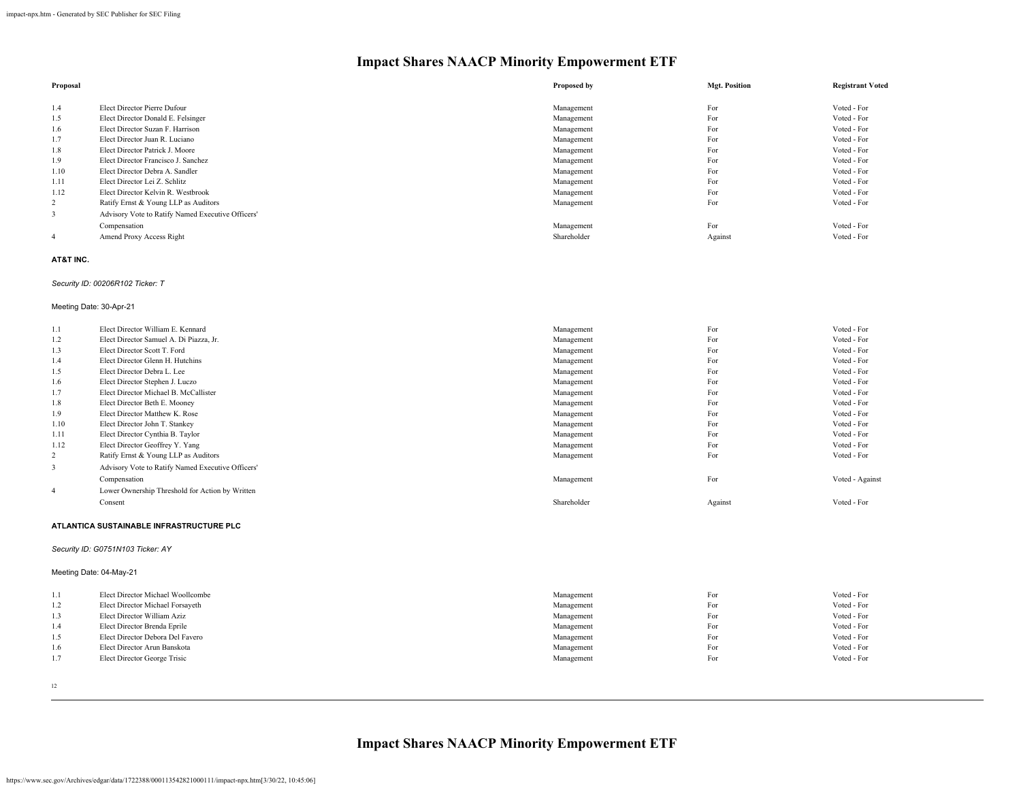| Proposal |                                                   | Proposed by | <b>Mgt. Position</b> | <b>Registrant Voted</b> |
|----------|---------------------------------------------------|-------------|----------------------|-------------------------|
|          |                                                   |             |                      |                         |
| 1.4      | Elect Director Pierre Dufour                      | Management  | For                  | Voted - For             |
| 1.5      | Elect Director Donald E. Felsinger                | Management  | For                  | Voted - For             |
| 1.6      | Elect Director Suzan F. Harrison                  | Management  | For                  | Voted - For             |
| 1.7      | Elect Director Juan R. Luciano                    | Management  | For                  | Voted - For             |
| 1.8      | Elect Director Patrick J. Moore                   | Management  | For                  | Voted - For             |
| 1.9      | Elect Director Francisco J. Sanchez               | Management  | For                  | Voted - For             |
| 1.10     | Elect Director Debra A. Sandler                   | Management  | For                  | Voted - For             |
| 1.11     | Elect Director Lei Z. Schlitz                     | Management  | For                  | Voted - For             |
| 1.12     | Elect Director Kelvin R. Westbrook                | Management  | For                  | Voted - For             |
| 2        | Ratify Ernst & Young LLP as Auditors              | Management  | For                  | Voted - For             |
| 3        | Advisory Vote to Ratify Named Executive Officers' |             |                      |                         |
|          | Compensation                                      | Management  | For                  | Voted - For             |
| 4        | Amend Proxy Access Right                          | Shareholder | Against              | Voted - For             |

#### **AT&T INC.**

#### *Security ID: 00206R102 Ticker: T*

#### Meeting Date: 30-Apr-21

| 1.1            | Elect Director William E. Kennard                 | Management  | For     | Voted - For     |
|----------------|---------------------------------------------------|-------------|---------|-----------------|
| 1.2            | Elect Director Samuel A. Di Piazza, Jr.           | Management  | For     | Voted - For     |
| 1.3            | Elect Director Scott T. Ford                      | Management  | For     | Voted - For     |
| 1.4            | Elect Director Glenn H. Hutchins                  | Management  | For     | Voted - For     |
| 1.5            | Elect Director Debra L. Lee                       | Management  | For     | Voted - For     |
| 1.6            | Elect Director Stephen J. Luczo                   | Management  | For     | Voted - For     |
| 1.7            | Elect Director Michael B. McCallister             | Management  | For     | Voted - For     |
| 1.8            | Elect Director Beth E. Mooney                     | Management  | For     | Voted - For     |
| 1.9            | Elect Director Matthew K. Rose                    | Management  | For     | Voted - For     |
| 1.10           | Elect Director John T. Stankey                    | Management  | For     | Voted - For     |
| 1.11           | Elect Director Cynthia B. Taylor                  | Management  | For     | Voted - For     |
| 1.12           | Elect Director Geoffrey Y. Yang                   | Management  | For     | Voted - For     |
| $\overline{2}$ | Ratify Ernst & Young LLP as Auditors              | Management  | For     | Voted - For     |
| 3              | Advisory Vote to Ratify Named Executive Officers' |             |         |                 |
|                | Compensation                                      | Management  | For     | Voted - Against |
| $\overline{4}$ | Lower Ownership Threshold for Action by Written   |             |         |                 |
|                | Consent                                           | Shareholder | Against | Voted - For     |
|                |                                                   |             |         |                 |

#### **ATLANTICA SUSTAINABLE INFRASTRUCTURE PLC**

#### *Security ID: G0751N103 Ticker: AY*

#### Meeting Date: 04-May-21

| 1.1 | Elect Director Michael Woollcombe | Management | For | Voted - For |
|-----|-----------------------------------|------------|-----|-------------|
| 1.2 | Elect Director Michael Forsayeth  | Management | For | Voted - For |
| 1.3 | Elect Director William Aziz       | Management | For | Voted - For |
| 1.4 | Elect Director Brenda Eprile      | Management | For | Voted - For |
| 1.5 | Elect Director Debora Del Favero  | Management | For | Voted - For |
| 1.6 | Elect Director Arun Banskota      | Management | For | Voted - For |
| 1.7 | Elect Director George Trisic      | Management | For | Voted - For |
|     |                                   |            |     |             |

12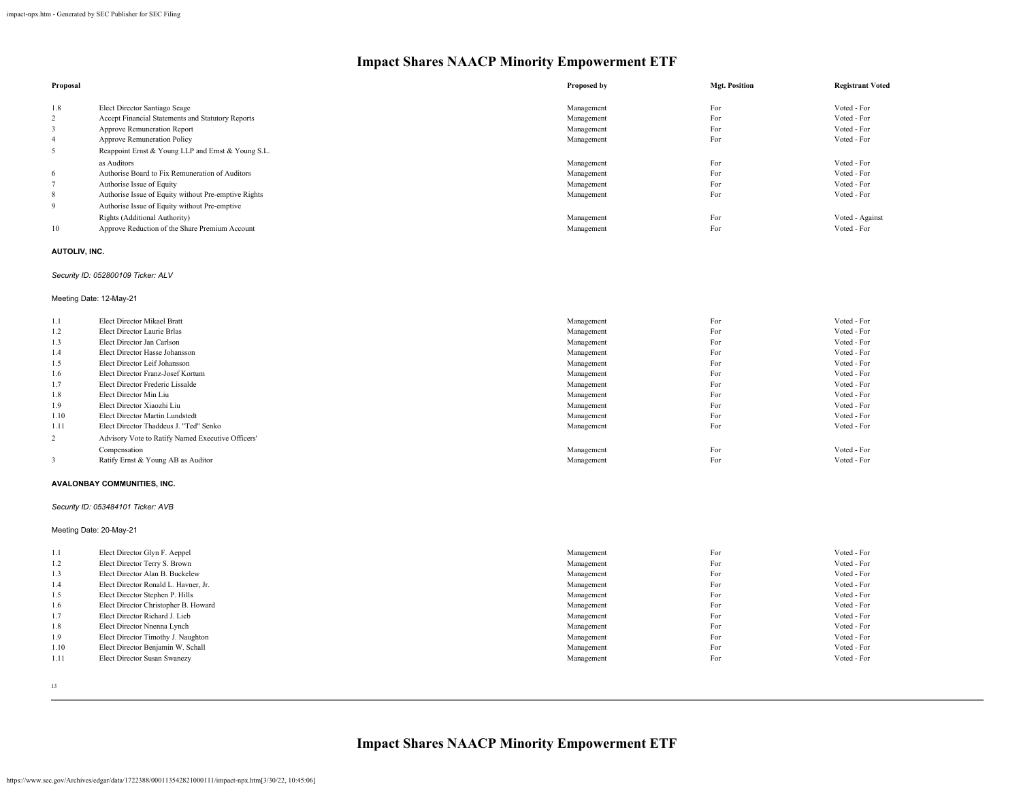|                                                      | Proposed by | <b>Mgt. Position</b> | <b>Registrant Voted</b> |
|------------------------------------------------------|-------------|----------------------|-------------------------|
|                                                      |             |                      |                         |
| Elect Director Santiago Seage                        | Management  | For                  | Voted - For             |
| Accept Financial Statements and Statutory Reports    | Management  | For                  | Voted - For             |
| Approve Remuneration Report                          | Management  | For                  | Voted - For             |
| <b>Approve Remuneration Policy</b>                   | Management  | For                  | Voted - For             |
| Reappoint Ernst & Young LLP and Ernst & Young S.L.   |             |                      |                         |
| as Auditors                                          | Management  | For                  | Voted - For             |
| Authorise Board to Fix Remuneration of Auditors      | Management  | For                  | Voted - For             |
| Authorise Issue of Equity                            | Management  | For                  | Voted - For             |
| Authorise Issue of Equity without Pre-emptive Rights | Management  | For                  | Voted - For             |
| Authorise Issue of Equity without Pre-emptive        |             |                      |                         |
| Rights (Additional Authority)                        | Management  | For                  | Voted - Against         |
| Approve Reduction of the Share Premium Account       | Management  | For                  | Voted - For             |
|                                                      |             |                      |                         |

#### **AUTOLIV, INC.**

#### *Security ID: 052800109 Ticker: ALV*

#### Meeting Date: 12-May-21

| 1.1  | Elect Director Mikael Bratt                       | Management | For | Voted - For |
|------|---------------------------------------------------|------------|-----|-------------|
| 1.2  | Elect Director Laurie Brlas                       | Management | For | Voted - For |
| 1.3  | Elect Director Jan Carlson                        | Management | For | Voted - For |
| 1.4  | Elect Director Hasse Johansson                    | Management | For | Voted - For |
| 1.5  | Elect Director Leif Johansson                     | Management | For | Voted - For |
| 1.6  | Elect Director Franz-Josef Kortum                 | Management | For | Voted - For |
| 1.7  | Elect Director Frederic Lissalde                  | Management | For | Voted - For |
| 1.8  | Elect Director Min Liu                            | Management | For | Voted - For |
| 1.9  | Elect Director Xiaozhi Liu                        | Management | For | Voted - For |
| 1.10 | Elect Director Martin Lundstedt                   | Management | For | Voted - For |
| 1.11 | Elect Director Thaddeus J. "Ted" Senko            | Management | For | Voted - For |
| 2    | Advisory Vote to Ratify Named Executive Officers' |            |     |             |
|      | Compensation                                      | Management | For | Voted - For |
| 3    | Ratify Ernst & Young AB as Auditor                | Management | For | Voted - For |
|      |                                                   |            |     |             |

#### **AVALONBAY COMMUNITIES, INC.**

#### *Security ID: 053484101 Ticker: AVB*

### Meeting Date: 20-May-21

| 1.1  | Elect Director Glyn F. Aeppel        | Management | For | Voted - For |
|------|--------------------------------------|------------|-----|-------------|
| 1.2  | Elect Director Terry S. Brown        | Management | For | Voted - For |
| 1.3  | Elect Director Alan B. Buckelew      | Management | For | Voted - For |
| 1.4  | Elect Director Ronald L. Havner, Jr. | Management | For | Voted - For |
| 1.5  | Elect Director Stephen P. Hills      | Management | For | Voted - For |
| 1.6  | Elect Director Christopher B. Howard | Management | For | Voted - For |
| 1.7  | Elect Director Richard J. Lieb       | Management | For | Voted - For |
| 1.8  | Elect Director Nnenna Lynch          | Management | For | Voted - For |
| 1.9  | Elect Director Timothy J. Naughton   | Management | For | Voted - For |
| 1.10 | Elect Director Benjamin W. Schall    | Management | For | Voted - For |
| 1.11 | Elect Director Susan Swanezy         | Management | For | Voted - For |
|      |                                      |            |     |             |

13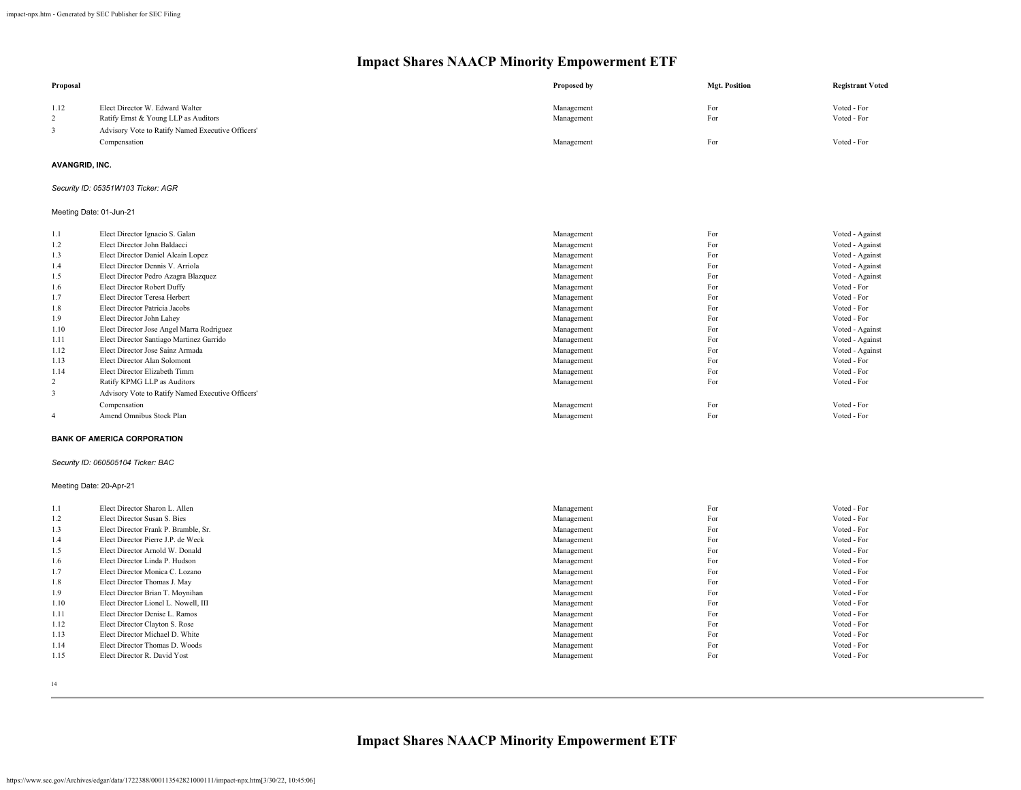| Proposal                |                                                                         | Proposed by              | <b>Mgt. Position</b> | <b>Registrant Voted</b>            |
|-------------------------|-------------------------------------------------------------------------|--------------------------|----------------------|------------------------------------|
| 1.12<br>2               | Elect Director W. Edward Walter<br>Ratify Ernst & Young LLP as Auditors | Management<br>Management | For<br>For           | Voted - For<br>Voted - For         |
| 3                       | Advisory Vote to Ratify Named Executive Officers'<br>Compensation       | Management               | For                  | Voted - For                        |
| <b>AVANGRID, INC.</b>   |                                                                         |                          |                      |                                    |
|                         | Security ID: 05351W103 Ticker: AGR                                      |                          |                      |                                    |
|                         | Meeting Date: 01-Jun-21                                                 |                          |                      |                                    |
| 1.1                     | Elect Director Ignacio S. Galan<br>Elect Director John Baldacci         | Management               | For<br>For           | Voted - Against                    |
| 1.2                     |                                                                         | Management               |                      | Voted - Against                    |
| 1.3<br>1.4              | Elect Director Daniel Alcain Lopez<br>Elect Director Dennis V. Arriola  | Management<br>Management | For<br>For           | Voted - Against<br>Voted - Against |
| 1.5                     | Elect Director Pedro Azagra Blazquez                                    | Management               | For                  | Voted - Against                    |
| 1.6                     | Elect Director Robert Duffy                                             | Management               | For                  | Voted - For                        |
| 1.7                     | Elect Director Teresa Herbert                                           | Management               | For                  | Voted - For                        |
| 1.8                     | Elect Director Patricia Jacobs                                          | Management               | For                  | Voted - For                        |
| 1.9                     | Elect Director John Lahey                                               | Management               | For                  | Voted - For                        |
| 1.10                    | Elect Director Jose Angel Marra Rodriguez                               | Management               | For                  | Voted - Against                    |
| 1.11                    | Elect Director Santiago Martinez Garrido                                | Management               | For                  | Voted - Against                    |
| 1.12                    | Elect Director Jose Sainz Armada                                        | Management               | For                  | Voted - Against                    |
| 1.13                    | Elect Director Alan Solomont                                            | Management               | For                  | Voted - For                        |
| 1.14                    | Elect Director Elizabeth Timm                                           | Management               | For                  | Voted - For                        |
| 2                       | Ratify KPMG LLP as Auditors                                             | Management               | For                  | Voted - For                        |
| $\mathbf{3}$            | Advisory Vote to Ratify Named Executive Officers'                       |                          |                      |                                    |
|                         | Compensation                                                            | Management               | For                  | Voted - For                        |
| $\overline{4}$          | Amend Omnibus Stock Plan                                                | Management               | For                  | Voted - For                        |
|                         | <b>BANK OF AMERICA CORPORATION</b>                                      |                          |                      |                                    |
|                         | Security ID: 060505104 Ticker: BAC                                      |                          |                      |                                    |
| Meeting Date: 20-Apr-21 |                                                                         |                          |                      |                                    |
| 1.1                     | Elect Director Sharon L. Allen                                          | Management               | For                  | Voted - For                        |
| 1.2                     | Elect Director Susan S. Bies                                            | Management               | For                  | Voted - For                        |
| 1.3                     | Elect Director Frank P. Bramble, Sr.                                    | Management               | For                  | Voted - For                        |
| 1.4                     | Elect Director Pierre J.P. de Weck                                      | Management               | For                  | Voted - For                        |
| 1.5                     | Elect Director Arnold W. Donald                                         | Management               | For                  | Voted - For                        |
| 1.6                     | Elect Director Linda P. Hudson                                          | Management               | For                  | Voted - For                        |
| 1.7                     | Elect Director Monica C. Lozano                                         | Management               | For                  | Voted - For                        |
| 1.8                     | Elect Director Thomas J. May                                            | Management               | For                  | Voted - For                        |
| 1.9                     | Elect Director Brian T. Moynihan                                        | Management               | For                  | Voted - For                        |
| 1.10                    | Elect Director Lionel L. Nowell, III                                    | Management               | For                  | Voted - For                        |
| 1.11                    | Elect Director Denise L. Ramos                                          | Management               | For                  | Voted - For                        |
| 1.12                    | Elect Director Clayton S. Rose                                          | Management               | For                  | Voted - For                        |
| 1.13                    | Elect Director Michael D. White                                         | Management               | For                  | Voted - For                        |
| 1.14                    | Elect Director Thomas D. Woods                                          | Management               | For                  | Voted - For                        |
| 1.15                    | Elect Director R. David Yost                                            | Management               | For                  | Voted - For                        |
|                         |                                                                         |                          |                      |                                    |

14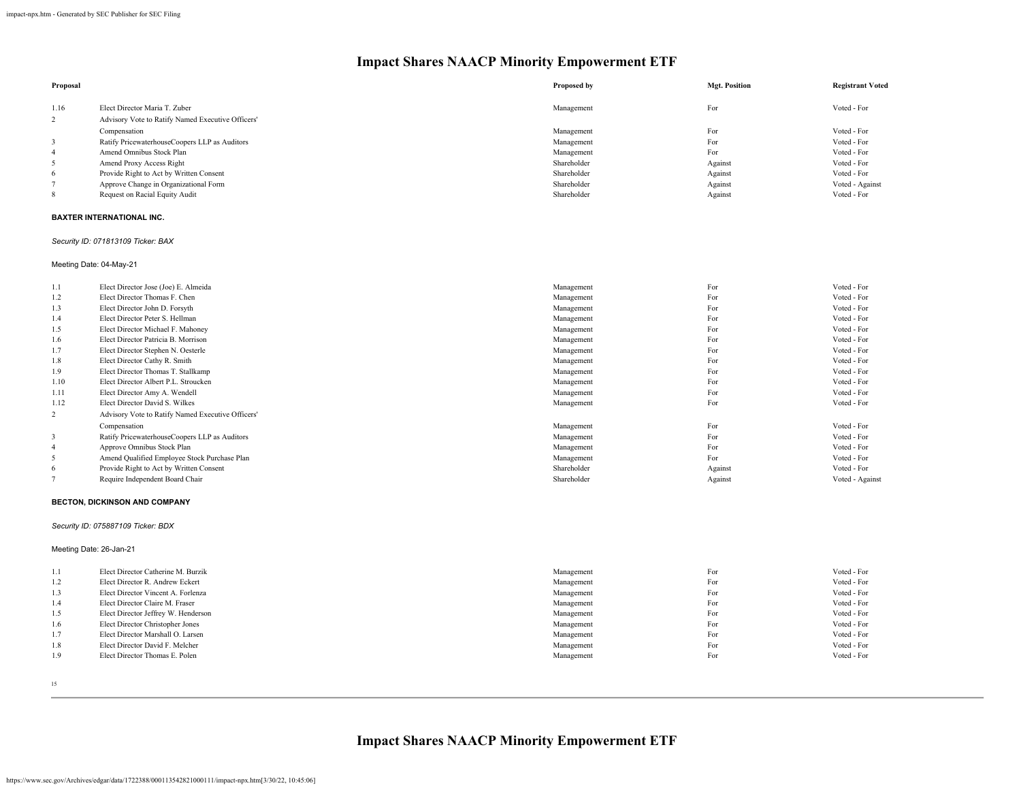| Proposal |                                                   | Proposed by | <b>Mgt. Position</b> | <b>Registrant Voted</b> |
|----------|---------------------------------------------------|-------------|----------------------|-------------------------|
| 1.16     | Elect Director Maria T. Zuber                     | Management  | For                  | Voted - For             |
|          | Advisory Vote to Ratify Named Executive Officers' |             |                      |                         |
|          | Compensation                                      | Management  | For                  | Voted - For             |
|          | Ratify PricewaterhouseCoopers LLP as Auditors     | Management  | For                  | Voted - For             |
|          | Amend Omnibus Stock Plan                          | Management  | For                  | Voted - For             |
|          | Amend Proxy Access Right                          | Shareholder | Against              | Voted - For             |
| 6        | Provide Right to Act by Written Consent           | Shareholder | Against              | Voted - For             |
|          | Approve Change in Organizational Form             | Shareholder | Against              | Voted - Against         |
|          | Request on Racial Equity Audit                    | Shareholder | Against              | Voted - For             |

#### **BAXTER INTERNATIONAL INC.**

#### *Security ID: 071813109 Ticker: BAX*

Meeting Date: 04-May-21

| 1.1            | Elect Director Jose (Joe) E. Almeida              | Management  | For     | Voted - For     |
|----------------|---------------------------------------------------|-------------|---------|-----------------|
| 1.2            | Elect Director Thomas F. Chen                     | Management  | For     | Voted - For     |
| 1.3            | Elect Director John D. Forsyth                    | Management  | For     | Voted - For     |
| 1.4            | Elect Director Peter S. Hellman                   | Management  | For     | Voted - For     |
| 1.5            | Elect Director Michael F. Mahoney                 | Management  | For     | Voted - For     |
| 1.6            | Elect Director Patricia B. Morrison               | Management  | For     | Voted - For     |
| 1.7            | Elect Director Stephen N. Oesterle                | Management  | For     | Voted - For     |
| 1.8            | Elect Director Cathy R. Smith                     | Management  | For     | Voted - For     |
| 1.9            | Elect Director Thomas T. Stallkamp                | Management  | For     | Voted - For     |
| 1.10           | Elect Director Albert P.L. Stroucken              | Management  | For     | Voted - For     |
| 1.11           | Elect Director Amy A. Wendell                     | Management  | For     | Voted - For     |
| 1.12           | Elect Director David S. Wilkes                    | Management  | For     | Voted - For     |
| 2              | Advisory Vote to Ratify Named Executive Officers' |             |         |                 |
|                | Compensation                                      | Management  | For     | Voted - For     |
| 3              | Ratify PricewaterhouseCoopers LLP as Auditors     | Management  | For     | Voted - For     |
| $\overline{4}$ | Approve Omnibus Stock Plan                        | Management  | For     | Voted - For     |
| 5              | Amend Qualified Employee Stock Purchase Plan      | Management  | For     | Voted - For     |
| 6              | Provide Right to Act by Written Consent           | Shareholder | Against | Voted - For     |
|                | Require Independent Board Chair                   | Shareholder | Against | Voted - Against |

#### **BECTON, DICKINSON AND COMPANY**

#### *Security ID: 075887109 Ticker: BDX*

Meeting Date: 26-Jan-21

| 1.1 | Elect Director Catherine M. Burzik  | Management | For | Voted - For |
|-----|-------------------------------------|------------|-----|-------------|
| 1.2 | Elect Director R. Andrew Eckert     | Management | For | Voted - For |
| 1.3 | Elect Director Vincent A. Forlenza  | Management | For | Voted - For |
| 1.4 | Elect Director Claire M. Fraser     | Management | For | Voted - For |
| 1.5 | Elect Director Jeffrey W. Henderson | Management | For | Voted - For |
| 1.6 | Elect Director Christopher Jones    | Management | For | Voted - For |
| 1.7 | Elect Director Marshall O. Larsen   | Management | For | Voted - For |
| 1.8 | Elect Director David F. Melcher     | Management | For | Voted - For |
| 1.9 | Elect Director Thomas E. Polen      | Management | For | Voted - For |
|     |                                     |            |     |             |

15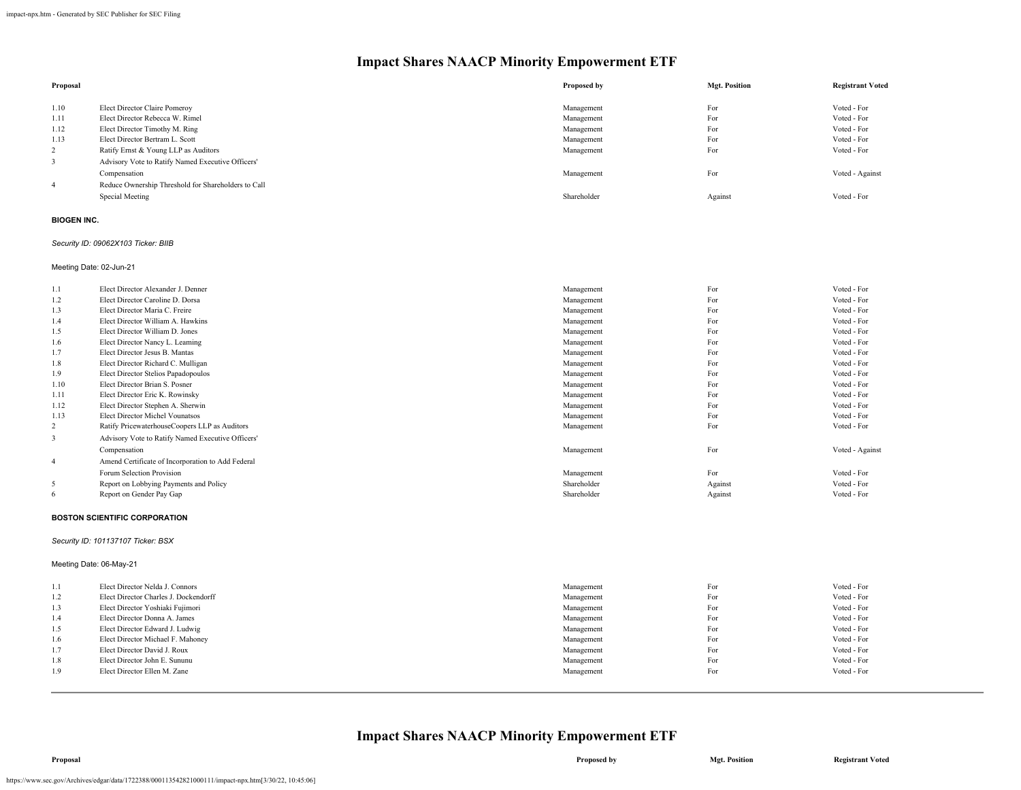|                                                     | Proposed by                   | <b>Mgt. Position</b> | <b>Registrant Voted</b> |
|-----------------------------------------------------|-------------------------------|----------------------|-------------------------|
|                                                     |                               |                      | Voted - For             |
| Elect Director Rebecca W. Rimel                     | Management                    | For                  | Voted - For             |
| Elect Director Timothy M. Ring                      | Management                    | For                  | Voted - For             |
| Elect Director Bertram L. Scott                     | Management                    | For                  | Voted - For             |
| Ratify Ernst & Young LLP as Auditors                | Management                    | For                  | Voted - For             |
| Advisory Vote to Ratify Named Executive Officers'   |                               |                      |                         |
| Compensation                                        | Management                    | For                  | Voted - Against         |
| Reduce Ownership Threshold for Shareholders to Call |                               |                      |                         |
| Special Meeting                                     | Shareholder                   | Against              | Voted - For             |
|                                                     | Elect Director Claire Pomeroy | Management           | For                     |

#### **BIOGEN INC.**

#### *Security ID: 09062X103 Ticker: BIIB*

Meeting Date: 02-Jun-21

| 1.1            | Elect Director Alexander J. Denner                | Management  | For     | Voted - For     |
|----------------|---------------------------------------------------|-------------|---------|-----------------|
| 1.2            | Elect Director Caroline D. Dorsa                  | Management  | For     | Voted - For     |
| 1.3            | Elect Director Maria C. Freire                    | Management  | For     | Voted - For     |
| 1.4            | Elect Director William A. Hawkins                 | Management  | For     | Voted - For     |
| 1.5            | Elect Director William D. Jones                   | Management  | For     | Voted - For     |
| 1.6            | Elect Director Nancy L. Leaming                   | Management  | For     | Voted - For     |
| 1.7            | Elect Director Jesus B. Mantas                    | Management  | For     | Voted - For     |
| 1.8            | Elect Director Richard C. Mulligan                | Management  | For     | Voted - For     |
| 1.9            | Elect Director Stelios Papadopoulos               | Management  | For     | Voted - For     |
| 1.10           | Elect Director Brian S. Posner                    | Management  | For     | Voted - For     |
| 1.11           | Elect Director Eric K. Rowinsky                   | Management  | For     | Voted - For     |
| 1.12           | Elect Director Stephen A. Sherwin                 | Management  | For     | Voted - For     |
| 1.13           | Elect Director Michel Vounatsos                   | Management  | For     | Voted - For     |
| 2              | Ratify PricewaterhouseCoopers LLP as Auditors     | Management  | For     | Voted - For     |
| 3              | Advisory Vote to Ratify Named Executive Officers' |             |         |                 |
|                | Compensation                                      | Management  | For     | Voted - Against |
| $\overline{4}$ | Amend Certificate of Incorporation to Add Federal |             |         |                 |
|                | Forum Selection Provision                         | Management  | For     | Voted - For     |
| 5              | Report on Lobbying Payments and Policy            | Shareholder | Against | Voted - For     |
| 6              | Report on Gender Pay Gap                          | Shareholder | Against | Voted - For     |
|                |                                                   |             |         |                 |

#### **BOSTON SCIENTIFIC CORPORATION**

#### *Security ID: 101137107 Ticker: BSX*

Meeting Date: 06-May-21

| 1.1 | Elect Director Nelda J. Connors       | Management | For | Voted - For |
|-----|---------------------------------------|------------|-----|-------------|
| 1.2 | Elect Director Charles J. Dockendorff | Management | For | Voted - For |
| 1.3 | Elect Director Yoshiaki Fujimori      | Management | For | Voted - For |
| 1.4 | Elect Director Donna A. James         | Management | For | Voted - For |
| 1.5 | Elect Director Edward J. Ludwig       | Management | For | Voted - For |
| 1.6 | Elect Director Michael F. Mahoney     | Management | For | Voted - For |
| 1.7 | Elect Director David J. Roux          | Management | For | Voted - For |
| 1.8 | Elect Director John E. Sununu         | Management | For | Voted - For |
| 1.9 | Elect Director Ellen M. Zane          | Management | For | Voted - For |
|     |                                       |            |     |             |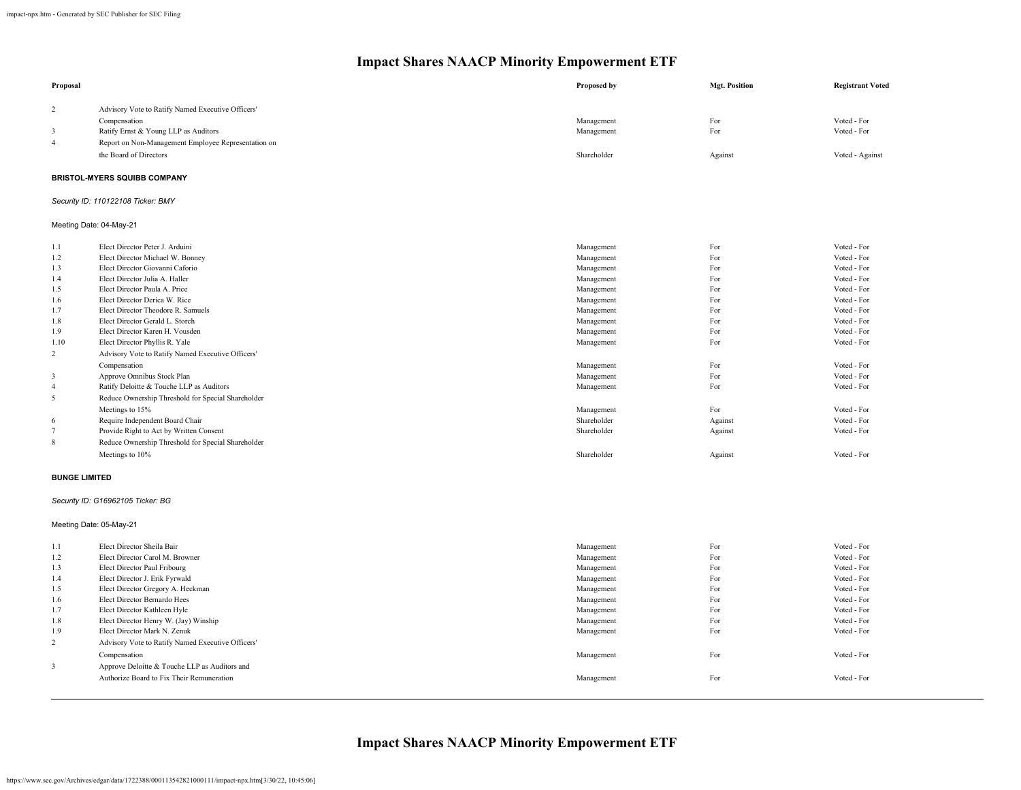| Proposal             |                                                                        | Proposed by               | <b>Mgt. Position</b> | <b>Registrant Voted</b>    |
|----------------------|------------------------------------------------------------------------|---------------------------|----------------------|----------------------------|
| $\overline{2}$       | Advisory Vote to Ratify Named Executive Officers'                      |                           |                      |                            |
|                      | Compensation                                                           | Management                | For                  | Voted - For                |
| 3                    | Ratify Ernst & Young LLP as Auditors                                   | Management                | For                  | Voted - For                |
| $\overline{4}$       | Report on Non-Management Employee Representation on                    |                           |                      |                            |
|                      | the Board of Directors                                                 | Shareholder               | Against              | Voted - Against            |
|                      | <b>BRISTOL-MYERS SQUIBB COMPANY</b>                                    |                           |                      |                            |
|                      | Security ID: 110122108 Ticker: BMY                                     |                           |                      |                            |
|                      | Meeting Date: 04-May-21                                                |                           |                      |                            |
| 1.1                  | Elect Director Peter J. Arduini                                        | Management                | For                  | Voted - For                |
| 1.2                  | Elect Director Michael W. Bonney                                       | Management                | For                  | Voted - For                |
| 1.3                  | Elect Director Giovanni Caforio                                        | Management                | For                  | Voted - For                |
| 1.4                  | Elect Director Julia A. Haller                                         | Management                | For                  | Voted - For                |
| 1.5                  | Elect Director Paula A. Price                                          | Management                | For                  | Voted - For                |
| 1.6                  | Elect Director Derica W. Rice                                          | Management                | For                  | Voted - For                |
| 1.7                  | Elect Director Theodore R. Samuels                                     | Management                | For                  | Voted - For                |
| 1.8<br>1.9           | Elect Director Gerald L. Storch<br>Elect Director Karen H. Vousden     | Management                | For<br>For           | Voted - For<br>Voted - For |
| 1.10                 | Elect Director Phyllis R. Yale                                         | Management<br>Management  | For                  | Voted - For                |
| $\overline{c}$       | Advisory Vote to Ratify Named Executive Officers'                      |                           |                      |                            |
|                      | Compensation                                                           |                           | For                  | Voted - For                |
| 3                    |                                                                        | Management<br>Management  | For                  | Voted - For                |
| $\overline{4}$       | Approve Omnibus Stock Plan<br>Ratify Deloitte & Touche LLP as Auditors | Management                | For                  | Voted - For                |
|                      |                                                                        |                           |                      |                            |
| 5                    | Reduce Ownership Threshold for Special Shareholder                     |                           |                      |                            |
|                      | Meetings to 15%                                                        | Management<br>Shareholder | For                  | Voted - For<br>Voted - For |
| 6<br>$\overline{7}$  | Require Independent Board Chair                                        | Shareholder               | Against              | Voted - For                |
|                      | Provide Right to Act by Written Consent                                |                           | Against              |                            |
| 8                    | Reduce Ownership Threshold for Special Shareholder                     |                           |                      |                            |
|                      | Meetings to 10%                                                        | Shareholder               | Against              | Voted - For                |
| <b>BUNGE LIMITED</b> |                                                                        |                           |                      |                            |
|                      | Security ID: G16962105 Ticker: BG                                      |                           |                      |                            |
|                      | Meeting Date: 05-May-21                                                |                           |                      |                            |
| 1.1                  | Elect Director Sheila Bair                                             | Management                | For                  | Voted - For                |
| 1.2                  | Elect Director Carol M. Browner                                        | Management                | For                  | Voted - For                |
| 1.3                  | Elect Director Paul Fribourg                                           | Management                | For                  | Voted - For                |
| 1.4                  | Elect Director J. Erik Fyrwald                                         | Management                | For                  | Voted - For                |
| 1.5                  | Elect Director Gregory A. Heckman                                      | Management                | For                  | Voted - For                |
| 1.6                  | Elect Director Bernardo Hees                                           | Management                | For                  | Voted - For                |
| 1.7                  | Elect Director Kathleen Hyle                                           | Management                | For                  | Voted - For                |
| 1.8                  | Elect Director Henry W. (Jay) Winship                                  | Management                | For                  | Voted - For                |
| 1.9                  | Elect Director Mark N. Zenuk                                           | Management                | For                  | Voted - For                |
| $\overline{2}$       | Advisory Vote to Ratify Named Executive Officers'                      |                           |                      |                            |
|                      | Compensation                                                           | Management                | For                  | Voted - For                |
| $\mathfrak{Z}$       | Approve Deloitte & Touche LLP as Auditors and                          |                           |                      |                            |
|                      | Authorize Board to Fix Their Remuneration                              | Management                | For                  | Voted - For                |
|                      |                                                                        |                           |                      |                            |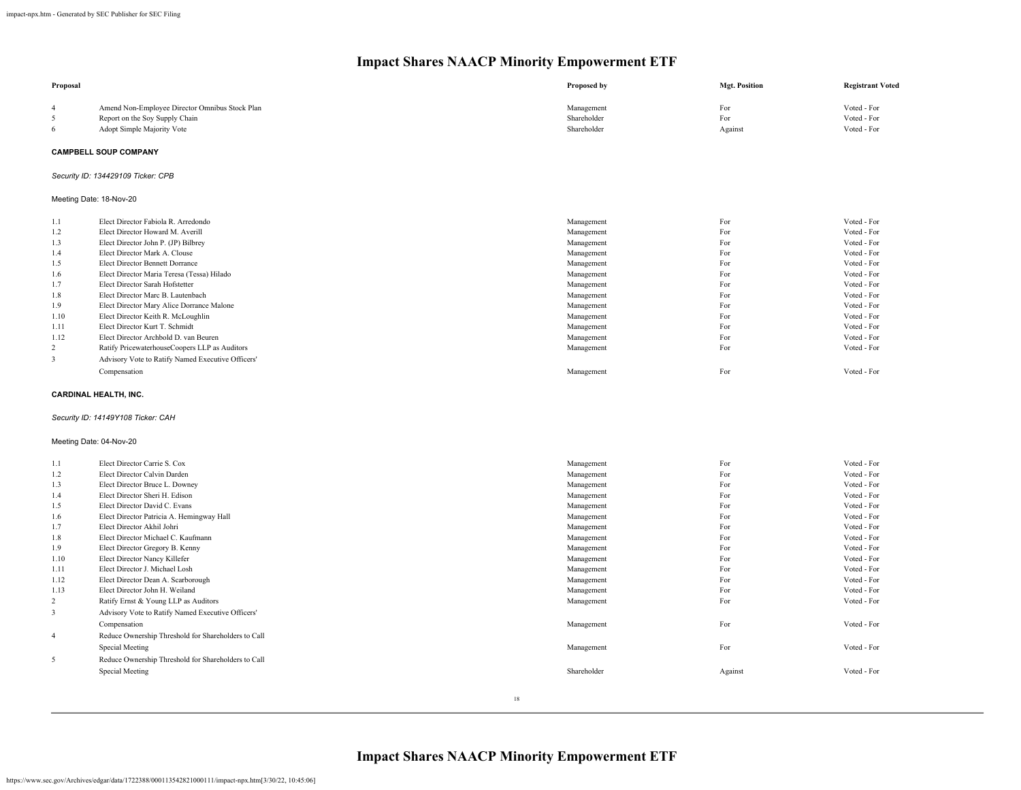| Proposal       |                                                                         | Proposed by              | <b>Mgt. Position</b> | <b>Registrant Voted</b>    |
|----------------|-------------------------------------------------------------------------|--------------------------|----------------------|----------------------------|
| $\overline{4}$ | Amend Non-Employee Director Omnibus Stock Plan                          | Management               | For                  | Voted - For                |
| 5              | Report on the Soy Supply Chain                                          | Shareholder              | For                  | Voted - For                |
| 6              | Adopt Simple Majority Vote                                              | Shareholder              | Against              | Voted - For                |
|                | <b>CAMPBELL SOUP COMPANY</b>                                            |                          |                      |                            |
|                | Security ID: 134429109 Ticker: CPB                                      |                          |                      |                            |
|                | Meeting Date: 18-Nov-20                                                 |                          |                      |                            |
| 1.1            | Elect Director Fabiola R. Arredondo                                     | Management               | For                  | Voted - For                |
| 1.2            | Elect Director Howard M. Averill                                        | Management               | For                  | Voted - For                |
| 1.3            | Elect Director John P. (JP) Bilbrey                                     | Management               | For                  | Voted - For                |
| 1.4            | Elect Director Mark A. Clouse                                           | Management               | For                  | Voted - For                |
| 1.5            | Elect Director Bennett Dorrance                                         | Management               | For                  | Voted - For                |
| 1.6            | Elect Director Maria Teresa (Tessa) Hilado                              | Management               | For                  | Voted - For                |
| 1.7            | Elect Director Sarah Hofstetter                                         | Management               | For                  | Voted - For                |
| 1.8            | Elect Director Marc B. Lautenbach                                       | Management               | For                  | Voted - For                |
| 1.9            | Elect Director Mary Alice Dorrance Malone                               | Management               | For                  | Voted - For                |
| 1.10           | Elect Director Keith R. McLoughlin                                      | Management               | For                  | Voted - For                |
| 1.11<br>1.12   | Elect Director Kurt T. Schmidt<br>Elect Director Archbold D. van Beuren | Management               | For<br>For           | Voted - For<br>Voted - For |
| 2              | Ratify PricewaterhouseCoopers LLP as Auditors                           | Management<br>Management | For                  | Voted - For                |
| $\overline{3}$ | Advisory Vote to Ratify Named Executive Officers'                       |                          |                      |                            |
|                |                                                                         |                          |                      |                            |
|                | Compensation                                                            | Management               | For                  | Voted - For                |
|                | <b>CARDINAL HEALTH, INC.</b>                                            |                          |                      |                            |
|                | Security ID: 14149Y108 Ticker: CAH                                      |                          |                      |                            |
|                | Meeting Date: 04-Nov-20                                                 |                          |                      |                            |
| 1.1            | Elect Director Carrie S. Cox                                            | Management               | For                  | Voted - For                |
| 1.2            | Elect Director Calvin Darden                                            | Management               | For                  | Voted - For                |
| 1.3            | Elect Director Bruce L. Downey                                          | Management               | For                  | Voted - For                |
| 1.4            | Elect Director Sheri H. Edison                                          | Management               | For                  | Voted - For                |
| 1.5            | Elect Director David C. Evans                                           | Management               | For                  | Voted - For                |
| 1.6            | Elect Director Patricia A. Hemingway Hall                               | Management               | For                  | Voted - For                |
| 1.7            | Elect Director Akhil Johri                                              | Management               | For                  | Voted - For                |
| 1.8            | Elect Director Michael C. Kaufmann                                      | Management               | For                  | Voted - For                |
| 1.9            | Elect Director Gregory B. Kenny                                         | Management               | For                  | Voted - For                |
| 1.10           | Elect Director Nancy Killefer                                           | Management               | For                  | Voted - For                |
| 1.11           | Elect Director J. Michael Losh                                          | Management               | For                  | Voted - For                |
| 1.12           | Elect Director Dean A. Scarborough                                      | Management               | For                  | Voted - For                |
| 1.13           | Elect Director John H. Weiland                                          | Management               | For                  | Voted - For                |
| $\overline{c}$ | Ratify Ernst & Young LLP as Auditors                                    | Management               | For                  | Voted - For                |
| $\overline{3}$ | Advisory Vote to Ratify Named Executive Officers'                       |                          |                      |                            |
|                | Compensation                                                            | Management               | For                  | Voted - For                |
| $\overline{4}$ | Reduce Ownership Threshold for Shareholders to Call                     |                          |                      |                            |
|                | Special Meeting                                                         | Management               | For                  | Voted - For                |
| 5              | Reduce Ownership Threshold for Shareholders to Call                     |                          |                      |                            |
|                | Special Meeting                                                         | Shareholder              | Against              | Voted - For                |
|                |                                                                         |                          |                      |                            |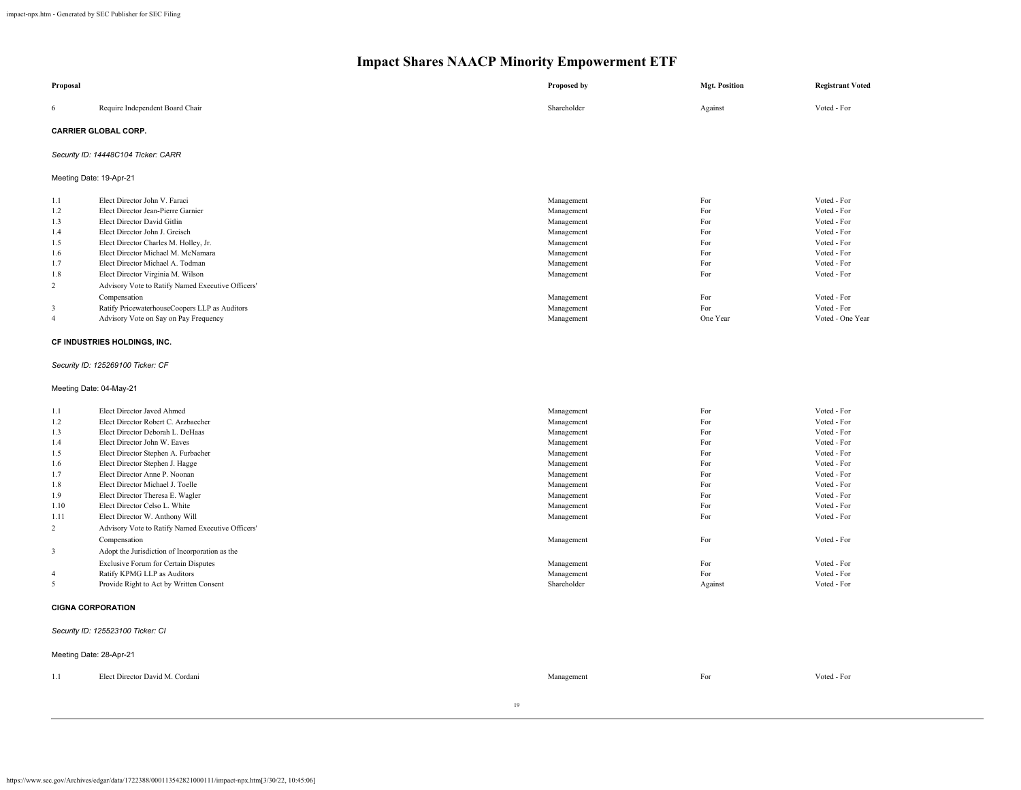| Proposal                         |                                                                                        | Proposed by              | <b>Mgt. Position</b> | <b>Registrant Voted</b>           |  |  |  |  |
|----------------------------------|----------------------------------------------------------------------------------------|--------------------------|----------------------|-----------------------------------|--|--|--|--|
| 6                                | Require Independent Board Chair                                                        | Shareholder              | Against              | Voted - For                       |  |  |  |  |
|                                  | <b>CARRIER GLOBAL CORP.</b>                                                            |                          |                      |                                   |  |  |  |  |
|                                  | Security ID: 14448C104 Ticker: CARR                                                    |                          |                      |                                   |  |  |  |  |
| Meeting Date: 19-Apr-21          |                                                                                        |                          |                      |                                   |  |  |  |  |
| 1.1                              | Elect Director John V. Faraci                                                          | Management               | For                  | Voted - For                       |  |  |  |  |
| 1.2                              | Elect Director Jean-Pierre Garnier                                                     | Management               | For                  | Voted - For                       |  |  |  |  |
| 1.3                              | Elect Director David Gitlin                                                            | Management               | For                  | Voted - For                       |  |  |  |  |
| 1.4                              | Elect Director John J. Greisch                                                         | Management               | For                  | Voted - For                       |  |  |  |  |
| 1.5                              | Elect Director Charles M. Holley, Jr.                                                  | Management               | For<br>For           | Voted - For                       |  |  |  |  |
| 1.6                              | Elect Director Michael M. McNamara<br>Elect Director Michael A. Todman                 | Management               | For                  | Voted - For<br>Voted - For        |  |  |  |  |
| 1.7<br>1.8                       | Elect Director Virginia M. Wilson                                                      | Management<br>Management | For                  | Voted - For                       |  |  |  |  |
|                                  |                                                                                        |                          |                      |                                   |  |  |  |  |
| 2                                | Advisory Vote to Ratify Named Executive Officers'                                      |                          |                      |                                   |  |  |  |  |
|                                  | Compensation                                                                           | Management               | For<br>For           | Voted - For                       |  |  |  |  |
| $\mathfrak{Z}$<br>$\overline{4}$ | Ratify PricewaterhouseCoopers LLP as Auditors<br>Advisory Vote on Say on Pay Frequency | Management<br>Management | One Year             | Voted - For<br>Voted - One Year   |  |  |  |  |
|                                  |                                                                                        |                          |                      |                                   |  |  |  |  |
|                                  | CF INDUSTRIES HOLDINGS, INC.                                                           |                          |                      |                                   |  |  |  |  |
|                                  | Security ID: 125269100 Ticker: CF                                                      |                          |                      |                                   |  |  |  |  |
|                                  | Meeting Date: 04-May-21                                                                |                          |                      |                                   |  |  |  |  |
| 1.1                              | Elect Director Javed Ahmed                                                             | Management               | For                  | Voted - For                       |  |  |  |  |
| 1.2                              | Elect Director Robert C. Arzbaecher                                                    | Management               | For                  | Voted - For                       |  |  |  |  |
| 1.3                              | Elect Director Deborah L. DeHaas                                                       | Management               | For                  | Voted - For                       |  |  |  |  |
| 1.4                              | Elect Director John W. Eaves                                                           | Management               | For                  | Voted - For                       |  |  |  |  |
| 1.5                              | Elect Director Stephen A. Furbacher                                                    | Management               | For                  | Voted - For                       |  |  |  |  |
| 1.6                              | Elect Director Stephen J. Hagge                                                        | Management               | For                  | Voted - For                       |  |  |  |  |
| 1.7                              | Elect Director Anne P. Noonan                                                          | Management               | For                  | Voted - For                       |  |  |  |  |
| 1.8                              | Elect Director Michael J. Toelle                                                       | Management               | For                  | Voted - For                       |  |  |  |  |
| 1.9                              | Elect Director Theresa E. Wagler                                                       | Management               | For                  | Voted - For                       |  |  |  |  |
| 1.10                             | Elect Director Celso L. White                                                          | Management               | For                  | Voted - For                       |  |  |  |  |
| 1.11                             | Elect Director W. Anthony Will                                                         | Management               | For                  | Voted - For                       |  |  |  |  |
| $\overline{c}$                   | Advisory Vote to Ratify Named Executive Officers'                                      |                          |                      |                                   |  |  |  |  |
|                                  | Compensation                                                                           | Management               | For                  | Voted - For                       |  |  |  |  |
| $\overline{\mathbf{3}}$          | Adopt the Jurisdiction of Incorporation as the                                         |                          |                      |                                   |  |  |  |  |
|                                  | <b>Exclusive Forum for Certain Disputes</b>                                            | Management               | For                  | Voted - For                       |  |  |  |  |
| $\overline{4}$                   | Ratify KPMG LLP as Auditors                                                            | Management               | For                  | Voted - For                       |  |  |  |  |
| 5                                | Provide Right to Act by Written Consent                                                | Shareholder              | Against              | Voted - For                       |  |  |  |  |
| <b>CIGNA CORPORATION</b>         |                                                                                        |                          |                      |                                   |  |  |  |  |
|                                  |                                                                                        |                          |                      | Security ID: 125523100 Ticker: CI |  |  |  |  |
|                                  |                                                                                        |                          |                      |                                   |  |  |  |  |
|                                  | Meeting Date: 28-Apr-21                                                                |                          |                      |                                   |  |  |  |  |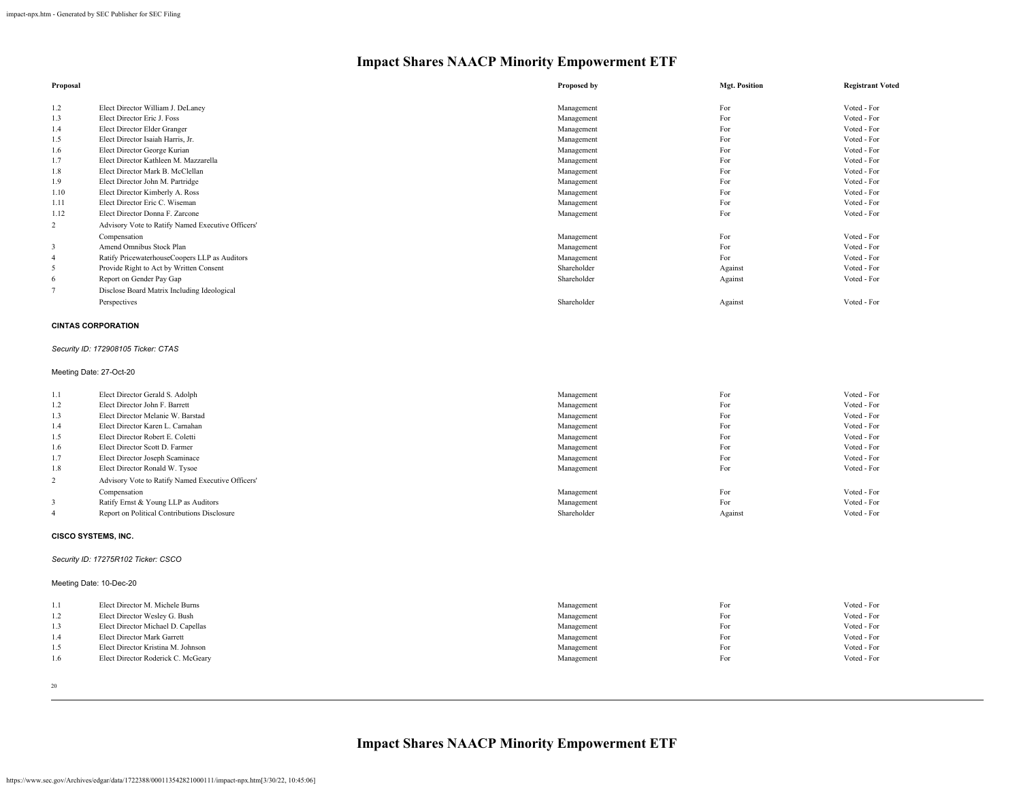| Proposal       |                                                   | Proposed by | <b>Mgt. Position</b> | <b>Registrant Voted</b> |
|----------------|---------------------------------------------------|-------------|----------------------|-------------------------|
| 1.2            | Elect Director William J. DeLaney                 |             | For                  | Voted - For             |
|                | Elect Director Eric J. Foss                       | Management  | For                  |                         |
| 1.3            |                                                   | Management  |                      | Voted - For             |
| 1.4            | Elect Director Elder Granger                      | Management  | For                  | Voted - For             |
| 1.5            | Elect Director Isaiah Harris, Jr.                 | Management  | For                  | Voted - For             |
| 1.6            | Elect Director George Kurian                      | Management  | For                  | Voted - For             |
| 1.7            | Elect Director Kathleen M. Mazzarella             | Management  | For                  | Voted - For             |
| 1.8            | Elect Director Mark B. McClellan                  | Management  | For                  | Voted - For             |
| 1.9            | Elect Director John M. Partridge                  | Management  | For                  | Voted - For             |
| 1.10           | Elect Director Kimberly A. Ross                   | Management  | For                  | Voted - For             |
| 1.11           | Elect Director Eric C. Wiseman                    | Management  | For                  | Voted - For             |
| 1.12           | Elect Director Donna F. Zarcone                   | Management  | For                  | Voted - For             |
| $\overline{2}$ | Advisory Vote to Ratify Named Executive Officers' |             |                      |                         |
|                | Compensation                                      | Management  | For                  | Voted - For             |
| 3              | Amend Omnibus Stock Plan                          | Management  | For                  | Voted - For             |
| 4              | Ratify PricewaterhouseCoopers LLP as Auditors     | Management  | For                  | Voted - For             |
| 5              | Provide Right to Act by Written Consent           | Shareholder | Against              | Voted - For             |
| 6              | Report on Gender Pay Gap                          | Shareholder | Against              | Voted - For             |
|                | Disclose Board Matrix Including Ideological       |             |                      |                         |
|                | Perspectives                                      | Shareholder | Against              | Voted - For             |
|                | <b>CINTAS CORPORATION</b>                         |             |                      |                         |

### *Security ID: 172908105 Ticker: CTAS*

#### Meeting Date: 27-Oct-20

| 1.1            | Elect Director Gerald S. Adolph                   | Management  | For     | Voted - For |
|----------------|---------------------------------------------------|-------------|---------|-------------|
| 1.2            | Elect Director John F. Barrett                    | Management  | For     | Voted - For |
| 1.3            | Elect Director Melanie W. Barstad                 | Management  | For     | Voted - For |
| 1.4            | Elect Director Karen L. Carnahan                  | Management  | For     | Voted - For |
| 1.5            | Elect Director Robert E. Coletti                  | Management  | For     | Voted - For |
| 1.6            | Elect Director Scott D. Farmer                    | Management  | For     | Voted - For |
| 1.7            | Elect Director Joseph Scaminace                   | Management  | For     | Voted - For |
| 1.8            | Elect Director Ronald W. Tysoe                    | Management  | For     | Voted - For |
| $\overline{2}$ | Advisory Vote to Ratify Named Executive Officers' |             |         |             |
|                | Compensation                                      | Management  | For     | Voted - For |
|                | Ratify Ernst & Young LLP as Auditors              | Management  | For     | Voted - For |
| 4              | Report on Political Contributions Disclosure      | Shareholder | Against | Voted - For |
|                |                                                   |             |         |             |

#### **CISCO SYSTEMS, INC.**

#### *Security ID: 17275R102 Ticker: CSCO*

| Meeting Date: 10-Dec-20 |  |  |  |
|-------------------------|--|--|--|
|-------------------------|--|--|--|

| 1.1 | Elect Director M. Michele Burns    | Management | For | Voted - For |
|-----|------------------------------------|------------|-----|-------------|
| 1.2 | Elect Director Wesley G. Bush      | Management | For | Voted - For |
| 1.3 | Elect Director Michael D. Capellas | Management | For | Voted - For |
| 1.4 | Elect Director Mark Garrett        | Management | For | Voted - For |
| 1.5 | Elect Director Kristina M. Johnson | Management | For | Voted - For |
| 1.6 | Elect Director Roderick C. McGeary | Management | For | Voted - For |
|     |                                    |            |     |             |

20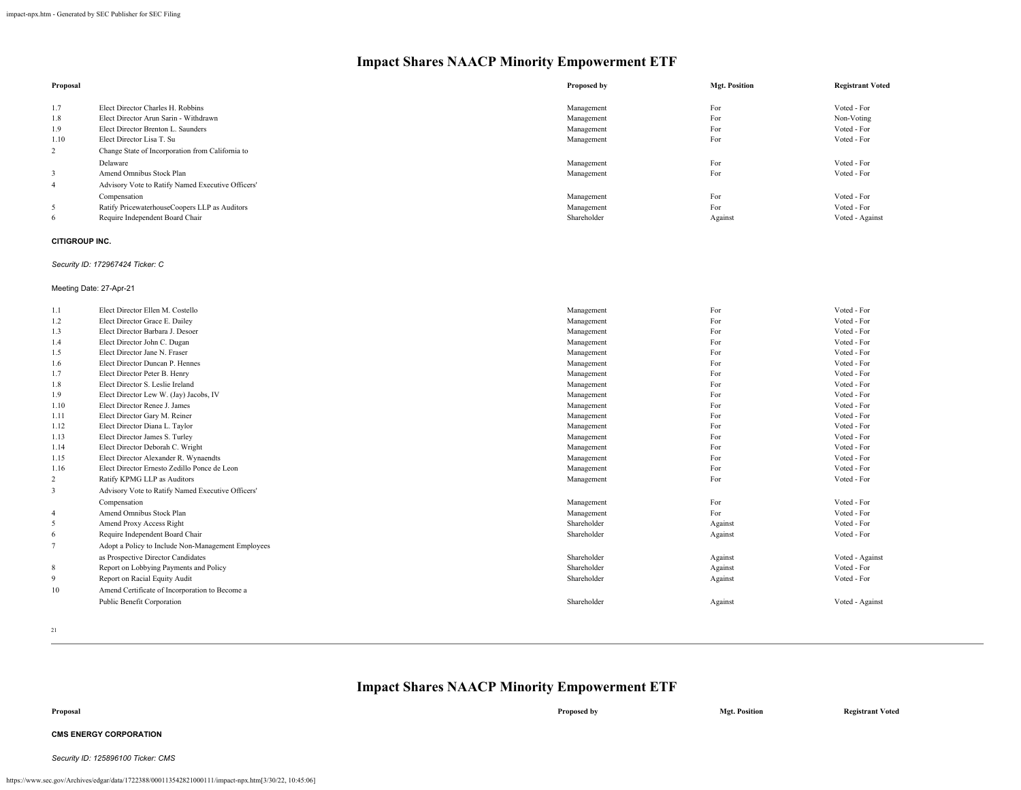| Proposal       |                                                   | Proposed by | <b>Mgt. Position</b> | <b>Registrant Voted</b> |
|----------------|---------------------------------------------------|-------------|----------------------|-------------------------|
|                |                                                   |             |                      |                         |
| 1.7            | Elect Director Charles H. Robbins                 | Management  | For                  | Voted - For             |
| 1.8            | Elect Director Arun Sarin - Withdrawn             | Management  | For                  | Non-Voting              |
| 1.9            | Elect Director Brenton L. Saunders                | Management  | For                  | Voted - For             |
| 1.10           | Elect Director Lisa T. Su                         | Management  | For                  | Voted - For             |
| 2              | Change State of Incorporation from California to  |             |                      |                         |
|                | Delaware                                          | Management  | For                  | Voted - For             |
| 3              | Amend Omnibus Stock Plan                          | Management  | For                  | Voted - For             |
| $\overline{4}$ | Advisory Vote to Ratify Named Executive Officers' |             |                      |                         |
|                | Compensation                                      | Management  | For                  | Voted - For             |
| 5              | Ratify PricewaterhouseCoopers LLP as Auditors     | Management  | For                  | Voted - For             |
| 6              | Require Independent Board Chair                   | Shareholder | Against              | Voted - Against         |

#### **CITIGROUP INC.**

#### *Security ID: 172967424 Ticker: C*

Meeting Date: 27-Apr-21

| 1.1            | Elect Director Ellen M. Costello                   | Management  | For     | Voted - For     |
|----------------|----------------------------------------------------|-------------|---------|-----------------|
| 1.2            | Elect Director Grace E. Dailey                     | Management  | For     | Voted - For     |
| 1.3            | Elect Director Barbara J. Desoer                   | Management  | For     | Voted - For     |
| 1.4            | Elect Director John C. Dugan                       | Management  | For     | Voted - For     |
| 1.5            | Elect Director Jane N. Fraser                      | Management  | For     | Voted - For     |
| 1.6            | Elect Director Duncan P. Hennes                    | Management  | For     | Voted - For     |
| 1.7            | Elect Director Peter B. Henry                      | Management  | For     | Voted - For     |
| 1.8            | Elect Director S. Leslie Ireland                   | Management  | For     | Voted - For     |
| 1.9            | Elect Director Lew W. (Jay) Jacobs, IV             | Management  | For     | Voted - For     |
| 1.10           | Elect Director Renee J. James                      | Management  | For     | Voted - For     |
| 1.11           | Elect Director Gary M. Reiner                      | Management  | For     | Voted - For     |
| 1.12           | Elect Director Diana L. Taylor                     | Management  | For     | Voted - For     |
| 1.13           | Elect Director James S. Turley                     | Management  | For     | Voted - For     |
| 1.14           | Elect Director Deborah C. Wright                   | Management  | For     | Voted - For     |
| 1.15           | Elect Director Alexander R. Wynaendts              | Management  | For     | Voted - For     |
| 1.16           | Elect Director Ernesto Zedillo Ponce de Leon       | Management  | For     | Voted - For     |
| $\overline{c}$ | Ratify KPMG LLP as Auditors                        | Management  | For     | Voted - For     |
| 3              | Advisory Vote to Ratify Named Executive Officers'  |             |         |                 |
|                | Compensation                                       | Management  | For     | Voted - For     |
| $\overline{4}$ | Amend Omnibus Stock Plan                           | Management  | For     | Voted - For     |
| 5              | Amend Proxy Access Right                           | Shareholder | Against | Voted - For     |
| 6              | Require Independent Board Chair                    | Shareholder | Against | Voted - For     |
| $\overline{7}$ | Adopt a Policy to Include Non-Management Employees |             |         |                 |
|                | as Prospective Director Candidates                 | Shareholder | Against | Voted - Against |
| 8              | Report on Lobbying Payments and Policy             | Shareholder | Against | Voted - For     |
| 9              | Report on Racial Equity Audit                      | Shareholder | Against | Voted - For     |
| 10             | Amend Certificate of Incorporation to Become a     |             |         |                 |
|                | Public Benefit Corporation                         | Shareholder | Against | Voted - Against |
|                |                                                    |             |         |                 |

21

### **Impact Shares NAACP Minority Empowerment ETF**

#### **CMS ENERGY CORPORATION**

*Security ID: 125896100 Ticker: CMS*

**Proposal Proposed by Mgt. Position Registrant Voted**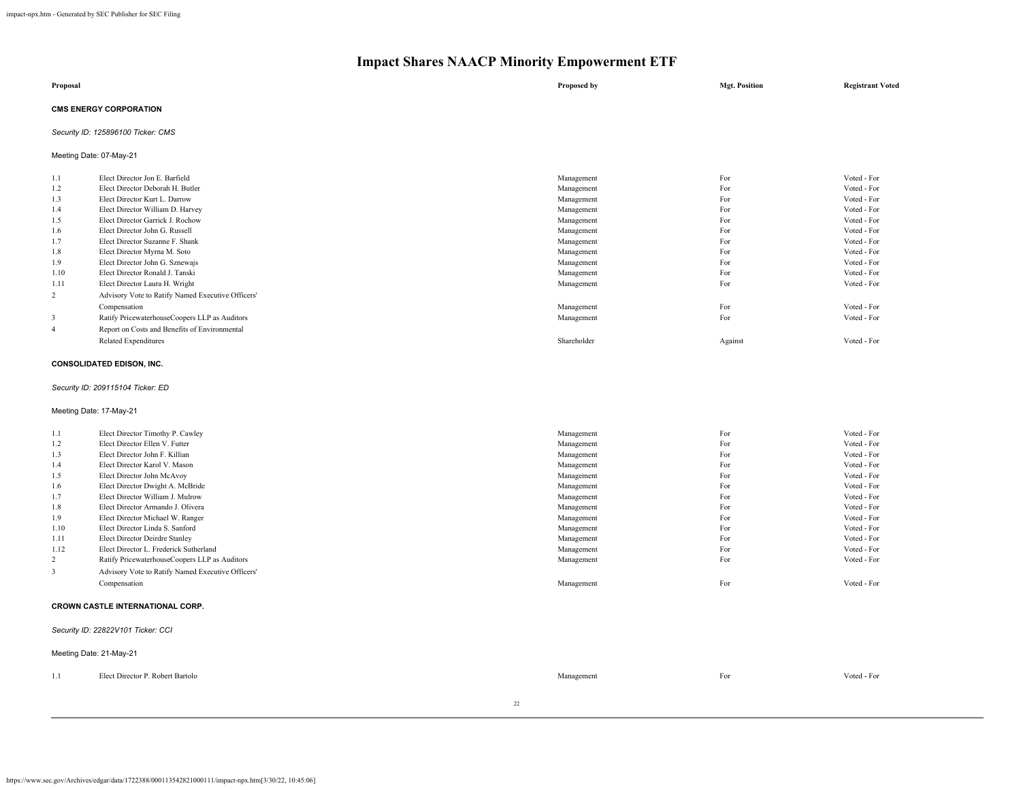| Proposal                      | Proposed by | <b>Mgt. Position</b> | <b>Registrant Voted</b> |
|-------------------------------|-------------|----------------------|-------------------------|
| <b>CMS ENERGY CORPORATION</b> |             |                      |                         |

#### *Security ID: 125896100 Ticker: CMS*

Meeting Date: 07-May-21

| Elect Director Jon E. Barfield                    | Management  | For     | Voted - For |
|---------------------------------------------------|-------------|---------|-------------|
| Elect Director Deborah H. Butler                  | Management  | For     | Voted - For |
| Elect Director Kurt L. Darrow                     | Management  | For     | Voted - For |
| Elect Director William D. Harvey                  | Management  | For     | Voted - For |
| Elect Director Garrick J. Rochow                  | Management  | For     | Voted - For |
| Elect Director John G. Russell                    | Management  | For     | Voted - For |
| Elect Director Suzanne F. Shank                   | Management  | For     | Voted - For |
| Elect Director Myrna M. Soto                      | Management  | For     | Voted - For |
| Elect Director John G. Sznewajs                   | Management  | For     | Voted - For |
| Elect Director Ronald J. Tanski                   | Management  | For     | Voted - For |
| Elect Director Laura H. Wright                    | Management  | For     | Voted - For |
| Advisory Vote to Ratify Named Executive Officers' |             |         |             |
| Compensation                                      | Management  | For     | Voted - For |
| Ratify PricewaterhouseCoopers LLP as Auditors     | Management  | For     | Voted - For |
| Report on Costs and Benefits of Environmental     |             |         |             |
| <b>Related Expenditures</b>                       | Shareholder | Against | Voted - For |
|                                                   |             |         |             |

#### **CONSOLIDATED EDISON, INC.**

#### *Security ID: 209115104 Ticker: ED*

Meeting Date: 17-May-21

| 1.1            | Elect Director Timothy P. Cawley                  | Management | For | Voted - For |  |  |
|----------------|---------------------------------------------------|------------|-----|-------------|--|--|
| 1.2            | Elect Director Ellen V. Futter                    | Management | For | Voted - For |  |  |
| 1.3            | Elect Director John F. Killian                    | Management | For | Voted - For |  |  |
| 1.4            | Elect Director Karol V. Mason                     | Management | For | Voted - For |  |  |
| 1.5            | Elect Director John McAvoy                        | Management | For | Voted - For |  |  |
| 1.6            | Elect Director Dwight A. McBride                  | Management | For | Voted - For |  |  |
| 1.7            | Elect Director William J. Mulrow                  | Management | For | Voted - For |  |  |
| 1.8            | Elect Director Armando J. Olivera                 | Management | For | Voted - For |  |  |
| 1.9            | Elect Director Michael W. Ranger                  | Management | For | Voted - For |  |  |
| 1.10           | Elect Director Linda S. Sanford                   | Management | For | Voted - For |  |  |
| 1.11           | Elect Director Deirdre Stanley                    | Management | For | Voted - For |  |  |
| 1.12           | Elect Director L. Frederick Sutherland            | Management | For | Voted - For |  |  |
| $\overline{2}$ | Ratify PricewaterhouseCoopers LLP as Auditors     | Management | For | Voted - For |  |  |
| 3              | Advisory Vote to Ratify Named Executive Officers' |            |     |             |  |  |
|                | Compensation                                      | Management | For | Voted - For |  |  |
|                | <b>CROWN CASTLE INTERNATIONAL CORP.</b>           |            |     |             |  |  |
|                | Security ID: 22822V101 Ticker: CCI                |            |     |             |  |  |
|                | Meeting Date: 21-May-21                           |            |     |             |  |  |

| 1.1 | Elect Director P.<br><sup>D</sup> Robert Bartolo | Managemen. | For<br>and the state of the state of | $T_{\text{other}}$<br>voted - For |
|-----|--------------------------------------------------|------------|--------------------------------------|-----------------------------------|
|     |                                                  |            |                                      |                                   |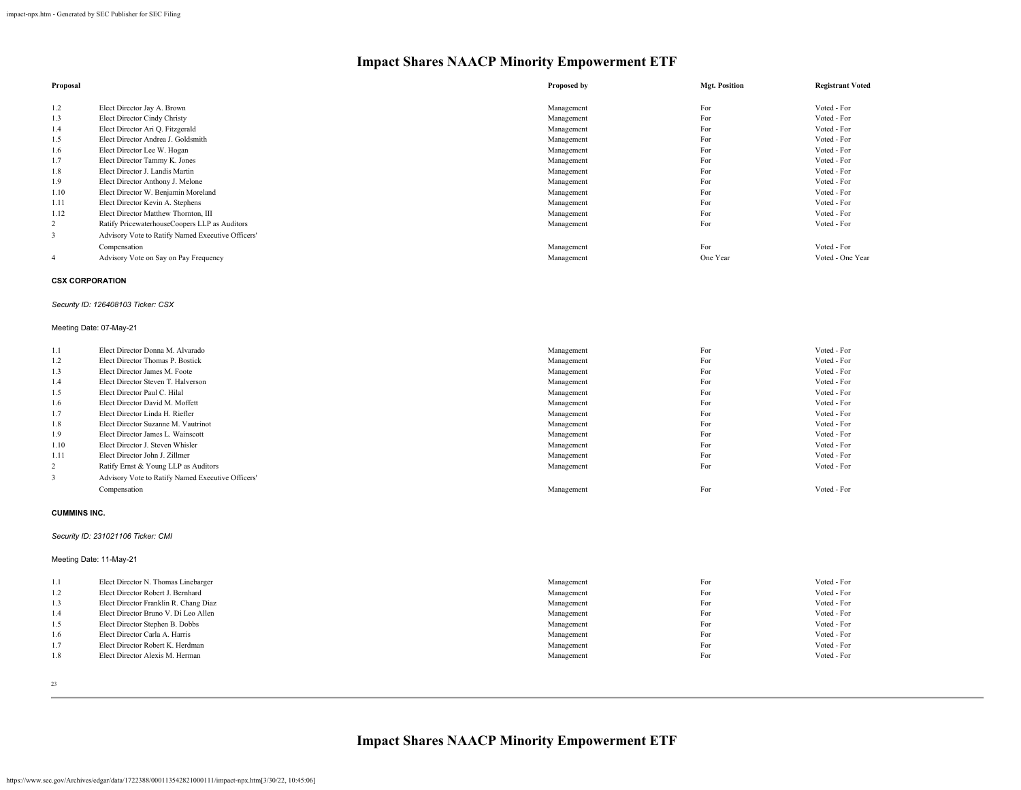| Proposal |                                                   | Proposed by | <b>Mgt. Position</b> | <b>Registrant Voted</b> |
|----------|---------------------------------------------------|-------------|----------------------|-------------------------|
|          |                                                   |             |                      |                         |
| 1.2      | Elect Director Jay A. Brown                       | Management  | For                  | Voted - For             |
| 1.3      | Elect Director Cindy Christy                      | Management  | For                  | Voted - For             |
| 1.4      | Elect Director Ari Q. Fitzgerald                  | Management  | For                  | Voted - For             |
| 1.5      | Elect Director Andrea J. Goldsmith                | Management  | For                  | Voted - For             |
| 1.6      | Elect Director Lee W. Hogan                       | Management  | For                  | Voted - For             |
| 1.7      | Elect Director Tammy K. Jones                     | Management  | For                  | Voted - For             |
| 1.8      | Elect Director J. Landis Martin                   | Management  | For                  | Voted - For             |
| 1.9      | Elect Director Anthony J. Melone                  | Management  | For                  | Voted - For             |
| 1.10     | Elect Director W. Benjamin Moreland               | Management  | For                  | Voted - For             |
| 1.11     | Elect Director Kevin A. Stephens                  | Management  | For                  | Voted - For             |
| 1.12     | Elect Director Matthew Thornton, III              | Management  | For                  | Voted - For             |
| 2        | Ratify PricewaterhouseCoopers LLP as Auditors     | Management  | For                  | Voted - For             |
| 3        | Advisory Vote to Ratify Named Executive Officers' |             |                      |                         |
|          | Compensation                                      | Management  | For                  | Voted - For             |
| -4       | Advisory Vote on Say on Pay Frequency             | Management  | One Year             | Voted - One Year        |

#### **CSX CORPORATION**

#### *Security ID: 126408103 Ticker: CSX*

#### Meeting Date: 07-May-21

| 1.1  | Elect Director Donna M. Alvarado                  | Management | For | Voted - For |
|------|---------------------------------------------------|------------|-----|-------------|
| 1.2  | Elect Director Thomas P. Bostick                  | Management | For | Voted - For |
| 1.3  | Elect Director James M. Foote                     | Management | For | Voted - For |
| 1.4  | Elect Director Steven T. Halverson                | Management | For | Voted - For |
| 1.5  | Elect Director Paul C. Hilal                      | Management | For | Voted - For |
| 1.6  | Elect Director David M. Moffett                   | Management | For | Voted - For |
| 1.7  | Elect Director Linda H. Riefler                   | Management | For | Voted - For |
| 1.8  | Elect Director Suzanne M. Vautrinot               | Management | For | Voted - For |
| 1.9  | Elect Director James L. Wainscott                 | Management | For | Voted - For |
| 1.10 | Elect Director J. Steven Whisler                  | Management | For | Voted - For |
| 1.11 | Elect Director John J. Zillmer                    | Management | For | Voted - For |
| 2    | Ratify Ernst & Young LLP as Auditors              | Management | For | Voted - For |
| 3    | Advisory Vote to Ratify Named Executive Officers' |            |     |             |
|      | Compensation                                      | Management | For | Voted - For |

#### **CUMMINS INC.**

#### *Security ID: 231021106 Ticker: CMI*

#### Meeting Date: 11-May-21

| 1.1 | Elect Director N. Thomas Linebarger   | Management | For | Voted - For |
|-----|---------------------------------------|------------|-----|-------------|
| 1.2 | Elect Director Robert J. Bernhard     | Management | For | Voted - For |
| 1.3 | Elect Director Franklin R. Chang Diaz | Management | For | Voted - For |
| 1.4 | Elect Director Bruno V. Di Leo Allen  | Management | For | Voted - For |
| 1.5 | Elect Director Stephen B. Dobbs       | Management | For | Voted - For |
| 1.6 | Elect Director Carla A. Harris        | Management | For | Voted - For |
| 1.7 | Elect Director Robert K. Herdman      | Management | For | Voted - For |
| 1.8 | Elect Director Alexis M. Herman       | Management | For | Voted - For |
|     |                                       |            |     |             |

23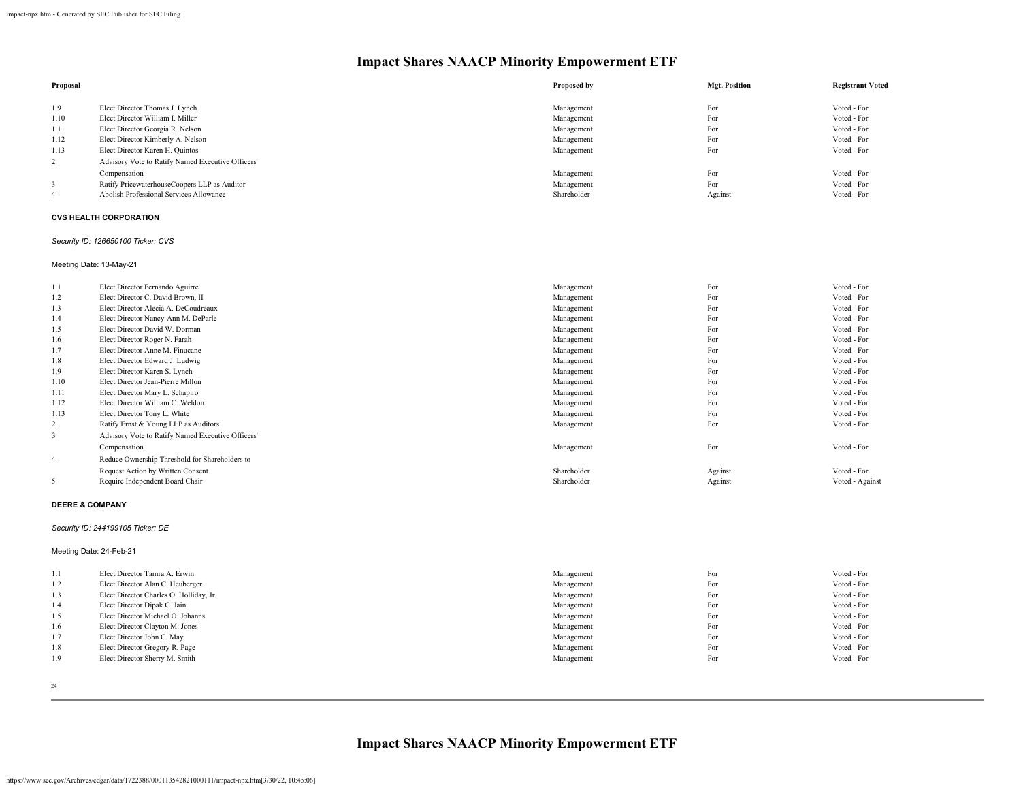| Proposal |                                                   | Proposed by | <b>Mgt. Position</b> | <b>Registrant Voted</b> |
|----------|---------------------------------------------------|-------------|----------------------|-------------------------|
| 1.9      | Elect Director Thomas J. Lynch                    | Management  | For                  | Voted - For             |
| 1.10     | Elect Director William I. Miller                  | Management  | For                  | Voted - For             |
| 1.11     | Elect Director Georgia R. Nelson                  | Management  | For                  | Voted - For             |
| 1.12     | Elect Director Kimberly A. Nelson                 | Management  | For                  | Voted - For             |
| 1.13     | Elect Director Karen H. Quintos                   | Management  | For                  | Voted - For             |
| 2        | Advisory Vote to Ratify Named Executive Officers' |             |                      |                         |
|          | Compensation                                      | Management  | For                  | Voted - For             |
|          | Ratify PricewaterhouseCoopers LLP as Auditor      | Management  | For                  | Voted - For             |
|          | Abolish Professional Services Allowance           | Shareholder | Against              | Voted - For             |

#### **CVS HEALTH CORPORATION**

#### *Security ID: 126650100 Ticker: CVS*

Meeting Date: 13-May-21

| 1.1            | Elect Director Fernando Aguirre                   | Management  | For     | Voted - For     |
|----------------|---------------------------------------------------|-------------|---------|-----------------|
| 1.2            | Elect Director C. David Brown, II                 | Management  | For     | Voted - For     |
| 1.3            | Elect Director Alecia A. DeCoudreaux              | Management  | For     | Voted - For     |
| 1.4            | Elect Director Nancy-Ann M. DeParle               | Management  | For     | Voted - For     |
| 1.5            | Elect Director David W. Dorman                    | Management  | For     | Voted - For     |
| 1.6            | Elect Director Roger N. Farah                     | Management  | For     | Voted - For     |
| 1.7            | Elect Director Anne M. Finucane                   | Management  | For     | Voted - For     |
| 1.8            | Elect Director Edward J. Ludwig                   | Management  | For     | Voted - For     |
| 1.9            | Elect Director Karen S. Lynch                     | Management  | For     | Voted - For     |
| 1.10           | Elect Director Jean-Pierre Millon                 | Management  | For     | Voted - For     |
| 1.11           | Elect Director Mary L. Schapiro                   | Management  | For     | Voted - For     |
| 1.12           | Elect Director William C. Weldon                  | Management  | For     | Voted - For     |
| 1.13           | Elect Director Tony L. White                      | Management  | For     | Voted - For     |
| 2              | Ratify Ernst & Young LLP as Auditors              | Management  | For     | Voted - For     |
| 3              | Advisory Vote to Ratify Named Executive Officers' |             |         |                 |
|                | Compensation                                      | Management  | For     | Voted - For     |
| $\overline{4}$ | Reduce Ownership Threshold for Shareholders to    |             |         |                 |
|                | Request Action by Written Consent                 | Shareholder | Against | Voted - For     |
| 5              | Require Independent Board Chair                   | Shareholder | Against | Voted - Against |

#### **DEERE & COMPANY**

#### *Security ID: 244199105 Ticker: DE*

Meeting Date: 24-Feb-21

| 1.1 | Elect Director Tamra A. Erwin           | Management | For | Voted - For |
|-----|-----------------------------------------|------------|-----|-------------|
| 1.2 | Elect Director Alan C. Heuberger        | Management | For | Voted - For |
| 1.3 | Elect Director Charles O. Holliday, Jr. | Management | For | Voted - For |
| 1.4 | Elect Director Dipak C. Jain            | Management | For | Voted - For |
| 1.5 | Elect Director Michael O. Johanns       | Management | For | Voted - For |
| 1.6 | Elect Director Clayton M. Jones         | Management | For | Voted - For |
| 1.7 | Elect Director John C. May              | Management | For | Voted - For |
| 1.8 | Elect Director Gregory R. Page          | Management | For | Voted - For |
| 1.9 | Elect Director Sherry M. Smith          | Management | For | Voted - For |
|     |                                         |            |     |             |

24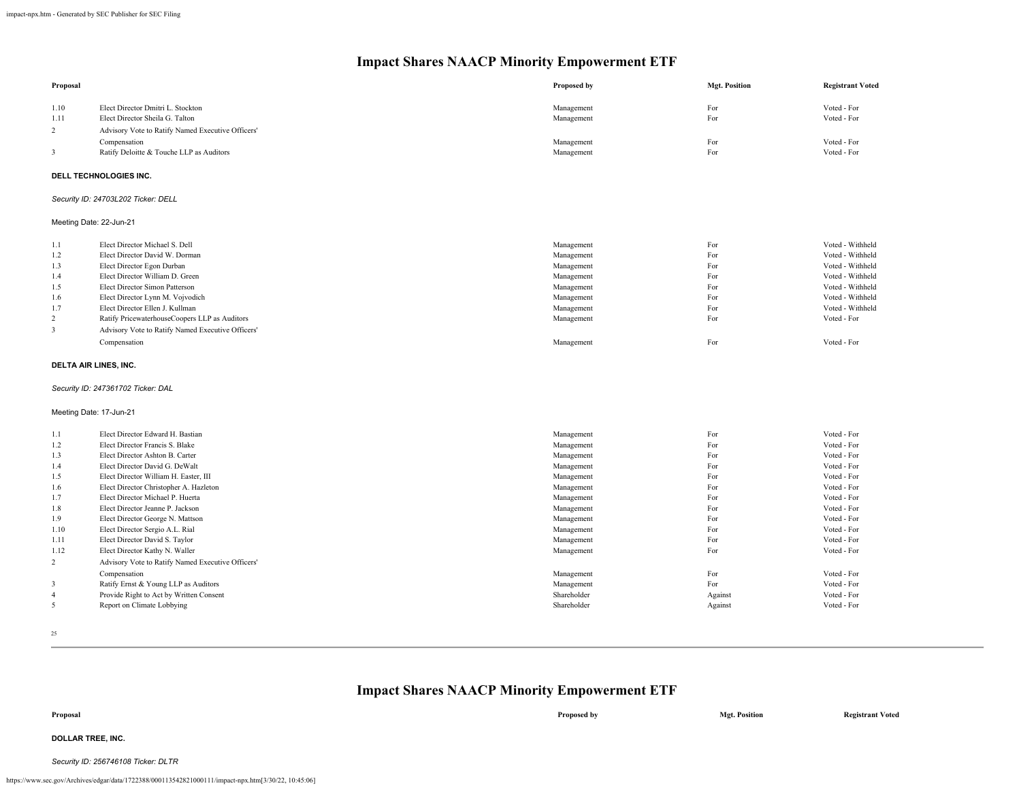| Proposal                |                                                   | Proposed by | <b>Mgt. Position</b> | <b>Registrant Voted</b> |
|-------------------------|---------------------------------------------------|-------------|----------------------|-------------------------|
| 1.10                    | Elect Director Dmitri L. Stockton                 | Management  | For                  | Voted - For             |
| 1.11                    | Elect Director Sheila G. Talton                   | Management  | For                  | Voted - For             |
| $\overline{2}$          | Advisory Vote to Ratify Named Executive Officers' |             |                      |                         |
|                         | Compensation                                      | Management  | For                  | Voted - For             |
| 3                       | Ratify Deloitte & Touche LLP as Auditors          | Management  | For                  | Voted - For             |
|                         | <b>DELL TECHNOLOGIES INC.</b>                     |             |                      |                         |
|                         | Security ID: 24703L202 Ticker: DELL               |             |                      |                         |
| Meeting Date: 22-Jun-21 |                                                   |             |                      |                         |
| 1.1                     | Elect Director Michael S. Dell                    | Management  | For                  | Voted - Withheld        |
| 1.2                     | Elect Director David W. Dorman                    | Management  | For                  | Voted - Withheld        |
| 1.3                     | Elect Director Egon Durban                        | Management  | For                  | Voted - Withheld        |
| 1.4                     | Elect Director William D. Green                   | Management  | For                  | Voted - Withheld        |
| 1.5                     | Elect Director Simon Patterson                    | Management  | For                  | Voted - Withheld        |
| 1.6                     | Elect Director Lynn M. Vojvodich                  | Management  | For                  | Voted - Withheld        |
| 1.7                     | Elect Director Ellen J. Kullman                   | Management  | For                  | Voted - Withheld        |
| $\overline{2}$          | Ratify PricewaterhouseCoopers LLP as Auditors     | Management  | For                  | Voted - For             |
| 3                       | Advisory Vote to Ratify Named Executive Officers' |             |                      |                         |
|                         | Compensation                                      | Management  | For                  | Voted - For             |
| DELTA AIR LINES, INC.   |                                                   |             |                      |                         |
|                         | Security ID: 247361702 Ticker: DAL                |             |                      |                         |
| Meeting Date: 17-Jun-21 |                                                   |             |                      |                         |
| 1.1                     | Elect Director Edward H. Bastian                  | Management  | For                  | Voted - For             |
| 1.2                     | Elect Director Francis S. Blake                   | Management  | For                  | Voted - For             |
| 1.3                     | Elect Director Ashton B. Carter                   | Management  | For                  | Voted - For             |
| 1.4                     | Elect Director David G. DeWalt                    | Management  | For                  | Voted - For             |
| 1.5                     | Elect Director William H. Easter, III             | Management  | For                  | Voted - For             |
| 1.6                     | Elect Director Christopher A. Hazleton            | Management  | For                  | Voted - For             |
| 1.7                     | Elect Director Michael P. Huerta                  | Management  | For                  | Voted - For             |
| 1.8                     | Elect Director Jeanne P. Jackson                  | Management  | For                  | Voted - For             |
| 1.9                     | Elect Director George N. Mattson                  | Management  | For                  | Voted - For             |
| 1.10                    | Elect Director Sergio A.L. Rial                   | Management  | For                  | Voted - For             |
| 1.11                    | Elect Director David S. Taylor                    | Management  | For                  | Voted - For             |
| 1.12                    | Elect Director Kathy N. Waller                    | Management  | For                  | Voted - For             |
| $\overline{c}$          | Advisory Vote to Ratify Named Executive Officers' |             |                      |                         |
|                         | Compensation                                      | Management  | For                  | Voted - For             |
| 3                       | Ratify Ernst & Young LLP as Auditors              | Management  | For                  | Voted - For             |
| $\overline{4}$          | Provide Right to Act by Written Consent           | Shareholder | Against              | Voted - For             |
| 5                       | Report on Climate Lobbying                        | Shareholder | Against              | Voted - For             |

25

### **Impact Shares NAACP Minority Empowerment ETF**

# **Proposal Proposed by Mgt. Position Registrant Voted**

### **DOLLAR TREE, INC.**

#### *Security ID: 256746108 Ticker: DLTR*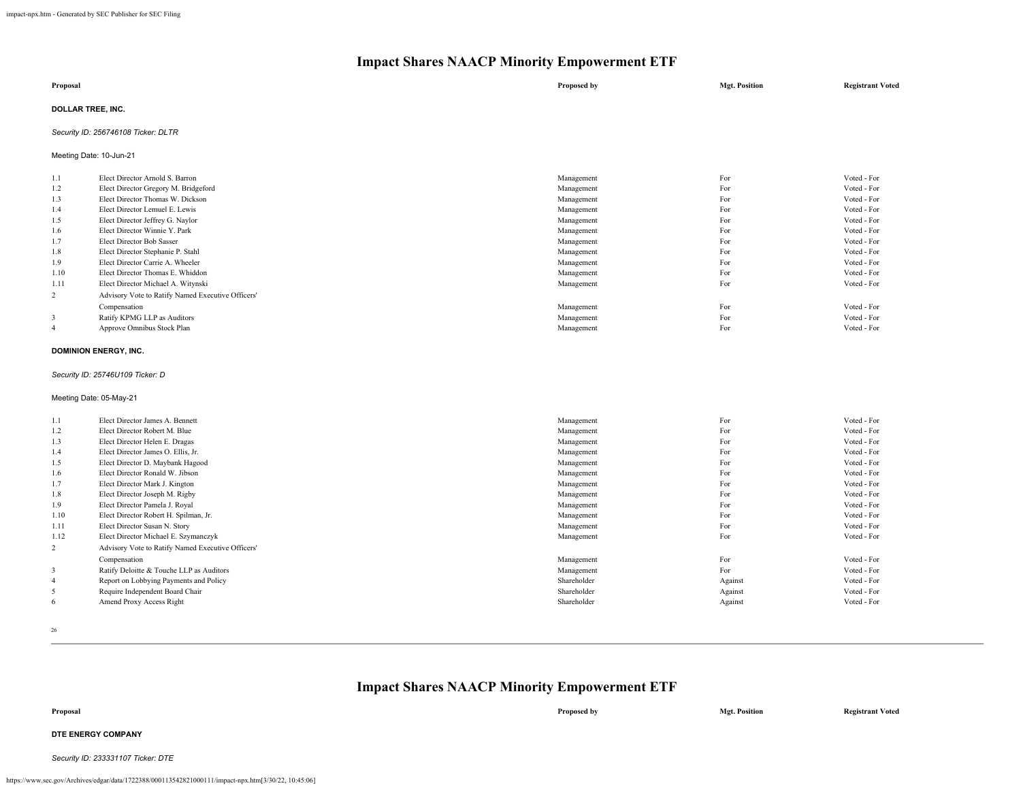| Proposal                 | Proposed by | <b>Mgt. Position</b> | <b>Registrant Voted</b> |
|--------------------------|-------------|----------------------|-------------------------|
| <b>DOLLAR TREE, INC.</b> |             |                      |                         |

#### *Security ID: 256746108 Ticker: DLTR*

Meeting Date: 10-Jun-21

| 1.1            | Elect Director Arnold S. Barron                   | Management | For | Voted - For |
|----------------|---------------------------------------------------|------------|-----|-------------|
| 1.2            | Elect Director Gregory M. Bridgeford              | Management | For | Voted - For |
| 1.3            | Elect Director Thomas W. Dickson                  | Management | For | Voted - For |
| 1.4            | Elect Director Lemuel E. Lewis                    | Management | For | Voted - For |
| 1.5            | Elect Director Jeffrey G. Naylor                  | Management | For | Voted - For |
| 1.6            | Elect Director Winnie Y. Park                     | Management | For | Voted - For |
| 1.7            | Elect Director Bob Sasser                         | Management | For | Voted - For |
| 1.8            | Elect Director Stephanie P. Stahl                 | Management | For | Voted - For |
| 1.9            | Elect Director Carrie A. Wheeler                  | Management | For | Voted - For |
| 1.10           | Elect Director Thomas E. Whiddon                  | Management | For | Voted - For |
| 1.11           | Elect Director Michael A. Witynski                | Management | For | Voted - For |
| $\overline{2}$ | Advisory Vote to Ratify Named Executive Officers' |            |     |             |
|                | Compensation                                      | Management | For | Voted - For |
| 3              | Ratify KPMG LLP as Auditors                       | Management | For | Voted - For |
| $\overline{4}$ | Approve Omnibus Stock Plan                        | Management | For | Voted - For |
|                |                                                   |            |     |             |

#### **DOMINION ENERGY, INC.**

*Security ID: 25746U109 Ticker: D*

Meeting Date: 05-May-21

| 1.1            | Elect Director James A. Bennett                   | Management  | For     | Voted - For |
|----------------|---------------------------------------------------|-------------|---------|-------------|
| 1.2            | Elect Director Robert M. Blue                     | Management  | For     | Voted - For |
| 1.3            | Elect Director Helen E. Dragas                    | Management  | For     | Voted - For |
| 1.4            | Elect Director James O. Ellis, Jr.                | Management  | For     | Voted - For |
| 1.5            | Elect Director D. Maybank Hagood                  | Management  | For     | Voted - For |
| 1.6            | Elect Director Ronald W. Jibson                   | Management  | For     | Voted - For |
| 1.7            | Elect Director Mark J. Kington                    | Management  | For     | Voted - For |
| 1.8            | Elect Director Joseph M. Rigby                    | Management  | For     | Voted - For |
| 1.9            | Elect Director Pamela J. Royal                    | Management  | For     | Voted - For |
| 1.10           | Elect Director Robert H. Spilman, Jr.             | Management  | For     | Voted - For |
| 1.11           | Elect Director Susan N. Story                     | Management  | For     | Voted - For |
| 1.12           | Elect Director Michael E. Szymanczyk              | Management  | For     | Voted - For |
| 2              | Advisory Vote to Ratify Named Executive Officers' |             |         |             |
|                | Compensation                                      | Management  | For     | Voted - For |
| 3              | Ratify Deloitte & Touche LLP as Auditors          | Management  | For     | Voted - For |
| $\overline{4}$ | Report on Lobbying Payments and Policy            | Shareholder | Against | Voted - For |
| 5              | Require Independent Board Chair                   | Shareholder | Against | Voted - For |
| 6              | Amend Proxy Access Right                          | Shareholder | Against | Voted - For |
|                |                                                   |             |         |             |

26

### **Impact Shares NAACP Minority Empowerment ETF**

**Proposal Proposed by Mgt. Position Registrant Voted**

#### **DTE ENERGY COMPANY**

*Security ID: 233331107 Ticker: DTE*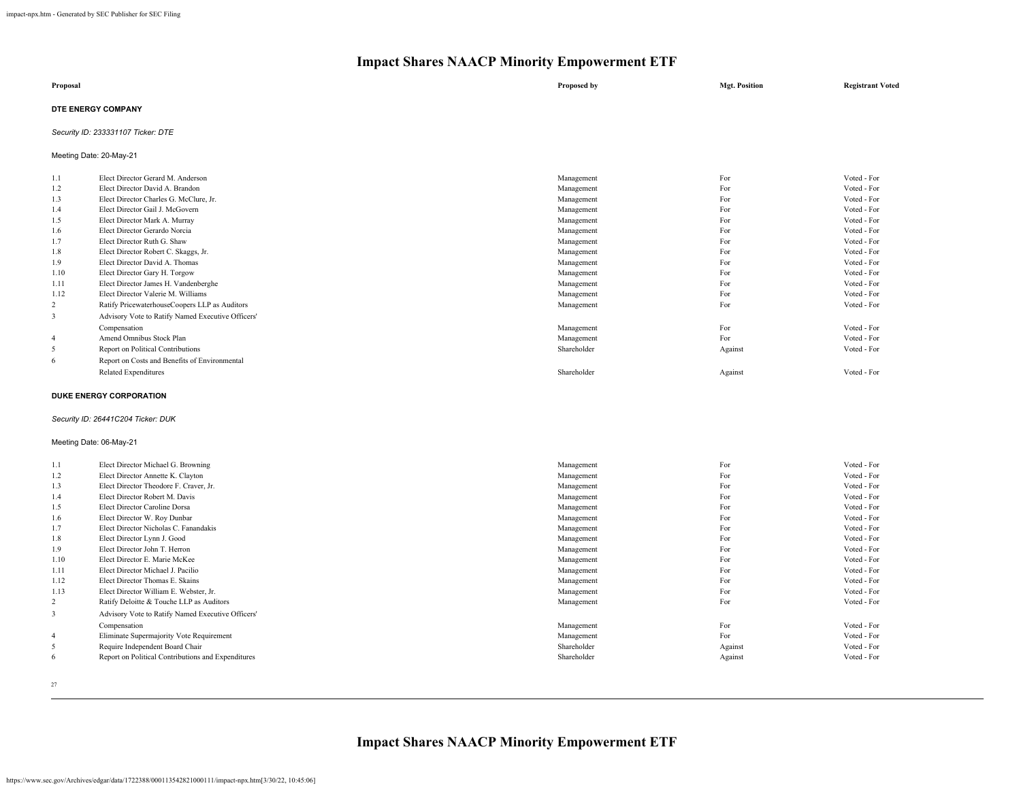| Proposal                  | Proposed by | <b>Mgt. Position</b> | <b>Registrant Voted</b> |
|---------------------------|-------------|----------------------|-------------------------|
| <b>DTE ENERGY COMPANY</b> |             |                      |                         |

#### *Security ID: 233331107 Ticker: DTE*

Meeting Date: 20-May-21

| 1.1            | Elect Director Gerard M. Anderson                 | Management  | For     | Voted - For |
|----------------|---------------------------------------------------|-------------|---------|-------------|
| 1.2            | Elect Director David A. Brandon                   | Management  | For     | Voted - For |
| 1.3            | Elect Director Charles G. McClure, Jr.            | Management  | For     | Voted - For |
| 1.4            | Elect Director Gail J. McGovern                   | Management  | For     | Voted - For |
| 1.5            | Elect Director Mark A. Murray                     | Management  | For     | Voted - For |
| 1.6            | Elect Director Gerardo Norcia                     | Management  | For     | Voted - For |
| 1.7            | Elect Director Ruth G. Shaw                       | Management  | For     | Voted - For |
| 1.8            | Elect Director Robert C. Skaggs, Jr.              | Management  | For     | Voted - For |
| 1.9            | Elect Director David A. Thomas                    | Management  | For     | Voted - For |
| 1.10           | Elect Director Gary H. Torgow                     | Management  | For     | Voted - For |
| 1.11           | Elect Director James H. Vandenberghe              | Management  | For     | Voted - For |
| 1.12           | Elect Director Valerie M. Williams                | Management  | For     | Voted - For |
| 2              | Ratify PricewaterhouseCoopers LLP as Auditors     | Management  | For     | Voted - For |
| 3              | Advisory Vote to Ratify Named Executive Officers' |             |         |             |
|                | Compensation                                      | Management  | For     | Voted - For |
| $\overline{4}$ | Amend Omnibus Stock Plan                          | Management  | For     | Voted - For |
| 5              | Report on Political Contributions                 | Shareholder | Against | Voted - For |
| 6              | Report on Costs and Benefits of Environmental     |             |         |             |
|                | Related Expenditures                              | Shareholder | Against | Voted - For |
|                |                                                   |             |         |             |

#### **DUKE ENERGY CORPORATION**

#### *Security ID: 26441C204 Ticker: DUK*

#### Meeting Date: 06-May-21

| 1.1            | Elect Director Michael G. Browning                 | Management  | For     | Voted - For |
|----------------|----------------------------------------------------|-------------|---------|-------------|
| 1.2            | Elect Director Annette K. Clayton                  | Management  | For     | Voted - For |
| 1.3            | Elect Director Theodore F. Craver, Jr.             | Management  | For     | Voted - For |
| 1.4            | Elect Director Robert M. Davis                     | Management  | For     | Voted - For |
| 1.5            | Elect Director Caroline Dorsa                      | Management  | For     | Voted - For |
| 1.6            | Elect Director W. Roy Dunbar                       | Management  | For     | Voted - For |
| 1.7            | Elect Director Nicholas C. Fanandakis              | Management  | For     | Voted - For |
| 1.8            | Elect Director Lynn J. Good                        | Management  | For     | Voted - For |
| 1.9            | Elect Director John T. Herron                      | Management  | For     | Voted - For |
| 1.10           | Elect Director E. Marie McKee                      | Management  | For     | Voted - For |
| 1.11           | Elect Director Michael J. Pacilio                  | Management  | For     | Voted - For |
| 1.12           | Elect Director Thomas E. Skains                    | Management  | For     | Voted - For |
| 1.13           | Elect Director William E. Webster, Jr.             | Management  | For     | Voted - For |
| 2              | Ratify Deloitte & Touche LLP as Auditors           | Management  | For     | Voted - For |
| 3              | Advisory Vote to Ratify Named Executive Officers'  |             |         |             |
|                | Compensation                                       | Management  | For     | Voted - For |
| $\overline{4}$ | Eliminate Supermajority Vote Requirement           | Management  | For     | Voted - For |
| 5              | Require Independent Board Chair                    | Shareholder | Against | Voted - For |
| 6              | Report on Political Contributions and Expenditures | Shareholder | Against | Voted - For |
|                |                                                    |             |         |             |

27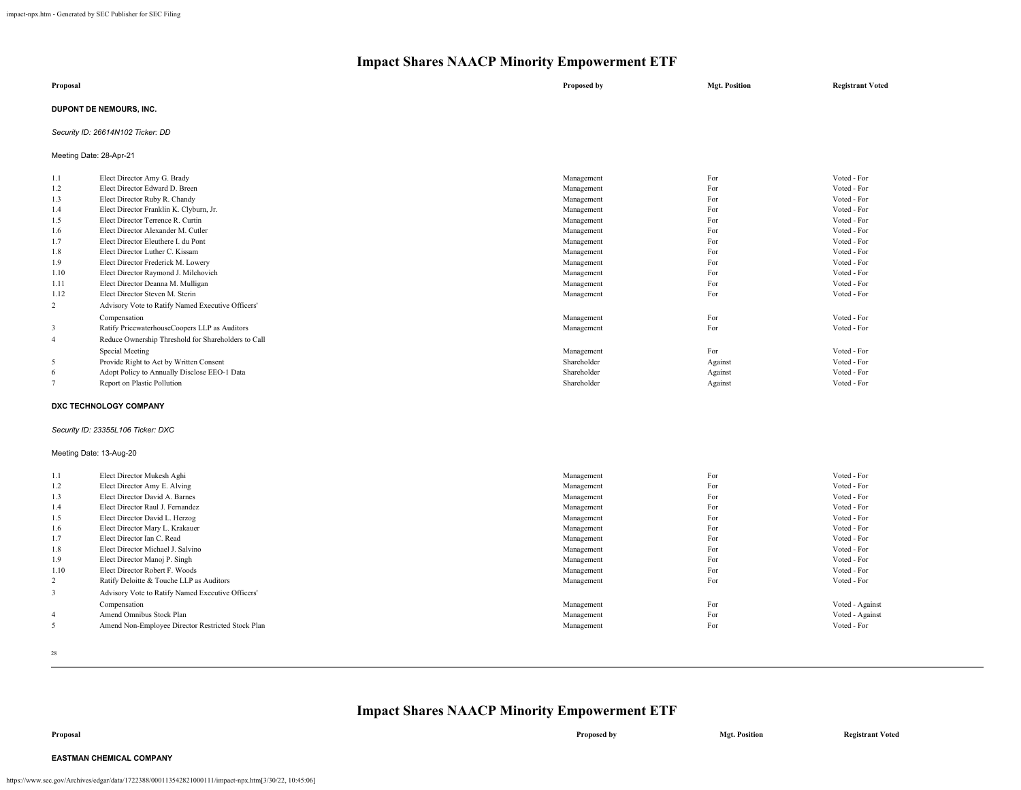| Proposal                       | Proposed by | <b>Mgt. Position</b> | <b>Registrant Voted</b> |
|--------------------------------|-------------|----------------------|-------------------------|
| <b>DUPONT DE NEMOURS, INC.</b> |             |                      |                         |

#### *Security ID: 26614N102 Ticker: DD*

Meeting Date: 28-Apr-21

| 1.1            | Elect Director Amy G. Brady                         | Management  | For     | Voted - For |
|----------------|-----------------------------------------------------|-------------|---------|-------------|
| 1.2            | Elect Director Edward D. Breen                      | Management  | For     | Voted - For |
| 1.3            | Elect Director Ruby R. Chandy                       | Management  | For     | Voted - For |
| 1.4            | Elect Director Franklin K. Clyburn, Jr.             | Management  | For     | Voted - For |
| 1.5            | Elect Director Terrence R. Curtin                   | Management  | For     | Voted - For |
| 1.6            | Elect Director Alexander M. Cutler                  | Management  | For     | Voted - For |
| 1.7            | Elect Director Eleuthere I. du Pont                 | Management  | For     | Voted - For |
| 1.8            | Elect Director Luther C. Kissam                     | Management  | For     | Voted - For |
| 1.9            | Elect Director Frederick M. Lowery                  | Management  | For     | Voted - For |
| 1.10           | Elect Director Raymond J. Milchovich                | Management  | For     | Voted - For |
| 1.11           | Elect Director Deanna M. Mulligan                   | Management  | For     | Voted - For |
| 1.12           | Elect Director Steven M. Sterin                     | Management  | For     | Voted - For |
| 2              | Advisory Vote to Ratify Named Executive Officers'   |             |         |             |
|                | Compensation                                        | Management  | For     | Voted - For |
| 3              | Ratify PricewaterhouseCoopers LLP as Auditors       | Management  | For     | Voted - For |
| $\overline{4}$ | Reduce Ownership Threshold for Shareholders to Call |             |         |             |
|                | Special Meeting                                     | Management  | For     | Voted - For |
| 5              | Provide Right to Act by Written Consent             | Shareholder | Against | Voted - For |
| 6              | Adopt Policy to Annually Disclose EEO-1 Data        | Shareholder | Against | Voted - For |
|                | Report on Plastic Pollution                         | Shareholder | Against | Voted - For |
|                |                                                     |             |         |             |

#### **DXC TECHNOLOGY COMPANY**

#### *Security ID: 23355L106 Ticker: DXC*

Meeting Date: 13-Aug-20

| 1.1            | Elect Director Mukesh Aghi                        | Management | For | Voted - For     |
|----------------|---------------------------------------------------|------------|-----|-----------------|
| 1.2            | Elect Director Amy E. Alving                      | Management | For | Voted - For     |
| 1.3            | Elect Director David A. Barnes                    | Management | For | Voted - For     |
| 1.4            | Elect Director Raul J. Fernandez                  | Management | For | Voted - For     |
| 1.5            | Elect Director David L. Herzog                    | Management | For | Voted - For     |
| 1.6            | Elect Director Mary L. Krakauer                   | Management | For | Voted - For     |
| 1.7            | Elect Director Ian C. Read                        | Management | For | Voted - For     |
| 1.8            | Elect Director Michael J. Salvino                 | Management | For | Voted - For     |
| 1.9            | Elect Director Manoj P. Singh                     | Management | For | Voted - For     |
| 1.10           | Elect Director Robert F. Woods                    | Management | For | Voted - For     |
| $\overline{2}$ | Ratify Deloitte & Touche LLP as Auditors          | Management | For | Voted - For     |
| 3              | Advisory Vote to Ratify Named Executive Officers' |            |     |                 |
|                | Compensation                                      | Management | For | Voted - Against |
| $\overline{4}$ | Amend Omnibus Stock Plan                          | Management | For | Voted - Against |
| 5              | Amend Non-Employee Director Restricted Stock Plan | Management | For | Voted - For     |
|                |                                                   |            |     |                 |

28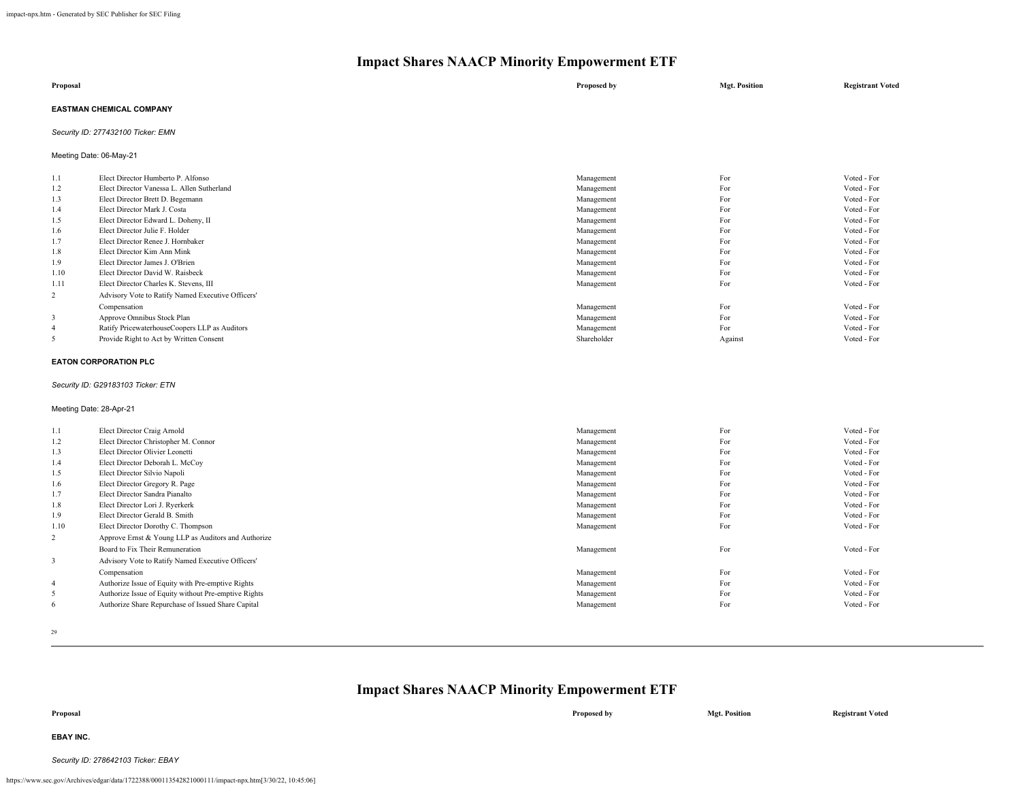| Proposal                 | Proposed by | <b>Mgt. Position</b> | <b>Registrant Voted</b> |
|--------------------------|-------------|----------------------|-------------------------|
| EASTMAN CHEMICAL COMPANY |             |                      |                         |

#### *Security ID: 277432100 Ticker: EMN*

Meeting Date: 06-May-21

| 1.1            | Elect Director Humberto P. Alfonso                | Management  | For     | Voted - For |
|----------------|---------------------------------------------------|-------------|---------|-------------|
| 1.2            | Elect Director Vanessa L. Allen Sutherland        | Management  | For     | Voted - For |
| 1.3            | Elect Director Brett D. Begemann                  | Management  | For     | Voted - For |
| 1.4            | Elect Director Mark J. Costa                      | Management  | For     | Voted - For |
| 1.5            | Elect Director Edward L. Doheny, II               | Management  | For     | Voted - For |
| 1.6            | Elect Director Julie F. Holder                    | Management  | For     | Voted - For |
| 1.7            | Elect Director Renee J. Hornbaker                 | Management  | For     | Voted - For |
| 1.8            | Elect Director Kim Ann Mink                       | Management  | For     | Voted - For |
| 1.9            | Elect Director James J. O'Brien                   | Management  | For     | Voted - For |
| 1.10           | Elect Director David W. Raisbeck                  | Management  | For     | Voted - For |
| 1.11           | Elect Director Charles K. Stevens, III            | Management  | For     | Voted - For |
| 2              | Advisory Vote to Ratify Named Executive Officers' |             |         |             |
|                | Compensation                                      | Management  | For     | Voted - For |
| 3              | Approve Omnibus Stock Plan                        | Management  | For     | Voted - For |
| $\overline{4}$ | Ratify PricewaterhouseCoopers LLP as Auditors     | Management  | For     | Voted - For |
|                | Provide Right to Act by Written Consent           | Shareholder | Against | Voted - For |
|                |                                                   |             |         |             |

#### **EATON CORPORATION PLC**

#### *Security ID: G29183103 Ticker: ETN*

#### Meeting Date: 28-Apr-21

| 1.1            | Elect Director Craig Arnold                          | Management | For | Voted - For |
|----------------|------------------------------------------------------|------------|-----|-------------|
| 1.2            | Elect Director Christopher M. Connor                 | Management | For | Voted - For |
| 1.3            | Elect Director Olivier Leonetti                      | Management | For | Voted - For |
| 1.4            | Elect Director Deborah L. McCoy                      | Management | For | Voted - For |
| 1.5            | Elect Director Silvio Napoli                         | Management | For | Voted - For |
| 1.6            | Elect Director Gregory R. Page                       | Management | For | Voted - For |
| 1.7            | Elect Director Sandra Pianalto                       | Management | For | Voted - For |
| 1.8            | Elect Director Lori J. Ryerkerk                      | Management | For | Voted - For |
| 1.9            | Elect Director Gerald B. Smith                       | Management | For | Voted - For |
| 1.10           | Elect Director Dorothy C. Thompson                   | Management | For | Voted - For |
| 2              | Approve Ernst & Young LLP as Auditors and Authorize  |            |     |             |
|                | Board to Fix Their Remuneration                      | Management | For | Voted - For |
| 3              | Advisory Vote to Ratify Named Executive Officers'    |            |     |             |
|                | Compensation                                         | Management | For | Voted - For |
| $\overline{4}$ | Authorize Issue of Equity with Pre-emptive Rights    | Management | For | Voted - For |
| 5              | Authorize Issue of Equity without Pre-emptive Rights | Management | For | Voted - For |
| 6              | Authorize Share Repurchase of Issued Share Capital   | Management | For | Voted - For |

29

| Proposal  | Proposed by | <b>Mgt. Position</b> | <b>Registrant Voted</b> |
|-----------|-------------|----------------------|-------------------------|
| EBAY INC. |             |                      |                         |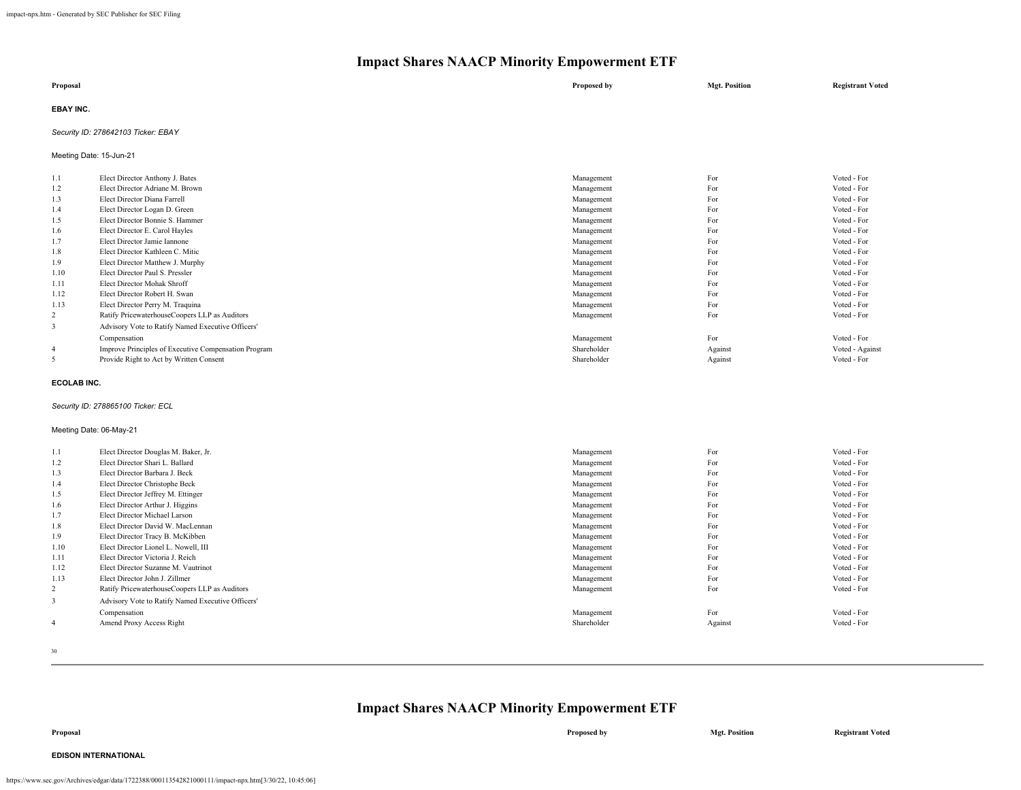| Proposal         | Proposed by | <b>Mgt. Position</b> | <b>Registrant Voted</b> |
|------------------|-------------|----------------------|-------------------------|
| <b>EBAY INC.</b> |             |                      |                         |

#### *Security ID: 278642103 Ticker: EBAY*

Meeting Date: 15-Jun-21

| 1.1            | Elect Director Anthony J. Bates                      | Management  | For     | Voted - For     |
|----------------|------------------------------------------------------|-------------|---------|-----------------|
| 1.2            | Elect Director Adriane M. Brown                      | Management  | For     | Voted - For     |
| 1.3            | Elect Director Diana Farrell                         | Management  | For     | Voted - For     |
| 1.4            | Elect Director Logan D. Green                        | Management  | For     | Voted - For     |
| 1.5            | Elect Director Bonnie S. Hammer                      | Management  | For     | Voted - For     |
| 1.6            | Elect Director E. Carol Hayles                       | Management  | For     | Voted - For     |
| 1.7            | Elect Director Jamie Iannone                         | Management  | For     | Voted - For     |
| 1.8            | Elect Director Kathleen C. Mitic                     | Management  | For     | Voted - For     |
| 1.9            | Elect Director Matthew J. Murphy                     | Management  | For     | Voted - For     |
| 1.10           | Elect Director Paul S. Pressler                      | Management  | For     | Voted - For     |
| 1.11           | Elect Director Mohak Shroff                          | Management  | For     | Voted - For     |
| 1.12           | Elect Director Robert H. Swan                        | Management  | For     | Voted - For     |
| 1.13           | Elect Director Perry M. Traquina                     | Management  | For     | Voted - For     |
| 2              | Ratify PricewaterhouseCoopers LLP as Auditors        | Management  | For     | Voted - For     |
| 3              | Advisory Vote to Ratify Named Executive Officers'    |             |         |                 |
|                | Compensation                                         | Management  | For     | Voted - For     |
| $\overline{4}$ | Improve Principles of Executive Compensation Program | Shareholder | Against | Voted - Against |
| 5              | Provide Right to Act by Written Consent              | Shareholder | Against | Voted - For     |
|                |                                                      |             |         |                 |

#### **ECOLAB INC.**

#### *Security ID: 278865100 Ticker: ECL*

#### Meeting Date: 06-May-21

| 1.1            | Elect Director Douglas M. Baker, Jr.              | Management  | For     | Voted - For |
|----------------|---------------------------------------------------|-------------|---------|-------------|
| 1.2            | Elect Director Shari L. Ballard                   | Management  | For     | Voted - For |
| 1.3            | Elect Director Barbara J. Beck                    | Management  | For     | Voted - For |
| 1.4            | Elect Director Christophe Beck                    | Management  | For     | Voted - For |
| 1.5            | Elect Director Jeffrey M. Ettinger                | Management  | For     | Voted - For |
| 1.6            | Elect Director Arthur J. Higgins                  | Management  | For     | Voted - For |
| 1.7            | Elect Director Michael Larson                     | Management  | For     | Voted - For |
| 1.8            | Elect Director David W. MacLennan                 | Management  | For     | Voted - For |
| 1.9            | Elect Director Tracy B. McKibben                  | Management  | For     | Voted - For |
| 1.10           | Elect Director Lionel L. Nowell, III              | Management  | For     | Voted - For |
| 1.11           | Elect Director Victoria J. Reich                  | Management  | For     | Voted - For |
| 1.12           | Elect Director Suzanne M. Vautrinot               | Management  | For     | Voted - For |
| 1.13           | Elect Director John J. Zillmer                    | Management  | For     | Voted - For |
| 2              | Ratify PricewaterhouseCoopers LLP as Auditors     | Management  | For     | Voted - For |
| 3              | Advisory Vote to Ratify Named Executive Officers' |             |         |             |
|                | Compensation                                      | Management  | For     | Voted - For |
| $\overline{4}$ | Amend Proxy Access Right                          | Shareholder | Against | Voted - For |
|                |                                                   |             |         |             |

30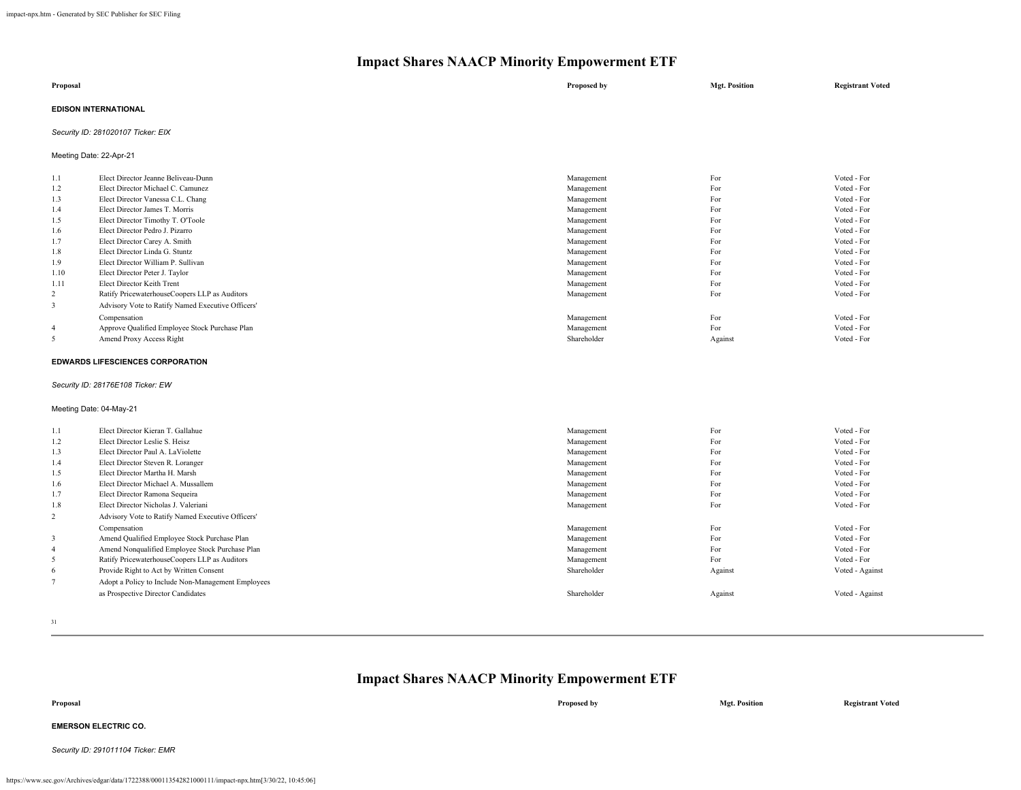| Proposal                    | Proposed by | <b>Mgt. Position</b> | <b>Registrant Voted</b> |
|-----------------------------|-------------|----------------------|-------------------------|
| <b>EDISON INTERNATIONAL</b> |             |                      |                         |

*Security ID: 281020107 Ticker: EIX*

Meeting Date: 22-Apr-21

| 1.1            | Elect Director Jeanne Beliveau-Dunn               | Management  | For     | Voted - For |
|----------------|---------------------------------------------------|-------------|---------|-------------|
| 1.2            | Elect Director Michael C. Camunez                 | Management  | For     | Voted - For |
| 1.3            | Elect Director Vanessa C.L. Chang                 | Management  | For     | Voted - For |
| 1.4            | Elect Director James T. Morris                    | Management  | For     | Voted - For |
| 1.5            | Elect Director Timothy T. O'Toole                 | Management  | For     | Voted - For |
| 1.6            | Elect Director Pedro J. Pizarro                   | Management  | For     | Voted - For |
| 1.7            | Elect Director Carey A. Smith                     | Management  | For     | Voted - For |
| 1.8            | Elect Director Linda G. Stuntz                    | Management  | For     | Voted - For |
| 1.9            | Elect Director William P. Sullivan                | Management  | For     | Voted - For |
| 1.10           | Elect Director Peter J. Taylor                    | Management  | For     | Voted - For |
| 1.11           | Elect Director Keith Trent                        | Management  | For     | Voted - For |
| 2              | Ratify PricewaterhouseCoopers LLP as Auditors     | Management  | For     | Voted - For |
| 3              | Advisory Vote to Ratify Named Executive Officers' |             |         |             |
|                | Compensation                                      | Management  | For     | Voted - For |
| $\overline{4}$ | Approve Qualified Employee Stock Purchase Plan    | Management  | For     | Voted - For |
| 5              | Amend Proxy Access Right                          | Shareholder | Against | Voted - For |
|                |                                                   |             |         |             |

#### **EDWARDS LIFESCIENCES CORPORATION**

#### *Security ID: 28176E108 Ticker: EW*

#### Meeting Date: 04-May-21

| 1.1            | Elect Director Kieran T. Gallahue                  | Management  | For     | Voted - For     |
|----------------|----------------------------------------------------|-------------|---------|-----------------|
| 1.2            | Elect Director Leslie S. Heisz                     | Management  | For     | Voted - For     |
| 1.3            | Elect Director Paul A. LaViolette                  | Management  | For     | Voted - For     |
| 1.4            | Elect Director Steven R. Loranger                  | Management  | For     | Voted - For     |
| 1.5            | Elect Director Martha H. Marsh                     | Management  | For     | Voted - For     |
| 1.6            | Elect Director Michael A. Mussallem                | Management  | For     | Voted - For     |
| 1.7            | Elect Director Ramona Sequeira                     | Management  | For     | Voted - For     |
| 1.8            | Elect Director Nicholas J. Valeriani               | Management  | For     | Voted - For     |
| 2              | Advisory Vote to Ratify Named Executive Officers'  |             |         |                 |
|                | Compensation                                       | Management  | For     | Voted - For     |
| 3              | Amend Qualified Employee Stock Purchase Plan       | Management  | For     | Voted - For     |
| $\overline{4}$ | Amend Nonqualified Employee Stock Purchase Plan    | Management  | For     | Voted - For     |
| 5              | Ratify PricewaterhouseCoopers LLP as Auditors      | Management  | For     | Voted - For     |
| 6              | Provide Right to Act by Written Consent            | Shareholder | Against | Voted - Against |
|                | Adopt a Policy to Include Non-Management Employees |             |         |                 |
|                | as Prospective Director Candidates                 | Shareholder | Against | Voted - Against |
|                |                                                    |             |         |                 |

31

### **Impact Shares NAACP Minority Empowerment ETF**

**Proposal Proposed by Mgt. Position Registrant Voted EMERSON ELECTRIC CO.** *Security ID: 291011104 Ticker: EMR*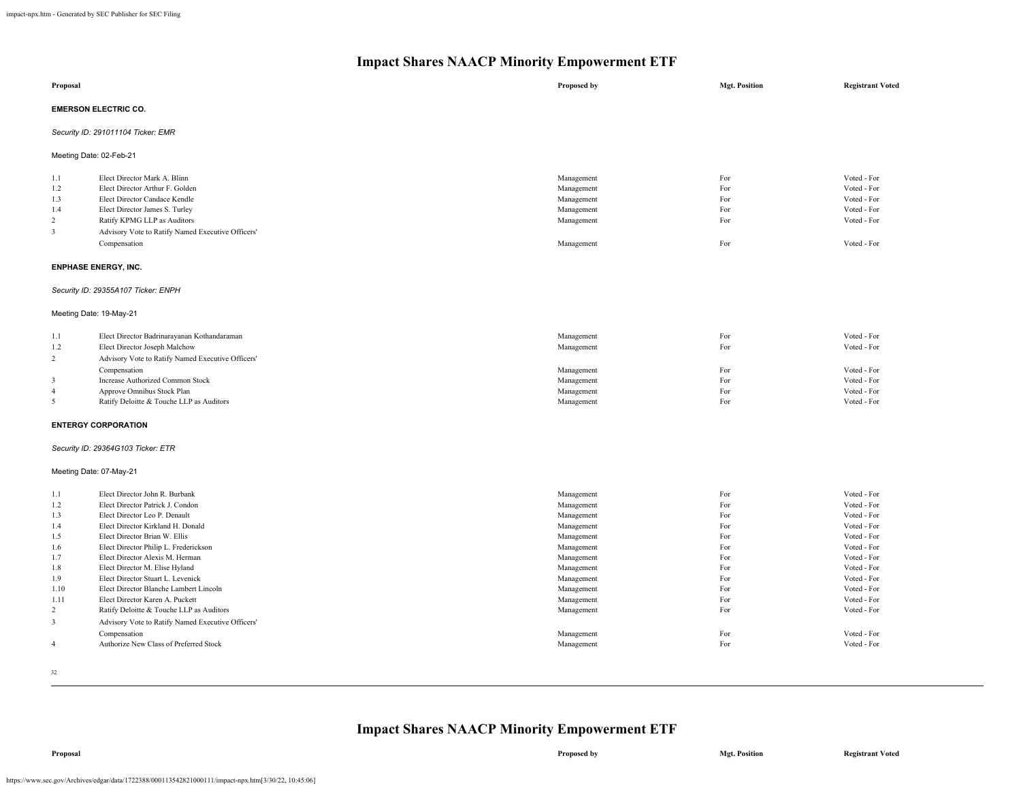| Proposal                                                                                                                      |                                                                                                                                                                                                                                                                                                                                                                                                                                                                                                                                                                      | Proposed by                                                                                                                                                                                      | <b>Mgt. Position</b>                                                                           | <b>Registrant Voted</b>                                                                                                                                                                                        |  |  |
|-------------------------------------------------------------------------------------------------------------------------------|----------------------------------------------------------------------------------------------------------------------------------------------------------------------------------------------------------------------------------------------------------------------------------------------------------------------------------------------------------------------------------------------------------------------------------------------------------------------------------------------------------------------------------------------------------------------|--------------------------------------------------------------------------------------------------------------------------------------------------------------------------------------------------|------------------------------------------------------------------------------------------------|----------------------------------------------------------------------------------------------------------------------------------------------------------------------------------------------------------------|--|--|
|                                                                                                                               | <b>EMERSON ELECTRIC CO.</b>                                                                                                                                                                                                                                                                                                                                                                                                                                                                                                                                          |                                                                                                                                                                                                  |                                                                                                |                                                                                                                                                                                                                |  |  |
|                                                                                                                               | Security ID: 291011104 Ticker: EMR                                                                                                                                                                                                                                                                                                                                                                                                                                                                                                                                   |                                                                                                                                                                                                  |                                                                                                |                                                                                                                                                                                                                |  |  |
|                                                                                                                               | Meeting Date: 02-Feb-21                                                                                                                                                                                                                                                                                                                                                                                                                                                                                                                                              |                                                                                                                                                                                                  |                                                                                                |                                                                                                                                                                                                                |  |  |
| 1.1<br>1.2<br>1.3<br>1.4<br>$\overline{c}$<br>$\overline{\mathbf{3}}$                                                         | Elect Director Mark A. Blinn<br>Elect Director Arthur F. Golden<br>Elect Director Candace Kendle<br>Elect Director James S. Turley<br>Ratify KPMG LLP as Auditors<br>Advisory Vote to Ratify Named Executive Officers'<br>Compensation                                                                                                                                                                                                                                                                                                                               | Management<br>Management<br>Management<br>Management<br>Management<br>Management                                                                                                                 | For<br>For<br>For<br>For<br>For<br>For                                                         | Voted - For<br>Voted - For<br>Voted - For<br>Voted - For<br>Voted - For<br>Voted - For                                                                                                                         |  |  |
|                                                                                                                               | <b>ENPHASE ENERGY, INC.</b>                                                                                                                                                                                                                                                                                                                                                                                                                                                                                                                                          |                                                                                                                                                                                                  |                                                                                                |                                                                                                                                                                                                                |  |  |
|                                                                                                                               | Security ID: 29355A107 Ticker: ENPH                                                                                                                                                                                                                                                                                                                                                                                                                                                                                                                                  |                                                                                                                                                                                                  |                                                                                                |                                                                                                                                                                                                                |  |  |
|                                                                                                                               | Meeting Date: 19-May-21                                                                                                                                                                                                                                                                                                                                                                                                                                                                                                                                              |                                                                                                                                                                                                  |                                                                                                |                                                                                                                                                                                                                |  |  |
| 1.1<br>1.2<br>2<br>$\overline{\mathbf{3}}$<br>$\overline{4}$<br>5                                                             | Elect Director Badrinarayanan Kothandaraman<br>Elect Director Joseph Malchow<br>Advisory Vote to Ratify Named Executive Officers'<br>Compensation<br>Increase Authorized Common Stock<br>Approve Omnibus Stock Plan<br>Ratify Deloitte & Touche LLP as Auditors                                                                                                                                                                                                                                                                                                      | Management<br>Management<br>Management<br>Management<br>Management<br>Management                                                                                                                 | For<br>For<br>For<br>For<br>For<br>For                                                         | Voted - For<br>Voted - For<br>Voted - For<br>Voted - For<br>Voted - For<br>Voted - For                                                                                                                         |  |  |
|                                                                                                                               | <b>ENTERGY CORPORATION</b>                                                                                                                                                                                                                                                                                                                                                                                                                                                                                                                                           |                                                                                                                                                                                                  |                                                                                                |                                                                                                                                                                                                                |  |  |
|                                                                                                                               | Security ID: 29364G103 Ticker: ETR                                                                                                                                                                                                                                                                                                                                                                                                                                                                                                                                   |                                                                                                                                                                                                  |                                                                                                |                                                                                                                                                                                                                |  |  |
|                                                                                                                               | Meeting Date: 07-May-21                                                                                                                                                                                                                                                                                                                                                                                                                                                                                                                                              |                                                                                                                                                                                                  |                                                                                                |                                                                                                                                                                                                                |  |  |
| 1.1<br>1.2<br>1.3<br>1.4<br>1.5<br>1.6<br>1.7<br>1.8<br>1.9<br>1.10<br>1.11<br>2<br>$\overline{\mathbf{3}}$<br>$\overline{4}$ | Elect Director John R. Burbank<br>Elect Director Patrick J. Condon<br>Elect Director Leo P. Denault<br>Elect Director Kirkland H. Donald<br>Elect Director Brian W. Ellis<br>Elect Director Philip L. Frederickson<br>Elect Director Alexis M. Herman<br>Elect Director M. Elise Hyland<br>Elect Director Stuart L. Levenick<br>Elect Director Blanche Lambert Lincoln<br>Elect Director Karen A. Puckett<br>Ratify Deloitte & Touche LLP as Auditors<br>Advisory Vote to Ratify Named Executive Officers'<br>Compensation<br>Authorize New Class of Preferred Stock | Management<br>Management<br>Management<br>Management<br>Management<br>Management<br>Management<br>Management<br>Management<br>Management<br>Management<br>Management<br>Management<br>Management | For<br>For<br>For<br>For<br>For<br>For<br>For<br>For<br>For<br>For<br>For<br>For<br>For<br>For | Voted - For<br>Voted - For<br>Voted - For<br>Voted - For<br>Voted - For<br>Voted - For<br>Voted - For<br>Voted - For<br>Voted - For<br>Voted - For<br>Voted - For<br>Voted - For<br>Voted - For<br>Voted - For |  |  |
|                                                                                                                               |                                                                                                                                                                                                                                                                                                                                                                                                                                                                                                                                                                      |                                                                                                                                                                                                  |                                                                                                |                                                                                                                                                                                                                |  |  |

32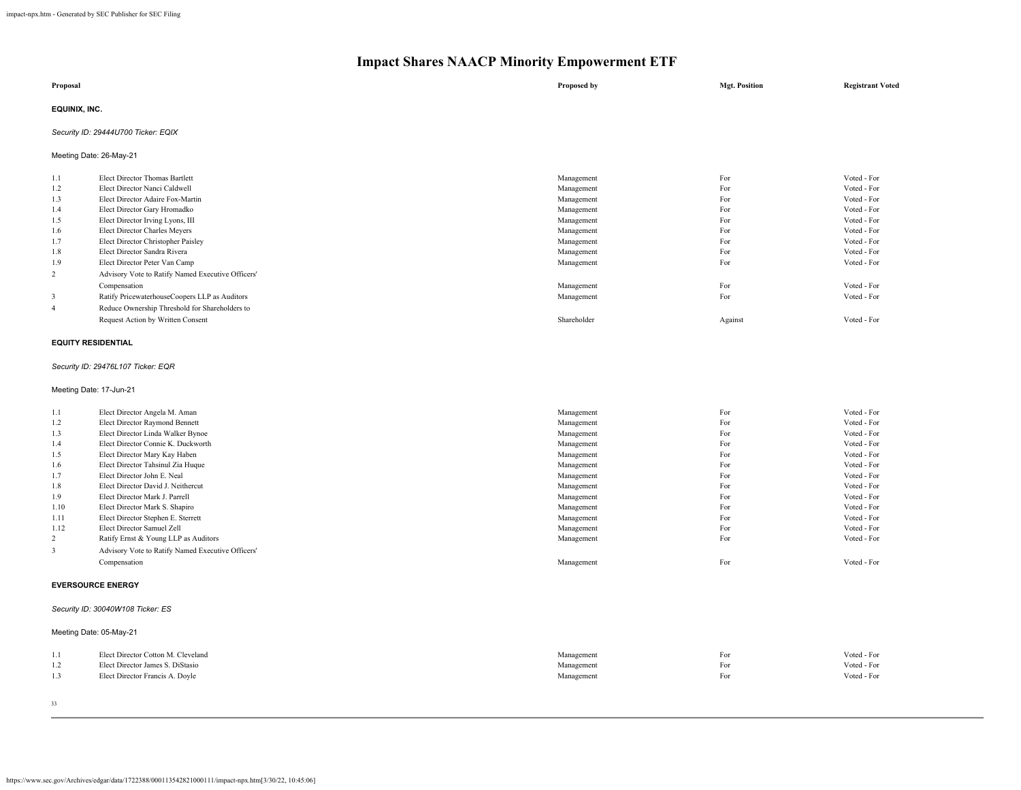| Proposal      | Proposed by | <b>Mgt. Position</b> | <b>Registrant Voted</b> |
|---------------|-------------|----------------------|-------------------------|
| EQUINIX, INC. |             |                      |                         |

#### *Security ID: 29444U700 Ticker: EQIX*

Meeting Date: 26-May-21

| 1.1 | Elect Director Thomas Bartlett                    | Management  | For     | Voted - For |
|-----|---------------------------------------------------|-------------|---------|-------------|
| 1.2 | Elect Director Nanci Caldwell                     | Management  | For     | Voted - For |
| 1.3 | Elect Director Adaire Fox-Martin                  | Management  | For     | Voted - For |
| 1.4 | Elect Director Gary Hromadko                      | Management  | For     | Voted - For |
| 1.5 | Elect Director Irving Lyons, III                  | Management  | For     | Voted - For |
| 1.6 | Elect Director Charles Meyers                     | Management  | For     | Voted - For |
| 1.7 | Elect Director Christopher Paisley                | Management  | For     | Voted - For |
| 1.8 | Elect Director Sandra Rivera                      | Management  | For     | Voted - For |
| 1.9 | Elect Director Peter Van Camp                     | Management  | For     | Voted - For |
| 2   | Advisory Vote to Ratify Named Executive Officers' |             |         |             |
|     | Compensation                                      | Management  | For     | Voted - For |
| 3   | Ratify PricewaterhouseCoopers LLP as Auditors     | Management  | For     | Voted - For |
| 4   | Reduce Ownership Threshold for Shareholders to    |             |         |             |
|     | Request Action by Written Consent                 | Shareholder | Against | Voted - For |

#### **EQUITY RESIDENTIAL**

#### *Security ID: 29476L107 Ticker: EQR*

Meeting Date: 17-Jun-21

| 1.1  | Elect Director Angela M. Aman                     | Management | For | Voted - For |
|------|---------------------------------------------------|------------|-----|-------------|
| 1.2  | Elect Director Raymond Bennett                    | Management | For | Voted - For |
| 1.3  | Elect Director Linda Walker Bynoe                 | Management | For | Voted - For |
| 1.4  | Elect Director Connie K. Duckworth                | Management | For | Voted - For |
| 1.5  | Elect Director Mary Kay Haben                     | Management | For | Voted - For |
| 1.6  | Elect Director Tahsinul Zia Huque                 | Management | For | Voted - For |
| 1.7  | Elect Director John E. Neal                       | Management | For | Voted - For |
| 1.8  | Elect Director David J. Neithercut                | Management | For | Voted - For |
| 1.9  | Elect Director Mark J. Parrell                    | Management | For | Voted - For |
| 1.10 | Elect Director Mark S. Shapiro                    | Management | For | Voted - For |
| 1.11 | Elect Director Stephen E. Sterrett                | Management | For | Voted - For |
| 1.12 | Elect Director Samuel Zell                        | Management | For | Voted - For |
| 2    | Ratify Ernst & Young LLP as Auditors              | Management | For | Voted - For |
| 3    | Advisory Vote to Ratify Named Executive Officers' |            |     |             |
|      | Compensation                                      | Management | For | Voted - For |
|      | <b>EVERSOURCE ENERGY</b>                          |            |     |             |

*Security ID: 30040W108 Ticker: ES*

#### Meeting Date: 05-May-21

| 1.1              | Elect Director Cotton M. Cleveland | Management | For | Voted - For |
|------------------|------------------------------------|------------|-----|-------------|
| $\overline{1}$ . | Elect Director James S. DiStasio   | Management | For | Voted - For |
| 1.5              | Elect Director Francis A. Doyle    | Management | For | Voted - For |
|                  |                                    |            |     |             |

33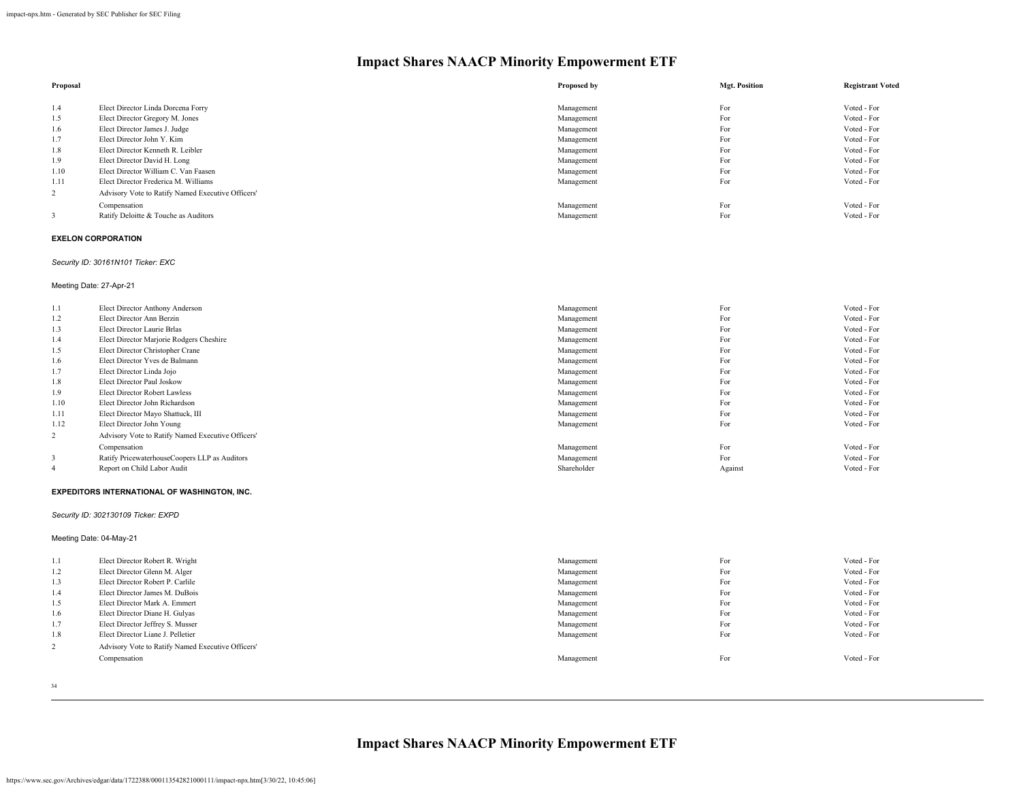| Proposal |                                                   | Proposed by | <b>Mgt. Position</b> | <b>Registrant Voted</b> |
|----------|---------------------------------------------------|-------------|----------------------|-------------------------|
| 1.4      | Elect Director Linda Dorcena Forry                | Management  | For                  | Voted - For             |
| 1.5      | Elect Director Gregory M. Jones                   | Management  | For                  | Voted - For             |
| 1.6      | Elect Director James J. Judge                     | Management  | For                  | Voted - For             |
| 1.7      | Elect Director John Y. Kim                        | Management  | For                  | Voted - For             |
| 1.8      | Elect Director Kenneth R. Leibler                 | Management  | For                  | Voted - For             |
| 1.9      | Elect Director David H. Long                      | Management  | For                  | Voted - For             |
| 1.10     | Elect Director William C. Van Faasen              | Management  | For                  | Voted - For             |
| 1.11     | Elect Director Frederica M. Williams              | Management  | For                  | Voted - For             |
| 2        | Advisory Vote to Ratify Named Executive Officers' |             |                      |                         |
|          | Compensation                                      | Management  | For                  | Voted - For             |
|          | Ratify Deloitte & Touche as Auditors              | Management  | For                  | Voted - For             |

#### **EXELON CORPORATION**

#### *Security ID: 30161N101 Ticker: EXC*

Meeting Date: 27-Apr-21

| 1.1            | Elect Director Anthony Anderson                   | Management  | For     | Voted - For |
|----------------|---------------------------------------------------|-------------|---------|-------------|
| 1.2            | Elect Director Ann Berzin                         | Management  | For     | Voted - For |
| 1.3            | Elect Director Laurie Brlas                       | Management  | For     | Voted - For |
| 1.4            | Elect Director Marjorie Rodgers Cheshire          | Management  | For     | Voted - For |
| 1.5            | Elect Director Christopher Crane                  | Management  | For     | Voted - For |
| 1.6            | Elect Director Yves de Balmann                    | Management  | For     | Voted - For |
| 1.7            | Elect Director Linda Jojo                         | Management  | For     | Voted - For |
| 1.8            | Elect Director Paul Joskow                        | Management  | For     | Voted - For |
| 1.9            | Elect Director Robert Lawless                     | Management  | For     | Voted - For |
| 1.10           | Elect Director John Richardson                    | Management  | For     | Voted - For |
| 1.11           | Elect Director Mayo Shattuck, III                 | Management  | For     | Voted - For |
| 1.12           | Elect Director John Young                         | Management  | For     | Voted - For |
| 2              | Advisory Vote to Ratify Named Executive Officers' |             |         |             |
|                | Compensation                                      | Management  | For     | Voted - For |
| 3              | Ratify PricewaterhouseCoopers LLP as Auditors     | Management  | For     | Voted - For |
| $\overline{4}$ | Report on Child Labor Audit                       | Shareholder | Against | Voted - For |

#### **EXPEDITORS INTERNATIONAL OF WASHINGTON, INC.**

#### *Security ID: 302130109 Ticker: EXPD*

Meeting Date: 04-May-21

| 1.1 | Elect Director Robert R. Wright                   | Management | For | Voted - For |
|-----|---------------------------------------------------|------------|-----|-------------|
| 1.2 | Elect Director Glenn M. Alger                     | Management | For | Voted - For |
| 1.3 | Elect Director Robert P. Carlile                  | Management | For | Voted - For |
| 1.4 | Elect Director James M. DuBois                    | Management | For | Voted - For |
| 1.5 | Elect Director Mark A. Emmert                     | Management | For | Voted - For |
| 1.6 | Elect Director Diane H. Gulyas                    | Management | For | Voted - For |
| 1.7 | Elect Director Jeffrey S. Musser                  | Management | For | Voted - For |
| 1.8 | Elect Director Liane J. Pelletier                 | Management | For | Voted - For |
| 2   | Advisory Vote to Ratify Named Executive Officers' |            |     |             |
|     | Compensation                                      | Management | For | Voted - For |
|     |                                                   |            |     |             |

34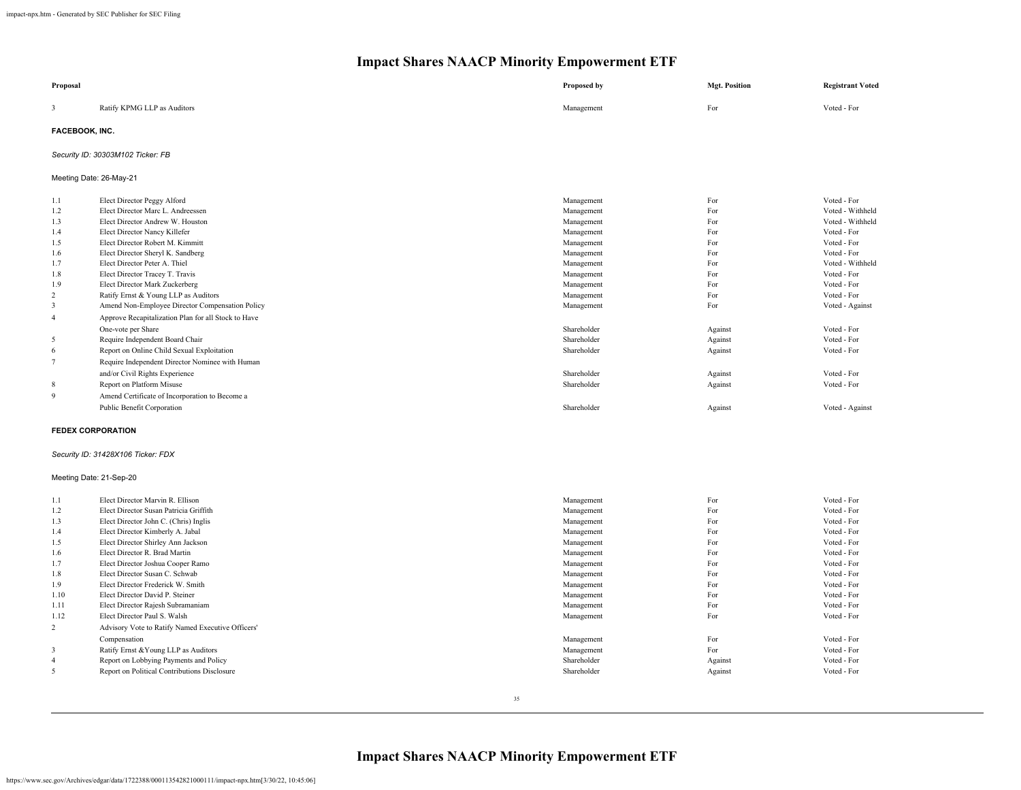| Proposal                 |                                                     | Proposed by | <b>Mgt. Position</b> | <b>Registrant Voted</b> |
|--------------------------|-----------------------------------------------------|-------------|----------------------|-------------------------|
| 3                        | Ratify KPMG LLP as Auditors                         | Management  | For                  | Voted - For             |
| FACEBOOK, INC.           |                                                     |             |                      |                         |
|                          | Security ID: 30303M102 Ticker: FB                   |             |                      |                         |
| Meeting Date: 26-May-21  |                                                     |             |                      |                         |
| 1.1                      | Elect Director Peggy Alford                         | Management  | For                  | Voted - For             |
| 1.2                      | Elect Director Marc L. Andreessen                   | Management  | For                  | Voted - Withheld        |
| 1.3                      | Elect Director Andrew W. Houston                    | Management  | For                  | Voted - Withheld        |
| 1.4                      | Elect Director Nancy Killefer                       | Management  | For                  | Voted - For             |
| 1.5                      | Elect Director Robert M. Kimmitt                    | Management  | For                  | Voted - For             |
| 1.6                      | Elect Director Sheryl K. Sandberg                   | Management  | For                  | Voted - For             |
| 1.7                      | Elect Director Peter A. Thiel                       | Management  | For                  | Voted - Withheld        |
| 1.8                      | Elect Director Tracey T. Travis                     | Management  | For                  | Voted - For             |
| 1.9                      | Elect Director Mark Zuckerberg                      | Management  | For                  | Voted - For             |
| $\overline{c}$           | Ratify Ernst & Young LLP as Auditors                | Management  | For                  | Voted - For             |
| 3                        | Amend Non-Employee Director Compensation Policy     | Management  | For                  | Voted - Against         |
| $\overline{4}$           | Approve Recapitalization Plan for all Stock to Have |             |                      |                         |
|                          | One-vote per Share                                  | Shareholder | Against              | Voted - For             |
| 5                        | Require Independent Board Chair                     | Shareholder | Against              | Voted - For             |
| 6                        | Report on Online Child Sexual Exploitation          | Shareholder | Against              | Voted - For             |
| $\tau$                   | Require Independent Director Nominee with Human     |             |                      |                         |
|                          | and/or Civil Rights Experience                      | Shareholder | Against              | Voted - For             |
| $\,$ 8 $\,$              | Report on Platform Misuse                           | Shareholder | Against              | Voted - For             |
| $\overline{9}$           | Amend Certificate of Incorporation to Become a      |             |                      |                         |
|                          | Public Benefit Corporation                          | Shareholder | Against              | Voted - Against         |
| <b>FEDEX CORPORATION</b> |                                                     |             |                      |                         |
|                          | Security ID: 31428X106 Ticker: FDX                  |             |                      |                         |
| Meeting Date: 21-Sep-20  |                                                     |             |                      |                         |
| 1.1                      | Elect Director Marvin R. Ellison                    | Management  | For                  | Voted - For             |
| 1.2                      | Elect Director Susan Patricia Griffith              | Management  | For                  | Voted - For             |
| 1.3                      | Elect Director John C. (Chris) Inglis               | Management  | For                  | Voted - For             |
| 1.4                      | Elect Director Kimberly A. Jabal                    | Management  | For                  | Voted - For             |
| 1.5                      | Elect Director Shirley Ann Jackson                  | Management  | For                  | Voted - For             |
| 1.6                      | Elect Director R. Brad Martin                       | Management  | For                  | Voted - For             |
| 1.7                      | Elect Director Joshua Cooper Ramo                   | Management  | For                  | Voted - For             |
| 1.8                      | Elect Director Susan C. Schwab                      | Management  | For                  | Voted - For             |
| 1.9                      | Elect Director Frederick W. Smith                   | Management  | For                  | Voted - For             |
| 1.10                     | Elect Director David P. Steiner                     | Management  | For                  | Voted - For             |
| 1.11                     | Elect Director Rajesh Subramaniam                   | Management  | For                  | Voted - For             |
| 1.12                     | Elect Director Paul S. Walsh                        | Management  | For                  | Voted - For             |
| $\overline{c}$           | Advisory Vote to Ratify Named Executive Officers'   |             |                      |                         |
|                          | Compensation                                        | Management  | For                  | Voted - For             |
| 3                        | Ratify Ernst & Young LLP as Auditors                | Management  | For                  | Voted - For             |
| $\overline{4}$           | Report on Lobbying Payments and Policy              | Shareholder | Against              | Voted - For             |
| 5                        | Report on Political Contributions Disclosure        | Shareholder | Against              | Voted - For             |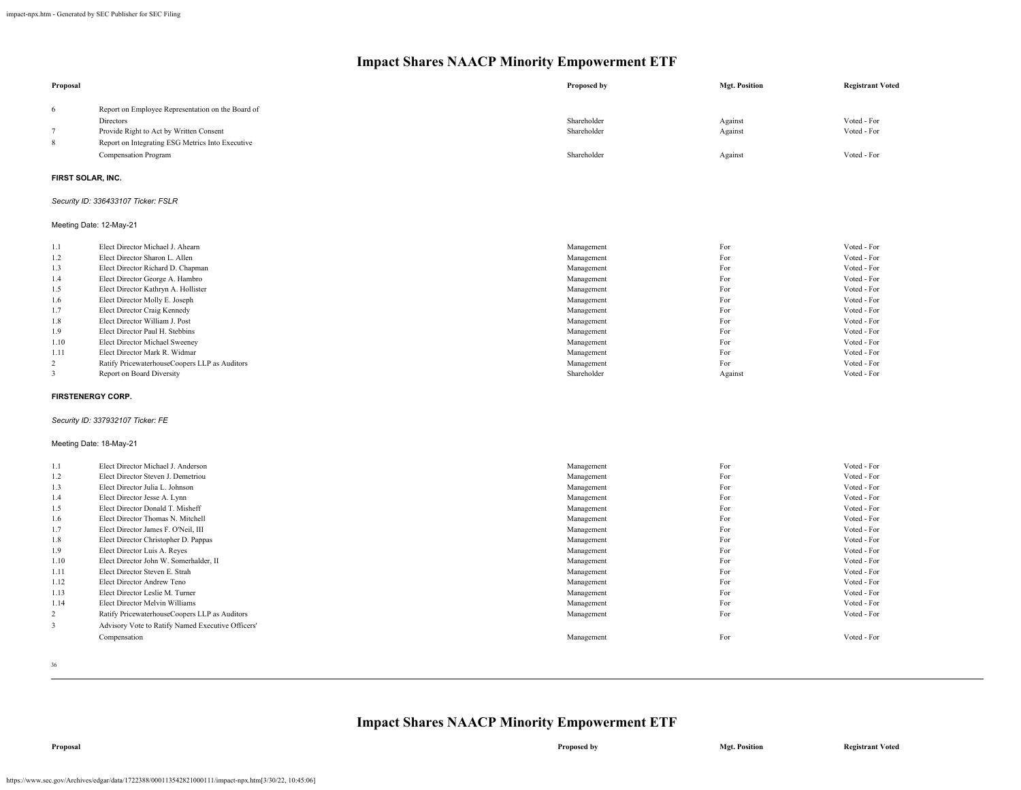| Proposal                 |                                                                          | Proposed by               | <b>Mgt. Position</b> | <b>Registrant Voted</b>    |
|--------------------------|--------------------------------------------------------------------------|---------------------------|----------------------|----------------------------|
| 6                        | Report on Employee Representation on the Board of                        |                           |                      |                            |
|                          | Directors                                                                | Shareholder               | Against              | Voted - For                |
| $\tau$                   | Provide Right to Act by Written Consent                                  | Shareholder               | Against              | Voted - For                |
| 8                        | Report on Integrating ESG Metrics Into Executive                         |                           |                      |                            |
|                          | Compensation Program                                                     | Shareholder               | Against              | Voted - For                |
|                          |                                                                          |                           |                      |                            |
| FIRST SOLAR, INC.        |                                                                          |                           |                      |                            |
|                          | Security ID: 336433107 Ticker: FSLR                                      |                           |                      |                            |
|                          | Meeting Date: 12-May-21                                                  |                           |                      |                            |
| 1.1                      | Elect Director Michael J. Ahearn                                         | Management                | For                  | Voted - For                |
| 1.2                      | Elect Director Sharon L. Allen                                           | Management                | For                  | Voted - For                |
| 1.3                      | Elect Director Richard D. Chapman                                        | Management                | For                  | Voted - For                |
| 1.4                      | Elect Director George A. Hambro                                          | Management                | For                  | Voted - For                |
| 1.5                      | Elect Director Kathryn A. Hollister                                      | Management                | For                  | Voted - For                |
| 1.6                      | Elect Director Molly E. Joseph                                           | Management                | For                  | Voted - For                |
| 1.7                      | Elect Director Craig Kennedy                                             | Management                | For                  | Voted - For                |
| 1.8                      | Elect Director William J. Post                                           | Management                | For                  | Voted - For                |
| 1.9                      | Elect Director Paul H. Stebbins                                          | Management                | For                  | Voted - For                |
| 1.10                     | Elect Director Michael Sweeney                                           | Management                | For                  | Voted - For                |
| 1.11                     | Elect Director Mark R. Widmar                                            | Management                | For<br>For           | Voted - For<br>Voted - For |
| 2<br>3                   | Ratify PricewaterhouseCoopers LLP as Auditors                            | Management<br>Shareholder |                      | Voted - For                |
|                          | Report on Board Diversity                                                |                           | Against              |                            |
| <b>FIRSTENERGY CORP.</b> |                                                                          |                           |                      |                            |
|                          | Security ID: 337932107 Ticker: FE                                        |                           |                      |                            |
|                          | Meeting Date: 18-May-21                                                  |                           |                      |                            |
| 1.1                      | Elect Director Michael J. Anderson                                       | Management                | For                  | Voted - For                |
| 1.2                      | Elect Director Steven J. Demetriou                                       | Management                | For                  | Voted - For                |
| 1.3                      | Elect Director Julia L. Johnson                                          | Management                | For                  | Voted - For                |
| 1.4                      | Elect Director Jesse A. Lynn                                             | Management                | For                  | Voted - For                |
| 1.5                      | Elect Director Donald T. Misheff                                         | Management                | For                  | Voted - For                |
| 1.6                      | Elect Director Thomas N. Mitchell                                        | Management                | For                  | Voted - For                |
| 1.7                      | Elect Director James F. O'Neil, III                                      | Management                | For                  | Voted - For                |
| 1.8                      | Elect Director Christopher D. Pappas                                     | Management                | For                  | Voted - For                |
| 1.9                      | Elect Director Luis A. Reyes                                             | Management                | For                  | Voted - For                |
| 1.10                     | Elect Director John W. Somerhalder, II<br>Elect Director Steven E. Strah | Management                | For<br>For           | Voted - For<br>Voted - For |
| 1.11                     | Elect Director Andrew Teno                                               | Management                | For                  | Voted - For                |
| 1.12<br>1.13             | Elect Director Leslie M. Turner                                          | Management<br>Management  | For                  | Voted - For                |
| 1.14                     | Elect Director Melvin Williams                                           | Management                | For                  | Voted - For                |
| 2                        | Ratify PricewaterhouseCoopers LLP as Auditors                            | Management                | For                  | Voted - For                |
| 3                        | Advisory Vote to Ratify Named Executive Officers'                        |                           |                      |                            |
|                          | Compensation                                                             | Management                | For                  | Voted - For                |
|                          |                                                                          |                           |                      |                            |

36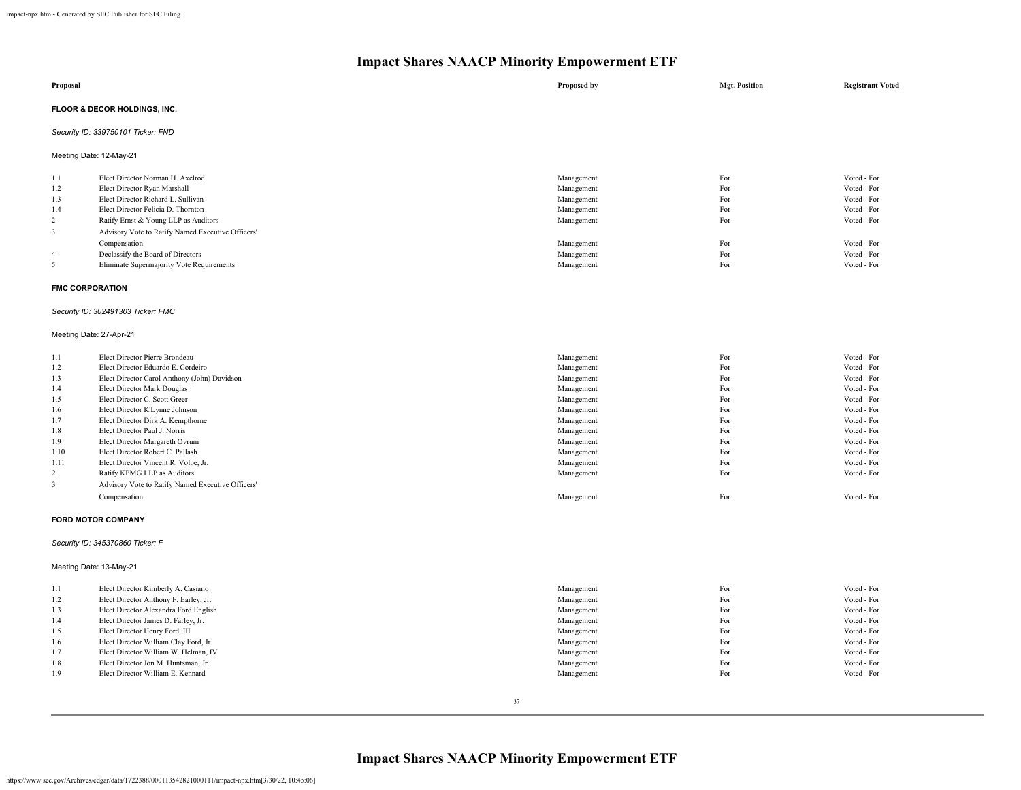|                                                                                                               | Impact Shares IVAACT IVINOTIty Empowerment ETT                                                                                                                                                                                                                                                                                                                                                                                                                                                                 |                                                                                                                                                                                    |                                                                                         |                                                                                                                                                                                                 |  |  |
|---------------------------------------------------------------------------------------------------------------|----------------------------------------------------------------------------------------------------------------------------------------------------------------------------------------------------------------------------------------------------------------------------------------------------------------------------------------------------------------------------------------------------------------------------------------------------------------------------------------------------------------|------------------------------------------------------------------------------------------------------------------------------------------------------------------------------------|-----------------------------------------------------------------------------------------|-------------------------------------------------------------------------------------------------------------------------------------------------------------------------------------------------|--|--|
| Proposal                                                                                                      |                                                                                                                                                                                                                                                                                                                                                                                                                                                                                                                | Proposed by                                                                                                                                                                        | <b>Mgt. Position</b>                                                                    | <b>Registrant Voted</b>                                                                                                                                                                         |  |  |
|                                                                                                               | FLOOR & DECOR HOLDINGS, INC.                                                                                                                                                                                                                                                                                                                                                                                                                                                                                   |                                                                                                                                                                                    |                                                                                         |                                                                                                                                                                                                 |  |  |
|                                                                                                               | Security ID: 339750101 Ticker: FND                                                                                                                                                                                                                                                                                                                                                                                                                                                                             |                                                                                                                                                                                    |                                                                                         |                                                                                                                                                                                                 |  |  |
|                                                                                                               | Meeting Date: 12-May-21                                                                                                                                                                                                                                                                                                                                                                                                                                                                                        |                                                                                                                                                                                    |                                                                                         |                                                                                                                                                                                                 |  |  |
| 1.1<br>1.2<br>1.3<br>1.4<br>$\overline{c}$<br>3<br>$\overline{4}$<br>5                                        | Elect Director Norman H. Axelrod<br>Elect Director Ryan Marshall<br>Elect Director Richard L. Sullivan<br>Elect Director Felicia D. Thornton<br>Ratify Ernst & Young LLP as Auditors<br>Advisory Vote to Ratify Named Executive Officers'<br>Compensation<br>Declassify the Board of Directors<br>Eliminate Supermajority Vote Requirements                                                                                                                                                                    | Management<br>Management<br>Management<br>Management<br>Management<br>Management<br>Management<br>Management                                                                       | For<br>For<br>For<br>For<br>For<br>For<br>For<br>For                                    | Voted - For<br>Voted - For<br>Voted - For<br>Voted - For<br>Voted - For<br>Voted - For<br>Voted - For<br>Voted - For                                                                            |  |  |
| <b>FMC CORPORATION</b>                                                                                        |                                                                                                                                                                                                                                                                                                                                                                                                                                                                                                                |                                                                                                                                                                                    |                                                                                         |                                                                                                                                                                                                 |  |  |
|                                                                                                               | Security ID: 302491303 Ticker: FMC                                                                                                                                                                                                                                                                                                                                                                                                                                                                             |                                                                                                                                                                                    |                                                                                         |                                                                                                                                                                                                 |  |  |
| Meeting Date: 27-Apr-21                                                                                       |                                                                                                                                                                                                                                                                                                                                                                                                                                                                                                                |                                                                                                                                                                                    |                                                                                         |                                                                                                                                                                                                 |  |  |
| 1.1<br>1.2<br>1.3<br>1.4<br>1.5<br>1.6<br>1.7<br>1.8<br>1.9<br>1.10<br>1.11<br>$\overline{2}$<br>$\mathbf{3}$ | Elect Director Pierre Brondeau<br>Elect Director Eduardo E. Cordeiro<br>Elect Director Carol Anthony (John) Davidson<br>Elect Director Mark Douglas<br>Elect Director C. Scott Greer<br>Elect Director K'Lynne Johnson<br>Elect Director Dirk A. Kempthorne<br>Elect Director Paul J. Norris<br>Elect Director Margareth Ovrum<br>Elect Director Robert C. Pallash<br>Elect Director Vincent R. Volpe, Jr.<br>Ratify KPMG LLP as Auditors<br>Advisory Vote to Ratify Named Executive Officers'<br>Compensation | Management<br>Management<br>Management<br>Management<br>Management<br>Management<br>Management<br>Management<br>Management<br>Management<br>Management<br>Management<br>Management | For<br>For<br>For<br>For<br>For<br>For<br>For<br>For<br>For<br>For<br>For<br>For<br>For | Voted - For<br>Voted - For<br>Voted - For<br>Voted - For<br>Voted - For<br>Voted - For<br>Voted - For<br>Voted - For<br>Voted - For<br>Voted - For<br>Voted - For<br>Voted - For<br>Voted - For |  |  |
|                                                                                                               | FORD MOTOR COMPANY                                                                                                                                                                                                                                                                                                                                                                                                                                                                                             |                                                                                                                                                                                    |                                                                                         |                                                                                                                                                                                                 |  |  |
|                                                                                                               | Security ID: 345370860 Ticker: F                                                                                                                                                                                                                                                                                                                                                                                                                                                                               |                                                                                                                                                                                    |                                                                                         |                                                                                                                                                                                                 |  |  |
|                                                                                                               | Meeting Date: 13-May-21                                                                                                                                                                                                                                                                                                                                                                                                                                                                                        |                                                                                                                                                                                    |                                                                                         |                                                                                                                                                                                                 |  |  |
| 1.1<br>1.2<br>1.3<br>1.4<br>1.5<br>1.6<br>1.7<br>1.8<br>1.9                                                   | Elect Director Kimberly A. Casiano<br>Elect Director Anthony F. Earley, Jr.<br>Elect Director Alexandra Ford English<br>Elect Director James D. Farley, Jr.<br>Elect Director Henry Ford, III<br>Elect Director William Clay Ford, Jr.<br>Elect Director William W. Helman, IV<br>Elect Director Jon M. Huntsman, Jr.<br>Elect Director William E. Kennard                                                                                                                                                     | Management<br>Management<br>Management<br>Management<br>Management<br>Management<br>Management<br>Management<br>Management                                                         | For<br>For<br>For<br>For<br>For<br>For<br>For<br>For<br>For                             | Voted - For<br>Voted - For<br>Voted - For<br>Voted - For<br>Voted - For<br>Voted - For<br>Voted - For<br>Voted - For<br>Voted - For                                                             |  |  |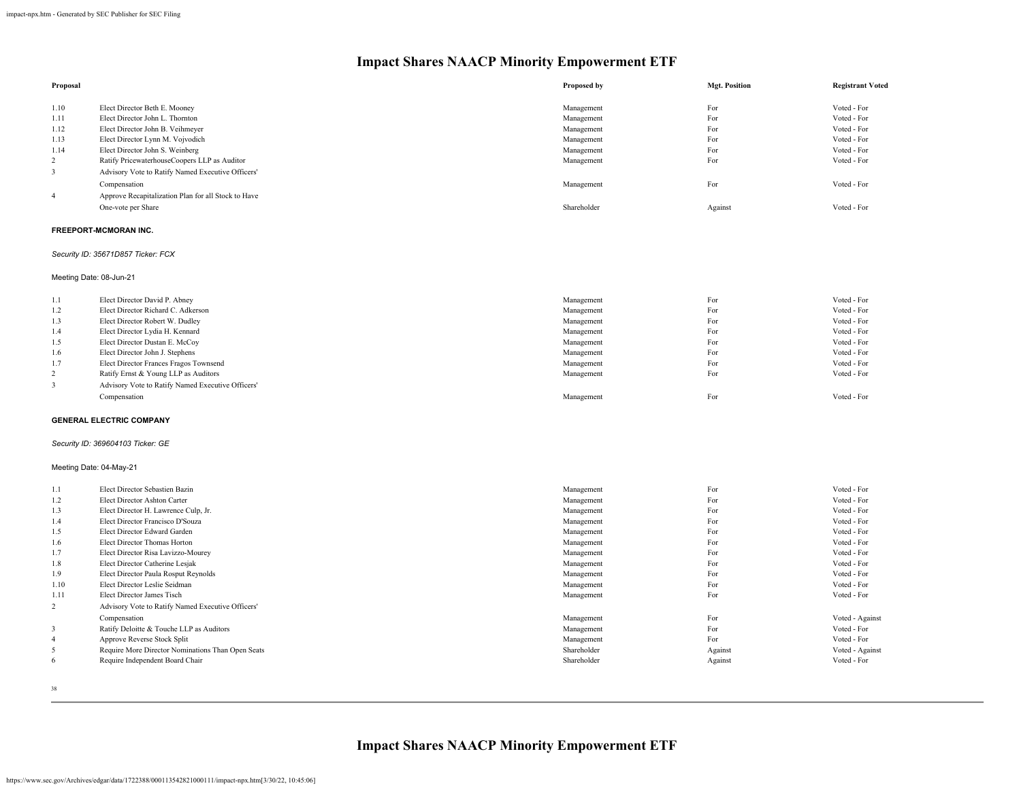| Proposal       |                                                     | Proposed by | <b>Mgt. Position</b> | <b>Registrant Voted</b> |
|----------------|-----------------------------------------------------|-------------|----------------------|-------------------------|
|                |                                                     |             |                      |                         |
| 1.10           | Elect Director Beth E. Mooney                       | Management  | For                  | Voted - For             |
| 1.11           | Elect Director John L. Thornton                     | Management  | For                  | Voted - For             |
| 1.12           | Elect Director John B. Veihmeyer                    | Management  | For                  | Voted - For             |
| 1.13           | Elect Director Lynn M. Vojvodich                    | Management  | For                  | Voted - For             |
| 1.14           | Elect Director John S. Weinberg                     | Management  | For                  | Voted - For             |
| $\overline{2}$ | Ratify PricewaterhouseCoopers LLP as Auditor        | Management  | For                  | Voted - For             |
|                | Advisory Vote to Ratify Named Executive Officers'   |             |                      |                         |
|                | Compensation                                        | Management  | For                  | Voted - For             |
| 4              | Approve Recapitalization Plan for all Stock to Have |             |                      |                         |
|                | One-vote per Share                                  | Shareholder | Against              | Voted - For             |
|                |                                                     |             |                      |                         |

### **FREEPORT-MCMORAN INC.**

## *Security ID: 35671D857 Ticker: FCX*

Meeting Date: 08-Jun-21

| 1.1 | Elect Director David P. Abney                     | Management | For | Voted - For |
|-----|---------------------------------------------------|------------|-----|-------------|
| 1.2 | Elect Director Richard C. Adkerson                | Management | For | Voted - For |
| 1.3 | Elect Director Robert W. Dudley                   | Management | For | Voted - For |
| 1.4 | Elect Director Lydia H. Kennard                   | Management | For | Voted - For |
| 1.5 | Elect Director Dustan E. McCoy                    | Management | For | Voted - For |
| 1.6 | Elect Director John J. Stephens                   | Management | For | Voted - For |
| 1.7 | Elect Director Frances Fragos Townsend            | Management | For | Voted - For |
| 2   | Ratify Ernst & Young LLP as Auditors              | Management | For | Voted - For |
|     | Advisory Vote to Ratify Named Executive Officers' |            |     |             |
|     | Compensation                                      | Management | For | Voted - For |
|     |                                                   |            |     |             |

## **GENERAL ELECTRIC COMPANY**

## *Security ID: 369604103 Ticker: GE*

## Meeting Date: 04-May-21

| 1.1            | Elect Director Sebastien Bazin                    | Management  | For     | Voted - For     |
|----------------|---------------------------------------------------|-------------|---------|-----------------|
| 1.2            | Elect Director Ashton Carter                      | Management  | For     | Voted - For     |
| 1.3            | Elect Director H. Lawrence Culp, Jr.              |             | For     | Voted - For     |
|                |                                                   | Management  |         |                 |
| 1.4            | Elect Director Francisco D'Souza                  | Management  | For     | Voted - For     |
| 1.5            | Elect Director Edward Garden                      | Management  | For     | Voted - For     |
| 1.6            | Elect Director Thomas Horton                      | Management  | For     | Voted - For     |
| 1.7            | Elect Director Risa Lavizzo-Mourey                | Management  | For     | Voted - For     |
| 1.8            | Elect Director Catherine Lesjak                   | Management  | For     | Voted - For     |
| 1.9            | Elect Director Paula Rosput Reynolds              | Management  | For     | Voted - For     |
| 1.10           | Elect Director Leslie Seidman                     | Management  | For     | Voted - For     |
| 1.11           | Elect Director James Tisch                        | Management  | For     | Voted - For     |
| 2              | Advisory Vote to Ratify Named Executive Officers' |             |         |                 |
|                | Compensation                                      | Management  | For     | Voted - Against |
|                | Ratify Deloitte & Touche LLP as Auditors          | Management  | For     | Voted - For     |
| $\overline{4}$ | Approve Reverse Stock Split                       | Management  | For     | Voted - For     |
| 5              | Require More Director Nominations Than Open Seats | Shareholder | Against | Voted - Against |
| 6              | Require Independent Board Chair                   | Shareholder | Against | Voted - For     |
|                |                                                   |             |         |                 |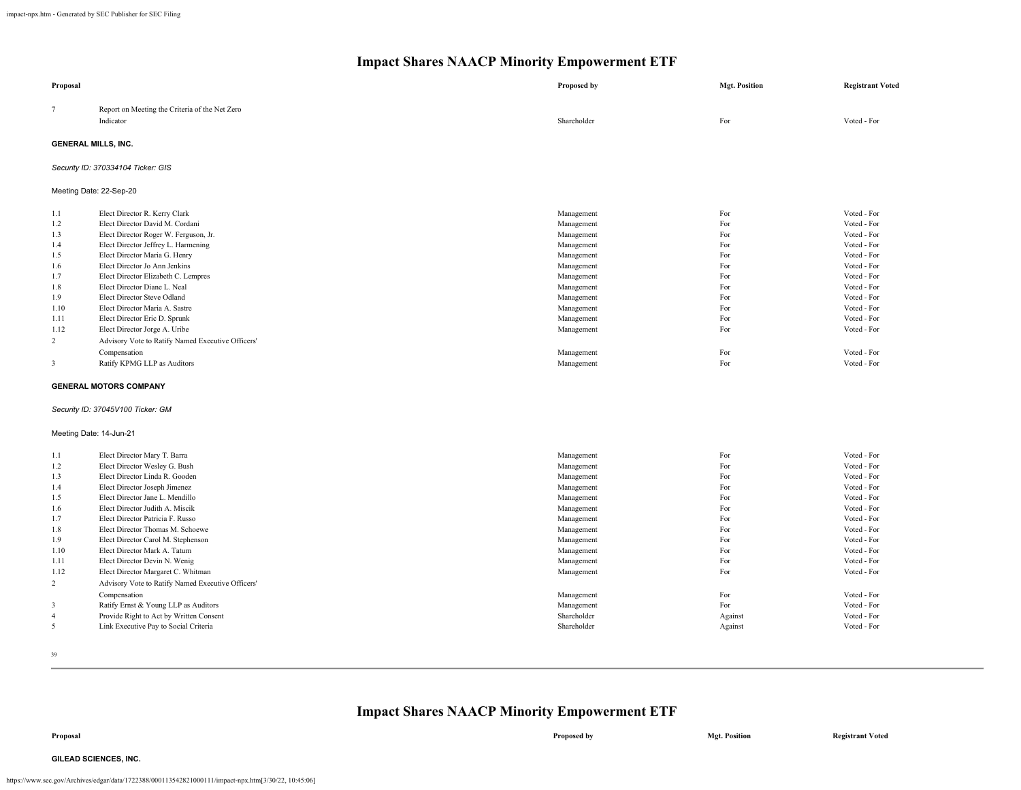| Proposal                   |                                                                  | Proposed by               | <b>Mgt. Position</b> | <b>Registrant Voted</b>    |
|----------------------------|------------------------------------------------------------------|---------------------------|----------------------|----------------------------|
| $7\phantom{.0}$            | Report on Meeting the Criteria of the Net Zero<br>Indicator      | Shareholder               | For                  | Voted - For                |
| <b>GENERAL MILLS, INC.</b> |                                                                  |                           |                      |                            |
|                            | Security ID: 370334104 Ticker: GIS                               |                           |                      |                            |
|                            | Meeting Date: 22-Sep-20                                          |                           |                      |                            |
| 1.1<br>1.2                 | Elect Director R. Kerry Clark<br>Elect Director David M. Cordani | Management<br>Management  | For<br>For           | Voted - For<br>Voted - For |
| 1.3                        | Elect Director Roger W. Ferguson, Jr.                            | Management                | For                  | Voted - For                |
| 1.4                        | Elect Director Jeffrey L. Harmening                              | Management                | For                  | Voted - For                |
| 1.5                        | Elect Director Maria G. Henry                                    | Management                | For                  | Voted - For                |
| 1.6                        | Elect Director Jo Ann Jenkins                                    | Management                | For                  | Voted - For                |
| 1.7                        | Elect Director Elizabeth C. Lempres                              | Management                | For                  | Voted - For                |
| 1.8                        | Elect Director Diane L. Neal                                     | Management                | For                  | Voted - For                |
| 1.9                        | Elect Director Steve Odland                                      | Management                | For                  | Voted - For                |
| 1.10                       | Elect Director Maria A. Sastre                                   | Management                | For                  | Voted - For                |
| 1.11                       | Elect Director Eric D. Sprunk                                    | Management                | For                  | Voted - For                |
| 1.12                       | Elect Director Jorge A. Uribe                                    | Management                | For                  | Voted - For                |
| 2                          | Advisory Vote to Ratify Named Executive Officers'                |                           |                      |                            |
|                            | Compensation                                                     | Management                | For                  | Voted - For                |
| 3                          | Ratify KPMG LLP as Auditors                                      | Management                | For                  | Voted - For                |
|                            | <b>GENERAL MOTORS COMPANY</b>                                    |                           |                      |                            |
|                            | Security ID: 37045V100 Ticker: GM                                |                           |                      |                            |
| Meeting Date: 14-Jun-21    |                                                                  |                           |                      |                            |
| 1.1                        | Elect Director Mary T. Barra                                     | Management                | For                  | Voted - For                |
| 1.2                        | Elect Director Wesley G. Bush                                    | Management                | For                  | Voted - For                |
| 1.3                        | Elect Director Linda R. Gooden                                   | Management                | For                  | Voted - For                |
| 1.4                        | Elect Director Joseph Jimenez                                    | Management                | For                  | Voted - For                |
| 1.5                        | Elect Director Jane L. Mendillo                                  | Management                | For                  | Voted - For                |
| 1.6                        | Elect Director Judith A. Miscik                                  | Management                | For                  | Voted - For                |
| 1.7                        | Elect Director Patricia F. Russo                                 | Management                | For                  | Voted - For                |
| 1.8                        | Elect Director Thomas M. Schoewe                                 | Management                | For                  | Voted - For                |
| 1.9                        | Elect Director Carol M. Stephenson                               | Management                | For                  | Voted - For                |
| 1.10<br>1.11               | Elect Director Mark A. Tatum<br>Elect Director Devin N. Wenig    | Management<br>Management  | For<br>For           | Voted - For<br>Voted - For |
| 1.12                       | Elect Director Margaret C. Whitman                               | Management                | For                  | Voted - For                |
| 2                          |                                                                  |                           |                      |                            |
|                            | Advisory Vote to Ratify Named Executive Officers'                |                           |                      |                            |
|                            | Compensation                                                     | Management                | For<br>For           | Voted - For<br>Voted - For |
| 3<br>$\overline{4}$        | Ratify Ernst & Young LLP as Auditors                             | Management<br>Shareholder |                      | Voted - For                |
| 5                          | Provide Right to Act by Written Consent                          |                           | Against              |                            |
|                            | Link Executive Pay to Social Criteria                            | Shareholder               | Against              | Voted - For                |

39

## **Impact Shares NAACP Minority Empowerment ETF**

**Proposal Proposed by Mgt. Position Registrant Voted**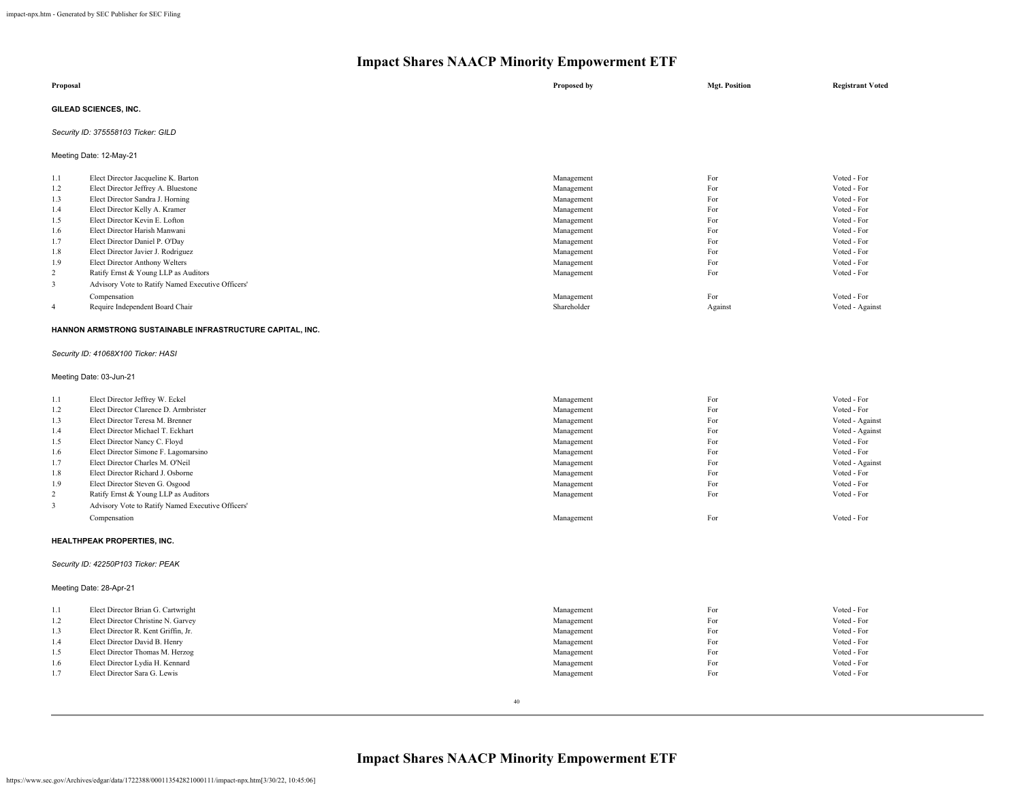| Proposal                |                                     | Proposed by | <b>Mgt. Position</b> | <b>Registrant Voted</b> |  |  |
|-------------------------|-------------------------------------|-------------|----------------------|-------------------------|--|--|
|                         | GILEAD SCIENCES, INC.               |             |                      |                         |  |  |
|                         | Security ID: 375558103 Ticker: GILD |             |                      |                         |  |  |
| Meeting Date: 12-May-21 |                                     |             |                      |                         |  |  |
| 1.1                     | Elect Director Jacqueline K. Barton | Management  | For                  | Voted - For             |  |  |
| 1.2                     | Elect Director Jeffrey A. Bluestone | Management  | For                  | Voted - For             |  |  |
| 1.3                     | Elect Director Sandra J. Horning    | Management  | For                  | Voted - For             |  |  |
| 1.4                     | Elect Director Kelly A. Kramer      | Management  | For                  | Voted - For             |  |  |
| 1.5                     | Elect Director Kevin E. Lofton      | Management  | For                  | Voted - For             |  |  |
| 1.6                     | Elect Director Harish Manwani       | Management  | For                  | Voted - For             |  |  |

|     | Elect Director Daniel P. O'Day                    | Management  | For     | Voted - For     |
|-----|---------------------------------------------------|-------------|---------|-----------------|
| 1.8 | Elect Director Javier J. Rodriguez                | Management  | For     | Voted - For     |
| 1.9 | Elect Director Anthony Welters                    | Management  | For     | Voted - For     |
|     | Ratify Ernst & Young LLP as Auditors              | Management  | For     | Voted - For     |
|     | Advisory Vote to Ratify Named Executive Officers' |             |         |                 |
|     | Compensation                                      | Management  | For     | Voted - For     |
|     | Require Independent Board Chair                   | Shareholder | Against | Voted - Against |
|     |                                                   |             |         |                 |

## **HANNON ARMSTRONG SUSTAINABLE INFRASTRUCTURE CAPITAL, INC.**

*Security ID: 41068X100 Ticker: HASI*

Meeting Date: 03-Jun-21

| 1.1            | Elect Director Jeffrey W. Eckel                   | Management | For | Voted - For     |
|----------------|---------------------------------------------------|------------|-----|-----------------|
| 1.2            | Elect Director Clarence D. Armbrister             | Management | For | Voted - For     |
| 1.3            | Elect Director Teresa M. Brenner                  | Management | For | Voted - Against |
| 1.4            | Elect Director Michael T. Eckhart                 | Management | For | Voted - Against |
| 1.5            | Elect Director Nancy C. Floyd                     | Management | For | Voted - For     |
| 1.6            | Elect Director Simone F. Lagomarsino              | Management | For | Voted - For     |
| 1.7            | Elect Director Charles M. O'Neil                  | Management | For | Voted - Against |
| 1.8            | Elect Director Richard J. Osborne                 | Management | For | Voted - For     |
| 1.9            | Elect Director Steven G. Osgood                   | Management | For | Voted - For     |
| $\overline{2}$ | Ratify Ernst & Young LLP as Auditors              | Management | For | Voted - For     |
|                | Advisory Vote to Ratify Named Executive Officers' |            |     |                 |
|                | Compensation                                      | Management | For | Voted - For     |
|                |                                                   |            |     |                 |

#### **HEALTHPEAK PROPERTIES, INC.**

#### *Security ID: 42250P103 Ticker: PEAK*

Meeting Date: 28-Apr-21

| 1.1 | Elect Director Brian G. Cartwright  | Management | For | Voted - For |
|-----|-------------------------------------|------------|-----|-------------|
| 1.2 | Elect Director Christine N. Garvey  | Management | For | Voted - For |
| 1.3 | Elect Director R. Kent Griffin, Jr. | Management | For | Voted - For |
| 1.4 | Elect Director David B. Henry       | Management | For | Voted - For |
| 1.5 | Elect Director Thomas M. Herzog     | Management | For | Voted - For |
| 1.6 | Elect Director Lydia H. Kennard     | Management | For | Voted - For |
| 1.7 | Elect Director Sara G. Lewis        | Management | For | Voted - For |
|     |                                     |            |     |             |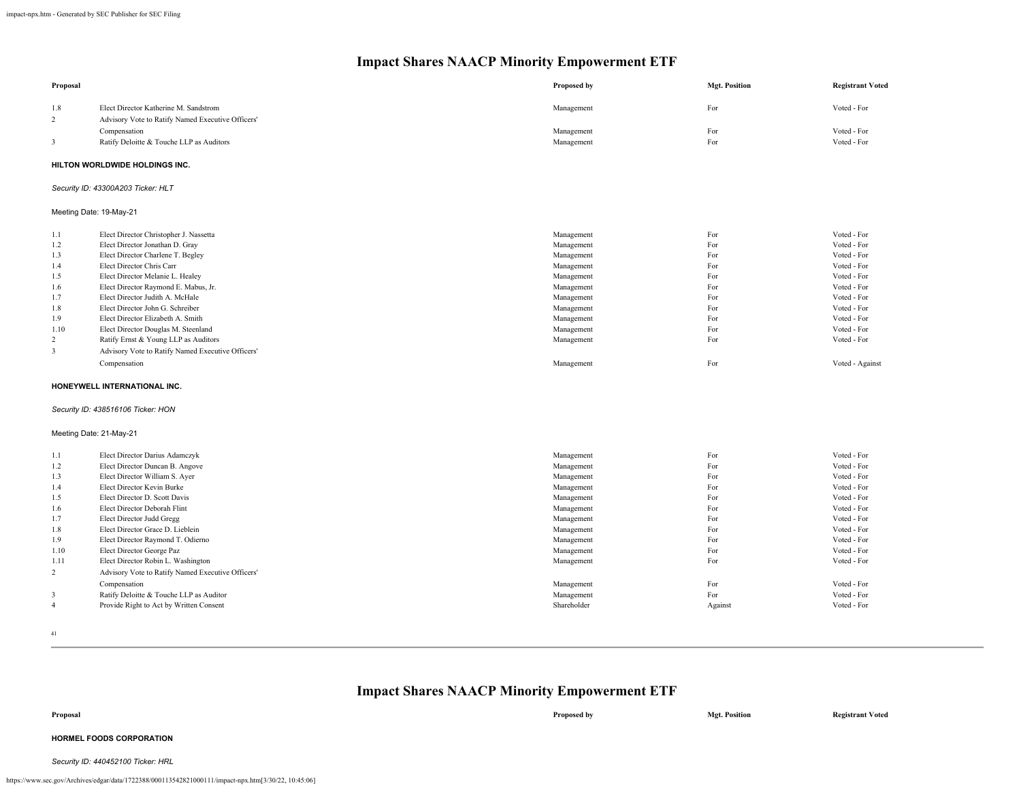| Proposal                |                                                                       | Proposed by              | <b>Mgt. Position</b> | <b>Registrant Voted</b>    |
|-------------------------|-----------------------------------------------------------------------|--------------------------|----------------------|----------------------------|
| 1.8                     | Elect Director Katherine M. Sandstrom                                 | Management               | For                  | Voted - For                |
| 2                       | Advisory Vote to Ratify Named Executive Officers'                     |                          |                      |                            |
|                         | Compensation                                                          | Management               | For                  | Voted - For                |
| 3                       | Ratify Deloitte & Touche LLP as Auditors                              | Management               | For                  | Voted - For                |
|                         | HILTON WORLDWIDE HOLDINGS INC.                                        |                          |                      |                            |
|                         | Security ID: 43300A203 Ticker: HLT                                    |                          |                      |                            |
| Meeting Date: 19-May-21 |                                                                       |                          |                      |                            |
| 1.1                     | Elect Director Christopher J. Nassetta                                | Management               | For                  | Voted - For                |
| 1.2                     | Elect Director Jonathan D. Gray                                       | Management               | For                  | Voted - For                |
| 1.3                     | Elect Director Charlene T. Begley                                     | Management               | For                  | Voted - For                |
| 1.4                     | Elect Director Chris Carr                                             | Management               | For                  | Voted - For                |
| 1.5                     | Elect Director Melanie L. Healey                                      | Management               | For                  | Voted - For                |
| 1.6                     | Elect Director Raymond E. Mabus, Jr.                                  | Management               | For                  | Voted - For                |
| 1.7                     | Elect Director Judith A. McHale                                       | Management               | For                  | Voted - For                |
| 1.8<br>1.9              | Elect Director John G. Schreiber<br>Elect Director Elizabeth A. Smith | Management<br>Management | For<br>For           | Voted - For<br>Voted - For |
| 1.10                    | Elect Director Douglas M. Steenland                                   | Management               | For                  | Voted - For                |
| $\overline{2}$          | Ratify Ernst & Young LLP as Auditors                                  | Management               | For                  | Voted - For                |
| 3                       | Advisory Vote to Ratify Named Executive Officers'                     |                          |                      |                            |
|                         | Compensation                                                          | Management               | For                  | Voted - Against            |
|                         | HONEYWELL INTERNATIONAL INC.                                          |                          |                      |                            |
|                         | Security ID: 438516106 Ticker: HON                                    |                          |                      |                            |
| Meeting Date: 21-May-21 |                                                                       |                          |                      |                            |
| 1.1                     | Elect Director Darius Adamczyk                                        | Management               | For                  | Voted - For                |
| 1.2                     | Elect Director Duncan B. Angove                                       | Management               | For                  | Voted - For                |
| 1.3                     | Elect Director William S. Ayer                                        | Management               | For                  | Voted - For                |
| 1.4                     | Elect Director Kevin Burke                                            | Management               | For                  | Voted - For                |
| 1.5                     | Elect Director D. Scott Davis                                         | Management               | For                  | Voted - For                |
| 1.6                     | Elect Director Deborah Flint                                          | Management               | For                  | Voted - For                |
| 1.7                     | Elect Director Judd Gregg                                             | Management               | For                  | Voted - For                |
| 1.8                     | Elect Director Grace D. Lieblein                                      | Management               | For                  | Voted - For                |
| 1.9                     | Elect Director Raymond T. Odierno                                     | Management               | For                  | Voted - For                |
| 1.10                    | Elect Director George Paz                                             | Management               | For                  | Voted - For                |
| 1.11                    | Elect Director Robin L. Washington                                    | Management               | For                  | Voted - For                |
| $\overline{c}$          | Advisory Vote to Ratify Named Executive Officers'                     |                          |                      |                            |
|                         | Compensation                                                          | Management               | For                  | Voted - For                |
| 3                       | Ratify Deloitte & Touche LLP as Auditor                               | Management               | For                  | Voted - For                |
| $\overline{4}$          | Provide Right to Act by Written Consent                               | Shareholder              | Against              | Voted - For                |

41

**Impact Shares NAACP Minority Empowerment ETF**

# **Proposal Proposed by Mgt. Position Registrant Voted**

## **HORMEL FOODS CORPORATION**

#### *Security ID: 440452100 Ticker: HRL*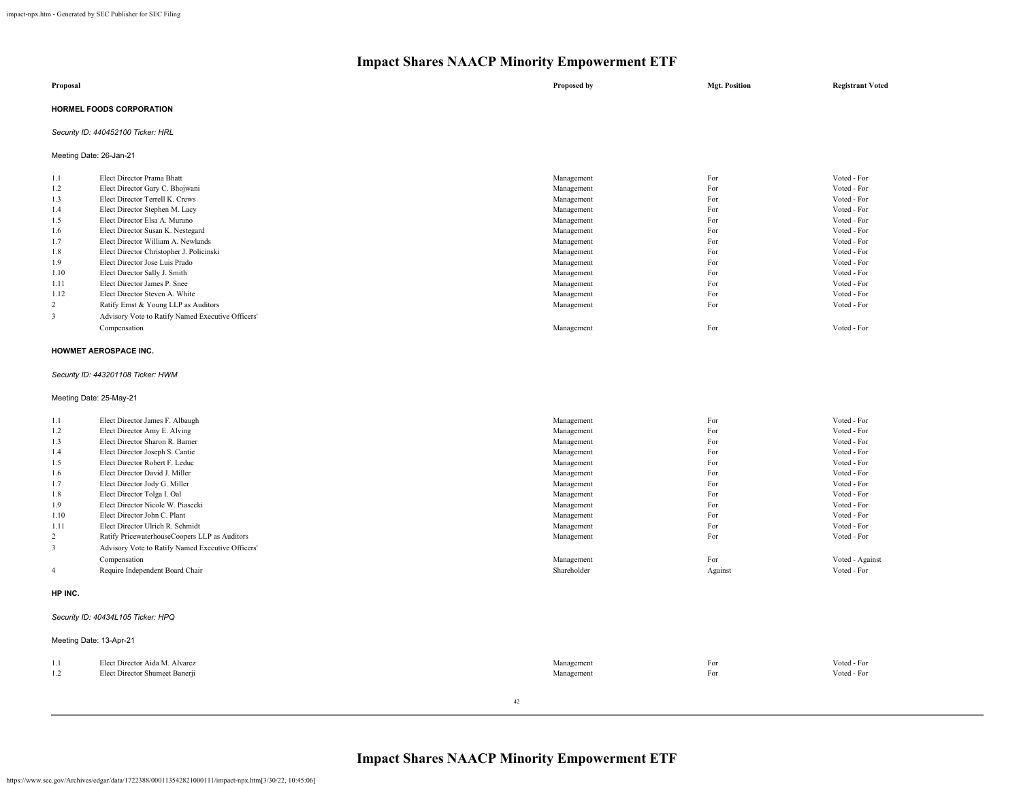| Proposal                        | Proposed by | <b>Mgt. Position</b> | <b>Registrant Voted</b> |
|---------------------------------|-------------|----------------------|-------------------------|
| <b>HORMEL FOODS CORPORATION</b> |             |                      |                         |

## *Security ID: 440452100 Ticker: HRL*

Meeting Date: 26-Jan-21

| 1.1            | Elect Director Prama Bhatt                        | Management | For | Voted - For |
|----------------|---------------------------------------------------|------------|-----|-------------|
| 1.2            | Elect Director Gary C. Bhojwani                   | Management | For | Voted - For |
| 1.3            | Elect Director Terrell K. Crews                   | Management | For | Voted - For |
| 1.4            | Elect Director Stephen M. Lacy                    | Management | For | Voted - For |
| 1.5            | Elect Director Elsa A. Murano                     | Management | For | Voted - For |
| 1.6            | Elect Director Susan K. Nestegard                 | Management | For | Voted - For |
| 1.7            | Elect Director William A. Newlands                | Management | For | Voted - For |
| 1.8            | Elect Director Christopher J. Policinski          | Management | For | Voted - For |
| 1.9            | Elect Director Jose Luis Prado                    | Management | For | Voted - For |
| 1.10           | Elect Director Sally J. Smith                     | Management | For | Voted - For |
| 1.11           | Elect Director James P. Snee                      | Management | For | Voted - For |
| 1.12           | Elect Director Steven A. White                    | Management | For | Voted - For |
| $\overline{2}$ | Ratify Ernst & Young LLP as Auditors              | Management | For | Voted - For |
| 3              | Advisory Vote to Ratify Named Executive Officers' |            |     |             |
|                | Compensation                                      | Management | For | Voted - For |

#### **HOWMET AEROSPACE INC.**

#### *Security ID: 443201108 Ticker: HWM*

Meeting Date: 25-May-21

| 1.1            | Elect Director James F. Albaugh                   | Management  | For     | Voted - For     |
|----------------|---------------------------------------------------|-------------|---------|-----------------|
| 1.2            | Elect Director Amy E. Alving                      | Management  | For     | Voted - For     |
| 1.3            | Elect Director Sharon R. Barner                   | Management  | For     | Voted - For     |
| 1.4            | Elect Director Joseph S. Cantie                   | Management  | For     | Voted - For     |
| 1.5            | Elect Director Robert F. Leduc                    | Management  | For     | Voted - For     |
| 1.6            | Elect Director David J. Miller                    | Management  | For     | Voted - For     |
| 1.7            | Elect Director Jody G. Miller                     | Management  | For     | Voted - For     |
| 1.8            | Elect Director Tolga I. Oal                       | Management  | For     | Voted - For     |
| 1.9            | Elect Director Nicole W. Piasecki                 | Management  | For     | Voted - For     |
| 1.10           | Elect Director John C. Plant                      | Management  | For     | Voted - For     |
| 1.11           | Elect Director Ulrich R. Schmidt                  | Management  | For     | Voted - For     |
| 2              | Ratify PricewaterhouseCoopers LLP as Auditors     | Management  | For     | Voted - For     |
| 3              | Advisory Vote to Ratify Named Executive Officers' |             |         |                 |
|                | Compensation                                      | Management  | For     | Voted - Against |
| $\overline{4}$ | Require Independent Board Chair                   | Shareholder | Against | Voted - For     |
|                |                                                   |             |         |                 |

#### **HP INC.**

#### *Security ID: 40434L105 Ticker: HPQ*

| Meeting Date: 13-Apr-21 |                                |            |     |             |
|-------------------------|--------------------------------|------------|-----|-------------|
| 1.1                     | Elect Director Aida M. Alvarez | Management | For | Voted - For |
| 1.2                     | Elect Director Shumeet Banerji | Management | For | Voted - For |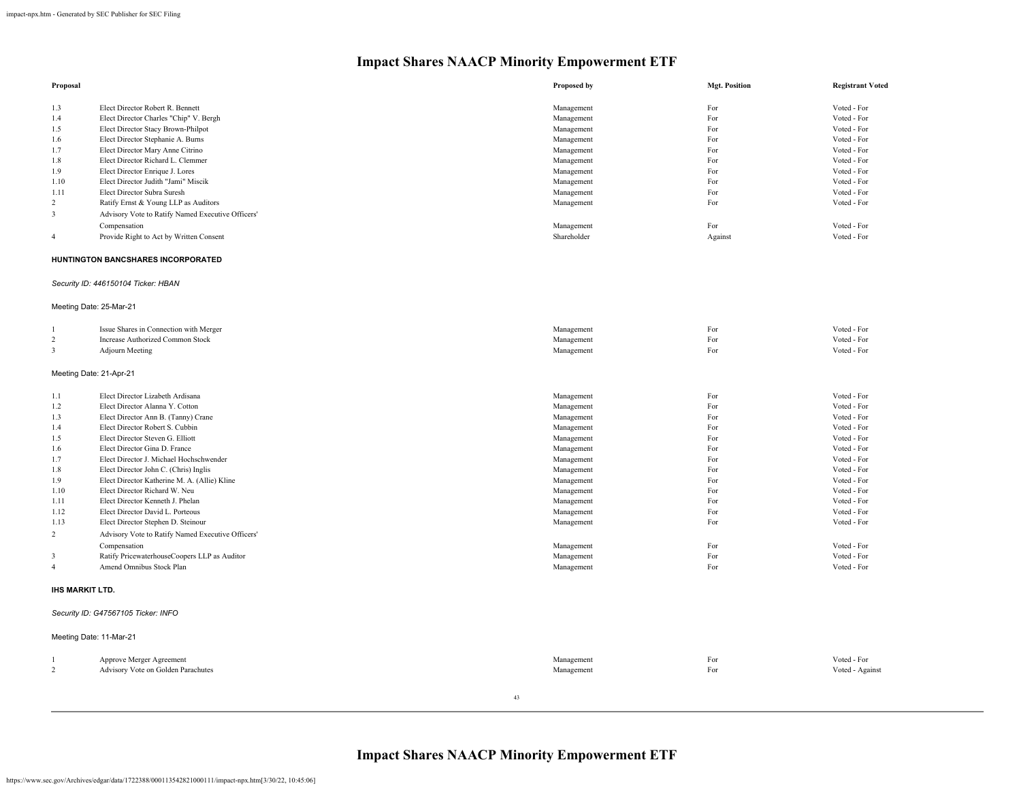| Proposal                |                                                   | Proposed by               | <b>Mgt. Position</b> | <b>Registrant Voted</b> |
|-------------------------|---------------------------------------------------|---------------------------|----------------------|-------------------------|
| 1.3                     | Elect Director Robert R. Bennett                  | Management                | For                  | Voted - For             |
| 1.4                     | Elect Director Charles "Chip" V. Bergh            | Management                | For                  | Voted - For             |
| 1.5                     | Elect Director Stacy Brown-Philpot                | Management                | For                  | Voted - For             |
| 1.6                     | Elect Director Stephanie A. Burns                 | Management                | For                  | Voted - For             |
| 1.7                     | Elect Director Mary Anne Citrino                  | Management                | For                  | Voted - For             |
| 1.8                     | Elect Director Richard L. Clemmer                 | Management                | For                  | Voted - For             |
| 1.9                     | Elect Director Enrique J. Lores                   | Management                | For                  | Voted - For             |
| 1.10                    | Elect Director Judith "Jami" Miscik               | Management                | For                  | Voted - For             |
| 1.11                    | Elect Director Subra Suresh                       | Management                | For                  | Voted - For             |
| 2                       | Ratify Ernst & Young LLP as Auditors              | Management                | For                  | Voted - For             |
| 3                       | Advisory Vote to Ratify Named Executive Officers' |                           |                      |                         |
|                         | Compensation                                      |                           | For                  | Voted - For             |
| $\overline{4}$          | Provide Right to Act by Written Consent           | Management<br>Shareholder | Against              | Voted - For             |
|                         |                                                   |                           |                      |                         |
|                         | HUNTINGTON BANCSHARES INCORPORATED                |                           |                      |                         |
|                         | Security ID: 446150104 Ticker: HBAN               |                           |                      |                         |
|                         | Meeting Date: 25-Mar-21                           |                           |                      |                         |
|                         | Issue Shares in Connection with Merger            | Management                | For                  | Voted - For             |
| $\overline{c}$          | Increase Authorized Common Stock                  | Management                | For                  | Voted - For             |
| $\overline{\mathbf{3}}$ | Adjourn Meeting                                   | Management                | For                  | Voted - For             |
|                         | Meeting Date: 21-Apr-21                           |                           |                      |                         |
| 1.1                     | Elect Director Lizabeth Ardisana                  | Management                | For                  | Voted - For             |
| 1.2                     | Elect Director Alanna Y. Cotton                   | Management                | For                  | Voted - For             |
| 1.3                     | Elect Director Ann B. (Tanny) Crane               | Management                | For                  | Voted - For             |
| 1.4                     | Elect Director Robert S. Cubbin                   | Management                | For                  | Voted - For             |
| 1.5                     | Elect Director Steven G. Elliott                  | Management                | For                  | Voted - For             |
| 1.6                     | Elect Director Gina D. France                     | Management                | For                  | Voted - For             |
| 1.7                     | Elect Director J. Michael Hochschwender           | Management                | For                  | Voted - For             |
| 1.8                     | Elect Director John C. (Chris) Inglis             | Management                | For                  | Voted - For             |
| 1.9                     | Elect Director Katherine M. A. (Allie) Kline      | Management                | For                  | Voted - For             |
| 1.10                    | Elect Director Richard W. Neu                     | Management                | For                  | Voted - For             |
| 1.11                    | Elect Director Kenneth J. Phelan                  | Management                | For                  | Voted - For             |
| 1.12                    | Elect Director David L. Porteous                  | Management                | For                  | Voted - For             |
| 1.13                    | Elect Director Stephen D. Steinour                | Management                | For                  | Voted - For             |
| $\overline{2}$          | Advisory Vote to Ratify Named Executive Officers' |                           |                      |                         |
|                         | Compensation                                      | Management                | For                  | Voted - For             |
| $\mathbf{3}$            | Ratify PricewaterhouseCoopers LLP as Auditor      | Management                | For                  | Voted - For             |
| $\overline{4}$          | Amend Omnibus Stock Plan                          | Management                | For                  | Voted - For             |
|                         |                                                   |                           |                      |                         |
| <b>IHS MARKIT LTD.</b>  |                                                   |                           |                      |                         |
|                         | Security ID: G47567105 Ticker: INFO               |                           |                      |                         |
|                         | Meeting Date: 11-Mar-21                           |                           |                      |                         |
|                         | Approve Merger Agreement                          | Management                | For                  | Voted - For             |
| $\overline{c}$          | Advisory Vote on Golden Parachutes                | Management                | For                  | Voted - Against         |
|                         |                                                   |                           |                      |                         |

43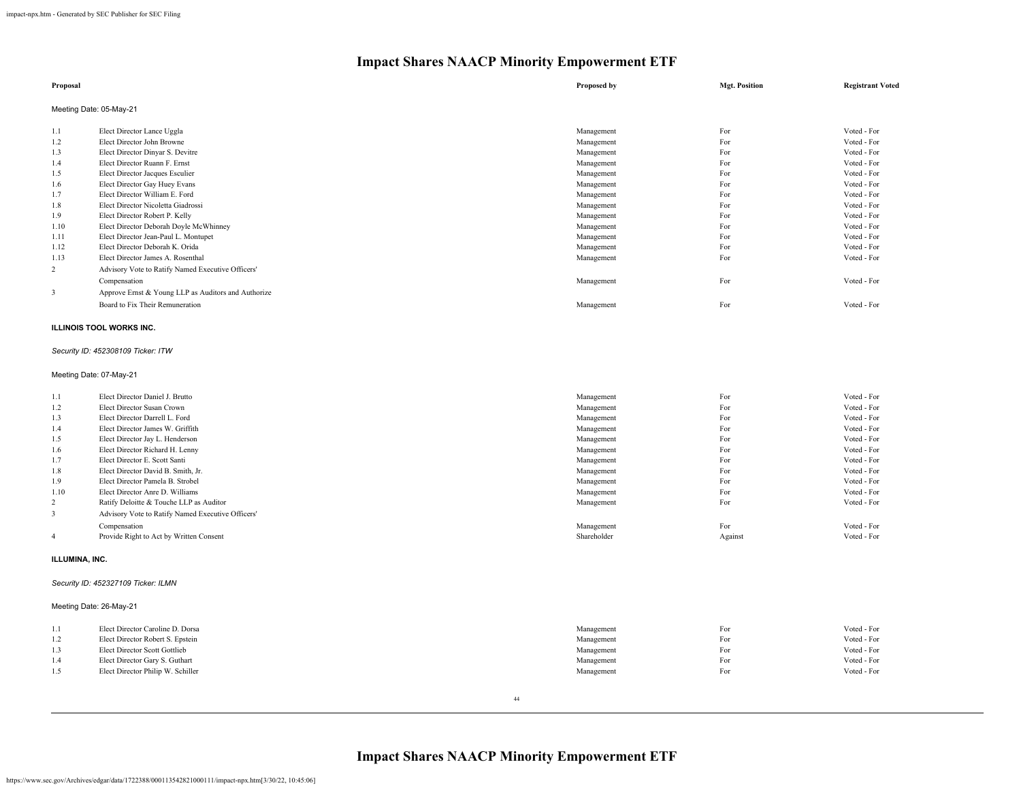| Proposal       |                                                     | Proposed by | <b>Mgt. Position</b> | <b>Registrant Voted</b> |
|----------------|-----------------------------------------------------|-------------|----------------------|-------------------------|
|                | Meeting Date: 05-May-21                             |             |                      |                         |
| 1.1            | Elect Director Lance Uggla                          | Management  | For                  | Voted - For             |
| 1.2            | Elect Director John Browne                          | Management  | For                  | Voted - For             |
| 1.3            | Elect Director Dinyar S. Devitre                    | Management  | For                  | Voted - For             |
| 1.4            | Elect Director Ruann F. Ernst                       | Management  | For                  | Voted - For             |
| 1.5            | Elect Director Jacques Esculier                     | Management  | For                  | Voted - For             |
| 1.6            | Elect Director Gay Huey Evans                       | Management  | For                  | Voted - For             |
| 1.7            | Elect Director William E. Ford                      | Management  | For                  | Voted - For             |
| 1.8            | Elect Director Nicoletta Giadrossi                  | Management  | For                  | Voted - For             |
| 1.9            | Elect Director Robert P. Kelly                      | Management  | For                  | Voted - For             |
| 1.10           | Elect Director Deborah Doyle McWhinney              | Management  | For                  | Voted - For             |
| 1.11           | Elect Director Jean-Paul L. Montupet                | Management  | For                  | Voted - For             |
| 1.12           | Elect Director Deborah K. Orida                     | Management  | For                  | Voted - For             |
| 1.13           | Elect Director James A. Rosenthal                   | Management  | For                  | Voted - For             |
| $\overline{c}$ | Advisory Vote to Ratify Named Executive Officers'   |             |                      |                         |
|                | Compensation                                        | Management  | For                  | Voted - For             |
| 3              | Approve Ernst & Young LLP as Auditors and Authorize |             |                      |                         |
|                | Board to Fix Their Remuneration                     | Management  | For                  | Voted - For             |

## **ILLINOIS TOOL WORKS INC.**

## *Security ID: 452308109 Ticker: ITW*

## Meeting Date: 07-May-21

| 1.1            | Elect Director Daniel J. Brutto                   | Management  | For     | Voted - For |
|----------------|---------------------------------------------------|-------------|---------|-------------|
| 1.2            | Elect Director Susan Crown                        | Management  | For     | Voted - For |
| 1.3            | Elect Director Darrell L. Ford                    | Management  | For     | Voted - For |
| 1.4            | Elect Director James W. Griffith                  | Management  | For     | Voted - For |
| 1.5            | Elect Director Jay L. Henderson                   | Management  | For     | Voted - For |
| 1.6            | Elect Director Richard H. Lenny                   | Management  | For     | Voted - For |
| 1.7            | Elect Director E. Scott Santi                     | Management  | For     | Voted - For |
| 1.8            | Elect Director David B. Smith, Jr.                | Management  | For     | Voted - For |
| 1.9            | Elect Director Pamela B. Strobel                  | Management  | For     | Voted - For |
| 1.10           | Elect Director Anre D. Williams                   | Management  | For     | Voted - For |
| 2              | Ratify Deloitte & Touche LLP as Auditor           | Management  | For     | Voted - For |
|                | Advisory Vote to Ratify Named Executive Officers' |             |         |             |
|                | Compensation                                      | Management  | For     | Voted - For |
| $\overline{4}$ | Provide Right to Act by Written Consent           | Shareholder | Against | Voted - For |
|                |                                                   |             |         |             |

## **ILLUMINA, INC.**

## *Security ID: 452327109 Ticker: ILMN*

## Meeting Date: 26-May-21

| 1.1 | Elect Director Caroline D. Dorsa  | Management | For | Voted - For |
|-----|-----------------------------------|------------|-----|-------------|
| 1.2 | Elect Director Robert S. Epstein  | Management | For | Voted - For |
| 1.3 | Elect Director Scott Gottlieb     | Management | For | Voted - For |
| 1.4 | Elect Director Gary S. Guthart    | Management | For | Voted - For |
| 1.5 | Elect Director Philip W. Schiller | Management | For | Voted - For |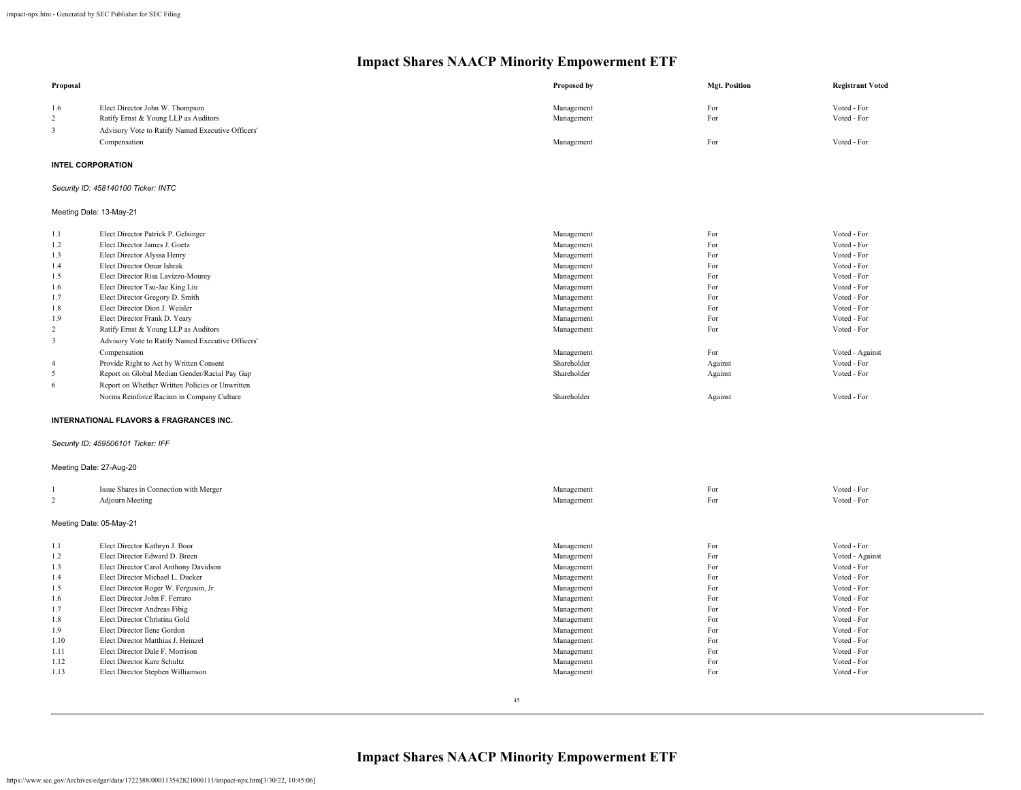| Proposal                 |                                                                         | Proposed by              | <b>Mgt. Position</b> | <b>Registrant Voted</b>    |
|--------------------------|-------------------------------------------------------------------------|--------------------------|----------------------|----------------------------|
| 1.6<br>2                 | Elect Director John W. Thompson<br>Ratify Ernst & Young LLP as Auditors | Management<br>Management | For<br>For           | Voted - For<br>Voted - For |
| $\overline{\mathbf{3}}$  | Advisory Vote to Ratify Named Executive Officers'                       |                          |                      |                            |
|                          | Compensation                                                            | Management               | For                  | Voted - For                |
| <b>INTEL CORPORATION</b> |                                                                         |                          |                      |                            |
|                          | Security ID: 458140100 Ticker: INTC                                     |                          |                      |                            |
| Meeting Date: 13-May-21  |                                                                         |                          |                      |                            |
| 1.1                      | Elect Director Patrick P. Gelsinger                                     | Management               | For                  | Voted - For                |
| 1.2                      | Elect Director James J. Goetz                                           | Management               | For                  | Voted - For                |
| 1.3                      | Elect Director Alyssa Henry                                             | Management               | For                  | Voted - For                |
| 1.4                      | Elect Director Omar Ishrak                                              | Management               | For                  | Voted - For                |
| 1.5                      | Elect Director Risa Lavizzo-Mourey                                      | Management               | For                  | Voted - For                |
| 1.6                      | Elect Director Tsu-Jae King Liu                                         | Management               | For                  | Voted - For                |
| 1.7                      | Elect Director Gregory D. Smith                                         | Management               | For                  | Voted - For                |
| 1.8                      | Elect Director Dion J. Weisler                                          | Management               | For                  | Voted - For                |
| 1.9                      | Elect Director Frank D. Yeary                                           | Management               | For                  | Voted - For                |
| $\overline{c}$           | Ratify Ernst & Young LLP as Auditors                                    | Management               | For                  | Voted - For                |
| 3                        | Advisory Vote to Ratify Named Executive Officers'                       |                          |                      |                            |
|                          | Compensation                                                            | Management               | For                  | Voted - Against            |
| $\overline{4}$           | Provide Right to Act by Written Consent                                 | Shareholder              | Against              | Voted - For                |
| 5                        | Report on Global Median Gender/Racial Pay Gap                           | Shareholder              | Against              | Voted - For                |
| 6                        | Report on Whether Written Policies or Unwritten                         |                          |                      |                            |
|                          | Norms Reinforce Racism in Company Culture                               | Shareholder              | Against              | Voted - For                |
|                          | INTERNATIONAL FLAVORS & FRAGRANCES INC.                                 |                          |                      |                            |
|                          | Security ID: 459506101 Ticker: IFF                                      |                          |                      |                            |
| Meeting Date: 27-Aug-20  |                                                                         |                          |                      |                            |
|                          | Issue Shares in Connection with Merger                                  | Management               | For                  | Voted - For                |
| 2                        | <b>Adjourn Meeting</b>                                                  | Management               | For                  | Voted - For                |
| Meeting Date: 05-May-21  |                                                                         |                          |                      |                            |
| 1.1                      | Elect Director Kathryn J. Boor                                          | Management               | For                  | Voted - For                |
| 1.2                      | Elect Director Edward D. Breen                                          | Management               | For                  | Voted - Against            |
| 1.3                      | Elect Director Carol Anthony Davidson                                   | Management               | For                  | Voted - For                |
| 1.4                      | Elect Director Michael L. Ducker                                        | Management               | For                  | Voted - For                |
| 1.5                      | Elect Director Roger W. Ferguson, Jr.                                   | Management               | For                  | Voted - For                |
| 1.6                      | Elect Director John F. Ferraro                                          | Management               | For                  | Voted - For                |
| 1.7                      | Elect Director Andreas Fibig                                            | Management               | For                  | Voted - For                |
| 1.8                      | Elect Director Christina Gold                                           | Management               | For                  | Voted - For                |
| 1.9                      | Elect Director Ilene Gordon                                             | Management               | For                  | Voted - For                |
| 1.10                     | Elect Director Matthias J. Heinzel                                      | Management               | For                  | Voted - For                |
| 1.11                     | Elect Director Dale F. Morrison                                         | Management               | For                  | Voted - For                |
| 1.12                     | Elect Director Kare Schultz                                             | Management               | For                  | Voted - For                |
| 1.13                     | Elect Director Stephen Williamson                                       | Management               | For                  | Voted - For                |
|                          |                                                                         |                          |                      |                            |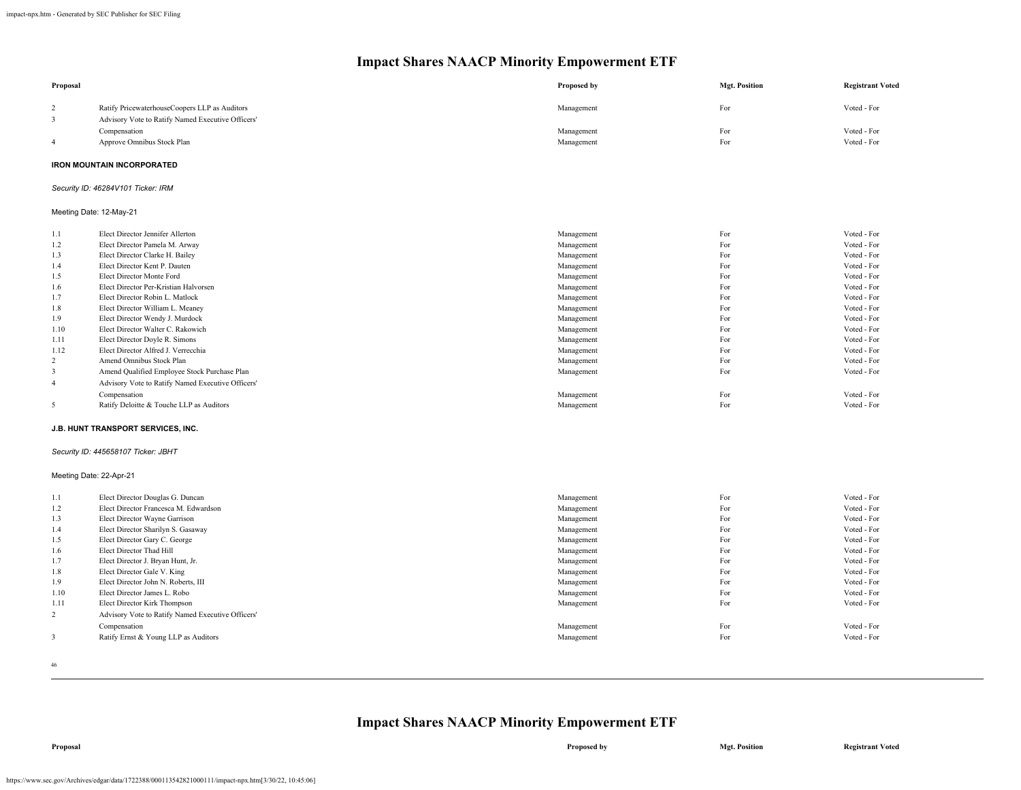| Proposal                |                                                   | Proposed by | <b>Mgt. Position</b> | <b>Registrant Voted</b> |
|-------------------------|---------------------------------------------------|-------------|----------------------|-------------------------|
| 2                       | Ratify PricewaterhouseCoopers LLP as Auditors     | Management  | For                  | Voted - For             |
| $\overline{\mathbf{3}}$ | Advisory Vote to Ratify Named Executive Officers' |             |                      |                         |
|                         | Compensation                                      | Management  | For                  | Voted - For             |
| $\overline{4}$          | Approve Omnibus Stock Plan                        | Management  | For                  | Voted - For             |
|                         | <b>IRON MOUNTAIN INCORPORATED</b>                 |             |                      |                         |
|                         | Security ID: 46284V101 Ticker: IRM                |             |                      |                         |
|                         | Meeting Date: 12-May-21                           |             |                      |                         |
| 1.1                     | Elect Director Jennifer Allerton                  | Management  | For                  | Voted - For             |
| 1.2                     | Elect Director Pamela M. Arway                    | Management  | For                  | Voted - For             |
| 1.3                     | Elect Director Clarke H. Bailey                   | Management  | For                  | Voted - For             |
| 1.4                     | Elect Director Kent P. Dauten                     | Management  | For                  | Voted - For             |
| 1.5                     | Elect Director Monte Ford                         | Management  | For                  | Voted - For             |
| 1.6                     | Elect Director Per-Kristian Halvorsen             | Management  | For                  | Voted - For             |
| 1.7                     | Elect Director Robin L. Matlock                   | Management  | For                  | Voted - For             |
| 1.8                     | Elect Director William L. Meaney                  | Management  | For                  | Voted - For             |
| 1.9                     | Elect Director Wendy J. Murdock                   | Management  | For                  | Voted - For             |
| 1.10                    | Elect Director Walter C. Rakowich                 | Management  | For                  | Voted - For             |
| 1.11                    | Elect Director Doyle R. Simons                    | Management  | For                  | Voted - For             |
| 1.12                    | Elect Director Alfred J. Verrecchia               | Management  | For                  | Voted - For             |
| 2                       | Amend Omnibus Stock Plan                          | Management  | For                  | Voted - For             |
| 3                       | Amend Qualified Employee Stock Purchase Plan      | Management  | For                  | Voted - For             |
| $\overline{4}$          | Advisory Vote to Ratify Named Executive Officers' |             |                      |                         |
|                         | Compensation                                      | Management  | For                  | Voted - For             |
| 5                       | Ratify Deloitte & Touche LLP as Auditors          | Management  | For                  | Voted - For             |
|                         | J.B. HUNT TRANSPORT SERVICES, INC.                |             |                      |                         |
|                         | Security ID: 445658107 Ticker: JBHT               |             |                      |                         |
|                         | Meeting Date: 22-Apr-21                           |             |                      |                         |
| 1.1                     | Elect Director Douglas G. Duncan                  | Management  | For                  | Voted - For             |
| 1.2                     | Elect Director Francesca M. Edwardson             | Management  | For                  | Voted - For             |
| 1.3                     | Elect Director Wayne Garrison                     | Management  | For                  | Voted - For             |
| 1.4                     | Elect Director Sharilyn S. Gasaway                | Management  | For                  | Voted - For             |
| 1.5                     | Elect Director Gary C. George                     | Management  | For                  | Voted - For             |
| 1.6                     | Elect Director Thad Hill                          | Management  | For                  | Voted - For             |
| 1.7                     | Elect Director J. Bryan Hunt, Jr.                 | Management  | For                  | Voted - For             |
| 1.8                     | Elect Director Gale V. King                       | Management  | For                  | Voted - For             |
| 1.9                     | Elect Director John N. Roberts, III               | Management  | For                  | Voted - For             |
| 1.10                    | Elect Director James L. Robo                      | Management  | For                  | Voted - For             |
| 1.11                    | Elect Director Kirk Thompson                      | Management  | For                  | Voted - For             |
| $\overline{c}$          | Advisory Vote to Ratify Named Executive Officers' |             |                      |                         |
|                         | Compensation                                      | Management  | For                  | Voted - For             |
| $\mathfrak{Z}$          | Ratify Ernst & Young LLP as Auditors              | Management  | For                  | Voted - For             |
|                         |                                                   |             |                      |                         |

46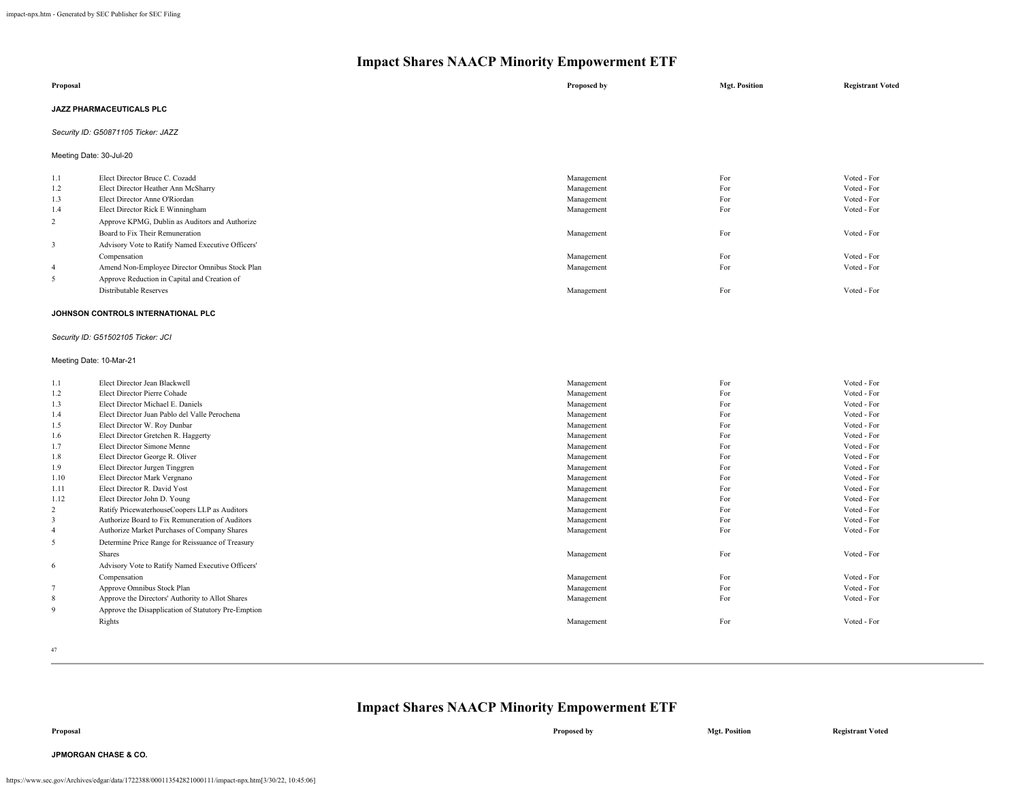| Security ID: G50871105 Ticker: JAZZ |  |  |  |  |
|-------------------------------------|--|--|--|--|
| Meeting Date: 30-Jul-20             |  |  |  |  |
| Voted - For<br>Voted - For          |  |  |  |  |
|                                     |  |  |  |  |

| 1.3            | Elect Director Anne O'Riordan                     | Management | For | Voted - For |
|----------------|---------------------------------------------------|------------|-----|-------------|
| 1.4            | Elect Director Rick E Winningham                  | Management | For | Voted - For |
| $\overline{2}$ | Approve KPMG, Dublin as Auditors and Authorize    |            |     |             |
|                | Board to Fix Their Remuneration                   | Management | For | Voted - For |
|                | Advisory Vote to Ratify Named Executive Officers' |            |     |             |
|                | Compensation                                      | Management | For | Voted - For |
|                | Amend Non-Employee Director Omnibus Stock Plan    | Management | For | Voted - For |
|                | Approve Reduction in Capital and Creation of      |            |     |             |
|                | Distributable Reserves                            | Management | For | Voted - For |
|                |                                                   |            |     |             |

#### **JOHNSON CONTROLS INTERNATIONAL PLC**

#### *Security ID: G51502105 Ticker: JCI*

#### Meeting Date: 10-Mar-21

| 1.1            | Elect Director Jean Blackwell                       | Management | For | Voted - For |
|----------------|-----------------------------------------------------|------------|-----|-------------|
| 1.2            | Elect Director Pierre Cohade                        | Management | For | Voted - For |
| 1.3            | Elect Director Michael E. Daniels                   | Management | For | Voted - For |
| 1.4            | Elect Director Juan Pablo del Valle Perochena       | Management | For | Voted - For |
| 1.5            | Elect Director W. Roy Dunbar                        | Management | For | Voted - For |
| 1.6            | Elect Director Gretchen R. Haggerty                 | Management | For | Voted - For |
| 1.7            | Elect Director Simone Menne                         | Management | For | Voted - For |
| 1.8            | Elect Director George R. Oliver                     | Management | For | Voted - For |
| 1.9            | Elect Director Jurgen Tinggren                      | Management | For | Voted - For |
| 1.10           | Elect Director Mark Vergnano                        | Management | For | Voted - For |
| 1.11           | Elect Director R. David Yost                        | Management | For | Voted - For |
| 1.12           | Elect Director John D. Young                        | Management | For | Voted - For |
| $\overline{c}$ | Ratify PricewaterhouseCoopers LLP as Auditors       | Management | For | Voted - For |
| 3              | Authorize Board to Fix Remuneration of Auditors     | Management | For | Voted - For |
| $\overline{4}$ | Authorize Market Purchases of Company Shares        | Management | For | Voted - For |
| 5              | Determine Price Range for Reissuance of Treasury    |            |     |             |
|                | <b>Shares</b>                                       | Management | For | Voted - For |
| 6              | Advisory Vote to Ratify Named Executive Officers'   |            |     |             |
|                | Compensation                                        | Management | For | Voted - For |
|                | Approve Omnibus Stock Plan                          | Management | For | Voted - For |
| 8              | Approve the Directors' Authority to Allot Shares    | Management | For | Voted - For |
| 9              | Approve the Disapplication of Statutory Pre-Emption |            |     |             |
|                | Rights                                              | Management | For | Voted - For |
|                |                                                     |            |     |             |

47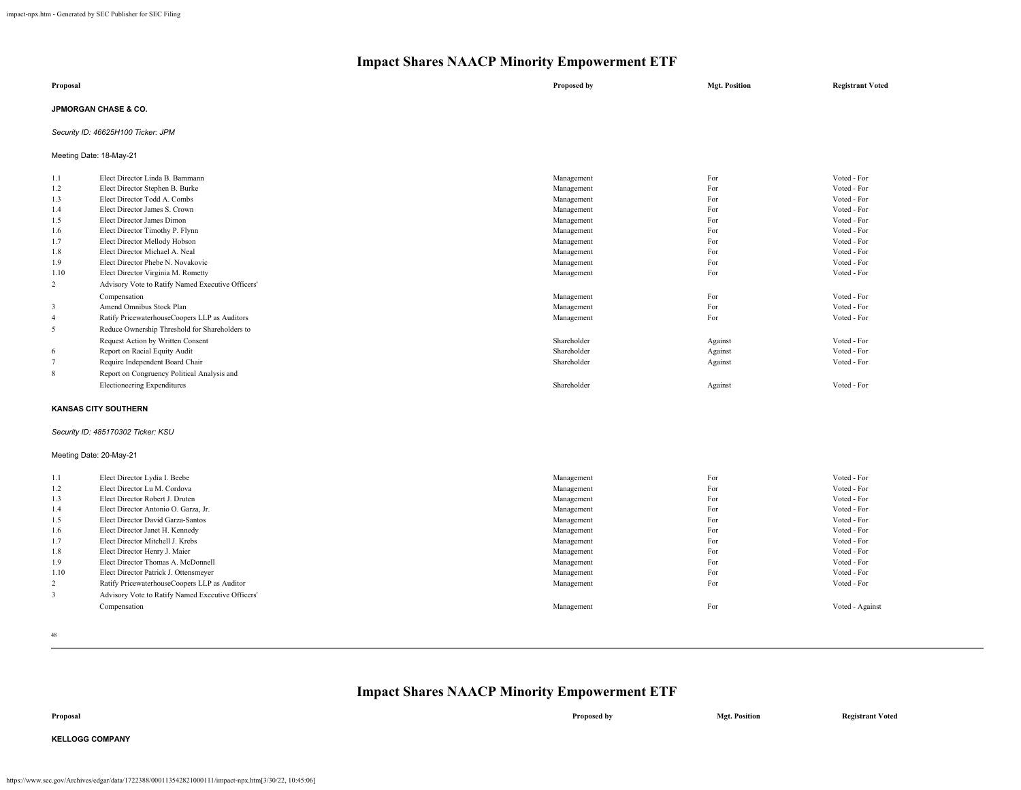| Proposal                        | Proposed by | <b>Mgt. Position</b> | <b>Registrant Voted</b> |
|---------------------------------|-------------|----------------------|-------------------------|
| <b>JPMORGAN CHASE &amp; CO.</b> |             |                      |                         |

## *Security ID: 46625H100 Ticker: JPM*

Meeting Date: 18-May-21

| 1.1                         | Elect Director Linda B. Bammann                   | Management  | For     | Voted - For |
|-----------------------------|---------------------------------------------------|-------------|---------|-------------|
| 1.2                         | Elect Director Stephen B. Burke                   | Management  | For     | Voted - For |
| 1.3                         | Elect Director Todd A. Combs                      | Management  | For     | Voted - For |
| 1.4                         | Elect Director James S. Crown                     | Management  | For     | Voted - For |
| 1.5                         | Elect Director James Dimon                        | Management  | For     | Voted - For |
| 1.6                         | Elect Director Timothy P. Flynn                   | Management  | For     | Voted - For |
| 1.7                         | Elect Director Mellody Hobson                     | Management  | For     | Voted - For |
| 1.8                         | Elect Director Michael A. Neal                    | Management  | For     | Voted - For |
| 1.9                         | Elect Director Phebe N. Novakovic                 | Management  | For     | Voted - For |
| 1.10                        | Elect Director Virginia M. Rometty                | Management  | For     | Voted - For |
| $\overline{c}$              | Advisory Vote to Ratify Named Executive Officers' |             |         |             |
|                             | Compensation                                      | Management  | For     | Voted - For |
| 3                           | Amend Omnibus Stock Plan                          | Management  | For     | Voted - For |
| $\overline{4}$              | Ratify PricewaterhouseCoopers LLP as Auditors     | Management  | For     | Voted - For |
| 5                           | Reduce Ownership Threshold for Shareholders to    |             |         |             |
|                             | Request Action by Written Consent                 | Shareholder | Against | Voted - For |
| 6                           | Report on Racial Equity Audit                     | Shareholder | Against | Voted - For |
| $7\phantom{.0}$             | Require Independent Board Chair                   | Shareholder | Against | Voted - For |
| 8                           | Report on Congruency Political Analysis and       |             |         |             |
|                             | Electioneering Expenditures                       | Shareholder | Against | Voted - For |
| <b>KANSAS CITY SOUTHERN</b> |                                                   |             |         |             |

## *Security ID: 485170302 Ticker: KSU*

#### Meeting Date: 20-May-21

| 1.1  | Elect Director Lydia I. Beebe                     | Management | For | Voted - For     |
|------|---------------------------------------------------|------------|-----|-----------------|
| 1.2  | Elect Director Lu M. Cordova                      | Management | For | Voted - For     |
| 1.3  | Elect Director Robert J. Druten                   | Management | For | Voted - For     |
| 1.4  | Elect Director Antonio O. Garza, Jr.              | Management | For | Voted - For     |
| 1.5  | Elect Director David Garza-Santos                 | Management | For | Voted - For     |
| 1.6  | Elect Director Janet H. Kennedy                   | Management | For | Voted - For     |
| 1.7  | Elect Director Mitchell J. Krebs                  | Management | For | Voted - For     |
| 1.8  | Elect Director Henry J. Maier                     | Management | For | Voted - For     |
| 1.9  | Elect Director Thomas A. McDonnell                | Management | For | Voted - For     |
| 1.10 | Elect Director Patrick J. Ottensmeyer             | Management | For | Voted - For     |
| 2    | Ratify PricewaterhouseCoopers LLP as Auditor      | Management | For | Voted - For     |
|      | Advisory Vote to Ratify Named Executive Officers' |            |     |                 |
|      | Compensation                                      | Management | For | Voted - Against |
|      |                                                   |            |     |                 |

48

## **Impact Shares NAACP Minority Empowerment ETF**

**Proposal Proposed by Mgt. Position Registrant Voted**

**KELLOGG COMPANY**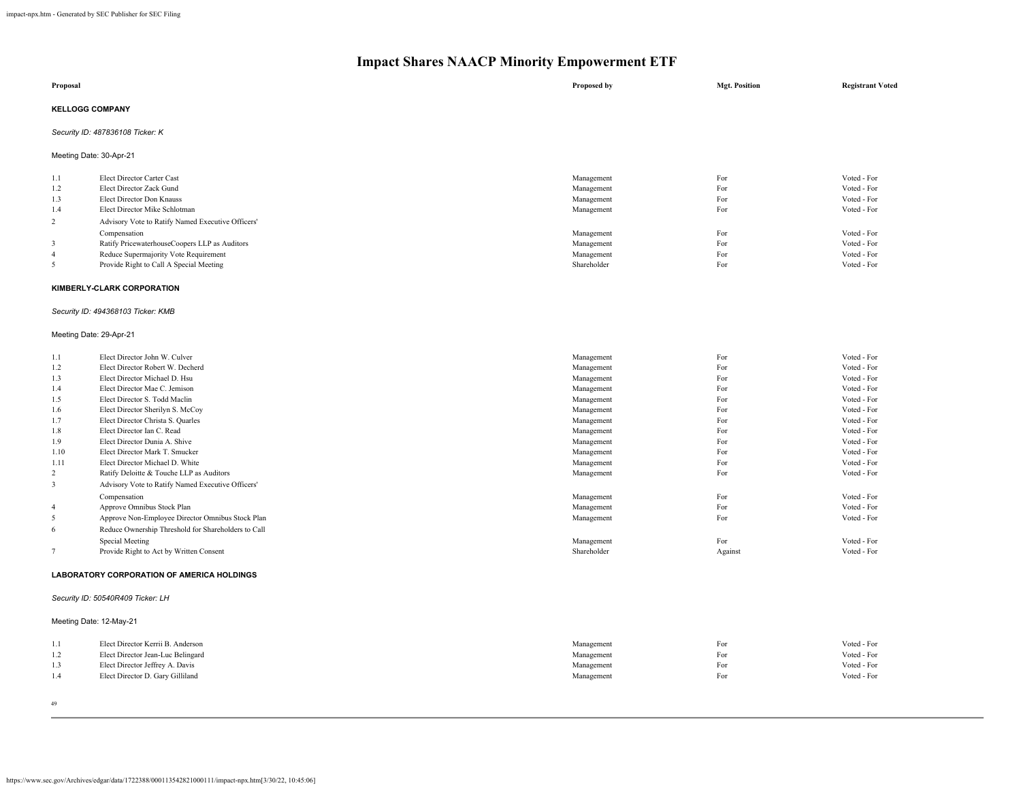| Proposal                         | Proposed by | <b>Mgt. Position</b> | <b>Registrant Voted</b> |
|----------------------------------|-------------|----------------------|-------------------------|
| <b>KELLOGG COMPANY</b>           |             |                      |                         |
| Security ID: 487836108 Ticker: K |             |                      |                         |

Meeting Date: 30-Apr-21

| 1.1<br>1.2<br>1.3<br>1.4 | Elect Director Carter Cast<br>Elect Director Zack Gund<br>Elect Director Don Knauss<br>Elect Director Mike Schlotman | Management<br>Management<br>Management<br>Management | For<br>For<br>For<br>For | Voted - For<br>Voted - For<br>Voted - For<br>Voted - For |
|--------------------------|----------------------------------------------------------------------------------------------------------------------|------------------------------------------------------|--------------------------|----------------------------------------------------------|
| $\mathcal{L}$            | Advisory Vote to Ratify Named Executive Officers'                                                                    |                                                      |                          |                                                          |
|                          | Compensation                                                                                                         | Management                                           | For                      | Voted - For                                              |
|                          | Ratify PricewaterhouseCoopers LLP as Auditors                                                                        | Management                                           | For                      | Voted - For                                              |
| -4                       | Reduce Supermajority Vote Requirement                                                                                | Management                                           | For                      | Voted - For                                              |
|                          | Provide Right to Call A Special Meeting                                                                              | Shareholder                                          | For                      | Voted - For                                              |

### **KIMBERLY-CLARK CORPORATION**

## *Security ID: 494368103 Ticker: KMB*

#### Meeting Date: 29-Apr-21

| 1.1            | Elect Director John W. Culver                       | Management  | For     | Voted - For |
|----------------|-----------------------------------------------------|-------------|---------|-------------|
| 1.2            | Elect Director Robert W. Decherd                    | Management  | For     | Voted - For |
| 1.3            | Elect Director Michael D. Hsu                       | Management  | For     | Voted - For |
| 1.4            | Elect Director Mae C. Jemison                       | Management  | For     | Voted - For |
| 1.5            | Elect Director S. Todd Maclin                       | Management  | For     | Voted - For |
| 1.6            | Elect Director Sherilyn S. McCoy                    | Management  | For     | Voted - For |
| 1.7            | Elect Director Christa S. Quarles                   | Management  | For     | Voted - For |
| 1.8            | Elect Director Ian C. Read                          | Management  | For     | Voted - For |
| 1.9            | Elect Director Dunia A. Shive                       | Management  | For     | Voted - For |
| 1.10           | Elect Director Mark T. Smucker                      | Management  | For     | Voted - For |
| 1.11           | Elect Director Michael D. White                     | Management  | For     | Voted - For |
| 2              | Ratify Deloitte & Touche LLP as Auditors            | Management  | For     | Voted - For |
| 3              | Advisory Vote to Ratify Named Executive Officers'   |             |         |             |
|                | Compensation                                        | Management  | For     | Voted - For |
| $\overline{4}$ | Approve Omnibus Stock Plan                          | Management  | For     | Voted - For |
| 5              | Approve Non-Employee Director Omnibus Stock Plan    | Management  | For     | Voted - For |
| 6              | Reduce Ownership Threshold for Shareholders to Call |             |         |             |
|                | Special Meeting                                     | Management  | For     | Voted - For |
|                | Provide Right to Act by Written Consent             | Shareholder | Against | Voted - For |

#### **LABORATORY CORPORATION OF AMERICA HOLDINGS**

## *Security ID: 50540R409 Ticker: LH*

## Meeting Date: 12-May-21

| 1.1 | Elect Director Kerrii B. Anderson | Management | For | Voted - For |
|-----|-----------------------------------|------------|-----|-------------|
| 1.2 | Elect Director Jean-Luc Belingard | Management | For | Voted - For |
| 1.3 | Elect Director Jeffrey A. Davis   | Management | For | Voted - For |
| 1.4 | Elect Director D. Gary Gilliland  | Management | For | Voted - For |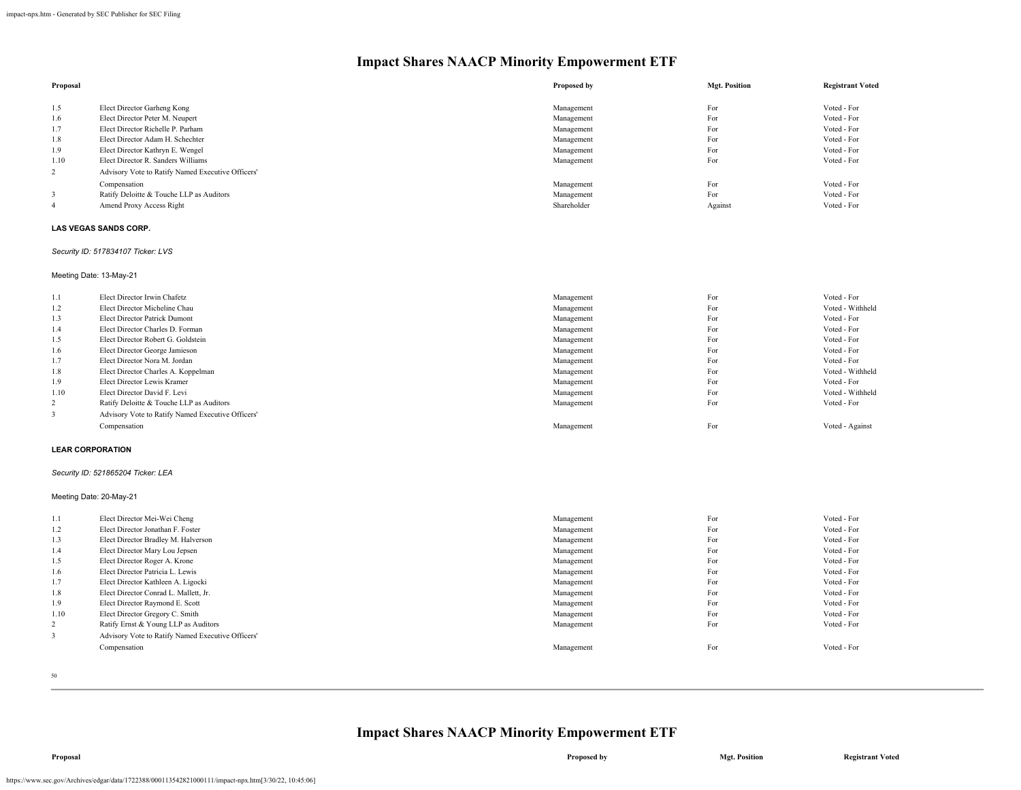| Proposal |                                                   | Proposed by | <b>Mgt. Position</b> | <b>Registrant Voted</b> |
|----------|---------------------------------------------------|-------------|----------------------|-------------------------|
|          |                                                   |             |                      |                         |
| 1.5      | Elect Director Garheng Kong                       | Management  | For                  | Voted - For             |
| 1.6      | Elect Director Peter M. Neupert                   | Management  | For                  | Voted - For             |
| 1.7      | Elect Director Richelle P. Parham                 | Management  | For                  | Voted - For             |
| 1.8      | Elect Director Adam H. Schechter                  | Management  | For                  | Voted - For             |
| 1.9      | Elect Director Kathryn E. Wengel                  | Management  | For                  | Voted - For             |
| 1.10     | Elect Director R. Sanders Williams                | Management  | For                  | Voted - For             |
| 2        | Advisory Vote to Ratify Named Executive Officers' |             |                      |                         |
|          | Compensation                                      | Management  | For                  | Voted - For             |
|          | Ratify Deloitte & Touche LLP as Auditors          | Management  | For                  | Voted - For             |
| 4        | Amend Proxy Access Right                          | Shareholder | Against              | Voted - For             |

### **LAS VEGAS SANDS CORP.**

#### *Security ID: 517834107 Ticker: LVS*

## Meeting Date: 13-May-21

| 1.1            | Elect Director Irwin Chafetz                      | Management | For | Voted - For      |
|----------------|---------------------------------------------------|------------|-----|------------------|
| 1.2            | Elect Director Micheline Chau                     | Management | For | Voted - Withheld |
| 1.3            | Elect Director Patrick Dumont                     | Management | For | Voted - For      |
| 1.4            | Elect Director Charles D. Forman                  | Management | For | Voted - For      |
| 1.5            | Elect Director Robert G. Goldstein                | Management | For | Voted - For      |
| 1.6            | Elect Director George Jamieson                    | Management | For | Voted - For      |
| 1.7            | Elect Director Nora M. Jordan                     | Management | For | Voted - For      |
| 1.8            | Elect Director Charles A. Koppelman               | Management | For | Voted - Withheld |
| 1.9            | Elect Director Lewis Kramer                       | Management | For | Voted - For      |
| 1.10           | Elect Director David F. Levi                      | Management | For | Voted - Withheld |
| $\overline{2}$ | Ratify Deloitte & Touche LLP as Auditors          | Management | For | Voted - For      |
|                | Advisory Vote to Ratify Named Executive Officers' |            |     |                  |
|                | Compensation                                      | Management | For | Voted - Against  |

#### **LEAR CORPORATION**

#### *Security ID: 521865204 Ticker: LEA*

## Meeting Date: 20-May-21

| 1.1            | Elect Director Mei-Wei Cheng                      | Management | For | Voted - For |
|----------------|---------------------------------------------------|------------|-----|-------------|
| 1.2            | Elect Director Jonathan F. Foster                 | Management | For | Voted - For |
| 1.3            | Elect Director Bradley M. Halverson               | Management | For | Voted - For |
| 1.4            | Elect Director Mary Lou Jepsen                    | Management | For | Voted - For |
| 1.5            | Elect Director Roger A. Krone                     | Management | For | Voted - For |
| 1.6            | Elect Director Patricia L. Lewis                  | Management | For | Voted - For |
| 1.7            | Elect Director Kathleen A. Ligocki                | Management | For | Voted - For |
| 1.8            | Elect Director Conrad L. Mallett, Jr.             | Management | For | Voted - For |
| 1.9            | Elect Director Raymond E. Scott                   | Management | For | Voted - For |
| 1.10           | Elect Director Gregory C. Smith                   | Management | For | Voted - For |
| $\overline{2}$ | Ratify Ernst & Young LLP as Auditors              | Management | For | Voted - For |
| 3              | Advisory Vote to Ratify Named Executive Officers' |            |     |             |
|                | Compensation                                      | Management | For | Voted - For |
|                |                                                   |            |     |             |

50

## **Impact Shares NAACP Minority Empowerment ETF**

https://www.sec.gov/Archives/edgar/data/1722388/000113542821000111/impact-npx.htm[3/30/22, 10:45:06]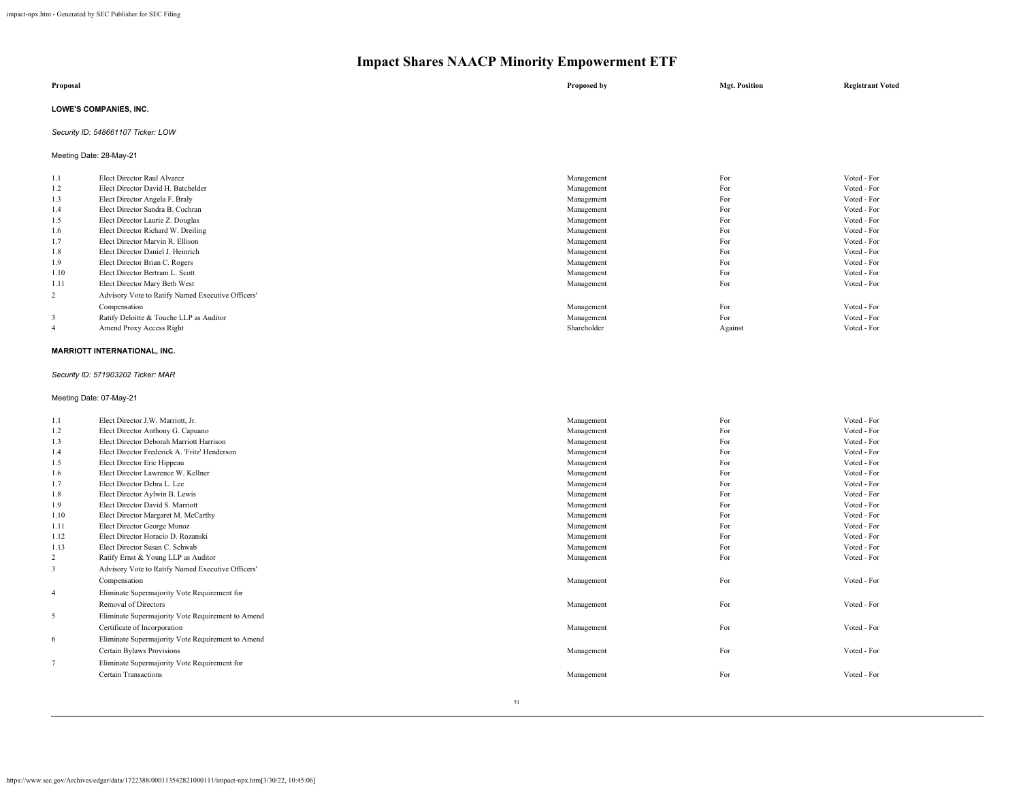| Proposal                      | Proposed by | <b>Mgt. Position</b> | <b>Registrant Voted</b> |
|-------------------------------|-------------|----------------------|-------------------------|
| <b>LOWE'S COMPANIES, INC.</b> |             |                      |                         |

## *Security ID: 548661107 Ticker: LOW*

Meeting Date: 28-May-21

| 1.1            | Elect Director Raul Alvarez                       | Management  | For     | Voted - For |
|----------------|---------------------------------------------------|-------------|---------|-------------|
| 1.2            | Elect Director David H. Batchelder                | Management  | For     | Voted - For |
| 1.3            | Elect Director Angela F. Braly                    | Management  | For     | Voted - For |
| 1.4            | Elect Director Sandra B. Cochran                  | Management  | For     | Voted - For |
| 1.5            | Elect Director Laurie Z. Douglas                  | Management  | For     | Voted - For |
| 1.6            | Elect Director Richard W. Dreiling                | Management  | For     | Voted - For |
| 1.7            | Elect Director Marvin R. Ellison                  | Management  | For     | Voted - For |
| 1.8            | Elect Director Daniel J. Heinrich                 | Management  | For     | Voted - For |
| 1.9            | Elect Director Brian C. Rogers                    | Management  | For     | Voted - For |
| 1.10           | Elect Director Bertram L. Scott                   | Management  | For     | Voted - For |
| 1.11           | Elect Director Mary Beth West                     | Management  | For     | Voted - For |
| $\overline{2}$ | Advisory Vote to Ratify Named Executive Officers' |             |         |             |
|                | Compensation                                      | Management  | For     | Voted - For |
| 3              | Ratify Deloitte & Touche LLP as Auditor           | Management  | For     | Voted - For |
| 4              | Amend Proxy Access Right                          | Shareholder | Against | Voted - For |
|                |                                                   |             |         |             |

## **MARRIOTT INTERNATIONAL, INC.**

## *Security ID: 571903202 Ticker: MAR*

Meeting Date: 07-May-21

| 1.1            | Elect Director J.W. Marriott, Jr.                 | Management | For | Voted - For |
|----------------|---------------------------------------------------|------------|-----|-------------|
| 1.2            | Elect Director Anthony G. Capuano                 | Management | For | Voted - For |
| 1.3            | Elect Director Deborah Marriott Harrison          | Management | For | Voted - For |
| 1.4            | Elect Director Frederick A. 'Fritz' Henderson     | Management | For | Voted - For |
| 1.5            | Elect Director Eric Hippeau                       | Management | For | Voted - For |
| 1.6            | Elect Director Lawrence W. Kellner                | Management | For | Voted - For |
| 1.7            | Elect Director Debra L. Lee                       | Management | For | Voted - For |
| 1.8            | Elect Director Aylwin B. Lewis                    | Management | For | Voted - For |
| 1.9            | Elect Director David S. Marriott                  | Management | For | Voted - For |
| 1.10           | Elect Director Margaret M. McCarthy               | Management | For | Voted - For |
| 1.11           | Elect Director George Munoz                       | Management | For | Voted - For |
| 1.12           | Elect Director Horacio D Rozanski                 | Management | For | Voted - For |
| 1.13           | Elect Director Susan C. Schwab                    | Management | For | Voted - For |
| 2              | Ratify Ernst & Young LLP as Auditor               | Management | For | Voted - For |
| 3              | Advisory Vote to Ratify Named Executive Officers' |            |     |             |
|                | Compensation                                      | Management | For | Voted - For |
| $\overline{4}$ | Eliminate Supermajority Vote Requirement for      |            |     |             |
|                | <b>Removal of Directors</b>                       | Management | For | Voted - For |
| 5              | Eliminate Supermajority Vote Requirement to Amend |            |     |             |
|                | Certificate of Incorporation                      | Management | For | Voted - For |
| 6              | Eliminate Supermajority Vote Requirement to Amend |            |     |             |
|                | Certain Bylaws Provisions                         | Management | For | Voted - For |
|                | Eliminate Supermajority Vote Requirement for      |            |     |             |
|                | <b>Certain Transactions</b>                       | Management | For | Voted - For |
|                |                                                   |            |     |             |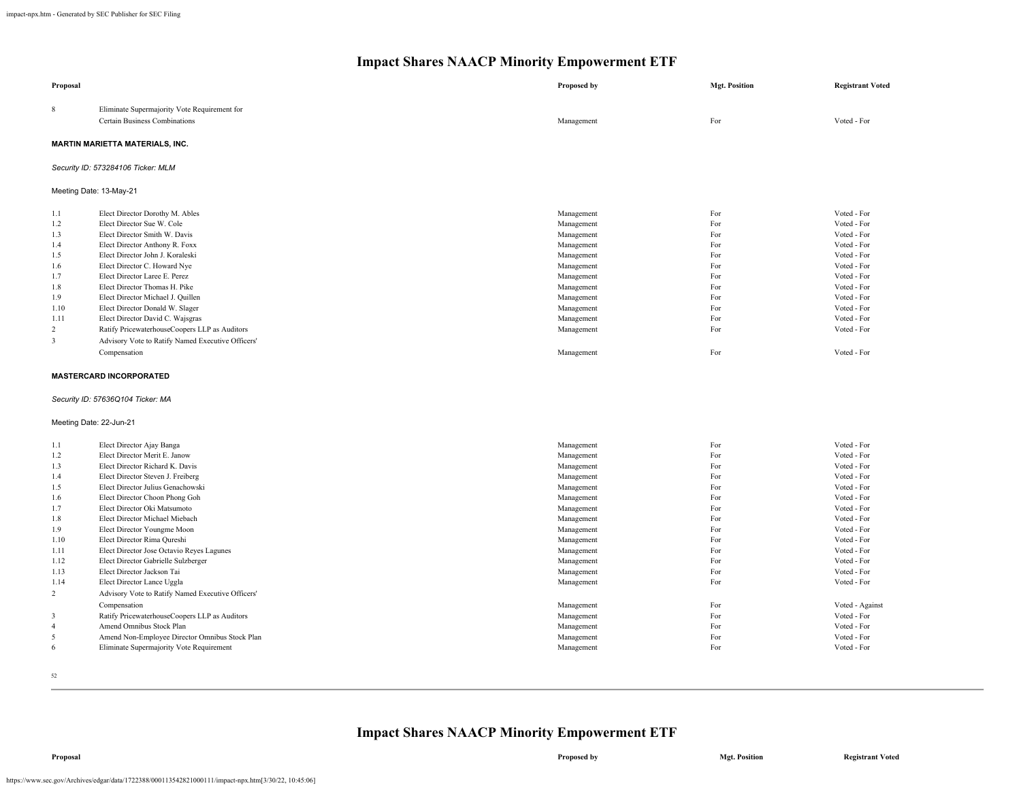| Proposal                |                                                   | Proposed by | <b>Mgt. Position</b> | <b>Registrant Voted</b> |
|-------------------------|---------------------------------------------------|-------------|----------------------|-------------------------|
| 8                       | Eliminate Supermajority Vote Requirement for      |             |                      |                         |
|                         | <b>Certain Business Combinations</b>              | Management  | For                  | Voted - For             |
|                         | <b>MARTIN MARIETTA MATERIALS, INC.</b>            |             |                      |                         |
|                         | Security ID: 573284106 Ticker: MLM                |             |                      |                         |
| Meeting Date: 13-May-21 |                                                   |             |                      |                         |
| 1.1                     | Elect Director Dorothy M. Ables                   | Management  | For                  | Voted - For             |
| 1.2                     | Elect Director Sue W. Cole                        | Management  | For                  | Voted - For             |
| 1.3                     | Elect Director Smith W. Davis                     | Management  | For                  | Voted - For             |
| 1.4                     | Elect Director Anthony R. Foxx                    | Management  | For                  | Voted - For             |
| 1.5                     | Elect Director John J. Koraleski                  | Management  | For                  | Voted - For             |
| 1.6                     | Elect Director C. Howard Nye                      | Management  | For                  | Voted - For             |
| 1.7                     | Elect Director Laree E. Perez                     | Management  | For                  | Voted - For             |
| 1.8                     | Elect Director Thomas H. Pike                     | Management  | For                  | Voted - For             |
| 1.9                     | Elect Director Michael J. Quillen                 | Management  | For                  | Voted - For             |
| 1.10                    | Elect Director Donald W. Slager                   | Management  | For                  | Voted - For             |
| 1.11                    | Elect Director David C. Wajsgras                  | Management  | For                  | Voted - For             |
| 2                       | Ratify PricewaterhouseCoopers LLP as Auditors     | Management  | For                  | Voted - For             |
| 3                       | Advisory Vote to Ratify Named Executive Officers' |             |                      |                         |
|                         | Compensation                                      | Management  | For                  | Voted - For             |
|                         | <b>MASTERCARD INCORPORATED</b>                    |             |                      |                         |
|                         |                                                   |             |                      |                         |
|                         | Security ID: 57636Q104 Ticker: MA                 |             |                      |                         |
| Meeting Date: 22-Jun-21 |                                                   |             |                      |                         |
| 1.1                     | Elect Director Ajay Banga                         | Management  | For                  | Voted - For             |
| 1.2                     | Elect Director Merit E. Janow                     | Management  | For                  | Voted - For             |
| 1.3                     | Elect Director Richard K. Davis                   | Management  | For                  | Voted - For             |
| 1.4                     | Elect Director Steven J. Freiberg                 | Management  | For                  | Voted - For             |
| 1.5                     | Elect Director Julius Genachowski                 | Management  | For                  | Voted - For             |
| 1.6                     | Elect Director Choon Phong Goh                    | Management  | For                  | Voted - For             |
| 1.7                     | Elect Director Oki Matsumoto                      | Management  | For                  | Voted - For             |
| 1.8                     | Elect Director Michael Miebach                    | Management  | For                  | Voted - For             |
| 1.9                     | Elect Director Youngme Moon                       | Management  | For                  | Voted - For             |
| 1.10                    | Elect Director Rima Qureshi                       | Management  | For                  | Voted - For             |
| 1.11                    | Elect Director Jose Octavio Reyes Lagunes         | Management  | For                  | Voted - For             |
| 1.12                    | Elect Director Gabrielle Sulzberger               | Management  | For                  | Voted - For             |
| 1.13                    | Elect Director Jackson Tai                        | Management  | For                  | Voted - For             |
| 1.14                    | Elect Director Lance Uggla                        | Management  | For                  | Voted - For             |
| $\overline{2}$          | Advisory Vote to Ratify Named Executive Officers' |             |                      |                         |
|                         | Compensation                                      | Management  | For                  | Voted - Against         |
| $\overline{3}$          | Ratify PricewaterhouseCoopers LLP as Auditors     | Management  | For                  | Voted - For             |
| $\overline{4}$          | Amend Omnibus Stock Plan                          | Management  | For                  | Voted - For             |
| 5                       | Amend Non-Employee Director Omnibus Stock Plan    | Management  | For                  | Voted - For             |
| 6                       | Eliminate Supermajority Vote Requirement          | Management  | For                  | Voted - For             |
|                         |                                                   |             |                      |                         |

52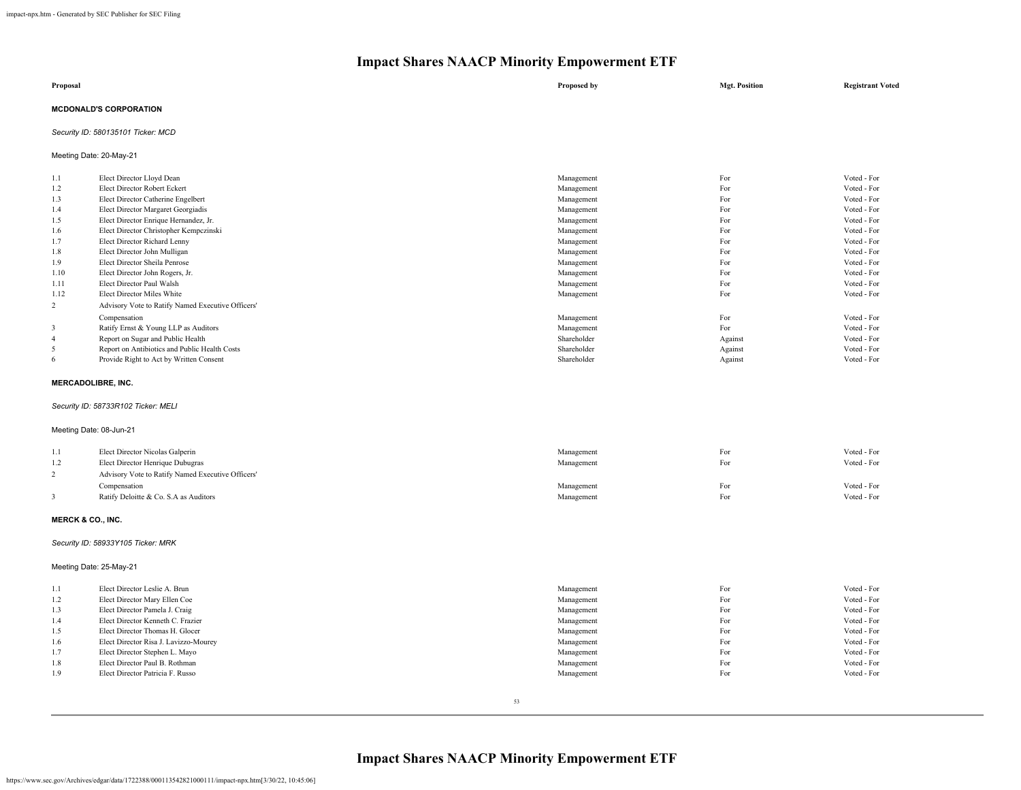| Proposal                      | Proposed by | <b>Mgt. Position</b> | <b>Registrant Voted</b> |
|-------------------------------|-------------|----------------------|-------------------------|
| <b>MCDONALD'S CORPORATION</b> |             |                      |                         |

## *Security ID: 580135101 Ticker: MCD*

Meeting Date: 20-May-21

| 1.1  | Elect Director Lloyd Dean                         | Management  | For     | Voted - For |
|------|---------------------------------------------------|-------------|---------|-------------|
| 1.2  | Elect Director Robert Eckert                      | Management  | For     | Voted - For |
| 1.3  | Elect Director Catherine Engelbert                | Management  | For     | Voted - For |
| 1.4  | Elect Director Margaret Georgiadis                | Management  | For     | Voted - For |
| 1.5  | Elect Director Enrique Hernandez, Jr.             | Management  | For     | Voted - For |
| 1.6  | Elect Director Christopher Kempczinski            | Management  | For     | Voted - For |
| 1.7  | Elect Director Richard Lenny                      | Management  | For     | Voted - For |
| 1.8  | Elect Director John Mulligan                      | Management  | For     | Voted - For |
| 1.9  | Elect Director Sheila Penrose                     | Management  | For     | Voted - For |
| 1.10 | Elect Director John Rogers, Jr.                   | Management  | For     | Voted - For |
| 1.11 | Elect Director Paul Walsh                         | Management  | For     | Voted - For |
| 1.12 | Elect Director Miles White                        | Management  | For     | Voted - For |
| 2    | Advisory Vote to Ratify Named Executive Officers' |             |         |             |
|      | Compensation                                      | Management  | For     | Voted - For |
| 3    | Ratify Ernst & Young LLP as Auditors              | Management  | For     | Voted - For |
| 4    | Report on Sugar and Public Health                 | Shareholder | Against | Voted - For |
|      | Report on Antibiotics and Public Health Costs     | Shareholder | Against | Voted - For |
| 6    | Provide Right to Act by Written Consent           | Shareholder | Against | Voted - For |

## **MERCADOLIBRE, INC.**

## *Security ID: 58733R102 Ticker: MELI*

## Meeting Date: 08-Jun-21

| 1.1<br>1.2 | Elect Director Nicolas Galperin<br>Elect Director Henrique Dubugras | Management<br>Management | For<br>For | Voted - For<br>Voted - For |
|------------|---------------------------------------------------------------------|--------------------------|------------|----------------------------|
|            | Advisory Vote to Ratify Named Executive Officers'                   |                          |            |                            |
|            | Compensation                                                        | Management               | For        | Voted - For                |
|            | Ratify Deloitte & Co. S.A as Auditors                               | Management               | For        | Voted - For                |

### **MERCK & CO., INC.**

#### *Security ID: 58933Y105 Ticker: MRK*

Meeting Date: 25-May-21

| 1.1 | Elect Director Leslie A. Brun         | Management | For | Voted - For |
|-----|---------------------------------------|------------|-----|-------------|
| 1.2 | Elect Director Mary Ellen Coe         | Management | For | Voted - For |
| 1.3 | Elect Director Pamela J. Craig        | Management | For | Voted - For |
| 1.4 | Elect Director Kenneth C. Frazier     | Management | For | Voted - For |
| 1.5 | Elect Director Thomas H. Glocer       | Management | For | Voted - For |
| 1.6 | Elect Director Risa J. Lavizzo-Mourey | Management | For | Voted - For |
| 1.7 | Elect Director Stephen L. Mayo        | Management | For | Voted - For |
| 1.8 | Elect Director Paul B. Rothman        | Management | For | Voted - For |
| 1.9 | Elect Director Patricia F. Russo      | Management | For | Voted - For |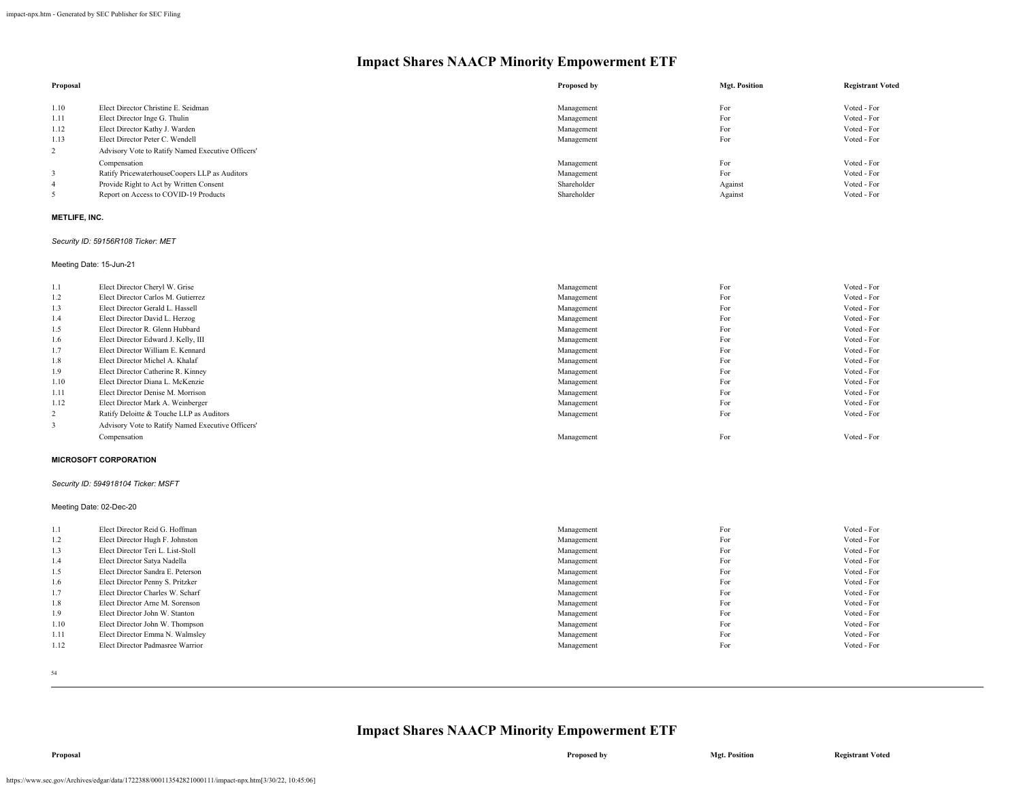| Proposal |                                                   | Proposed by | <b>Mgt. Position</b> | <b>Registrant Voted</b> |
|----------|---------------------------------------------------|-------------|----------------------|-------------------------|
|          |                                                   |             |                      |                         |
| 1.10     | Elect Director Christine E. Seidman               | Management  | For                  | Voted - For             |
| 1.11     | Elect Director Inge G. Thulin                     | Management  | For                  | Voted - For             |
| 1.12     | Elect Director Kathy J. Warden                    | Management  | For                  | Voted - For             |
| 1.13     | Elect Director Peter C. Wendell                   | Management  | For                  | Voted - For             |
|          | Advisory Vote to Ratify Named Executive Officers' |             |                      |                         |
|          | Compensation                                      | Management  | For                  | Voted - For             |
|          | Ratify PricewaterhouseCoopers LLP as Auditors     | Management  | For                  | Voted - For             |
| 4        | Provide Right to Act by Written Consent           | Shareholder | Against              | Voted - For             |
|          | Report on Access to COVID-19 Products             | Shareholder | Against              | Voted - For             |

## **METLIFE, INC.**

#### *Security ID: 59156R108 Ticker: MET*

Meeting Date: 15-Jun-21

| 1.1  | Elect Director Cheryl W. Grise                    | Management | For | Voted - For |
|------|---------------------------------------------------|------------|-----|-------------|
| 1.2  | Elect Director Carlos M. Gutierrez                | Management | For | Voted - For |
| 1.3  | Elect Director Gerald L. Hassell                  | Management | For | Voted - For |
| 1.4  | Elect Director David L. Herzog                    | Management | For | Voted - For |
| 1.5  | Elect Director R. Glenn Hubbard                   | Management | For | Voted - For |
| 1.6  | Elect Director Edward J. Kelly, III               | Management | For | Voted - For |
| 1.7  | Elect Director William E. Kennard                 | Management | For | Voted - For |
| 1.8  | Elect Director Michel A. Khalaf                   | Management | For | Voted - For |
| 1.9  | Elect Director Catherine R. Kinney                | Management | For | Voted - For |
| 1.10 | Elect Director Diana L. McKenzie                  | Management | For | Voted - For |
| 1.11 | Elect Director Denise M. Morrison                 | Management | For | Voted - For |
| 1.12 | Elect Director Mark A. Weinberger                 | Management | For | Voted - For |
| 2    | Ratify Deloitte & Touche LLP as Auditors          | Management | For | Voted - For |
| 3    | Advisory Vote to Ratify Named Executive Officers' |            |     |             |
|      | Compensation                                      | Management | For | Voted - For |

#### **MICROSOFT CORPORATION**

#### *Security ID: 594918104 Ticker: MSFT*

Meeting Date: 02-Dec-20

| 1.1  | Elect Director Reid G. Hoffman    | Management | For | Voted - For |
|------|-----------------------------------|------------|-----|-------------|
| 1.2  | Elect Director Hugh F. Johnston   | Management | For | Voted - For |
| 1.3  | Elect Director Teri L. List-Stoll | Management | For | Voted - For |
| 1.4  | Elect Director Satya Nadella      | Management | For | Voted - For |
| 1.5  | Elect Director Sandra E. Peterson | Management | For | Voted - For |
| 1.6  | Elect Director Penny S. Pritzker  | Management | For | Voted - For |
| 1.7  | Elect Director Charles W. Scharf  | Management | For | Voted - For |
| 1.8  | Elect Director Arne M. Sorenson   | Management | For | Voted - For |
| 1.9  | Elect Director John W. Stanton    | Management | For | Voted - For |
| 1.10 | Elect Director John W. Thompson   | Management | For | Voted - For |
| 1.11 | Elect Director Emma N. Walmsley   | Management | For | Voted - For |
| 1.12 | Elect Director Padmasree Warrior  | Management | For | Voted - For |
|      |                                   |            |     |             |

54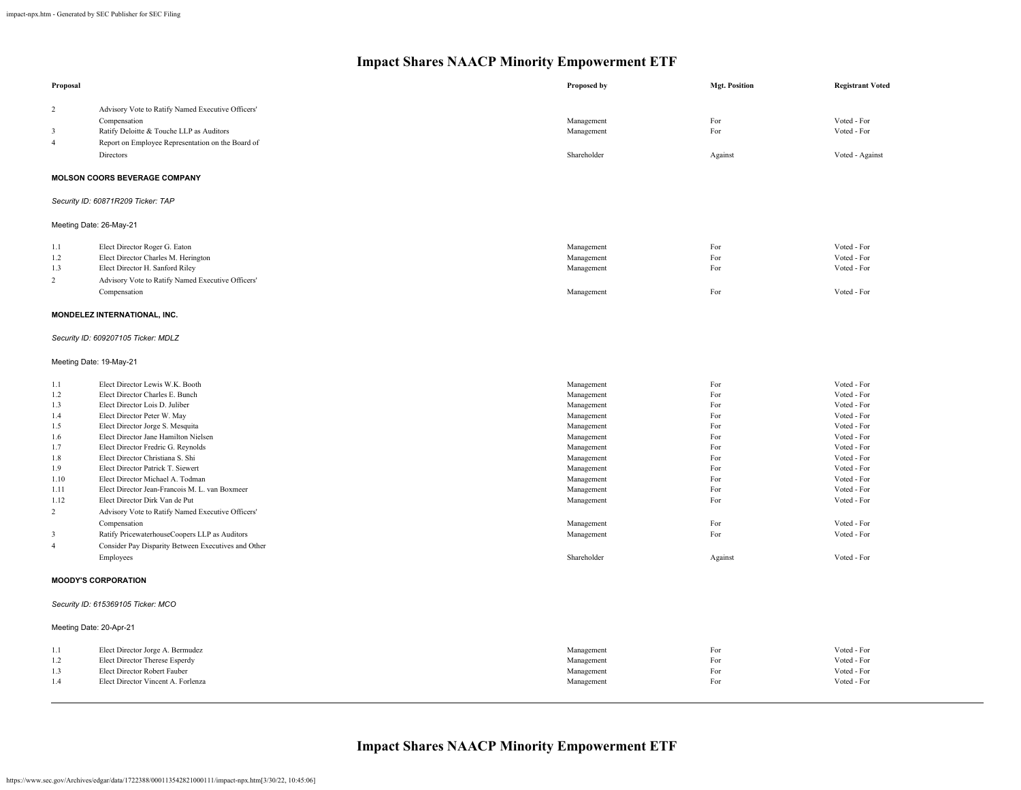| Proposal                                                                                                                     |                                                                                                                                                                                                                                                                                                                                                                                                                                                                                                                                                                                                                                                                                | Proposed by                                                                                                                                                                                                     | <b>Mgt. Position</b>                                                                                      | <b>Registrant Voted</b>                                                                                                                                                                                                       |
|------------------------------------------------------------------------------------------------------------------------------|--------------------------------------------------------------------------------------------------------------------------------------------------------------------------------------------------------------------------------------------------------------------------------------------------------------------------------------------------------------------------------------------------------------------------------------------------------------------------------------------------------------------------------------------------------------------------------------------------------------------------------------------------------------------------------|-----------------------------------------------------------------------------------------------------------------------------------------------------------------------------------------------------------------|-----------------------------------------------------------------------------------------------------------|-------------------------------------------------------------------------------------------------------------------------------------------------------------------------------------------------------------------------------|
| 2<br>3<br>$\overline{4}$                                                                                                     | Advisory Vote to Ratify Named Executive Officers'<br>Compensation<br>Ratify Deloitte & Touche LLP as Auditors<br>Report on Employee Representation on the Board of                                                                                                                                                                                                                                                                                                                                                                                                                                                                                                             | Management<br>Management                                                                                                                                                                                        | For<br>For                                                                                                | Voted - For<br>Voted - For                                                                                                                                                                                                    |
|                                                                                                                              | Directors                                                                                                                                                                                                                                                                                                                                                                                                                                                                                                                                                                                                                                                                      | Shareholder                                                                                                                                                                                                     | Against                                                                                                   | Voted - Against                                                                                                                                                                                                               |
|                                                                                                                              | MOLSON COORS BEVERAGE COMPANY                                                                                                                                                                                                                                                                                                                                                                                                                                                                                                                                                                                                                                                  |                                                                                                                                                                                                                 |                                                                                                           |                                                                                                                                                                                                                               |
|                                                                                                                              | Security ID: 60871R209 Ticker: TAP                                                                                                                                                                                                                                                                                                                                                                                                                                                                                                                                                                                                                                             |                                                                                                                                                                                                                 |                                                                                                           |                                                                                                                                                                                                                               |
|                                                                                                                              | Meeting Date: 26-May-21                                                                                                                                                                                                                                                                                                                                                                                                                                                                                                                                                                                                                                                        |                                                                                                                                                                                                                 |                                                                                                           |                                                                                                                                                                                                                               |
| 1.1<br>1.2<br>1.3<br>$\overline{c}$                                                                                          | Elect Director Roger G. Eaton<br>Elect Director Charles M. Herington<br>Elect Director H. Sanford Riley<br>Advisory Vote to Ratify Named Executive Officers'<br>Compensation                                                                                                                                                                                                                                                                                                                                                                                                                                                                                                   | Management<br>Management<br>Management<br>Management                                                                                                                                                            | For<br>For<br>For<br>For                                                                                  | Voted - For<br>Voted - For<br>Voted - For<br>Voted - For                                                                                                                                                                      |
|                                                                                                                              | MONDELEZ INTERNATIONAL, INC.                                                                                                                                                                                                                                                                                                                                                                                                                                                                                                                                                                                                                                                   |                                                                                                                                                                                                                 |                                                                                                           |                                                                                                                                                                                                                               |
|                                                                                                                              | Security ID: 609207105 Ticker: MDLZ                                                                                                                                                                                                                                                                                                                                                                                                                                                                                                                                                                                                                                            |                                                                                                                                                                                                                 |                                                                                                           |                                                                                                                                                                                                                               |
|                                                                                                                              | Meeting Date: 19-May-21                                                                                                                                                                                                                                                                                                                                                                                                                                                                                                                                                                                                                                                        |                                                                                                                                                                                                                 |                                                                                                           |                                                                                                                                                                                                                               |
| 1.1<br>1.2<br>1.3<br>1.4<br>1.5<br>1.6<br>1.7<br>1.8<br>1.9<br>1.10<br>1.11<br>1.12<br>$\overline{c}$<br>3<br>$\overline{4}$ | Elect Director Lewis W.K. Booth<br>Elect Director Charles E. Bunch<br>Elect Director Lois D. Juliber<br>Elect Director Peter W. May<br>Elect Director Jorge S. Mesquita<br>Elect Director Jane Hamilton Nielsen<br>Elect Director Fredric G. Reynolds<br>Elect Director Christiana S. Shi<br>Elect Director Patrick T. Siewert<br>Elect Director Michael A. Todman<br>Elect Director Jean-Francois M. L. van Boxmeer<br>Elect Director Dirk Van de Put<br>Advisory Vote to Ratify Named Executive Officers'<br>Compensation<br>Ratify PricewaterhouseCoopers LLP as Auditors<br>Consider Pay Disparity Between Executives and Other<br>Employees<br><b>MOODY'S CORPORATION</b> | Management<br>Management<br>Management<br>Management<br>Management<br>Management<br>Management<br>Management<br>Management<br>Management<br>Management<br>Management<br>Management<br>Management<br>Shareholder | For<br>For<br>For<br>For<br>For<br>For<br>For<br>For<br>For<br>For<br>For<br>For<br>For<br>For<br>Against | Voted - For<br>Voted - For<br>Voted - For<br>Voted - For<br>Voted - For<br>Voted - For<br>Voted - For<br>Voted - For<br>Voted - For<br>Voted - For<br>Voted - For<br>Voted - For<br>Voted - For<br>Voted - For<br>Voted - For |
|                                                                                                                              |                                                                                                                                                                                                                                                                                                                                                                                                                                                                                                                                                                                                                                                                                |                                                                                                                                                                                                                 |                                                                                                           |                                                                                                                                                                                                                               |
|                                                                                                                              | Security ID: 615369105 Ticker: MCO                                                                                                                                                                                                                                                                                                                                                                                                                                                                                                                                                                                                                                             |                                                                                                                                                                                                                 |                                                                                                           |                                                                                                                                                                                                                               |
|                                                                                                                              | Meeting Date: 20-Apr-21                                                                                                                                                                                                                                                                                                                                                                                                                                                                                                                                                                                                                                                        |                                                                                                                                                                                                                 |                                                                                                           |                                                                                                                                                                                                                               |
| 1.1<br>1.2<br>1.3<br>1.4                                                                                                     | Elect Director Jorge A. Bermudez<br>Elect Director Therese Esperdy<br>Elect Director Robert Fauber<br>Elect Director Vincent A. Forlenza                                                                                                                                                                                                                                                                                                                                                                                                                                                                                                                                       | Management<br>Management<br>Management<br>Management                                                                                                                                                            | For<br>For<br>For<br>For                                                                                  | Voted - For<br>Voted - For<br>Voted - For<br>Voted - For                                                                                                                                                                      |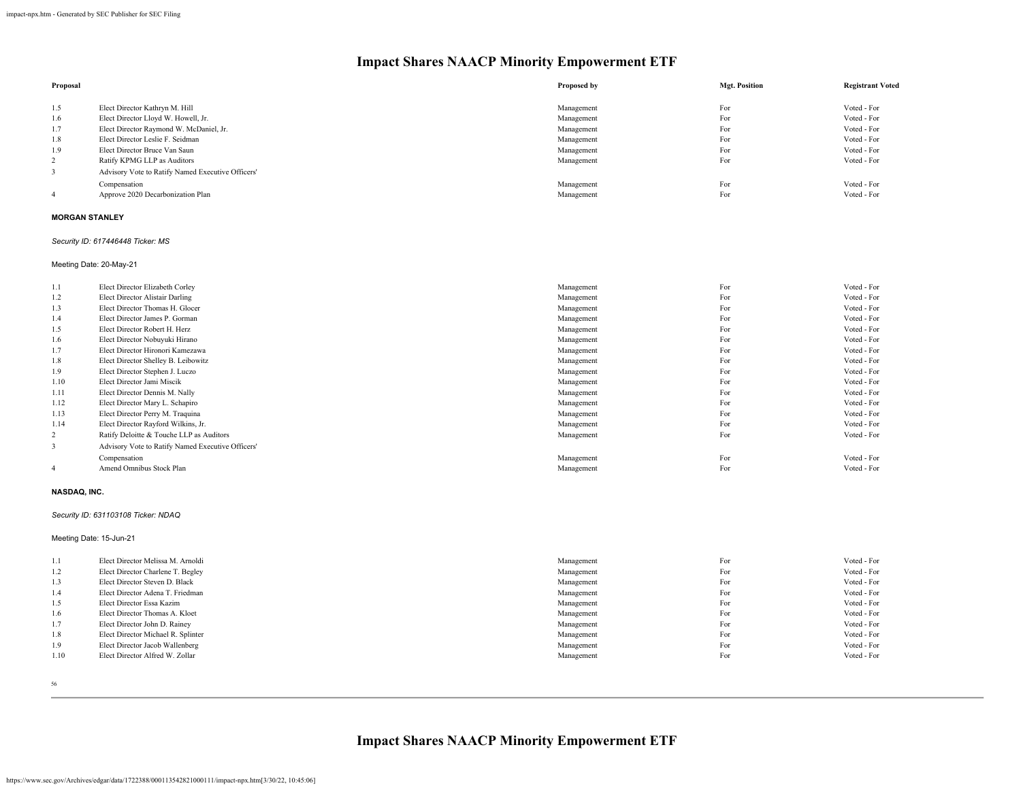| Proposal |                                                   | Proposed by | <b>Mgt. Position</b> | <b>Registrant Voted</b> |
|----------|---------------------------------------------------|-------------|----------------------|-------------------------|
| 1.5      | Elect Director Kathryn M. Hill                    | Management  | For                  | Voted - For             |
| 1.6      | Elect Director Lloyd W. Howell, Jr.               | Management  | For                  | Voted - For             |
| 1.7      | Elect Director Raymond W. McDaniel, Jr.           | Management  | For                  | Voted - For             |
| 1.8      | Elect Director Leslie F. Seidman                  | Management  | For                  | Voted - For             |
| 1.9      | Elect Director Bruce Van Saun                     | Management  | For                  | Voted - For             |
| 2        | Ratify KPMG LLP as Auditors                       | Management  | For                  | Voted - For             |
|          | Advisory Vote to Ratify Named Executive Officers' |             |                      |                         |
|          | Compensation                                      | Management  | For                  | Voted - For             |
|          | Approve 2020 Decarbonization Plan                 | Management  | For                  | Voted - For             |

## **MORGAN STANLEY**

#### *Security ID: 617446448 Ticker: MS*

Meeting Date: 20-May-21

| 1.1  | Elect Director Elizabeth Corley                   | Management | For | Voted - For |
|------|---------------------------------------------------|------------|-----|-------------|
| 1.2  | Elect Director Alistair Darling                   | Management | For | Voted - For |
| 1.3  | Elect Director Thomas H. Glocer                   | Management | For | Voted - For |
| 1.4  | Elect Director James P. Gorman                    | Management | For | Voted - For |
| 1.5  | Elect Director Robert H. Herz                     | Management | For | Voted - For |
| 1.6  | Elect Director Nobuyuki Hirano                    | Management | For | Voted - For |
| 1.7  | Elect Director Hironori Kamezawa                  | Management | For | Voted - For |
| 1.8  | Elect Director Shelley B. Leibowitz               | Management | For | Voted - For |
| 1.9  | Elect Director Stephen J. Luczo                   | Management | For | Voted - For |
| 1.10 | Elect Director Jami Miscik                        | Management | For | Voted - For |
| 1.11 | Elect Director Dennis M. Nally                    | Management | For | Voted - For |
| 1.12 | Elect Director Mary L. Schapiro                   | Management | For | Voted - For |
| 1.13 | Elect Director Perry M. Traquina                  | Management | For | Voted - For |
| 1.14 | Elect Director Rayford Wilkins, Jr.               | Management | For | Voted - For |
| 2    | Ratify Deloitte & Touche LLP as Auditors          | Management | For | Voted - For |
| 3    | Advisory Vote to Ratify Named Executive Officers' |            |     |             |
|      | Compensation                                      | Management | For | Voted - For |
| 4    | Amend Omnibus Stock Plan                          | Management | For | Voted - For |

## **NASDAQ, INC.**

#### *Security ID: 631103108 Ticker: NDAQ*

#### Meeting Date: 15-Jun-21

| 1.1  | Elect Director Melissa M. Arnoldi  | Management | For | Voted - For |
|------|------------------------------------|------------|-----|-------------|
| 1.2  | Elect Director Charlene T. Begley  | Management | For | Voted - For |
| 1.3  | Elect Director Steven D. Black     | Management | For | Voted - For |
| 1.4  | Elect Director Adena T. Friedman   | Management | For | Voted - For |
| 1.5  | Elect Director Essa Kazim          | Management | For | Voted - For |
| 1.6  | Elect Director Thomas A. Kloet     | Management | For | Voted - For |
| 1.7  | Elect Director John D. Rainey      | Management | For | Voted - For |
| 1.8  | Elect Director Michael R. Splinter | Management | For | Voted - For |
| 1.9  | Elect Director Jacob Wallenberg    | Management | For | Voted - For |
| 1.10 | Elect Director Alfred W. Zollar    | Management | For | Voted - For |
|      |                                    |            |     |             |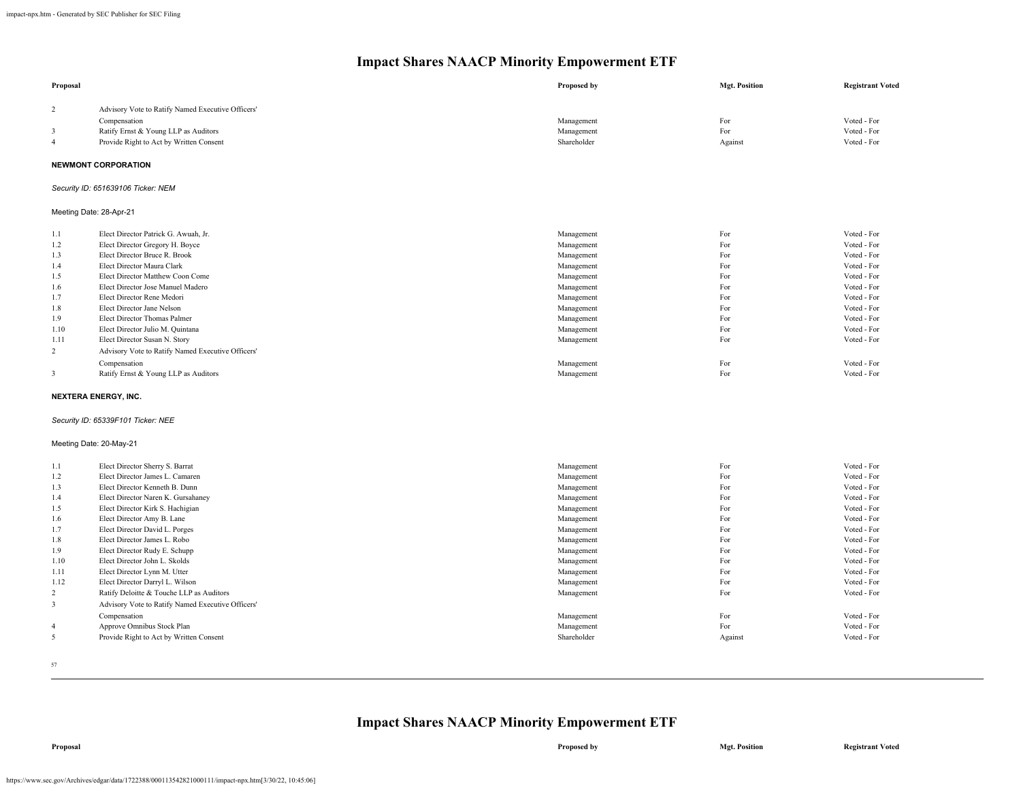| Advisory Vote to Ratify Named Executive Officers' |                                                                                                         |                           |                                            |
|---------------------------------------------------|---------------------------------------------------------------------------------------------------------|---------------------------|--------------------------------------------|
|                                                   |                                                                                                         |                           |                                            |
| Compensation                                      | Management                                                                                              | For                       | Voted - For                                |
| Ratify Ernst & Young LLP as Auditors              | Management                                                                                              | For                       | Voted - For                                |
|                                                   |                                                                                                         |                           | Voted - For                                |
|                                                   |                                                                                                         |                           |                                            |
| <b>NEWMONT CORPORATION</b>                        |                                                                                                         |                           |                                            |
| Security ID: 651639106 Ticker: NEM                |                                                                                                         |                           |                                            |
| Meeting Date: 28-Apr-21                           |                                                                                                         |                           |                                            |
| Elect Director Patrick G. Awuah, Jr.              | Management                                                                                              | For                       | Voted - For                                |
| Elect Director Gregory H. Boyce                   | Management                                                                                              | For                       | Voted - For                                |
| Elect Director Bruce R. Brook                     | Management                                                                                              | For                       | Voted - For                                |
| Elect Director Maura Clark                        | Management                                                                                              | For                       | Voted - For                                |
| Elect Director Matthew Coon Come                  | Management                                                                                              | For                       | Voted - For                                |
| Elect Director Jose Manuel Madero                 | Management                                                                                              | For                       | Voted - For                                |
| Elect Director Rene Medori                        | Management                                                                                              | For                       | Voted - For                                |
| Elect Director Jane Nelson                        | Management                                                                                              | For                       | Voted - For                                |
|                                                   | Management                                                                                              |                           | Voted - For                                |
| Elect Director Julio M. Quintana                  | Management                                                                                              |                           | Voted - For                                |
| Elect Director Susan N. Story                     | Management                                                                                              |                           | Voted - For                                |
| Advisory Vote to Ratify Named Executive Officers' |                                                                                                         |                           |                                            |
| Compensation                                      | Management                                                                                              | For                       | Voted - For                                |
| Ratify Ernst & Young LLP as Auditors              | Management                                                                                              | For                       | Voted - For                                |
| <b>NEXTERA ENERGY, INC.</b>                       |                                                                                                         |                           |                                            |
| Security ID: 65339F101 Ticker: NEE                |                                                                                                         |                           |                                            |
| Meeting Date: 20-May-21                           |                                                                                                         |                           |                                            |
| Elect Director Sherry S. Barrat                   | Management                                                                                              | For                       | Voted - For                                |
| Elect Director James L. Camaren                   | Management                                                                                              | For                       | Voted - For                                |
| Elect Director Kenneth B. Dunn                    | Management                                                                                              | For                       | Voted - For                                |
| Elect Director Naren K. Gursahaney                | Management                                                                                              | For                       | Voted - For                                |
| Elect Director Kirk S. Hachigian                  | Management                                                                                              | For                       | Voted - For                                |
| Elect Director Amy B. Lane                        | Management                                                                                              | For                       | Voted - For                                |
| Elect Director David L. Porges                    | Management                                                                                              |                           | Voted - For                                |
| Elect Director James L. Robo                      | Management                                                                                              | For                       | Voted - For                                |
| Elect Director Rudy E. Schupp                     | Management                                                                                              | For                       | Voted - For                                |
| Elect Director John L. Skolds                     | Management                                                                                              | For                       | Voted - For                                |
|                                                   |                                                                                                         |                           | Voted - For                                |
| Elect Director Darryl L. Wilson                   | Management                                                                                              | For                       | Voted - For                                |
| Ratify Deloitte & Touche LLP as Auditors          | Management                                                                                              | For                       | Voted - For                                |
| Advisory Vote to Ratify Named Executive Officers' |                                                                                                         |                           |                                            |
| Compensation                                      | Management                                                                                              | For                       | Voted - For                                |
| Approve Omnibus Stock Plan                        | Management                                                                                              | For                       | Voted - For                                |
| Provide Right to Act by Written Consent           | Shareholder                                                                                             | Against                   | Voted - For                                |
|                                                   | Provide Right to Act by Written Consent<br>Elect Director Thomas Palmer<br>Elect Director Lynn M. Utter | Shareholder<br>Management | Against<br>For<br>For<br>For<br>For<br>For |

57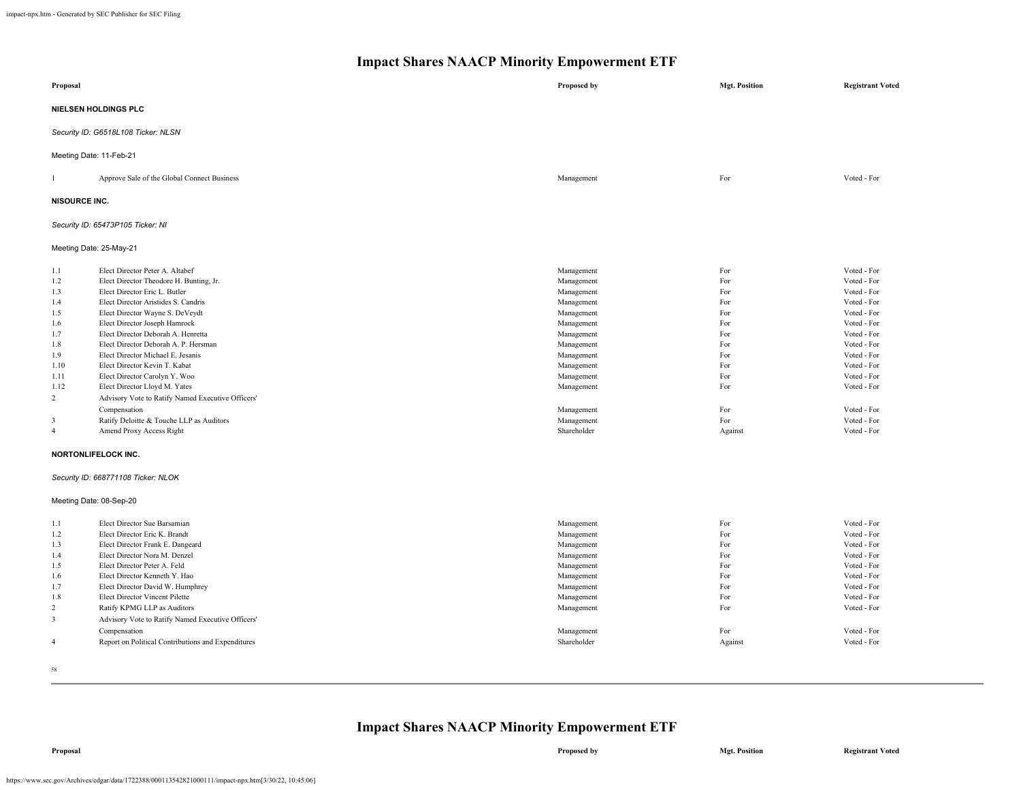| Proposal                                                                                                                   |                                                                                                                                                                                                                                                                                                                                                                                                                                                                                                                                                                                                                                                                | Proposed by                                                                                                                                                                                                     | <b>Mgt. Position</b>                                                                                      | <b>Registrant Voted</b>                                                                                                                                                                                                       |
|----------------------------------------------------------------------------------------------------------------------------|----------------------------------------------------------------------------------------------------------------------------------------------------------------------------------------------------------------------------------------------------------------------------------------------------------------------------------------------------------------------------------------------------------------------------------------------------------------------------------------------------------------------------------------------------------------------------------------------------------------------------------------------------------------|-----------------------------------------------------------------------------------------------------------------------------------------------------------------------------------------------------------------|-----------------------------------------------------------------------------------------------------------|-------------------------------------------------------------------------------------------------------------------------------------------------------------------------------------------------------------------------------|
|                                                                                                                            | NIELSEN HOLDINGS PLC                                                                                                                                                                                                                                                                                                                                                                                                                                                                                                                                                                                                                                           |                                                                                                                                                                                                                 |                                                                                                           |                                                                                                                                                                                                                               |
|                                                                                                                            | Security ID: G6518L108 Ticker: NLSN                                                                                                                                                                                                                                                                                                                                                                                                                                                                                                                                                                                                                            |                                                                                                                                                                                                                 |                                                                                                           |                                                                                                                                                                                                                               |
| Meeting Date: 11-Feb-21                                                                                                    |                                                                                                                                                                                                                                                                                                                                                                                                                                                                                                                                                                                                                                                                |                                                                                                                                                                                                                 |                                                                                                           |                                                                                                                                                                                                                               |
|                                                                                                                            | Approve Sale of the Global Connect Business                                                                                                                                                                                                                                                                                                                                                                                                                                                                                                                                                                                                                    | Management                                                                                                                                                                                                      | For                                                                                                       | Voted - For                                                                                                                                                                                                                   |
| <b>NISOURCE INC.</b>                                                                                                       |                                                                                                                                                                                                                                                                                                                                                                                                                                                                                                                                                                                                                                                                |                                                                                                                                                                                                                 |                                                                                                           |                                                                                                                                                                                                                               |
|                                                                                                                            | Security ID: 65473P105 Ticker: NI                                                                                                                                                                                                                                                                                                                                                                                                                                                                                                                                                                                                                              |                                                                                                                                                                                                                 |                                                                                                           |                                                                                                                                                                                                                               |
| Meeting Date: 25-May-21                                                                                                    |                                                                                                                                                                                                                                                                                                                                                                                                                                                                                                                                                                                                                                                                |                                                                                                                                                                                                                 |                                                                                                           |                                                                                                                                                                                                                               |
| 1.1<br>1.2<br>1.3<br>1.4<br>1.5<br>1.6<br>1.7<br>1.8<br>1.9<br>1.10<br>1.11<br>1.12<br>2<br>$\mathbf{3}$<br>$\overline{4}$ | Elect Director Peter A. Altabef<br>Elect Director Theodore H. Bunting, Jr.<br>Elect Director Eric L. Butler<br>Elect Director Aristides S. Candris<br>Elect Director Wayne S. DeVeydt<br>Elect Director Joseph Hamrock<br>Elect Director Deborah A. Henretta<br>Elect Director Deborah A. P. Hersman<br>Elect Director Michael E. Jesanis<br>Elect Director Kevin T. Kabat<br>Elect Director Carolyn Y. Woo<br>Elect Director Lloyd M. Yates<br>Advisory Vote to Ratify Named Executive Officers'<br>Compensation<br>Ratify Deloitte & Touche LLP as Auditors<br>Amend Proxy Access Right<br><b>NORTONLIFELOCK INC.</b><br>Security ID: 668771108 Ticker: NLOK | Management<br>Management<br>Management<br>Management<br>Management<br>Management<br>Management<br>Management<br>Management<br>Management<br>Management<br>Management<br>Management<br>Management<br>Shareholder | For<br>For<br>For<br>For<br>For<br>For<br>For<br>For<br>For<br>For<br>For<br>For<br>For<br>For<br>Against | Voted - For<br>Voted - For<br>Voted - For<br>Voted - For<br>Voted - For<br>Voted - For<br>Voted - For<br>Voted - For<br>Voted - For<br>Voted - For<br>Voted - For<br>Voted - For<br>Voted - For<br>Voted - For<br>Voted - For |
| Meeting Date: 08-Sep-20                                                                                                    |                                                                                                                                                                                                                                                                                                                                                                                                                                                                                                                                                                                                                                                                |                                                                                                                                                                                                                 |                                                                                                           |                                                                                                                                                                                                                               |
| 1.1<br>1.2<br>1.3<br>1.4<br>1.5<br>1.6<br>1.7<br>1.8<br>2<br>3<br>$\overline{4}$                                           | Elect Director Sue Barsamian<br>Elect Director Eric K. Brandt<br>Elect Director Frank E. Dangeard<br>Elect Director Nora M. Denzel<br>Elect Director Peter A. Feld<br>Elect Director Kenneth Y. Hao<br>Elect Director David W. Humphrey<br>Elect Director Vincent Pilette<br>Ratify KPMG LLP as Auditors<br>Advisory Vote to Ratify Named Executive Officers'<br>Compensation<br>Report on Political Contributions and Expenditures                                                                                                                                                                                                                            | Management<br>Management<br>Management<br>Management<br>Management<br>Management<br>Management<br>Management<br>Management<br>Management<br>Shareholder                                                         | For<br>For<br>For<br>For<br>For<br>For<br>For<br>For<br>For<br>For<br>Against                             | Voted - For<br>Voted - For<br>Voted - For<br>Voted - For<br>Voted - For<br>Voted - For<br>Voted - For<br>Voted - For<br>Voted - For<br>Voted - For<br>Voted - For                                                             |
| 58                                                                                                                         |                                                                                                                                                                                                                                                                                                                                                                                                                                                                                                                                                                                                                                                                |                                                                                                                                                                                                                 |                                                                                                           |                                                                                                                                                                                                                               |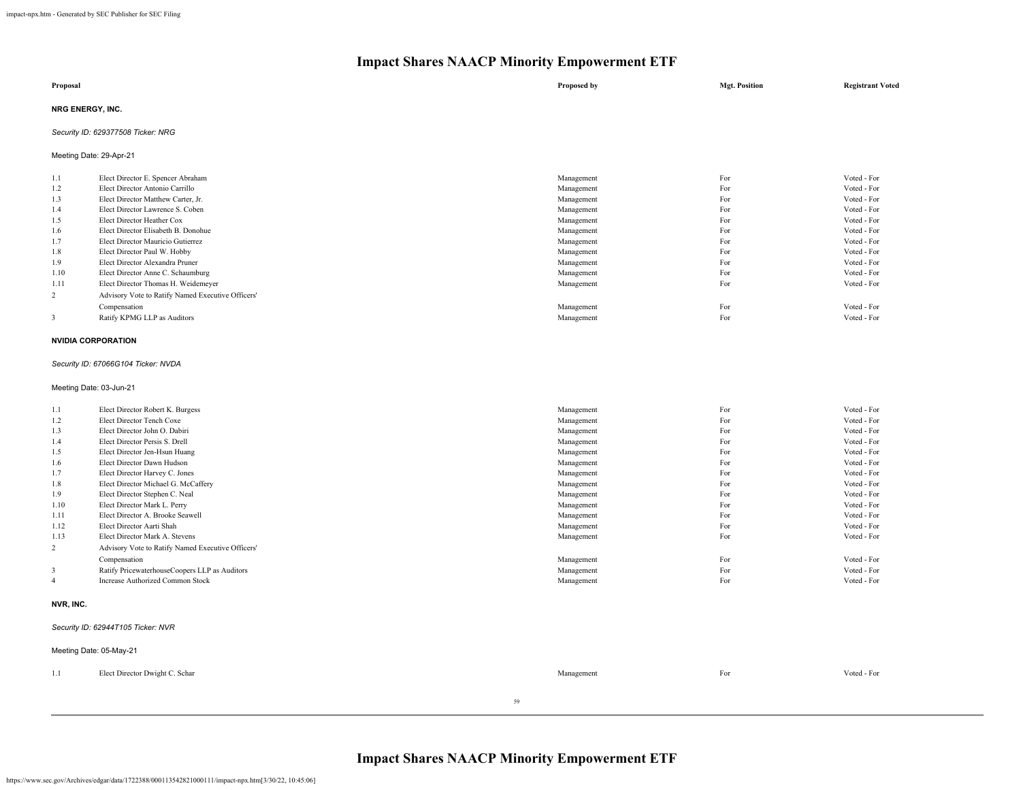| Proposal         | Proposed by | <b>Mgt. Position</b> | <b>Registrant Voted</b> |
|------------------|-------------|----------------------|-------------------------|
| NRG ENERGY, INC. |             |                      |                         |

## *Security ID: 629377508 Ticker: NRG*

Meeting Date: 29-Apr-21

| 1.1            | Elect Director E. Spencer Abraham                 | Management | For | Voted - For |
|----------------|---------------------------------------------------|------------|-----|-------------|
| 1.2            | Elect Director Antonio Carrillo                   | Management | For | Voted - For |
| 1.3            | Elect Director Matthew Carter, Jr.                | Management | For | Voted - For |
| 1.4            | Elect Director Lawrence S. Coben                  | Management | For | Voted - For |
| 1.5            | Elect Director Heather Cox                        | Management | For | Voted - For |
| 1.6            | Elect Director Elisabeth B. Donohue               | Management | For | Voted - For |
| 1.7            | Elect Director Mauricio Gutierrez                 | Management | For | Voted - For |
| 1.8            | Elect Director Paul W. Hobby                      | Management | For | Voted - For |
| 1.9            | Elect Director Alexandra Pruner                   | Management | For | Voted - For |
| 1.10           | Elect Director Anne C. Schaumburg                 | Management | For | Voted - For |
| 1.11           | Elect Director Thomas H. Weidemeyer               | Management | For | Voted - For |
| $\overline{2}$ | Advisory Vote to Ratify Named Executive Officers' |            |     |             |
|                | Compensation                                      | Management | For | Voted - For |
| 3              | Ratify KPMG LLP as Auditors                       | Management | For | Voted - For |
|                |                                                   |            |     |             |

## **NVIDIA CORPORATION**

#### *Security ID: 67066G104 Ticker: NVDA*

Meeting Date: 03-Jun-21

| 1.1            | Elect Director Robert K. Burgess                  | Management | For | Voted - For |
|----------------|---------------------------------------------------|------------|-----|-------------|
| 1.2            | Elect Director Tench Coxe                         | Management | For | Voted - For |
| 1.3            | Elect Director John O. Dabiri                     | Management | For | Voted - For |
| 1.4            | Elect Director Persis S. Drell                    | Management | For | Voted - For |
| 1.5            | Elect Director Jen-Hsun Huang                     | Management | For | Voted - For |
| 1.6            | Elect Director Dawn Hudson                        | Management | For | Voted - For |
| 1.7            | Elect Director Harvey C. Jones                    | Management | For | Voted - For |
| 1.8            | Elect Director Michael G. McCaffery               | Management | For | Voted - For |
| 1.9            | Elect Director Stephen C. Neal                    | Management | For | Voted - For |
| 1.10           | Elect Director Mark L. Perry                      | Management | For | Voted - For |
| 1.11           | Elect Director A. Brooke Seawell                  | Management | For | Voted - For |
| 1.12           | Elect Director Aarti Shah                         | Management | For | Voted - For |
| 1.13           | Elect Director Mark A. Stevens                    | Management | For | Voted - For |
| 2              | Advisory Vote to Ratify Named Executive Officers' |            |     |             |
|                | Compensation                                      | Management | For | Voted - For |
| 3              | Ratify PricewaterhouseCoopers LLP as Auditors     | Management | For | Voted - For |
| $\overline{4}$ | <b>Increase Authorized Common Stock</b>           | Management | For | Voted - For |
|                |                                                   |            |     |             |

## **NVR, INC.**

## *Security ID: 62944T105 Ticker: NVR*

|     | Meeting Date: 05-May-21        |    |            |     |             |  |
|-----|--------------------------------|----|------------|-----|-------------|--|
| 1.1 | Elect Director Dwight C. Schar |    | Management | For | Voted - For |  |
|     |                                | 59 |            |     |             |  |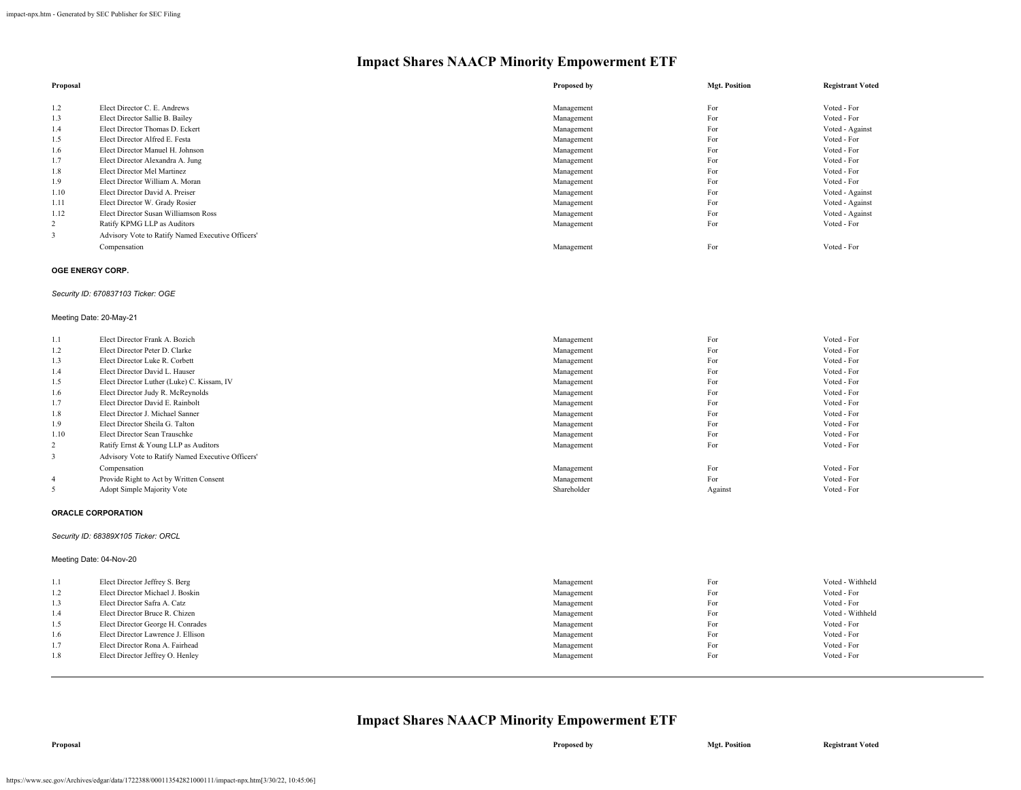| Proposal |                                                   | Proposed by | <b>Mgt. Position</b> | <b>Registrant Voted</b> |
|----------|---------------------------------------------------|-------------|----------------------|-------------------------|
|          |                                                   |             |                      |                         |
| 1.2      | Elect Director C. E. Andrews                      | Management  | For                  | Voted - For             |
| 1.3      | Elect Director Sallie B. Bailey                   | Management  | For                  | Voted - For             |
| 1.4      | Elect Director Thomas D. Eckert                   | Management  | For                  | Voted - Against         |
| 1.5      | Elect Director Alfred E. Festa                    | Management  | For                  | Voted - For             |
| 1.6      | Elect Director Manuel H. Johnson                  | Management  | For                  | Voted - For             |
| 1.7      | Elect Director Alexandra A. Jung                  | Management  | For                  | Voted - For             |
| 1.8      | Elect Director Mel Martinez                       | Management  | For                  | Voted - For             |
| 1.9      | Elect Director William A. Moran                   | Management  | For                  | Voted - For             |
| 1.10     | Elect Director David A. Preiser                   | Management  | For                  | Voted - Against         |
| 1.11     | Elect Director W. Grady Rosier                    | Management  | For                  | Voted - Against         |
| 1.12     | Elect Director Susan Williamson Ross              | Management  | For                  | Voted - Against         |
| 2        | Ratify KPMG LLP as Auditors                       | Management  | For                  | Voted - For             |
|          | Advisory Vote to Ratify Named Executive Officers' |             |                      |                         |
|          | Compensation                                      | Management  | For                  | Voted - For             |

### **OGE ENERGY CORP.**

## *Security ID: 670837103 Ticker: OGE*

#### Meeting Date: 20-May-21

| 1.1            | Elect Director Frank A. Bozich                    | Management  | For     | Voted - For |
|----------------|---------------------------------------------------|-------------|---------|-------------|
| 1.2            | Elect Director Peter D. Clarke                    | Management  | For     | Voted - For |
| 1.3            | Elect Director Luke R. Corbett                    | Management  | For     | Voted - For |
| 1.4            | Elect Director David L. Hauser                    | Management  | For     | Voted - For |
| 1.5            | Elect Director Luther (Luke) C. Kissam, IV        | Management  | For     | Voted - For |
| 1.6            | Elect Director Judy R. McReynolds                 | Management  | For     | Voted - For |
| 1.7            | Elect Director David E. Rainbolt                  | Management  | For     | Voted - For |
| 1.8            | Elect Director J. Michael Sanner                  | Management  | For     | Voted - For |
| 1.9            | Elect Director Sheila G. Talton                   | Management  | For     | Voted - For |
| 1.10           | Elect Director Sean Trauschke                     | Management  | For     | Voted - For |
| 2              | Ratify Ernst & Young LLP as Auditors              | Management  | For     | Voted - For |
|                | Advisory Vote to Ratify Named Executive Officers' |             |         |             |
|                | Compensation                                      | Management  | For     | Voted - For |
| $\overline{4}$ | Provide Right to Act by Written Consent           | Management  | For     | Voted - For |
|                | Adopt Simple Majority Vote                        | Shareholder | Against | Voted - For |

#### **ORACLE CORPORATION**

#### *Security ID: 68389X105 Ticker: ORCL*

#### Meeting Date: 04-Nov-20

| 1.1 | Elect Director Jeffrey S. Berg     | Management | For | Voted - Withheld |
|-----|------------------------------------|------------|-----|------------------|
| 1.2 | Elect Director Michael J. Boskin   | Management | For | Voted - For      |
| 1.3 | Elect Director Safra A. Catz       | Management | For | Voted - For      |
| 1.4 | Elect Director Bruce R. Chizen     | Management | For | Voted - Withheld |
| 1.5 | Elect Director George H. Conrades  | Management | For | Voted - For      |
| 1.6 | Elect Director Lawrence J. Ellison | Management | For | Voted - For      |
| 1.7 | Elect Director Rona A. Fairhead    | Management | For | Voted - For      |
| 1.8 | Elect Director Jeffrey O. Henley   | Management | For | Voted - For      |
|     |                                    |            |     |                  |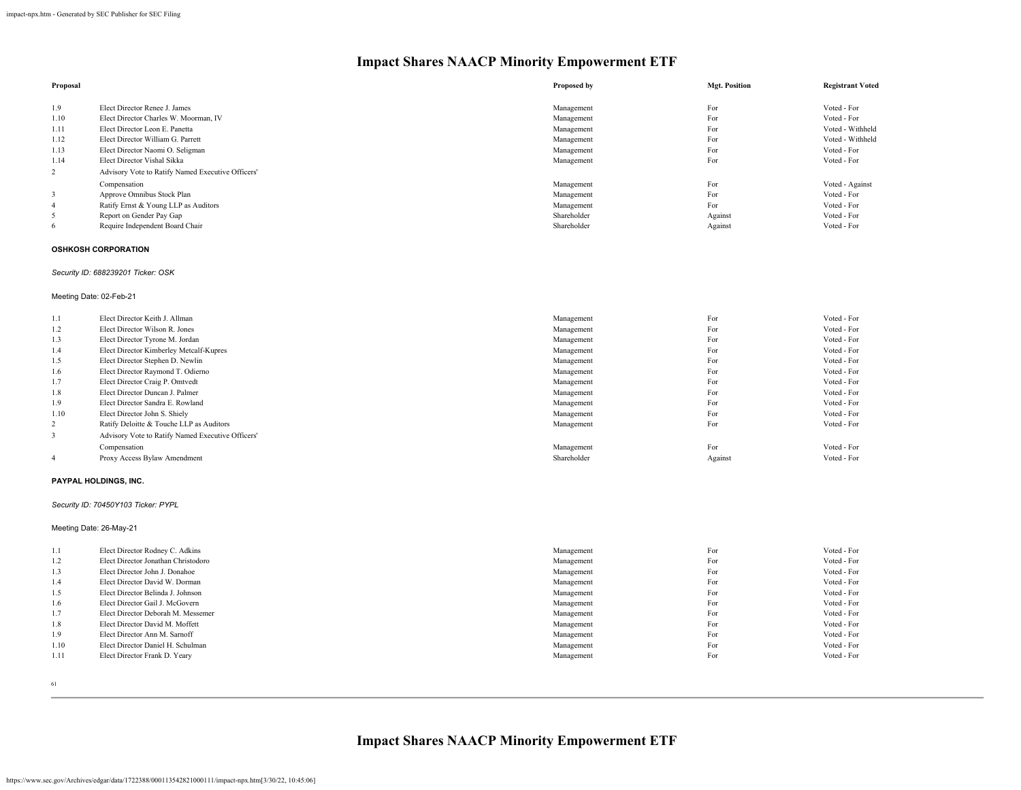| Proposal |                                                   | Proposed by | <b>Mgt. Position</b> | <b>Registrant Voted</b> |
|----------|---------------------------------------------------|-------------|----------------------|-------------------------|
| 1.9      | Elect Director Renee J. James                     | Management  | For                  | Voted - For             |
| 1.10     | Elect Director Charles W. Moorman, IV             | Management  | For                  | Voted - For             |
| 1.11     | Elect Director Leon E. Panetta                    | Management  | For                  | Voted - Withheld        |
| 1.12     | Elect Director William G. Parrett                 | Management  | For                  | Voted - Withheld        |
| 1.13     | Elect Director Naomi O. Seligman                  | Management  | For                  | Voted - For             |
| 1.14     | Elect Director Vishal Sikka                       | Management  | For                  | Voted - For             |
| 2        | Advisory Vote to Ratify Named Executive Officers' |             |                      |                         |
|          | Compensation                                      | Management  | For                  | Voted - Against         |
|          | Approve Omnibus Stock Plan                        | Management  | For                  | Voted - For             |
| 4        | Ratify Ernst & Young LLP as Auditors              | Management  | For                  | Voted - For             |
| 5        | Report on Gender Pay Gap                          | Shareholder | Against              | Voted - For             |
| 6        | Require Independent Board Chair                   | Shareholder | Against              | Voted - For             |

## **OSHKOSH CORPORATION**

## *Security ID: 688239201 Ticker: OSK*

#### Meeting Date: 02-Feb-21

| 1.1  | Elect Director Keith J. Allman                    | Management  | For     | Voted - For |
|------|---------------------------------------------------|-------------|---------|-------------|
| 1.2  | Elect Director Wilson R. Jones                    | Management  | For     | Voted - For |
| 1.3  | Elect Director Tyrone M. Jordan                   | Management  | For     | Voted - For |
| 1.4  | Elect Director Kimberley Metcalf-Kupres           | Management  | For     | Voted - For |
| 1.5  | Elect Director Stephen D. Newlin                  | Management  | For     | Voted - For |
| 1.6  | Elect Director Raymond T. Odierno                 | Management  | For     | Voted - For |
| 1.7  | Elect Director Craig P. Omtvedt                   | Management  | For     | Voted - For |
| 1.8  | Elect Director Duncan J. Palmer                   | Management  | For     | Voted - For |
| 1.9  | Elect Director Sandra E. Rowland                  | Management  | For     | Voted - For |
| 1.10 | Elect Director John S. Shiely                     | Management  | For     | Voted - For |
| 2    | Ratify Deloitte & Touche LLP as Auditors          | Management  | For     | Voted - For |
|      | Advisory Vote to Ratify Named Executive Officers' |             |         |             |
|      | Compensation                                      | Management  | For     | Voted - For |
|      | Proxy Access Bylaw Amendment                      | Shareholder | Against | Voted - For |

#### **PAYPAL HOLDINGS, INC.**

#### *Security ID: 70450Y103 Ticker: PYPL*

#### Meeting Date: 26-May-21

| 1.1  | Elect Director Rodney C. Adkins     | Management | For | Voted - For |
|------|-------------------------------------|------------|-----|-------------|
| 1.2  | Elect Director Jonathan Christodoro | Management | For | Voted - For |
| 1.3  | Elect Director John J. Donahoe      | Management | For | Voted - For |
| 1.4  | Elect Director David W. Dorman      | Management | For | Voted - For |
| 1.5  | Elect Director Belinda J. Johnson   | Management | For | Voted - For |
| 1.6  | Elect Director Gail J. McGovern     | Management | For | Voted - For |
| 1.7  | Elect Director Deborah M. Messemer  | Management | For | Voted - For |
| 1.8  | Elect Director David M. Moffett     | Management | For | Voted - For |
| 1.9  | Elect Director Ann M. Sarnoff       | Management | For | Voted - For |
| 1.10 | Elect Director Daniel H. Schulman   | Management | For | Voted - For |
| 1.11 | Elect Director Frank D. Yeary       | Management | For | Voted - For |
|      |                                     |            |     |             |

61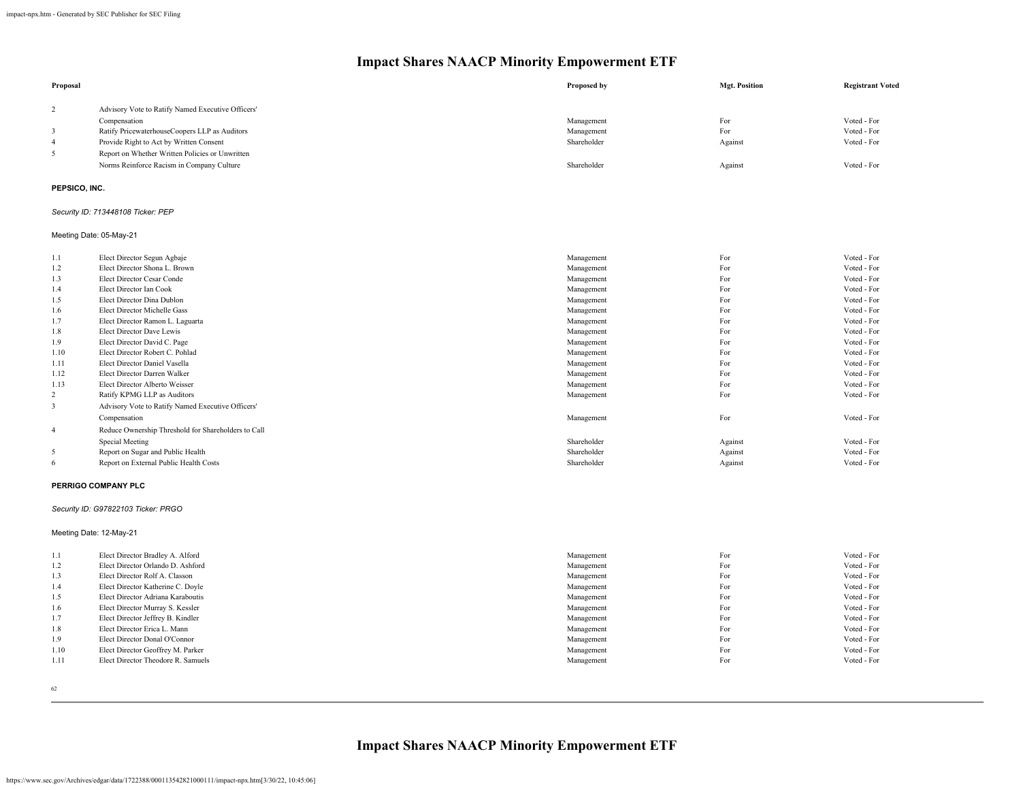| Proposal       |                                                   | Proposed by | <b>Mgt. Position</b> | <b>Registrant Voted</b> |
|----------------|---------------------------------------------------|-------------|----------------------|-------------------------|
| $\overline{2}$ | Advisory Vote to Ratify Named Executive Officers' |             |                      |                         |
|                | Compensation                                      | Management  | For                  | Voted - For             |
|                | Ratify PricewaterhouseCoopers LLP as Auditors     | Management  | For                  | Voted - For             |
| -4             | Provide Right to Act by Written Consent           | Shareholder | Against              | Voted - For             |
| 5              | Report on Whether Written Policies or Unwritten   |             |                      |                         |
|                | Norms Reinforce Racism in Company Culture         | Shareholder | Against              | Voted - For             |
|                |                                                   |             |                      |                         |

## **PEPSICO, INC.**

## *Security ID: 713448108 Ticker: PEP*

#### Meeting Date: 05-May-21

| 1.1  | Elect Director Segun Agbaje                         | Management  | For     | Voted - For |
|------|-----------------------------------------------------|-------------|---------|-------------|
| 1.2  | Elect Director Shona L. Brown                       | Management  | For     | Voted - For |
| 1.3  | Elect Director Cesar Conde                          | Management  | For     | Voted - For |
| 1.4  | Elect Director Ian Cook                             | Management  | For     | Voted - For |
| 1.5  | Elect Director Dina Dublon                          | Management  | For     | Voted - For |
| 1.6  | Elect Director Michelle Gass                        | Management  | For     | Voted - For |
| 1.7  | Elect Director Ramon L. Laguarta                    | Management  | For     | Voted - For |
| 1.8  | Elect Director Dave Lewis                           | Management  | For     | Voted - For |
| 1.9  | Elect Director David C. Page                        | Management  | For     | Voted - For |
| 1.10 | Elect Director Robert C. Pohlad                     | Management  | For     | Voted - For |
| 1.11 | Elect Director Daniel Vasella                       | Management  | For     | Voted - For |
| 1.12 | Elect Director Darren Walker                        | Management  | For     | Voted - For |
| 1.13 | Elect Director Alberto Weisser                      | Management  | For     | Voted - For |
| 2    | Ratify KPMG LLP as Auditors                         | Management  | For     | Voted - For |
| 3    | Advisory Vote to Ratify Named Executive Officers'   |             |         |             |
|      | Compensation                                        | Management  | For     | Voted - For |
| 4    | Reduce Ownership Threshold for Shareholders to Call |             |         |             |
|      | Special Meeting                                     | Shareholder | Against | Voted - For |
| 5    | Report on Sugar and Public Health                   | Shareholder | Against | Voted - For |
| 6    | Report on External Public Health Costs              | Shareholder | Against | Voted - For |
|      |                                                     |             |         |             |

### **PERRIGO COMPANY PLC**

## *Security ID: G97822103 Ticker: PRGO*

Meeting Date: 12-May-21

| 1.1  | Elect Director Bradley A. Alford   | Management | For | Voted - For |
|------|------------------------------------|------------|-----|-------------|
| 1.2  | Elect Director Orlando D. Ashford  | Management | For | Voted - For |
| 1.3  | Elect Director Rolf A. Classon     | Management | For | Voted - For |
| 1.4  | Elect Director Katherine C. Doyle  | Management | For | Voted - For |
| 1.5  | Elect Director Adriana Karaboutis  | Management | For | Voted - For |
| 1.6  | Elect Director Murray S. Kessler   | Management | For | Voted - For |
| 1.7  | Elect Director Jeffrey B. Kindler  | Management | For | Voted - For |
| 1.8  | Elect Director Erica L. Mann       | Management | For | Voted - For |
| 1.9  | Elect Director Donal O'Connor      | Management | For | Voted - For |
| 1.10 | Elect Director Geoffrey M. Parker  | Management | For | Voted - For |
| 1.11 | Elect Director Theodore R. Samuels | Management | For | Voted - For |
|      |                                    |            |     |             |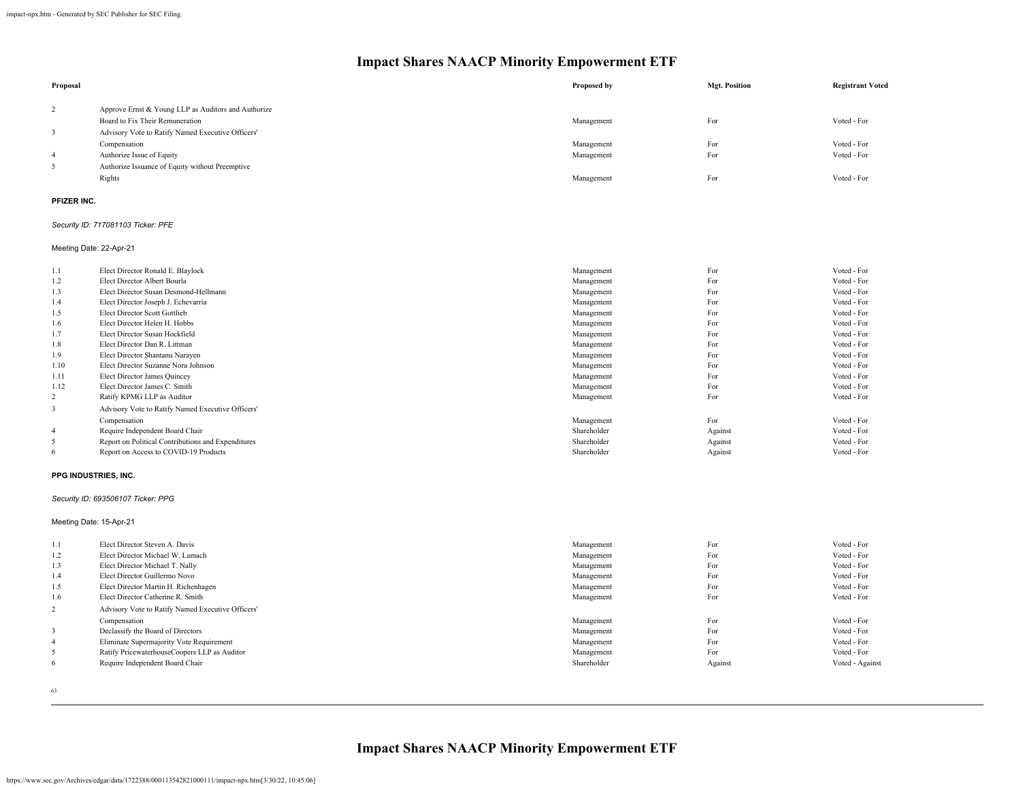| Proposal                |                                                     | Proposed by | <b>Mgt. Position</b> | <b>Registrant Voted</b> |
|-------------------------|-----------------------------------------------------|-------------|----------------------|-------------------------|
| $\overline{2}$          | Approve Ernst & Young LLP as Auditors and Authorize |             |                      |                         |
|                         | Board to Fix Their Remuneration                     | Management  | For                  | Voted - For             |
| $\overline{\mathbf{3}}$ | Advisory Vote to Ratify Named Executive Officers'   |             |                      |                         |
|                         | Compensation                                        | Management  | For                  | Voted - For             |
| 4                       | Authorize Issue of Equity                           | Management  | For                  | Voted - For             |
| 5                       | Authorize Issuance of Equity without Preemptive     |             |                      |                         |
|                         | Rights                                              | Management  | For                  | Voted - For             |
|                         |                                                     |             |                      |                         |
|                         |                                                     |             |                      |                         |

### **PFIZER INC.**

#### *Security ID: 717081103 Ticker: PFE*

Meeting Date: 22-Apr-21

| 1.1            | Elect Director Ronald E. Blaylock                  | Management  | For     | Voted - For |
|----------------|----------------------------------------------------|-------------|---------|-------------|
| 1.2            | Elect Director Albert Bourla                       | Management  | For     | Voted - For |
| 1.3            | Elect Director Susan Desmond-Hellmann              | Management  | For     | Voted - For |
| 1.4            | Elect Director Joseph J. Echevarria                | Management  | For     | Voted - For |
| 1.5            | Elect Director Scott Gottlieb                      | Management  | For     | Voted - For |
| 1.6            | Elect Director Helen H. Hobbs                      | Management  | For     | Voted - For |
| 1.7            | Elect Director Susan Hockfield                     | Management  | For     | Voted - For |
| 1.8            | Elect Director Dan R. Littman                      | Management  | For     | Voted - For |
| 1.9            | Elect Director Shantanu Narayen                    | Management  | For     | Voted - For |
| 1.10           | Elect Director Suzanne Nora Johnson                | Management  | For     | Voted - For |
| 1.11           | Elect Director James Quincey                       | Management  | For     | Voted - For |
| 1.12           | Elect Director James C. Smith                      | Management  | For     | Voted - For |
| 2              | Ratify KPMG LLP as Auditor                         | Management  | For     | Voted - For |
| 3              | Advisory Vote to Ratify Named Executive Officers'  |             |         |             |
|                | Compensation                                       | Management  | For     | Voted - For |
| $\overline{4}$ | Require Independent Board Chair                    | Shareholder | Against | Voted - For |
|                | Report on Political Contributions and Expenditures | Shareholder | Against | Voted - For |
| 6              | Report on Access to COVID-19 Products              | Shareholder | Against | Voted - For |

#### **PPG INDUSTRIES, INC.**

*Security ID: 693506107 Ticker: PPG*

## Meeting Date: 15-Apr-21

| 1.1            | Elect Director Steven A. Davis                    | Management  | For     | Voted - For     |
|----------------|---------------------------------------------------|-------------|---------|-----------------|
| 1.2            | Elect Director Michael W. Lamach                  | Management  | For     | Voted - For     |
| 1.3            | Elect Director Michael T. Nally                   | Management  | For     | Voted - For     |
| 1.4            | Elect Director Guillermo Novo                     | Management  | For     | Voted - For     |
| 1.5            | Elect Director Martin H. Richenhagen              | Management  | For     | Voted - For     |
| 1.6            | Elect Director Catherine R. Smith                 | Management  | For     | Voted - For     |
| 2              | Advisory Vote to Ratify Named Executive Officers' |             |         |                 |
|                | Compensation                                      | Management  | For     | Voted - For     |
| 3              | Declassify the Board of Directors                 | Management  | For     | Voted - For     |
| $\overline{4}$ | Eliminate Supermajority Vote Requirement          | Management  | For     | Voted - For     |
| 5              | Ratify PricewaterhouseCoopers LLP as Auditor      | Management  | For     | Voted - For     |
| 6              | Require Independent Board Chair                   | Shareholder | Against | Voted - Against |
|                |                                                   |             |         |                 |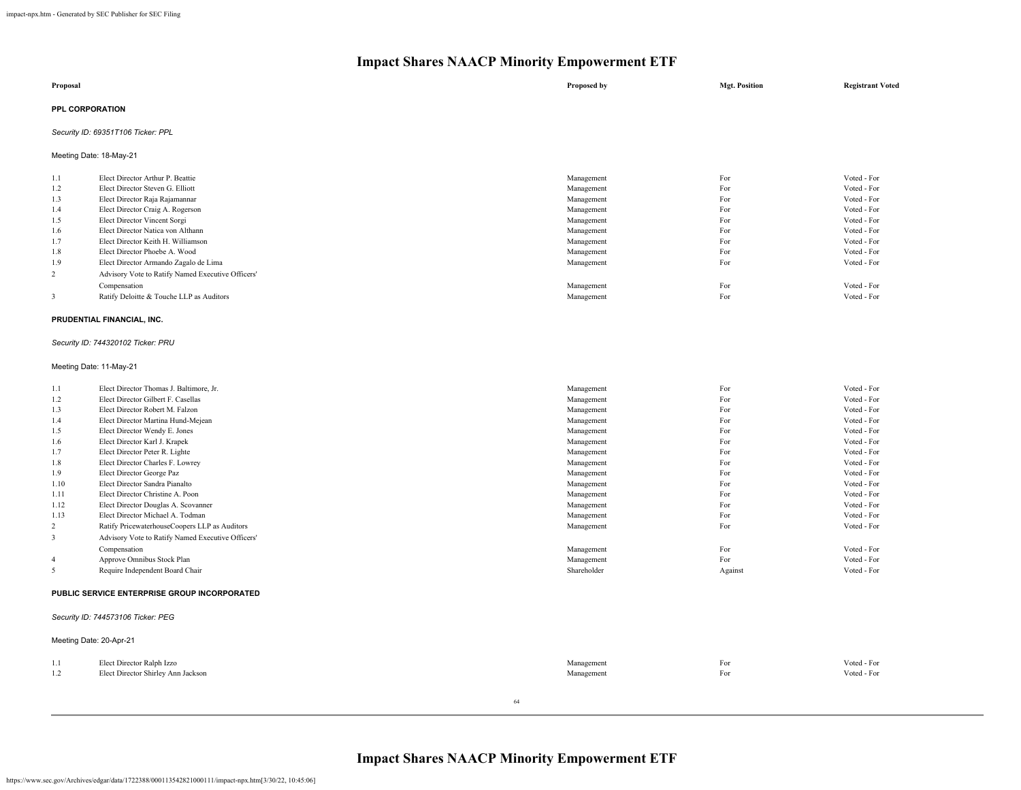| Proposal               | Proposed by | <b>Mgt. Position</b> | <b>Registrant Voted</b> |
|------------------------|-------------|----------------------|-------------------------|
| <b>PPL CORPORATION</b> |             |                      |                         |

## *Security ID: 69351T106 Ticker: PPL*

Meeting Date: 18-May-21

| Voted - For |
|-------------|
|             |
| Voted - For |
| Voted - For |
| Voted - For |
| Voted - For |
| Voted - For |
| Voted - For |
| Voted - For |
| Voted - For |
|             |
| Voted - For |
| Voted - For |
|             |

#### **PRUDENTIAL FINANCIAL, INC.**

## *Security ID: 744320102 Ticker: PRU*

#### Meeting Date: 11-May-21

| 1.1            | Elect Director Thomas J. Baltimore, Jr.           | Management  | For     | Voted - For |
|----------------|---------------------------------------------------|-------------|---------|-------------|
| 1.2            | Elect Director Gilbert F. Casellas                | Management  | For     | Voted - For |
| 1.3            | Elect Director Robert M. Falzon                   | Management  | For     | Voted - For |
| 1.4            | Elect Director Martina Hund-Mejean                | Management  | For     | Voted - For |
| 1.5            | Elect Director Wendy E. Jones                     | Management  | For     | Voted - For |
| 1.6            | Elect Director Karl J. Krapek                     | Management  | For     | Voted - For |
| 1.7            | Elect Director Peter R. Lighte                    | Management  | For     | Voted - For |
| 1.8            | Elect Director Charles F. Lowrey                  | Management  | For     | Voted - For |
| 1.9            | Elect Director George Paz                         | Management  | For     | Voted - For |
| 1.10           | Elect Director Sandra Pianalto                    | Management  | For     | Voted - For |
| 1.11           | Elect Director Christine A. Poon                  | Management  | For     | Voted - For |
| 1.12           | Elect Director Douglas A. Scovanner               | Management  | For     | Voted - For |
| 1.13           | Elect Director Michael A. Todman                  | Management  | For     | Voted - For |
| 2              | Ratify PricewaterhouseCoopers LLP as Auditors     | Management  | For     | Voted - For |
| 3              | Advisory Vote to Ratify Named Executive Officers' |             |         |             |
|                | Compensation                                      | Management  | For     | Voted - For |
| $\overline{4}$ | Approve Omnibus Stock Plan                        | Management  | For     | Voted - For |
|                | Require Independent Board Chair                   | Shareholder | Against | Voted - For |
|                |                                                   |             |         |             |

#### **PUBLIC SERVICE ENTERPRISE GROUP INCORPORATED**

#### *Security ID: 744573106 Ticker: PEG*

|                                    | Meeting Date: 20-Apr-21                                         |                          |            |                            |
|------------------------------------|-----------------------------------------------------------------|--------------------------|------------|----------------------------|
| $\mathbf{1}$ . $\mathbf{1}$<br>1.2 | Elect Director Ralph Izzo<br>Elect Director Shirley Ann Jackson | Management<br>Management | For<br>For | Voted - For<br>Voted - For |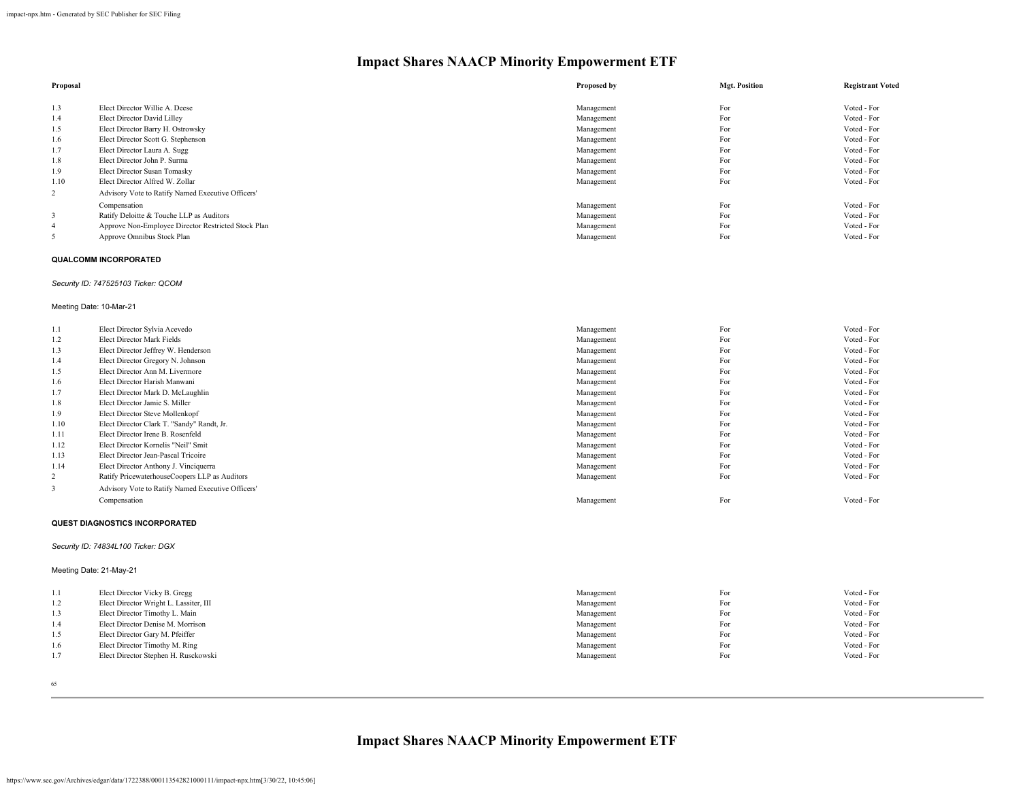| Proposal |                                                     | Proposed by | <b>Mgt. Position</b> | <b>Registrant Voted</b> |
|----------|-----------------------------------------------------|-------------|----------------------|-------------------------|
| 1.3      | Elect Director Willie A. Deese                      | Management  | For                  | Voted - For             |
| 1.4      | Elect Director David Lilley                         | Management  | For                  | Voted - For             |
| 1.5      | Elect Director Barry H. Ostrowsky                   | Management  | For                  | Voted - For             |
| 1.6      | Elect Director Scott G. Stephenson                  | Management  | For                  | Voted - For             |
| 1.7      | Elect Director Laura A. Sugg                        | Management  | For                  | Voted - For             |
| 1.8      | Elect Director John P. Surma                        | Management  | For                  | Voted - For             |
| 1.9      | Elect Director Susan Tomasky                        | Management  | For                  | Voted - For             |
| 1.10     | Elect Director Alfred W. Zollar                     | Management  | For                  | Voted - For             |
| 2        | Advisory Vote to Ratify Named Executive Officers'   |             |                      |                         |
|          | Compensation                                        | Management  | For                  | Voted - For             |
| 3        | Ratify Deloitte & Touche LLP as Auditors            | Management  | For                  | Voted - For             |
| 4        | Approve Non-Employee Director Restricted Stock Plan | Management  | For                  | Voted - For             |
| 5        | Approve Omnibus Stock Plan                          | Management  | For                  | Voted - For             |

#### **QUALCOMM INCORPORATED**

#### *Security ID: 747525103 Ticker: QCOM*

#### Meeting Date: 10-Mar-21

| 1.1  | Elect Director Sylvia Acevedo                     | Management | For | Voted - For |
|------|---------------------------------------------------|------------|-----|-------------|
| 1.2  | Elect Director Mark Fields                        | Management | For | Voted - For |
| 1.3  | Elect Director Jeffrey W. Henderson               | Management | For | Voted - For |
| 1.4  | Elect Director Gregory N. Johnson                 | Management | For | Voted - For |
| 1.5  | Elect Director Ann M. Livermore                   | Management | For | Voted - For |
| 1.6  | Elect Director Harish Manwani                     | Management | For | Voted - For |
| 1.7  | Elect Director Mark D. McLaughlin                 | Management | For | Voted - For |
| 1.8  | Elect Director Jamie S. Miller                    | Management | For | Voted - For |
| 1.9  | Elect Director Steve Mollenkopf                   | Management | For | Voted - For |
| 1.10 | Elect Director Clark T. "Sandy" Randt, Jr.        | Management | For | Voted - For |
| 1.11 | Elect Director Irene B. Rosenfeld                 | Management | For | Voted - For |
| 1.12 | Elect Director Kornelis "Neil" Smit               | Management | For | Voted - For |
| 1.13 | Elect Director Jean-Pascal Tricoire               | Management | For | Voted - For |
| 1.14 | Elect Director Anthony J. Vinciquerra             | Management | For | Voted - For |
| 2    | Ratify PricewaterhouseCoopers LLP as Auditors     | Management | For | Voted - For |
| 3    | Advisory Vote to Ratify Named Executive Officers' |            |     |             |
|      | Compensation                                      | Management | For | Voted - For |

#### **QUEST DIAGNOSTICS INCORPORATED**

#### *Security ID: 74834L100 Ticker: DGX*

## Meeting Date: 21-May-21

| 1.1 | Elect Director Vicky B. Gregg          | Management | For | Voted - For |
|-----|----------------------------------------|------------|-----|-------------|
| 1.2 | Elect Director Wright L. Lassiter, III | Management | For | Voted - For |
| 1.3 | Elect Director Timothy L. Main         | Management | For | Voted - For |
| 1.4 | Elect Director Denise M. Morrison      | Management | For | Voted - For |
| 1.5 | Elect Director Gary M. Pfeiffer        | Management | For | Voted - For |
| 1.6 | Elect Director Timothy M. Ring         | Management | For | Voted - For |
| 1.7 | Elect Director Stephen H. Rusckowski   | Management | For | Voted - For |
|     |                                        |            |     |             |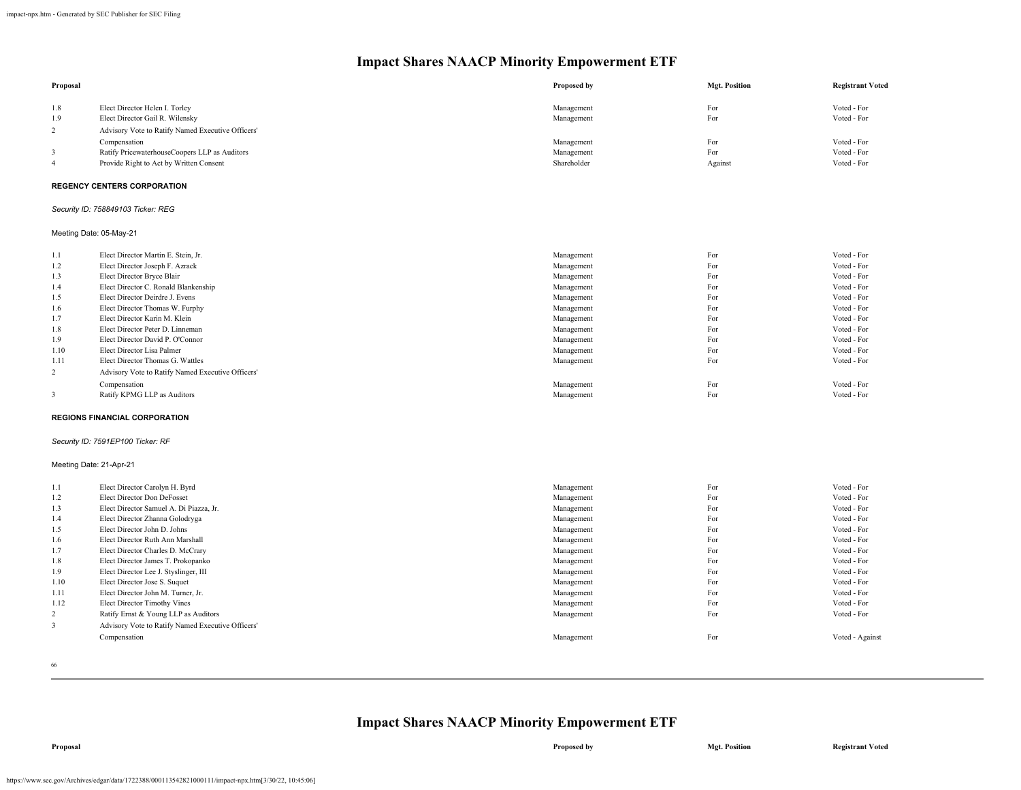| Proposal                |                                                                   | Proposed by              | <b>Mgt. Position</b> | <b>Registrant Voted</b>    |
|-------------------------|-------------------------------------------------------------------|--------------------------|----------------------|----------------------------|
| 1.8<br>1.9              | Elect Director Helen I. Torley<br>Elect Director Gail R. Wilensky | Management<br>Management | For<br>For           | Voted - For<br>Voted - For |
| 2                       | Advisory Vote to Ratify Named Executive Officers'                 |                          |                      |                            |
|                         | Compensation                                                      | Management               | For                  | Voted - For                |
| 3                       | Ratify PricewaterhouseCoopers LLP as Auditors                     | Management               | For                  | Voted - For                |
| $\overline{4}$          | Provide Right to Act by Written Consent                           | Shareholder              | Against              | Voted - For                |
|                         | <b>REGENCY CENTERS CORPORATION</b>                                |                          |                      |                            |
|                         | Security ID: 758849103 Ticker: REG                                |                          |                      |                            |
|                         | Meeting Date: 05-May-21                                           |                          |                      |                            |
| 1.1                     | Elect Director Martin E. Stein, Jr.                               | Management               | For                  | Voted - For                |
| 1.2                     | Elect Director Joseph F. Azrack                                   | Management               | For                  | Voted - For                |
| 1.3                     | Elect Director Bryce Blair                                        | Management               | For                  | Voted - For                |
| 1.4                     | Elect Director C. Ronald Blankenship                              | Management               | For                  | Voted - For                |
| 1.5                     | Elect Director Deirdre J. Evens                                   | Management               | For                  | Voted - For                |
| 1.6                     | Elect Director Thomas W. Furphy                                   | Management               | For                  | Voted - For                |
| 1.7                     | Elect Director Karin M. Klein                                     | Management               | For                  | Voted - For                |
| 1.8                     | Elect Director Peter D. Linneman                                  | Management               | For                  | Voted - For                |
| 1.9                     | Elect Director David P. O'Connor                                  | Management               | For                  | Voted - For                |
| 1.10                    | Elect Director Lisa Palmer                                        | Management               | For                  | Voted - For                |
| 1.11                    | Elect Director Thomas G. Wattles                                  | Management               | For                  | Voted - For                |
| 2                       | Advisory Vote to Ratify Named Executive Officers'                 |                          |                      |                            |
|                         | Compensation                                                      | Management               | For                  | Voted - For                |
| $\mathbf{3}$            | Ratify KPMG LLP as Auditors                                       | Management               | For                  | Voted - For                |
|                         | <b>REGIONS FINANCIAL CORPORATION</b>                              |                          |                      |                            |
|                         | Security ID: 7591EP100 Ticker: RF                                 |                          |                      |                            |
| Meeting Date: 21-Apr-21 |                                                                   |                          |                      |                            |
| 1.1                     | Elect Director Carolyn H. Byrd                                    | Management               | For                  | Voted - For                |
| 1.2                     | Elect Director Don DeFosset                                       | Management               | For                  | Voted - For                |
| 1.3                     | Elect Director Samuel A. Di Piazza, Jr.                           | Management               | For                  | Voted - For                |
| 1.4                     | Elect Director Zhanna Golodryga                                   | Management               | For                  | Voted - For                |
| 1.5                     | Elect Director John D. Johns                                      | Management               | For                  | Voted - For                |
| 1.6                     | Elect Director Ruth Ann Marshall                                  | Management               | For                  | Voted - For                |
| 1.7                     | Elect Director Charles D. McCrary                                 | Management               | For                  | Voted - For                |
| 1.8                     | Elect Director James T. Prokopanko                                | Management               | For                  | Voted - For                |
| 1.9                     | Elect Director Lee J. Styslinger, III                             | Management               | For                  | Voted - For                |
| 1.10                    | Elect Director Jose S. Suquet                                     | Management               | For                  | Voted - For                |
| 1.11                    | Elect Director John M. Turner, Jr.                                | Management               | For                  | Voted - For                |
| 1.12                    | Elect Director Timothy Vines                                      | Management               | For                  | Voted - For                |
| 2                       | Ratify Ernst & Young LLP as Auditors                              | Management               | For                  | Voted - For                |
| $\mathbf{3}$            | Advisory Vote to Ratify Named Executive Officers'                 |                          |                      |                            |
|                         | Compensation                                                      | Management               | For                  | Voted - Against            |

66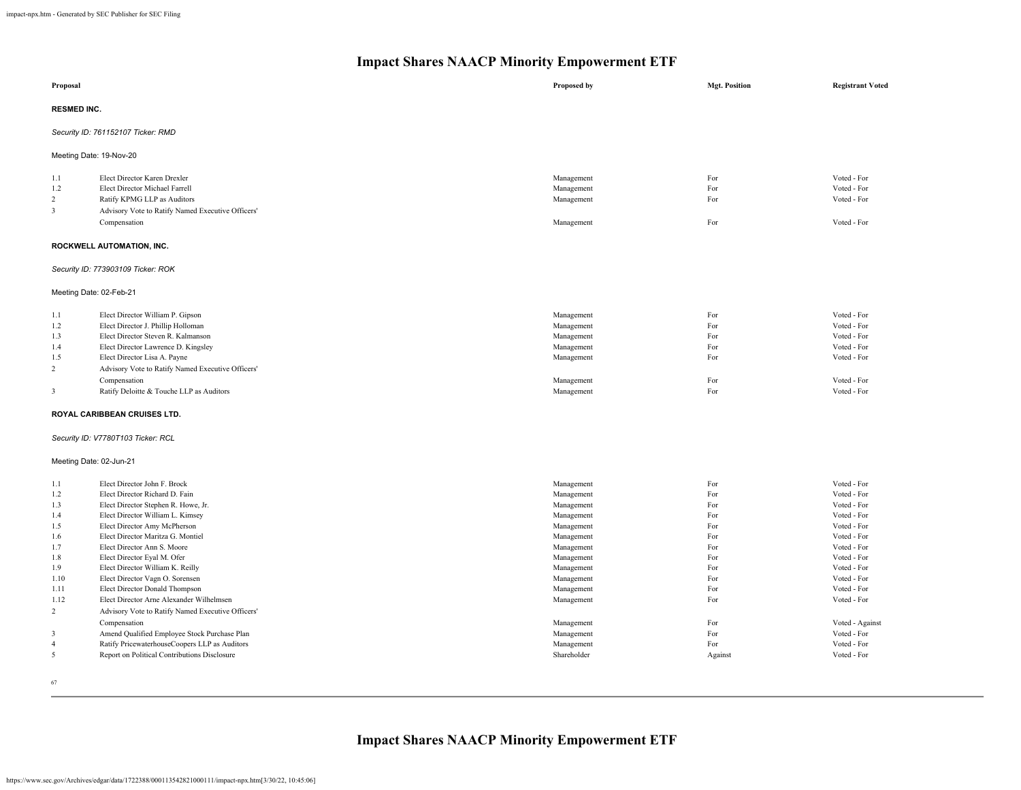|                                                                                               | $\alpha$ shares runner numerity $\epsilon$ mpo                                                                                                                                                                                                                                                                                                                                                                                                                                                                                                         |                                                                                                                                                                                                  |                                                                                                |                                                                                                                                                                                                                    |
|-----------------------------------------------------------------------------------------------|--------------------------------------------------------------------------------------------------------------------------------------------------------------------------------------------------------------------------------------------------------------------------------------------------------------------------------------------------------------------------------------------------------------------------------------------------------------------------------------------------------------------------------------------------------|--------------------------------------------------------------------------------------------------------------------------------------------------------------------------------------------------|------------------------------------------------------------------------------------------------|--------------------------------------------------------------------------------------------------------------------------------------------------------------------------------------------------------------------|
| Proposal                                                                                      |                                                                                                                                                                                                                                                                                                                                                                                                                                                                                                                                                        | Proposed by                                                                                                                                                                                      | <b>Mgt. Position</b>                                                                           | <b>Registrant Voted</b>                                                                                                                                                                                            |
| <b>RESMED INC.</b>                                                                            |                                                                                                                                                                                                                                                                                                                                                                                                                                                                                                                                                        |                                                                                                                                                                                                  |                                                                                                |                                                                                                                                                                                                                    |
|                                                                                               | Security ID: 761152107 Ticker: RMD                                                                                                                                                                                                                                                                                                                                                                                                                                                                                                                     |                                                                                                                                                                                                  |                                                                                                |                                                                                                                                                                                                                    |
| Meeting Date: 19-Nov-20                                                                       |                                                                                                                                                                                                                                                                                                                                                                                                                                                                                                                                                        |                                                                                                                                                                                                  |                                                                                                |                                                                                                                                                                                                                    |
| 1.1<br>1.2<br>2<br>3                                                                          | Elect Director Karen Drexler<br>Elect Director Michael Farrell<br>Ratify KPMG LLP as Auditors<br>Advisory Vote to Ratify Named Executive Officers'                                                                                                                                                                                                                                                                                                                                                                                                     | Management<br>Management<br>Management                                                                                                                                                           | For<br>For<br>For                                                                              | Voted - For<br>Voted - For<br>Voted - For                                                                                                                                                                          |
|                                                                                               | Compensation                                                                                                                                                                                                                                                                                                                                                                                                                                                                                                                                           | Management                                                                                                                                                                                       | For                                                                                            | Voted - For                                                                                                                                                                                                        |
|                                                                                               | ROCKWELL AUTOMATION, INC.                                                                                                                                                                                                                                                                                                                                                                                                                                                                                                                              |                                                                                                                                                                                                  |                                                                                                |                                                                                                                                                                                                                    |
|                                                                                               | Security ID: 773903109 Ticker: ROK                                                                                                                                                                                                                                                                                                                                                                                                                                                                                                                     |                                                                                                                                                                                                  |                                                                                                |                                                                                                                                                                                                                    |
| Meeting Date: 02-Feb-21                                                                       |                                                                                                                                                                                                                                                                                                                                                                                                                                                                                                                                                        |                                                                                                                                                                                                  |                                                                                                |                                                                                                                                                                                                                    |
| 1.1<br>1.2<br>1.3<br>1.4<br>1.5<br>2                                                          | Elect Director William P. Gipson<br>Elect Director J. Phillip Holloman<br>Elect Director Steven R. Kalmanson<br>Elect Director Lawrence D. Kingsley<br>Elect Director Lisa A. Payne<br>Advisory Vote to Ratify Named Executive Officers'<br>Compensation                                                                                                                                                                                                                                                                                               | Management<br>Management<br>Management<br>Management<br>Management<br>Management                                                                                                                 | For<br>For<br>For<br>For<br>For<br>For                                                         | Voted - For<br>Voted - For<br>Voted - For<br>Voted - For<br>Voted - For<br>Voted - For                                                                                                                             |
| 3                                                                                             | Ratify Deloitte & Touche LLP as Auditors                                                                                                                                                                                                                                                                                                                                                                                                                                                                                                               | Management                                                                                                                                                                                       | For                                                                                            | Voted - For                                                                                                                                                                                                        |
|                                                                                               | ROYAL CARIBBEAN CRUISES LTD.                                                                                                                                                                                                                                                                                                                                                                                                                                                                                                                           |                                                                                                                                                                                                  |                                                                                                |                                                                                                                                                                                                                    |
|                                                                                               | Security ID: V7780T103 Ticker: RCL                                                                                                                                                                                                                                                                                                                                                                                                                                                                                                                     |                                                                                                                                                                                                  |                                                                                                |                                                                                                                                                                                                                    |
| Meeting Date: 02-Jun-21                                                                       |                                                                                                                                                                                                                                                                                                                                                                                                                                                                                                                                                        |                                                                                                                                                                                                  |                                                                                                |                                                                                                                                                                                                                    |
| 1.1<br>1.2<br>1.3<br>1.4<br>1.5<br>1.6<br>1.7<br>1.8<br>1.9<br>1.10<br>1.11<br>1.12<br>2<br>3 | Elect Director John F. Brock<br>Elect Director Richard D. Fain<br>Elect Director Stephen R. Howe, Jr.<br>Elect Director William L. Kimsey<br>Elect Director Amy McPherson<br>Elect Director Maritza G. Montiel<br>Elect Director Ann S. Moore<br>Elect Director Eyal M. Ofer<br>Elect Director William K. Reilly<br>Elect Director Vagn O. Sorensen<br>Elect Director Donald Thompson<br>Elect Director Arne Alexander Wilhelmsen<br>Advisory Vote to Ratify Named Executive Officers'<br>Compensation<br>Amend Qualified Employee Stock Purchase Plan | Management<br>Management<br>Management<br>Management<br>Management<br>Management<br>Management<br>Management<br>Management<br>Management<br>Management<br>Management<br>Management<br>Management | For<br>For<br>For<br>For<br>For<br>For<br>For<br>For<br>For<br>For<br>For<br>For<br>For<br>For | Voted - For<br>Voted - For<br>Voted - For<br>Voted - For<br>Voted - For<br>Voted - For<br>Voted - For<br>Voted - For<br>Voted - For<br>Voted - For<br>Voted - For<br>Voted - For<br>Voted - Against<br>Voted - For |
| $\overline{4}$<br>5                                                                           | Ratify PricewaterhouseCoopers LLP as Auditors<br>Report on Political Contributions Disclosure                                                                                                                                                                                                                                                                                                                                                                                                                                                          | Management<br>Shareholder                                                                                                                                                                        | For<br>Against                                                                                 | Voted - For<br>Voted - For                                                                                                                                                                                         |

67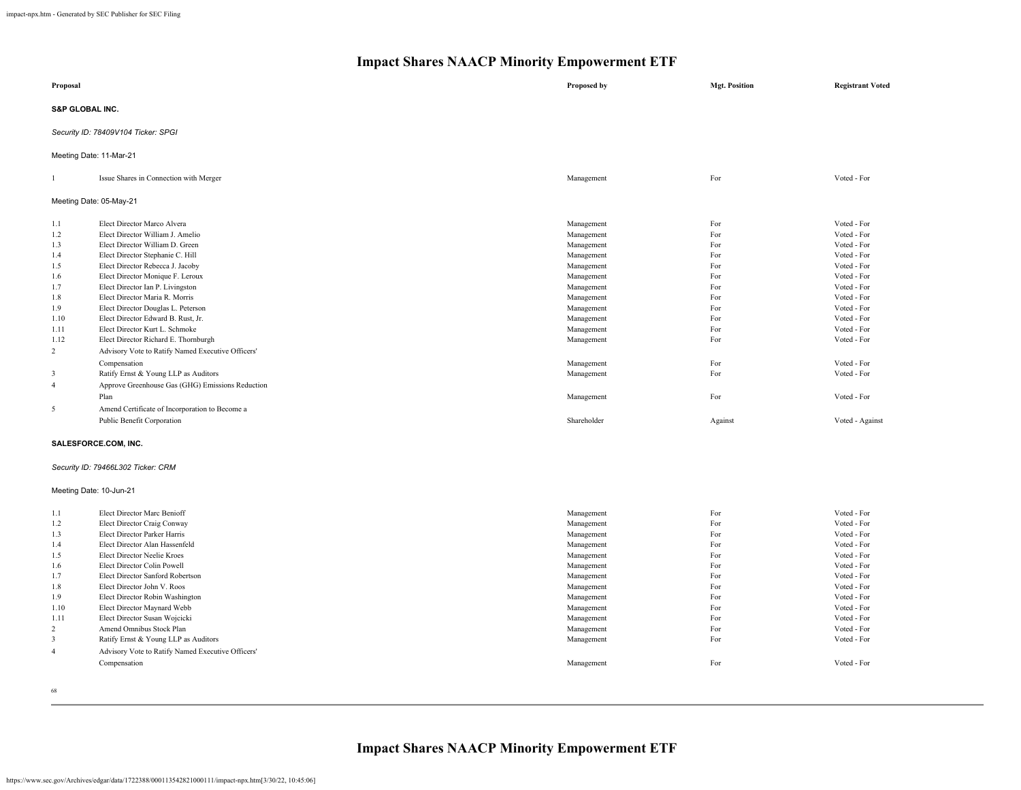| Proposal                   |                                                   | Proposed by | <b>Mgt. Position</b> | <b>Registrant Voted</b> |  |  |
|----------------------------|---------------------------------------------------|-------------|----------------------|-------------------------|--|--|
| <b>S&amp;P GLOBAL INC.</b> |                                                   |             |                      |                         |  |  |
|                            | Security ID: 78409V104 Ticker: SPGI               |             |                      |                         |  |  |
|                            | Meeting Date: 11-Mar-21                           |             |                      |                         |  |  |
| $\mathbf{1}$               | Issue Shares in Connection with Merger            | Management  | For                  | Voted - For             |  |  |
|                            | Meeting Date: 05-May-21                           |             |                      |                         |  |  |
| 1.1                        | Elect Director Marco Alvera                       | Management  | For                  | Voted - For             |  |  |
| 1.2                        | Elect Director William J. Amelio                  | Management  | For                  | Voted - For             |  |  |
| 1.3                        | Elect Director William D. Green                   | Management  | For                  | Voted - For             |  |  |
| 1.4                        | Elect Director Stephanie C. Hill                  | Management  | For                  | Voted - For             |  |  |
| 1.5                        | Elect Director Rebecca J. Jacoby                  | Management  | For                  | Voted - For             |  |  |
| 1.6                        | Elect Director Monique F. Leroux                  | Management  | For                  | Voted - For             |  |  |
| 1.7                        | Elect Director Ian P. Livingston                  | Management  | For                  | Voted - For             |  |  |
| 1.8                        | Elect Director Maria R. Morris                    | Management  | For                  | Voted - For             |  |  |
| 1.9                        | Elect Director Douglas L. Peterson                | Management  | For                  | Voted - For             |  |  |
| 1.10                       | Elect Director Edward B. Rust, Jr.                | Management  | For                  | Voted - For             |  |  |
| 1.11                       | Elect Director Kurt L. Schmoke                    | Management  | For                  | Voted - For             |  |  |
| 1.12                       | Elect Director Richard E. Thornburgh              | Management  | For                  | Voted - For             |  |  |
| $\overline{2}$             | Advisory Vote to Ratify Named Executive Officers' |             |                      |                         |  |  |
|                            | Compensation                                      | Management  | For                  | Voted - For             |  |  |
| 3                          | Ratify Ernst & Young LLP as Auditors              | Management  | For                  | Voted - For             |  |  |
| $\overline{4}$             | Approve Greenhouse Gas (GHG) Emissions Reduction  |             |                      |                         |  |  |
|                            |                                                   |             |                      |                         |  |  |
|                            | Plan                                              | Management  | For                  | Voted - For             |  |  |
| 5                          | Amend Certificate of Incorporation to Become a    |             |                      |                         |  |  |
|                            | Public Benefit Corporation                        | Shareholder | Against              | Voted - Against         |  |  |
|                            | SALESFORCE.COM, INC.                              |             |                      |                         |  |  |
|                            | Security ID: 79466L302 Ticker: CRM                |             |                      |                         |  |  |
| Meeting Date: 10-Jun-21    |                                                   |             |                      |                         |  |  |
| 1.1                        | Elect Director Marc Benioff                       | Management  | For                  | Voted - For             |  |  |
| 1.2                        | Elect Director Craig Conway                       | Management  | For                  | Voted - For             |  |  |
| 1.3                        | Elect Director Parker Harris                      | Management  | For                  | Voted - For             |  |  |
| 1.4                        | Elect Director Alan Hassenfeld                    | Management  | For                  | Voted - For             |  |  |
| 1.5                        | Elect Director Neelie Kroes                       | Management  | For                  | Voted - For             |  |  |
| 1.6                        | Elect Director Colin Powell                       | Management  | For                  | Voted - For             |  |  |
| 1.7                        | Elect Director Sanford Robertson                  | Management  | For                  | Voted - For             |  |  |
| 1.8                        | Elect Director John V. Roos                       | Management  | For                  | Voted - For             |  |  |
| 1.9                        | Elect Director Robin Washington                   | Management  | For                  | Voted - For             |  |  |
| 1.10                       | Elect Director Maynard Webb                       | Management  | For                  | Voted - For             |  |  |
| 1.11                       | Elect Director Susan Wojcicki                     | Management  | For                  | Voted - For             |  |  |
| 2                          | Amend Omnibus Stock Plan                          | Management  | For                  | Voted - For             |  |  |
| $\mathbf{3}$               | Ratify Ernst & Young LLP as Auditors              | Management  | For                  | Voted - For             |  |  |
| $\overline{4}$             | Advisory Vote to Ratify Named Executive Officers' |             |                      |                         |  |  |
|                            | Compensation                                      | Management  | For                  | Voted - For             |  |  |
|                            |                                                   |             |                      |                         |  |  |

68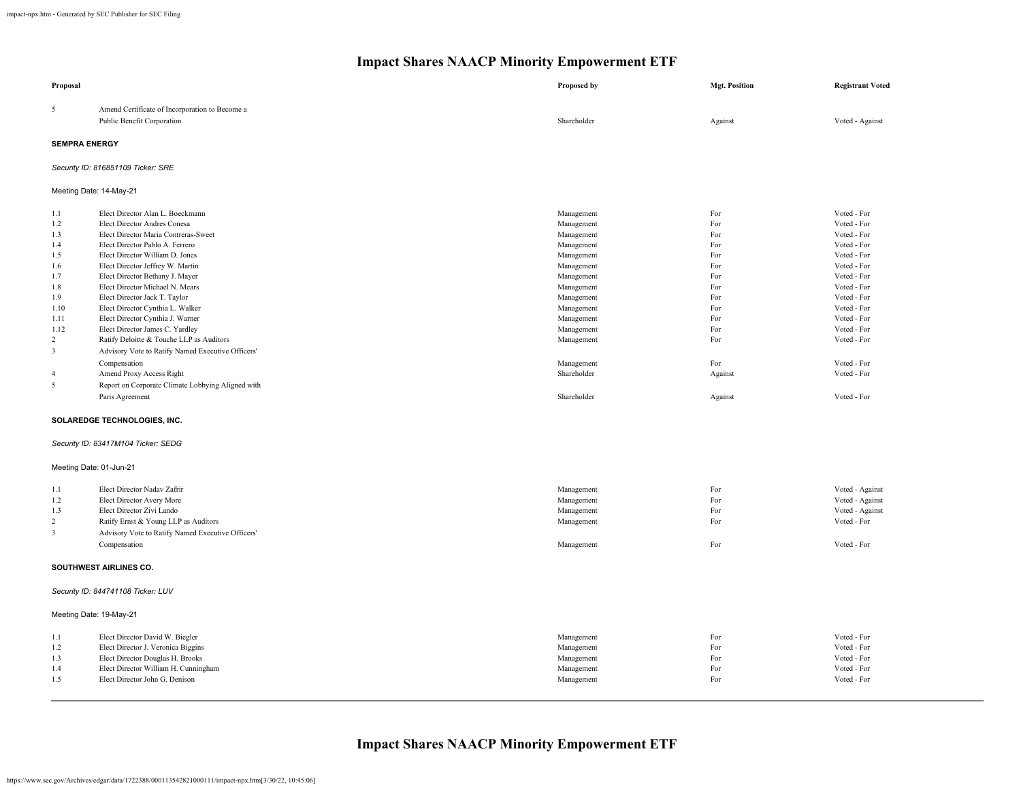| Proposal                                                                                                                                       |                                                                                                                                                                                                                                                                                                                                                                                                                                                                                                                                                                                                                                                           | Proposed by                                                                                                                                                                                                                    | <b>Mgt. Position</b>                                                                                                 | <b>Registrant Voted</b>                                                                                                                                                                                                                      |
|------------------------------------------------------------------------------------------------------------------------------------------------|-----------------------------------------------------------------------------------------------------------------------------------------------------------------------------------------------------------------------------------------------------------------------------------------------------------------------------------------------------------------------------------------------------------------------------------------------------------------------------------------------------------------------------------------------------------------------------------------------------------------------------------------------------------|--------------------------------------------------------------------------------------------------------------------------------------------------------------------------------------------------------------------------------|----------------------------------------------------------------------------------------------------------------------|----------------------------------------------------------------------------------------------------------------------------------------------------------------------------------------------------------------------------------------------|
| 5                                                                                                                                              | Amend Certificate of Incorporation to Become a<br>Public Benefit Corporation                                                                                                                                                                                                                                                                                                                                                                                                                                                                                                                                                                              | Shareholder                                                                                                                                                                                                                    | Against                                                                                                              | Voted - Against                                                                                                                                                                                                                              |
| <b>SEMPRA ENERGY</b>                                                                                                                           |                                                                                                                                                                                                                                                                                                                                                                                                                                                                                                                                                                                                                                                           |                                                                                                                                                                                                                                |                                                                                                                      |                                                                                                                                                                                                                                              |
|                                                                                                                                                | Security ID: 816851109 Ticker: SRE                                                                                                                                                                                                                                                                                                                                                                                                                                                                                                                                                                                                                        |                                                                                                                                                                                                                                |                                                                                                                      |                                                                                                                                                                                                                                              |
| Meeting Date: 14-May-21                                                                                                                        |                                                                                                                                                                                                                                                                                                                                                                                                                                                                                                                                                                                                                                                           |                                                                                                                                                                                                                                |                                                                                                                      |                                                                                                                                                                                                                                              |
| 1.1<br>1.2<br>1.3<br>1.4<br>1.5<br>1.6<br>1.7<br>1.8<br>1.9<br>1.10<br>1.11<br>1.12<br>$\overline{2}$<br>$\overline{3}$<br>$\overline{4}$<br>5 | Elect Director Alan L. Boeckmann<br>Elect Director Andres Conesa<br>Elect Director Maria Contreras-Sweet<br>Elect Director Pablo A. Ferrero<br>Elect Director William D. Jones<br>Elect Director Jeffrey W. Martin<br>Elect Director Bethany J. Mayer<br>Elect Director Michael N. Mears<br>Elect Director Jack T. Taylor<br>Elect Director Cynthia L. Walker<br>Elect Director Cynthia J. Warner<br>Elect Director James C. Yardley<br>Ratify Deloitte & Touche LLP as Auditors<br>Advisory Vote to Ratify Named Executive Officers'<br>Compensation<br>Amend Proxy Access Right<br>Report on Corporate Climate Lobbying Aligned with<br>Paris Agreement | Management<br>Management<br>Management<br>Management<br>Management<br>Management<br>Management<br>Management<br>Management<br>Management<br>Management<br>Management<br>Management<br>Management<br>Shareholder<br>Shareholder | For<br>For<br>For<br>For<br>For<br>For<br>For<br>For<br>For<br>For<br>For<br>For<br>For<br>For<br>Against<br>Against | Voted - For<br>Voted - For<br>Voted - For<br>Voted - For<br>Voted - For<br>Voted - For<br>Voted - For<br>Voted - For<br>Voted - For<br>Voted - For<br>Voted - For<br>Voted - For<br>Voted - For<br>Voted - For<br>Voted - For<br>Voted - For |
|                                                                                                                                                | SOLAREDGE TECHNOLOGIES, INC.                                                                                                                                                                                                                                                                                                                                                                                                                                                                                                                                                                                                                              |                                                                                                                                                                                                                                |                                                                                                                      |                                                                                                                                                                                                                                              |
|                                                                                                                                                | Security ID: 83417M104 Ticker: SEDG                                                                                                                                                                                                                                                                                                                                                                                                                                                                                                                                                                                                                       |                                                                                                                                                                                                                                |                                                                                                                      |                                                                                                                                                                                                                                              |
| Meeting Date: 01-Jun-21                                                                                                                        |                                                                                                                                                                                                                                                                                                                                                                                                                                                                                                                                                                                                                                                           |                                                                                                                                                                                                                                |                                                                                                                      |                                                                                                                                                                                                                                              |
| 1.1<br>1.2<br>1.3<br>$\overline{2}$<br>$\overline{3}$                                                                                          | Elect Director Nadav Zafrir<br>Elect Director Avery More<br>Elect Director Zivi Lando<br>Ratify Ernst & Young LLP as Auditors<br>Advisory Vote to Ratify Named Executive Officers'<br>Compensation                                                                                                                                                                                                                                                                                                                                                                                                                                                        | Management<br>Management<br>Management<br>Management<br>Management                                                                                                                                                             | For<br>For<br>For<br>For<br>For                                                                                      | Voted - Against<br>Voted - Against<br>Voted - Against<br>Voted - For<br>Voted - For                                                                                                                                                          |
|                                                                                                                                                | SOUTHWEST AIRLINES CO.                                                                                                                                                                                                                                                                                                                                                                                                                                                                                                                                                                                                                                    |                                                                                                                                                                                                                                |                                                                                                                      |                                                                                                                                                                                                                                              |
|                                                                                                                                                | Security ID: 844741108 Ticker: LUV                                                                                                                                                                                                                                                                                                                                                                                                                                                                                                                                                                                                                        |                                                                                                                                                                                                                                |                                                                                                                      |                                                                                                                                                                                                                                              |
| Meeting Date: 19-May-21                                                                                                                        |                                                                                                                                                                                                                                                                                                                                                                                                                                                                                                                                                                                                                                                           |                                                                                                                                                                                                                                |                                                                                                                      |                                                                                                                                                                                                                                              |
| 1.1<br>1.2<br>1.3<br>1.4<br>1.5                                                                                                                | Elect Director David W. Biegler<br>Elect Director J. Veronica Biggins<br>Elect Director Douglas H. Brooks<br>Elect Director William H. Cunningham<br>Elect Director John G. Denison                                                                                                                                                                                                                                                                                                                                                                                                                                                                       | Management<br>Management<br>Management<br>Management<br>Management                                                                                                                                                             | For<br>For<br>For<br>For<br>For                                                                                      | Voted - For<br>Voted - For<br>Voted - For<br>Voted - For<br>Voted - For                                                                                                                                                                      |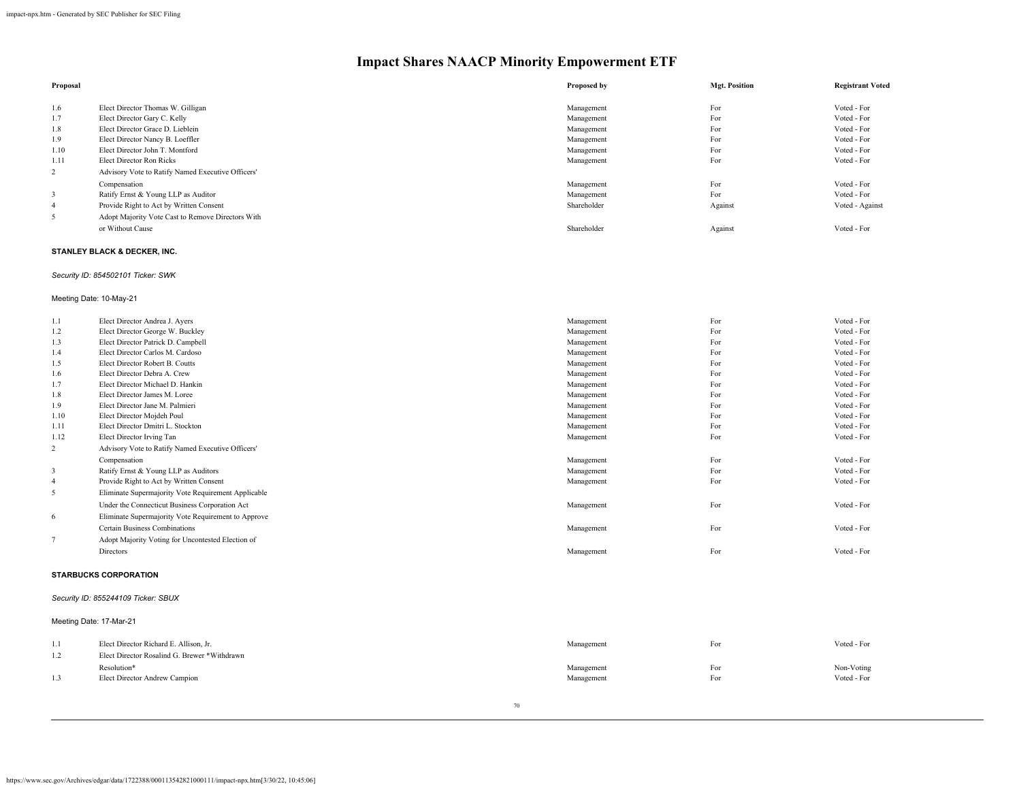| Proposal |                                                   | Proposed by | <b>Mgt. Position</b> | <b>Registrant Voted</b> |
|----------|---------------------------------------------------|-------------|----------------------|-------------------------|
|          |                                                   |             |                      |                         |
| 1.6      | Elect Director Thomas W. Gilligan                 | Management  | For                  | Voted - For             |
| 1.7      | Elect Director Gary C. Kelly                      | Management  | For                  | Voted - For             |
| 1.8      | Elect Director Grace D. Lieblein                  | Management  | For                  | Voted - For             |
| 1.9      | Elect Director Nancy B. Loeffler                  | Management  | For                  | Voted - For             |
| 1.10     | Elect Director John T. Montford                   | Management  | For                  | Voted - For             |
| 1.11     | Elect Director Ron Ricks                          | Management  | For                  | Voted - For             |
| 2        | Advisory Vote to Ratify Named Executive Officers' |             |                      |                         |
|          | Compensation                                      | Management  | For                  | Voted - For             |
|          | Ratify Ernst & Young LLP as Auditor               | Management  | For                  | Voted - For             |
| 4        | Provide Right to Act by Written Consent           | Shareholder | Against              | Voted - Against         |
| 5        | Adopt Majority Vote Cast to Remove Directors With |             |                      |                         |
|          | or Without Cause                                  | Shareholder | Against              | Voted - For             |

## **STANLEY BLACK & DECKER, INC.**

## *Security ID: 854502101 Ticker: SWK*

## Meeting Date: 10-May-21

| 1.1            | Elect Director Andrea J. Ayers                      | Management | For | Voted - For |
|----------------|-----------------------------------------------------|------------|-----|-------------|
| 1.2            | Elect Director George W. Buckley                    | Management | For | Voted - For |
| 1.3            | Elect Director Patrick D. Campbell                  | Management | For | Voted - For |
| 1.4            | Elect Director Carlos M. Cardoso                    | Management | For | Voted - For |
| 1.5            | Elect Director Robert B. Coutts                     | Management | For | Voted - For |
| 1.6            | Elect Director Debra A. Crew                        | Management | For | Voted - For |
| 1.7            | Elect Director Michael D. Hankin                    | Management | For | Voted - For |
| 1.8            | Elect Director James M. Loree                       | Management | For | Voted - For |
| 1.9            | Elect Director Jane M. Palmieri                     | Management | For | Voted - For |
| 1.10           | Elect Director Mojdeh Poul                          | Management | For | Voted - For |
| 1.11           | Elect Director Dmitri L. Stockton                   | Management | For | Voted - For |
| 1.12           | Elect Director Irving Tan                           | Management | For | Voted - For |
| $\overline{2}$ | Advisory Vote to Ratify Named Executive Officers'   |            |     |             |
|                | Compensation                                        | Management | For | Voted - For |
| 3              | Ratify Ernst & Young LLP as Auditors                | Management | For | Voted - For |
| $\overline{4}$ | Provide Right to Act by Written Consent             | Management | For | Voted - For |
| 5              | Eliminate Supermajority Vote Requirement Applicable |            |     |             |
|                | Under the Connecticut Business Corporation Act      | Management | For | Voted - For |
| 6              | Eliminate Supermajority Vote Requirement to Approve |            |     |             |
|                | Certain Business Combinations                       | Management | For | Voted - For |
|                | Adopt Majority Voting for Uncontested Election of   |            |     |             |
|                | Directors                                           | Management | For | Voted - For |
|                |                                                     |            |     |             |

## **STARBUCKS CORPORATION**

#### *Security ID: 855244109 Ticker: SBUX*

## Meeting Date: 17-Mar-21

| 1.1<br>$\overline{1}$ . | Elect Director Richard E. Allison, Jr.<br>Elect Director Rosalind G. Brewer *Withdrawn | Management | For | Voted - For |
|-------------------------|----------------------------------------------------------------------------------------|------------|-----|-------------|
| 1.3                     | Resolution*                                                                            | Management | For | Non-Voting  |
|                         | Elect Director Andrew Campion                                                          | Management | For | Voted - For |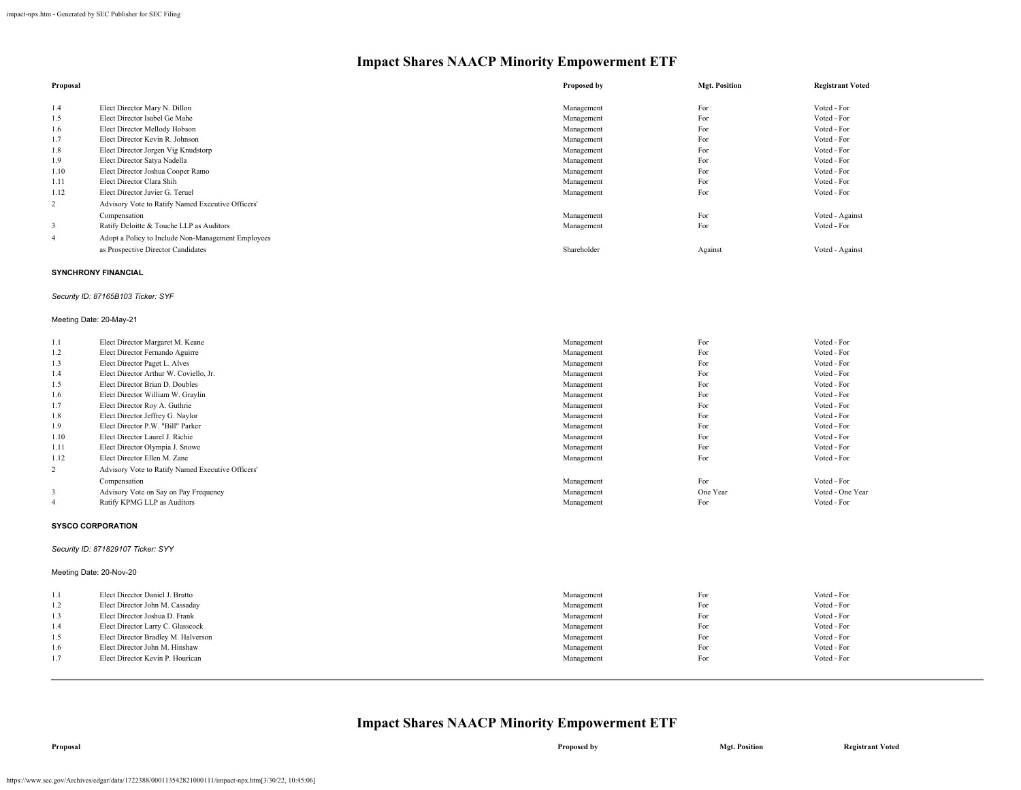| Proposal       |                                                    | Proposed by | <b>Mgt. Position</b> | <b>Registrant Voted</b> |
|----------------|----------------------------------------------------|-------------|----------------------|-------------------------|
| 1.4            | Elect Director Mary N. Dillon                      | Management  | For                  | Voted - For             |
| 1.5            | Elect Director Isabel Ge Mahe                      | Management  | For                  | Voted - For             |
| 1.6            | Elect Director Mellody Hobson                      | Management  | For                  | Voted - For             |
| 1.7            | Elect Director Kevin R. Johnson                    | Management  | For                  | Voted - For             |
| 1.8            | Elect Director Jorgen Vig Knudstorp                | Management  | For                  | Voted - For             |
| 1.9            | Elect Director Satya Nadella                       | Management  | For                  | Voted - For             |
| 1.10           | Elect Director Joshua Cooper Ramo                  | Management  | For                  | Voted - For             |
| 1.11           | Elect Director Clara Shih                          | Management  | For                  | Voted - For             |
| 1.12           | Elect Director Javier G. Teruel                    | Management  | For                  | Voted - For             |
| $\overline{2}$ | Advisory Vote to Ratify Named Executive Officers'  |             |                      |                         |
|                | Compensation                                       | Management  | For                  | Voted - Against         |
| 3              | Ratify Deloitte & Touche LLP as Auditors           | Management  | For                  | Voted - For             |
| 4              | Adopt a Policy to Include Non-Management Employees |             |                      |                         |
|                | as Prospective Director Candidates                 | Shareholder | Against              | Voted - Against         |

#### **SYNCHRONY FINANCIAL**

## *Security ID: 87165B103 Ticker: SYF*

#### Meeting Date: 20-May-21

| 1.1            | Elect Director Margaret M. Keane                  | Management | For      | Voted - For      |
|----------------|---------------------------------------------------|------------|----------|------------------|
| 1.2            | Elect Director Fernando Aguirre                   | Management | For      | Voted - For      |
| 1.3            | Elect Director Paget L. Alves                     | Management | For      | Voted - For      |
| 1.4            | Elect Director Arthur W. Coviello, Jr.            | Management | For      | Voted - For      |
| 1.5            | Elect Director Brian D. Doubles                   | Management | For      | Voted - For      |
| 1.6            | Elect Director William W. Graylin                 | Management | For      | Voted - For      |
| 1.7            | Elect Director Roy A. Guthrie                     | Management | For      | Voted - For      |
| 1.8            | Elect Director Jeffrey G. Naylor                  | Management | For      | Voted - For      |
| 1.9            | Elect Director P.W. "Bill" Parker                 | Management | For      | Voted - For      |
| 1.10           | Elect Director Laurel J. Richie                   | Management | For      | Voted - For      |
| 1.11           | Elect Director Olympia J. Snowe                   | Management | For      | Voted - For      |
| 1.12           | Elect Director Ellen M. Zane                      | Management | For      | Voted - For      |
| 2              | Advisory Vote to Ratify Named Executive Officers' |            |          |                  |
|                | Compensation                                      | Management | For      | Voted - For      |
| 3              | Advisory Vote on Say on Pay Frequency             | Management | One Year | Voted - One Year |
| $\overline{4}$ | Ratify KPMG LLP as Auditors                       | Management | For      | Voted - For      |

## **SYSCO CORPORATION**

## *Security ID: 871829107 Ticker: SYY*

## Meeting Date: 20-Nov-20

| -1.1 | Elect Director Daniel J. Brutto     | Management | For | Voted - For |
|------|-------------------------------------|------------|-----|-------------|
| 1.2  | Elect Director John M. Cassaday     | Management | For | Voted - For |
| 1.3  | Elect Director Joshua D. Frank      | Management | For | Voted - For |
| 1.4  | Elect Director Larry C. Glasscock   | Management | For | Voted - For |
| 1.5  | Elect Director Bradley M. Halverson | Management | For | Voted - For |
| 1.6  | Elect Director John M. Hinshaw      | Management | For | Voted - For |
| 1.7  | Elect Director Kevin P. Hourican    | Management | For | Voted - For |
|      |                                     |            |     |             |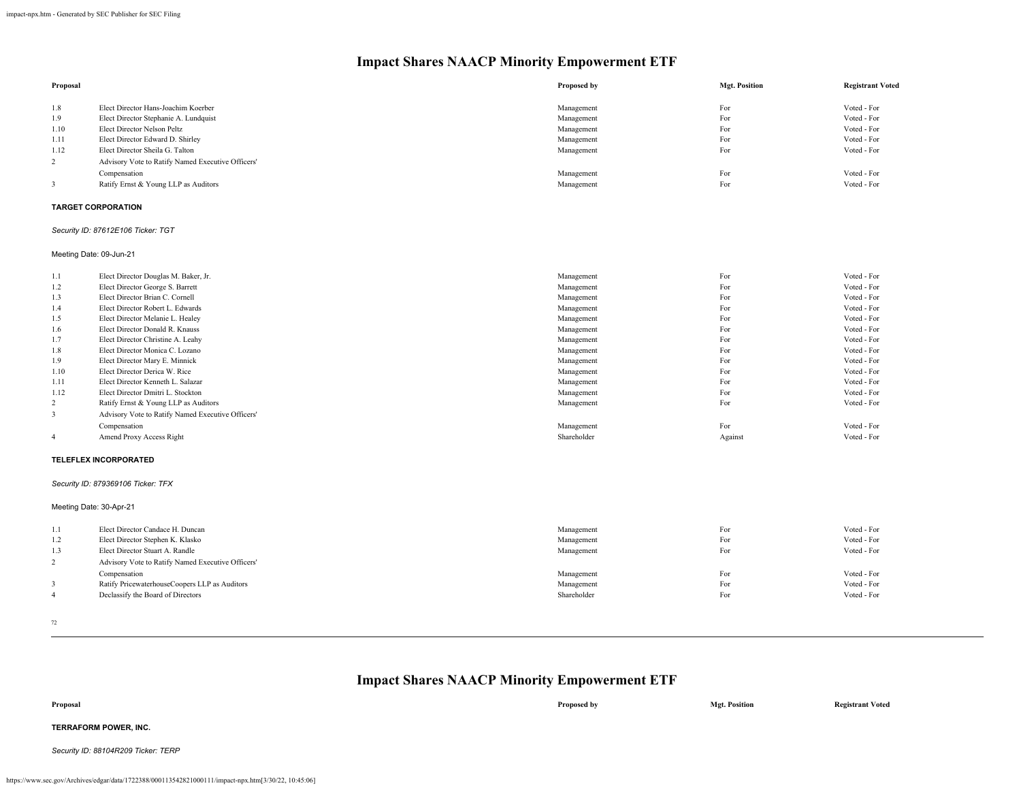| Proposal |                                                   | Proposed by | <b>Mgt. Position</b> | <b>Registrant Voted</b> |
|----------|---------------------------------------------------|-------------|----------------------|-------------------------|
| 1.8      | Elect Director Hans-Joachim Koerber               | Management  | For                  | Voted - For             |
| 1.9      | Elect Director Stephanie A. Lundquist             | Management  | For                  | Voted - For             |
| 1.10     | Elect Director Nelson Peltz                       | Management  | For                  | Voted - For             |
| 1.11     | Elect Director Edward D. Shirley                  | Management  | For                  | Voted - For             |
| 1.12     | Elect Director Sheila G. Talton                   | Management  | For                  | Voted - For             |
| 2        | Advisory Vote to Ratify Named Executive Officers' |             |                      |                         |
|          | Compensation                                      | Management  | For                  | Voted - For             |
|          | Ratify Ernst & Young LLP as Auditors              | Management  | For                  | Voted - For             |
|          |                                                   |             |                      |                         |

### **TARGET CORPORATION**

#### *Security ID: 87612E106 Ticker: TGT*

Meeting Date: 09-Jun-21

| 1.1            | Elect Director Douglas M. Baker, Jr.              | Management  | For     | Voted - For |
|----------------|---------------------------------------------------|-------------|---------|-------------|
| 1.2            | Elect Director George S. Barrett                  | Management  | For     | Voted - For |
| 1.3            | Elect Director Brian C. Cornell                   | Management  | For     | Voted - For |
| 1.4            | Elect Director Robert L. Edwards                  | Management  | For     | Voted - For |
| 1.5            | Elect Director Melanie L. Healey                  | Management  | For     | Voted - For |
| 1.6            | Elect Director Donald R. Knauss                   | Management  | For     | Voted - For |
| 1.7            | Elect Director Christine A. Leahy                 | Management  | For     | Voted - For |
| 1.8            | Elect Director Monica C. Lozano                   | Management  | For     | Voted - For |
| 1.9            | Elect Director Mary E. Minnick                    | Management  | For     | Voted - For |
| 1.10           | Elect Director Derica W. Rice                     | Management  | For     | Voted - For |
| 1.11           | Elect Director Kenneth L. Salazar                 | Management  | For     | Voted - For |
| 1.12           | Elect Director Dmitri L. Stockton                 | Management  | For     | Voted - For |
| $\overline{2}$ | Ratify Ernst & Young LLP as Auditors              | Management  | For     | Voted - For |
| 3              | Advisory Vote to Ratify Named Executive Officers' |             |         |             |
|                | Compensation                                      | Management  | For     | Voted - For |
| $\overline{4}$ | Amend Proxy Access Right                          | Shareholder | Against | Voted - For |

#### **TELEFLEX INCORPORATED**

#### *Security ID: 879369106 Ticker: TFX*

Meeting Date: 30-Apr-21

| 1.1<br>1.2<br>1.3 | Elect Director Candace H. Duncan<br>Elect Director Stephen K. Klasko<br>Elect Director Stuart A. Randle<br>Advisory Vote to Ratify Named Executive Officers' | Management<br>Management<br>Management | For<br>For<br>For | Voted - For<br>Voted - For<br>Voted - For |
|-------------------|--------------------------------------------------------------------------------------------------------------------------------------------------------------|----------------------------------------|-------------------|-------------------------------------------|
|                   | Compensation                                                                                                                                                 | Management                             | For               | Voted - For                               |
|                   | Ratify PricewaterhouseCoopers LLP as Auditors                                                                                                                | Management                             | For               | Voted - For                               |
|                   | Declassify the Board of Directors                                                                                                                            | Shareholder                            | For               | Voted - For                               |

72

| Proposal                            | Proposed by | <b>Mgt. Position</b> | <b>Registrant Voted</b> |
|-------------------------------------|-------------|----------------------|-------------------------|
| TERRAFORM POWER, INC.               |             |                      |                         |
| Security ID: 88104R209 Ticker: TERP |             |                      |                         |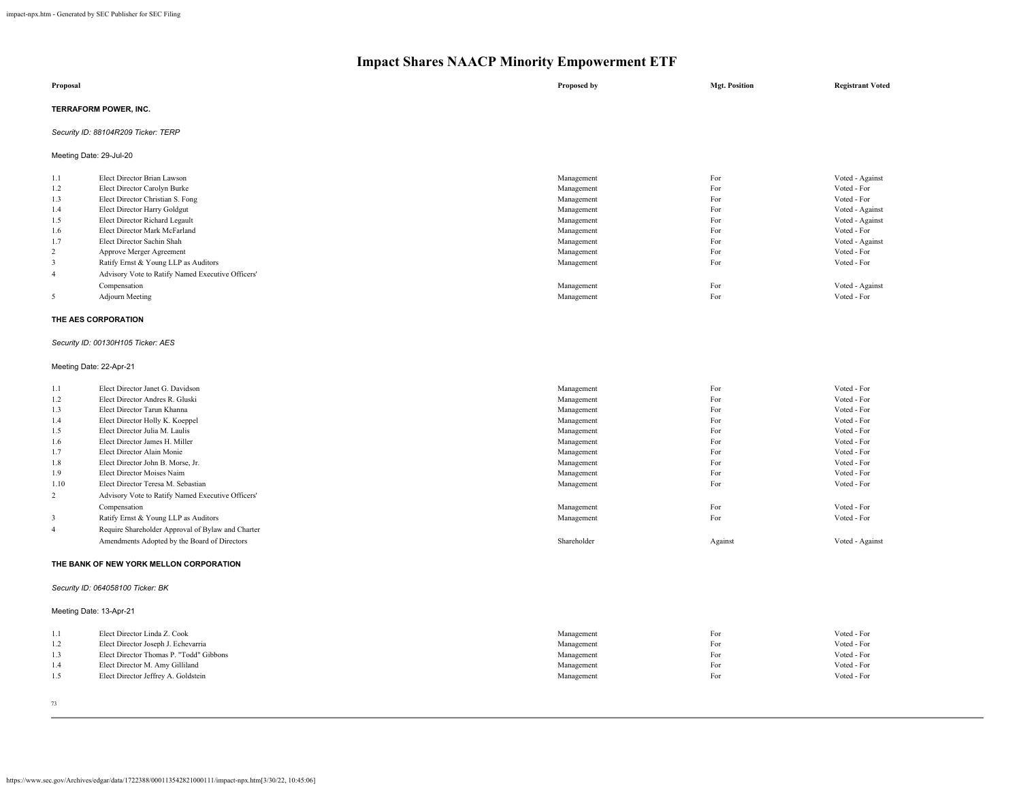| Proposal                            | Proposed by | <b>Mgt. Position</b> | <b>Registrant Voted</b> |
|-------------------------------------|-------------|----------------------|-------------------------|
| TERRAFORM POWER, INC.               |             |                      |                         |
| Security ID: 88104R209 Ticker: TERP |             |                      |                         |
| Meeting Date: 29-Jul-20             |             |                      |                         |

| 1.1            | Elect Director Brian Lawson                       | Management | For | Voted - Against |
|----------------|---------------------------------------------------|------------|-----|-----------------|
| 1.2            | Elect Director Carolyn Burke                      | Management | For | Voted - For     |
| 1.3            | Elect Director Christian S. Fong                  | Management | For | Voted - For     |
| 1.4            | Elect Director Harry Goldgut                      | Management | For | Voted - Against |
| 1.5            | Elect Director Richard Legault                    | Management | For | Voted - Against |
| 1.6            | Elect Director Mark McFarland                     | Management | For | Voted - For     |
| 1.7            | Elect Director Sachin Shah                        | Management | For | Voted - Against |
| 2              | Approve Merger Agreement                          | Management | For | Voted - For     |
|                | Ratify Ernst & Young LLP as Auditors              | Management | For | Voted - For     |
| $\overline{4}$ | Advisory Vote to Ratify Named Executive Officers' |            |     |                 |
|                | Compensation                                      | Management | For | Voted - Against |
|                | Adjourn Meeting                                   | Management | For | Voted - For     |
|                |                                                   |            |     |                 |

#### **THE AES CORPORATION**

## *Security ID: 00130H105 Ticker: AES*

#### Meeting Date: 22-Apr-21

| 1.1            | Elect Director Janet G. Davidson                  | Management  | For     | Voted - For     |
|----------------|---------------------------------------------------|-------------|---------|-----------------|
| 1.2            | Elect Director Andres R. Gluski                   | Management  | For     | Voted - For     |
| 1.3            | Elect Director Tarun Khanna                       | Management  | For     | Voted - For     |
| 1.4            | Elect Director Holly K. Koeppel                   | Management  | For     | Voted - For     |
| 1.5            | Elect Director Julia M. Laulis                    | Management  | For     | Voted - For     |
| 1.6            | Elect Director James H. Miller                    | Management  | For     | Voted - For     |
| 1.7            | Elect Director Alain Monie                        | Management  | For     | Voted - For     |
| 1.8            | Elect Director John B. Morse, Jr.                 | Management  | For     | Voted - For     |
| 1.9            | Elect Director Moises Naim                        | Management  | For     | Voted - For     |
| 1.10           | Elect Director Teresa M. Sebastian                | Management  | For     | Voted - For     |
| 2              | Advisory Vote to Ratify Named Executive Officers' |             |         |                 |
|                | Compensation                                      | Management  | For     | Voted - For     |
|                | Ratify Ernst & Young LLP as Auditors              | Management  | For     | Voted - For     |
| $\overline{4}$ | Require Shareholder Approval of Bylaw and Charter |             |         |                 |
|                | Amendments Adopted by the Board of Directors      | Shareholder | Against | Voted - Against |
|                |                                                   |             |         |                 |

#### **THE BANK OF NEW YORK MELLON CORPORATION**

## *Security ID: 064058100 Ticker: BK*

## Meeting Date: 13-Apr-21

|     | Elect Director Linda Z. Cook            | Management | For | Voted - For |
|-----|-----------------------------------------|------------|-----|-------------|
| 1.2 | Elect Director Joseph J. Echevarria     | Management | For | Voted - For |
| 1.3 | Elect Director Thomas P. "Todd" Gibbons | Management | For | Voted - For |
| 1.4 | Elect Director M. Amy Gilliland         | Management | For | Voted - For |
| 1.5 | Elect Director Jeffrey A. Goldstein     | Management | For | Voted - For |
|     |                                         |            |     |             |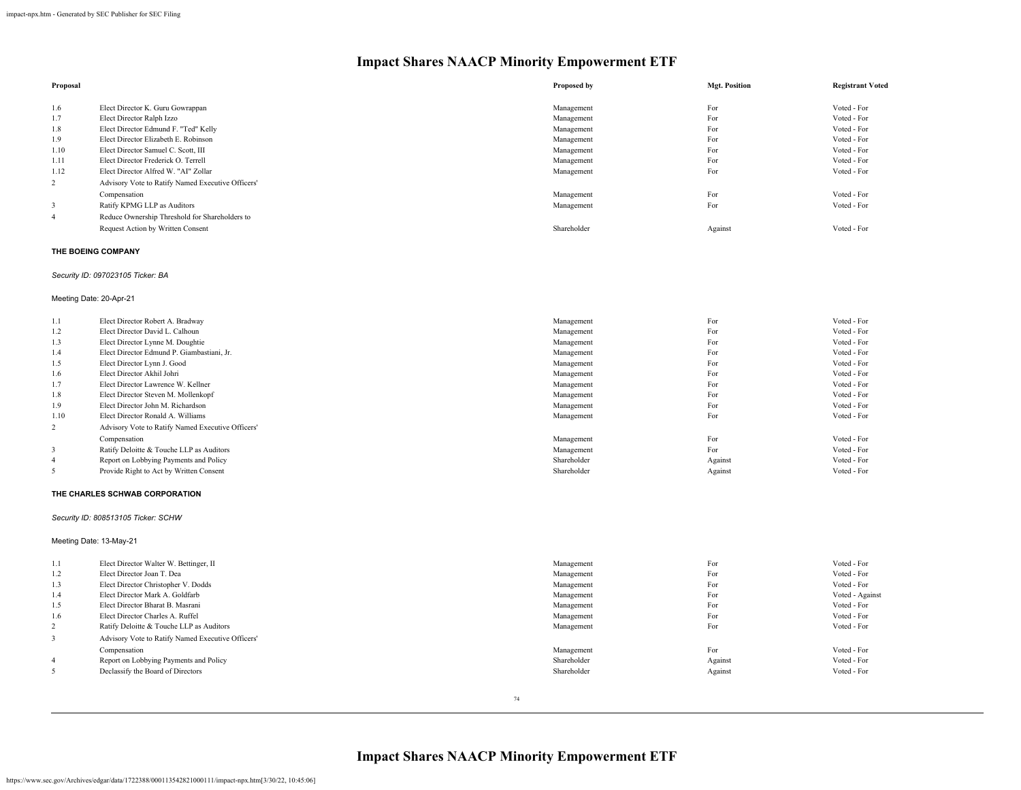| Proposal       |                                                   | Proposed by | <b>Mgt. Position</b> | <b>Registrant Voted</b> |
|----------------|---------------------------------------------------|-------------|----------------------|-------------------------|
| 1.6            | Elect Director K. Guru Gowrappan                  | Management  | For                  | Voted - For             |
| 1.7            | Elect Director Ralph Izzo                         | Management  | For                  | Voted - For             |
| 1.8            | Elect Director Edmund F. "Ted" Kelly              | Management  | For                  | Voted - For             |
| 1.9            | Elect Director Elizabeth E. Robinson              | Management  | For                  | Voted - For             |
| 1.10           | Elect Director Samuel C. Scott, III               | Management  | For                  | Voted - For             |
| 1.11           | Elect Director Frederick O. Terrell               | Management  | For                  | Voted - For             |
| 1.12           | Elect Director Alfred W. "AI" Zollar              | Management  | For                  | Voted - For             |
| $\overline{2}$ | Advisory Vote to Ratify Named Executive Officers' |             |                      |                         |
|                | Compensation                                      | Management  | For                  | Voted - For             |
|                | Ratify KPMG LLP as Auditors                       | Management  | For                  | Voted - For             |
| 4              | Reduce Ownership Threshold for Shareholders to    |             |                      |                         |
|                | Request Action by Written Consent                 | Shareholder | Against              | Voted - For             |

## **THE BOEING COMPANY**

## *Security ID: 097023105 Ticker: BA*

## Meeting Date: 20-Apr-21

| 1.1            | Elect Director Robert A. Bradway                  | Management  | For     | Voted - For |
|----------------|---------------------------------------------------|-------------|---------|-------------|
| 1.2            | Elect Director David L. Calhoun                   | Management  | For     | Voted - For |
| 1.3            | Elect Director Lynne M. Doughtie                  | Management  | For     | Voted - For |
| 1.4            | Elect Director Edmund P. Giambastiani, Jr.        | Management  | For     | Voted - For |
| 1.5            | Elect Director Lynn J. Good                       | Management  | For     | Voted - For |
| 1.6            | Elect Director Akhil Johri                        | Management  | For     | Voted - For |
| 1.7            | Elect Director Lawrence W. Kellner                | Management  | For     | Voted - For |
| 1.8            | Elect Director Steven M. Mollenkopf               | Management  | For     | Voted - For |
| 1.9            | Elect Director John M. Richardson                 | Management  | For     | Voted - For |
| 1.10           | Elect Director Ronald A. Williams                 | Management  | For     | Voted - For |
| 2              | Advisory Vote to Ratify Named Executive Officers' |             |         |             |
|                | Compensation                                      | Management  | For     | Voted - For |
| $\overline{3}$ | Ratify Deloitte & Touche LLP as Auditors          | Management  | For     | Voted - For |
| $\overline{4}$ | Report on Lobbying Payments and Policy            | Shareholder | Against | Voted - For |
|                | Provide Right to Act by Written Consent           | Shareholder | Against | Voted - For |

## **THE CHARLES SCHWAB CORPORATION**

## *Security ID: 808513105 Ticker: SCHW*

## Meeting Date: 13-May-21

| 1.1            | Elect Director Walter W. Bettinger, II            | Management  | For     | Voted - For     |
|----------------|---------------------------------------------------|-------------|---------|-----------------|
| 1.2            | Elect Director Joan T. Dea                        | Management  | For     | Voted - For     |
| 1.3            | Elect Director Christopher V. Dodds               | Management  | For     | Voted - For     |
| 1.4            | Elect Director Mark A. Goldfarb                   | Management  | For     | Voted - Against |
| 1.5            | Elect Director Bharat B. Masrani                  | Management  | For     | Voted - For     |
| 1.6            | Elect Director Charles A. Ruffel                  | Management  | For     | Voted - For     |
| $\overline{2}$ | Ratify Deloitte & Touche LLP as Auditors          | Management  | For     | Voted - For     |
| 3              | Advisory Vote to Ratify Named Executive Officers' |             |         |                 |
|                | Compensation                                      | Management  | For     | Voted - For     |
| $\overline{4}$ | Report on Lobbying Payments and Policy            | Shareholder | Against | Voted - For     |
| 5              | Declassify the Board of Directors                 | Shareholder | Against | Voted - For     |
|                |                                                   |             |         |                 |

**Impact Shares NAACP Minority Empowerment ETF**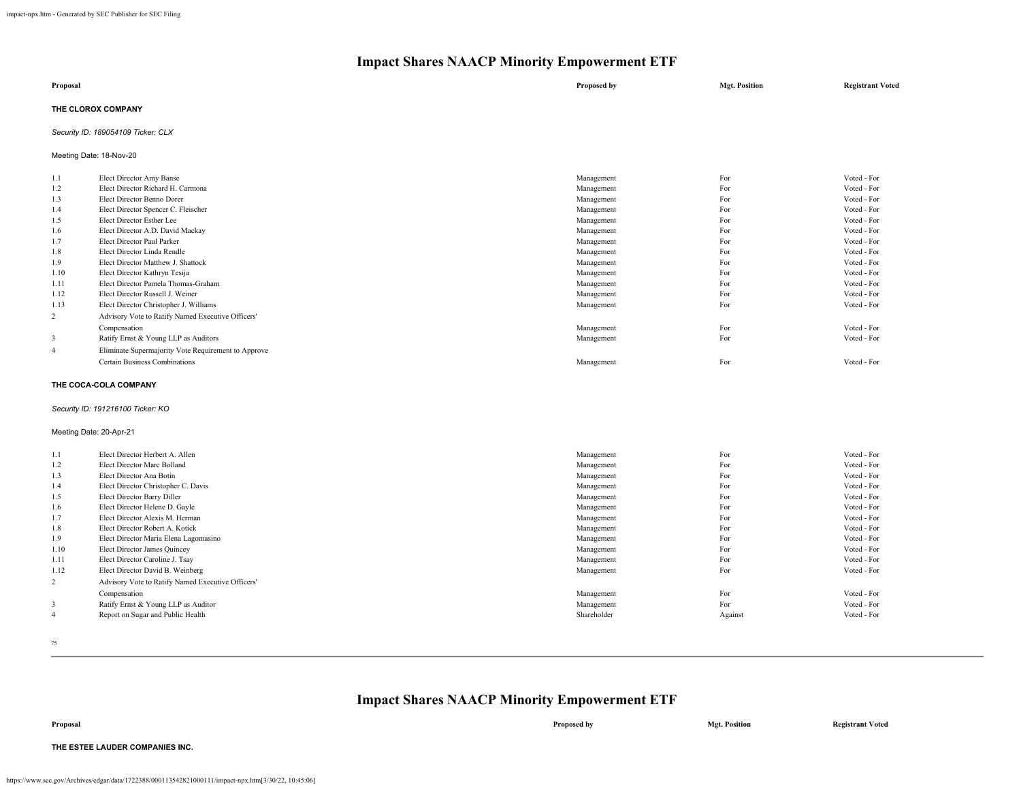| Proposal           | Proposed by | <b>Mgt. Position</b> | <b>Registrant Voted</b> |
|--------------------|-------------|----------------------|-------------------------|
| THE CLOROX COMPANY |             |                      |                         |

## *Security ID: 189054109 Ticker: CLX*

Meeting Date: 18-Nov-20

| Voted - For<br>Voted - For<br>Voted - For<br>Voted - For |
|----------------------------------------------------------|
|                                                          |
|                                                          |
|                                                          |
|                                                          |
| Voted - For                                              |
| Voted - For                                              |
| Voted - For                                              |
| Voted - For                                              |
| Voted - For                                              |
| Voted - For                                              |
| Voted - For                                              |
| Voted - For                                              |
| Voted - For                                              |
|                                                          |
| Voted - For                                              |
| Voted - For                                              |
|                                                          |
| Voted - For                                              |
|                                                          |

#### **THE COCA-COLA COMPANY**

#### *Security ID: 191216100 Ticker: KO*

#### Meeting Date: 20-Apr-21

| 1.1            | Elect Director Herbert A. Allen                   | Management  | For     | Voted - For |
|----------------|---------------------------------------------------|-------------|---------|-------------|
| 1.2            | Elect Director Marc Bolland                       | Management  | For     | Voted - For |
| 1.3            | Elect Director Ana Botin                          | Management  | For     | Voted - For |
| 1.4            | Elect Director Christopher C. Davis               | Management  | For     | Voted - For |
| 1.5            | Elect Director Barry Diller                       | Management  | For     | Voted - For |
| 1.6            | Elect Director Helene D. Gayle                    | Management  | For     | Voted - For |
| 1.7            | Elect Director Alexis M. Herman                   | Management  | For     | Voted - For |
| 1.8            | Elect Director Robert A. Kotick                   | Management  | For     | Voted - For |
| 1.9            | Elect Director Maria Elena Lagomasino             | Management  | For     | Voted - For |
| 1.10           | Elect Director James Quincey                      | Management  | For     | Voted - For |
| 1.11           | Elect Director Caroline J. Tsay                   | Management  | For     | Voted - For |
| 1.12           | Elect Director David B. Weinberg                  | Management  | For     | Voted - For |
| 2              | Advisory Vote to Ratify Named Executive Officers' |             |         |             |
|                | Compensation                                      | Management  | For     | Voted - For |
| 3              | Ratify Ernst & Young LLP as Auditor               | Management  | For     | Voted - For |
| $\overline{4}$ | Report on Sugar and Public Health                 | Shareholder | Against | Voted - For |

75

## **Impact Shares NAACP Minority Empowerment ETF**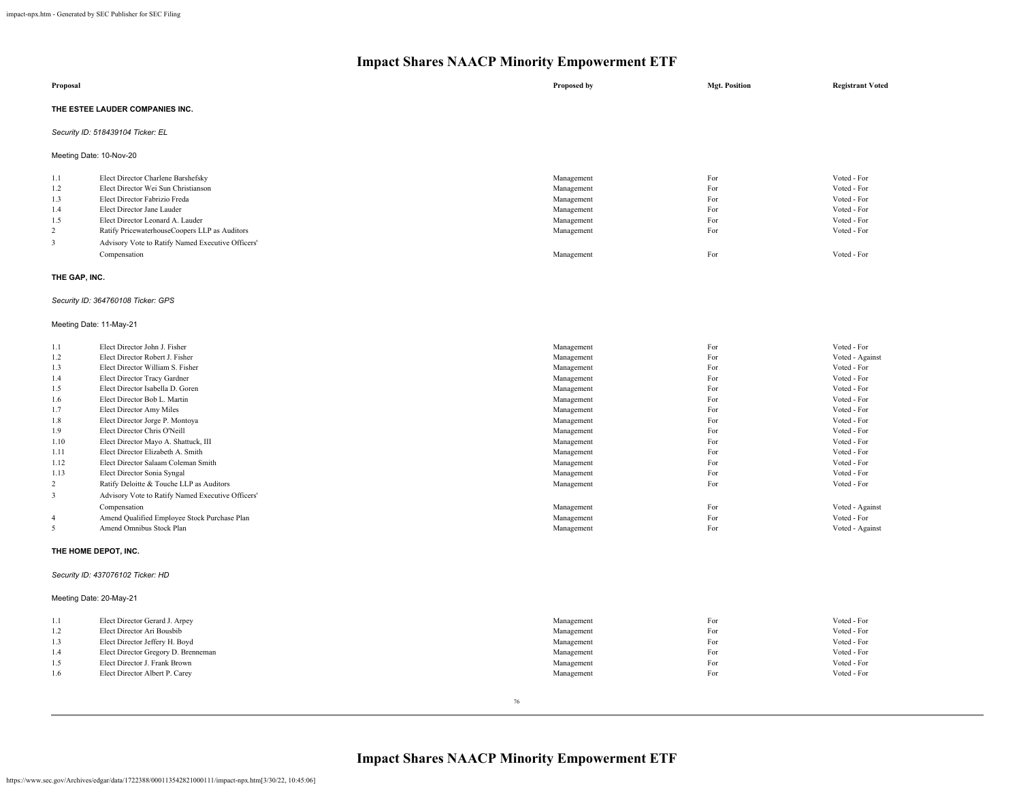|                                                        | $-$<br>$\overline{\mathbf{v}}$                                                                                                                                                                                                                                                                     |                                                                                                |                                               |                                                                                                       |  |  |
|--------------------------------------------------------|----------------------------------------------------------------------------------------------------------------------------------------------------------------------------------------------------------------------------------------------------------------------------------------------------|------------------------------------------------------------------------------------------------|-----------------------------------------------|-------------------------------------------------------------------------------------------------------|--|--|
| Proposal                                               |                                                                                                                                                                                                                                                                                                    | Proposed by                                                                                    | <b>Mgt. Position</b>                          | <b>Registrant Voted</b>                                                                               |  |  |
|                                                        | THE ESTEE LAUDER COMPANIES INC.                                                                                                                                                                                                                                                                    |                                                                                                |                                               |                                                                                                       |  |  |
|                                                        | Security ID: 518439104 Ticker: EL                                                                                                                                                                                                                                                                  |                                                                                                |                                               |                                                                                                       |  |  |
|                                                        | Meeting Date: 10-Nov-20                                                                                                                                                                                                                                                                            |                                                                                                |                                               |                                                                                                       |  |  |
| 1.1<br>1.2<br>1.3<br>1.4<br>1.5<br>$\overline{c}$<br>3 | Elect Director Charlene Barshefsky<br>Elect Director Wei Sun Christianson<br>Elect Director Fabrizio Freda<br>Elect Director Jane Lauder<br>Elect Director Leonard A. Lauder<br>Ratify PricewaterhouseCoopers LLP as Auditors<br>Advisory Vote to Ratify Named Executive Officers'<br>Compensation | Management<br>Management<br>Management<br>Management<br>Management<br>Management<br>Management | For<br>For<br>For<br>For<br>For<br>For<br>For | Voted - For<br>Voted - For<br>Voted - For<br>Voted - For<br>Voted - For<br>Voted - For<br>Voted - For |  |  |
| THE GAP, INC.                                          |                                                                                                                                                                                                                                                                                                    |                                                                                                |                                               |                                                                                                       |  |  |
|                                                        | Security ID: 364760108 Ticker: GPS                                                                                                                                                                                                                                                                 |                                                                                                |                                               |                                                                                                       |  |  |
|                                                        | Meeting Date: 11-May-21                                                                                                                                                                                                                                                                            |                                                                                                |                                               |                                                                                                       |  |  |
| 1.1                                                    | Elect Director John J. Fisher                                                                                                                                                                                                                                                                      | Management                                                                                     | For                                           | Voted - For                                                                                           |  |  |

| 1.2            | Elect Director Robert J. Fisher                   | Management | For | Voted - Against |
|----------------|---------------------------------------------------|------------|-----|-----------------|
| 1.3            | Elect Director William S. Fisher                  | Management | For | Voted - For     |
| 1.4            | Elect Director Tracy Gardner                      | Management | For | Voted - For     |
| 1.5            | Elect Director Isabella D. Goren                  | Management | For | Voted - For     |
| 1.6            | Elect Director Bob L. Martin                      | Management | For | Voted - For     |
| 1.7            | Elect Director Amy Miles                          | Management | For | Voted - For     |
| 1.8            | Elect Director Jorge P. Montoya                   | Management | For | Voted - For     |
| 1.9            | Elect Director Chris O'Neill                      | Management | For | Voted - For     |
| 1.10           | Elect Director Mayo A. Shattuck, III              | Management | For | Voted - For     |
| 1.11           | Elect Director Elizabeth A. Smith                 | Management | For | Voted - For     |
| 1.12           | Elect Director Salaam Coleman Smith               | Management | For | Voted - For     |
| 1.13           | Elect Director Sonia Syngal                       | Management | For | Voted - For     |
| $\overline{c}$ | Ratify Deloitte & Touche LLP as Auditors          | Management | For | Voted - For     |
| 3              | Advisory Vote to Ratify Named Executive Officers' |            |     |                 |
|                | Compensation                                      | Management | For | Voted - Against |
| $\overline{4}$ | Amend Qualified Employee Stock Purchase Plan      | Management | For | Voted - For     |
|                | Amend Omnibus Stock Plan                          | Management | For | Voted - Against |
|                |                                                   |            |     |                 |

## **THE HOME DEPOT, INC.**

## *Security ID: 437076102 Ticker: HD*

## Meeting Date: 20-May-21

|     | Elect Director Gerard J. Arpey      | Management | For | Voted - For |
|-----|-------------------------------------|------------|-----|-------------|
| 1.2 | Elect Director Ari Bousbib          | Management | For | Voted - For |
| 1.3 | Elect Director Jeffery H. Boyd      | Management | For | Voted - For |
| 1.4 | Elect Director Gregory D. Brenneman | Management | For | Voted - For |
| 1.5 | Elect Director J. Frank Brown       | Management | For | Voted - For |
| 1.6 | Elect Director Albert P. Carey      | Management | For | Voted - For |
|     |                                     |            |     |             |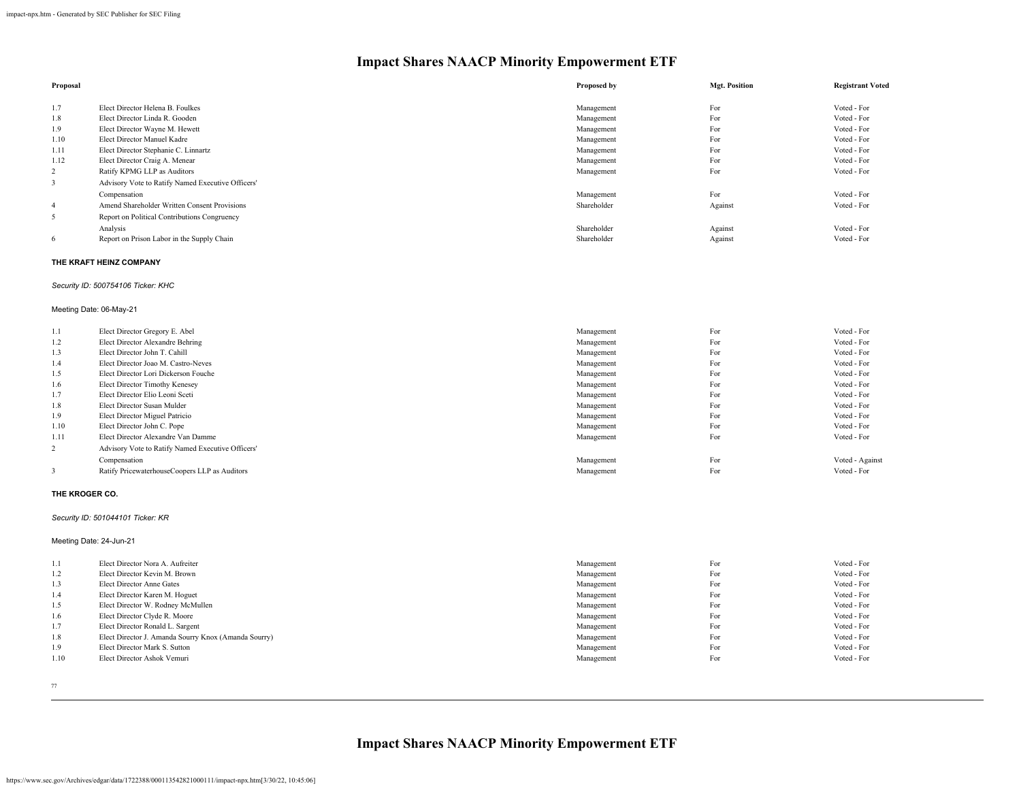| Proposal |                                                   | Proposed by | <b>Mgt. Position</b> | <b>Registrant Voted</b> |
|----------|---------------------------------------------------|-------------|----------------------|-------------------------|
|          |                                                   |             |                      |                         |
| 1.7      | Elect Director Helena B. Foulkes                  | Management  | For                  | Voted - For             |
| 1.8      | Elect Director Linda R. Gooden                    | Management  | For                  | Voted - For             |
| 1.9      | Elect Director Wayne M. Hewett                    | Management  | For                  | Voted - For             |
| 1.10     | Elect Director Manuel Kadre                       | Management  | For                  | Voted - For             |
| 1.11     | Elect Director Stephanie C. Linnartz              | Management  | For                  | Voted - For             |
| 1.12     | Elect Director Craig A. Menear                    | Management  | For                  | Voted - For             |
| 2        | Ratify KPMG LLP as Auditors                       | Management  | For                  | Voted - For             |
| 3        | Advisory Vote to Ratify Named Executive Officers' |             |                      |                         |
|          | Compensation                                      | Management  | For                  | Voted - For             |
| -4       | Amend Shareholder Written Consent Provisions      | Shareholder | Against              | Voted - For             |
| 5        | Report on Political Contributions Congruency      |             |                      |                         |
|          | Analysis                                          | Shareholder | Against              | Voted - For             |
| 6        | Report on Prison Labor in the Supply Chain        | Shareholder | Against              | Voted - For             |

## **THE KRAFT HEINZ COMPANY**

## *Security ID: 500754106 Ticker: KHC*

## Meeting Date: 06-May-21

| 1.1            | Elect Director Gregory E. Abel                    | Management | For | Voted - For     |
|----------------|---------------------------------------------------|------------|-----|-----------------|
| 1.2            | Elect Director Alexandre Behring                  | Management | For | Voted - For     |
| 1.3            | Elect Director John T. Cahill                     | Management | For | Voted - For     |
| 1.4            | Elect Director Joao M. Castro-Neves               | Management | For | Voted - For     |
| 1.5            | Elect Director Lori Dickerson Fouche              | Management | For | Voted - For     |
| 1.6            | Elect Director Timothy Kenesey                    | Management | For | Voted - For     |
| 1.7            | Elect Director Elio Leoni Sceti                   | Management | For | Voted - For     |
| 1.8            | Elect Director Susan Mulder                       | Management | For | Voted - For     |
| 1.9            | Elect Director Miguel Patricio                    | Management | For | Voted - For     |
| 1.10           | Elect Director John C. Pope                       | Management | For | Voted - For     |
| 1.11           | Elect Director Alexandre Van Damme                | Management | For | Voted - For     |
| $\overline{c}$ | Advisory Vote to Ratify Named Executive Officers' |            |     |                 |
|                | Compensation                                      | Management | For | Voted - Against |
| 3              | Ratify PricewaterhouseCoopers LLP as Auditors     | Management | For | Voted - For     |
|                |                                                   |            |     |                 |

#### **THE KROGER CO.**

## *Security ID: 501044101 Ticker: KR*

Meeting Date: 24-Jun-21

| 1.1  | Elect Director Nora A. Aufreiter                     | Management | For | Voted - For |
|------|------------------------------------------------------|------------|-----|-------------|
| 1.2  | Elect Director Kevin M. Brown                        | Management | For | Voted - For |
| 1.3  | Elect Director Anne Gates                            | Management | For | Voted - For |
| 1.4  | Elect Director Karen M. Hoguet                       | Management | For | Voted - For |
| 1.5  | Elect Director W. Rodney McMullen                    | Management | For | Voted - For |
| 1.6  | Elect Director Clyde R. Moore                        | Management | For | Voted - For |
| 1.7  | Elect Director Ronald L. Sargent                     | Management | For | Voted - For |
| 1.8  | Elect Director J. Amanda Sourry Knox (Amanda Sourry) | Management | For | Voted - For |
| 1.9  | Elect Director Mark S. Sutton                        | Management | For | Voted - For |
| 1.10 | Elect Director Ashok Vemuri                          | Management | For | Voted - For |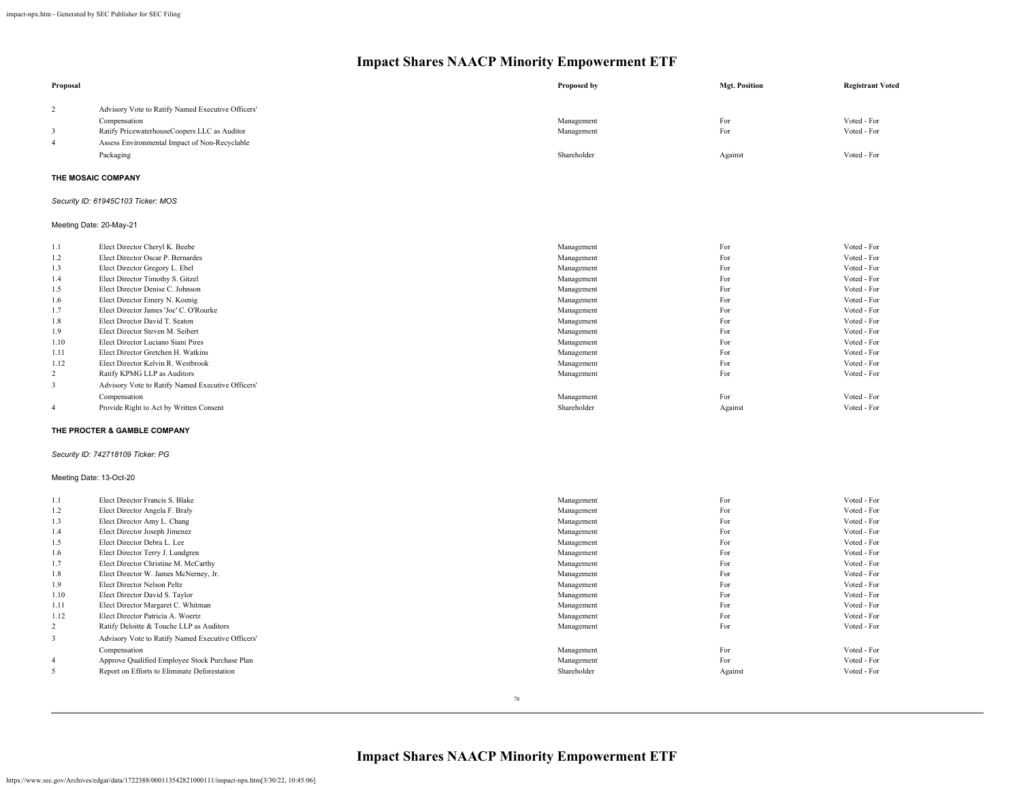| Proposal       |                                                              | Proposed by              | <b>Mgt. Position</b> | <b>Registrant Voted</b> |
|----------------|--------------------------------------------------------------|--------------------------|----------------------|-------------------------|
| 2              | Advisory Vote to Ratify Named Executive Officers'            |                          |                      |                         |
|                |                                                              |                          | For                  | Voted - For             |
| $\overline{3}$ | Compensation                                                 | Management               | For                  | Voted - For             |
|                | Ratify PricewaterhouseCoopers LLC as Auditor                 | Management               |                      |                         |
| $\overline{4}$ | Assess Environmental Impact of Non-Recyclable                |                          |                      |                         |
|                | Packaging                                                    | Shareholder              | Against              | Voted - For             |
|                | THE MOSAIC COMPANY                                           |                          |                      |                         |
|                | Security ID: 61945C103 Ticker: MOS                           |                          |                      |                         |
|                | Meeting Date: 20-May-21                                      |                          |                      |                         |
| 1.1            | Elect Director Cheryl K. Beebe                               | Management               | For                  | Voted - For             |
| 1.2            | Elect Director Oscar P. Bernardes                            | Management               | For                  | Voted - For             |
| 1.3            | Elect Director Gregory L. Ebel                               | Management               | For                  | Voted - For             |
| 1.4            | Elect Director Timothy S. Gitzel                             | Management               | For                  | Voted - For             |
| 1.5            | Elect Director Denise C. Johnson                             | Management               | For                  | Voted - For             |
| 1.6            | Elect Director Emery N. Koenig                               | Management               | For                  | Voted - For             |
| 1.7            | Elect Director James 'Joc' C. O'Rourke                       | Management               | For                  | Voted - For             |
| 1.8            | Elect Director David T. Seaton                               | Management               | For                  | Voted - For             |
| 1.9            | Elect Director Steven M. Seibert                             | Management               | For                  | Voted - For             |
| 1.10           | Elect Director Luciano Siani Pires                           | Management               | For                  | Voted - For             |
| 1.11           | Elect Director Gretchen H. Watkins                           | Management               | For                  | Voted - For             |
| 1.12           | Elect Director Kelvin R. Westbrook                           | Management               | For                  | Voted - For             |
| $\overline{c}$ | Ratify KPMG LLP as Auditors                                  | Management               | For                  | Voted - For             |
| 3              | Advisory Vote to Ratify Named Executive Officers'            |                          |                      |                         |
|                | Compensation                                                 | Management               | For                  | Voted - For             |
| $\overline{4}$ | Provide Right to Act by Written Consent                      | Shareholder              | Against              | Voted - For             |
|                | THE PROCTER & GAMBLE COMPANY                                 |                          |                      |                         |
|                | Security ID: 742718109 Ticker: PG                            |                          |                      |                         |
|                | Meeting Date: 13-Oct-20                                      |                          |                      |                         |
|                | Elect Director Francis S. Blake                              |                          | For                  | Voted - For             |
| 1.1<br>1.2     | Elect Director Angela F. Braly                               | Management<br>Management | For                  | Voted - For             |
|                |                                                              |                          | For                  | Voted - For             |
| 1.3<br>1.4     | Elect Director Amy L. Chang<br>Elect Director Joseph Jimenez | Management<br>Management | For                  | Voted - For             |
|                |                                                              |                          | For                  | Voted - For             |
| 1.5            | Elect Director Debra L. Lee                                  | Management               | For                  |                         |
| 1.6            | Elect Director Terry J. Lundgren                             | Management               |                      | Voted - For             |
| 1.7            | Elect Director Christine M. McCarthy                         | Management               | For                  | Voted - For             |
| 1.8            | Elect Director W. James McNerney, Jr.                        | Management               | For                  | Voted - For             |
| 1.9            | Elect Director Nelson Peltz                                  | Management               | For                  | Voted - For             |
| 1.10           | Elect Director David S. Taylor                               | Management               | For                  | Voted - For             |
| 1.11           | Elect Director Margaret C. Whitman                           | Management               | For                  | Voted - For             |
| 1.12           | Elect Director Patricia A. Woertz                            | Management               | For                  | Voted - For             |
| 2              | Ratify Deloitte & Touche LLP as Auditors                     | Management               | For                  | Voted - For             |
| 3              | Advisory Vote to Ratify Named Executive Officers'            |                          |                      |                         |
|                | Compensation                                                 | Management               | For                  | Voted - For             |
| $\overline{4}$ | Approve Qualified Employee Stock Purchase Plan               | Management               | For                  | Voted - For             |
| 5              | Report on Efforts to Eliminate Deforestation                 | Shareholder              | Against              | Voted - For             |
|                |                                                              |                          |                      |                         |

78

**Impact Shares NAACP Minority Empowerment ETF**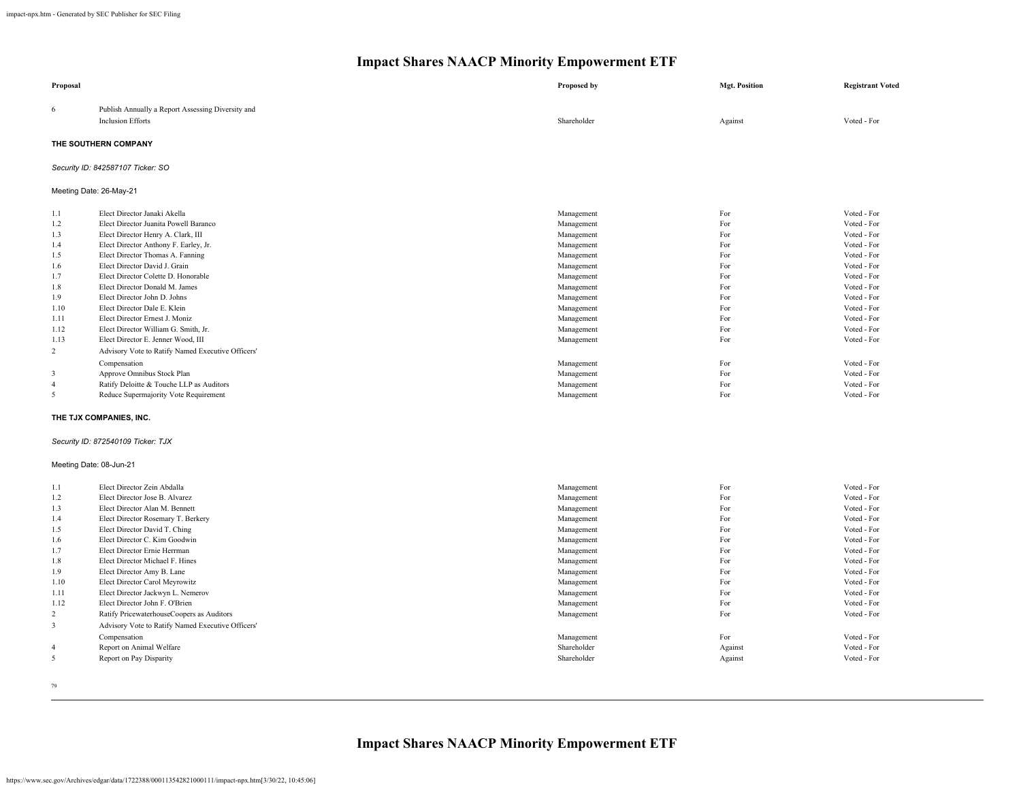| Proposal                |                                                                               | Proposed by | <b>Mgt. Position</b> | <b>Registrant Voted</b> |
|-------------------------|-------------------------------------------------------------------------------|-------------|----------------------|-------------------------|
| 6                       | Publish Annually a Report Assessing Diversity and<br><b>Inclusion Efforts</b> | Shareholder | Against              | Voted - For             |
|                         | THE SOUTHERN COMPANY                                                          |             |                      |                         |
|                         | Security ID: 842587107 Ticker: SO                                             |             |                      |                         |
|                         | Meeting Date: 26-May-21                                                       |             |                      |                         |
| 1.1                     | Elect Director Janaki Akella                                                  | Management  | For                  | Voted - For             |
| 1.2                     | Elect Director Juanita Powell Baranco                                         | Management  | For                  | Voted - For             |
| 1.3                     | Elect Director Henry A. Clark, III                                            | Management  | For                  | Voted - For             |
| 1.4                     | Elect Director Anthony F. Earley, Jr.                                         | Management  | For                  | Voted - For             |
| 1.5                     | Elect Director Thomas A. Fanning                                              | Management  | For                  | Voted - For             |
| 1.6                     | Elect Director David J. Grain                                                 | Management  | For                  | Voted - For             |
| 1.7                     | Elect Director Colette D. Honorable                                           | Management  | For                  | Voted - For             |
| 1.8                     | Elect Director Donald M. James                                                | Management  | For                  | Voted - For             |
| 1.9                     | Elect Director John D. Johns                                                  | Management  | For                  | Voted - For             |
| 1.10                    | Elect Director Dale E. Klein                                                  | Management  | For                  | Voted - For             |
| 1.11                    | Elect Director Ernest J. Moniz                                                | Management  | For                  | Voted - For             |
| 1.12                    | Elect Director William G. Smith, Jr.                                          | Management  | For                  | Voted - For             |
| 1.13                    | Elect Director E. Jenner Wood, III                                            | Management  | For                  | Voted - For             |
| 2                       | Advisory Vote to Ratify Named Executive Officers'                             |             |                      |                         |
|                         | Compensation                                                                  | Management  | For                  | Voted - For             |
| $\mathbf{3}$            | Approve Omnibus Stock Plan                                                    | Management  | For                  | Voted - For             |
| $\overline{4}$          | Ratify Deloitte & Touche LLP as Auditors                                      | Management  | For                  | Voted - For             |
| 5                       | Reduce Supermajority Vote Requirement                                         | Management  | For                  | Voted - For             |
|                         | THE TJX COMPANIES, INC.                                                       |             |                      |                         |
|                         | Security ID: 872540109 Ticker: TJX                                            |             |                      |                         |
| Meeting Date: 08-Jun-21 |                                                                               |             |                      |                         |
| 1.1                     | Elect Director Zein Abdalla                                                   | Management  | For                  | Voted - For             |
| 1.2                     | Elect Director Jose B. Alvarez                                                | Management  | For                  | Voted - For             |
| 1.3                     | Elect Director Alan M. Bennett                                                | Management  | For                  | Voted - For             |
| 1.4                     | Elect Director Rosemary T. Berkery                                            | Management  | For                  | Voted - For             |
| 1.5                     | Elect Director David T. Ching                                                 | Management  | For                  | Voted - For             |
| 1.6                     | Elect Director C. Kim Goodwin                                                 | Management  | For                  | Voted - For             |
| 1.7                     | Elect Director Ernie Herrman                                                  | Management  | For                  | Voted - For             |
| 1.8                     | Elect Director Michael F. Hines                                               | Management  | For                  | Voted - For             |
| 1.9                     | Elect Director Amy B. Lane                                                    | Management  | For                  | Voted - For             |
| 1.10                    | Elect Director Carol Meyrowitz                                                | Management  | For                  | Voted - For             |
| 1.11                    | Elect Director Jackwyn L. Nemerov                                             | Management  | For                  | Voted - For             |
| 1.12                    | Elect Director John F. O'Brien                                                | Management  | For                  | Voted - For             |
| $\overline{2}$          | Ratify PricewaterhouseCoopers as Auditors                                     | Management  | For                  | Voted - For             |
| 3                       | Advisory Vote to Ratify Named Executive Officers'                             |             |                      |                         |
|                         | Compensation                                                                  | Management  | For                  | Voted - For             |
| $\overline{4}$          | Report on Animal Welfare                                                      | Shareholder | Against              | Voted - For             |
| 5                       | Report on Pay Disparity                                                       | Shareholder | Against              | Voted - For             |
|                         |                                                                               |             |                      |                         |

79

**Impact Shares NAACP Minority Empowerment ETF**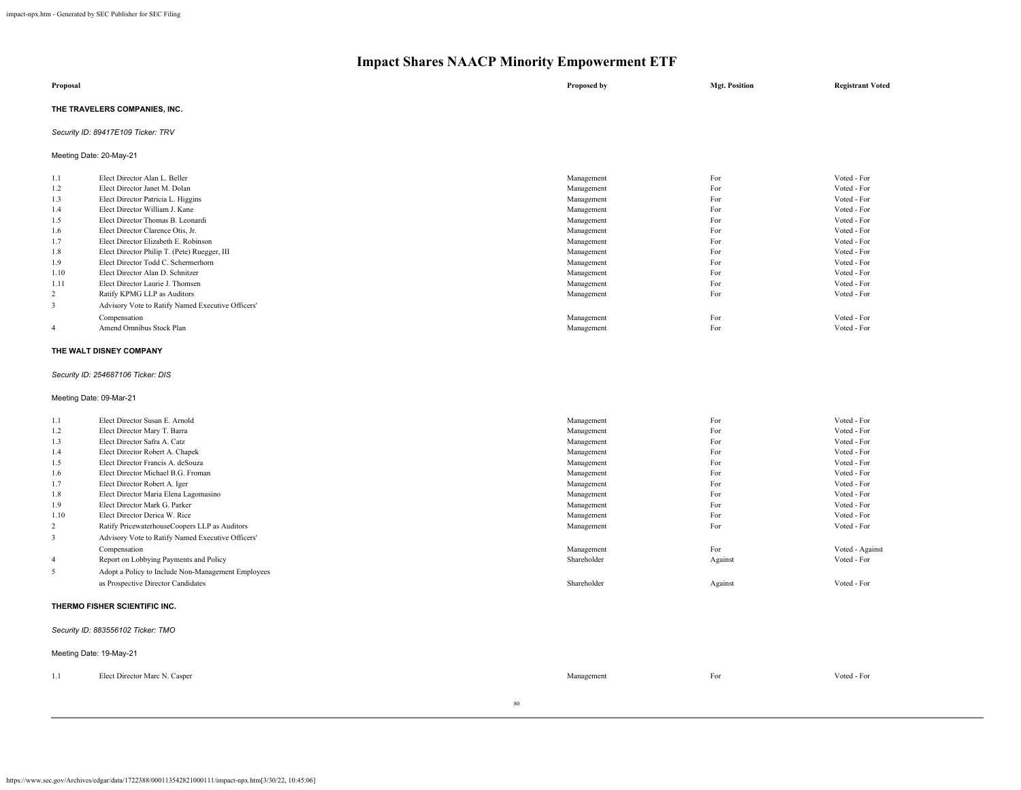| Proposal                      | Proposed by | <b>Mgt. Position</b> | <b>Registrant Voted</b> |
|-------------------------------|-------------|----------------------|-------------------------|
| THE TRAVELERS COMPANIES, INC. |             |                      |                         |

## *Security ID: 89417E109 Ticker: TRV*

Meeting Date: 20-May-21

| 1.1            | Elect Director Alan L. Beller                     | Management | For | Voted - For |
|----------------|---------------------------------------------------|------------|-----|-------------|
| 1.2            | Elect Director Janet M. Dolan                     | Management | For | Voted - For |
| 1.3            | Elect Director Patricia L. Higgins                | Management | For | Voted - For |
| 1.4            | Elect Director William J. Kane                    | Management | For | Voted - For |
| 1.5            | Elect Director Thomas B. Leonardi                 | Management | For | Voted - For |
| 1.6            | Elect Director Clarence Otis, Jr.                 | Management | For | Voted - For |
| 1.7            | Elect Director Elizabeth E. Robinson              | Management | For | Voted - For |
| 1.8            | Elect Director Philip T. (Pete) Ruegger, III      | Management | For | Voted - For |
| 1.9            | Elect Director Todd C. Schermerhorn               | Management | For | Voted - For |
| 1.10           | Elect Director Alan D. Schnitzer                  | Management | For | Voted - For |
| 1.11           | Elect Director Laurie J. Thomsen                  | Management | For | Voted - For |
| 2              | Ratify KPMG LLP as Auditors                       | Management | For | Voted - For |
| 3              | Advisory Vote to Ratify Named Executive Officers' |            |     |             |
|                | Compensation                                      | Management | For | Voted - For |
| $\overline{4}$ | Amend Omnibus Stock Plan                          | Management | For | Voted - For |
|                |                                                   |            |     |             |

### **THE WALT DISNEY COMPANY**

#### *Security ID: 254687106 Ticker: DIS*

Meeting Date: 09-Mar-21

| 1.1            | Elect Director Susan E. Arnold                     | Management  | For     | Voted - For     |  |
|----------------|----------------------------------------------------|-------------|---------|-----------------|--|
| 1.2            | Elect Director Mary T. Barra                       | Management  | For     | Voted - For     |  |
| 1.3            | Elect Director Safra A. Catz                       | Management  | For     | Voted - For     |  |
| 1.4            | Elect Director Robert A. Chapek                    | Management  | For     | Voted - For     |  |
| 1.5            | Elect Director Francis A. deSouza                  | Management  | For     | Voted - For     |  |
| 1.6            | Elect Director Michael B.G. Froman                 | Management  | For     | Voted - For     |  |
| 1.7            | Elect Director Robert A. Iger                      | Management  | For     | Voted - For     |  |
| 1.8            | Elect Director Maria Elena Lagomasino              | Management  | For     | Voted - For     |  |
| 1.9            | Elect Director Mark G. Parker                      | Management  | For     | Voted - For     |  |
| 1.10           | Elect Director Derica W. Rice                      | Management  | For     | Voted - For     |  |
| 2              | Ratify PricewaterhouseCoopers LLP as Auditors      | Management  | For     | Voted - For     |  |
| 3              | Advisory Vote to Ratify Named Executive Officers'  |             |         |                 |  |
|                | Compensation                                       | Management  | For     | Voted - Against |  |
| $\overline{4}$ | Report on Lobbying Payments and Policy             | Shareholder | Against | Voted - For     |  |
| 5              | Adopt a Policy to Include Non-Management Employees |             |         |                 |  |
|                | as Prospective Director Candidates                 | Shareholder | Against | Voted - For     |  |
|                | THERMO FISHER SCIENTIFIC INC.                      |             |         |                 |  |

*Security ID: 883556102 Ticker: TMO*

## Meeting Date: 19-May-21

| 1.1 | Elect Director Marc N. Casper | Management | -<br>For | Voted - For |
|-----|-------------------------------|------------|----------|-------------|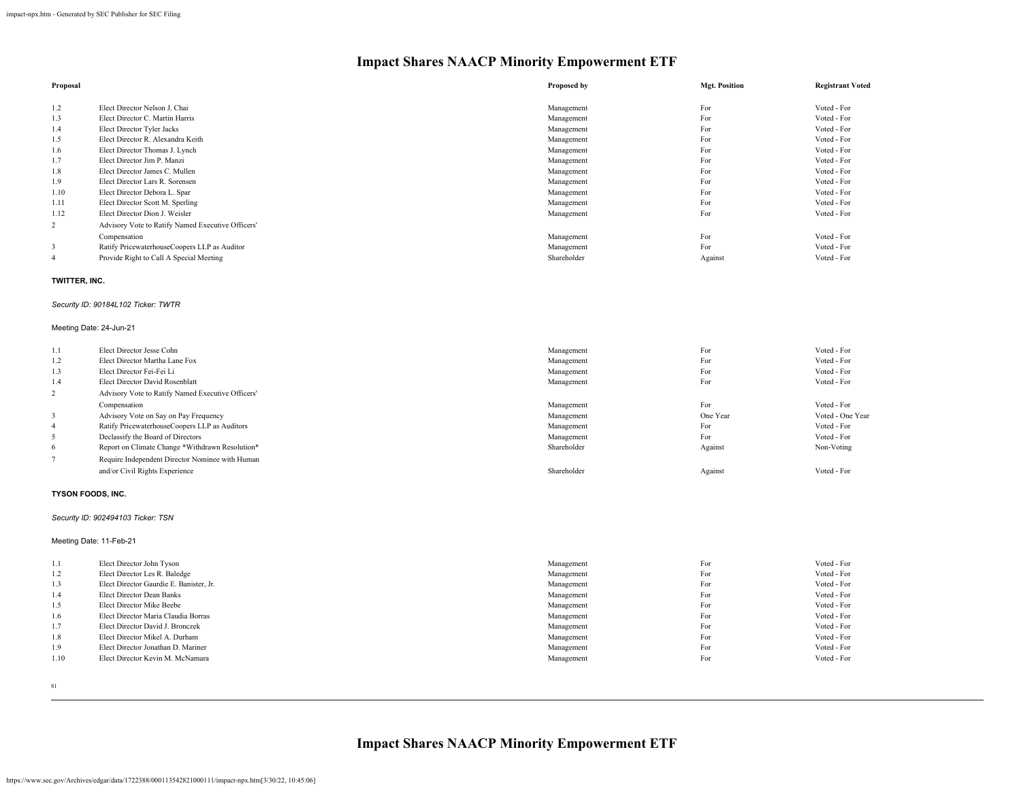| Proposal |                                                   | Proposed by | <b>Mgt. Position</b> | <b>Registrant Voted</b> |
|----------|---------------------------------------------------|-------------|----------------------|-------------------------|
| 1.2      | Elect Director Nelson J. Chai                     | Management  | For                  | Voted - For             |
| 1.3      | Elect Director C. Martin Harris                   | Management  | For                  | Voted - For             |
| 1.4      | Elect Director Tyler Jacks                        | Management  | For                  | Voted - For             |
| 1.5      | Elect Director R. Alexandra Keith                 | Management  | For                  | Voted - For             |
| 1.6      | Elect Director Thomas J. Lynch                    | Management  | For                  | Voted - For             |
| 1.7      | Elect Director Jim P. Manzi                       | Management  | For                  | Voted - For             |
| 1.8      | Elect Director James C. Mullen                    | Management  | For                  | Voted - For             |
| 1.9      | Elect Director Lars R. Sorensen                   | Management  | For                  | Voted - For             |
| 1.10     | Elect Director Debora L. Spar                     | Management  | For                  | Voted - For             |
| 1.11     | Elect Director Scott M. Sperling                  | Management  | For                  | Voted - For             |
| 1.12     | Elect Director Dion J. Weisler                    | Management  | For                  | Voted - For             |
| 2        | Advisory Vote to Ratify Named Executive Officers' |             |                      |                         |
|          | Compensation                                      | Management  | For                  | Voted - For             |
| 3        | Ratify PricewaterhouseCoopers LLP as Auditor      | Management  | For                  | Voted - For             |
| -4       | Provide Right to Call A Special Meeting           | Shareholder | Against              | Voted - For             |

## **TWITTER, INC.**

#### *Security ID: 90184L102 Ticker: TWTR*

## Meeting Date: 24-Jun-21

| 1.1            | Elect Director Jesse Cohn                         | Management  | For      | Voted - For      |
|----------------|---------------------------------------------------|-------------|----------|------------------|
| 1.2            | Elect Director Martha Lane Fox                    | Management  | For      | Voted - For      |
| 1.3            | Elect Director Fei-Fei Li                         | Management  | For      | Voted - For      |
| 1.4            | Elect Director David Rosenblatt                   | Management  | For      | Voted - For      |
| $\overline{2}$ | Advisory Vote to Ratify Named Executive Officers' |             |          |                  |
|                | Compensation                                      | Management  | For      | Voted - For      |
|                | Advisory Vote on Say on Pay Frequency             | Management  | One Year | Voted - One Year |
| $\overline{4}$ | Ratify PricewaterhouseCoopers LLP as Auditors     | Management  | For      | Voted - For      |
| 5              | Declassify the Board of Directors                 | Management  | For      | Voted - For      |
| 6              | Report on Climate Change *Withdrawn Resolution*   | Shareholder | Against  | Non-Voting       |
|                | Require Independent Director Nominee with Human   |             |          |                  |
|                | and/or Civil Rights Experience                    | Shareholder | Against  | Voted - For      |

## **TYSON FOODS, INC.**

## *Security ID: 902494103 Ticker: TSN*

## Meeting Date: 11-Feb-21

| 1.1  | Elect Director John Tyson               | Management | For | Voted - For |
|------|-----------------------------------------|------------|-----|-------------|
| 1.2  | Elect Director Les R. Baledge           | Management | For | Voted - For |
| 1.3  | Elect Director Gaurdie E. Banister, Jr. | Management | For | Voted - For |
| 1.4  | Elect Director Dean Banks               | Management | For | Voted - For |
| 1.5  | Elect Director Mike Beebe               | Management | For | Voted - For |
| 1.6  | Elect Director Maria Claudia Borras     | Management | For | Voted - For |
| 1.7  | Elect Director David J. Bronczek        | Management | For | Voted - For |
| 1.8  | Elect Director Mikel A. Durham          | Management | For | Voted - For |
| 1.9  | Elect Director Jonathan D. Mariner      | Management | For | Voted - For |
| 1.10 | Elect Director Kevin M. McNamara        | Management | For | Voted - For |
|      |                                         |            |     |             |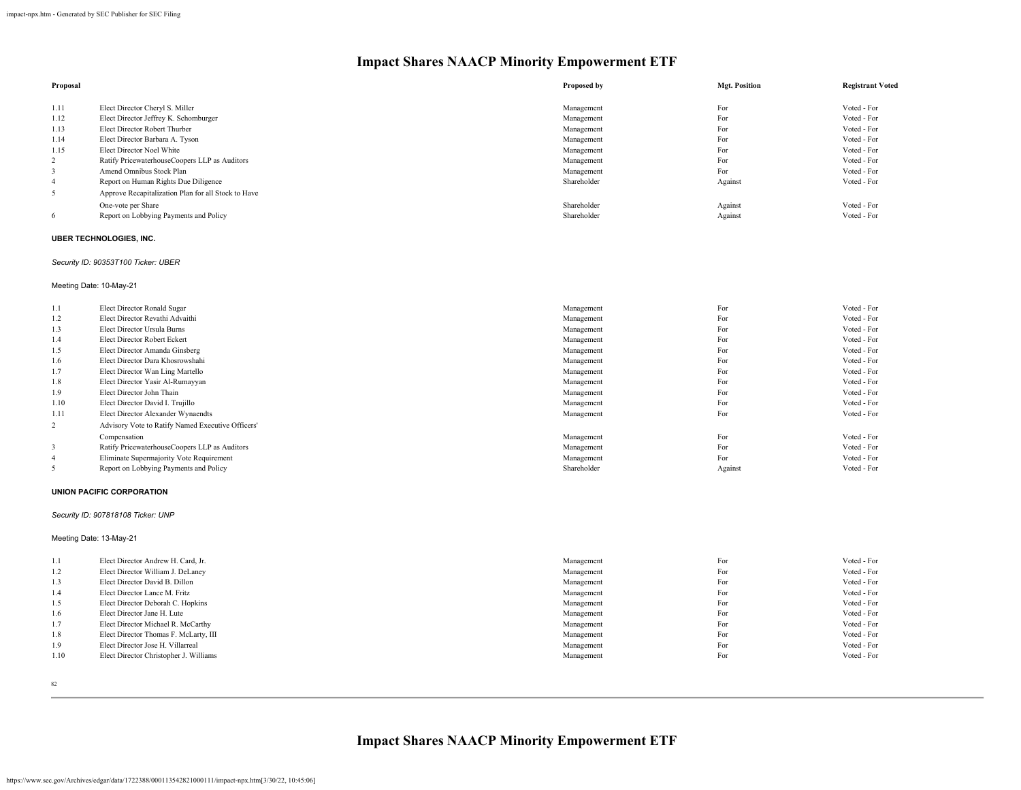| Proposal |                                                     | Proposed by | <b>Mgt. Position</b> | <b>Registrant Voted</b> |
|----------|-----------------------------------------------------|-------------|----------------------|-------------------------|
|          |                                                     |             |                      |                         |
| 1.11     | Elect Director Cheryl S. Miller                     | Management  | For                  | Voted - For             |
| 1.12     | Elect Director Jeffrey K. Schomburger               | Management  | For                  | Voted - For             |
| 1.13     | Elect Director Robert Thurber                       | Management  | For                  | Voted - For             |
| 1.14     | Elect Director Barbara A. Tyson                     | Management  | For                  | Voted - For             |
| 1.15     | Elect Director Noel White                           | Management  | For                  | Voted - For             |
| 2        | Ratify PricewaterhouseCoopers LLP as Auditors       | Management  | For                  | Voted - For             |
|          | Amend Omnibus Stock Plan                            | Management  | For                  | Voted - For             |
| 4        | Report on Human Rights Due Diligence                | Shareholder | Against              | Voted - For             |
| 5        | Approve Recapitalization Plan for all Stock to Have |             |                      |                         |
|          | One-vote per Share                                  | Shareholder | Against              | Voted - For             |
| 6        | Report on Lobbying Payments and Policy              | Shareholder | Against              | Voted - For             |

### **UBER TECHNOLOGIES, INC.**

## *Security ID: 90353T100 Ticker: UBER*

## Meeting Date: 10-May-21

| 1.1            | Elect Director Ronald Sugar                       | Management  | For     | Voted - For |
|----------------|---------------------------------------------------|-------------|---------|-------------|
| 1.2            | Elect Director Revathi Advaithi                   | Management  | For     | Voted - For |
| 1.3            | Elect Director Ursula Burns                       | Management  | For     | Voted - For |
| 1.4            | Elect Director Robert Eckert                      | Management  | For     | Voted - For |
| 1.5            | Elect Director Amanda Ginsberg                    | Management  | For     | Voted - For |
| 1.6            | Elect Director Dara Khosrowshahi                  | Management  | For     | Voted - For |
| 1.7            | Elect Director Wan Ling Martello                  | Management  | For     | Voted - For |
| 1.8            | Elect Director Yasir Al-Rumayyan                  | Management  | For     | Voted - For |
| 1.9            | Elect Director John Thain                         | Management  | For     | Voted - For |
| 1.10           | Elect Director David I. Trujillo                  | Management  | For     | Voted - For |
| 1.11           | Elect Director Alexander Wynaendts                | Management  | For     | Voted - For |
| 2              | Advisory Vote to Ratify Named Executive Officers' |             |         |             |
|                | Compensation                                      | Management  | For     | Voted - For |
| 3              | Ratify PricewaterhouseCoopers LLP as Auditors     | Management  | For     | Voted - For |
| $\overline{4}$ | Eliminate Supermajority Vote Requirement          | Management  | For     | Voted - For |
|                | Report on Lobbying Payments and Policy            | Shareholder | Against | Voted - For |

#### **UNION PACIFIC CORPORATION**

#### *Security ID: 907818108 Ticker: UNP*

## Meeting Date: 13-May-21

| 1.1  | Elect Director Andrew H. Card, Jr.     | Management | For | Voted - For |
|------|----------------------------------------|------------|-----|-------------|
| 1.2  | Elect Director William J. DeLaney      | Management | For | Voted - For |
| 1.3  | Elect Director David B. Dillon         | Management | For | Voted - For |
| 1.4  | Elect Director Lance M. Fritz          | Management | For | Voted - For |
| 1.5  | Elect Director Deborah C. Hopkins      | Management | For | Voted - For |
| 1.6  | Elect Director Jane H. Lute            | Management | For | Voted - For |
| 1.7  | Elect Director Michael R. McCarthy     | Management | For | Voted - For |
| 1.8  | Elect Director Thomas F. McLarty, III  | Management | For | Voted - For |
| 1.9  | Elect Director Jose H. Villarreal      | Management | For | Voted - For |
| 1.10 | Elect Director Christopher J. Williams | Management | For | Voted - For |
|      |                                        |            |     |             |

82

**Impact Shares NAACP Minority Empowerment ETF**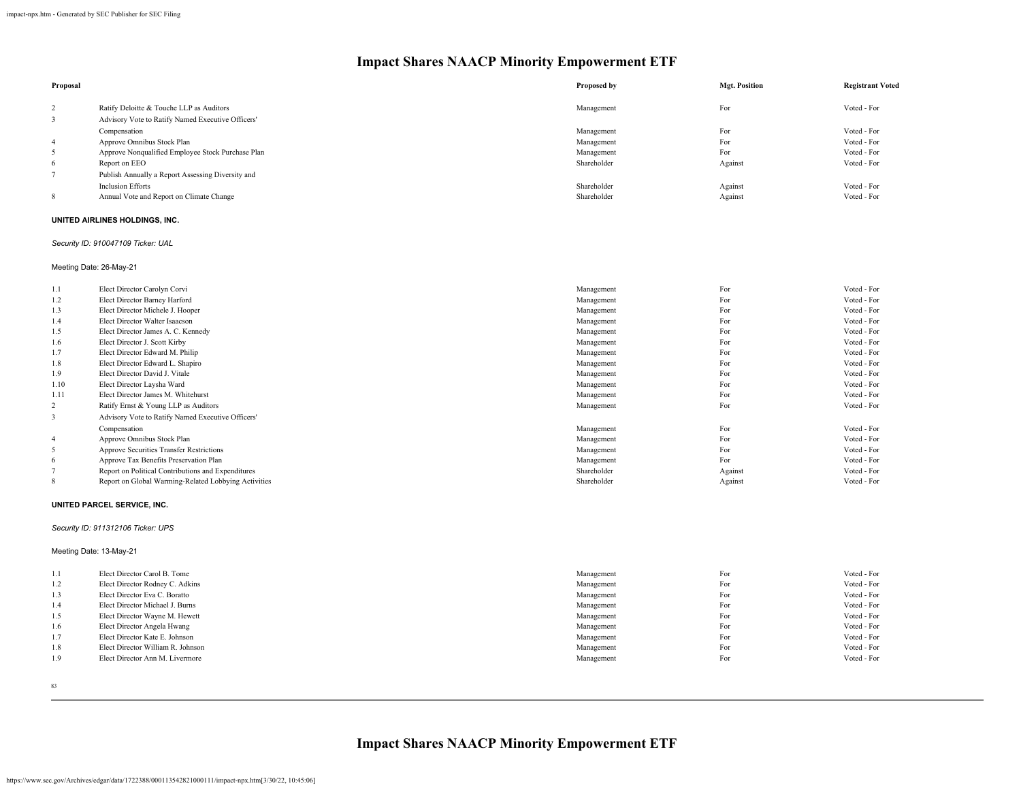| Proposal |                                                   | Proposed by | <b>Mgt. Position</b> | <b>Registrant Voted</b> |
|----------|---------------------------------------------------|-------------|----------------------|-------------------------|
| 2        | Ratify Deloitte & Touche LLP as Auditors          | Management  | For                  | Voted - For             |
|          | Advisory Vote to Ratify Named Executive Officers' |             |                      |                         |
|          | Compensation                                      | Management  | For                  | Voted - For             |
| -4       | Approve Omnibus Stock Plan                        | Management  | For                  | Voted - For             |
| 5        | Approve Nonqualified Employee Stock Purchase Plan | Management  | For                  | Voted - For             |
| 6        | Report on EEO                                     | Shareholder | Against              | Voted - For             |
|          | Publish Annually a Report Assessing Diversity and |             |                      |                         |
|          | <b>Inclusion Efforts</b>                          | Shareholder | Against              | Voted - For             |
| 8        | Annual Vote and Report on Climate Change          | Shareholder | Against              | Voted - For             |

## **UNITED AIRLINES HOLDINGS, INC.**

## *Security ID: 910047109 Ticker: UAL*

Meeting Date: 26-May-21

| 1.1            | Elect Director Carolyn Corvi                         | Management  | For     | Voted - For |
|----------------|------------------------------------------------------|-------------|---------|-------------|
| 1.2            | Elect Director Barney Harford                        | Management  | For     | Voted - For |
| 1.3            | Elect Director Michele J. Hooper                     | Management  | For     | Voted - For |
| 1.4            | Elect Director Walter Isaacson                       | Management  | For     | Voted - For |
| 1.5            | Elect Director James A. C. Kennedy                   | Management  | For     | Voted - For |
| 1.6            | Elect Director J. Scott Kirby                        | Management  | For     | Voted - For |
| 1.7            | Elect Director Edward M. Philip                      | Management  | For     | Voted - For |
| 1.8            | Elect Director Edward L. Shapiro                     | Management  | For     | Voted - For |
| 1.9            | Elect Director David J. Vitale                       | Management  | For     | Voted - For |
| 1.10           | Elect Director Laysha Ward                           | Management  | For     | Voted - For |
| 1.11           | Elect Director James M. Whitehurst                   | Management  | For     | Voted - For |
| 2              | Ratify Ernst & Young LLP as Auditors                 | Management  | For     | Voted - For |
| 3              | Advisory Vote to Ratify Named Executive Officers'    |             |         |             |
|                | Compensation                                         | Management  | For     | Voted - For |
| $\overline{4}$ | Approve Omnibus Stock Plan                           | Management  | For     | Voted - For |
| 5              | <b>Approve Securities Transfer Restrictions</b>      | Management  | For     | Voted - For |
| 6              | Approve Tax Benefits Preservation Plan               | Management  | For     | Voted - For |
|                | Report on Political Contributions and Expenditures   | Shareholder | Against | Voted - For |
| 8              | Report on Global Warming-Related Lobbying Activities | Shareholder | Against | Voted - For |

## **UNITED PARCEL SERVICE, INC.**

## *Security ID: 911312106 Ticker: UPS*

Meeting Date: 13-May-21

| 1.1 | Elect Director Carol B. Tome      | Management | For | Voted - For |
|-----|-----------------------------------|------------|-----|-------------|
| 1.2 | Elect Director Rodney C. Adkins   | Management | For | Voted - For |
| 1.3 | Elect Director Eva C. Boratto     | Management | For | Voted - For |
| 1.4 | Elect Director Michael J. Burns   | Management | For | Voted - For |
| 1.5 | Elect Director Wayne M. Hewett    | Management | For | Voted - For |
| 1.6 | Elect Director Angela Hwang       | Management | For | Voted - For |
| 1.7 | Elect Director Kate E. Johnson    | Management | For | Voted - For |
| 1.8 | Elect Director William R. Johnson | Management | For | Voted - For |
| 1.9 | Elect Director Ann M. Livermore   | Management | For | Voted - For |
|     |                                   |            |     |             |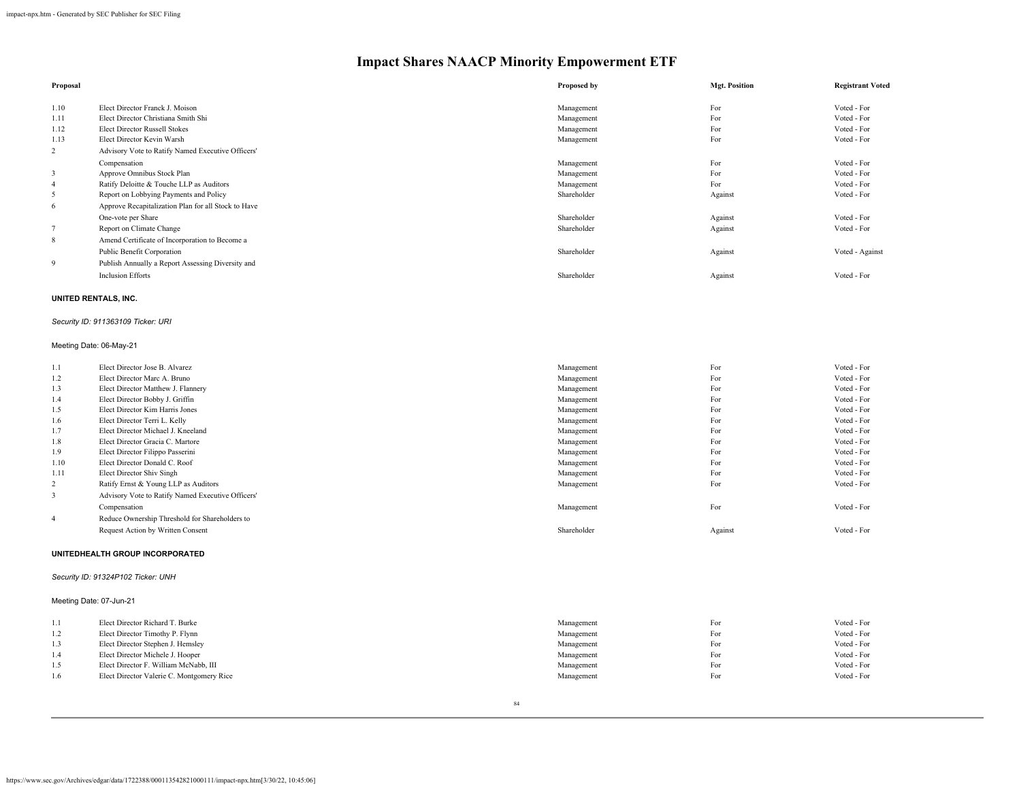| Proposal       |                                                     | Proposed by | <b>Mgt. Position</b> | <b>Registrant Voted</b> |
|----------------|-----------------------------------------------------|-------------|----------------------|-------------------------|
| 1.10           | Elect Director Franck J. Moison                     | Management  | For                  | Voted - For             |
| 1.11           | Elect Director Christiana Smith Shi                 | Management  | For                  | Voted - For             |
| 1.12           | <b>Elect Director Russell Stokes</b>                | Management  | For                  | Voted - For             |
| 1.13           | Elect Director Kevin Warsh                          | Management  | For                  | Voted - For             |
| 2              | Advisory Vote to Ratify Named Executive Officers'   |             |                      |                         |
|                | Compensation                                        | Management  | For                  | Voted - For             |
| 3              | Approve Omnibus Stock Plan                          | Management  | For                  | Voted - For             |
| $\overline{4}$ | Ratify Deloitte & Touche LLP as Auditors            | Management  | For                  | Voted - For             |
| 5              | Report on Lobbying Payments and Policy              | Shareholder | Against              | Voted - For             |
| 6              | Approve Recapitalization Plan for all Stock to Have |             |                      |                         |
|                | One-vote per Share                                  | Shareholder | Against              | Voted - For             |
|                | Report on Climate Change                            | Shareholder | Against              | Voted - For             |
| 8              | Amend Certificate of Incorporation to Become a      |             |                      |                         |
|                | Public Benefit Corporation                          | Shareholder | Against              | Voted - Against         |
| 9              | Publish Annually a Report Assessing Diversity and   |             |                      |                         |
|                | <b>Inclusion Efforts</b>                            | Shareholder | Against              | Voted - For             |

## **UNITED RENTALS, INC.**

## *Security ID: 911363109 Ticker: URI*

## Meeting Date: 06-May-21

| 1.1            | Elect Director Jose B. Alvarez                    | Management  | For     | Voted - For |
|----------------|---------------------------------------------------|-------------|---------|-------------|
| 1.2            | Elect Director Marc A. Bruno                      | Management  | For     | Voted - For |
| 1.3            | Elect Director Matthew J. Flannery                | Management  | For     | Voted - For |
| 1.4            | Elect Director Bobby J. Griffin                   | Management  | For     | Voted - For |
| 1.5            | Elect Director Kim Harris Jones                   | Management  | For     | Voted - For |
| 1.6            | Elect Director Terri L. Kelly                     | Management  | For     | Voted - For |
| 1.7            | Elect Director Michael J. Kneeland                | Management  | For     | Voted - For |
| 1.8            | Elect Director Gracia C. Martore                  | Management  | For     | Voted - For |
| 1.9            | Elect Director Filippo Passerini                  | Management  | For     | Voted - For |
| 1.10           | Elect Director Donald C. Roof                     | Management  | For     | Voted - For |
| 1.11           | Elect Director Shiv Singh                         | Management  | For     | Voted - For |
| 2              | Ratify Ernst & Young LLP as Auditors              | Management  | For     | Voted - For |
| 3              | Advisory Vote to Ratify Named Executive Officers' |             |         |             |
|                | Compensation                                      | Management  | For     | Voted - For |
| $\overline{4}$ | Reduce Ownership Threshold for Shareholders to    |             |         |             |
|                | Request Action by Written Consent                 | Shareholder | Against | Voted - For |
|                |                                                   |             |         |             |

#### **UNITEDHEALTH GROUP INCORPORATED**

## *Security ID: 91324P102 Ticker: UNH*

Meeting Date: 07-Jun-21

| 1.1 | Elect Director Richard T. Burke           | Management | For | Voted - For |
|-----|-------------------------------------------|------------|-----|-------------|
| 1.2 | Elect Director Timothy P. Flynn           | Management | For | Voted - For |
| 1.3 | Elect Director Stephen J. Hemsley         | Management | For | Voted - For |
| 1.4 | Elect Director Michele J. Hooper          | Management | For | Voted - For |
| 1.5 | Elect Director F. William McNabb, III     | Management | For | Voted - For |
| 1.6 | Elect Director Valerie C. Montgomery Rice | Management | For | Voted - For |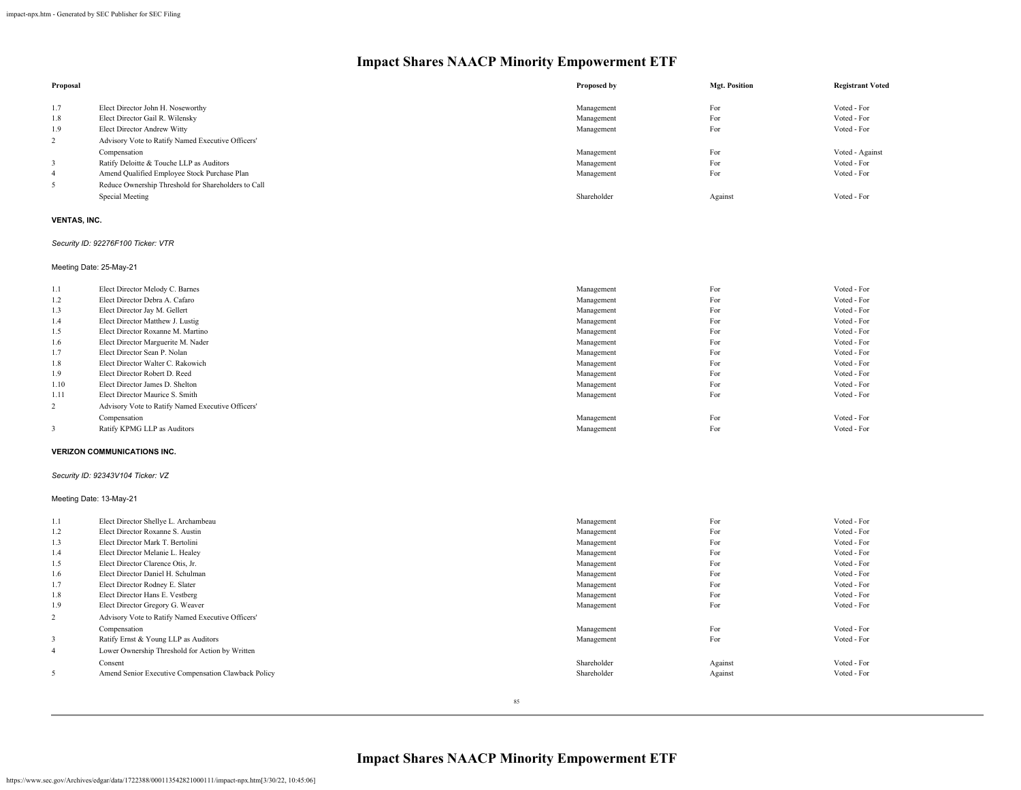| Proposal       |                                                     | Proposed by | <b>Mgt. Position</b> | <b>Registrant Voted</b> |
|----------------|-----------------------------------------------------|-------------|----------------------|-------------------------|
|                |                                                     |             |                      |                         |
| 1.7            | Elect Director John H. Noseworthy                   | Management  | For                  | Voted - For             |
| 1.8            | Elect Director Gail R. Wilensky                     | Management  | For                  | Voted - For             |
| 1.9            | Elect Director Andrew Witty                         | Management  | For                  | Voted - For             |
| $\overline{2}$ | Advisory Vote to Ratify Named Executive Officers'   |             |                      |                         |
|                | Compensation                                        | Management  | For                  | Voted - Against         |
|                | Ratify Deloitte & Touche LLP as Auditors            | Management  | For                  | Voted - For             |
| 4              | Amend Qualified Employee Stock Purchase Plan        | Management  | For                  | Voted - For             |
| 5              | Reduce Ownership Threshold for Shareholders to Call |             |                      |                         |
|                | Special Meeting                                     | Shareholder | Against              | Voted - For             |
|                |                                                     |             |                      |                         |

## **VENTAS, INC.**

## *Security ID: 92276F100 Ticker: VTR*

Meeting Date: 25-May-21

| 1.1  | Elect Director Melody C. Barnes                   | Management | For | Voted - For |
|------|---------------------------------------------------|------------|-----|-------------|
| 1.2  | Elect Director Debra A. Cafaro                    | Management | For | Voted - For |
| 1.3  | Elect Director Jay M. Gellert                     | Management | For | Voted - For |
| 1.4  | Elect Director Matthew J. Lustig                  | Management | For | Voted - For |
| 1.5  | Elect Director Roxanne M. Martino                 | Management | For | Voted - For |
| 1.6  | Elect Director Marguerite M. Nader                | Management | For | Voted - For |
| 1.7  | Elect Director Sean P. Nolan                      | Management | For | Voted - For |
| 1.8  | Elect Director Walter C. Rakowich                 | Management | For | Voted - For |
| 1.9  | Elect Director Robert D. Reed                     | Management | For | Voted - For |
| 1.10 | Elect Director James D. Shelton                   | Management | For | Voted - For |
| 1.11 | Elect Director Maurice S. Smith                   | Management | For | Voted - For |
| 2    | Advisory Vote to Ratify Named Executive Officers' |            |     |             |
|      | Compensation                                      | Management | For | Voted - For |
|      | Ratify KPMG LLP as Auditors                       | Management | For | Voted - For |
|      |                                                   |            |     |             |

#### **VERIZON COMMUNICATIONS INC.**

## *Security ID: 92343V104 Ticker: VZ*

#### Meeting Date: 13-May-21

| 1.1            | Elect Director Shellye L. Archambeau                | Management  | For     | Voted - For |
|----------------|-----------------------------------------------------|-------------|---------|-------------|
| 1.2            | Elect Director Roxanne S. Austin                    | Management  | For     | Voted - For |
| 1.3            | Elect Director Mark T. Bertolini                    | Management  | For     | Voted - For |
| 1.4            | Elect Director Melanie L. Healey                    | Management  | For     | Voted - For |
| 1.5            | Elect Director Clarence Otis, Jr.                   | Management  | For     | Voted - For |
| 1.6            | Elect Director Daniel H. Schulman                   | Management  | For     | Voted - For |
| 1.7            | Elect Director Rodney E. Slater                     | Management  | For     | Voted - For |
| 1.8            | Elect Director Hans E. Vestberg                     | Management  | For     | Voted - For |
| 1.9            | Elect Director Gregory G. Weaver                    | Management  | For     | Voted - For |
| $\overline{2}$ | Advisory Vote to Ratify Named Executive Officers'   |             |         |             |
|                | Compensation                                        | Management  | For     | Voted - For |
| 3              | Ratify Ernst & Young LLP as Auditors                | Management  | For     | Voted - For |
| $\overline{4}$ | Lower Ownership Threshold for Action by Written     |             |         |             |
|                | Consent                                             | Shareholder | Against | Voted - For |
| 5              | Amend Senior Executive Compensation Clawback Policy | Shareholder | Against | Voted - For |
|                |                                                     |             |         |             |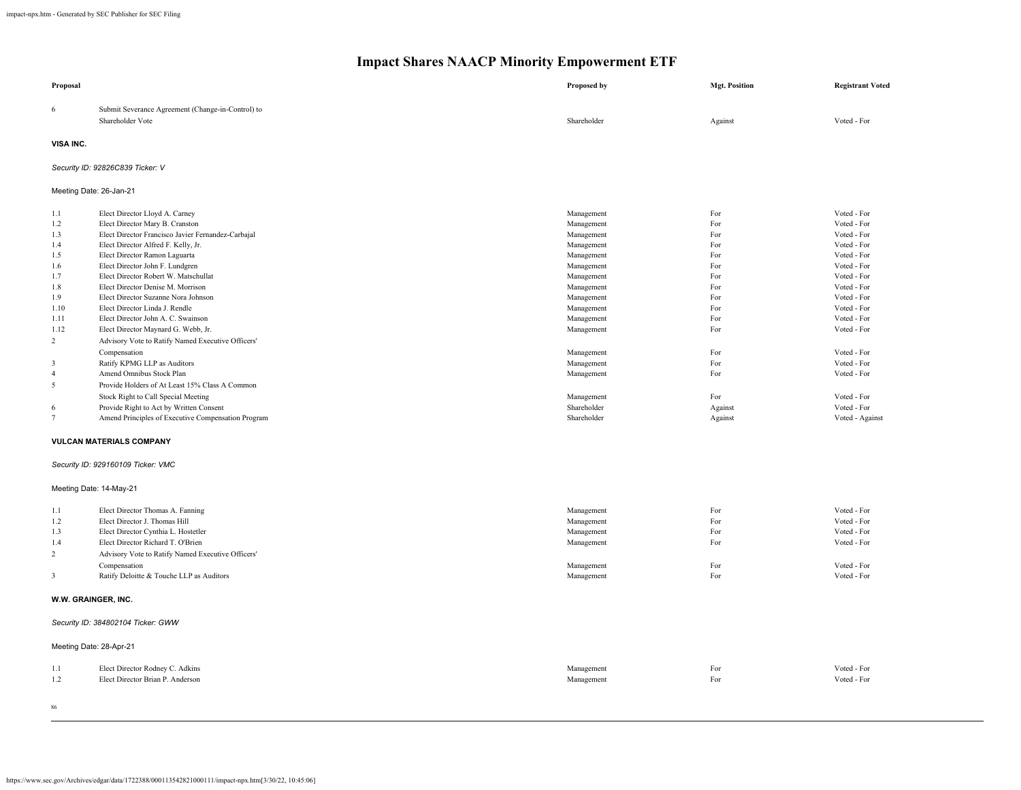| Proposal                |                                                                       | Proposed by | <b>Mgt. Position</b> | <b>Registrant Voted</b> |
|-------------------------|-----------------------------------------------------------------------|-------------|----------------------|-------------------------|
| 6                       | Submit Severance Agreement (Change-in-Control) to<br>Shareholder Vote | Shareholder | Against              | Voted - For             |
| VISA INC.               |                                                                       |             |                      |                         |
|                         | Security ID: 92826C839 Ticker: V                                      |             |                      |                         |
|                         | Meeting Date: 26-Jan-21                                               |             |                      |                         |
| 1.1                     | Elect Director Lloyd A. Carney                                        | Management  | For                  | Voted - For             |
| 1.2                     | Elect Director Mary B. Cranston                                       | Management  | For                  | Voted - For             |
| 1.3                     | Elect Director Francisco Javier Fernandez-Carbajal                    | Management  | For                  | Voted - For             |
| 1.4                     | Elect Director Alfred F. Kelly, Jr.                                   | Management  | For                  | Voted - For             |
| 1.5                     | Elect Director Ramon Laguarta                                         | Management  | For                  | Voted - For             |
| 1.6                     | Elect Director John F. Lundgren                                       | Management  | For                  | Voted - For             |
| 1.7                     | Elect Director Robert W. Matschullat                                  | Management  | For                  | Voted - For             |
| 1.8                     | Elect Director Denise M. Morrison                                     | Management  | For                  | Voted - For             |
| 1.9                     | Elect Director Suzanne Nora Johnson                                   | Management  | For                  | Voted - For             |
| 1.10                    | Elect Director Linda J. Rendle                                        | Management  | For                  | Voted - For             |
| 1.11                    | Elect Director John A. C. Swainson                                    | Management  | For                  | Voted - For             |
| 1.12                    | Elect Director Maynard G. Webb, Jr.                                   | Management  | For                  | Voted - For             |
| $\overline{2}$          | Advisory Vote to Ratify Named Executive Officers'                     |             |                      |                         |
|                         | Compensation                                                          | Management  | For                  | Voted - For             |
| $\overline{\mathbf{3}}$ | Ratify KPMG LLP as Auditors                                           | Management  | For                  | Voted - For             |
| $\overline{4}$          | Amend Omnibus Stock Plan                                              | Management  | For                  | Voted - For             |
| 5                       | Provide Holders of At Least 15% Class A Common                        |             |                      |                         |
|                         | Stock Right to Call Special Meeting                                   | Management  | For                  | Voted - For             |
| 6                       | Provide Right to Act by Written Consent                               | Shareholder | Against              | Voted - For             |
| $7\phantom{.0}$         | Amend Principles of Executive Compensation Program                    | Shareholder | Against              | Voted - Against         |
|                         | <b>VULCAN MATERIALS COMPANY</b>                                       |             |                      |                         |
|                         | Security ID: 929160109 Ticker: VMC                                    |             |                      |                         |
|                         | Meeting Date: 14-May-21                                               |             |                      |                         |
| 1.1                     | Elect Director Thomas A. Fanning                                      | Management  | For                  | Voted - For             |
| 1.2                     | Elect Director J. Thomas Hill                                         | Management  | For                  | Voted - For             |
| 1.3                     | Elect Director Cynthia L. Hostetler                                   | Management  | For                  | Voted - For             |
| 1.4                     | Elect Director Richard T. O'Brien                                     | Management  | For                  | Voted - For             |
| $\overline{2}$          | Advisory Vote to Ratify Named Executive Officers'                     |             |                      |                         |
|                         | Compensation                                                          | Management  | For                  | Voted - For             |
| 3                       | Ratify Deloitte & Touche LLP as Auditors                              | Management  | For                  | Voted - For             |
|                         | W.W. GRAINGER, INC.                                                   |             |                      |                         |
|                         | Security ID: 384802104 Ticker: GWW                                    |             |                      |                         |
|                         | Meeting Date: 28-Apr-21                                               |             |                      |                         |
| 1.1                     | Elect Director Rodney C. Adkins                                       | Management  | For                  | Voted - For             |
| 1.2                     | Elect Director Brian P. Anderson                                      | Management  | For                  | Voted - For             |
|                         |                                                                       |             |                      |                         |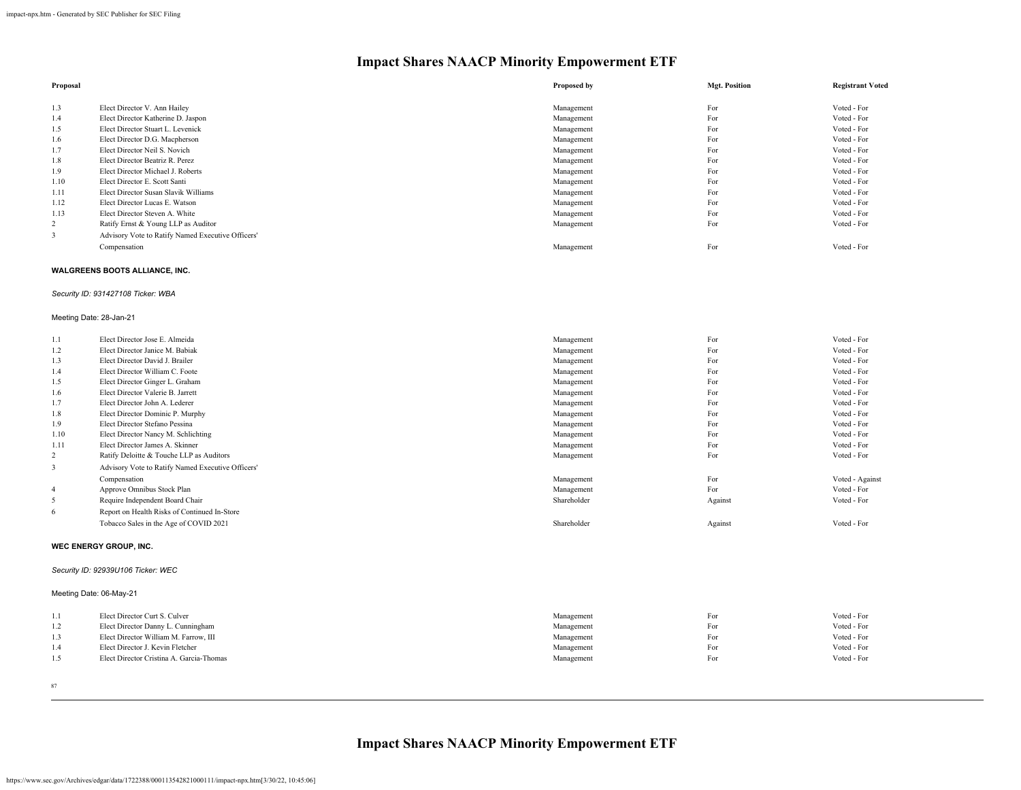| Proposal |                                                   | Proposed by | <b>Mgt. Position</b> | <b>Registrant Voted</b> |
|----------|---------------------------------------------------|-------------|----------------------|-------------------------|
|          |                                                   |             |                      |                         |
| 1.3      | Elect Director V. Ann Hailey                      | Management  | For                  | Voted - For             |
| 1.4      | Elect Director Katherine D. Jaspon                | Management  | For                  | Voted - For             |
| 1.5      | Elect Director Stuart L. Levenick                 | Management  | For                  | Voted - For             |
| 1.6      | Elect Director D.G. Macpherson                    | Management  | For                  | Voted - For             |
| 1.7      | Elect Director Neil S. Novich                     | Management  | For                  | Voted - For             |
| 1.8      | Elect Director Beatriz R. Perez                   | Management  | For                  | Voted - For             |
| 1.9      | Elect Director Michael J. Roberts                 | Management  | For                  | Voted - For             |
| 1.10     | Elect Director E. Scott Santi                     | Management  | For                  | Voted - For             |
| 1.11     | Elect Director Susan Slavik Williams              | Management  | For                  | Voted - For             |
| 1.12     | Elect Director Lucas E. Watson                    | Management  | For                  | Voted - For             |
| 1.13     | Elect Director Steven A. White                    | Management  | For                  | Voted - For             |
| 2        | Ratify Ernst & Young LLP as Auditor               | Management  | For                  | Voted - For             |
|          | Advisory Vote to Ratify Named Executive Officers' |             |                      |                         |
|          | Compensation                                      | Management  | For                  | Voted - For             |

#### **WALGREENS BOOTS ALLIANCE, INC.**

#### *Security ID: 931427108 Ticker: WBA*

#### Meeting Date: 28-Jan-21

| 1.1            | Elect Director Jose E. Almeida                    | Management  | For     | Voted - For     |
|----------------|---------------------------------------------------|-------------|---------|-----------------|
| 1.2            | Elect Director Janice M. Babiak                   | Management  | For     | Voted - For     |
| 1.3            | Elect Director David J. Brailer                   | Management  | For     | Voted - For     |
| 1.4            | Elect Director William C. Foote                   | Management  | For     | Voted - For     |
| 1.5            | Elect Director Ginger L. Graham                   | Management  | For     | Voted - For     |
| 1.6            | Elect Director Valerie B. Jarrett                 | Management  | For     | Voted - For     |
| 1.7            | Elect Director John A. Lederer                    | Management  | For     | Voted - For     |
| 1.8            | Elect Director Dominic P. Murphy                  | Management  | For     | Voted - For     |
| 1.9            | Elect Director Stefano Pessina                    | Management  | For     | Voted - For     |
| 1.10           | Elect Director Nancy M. Schlichting               | Management  | For     | Voted - For     |
| 1.11           | Elect Director James A. Skinner                   | Management  | For     | Voted - For     |
| 2              | Ratify Deloitte & Touche LLP as Auditors          | Management  | For     | Voted - For     |
| 3              | Advisory Vote to Ratify Named Executive Officers' |             |         |                 |
|                | Compensation                                      | Management  | For     | Voted - Against |
| $\overline{4}$ | Approve Omnibus Stock Plan                        | Management  | For     | Voted - For     |
| 5              | Require Independent Board Chair                   | Shareholder | Against | Voted - For     |
| -6             | Report on Health Risks of Continued In-Store      |             |         |                 |
|                | Tobacco Sales in the Age of COVID 2021            | Shareholder | Against | Voted - For     |

#### **WEC ENERGY GROUP, INC.**

## *Security ID: 92939U106 Ticker: WEC*

## Meeting Date: 06-May-21

|     | Elect Director Curt S. Culver            | Management | For | Voted - For |
|-----|------------------------------------------|------------|-----|-------------|
| 1.2 | Elect Director Danny L. Cunningham       | Management | For | Voted - For |
| 1.3 | Elect Director William M. Farrow, III    | Management | For | Voted - For |
| 1.4 | Elect Director J. Kevin Fletcher         | Management | For | Voted - For |
| 1.5 | Elect Director Cristina A. Garcia-Thomas | Management | For | Voted - For |
|     |                                          |            |     |             |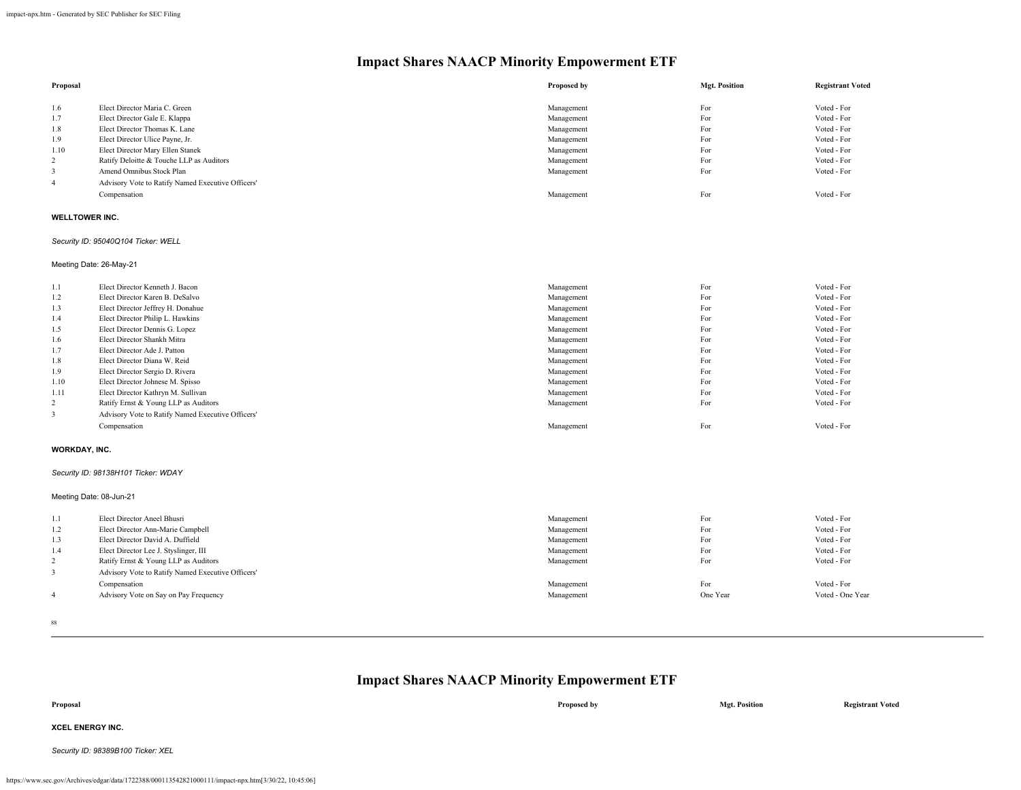| Proposal              |                                                   | Proposed by | <b>Mgt. Position</b> | <b>Registrant Voted</b> |
|-----------------------|---------------------------------------------------|-------------|----------------------|-------------------------|
| 1.6                   | Elect Director Maria C. Green                     | Management  | For                  | Voted - For             |
| 1.7                   | Elect Director Gale E. Klappa                     | Management  | For                  | Voted - For             |
| 1.8                   | Elect Director Thomas K. Lane                     | Management  | For                  | Voted - For             |
| 1.9                   | Elect Director Ulice Payne, Jr.                   | Management  | For                  | Voted - For             |
| 1.10                  | Elect Director Mary Ellen Stanek                  | Management  | For                  | Voted - For             |
| 2                     | Ratify Deloitte & Touche LLP as Auditors          | Management  | For                  | Voted - For             |
| 3                     | Amend Omnibus Stock Plan                          | Management  | For                  | Voted - For             |
| $\overline{4}$        | Advisory Vote to Ratify Named Executive Officers' |             |                      |                         |
|                       | Compensation                                      | Management  | For                  | Voted - For             |
| <b>WELLTOWER INC.</b> |                                                   |             |                      |                         |
|                       | Security ID: 95040Q104 Ticker: WELL               |             |                      |                         |

Meeting Date: 26-May-21

| 1.1                     | Elect Director Kenneth J. Bacon                   | Management | For | Voted - For |
|-------------------------|---------------------------------------------------|------------|-----|-------------|
| 1.2                     | Elect Director Karen B. DeSalvo                   | Management | For | Voted - For |
| 1.3                     | Elect Director Jeffrey H. Donahue                 | Management | For | Voted - For |
| 1.4                     | Elect Director Philip L. Hawkins                  | Management | For | Voted - For |
| 1.5                     | Elect Director Dennis G. Lopez                    | Management | For | Voted - For |
| 1.6                     | Elect Director Shankh Mitra                       | Management | For | Voted - For |
| 1.7                     | Elect Director Ade J. Patton                      | Management | For | Voted - For |
| 1.8                     | Elect Director Diana W. Reid                      | Management | For | Voted - For |
| 1.9                     | Elect Director Sergio D. Rivera                   | Management | For | Voted - For |
| 1.10                    | Elect Director Johnese M. Spisso                  | Management | For | Voted - For |
| 1.11                    | Elect Director Kathryn M. Sullivan                | Management | For | Voted - For |
| 2                       | Ratify Ernst & Young LLP as Auditors              | Management | For | Voted - For |
| $\overline{\mathbf{3}}$ | Advisory Vote to Ratify Named Executive Officers' |            |     |             |
|                         | Compensation                                      | Management | For | Voted - For |

#### **WORKDAY, INC.**

#### *Security ID: 98138H101 Ticker: WDAY*

Meeting Date: 08-Jun-21

| 1.1 | Elect Director Aneel Bhusri                                                               | Management | For      | Voted - For      |
|-----|-------------------------------------------------------------------------------------------|------------|----------|------------------|
| 1.2 | Elect Director Ann-Marie Campbell                                                         | Management | For      | Voted - For      |
| 1.3 | Elect Director David A. Duffield                                                          | Management | For      | Voted - For      |
| 1.4 | Elect Director Lee J. Styslinger, III                                                     | Management | For      | Voted - For      |
| 2   | Ratify Ernst & Young LLP as Auditors<br>Advisory Vote to Ratify Named Executive Officers' | Management | For      | Voted - For      |
|     | Compensation                                                                              | Management | For      | Voted - For      |
|     | Advisory Vote on Say on Pay Frequency                                                     | Management | One Year | Voted - One Year |

88

## **Impact Shares NAACP Minority Empowerment ETF**

**Proposal Proposed by Mgt. Position Registrant Voted XCEL ENERGY INC.** *Security ID: 98389B100 Ticker: XEL*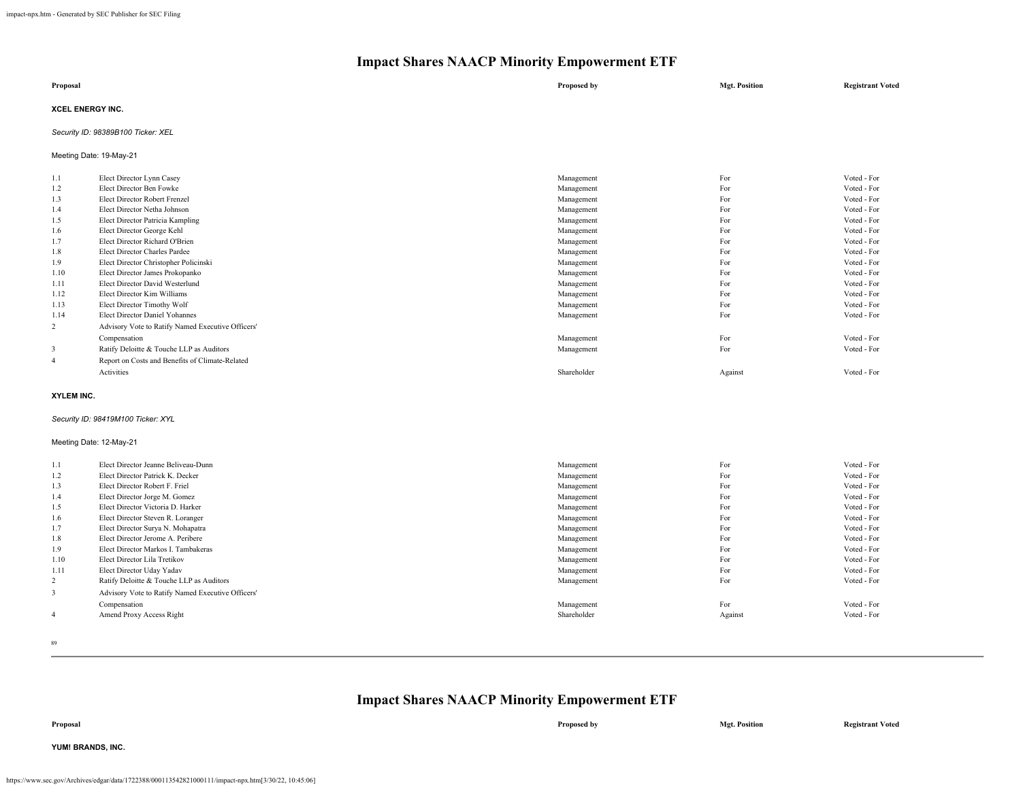| Proposal                | Proposed by | <b>Mgt. Position</b> | <b>Registrant Voted</b> |
|-------------------------|-------------|----------------------|-------------------------|
| <b>XCEL ENERGY INC.</b> |             |                      |                         |

## *Security ID: 98389B100 Ticker: XEL*

Meeting Date: 19-May-21

| 1.1            | Elect Director Lynn Casey                         | Management  | For     | Voted - For |
|----------------|---------------------------------------------------|-------------|---------|-------------|
| 1.2            | Elect Director Ben Fowke                          | Management  | For     | Voted - For |
| 1.3            | Elect Director Robert Frenzel                     | Management  | For     | Voted - For |
| 1.4            | Elect Director Netha Johnson                      | Management  | For     | Voted - For |
| 1.5            | Elect Director Patricia Kampling                  | Management  | For     | Voted - For |
| 1.6            | Elect Director George Kehl                        | Management  | For     | Voted - For |
| 1.7            | Elect Director Richard O'Brien                    | Management  | For     | Voted - For |
| 1.8            | Elect Director Charles Pardee                     | Management  | For     | Voted - For |
| 1.9            | Elect Director Christopher Policinski             | Management  | For     | Voted - For |
| 1.10           | Elect Director James Prokopanko                   | Management  | For     | Voted - For |
| 1.11           | Elect Director David Westerlund                   | Management  | For     | Voted - For |
| 1.12           | Elect Director Kim Williams                       | Management  | For     | Voted - For |
| 1.13           | Elect Director Timothy Wolf                       | Management  | For     | Voted - For |
| 1.14           | Elect Director Daniel Yohannes                    | Management  | For     | Voted - For |
| $\overline{2}$ | Advisory Vote to Ratify Named Executive Officers' |             |         |             |
|                | Compensation                                      | Management  | For     | Voted - For |
| 3              | Ratify Deloitte & Touche LLP as Auditors          | Management  | For     | Voted - For |
| $\overline{4}$ | Report on Costs and Benefits of Climate-Related   |             |         |             |
|                | Activities                                        | Shareholder | Against | Voted - For |
|                |                                                   |             |         |             |

### **XYLEM INC.**

#### *Security ID: 98419M100 Ticker: XYL*

## Meeting Date: 12-May-21

| 1.1            | Elect Director Jeanne Beliveau-Dunn               | Management  | For     | Voted - For |
|----------------|---------------------------------------------------|-------------|---------|-------------|
| 1.2            | Elect Director Patrick K. Decker                  | Management  | For     | Voted - For |
| 1.3            | Elect Director Robert F. Friel                    | Management  | For     | Voted - For |
| 1.4            | Elect Director Jorge M. Gomez                     | Management  | For     | Voted - For |
| 1.5            | Elect Director Victoria D. Harker                 | Management  | For     | Voted - For |
| 1.6            | Elect Director Steven R. Loranger                 | Management  | For     | Voted - For |
| 1.7            | Elect Director Surya N. Mohapatra                 | Management  | For     | Voted - For |
| 1.8            | Elect Director Jerome A. Peribere                 | Management  | For     | Voted - For |
| 1.9            | Elect Director Markos I. Tambakeras               | Management  | For     | Voted - For |
| 1.10           | Elect Director Lila Tretikov                      | Management  | For     | Voted - For |
| 1.11           | Elect Director Uday Yadav                         | Management  | For     | Voted - For |
| 2              | Ratify Deloitte & Touche LLP as Auditors          | Management  | For     | Voted - For |
| 3              | Advisory Vote to Ratify Named Executive Officers' |             |         |             |
|                | Compensation                                      | Management  | For     | Voted - For |
| $\overline{4}$ | Amend Proxy Access Right                          | Shareholder | Against | Voted - For |
|                |                                                   |             |         |             |

89

## **Impact Shares NAACP Minority Empowerment ETF**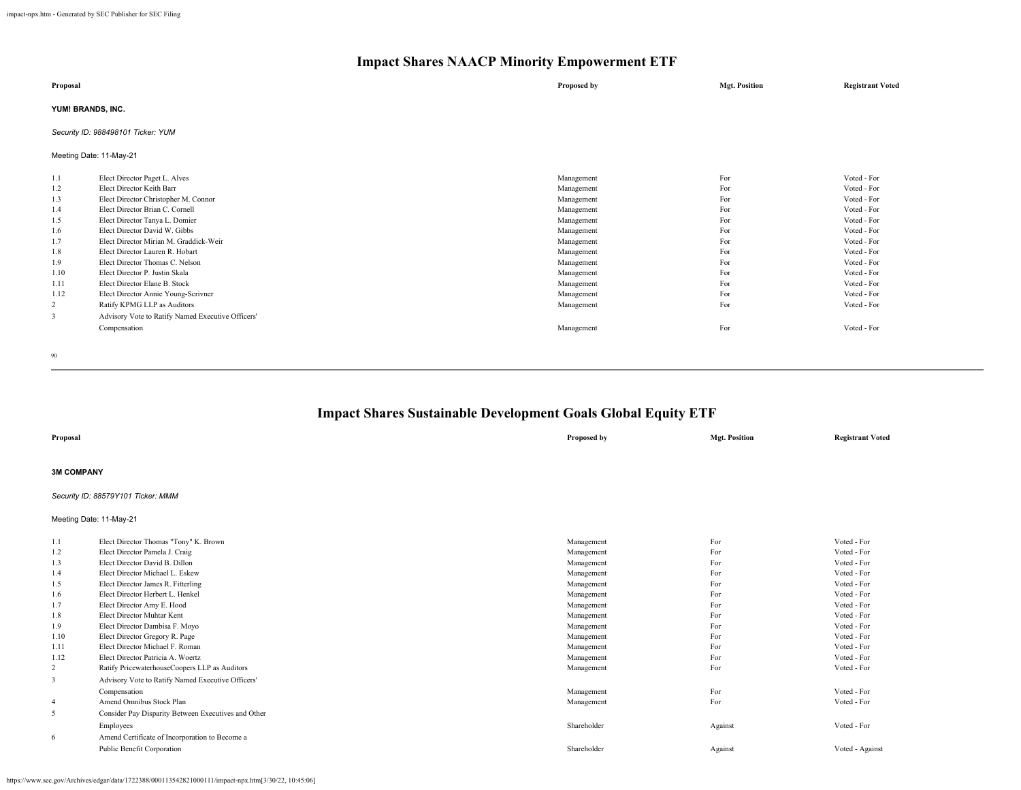| Proposal                                                                                      |                                                                                                                                                                                                                                                                                                                                                                                                                                                                                                                        | Proposed by                                                                                                                                                                        | <b>Mgt. Position</b>                                                                    | <b>Registrant Voted</b>                                                                                                                                                                         |  |  |
|-----------------------------------------------------------------------------------------------|------------------------------------------------------------------------------------------------------------------------------------------------------------------------------------------------------------------------------------------------------------------------------------------------------------------------------------------------------------------------------------------------------------------------------------------------------------------------------------------------------------------------|------------------------------------------------------------------------------------------------------------------------------------------------------------------------------------|-----------------------------------------------------------------------------------------|-------------------------------------------------------------------------------------------------------------------------------------------------------------------------------------------------|--|--|
| YUM! BRANDS, INC.                                                                             |                                                                                                                                                                                                                                                                                                                                                                                                                                                                                                                        |                                                                                                                                                                                    |                                                                                         |                                                                                                                                                                                                 |  |  |
|                                                                                               | Security ID: 988498101 Ticker: YUM                                                                                                                                                                                                                                                                                                                                                                                                                                                                                     |                                                                                                                                                                                    |                                                                                         |                                                                                                                                                                                                 |  |  |
|                                                                                               | Meeting Date: 11-May-21                                                                                                                                                                                                                                                                                                                                                                                                                                                                                                |                                                                                                                                                                                    |                                                                                         |                                                                                                                                                                                                 |  |  |
| 1.1<br>1.2<br>1.3<br>1.4<br>1.5<br>1.6<br>1.7<br>1.8<br>1.9<br>1.10<br>1.11<br>1.12<br>2<br>3 | Elect Director Paget L. Alves<br>Elect Director Keith Barr<br>Elect Director Christopher M. Connor<br>Elect Director Brian C. Cornell<br>Elect Director Tanya L. Domier<br>Elect Director David W. Gibbs<br>Elect Director Mirian M. Graddick-Weir<br>Elect Director Lauren R. Hobart<br>Elect Director Thomas C. Nelson<br>Elect Director P. Justin Skala<br>Elect Director Elane B. Stock<br>Elect Director Annie Young-Scrivner<br>Ratify KPMG LLP as Auditors<br>Advisory Vote to Ratify Named Executive Officers' | Management<br>Management<br>Management<br>Management<br>Management<br>Management<br>Management<br>Management<br>Management<br>Management<br>Management<br>Management<br>Management | For<br>For<br>For<br>For<br>For<br>For<br>For<br>For<br>For<br>For<br>For<br>For<br>For | Voted - For<br>Voted - For<br>Voted - For<br>Voted - For<br>Voted - For<br>Voted - For<br>Voted - For<br>Voted - For<br>Voted - For<br>Voted - For<br>Voted - For<br>Voted - For<br>Voted - For |  |  |
|                                                                                               | Compensation                                                                                                                                                                                                                                                                                                                                                                                                                                                                                                           | Management                                                                                                                                                                         | For                                                                                     | Voted - For                                                                                                                                                                                     |  |  |

90

| Proposal          |                                                     | Proposed by | <b>Mgt. Position</b> | <b>Registrant Voted</b> |
|-------------------|-----------------------------------------------------|-------------|----------------------|-------------------------|
| <b>3M COMPANY</b> |                                                     |             |                      |                         |
|                   | Security ID: 88579Y101 Ticker: MMM                  |             |                      |                         |
|                   | Meeting Date: 11-May-21                             |             |                      |                         |
| 1.1               | Elect Director Thomas "Tony" K. Brown               | Management  | For                  | Voted - For             |
| 1.2               | Elect Director Pamela J. Craig                      | Management  | For                  | Voted - For             |
| 1.3               | Elect Director David B. Dillon                      | Management  | For                  | Voted - For             |
| 1.4               | Elect Director Michael L. Eskew                     | Management  | For                  | Voted - For             |
| 1.5               | Elect Director James R. Fitterling                  | Management  | For                  | Voted - For             |
| 1.6               | Elect Director Herbert L. Henkel                    | Management  | For                  | Voted - For             |
| 1.7               | Elect Director Amy E. Hood                          | Management  | For                  | Voted - For             |
| 1.8               | Elect Director Muhtar Kent                          | Management  | For                  | Voted - For             |
| 1.9               | Elect Director Dambisa F. Moyo                      | Management  | For                  | Voted - For             |
| 1.10              | Elect Director Gregory R. Page                      | Management  | For                  | Voted - For             |
| 1.11              | Elect Director Michael F. Roman                     | Management  | For                  | Voted - For             |
| 1.12              | Elect Director Patricia A. Woertz                   | Management  | For                  | Voted - For             |
| $\overline{c}$    | Ratify PricewaterhouseCoopers LLP as Auditors       | Management  | For                  | Voted - For             |
| 3                 | Advisory Vote to Ratify Named Executive Officers'   |             |                      |                         |
|                   | Compensation                                        | Management  | For                  | Voted - For             |
| $\overline{4}$    | Amend Omnibus Stock Plan                            | Management  | For                  | Voted - For             |
| 5                 | Consider Pay Disparity Between Executives and Other |             |                      |                         |
|                   | Employees                                           | Shareholder | Against              | Voted - For             |
| 6                 | Amend Certificate of Incorporation to Become a      |             |                      |                         |
|                   | Public Benefit Corporation                          | Shareholder |                      |                         |
|                   |                                                     |             | Against              | Voted - Against         |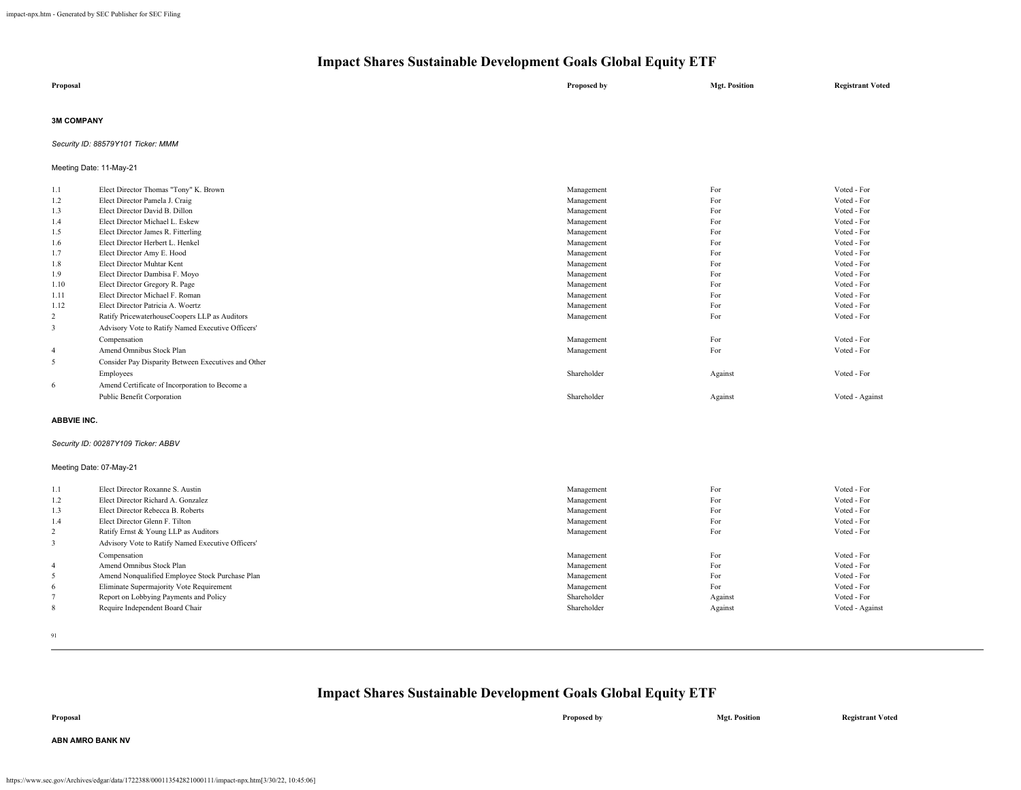| Proposal | Proposed by | <b>Mgt. Position</b> | <b>Registrant Voted</b> |
|----------|-------------|----------------------|-------------------------|
|          |             |                      |                         |

### **3M COMPANY**

*Security ID: 88579Y101 Ticker: MMM*

## Meeting Date: 11-May-21

| 1.1            | Elect Director Thomas "Tony" K. Brown               | Management  | For     | Voted - For     |
|----------------|-----------------------------------------------------|-------------|---------|-----------------|
| 1.2            | Elect Director Pamela J. Craig                      | Management  | For     | Voted - For     |
| 1.3            | Elect Director David B. Dillon                      | Management  | For     | Voted - For     |
| 1.4            | Elect Director Michael L. Eskew                     | Management  | For     | Voted - For     |
| 1.5            | Elect Director James R. Fitterling                  | Management  | For     | Voted - For     |
| 1.6            | Elect Director Herbert L. Henkel                    | Management  | For     | Voted - For     |
| 1.7            | Elect Director Amy E. Hood                          | Management  | For     | Voted - For     |
| 1.8            | Elect Director Muhtar Kent                          | Management  | For     | Voted - For     |
| 1.9            | Elect Director Dambisa F. Moyo                      | Management  | For     | Voted - For     |
| 1.10           | Elect Director Gregory R. Page                      | Management  | For     | Voted - For     |
| 1.11           | Elect Director Michael F. Roman                     | Management  | For     | Voted - For     |
| 1.12           | Elect Director Patricia A. Woertz                   | Management  | For     | Voted - For     |
| $\overline{2}$ | Ratify PricewaterhouseCoopers LLP as Auditors       | Management  | For     | Voted - For     |
| 3              | Advisory Vote to Ratify Named Executive Officers'   |             |         |                 |
|                | Compensation                                        | Management  | For     | Voted - For     |
| $\overline{4}$ | Amend Omnibus Stock Plan                            | Management  | For     | Voted - For     |
| 5              | Consider Pay Disparity Between Executives and Other |             |         |                 |
|                | Employees                                           | Shareholder | Against | Voted - For     |
| 6              | Amend Certificate of Incorporation to Become a      |             |         |                 |
|                | Public Benefit Corporation                          | Shareholder | Against | Voted - Against |
|                |                                                     |             |         |                 |

### **ABBVIE INC.**

#### *Security ID: 00287Y109 Ticker: ABBV*

#### Meeting Date: 07-May-21

| 1.1            | Elect Director Roxanne S. Austin                  | Management  | For     | Voted - For     |
|----------------|---------------------------------------------------|-------------|---------|-----------------|
| 1.2            | Elect Director Richard A. Gonzalez                | Management  | For     | Voted - For     |
| 1.3            | Elect Director Rebecca B. Roberts                 | Management  | For     | Voted - For     |
| 1.4            | Elect Director Glenn F. Tilton                    | Management  | For     | Voted - For     |
| 2              | Ratify Ernst & Young LLP as Auditors              | Management  | For     | Voted - For     |
|                | Advisory Vote to Ratify Named Executive Officers' |             |         |                 |
|                | Compensation                                      | Management  | For     | Voted - For     |
| $\overline{4}$ | Amend Omnibus Stock Plan                          | Management  | For     | Voted - For     |
| 5              | Amend Nonqualified Employee Stock Purchase Plan   | Management  | For     | Voted - For     |
| 6              | Eliminate Supermajority Vote Requirement          | Management  | For     | Voted - For     |
|                | Report on Lobbying Payments and Policy            | Shareholder | Against | Voted - For     |
| 8              | Require Independent Board Chair                   | Shareholder | Against | Voted - Against |

91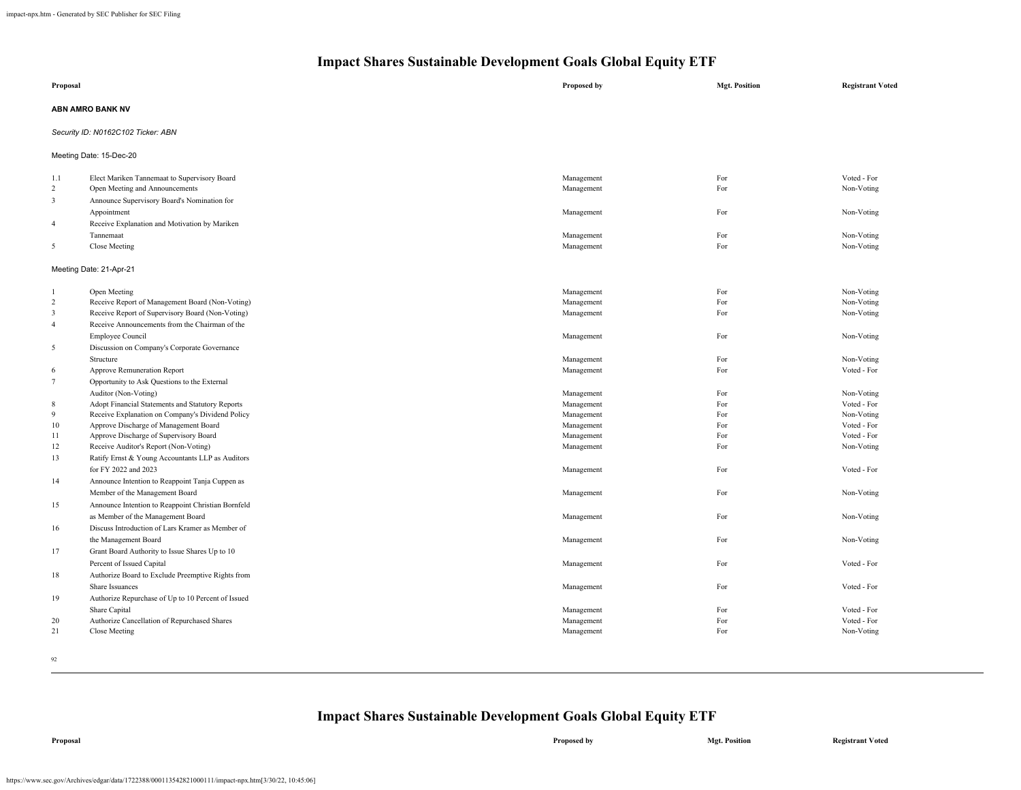| Proposal                         |                                                                                                      | Proposed by              | <b>Mgt. Position</b> | <b>Registrant Voted</b>   |
|----------------------------------|------------------------------------------------------------------------------------------------------|--------------------------|----------------------|---------------------------|
|                                  |                                                                                                      |                          |                      |                           |
|                                  | ABN AMRO BANK NV                                                                                     |                          |                      |                           |
|                                  | Security ID: N0162C102 Ticker: ABN                                                                   |                          |                      |                           |
|                                  | Meeting Date: 15-Dec-20                                                                              |                          |                      |                           |
| 1.1                              | Elect Mariken Tannemaat to Supervisory Board                                                         | Management               | For                  | Voted - For               |
| $\overline{2}$                   | Open Meeting and Announcements                                                                       | Management               | For                  | Non-Voting                |
| $\overline{3}$                   | Announce Supervisory Board's Nomination for                                                          |                          |                      |                           |
|                                  | Appointment                                                                                          | Management               | For                  | Non-Voting                |
| $\overline{4}$                   | Receive Explanation and Motivation by Mariken                                                        |                          |                      |                           |
|                                  | Tannemaat                                                                                            | Management               | For                  | Non-Voting                |
| 5                                | Close Meeting                                                                                        | Management               | For                  | Non-Voting                |
|                                  | Meeting Date: 21-Apr-21                                                                              |                          |                      |                           |
|                                  |                                                                                                      |                          |                      |                           |
| $\overline{1}$<br>$\overline{2}$ | Open Meeting                                                                                         | Management               | For<br>For           | Non-Voting<br>Non-Voting  |
| $\overline{\mathbf{3}}$          | Receive Report of Management Board (Non-Voting)<br>Receive Report of Supervisory Board (Non-Voting)  | Management<br>Management | For                  | Non-Voting                |
| $\overline{4}$                   | Receive Announcements from the Chairman of the                                                       |                          |                      |                           |
|                                  |                                                                                                      |                          |                      |                           |
|                                  | <b>Employee Council</b>                                                                              | Management               | For                  | Non-Voting                |
| 5                                | Discussion on Company's Corporate Governance                                                         |                          |                      |                           |
|                                  | Structure                                                                                            | Management               | For<br>For           | Non-Voting<br>Voted - For |
| 6                                | Approve Remuneration Report                                                                          | Management               |                      |                           |
| $7\phantom{.0}$                  | Opportunity to Ask Questions to the External                                                         |                          |                      |                           |
|                                  | Auditor (Non-Voting)                                                                                 | Management               | For                  | Non-Voting                |
| 8<br>9                           | Adopt Financial Statements and Statutory Reports<br>Receive Explanation on Company's Dividend Policy | Management<br>Management | For<br>For           | Voted - For<br>Non-Voting |
| 10                               | Approve Discharge of Management Board                                                                | Management               | For                  | Voted - For               |
| 11                               | Approve Discharge of Supervisory Board                                                               | Management               | For                  | Voted - For               |
| 12                               | Receive Auditor's Report (Non-Voting)                                                                | Management               | For                  | Non-Voting                |
| 13                               | Ratify Ernst & Young Accountants LLP as Auditors                                                     |                          |                      |                           |
|                                  | for FY 2022 and 2023                                                                                 | Management               | For                  | Voted - For               |
| 14                               | Announce Intention to Reappoint Tanja Cuppen as                                                      |                          |                      |                           |
|                                  | Member of the Management Board                                                                       | Management               | For                  | Non-Voting                |
| 15                               | Announce Intention to Reappoint Christian Bornfeld                                                   |                          |                      |                           |
|                                  | as Member of the Management Board                                                                    | Management               | For                  | Non-Voting                |
| 16                               | Discuss Introduction of Lars Kramer as Member of                                                     |                          |                      |                           |
|                                  | the Management Board                                                                                 | Management               | For                  | Non-Voting                |
| 17                               | Grant Board Authority to Issue Shares Up to 10                                                       |                          |                      |                           |
|                                  |                                                                                                      |                          |                      | Voted - For               |
|                                  | Percent of Issued Capital                                                                            | Management               | For                  |                           |
| 18                               | Authorize Board to Exclude Preemptive Rights from                                                    |                          |                      |                           |
|                                  | Share Issuances                                                                                      | Management               | For                  | Voted - For               |
| 19                               | Authorize Repurchase of Up to 10 Percent of Issued                                                   |                          |                      |                           |
|                                  | Share Capital                                                                                        | Management               | For                  | Voted - For               |
| 20                               | Authorize Cancellation of Repurchased Shares                                                         | Management               | For                  | Voted - For               |
| 21                               | Close Meeting                                                                                        | Management               | For                  | Non-Voting                |
|                                  |                                                                                                      |                          |                      |                           |

92

## **Impact Shares Sustainable Development Goals Global Equity ETF**

**Proposal Proposed by Mgt. Position Registrant Voted**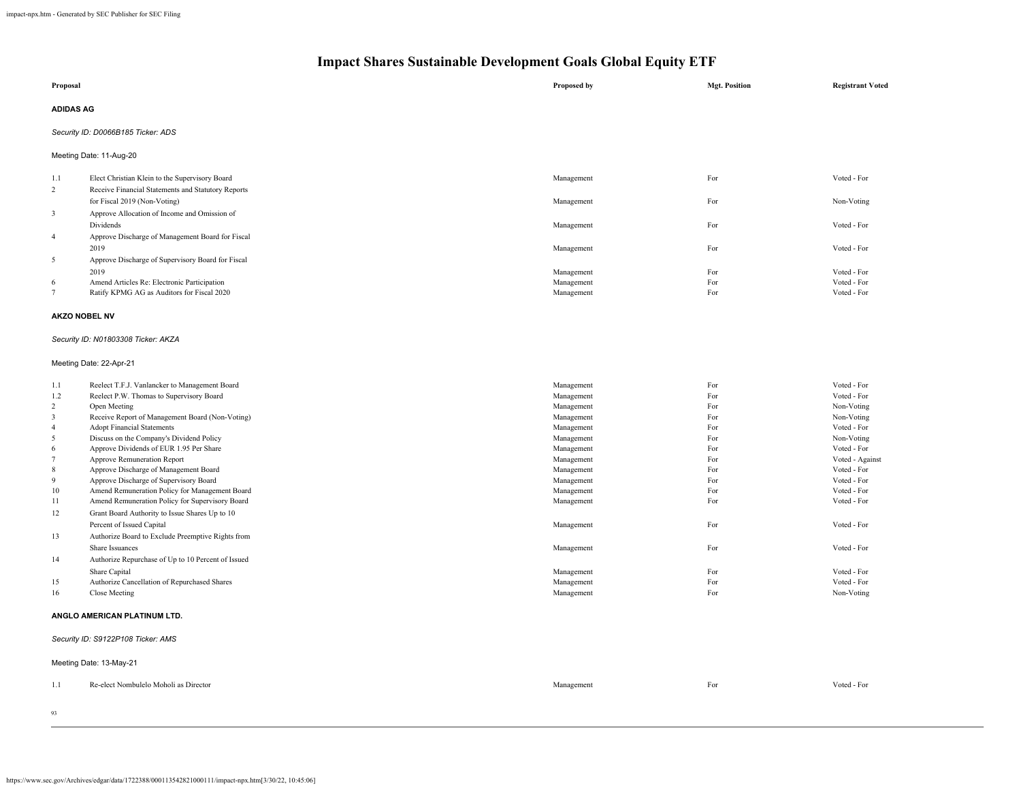| Proposal                                                                                                                                                      |                                                                                                                                                                                                                                                                                                                                                                                                                                                                                                                                                                                                                                                                                                                                                                                                                | Proposed by                                                                                                                                                                                                                                | <b>Mgt. Position</b>                                                                                                | <b>Registrant Voted</b>                                                                                                                                                                                                                                     |  |  |
|---------------------------------------------------------------------------------------------------------------------------------------------------------------|----------------------------------------------------------------------------------------------------------------------------------------------------------------------------------------------------------------------------------------------------------------------------------------------------------------------------------------------------------------------------------------------------------------------------------------------------------------------------------------------------------------------------------------------------------------------------------------------------------------------------------------------------------------------------------------------------------------------------------------------------------------------------------------------------------------|--------------------------------------------------------------------------------------------------------------------------------------------------------------------------------------------------------------------------------------------|---------------------------------------------------------------------------------------------------------------------|-------------------------------------------------------------------------------------------------------------------------------------------------------------------------------------------------------------------------------------------------------------|--|--|
| <b>ADIDAS AG</b>                                                                                                                                              |                                                                                                                                                                                                                                                                                                                                                                                                                                                                                                                                                                                                                                                                                                                                                                                                                |                                                                                                                                                                                                                                            |                                                                                                                     |                                                                                                                                                                                                                                                             |  |  |
|                                                                                                                                                               | Security ID: D0066B185 Ticker: ADS                                                                                                                                                                                                                                                                                                                                                                                                                                                                                                                                                                                                                                                                                                                                                                             |                                                                                                                                                                                                                                            |                                                                                                                     |                                                                                                                                                                                                                                                             |  |  |
|                                                                                                                                                               | Meeting Date: 11-Aug-20                                                                                                                                                                                                                                                                                                                                                                                                                                                                                                                                                                                                                                                                                                                                                                                        |                                                                                                                                                                                                                                            |                                                                                                                     |                                                                                                                                                                                                                                                             |  |  |
| 1.1<br>$\overline{2}$                                                                                                                                         | Elect Christian Klein to the Supervisory Board<br>Receive Financial Statements and Statutory Reports                                                                                                                                                                                                                                                                                                                                                                                                                                                                                                                                                                                                                                                                                                           | Management                                                                                                                                                                                                                                 | For                                                                                                                 | Voted - For                                                                                                                                                                                                                                                 |  |  |
| $\mathbf{3}$                                                                                                                                                  | for Fiscal 2019 (Non-Voting)<br>Approve Allocation of Income and Omission of                                                                                                                                                                                                                                                                                                                                                                                                                                                                                                                                                                                                                                                                                                                                   | Management                                                                                                                                                                                                                                 | For                                                                                                                 | Non-Voting                                                                                                                                                                                                                                                  |  |  |
|                                                                                                                                                               | Dividends                                                                                                                                                                                                                                                                                                                                                                                                                                                                                                                                                                                                                                                                                                                                                                                                      | Management                                                                                                                                                                                                                                 | For                                                                                                                 | Voted - For                                                                                                                                                                                                                                                 |  |  |
| $\overline{4}$                                                                                                                                                | Approve Discharge of Management Board for Fiscal<br>2019                                                                                                                                                                                                                                                                                                                                                                                                                                                                                                                                                                                                                                                                                                                                                       | Management                                                                                                                                                                                                                                 | For                                                                                                                 | Voted - For                                                                                                                                                                                                                                                 |  |  |
| 5                                                                                                                                                             | Approve Discharge of Supervisory Board for Fiscal<br>2019                                                                                                                                                                                                                                                                                                                                                                                                                                                                                                                                                                                                                                                                                                                                                      | Management                                                                                                                                                                                                                                 | For                                                                                                                 | Voted - For                                                                                                                                                                                                                                                 |  |  |
| 6<br>$\tau$                                                                                                                                                   | Amend Articles Re: Electronic Participation<br>Ratify KPMG AG as Auditors for Fiscal 2020                                                                                                                                                                                                                                                                                                                                                                                                                                                                                                                                                                                                                                                                                                                      | Management<br>Management                                                                                                                                                                                                                   | For<br>For                                                                                                          | Voted - For<br>Voted - For                                                                                                                                                                                                                                  |  |  |
| AKZO NOBEL NV                                                                                                                                                 |                                                                                                                                                                                                                                                                                                                                                                                                                                                                                                                                                                                                                                                                                                                                                                                                                |                                                                                                                                                                                                                                            |                                                                                                                     |                                                                                                                                                                                                                                                             |  |  |
|                                                                                                                                                               | Security ID: N01803308 Ticker: AKZA                                                                                                                                                                                                                                                                                                                                                                                                                                                                                                                                                                                                                                                                                                                                                                            |                                                                                                                                                                                                                                            |                                                                                                                     |                                                                                                                                                                                                                                                             |  |  |
|                                                                                                                                                               | Meeting Date: 22-Apr-21                                                                                                                                                                                                                                                                                                                                                                                                                                                                                                                                                                                                                                                                                                                                                                                        |                                                                                                                                                                                                                                            |                                                                                                                     |                                                                                                                                                                                                                                                             |  |  |
| 1.1<br>1.2<br>$\overline{c}$<br>$\mathbf{3}$<br>$\overline{4}$<br>5<br>6<br>$7\phantom{.0}$<br>$\,$ 8 $\,$<br>9<br>$10\,$<br>11<br>12<br>13<br>14<br>15<br>16 | Reelect T.F.J. Vanlancker to Management Board<br>Reelect P.W. Thomas to Supervisory Board<br>Open Meeting<br>Receive Report of Management Board (Non-Voting)<br><b>Adopt Financial Statements</b><br>Discuss on the Company's Dividend Policy<br>Approve Dividends of EUR 1.95 Per Share<br>Approve Remuneration Report<br>Approve Discharge of Management Board<br>Approve Discharge of Supervisory Board<br>Amend Remuneration Policy for Management Board<br>Amend Remuneration Policy for Supervisory Board<br>Grant Board Authority to Issue Shares Up to 10<br>Percent of Issued Capital<br>Authorize Board to Exclude Preemptive Rights from<br>Share Issuances<br>Authorize Repurchase of Up to 10 Percent of Issued<br>Share Capital<br>Authorize Cancellation of Repurchased Shares<br>Close Meeting | Management<br>Management<br>Management<br>Management<br>Management<br>Management<br>Management<br>Management<br>Management<br>Management<br>Management<br>Management<br>Management<br>Management<br>Management<br>Management<br>Management | For<br>For<br>For<br>For<br>For<br>For<br>For<br>For<br>For<br>For<br>For<br>For<br>For<br>For<br>For<br>For<br>For | Voted - For<br>Voted - For<br>Non-Voting<br>Non-Voting<br>Voted - For<br>Non-Voting<br>Voted - For<br>Voted - Against<br>Voted - For<br>Voted - For<br>Voted - For<br>Voted - For<br>Voted - For<br>Voted - For<br>Voted - For<br>Voted - For<br>Non-Voting |  |  |
|                                                                                                                                                               | ANGLO AMERICAN PLATINUM LTD.                                                                                                                                                                                                                                                                                                                                                                                                                                                                                                                                                                                                                                                                                                                                                                                   |                                                                                                                                                                                                                                            |                                                                                                                     |                                                                                                                                                                                                                                                             |  |  |
|                                                                                                                                                               | Security ID: S9122P108 Ticker: AMS                                                                                                                                                                                                                                                                                                                                                                                                                                                                                                                                                                                                                                                                                                                                                                             |                                                                                                                                                                                                                                            |                                                                                                                     |                                                                                                                                                                                                                                                             |  |  |
|                                                                                                                                                               | Meeting Date: 13-May-21                                                                                                                                                                                                                                                                                                                                                                                                                                                                                                                                                                                                                                                                                                                                                                                        |                                                                                                                                                                                                                                            |                                                                                                                     |                                                                                                                                                                                                                                                             |  |  |
| 1.1                                                                                                                                                           | Re-elect Nombulelo Moholi as Director                                                                                                                                                                                                                                                                                                                                                                                                                                                                                                                                                                                                                                                                                                                                                                          | Management                                                                                                                                                                                                                                 | For                                                                                                                 | Voted - For                                                                                                                                                                                                                                                 |  |  |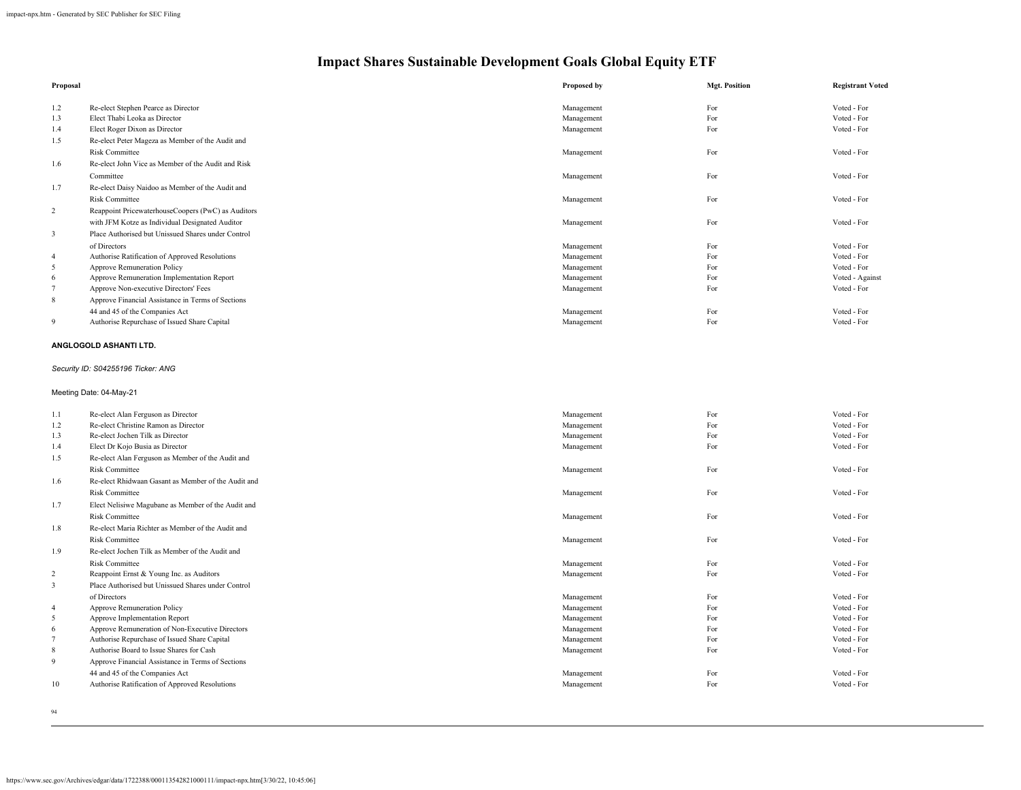| Proposal       |                                                              | Proposed by | <b>Mgt. Position</b> | <b>Registrant Voted</b> |
|----------------|--------------------------------------------------------------|-------------|----------------------|-------------------------|
| 1.2            | Re-elect Stephen Pearce as Director                          | Management  | For                  | Voted - For             |
| 1.3            | Elect Thabi Leoka as Director                                | Management  | For                  | Voted - For             |
| 1.4            | Elect Roger Dixon as Director                                | Management  | For                  | Voted - For             |
| 1.5            | Re-elect Peter Mageza as Member of the Audit and             |             |                      |                         |
|                | <b>Risk Committee</b>                                        | Management  | For                  | Voted - For             |
| 1.6            | Re-elect John Vice as Member of the Audit and Risk           |             |                      |                         |
|                | Committee                                                    | Management  | For                  | Voted - For             |
| 1.7            | Re-elect Daisy Naidoo as Member of the Audit and             |             |                      |                         |
|                | <b>Risk Committee</b>                                        | Management  | For                  | Voted - For             |
| $\sqrt{2}$     | Reappoint PricewaterhouseCoopers (PwC) as Auditors           |             |                      |                         |
|                | with JFM Kotze as Individual Designated Auditor              | Management  | For                  | Voted - For             |
| $\mathbf{3}$   | Place Authorised but Unissued Shares under Control           |             |                      |                         |
|                | of Directors                                                 | Management  | For                  | Voted - For             |
| $\overline{4}$ | Authorise Ratification of Approved Resolutions               | Management  | For                  | Voted - For             |
| 5              | Approve Remuneration Policy                                  | Management  | For                  | Voted - For             |
| $\epsilon$     | Approve Remuneration Implementation Report                   | Management  | For                  | Voted - Against         |
| $\tau$         | Approve Non-executive Directors' Fees                        | Management  | For                  | Voted - For             |
| $\,$ 8 $\,$    | Approve Financial Assistance in Terms of Sections            |             |                      |                         |
|                | 44 and 45 of the Companies Act                               | Management  | For                  | Voted - For             |
| 9              | Authorise Repurchase of Issued Share Capital                 | Management  | For                  | Voted - For             |
|                | ANGLOGOLD ASHANTI LTD.<br>Security ID: S04255196 Ticker: ANG |             |                      |                         |
|                | Meeting Date: 04-May-21                                      |             |                      |                         |
| 1.1            | Re-elect Alan Ferguson as Director                           | Management  | For                  | Voted - For             |
| 1.2            | Re-elect Christine Ramon as Director                         | Management  | For                  | Voted - For             |
| 1.3            | Re-elect Jochen Tilk as Director                             | Management  | For                  | Voted - For             |
| 1.4            | Elect Dr Kojo Busia as Director                              | Management  | For                  | Voted - For             |
| 1.5            | Re-elect Alan Ferguson as Member of the Audit and            |             |                      |                         |
|                | <b>Risk Committee</b>                                        | Management  | For                  | Voted - For             |
| 1.6            | Re-elect Rhidwaan Gasant as Member of the Audit and          |             |                      |                         |
|                | <b>Risk Committee</b>                                        | Management  | For                  | Voted - For             |
| 1.7            | Elect Nelisiwe Magubane as Member of the Audit and           |             |                      |                         |
|                | <b>Risk Committee</b>                                        | Management  | For                  | Voted - For             |
| 1.8            | Re-elect Maria Richter as Member of the Audit and            |             |                      |                         |
|                | <b>Risk Committee</b>                                        | Management  | For                  | Voted - For             |
| 1.9            | Re-elect Jochen Tilk as Member of the Audit and              |             |                      |                         |
|                | <b>Risk Committee</b>                                        | Management  | For                  | Voted - For             |
| $\sqrt{2}$     | Reappoint Ernst & Young Inc. as Auditors                     | Management  | For                  | Voted - For             |
| $\mathfrak{Z}$ | Place Authorised but Unissued Shares under Control           |             |                      |                         |
|                | of Directors                                                 | Management  | For                  | Voted - For             |
| $\overline{4}$ | Approve Remuneration Policy                                  | Management  | For                  | Voted - For             |
| 5              | Approve Implementation Report                                | Management  | For                  | Voted - For             |
| 6              | Approve Remuneration of Non-Executive Directors              | Management  | For                  | Voted - For             |
| $\overline{7}$ | Authorise Repurchase of Issued Share Capital                 | Management  | For                  | Voted - For             |
| $\,$ 8 $\,$    | Authorise Board to Issue Shares for Cash                     | Management  | For                  | Voted - For             |
| 9              | Approve Financial Assistance in Terms of Sections            |             |                      |                         |
|                | 44 and 45 of the Companies Act                               | Management  | For                  | Voted - For             |
| 10             | Authorise Ratification of Approved Resolutions               | Management  | For                  | Voted - For             |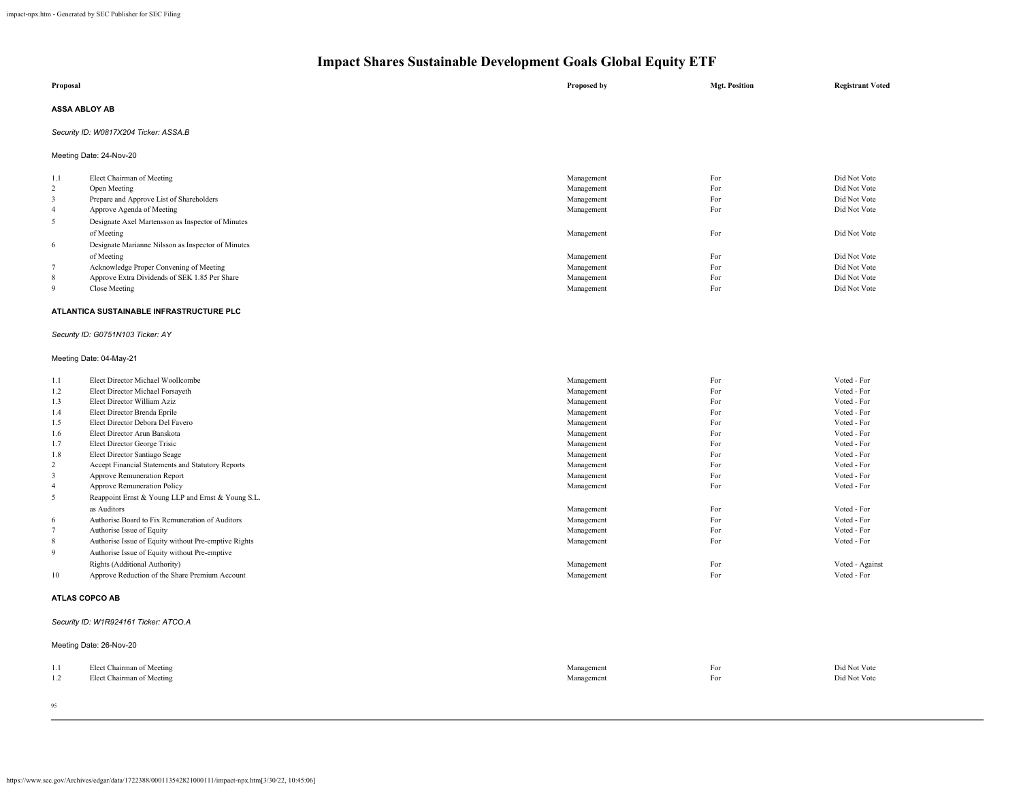|                                             | Impact Shares Sustainable Development Goals Global Equity ETF                                                                                                                                                                                                                                                                                         |  |                                                                                                              |                                                      |                                                                                                                              |
|---------------------------------------------|-------------------------------------------------------------------------------------------------------------------------------------------------------------------------------------------------------------------------------------------------------------------------------------------------------------------------------------------------------|--|--------------------------------------------------------------------------------------------------------------|------------------------------------------------------|------------------------------------------------------------------------------------------------------------------------------|
| Proposal                                    |                                                                                                                                                                                                                                                                                                                                                       |  | Proposed by                                                                                                  | <b>Mgt. Position</b>                                 | <b>Registrant Voted</b>                                                                                                      |
| <b>ASSA ABLOY AB</b>                        |                                                                                                                                                                                                                                                                                                                                                       |  |                                                                                                              |                                                      |                                                                                                                              |
|                                             | Security ID: W0817X204 Ticker: ASSA.B                                                                                                                                                                                                                                                                                                                 |  |                                                                                                              |                                                      |                                                                                                                              |
|                                             | Meeting Date: 24-Nov-20                                                                                                                                                                                                                                                                                                                               |  |                                                                                                              |                                                      |                                                                                                                              |
| 1.1<br>2<br>3<br>4<br>5<br>6<br>$\tau$<br>8 | Elect Chairman of Meeting<br>Open Meeting<br>Prepare and Approve List of Shareholders<br>Approve Agenda of Meeting<br>Designate Axel Martensson as Inspector of Minutes<br>of Meeting<br>Designate Marianne Nilsson as Inspector of Minutes<br>of Meeting<br>Acknowledge Proper Convening of Meeting<br>Approve Extra Dividends of SEK 1.85 Per Share |  | Management<br>Management<br>Management<br>Management<br>Management<br>Management<br>Management<br>Management | For<br>For<br>For<br>For<br>For<br>For<br>For<br>For | Did Not Vote<br>Did Not Vote<br>Did Not Vote<br>Did Not Vote<br>Did Not Vote<br>Did Not Vote<br>Did Not Vote<br>Did Not Vote |
| 9                                           | Close Meeting<br>ATLANTICA SUSTAINABLE INFRASTRUCTURE PLC                                                                                                                                                                                                                                                                                             |  | Management                                                                                                   | For                                                  | Did Not Vote                                                                                                                 |
|                                             |                                                                                                                                                                                                                                                                                                                                                       |  |                                                                                                              |                                                      |                                                                                                                              |

## *Security ID: G0751N103 Ticker: AY*

## Meeting Date: 04-May-21

| 1.1            | Elect Director Michael Woollcombe                    | Management | For | Voted - For     |
|----------------|------------------------------------------------------|------------|-----|-----------------|
| 1.2            | Elect Director Michael Forsayeth                     | Management | For | Voted - For     |
| 1.3            | Elect Director William Aziz                          | Management | For | Voted - For     |
| 1.4            | Elect Director Brenda Eprile                         | Management | For | Voted - For     |
| 1.5            | Elect Director Debora Del Favero                     | Management | For | Voted - For     |
| 1.6            | Elect Director Arun Banskota                         | Management | For | Voted - For     |
| 1.7            | Elect Director George Trisic                         | Management | For | Voted - For     |
| 1.8            | Elect Director Santiago Seage                        | Management | For | Voted - For     |
| 2              | Accept Financial Statements and Statutory Reports    | Management | For | Voted - For     |
| 3              | Approve Remuneration Report                          | Management | For | Voted - For     |
| $\overline{4}$ | <b>Approve Remuneration Policy</b>                   | Management | For | Voted - For     |
| 5              | Reappoint Ernst & Young LLP and Ernst & Young S.L.   |            |     |                 |
|                | as Auditors                                          | Management | For | Voted - For     |
| -6             | Authorise Board to Fix Remuneration of Auditors      | Management | For | Voted - For     |
|                | Authorise Issue of Equity                            | Management | For | Voted - For     |
| 8              | Authorise Issue of Equity without Pre-emptive Rights | Management | For | Voted - For     |
| 9              | Authorise Issue of Equity without Pre-emptive        |            |     |                 |
|                | Rights (Additional Authority)                        | Management | For | Voted - Against |
| 10             | Approve Reduction of the Share Premium Account       | Management | For | Voted - For     |
|                |                                                      |            |     |                 |

### **ATLAS COPCO AB**

## *Security ID: W1R924161 Ticker: ATCO.A*

|     | Meeting Date: 26-Nov-20   |            |     |              |
|-----|---------------------------|------------|-----|--------------|
| 1.1 | Elect Chairman of Meeting | Management | For | Did Not Vote |
| 1.2 | Elect Chairman of Meeting | Management | For | Did Not Vote |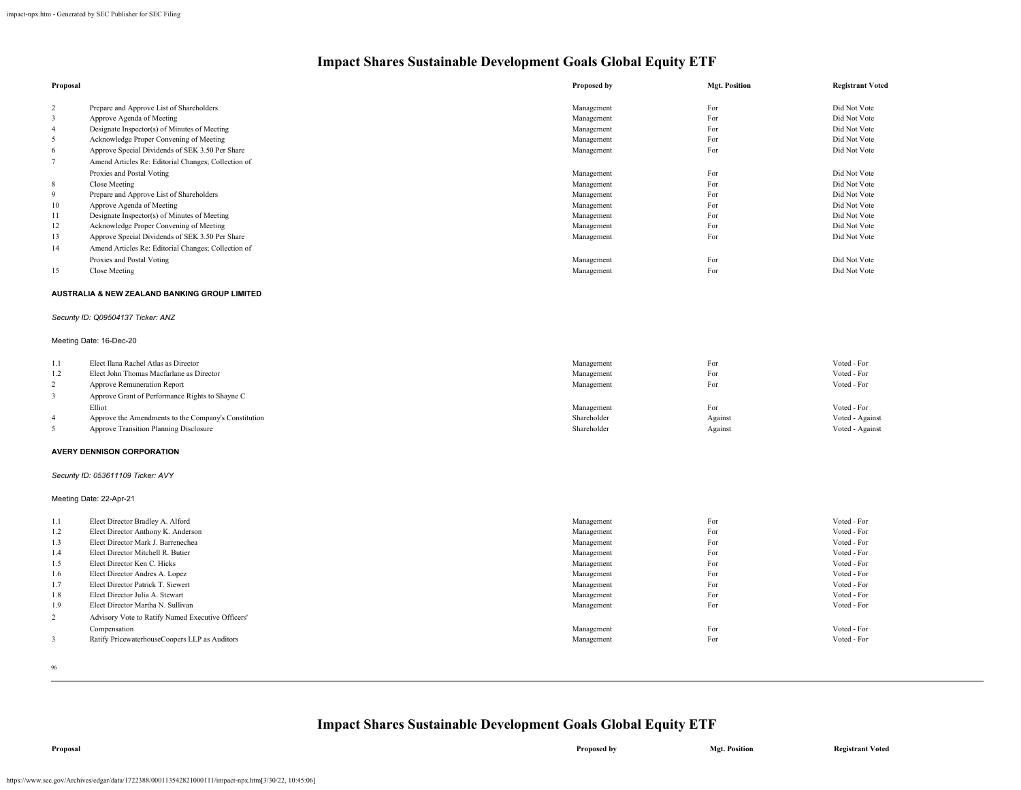| Proposal                |                                                      | <b>Proposed by</b> | <b>Mgt. Position</b> | <b>Registrant Voted</b> |
|-------------------------|------------------------------------------------------|--------------------|----------------------|-------------------------|
| 2                       | Prepare and Approve List of Shareholders             | Management         | For                  | Did Not Vote            |
| 3                       | Approve Agenda of Meeting                            | Management         | For                  | Did Not Vote            |
| $\overline{4}$          | Designate Inspector(s) of Minutes of Meeting         | Management         | For                  | Did Not Vote            |
| 5                       | Acknowledge Proper Convening of Meeting              | Management         | For                  | Did Not Vote            |
| 6                       | Approve Special Dividends of SEK 3.50 Per Share      | Management         | For                  | Did Not Vote            |
| $\tau$                  | Amend Articles Re: Editorial Changes; Collection of  |                    |                      |                         |
|                         | Proxies and Postal Voting                            | Management         | For                  | Did Not Vote            |
| 8                       | Close Meeting                                        | Management         | For                  | Did Not Vote            |
| 9                       | Prepare and Approve List of Shareholders             | Management         | For                  | Did Not Vote            |
| 10                      | Approve Agenda of Meeting                            | Management         | For                  | Did Not Vote            |
| 11                      | Designate Inspector(s) of Minutes of Meeting         | Management         | For                  | Did Not Vote            |
| 12                      | Acknowledge Proper Convening of Meeting              | Management         | For                  | Did Not Vote            |
| 13                      | Approve Special Dividends of SEK 3.50 Per Share      | Management         | For                  | Did Not Vote            |
| 14                      | Amend Articles Re: Editorial Changes; Collection of  |                    |                      |                         |
|                         | Proxies and Postal Voting                            | Management         | For                  | Did Not Vote            |
| 15                      | Close Meeting                                        | Management         | For                  | Did Not Vote            |
|                         |                                                      |                    |                      |                         |
|                         | AUSTRALIA & NEW ZEALAND BANKING GROUP LIMITED        |                    |                      |                         |
|                         | Security ID: Q09504137 Ticker: ANZ                   |                    |                      |                         |
|                         | Meeting Date: 16-Dec-20                              |                    |                      |                         |
| 1.1                     | Elect Ilana Rachel Atlas as Director                 | Management         | For                  | Voted - For             |
| 1.2                     | Elect John Thomas Macfarlane as Director             | Management         | For                  | Voted - For             |
| 2                       | Approve Remuneration Report                          | Management         | For                  | Voted - For             |
| $\overline{\mathbf{3}}$ | Approve Grant of Performance Rights to Shayne C      |                    |                      |                         |
|                         | Elliot                                               | Management         | For                  | Voted - For             |
| $\overline{4}$          | Approve the Amendments to the Company's Constitution | Shareholder        | Against              | Voted - Against         |
| 5                       | Approve Transition Planning Disclosure               | Shareholder        | Against              | Voted - Against         |
|                         |                                                      |                    |                      |                         |
|                         | <b>AVERY DENNISON CORPORATION</b>                    |                    |                      |                         |
|                         | Security ID: 053611109 Ticker: AVY                   |                    |                      |                         |
|                         | Meeting Date: 22-Apr-21                              |                    |                      |                         |
| $1.1\,$                 | Elect Director Bradley A. Alford                     | Management         | For                  | Voted - For             |
| 1.2                     | Elect Director Anthony K. Anderson                   | Management         | For                  | Voted - For             |
| 1.3                     | Elect Director Mark J. Barrenechea                   | Management         | For                  | Voted - For             |
| 1.4                     | Elect Director Mitchell R. Butier                    | Management         | For                  | Voted - For             |
| 1.5                     | Elect Director Ken C. Hicks                          | Management         | For                  | Voted - For             |
| 1.6                     | Elect Director Andres A. Lopez                       | Management         | For                  | Voted - For             |
| 1.7                     | Elect Director Patrick T. Siewert                    | Management         | For                  | Voted - For             |
| 1.8                     | Elect Director Julia A. Stewart                      | Management         | For                  | Voted - For             |
| 1.9                     | Elect Director Martha N. Sullivan                    | Management         | For                  | Voted - For             |
| $\overline{c}$          | Advisory Vote to Ratify Named Executive Officers'    |                    |                      |                         |
|                         | Compensation                                         | Management         | For                  | Voted - For             |
| 3                       | Ratify PricewaterhouseCoopers LLP as Auditors        | Management         | For                  | Voted - For             |
|                         |                                                      |                    |                      |                         |

96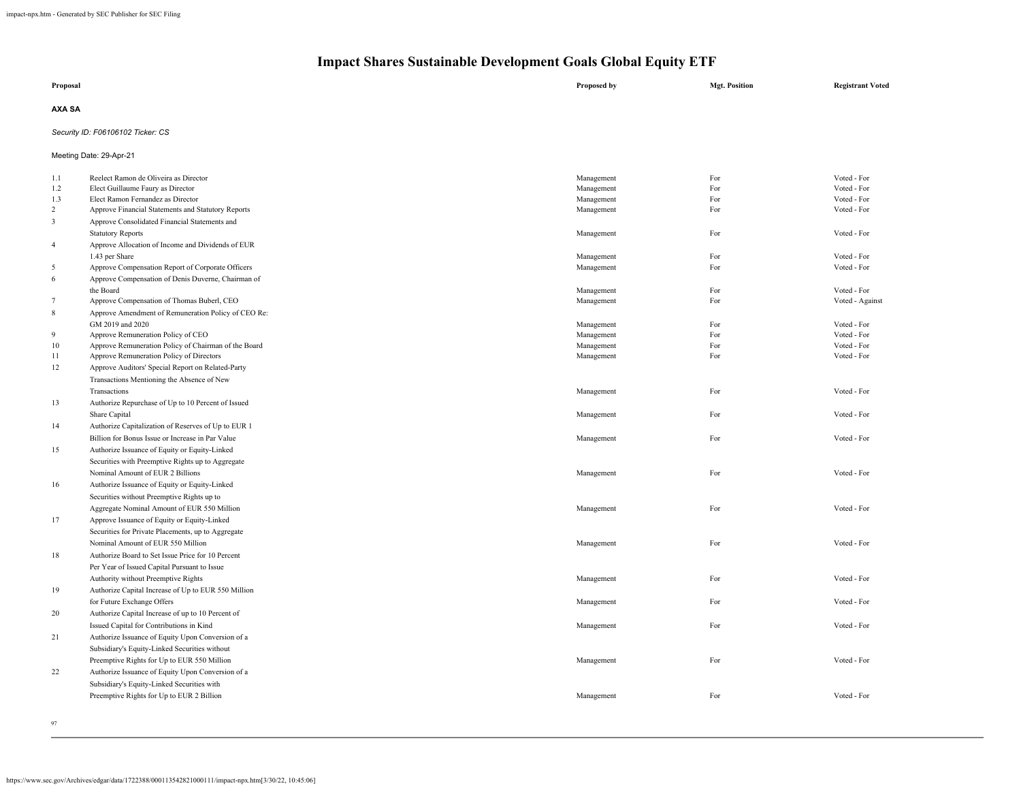| Proposal | Proposed by | <b>Mgt. Position</b> | <b>Registrant Voted</b> |
|----------|-------------|----------------------|-------------------------|
| AXA SA   |             |                      |                         |

## *Security ID: F06106102 Ticker: CS*

Meeting Date: 29-Apr-21

| 1.1                     | Reelect Ramon de Oliveira as Director                | Management | For | Voted - For     |
|-------------------------|------------------------------------------------------|------------|-----|-----------------|
| 1.2                     | Elect Guillaume Faury as Director                    | Management | For | Voted - For     |
| 1.3                     | Elect Ramon Fernandez as Director                    | Management | For | Voted - For     |
| 2                       | Approve Financial Statements and Statutory Reports   | Management | For | Voted - For     |
| $\overline{\mathbf{3}}$ | Approve Consolidated Financial Statements and        |            |     |                 |
|                         | <b>Statutory Reports</b>                             | Management | For | Voted - For     |
| $\overline{4}$          | Approve Allocation of Income and Dividends of EUR    |            |     |                 |
|                         | 1.43 per Share                                       | Management | For | Voted - For     |
| 5                       | Approve Compensation Report of Corporate Officers    | Management | For | Voted - For     |
| 6                       | Approve Compensation of Denis Duverne, Chairman of   |            |     |                 |
|                         | the Board                                            | Management | For | Voted - For     |
| $\tau$                  | Approve Compensation of Thomas Buberl, CEO           | Management | For | Voted - Against |
| $\,$ 8 $\,$             | Approve Amendment of Remuneration Policy of CEO Re:  |            |     |                 |
|                         | GM 2019 and 2020                                     | Management | For | Voted - For     |
| 9                       | Approve Remuneration Policy of CEO                   | Management | For | Voted - For     |
| 10                      | Approve Remuneration Policy of Chairman of the Board | Management | For | Voted - For     |
| 11                      | Approve Remuneration Policy of Directors             | Management | For | Voted - For     |
| 12                      | Approve Auditors' Special Report on Related-Party    |            |     |                 |
|                         | Transactions Mentioning the Absence of New           |            |     |                 |
|                         | Transactions                                         | Management | For | Voted - For     |
| 13                      | Authorize Repurchase of Up to 10 Percent of Issued   |            |     |                 |
|                         | Share Capital                                        | Management | For | Voted - For     |
| 14                      | Authorize Capitalization of Reserves of Up to EUR 1  |            |     |                 |
|                         | Billion for Bonus Issue or Increase in Par Value     | Management | For | Voted - For     |
| 15                      | Authorize Issuance of Equity or Equity-Linked        |            |     |                 |
|                         | Securities with Preemptive Rights up to Aggregate    |            |     |                 |
|                         | Nominal Amount of EUR 2 Billions                     | Management | For | Voted - For     |
| 16                      | Authorize Issuance of Equity or Equity-Linked        |            |     |                 |
|                         | Securities without Preemptive Rights up to           |            |     |                 |
|                         | Aggregate Nominal Amount of EUR 550 Million          | Management | For | Voted - For     |
| 17                      | Approve Issuance of Equity or Equity-Linked          |            |     |                 |
|                         | Securities for Private Placements, up to Aggregate   |            |     |                 |
|                         | Nominal Amount of EUR 550 Million                    | Management | For | Voted - For     |
| 18                      | Authorize Board to Set Issue Price for 10 Percent    |            |     |                 |
|                         | Per Year of Issued Capital Pursuant to Issue         |            |     |                 |
|                         |                                                      |            |     | Voted - For     |
|                         | Authority without Preemptive Rights                  | Management | For |                 |
| 19                      | Authorize Capital Increase of Up to EUR 550 Million  |            |     |                 |
|                         | for Future Exchange Offers                           | Management | For | Voted - For     |
| 20                      | Authorize Capital Increase of up to 10 Percent of    |            |     |                 |
|                         | Issued Capital for Contributions in Kind             | Management | For | Voted - For     |
| 21                      | Authorize Issuance of Equity Upon Conversion of a    |            |     |                 |
|                         | Subsidiary's Equity-Linked Securities without        |            |     |                 |
|                         | Preemptive Rights for Up to EUR 550 Million          | Management | For | Voted - For     |
| 22                      | Authorize Issuance of Equity Upon Conversion of a    |            |     |                 |
|                         | Subsidiary's Equity-Linked Securities with           |            |     |                 |
|                         | Preemptive Rights for Up to EUR 2 Billion            | Management | For | Voted - For     |
|                         |                                                      |            |     |                 |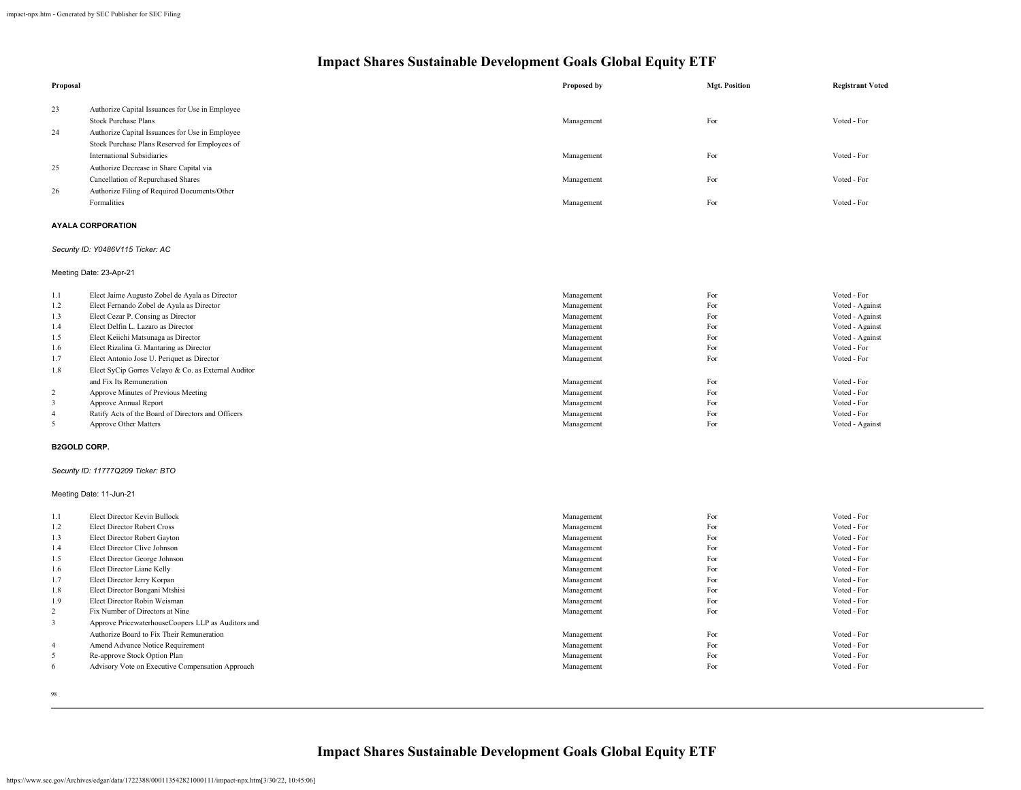| Proposal                |                                                           | Proposed by              | <b>Mgt. Position</b> | <b>Registrant Voted</b>    |
|-------------------------|-----------------------------------------------------------|--------------------------|----------------------|----------------------------|
| 23                      | Authorize Capital Issuances for Use in Employee           |                          |                      |                            |
|                         | <b>Stock Purchase Plans</b>                               | Management               | For                  | Voted - For                |
| 24                      | Authorize Capital Issuances for Use in Employee           |                          |                      |                            |
|                         | Stock Purchase Plans Reserved for Employees of            |                          |                      |                            |
|                         | <b>International Subsidiaries</b>                         | Management               | For                  | Voted - For                |
| 25                      | Authorize Decrease in Share Capital via                   |                          |                      |                            |
|                         | Cancellation of Repurchased Shares                        | Management               | For                  | Voted - For                |
| 26                      | Authorize Filing of Required Documents/Other              |                          |                      |                            |
|                         | Formalities                                               | Management               | For                  | Voted - For                |
|                         | <b>AYALA CORPORATION</b>                                  |                          |                      |                            |
|                         | Security ID: Y0486V115 Ticker: AC                         |                          |                      |                            |
|                         | Meeting Date: 23-Apr-21                                   |                          |                      |                            |
| 1.1                     | Elect Jaime Augusto Zobel de Ayala as Director            | Management               | For                  | Voted - For                |
| 1.2                     | Elect Fernando Zobel de Ayala as Director                 | Management               | For                  | Voted - Against            |
| 1.3                     | Elect Cezar P. Consing as Director                        | Management               | For                  | Voted - Against            |
| 1.4                     | Elect Delfin L. Lazaro as Director                        | Management               | For                  | Voted - Against            |
| 1.5                     | Elect Keiichi Matsunaga as Director                       | Management               | For                  | Voted - Against            |
| 1.6                     | Elect Rizalina G. Mantaring as Director                   | Management               | For                  | Voted - For                |
| 1.7                     | Elect Antonio Jose U. Periquet as Director                | Management               | For                  | Voted - For                |
| $1.8\,$                 | Elect SyCip Gorres Velayo & Co. as External Auditor       |                          |                      |                            |
|                         | and Fix Its Remuneration                                  | Management               | For                  | Voted - For                |
| $\overline{c}$          | Approve Minutes of Previous Meeting                       | Management               | For                  | Voted - For                |
| 3                       | Approve Annual Report                                     | Management               | For                  | Voted - For                |
| $\overline{\mathbf{4}}$ | Ratify Acts of the Board of Directors and Officers        | Management               | For                  | Voted - For                |
| 5                       | Approve Other Matters                                     | Management               | For                  | Voted - Against            |
|                         | <b>B2GOLD CORP.</b>                                       |                          |                      |                            |
|                         | Security ID: 11777Q209 Ticker: BTO                        |                          |                      |                            |
|                         | Meeting Date: 11-Jun-21                                   |                          |                      |                            |
| $1.1\,$                 | Elect Director Kevin Bullock                              | Management               | For                  | Voted - For                |
| 1.2                     | <b>Elect Director Robert Cross</b>                        | Management               | For                  | Voted - For                |
| 1.3                     | Elect Director Robert Gayton                              | Management               | For                  | Voted - For                |
| 1.4                     | Elect Director Clive Johnson                              | Management               | For                  | Voted - For                |
| 1.5                     | Elect Director George Johnson                             | Management               | For                  | Voted - For<br>Voted - For |
| 1.6<br>1.7              | Elect Director Liane Kelly<br>Elect Director Jerry Korpan | Management               | For<br>For           | Voted - For                |
| 1.8                     | Elect Director Bongani Mtshisi                            | Management               | For                  | Voted - For                |
| 1.9                     | Elect Director Robin Weisman                              | Management<br>Management | For                  | Voted - For                |
| $\overline{c}$          | Fix Number of Directors at Nine                           | Management               | For                  | Voted - For                |
| 3                       | Approve PricewaterhouseCoopers LLP as Auditors and        |                          |                      |                            |
|                         | Authorize Board to Fix Their Remuneration                 | Management               | For                  | Voted - For                |
| $\overline{\mathbf{4}}$ | Amend Advance Notice Requirement                          | Management               | For                  | Voted - For                |
| 5                       | Re-approve Stock Option Plan                              | Management               | For                  | Voted - For                |
| 6                       | Advisory Vote on Executive Compensation Approach          | Management               | For                  | Voted - For                |
|                         |                                                           |                          |                      |                            |

98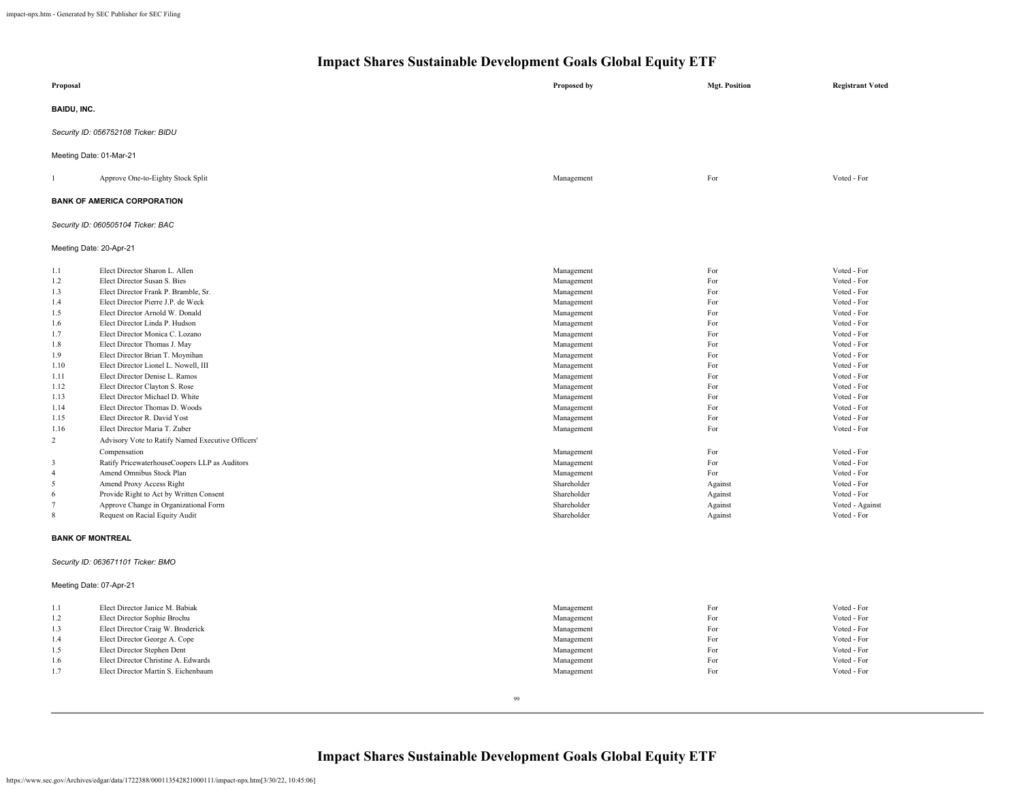| Proposal                                                                                                                                                                          |                                                                                                                                                                                                                                                                                                                                                                                                                                                                                                                                                                                                                                                                                                                                                                                                                                                                                | Proposed by                                                                                                                                                                                                                                                                                                                        | <b>Mgt. Position</b>                                                                                                                                                                                                                                                                                                                                                                          | <b>Registrant Voted</b>                                                                                                                                                                                                                                                                                                                                   |  |  |  |
|-----------------------------------------------------------------------------------------------------------------------------------------------------------------------------------|--------------------------------------------------------------------------------------------------------------------------------------------------------------------------------------------------------------------------------------------------------------------------------------------------------------------------------------------------------------------------------------------------------------------------------------------------------------------------------------------------------------------------------------------------------------------------------------------------------------------------------------------------------------------------------------------------------------------------------------------------------------------------------------------------------------------------------------------------------------------------------|------------------------------------------------------------------------------------------------------------------------------------------------------------------------------------------------------------------------------------------------------------------------------------------------------------------------------------|-----------------------------------------------------------------------------------------------------------------------------------------------------------------------------------------------------------------------------------------------------------------------------------------------------------------------------------------------------------------------------------------------|-----------------------------------------------------------------------------------------------------------------------------------------------------------------------------------------------------------------------------------------------------------------------------------------------------------------------------------------------------------|--|--|--|
| <b>BAIDU, INC.</b>                                                                                                                                                                |                                                                                                                                                                                                                                                                                                                                                                                                                                                                                                                                                                                                                                                                                                                                                                                                                                                                                |                                                                                                                                                                                                                                                                                                                                    |                                                                                                                                                                                                                                                                                                                                                                                               |                                                                                                                                                                                                                                                                                                                                                           |  |  |  |
|                                                                                                                                                                                   | Security ID: 056752108 Ticker: BIDU                                                                                                                                                                                                                                                                                                                                                                                                                                                                                                                                                                                                                                                                                                                                                                                                                                            |                                                                                                                                                                                                                                                                                                                                    |                                                                                                                                                                                                                                                                                                                                                                                               |                                                                                                                                                                                                                                                                                                                                                           |  |  |  |
|                                                                                                                                                                                   | Meeting Date: 01-Mar-21                                                                                                                                                                                                                                                                                                                                                                                                                                                                                                                                                                                                                                                                                                                                                                                                                                                        |                                                                                                                                                                                                                                                                                                                                    |                                                                                                                                                                                                                                                                                                                                                                                               |                                                                                                                                                                                                                                                                                                                                                           |  |  |  |
| $\mathbf{1}$                                                                                                                                                                      | Approve One-to-Eighty Stock Split                                                                                                                                                                                                                                                                                                                                                                                                                                                                                                                                                                                                                                                                                                                                                                                                                                              | Management                                                                                                                                                                                                                                                                                                                         | For                                                                                                                                                                                                                                                                                                                                                                                           | Voted - For                                                                                                                                                                                                                                                                                                                                               |  |  |  |
|                                                                                                                                                                                   | <b>BANK OF AMERICA CORPORATION</b>                                                                                                                                                                                                                                                                                                                                                                                                                                                                                                                                                                                                                                                                                                                                                                                                                                             |                                                                                                                                                                                                                                                                                                                                    |                                                                                                                                                                                                                                                                                                                                                                                               |                                                                                                                                                                                                                                                                                                                                                           |  |  |  |
|                                                                                                                                                                                   | Security ID: 060505104 Ticker: BAC                                                                                                                                                                                                                                                                                                                                                                                                                                                                                                                                                                                                                                                                                                                                                                                                                                             |                                                                                                                                                                                                                                                                                                                                    |                                                                                                                                                                                                                                                                                                                                                                                               |                                                                                                                                                                                                                                                                                                                                                           |  |  |  |
| Meeting Date: 20-Apr-21                                                                                                                                                           |                                                                                                                                                                                                                                                                                                                                                                                                                                                                                                                                                                                                                                                                                                                                                                                                                                                                                |                                                                                                                                                                                                                                                                                                                                    |                                                                                                                                                                                                                                                                                                                                                                                               |                                                                                                                                                                                                                                                                                                                                                           |  |  |  |
| 1.1<br>1.2<br>1.3<br>1.4<br>1.5<br>1.6<br>1.7<br>1.8<br>1.9<br>1.10<br>1.11<br>1.12<br>1.13<br>1.14<br>1.15<br>1.16<br>2<br>3<br>$\overline{4}$<br>5<br>6<br>$7\phantom{.0}$<br>8 | Elect Director Sharon L. Allen<br>Elect Director Susan S. Bies<br>Elect Director Frank P. Bramble, Sr.<br>Elect Director Pierre J.P. de Weck<br>Elect Director Arnold W. Donald<br>Elect Director Linda P. Hudson<br>Elect Director Monica C. Lozano<br>Elect Director Thomas J. May<br>Elect Director Brian T. Moynihan<br>Elect Director Lionel L. Nowell, III<br>Elect Director Denise L. Ramos<br>Elect Director Clayton S. Rose<br>Elect Director Michael D. White<br>Elect Director Thomas D. Woods<br>Elect Director R. David Yost<br>Elect Director Maria T. Zuber<br>Advisory Vote to Ratify Named Executive Officers'<br>Compensation<br>Ratify PricewaterhouseCoopers LLP as Auditors<br>Amend Omnibus Stock Plan<br>Amend Proxy Access Right<br>Provide Right to Act by Written Consent<br>Approve Change in Organizational Form<br>Request on Racial Equity Audit | Management<br>Management<br>Management<br>Management<br>Management<br>Management<br>Management<br>Management<br>Management<br>Management<br>Management<br>Management<br>Management<br>Management<br>Management<br>Management<br>Management<br>Management<br>Management<br>Shareholder<br>Shareholder<br>Shareholder<br>Shareholder | For<br>For<br>$\operatorname*{For}% \nolimits_{\mathbb{Z}}\left( \mathbb{Z}^{\Sigma\left( 1\right) }\right) ^{\otimes n}$<br>For<br>$\operatorname*{For}% \nolimits_{\mathbb{Z}}\left( \mathbb{Z}^{\Sigma\left( 1\right) }\right) ^{\otimes n}$<br>For<br>For<br>For<br>For<br>For<br>For<br>For<br>For<br>For<br>For<br>For<br>For<br>For<br>For<br>Against<br>Against<br>Against<br>Against | Voted - For<br>Voted - For<br>Voted - For<br>Voted - For<br>Voted - For<br>Voted - For<br>Voted - For<br>Voted - For<br>Voted - For<br>Voted - For<br>Voted - For<br>Voted - For<br>Voted - For<br>Voted - For<br>Voted - For<br>Voted - For<br>Voted - For<br>Voted - For<br>Voted - For<br>Voted - For<br>Voted - For<br>Voted - Against<br>Voted - For |  |  |  |
| <b>BANK OF MONTREAL</b>                                                                                                                                                           |                                                                                                                                                                                                                                                                                                                                                                                                                                                                                                                                                                                                                                                                                                                                                                                                                                                                                |                                                                                                                                                                                                                                                                                                                                    |                                                                                                                                                                                                                                                                                                                                                                                               |                                                                                                                                                                                                                                                                                                                                                           |  |  |  |
|                                                                                                                                                                                   | Security ID: 063671101 Ticker: BMO                                                                                                                                                                                                                                                                                                                                                                                                                                                                                                                                                                                                                                                                                                                                                                                                                                             |                                                                                                                                                                                                                                                                                                                                    |                                                                                                                                                                                                                                                                                                                                                                                               |                                                                                                                                                                                                                                                                                                                                                           |  |  |  |
| Meeting Date: 07-Apr-21                                                                                                                                                           |                                                                                                                                                                                                                                                                                                                                                                                                                                                                                                                                                                                                                                                                                                                                                                                                                                                                                |                                                                                                                                                                                                                                                                                                                                    |                                                                                                                                                                                                                                                                                                                                                                                               |                                                                                                                                                                                                                                                                                                                                                           |  |  |  |
| 1.1<br>1.2<br>1.3<br>1.4<br>1.5<br>1.6<br>1.7                                                                                                                                     | Elect Director Janice M. Babiak<br>Elect Director Sophie Brochu<br>Elect Director Craig W. Broderick<br>Elect Director George A. Cope<br>Elect Director Stephen Dent<br>Elect Director Christine A. Edwards<br>Elect Director Martin S. Eichenbaum                                                                                                                                                                                                                                                                                                                                                                                                                                                                                                                                                                                                                             | Management<br>Management<br>Management<br>Management<br>Management<br>Management<br>Management                                                                                                                                                                                                                                     | For<br>For<br>For<br>For<br>For<br>For<br>For                                                                                                                                                                                                                                                                                                                                                 | Voted - For<br>Voted - For<br>Voted - For<br>Voted - For<br>Voted - For<br>Voted - For<br>Voted - For                                                                                                                                                                                                                                                     |  |  |  |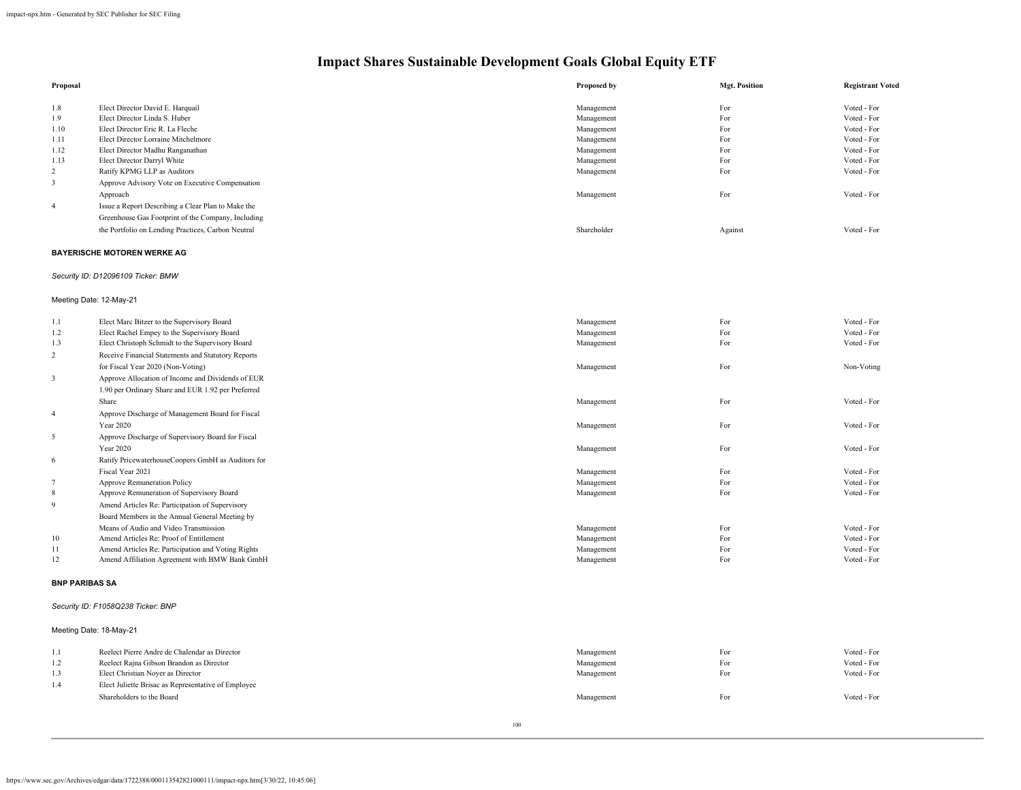| Proposal       |                                                    | Proposed by | <b>Mgt. Position</b> | <b>Registrant Voted</b> |
|----------------|----------------------------------------------------|-------------|----------------------|-------------------------|
|                |                                                    |             |                      |                         |
| 1.8            | Elect Director David E. Harquail                   | Management  | For                  | Voted - For             |
| 1.9            | Elect Director Linda S. Huber                      | Management  | For                  | Voted - For             |
| 1.10           | Elect Director Eric R. La Fleche                   | Management  | For                  | Voted - For             |
| 1.11           | Elect Director Lorraine Mitchelmore                | Management  | For                  | Voted - For             |
| 1.12           | Elect Director Madhu Ranganathan                   | Management  | For                  | Voted - For             |
| 1.13           | Elect Director Darryl White                        | Management  | For                  | Voted - For             |
| 2              | Ratify KPMG LLP as Auditors                        | Management  | For                  | Voted - For             |
|                | Approve Advisory Vote on Executive Compensation    |             |                      |                         |
|                | Approach                                           | Management  | For                  | Voted - For             |
| $\overline{4}$ | Issue a Report Describing a Clear Plan to Make the |             |                      |                         |
|                | Greenhouse Gas Footprint of the Company, Including |             |                      |                         |
|                | the Portfolio on Lending Practices, Carbon Neutral | Shareholder | Against              | Voted - For             |

### **BAYERISCHE MOTOREN WERKE AG**

## *Security ID: D12096109 Ticker: BMW*

## Meeting Date: 12-May-21

| 1.1            | Elect Marc Bitzer to the Supervisory Board         | Management | For | Voted - For |
|----------------|----------------------------------------------------|------------|-----|-------------|
| 1.2            | Elect Rachel Empey to the Supervisory Board        | Management | For | Voted - For |
| 1.3            | Elect Christoph Schmidt to the Supervisory Board   | Management | For | Voted - For |
| $\overline{c}$ | Receive Financial Statements and Statutory Reports |            |     |             |
|                | for Fiscal Year 2020 (Non-Voting)                  | Management | For | Non-Voting  |
| $\mathbf{3}$   | Approve Allocation of Income and Dividends of EUR  |            |     |             |
|                | 1.90 per Ordinary Share and EUR 1.92 per Preferred |            |     |             |
|                | Share                                              | Management | For | Voted - For |
| 4              | Approve Discharge of Management Board for Fiscal   |            |     |             |
|                | Year 2020                                          | Management | For | Voted - For |
| 5              | Approve Discharge of Supervisory Board for Fiscal  |            |     |             |
|                | Year 2020                                          | Management | For | Voted - For |
| 6              | Ratify PricewaterhouseCoopers GmbH as Auditors for |            |     |             |
|                | Fiscal Year 2021                                   | Management | For | Voted - For |
|                | Approve Remuneration Policy                        | Management | For | Voted - For |
| 8              | Approve Remuneration of Supervisory Board          | Management | For | Voted - For |
| 9              | Amend Articles Re: Participation of Supervisory    |            |     |             |
|                | Board Members in the Annual General Meeting by     |            |     |             |
|                | Means of Audio and Video Transmission              | Management | For | Voted - For |
| 10             | Amend Articles Re: Proof of Entitlement            | Management | For | Voted - For |
| 11             | Amend Articles Re: Participation and Voting Rights | Management | For | Voted - For |
| 12             | Amend Affiliation Agreement with BMW Bank GmbH     | Management | For | Voted - For |

### **BNP PARIBAS SA**

## *Security ID: F1058Q238 Ticker: BNP*

#### Meeting Date: 18-May-21

| 1.1 | Reelect Pierre Andre de Chalendar as Director       | Management | For | Voted - For |
|-----|-----------------------------------------------------|------------|-----|-------------|
| 1.2 | Reelect Rajna Gibson Brandon as Director            | Management | For | Voted - For |
| 1.3 | Elect Christian Nover as Director                   | Management | For | Voted - For |
| 1.4 | Elect Juliette Brisac as Representative of Employee |            |     |             |
|     | Shareholders to the Board                           | Management | For | Voted - For |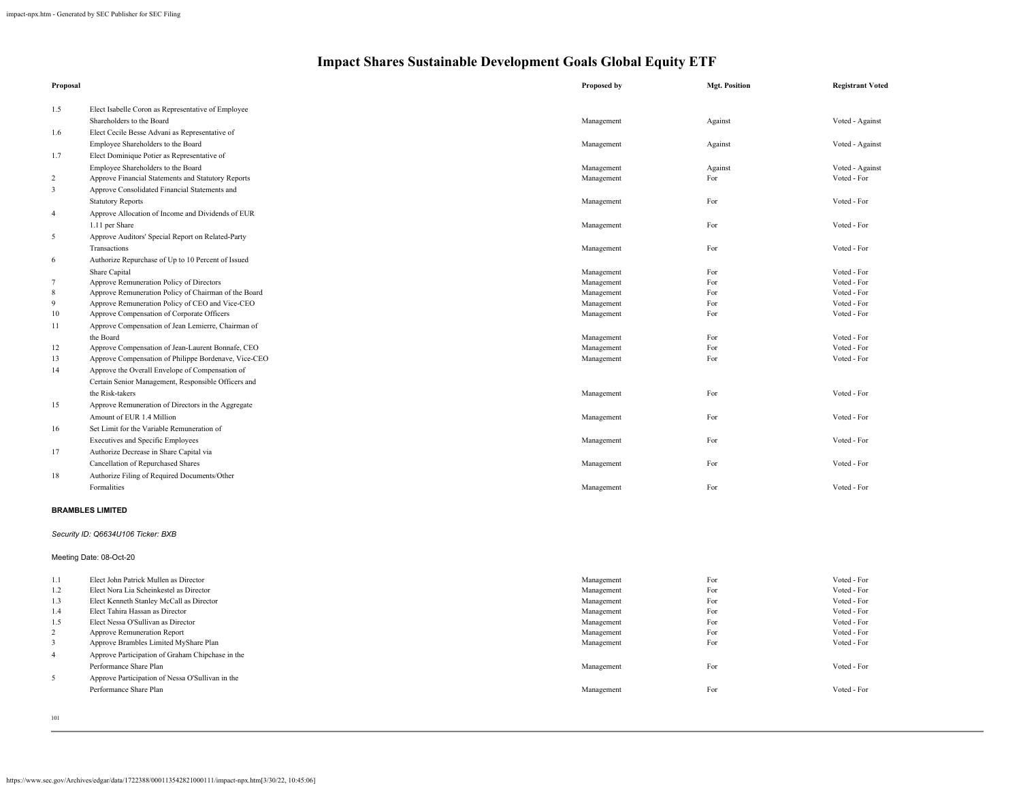| Proposal        |                                                      | Proposed by | <b>Mgt. Position</b> | <b>Registrant Voted</b> |
|-----------------|------------------------------------------------------|-------------|----------------------|-------------------------|
| 1.5             | Elect Isabelle Coron as Representative of Employee   |             |                      |                         |
|                 | Shareholders to the Board                            | Management  | Against              | Voted - Against         |
| 1.6             | Elect Cecile Besse Advani as Representative of       |             |                      |                         |
|                 | Employee Shareholders to the Board                   | Management  | Against              | Voted - Against         |
| 1.7             | Elect Dominique Potier as Representative of          |             |                      |                         |
|                 | Employee Shareholders to the Board                   | Management  | Against              | Voted - Against         |
| $\overline{c}$  | Approve Financial Statements and Statutory Reports   | Management  | For                  | Voted - For             |
| $\mathfrak{Z}$  | Approve Consolidated Financial Statements and        |             |                      |                         |
|                 | <b>Statutory Reports</b>                             | Management  | For                  | Voted - For             |
| $\overline{4}$  | Approve Allocation of Income and Dividends of EUR    |             |                      |                         |
|                 | 1.11 per Share                                       | Management  | For                  | Voted - For             |
| 5               | Approve Auditors' Special Report on Related-Party    |             |                      |                         |
|                 | Transactions                                         | Management  | For                  | Voted - For             |
| 6               | Authorize Repurchase of Up to 10 Percent of Issued   |             |                      |                         |
|                 | Share Capital                                        | Management  | For                  | Voted - For             |
| $7\overline{ }$ | Approve Remuneration Policy of Directors             | Management  | For                  | Voted - For             |
| $\,8\,$         | Approve Remuneration Policy of Chairman of the Board | Management  | For                  | Voted - For             |
| 9               | Approve Remuneration Policy of CEO and Vice-CEO      | Management  | For                  | Voted - For             |
| $10\,$          | Approve Compensation of Corporate Officers           | Management  | For                  | Voted - For             |
| 11              | Approve Compensation of Jean Lemierre, Chairman of   |             |                      |                         |
|                 | the Board                                            | Management  | For                  | Voted - For             |
| 12              | Approve Compensation of Jean-Laurent Bonnafe, CEO    | Management  | For                  | Voted - For             |
| 13              | Approve Compensation of Philippe Bordenave, Vice-CEO | Management  | For                  | Voted - For             |
| 14              | Approve the Overall Envelope of Compensation of      |             |                      |                         |
|                 | Certain Senior Management, Responsible Officers and  |             |                      |                         |
|                 | the Risk-takers                                      | Management  | For                  | Voted - For             |
| 15              | Approve Remuneration of Directors in the Aggregate   |             |                      |                         |
|                 | Amount of EUR 1.4 Million                            | Management  | For                  | Voted - For             |
| 16              | Set Limit for the Variable Remuneration of           |             |                      |                         |
|                 | <b>Executives and Specific Employees</b>             | Management  | For                  | Voted - For             |
| 17              | Authorize Decrease in Share Capital via              |             |                      |                         |
|                 | Cancellation of Repurchased Shares                   | Management  | For                  | Voted - For             |
| 18              | Authorize Filing of Required Documents/Other         |             |                      |                         |
|                 | Formalities                                          | Management  | For                  | Voted - For             |
|                 | <b>BRAMBLES LIMITED</b>                              |             |                      |                         |
|                 | Security ID: Q6634U106 Ticker: BXB                   |             |                      |                         |
|                 | Meeting Date: 08-Oct-20                              |             |                      |                         |
| 1.1             | Elect John Patrick Mullen as Director                | Management  | For                  | Voted - For             |
| 1.2             | Elect Nora Lia Scheinkestel as Director              | Management  | For                  | Voted - For             |
| 1.3             | Elect Kenneth Stanley McCall as Director             | Management  | For                  | Voted - For             |
| 1.4             | Elect Tahira Hassan as Director                      | Management  | For                  | Voted - For             |
| 1.5             | Elect Nessa O'Sullivan as Director                   | Management  | For                  | Voted - For             |

| 1.1            | Elect John Patrick Mullen as Director            | Management | For | Voted - For |
|----------------|--------------------------------------------------|------------|-----|-------------|
| 1.2            | Elect Nora Lia Scheinkestel as Director          | Management | For | Voted - For |
| 1.3            | Elect Kenneth Stanley McCall as Director         | Management | For | Voted - For |
| 1.4            | Elect Tahira Hassan as Director                  | Management | For | Voted - For |
| 1.5            | Elect Nessa O'Sullivan as Director               | Management | For | Voted - For |
| $\overline{2}$ | Approve Remuneration Report                      | Management | For | Voted - For |
| 3              | Approve Brambles Limited MyShare Plan            | Management | For | Voted - For |
| 4              | Approve Participation of Graham Chipchase in the |            |     |             |
|                | Performance Share Plan                           | Management | For | Voted - For |
| 5              | Approve Participation of Nessa O'Sullivan in the |            |     |             |
|                | Performance Share Plan                           | Management | For | Voted - For |
|                |                                                  |            |     |             |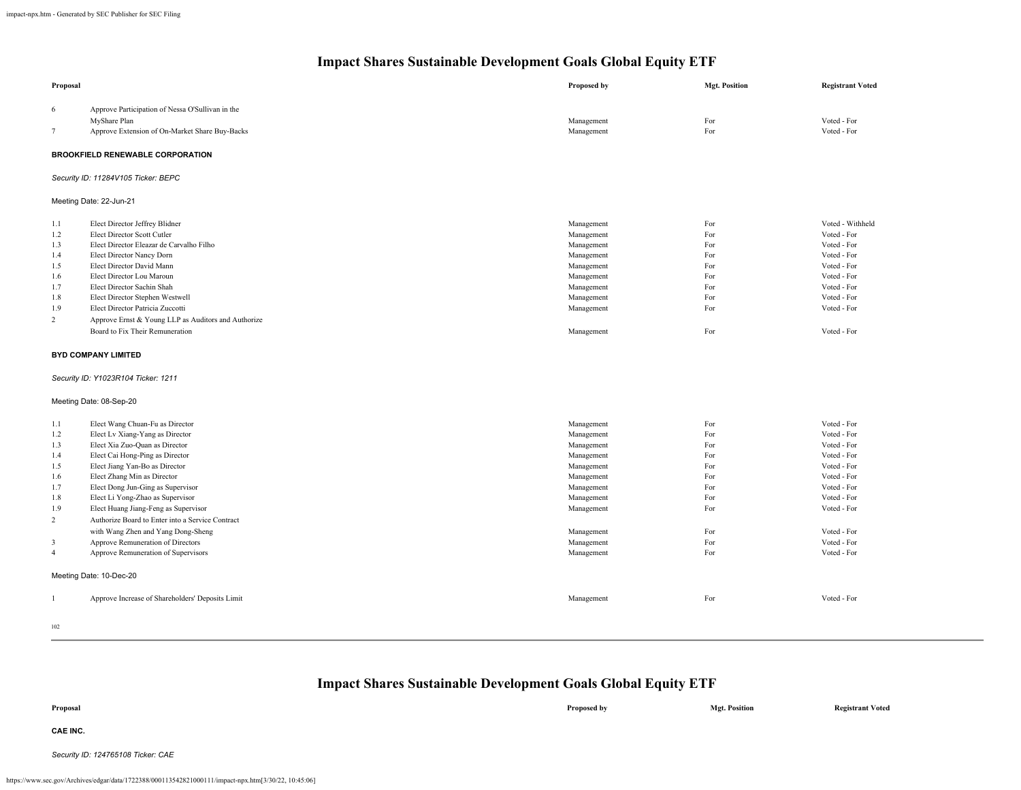| Proposal       |                                                                  | <b>Proposed by</b> | <b>Mgt. Position</b> | <b>Registrant Voted</b>    |
|----------------|------------------------------------------------------------------|--------------------|----------------------|----------------------------|
| 6<br>$\tau$    | Approve Participation of Nessa O'Sullivan in the<br>MyShare Plan | Management         | For<br>For           | Voted - For<br>Voted - For |
|                | Approve Extension of On-Market Share Buy-Backs                   | Management         |                      |                            |
|                | <b>BROOKFIELD RENEWABLE CORPORATION</b>                          |                    |                      |                            |
|                | Security ID: 11284V105 Ticker: BEPC                              |                    |                      |                            |
|                | Meeting Date: 22-Jun-21                                          |                    |                      |                            |
| 1.1            | Elect Director Jeffrey Blidner                                   | Management         | For                  | Voted - Withheld           |
| 1.2            | Elect Director Scott Cutler                                      | Management         | For                  | Voted - For                |
| 1.3            | Elect Director Eleazar de Carvalho Filho                         | Management         | For                  | Voted - For                |
| 1.4            | Elect Director Nancy Dorn                                        | Management         | For                  | Voted - For                |
| 1.5            | Elect Director David Mann                                        | Management         | For                  | Voted - For                |
| 1.6            | Elect Director Lou Maroun                                        | Management         | For                  | Voted - For                |
| 1.7            | Elect Director Sachin Shah                                       | Management         | For                  | Voted - For                |
| 1.8            | Elect Director Stephen Westwell                                  | Management         | For                  | Voted - For                |
| 1.9            | Elect Director Patricia Zuccotti                                 | Management         | For                  | Voted - For                |
| 2              | Approve Ernst & Young LLP as Auditors and Authorize              |                    |                      |                            |
|                | Board to Fix Their Remuneration                                  | Management         | For                  | Voted - For                |
|                | <b>BYD COMPANY LIMITED</b>                                       |                    |                      |                            |
|                | Security ID: Y1023R104 Ticker: 1211                              |                    |                      |                            |
|                | Meeting Date: 08-Sep-20                                          |                    |                      |                            |
| 1.1            | Elect Wang Chuan-Fu as Director                                  | Management         | For                  | Voted - For                |
| 1.2            | Elect Lv Xiang-Yang as Director                                  | Management         | For                  | Voted - For                |
| 1.3            | Elect Xia Zuo-Quan as Director                                   | Management         | For                  | Voted - For                |
| 1.4            | Elect Cai Hong-Ping as Director                                  | Management         | For                  | Voted - For                |
| 1.5            | Elect Jiang Yan-Bo as Director                                   | Management         | For                  | Voted - For                |
| 1.6            | Elect Zhang Min as Director                                      | Management         | For                  | Voted - For                |
| 1.7            | Elect Dong Jun-Ging as Supervisor                                | Management         | For                  | Voted - For                |
| 1.8            | Elect Li Yong-Zhao as Supervisor                                 | Management         | For                  | Voted - For                |
| 1.9            | Elect Huang Jiang-Feng as Supervisor                             | Management         | For                  | Voted - For                |
| $\overline{c}$ | Authorize Board to Enter into a Service Contract                 |                    |                      |                            |
|                | with Wang Zhen and Yang Dong-Sheng                               | Management         | For                  | Voted - For                |
| $\mathbf{3}$   | Approve Remuneration of Directors                                | Management         | For                  | Voted - For                |
| $\overline{4}$ | Approve Remuneration of Supervisors                              | Management         | For                  | Voted - For                |
|                | Meeting Date: 10-Dec-20                                          |                    |                      |                            |
| $\mathbf{1}$   | Approve Increase of Shareholders' Deposits Limit                 | Management         | For                  | Voted - For                |
|                |                                                                  |                    |                      |                            |
| $102 -$        |                                                                  |                    |                      |                            |

102

## **Impact Shares Sustainable Development Goals Global Equity ETF**

| Proposal        | Proposed by | <b>Mgt. Position</b> | <b>Registrant Voted</b> |
|-----------------|-------------|----------------------|-------------------------|
| <b>CAE INC.</b> |             |                      |                         |

*Security ID: 124765108 Ticker: CAE*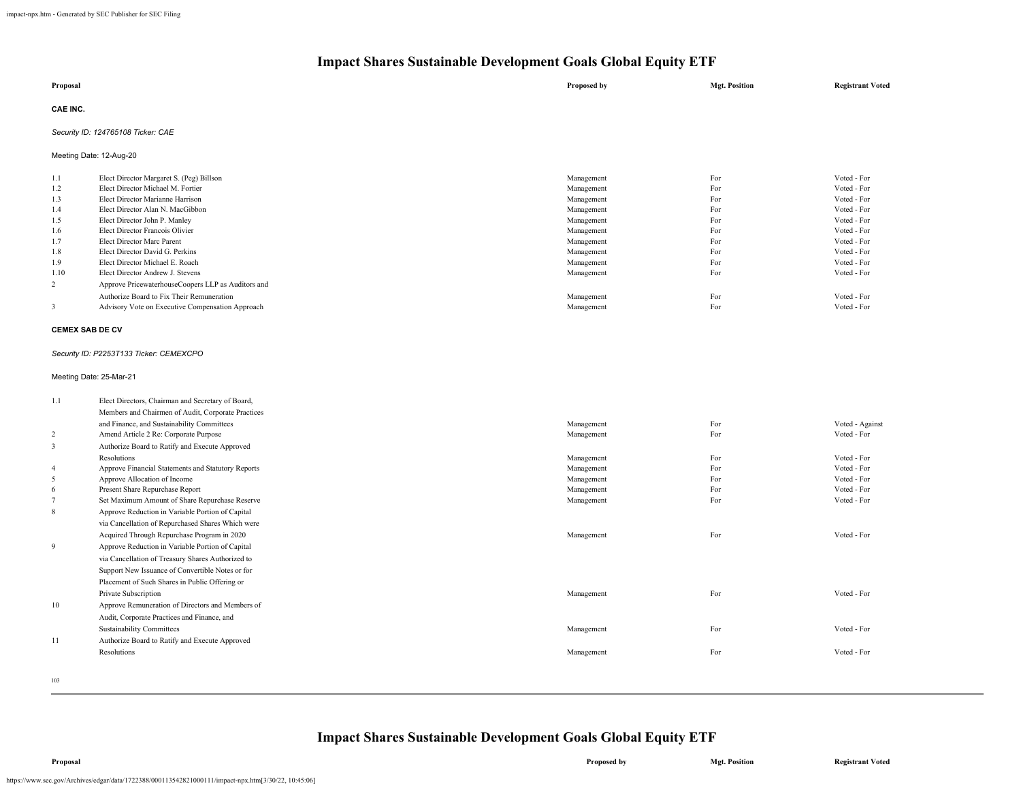| Proposal        | Proposed by | <b>Mgt. Position</b> | <b>Registrant Voted</b> |
|-----------------|-------------|----------------------|-------------------------|
| <b>CAE INC.</b> |             |                      |                         |

## *Security ID: 124765108 Ticker: CAE*

Meeting Date: 12-Aug-20

| 1.1  | Elect Director Margaret S. (Peg) Billson           | Management | For | Voted - For |
|------|----------------------------------------------------|------------|-----|-------------|
| 1.2  | Elect Director Michael M. Fortier                  | Management | For | Voted - For |
| 1.3  | Elect Director Marianne Harrison                   | Management | For | Voted - For |
| 1.4  | Elect Director Alan N. MacGibbon                   | Management | For | Voted - For |
| 1.5  | Elect Director John P. Manley                      | Management | For | Voted - For |
| 1.6  | Elect Director Francois Olivier                    | Management | For | Voted - For |
| 1.7  | Elect Director Marc Parent                         | Management | For | Voted - For |
| 1.8  | Elect Director David G. Perkins                    | Management | For | Voted - For |
| 1.9  | Elect Director Michael E. Roach                    | Management | For | Voted - For |
| 1.10 | Elect Director Andrew J. Stevens                   | Management | For | Voted - For |
| 2    | Approve PricewaterhouseCoopers LLP as Auditors and |            |     |             |
|      | Authorize Board to Fix Their Remuneration          | Management | For | Voted - For |
|      | Advisory Vote on Executive Compensation Approach   | Management | For | Voted - For |

## **CEMEX SAB DE CV**

#### *Security ID: P2253T133 Ticker: CEMEXCPO*

## Meeting Date: 25-Mar-21

| 1.1            | Elect Directors, Chairman and Secretary of Board,  |            |     |                 |
|----------------|----------------------------------------------------|------------|-----|-----------------|
|                | Members and Chairmen of Audit, Corporate Practices |            |     |                 |
|                | and Finance, and Sustainability Committees         | Management | For | Voted - Against |
| $\overline{c}$ | Amend Article 2 Re: Corporate Purpose              | Management | For | Voted - For     |
| 3              | Authorize Board to Ratify and Execute Approved     |            |     |                 |
|                | <b>Resolutions</b>                                 | Management | For | Voted - For     |
| $\overline{4}$ | Approve Financial Statements and Statutory Reports | Management | For | Voted - For     |
| 5              | Approve Allocation of Income                       | Management | For | Voted - For     |
| 6              | Present Share Repurchase Report                    | Management | For | Voted - For     |
| $\overline{7}$ | Set Maximum Amount of Share Repurchase Reserve     | Management | For | Voted - For     |
| 8              | Approve Reduction in Variable Portion of Capital   |            |     |                 |
|                | via Cancellation of Repurchased Shares Which were  |            |     |                 |
|                | Acquired Through Repurchase Program in 2020        | Management | For | Voted - For     |
| 9              | Approve Reduction in Variable Portion of Capital   |            |     |                 |
|                | via Cancellation of Treasury Shares Authorized to  |            |     |                 |
|                | Support New Issuance of Convertible Notes or for   |            |     |                 |
|                | Placement of Such Shares in Public Offering or     |            |     |                 |
|                | Private Subscription                               | Management | For | Voted - For     |
| 10             | Approve Remuneration of Directors and Members of   |            |     |                 |
|                | Audit, Corporate Practices and Finance, and        |            |     |                 |
|                | <b>Sustainability Committees</b>                   | Management | For | Voted - For     |
| 11             | Authorize Board to Ratify and Execute Approved     |            |     |                 |
|                | <b>Resolutions</b>                                 | Management | For | Voted - For     |
|                |                                                    |            |     |                 |
| 103            |                                                    |            |     |                 |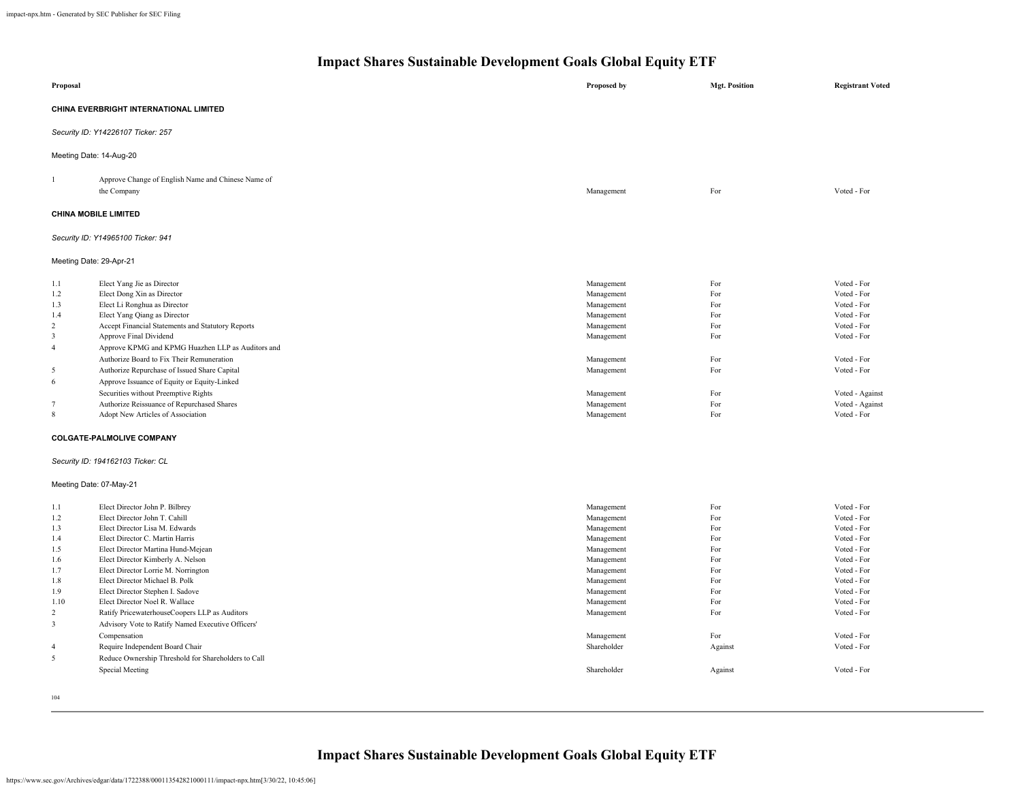| Proposal                                                                                                                                                                                                                                                                                                                                                                                                                                                                                                                                                                                                                                                                                              |                                                     | Proposed by                                                                                                                                                                                        | <b>Mgt. Position</b>                                                                                   | <b>Registrant Voted</b>                                                                                                                                                                                        |
|-------------------------------------------------------------------------------------------------------------------------------------------------------------------------------------------------------------------------------------------------------------------------------------------------------------------------------------------------------------------------------------------------------------------------------------------------------------------------------------------------------------------------------------------------------------------------------------------------------------------------------------------------------------------------------------------------------|-----------------------------------------------------|----------------------------------------------------------------------------------------------------------------------------------------------------------------------------------------------------|--------------------------------------------------------------------------------------------------------|----------------------------------------------------------------------------------------------------------------------------------------------------------------------------------------------------------------|
| CHINA EVERBRIGHT INTERNATIONAL LIMITED                                                                                                                                                                                                                                                                                                                                                                                                                                                                                                                                                                                                                                                                |                                                     |                                                                                                                                                                                                    |                                                                                                        |                                                                                                                                                                                                                |
| Security ID: Y14226107 Ticker: 257                                                                                                                                                                                                                                                                                                                                                                                                                                                                                                                                                                                                                                                                    |                                                     |                                                                                                                                                                                                    |                                                                                                        |                                                                                                                                                                                                                |
| Meeting Date: 14-Aug-20                                                                                                                                                                                                                                                                                                                                                                                                                                                                                                                                                                                                                                                                               |                                                     |                                                                                                                                                                                                    |                                                                                                        |                                                                                                                                                                                                                |
| $\mathbf{1}$<br>the Company                                                                                                                                                                                                                                                                                                                                                                                                                                                                                                                                                                                                                                                                           | Approve Change of English Name and Chinese Name of  | Management                                                                                                                                                                                         | For                                                                                                    | Voted - For                                                                                                                                                                                                    |
| <b>CHINA MOBILE LIMITED</b>                                                                                                                                                                                                                                                                                                                                                                                                                                                                                                                                                                                                                                                                           |                                                     |                                                                                                                                                                                                    |                                                                                                        |                                                                                                                                                                                                                |
| Security ID: Y14965100 Ticker: 941                                                                                                                                                                                                                                                                                                                                                                                                                                                                                                                                                                                                                                                                    |                                                     |                                                                                                                                                                                                    |                                                                                                        |                                                                                                                                                                                                                |
| Meeting Date: 29-Apr-21                                                                                                                                                                                                                                                                                                                                                                                                                                                                                                                                                                                                                                                                               |                                                     |                                                                                                                                                                                                    |                                                                                                        |                                                                                                                                                                                                                |
| Elect Yang Jie as Director<br>1.1<br>Elect Dong Xin as Director<br>1.2<br>Elect Li Ronghua as Director<br>1.3<br>1.4<br>Elect Yang Qiang as Director<br>$\overline{2}$<br>Accept Financial Statements and Statutory Reports<br>$\overline{3}$<br>Approve Final Dividend<br>$\overline{4}$<br>Authorize Board to Fix Their Remuneration<br>5<br>Authorize Repurchase of Issued Share Capital<br>6<br>Approve Issuance of Equity or Equity-Linked<br>Securities without Preemptive Rights<br>$\overline{7}$<br>Authorize Reissuance of Repurchased Shares<br>8<br>Adopt New Articles of Association<br><b>COLGATE-PALMOLIVE COMPANY</b><br>Security ID: 194162103 Ticker: CL<br>Meeting Date: 07-May-21 | Approve KPMG and KPMG Huazhen LLP as Auditors and   | Management<br>Management<br>Management<br>Management<br>Management<br>Management<br>Management<br>Management<br>Management<br>Management<br>Management                                             | For<br>For<br>For<br>For<br>For<br>For<br>For<br>For<br>For<br>For<br>For                              | Voted - For<br>Voted - For<br>Voted - For<br>Voted - For<br>Voted - For<br>Voted - For<br>Voted - For<br>Voted - For<br>Voted - Against<br>Voted - Against<br>Voted - For                                      |
| 1.1<br>Elect Director John P. Bilbrey<br>Elect Director John T. Cahill<br>1.2<br>1.3<br>Elect Director Lisa M. Edwards<br>1.4<br>Elect Director C. Martin Harris<br>1.5<br>Elect Director Martina Hund-Mejean<br>Elect Director Kimberly A. Nelson<br>1.6<br>Elect Director Lorrie M. Norrington<br>1.7<br>1.8<br>Elect Director Michael B. Polk<br>Elect Director Stephen I. Sadove<br>1.9<br>1.10<br>Elect Director Noel R. Wallace<br>$\overline{2}$<br>Ratify PricewaterhouseCoopers LLP as Auditors<br>Advisory Vote to Ratify Named Executive Officers'<br>3<br>Compensation<br>$\overline{4}$<br>Require Independent Board Chair<br>5<br>Special Meeting<br>104                                | Reduce Ownership Threshold for Shareholders to Call | Management<br>Management<br>Management<br>Management<br>Management<br>Management<br>Management<br>Management<br>Management<br>Management<br>Management<br>Management<br>Shareholder<br>Shareholder | For<br>For<br>For<br>For<br>For<br>For<br>For<br>For<br>For<br>For<br>For<br>For<br>Against<br>Against | Voted - For<br>Voted - For<br>Voted - For<br>Voted - For<br>Voted - For<br>Voted - For<br>Voted - For<br>Voted - For<br>Voted - For<br>Voted - For<br>Voted - For<br>Voted - For<br>Voted - For<br>Voted - For |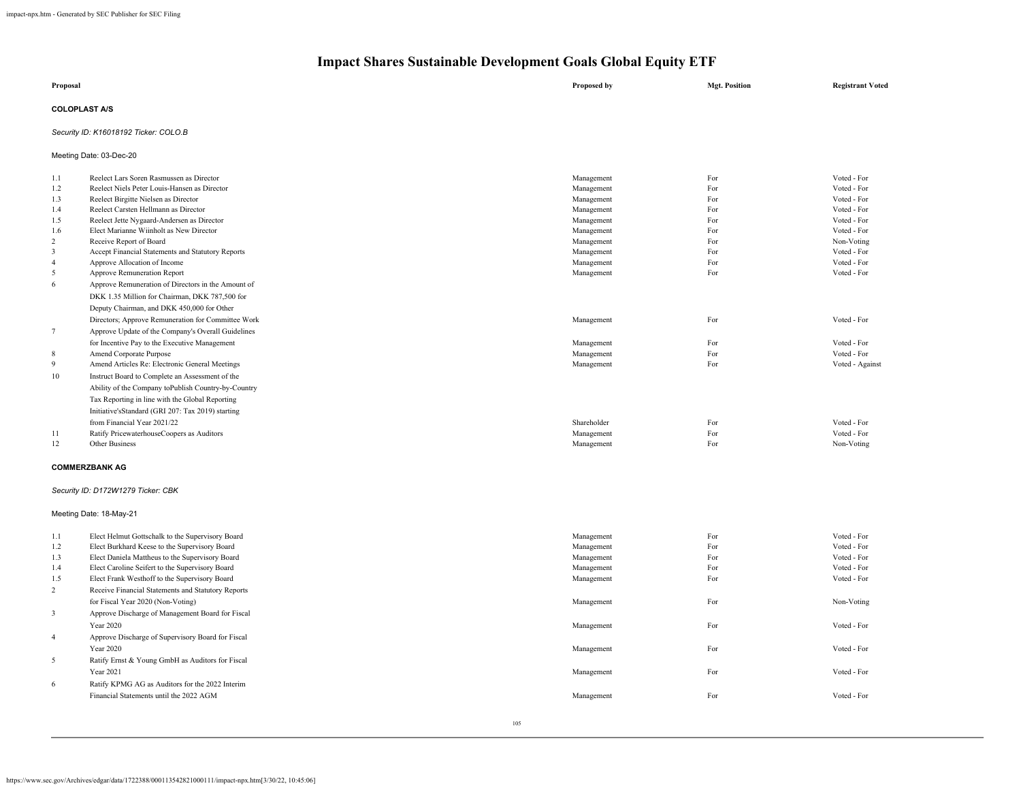| Proposal             | Proposed by | <b>Mgt. Position</b> | <b>Registrant Voted</b> |
|----------------------|-------------|----------------------|-------------------------|
| <b>COLOPLAST A/S</b> |             |                      |                         |

## *Security ID: K16018192 Ticker: COLO.B*

Meeting Date: 03-Dec-20

| 1.1                     | Reelect Lars Soren Rasmussen as Director            | Management  | For | Voted - For     |
|-------------------------|-----------------------------------------------------|-------------|-----|-----------------|
| 1.2                     | Reelect Niels Peter Louis-Hansen as Director        | Management  | For | Voted - For     |
| 1.3                     | Reelect Birgitte Nielsen as Director                | Management  | For | Voted - For     |
| 1.4                     | Reelect Carsten Hellmann as Director                | Management  | For | Voted - For     |
| 1.5                     | Reelect Jette Nygaard-Andersen as Director          | Management  | For | Voted - For     |
| 1.6                     | Elect Marianne Wiinholt as New Director             | Management  | For | Voted - For     |
| $\overline{c}$          | Receive Report of Board                             | Management  | For | Non-Voting      |
| 3                       | Accept Financial Statements and Statutory Reports   | Management  | For | Voted - For     |
| $\overline{4}$          | Approve Allocation of Income                        | Management  | For | Voted - For     |
| 5                       | Approve Remuneration Report                         | Management  | For | Voted - For     |
| $\sqrt{6}$              | Approve Remuneration of Directors in the Amount of  |             |     |                 |
|                         | DKK 1.35 Million for Chairman, DKK 787,500 for      |             |     |                 |
|                         | Deputy Chairman, and DKK 450,000 for Other          |             |     |                 |
|                         | Directors; Approve Remuneration for Committee Work  | Management  | For | Voted - For     |
| $\tau$                  | Approve Update of the Company's Overall Guidelines  |             |     |                 |
|                         | for Incentive Pay to the Executive Management       | Management  | For | Voted - For     |
| 8                       | Amend Corporate Purpose                             | Management  | For | Voted - For     |
| 9                       | Amend Articles Re: Electronic General Meetings      | Management  | For | Voted - Against |
| 10                      | Instruct Board to Complete an Assessment of the     |             |     |                 |
|                         | Ability of the Company toPublish Country-by-Country |             |     |                 |
|                         |                                                     |             |     |                 |
|                         | Tax Reporting in line with the Global Reporting     |             |     |                 |
|                         | Initiative'sStandard (GRI 207: Tax 2019) starting   |             |     |                 |
|                         | from Financial Year 2021/22                         | Shareholder | For | Voted - For     |
| 11                      | Ratify PricewaterhouseCoopers as Auditors           | Management  | For | Voted - For     |
| 12                      | Other Business                                      | Management  | For | Non-Voting      |
|                         | <b>COMMERZBANK AG</b>                               |             |     |                 |
|                         | Security ID: D172W1279 Ticker: CBK                  |             |     |                 |
|                         | Meeting Date: 18-May-21                             |             |     |                 |
| 1.1                     | Elect Helmut Gottschalk to the Supervisory Board    | Management  | For | Voted - For     |
| 1.2                     | Elect Burkhard Keese to the Supervisory Board       | Management  | For | Voted - For     |
| 1.3                     | Elect Daniela Mattheus to the Supervisory Board     | Management  | For | Voted - For     |
| 1.4                     | Elect Caroline Seifert to the Supervisory Board     | Management  | For | Voted - For     |
| 1.5                     | Elect Frank Westhoff to the Supervisory Board       | Management  | For | Voted - For     |
| $\overline{c}$          | Receive Financial Statements and Statutory Reports  |             |     |                 |
|                         | for Fiscal Year 2020 (Non-Voting)                   | Management  | For | Non-Voting      |
|                         |                                                     |             |     |                 |
| $\overline{\mathbf{3}}$ | Approve Discharge of Management Board for Fiscal    |             |     |                 |
|                         | <b>Year 2020</b>                                    | Management  | For | Voted - For     |
| $\overline{4}$          | Approve Discharge of Supervisory Board for Fiscal   |             |     |                 |
|                         | Year 2020                                           | Management  | For | Voted - For     |
| 5                       | Ratify Ernst & Young GmbH as Auditors for Fiscal    |             |     |                 |
|                         | Year 2021                                           | Management  | For | Voted - For     |
| 6                       | Ratify KPMG AG as Auditors for the 2022 Interim     |             |     |                 |
|                         | Financial Statements until the 2022 AGM             | Management  | For | Voted - For     |
|                         |                                                     |             |     |                 |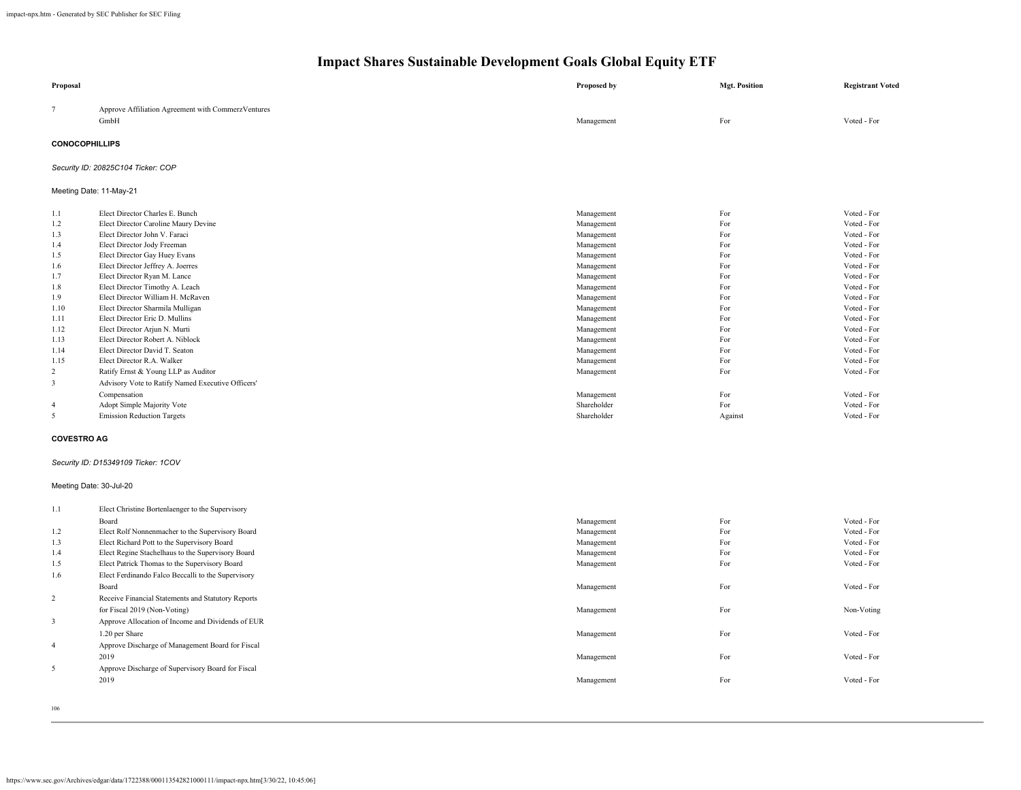| Proposal                |                                                              | <b>Proposed by</b>        | <b>Mgt. Position</b> | <b>Registrant Voted</b>    |  |
|-------------------------|--------------------------------------------------------------|---------------------------|----------------------|----------------------------|--|
| $7\phantom{.0}$         | Approve Affiliation Agreement with CommerzVentures           |                           |                      |                            |  |
|                         | GmbH                                                         | Management                | For                  | Voted - For                |  |
| <b>CONOCOPHILLIPS</b>   |                                                              |                           |                      |                            |  |
|                         | Security ID: 20825C104 Ticker: COP                           |                           |                      |                            |  |
|                         | Meeting Date: 11-May-21                                      |                           |                      |                            |  |
| 1.1                     | Elect Director Charles E. Bunch                              | Management                | For                  | Voted - For                |  |
| 1.2                     | Elect Director Caroline Maury Devine                         | Management                | For                  | Voted - For                |  |
| 1.3                     | Elect Director John V. Faraci                                | Management                | For                  | Voted - For                |  |
| 1.4                     | Elect Director Jody Freeman                                  | Management                | For                  | Voted - For                |  |
| 1.5                     | Elect Director Gay Huey Evans                                | Management                | For                  | Voted - For                |  |
| 1.6                     | Elect Director Jeffrey A. Joerres                            | Management                | For                  | Voted - For                |  |
| 1.7                     | Elect Director Ryan M. Lance                                 | Management                | For                  | Voted - For                |  |
| 1.8                     | Elect Director Timothy A. Leach                              | Management                | For                  | Voted - For                |  |
| 1.9                     | Elect Director William H. McRaven                            | Management                | For                  | Voted - For                |  |
| 1.10                    | Elect Director Sharmila Mulligan                             | Management                | For                  | Voted - For                |  |
| 1.11                    | Elect Director Eric D. Mullins                               | Management                | For                  | Voted - For                |  |
| 1.12                    | Elect Director Arjun N. Murti                                | Management                | For                  | Voted - For                |  |
| 1.13                    | Elect Director Robert A. Niblock                             | Management                | For                  | Voted - For<br>Voted - For |  |
| 1.14<br>1.15            | Elect Director David T. Seaton<br>Elect Director R.A. Walker | Management<br>Management  | For<br>For           | Voted - For                |  |
| 2                       | Ratify Ernst & Young LLP as Auditor                          | Management                | For                  | Voted - For                |  |
| $\overline{3}$          | Advisory Vote to Ratify Named Executive Officers'            |                           |                      |                            |  |
|                         |                                                              |                           |                      |                            |  |
| $\overline{4}$          | Compensation                                                 | Management<br>Shareholder | For<br>For           | Voted - For<br>Voted - For |  |
| 5                       | Adopt Simple Majority Vote                                   | Shareholder               | Against              | Voted - For                |  |
|                         | <b>Emission Reduction Targets</b>                            |                           |                      |                            |  |
| <b>COVESTRO AG</b>      |                                                              |                           |                      |                            |  |
|                         | Security ID: D15349109 Ticker: 1COV                          |                           |                      |                            |  |
| Meeting Date: 30-Jul-20 |                                                              |                           |                      |                            |  |
| 1.1                     | Elect Christine Bortenlaenger to the Supervisory             |                           |                      |                            |  |
|                         | Board                                                        | Management                | For                  | Voted - For                |  |
| 1.2                     | Elect Rolf Nonnenmacher to the Supervisory Board             | Management                | For                  | Voted - For                |  |
| 1.3                     | Elect Richard Pott to the Supervisory Board                  | Management                | For                  | Voted - For                |  |
| 1.4                     | Elect Regine Stachelhaus to the Supervisory Board            | Management                | For                  | Voted - For                |  |
| 1.5                     | Elect Patrick Thomas to the Supervisory Board                | Management                | For                  | Voted - For                |  |
| 1.6                     | Elect Ferdinando Falco Beccalli to the Supervisory           |                           |                      |                            |  |
|                         | Board                                                        | Management                | For                  | Voted - For                |  |
| $\overline{2}$          | Receive Financial Statements and Statutory Reports           |                           |                      |                            |  |
|                         | for Fiscal 2019 (Non-Voting)                                 | Management                | For                  | Non-Voting                 |  |
| 3                       | Approve Allocation of Income and Dividends of EUR            |                           |                      |                            |  |
|                         |                                                              |                           | For                  | Voted - For                |  |
|                         | 1.20 per Share                                               | Management                |                      |                            |  |
| $\overline{4}$          | Approve Discharge of Management Board for Fiscal             |                           |                      |                            |  |
|                         | 2019                                                         | Management                | For                  | Voted - For                |  |
| 5                       | Approve Discharge of Supervisory Board for Fiscal            |                           |                      |                            |  |
|                         | 2019                                                         | Management                | For                  | Voted - For                |  |
|                         |                                                              |                           |                      |                            |  |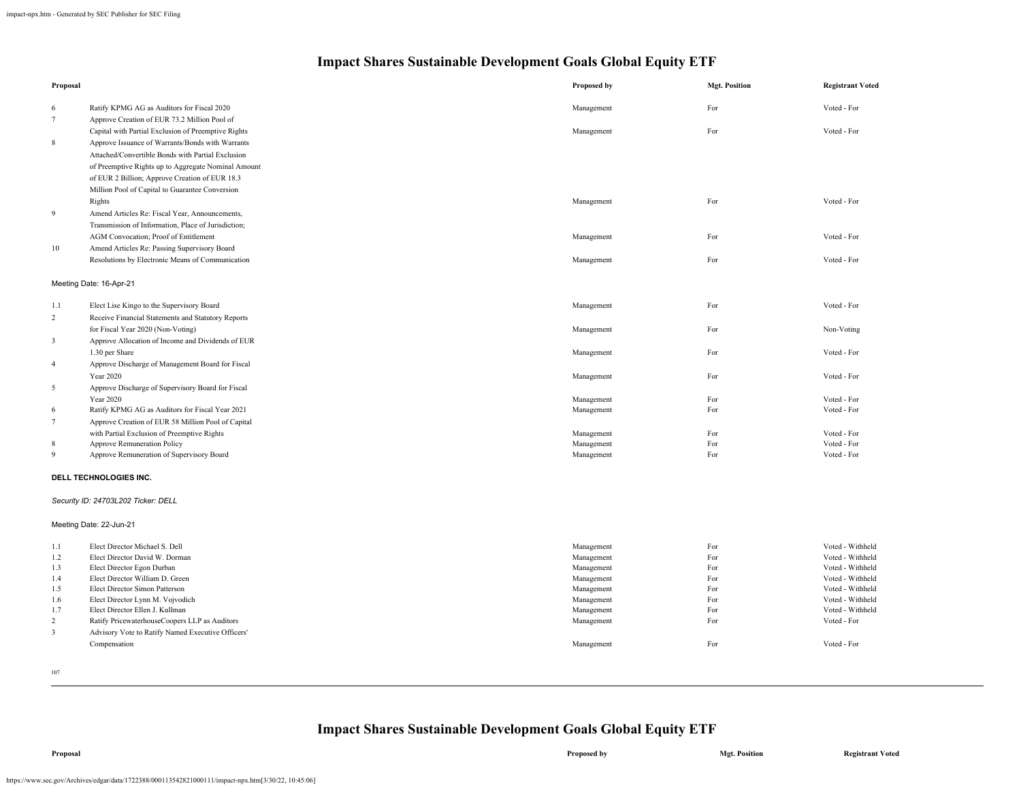| Proposal       |                                                     | Proposed by | <b>Mgt. Position</b> | <b>Registrant Voted</b> |
|----------------|-----------------------------------------------------|-------------|----------------------|-------------------------|
| 6              | Ratify KPMG AG as Auditors for Fiscal 2020          | Management  | For                  | Voted - For             |
| $\tau$         | Approve Creation of EUR 73.2 Million Pool of        |             |                      |                         |
|                | Capital with Partial Exclusion of Preemptive Rights | Management  | For                  | Voted - For             |
| 8              | Approve Issuance of Warrants/Bonds with Warrants    |             |                      |                         |
|                | Attached/Convertible Bonds with Partial Exclusion   |             |                      |                         |
|                | of Preemptive Rights up to Aggregate Nominal Amount |             |                      |                         |
|                | of EUR 2 Billion; Approve Creation of EUR 18.3      |             |                      |                         |
|                | Million Pool of Capital to Guarantee Conversion     |             |                      |                         |
|                | Rights                                              | Management  | For                  | Voted - For             |
| 9              | Amend Articles Re: Fiscal Year, Announcements,      |             |                      |                         |
|                | Transmission of Information, Place of Jurisdiction; |             |                      |                         |
|                | AGM Convocation; Proof of Entitlement               | Management  | For                  | Voted - For             |
| 10             |                                                     |             |                      |                         |
|                | Amend Articles Re: Passing Supervisory Board        |             |                      |                         |
|                | Resolutions by Electronic Means of Communication    | Management  | For                  | Voted - For             |
|                | Meeting Date: 16-Apr-21                             |             |                      |                         |
| 1.1            | Elect Lise Kingo to the Supervisory Board           | Management  | For                  | Voted - For             |
| $\mathbf 2$    | Receive Financial Statements and Statutory Reports  |             |                      |                         |
|                | for Fiscal Year 2020 (Non-Voting)                   | Management  | For                  | Non-Voting              |
| $\mathfrak{Z}$ | Approve Allocation of Income and Dividends of EUR   |             |                      |                         |
|                | 1.30 per Share                                      | Management  | For                  | Voted - For             |
| $\overline{4}$ | Approve Discharge of Management Board for Fiscal    |             |                      |                         |
|                | <b>Year 2020</b>                                    | Management  | For                  | Voted - For             |
| 5              | Approve Discharge of Supervisory Board for Fiscal   |             |                      |                         |
|                | Year 2020                                           | Management  | For                  | Voted - For             |
| 6              | Ratify KPMG AG as Auditors for Fiscal Year 2021     | Management  | For                  | Voted - For             |
| $\tau$         | Approve Creation of EUR 58 Million Pool of Capital  |             |                      |                         |
|                | with Partial Exclusion of Preemptive Rights         | Management  | For                  | Voted - For             |
| 8              | Approve Remuneration Policy                         | Management  | For                  | Voted - For             |
| 9              | Approve Remuneration of Supervisory Board           | Management  | For                  | Voted - For             |
|                | DELL TECHNOLOGIES INC.                              |             |                      |                         |
|                | Security ID: 24703L202 Ticker: DELL                 |             |                      |                         |
|                |                                                     |             |                      |                         |
|                | Meeting Date: 22-Jun-21                             |             |                      |                         |
| $1.1\,$        | Elect Director Michael S. Dell                      | Management  | For                  | Voted - Withheld        |
| 1.2            | Elect Director David W. Dorman                      | Management  | For                  | Voted - Withheld        |
| 1.3            | Elect Director Egon Durban                          | Management  | For                  | Voted - Withheld        |
| 1.4            | Elect Director William D. Green                     | Management  | For                  | Voted - Withheld        |
| 1.5            | Elect Director Simon Patterson                      | Management  | For                  | Voted - Withheld        |
| 1.6            | Elect Director Lynn M. Vojvodich                    | Management  | For                  | Voted - Withheld        |
| 1.7            | Elect Director Ellen J. Kullman                     | Management  | For                  | Voted - Withheld        |
| $\overline{c}$ | Ratify PricewaterhouseCoopers LLP as Auditors       | Management  | For                  | Voted - For             |
| $\mathbf{3}$   | Advisory Vote to Ratify Named Executive Officers'   |             |                      |                         |
|                | Compensation                                        | Management  | For                  | Voted - For             |
|                |                                                     |             |                      |                         |

107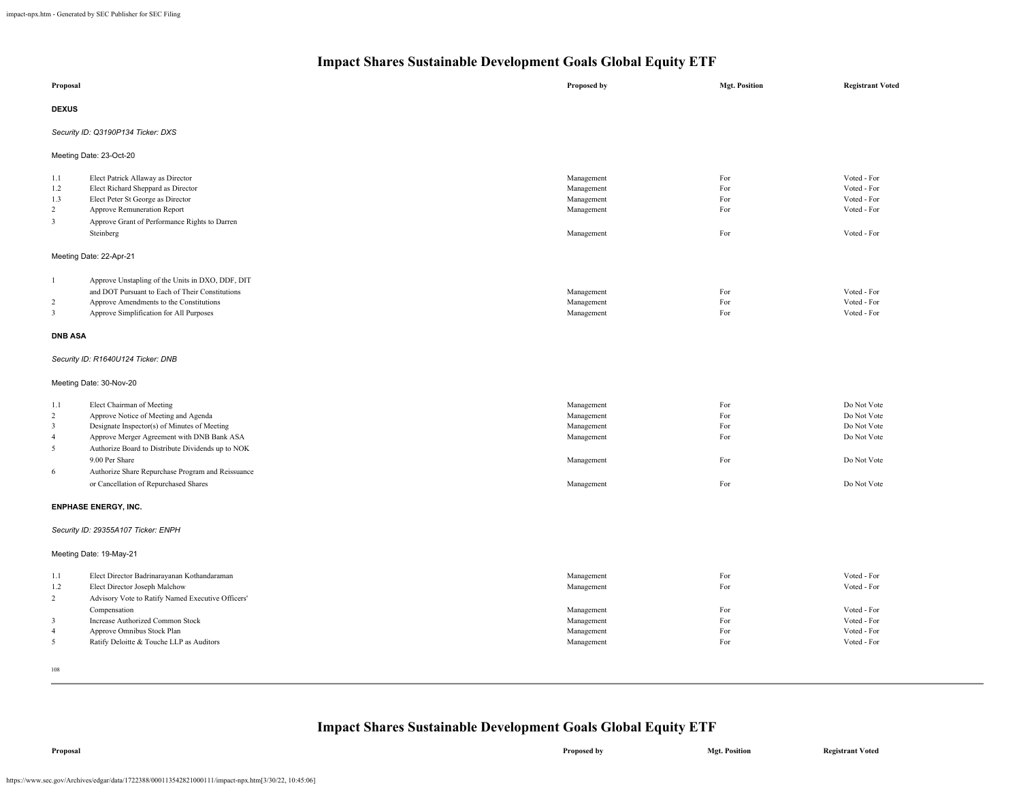| Proposal                                                            |                                                                                                                                                                                                                                                                                                         | Proposed by                                                                      | <b>Mgt. Position</b>                   | <b>Registrant Voted</b>                                                                |  |
|---------------------------------------------------------------------|---------------------------------------------------------------------------------------------------------------------------------------------------------------------------------------------------------------------------------------------------------------------------------------------------------|----------------------------------------------------------------------------------|----------------------------------------|----------------------------------------------------------------------------------------|--|
| <b>DEXUS</b>                                                        |                                                                                                                                                                                                                                                                                                         |                                                                                  |                                        |                                                                                        |  |
|                                                                     | Security ID: Q3190P134 Ticker: DXS                                                                                                                                                                                                                                                                      |                                                                                  |                                        |                                                                                        |  |
|                                                                     | Meeting Date: 23-Oct-20                                                                                                                                                                                                                                                                                 |                                                                                  |                                        |                                                                                        |  |
| 1.1<br>1.2<br>1.3<br>$\overline{c}$<br>$\mathbf{3}$                 | Elect Patrick Allaway as Director<br>Elect Richard Sheppard as Director<br>Elect Peter St George as Director<br>Approve Remuneration Report<br>Approve Grant of Performance Rights to Darren<br>Steinberg                                                                                               | Management<br>Management<br>Management<br>Management<br>Management               | For<br>For<br>For<br>For<br>For        | Voted - For<br>Voted - For<br>Voted - For<br>Voted - For<br>Voted - For                |  |
|                                                                     | Meeting Date: 22-Apr-21                                                                                                                                                                                                                                                                                 |                                                                                  |                                        |                                                                                        |  |
| $\overline{1}$<br>$\overline{c}$<br>3<br><b>DNB ASA</b><br>1.1      | Approve Unstapling of the Units in DXO, DDF, DIT<br>and DOT Pursuant to Each of Their Constitutions<br>Approve Amendments to the Constitutions<br>Approve Simplification for All Purposes<br>Security ID: R1640U124 Ticker: DNB<br>Meeting Date: 30-Nov-20<br>Elect Chairman of Meeting                 | Management<br>Management<br>Management<br>Management                             | For<br>For<br>For<br>For               | Voted - For<br>Voted - For<br>Voted - For<br>Do Not Vote                               |  |
| $\overline{2}$<br>3<br>$\overline{4}$<br>5<br>6                     | Approve Notice of Meeting and Agenda<br>Designate Inspector(s) of Minutes of Meeting<br>Approve Merger Agreement with DNB Bank ASA<br>Authorize Board to Distribute Dividends up to NOK<br>9.00 Per Share<br>Authorize Share Repurchase Program and Reissuance<br>or Cancellation of Repurchased Shares | Management<br>Management<br>Management<br>Management<br>Management               | For<br>For<br>For<br>For<br>For        | Do Not Vote<br>Do Not Vote<br>Do Not Vote<br>Do Not Vote<br>Do Not Vote                |  |
| <b>ENPHASE ENERGY, INC.</b>                                         |                                                                                                                                                                                                                                                                                                         |                                                                                  |                                        |                                                                                        |  |
|                                                                     | Security ID: 29355A107 Ticker: ENPH                                                                                                                                                                                                                                                                     |                                                                                  |                                        |                                                                                        |  |
|                                                                     | Meeting Date: 19-May-21                                                                                                                                                                                                                                                                                 |                                                                                  |                                        |                                                                                        |  |
| 1.1<br>1.2<br>$\overline{2}$<br>$\mathbf{3}$<br>$\overline{4}$<br>5 | Elect Director Badrinarayanan Kothandaraman<br>Elect Director Joseph Malchow<br>Advisory Vote to Ratify Named Executive Officers'<br>Compensation<br><b>Increase Authorized Common Stock</b><br>Approve Omnibus Stock Plan<br>Ratify Deloitte & Touche LLP as Auditors                                  | Management<br>Management<br>Management<br>Management<br>Management<br>Management | For<br>For<br>For<br>For<br>For<br>For | Voted - For<br>Voted - For<br>Voted - For<br>Voted - For<br>Voted - For<br>Voted - For |  |

108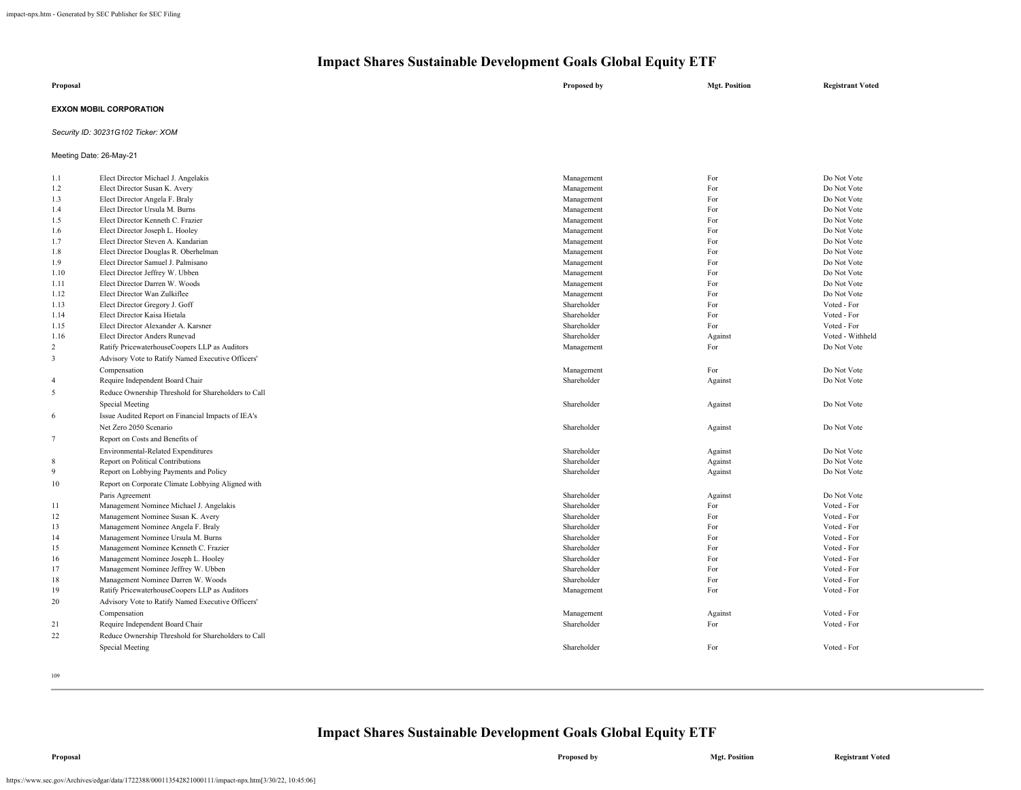| Proposal                       | Proposed by | <b>Mgt. Position</b> | <b>Registrant Voted</b> |
|--------------------------------|-------------|----------------------|-------------------------|
| <b>EXXON MOBIL CORPORATION</b> |             |                      |                         |

## *Security ID: 30231G102 Ticker: XOM*

Meeting Date: 26-May-21

| 1.1            | Elect Director Michael J. Angelakis                 | Management  | For     | Do Not Vote      |
|----------------|-----------------------------------------------------|-------------|---------|------------------|
| 1.2            | Elect Director Susan K. Avery                       | Management  | For     | Do Not Vote      |
| 1.3            | Elect Director Angela F. Braly                      | Management  | For     | Do Not Vote      |
| 1.4            | Elect Director Ursula M. Burns                      | Management  | For     | Do Not Vote      |
| 1.5            | Elect Director Kenneth C. Frazier                   | Management  | For     | Do Not Vote      |
| 1.6            | Elect Director Joseph L. Hooley                     | Management  | For     | Do Not Vote      |
| 1.7            | Elect Director Steven A. Kandarian                  | Management  | For     | Do Not Vote      |
| 1.8            | Elect Director Douglas R. Oberhelman                | Management  | For     | Do Not Vote      |
| 1.9            | Elect Director Samuel J. Palmisano                  | Management  | For     | Do Not Vote      |
| 1.10           | Elect Director Jeffrey W. Ubben                     | Management  | For     | Do Not Vote      |
| 1.11           | Elect Director Darren W. Woods                      | Management  | For     | Do Not Vote      |
| 1.12           | Elect Director Wan Zulkiflee                        | Management  | For     | Do Not Vote      |
| 1.13           | Elect Director Gregory J. Goff                      | Shareholder | For     | Voted - For      |
| 1.14           | Elect Director Kaisa Hietala                        | Shareholder | For     | Voted - For      |
| 1.15           | Elect Director Alexander A. Karsner                 | Shareholder | For     | Voted - For      |
| 1.16           | Elect Director Anders Runevad                       | Shareholder | Against | Voted - Withheld |
| 2              | Ratify PricewaterhouseCoopers LLP as Auditors       | Management  | For     | Do Not Vote      |
| 3              | Advisory Vote to Ratify Named Executive Officers'   |             |         |                  |
|                | Compensation                                        | Management  | For     | Do Not Vote      |
| $\overline{4}$ | Require Independent Board Chair                     | Shareholder | Against | Do Not Vote      |
| 5              | Reduce Ownership Threshold for Shareholders to Call |             |         |                  |
|                |                                                     | Shareholder |         | Do Not Vote      |
|                | Special Meeting                                     |             | Against |                  |
| 6              | Issue Audited Report on Financial Impacts of IEA's  |             |         |                  |
|                | Net Zero 2050 Scenario                              | Shareholder | Against | Do Not Vote      |
| 7              | Report on Costs and Benefits of                     |             |         |                  |
|                | Environmental-Related Expenditures                  | Shareholder | Against | Do Not Vote      |
| 8              | Report on Political Contributions                   | Shareholder | Against | Do Not Vote      |
| 9              | Report on Lobbying Payments and Policy              | Shareholder | Against | Do Not Vote      |
| 10             | Report on Corporate Climate Lobbying Aligned with   |             |         |                  |
|                | Paris Agreement                                     | Shareholder | Against | Do Not Vote      |
| 11             | Management Nominee Michael J. Angelakis             | Shareholder | For     | Voted - For      |
| 12             | Management Nominee Susan K. Avery                   | Shareholder | For     | Voted - For      |
| 13             | Management Nominee Angela F. Braly                  | Shareholder | For     | Voted - For      |
| 14             | Management Nominee Ursula M. Burns                  | Shareholder | For     | Voted - For      |
| 15             | Management Nominee Kenneth C. Frazier               | Shareholder | For     | Voted - For      |
| 16             | Management Nominee Joseph L. Hooley                 | Shareholder | For     | Voted - For      |
| 17             | Management Nominee Jeffrey W. Ubben                 | Shareholder | For     | Voted - For      |
| 18             | Management Nominee Darren W. Woods                  | Shareholder | For     | Voted - For      |
| 19             | Ratify PricewaterhouseCoopers LLP as Auditors       | Management  | For     | Voted - For      |
| 20             | Advisory Vote to Ratify Named Executive Officers'   |             |         |                  |
|                |                                                     |             |         | Voted - For      |
|                | Compensation                                        | Management  | Against |                  |
| 21             | Require Independent Board Chair                     | Shareholder | For     | Voted - For      |
| 22             | Reduce Ownership Threshold for Shareholders to Call |             |         |                  |
|                | Special Meeting                                     | Shareholder | For     | Voted - For      |
|                |                                                     |             |         |                  |
|                |                                                     |             |         |                  |

109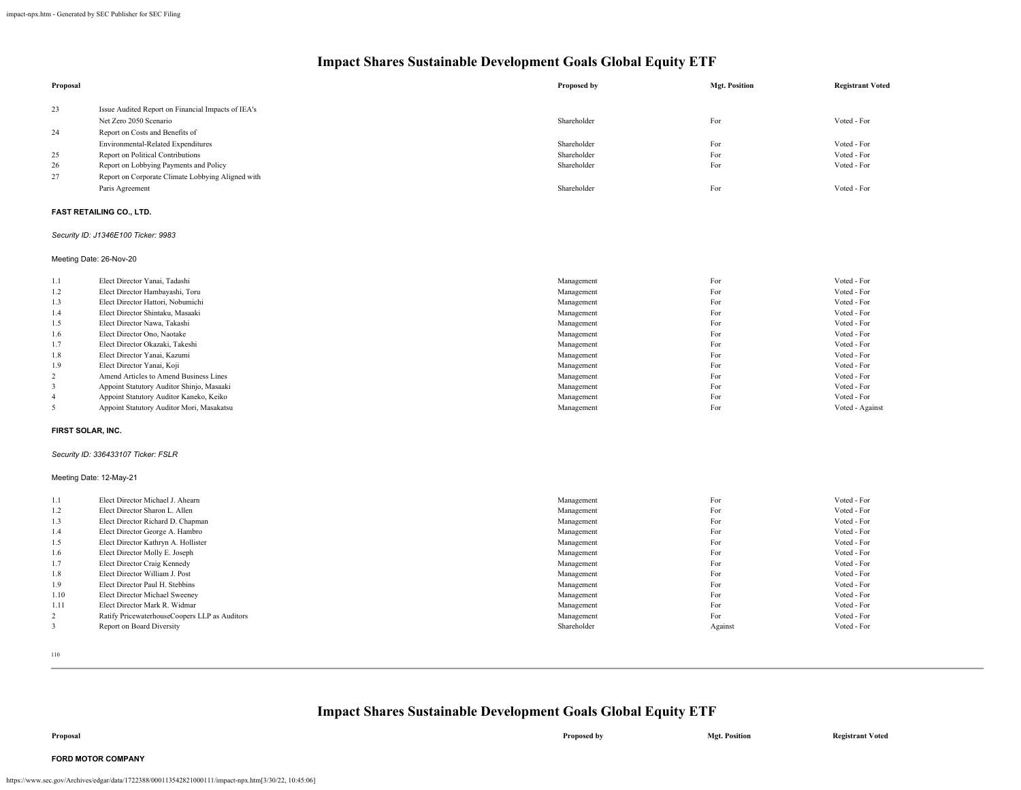| Proposal          |                                                                         | Proposed by | <b>Mgt. Position</b> | <b>Registrant Voted</b> |
|-------------------|-------------------------------------------------------------------------|-------------|----------------------|-------------------------|
| 23                | Issue Audited Report on Financial Impacts of IEA's                      |             |                      |                         |
|                   | Net Zero 2050 Scenario                                                  | Shareholder | For                  | Voted - For             |
| 24                | Report on Costs and Benefits of                                         |             |                      |                         |
|                   |                                                                         | Shareholder | For                  | Voted - For             |
| 25                | Environmental-Related Expenditures<br>Report on Political Contributions | Shareholder | For                  | Voted - For             |
| 26                | Report on Lobbying Payments and Policy                                  | Shareholder | For                  | Voted - For             |
|                   |                                                                         |             |                      |                         |
| $27\,$            | Report on Corporate Climate Lobbying Aligned with                       |             |                      |                         |
|                   | Paris Agreement                                                         | Shareholder | For                  | Voted - For             |
|                   | <b>FAST RETAILING CO., LTD.</b>                                         |             |                      |                         |
|                   | Security ID: J1346E100 Ticker: 9983                                     |             |                      |                         |
|                   | Meeting Date: 26-Nov-20                                                 |             |                      |                         |
| 1.1               | Elect Director Yanai, Tadashi                                           | Management  | For                  | Voted - For             |
| 1.2               | Elect Director Hambayashi, Toru                                         | Management  | For                  | Voted - For             |
| 1.3               | Elect Director Hattori, Nobumichi                                       | Management  | For                  | Voted - For             |
| 1.4               | Elect Director Shintaku, Masaaki                                        | Management  | For                  | Voted - For             |
| 1.5               | Elect Director Nawa, Takashi                                            | Management  | For                  | Voted - For             |
| 1.6               | Elect Director Ono, Naotake                                             | Management  | For                  | Voted - For             |
| 1.7               | Elect Director Okazaki, Takeshi                                         | Management  | For                  | Voted - For             |
| 1.8               | Elect Director Yanai, Kazumi                                            | Management  | For                  | Voted - For             |
| 1.9               | Elect Director Yanai, Koji                                              | Management  | For                  | Voted - For             |
| $\overline{c}$    | Amend Articles to Amend Business Lines                                  | Management  | For                  | Voted - For             |
| 3                 | Appoint Statutory Auditor Shinjo, Masaaki                               | Management  | For                  | Voted - For             |
| $\overline{4}$    | Appoint Statutory Auditor Kaneko, Keiko                                 | Management  | For                  | Voted - For             |
| 5                 | Appoint Statutory Auditor Mori, Masakatsu                               | Management  | For                  | Voted - Against         |
| FIRST SOLAR, INC. |                                                                         |             |                      |                         |
|                   | Security ID: 336433107 Ticker: FSLR                                     |             |                      |                         |
|                   | Meeting Date: 12-May-21                                                 |             |                      |                         |
| 1.1               | Elect Director Michael J. Ahearn                                        | Management  | For                  | Voted - For             |
| 1.2               | Elect Director Sharon L. Allen                                          | Management  | For                  | Voted - For             |
| 1.3               | Elect Director Richard D. Chapman                                       | Management  | For                  | Voted - For             |
| 1.4               | Elect Director George A. Hambro                                         | Management  | For                  | Voted - For             |
| 1.5               | Elect Director Kathryn A. Hollister                                     | Management  | For                  | Voted - For             |
| 1.6               | Elect Director Molly E. Joseph                                          | Management  | For                  | Voted - For             |
| 1.7               | Elect Director Craig Kennedy                                            | Management  | For                  | Voted - For             |
| 1.8               | Elect Director William J. Post                                          | Management  | For                  | Voted - For             |
| 1.9               | Elect Director Paul H. Stebbins                                         | Management  | For                  | Voted - For             |
| 1.10              | Elect Director Michael Sweeney                                          | Management  | For                  | Voted - For             |
| 1.11              | Elect Director Mark R. Widmar                                           | Management  | For                  | Voted - For             |
| $\overline{c}$    | Ratify PricewaterhouseCoopers LLP as Auditors                           | Management  | For                  | Voted - For             |
| 3                 | Report on Board Diversity                                               | Shareholder | Against              | Voted - For             |

110

## **Impact Shares Sustainable Development Goals Global Equity ETF**

**Proposal Proposed by Mgt. Position Registrant Voted**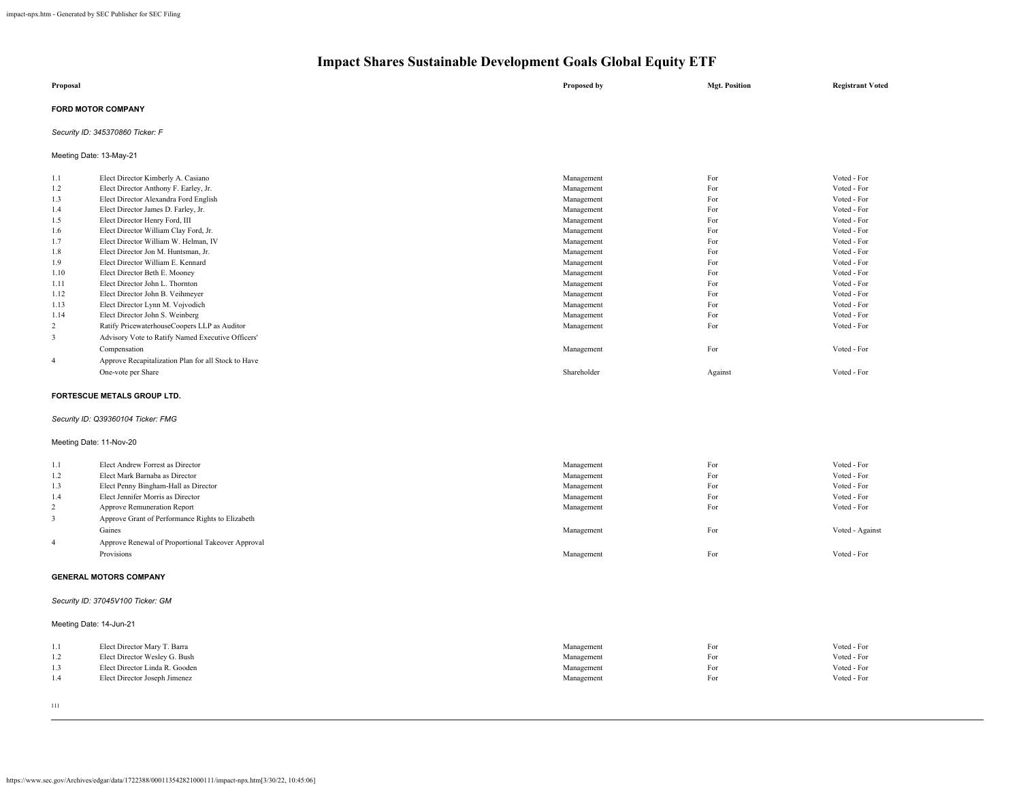| Proposal                  | Proposed by | <b>Mgt. Position</b> | <b>Registrant Voted</b> |
|---------------------------|-------------|----------------------|-------------------------|
| <b>FORD MOTOR COMPANY</b> |             |                      |                         |

### *Security ID: 345370860 Ticker: F*

Meeting Date: 13-May-21

| 1.1            | Elect Director Kimberly A. Casiano                  | Management  | For     | Voted - For |
|----------------|-----------------------------------------------------|-------------|---------|-------------|
| 1.2            | Elect Director Anthony F. Earley, Jr.               | Management  | For     | Voted - For |
| 1.3            | Elect Director Alexandra Ford English               | Management  | For     | Voted - For |
| 1.4            | Elect Director James D. Farley, Jr.                 | Management  | For     | Voted - For |
| 1.5            | Elect Director Henry Ford, III                      | Management  | For     | Voted - For |
| 1.6            | Elect Director William Clay Ford, Jr.               | Management  | For     | Voted - For |
| 1.7            | Elect Director William W. Helman, IV                | Management  | For     | Voted - For |
| 1.8            | Elect Director Jon M. Huntsman, Jr.                 | Management  | For     | Voted - For |
| 1.9            | Elect Director William E. Kennard                   | Management  | For     | Voted - For |
| 1.10           | Elect Director Beth E. Mooney                       | Management  | For     | Voted - For |
| 1.11           | Elect Director John L. Thornton                     | Management  | For     | Voted - For |
| 1.12           | Elect Director John B. Veihmeyer                    | Management  | For     | Voted - For |
| 1.13           | Elect Director Lynn M. Vojvodich                    | Management  | For     | Voted - For |
| 1.14           | Elect Director John S. Weinberg                     | Management  | For     | Voted - For |
| 2              | Ratify PricewaterhouseCoopers LLP as Auditor        | Management  | For     | Voted - For |
| 3              | Advisory Vote to Ratify Named Executive Officers'   |             |         |             |
|                | Compensation                                        | Management  | For     | Voted - For |
| $\overline{4}$ | Approve Recapitalization Plan for all Stock to Have |             |         |             |
|                | One-vote per Share                                  | Shareholder | Against | Voted - For |
|                |                                                     |             |         |             |

### **FORTESCUE METALS GROUP LTD.**

### *Security ID: Q39360104 Ticker: FMG*

### Meeting Date: 11-Nov-20

| 1.1 | Elect Andrew Forrest as Director                  | Management | For | Voted - For     |
|-----|---------------------------------------------------|------------|-----|-----------------|
| 1.2 | Elect Mark Barnaba as Director                    | Management | For | Voted - For     |
| 1.3 | Elect Penny Bingham-Hall as Director              | Management | For | Voted - For     |
| 1.4 | Elect Jennifer Morris as Director                 | Management | For | Voted - For     |
| 2   | Approve Remuneration Report                       | Management | For | Voted - For     |
|     | Approve Grant of Performance Rights to Elizabeth  |            |     |                 |
|     | Gaines                                            | Management | For | Voted - Against |
| 4   | Approve Renewal of Proportional Takeover Approval |            |     |                 |
|     | Provisions                                        | Management | For | Voted - For     |
|     |                                                   |            |     |                 |

### **GENERAL MOTORS COMPANY**

### *Security ID: 37045V100 Ticker: GM*

### Meeting Date: 14-Jun-21

|     | Elect Director Mary T. Barra   | Management | For | Voted - For |
|-----|--------------------------------|------------|-----|-------------|
| 1.2 | Elect Director Wesley G. Bush  | Management | For | Voted - For |
|     | Elect Director Linda R. Gooden | Management | For | Voted - For |
|     | Elect Director Joseph Jimenez  | Management | For | Voted - For |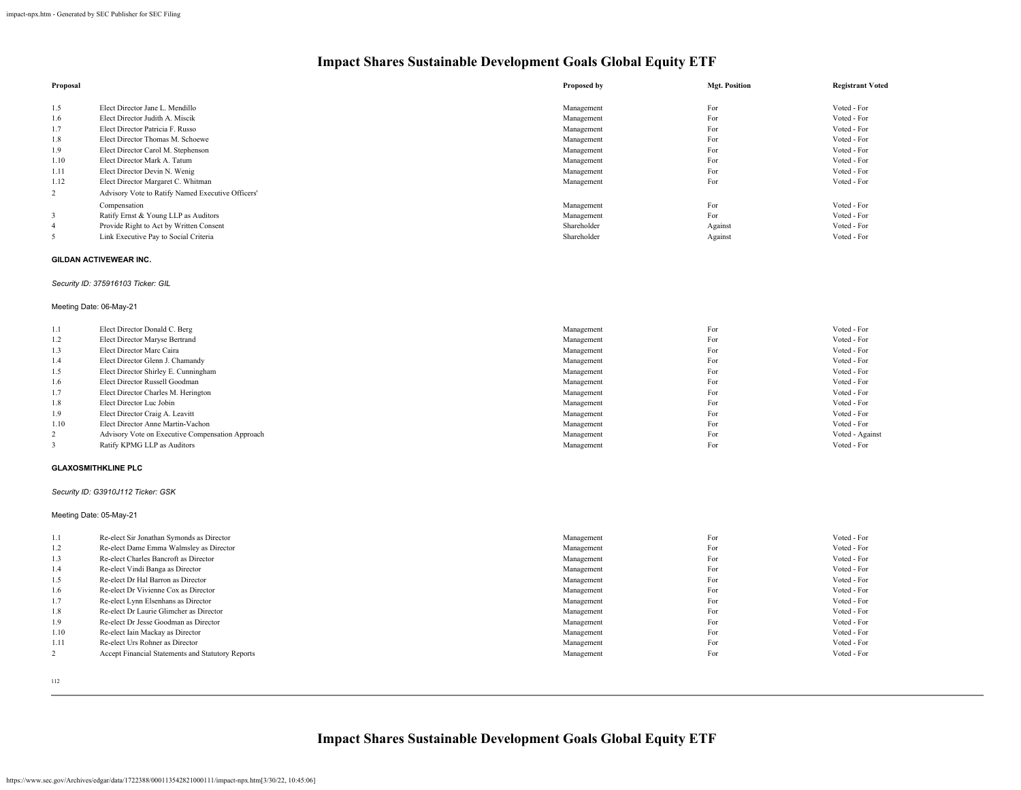| Proposal       |                                                   | Proposed by | <b>Mgt. Position</b> | <b>Registrant Voted</b> |
|----------------|---------------------------------------------------|-------------|----------------------|-------------------------|
|                |                                                   |             |                      |                         |
| 1.5            | Elect Director Jane L. Mendillo                   | Management  | For                  | Voted - For             |
| 1.6            | Elect Director Judith A. Miscik                   | Management  | For                  | Voted - For             |
| 1.7            | Elect Director Patricia F. Russo                  | Management  | For                  | Voted - For             |
| 1.8            | Elect Director Thomas M. Schoewe                  | Management  | For                  | Voted - For             |
| 1.9            | Elect Director Carol M. Stephenson                | Management  | For                  | Voted - For             |
| 1.10           | Elect Director Mark A. Tatum                      | Management  | For                  | Voted - For             |
| 1.11           | Elect Director Devin N. Wenig                     | Management  | For                  | Voted - For             |
| 1.12           | Elect Director Margaret C. Whitman                | Management  | For                  | Voted - For             |
| $\overline{2}$ | Advisory Vote to Ratify Named Executive Officers' |             |                      |                         |
|                | Compensation                                      | Management  | For                  | Voted - For             |
| 3              | Ratify Ernst & Young LLP as Auditors              | Management  | For                  | Voted - For             |
| 4              | Provide Right to Act by Written Consent           | Shareholder | Against              | Voted - For             |
| 5              | Link Executive Pay to Social Criteria             | Shareholder | Against              | Voted - For             |

### **GILDAN ACTIVEWEAR INC.**

### *Security ID: 375916103 Ticker: GIL*

### Meeting Date: 06-May-21

| 1.1  | Elect Director Donald C. Berg                    | Management | For | Voted - For     |
|------|--------------------------------------------------|------------|-----|-----------------|
| 1.2  | Elect Director Maryse Bertrand                   | Management | For | Voted - For     |
| 1.3  | Elect Director Marc Caira                        | Management | For | Voted - For     |
| 1.4  | Elect Director Glenn J. Chamandy                 | Management | For | Voted - For     |
| 1.5  | Elect Director Shirley E. Cunningham             | Management | For | Voted - For     |
| 1.6  | Elect Director Russell Goodman                   | Management | For | Voted - For     |
| 1.7  | Elect Director Charles M. Herington              | Management | For | Voted - For     |
| 1.8  | Elect Director Luc Jobin                         | Management | For | Voted - For     |
| 1.9  | Elect Director Craig A. Leavitt                  | Management | For | Voted - For     |
| 1.10 | Elect Director Anne Martin-Vachon                | Management | For | Voted - For     |
|      | Advisory Vote on Executive Compensation Approach | Management | For | Voted - Against |
|      | Ratify KPMG LLP as Auditors                      | Management | For | Voted - For     |

#### **GLAXOSMITHKLINE PLC**

### *Security ID: G3910J112 Ticker: GSK*

Meeting Date: 05-May-21

| 1.1  | Re-elect Sir Jonathan Symonds as Director         | Management | For | Voted - For |
|------|---------------------------------------------------|------------|-----|-------------|
|      |                                                   |            |     |             |
| 1.2  | Re-elect Dame Emma Walmsley as Director           | Management | For | Voted - For |
| 1.3  | Re-elect Charles Bancroft as Director             | Management | For | Voted - For |
| 1.4  | Re-elect Vindi Banga as Director                  | Management | For | Voted - For |
| 1.5  | Re-elect Dr Hal Barron as Director                | Management | For | Voted - For |
| 1.6  | Re-elect Dr Vivienne Cox as Director              | Management | For | Voted - For |
| 1.7  | Re-elect Lynn Elsenhans as Director               | Management | For | Voted - For |
| 1.8  | Re-elect Dr Laurie Glimcher as Director           | Management | For | Voted - For |
| 1.9  | Re-elect Dr Jesse Goodman as Director             | Management | For | Voted - For |
| 1.10 | Re-elect Iain Mackay as Director                  | Management | For | Voted - For |
| 1.11 | Re-elect Urs Rohner as Director                   | Management | For | Voted - For |
|      | Accept Financial Statements and Statutory Reports | Management | For | Voted - For |
|      |                                                   |            |     |             |

112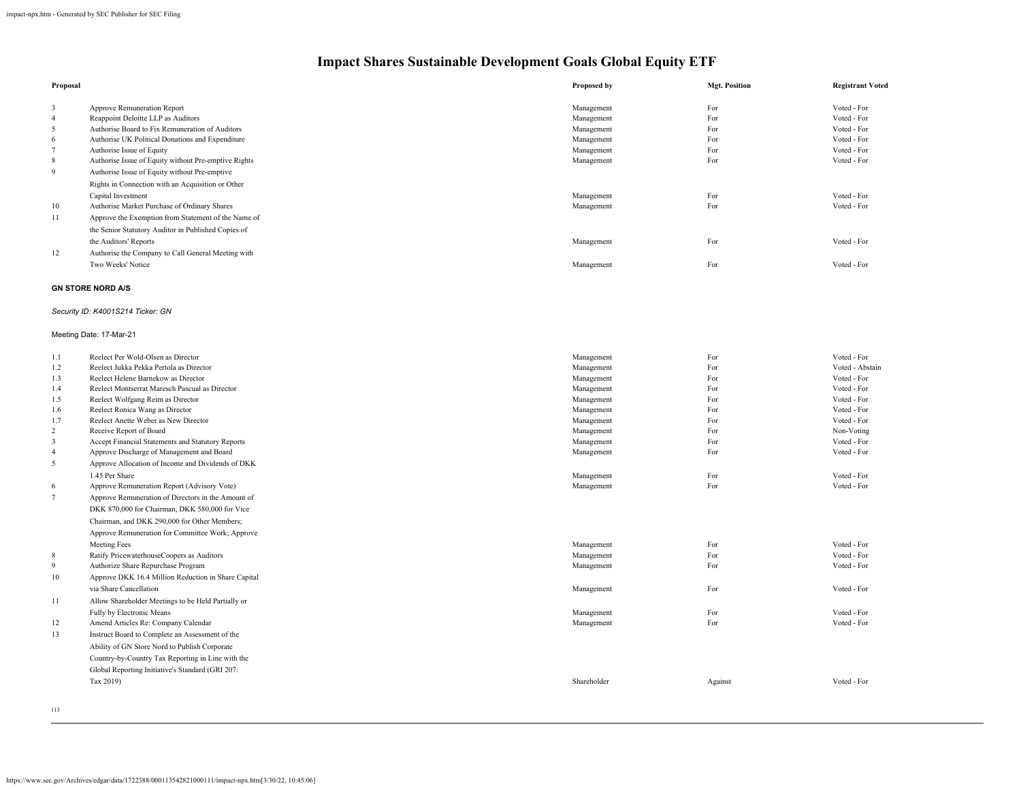| Proposal |                                                      | Proposed by | <b>Mgt. Position</b> | <b>Registrant Voted</b> |
|----------|------------------------------------------------------|-------------|----------------------|-------------------------|
| 3        | Approve Remuneration Report                          | Management  | For                  | Voted - For             |
| 4        | Reappoint Deloitte LLP as Auditors                   | Management  | For                  | Voted - For             |
| 5        | Authorise Board to Fix Remuneration of Auditors      | Management  | For                  | Voted - For             |
| 6        | Authorise UK Political Donations and Expenditure     | Management  | For                  | Voted - For             |
|          | Authorise Issue of Equity                            | Management  | For                  | Voted - For             |
| 8        | Authorise Issue of Equity without Pre-emptive Rights | Management  | For                  | Voted - For             |
| 9        | Authorise Issue of Equity without Pre-emptive        |             |                      |                         |
|          | Rights in Connection with an Acquisition or Other    |             |                      |                         |
|          | Capital Investment                                   | Management  | For                  | Voted - For             |
| 10       | Authorise Market Purchase of Ordinary Shares         | Management  | For                  | Voted - For             |
| 11       | Approve the Exemption from Statement of the Name of  |             |                      |                         |
|          | the Senior Statutory Auditor in Published Copies of  |             |                      |                         |
|          | the Auditors' Reports                                | Management  | For                  | Voted - For             |
| 12       | Authorise the Company to Call General Meeting with   |             |                      |                         |
|          | Two Weeks' Notice                                    | Management  | For                  | Voted - For             |
|          | <b>GN STORE NORD A/S</b>                             |             |                      |                         |
|          | Security ID: K4001S214 Ticker: GN                    |             |                      |                         |
|          | Meeting Date: 17-Mar-21                              |             |                      |                         |
| 1.1      | Reelect Per Wold-Olsen as Director                   | Management  | For                  | Voted - For             |

| 1.2             | Reelect Jukka Pekka Pertola as Director             | Management  | For     | Voted - Abstain |
|-----------------|-----------------------------------------------------|-------------|---------|-----------------|
| 1.3             | Reelect Helene Barnekow as Director                 | Management  | For     | Voted - For     |
| 1.4             | Reelect Montserrat Maresch Pascual as Director      | Management  | For     | Voted - For     |
| 1.5             | Reelect Wolfgang Reim as Director                   | Management  | For     | Voted - For     |
| 1.6             | Reelect Ronica Wang as Director                     | Management  | For     | Voted - For     |
| 1.7             | Reelect Anette Weber as New Director                | Management  | For     | Voted - For     |
| 2               | Receive Report of Board                             | Management  | For     | Non-Voting      |
| 3               | Accept Financial Statements and Statutory Reports   | Management  | For     | Voted - For     |
| $\overline{4}$  | Approve Discharge of Management and Board           | Management  | For     | Voted - For     |
| 5               | Approve Allocation of Income and Dividends of DKK   |             |         |                 |
|                 | 1.45 Per Share                                      | Management  | For     | Voted - For     |
| 6               | Approve Remuneration Report (Advisory Vote)         | Management  | For     | Voted - For     |
| $7\phantom{.0}$ | Approve Remuneration of Directors in the Amount of  |             |         |                 |
|                 | DKK 870,000 for Chairman, DKK 580,000 for Vice      |             |         |                 |
|                 | Chairman, and DKK 290,000 for Other Members;        |             |         |                 |
|                 | Approve Remuneration for Committee Work; Approve    |             |         |                 |
|                 | Meeting Fees                                        | Management  | For     | Voted - For     |
| 8               | Ratify PricewaterhouseCoopers as Auditors           | Management  | For     | Voted - For     |
| 9               | Authorize Share Repurchase Program                  | Management  | For     | Voted - For     |
| 10              | Approve DKK 16.4 Million Reduction in Share Capital |             |         |                 |
|                 | via Share Cancellation                              | Management  | For     | Voted - For     |
| 11              | Allow Shareholder Meetings to be Held Partially or  |             |         |                 |
|                 | Fully by Electronic Means                           | Management  | For     | Voted - For     |
| 12              | Amend Articles Re: Company Calendar                 | Management  | For     | Voted - For     |
| 13              | Instruct Board to Complete an Assessment of the     |             |         |                 |
|                 | Ability of GN Store Nord to Publish Corporate       |             |         |                 |
|                 | Country-by-Country Tax Reporting in Line with the   |             |         |                 |
|                 | Global Reporting Initiative's Standard (GRI 207:    |             |         |                 |
|                 | Tax 2019)                                           | Shareholder | Against | Voted - For     |
|                 |                                                     |             |         |                 |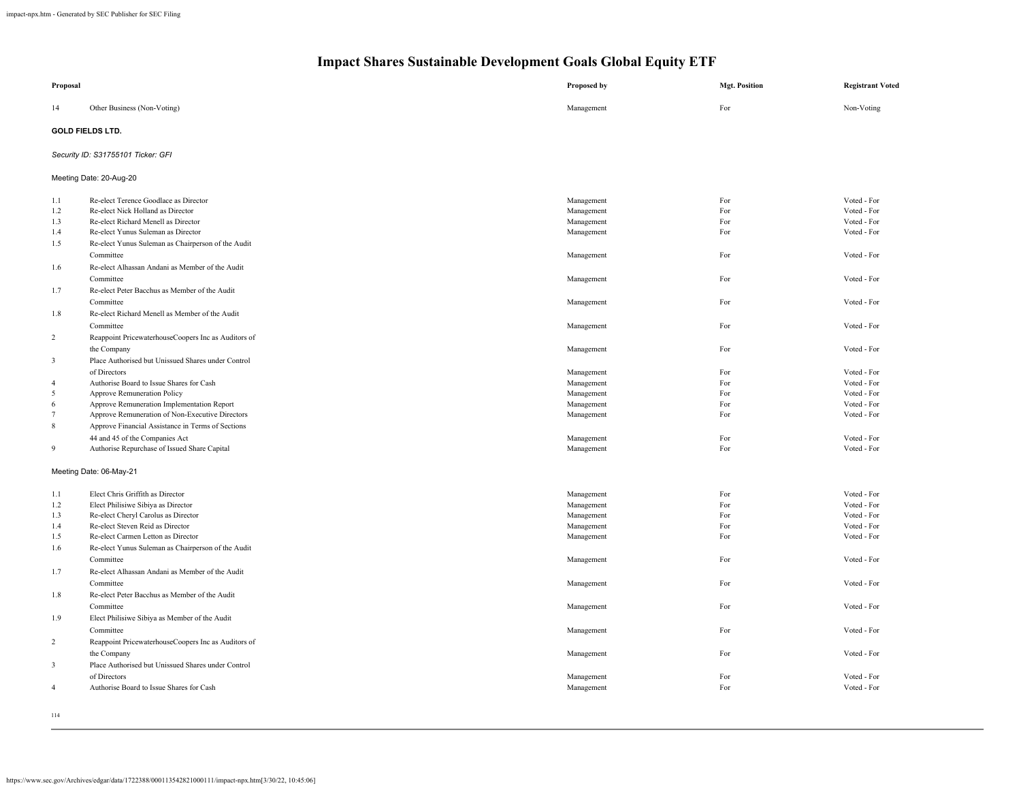| Proposal        |                                                     | Proposed by | <b>Mgt. Position</b> | <b>Registrant Voted</b> |
|-----------------|-----------------------------------------------------|-------------|----------------------|-------------------------|
| 14              | Other Business (Non-Voting)                         | Management  | For                  | Non-Voting              |
|                 | <b>GOLD FIELDS LTD.</b>                             |             |                      |                         |
|                 | Security ID: S31755101 Ticker: GFI                  |             |                      |                         |
|                 | Meeting Date: 20-Aug-20                             |             |                      |                         |
| 1.1             | Re-elect Terence Goodlace as Director               | Management  | For                  | Voted - For             |
| 1.2             | Re-elect Nick Holland as Director                   | Management  | For                  | Voted - For             |
| 1.3             | Re-elect Richard Menell as Director                 | Management  | For                  | Voted - For             |
| 1.4             | Re-elect Yunus Suleman as Director                  | Management  | For                  | Voted - For             |
| 1.5             | Re-elect Yunus Suleman as Chairperson of the Audit  |             |                      |                         |
|                 | Committee                                           | Management  | For                  | Voted - For             |
| 1.6             | Re-elect Alhassan Andani as Member of the Audit     |             |                      |                         |
|                 | Committee                                           | Management  | For                  | Voted - For             |
| 1.7             | Re-elect Peter Bacchus as Member of the Audit       |             |                      |                         |
|                 | Committee                                           | Management  | For                  | Voted - For             |
| 1.8             | Re-elect Richard Menell as Member of the Audit      |             |                      |                         |
|                 | Committee                                           | Management  | For                  | Voted - For             |
| $\overline{2}$  | Reappoint PricewaterhouseCoopers Inc as Auditors of |             |                      |                         |
|                 | the Company                                         | Management  | For                  | Voted - For             |
| $\mathbf{3}$    | Place Authorised but Unissued Shares under Control  |             |                      |                         |
|                 | of Directors                                        | Management  | For                  | Voted - For             |
| $\overline{4}$  | Authorise Board to Issue Shares for Cash            | Management  | For                  | Voted - For             |
| 5               | Approve Remuneration Policy                         | Management  | For                  | Voted - For             |
| 6               | Approve Remuneration Implementation Report          | Management  | For                  | Voted - For             |
| $7\phantom{.0}$ | Approve Remuneration of Non-Executive Directors     | Management  | For                  | Voted - For             |
| 8               | Approve Financial Assistance in Terms of Sections   |             |                      |                         |
|                 | 44 and 45 of the Companies Act                      | Management  | For                  | Voted - For             |
| $\overline{9}$  | Authorise Repurchase of Issued Share Capital        | Management  | For                  | Voted - For             |
|                 |                                                     |             |                      |                         |
|                 | Meeting Date: 06-May-21                             |             |                      |                         |
| 1.1             | Elect Chris Griffith as Director                    | Management  | For                  | Voted - For             |
| 1.2             | Elect Philisiwe Sibiya as Director                  | Management  | For                  | Voted - For             |
| 1.3             | Re-elect Cheryl Carolus as Director                 | Management  | For                  | Voted - For             |
| 1.4             | Re-elect Steven Reid as Director                    | Management  | For                  | Voted - For             |
| 1.5             | Re-elect Carmen Letton as Director                  | Management  | For                  | Voted - For             |
| 1.6             | Re-elect Yunus Suleman as Chairperson of the Audit  |             |                      |                         |
|                 | Committee                                           | Management  | For                  | Voted - For             |
| 1.7             | Re-elect Alhassan Andani as Member of the Audit     |             |                      |                         |
|                 | Committee                                           | Management  | For                  | Voted - For             |
| 1.8             | Re-elect Peter Bacchus as Member of the Audit       |             |                      |                         |
|                 | Committee                                           | Management  | For                  | Voted - For             |
| 1.9             | Elect Philisiwe Sibiya as Member of the Audit       |             |                      |                         |
|                 | Committee                                           | Management  | For                  | Voted - For             |
| $\overline{2}$  | Reappoint PricewaterhouseCoopers Inc as Auditors of |             |                      |                         |
|                 | the Company                                         | Management  | For                  | Voted - For             |
| $\sqrt{3}$      | Place Authorised but Unissued Shares under Control  |             |                      |                         |
|                 | of Directors                                        | Management  | For                  | Voted - For             |
| $\overline{4}$  | Authorise Board to Issue Shares for Cash            | Management  | For                  | Voted - For             |
|                 |                                                     |             |                      |                         |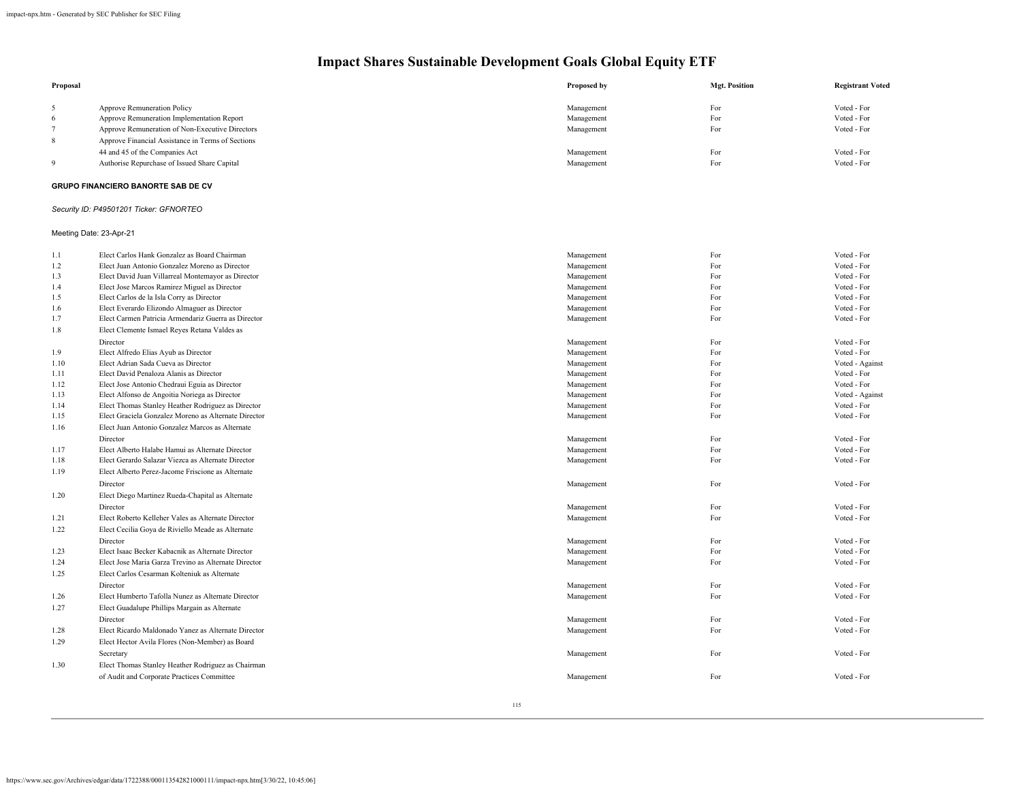| Proposal |                                                   | Proposed by | <b>Mgt. Position</b> | <b>Registrant Voted</b> |
|----------|---------------------------------------------------|-------------|----------------------|-------------------------|
|          | Approve Remuneration Policy                       | Management  | For                  | Voted - For             |
| 6        | Approve Remuneration Implementation Report        | Management  | For                  | Voted - For             |
|          | Approve Remuneration of Non-Executive Directors   | Management  | For                  | Voted - For             |
| 8        | Approve Financial Assistance in Terms of Sections |             |                      |                         |
|          | 44 and 45 of the Companies Act                    | Management  | For                  | Voted - For             |
| $\Omega$ | Authorise Repurchase of Issued Share Capital      | Management  | For                  | Voted - For             |
|          |                                                   |             |                      |                         |

### **GRUPO FINANCIERO BANORTE SAB DE CV**

### *Security ID: P49501201 Ticker: GFNORTEO*

### Meeting Date: 23-Apr-21

| 1.1  | Elect Carlos Hank Gonzalez as Board Chairman         | Management | For | Voted - For     |
|------|------------------------------------------------------|------------|-----|-----------------|
| 1.2  | Elect Juan Antonio Gonzalez Moreno as Director       | Management | For | Voted - For     |
| 1.3  | Elect David Juan Villarreal Montemayor as Director   | Management | For | Voted - For     |
| 1.4  | Elect Jose Marcos Ramirez Miguel as Director         | Management | For | Voted - For     |
| 1.5  | Elect Carlos de la Isla Corry as Director            | Management | For | Voted - For     |
| 1.6  | Elect Everardo Elizondo Almaguer as Director         | Management | For | Voted - For     |
| 1.7  | Elect Carmen Patricia Armendariz Guerra as Director  | Management | For | Voted - For     |
| 1.8  | Elect Clemente Ismael Reyes Retana Valdes as         |            |     |                 |
|      | Director                                             | Management | For | Voted - For     |
| 1.9  | Elect Alfredo Elias Ayub as Director                 | Management | For | Voted - For     |
| 1.10 | Elect Adrian Sada Cueva as Director                  | Management | For | Voted - Against |
| 1.11 | Elect David Penaloza Alanis as Director              | Management | For | Voted - For     |
| 1.12 | Elect Jose Antonio Chedraui Eguia as Director        | Management | For | Voted - For     |
| 1.13 | Elect Alfonso de Angoitia Noriega as Director        | Management | For | Voted - Against |
| 1.14 | Elect Thomas Stanley Heather Rodriguez as Director   | Management | For | Voted - For     |
| 1.15 | Elect Graciela Gonzalez Moreno as Alternate Director | Management | For | Voted - For     |
| 1.16 | Elect Juan Antonio Gonzalez Marcos as Alternate      |            |     |                 |
|      | Director                                             | Management | For | Voted - For     |
| 1.17 | Elect Alberto Halabe Hamui as Alternate Director     | Management | For | Voted - For     |
| 1.18 | Elect Gerardo Salazar Viezca as Alternate Director   | Management | For | Voted - For     |
| 1.19 | Elect Alberto Perez-Jacome Friscione as Alternate    |            |     |                 |
|      | Director                                             | Management | For | Voted - For     |
| 1.20 | Elect Diego Martinez Rueda-Chapital as Alternate     |            |     |                 |
|      | Director                                             | Management | For | Voted - For     |
| 1.21 | Elect Roberto Kelleher Vales as Alternate Director   | Management | For | Voted - For     |
| 1.22 | Elect Cecilia Goya de Riviello Meade as Alternate    |            |     |                 |
|      | Director                                             | Management | For | Voted - For     |
| 1.23 | Elect Isaac Becker Kabacnik as Alternate Director    | Management | For | Voted - For     |
| 1.24 | Elect Jose Maria Garza Trevino as Alternate Director | Management | For | Voted - For     |
| 1.25 | Elect Carlos Cesarman Kolteniuk as Alternate         |            |     |                 |
|      | Director                                             | Management | For | Voted - For     |
| 1.26 | Elect Humberto Tafolla Nunez as Alternate Director   | Management | For | Voted - For     |
| 1.27 | Elect Guadalupe Phillips Margain as Alternate        |            |     |                 |
|      | Director                                             | Management | For | Voted - For     |
| 1.28 | Elect Ricardo Maldonado Yanez as Alternate Director  | Management | For | Voted - For     |
| 1.29 | Elect Hector Avila Flores (Non-Member) as Board      |            |     |                 |
|      | Secretary                                            | Management | For | Voted - For     |
| 1.30 | Elect Thomas Stanley Heather Rodriguez as Chairman   |            |     |                 |
|      | of Audit and Corporate Practices Committee           | Management | For | Voted - For     |
|      |                                                      |            |     |                 |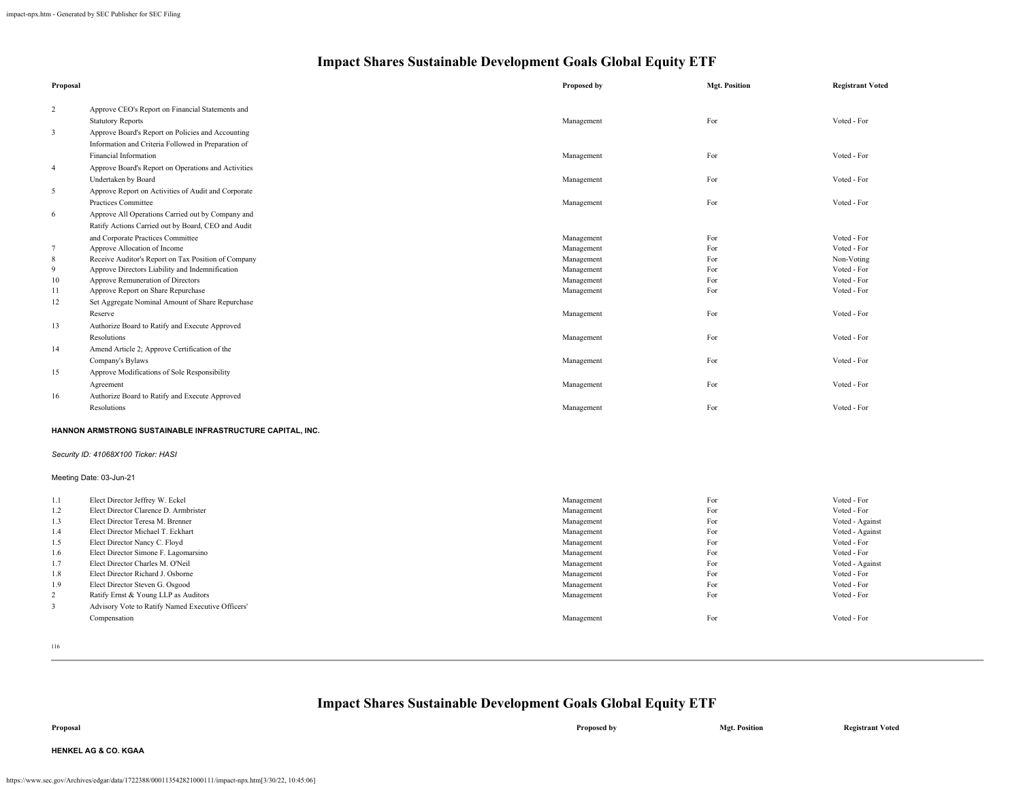| Proposal       |                                                                   | Proposed by | <b>Mgt. Position</b> | <b>Registrant Voted</b> |
|----------------|-------------------------------------------------------------------|-------------|----------------------|-------------------------|
| $\overline{c}$ | Approve CEO's Report on Financial Statements and                  |             |                      |                         |
|                | <b>Statutory Reports</b>                                          | Management  | For                  | Voted - For             |
| $\mathbf{3}$   | Approve Board's Report on Policies and Accounting                 |             |                      |                         |
|                | Information and Criteria Followed in Preparation of               |             |                      |                         |
|                | <b>Financial Information</b>                                      | Management  | For                  | Voted - For             |
| $\overline{4}$ | Approve Board's Report on Operations and Activities               |             |                      |                         |
|                | Undertaken by Board                                               | Management  | For                  | Voted - For             |
| 5              | Approve Report on Activities of Audit and Corporate               |             |                      |                         |
|                | Practices Committee                                               | Management  | For                  | Voted - For             |
| 6              | Approve All Operations Carried out by Company and                 |             |                      |                         |
|                | Ratify Actions Carried out by Board, CEO and Audit                |             |                      |                         |
|                |                                                                   | Management  | For                  | Voted - For             |
| $\tau$         | and Corporate Practices Committee<br>Approve Allocation of Income | Management  | For                  | Voted - For             |
| $\,$ 8 $\,$    | Receive Auditor's Report on Tax Position of Company               | Management  | For                  | Non-Voting              |
| 9              | Approve Directors Liability and Indemnification                   | Management  | For                  | Voted - For             |
| 10             | Approve Remuneration of Directors                                 | Management  | For                  | Voted - For             |
| 11             | Approve Report on Share Repurchase                                | Management  | For                  | Voted - For             |
| 12             | Set Aggregate Nominal Amount of Share Repurchase                  |             |                      |                         |
|                | Reserve                                                           | Management  | For                  | Voted - For             |
| 13             | Authorize Board to Ratify and Execute Approved                    |             |                      |                         |
|                | Resolutions                                                       | Management  | For                  | Voted - For             |
| 14             | Amend Article 2; Approve Certification of the                     |             |                      |                         |
|                | Company's Bylaws                                                  | Management  | For                  | Voted - For             |
| 15             | Approve Modifications of Sole Responsibility                      |             |                      |                         |
|                | Agreement                                                         | Management  | For                  | Voted - For             |
| 16             | Authorize Board to Ratify and Execute Approved                    |             |                      |                         |
|                | Resolutions                                                       | Management  | For                  | Voted - For             |
|                |                                                                   |             |                      |                         |
|                | HANNON ARMSTRONG SUSTAINABLE INFRASTRUCTURE CAPITAL, INC.         |             |                      |                         |
|                | Security ID: 41068X100 Ticker: HASI                               |             |                      |                         |
|                | Meeting Date: 03-Jun-21                                           |             |                      |                         |
| 1.1            | Elect Director Jeffrey W. Eckel                                   | Management  | For                  | Voted - For             |
| 1.2            | Elect Director Clarence D. Armbrister                             | Management  | For                  | Voted - For             |
| 1.3            | Elect Director Teresa M. Brenner                                  | Management  | For                  | Voted - Against         |
| 1.4            | Elect Director Michael T. Eckhart                                 | Management  | For                  | Voted - Against         |
| 1.5            | Elect Director Nancy C. Floyd                                     | Management  | For                  | Voted - For             |
| 1.6            | Elect Director Simone F. Lagomarsino                              | Management  | For                  | Voted - For             |
| 1.7            | Elect Director Charles M. O'Neil                                  | Management  | For                  | Voted - Against         |
| 1.8            | Elect Director Richard J. Osborne                                 | Management  | For                  | Voted - For             |
| 1.9            | Elect Director Steven G. Osgood                                   | Management  | For                  | Voted - For             |
| $\overline{c}$ | Ratify Ernst & Young LLP as Auditors                              | Management  | For                  | Voted - For             |
| $\mathfrak{Z}$ | Advisory Vote to Ratify Named Executive Officers'                 |             |                      |                         |
|                | Compensation                                                      | Management  | For                  | Voted - For             |
|                |                                                                   |             |                      |                         |

116

| Proposal                        | Proposed by | <b>Mgt. Position</b> | <b>Registrant Voted</b> |
|---------------------------------|-------------|----------------------|-------------------------|
| <b>HENKEL AG &amp; CO. KGAA</b> |             |                      |                         |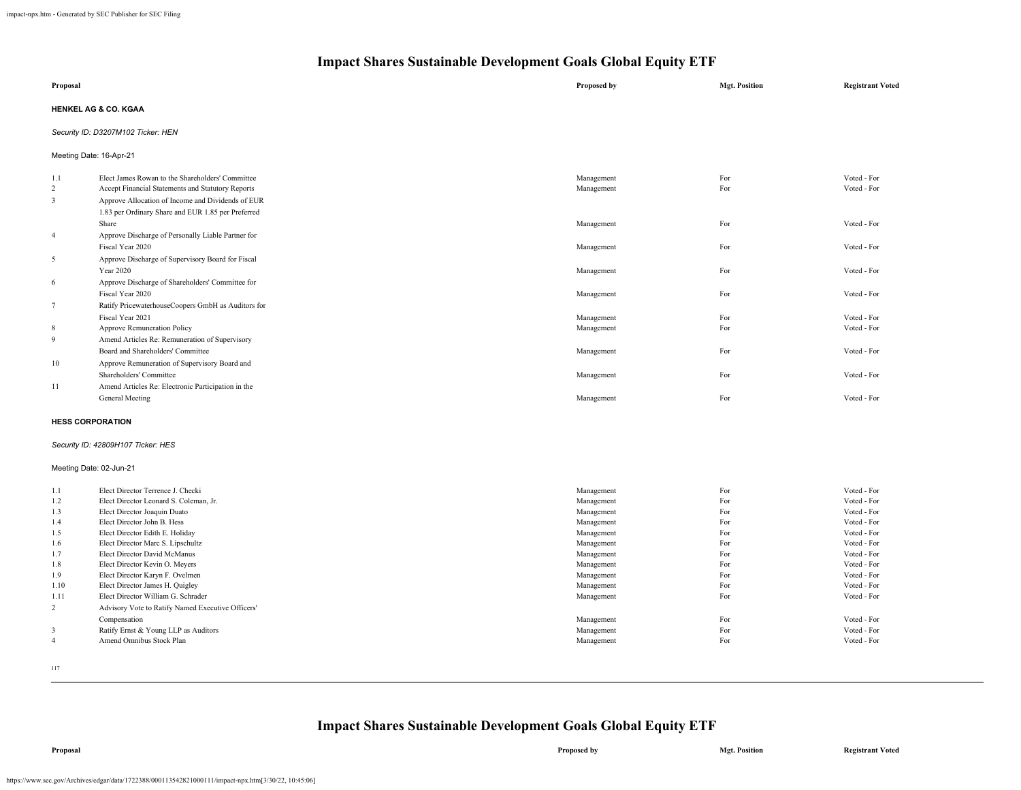|                            | THE PACE SHALLS SUSTAINABLE DEVELOPMENT GRAIS GROBAL Equity ETT                                                                                                                                                  |                          |                      |                            |  |
|----------------------------|------------------------------------------------------------------------------------------------------------------------------------------------------------------------------------------------------------------|--------------------------|----------------------|----------------------------|--|
| Proposal                   |                                                                                                                                                                                                                  | Proposed by              | <b>Mgt. Position</b> | <b>Registrant Voted</b>    |  |
|                            | <b>HENKEL AG &amp; CO. KGAA</b>                                                                                                                                                                                  |                          |                      |                            |  |
|                            | Security ID: D3207M102 Ticker: HEN                                                                                                                                                                               |                          |                      |                            |  |
|                            | Meeting Date: 16-Apr-21                                                                                                                                                                                          |                          |                      |                            |  |
| 1.1<br>$\overline{2}$<br>3 | Elect James Rowan to the Shareholders' Committee<br>Accept Financial Statements and Statutory Reports<br>Approve Allocation of Income and Dividends of EUR<br>1.83 per Ordinary Share and EUR 1.85 per Preferred | Management<br>Management | For<br>For           | Voted - For<br>Voted - For |  |
| $\overline{4}$             | Share<br>Approve Discharge of Personally Liable Partner for                                                                                                                                                      | Management               | For                  | Voted - For                |  |
| 5                          | Fiscal Year 2020<br>Approve Discharge of Supervisory Board for Fiscal                                                                                                                                            | Management               | For                  | Voted - For                |  |
| 6                          | Year 2020<br>Approve Discharge of Shareholders' Committee for                                                                                                                                                    | Management               | For                  | Voted - For                |  |
| $\overline{7}$             | Fiscal Year 2020<br>Ratify PricewaterhouseCoopers GmbH as Auditors for                                                                                                                                           | Management               | For                  | Voted - For                |  |
| 8                          | Fiscal Year 2021<br>Approve Remuneration Policy                                                                                                                                                                  | Management<br>Management | For<br>For           | Voted - For<br>Voted - For |  |
| 9                          | Amend Articles Re: Remuneration of Supervisory<br>Board and Shareholders' Committee                                                                                                                              | Management               | For                  | Voted - For                |  |

| <b>HESS CORPORATION</b> |                                                    |            |     |             |
|-------------------------|----------------------------------------------------|------------|-----|-------------|
|                         | General Meeting                                    | Management | Fot | Voted - For |
| 11                      | Amend Articles Re: Electronic Participation in the |            |     |             |
|                         | Shareholders' Committee                            | Management | Fot | Voted - For |
| 10                      | Approve Remuneration of Supervisory Board and      |            |     |             |

### *Security ID: 42809H107 Ticker: HES*

#### Meeting Date: 02-Jun-21

| 1.1            | Elect Director Terrence J. Checki                 | Management | For | Voted - For |
|----------------|---------------------------------------------------|------------|-----|-------------|
| 1.2            | Elect Director Leonard S. Coleman, Jr.            | Management | For | Voted - For |
| 1.3            | Elect Director Joaquin Duato                      | Management | For | Voted - For |
| 1.4            | Elect Director John B. Hess                       | Management | For | Voted - For |
| 1.5            | Elect Director Edith E. Holiday                   | Management | For | Voted - For |
| 1.6            | Elect Director Marc S. Lipschultz                 | Management | For | Voted - For |
| 1.7            | Elect Director David McManus                      | Management | For | Voted - For |
| 1.8            | Elect Director Kevin O. Meyers                    | Management | For | Voted - For |
| 1.9            | Elect Director Karyn F. Ovelmen                   | Management | For | Voted - For |
| 1.10           | Elect Director James H. Quigley                   | Management | For | Voted - For |
| 1.11           | Elect Director William G. Schrader                | Management | For | Voted - For |
| $\overline{2}$ | Advisory Vote to Ratify Named Executive Officers' |            |     |             |
|                | Compensation                                      | Management | For | Voted - For |
| 3              | Ratify Ernst & Young LLP as Auditors              | Management | For | Voted - For |
| 4              | Amend Omnibus Stock Plan                          | Management | For | Voted - For |
|                |                                                   |            |     |             |

117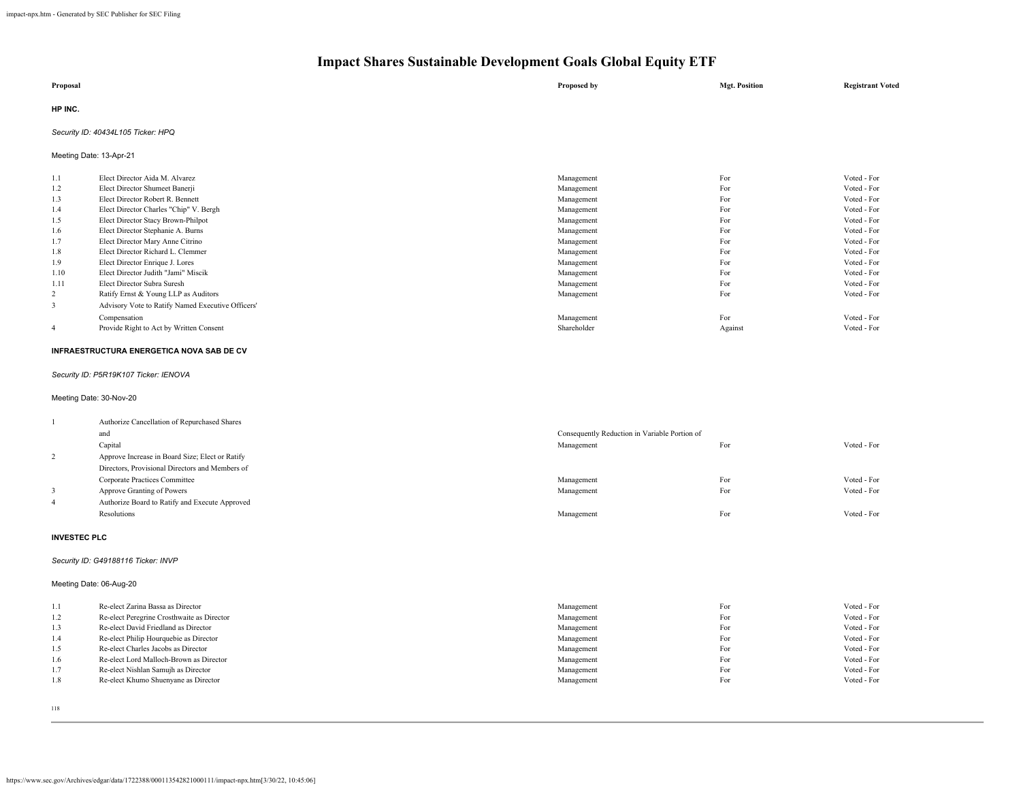| Proposal | Proposed by | <b>Mgt. Position</b> | <b>Registrant Voted</b> |
|----------|-------------|----------------------|-------------------------|
| HP INC.  |             |                      |                         |

### *Security ID: 40434L105 Ticker: HPQ*

Meeting Date: 13-Apr-21

| 1.1            | Elect Director Aida M. Alvarez                    | Management  | For     | Voted - For |
|----------------|---------------------------------------------------|-------------|---------|-------------|
| 1.2            | Elect Director Shumeet Banerji                    | Management  | For     | Voted - For |
| 1.3            | Elect Director Robert R. Bennett                  | Management  | For     | Voted - For |
| 1.4            | Elect Director Charles "Chip" V. Bergh            | Management  | For     | Voted - For |
| 1.5            | Elect Director Stacy Brown-Philpot                | Management  | For     | Voted - For |
| 1.6            | Elect Director Stephanie A. Burns                 | Management  | For     | Voted - For |
| 1.7            | Elect Director Mary Anne Citrino                  | Management  | For     | Voted - For |
| 1.8            | Elect Director Richard L. Clemmer                 | Management  | For     | Voted - For |
| 1.9            | Elect Director Enrique J. Lores                   | Management  | For     | Voted - For |
| 1.10           | Elect Director Judith "Jami" Miscik               | Management  | For     | Voted - For |
| 1.11           | Elect Director Subra Suresh                       | Management  | For     | Voted - For |
| 2              | Ratify Ernst & Young LLP as Auditors              | Management  | For     | Voted - For |
| 3              | Advisory Vote to Ratify Named Executive Officers' |             |         |             |
|                | Compensation                                      | Management  | For     | Voted - For |
| $\overline{4}$ | Provide Right to Act by Written Consent           | Shareholder | Against | Voted - For |

### **INFRAESTRUCTURA ENERGETICA NOVA SAB DE CV**

*Security ID: P5R19K107 Ticker: IENOVA*

### Meeting Date: 30-Nov-20

|                | Authorize Cancellation of Repurchased Shares    |                                               |     |             |
|----------------|-------------------------------------------------|-----------------------------------------------|-----|-------------|
|                | and                                             | Consequently Reduction in Variable Portion of |     |             |
|                | Capital                                         | Management                                    | For | Voted - For |
|                | Approve Increase in Board Size; Elect or Ratify |                                               |     |             |
|                | Directors, Provisional Directors and Members of |                                               |     |             |
|                | Corporate Practices Committee                   | Management                                    | For | Voted - For |
|                | Approve Granting of Powers                      | Management                                    | For | Voted - For |
| $\overline{4}$ | Authorize Board to Ratify and Execute Approved  |                                               |     |             |
|                | Resolutions                                     | Management                                    | For | Voted - For |
|                |                                                 |                                               |     |             |

#### **INVESTEC PLC**

### *Security ID: G49188116 Ticker: INVP*

Meeting Date: 06-Aug-20

| 1.1 | Re-elect Zarina Bassa as Director          | Management | For | Voted - For |
|-----|--------------------------------------------|------------|-----|-------------|
| 1.2 | Re-elect Peregrine Crosthwaite as Director | Management | For | Voted - For |
| 1.3 | Re-elect David Friedland as Director       | Management | For | Voted - For |
| 1.4 | Re-elect Philip Hourquebie as Director     | Management | For | Voted - For |
| 1.5 | Re-elect Charles Jacobs as Director        | Management | For | Voted - For |
| 1.6 | Re-elect Lord Malloch-Brown as Director    | Management | For | Voted - For |
| 1.7 | Re-elect Nishlan Samujh as Director        | Management | For | Voted - For |
| 1.8 | Re-elect Khumo Shuenyane as Director       | Management | For | Voted - For |
|     |                                            |            |     |             |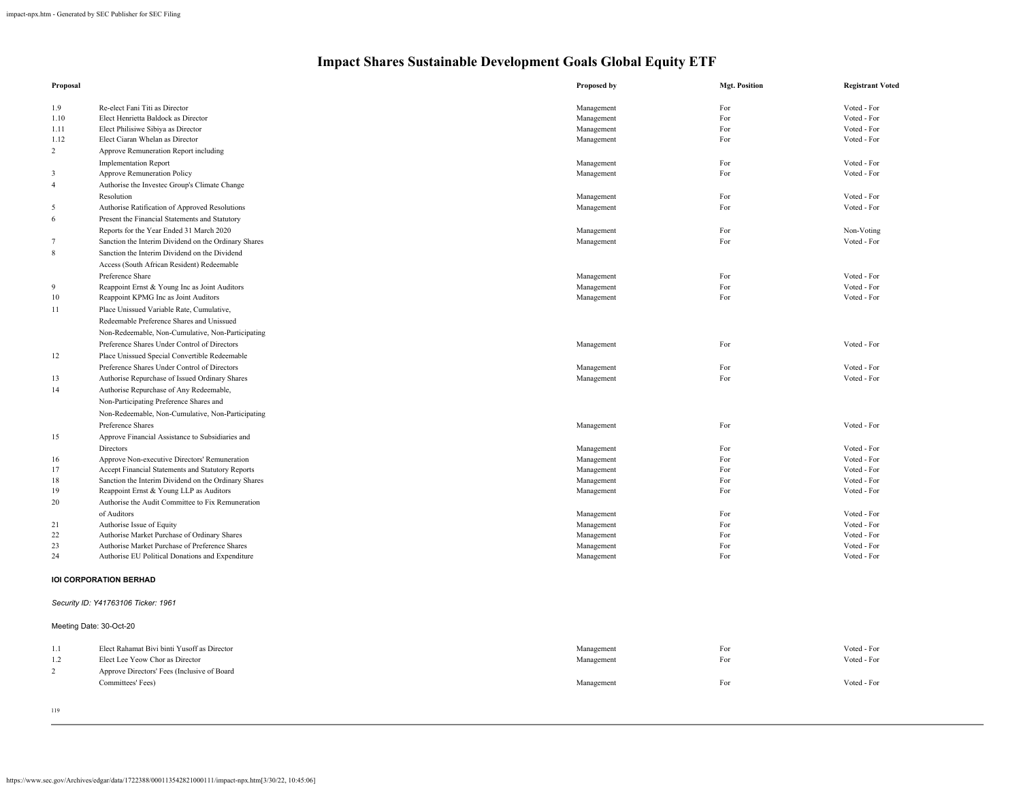| Proposal        |                                                      | Proposed by              | <b>Mgt. Position</b> | <b>Registrant Voted</b>    |
|-----------------|------------------------------------------------------|--------------------------|----------------------|----------------------------|
|                 | Re-elect Fani Titi as Director                       |                          | For                  | Voted - For                |
| 1.9<br>1.10     | Elect Henrietta Baldock as Director                  | Management<br>Management | For                  | Voted - For                |
|                 |                                                      | Management               | For                  | Voted - For                |
| 1.11            | Elect Philisiwe Sibiya as Director                   |                          | For                  |                            |
| 1.12            | Elect Ciaran Whelan as Director                      | Management               |                      | Voted - For                |
| 2               | Approve Remuneration Report including                |                          |                      |                            |
|                 | <b>Implementation Report</b>                         | Management<br>Management | For<br>For           | Voted - For<br>Voted - For |
| $\mathbf{3}$    | Approve Remuneration Policy                          |                          |                      |                            |
| $\overline{4}$  | Authorise the Investec Group's Climate Change        |                          |                      |                            |
|                 | Resolution                                           | Management               | For                  | Voted - For                |
| 5               | Authorise Ratification of Approved Resolutions       | Management               | For                  | Voted - For                |
| 6               | Present the Financial Statements and Statutory       |                          |                      |                            |
|                 | Reports for the Year Ended 31 March 2020             | Management               | For                  | Non-Voting                 |
| $7\phantom{.0}$ | Sanction the Interim Dividend on the Ordinary Shares | Management               | For                  | Voted - For                |
| 8               | Sanction the Interim Dividend on the Dividend        |                          |                      |                            |
|                 | Access (South African Resident) Redeemable           |                          |                      |                            |
|                 | Preference Share                                     | Management               | For                  | Voted - For                |
| 9               | Reappoint Ernst & Young Inc as Joint Auditors        | Management               | For                  | Voted - For                |
| 10              | Reappoint KPMG Inc as Joint Auditors                 | Management               | For                  | Voted - For                |
| 11              | Place Unissued Variable Rate, Cumulative,            |                          |                      |                            |
|                 | Redeemable Preference Shares and Unissued            |                          |                      |                            |
|                 | Non-Redeemable, Non-Cumulative, Non-Participating    |                          |                      |                            |
|                 | Preference Shares Under Control of Directors         | Management               | For                  | Voted - For                |
| 12              | Place Unissued Special Convertible Redeemable        |                          |                      |                            |
|                 | Preference Shares Under Control of Directors         | Management               | For                  | Voted - For                |
| 13              | Authorise Repurchase of Issued Ordinary Shares       | Management               | For                  | Voted - For                |
| 14              | Authorise Repurchase of Any Redeemable,              |                          |                      |                            |
|                 | Non-Participating Preference Shares and              |                          |                      |                            |
|                 | Non-Redeemable, Non-Cumulative, Non-Participating    |                          |                      |                            |
|                 | Preference Shares                                    | Management               | For                  | Voted - For                |
| 15              | Approve Financial Assistance to Subsidiaries and     |                          |                      |                            |
|                 | Directors                                            | Management               | For                  | Voted - For                |
| 16              | Approve Non-executive Directors' Remuneration        | Management               | For                  | Voted - For                |
| 17              | Accept Financial Statements and Statutory Reports    | Management               | For                  | Voted - For                |
| 18              | Sanction the Interim Dividend on the Ordinary Shares | Management               | For                  | Voted - For                |
| 19              | Reappoint Ernst & Young LLP as Auditors              | Management               | For                  | Voted - For                |
| 20              | Authorise the Audit Committee to Fix Remuneration    |                          |                      |                            |
|                 | of Auditors                                          | Management               | For                  | Voted - For                |
| 21              | Authorise Issue of Equity                            | Management               | For                  | Voted - For                |
| 22              | Authorise Market Purchase of Ordinary Shares         | Management               | For                  | Voted - For                |
| 23              | Authorise Market Purchase of Preference Shares       | Management               | For                  | Voted - For                |
| 24              | Authorise EU Political Donations and Expenditure     | Management               | For                  | Voted - For                |
|                 | <b>IOI CORPORATION BERHAD</b>                        |                          |                      |                            |
|                 |                                                      |                          |                      |                            |
|                 | Security ID: Y41763106 Ticker: 1961                  |                          |                      |                            |
|                 | Meeting Date: 30-Oct-20                              |                          |                      |                            |
| 1.1             | Elect Rahamat Bivi binti Yusoff as Director          | Management               | For                  | Voted - For                |
| 1.2             | Elect Lee Yeow Chor as Director                      | Management               | For                  | Voted - For                |
| 2               | Approve Directors' Fees (Inclusive of Board          |                          |                      |                            |
|                 | Committees' Fees)                                    | Management               | For                  | Voted - For                |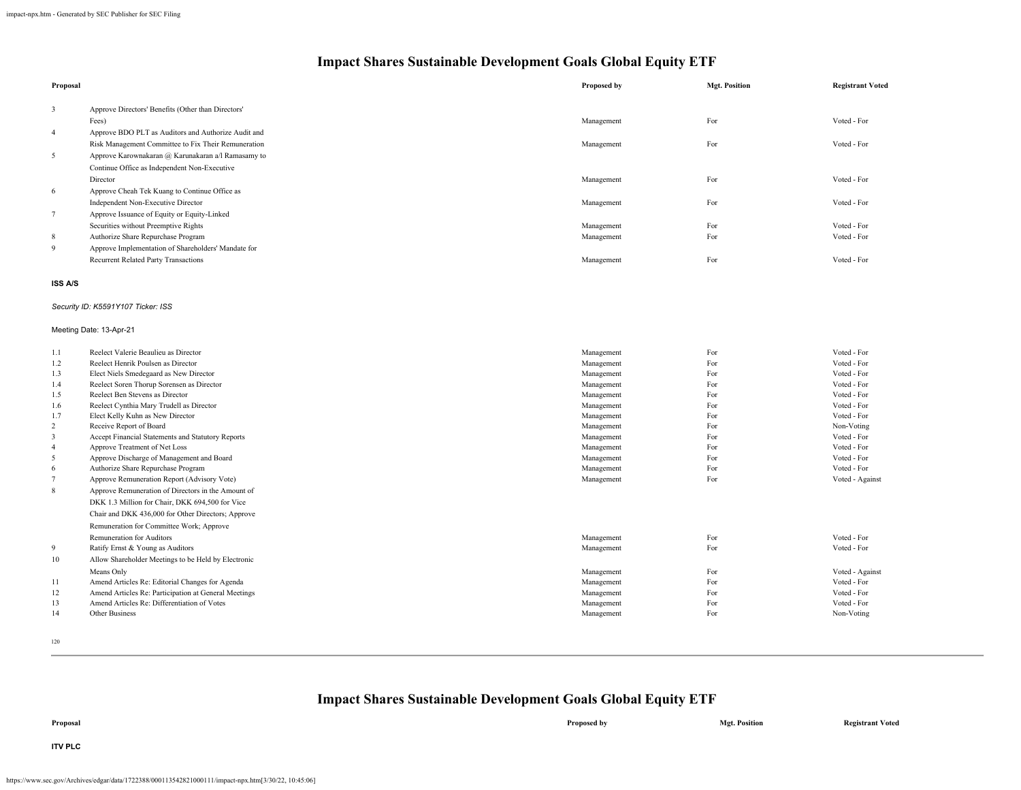| Proposal        |                                                      | Proposed by | <b>Mgt. Position</b> | <b>Registrant Voted</b> |
|-----------------|------------------------------------------------------|-------------|----------------------|-------------------------|
| $\mathbf{3}$    | Approve Directors' Benefits (Other than Directors'   |             |                      |                         |
|                 | Fees)                                                | Management  | For                  | Voted - For             |
| $\overline{4}$  | Approve BDO PLT as Auditors and Authorize Audit and  |             |                      |                         |
|                 | Risk Management Committee to Fix Their Remuneration  | Management  | For                  | Voted - For             |
| 5               | Approve Karownakaran @ Karunakaran a/l Ramasamy to   |             |                      |                         |
|                 | Continue Office as Independent Non-Executive         |             |                      |                         |
|                 | Director                                             | Management  | For                  | Voted - For             |
| 6               | Approve Cheah Tek Kuang to Continue Office as        |             |                      |                         |
|                 |                                                      |             | For                  | Voted - For             |
|                 | Independent Non-Executive Director                   | Management  |                      |                         |
| $7\overline{ }$ | Approve Issuance of Equity or Equity-Linked          |             |                      |                         |
|                 | Securities without Preemptive Rights                 | Management  | For                  | Voted - For             |
| 8               | Authorize Share Repurchase Program                   | Management  | For                  | Voted - For             |
| 9               | Approve Implementation of Shareholders' Mandate for  |             |                      |                         |
|                 | <b>Recurrent Related Party Transactions</b>          | Management  | For                  | Voted - For             |
| <b>ISS A/S</b>  |                                                      |             |                      |                         |
|                 | Security ID: K5591Y107 Ticker: ISS                   |             |                      |                         |
|                 | Meeting Date: 13-Apr-21                              |             |                      |                         |
| 1.1             | Reelect Valerie Beaulieu as Director                 | Management  | For                  | Voted - For             |
| 1.2             | Reelect Henrik Poulsen as Director                   | Management  | For                  | Voted - For             |
| 1.3             | Elect Niels Smedegaard as New Director               | Management  | For                  | Voted - For             |
| 1.4             | Reelect Soren Thorup Sorensen as Director            | Management  | For                  | Voted - For             |
| 1.5             | Reelect Ben Stevens as Director                      | Management  | For                  | Voted - For             |
| 1.6             | Reelect Cynthia Mary Trudell as Director             | Management  | For                  | Voted - For             |
| 1.7             | Elect Kelly Kuhn as New Director                     | Management  | For                  | Voted - For             |
| $\overline{2}$  | Receive Report of Board                              | Management  | For                  | Non-Voting              |
| $\mathfrak{Z}$  | Accept Financial Statements and Statutory Reports    | Management  | For                  | Voted - For             |
| $\overline{4}$  | Approve Treatment of Net Loss                        | Management  | For                  | Voted - For             |
| 5               | Approve Discharge of Management and Board            | Management  | For                  | Voted - For             |
| 6               | Authorize Share Repurchase Program                   | Management  | For                  | Voted - For             |
| $\tau$          | Approve Remuneration Report (Advisory Vote)          | Management  | For                  | Voted - Against         |
| $8\,$           | Approve Remuneration of Directors in the Amount of   |             |                      |                         |
|                 | DKK 1.3 Million for Chair, DKK 694,500 for Vice      |             |                      |                         |
|                 | Chair and DKK 436,000 for Other Directors; Approve   |             |                      |                         |
|                 | Remuneration for Committee Work; Approve             |             |                      |                         |
|                 | Remuneration for Auditors                            | Management  | For                  | Voted - For             |
| 9               | Ratify Ernst & Young as Auditors                     | Management  | For                  | Voted - For             |
| 10              | Allow Shareholder Meetings to be Held by Electronic  |             |                      |                         |
|                 | Means Only                                           | Management  | For                  | Voted - Against         |
| 11              | Amend Articles Re: Editorial Changes for Agenda      | Management  | For                  | Voted - For             |
| 12              | Amend Articles Re: Participation at General Meetings | Management  | For                  | Voted - For             |
| 13              | Amend Articles Re: Differentiation of Votes          | Management  | For                  | Voted - For             |
| 14              | Other Business                                       | Management  | For                  | Non-Voting              |

120

| Proposal       | Proposed by | <b>Mgt. Position</b> | <b>Registrant Voted</b> |
|----------------|-------------|----------------------|-------------------------|
| <b>ITV PLC</b> |             |                      |                         |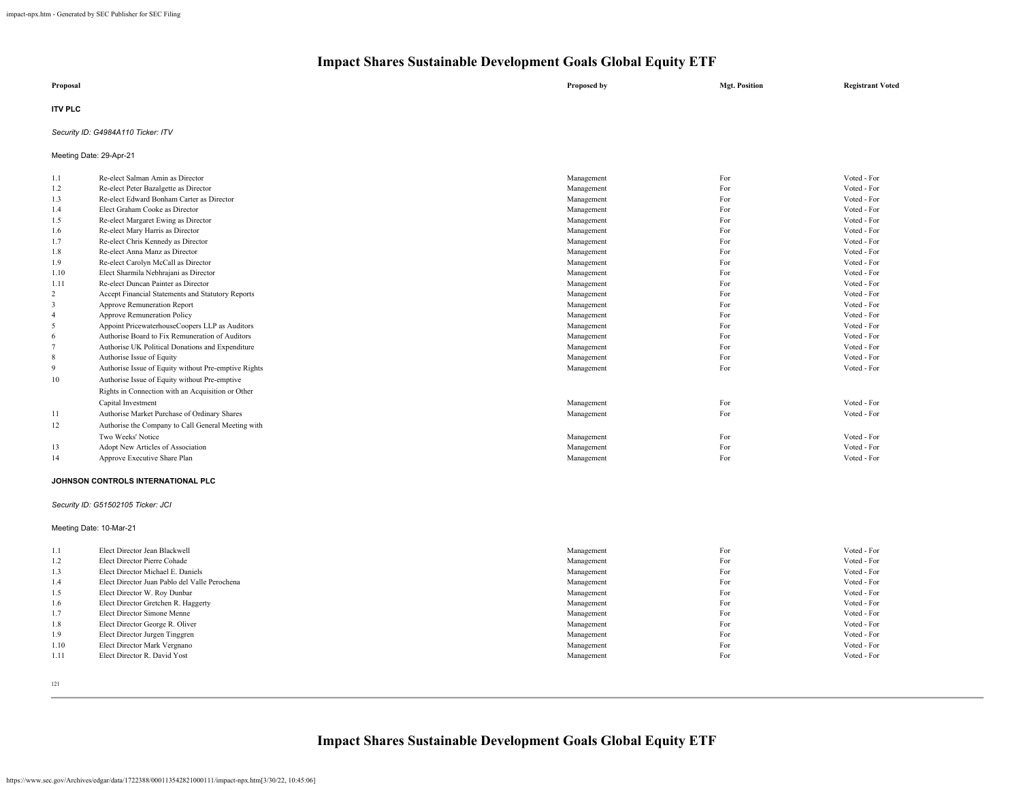| Proposal       | Proposed by | <b>Mgt. Position</b> | <b>Registrant Voted</b> |
|----------------|-------------|----------------------|-------------------------|
| <b>ITV PLC</b> |             |                      |                         |

### *Security ID: G4984A110 Ticker: ITV*

Meeting Date: 29-Apr-21

| 1.1            | Re-elect Salman Amin as Director                     | Management | For | Voted - For |
|----------------|------------------------------------------------------|------------|-----|-------------|
| 1.2            | Re-elect Peter Bazalgette as Director                | Management | For | Voted - For |
| 1.3            | Re-elect Edward Bonham Carter as Director            | Management | For | Voted - For |
| 1.4            | Elect Graham Cooke as Director                       | Management | For | Voted - For |
| 1.5            | Re-elect Margaret Ewing as Director                  | Management | For | Voted - For |
| 1.6            | Re-elect Mary Harris as Director                     | Management | For | Voted - For |
| 1.7            | Re-elect Chris Kennedy as Director                   | Management | For | Voted - For |
| 1.8            | Re-elect Anna Manz as Director                       | Management | For | Voted - For |
| 1.9            | Re-elect Carolyn McCall as Director                  | Management | For | Voted - For |
| 1.10           | Elect Sharmila Nebhrajani as Director                | Management | For | Voted - For |
| 1.11           | Re-elect Duncan Painter as Director                  | Management | For | Voted - For |
| 2              | Accept Financial Statements and Statutory Reports    | Management | For | Voted - For |
| 3              | Approve Remuneration Report                          | Management | For | Voted - For |
| $\overline{4}$ | <b>Approve Remuneration Policy</b>                   | Management | For | Voted - For |
| 5              | Appoint PricewaterhouseCoopers LLP as Auditors       | Management | For | Voted - For |
| 6              | Authorise Board to Fix Remuneration of Auditors      | Management | For | Voted - For |
|                | Authorise UK Political Donations and Expenditure     | Management | For | Voted - For |
| 8              | Authorise Issue of Equity                            | Management | For | Voted - For |
| 9              | Authorise Issue of Equity without Pre-emptive Rights | Management | For | Voted - For |
| 10             | Authorise Issue of Equity without Pre-emptive        |            |     |             |
|                | Rights in Connection with an Acquisition or Other    |            |     |             |
|                | Capital Investment                                   | Management | For | Voted - For |
| 11             | Authorise Market Purchase of Ordinary Shares         | Management | For | Voted - For |
| 12             | Authorise the Company to Call General Meeting with   |            |     |             |
|                | Two Weeks' Notice                                    | Management | For | Voted - For |
| 13             | Adopt New Articles of Association                    | Management | For | Voted - For |
| 14             | Approve Executive Share Plan                         | Management | For | Voted - For |
|                |                                                      |            |     |             |
|                |                                                      |            |     |             |

#### **JOHNSON CONTROLS INTERNATIONAL PLC**

### *Security ID: G51502105 Ticker: JCI*

Meeting Date: 10-Mar-21

| 1.1  | Elect Director Jean Blackwell                 | Management | For | Voted - For |
|------|-----------------------------------------------|------------|-----|-------------|
| 1.2  | Elect Director Pierre Cohade                  | Management | For | Voted - For |
| 1.3  | Elect Director Michael E. Daniels             | Management | For | Voted - For |
| 1.4  | Elect Director Juan Pablo del Valle Perochena | Management | For | Voted - For |
| 1.5  | Elect Director W. Roy Dunbar                  | Management | For | Voted - For |
| 1.6  | Elect Director Gretchen R. Haggerty           | Management | For | Voted - For |
| 1.7  | Elect Director Simone Menne                   | Management | For | Voted - For |
| 1.8  | Elect Director George R. Oliver               | Management | For | Voted - For |
| 1.9  | Elect Director Jurgen Tinggren                | Management | For | Voted - For |
| 1.10 | Elect Director Mark Vergnano                  | Management | For | Voted - For |
| 1.11 | Elect Director R. David Yost                  | Management | For | Voted - For |
|      |                                               |            |     |             |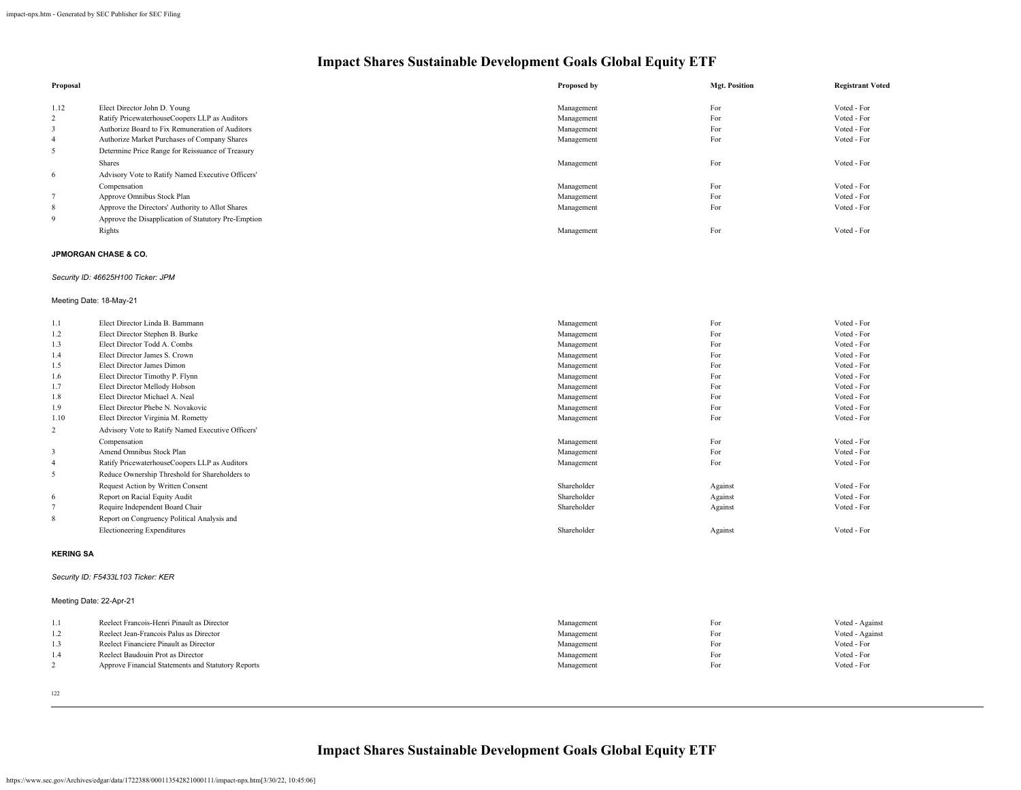| Proposal |                                                     | Proposed by | <b>Mgt. Position</b> | <b>Registrant Voted</b> |
|----------|-----------------------------------------------------|-------------|----------------------|-------------------------|
|          |                                                     |             |                      |                         |
| 1.12     | Elect Director John D. Young                        | Management  | For                  | Voted - For             |
| 2        | Ratify PricewaterhouseCoopers LLP as Auditors       | Management  | For                  | Voted - For             |
| 3        | Authorize Board to Fix Remuneration of Auditors     | Management  | For                  | Voted - For             |
| 4        | Authorize Market Purchases of Company Shares        | Management  | For                  | Voted - For             |
| 5        | Determine Price Range for Reissuance of Treasury    |             |                      |                         |
|          | <b>Shares</b>                                       | Management  | For                  | Voted - For             |
| 6        | Advisory Vote to Ratify Named Executive Officers'   |             |                      |                         |
|          | Compensation                                        | Management  | For                  | Voted - For             |
|          | Approve Omnibus Stock Plan                          | Management  | For                  | Voted - For             |
| 8        | Approve the Directors' Authority to Allot Shares    | Management  | For                  | Voted - For             |
| 9        | Approve the Disapplication of Statutory Pre-Emption |             |                      |                         |
|          | Rights                                              | Management  | For                  | Voted - For             |

### **JPMORGAN CHASE & CO.**

### *Security ID: 46625H100 Ticker: JPM*

### Meeting Date: 18-May-21

| 1.1            | Elect Director Linda B. Bammann                   | Management  | For     | Voted - For |
|----------------|---------------------------------------------------|-------------|---------|-------------|
| 1.2            | Elect Director Stephen B. Burke                   |             | For     | Voted - For |
|                |                                                   | Management  |         |             |
| 1.3            | Elect Director Todd A. Combs                      | Management  | For     | Voted - For |
| 1.4            | Elect Director James S. Crown                     | Management  | For     | Voted - For |
| 1.5            | Elect Director James Dimon                        | Management  | For     | Voted - For |
| 1.6            | Elect Director Timothy P. Flynn                   | Management  | For     | Voted - For |
| 1.7            | Elect Director Mellody Hobson                     | Management  | For     | Voted - For |
| 1.8            | Elect Director Michael A. Neal                    | Management  | For     | Voted - For |
| 1.9            | Elect Director Phebe N. Novakovic                 | Management  | For     | Voted - For |
| 1.10           | Elect Director Virginia M. Rometty                | Management  | For     | Voted - For |
| $\overline{2}$ | Advisory Vote to Ratify Named Executive Officers' |             |         |             |
|                | Compensation                                      | Management  | For     | Voted - For |
| 3              | Amend Omnibus Stock Plan                          | Management  | For     | Voted - For |
| $\overline{4}$ | Ratify PricewaterhouseCoopers LLP as Auditors     | Management  | For     | Voted - For |
| 5              | Reduce Ownership Threshold for Shareholders to    |             |         |             |
|                | Request Action by Written Consent                 | Shareholder | Against | Voted - For |
| 6              | Report on Racial Equity Audit                     | Shareholder | Against | Voted - For |
|                | Require Independent Board Chair                   | Shareholder | Against | Voted - For |
| 8              | Report on Congruency Political Analysis and       |             |         |             |
|                | <b>Electioneering Expenditures</b>                | Shareholder | Against | Voted - For |
|                |                                                   |             |         |             |

#### **KERING SA**

### *Security ID: F5433L103 Ticker: KER*

### Meeting Date: 22-Apr-21

| 1.1 | Reelect Francois-Henri Pinault as Director         | Management | For | Voted - Against |
|-----|----------------------------------------------------|------------|-----|-----------------|
| 1.2 | Reelect Jean-Francois Palus as Director            | Management | For | Voted - Against |
| 1.3 | Reelect Financiere Pinault as Director             | Management | For | Voted - For     |
| 1.4 | Reelect Baudouin Prot as Director                  | Management | For | Voted - For     |
|     | Approve Financial Statements and Statutory Reports | Management | For | Voted - For     |
|     |                                                    |            |     |                 |

<sup>122</sup>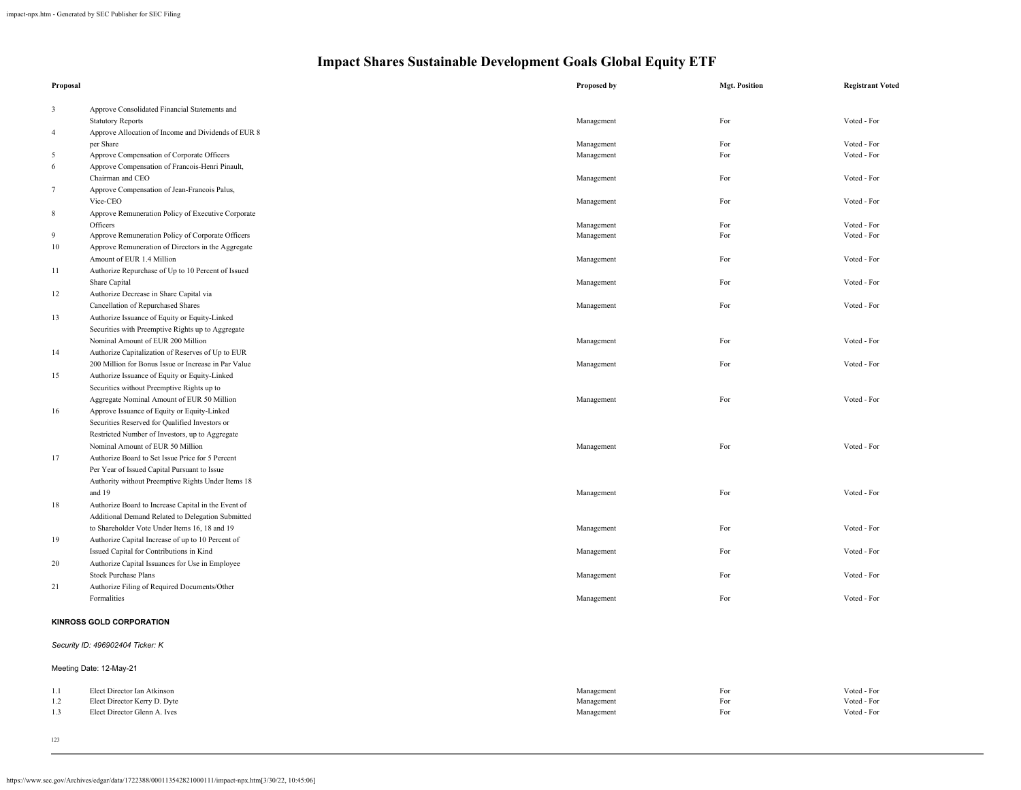| Proposal       |                                                               | Proposed by              | <b>Mgt. Position</b> | <b>Registrant Voted</b>    |
|----------------|---------------------------------------------------------------|--------------------------|----------------------|----------------------------|
|                |                                                               |                          |                      |                            |
| $\mathbf{3}$   | Approve Consolidated Financial Statements and                 |                          |                      |                            |
|                | <b>Statutory Reports</b>                                      | Management               | For                  | Voted - For                |
| $\overline{4}$ | Approve Allocation of Income and Dividends of EUR 8           |                          |                      |                            |
|                | per Share                                                     | Management               | For<br>For           | Voted - For<br>Voted - For |
| 5              | Approve Compensation of Corporate Officers                    | Management               |                      |                            |
| 6              | Approve Compensation of Francois-Henri Pinault,               |                          | For                  | Voted - For                |
| $\tau$         | Chairman and CEO                                              | Management               |                      |                            |
|                | Approve Compensation of Jean-Francois Palus,<br>Vice-CEO      |                          | For                  | Voted - For                |
|                |                                                               | Management               |                      |                            |
| 8              | Approve Remuneration Policy of Executive Corporate            |                          |                      |                            |
| 9              | Officers<br>Approve Remuneration Policy of Corporate Officers | Management<br>Management | For<br>For           | Voted - For<br>Voted - For |
|                |                                                               |                          |                      |                            |
| $10\,$         | Approve Remuneration of Directors in the Aggregate            |                          | For                  | Voted - For                |
|                | Amount of EUR 1.4 Million                                     | Management               |                      |                            |
| 11             | Authorize Repurchase of Up to 10 Percent of Issued            |                          |                      |                            |
|                | Share Capital                                                 | Management               | For                  | Voted - For                |
| 12             | Authorize Decrease in Share Capital via                       |                          |                      |                            |
|                | Cancellation of Repurchased Shares                            | Management               | For                  | Voted - For                |
| 13             | Authorize Issuance of Equity or Equity-Linked                 |                          |                      |                            |
|                | Securities with Preemptive Rights up to Aggregate             |                          |                      |                            |
|                | Nominal Amount of EUR 200 Million                             | Management               | For                  | Voted - For                |
| 14             | Authorize Capitalization of Reserves of Up to EUR             |                          |                      |                            |
|                | 200 Million for Bonus Issue or Increase in Par Value          | Management               | For                  | Voted - For                |
| 15             | Authorize Issuance of Equity or Equity-Linked                 |                          |                      |                            |
|                | Securities without Preemptive Rights up to                    |                          |                      |                            |
|                | Aggregate Nominal Amount of EUR 50 Million                    | Management               | For                  | Voted - For                |
| 16             | Approve Issuance of Equity or Equity-Linked                   |                          |                      |                            |
|                | Securities Reserved for Qualified Investors or                |                          |                      |                            |
|                | Restricted Number of Investors, up to Aggregate               |                          |                      |                            |
|                | Nominal Amount of EUR 50 Million                              | Management               | For                  | Voted - For                |
| 17             | Authorize Board to Set Issue Price for 5 Percent              |                          |                      |                            |
|                | Per Year of Issued Capital Pursuant to Issue                  |                          |                      |                            |
|                | Authority without Preemptive Rights Under Items 18            |                          |                      |                            |
|                | and 19                                                        | Management               | For                  | Voted - For                |
| 18             | Authorize Board to Increase Capital in the Event of           |                          |                      |                            |
|                | Additional Demand Related to Delegation Submitted             |                          |                      |                            |
|                | to Shareholder Vote Under Items 16, 18 and 19                 | Management               | For                  | Voted - For                |
| 19             | Authorize Capital Increase of up to 10 Percent of             |                          |                      |                            |
|                | Issued Capital for Contributions in Kind                      | Management               | For                  | Voted - For                |
| 20             | Authorize Capital Issuances for Use in Employee               |                          |                      |                            |
|                | <b>Stock Purchase Plans</b>                                   | Management               | For                  | Voted - For                |
| 21             | Authorize Filing of Required Documents/Other                  |                          |                      |                            |
|                | Formalities                                                   | Management               | For                  | Voted - For                |
|                | <b>KINROSS GOLD CORPORATION</b>                               |                          |                      |                            |
|                | Security ID: 496902404 Ticker: K                              |                          |                      |                            |
|                | Meeting Date: 12-May-21                                       |                          |                      |                            |
| 1.1            | Elect Director Ian Atkinson                                   | Management               | For                  | Voted - For                |
| 1.2            | Elect Director Kerry D. Dyte                                  | Management               | For                  | Voted - For                |
| 1.3            | Elect Director Glenn A. Ives                                  | Management               | For                  | Voted - For                |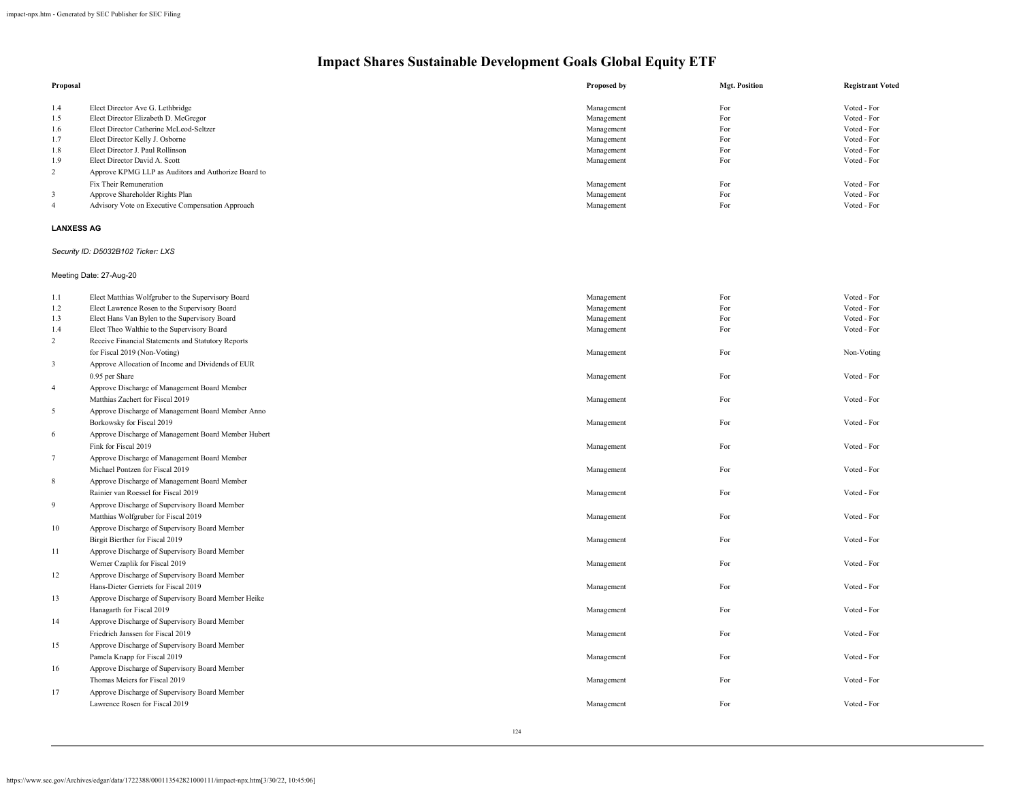| Proposal |                                                     | Proposed by | <b>Mgt. Position</b> | <b>Registrant Voted</b> |
|----------|-----------------------------------------------------|-------------|----------------------|-------------------------|
|          |                                                     |             |                      |                         |
| 1.4      | Elect Director Ave G. Lethbridge                    | Management  | For                  | Voted - For             |
| 1.5      | Elect Director Elizabeth D. McGregor                | Management  | For                  | Voted - For             |
| 1.6      | Elect Director Catherine McLeod-Seltzer             | Management  | For                  | Voted - For             |
| 1.7      | Elect Director Kelly J. Osborne                     | Management  | For                  | Voted - For             |
| 1.8      | Elect Director J. Paul Rollinson                    | Management  | For                  | Voted - For             |
| 1.9      | Elect Director David A. Scott                       | Management  | For                  | Voted - For             |
| 2        | Approve KPMG LLP as Auditors and Authorize Board to |             |                      |                         |
|          | Fix Their Remuneration                              | Management  | For                  | Voted - For             |
|          | Approve Shareholder Rights Plan                     | Management  | For                  | Voted - For             |
| -4       | Advisory Vote on Executive Compensation Approach    | Management  | For                  | Voted - For             |

### **LANXESS AG**

### *Security ID: D5032B102 Ticker: LXS*

### Meeting Date: 27-Aug-20

| 1.1            | Elect Matthias Wolfgruber to the Supervisory Board  | Management | For | Voted - For |
|----------------|-----------------------------------------------------|------------|-----|-------------|
| 1.2            | Elect Lawrence Rosen to the Supervisory Board       | Management | For | Voted - For |
| 1.3            | Elect Hans Van Bylen to the Supervisory Board       | Management | For | Voted - For |
| 1.4            | Elect Theo Walthie to the Supervisory Board         | Management | For | Voted - For |
| $\overline{2}$ | Receive Financial Statements and Statutory Reports  |            |     |             |
|                | for Fiscal 2019 (Non-Voting)                        | Management | For | Non-Voting  |
| 3              | Approve Allocation of Income and Dividends of EUR   |            |     |             |
|                | 0.95 per Share                                      | Management | For | Voted - For |
| $\overline{4}$ | Approve Discharge of Management Board Member        |            |     |             |
|                | Matthias Zachert for Fiscal 2019                    | Management | For | Voted - For |
| 5              | Approve Discharge of Management Board Member Anno   |            |     |             |
|                | Borkowsky for Fiscal 2019                           | Management | For | Voted - For |
| 6              | Approve Discharge of Management Board Member Hubert |            |     |             |
|                | Fink for Fiscal 2019                                | Management | For | Voted - For |
| $\tau$         | Approve Discharge of Management Board Member        |            |     |             |
|                | Michael Pontzen for Fiscal 2019                     | Management | For | Voted - For |
| 8              | Approve Discharge of Management Board Member        |            |     |             |
|                | Rainier van Roessel for Fiscal 2019                 | Management | For | Voted - For |
| 9              | Approve Discharge of Supervisory Board Member       |            |     |             |
|                | Matthias Wolfgruber for Fiscal 2019                 | Management | For | Voted - For |
| 10             | Approve Discharge of Supervisory Board Member       |            |     |             |
|                | Birgit Bierther for Fiscal 2019                     | Management | For | Voted - For |
| 11             | Approve Discharge of Supervisory Board Member       |            |     |             |
|                | Werner Czaplik for Fiscal 2019                      | Management | For | Voted - For |
| 12             | Approve Discharge of Supervisory Board Member       |            |     |             |
|                | Hans-Dieter Gerriets for Fiscal 2019                | Management | For | Voted - For |
| 13             | Approve Discharge of Supervisory Board Member Heike |            |     |             |
|                | Hanagarth for Fiscal 2019                           | Management | For | Voted - For |
| 14             | Approve Discharge of Supervisory Board Member       |            |     |             |
|                | Friedrich Janssen for Fiscal 2019                   | Management | For | Voted - For |
| 15             | Approve Discharge of Supervisory Board Member       |            |     |             |
|                | Pamela Knapp for Fiscal 2019                        | Management | For | Voted - For |
| 16             | Approve Discharge of Supervisory Board Member       |            |     |             |
|                | Thomas Meiers for Fiscal 2019                       | Management | For | Voted - For |
| 17             | Approve Discharge of Supervisory Board Member       |            |     |             |
|                | Lawrence Rosen for Fiscal 2019                      | Management | For | Voted - For |
|                |                                                     |            |     |             |
|                |                                                     |            |     |             |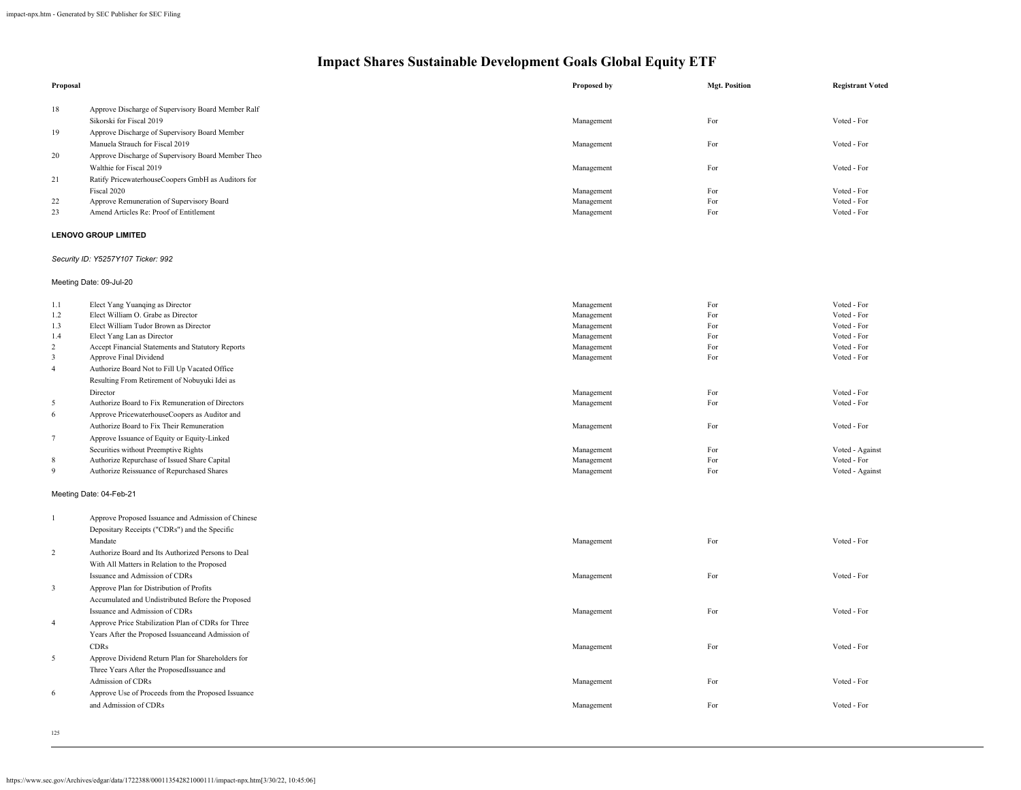| Proposal       |                                                                                     | Proposed by | <b>Mgt. Position</b> | <b>Registrant Voted</b> |
|----------------|-------------------------------------------------------------------------------------|-------------|----------------------|-------------------------|
| 18             | Approve Discharge of Supervisory Board Member Ralf                                  |             |                      |                         |
|                | Sikorski for Fiscal 2019                                                            | Management  | For                  | Voted - For             |
| 19             | Approve Discharge of Supervisory Board Member                                       |             |                      |                         |
|                | Manuela Strauch for Fiscal 2019                                                     | Management  | For                  | Voted - For             |
| 20             | Approve Discharge of Supervisory Board Member Theo                                  |             |                      |                         |
|                | Walthie for Fiscal 2019                                                             | Management  | For                  | Voted - For             |
| 21             | Ratify PricewaterhouseCoopers GmbH as Auditors for                                  |             |                      |                         |
|                | Fiscal 2020                                                                         | Management  | For                  | Voted - For             |
| 22             | Approve Remuneration of Supervisory Board                                           | Management  | For                  | Voted - For             |
| 23             | Amend Articles Re: Proof of Entitlement                                             | Management  | For                  | Voted - For             |
|                | <b>LENOVO GROUP LIMITED</b>                                                         |             |                      |                         |
|                | Security ID: Y5257Y107 Ticker: 992                                                  |             |                      |                         |
|                | Meeting Date: 09-Jul-20                                                             |             |                      |                         |
| 1.1            | Elect Yang Yuanqing as Director                                                     | Management  | For                  | Voted - For             |
| 1.2            | Elect William O. Grabe as Director                                                  | Management  | For                  | Voted - For             |
| 1.3            | Elect William Tudor Brown as Director                                               | Management  | For                  | Voted - For             |
| 1.4            | Elect Yang Lan as Director                                                          | Management  | For                  | Voted - For             |
| $\overline{c}$ | Accept Financial Statements and Statutory Reports                                   | Management  | For                  | Voted - For             |
| $\mathfrak{Z}$ | Approve Final Dividend                                                              | Management  | For                  | Voted - For             |
| $\overline{4}$ | Authorize Board Not to Fill Up Vacated Office                                       |             |                      |                         |
|                | Resulting From Retirement of Nobuyuki Idei as                                       |             |                      |                         |
|                | Director                                                                            | Management  | For                  | Voted - For             |
| 5              | Authorize Board to Fix Remuneration of Directors                                    | Management  | For                  | Voted - For             |
| 6              | Approve PricewaterhouseCoopers as Auditor and                                       |             |                      |                         |
| $\tau$         | Authorize Board to Fix Their Remuneration                                           | Management  | For                  | Voted - For             |
|                | Approve Issuance of Equity or Equity-Linked<br>Securities without Preemptive Rights | Management  | For                  | Voted - Against         |
| $\,$ 8 $\,$    | Authorize Repurchase of Issued Share Capital                                        | Management  | For                  | Voted - For             |
| 9              | Authorize Reissuance of Repurchased Shares                                          | Management  | For                  | Voted - Against         |
|                | Meeting Date: 04-Feb-21                                                             |             |                      |                         |
|                |                                                                                     |             |                      |                         |
| $\mathbf{1}$   | Approve Proposed Issuance and Admission of Chinese                                  |             |                      |                         |
|                | Depositary Receipts ("CDRs") and the Specific                                       |             |                      |                         |
|                | Mandate                                                                             | Management  | For                  | Voted - For             |
| $\sqrt{2}$     | Authorize Board and Its Authorized Persons to Deal                                  |             |                      |                         |
|                | With All Matters in Relation to the Proposed                                        |             |                      |                         |
|                | Issuance and Admission of CDRs                                                      | Management  | For                  | Voted - For             |
| 3              | Approve Plan for Distribution of Profits                                            |             |                      |                         |
|                | Accumulated and Undistributed Before the Proposed                                   |             |                      |                         |
|                | Issuance and Admission of CDRs                                                      | Management  | For                  | Voted - For             |
| $\overline{4}$ | Approve Price Stabilization Plan of CDRs for Three                                  |             |                      |                         |
|                | Years After the Proposed Issuanceand Admission of                                   |             |                      |                         |
|                | <b>CDRs</b>                                                                         | Management  | For                  | Voted - For             |
| 5              | Approve Dividend Return Plan for Shareholders for                                   |             |                      |                         |
|                | Three Years After the ProposedIssuance and                                          |             |                      |                         |
|                | Admission of CDRs                                                                   | Management  | For                  | Voted - For             |
| 6              | Approve Use of Proceeds from the Proposed Issuance                                  |             |                      |                         |
|                | and Admission of CDRs                                                               | Management  | For                  | Voted - For             |
|                |                                                                                     |             |                      |                         |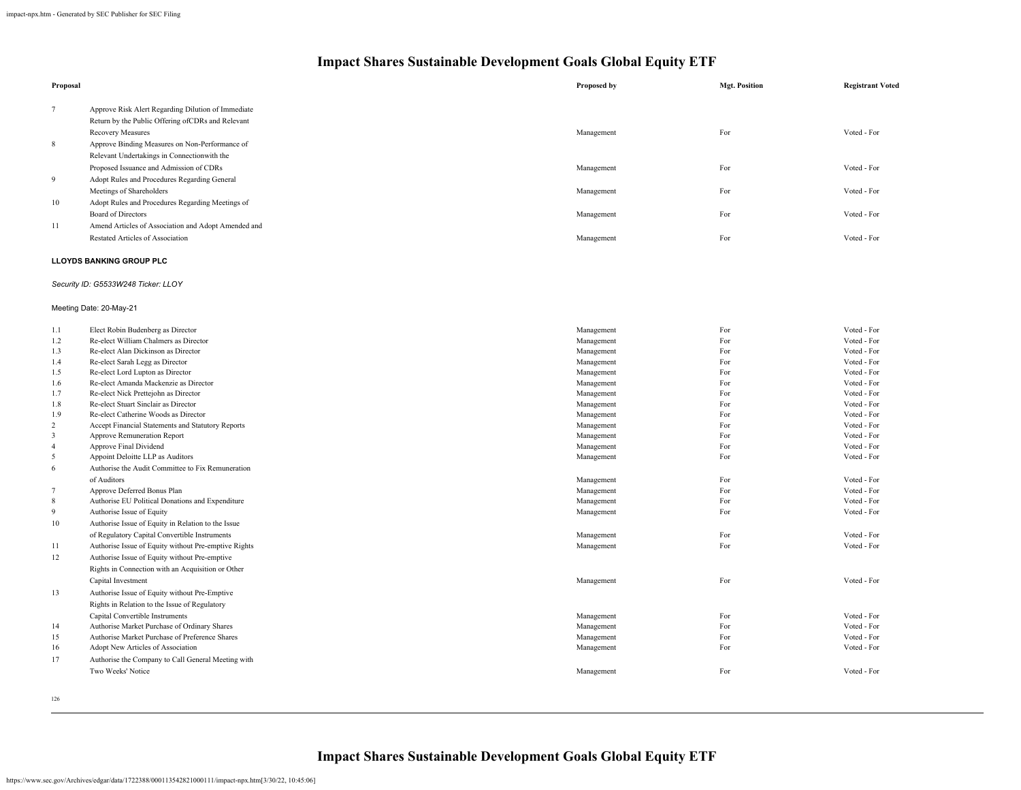| Proposal     |                                                     | Proposed by        | <b>Mgt. Position</b> | <b>Registrant Voted</b> |
|--------------|-----------------------------------------------------|--------------------|----------------------|-------------------------|
| $\tau$       | Approve Risk Alert Regarding Dilution of Immediate  |                    |                      |                         |
|              | Return by the Public Offering of CDRs and Relevant  |                    |                      |                         |
|              | Recovery Measures                                   | Management         | For                  | Voted - For             |
| 8            | Approve Binding Measures on Non-Performance of      |                    |                      |                         |
|              | Relevant Undertakings in Connectionwith the         |                    |                      |                         |
|              | Proposed Issuance and Admission of CDRs             | Management         | For                  | Voted - For             |
| 9            | Adopt Rules and Procedures Regarding General        |                    |                      |                         |
|              | Meetings of Shareholders                            | Management         | For                  | Voted - For             |
| 10           | Adopt Rules and Procedures Regarding Meetings of    |                    |                      |                         |
|              | <b>Board of Directors</b>                           | Management         | For                  | Voted - For             |
| 11           | Amend Articles of Association and Adopt Amended and |                    |                      |                         |
|              | Restated Articles of Association                    | Management         | For                  | Voted - For             |
|              | <b>LLOYDS BANKING GROUP PLC</b>                     |                    |                      |                         |
|              | Security ID: G5533W248 Ticker: LLOY                 |                    |                      |                         |
|              | Meeting Date: 20-May-21                             |                    |                      |                         |
| 1.1          | Elect Robin Budenberg as Director                   | Management         | For                  | Voted - For             |
| 1.2          | Re-elect William Chalmers as Director               | Management         | For                  | Voted - For             |
| $\mathbf{1}$ | Develope Alex Distribution of Districts             | March Construction | $\mathbf{E}$         | $X^T + A = A$           |

| 1.3            | Re-elect Alan Dickinson as Director                  | Management | For | Voted - For |
|----------------|------------------------------------------------------|------------|-----|-------------|
| 1.4            | Re-elect Sarah Legg as Director                      | Management | For | Voted - For |
| 1.5            | Re-elect Lord Lupton as Director                     | Management | For | Voted - For |
| 1.6            | Re-elect Amanda Mackenzie as Director                | Management | For | Voted - For |
| 1.7            | Re-elect Nick Prettejohn as Director                 | Management | For | Voted - For |
| 1.8            | Re-elect Stuart Sinclair as Director                 | Management | For | Voted - For |
| 1.9            | Re-elect Catherine Woods as Director                 | Management | For | Voted - For |
| $\overline{2}$ | Accept Financial Statements and Statutory Reports    | Management | For | Voted - For |
| 3              | Approve Remuneration Report                          | Management | For | Voted - For |
| $\overline{4}$ | Approve Final Dividend                               | Management | For | Voted - For |
| 5              | Appoint Deloitte LLP as Auditors                     | Management | For | Voted - For |
| 6              | Authorise the Audit Committee to Fix Remuneration    |            |     |             |
|                | of Auditors                                          | Management | For | Voted - For |
| $\overline{7}$ | Approve Deferred Bonus Plan                          | Management | For | Voted - For |
| 8              | Authorise EU Political Donations and Expenditure     | Management | For | Voted - For |
| 9              | Authorise Issue of Equity                            | Management | For | Voted - For |
| 10             | Authorise Issue of Equity in Relation to the Issue   |            |     |             |
|                | of Regulatory Capital Convertible Instruments        | Management | For | Voted - For |
| 11             | Authorise Issue of Equity without Pre-emptive Rights | Management | For | Voted - For |
| 12             | Authorise Issue of Equity without Pre-emptive        |            |     |             |
|                | Rights in Connection with an Acquisition or Other    |            |     |             |
|                | Capital Investment                                   | Management | For | Voted - For |
| 13             | Authorise Issue of Equity without Pre-Emptive        |            |     |             |
|                | Rights in Relation to the Issue of Regulatory        |            |     |             |
|                | Capital Convertible Instruments                      | Management | For | Voted - For |
| 14             | Authorise Market Purchase of Ordinary Shares         | Management | For | Voted - For |
| 15             | Authorise Market Purchase of Preference Shares       | Management | For | Voted - For |
| 16             | Adopt New Articles of Association                    | Management | For | Voted - For |
| 17             | Authorise the Company to Call General Meeting with   |            |     |             |
|                | Two Weeks' Notice                                    | Management | For | Voted - For |
|                |                                                      |            |     |             |
|                |                                                      |            |     |             |

126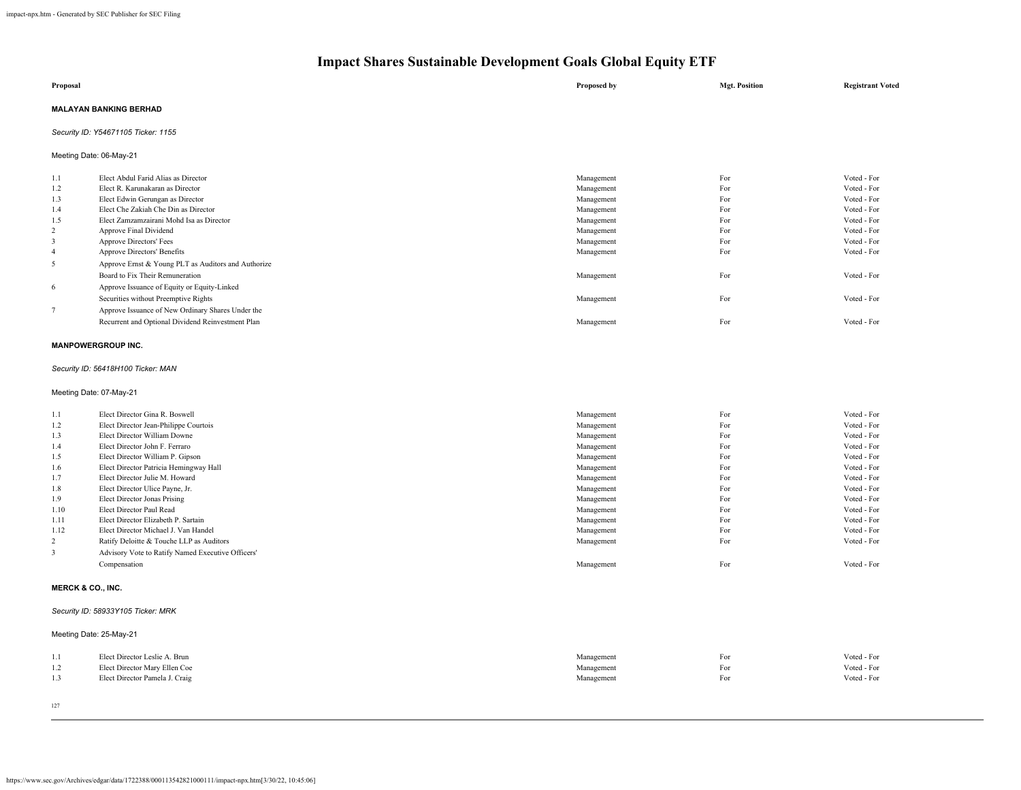| Proposal                            | Proposed by | <b>Mgt. Position</b> | <b>Registrant Voted</b> |
|-------------------------------------|-------------|----------------------|-------------------------|
| <b>MALAYAN BANKING BERHAD</b>       |             |                      |                         |
| Security ID: Y54671105 Ticker: 1155 |             |                      |                         |

Meeting Date: 06-May-21

| 1.1 | Elect Abdul Farid Alias as Director                 | Management | For | Voted - For |
|-----|-----------------------------------------------------|------------|-----|-------------|
| 1.2 | Elect R. Karunakaran as Director                    | Management | For | Voted - For |
| 1.3 | Elect Edwin Gerungan as Director                    | Management | For | Voted - For |
| 1.4 | Elect Che Zakiah Che Din as Director                | Management | For | Voted - For |
| 1.5 | Elect Zamzamzairani Mohd Isa as Director            | Management | For | Voted - For |
| 2   | Approve Final Dividend                              | Management | For | Voted - For |
|     | <b>Approve Directors' Fees</b>                      | Management | For | Voted - For |
| -4  | Approve Directors' Benefits                         | Management | For | Voted - For |
|     | Approve Ernst & Young PLT as Auditors and Authorize |            |     |             |
|     | Board to Fix Their Remuneration                     | Management | For | Voted - For |
| 6   | Approve Issuance of Equity or Equity-Linked         |            |     |             |
|     | Securities without Preemptive Rights                | Management | For | Voted - For |
|     | Approve Issuance of New Ordinary Shares Under the   |            |     |             |
|     | Recurrent and Optional Dividend Reinvestment Plan   | Management | For | Voted - For |
|     |                                                     |            |     |             |

### **MANPOWERGROUP INC.**

### *Security ID: 56418H100 Ticker: MAN*

Meeting Date: 07-May-21

| 1.1  | Elect Director Gina R. Boswell                    | Management | For | Voted - For |
|------|---------------------------------------------------|------------|-----|-------------|
| 1.2  | Elect Director Jean-Philippe Courtois             | Management | For | Voted - For |
| 1.3  | Elect Director William Downe                      | Management | For | Voted - For |
| 1.4  | Elect Director John F. Ferraro                    | Management | For | Voted - For |
| 1.5  | Elect Director William P. Gipson                  | Management | For | Voted - For |
| 1.6  | Elect Director Patricia Hemingway Hall            | Management | For | Voted - For |
| 1.7  | Elect Director Julie M. Howard                    | Management | For | Voted - For |
| 1.8  | Elect Director Ulice Payne, Jr.                   | Management | For | Voted - For |
| 1.9  | Elect Director Jonas Prising                      | Management | For | Voted - For |
| 1.10 | Elect Director Paul Read                          | Management | For | Voted - For |
| 1.11 | Elect Director Elizabeth P. Sartain               | Management | For | Voted - For |
| 1.12 | Elect Director Michael J. Van Handel              | Management | For | Voted - For |
| 2    | Ratify Deloitte & Touche LLP as Auditors          | Management | For | Voted - For |
| 3    | Advisory Vote to Ratify Named Executive Officers' |            |     |             |
|      | Compensation                                      | Management | For | Voted - For |
|      |                                                   |            |     |             |

### **MERCK & CO., INC.**

### *Security ID: 58933Y105 Ticker: MRK*

Meeting Date: 25-May-21

| Elect Director Leslie A. Brun  | Management | F OI | Voted - For |
|--------------------------------|------------|------|-------------|
| Elect Director Mary Ellen Coe  | Management | ™ C  | Voted - For |
| Elect Director Pamela J. Craig | Management | For  | Voted - For |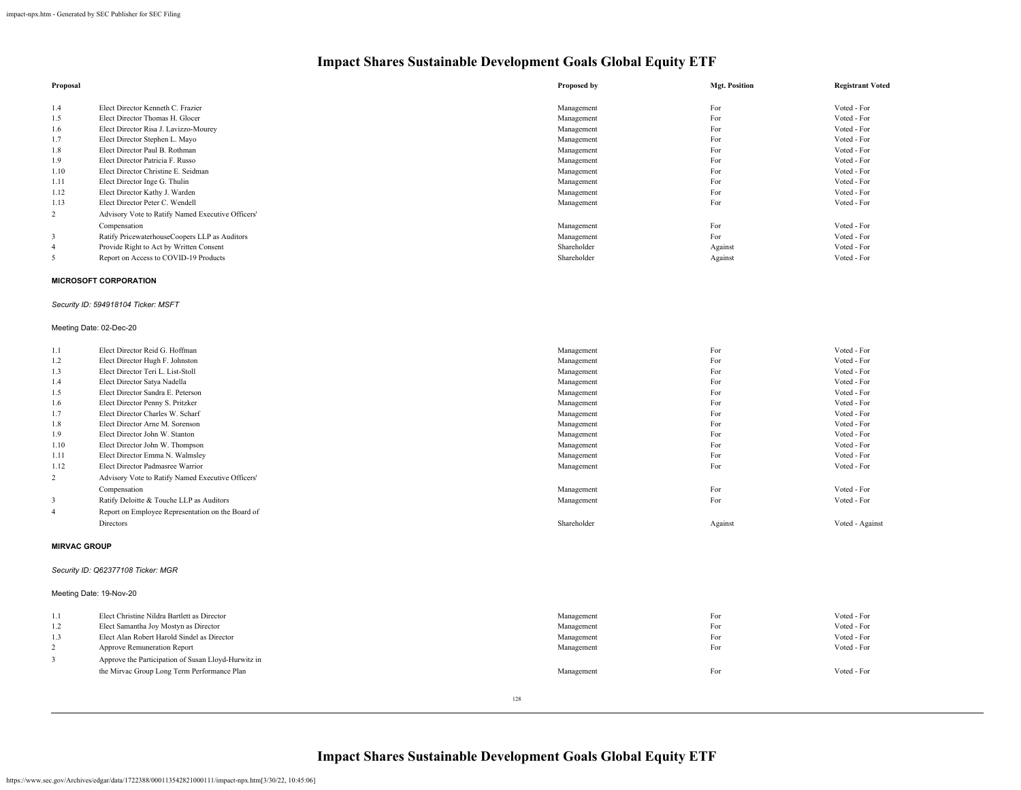| Proposal       |                                                   | Proposed by | <b>Mgt. Position</b> | <b>Registrant Voted</b> |
|----------------|---------------------------------------------------|-------------|----------------------|-------------------------|
|                |                                                   |             |                      |                         |
| 1.4            | Elect Director Kenneth C. Frazier                 | Management  | For                  | Voted - For             |
| 1.5            | Elect Director Thomas H. Glocer                   | Management  | For                  | Voted - For             |
| 1.6            | Elect Director Risa J. Lavizzo-Mourey             | Management  | For                  | Voted - For             |
| 1.7            | Elect Director Stephen L. Mayo                    | Management  | For                  | Voted - For             |
| 1.8            | Elect Director Paul B. Rothman                    | Management  | For                  | Voted - For             |
| 1.9            | Elect Director Patricia F. Russo                  | Management  | For                  | Voted - For             |
| 1.10           | Elect Director Christine E. Seidman               | Management  | For                  | Voted - For             |
| 1.11           | Elect Director Inge G. Thulin                     | Management  | For                  | Voted - For             |
| 1.12           | Elect Director Kathy J. Warden                    | Management  | For                  | Voted - For             |
| 1.13           | Elect Director Peter C. Wendell                   | Management  | For                  | Voted - For             |
| $\overline{2}$ | Advisory Vote to Ratify Named Executive Officers' |             |                      |                         |
|                | Compensation                                      | Management  | For                  | Voted - For             |
| 3              | Ratify PricewaterhouseCoopers LLP as Auditors     | Management  | For                  | Voted - For             |
| $\overline{4}$ | Provide Right to Act by Written Consent           | Shareholder | Against              | Voted - For             |
| 5              | Report on Access to COVID-19 Products             | Shareholder | Against              | Voted - For             |
|                |                                                   |             |                      |                         |

### **MICROSOFT CORPORATION**

### *Security ID: 594918104 Ticker: MSFT*

### Meeting Date: 02-Dec-20

| 1.1            | Elect Director Reid G. Hoffman                    | Management  | For     | Voted - For     |
|----------------|---------------------------------------------------|-------------|---------|-----------------|
| 1.2            | Elect Director Hugh F. Johnston                   | Management  | For     | Voted - For     |
| 1.3            | Elect Director Teri L. List-Stoll                 | Management  | For     | Voted - For     |
| 1.4            | Elect Director Satya Nadella                      | Management  | For     | Voted - For     |
| 1.5            | Elect Director Sandra E. Peterson                 | Management  | For     | Voted - For     |
| 1.6            | Elect Director Penny S. Pritzker                  | Management  | For     | Voted - For     |
| 1.7            | Elect Director Charles W. Scharf                  | Management  | For     | Voted - For     |
| 1.8            | Elect Director Arne M. Sorenson                   | Management  | For     | Voted - For     |
| 1.9            | Elect Director John W. Stanton                    | Management  | For     | Voted - For     |
| 1.10           | Elect Director John W. Thompson                   | Management  | For     | Voted - For     |
| 1.11           | Elect Director Emma N. Walmsley                   | Management  | For     | Voted - For     |
| 1.12           | Elect Director Padmasree Warrior                  | Management  | For     | Voted - For     |
| $\overline{2}$ | Advisory Vote to Ratify Named Executive Officers' |             |         |                 |
|                | Compensation                                      | Management  | For     | Voted - For     |
| 3              | Ratify Deloitte & Touche LLP as Auditors          | Management  | For     | Voted - For     |
| $\overline{4}$ | Report on Employee Representation on the Board of |             |         |                 |
|                | Directors                                         | Shareholder | Against | Voted - Against |
|                |                                                   |             |         |                 |

### **MIRVAC GROUP**

### *Security ID: Q62377108 Ticker: MGR*

### Meeting Date: 19-Nov-20

| 1.1 | Elect Christine Nildra Bartlett as Director         | Management | For | Voted - For |
|-----|-----------------------------------------------------|------------|-----|-------------|
| 1.2 | Elect Samantha Joy Mostyn as Director               | Management | For | Voted - For |
| 1.3 | Elect Alan Robert Harold Sindel as Director         | Management | For | Voted - For |
|     | Approve Remuneration Report                         | Management | For | Voted - For |
|     | Approve the Participation of Susan Lloyd-Hurwitz in |            |     |             |
|     | the Mirvac Group Long Term Performance Plan         | Management | For | Voted - For |
|     |                                                     |            |     |             |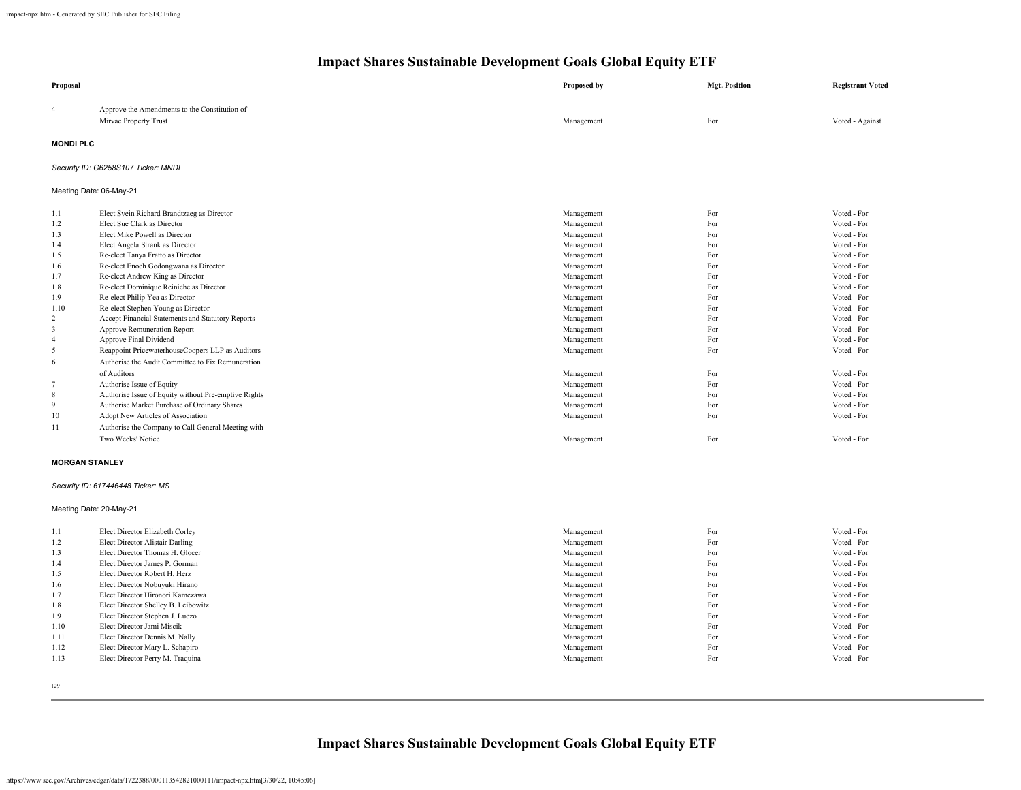| Proposal              |                                                                        | Proposed by | <b>Mgt. Position</b> | <b>Registrant Voted</b>    |
|-----------------------|------------------------------------------------------------------------|-------------|----------------------|----------------------------|
| $\overline{4}$        | Approve the Amendments to the Constitution of<br>Mirvac Property Trust | Management  | For                  | Voted - Against            |
| <b>MONDI PLC</b>      |                                                                        |             |                      |                            |
|                       | Security ID: G6258S107 Ticker: MNDI                                    |             |                      |                            |
|                       | Meeting Date: 06-May-21                                                |             |                      |                            |
| 1.1                   | Elect Svein Richard Brandtzaeg as Director                             | Management  | For                  | Voted - For                |
| 1.2                   | Elect Sue Clark as Director                                            | Management  | For                  | Voted - For                |
| 1.3                   | Elect Mike Powell as Director                                          | Management  | For                  | Voted - For                |
| 1.4                   | Elect Angela Strank as Director                                        | Management  | For                  | Voted - For                |
| 1.5                   | Re-elect Tanya Fratto as Director                                      | Management  | For                  | Voted - For                |
| 1.6                   | Re-elect Enoch Godongwana as Director                                  | Management  | For                  | Voted - For                |
| 1.7                   | Re-elect Andrew King as Director                                       | Management  | For                  | Voted - For                |
| 1.8                   | Re-elect Dominique Reiniche as Director                                | Management  | For                  | Voted - For                |
| 1.9                   | Re-elect Philip Yea as Director                                        | Management  | For                  | Voted - For                |
| 1.10                  | Re-elect Stephen Young as Director                                     | Management  | For                  | Voted - For                |
| $\overline{c}$        | Accept Financial Statements and Statutory Reports                      | Management  | For                  | Voted - For                |
| 3                     | Approve Remuneration Report                                            | Management  | For                  | Voted - For<br>Voted - For |
| $\overline{4}$        | Approve Final Dividend                                                 | Management  | For<br>For           | Voted - For                |
| 5                     | Reappoint PricewaterhouseCoopers LLP as Auditors                       | Management  |                      |                            |
| 6                     | Authorise the Audit Committee to Fix Remuneration                      |             |                      |                            |
|                       | of Auditors                                                            | Management  | For                  | Voted - For                |
| $\overline{7}$        | Authorise Issue of Equity                                              | Management  | For                  | Voted - For                |
| $\,$ 8 $\,$           | Authorise Issue of Equity without Pre-emptive Rights                   | Management  | For                  | Voted - For                |
| 9                     | Authorise Market Purchase of Ordinary Shares                           | Management  | For                  | Voted - For                |
| 10                    | Adopt New Articles of Association                                      | Management  | For                  | Voted - For                |
| 11                    | Authorise the Company to Call General Meeting with                     |             |                      |                            |
|                       | Two Weeks' Notice                                                      | Management  | For                  | Voted - For                |
| <b>MORGAN STANLEY</b> |                                                                        |             |                      |                            |
|                       | Security ID: 617446448 Ticker: MS                                      |             |                      |                            |
|                       | Meeting Date: 20-May-21                                                |             |                      |                            |
| 1.1                   | Elect Director Elizabeth Corley                                        | Management  | For                  | Voted - For                |
| 1.2                   | Elect Director Alistair Darling                                        | Management  | For                  | Voted - For                |
| 1.3                   | Elect Director Thomas H. Glocer                                        | Management  | For                  | Voted - For                |
| 1.4                   | Elect Director James P. Gorman                                         | Management  | For                  | Voted - For                |
| 1.5                   | Elect Director Robert H. Herz                                          | Management  | For                  | Voted - For                |
| 1.6                   | Elect Director Nobuyuki Hirano                                         | Management  | For                  | Voted - For                |
| 1.7                   | Elect Director Hironori Kamezawa                                       | Management  | For                  | Voted - For                |
| 1.8                   | Elect Director Shelley B. Leibowitz                                    | Management  | For                  | Voted - For                |
| 1.9                   | Elect Director Stephen J. Luczo                                        | Management  | For                  | Voted - For                |
| 1.10                  | Elect Director Jami Miscik                                             | Management  | For                  | Voted - For                |
| 1.11                  | Elect Director Dennis M. Nally                                         | Management  | For                  | Voted - For                |
| 1.12                  | Elect Director Mary L. Schapiro                                        | Management  | For                  | Voted - For                |
| 1.13                  | Elect Director Perry M. Traquina                                       | Management  | For                  | Voted - For                |
|                       |                                                                        |             |                      |                            |

129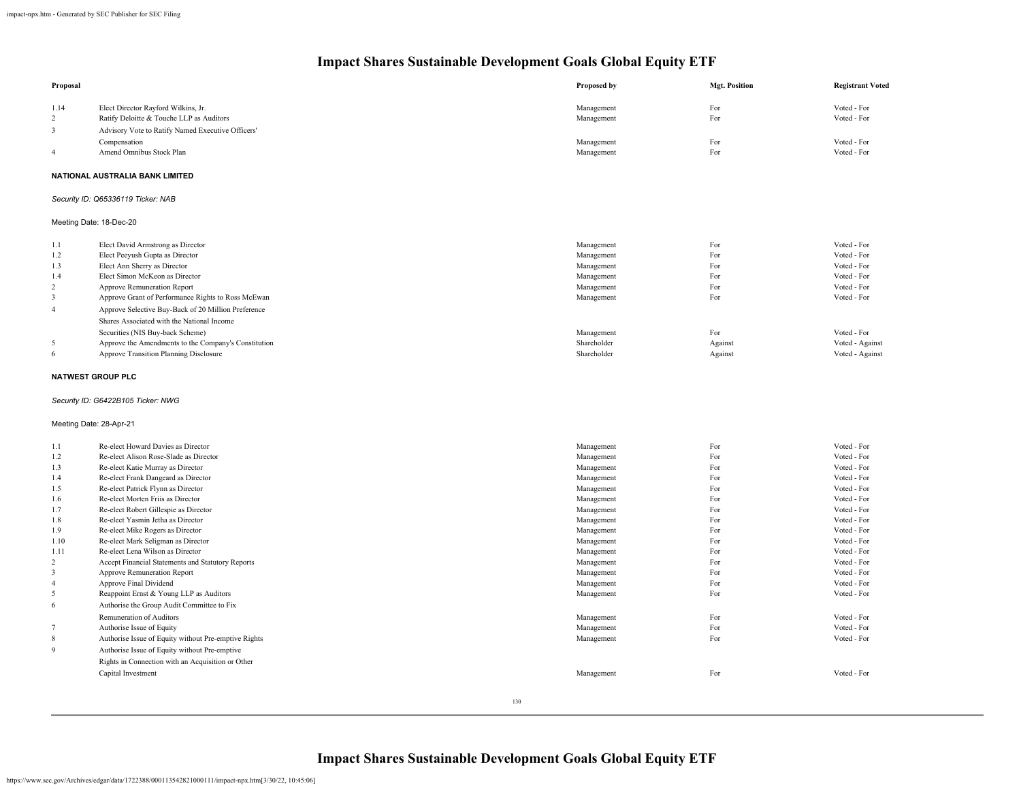| Proposal       |                                                      | Proposed by | <b>Mgt. Position</b> | <b>Registrant Voted</b> |
|----------------|------------------------------------------------------|-------------|----------------------|-------------------------|
| 1.14           | Elect Director Rayford Wilkins, Jr.                  | Management  | For                  | Voted - For             |
| 2              | Ratify Deloitte & Touche LLP as Auditors             | Management  | For                  | Voted - For             |
| 3              | Advisory Vote to Ratify Named Executive Officers'    |             |                      |                         |
|                | Compensation                                         | Management  | For                  | Voted - For             |
| $\overline{4}$ | Amend Omnibus Stock Plan                             | Management  | For                  | Voted - For             |
|                |                                                      |             |                      |                         |
|                | NATIONAL AUSTRALIA BANK LIMITED                      |             |                      |                         |
|                | Security ID: Q65336119 Ticker: NAB                   |             |                      |                         |
|                | Meeting Date: 18-Dec-20                              |             |                      |                         |
| 1.1            | Elect David Armstrong as Director                    | Management  | For                  | Voted - For             |
| 1.2            | Elect Peeyush Gupta as Director                      | Management  | For                  | Voted - For             |
| 1.3            | Elect Ann Sherry as Director                         | Management  | For                  | Voted - For             |
| 1.4            | Elect Simon McKeon as Director                       | Management  | For                  | Voted - For             |
| 2              | Approve Remuneration Report                          | Management  | For                  | Voted - For             |
| $\sqrt{3}$     | Approve Grant of Performance Rights to Ross McEwan   | Management  | For                  | Voted - For             |
| $\overline{4}$ | Approve Selective Buy-Back of 20 Million Preference  |             |                      |                         |
|                | Shares Associated with the National Income           |             |                      |                         |
|                | Securities (NIS Buy-back Scheme)                     | Management  | For                  | Voted - For             |
| 5              | Approve the Amendments to the Company's Constitution | Shareholder | Against              | Voted - Against         |
| 6              | Approve Transition Planning Disclosure               | Shareholder | Against              | Voted - Against         |
|                | <b>NATWEST GROUP PLC</b>                             |             |                      |                         |
|                | Security ID: G6422B105 Ticker: NWG                   |             |                      |                         |
|                | Meeting Date: 28-Apr-21                              |             |                      |                         |
| 1.1            | Re-elect Howard Davies as Director                   | Management  | For                  | Voted - For             |
| 1.2            | Re-elect Alison Rose-Slade as Director               | Management  | For                  | Voted - For             |
| 1.3            | Re-elect Katie Murray as Director                    | Management  | For                  | Voted - For             |
| 1.4            | Re-elect Frank Dangeard as Director                  | Management  | For                  | Voted - For             |
| 1.5            | Re-elect Patrick Flynn as Director                   | Management  | For                  | Voted - For             |
| 1.6            | Re-elect Morten Friis as Director                    | Management  | For                  | Voted - For             |
| 1.7            | Re-elect Robert Gillespie as Director                | Management  | For                  | Voted - For             |
| 1.8            | Re-elect Yasmin Jetha as Director                    | Management  | For                  | Voted - For             |
| 1.9            | Re-elect Mike Rogers as Director                     | Management  | For                  | Voted - For             |
| 1.10           | Re-elect Mark Seligman as Director                   | Management  | For                  | Voted - For             |
| 1.11           | Re-elect Lena Wilson as Director                     | Management  | For                  | Voted - For             |
| $\overline{c}$ | Accept Financial Statements and Statutory Reports    | Management  | For                  | Voted - For             |
| $\mathbf{3}$   | Approve Remuneration Report                          | Management  | For                  | Voted - For             |
| $\overline{4}$ | Approve Final Dividend                               | Management  | For                  | Voted - For             |
| $\sqrt{5}$     | Reappoint Ernst & Young LLP as Auditors              | Management  | For                  | Voted - For             |
| $\sqrt{6}$     | Authorise the Group Audit Committee to Fix           |             |                      |                         |
|                | Remuneration of Auditors                             | Management  | For                  | Voted - For             |
| $\tau$         | Authorise Issue of Equity                            | Management  | For                  | Voted - For             |
| $\,$ 8 $\,$    | Authorise Issue of Equity without Pre-emptive Rights | Management  | For                  | Voted - For             |
| $\overline{9}$ |                                                      |             |                      |                         |
|                | Authorise Issue of Equity without Pre-emptive        |             |                      |                         |
|                | Rights in Connection with an Acquisition or Other    |             |                      |                         |
|                | Capital Investment                                   | Management  | For                  | Voted - For             |
|                |                                                      |             |                      |                         |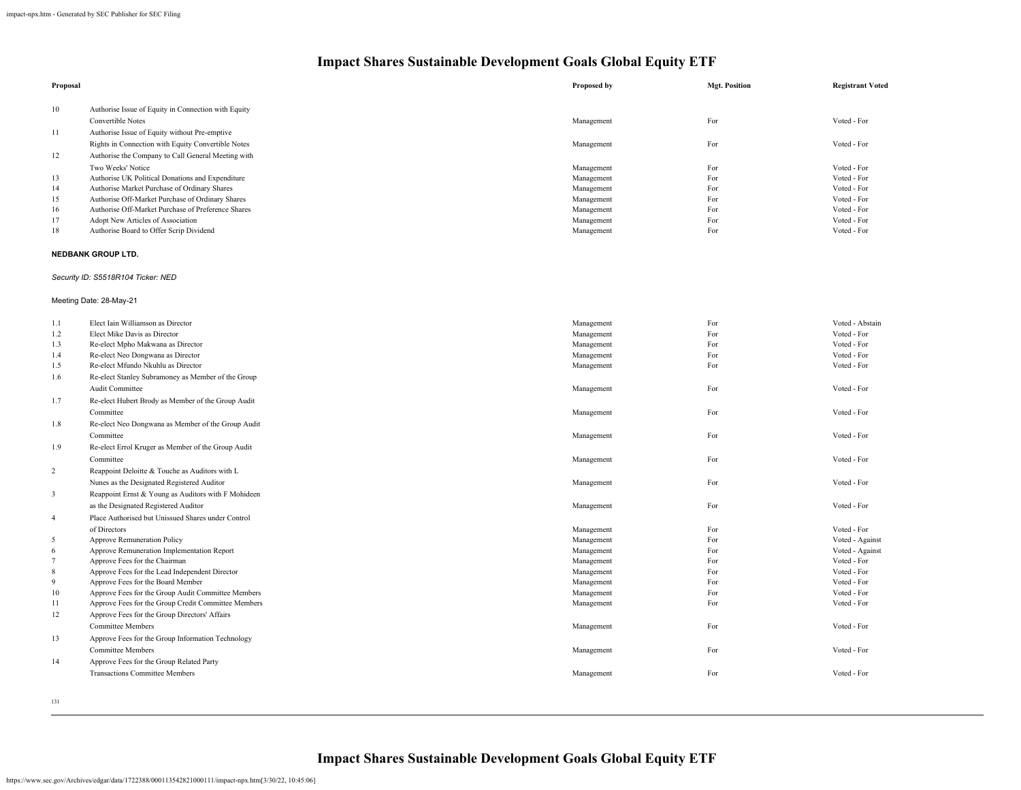| 10<br>Authorise Issue of Equity in Connection with Equity<br>Voted - For<br>Convertible Notes<br>For<br>Management<br>Authorise Issue of Equity without Pre-emptive<br>Rights in Connection with Equity Convertible Notes<br>Voted - For<br>Management<br>For<br>12<br>Authorise the Company to Call General Meeting with<br>Two Weeks' Notice<br>Voted - For<br>Management<br>For<br>Voted - For<br>13<br>Authorise UK Political Donations and Expenditure<br>Management<br>For<br>14<br>Authorise Market Purchase of Ordinary Shares<br>Voted - For<br>Management<br>For<br>Voted - For<br>15<br>Authorise Off-Market Purchase of Ordinary Shares<br>Management<br>For<br>16<br>Authorise Off-Market Purchase of Preference Shares<br>Management<br>For<br>Voted - For<br>17<br>For<br>Voted - For<br>Adopt New Articles of Association<br>Management<br>18<br>For<br>Voted - For<br>Authorise Board to Offer Scrip Dividend<br>Management<br>NEDBANK GROUP LTD.<br>Security ID: S5518R104 Ticker: NED<br>Meeting Date: 28-May-21<br>Elect Iain Williamson as Director<br>For<br>Voted - Abstain<br>1.1<br>Management<br>Voted - For<br>1.2<br>Elect Mike Davis as Director<br>Management<br>For<br>Voted - For<br>Re-elect Mpho Makwana as Director<br>For<br>Management<br>Voted - For<br>Re-elect Neo Dongwana as Director<br>Management<br>For<br>Voted - For<br>Re-elect Mfundo Nkuhlu as Director<br>Management<br>For<br>1.6<br>Re-elect Stanley Subramoney as Member of the Group<br>Audit Committee<br>For<br>Voted - For<br>Management<br>Re-elect Hubert Brody as Member of the Group Audit<br>Voted - For<br>Management<br>For<br>Committee<br>1.8<br>Re-elect Neo Dongwana as Member of the Group Audit<br>Voted - For<br>For<br>Committee<br>Management<br>1.9<br>Re-elect Errol Kruger as Member of the Group Audit<br>Committee<br>For<br>Voted - For<br>Management<br>$\overline{c}$<br>Reappoint Deloitte & Touche as Auditors with L<br>Voted - For<br>Nunes as the Designated Registered Auditor<br>Management<br>For<br>$\overline{\mathbf{3}}$<br>Reappoint Ernst & Young as Auditors with F Mohideen<br>Voted - For<br>as the Designated Registered Auditor<br>Management<br>For<br>4<br>Place Authorised but Unissued Shares under Control<br>Voted - For<br>of Directors<br>Management<br>For<br>Management<br>Voted - Against<br>5<br>Approve Remuneration Policy<br>For<br>6<br>Approve Remuneration Implementation Report<br>Management<br>For<br>Voted - Against<br>$\overline{7}$<br>Voted - For<br>Approve Fees for the Chairman<br>Management<br>For<br>8<br>Approve Fees for the Lead Independent Director<br>Management<br>For<br>Voted - For<br>For<br>Voted - For<br>Approve Fees for the Board Member<br>Management<br>10<br>Voted - For<br>Approve Fees for the Group Audit Committee Members<br>Management<br>For<br>Voted - For<br>Approve Fees for the Group Credit Committee Members<br>Management<br>For<br>12<br>Approve Fees for the Group Directors' Affairs<br><b>Committee Members</b><br>For<br>Voted - For<br>Management<br>13<br>Approve Fees for the Group Information Technology | Proposal | Proposed by | <b>Mgt. Position</b> | <b>Registrant Voted</b> |
|-----------------------------------------------------------------------------------------------------------------------------------------------------------------------------------------------------------------------------------------------------------------------------------------------------------------------------------------------------------------------------------------------------------------------------------------------------------------------------------------------------------------------------------------------------------------------------------------------------------------------------------------------------------------------------------------------------------------------------------------------------------------------------------------------------------------------------------------------------------------------------------------------------------------------------------------------------------------------------------------------------------------------------------------------------------------------------------------------------------------------------------------------------------------------------------------------------------------------------------------------------------------------------------------------------------------------------------------------------------------------------------------------------------------------------------------------------------------------------------------------------------------------------------------------------------------------------------------------------------------------------------------------------------------------------------------------------------------------------------------------------------------------------------------------------------------------------------------------------------------------------------------------------------------------------------------------------------------------------------------------------------------------------------------------------------------------------------------------------------------------------------------------------------------------------------------------------------------------------------------------------------------------------------------------------------------------------------------------------------------------------------------------------------------------------------------------------------------------------------------------------------------------------------------------------------------------------------------------------------------------------------------------------------------------------------------------------------------------------------------------------------------------------------------------------------------------------------------------------------------------------------------------------------------------------------------------------------------------------------------------------------------------------------------------------------------------------------------------------------------------------------------|----------|-------------|----------------------|-------------------------|
|                                                                                                                                                                                                                                                                                                                                                                                                                                                                                                                                                                                                                                                                                                                                                                                                                                                                                                                                                                                                                                                                                                                                                                                                                                                                                                                                                                                                                                                                                                                                                                                                                                                                                                                                                                                                                                                                                                                                                                                                                                                                                                                                                                                                                                                                                                                                                                                                                                                                                                                                                                                                                                                                                                                                                                                                                                                                                                                                                                                                                                                                                                                                         |          |             |                      |                         |
|                                                                                                                                                                                                                                                                                                                                                                                                                                                                                                                                                                                                                                                                                                                                                                                                                                                                                                                                                                                                                                                                                                                                                                                                                                                                                                                                                                                                                                                                                                                                                                                                                                                                                                                                                                                                                                                                                                                                                                                                                                                                                                                                                                                                                                                                                                                                                                                                                                                                                                                                                                                                                                                                                                                                                                                                                                                                                                                                                                                                                                                                                                                                         |          |             |                      |                         |
|                                                                                                                                                                                                                                                                                                                                                                                                                                                                                                                                                                                                                                                                                                                                                                                                                                                                                                                                                                                                                                                                                                                                                                                                                                                                                                                                                                                                                                                                                                                                                                                                                                                                                                                                                                                                                                                                                                                                                                                                                                                                                                                                                                                                                                                                                                                                                                                                                                                                                                                                                                                                                                                                                                                                                                                                                                                                                                                                                                                                                                                                                                                                         | 11       |             |                      |                         |
|                                                                                                                                                                                                                                                                                                                                                                                                                                                                                                                                                                                                                                                                                                                                                                                                                                                                                                                                                                                                                                                                                                                                                                                                                                                                                                                                                                                                                                                                                                                                                                                                                                                                                                                                                                                                                                                                                                                                                                                                                                                                                                                                                                                                                                                                                                                                                                                                                                                                                                                                                                                                                                                                                                                                                                                                                                                                                                                                                                                                                                                                                                                                         |          |             |                      |                         |
|                                                                                                                                                                                                                                                                                                                                                                                                                                                                                                                                                                                                                                                                                                                                                                                                                                                                                                                                                                                                                                                                                                                                                                                                                                                                                                                                                                                                                                                                                                                                                                                                                                                                                                                                                                                                                                                                                                                                                                                                                                                                                                                                                                                                                                                                                                                                                                                                                                                                                                                                                                                                                                                                                                                                                                                                                                                                                                                                                                                                                                                                                                                                         |          |             |                      |                         |
|                                                                                                                                                                                                                                                                                                                                                                                                                                                                                                                                                                                                                                                                                                                                                                                                                                                                                                                                                                                                                                                                                                                                                                                                                                                                                                                                                                                                                                                                                                                                                                                                                                                                                                                                                                                                                                                                                                                                                                                                                                                                                                                                                                                                                                                                                                                                                                                                                                                                                                                                                                                                                                                                                                                                                                                                                                                                                                                                                                                                                                                                                                                                         |          |             |                      |                         |
|                                                                                                                                                                                                                                                                                                                                                                                                                                                                                                                                                                                                                                                                                                                                                                                                                                                                                                                                                                                                                                                                                                                                                                                                                                                                                                                                                                                                                                                                                                                                                                                                                                                                                                                                                                                                                                                                                                                                                                                                                                                                                                                                                                                                                                                                                                                                                                                                                                                                                                                                                                                                                                                                                                                                                                                                                                                                                                                                                                                                                                                                                                                                         |          |             |                      |                         |
|                                                                                                                                                                                                                                                                                                                                                                                                                                                                                                                                                                                                                                                                                                                                                                                                                                                                                                                                                                                                                                                                                                                                                                                                                                                                                                                                                                                                                                                                                                                                                                                                                                                                                                                                                                                                                                                                                                                                                                                                                                                                                                                                                                                                                                                                                                                                                                                                                                                                                                                                                                                                                                                                                                                                                                                                                                                                                                                                                                                                                                                                                                                                         |          |             |                      |                         |
|                                                                                                                                                                                                                                                                                                                                                                                                                                                                                                                                                                                                                                                                                                                                                                                                                                                                                                                                                                                                                                                                                                                                                                                                                                                                                                                                                                                                                                                                                                                                                                                                                                                                                                                                                                                                                                                                                                                                                                                                                                                                                                                                                                                                                                                                                                                                                                                                                                                                                                                                                                                                                                                                                                                                                                                                                                                                                                                                                                                                                                                                                                                                         |          |             |                      |                         |
|                                                                                                                                                                                                                                                                                                                                                                                                                                                                                                                                                                                                                                                                                                                                                                                                                                                                                                                                                                                                                                                                                                                                                                                                                                                                                                                                                                                                                                                                                                                                                                                                                                                                                                                                                                                                                                                                                                                                                                                                                                                                                                                                                                                                                                                                                                                                                                                                                                                                                                                                                                                                                                                                                                                                                                                                                                                                                                                                                                                                                                                                                                                                         |          |             |                      |                         |
|                                                                                                                                                                                                                                                                                                                                                                                                                                                                                                                                                                                                                                                                                                                                                                                                                                                                                                                                                                                                                                                                                                                                                                                                                                                                                                                                                                                                                                                                                                                                                                                                                                                                                                                                                                                                                                                                                                                                                                                                                                                                                                                                                                                                                                                                                                                                                                                                                                                                                                                                                                                                                                                                                                                                                                                                                                                                                                                                                                                                                                                                                                                                         |          |             |                      |                         |
|                                                                                                                                                                                                                                                                                                                                                                                                                                                                                                                                                                                                                                                                                                                                                                                                                                                                                                                                                                                                                                                                                                                                                                                                                                                                                                                                                                                                                                                                                                                                                                                                                                                                                                                                                                                                                                                                                                                                                                                                                                                                                                                                                                                                                                                                                                                                                                                                                                                                                                                                                                                                                                                                                                                                                                                                                                                                                                                                                                                                                                                                                                                                         |          |             |                      |                         |
|                                                                                                                                                                                                                                                                                                                                                                                                                                                                                                                                                                                                                                                                                                                                                                                                                                                                                                                                                                                                                                                                                                                                                                                                                                                                                                                                                                                                                                                                                                                                                                                                                                                                                                                                                                                                                                                                                                                                                                                                                                                                                                                                                                                                                                                                                                                                                                                                                                                                                                                                                                                                                                                                                                                                                                                                                                                                                                                                                                                                                                                                                                                                         |          |             |                      |                         |
|                                                                                                                                                                                                                                                                                                                                                                                                                                                                                                                                                                                                                                                                                                                                                                                                                                                                                                                                                                                                                                                                                                                                                                                                                                                                                                                                                                                                                                                                                                                                                                                                                                                                                                                                                                                                                                                                                                                                                                                                                                                                                                                                                                                                                                                                                                                                                                                                                                                                                                                                                                                                                                                                                                                                                                                                                                                                                                                                                                                                                                                                                                                                         |          |             |                      |                         |
|                                                                                                                                                                                                                                                                                                                                                                                                                                                                                                                                                                                                                                                                                                                                                                                                                                                                                                                                                                                                                                                                                                                                                                                                                                                                                                                                                                                                                                                                                                                                                                                                                                                                                                                                                                                                                                                                                                                                                                                                                                                                                                                                                                                                                                                                                                                                                                                                                                                                                                                                                                                                                                                                                                                                                                                                                                                                                                                                                                                                                                                                                                                                         |          |             |                      |                         |
|                                                                                                                                                                                                                                                                                                                                                                                                                                                                                                                                                                                                                                                                                                                                                                                                                                                                                                                                                                                                                                                                                                                                                                                                                                                                                                                                                                                                                                                                                                                                                                                                                                                                                                                                                                                                                                                                                                                                                                                                                                                                                                                                                                                                                                                                                                                                                                                                                                                                                                                                                                                                                                                                                                                                                                                                                                                                                                                                                                                                                                                                                                                                         |          |             |                      |                         |
|                                                                                                                                                                                                                                                                                                                                                                                                                                                                                                                                                                                                                                                                                                                                                                                                                                                                                                                                                                                                                                                                                                                                                                                                                                                                                                                                                                                                                                                                                                                                                                                                                                                                                                                                                                                                                                                                                                                                                                                                                                                                                                                                                                                                                                                                                                                                                                                                                                                                                                                                                                                                                                                                                                                                                                                                                                                                                                                                                                                                                                                                                                                                         |          |             |                      |                         |
|                                                                                                                                                                                                                                                                                                                                                                                                                                                                                                                                                                                                                                                                                                                                                                                                                                                                                                                                                                                                                                                                                                                                                                                                                                                                                                                                                                                                                                                                                                                                                                                                                                                                                                                                                                                                                                                                                                                                                                                                                                                                                                                                                                                                                                                                                                                                                                                                                                                                                                                                                                                                                                                                                                                                                                                                                                                                                                                                                                                                                                                                                                                                         | 1.3      |             |                      |                         |
|                                                                                                                                                                                                                                                                                                                                                                                                                                                                                                                                                                                                                                                                                                                                                                                                                                                                                                                                                                                                                                                                                                                                                                                                                                                                                                                                                                                                                                                                                                                                                                                                                                                                                                                                                                                                                                                                                                                                                                                                                                                                                                                                                                                                                                                                                                                                                                                                                                                                                                                                                                                                                                                                                                                                                                                                                                                                                                                                                                                                                                                                                                                                         | 1.4      |             |                      |                         |
|                                                                                                                                                                                                                                                                                                                                                                                                                                                                                                                                                                                                                                                                                                                                                                                                                                                                                                                                                                                                                                                                                                                                                                                                                                                                                                                                                                                                                                                                                                                                                                                                                                                                                                                                                                                                                                                                                                                                                                                                                                                                                                                                                                                                                                                                                                                                                                                                                                                                                                                                                                                                                                                                                                                                                                                                                                                                                                                                                                                                                                                                                                                                         | 1.5      |             |                      |                         |
|                                                                                                                                                                                                                                                                                                                                                                                                                                                                                                                                                                                                                                                                                                                                                                                                                                                                                                                                                                                                                                                                                                                                                                                                                                                                                                                                                                                                                                                                                                                                                                                                                                                                                                                                                                                                                                                                                                                                                                                                                                                                                                                                                                                                                                                                                                                                                                                                                                                                                                                                                                                                                                                                                                                                                                                                                                                                                                                                                                                                                                                                                                                                         |          |             |                      |                         |
|                                                                                                                                                                                                                                                                                                                                                                                                                                                                                                                                                                                                                                                                                                                                                                                                                                                                                                                                                                                                                                                                                                                                                                                                                                                                                                                                                                                                                                                                                                                                                                                                                                                                                                                                                                                                                                                                                                                                                                                                                                                                                                                                                                                                                                                                                                                                                                                                                                                                                                                                                                                                                                                                                                                                                                                                                                                                                                                                                                                                                                                                                                                                         |          |             |                      |                         |
|                                                                                                                                                                                                                                                                                                                                                                                                                                                                                                                                                                                                                                                                                                                                                                                                                                                                                                                                                                                                                                                                                                                                                                                                                                                                                                                                                                                                                                                                                                                                                                                                                                                                                                                                                                                                                                                                                                                                                                                                                                                                                                                                                                                                                                                                                                                                                                                                                                                                                                                                                                                                                                                                                                                                                                                                                                                                                                                                                                                                                                                                                                                                         | 1.7      |             |                      |                         |
|                                                                                                                                                                                                                                                                                                                                                                                                                                                                                                                                                                                                                                                                                                                                                                                                                                                                                                                                                                                                                                                                                                                                                                                                                                                                                                                                                                                                                                                                                                                                                                                                                                                                                                                                                                                                                                                                                                                                                                                                                                                                                                                                                                                                                                                                                                                                                                                                                                                                                                                                                                                                                                                                                                                                                                                                                                                                                                                                                                                                                                                                                                                                         |          |             |                      |                         |
|                                                                                                                                                                                                                                                                                                                                                                                                                                                                                                                                                                                                                                                                                                                                                                                                                                                                                                                                                                                                                                                                                                                                                                                                                                                                                                                                                                                                                                                                                                                                                                                                                                                                                                                                                                                                                                                                                                                                                                                                                                                                                                                                                                                                                                                                                                                                                                                                                                                                                                                                                                                                                                                                                                                                                                                                                                                                                                                                                                                                                                                                                                                                         |          |             |                      |                         |
|                                                                                                                                                                                                                                                                                                                                                                                                                                                                                                                                                                                                                                                                                                                                                                                                                                                                                                                                                                                                                                                                                                                                                                                                                                                                                                                                                                                                                                                                                                                                                                                                                                                                                                                                                                                                                                                                                                                                                                                                                                                                                                                                                                                                                                                                                                                                                                                                                                                                                                                                                                                                                                                                                                                                                                                                                                                                                                                                                                                                                                                                                                                                         |          |             |                      |                         |
|                                                                                                                                                                                                                                                                                                                                                                                                                                                                                                                                                                                                                                                                                                                                                                                                                                                                                                                                                                                                                                                                                                                                                                                                                                                                                                                                                                                                                                                                                                                                                                                                                                                                                                                                                                                                                                                                                                                                                                                                                                                                                                                                                                                                                                                                                                                                                                                                                                                                                                                                                                                                                                                                                                                                                                                                                                                                                                                                                                                                                                                                                                                                         |          |             |                      |                         |
|                                                                                                                                                                                                                                                                                                                                                                                                                                                                                                                                                                                                                                                                                                                                                                                                                                                                                                                                                                                                                                                                                                                                                                                                                                                                                                                                                                                                                                                                                                                                                                                                                                                                                                                                                                                                                                                                                                                                                                                                                                                                                                                                                                                                                                                                                                                                                                                                                                                                                                                                                                                                                                                                                                                                                                                                                                                                                                                                                                                                                                                                                                                                         |          |             |                      |                         |
|                                                                                                                                                                                                                                                                                                                                                                                                                                                                                                                                                                                                                                                                                                                                                                                                                                                                                                                                                                                                                                                                                                                                                                                                                                                                                                                                                                                                                                                                                                                                                                                                                                                                                                                                                                                                                                                                                                                                                                                                                                                                                                                                                                                                                                                                                                                                                                                                                                                                                                                                                                                                                                                                                                                                                                                                                                                                                                                                                                                                                                                                                                                                         |          |             |                      |                         |
|                                                                                                                                                                                                                                                                                                                                                                                                                                                                                                                                                                                                                                                                                                                                                                                                                                                                                                                                                                                                                                                                                                                                                                                                                                                                                                                                                                                                                                                                                                                                                                                                                                                                                                                                                                                                                                                                                                                                                                                                                                                                                                                                                                                                                                                                                                                                                                                                                                                                                                                                                                                                                                                                                                                                                                                                                                                                                                                                                                                                                                                                                                                                         |          |             |                      |                         |
|                                                                                                                                                                                                                                                                                                                                                                                                                                                                                                                                                                                                                                                                                                                                                                                                                                                                                                                                                                                                                                                                                                                                                                                                                                                                                                                                                                                                                                                                                                                                                                                                                                                                                                                                                                                                                                                                                                                                                                                                                                                                                                                                                                                                                                                                                                                                                                                                                                                                                                                                                                                                                                                                                                                                                                                                                                                                                                                                                                                                                                                                                                                                         |          |             |                      |                         |
|                                                                                                                                                                                                                                                                                                                                                                                                                                                                                                                                                                                                                                                                                                                                                                                                                                                                                                                                                                                                                                                                                                                                                                                                                                                                                                                                                                                                                                                                                                                                                                                                                                                                                                                                                                                                                                                                                                                                                                                                                                                                                                                                                                                                                                                                                                                                                                                                                                                                                                                                                                                                                                                                                                                                                                                                                                                                                                                                                                                                                                                                                                                                         |          |             |                      |                         |
|                                                                                                                                                                                                                                                                                                                                                                                                                                                                                                                                                                                                                                                                                                                                                                                                                                                                                                                                                                                                                                                                                                                                                                                                                                                                                                                                                                                                                                                                                                                                                                                                                                                                                                                                                                                                                                                                                                                                                                                                                                                                                                                                                                                                                                                                                                                                                                                                                                                                                                                                                                                                                                                                                                                                                                                                                                                                                                                                                                                                                                                                                                                                         |          |             |                      |                         |
|                                                                                                                                                                                                                                                                                                                                                                                                                                                                                                                                                                                                                                                                                                                                                                                                                                                                                                                                                                                                                                                                                                                                                                                                                                                                                                                                                                                                                                                                                                                                                                                                                                                                                                                                                                                                                                                                                                                                                                                                                                                                                                                                                                                                                                                                                                                                                                                                                                                                                                                                                                                                                                                                                                                                                                                                                                                                                                                                                                                                                                                                                                                                         |          |             |                      |                         |
|                                                                                                                                                                                                                                                                                                                                                                                                                                                                                                                                                                                                                                                                                                                                                                                                                                                                                                                                                                                                                                                                                                                                                                                                                                                                                                                                                                                                                                                                                                                                                                                                                                                                                                                                                                                                                                                                                                                                                                                                                                                                                                                                                                                                                                                                                                                                                                                                                                                                                                                                                                                                                                                                                                                                                                                                                                                                                                                                                                                                                                                                                                                                         |          |             |                      |                         |
|                                                                                                                                                                                                                                                                                                                                                                                                                                                                                                                                                                                                                                                                                                                                                                                                                                                                                                                                                                                                                                                                                                                                                                                                                                                                                                                                                                                                                                                                                                                                                                                                                                                                                                                                                                                                                                                                                                                                                                                                                                                                                                                                                                                                                                                                                                                                                                                                                                                                                                                                                                                                                                                                                                                                                                                                                                                                                                                                                                                                                                                                                                                                         |          |             |                      |                         |
|                                                                                                                                                                                                                                                                                                                                                                                                                                                                                                                                                                                                                                                                                                                                                                                                                                                                                                                                                                                                                                                                                                                                                                                                                                                                                                                                                                                                                                                                                                                                                                                                                                                                                                                                                                                                                                                                                                                                                                                                                                                                                                                                                                                                                                                                                                                                                                                                                                                                                                                                                                                                                                                                                                                                                                                                                                                                                                                                                                                                                                                                                                                                         |          |             |                      |                         |
|                                                                                                                                                                                                                                                                                                                                                                                                                                                                                                                                                                                                                                                                                                                                                                                                                                                                                                                                                                                                                                                                                                                                                                                                                                                                                                                                                                                                                                                                                                                                                                                                                                                                                                                                                                                                                                                                                                                                                                                                                                                                                                                                                                                                                                                                                                                                                                                                                                                                                                                                                                                                                                                                                                                                                                                                                                                                                                                                                                                                                                                                                                                                         |          |             |                      |                         |
|                                                                                                                                                                                                                                                                                                                                                                                                                                                                                                                                                                                                                                                                                                                                                                                                                                                                                                                                                                                                                                                                                                                                                                                                                                                                                                                                                                                                                                                                                                                                                                                                                                                                                                                                                                                                                                                                                                                                                                                                                                                                                                                                                                                                                                                                                                                                                                                                                                                                                                                                                                                                                                                                                                                                                                                                                                                                                                                                                                                                                                                                                                                                         | 9        |             |                      |                         |
|                                                                                                                                                                                                                                                                                                                                                                                                                                                                                                                                                                                                                                                                                                                                                                                                                                                                                                                                                                                                                                                                                                                                                                                                                                                                                                                                                                                                                                                                                                                                                                                                                                                                                                                                                                                                                                                                                                                                                                                                                                                                                                                                                                                                                                                                                                                                                                                                                                                                                                                                                                                                                                                                                                                                                                                                                                                                                                                                                                                                                                                                                                                                         |          |             |                      |                         |
|                                                                                                                                                                                                                                                                                                                                                                                                                                                                                                                                                                                                                                                                                                                                                                                                                                                                                                                                                                                                                                                                                                                                                                                                                                                                                                                                                                                                                                                                                                                                                                                                                                                                                                                                                                                                                                                                                                                                                                                                                                                                                                                                                                                                                                                                                                                                                                                                                                                                                                                                                                                                                                                                                                                                                                                                                                                                                                                                                                                                                                                                                                                                         | 11       |             |                      |                         |
|                                                                                                                                                                                                                                                                                                                                                                                                                                                                                                                                                                                                                                                                                                                                                                                                                                                                                                                                                                                                                                                                                                                                                                                                                                                                                                                                                                                                                                                                                                                                                                                                                                                                                                                                                                                                                                                                                                                                                                                                                                                                                                                                                                                                                                                                                                                                                                                                                                                                                                                                                                                                                                                                                                                                                                                                                                                                                                                                                                                                                                                                                                                                         |          |             |                      |                         |
|                                                                                                                                                                                                                                                                                                                                                                                                                                                                                                                                                                                                                                                                                                                                                                                                                                                                                                                                                                                                                                                                                                                                                                                                                                                                                                                                                                                                                                                                                                                                                                                                                                                                                                                                                                                                                                                                                                                                                                                                                                                                                                                                                                                                                                                                                                                                                                                                                                                                                                                                                                                                                                                                                                                                                                                                                                                                                                                                                                                                                                                                                                                                         |          |             |                      |                         |
|                                                                                                                                                                                                                                                                                                                                                                                                                                                                                                                                                                                                                                                                                                                                                                                                                                                                                                                                                                                                                                                                                                                                                                                                                                                                                                                                                                                                                                                                                                                                                                                                                                                                                                                                                                                                                                                                                                                                                                                                                                                                                                                                                                                                                                                                                                                                                                                                                                                                                                                                                                                                                                                                                                                                                                                                                                                                                                                                                                                                                                                                                                                                         |          |             |                      |                         |

Committee Members **Management** For Voted - For Voted - For Voted - For Voted - For Voted - For Voted - For Voted - For Voted - For Voted - For Voted - For Voted - For Voted - For Voted - For Voted - For Voted - For Voted -14 Approve Fees for the Group Related Party Transactions Committee Members **Management** For Voted - For Voted - For Voted - For Voted - For Voted - For Voted - For Voted - For Voted - For Voted - For Voted - For Voted - For Voted - For Voted - For Voted - For Voted

131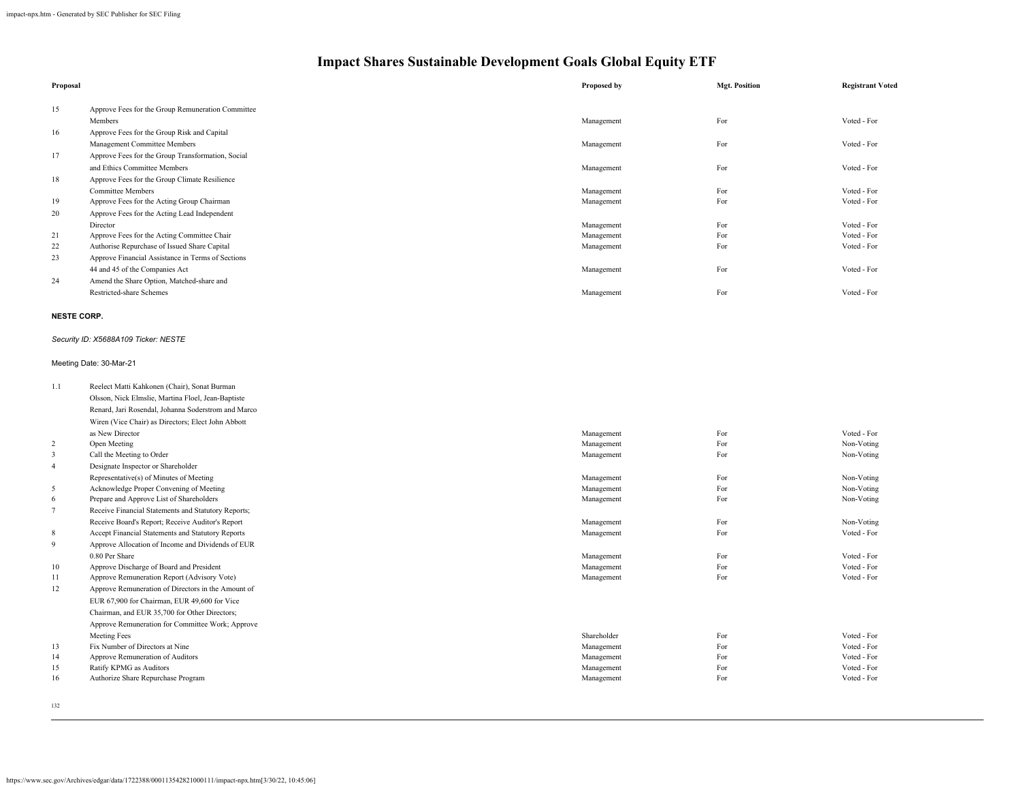| Proposal               |                                                                                         | Proposed by              | <b>Mgt. Position</b> | <b>Registrant Voted</b>    |
|------------------------|-----------------------------------------------------------------------------------------|--------------------------|----------------------|----------------------------|
| 15                     | Approve Fees for the Group Remuneration Committee                                       |                          |                      |                            |
|                        | Members                                                                                 | Management               | For                  | Voted - For                |
| 16                     | Approve Fees for the Group Risk and Capital                                             |                          |                      |                            |
|                        | Management Committee Members                                                            | Management               | For                  | Voted - For                |
| 17                     | Approve Fees for the Group Transformation, Social                                       |                          |                      |                            |
|                        | and Ethics Committee Members                                                            | Management               | For                  | Voted - For                |
| 18                     | Approve Fees for the Group Climate Resilience                                           |                          |                      |                            |
|                        | <b>Committee Members</b>                                                                | Management               | For                  | Voted - For                |
| 19                     | Approve Fees for the Acting Group Chairman                                              | Management               | For                  | Voted - For                |
| 20                     | Approve Fees for the Acting Lead Independent                                            |                          |                      |                            |
|                        | Director                                                                                | Management               | For                  | Voted - For                |
| 21                     | Approve Fees for the Acting Committee Chair                                             | Management               | For                  | Voted - For                |
| 22                     | Authorise Repurchase of Issued Share Capital                                            | Management               | For                  | Voted - For                |
| 23                     | Approve Financial Assistance in Terms of Sections                                       |                          |                      |                            |
|                        | 44 and 45 of the Companies Act                                                          | Management               | For                  | Voted - For                |
| 24                     | Amend the Share Option, Matched-share and                                               |                          |                      |                            |
|                        | Restricted-share Schemes                                                                | Management               | For                  | Voted - For                |
| <b>NESTE CORP.</b>     |                                                                                         |                          |                      |                            |
|                        | Security ID: X5688A109 Ticker: NESTE                                                    |                          |                      |                            |
|                        | Meeting Date: 30-Mar-21                                                                 |                          |                      |                            |
| 1.1                    | Reelect Matti Kahkonen (Chair), Sonat Burman                                            |                          |                      |                            |
|                        | Olsson, Nick Elmslie, Martina Floel, Jean-Baptiste                                      |                          |                      |                            |
|                        | Renard, Jari Rosendal, Johanna Soderstrom and Marco                                     |                          |                      |                            |
|                        | Wiren (Vice Chair) as Directors; Elect John Abbott                                      |                          |                      |                            |
|                        | as New Director                                                                         | Management               | For                  | Voted - For                |
| $\overline{c}$         | Open Meeting                                                                            | Management               | For                  | Non-Voting                 |
| $\mathbf{3}$           | Call the Meeting to Order                                                               | Management               | For                  | Non-Voting                 |
| $\overline{4}$         | Designate Inspector or Shareholder                                                      |                          |                      |                            |
|                        | Representative(s) of Minutes of Meeting                                                 | Management               | For                  | Non-Voting                 |
| 5                      | Acknowledge Proper Convening of Meeting                                                 | Management               | For                  | Non-Voting                 |
| 6                      | Prepare and Approve List of Shareholders                                                | Management               | For                  | Non-Voting                 |
| $7\overline{ }$        | Receive Financial Statements and Statutory Reports;                                     |                          |                      |                            |
|                        | Receive Board's Report; Receive Auditor's Report                                        | Management               | For                  | Non-Voting                 |
| $\,$ 8 $\,$            | Accept Financial Statements and Statutory Reports                                       | Management               | For                  | Voted - For                |
| 9                      | Approve Allocation of Income and Dividends of EUR                                       |                          |                      |                            |
|                        | 0.80 Per Share                                                                          | Management               | For                  | Voted - For                |
| 10 <sup>10</sup><br>11 | Approve Discharge of Board and President<br>Approve Remuneration Report (Advisory Vote) | Management<br>Management | For<br>For           | Voted - For<br>Voted - For |
| 12                     | Approve Remuneration of Directors in the Amount of                                      |                          |                      |                            |
|                        | EUR 67,900 for Chairman, EUR 49,600 for Vice                                            |                          |                      |                            |
|                        |                                                                                         |                          |                      |                            |
|                        | Chairman, and EUR 35,700 for Other Directors;                                           |                          |                      |                            |
|                        | Approve Remuneration for Committee Work; Approve<br><b>Meeting Fees</b>                 | Shareholder              |                      | Voted - For                |
| 13                     | Fix Number of Directors at Nine                                                         | Management               | For<br>For           | Voted - For                |
| 14                     | Approve Remuneration of Auditors                                                        | Management               | For                  | Voted - For                |
| 15                     | Ratify KPMG as Auditors                                                                 | Management               | For                  | Voted - For                |
| 16                     | Authorize Share Repurchase Program                                                      | Management               | For                  | Voted - For                |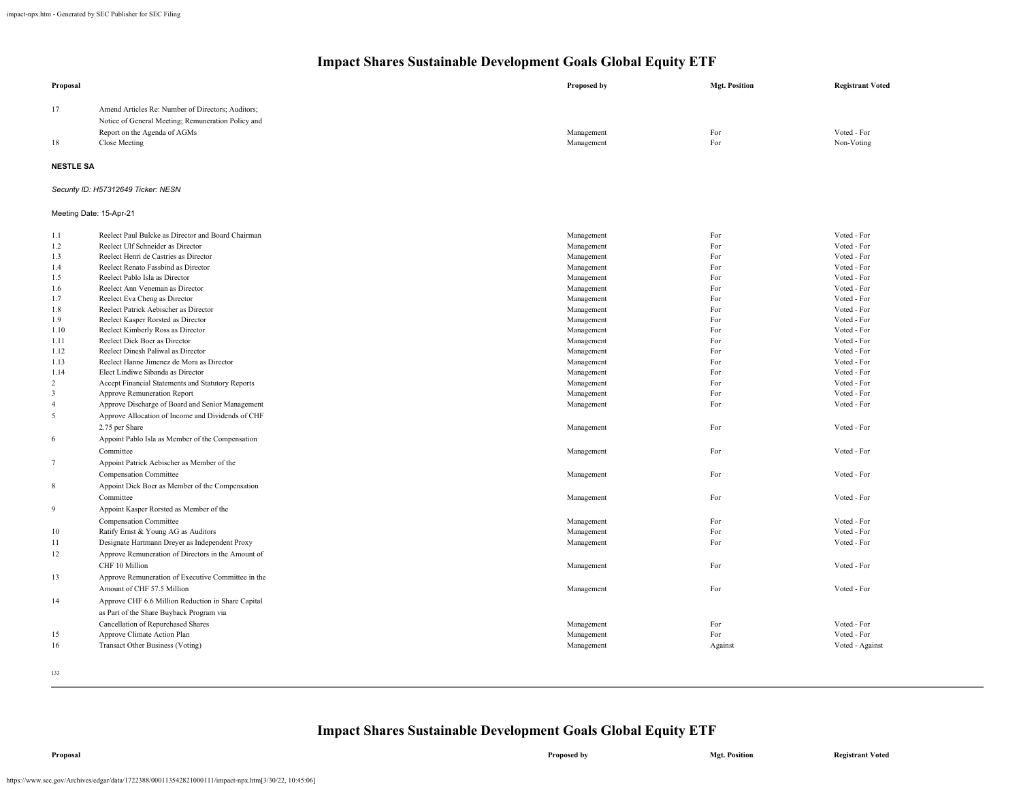| Proposal                |                                                                                                         | Proposed by              | <b>Mgt. Position</b> | <b>Registrant Voted</b>   |
|-------------------------|---------------------------------------------------------------------------------------------------------|--------------------------|----------------------|---------------------------|
| 17                      | Amend Articles Re: Number of Directors; Auditors;<br>Notice of General Meeting; Remuneration Policy and |                          |                      |                           |
| 18                      | Report on the Agenda of AGMs<br>Close Meeting                                                           | Management<br>Management | For<br>For           | Voted - For<br>Non-Voting |
| <b>NESTLE SA</b>        |                                                                                                         |                          |                      |                           |
|                         | Security ID: H57312649 Ticker: NESN                                                                     |                          |                      |                           |
| Meeting Date: 15-Apr-21 |                                                                                                         |                          |                      |                           |
| 1.1                     | Reelect Paul Bulcke as Director and Board Chairman                                                      | Management               | For                  | Voted - For               |
| 1.2                     | Reelect Ulf Schneider as Director                                                                       | Management               | For                  | Voted - For               |
| 1.3                     | Reelect Henri de Castries as Director                                                                   | Management               | For                  | Voted - For               |
| 1.4                     | Reelect Renato Fassbind as Director                                                                     | Management               | For                  | Voted - For               |
| 1.5                     | Reelect Pablo Isla as Director                                                                          | Management               | For                  | Voted - For               |
| 1.6                     | Reelect Ann Veneman as Director                                                                         | Management               | For                  | Voted - For               |
| 1.7                     | Reelect Eva Cheng as Director                                                                           | Management               | For                  | Voted - For               |
| 1.8                     | Reelect Patrick Aebischer as Director                                                                   | Management               | For                  | Voted - For               |
| 1.9                     | Reelect Kasper Rorsted as Director                                                                      | Management               | For                  | Voted - For               |
| 1.10                    | Reelect Kimberly Ross as Director                                                                       | Management               | For                  | Voted - For               |
| 1.11                    | Reelect Dick Boer as Director                                                                           | Management               | For                  | Voted - For               |
| 1.12                    | Reelect Dinesh Paliwal as Director                                                                      | Management               | For                  | Voted - For               |
| 1.13                    | Reelect Hanne Jimenez de Mora as Director                                                               | Management               | For                  | Voted - For               |
| 1.14                    | Elect Lindiwe Sibanda as Director                                                                       | Management               | For                  | Voted - For               |
| $\overline{2}$          | Accept Financial Statements and Statutory Reports                                                       | Management               | For                  | Voted - For               |
| 3                       | Approve Remuneration Report                                                                             | Management               | For                  | Voted - For               |
| $\overline{4}$          | Approve Discharge of Board and Senior Management                                                        | Management               | For                  | Voted - For               |
| 5                       | Approve Allocation of Income and Dividends of CHF                                                       |                          |                      |                           |
|                         | 2.75 per Share                                                                                          | Management               | For                  | Voted - For               |
| 6                       | Appoint Pablo Isla as Member of the Compensation                                                        |                          |                      |                           |
|                         | Committee                                                                                               | Management               | For                  | Voted - For               |
| $7\phantom{.0}$         | Appoint Patrick Aebischer as Member of the                                                              |                          |                      |                           |
|                         | Compensation Committee                                                                                  | Management               | For                  | Voted - For               |
| 8                       | Appoint Dick Boer as Member of the Compensation                                                         |                          |                      |                           |
|                         | Committee                                                                                               | Management               | For                  | Voted - For               |
| $\overline{Q}$          | Appoint Kasper Rorsted as Member of the                                                                 |                          |                      |                           |
|                         | Compensation Committee                                                                                  | Management               | For                  | Voted - For               |
| $10\,$                  | Ratify Ernst & Young AG as Auditors                                                                     | Management               | For                  | Voted - For               |
| 11                      | Designate Hartmann Dreyer as Independent Proxy                                                          | Management               | For                  | Voted - For               |
| 12                      | Approve Remuneration of Directors in the Amount of                                                      |                          |                      |                           |
|                         | CHF 10 Million                                                                                          |                          | For                  | Voted - For               |
|                         |                                                                                                         | Management               |                      |                           |
| 13                      | Approve Remuneration of Executive Committee in the                                                      |                          |                      |                           |
|                         | Amount of CHF 57.5 Million                                                                              | Management               | For                  | Voted - For               |
| 14                      | Approve CHF 6.6 Million Reduction in Share Capital                                                      |                          |                      |                           |
|                         | as Part of the Share Buyback Program via                                                                |                          |                      |                           |
|                         | Cancellation of Repurchased Shares                                                                      | Management               | For                  | Voted - For               |
| 15                      | Approve Climate Action Plan                                                                             | Management               | For                  | Voted - For               |
| 16                      | Transact Other Business (Voting)                                                                        | Management               | Against              | Voted - Against           |
|                         |                                                                                                         |                          |                      |                           |
|                         |                                                                                                         |                          |                      |                           |
| 133                     |                                                                                                         |                          |                      |                           |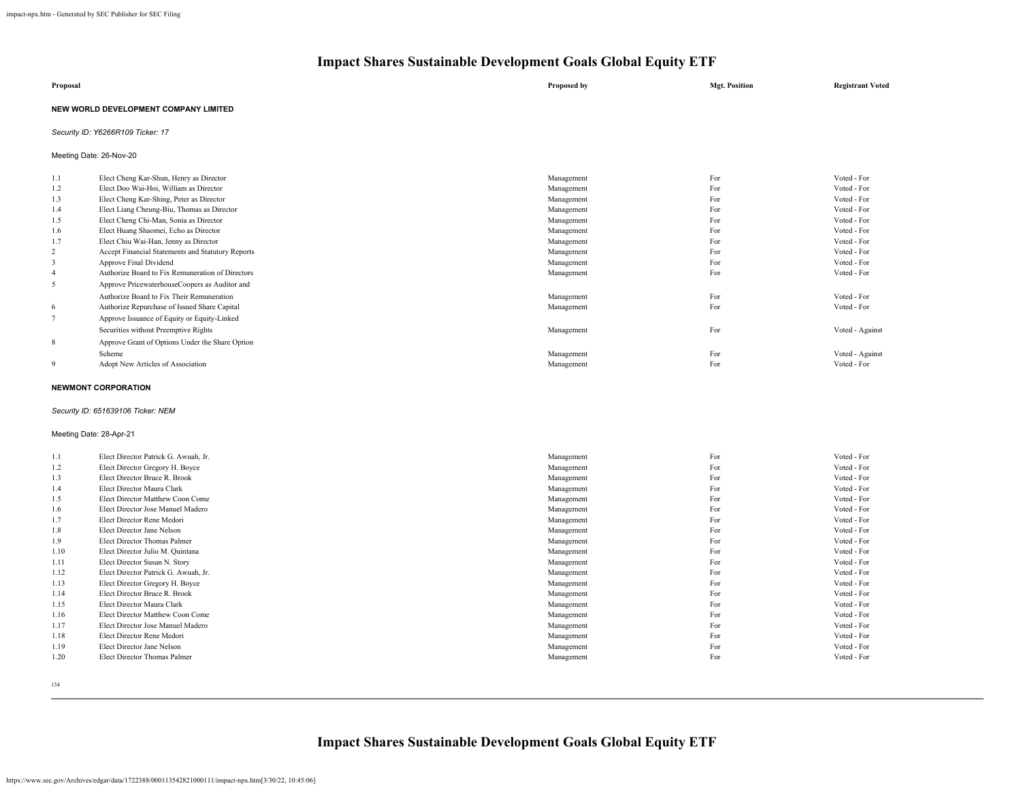| Proposal                              | Proposed by | <b>Mgt. Position</b> | <b>Registrant Voted</b> |
|---------------------------------------|-------------|----------------------|-------------------------|
| NEW WORLD DEVELOPMENT COMPANY LIMITED |             |                      |                         |

### *Security ID: Y6266R109 Ticker: 17*

Meeting Date: 26-Nov-20

| 1.1            | Elect Cheng Kar-Shun, Henry as Director           | Management | For | Voted - For     |
|----------------|---------------------------------------------------|------------|-----|-----------------|
| 1.2            | Elect Doo Wai-Hoi, William as Director            | Management | For | Voted - For     |
| 1.3            | Elect Cheng Kar-Shing, Peter as Director          | Management | For | Voted - For     |
| 1.4            | Elect Liang Cheung-Biu, Thomas as Director        | Management | For | Voted - For     |
| 1.5            | Elect Cheng Chi-Man, Sonia as Director            | Management | For | Voted - For     |
| 1.6            | Elect Huang Shaomei, Echo as Director             | Management | For | Voted - For     |
| 1.7            | Elect Chiu Wai-Han, Jenny as Director             | Management | For | Voted - For     |
| 2              | Accept Financial Statements and Statutory Reports | Management | For | Voted - For     |
| 3              | Approve Final Dividend                            | Management | For | Voted - For     |
| $\overline{4}$ | Authorize Board to Fix Remuneration of Directors  | Management | For | Voted - For     |
| 5              | Approve PricewaterhouseCoopers as Auditor and     |            |     |                 |
|                | Authorize Board to Fix Their Remuneration         | Management | For | Voted - For     |
| 6              | Authorize Repurchase of Issued Share Capital      | Management | For | Voted - For     |
|                | Approve Issuance of Equity or Equity-Linked       |            |     |                 |
|                | Securities without Preemptive Rights              | Management | For | Voted - Against |
| 8              | Approve Grant of Options Under the Share Option   |            |     |                 |
|                | Scheme                                            | Management | For | Voted - Against |
| 9              | Adopt New Articles of Association                 | Management | For | Voted - For     |
|                |                                                   |            |     |                 |

### **NEWMONT CORPORATION**

### *Security ID: 651639106 Ticker: NEM*

### Meeting Date: 28-Apr-21

| 1.1  | Elect Director Patrick G. Awuah, Jr. | Management | For | Voted - For |
|------|--------------------------------------|------------|-----|-------------|
| 1.2  | Elect Director Gregory H. Boyce      | Management | For | Voted - For |
| 1.3  | Elect Director Bruce R. Brook        | Management | For | Voted - For |
| 1.4  | Elect Director Maura Clark           | Management | For | Voted - For |
| 1.5  | Elect Director Matthew Coon Come     | Management | For | Voted - For |
| 1.6  | Elect Director Jose Manuel Madero    | Management | For | Voted - For |
| 1.7  | Elect Director Rene Medori           | Management | For | Voted - For |
| 1.8  | Elect Director Jane Nelson           | Management | For | Voted - For |
| 1.9  | Elect Director Thomas Palmer         | Management | For | Voted - For |
| 1.10 | Elect Director Julio M. Quintana     | Management | For | Voted - For |
| 1.11 | Elect Director Susan N. Story        | Management | For | Voted - For |
| 1.12 | Elect Director Patrick G. Awuah, Jr. | Management | For | Voted - For |
| 1.13 | Elect Director Gregory H. Boyce      | Management | For | Voted - For |
| 1.14 | Elect Director Bruce R. Brook        | Management | For | Voted - For |
| 1.15 | Elect Director Maura Clark           | Management | For | Voted - For |
| 1.16 | Elect Director Matthew Coon Come     | Management | For | Voted - For |
| 1.17 | Elect Director Jose Manuel Madero    | Management | For | Voted - For |
| 1.18 | Elect Director Rene Medori           | Management | For | Voted - For |
| 1.19 | Elect Director Jane Nelson           | Management | For | Voted - For |
| 1.20 | Elect Director Thomas Palmer         | Management | For | Voted - For |
|      |                                      |            |     |             |

134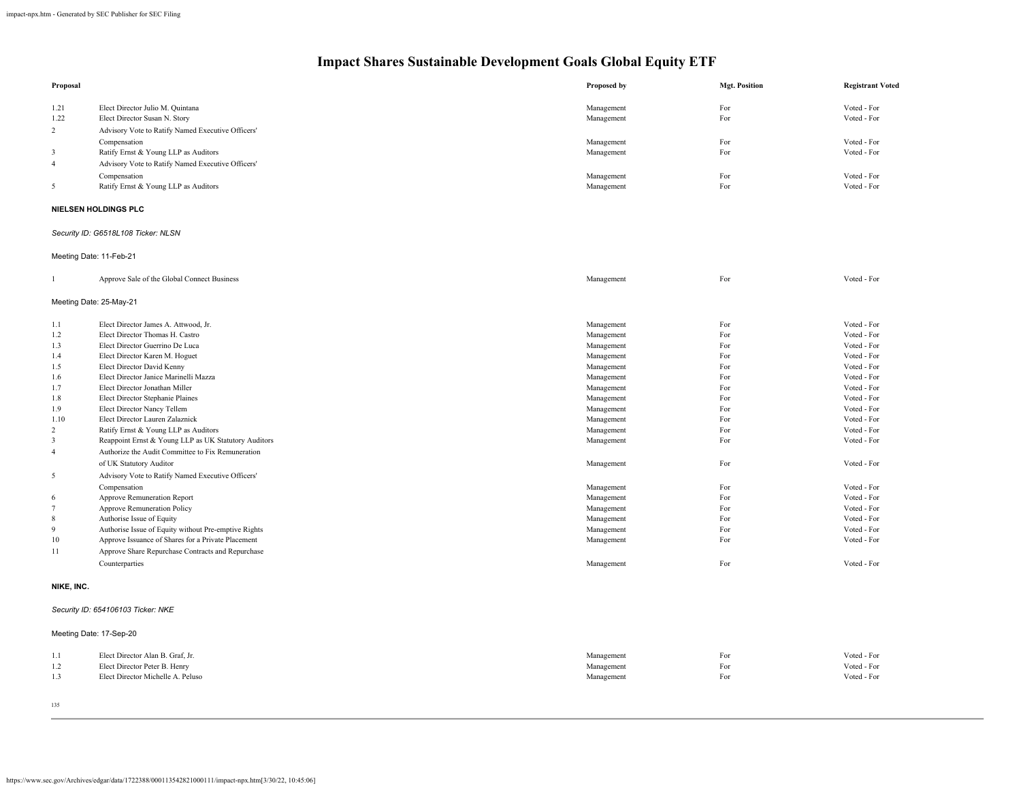| Proposal            |                                                                     | Proposed by              | <b>Mgt. Position</b> | <b>Registrant Voted</b> |
|---------------------|---------------------------------------------------------------------|--------------------------|----------------------|-------------------------|
| 1.21                | Elect Director Julio M. Quintana                                    | Management               | For                  | Voted - For             |
| 1.22                | Elect Director Susan N. Story                                       | Management               | For                  | Voted - For             |
| 2                   | Advisory Vote to Ratify Named Executive Officers'                   |                          |                      |                         |
|                     | Compensation                                                        | Management               | For                  | Voted - For             |
| $\mathbf{3}$        | Ratify Ernst & Young LLP as Auditors                                | Management               | For                  | Voted - For             |
| $\overline{4}$      | Advisory Vote to Ratify Named Executive Officers'                   |                          |                      |                         |
|                     | Compensation                                                        | Management               | For                  | Voted - For             |
| 5                   | Ratify Ernst & Young LLP as Auditors                                | Management               | For                  | Voted - For             |
|                     |                                                                     |                          |                      |                         |
|                     | NIELSEN HOLDINGS PLC                                                |                          |                      |                         |
|                     | Security ID: G6518L108 Ticker: NLSN                                 |                          |                      |                         |
|                     | Meeting Date: 11-Feb-21                                             |                          |                      |                         |
| $\mathbf{1}$        | Approve Sale of the Global Connect Business                         | Management               | For                  | Voted - For             |
|                     | Meeting Date: 25-May-21                                             |                          |                      |                         |
| 1.1                 | Elect Director James A. Attwood, Jr.                                | Management               | For                  | Voted - For             |
| 1.2                 | Elect Director Thomas H. Castro                                     | Management               | For                  | Voted - For             |
| 1.3                 | Elect Director Guerrino De Luca                                     | Management               | For                  | Voted - For             |
| 1.4                 | Elect Director Karen M. Hoguet                                      | Management               | For                  | Voted - For             |
| 1.5                 | Elect Director David Kenny                                          | Management               | For                  | Voted - For             |
| 1.6                 | Elect Director Janice Marinelli Mazza                               | Management               | For                  | Voted - For             |
| 1.7                 | Elect Director Jonathan Miller                                      | Management               | For                  | Voted - For             |
| 1.8                 | Elect Director Stephanie Plaines                                    | Management               | For                  | Voted - For             |
| 1.9                 | Elect Director Nancy Tellem                                         | Management               | For                  | Voted - For             |
| 1.10                | Elect Director Lauren Zalaznick                                     | Management               | For                  | Voted - For             |
| $\overline{c}$      | Ratify Ernst & Young LLP as Auditors                                | Management               | For                  | Voted - For             |
| 3                   | Reappoint Ernst & Young LLP as UK Statutory Auditors                | Management               | For                  | Voted - For             |
| $\overline{4}$      | Authorize the Audit Committee to Fix Remuneration                   |                          |                      |                         |
|                     | of UK Statutory Auditor                                             | Management               | For                  | Voted - For             |
| 5                   | Advisory Vote to Ratify Named Executive Officers'                   |                          |                      |                         |
|                     |                                                                     |                          | For                  | Voted - For             |
|                     | Compensation                                                        | Management               | For                  | Voted - For             |
| 6<br>$\overline{7}$ | Approve Remuneration Report<br>Approve Remuneration Policy          | Management<br>Management | For                  | Voted - For             |
| 8                   | Authorise Issue of Equity                                           | Management               | For                  | Voted - For             |
| 9                   | Authorise Issue of Equity without Pre-emptive Rights                | Management               | For                  | Voted - For             |
| 10                  | Approve Issuance of Shares for a Private Placement                  | Management               | For                  | Voted - For             |
|                     |                                                                     |                          |                      |                         |
| 11                  | Approve Share Repurchase Contracts and Repurchase<br>Counterparties | Management               | For                  | Voted - For             |
|                     |                                                                     |                          |                      |                         |
| NIKE, INC.          |                                                                     |                          |                      |                         |
|                     | Security ID: 654106103 Ticker: NKE                                  |                          |                      |                         |
|                     | Meeting Date: 17-Sep-20                                             |                          |                      |                         |
| 1.1                 | Elect Director Alan B. Graf, Jr.                                    | Management               | For                  | Voted - For             |
| 1.2                 | Elect Director Peter B. Henry                                       | Management               | For                  | Voted - For             |
| 1.3                 | Elect Director Michelle A. Peluso                                   | Management               | For                  | Voted - For             |
|                     |                                                                     |                          |                      |                         |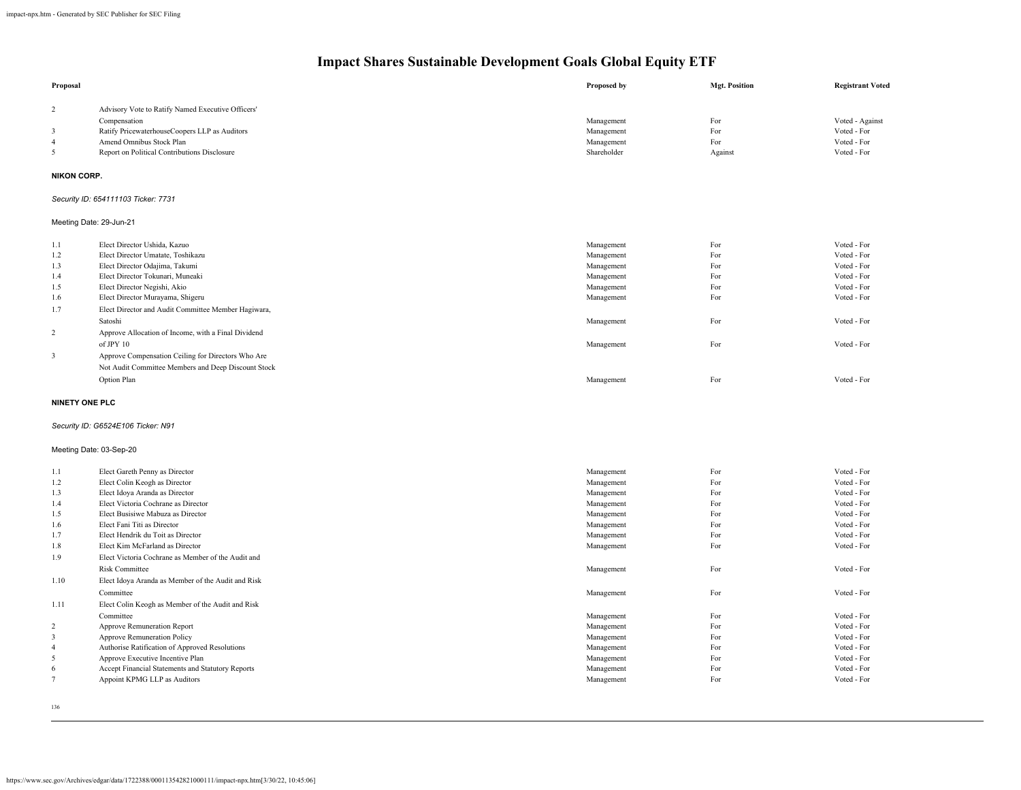| Proposal                |                                                     | Proposed by | <b>Mgt. Position</b> | <b>Registrant Voted</b> |
|-------------------------|-----------------------------------------------------|-------------|----------------------|-------------------------|
| $\overline{c}$          | Advisory Vote to Ratify Named Executive Officers'   |             |                      |                         |
|                         | Compensation                                        | Management  | For                  | Voted - Against         |
| $\overline{\mathbf{3}}$ | Ratify PricewaterhouseCoopers LLP as Auditors       | Management  | For                  | Voted - For             |
| $\overline{4}$          | Amend Omnibus Stock Plan                            | Management  | For                  | Voted - For             |
| 5                       | Report on Political Contributions Disclosure        | Shareholder | Against              | Voted - For             |
|                         |                                                     |             |                      |                         |
| <b>NIKON CORP.</b>      |                                                     |             |                      |                         |
|                         | Security ID: 654111103 Ticker: 7731                 |             |                      |                         |
|                         | Meeting Date: 29-Jun-21                             |             |                      |                         |
| 1.1                     | Elect Director Ushida, Kazuo                        | Management  | For                  | Voted - For             |
| 1.2                     | Elect Director Umatate, Toshikazu                   | Management  | For                  | Voted - For             |
| 1.3                     | Elect Director Odajima, Takumi                      | Management  | For                  | Voted - For             |
| 1.4                     | Elect Director Tokunari, Muneaki                    | Management  | For                  | Voted - For             |
| 1.5                     | Elect Director Negishi, Akio                        | Management  | For                  | Voted - For             |
| 1.6                     | Elect Director Murayama, Shigeru                    | Management  | For                  | Voted - For             |
| 1.7                     | Elect Director and Audit Committee Member Hagiwara, |             |                      |                         |
|                         | Satoshi                                             | Management  | For                  | Voted - For             |
| $\sqrt{2}$              | Approve Allocation of Income, with a Final Dividend |             |                      |                         |
|                         | of JPY 10                                           | Management  | For                  | Voted - For             |
| $\overline{\mathbf{3}}$ | Approve Compensation Ceiling for Directors Who Are  |             |                      |                         |
|                         | Not Audit Committee Members and Deep Discount Stock |             |                      |                         |
|                         | Option Plan                                         | Management  | For                  | Voted - For             |
|                         |                                                     |             |                      |                         |
|                         | <b>NINETY ONE PLC</b>                               |             |                      |                         |
|                         | Security ID: G6524E106 Ticker: N91                  |             |                      |                         |
|                         | Meeting Date: 03-Sep-20                             |             |                      |                         |
| 1.1                     | Elect Gareth Penny as Director                      | Management  | For                  | Voted - For             |
| 1.2                     | Elect Colin Keogh as Director                       | Management  | For                  | Voted - For             |
| 1.3                     | Elect Idoya Aranda as Director                      | Management  | For                  | Voted - For             |
| 1.4                     | Elect Victoria Cochrane as Director                 | Management  | For                  | Voted - For             |
| 1.5                     | Elect Busisiwe Mabuza as Director                   | Management  | For                  | Voted - For             |
| 1.6                     | Elect Fani Titi as Director                         | Management  | For                  | Voted - For             |
| 1.7                     | Elect Hendrik du Toit as Director                   | Management  | For                  | Voted - For             |
| 1.8                     | Elect Kim McFarland as Director                     | Management  | For                  | Voted - For             |
| 1.9                     | Elect Victoria Cochrane as Member of the Audit and  |             |                      |                         |
|                         | <b>Risk Committee</b>                               | Management  | For                  | Voted - For             |
| 1.10                    | Elect Idoya Aranda as Member of the Audit and Risk  |             |                      |                         |
|                         | Committee                                           | Management  | For                  | Voted - For             |
| 1.11                    | Elect Colin Keogh as Member of the Audit and Risk   |             |                      |                         |
|                         | Committee                                           | Management  | For                  | Voted - For             |
| $\sqrt{2}$              | Approve Remuneration Report                         | Management  | For                  | Voted - For             |
| $\overline{\mathbf{3}}$ | <b>Approve Remuneration Policy</b>                  | Management  | For                  | Voted - For             |
| $\overline{4}$          | Authorise Ratification of Approved Resolutions      | Management  | For                  | Voted - For             |
| $\sqrt{5}$              | Approve Executive Incentive Plan                    | Management  | For                  | Voted - For             |
| 6                       | Accept Financial Statements and Statutory Reports   | Management  | For                  | Voted - For             |
| $\overline{7}$          | Appoint KPMG LLP as Auditors                        | Management  | For                  | Voted - For             |
|                         |                                                     |             |                      |                         |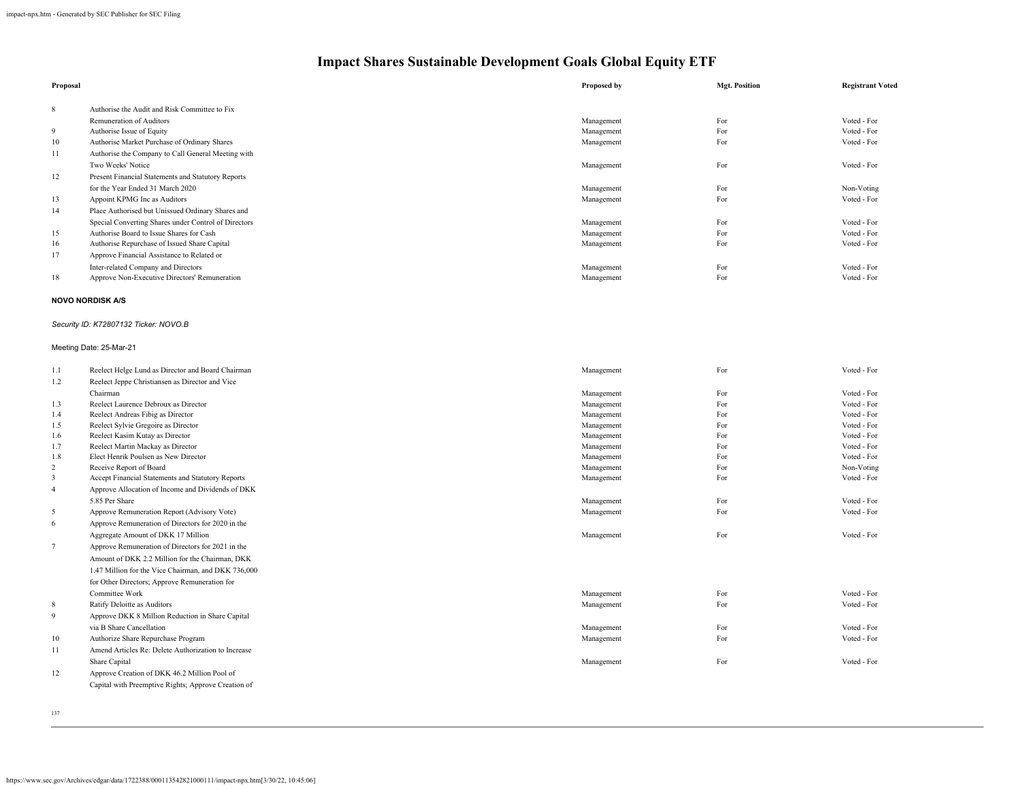| Proposal |                                                      | Proposed by              | <b>Mgt. Position</b> | <b>Registrant Voted</b> |
|----------|------------------------------------------------------|--------------------------|----------------------|-------------------------|
| 8        | Authorise the Audit and Risk Committee to Fix        |                          |                      |                         |
|          | Remuneration of Auditors                             | Management               | For                  | Voted - For             |
| 9        | Authorise Issue of Equity                            | Management               | For                  | Voted - For             |
| 10       | Authorise Market Purchase of Ordinary Shares         | Management               | For                  | Voted - For             |
| 11       | Authorise the Company to Call General Meeting with   |                          |                      |                         |
|          | Two Weeks' Notice                                    | Management               | For                  | Voted - For             |
| 12       | Present Financial Statements and Statutory Reports   |                          |                      |                         |
|          | for the Year Ended 31 March 2020                     |                          | For                  | Non-Voting              |
| 13       | Appoint KPMG Inc as Auditors                         | Management<br>Management | For                  | Voted - For             |
| 14       | Place Authorised but Unissued Ordinary Shares and    |                          |                      |                         |
|          | Special Converting Shares under Control of Directors | Management               | For                  | Voted - For             |
| 15       | Authorise Board to Issue Shares for Cash             | Management               | For                  | Voted - For             |
| 16       | Authorise Repurchase of Issued Share Capital         | Management               | For                  | Voted - For             |
| 17       | Approve Financial Assistance to Related or           |                          |                      |                         |
|          | Inter-related Company and Directors                  | Management               | For                  | Voted - For             |
| 18       | Approve Non-Executive Directors' Remuneration        | Management               | For                  | Voted - For             |
|          |                                                      |                          |                      |                         |
|          | <b>NOVO NORDISK A/S</b>                              |                          |                      |                         |
|          | Security ID: K72807132 Ticker: NOVO.B                |                          |                      |                         |
|          | Meeting Date: 25-Mar-21                              |                          |                      |                         |
| 1.1      | Reelect Helge Lund as Director and Board Chairman    | Management               | For                  | Voted - For             |
| 1.2      | Reelect Jeppe Christiansen as Director and Vice      |                          |                      |                         |
|          | Chairman                                             | Management               | For                  | Voted - For             |
| 1.3      | Reelect Laurence Debroux as Director                 | Management               | For                  | Voted - For             |
| 1.4      | Reelect Andreas Fibig as Director                    | Management               | For                  | Voted - For             |
| 1.5      | Reelect Sylvie Gregoire as Director                  | Management               | For                  | Voted - For             |
| 1.6      | Reelect Kasim Kutay as Director                      | Management               | For                  | Voted - For             |
| 1.7      | Reelect Martin Mackay as Director                    | Management               | For                  | Voted - For             |
| 1.8      | Elect Henrik Poulsen as New Director                 | Management               | For                  | Voted - For             |
| 2        | Receive Report of Board                              | Management               | For                  | Non-Voting              |
| 3        | Accept Financial Statements and Statutory Reports    | Management               | For                  | Voted - For             |
| 4        | Approve Allocation of Income and Dividends of DKK    |                          |                      |                         |
|          | 5.85 Per Share                                       | Management               | For                  | Voted - For             |
| 5        | Approve Remuneration Report (Advisory Vote)          | Management               | For                  | Voted - For             |
| 6        | Approve Remuneration of Directors for 2020 in the    |                          |                      |                         |
|          | Aggregate Amount of DKK 17 Million                   | Management               | For                  | Voted - For             |
|          | Approve Remuneration of Directors for 2021 in the    |                          |                      |                         |
|          | Amount of DKK 2.2 Million for the Chairman, DKK      |                          |                      |                         |
|          | 1.47 Million for the Vice Chairman, and DKK 736,000  |                          |                      |                         |
|          | for Other Directors; Approve Remuneration for        |                          |                      |                         |
|          | Committee Work                                       | Management               | For                  | Voted - For             |
| 8        | Ratify Deloitte as Auditors                          | Management               | For                  | Voted - For             |
| 9        | Approve DKK 8 Million Reduction in Share Capital     |                          |                      |                         |
|          | via B Share Cancellation                             | Management               | For                  | Voted - For             |
| 10       | Authorize Share Repurchase Program                   | Management               | For                  | Voted - For             |
| 11       | Amend Articles Re: Delete Authorization to Increase  |                          |                      |                         |
|          | Share Capital                                        | Management               | For                  | Voted - For             |
| 12       | Approve Creation of DKK 46.2 Million Pool of         |                          |                      |                         |
|          | Capital with Preemptive Rights; Approve Creation of  |                          |                      |                         |
|          |                                                      |                          |                      |                         |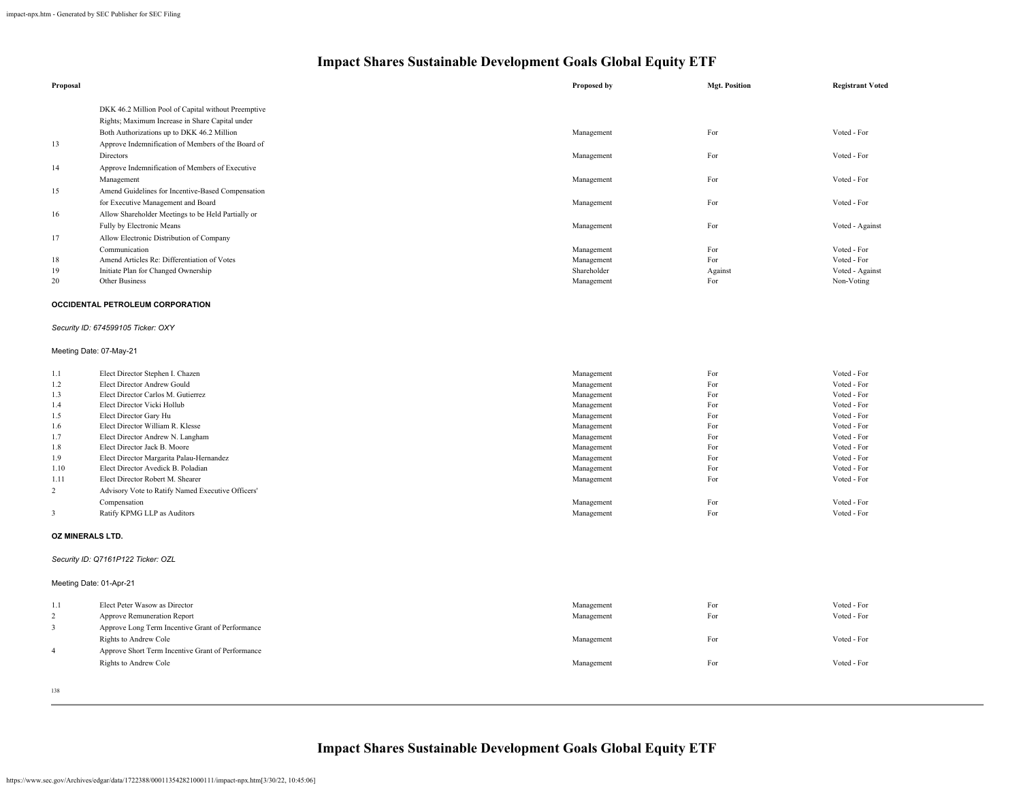| Proposal                |                                                     | <b>Proposed by</b> | <b>Mgt. Position</b> | <b>Registrant Voted</b> |
|-------------------------|-----------------------------------------------------|--------------------|----------------------|-------------------------|
|                         | DKK 46.2 Million Pool of Capital without Preemptive |                    |                      |                         |
|                         | Rights; Maximum Increase in Share Capital under     |                    |                      |                         |
|                         | Both Authorizations up to DKK 46.2 Million          | Management         | For                  | Voted - For             |
| 13                      | Approve Indemnification of Members of the Board of  |                    |                      |                         |
|                         | Directors                                           | Management         | For                  | Voted - For             |
| 14                      | Approve Indemnification of Members of Executive     |                    |                      |                         |
|                         | Management                                          | Management         | For                  | Voted - For             |
| 15                      | Amend Guidelines for Incentive-Based Compensation   |                    |                      |                         |
|                         | for Executive Management and Board                  | Management         | For                  | Voted - For             |
| 16                      | Allow Shareholder Meetings to be Held Partially or  |                    |                      |                         |
|                         | Fully by Electronic Means                           | Management         | For                  | Voted - Against         |
| 17                      | Allow Electronic Distribution of Company            |                    |                      |                         |
|                         | Communication                                       | Management         | For                  | Voted - For             |
| 18                      | Amend Articles Re: Differentiation of Votes         | Management         | For                  | Voted - For             |
| 19                      | Initiate Plan for Changed Ownership                 | Shareholder        | Against              | Voted - Against         |
| 20                      | Other Business                                      | Management         | For                  | Non-Voting              |
|                         |                                                     |                    |                      |                         |
|                         | OCCIDENTAL PETROLEUM CORPORATION                    |                    |                      |                         |
|                         | Security ID: 674599105 Ticker: OXY                  |                    |                      |                         |
|                         | Meeting Date: 07-May-21                             |                    |                      |                         |
| 1.1                     | Elect Director Stephen I. Chazen                    | Management         | For                  | Voted - For             |
| 1.2                     | Elect Director Andrew Gould                         | Management         | For                  | Voted - For             |
| 1.3                     | Elect Director Carlos M. Gutierrez                  | Management         | For                  | Voted - For             |
| 1.4                     | Elect Director Vicki Hollub                         | Management         | For                  | Voted - For             |
| 1.5                     | Elect Director Gary Hu                              | Management         | For                  | Voted - For             |
| 1.6                     | Elect Director William R. Klesse                    | Management         | For                  | Voted - For             |
| 1.7                     | Elect Director Andrew N. Langham                    | Management         | For                  | Voted - For             |
| 1.8                     | Elect Director Jack B. Moore                        | Management         | For                  | Voted - For             |
| 1.9                     | Elect Director Margarita Palau-Hernandez            | Management         | For                  | Voted - For             |
| 1.10                    | Elect Director Avedick B. Poladian                  | Management         | For                  | Voted - For             |
| 1.11                    | Elect Director Robert M. Shearer                    | Management         | For                  | Voted - For             |
| $\overline{c}$          | Advisory Vote to Ratify Named Executive Officers'   |                    |                      |                         |
|                         | Compensation                                        | Management         | For                  | Voted - For             |
| 3                       | Ratify KPMG LLP as Auditors                         | Management         | For                  | Voted - For             |
| OZ MINERALS LTD.        |                                                     |                    |                      |                         |
|                         | Security ID: Q7161P122 Ticker: OZL                  |                    |                      |                         |
| Meeting Date: 01-Apr-21 |                                                     |                    |                      |                         |
| 1.1                     | Elect Peter Wasow as Director                       | Management         | For                  | Voted - For             |
| 2                       | Approve Remuneration Report                         | Management         | For                  | Voted - For             |
|                         |                                                     |                    |                      |                         |
| 3                       | Approve Long Term Incentive Grant of Performance    |                    |                      |                         |
|                         | Rights to Andrew Cole                               | Management         | For                  | Voted - For             |
| 4                       | Approve Short Term Incentive Grant of Performance   |                    |                      |                         |
|                         | Rights to Andrew Cole                               | Management         | For                  | Voted - For             |
|                         |                                                     |                    |                      |                         |
| 138                     |                                                     |                    |                      |                         |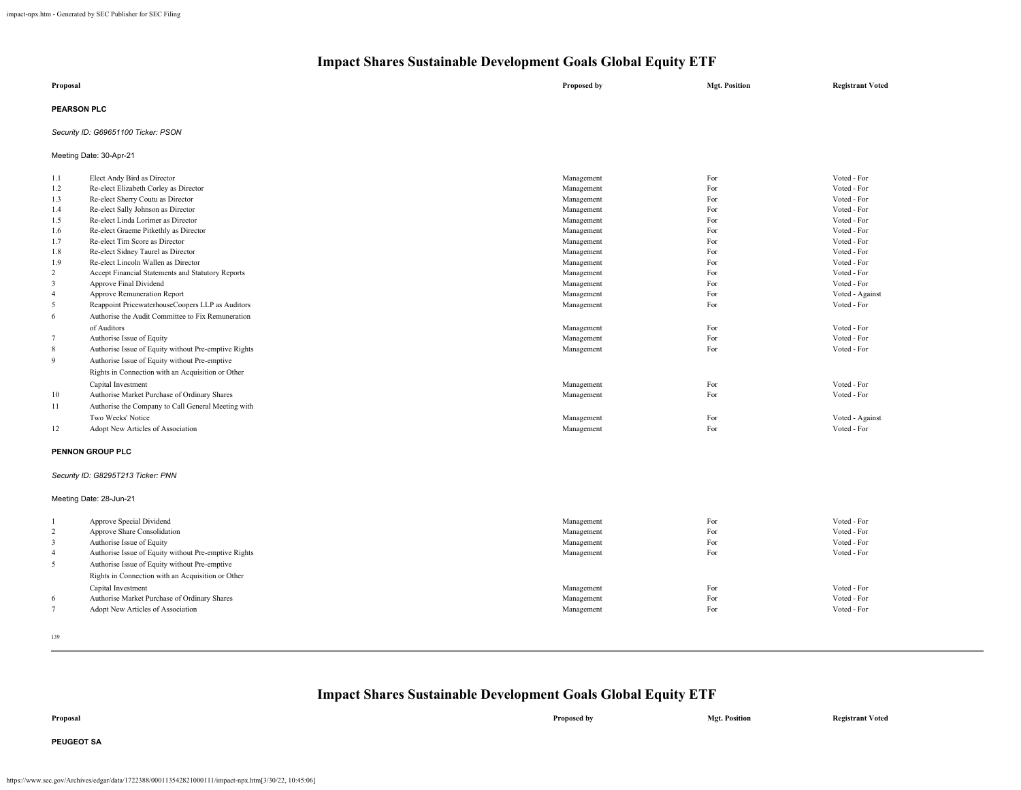| Proposal           | Proposed by | <b>Mgt. Position</b> | <b>Registrant Voted</b> |
|--------------------|-------------|----------------------|-------------------------|
| <b>PEARSON PLC</b> |             |                      |                         |

### *Security ID: G69651100 Ticker: PSON*

Meeting Date: 30-Apr-21

| 1.1                     | Elect Andy Bird as Director                          | Management | For | Voted - For     |
|-------------------------|------------------------------------------------------|------------|-----|-----------------|
| 1.2                     | Re-elect Elizabeth Corley as Director                | Management | For | Voted - For     |
| 1.3                     | Re-elect Sherry Coutu as Director                    | Management | For | Voted - For     |
| 1.4                     | Re-elect Sally Johnson as Director                   | Management | For | Voted - For     |
| 1.5                     | Re-elect Linda Lorimer as Director                   | Management | For | Voted - For     |
| 1.6                     | Re-elect Graeme Pitkethly as Director                | Management | For | Voted - For     |
| 1.7                     | Re-elect Tim Score as Director                       | Management | For | Voted - For     |
| 1.8                     | Re-elect Sidney Taurel as Director                   | Management | For | Voted - For     |
| 1.9                     | Re-elect Lincoln Wallen as Director                  | Management | For | Voted - For     |
| $\overline{c}$          | Accept Financial Statements and Statutory Reports    | Management | For | Voted - For     |
| $\overline{\mathbf{3}}$ | Approve Final Dividend                               | Management | For | Voted - For     |
| $\overline{4}$          | Approve Remuneration Report                          | Management | For | Voted - Against |
| 5                       | Reappoint PricewaterhouseCoopers LLP as Auditors     | Management | For | Voted - For     |
| 6                       | Authorise the Audit Committee to Fix Remuneration    |            |     |                 |
|                         | of Auditors                                          | Management | For | Voted - For     |
| $\overline{7}$          | Authorise Issue of Equity                            | Management | For | Voted - For     |
| 8                       | Authorise Issue of Equity without Pre-emptive Rights | Management | For | Voted - For     |
| 9                       | Authorise Issue of Equity without Pre-emptive        |            |     |                 |
|                         | Rights in Connection with an Acquisition or Other    |            |     |                 |
|                         | Capital Investment                                   | Management | For | Voted - For     |
| 10                      | Authorise Market Purchase of Ordinary Shares         | Management | For | Voted - For     |
| 11                      | Authorise the Company to Call General Meeting with   |            |     |                 |
|                         | Two Weeks' Notice                                    | Management | For | Voted - Against |
| 12                      | Adopt New Articles of Association                    | Management | For | Voted - For     |
|                         | PENNON GROUP PLC                                     |            |     |                 |
|                         |                                                      |            |     |                 |
|                         | Security ID: G8295T213 Ticker: PNN                   |            |     |                 |
|                         | Meeting Date: 28-Jun-21                              |            |     |                 |

### 1 Approve Special Dividend Voted - For Voted - For Voted - For Voted - For Voted - For Voted - For Voted - For<br>2 Approve Share Consolidation Voted - For Voted - For Voted - For Voted - For Voted - For Voted - For Voted -2 Approve Share Consolidation Voted - For Voted - For Voted - For Voted - For Voted - For Voted - For Voted - For Voted - For Voted - For Voted - For Voted - For Voted - For Voted - For Voted - For Voted - For Voted - For 3 Authorise Issue of Equity Voted - For Voted - For Voted - For Voted - For Voted - For Voted - For Voted - For<br>3 Authorise Issue of Equity without Pre-emptive Rights (Pathorise Rights) Authorise Issue of Equity without Pr 4 Authorise Issue of Equity without Pre-emptive Rights For Voted - For Vote discussed - For Vote of Equity without Pre-emptive Rights For Vote of Equity without Pre-emptive Rights For Vote of Equity and The Vote of The Vot 5 Authorise Issue of Equity without Pre-emptive Rights in Connection with an Acquisition or Other Capital Investment Management For Voted - For For Authorise Market Purchase of Ordinary Shares **and Shares** Management **For Consequent** For **Consequent** For *Voted - For Voted - For Voted - For Voted - For Voted - For Voted - For Voted - For Voted - Fo* Adopt New Articles of Association

139

| Proposal          | Proposed by | <b>Mgt. Position</b> | <b>Registrant Voted</b> |
|-------------------|-------------|----------------------|-------------------------|
| <b>PEUGEOT SA</b> |             |                      |                         |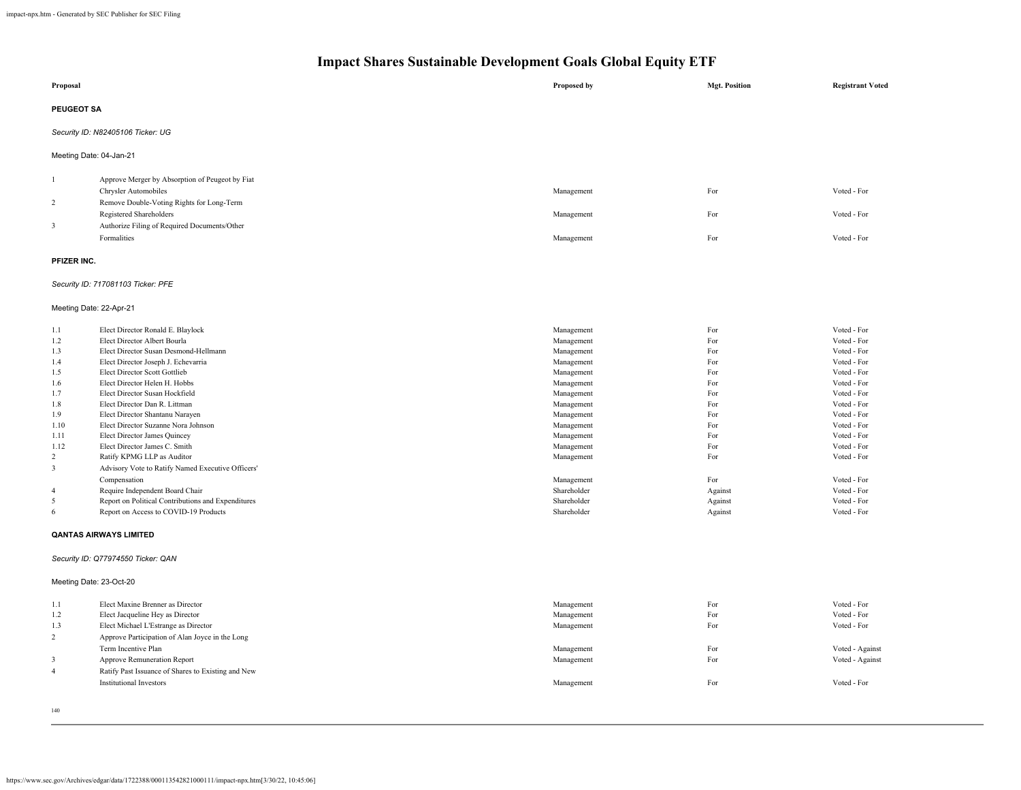| Proposal                |                                                                                             | Proposed by                | <b>Mgt. Position</b> | <b>Registrant Voted</b>    |
|-------------------------|---------------------------------------------------------------------------------------------|----------------------------|----------------------|----------------------------|
| <b>PEUGEOT SA</b>       |                                                                                             |                            |                      |                            |
|                         | Security ID: N82405106 Ticker: UG                                                           |                            |                      |                            |
| Meeting Date: 04-Jan-21 |                                                                                             |                            |                      |                            |
| -1                      | Approve Merger by Absorption of Peugeot by Fiat                                             |                            |                      |                            |
|                         | <b>Chrysler Automobiles</b>                                                                 | Management                 | For                  | Voted - For                |
| 2                       | Remove Double-Voting Rights for Long-Term                                                   |                            |                      |                            |
|                         | Registered Shareholders                                                                     | Management                 | For                  | Voted - For                |
| 3                       | Authorize Filing of Required Documents/Other<br>Formalities                                 | Management                 | For                  | Voted - For                |
|                         |                                                                                             |                            |                      |                            |
| PFIZER INC.             |                                                                                             |                            |                      |                            |
|                         | Security ID: 717081103 Ticker: PFE                                                          |                            |                      |                            |
| Meeting Date: 22-Apr-21 |                                                                                             |                            |                      |                            |
| 1.1                     | Elect Director Ronald E. Blaylock                                                           | Management                 | For                  | Voted - For                |
| 1.2                     | Elect Director Albert Bourla                                                                | Management                 | For                  | Voted - For                |
| 1.3                     | Elect Director Susan Desmond-Hellmann                                                       | Management                 | For                  | Voted - For                |
| 1.4                     | Elect Director Joseph J. Echevarria                                                         | Management                 | For                  | Voted - For                |
| 1.5                     | Elect Director Scott Gottlieb                                                               | Management                 | For                  | Voted - For                |
| 1.6                     | Elect Director Helen H. Hobbs                                                               | Management                 | For                  | Voted - For                |
| 1.7                     | Elect Director Susan Hockfield                                                              | Management                 | For                  | Voted - For                |
| 1.8                     | Elect Director Dan R. Littman                                                               | Management                 | For                  | Voted - For                |
| 1.9                     | Elect Director Shantanu Narayen                                                             | Management                 | For                  | Voted - For                |
| 1.10                    | Elect Director Suzanne Nora Johnson                                                         | Management                 | For                  | Voted - For                |
| 1.11                    | Elect Director James Quincey                                                                | Management                 | For                  | Voted - For                |
| 1.12                    | Elect Director James C. Smith                                                               | Management                 | For                  | Voted - For                |
| 2                       | Ratify KPMG LLP as Auditor                                                                  | Management                 | For                  | Voted - For                |
| $\mathbf{3}$            | Advisory Vote to Ratify Named Executive Officers'                                           |                            |                      |                            |
|                         | Compensation                                                                                | Management                 | For                  | Voted - For                |
| $\overline{4}$          | Require Independent Board Chair                                                             | Shareholder                | Against              | Voted - For                |
| 5<br>6                  | Report on Political Contributions and Expenditures<br>Report on Access to COVID-19 Products | Shareholder<br>Shareholder | Against              | Voted - For<br>Voted - For |
|                         |                                                                                             |                            | Against              |                            |
|                         | <b>QANTAS AIRWAYS LIMITED</b>                                                               |                            |                      |                            |
|                         | Security ID: Q77974550 Ticker: QAN                                                          |                            |                      |                            |
| Meeting Date: 23-Oct-20 |                                                                                             |                            |                      |                            |
| 1.1                     | Elect Maxine Brenner as Director                                                            | Management                 | For                  | Voted - For                |
| 1.2                     | Elect Jacqueline Hey as Director                                                            | Management                 | For                  | Voted - For                |
| 1.3                     | Elect Michael L'Estrange as Director                                                        | Management                 | For                  | Voted - For                |
| 2                       | Approve Participation of Alan Joyce in the Long                                             |                            |                      |                            |
|                         | Term Incentive Plan                                                                         | Management                 | For                  | Voted - Against            |
| $\mathbf{3}$            | Approve Remuneration Report                                                                 | Management                 | For                  | Voted - Against            |
| $\overline{4}$          | Ratify Past Issuance of Shares to Existing and New                                          |                            |                      |                            |
|                         | <b>Institutional Investors</b>                                                              | Management                 | For                  | Voted - For                |
|                         |                                                                                             |                            |                      |                            |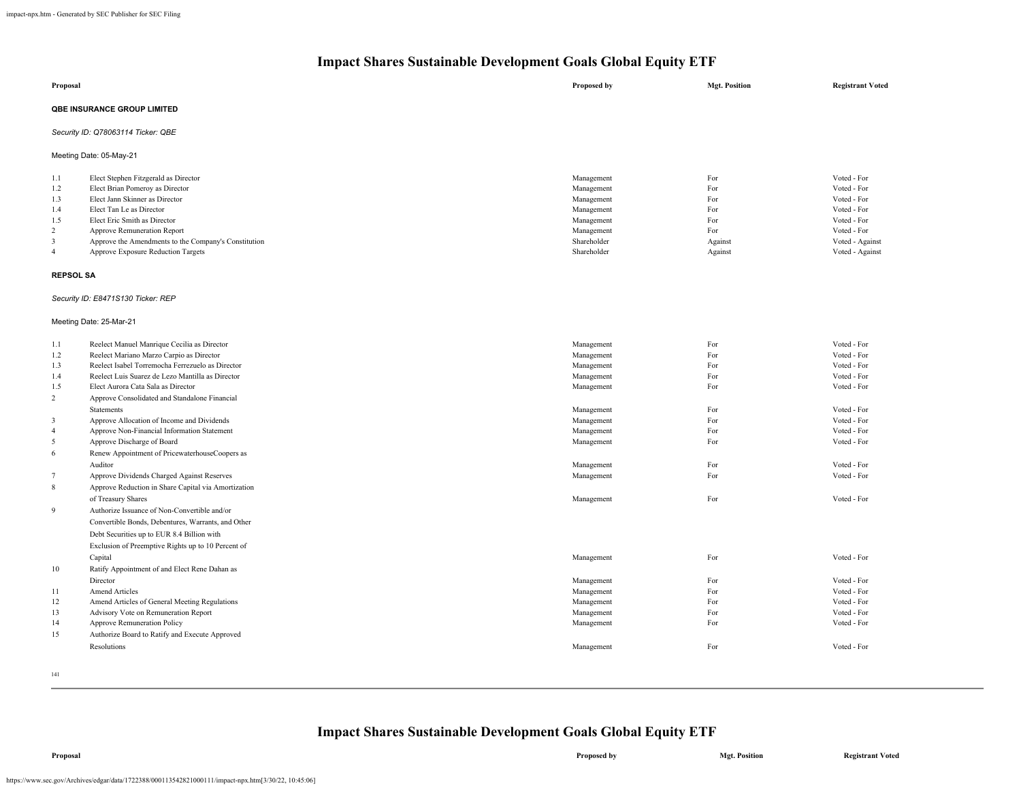| Proposal                                                                                                                               |                                                                                                                                                                                                                                                                                                                                                                                                                                                                                                                                                                                                                                                                                                                                      | Proposed by                                                                                                                                                          | <b>Mgt. Position</b>                                                             | <b>Registrant Voted</b>                                                                                                                                                          |
|----------------------------------------------------------------------------------------------------------------------------------------|--------------------------------------------------------------------------------------------------------------------------------------------------------------------------------------------------------------------------------------------------------------------------------------------------------------------------------------------------------------------------------------------------------------------------------------------------------------------------------------------------------------------------------------------------------------------------------------------------------------------------------------------------------------------------------------------------------------------------------------|----------------------------------------------------------------------------------------------------------------------------------------------------------------------|----------------------------------------------------------------------------------|----------------------------------------------------------------------------------------------------------------------------------------------------------------------------------|
|                                                                                                                                        | QBE INSURANCE GROUP LIMITED                                                                                                                                                                                                                                                                                                                                                                                                                                                                                                                                                                                                                                                                                                          |                                                                                                                                                                      |                                                                                  |                                                                                                                                                                                  |
|                                                                                                                                        | Security ID: Q78063114 Ticker: QBE                                                                                                                                                                                                                                                                                                                                                                                                                                                                                                                                                                                                                                                                                                   |                                                                                                                                                                      |                                                                                  |                                                                                                                                                                                  |
|                                                                                                                                        | Meeting Date: 05-May-21                                                                                                                                                                                                                                                                                                                                                                                                                                                                                                                                                                                                                                                                                                              |                                                                                                                                                                      |                                                                                  |                                                                                                                                                                                  |
| 1.1<br>1.2<br>1.3<br>1.4<br>1.5<br>$\overline{2}$<br>3<br>$\overline{4}$                                                               | Elect Stephen Fitzgerald as Director<br>Elect Brian Pomeroy as Director<br>Elect Jann Skinner as Director<br>Elect Tan Le as Director<br>Elect Eric Smith as Director<br>Approve Remuneration Report<br>Approve the Amendments to the Company's Constitution<br>Approve Exposure Reduction Targets                                                                                                                                                                                                                                                                                                                                                                                                                                   | Management<br>Management<br>Management<br>Management<br>Management<br>Management<br>Shareholder<br>Shareholder                                                       | For<br>For<br>For<br>For<br>For<br>For<br>Against<br>Against                     | Voted - For<br>Voted - For<br>Voted - For<br>Voted - For<br>Voted - For<br>Voted - For<br>Voted - Against<br>Voted - Against                                                     |
| <b>REPSOL SA</b>                                                                                                                       |                                                                                                                                                                                                                                                                                                                                                                                                                                                                                                                                                                                                                                                                                                                                      |                                                                                                                                                                      |                                                                                  |                                                                                                                                                                                  |
|                                                                                                                                        | Security ID: E8471S130 Ticker: REP<br>Meeting Date: 25-Mar-21                                                                                                                                                                                                                                                                                                                                                                                                                                                                                                                                                                                                                                                                        |                                                                                                                                                                      |                                                                                  |                                                                                                                                                                                  |
| 1.1<br>1.2<br>1.3<br>1.4<br>1.5<br>$\overline{2}$<br>$\overline{3}$<br>$\overline{4}$<br>5<br>6<br>$7\phantom{.0}$<br>$\,$ 8 $\,$<br>9 | Reelect Manuel Manrique Cecilia as Director<br>Reelect Mariano Marzo Carpio as Director<br>Reelect Isabel Torremocha Ferrezuelo as Director<br>Reelect Luis Suarez de Lezo Mantilla as Director<br>Elect Aurora Cata Sala as Director<br>Approve Consolidated and Standalone Financial<br><b>Statements</b><br>Approve Allocation of Income and Dividends<br>Approve Non-Financial Information Statement<br>Approve Discharge of Board<br>Renew Appointment of PricewaterhouseCoopers as<br>Auditor<br>Approve Dividends Charged Against Reserves<br>Approve Reduction in Share Capital via Amortization<br>of Treasury Shares<br>Authorize Issuance of Non-Convertible and/or<br>Convertible Bonds, Debentures, Warrants, and Other | Management<br>Management<br>Management<br>Management<br>Management<br>Management<br>Management<br>Management<br>Management<br>Management<br>Management<br>Management | For<br>For<br>For<br>For<br>For<br>For<br>For<br>For<br>For<br>For<br>For<br>For | Voted - For<br>Voted - For<br>Voted - For<br>Voted - For<br>Voted - For<br>Voted - For<br>Voted - For<br>Voted - For<br>Voted - For<br>Voted - For<br>Voted - For<br>Voted - For |
| 10<br>11<br>12<br>13<br>14<br>15                                                                                                       | Debt Securities up to EUR 8.4 Billion with<br>Exclusion of Preemptive Rights up to 10 Percent of<br>Capital<br>Ratify Appointment of and Elect Rene Dahan as<br>Director<br><b>Amend Articles</b><br>Amend Articles of General Meeting Regulations<br>Advisory Vote on Remuneration Report<br>Approve Remuneration Policy<br>Authorize Board to Ratify and Execute Approved<br>Resolutions                                                                                                                                                                                                                                                                                                                                           | Management<br>Management<br>Management<br>Management<br>Management<br>Management<br>Management                                                                       | For<br>For<br>For<br>For<br>For<br>For<br>For                                    | Voted - For<br>Voted - For<br>Voted - For<br>Voted - For<br>Voted - For<br>Voted - For<br>Voted - For                                                                            |

141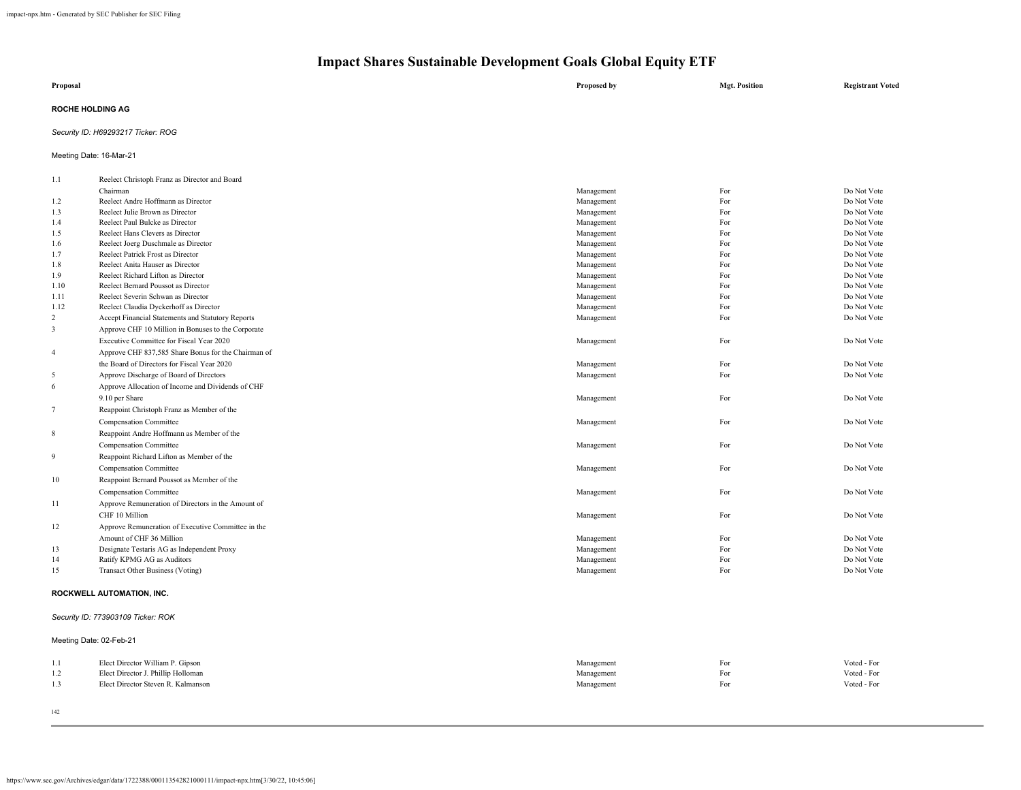| Proposal                           | Proposed by | <b>Mgt. Position</b> | <b>Registrant Voted</b> |
|------------------------------------|-------------|----------------------|-------------------------|
| <b>ROCHE HOLDING AG</b>            |             |                      |                         |
| Security ID: H69293217 Ticker: ROG |             |                      |                         |

Meeting Date: 16-Mar-21

| 1.1            | Reelect Christoph Franz as Director and Board       |            |     |             |
|----------------|-----------------------------------------------------|------------|-----|-------------|
|                | Chairman                                            | Management | For | Do Not Vote |
| 1.2            | Reelect Andre Hoffmann as Director                  | Management | For | Do Not Vote |
| 1.3            | Reelect Julie Brown as Director                     | Management | For | Do Not Vote |
| 1.4            | Reelect Paul Bulcke as Director                     | Management | For | Do Not Vote |
| 1.5            | Reelect Hans Clevers as Director                    | Management | For | Do Not Vote |
| 1.6            | Reelect Joerg Duschmale as Director                 | Management | For | Do Not Vote |
| 1.7            | Reelect Patrick Frost as Director                   | Management | For | Do Not Vote |
| 1.8            | Reelect Anita Hauser as Director                    | Management | For | Do Not Vote |
| 1.9            | Reelect Richard Lifton as Director                  | Management | For | Do Not Vote |
| 1.10           | Reelect Bernard Poussot as Director                 | Management | For | Do Not Vote |
| 1.11           | Reelect Severin Schwan as Director                  | Management | For | Do Not Vote |
| 1.12           | Reelect Claudia Dyckerhoff as Director              | Management | For | Do Not Vote |
| 2              | Accept Financial Statements and Statutory Reports   | Management | For | Do Not Vote |
| $\overline{3}$ | Approve CHF 10 Million in Bonuses to the Corporate  |            |     |             |
|                | Executive Committee for Fiscal Year 2020            | Management | For | Do Not Vote |
| $\overline{4}$ | Approve CHF 837,585 Share Bonus for the Chairman of |            |     |             |
|                | the Board of Directors for Fiscal Year 2020         | Management | For | Do Not Vote |
| -5             | Approve Discharge of Board of Directors             | Management | For | Do Not Vote |
| 6              | Approve Allocation of Income and Dividends of CHF   |            |     |             |
|                | 9.10 per Share                                      | Management | For | Do Not Vote |
| 7              | Reappoint Christoph Franz as Member of the          |            |     |             |
|                | Compensation Committee                              | Management | For | Do Not Vote |
| 8              | Reappoint Andre Hoffmann as Member of the           |            |     |             |
|                | Compensation Committee                              | Management | For | Do Not Vote |
| 9              | Reappoint Richard Lifton as Member of the           |            |     |             |
|                | Compensation Committee                              | Management | For | Do Not Vote |
| 10             | Reappoint Bernard Poussot as Member of the          |            |     |             |
|                | <b>Compensation Committee</b>                       | Management | For | Do Not Vote |
| -11            | Approve Remuneration of Directors in the Amount of  |            |     |             |
|                | CHF 10 Million                                      | Management | For | Do Not Vote |
| 12             | Approve Remuneration of Executive Committee in the  |            |     |             |
|                | Amount of CHF 36 Million                            | Management | For | Do Not Vote |
| 13             | Designate Testaris AG as Independent Proxy          | Management | For | Do Not Vote |
| 14             | Ratify KPMG AG as Auditors                          | Management | For | Do Not Vote |
| 15             | <b>Transact Other Business (Voting)</b>             | Management | For | Do Not Vote |
|                |                                                     |            |     |             |
|                | $PQQ1(111) = 1.117911177111110$                     |            |     |             |

### **ROCKWELL AUTOMATION, INC.**

### *Security ID: 773903109 Ticker: ROK*

|     | Meeting Date: 02-Feb-21            |            |     |             |
|-----|------------------------------------|------------|-----|-------------|
| 1.1 | Elect Director William P. Gipson   | Management | For | Voted - For |
| 1.2 | Elect Director J. Phillip Holloman | Management | For | Voted - For |
| 1.3 | Elect Director Steven R. Kalmanson | Management | For | Voted - For |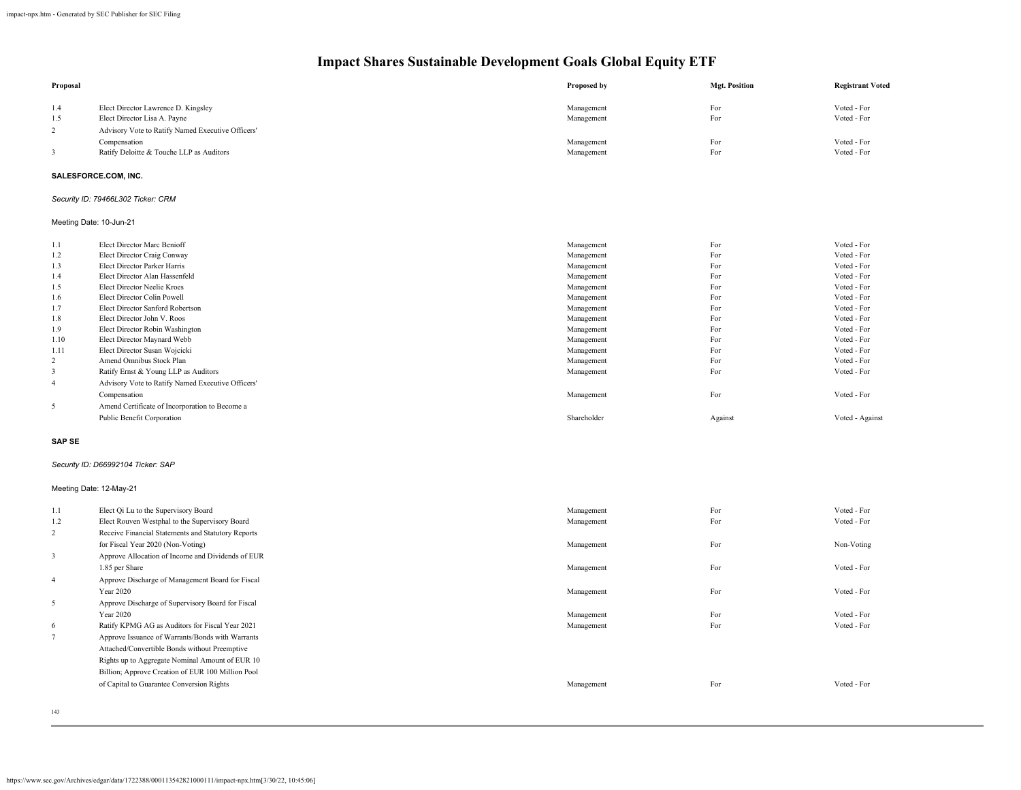| Proposal                                  |                                                                  | Proposed by              | <b>Mgt. Position</b> | <b>Registrant Voted</b>    |
|-------------------------------------------|------------------------------------------------------------------|--------------------------|----------------------|----------------------------|
| 1.4                                       | Elect Director Lawrence D. Kingsley                              | Management               | For                  | Voted - For                |
| 1.5                                       | Elect Director Lisa A. Payne                                     | Management               | For                  | Voted - For                |
| $\overline{c}$                            | Advisory Vote to Ratify Named Executive Officers'                |                          |                      |                            |
|                                           | Compensation                                                     | Management               | For                  | Voted - For                |
| 3                                         | Ratify Deloitte & Touche LLP as Auditors                         | Management               | For                  | Voted - For                |
|                                           | SALESFORCE.COM, INC.                                             |                          |                      |                            |
|                                           | Security ID: 79466L302 Ticker: CRM                               |                          |                      |                            |
| Meeting Date: 10-Jun-21                   |                                                                  |                          |                      |                            |
| 1.1                                       | Elect Director Marc Benioff                                      | Management               | For                  | Voted - For                |
| 1.2                                       | Elect Director Craig Conway                                      | Management               | For                  | Voted - For                |
| 1.3                                       | Elect Director Parker Harris                                     | Management               | For                  | Voted - For                |
| 1.4                                       | Elect Director Alan Hassenfeld                                   | Management               | For                  | Voted - For                |
| 1.5                                       | Elect Director Neelie Kroes                                      | Management               | For                  | Voted - For                |
| 1.6                                       | Elect Director Colin Powell                                      | Management               | For                  | Voted - For                |
| 1.7                                       | Elect Director Sanford Robertson                                 | Management               | For                  | Voted - For                |
| 1.8                                       | Elect Director John V. Roos                                      | Management               | For                  | Voted - For                |
| 1.9                                       | Elect Director Robin Washington                                  | Management               | For                  | Voted - For                |
| 1.10                                      | Elect Director Maynard Webb                                      | Management               | For                  | Voted - For                |
| 1.11                                      | Elect Director Susan Wojcicki                                    | Management               | For                  | Voted - For                |
| $\overline{c}$<br>$\overline{\mathbf{3}}$ | Amend Omnibus Stock Plan<br>Ratify Ernst & Young LLP as Auditors | Management<br>Management | For<br>For           | Voted - For<br>Voted - For |
|                                           |                                                                  |                          |                      |                            |
| $\overline{4}$                            | Advisory Vote to Ratify Named Executive Officers'                |                          |                      |                            |
|                                           | Compensation                                                     | Management               | For                  | Voted - For                |
| 5                                         | Amend Certificate of Incorporation to Become a                   |                          |                      |                            |
|                                           | Public Benefit Corporation                                       | Shareholder              | Against              | Voted - Against            |
| <b>SAP SE</b>                             |                                                                  |                          |                      |                            |
|                                           | Security ID: D66992104 Ticker: SAP                               |                          |                      |                            |
| Meeting Date: 12-May-21                   |                                                                  |                          |                      |                            |
| 1.1                                       | Elect Qi Lu to the Supervisory Board                             | Management               | For                  | Voted - For                |
| 1.2                                       | Elect Rouven Westphal to the Supervisory Board                   | Management               | For                  | Voted - For                |
| $\overline{c}$                            | Receive Financial Statements and Statutory Reports               |                          |                      |                            |
|                                           | for Fiscal Year 2020 (Non-Voting)                                | Management               | For                  | Non-Voting                 |
| $\mathbf{3}$                              | Approve Allocation of Income and Dividends of EUR                |                          |                      |                            |
|                                           | 1.85 per Share                                                   | Management               | For                  | Voted - For                |
| $\overline{4}$                            | Approve Discharge of Management Board for Fiscal                 |                          |                      |                            |
|                                           | Year 2020                                                        | Management               | For                  | Voted - For                |
| 5                                         | Approve Discharge of Supervisory Board for Fiscal                |                          |                      |                            |
|                                           | <b>Year 2020</b>                                                 | Management               | For                  | Voted - For                |
| 6                                         | Ratify KPMG AG as Auditors for Fiscal Year 2021                  | Management               | For                  | Voted - For                |
| $7\phantom{.}$                            | Approve Issuance of Warrants/Bonds with Warrants                 |                          |                      |                            |
|                                           | Attached/Convertible Bonds without Preemptive                    |                          |                      |                            |
|                                           | Rights up to Aggregate Nominal Amount of EUR 10                  |                          |                      |                            |
|                                           | Billion; Approve Creation of EUR 100 Million Pool                |                          |                      |                            |
|                                           | of Capital to Guarantee Conversion Rights                        | Management               | For                  | Voted - For                |
|                                           |                                                                  |                          |                      |                            |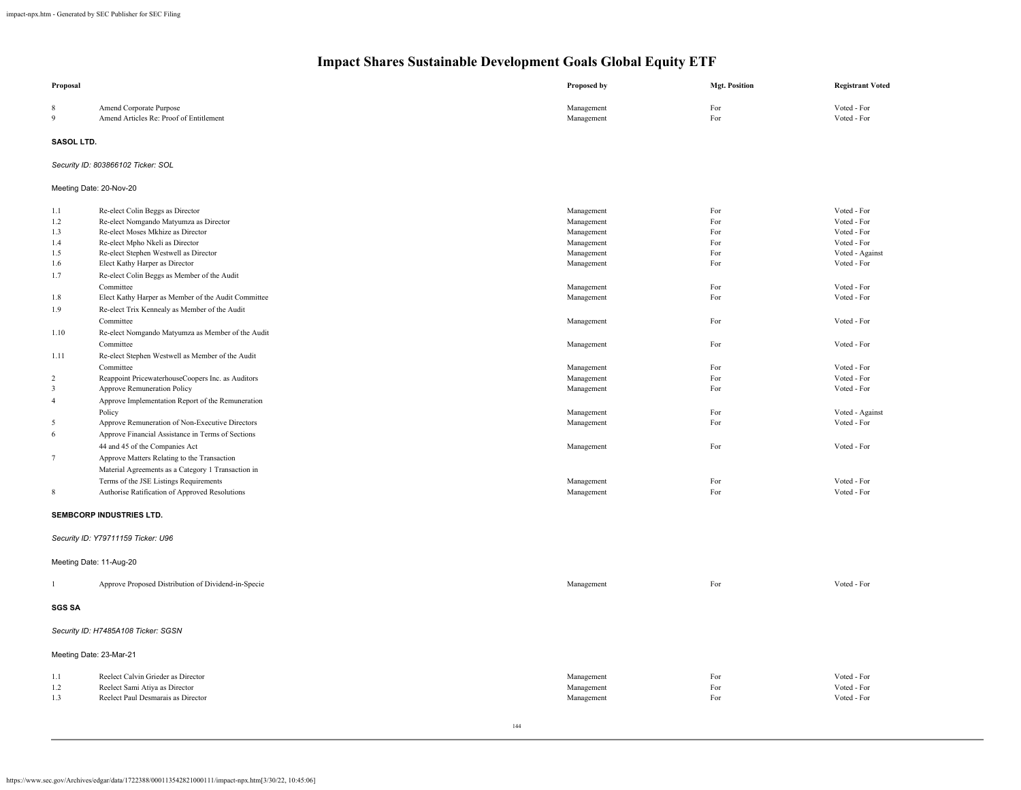| Proposal                |                                                                      | Proposed by              | <b>Mgt. Position</b> | <b>Registrant Voted</b>        |
|-------------------------|----------------------------------------------------------------------|--------------------------|----------------------|--------------------------------|
| 8<br>$\overline{9}$     | Amend Corporate Purpose<br>Amend Articles Re: Proof of Entitlement   | Management<br>Management | For<br>For           | Voted - For<br>Voted - For     |
| SASOL LTD.              |                                                                      |                          |                      |                                |
|                         | Security ID: 803866102 Ticker: SOL                                   |                          |                      |                                |
|                         | Meeting Date: 20-Nov-20                                              |                          |                      |                                |
| 1.1                     | Re-elect Colin Beggs as Director                                     | Management               | For                  | Voted - For                    |
| 1.2                     | Re-elect Nomgando Matyumza as Director                               | Management               | For                  | Voted - For                    |
| 1.3                     | Re-elect Moses Mkhize as Director                                    | Management               | For                  | Voted - For                    |
| 1.4                     | Re-elect Mpho Nkeli as Director                                      | Management               | For                  | Voted - For                    |
| 1.5                     | Re-elect Stephen Westwell as Director                                | Management               | For<br>For           | Voted - Against<br>Voted - For |
| 1.6                     | Elect Kathy Harper as Director                                       | Management               |                      |                                |
| 1.7                     | Re-elect Colin Beggs as Member of the Audit<br>Committee             |                          | For                  | Voted - For                    |
| 1.8                     | Elect Kathy Harper as Member of the Audit Committee                  | Management<br>Management | For                  | Voted - For                    |
| 1.9                     | Re-elect Trix Kennealy as Member of the Audit                        |                          |                      |                                |
|                         | Committee                                                            | Management               | For                  | Voted - For                    |
| 1.10                    | Re-elect Nomgando Matyumza as Member of the Audit                    |                          |                      |                                |
|                         | Committee                                                            | Management               | For                  | Voted - For                    |
| 1.11                    | Re-elect Stephen Westwell as Member of the Audit                     |                          |                      |                                |
|                         | Committee                                                            | Management               | For                  | Voted - For                    |
| $\overline{2}$          | Reappoint PricewaterhouseCoopers Inc. as Auditors                    | Management               | For                  | Voted - For                    |
| 3                       | Approve Remuneration Policy                                          | Management               | For                  | Voted - For                    |
| $\sqrt{4}$              | Approve Implementation Report of the Remuneration                    |                          |                      |                                |
|                         | Policy                                                               | Management               | For                  | Voted - Against                |
| 5                       | Approve Remuneration of Non-Executive Directors                      | Management               | For                  | Voted - For                    |
| 6                       | Approve Financial Assistance in Terms of Sections                    |                          |                      |                                |
|                         | 44 and 45 of the Companies Act                                       | Management               | For                  | Voted - For                    |
| $7\phantom{.0}$         | Approve Matters Relating to the Transaction                          |                          |                      |                                |
|                         | Material Agreements as a Category 1 Transaction in                   |                          |                      |                                |
|                         | Terms of the JSE Listings Requirements                               | Management               | For                  | Voted - For                    |
| 8                       | Authorise Ratification of Approved Resolutions                       | Management               | For                  | Voted - For                    |
|                         | SEMBCORP INDUSTRIES LTD.                                             |                          |                      |                                |
|                         | Security ID: Y79711159 Ticker: U96                                   |                          |                      |                                |
|                         | Meeting Date: 11-Aug-20                                              |                          |                      |                                |
|                         | Approve Proposed Distribution of Dividend-in-Specie                  | Management               | For                  | Voted - For                    |
| <b>SGS SA</b>           |                                                                      |                          |                      |                                |
|                         | Security ID: H7485A108 Ticker: SGSN                                  |                          |                      |                                |
| Meeting Date: 23-Mar-21 |                                                                      |                          |                      |                                |
|                         |                                                                      |                          |                      |                                |
| 1.1<br>1.2              | Reelect Calvin Grieder as Director<br>Reelect Sami Atiya as Director | Management<br>Management | For<br>For           | Voted - For<br>Voted - For     |
| 1.3                     | Reelect Paul Desmarais as Director                                   | Management               | For                  | Voted - For                    |
|                         |                                                                      |                          |                      |                                |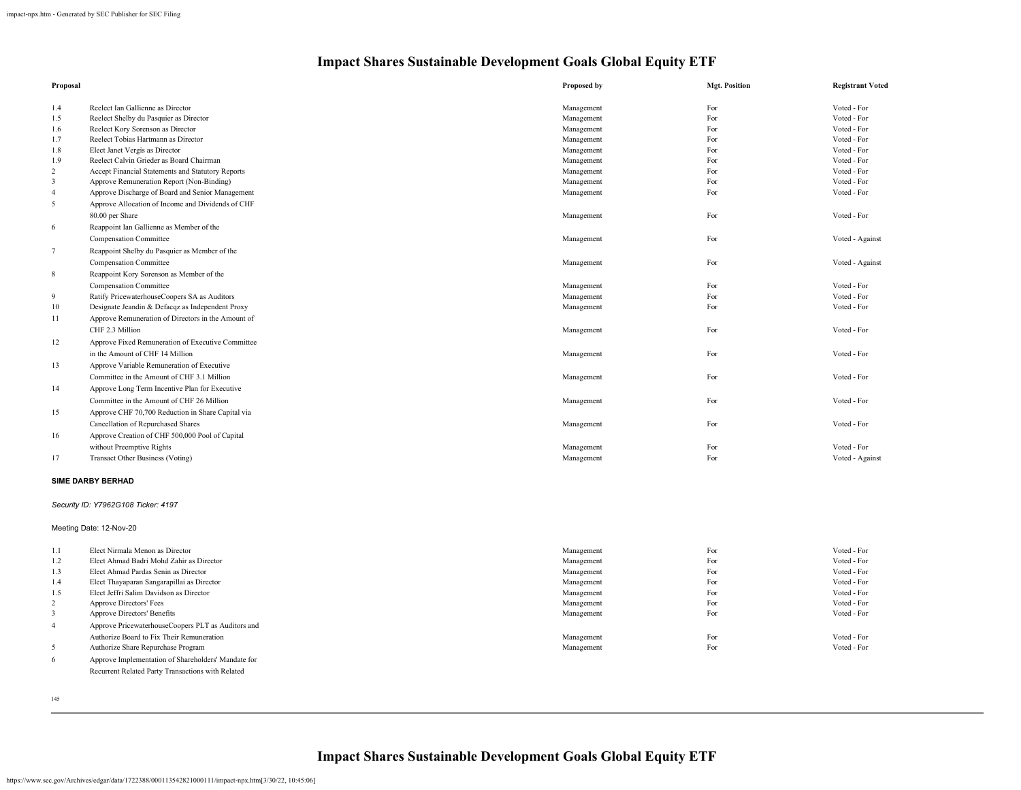| Proposal                |                                                    | Proposed by | <b>Mgt. Position</b> | <b>Registrant Voted</b> |
|-------------------------|----------------------------------------------------|-------------|----------------------|-------------------------|
| 1.4                     | Reelect Ian Gallienne as Director                  | Management  | For                  | Voted - For             |
| 1.5                     | Reelect Shelby du Pasquier as Director             | Management  | For                  | Voted - For             |
| 1.6                     | Reelect Kory Sorenson as Director                  | Management  | For                  | Voted - For             |
| 1.7                     | Reelect Tobias Hartmann as Director                | Management  | For                  | Voted - For             |
| 1.8                     | Elect Janet Vergis as Director                     | Management  | For                  | Voted - For             |
| 1.9                     | Reelect Calvin Grieder as Board Chairman           | Management  | For                  | Voted - For             |
| $\overline{c}$          | Accept Financial Statements and Statutory Reports  | Management  | For                  | Voted - For             |
| $\overline{\mathbf{3}}$ | Approve Remuneration Report (Non-Binding)          | Management  | For                  | Voted - For             |
| $\overline{4}$          | Approve Discharge of Board and Senior Management   | Management  | For                  | Voted - For             |
| 5                       | Approve Allocation of Income and Dividends of CHF  |             |                      |                         |
|                         | 80.00 per Share                                    | Management  | For                  | Voted - For             |
| 6                       | Reappoint Ian Gallienne as Member of the           |             |                      |                         |
|                         | <b>Compensation Committee</b>                      | Management  | For                  | Voted - Against         |
| 7                       | Reappoint Shelby du Pasquier as Member of the      |             |                      |                         |
|                         | Compensation Committee                             | Management  | For                  | Voted - Against         |
| $\,$ 8 $\,$             | Reappoint Kory Sorenson as Member of the           |             |                      |                         |
|                         | Compensation Committee                             | Management  | For                  | Voted - For             |
| 9                       | Ratify PricewaterhouseCoopers SA as Auditors       | Management  | For                  | Voted - For             |
| 10 <sup>1</sup>         | Designate Jeandin & Defacqz as Independent Proxy   | Management  | For                  | Voted - For             |
| 11                      | Approve Remuneration of Directors in the Amount of |             |                      |                         |
|                         | CHF 2.3 Million                                    | Management  | For                  | Voted - For             |
| 12                      | Approve Fixed Remuneration of Executive Committee  |             |                      |                         |
|                         | in the Amount of CHF 14 Million                    | Management  | For                  | Voted - For             |
| 13                      | Approve Variable Remuneration of Executive         |             |                      |                         |
|                         | Committee in the Amount of CHF 3.1 Million         | Management  | For                  | Voted - For             |
| 14                      | Approve Long Term Incentive Plan for Executive     |             |                      |                         |
|                         | Committee in the Amount of CHF 26 Million          | Management  | For                  | Voted - For             |
| 15                      | Approve CHF 70,700 Reduction in Share Capital via  |             |                      |                         |
|                         | Cancellation of Repurchased Shares                 | Management  | For                  | Voted - For             |
| 16                      | Approve Creation of CHF 500,000 Pool of Capital    |             |                      |                         |
|                         | without Preemptive Rights                          | Management  | For                  | Voted - For             |
| 17                      | Transact Other Business (Voting)                   | Management  | For                  | Voted - Against         |
|                         |                                                    |             |                      |                         |
|                         | <b>SIME DARBY BERHAD</b>                           |             |                      |                         |
|                         | Security ID: Y7962G108 Ticker: 4197                |             |                      |                         |
|                         | Meeting Date: 12-Nov-20                            |             |                      |                         |
| 1.1                     | Elect Nirmala Menon as Director                    | Management  | For                  | Voted - For             |
| 1.2                     | Elect Ahmad Badri Mohd Zahir as Director           | Management  | For                  | Voted - For             |
| 1.3                     | Elect Ahmad Pardas Senin as Director               | Management  | For                  | Voted - For             |
| 1.4                     | Elect Thayaparan Sangarapillai as Director         | Management  | For                  | Voted - For             |
| 1.5                     | Elect Jeffri Salim Davidson as Director            | Management  | For                  | Voted - For             |
| $\overline{\mathbf{c}}$ | Approve Directors' Fees                            | Management  | For                  | Voted - For             |
| 3                       | Approve Directors' Benefits                        | Management  | For                  | Voted - For             |
| $\overline{4}$          | Approve PricewaterhouseCoopers PLT as Auditors and |             |                      |                         |
|                         | Authorize Board to Fix Their Remuneration          | Management  | For                  | Voted - For             |

5 Authorize Share Repurchase Program Voted - For Voted - For Voted - For Voted - For Voted - For

6 Approve Implementation of Shareholders' Mandate for Recurrent Related Party Transactions with Related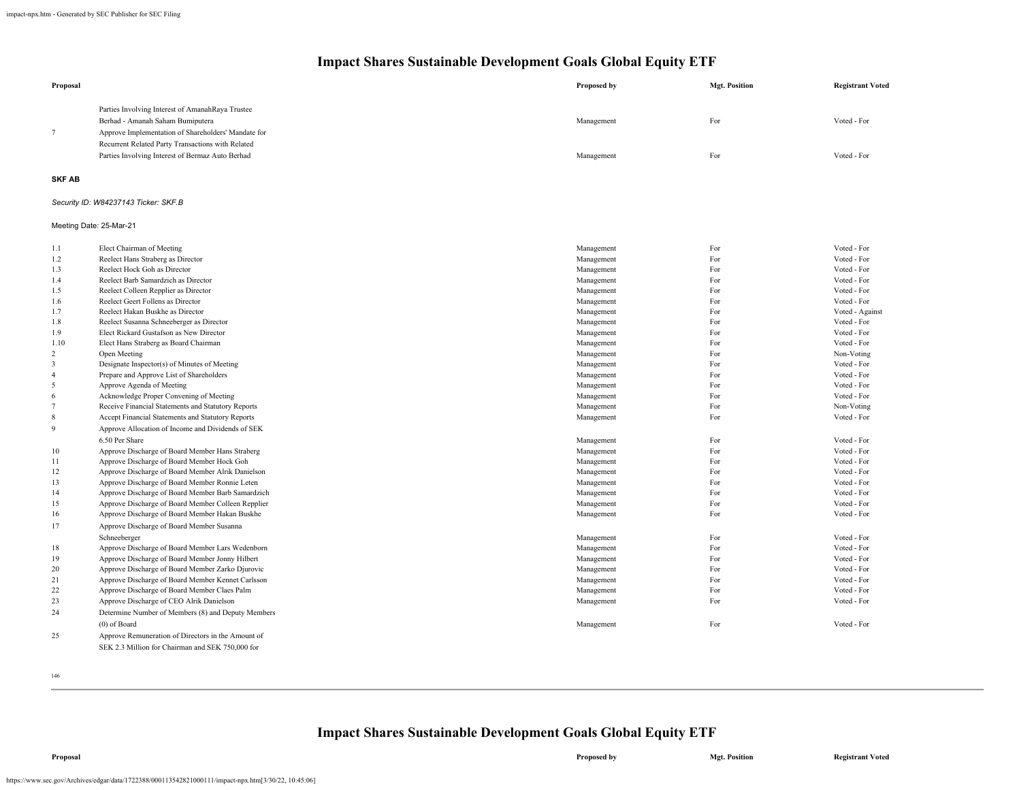| Proposal                |                                                                                     | Proposed by              | <b>Mgt. Position</b> | <b>Registrant Voted</b>    |
|-------------------------|-------------------------------------------------------------------------------------|--------------------------|----------------------|----------------------------|
|                         | Parties Involving Interest of AmanahRaya Trustee                                    |                          |                      |                            |
|                         | Berhad - Amanah Saham Bumiputera                                                    | Management               | For                  | Voted - For                |
| $\tau$                  | Approve Implementation of Shareholders' Mandate for                                 |                          |                      |                            |
|                         | Recurrent Related Party Transactions with Related                                   |                          |                      |                            |
|                         | Parties Involving Interest of Bermaz Auto Berhad                                    | Management               | For                  | Voted - For                |
| <b>SKF AB</b>           |                                                                                     |                          |                      |                            |
|                         | Security ID: W84237143 Ticker: SKF.B                                                |                          |                      |                            |
| Meeting Date: 25-Mar-21 |                                                                                     |                          |                      |                            |
| 1.1                     | Elect Chairman of Meeting                                                           | Management               | For                  | Voted - For                |
| 1.2                     | Reelect Hans Straberg as Director                                                   | Management               | For                  | Voted - For                |
| 1.3                     | Reelect Hock Goh as Director                                                        | Management               | For                  | Voted - For                |
| 1.4                     | Reelect Barb Samardzich as Director                                                 | Management               | For                  | Voted - For                |
| 1.5                     | Reelect Colleen Repplier as Director                                                | Management               | For                  | Voted - For                |
| 1.6                     | Reelect Geert Follens as Director                                                   | Management               | For                  | Voted - For                |
| 1.7                     | Reelect Hakan Buskhe as Director                                                    | Management               | For                  | Voted - Against            |
| 1.8<br>1.9              | Reelect Susanna Schneeberger as Director<br>Elect Rickard Gustafson as New Director | Management<br>Management | For<br>For           | Voted - For<br>Voted - For |
| 1.10                    | Elect Hans Straberg as Board Chairman                                               | Management               | For                  | Voted - For                |
| 2                       | Open Meeting                                                                        | Management               | For                  | Non-Voting                 |
| 3                       | Designate Inspector(s) of Minutes of Meeting                                        | Management               | For                  | Voted - For                |
| $\overline{4}$          | Prepare and Approve List of Shareholders                                            | Management               | For                  | Voted - For                |
| 5                       | Approve Agenda of Meeting                                                           | Management               | For                  | Voted - For                |
| 6                       | Acknowledge Proper Convening of Meeting                                             | Management               | For                  | Voted - For                |
| $7\phantom{.0}$         | Receive Financial Statements and Statutory Reports                                  | Management               | For                  | Non-Voting                 |
| $\,$ 8 $\,$             | Accept Financial Statements and Statutory Reports                                   | Management               | For                  | Voted - For                |
| 9                       | Approve Allocation of Income and Dividends of SEK                                   |                          |                      |                            |
|                         | 6.50 Per Share                                                                      | Management               | For                  | Voted - For                |
| 10                      | Approve Discharge of Board Member Hans Straberg                                     | Management               | For                  | Voted - For                |
| 11                      | Approve Discharge of Board Member Hock Goh                                          | Management               | For                  | Voted - For                |
| 12                      | Approve Discharge of Board Member Alrik Danielson                                   | Management               | For                  | Voted - For                |
| 13                      | Approve Discharge of Board Member Ronnie Leten                                      | Management               | For                  | Voted - For                |
| 14                      | Approve Discharge of Board Member Barb Samardzich                                   | Management               | For                  | Voted - For                |
| 15                      | Approve Discharge of Board Member Colleen Repplier                                  | Management               | For                  | Voted - For                |
| 16                      | Approve Discharge of Board Member Hakan Buskhe                                      | Management               | For                  | Voted - For                |
| 17                      | Approve Discharge of Board Member Susanna                                           |                          |                      |                            |
|                         | Schneeberger                                                                        | Management               | For                  | Voted - For                |
| 18                      | Approve Discharge of Board Member Lars Wedenborn                                    | Management               | For                  | Voted - For                |
| 19                      | Approve Discharge of Board Member Jonny Hilbert                                     | Management               | For                  | Voted - For                |
| 20                      | Approve Discharge of Board Member Zarko Djurovic                                    | Management               | For                  | Voted - For                |
| 21                      | Approve Discharge of Board Member Kennet Carlsson                                   | Management               | For                  | Voted - For                |
| 22                      | Approve Discharge of Board Member Claes Palm                                        | Management               | For                  | Voted - For                |
| 23                      | Approve Discharge of CEO Alrik Danielson                                            | Management               | For                  | Voted - For                |
| 24                      | Determine Number of Members (8) and Deputy Members                                  |                          |                      |                            |
|                         | $(0)$ of Board                                                                      | Management               | For                  | Voted - For                |
| 25                      | Approve Remuneration of Directors in the Amount of                                  |                          |                      |                            |
|                         | SEK 2.3 Million for Chairman and SEK 750,000 for                                    |                          |                      |                            |

146

### **Impact Shares Sustainable Development Goals Global Equity ETF**

https://www.sec.gov/Archives/edgar/data/1722388/000113542821000111/impact-npx.htm[3/30/22, 10:45:06]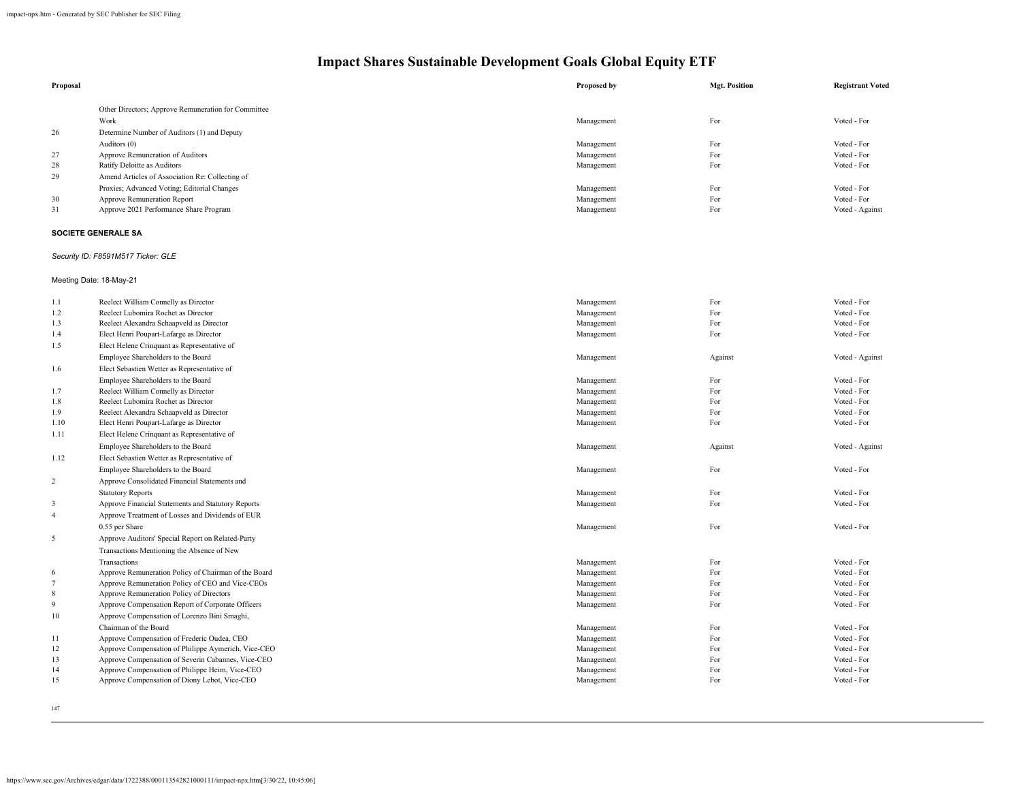| Proposal |                                                     | Proposed by | <b>Mgt. Position</b> | <b>Registrant Voted</b> |
|----------|-----------------------------------------------------|-------------|----------------------|-------------------------|
|          | Other Directors; Approve Remuneration for Committee |             |                      |                         |
| 26       | Work<br>Determine Number of Auditors (1) and Deputy | Management  | For                  | Voted - For             |
|          | Auditors (0)                                        | Management  | For                  | Voted - For             |
| 27       | Approve Remuneration of Auditors                    | Management  | For                  | Voted - For             |
| 28       | Ratify Deloitte as Auditors                         | Management  | For                  | Voted - For             |
| 29       | Amend Articles of Association Re: Collecting of     |             |                      |                         |
|          | Proxies; Advanced Voting; Editorial Changes         | Management  | For                  | Voted - For             |
| 30       | Approve Remuneration Report                         | Management  | For                  | Voted - For             |
| 31       | Approve 2021 Performance Share Program              | Management  | For                  | Voted - Against         |

### **SOCIETE GENERALE SA**

### *Security ID: F8591M517 Ticker: GLE*

### Meeting Date: 18-May-21

| 1.1            | Reelect William Connelly as Director                 | Management | For     | Voted - For     |
|----------------|------------------------------------------------------|------------|---------|-----------------|
| 1.2            | Reelect Lubomira Rochet as Director                  | Management | For     | Voted - For     |
| 1.3            | Reelect Alexandra Schaapveld as Director             | Management | For     | Voted - For     |
| 1.4            | Elect Henri Poupart-Lafarge as Director              | Management | For     | Voted - For     |
| 1.5            | Elect Helene Crinquant as Representative of          |            |         |                 |
|                | Employee Shareholders to the Board                   | Management | Against | Voted - Against |
| 1.6            | Elect Sebastien Wetter as Representative of          |            |         |                 |
|                | Employee Shareholders to the Board                   | Management | For     | Voted - For     |
| 1.7            | Reelect William Connelly as Director                 | Management | For     | Voted - For     |
| 1.8            | Reelect Lubomira Rochet as Director                  | Management | For     | Voted - For     |
| 1.9            | Reelect Alexandra Schaapveld as Director             | Management | For     | Voted - For     |
| 1.10           | Elect Henri Poupart-Lafarge as Director              | Management | For     | Voted - For     |
| 1.11           | Elect Helene Crinquant as Representative of          |            |         |                 |
|                | Employee Shareholders to the Board                   | Management | Against | Voted - Against |
| 1.12           | Elect Sebastien Wetter as Representative of          |            |         |                 |
|                | Employee Shareholders to the Board                   | Management | For     | Voted - For     |
| $\overline{c}$ | Approve Consolidated Financial Statements and        |            |         |                 |
|                | <b>Statutory Reports</b>                             | Management | For     | Voted - For     |
| 3              | Approve Financial Statements and Statutory Reports   | Management | For     | Voted - For     |
| $\overline{4}$ | Approve Treatment of Losses and Dividends of EUR     |            |         |                 |
|                | 0.55 per Share                                       | Management | For     | Voted - For     |
| 5              | Approve Auditors' Special Report on Related-Party    |            |         |                 |
|                | Transactions Mentioning the Absence of New           |            |         |                 |
|                | Transactions                                         | Management | For     | Voted - For     |
| 6              | Approve Remuneration Policy of Chairman of the Board | Management | For     | Voted - For     |
| $\overline{7}$ | Approve Remuneration Policy of CEO and Vice-CEOs     | Management | For     | Voted - For     |
| 8              | Approve Remuneration Policy of Directors             | Management | For     | Voted - For     |
| 9              | Approve Compensation Report of Corporate Officers    | Management | For     | Voted - For     |
| 10             | Approve Compensation of Lorenzo Bini Smaghi,         |            |         |                 |
|                | Chairman of the Board                                | Management | For     | Voted - For     |
| 11             | Approve Compensation of Frederic Oudea, CEO          | Management | For     | Voted - For     |
| 12             | Approve Compensation of Philippe Aymerich, Vice-CEO  | Management | For     | Voted - For     |
| 13             | Approve Compensation of Severin Cabannes, Vice-CEO   | Management | For     | Voted - For     |
| 14             | Approve Compensation of Philippe Heim, Vice-CEO      | Management | For     | Voted - For     |
| 15             | Approve Compensation of Diony Lebot, Vice-CEO        | Management | For     | Voted - For     |
|                |                                                      |            |         |                 |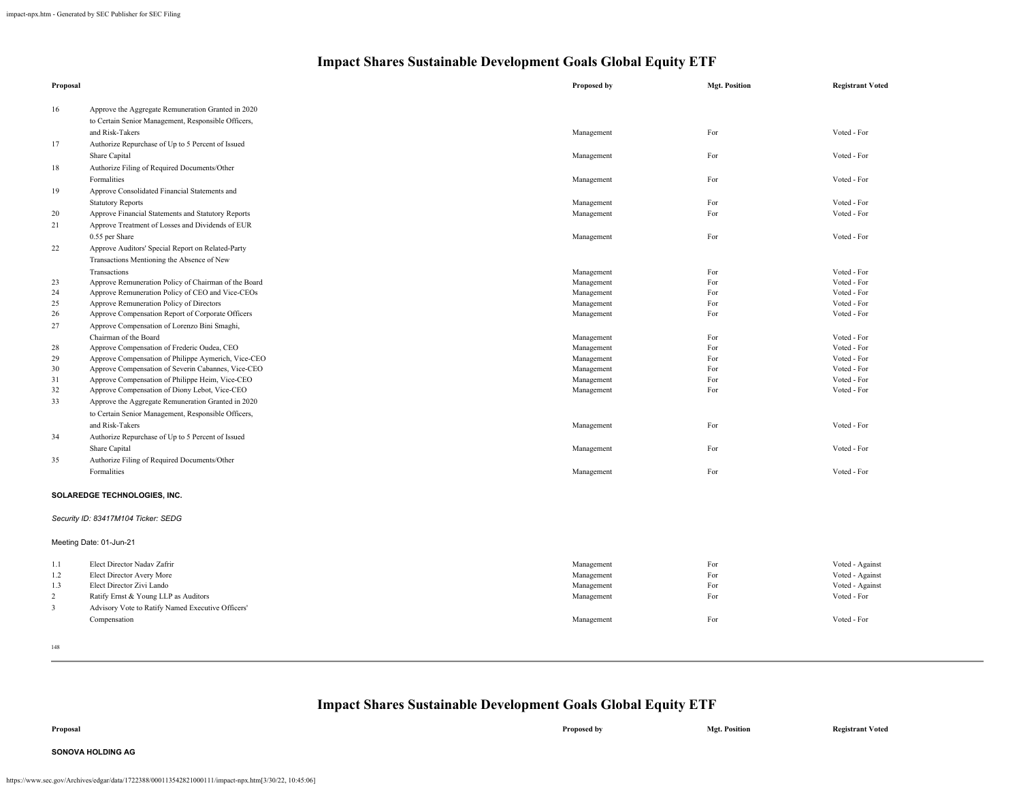| Proposal       |                                                                                                                              | Proposed by | <b>Mgt. Position</b> | <b>Registrant Voted</b> |
|----------------|------------------------------------------------------------------------------------------------------------------------------|-------------|----------------------|-------------------------|
| 16             | Approve the Aggregate Remuneration Granted in 2020<br>to Certain Senior Management, Responsible Officers,<br>and Risk-Takers | Management  | For                  | Voted - For             |
| 17             |                                                                                                                              |             |                      |                         |
|                | Authorize Repurchase of Up to 5 Percent of Issued                                                                            |             |                      | Voted - For             |
|                | Share Capital                                                                                                                | Management  | For                  |                         |
| 18             | Authorize Filing of Required Documents/Other                                                                                 |             |                      |                         |
|                | Formalities                                                                                                                  | Management  | For                  | Voted - For             |
| 19             | Approve Consolidated Financial Statements and                                                                                |             |                      |                         |
|                | <b>Statutory Reports</b>                                                                                                     | Management  | For                  | Voted - For             |
| 20             | Approve Financial Statements and Statutory Reports                                                                           | Management  | For                  | Voted - For             |
| 21             | Approve Treatment of Losses and Dividends of EUR                                                                             |             |                      |                         |
|                | 0.55 per Share                                                                                                               | Management  | For                  | Voted - For             |
| 22             | Approve Auditors' Special Report on Related-Party                                                                            |             |                      |                         |
|                | Transactions Mentioning the Absence of New                                                                                   |             |                      |                         |
|                | Transactions                                                                                                                 | Management  | For                  | Voted - For             |
| 23             | Approve Remuneration Policy of Chairman of the Board                                                                         | Management  | For                  | Voted - For             |
| 24             | Approve Remuneration Policy of CEO and Vice-CEOs                                                                             | Management  | For                  | Voted - For             |
| 25             | Approve Remuneration Policy of Directors                                                                                     | Management  | For                  | Voted - For             |
| 26             | Approve Compensation Report of Corporate Officers                                                                            | Management  | For                  | Voted - For             |
| $27\,$         | Approve Compensation of Lorenzo Bini Smaghi,                                                                                 |             |                      |                         |
|                | Chairman of the Board                                                                                                        | Management  | For                  | Voted - For             |
| 28             | Approve Compensation of Frederic Oudea, CEO                                                                                  | Management  | For                  | Voted - For             |
| 29             | Approve Compensation of Philippe Aymerich, Vice-CEO                                                                          | Management  | For                  | Voted - For             |
| 30             | Approve Compensation of Severin Cabannes, Vice-CEO                                                                           | Management  | For                  | Voted - For             |
| 31             | Approve Compensation of Philippe Heim, Vice-CEO                                                                              | Management  | For                  | Voted - For             |
| 32             | Approve Compensation of Diony Lebot, Vice-CEO                                                                                | Management  | For                  | Voted - For             |
| 33             | Approve the Aggregate Remuneration Granted in 2020                                                                           |             |                      |                         |
|                | to Certain Senior Management, Responsible Officers,                                                                          |             |                      |                         |
|                | and Risk-Takers                                                                                                              | Management  | For                  | Voted - For             |
| 34             | Authorize Repurchase of Up to 5 Percent of Issued                                                                            |             |                      |                         |
|                | Share Capital                                                                                                                | Management  | For                  | Voted - For             |
| 35             | Authorize Filing of Required Documents/Other                                                                                 |             |                      |                         |
|                | Formalities                                                                                                                  | Management  | For                  | Voted - For             |
|                | SOLAREDGE TECHNOLOGIES, INC.                                                                                                 |             |                      |                         |
|                | Security ID: 83417M104 Ticker: SEDG                                                                                          |             |                      |                         |
|                | Meeting Date: 01-Jun-21                                                                                                      |             |                      |                         |
| 1.1            | Elect Director Nadav Zafrir                                                                                                  | Management  | For                  | Voted - Against         |
| 1.2            | Elect Director Avery More                                                                                                    | Management  | For                  | Voted - Against         |
| 1.3            | Elect Director Zivi Lando                                                                                                    | Management  | For                  | Voted - Against         |
| $\overline{c}$ | Ratify Ernst & Young LLP as Auditors                                                                                         | Management  | For                  | Voted - For             |
| $\mathbf{3}$   | Advisory Vote to Ratify Named Executive Officers'                                                                            |             |                      |                         |
|                | Compensation                                                                                                                 | Management  | For                  | Voted - For             |
|                |                                                                                                                              |             |                      |                         |

148

**Impact Shares Sustainable Development Goals Global Equity ETF**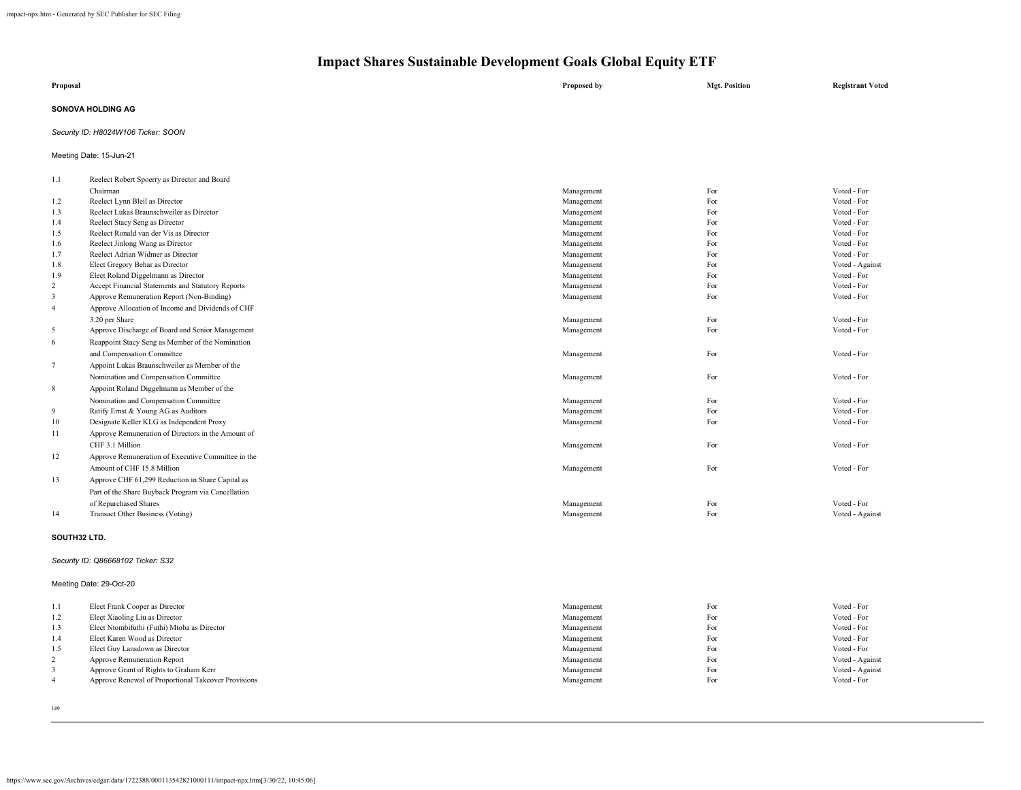| Proposal |                                              | Proposed by | <b>Mgt. Position</b> | <b>Registrant Voted</b> |  |
|----------|----------------------------------------------|-------------|----------------------|-------------------------|--|
|          | <b>SONOVA HOLDING AG</b>                     |             |                      |                         |  |
|          | Security ID: H8024W106 Ticker: SOON          |             |                      |                         |  |
|          | Meeting Date: 15-Jun-21                      |             |                      |                         |  |
| 1.1      | Reelect Robert Spoerry as Director and Board |             |                      |                         |  |
|          | Chairman                                     | Management  | For                  | Voted - For             |  |
| 1.2      | Reelect Lynn Bleil as Director               | Management  | For                  | Voted - For             |  |
| 1.3      | Reelect Lukas Braunschweiler as Director     | Management  | For                  | Voted - For             |  |
| 1.4      | Reelect Stacy Seng as Director               | Management  | For                  | Voted - For             |  |
| 1.5      | Reelect Ronald van der Vis as Director       | Management  | For                  | Voted - For             |  |

| 1.6            | Reelect Jinlong Wang as Director                   | Management | For | Voted - For     |
|----------------|----------------------------------------------------|------------|-----|-----------------|
| 1.7            | Reelect Adrian Widmer as Director                  | Management | For | Voted - For     |
| 1.8            | Elect Gregory Behar as Director                    | Management | For | Voted - Against |
| 1.9            | Elect Roland Diggelmann as Director                | Management | For | Voted - For     |
| 2              | Accept Financial Statements and Statutory Reports  | Management | For | Voted - For     |
| 3              | Approve Remuneration Report (Non-Binding)          | Management | For | Voted - For     |
| $\overline{4}$ | Approve Allocation of Income and Dividends of CHF  |            |     |                 |
|                | 3.20 per Share                                     | Management | For | Voted - For     |
| 5              | Approve Discharge of Board and Senior Management   | Management | For | Voted - For     |
| 6              | Reappoint Stacy Seng as Member of the Nomination   |            |     |                 |
|                | and Compensation Committee                         | Management | For | Voted - For     |
| $\overline{7}$ | Appoint Lukas Braunschweiler as Member of the      |            |     |                 |
|                | Nomination and Compensation Committee              | Management | For | Voted - For     |
| 8              | Appoint Roland Diggelmann as Member of the         |            |     |                 |
|                | Nomination and Compensation Committee              | Management | For | Voted - For     |
| 9              | Ratify Ernst & Young AG as Auditors                | Management | For | Voted - For     |
| 10             | Designate Keller KLG as Independent Proxy          | Management | For | Voted - For     |
| 11             | Approve Remuneration of Directors in the Amount of |            |     |                 |
|                | CHF 3.1 Million                                    | Management | For | Voted - For     |
| 12             | Approve Remuneration of Executive Committee in the |            |     |                 |
|                | Amount of CHF 15.8 Million                         | Management | For | Voted - For     |
| 13             | Approve CHF 61,299 Reduction in Share Capital as   |            |     |                 |
|                | Part of the Share Buyback Program via Cancellation |            |     |                 |
|                | of Repurchased Shares                              | Management | For | Voted - For     |
| 14             | Transact Other Business (Voting)                   | Management | For | Voted - Against |

#### **SOUTH32 LTD.**

### *Security ID: Q86668102 Ticker: S32*

#### Meeting Date: 29-Oct-20

| 1.1    | Elect Frank Cooper as Director                      | Management | For | Voted - For     |
|--------|-----------------------------------------------------|------------|-----|-----------------|
| 1.2    | Elect Xiaoling Liu as Director                      | Management | For | Voted - For     |
| 1.3    | Elect Ntombifuthi (Futhi) Mtoba as Director         | Management | For | Voted - For     |
| 1.4    | Elect Karen Wood as Director                        | Management | For | Voted - For     |
| 1.5    | Elect Guy Lansdown as Director                      | Management | For | Voted - For     |
| $\sim$ | Approve Remuneration Report                         | Management | For | Voted - Against |
|        | Approve Grant of Rights to Graham Kerr              | Management | For | Voted - Against |
|        | Approve Renewal of Proportional Takeover Provisions | Management | For | Voted - For     |
|        |                                                     |            |     |                 |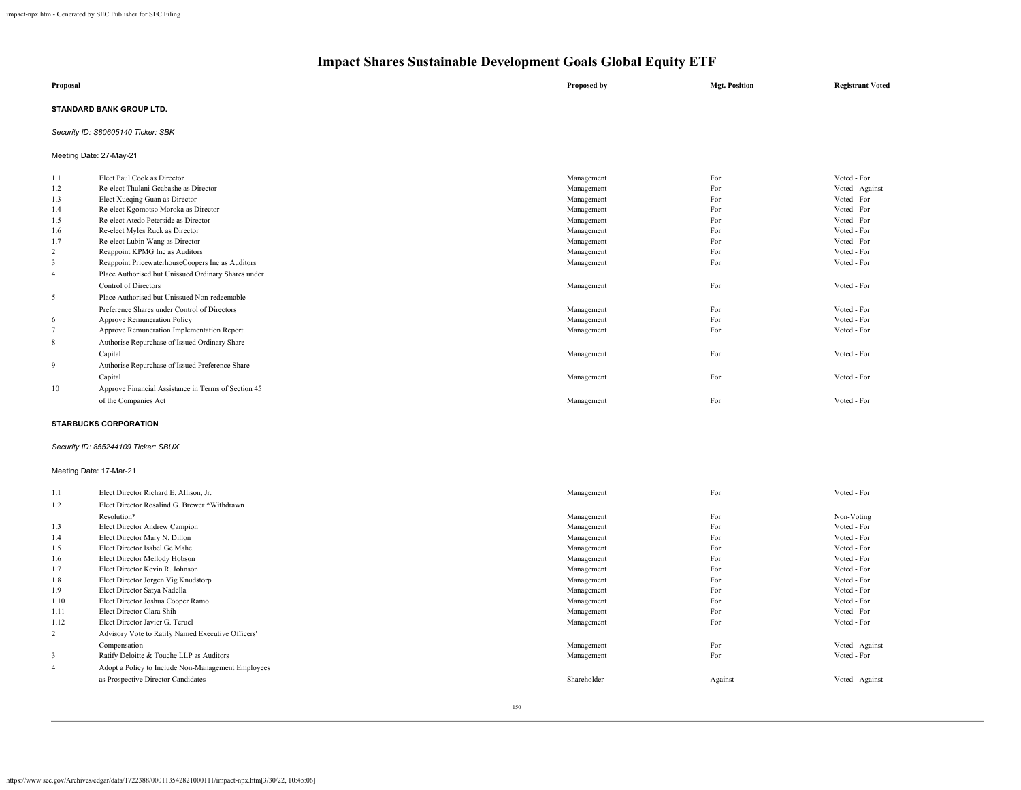| Proposal                 | Proposed by | <b>Mgt. Position</b> | <b>Registrant Voted</b> |
|--------------------------|-------------|----------------------|-------------------------|
| STANDARD BANK GROUP LTD. |             |                      |                         |

### *Security ID: S80605140 Ticker: SBK*

Meeting Date: 27-May-21

| 1.1            | Elect Paul Cook as Director                         | Management | For | Voted - For     |
|----------------|-----------------------------------------------------|------------|-----|-----------------|
| 1.2            | Re-elect Thulani Gcabashe as Director               | Management | For | Voted - Against |
| 1.3            | Elect Xueqing Guan as Director                      | Management | For | Voted - For     |
| 1.4            | Re-elect Kgomotso Moroka as Director                | Management | For | Voted - For     |
| 1.5            | Re-elect Atedo Peterside as Director                | Management | For | Voted - For     |
| 1.6            | Re-elect Myles Ruck as Director                     | Management | For | Voted - For     |
| 1.7            | Re-elect Lubin Wang as Director                     | Management | For | Voted - For     |
| 2              | Reappoint KPMG Inc as Auditors                      | Management | For | Voted - For     |
| 3              | Reappoint PricewaterhouseCoopers Inc as Auditors    | Management | For | Voted - For     |
| $\overline{4}$ | Place Authorised but Unissued Ordinary Shares under |            |     |                 |
|                | Control of Directors                                | Management | For | Voted - For     |
| 5              | Place Authorised but Unissued Non-redeemable        |            |     |                 |
|                | Preference Shares under Control of Directors        | Management | For | Voted - For     |
| -6             | Approve Remuneration Policy                         | Management | For | Voted - For     |
|                | Approve Remuneration Implementation Report          | Management | For | Voted - For     |
| 8              | Authorise Repurchase of Issued Ordinary Share       |            |     |                 |
|                | Capital                                             | Management | For | Voted - For     |
| 9              | Authorise Repurchase of Issued Preference Share     |            |     |                 |
|                | Capital                                             | Management | For | Voted - For     |
| 10             | Approve Financial Assistance in Terms of Section 45 |            |     |                 |
|                | of the Companies Act                                | Management | For | Voted - For     |
|                |                                                     |            |     |                 |

#### **STARBUCKS CORPORATION**

### *Security ID: 855244109 Ticker: SBUX*

### Meeting Date: 17-Mar-21

| 1.1            | Elect Director Richard E. Allison, Jr.             | Management  | For     | Voted - For     |
|----------------|----------------------------------------------------|-------------|---------|-----------------|
| 1.2            | Elect Director Rosalind G. Brewer *Withdrawn       |             |         |                 |
|                | Resolution*                                        | Management  | For     | Non-Voting      |
| 1.3            | Elect Director Andrew Campion                      | Management  | For     | Voted - For     |
| 1.4            | Elect Director Mary N. Dillon                      | Management  | For     | Voted - For     |
| 1.5            | Elect Director Isabel Ge Mahe                      | Management  | For     | Voted - For     |
| 1.6            | Elect Director Mellody Hobson                      | Management  | For     | Voted - For     |
| 1.7            | Elect Director Kevin R. Johnson                    | Management  | For     | Voted - For     |
| 1.8            | Elect Director Jorgen Vig Knudstorp                | Management  | For     | Voted - For     |
| 1.9            | Elect Director Satya Nadella                       | Management  | For     | Voted - For     |
| 1.10           | Elect Director Joshua Cooper Ramo                  | Management  | For     | Voted - For     |
| 1.11           | Elect Director Clara Shih                          | Management  | For     | Voted - For     |
| 1.12           | Elect Director Javier G. Teruel                    | Management  | For     | Voted - For     |
| 2              | Advisory Vote to Ratify Named Executive Officers'  |             |         |                 |
|                | Compensation                                       | Management  | For     | Voted - Against |
| 3              | Ratify Deloitte & Touche LLP as Auditors           | Management  | For     | Voted - For     |
| $\overline{4}$ | Adopt a Policy to Include Non-Management Employees |             |         |                 |
|                | as Prospective Director Candidates                 | Shareholder | Against | Voted - Against |
|                |                                                    |             |         |                 |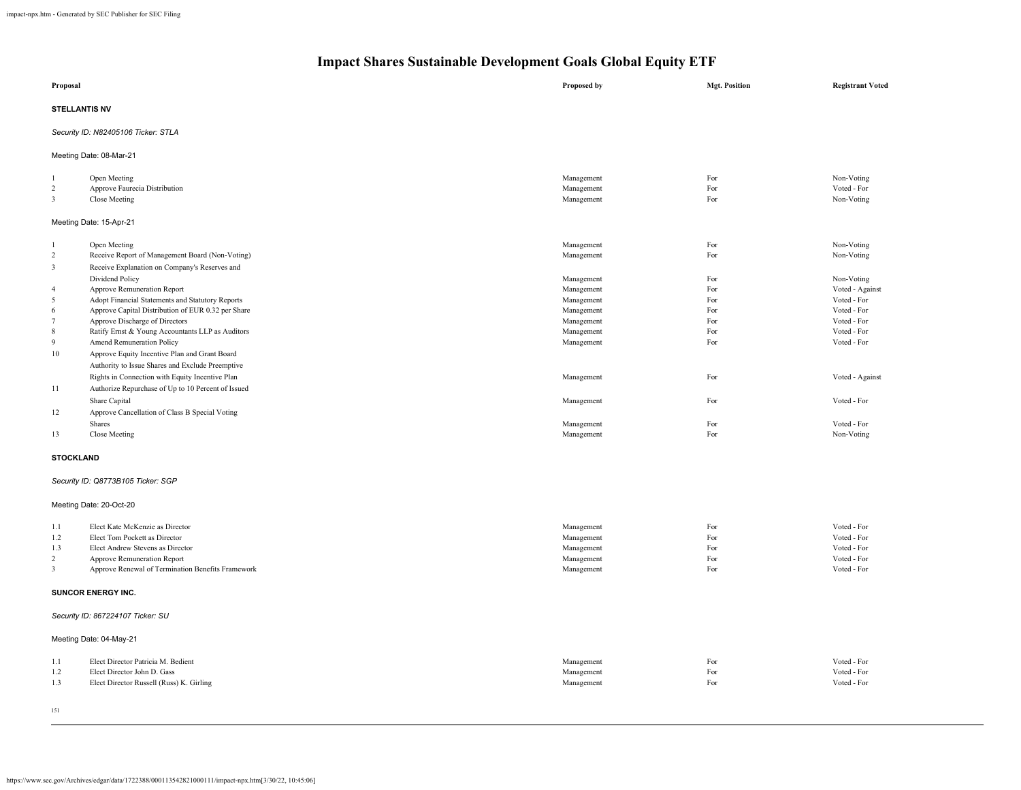| Proposal                       |                                                    | Proposed by              | <b>Mgt. Position</b> | <b>Registrant Voted</b>   |  |  |
|--------------------------------|----------------------------------------------------|--------------------------|----------------------|---------------------------|--|--|
| <b>STELLANTIS NV</b>           |                                                    |                          |                      |                           |  |  |
|                                | Security ID: N82405106 Ticker: STLA                |                          |                      |                           |  |  |
|                                | Meeting Date: 08-Mar-21                            |                          |                      |                           |  |  |
| $\mathbf{1}$                   | Open Meeting                                       | Management               | For                  | Non-Voting                |  |  |
| $\overline{2}$<br>$\mathbf{3}$ | Approve Faurecia Distribution<br>Close Meeting     | Management<br>Management | For<br>For           | Voted - For<br>Non-Voting |  |  |
|                                | Meeting Date: 15-Apr-21                            |                          |                      |                           |  |  |
| $\mathbf{1}$                   | Open Meeting                                       | Management               | For                  | Non-Voting                |  |  |
| $\overline{2}$                 | Receive Report of Management Board (Non-Voting)    | Management               | For                  | Non-Voting                |  |  |
| $\mathbf{3}$                   | Receive Explanation on Company's Reserves and      |                          |                      |                           |  |  |
|                                | Dividend Policy                                    | Management               | For                  | Non-Voting                |  |  |
| $\overline{4}$                 | Approve Remuneration Report                        | Management               | For                  | Voted - Against           |  |  |
| 5                              | Adopt Financial Statements and Statutory Reports   | Management               | For                  | Voted - For               |  |  |
| 6                              | Approve Capital Distribution of EUR 0.32 per Share | Management               | For                  | Voted - For               |  |  |
| $7\phantom{.0}$                | Approve Discharge of Directors                     | Management               | For                  | Voted - For               |  |  |
| $\,$ 8 $\,$                    | Ratify Ernst & Young Accountants LLP as Auditors   | Management               | For                  | Voted - For               |  |  |
| 9                              | Amend Remuneration Policy                          | Management               | For                  | Voted - For               |  |  |
| 10                             | Approve Equity Incentive Plan and Grant Board      |                          |                      |                           |  |  |
|                                | Authority to Issue Shares and Exclude Preemptive   |                          |                      |                           |  |  |
|                                | Rights in Connection with Equity Incentive Plan    | Management               | For                  | Voted - Against           |  |  |
| 11                             | Authorize Repurchase of Up to 10 Percent of Issued |                          |                      |                           |  |  |
|                                | Share Capital                                      | Management               | For                  | Voted - For               |  |  |
| 12                             | Approve Cancellation of Class B Special Voting     |                          |                      |                           |  |  |
|                                | Shares                                             | Management               | For                  | Voted - For               |  |  |
| 13                             | Close Meeting                                      | Management               | For                  | Non-Voting                |  |  |
| <b>STOCKLAND</b>               |                                                    |                          |                      |                           |  |  |
|                                | Security ID: Q8773B105 Ticker: SGP                 |                          |                      |                           |  |  |
|                                | Meeting Date: 20-Oct-20                            |                          |                      |                           |  |  |
| 1.1                            | Elect Kate McKenzie as Director                    | Management               | For                  | Voted - For               |  |  |
| 1.2                            | Elect Tom Pockett as Director                      | Management               | For                  | Voted - For               |  |  |
| 1.3                            | Elect Andrew Stevens as Director                   | Management               | For                  | Voted - For               |  |  |
| $\overline{2}$                 | Approve Remuneration Report                        | Management               | For                  | Voted - For               |  |  |
| $\mathbf{3}$                   | Approve Renewal of Termination Benefits Framework  | Management               | For                  | Voted - For               |  |  |
|                                | SUNCOR ENERGY INC.                                 |                          |                      |                           |  |  |
|                                | Security ID: 867224107 Ticker: SU                  |                          |                      |                           |  |  |
|                                | Meeting Date: 04-May-21                            |                          |                      |                           |  |  |
| 1.1                            | Elect Director Patricia M. Bedient                 | Management               | For                  | Voted - For               |  |  |
| 1.2                            | Elect Director John D. Gass                        | Management               | For                  | Voted - For               |  |  |
| 1.3                            | Elect Director Russell (Russ) K. Girling           | Management               | For                  | Voted - For               |  |  |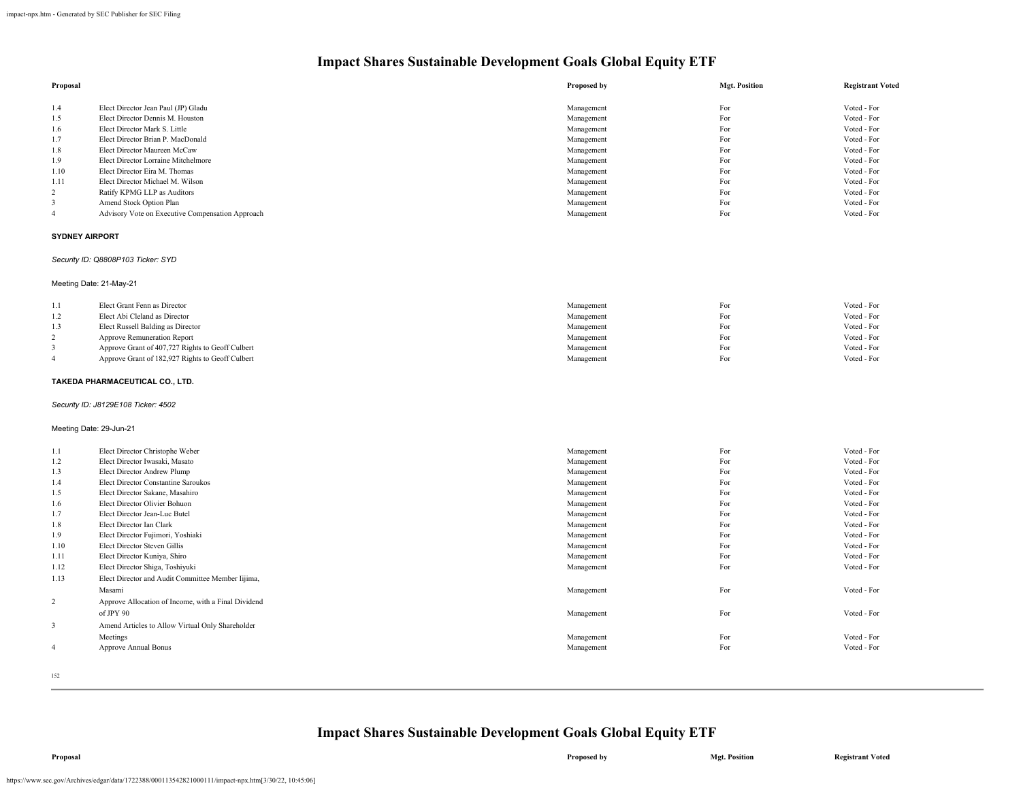| Proposal |                                                  | Proposed by | <b>Mgt. Position</b> | <b>Registrant Voted</b> |
|----------|--------------------------------------------------|-------------|----------------------|-------------------------|
|          |                                                  |             |                      |                         |
| 1.4      | Elect Director Jean Paul (JP) Gladu              | Management  | For                  | Voted - For             |
| 1.5      | Elect Director Dennis M. Houston                 | Management  | For                  | Voted - For             |
| 1.6      | Elect Director Mark S. Little                    | Management  | For                  | Voted - For             |
| 1.7      | Elect Director Brian P. MacDonald                | Management  | For                  | Voted - For             |
| 1.8      | Elect Director Maureen McCaw                     | Management  | For                  | Voted - For             |
| 1.9      | Elect Director Lorraine Mitchelmore              | Management  | For                  | Voted - For             |
| 1.10     | Elect Director Eira M. Thomas                    | Management  | For                  | Voted - For             |
| 1.11     | Elect Director Michael M. Wilson                 | Management  | For                  | Voted - For             |
|          | Ratify KPMG LLP as Auditors                      | Management  | For                  | Voted - For             |
|          | Amend Stock Option Plan                          | Management  | For                  | Voted - For             |
|          | Advisory Vote on Executive Compensation Approach | Management  | For                  | Voted - For             |

#### **SYDNEY AIRPORT**

#### *Security ID: Q8808P103 Ticker: SYD*

#### Meeting Date: 21-May-21

| 1.1 | Elect Grant Fenn as Director                     | Management | Fоı | Voted - For |
|-----|--------------------------------------------------|------------|-----|-------------|
| 1.2 | Elect Abi Cleland as Director                    | Management | For | Voted - For |
| 1.3 | Elect Russell Balding as Director                | Management | For | Voted - For |
|     | <b>Approve Remuneration Report</b>               | Management | For | Voted - For |
|     | Approve Grant of 407,727 Rights to Geoff Culbert | Management | For | Voted - For |
|     | Approve Grant of 182,927 Rights to Geoff Culbert | Management | For | Voted - For |

### **TAKEDA PHARMACEUTICAL CO., LTD.**

#### *Security ID: J8129E108 Ticker: 4502*

#### Meeting Date: 29-Jun-21

| 1.1            | Elect Director Christophe Weber                     | Management | For | Voted - For |
|----------------|-----------------------------------------------------|------------|-----|-------------|
| 1.2            | Elect Director Iwasaki, Masato                      | Management | For | Voted - For |
| 1.3            | Elect Director Andrew Plump                         | Management | For | Voted - For |
| 1.4            | Elect Director Constantine Saroukos                 | Management | For | Voted - For |
| 1.5            | Elect Director Sakane, Masahiro                     | Management | For | Voted - For |
| 1.6            | Elect Director Olivier Bohuon                       | Management | For | Voted - For |
| 1.7            | Elect Director Jean-Luc Butel                       | Management | For | Voted - For |
| 1.8            | Elect Director Ian Clark                            | Management | For | Voted - For |
| 1.9            | Elect Director Fujimori, Yoshiaki                   | Management | For | Voted - For |
| 1.10           | Elect Director Steven Gillis                        | Management | For | Voted - For |
| 1.11           | Elect Director Kuniya, Shiro                        | Management | For | Voted - For |
| 1.12           | Elect Director Shiga, Toshiyuki                     | Management | For | Voted - For |
| 1.13           | Elect Director and Audit Committee Member Iijima,   |            |     |             |
|                | Masami                                              | Management | For | Voted - For |
| 2              | Approve Allocation of Income, with a Final Dividend |            |     |             |
|                | of JPY 90                                           | Management | For | Voted - For |
| 3              | Amend Articles to Allow Virtual Only Shareholder    |            |     |             |
|                | Meetings                                            | Management | For | Voted - For |
| $\overline{4}$ | Approve Annual Bonus                                | Management | For | Voted - For |
|                |                                                     |            |     |             |
|                |                                                     |            |     |             |

### **Impact Shares Sustainable Development Goals Global Equity ETF**

https://www.sec.gov/Archives/edgar/data/1722388/000113542821000111/impact-npx.htm[3/30/22, 10:45:06]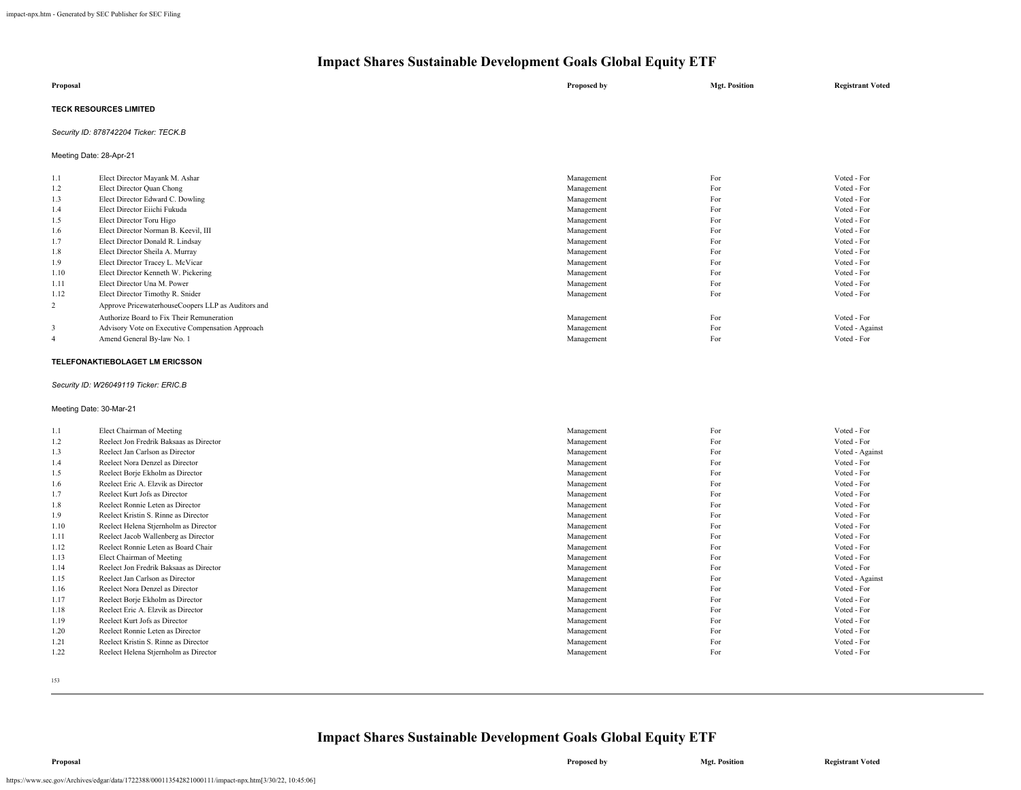| Proposal                      | Proposed by | <b>Mgt. Position</b> | <b>Registrant Voted</b> |
|-------------------------------|-------------|----------------------|-------------------------|
| <b>TECK RESOURCES LIMITED</b> |             |                      |                         |

### *Security ID: 878742204 Ticker: TECK.B*

Meeting Date: 28-Apr-21

| 1.1            | Elect Director Mayank M. Ashar                     | Management | For | Voted - For     |
|----------------|----------------------------------------------------|------------|-----|-----------------|
| 1.2            | Elect Director Quan Chong                          | Management | For | Voted - For     |
| 1.3            | Elect Director Edward C. Dowling                   | Management | For | Voted - For     |
| 1.4            | Elect Director Eiichi Fukuda                       | Management | For | Voted - For     |
| 1.5            | Elect Director Toru Higo                           | Management | For | Voted - For     |
| 1.6            | Elect Director Norman B. Keevil, III               | Management | For | Voted - For     |
| 1.7            | Elect Director Donald R. Lindsay                   | Management | For | Voted - For     |
| 1.8            | Elect Director Sheila A. Murray                    | Management | For | Voted - For     |
| 1.9            | Elect Director Tracey L. McVicar                   | Management | For | Voted - For     |
| 1.10           | Elect Director Kenneth W. Pickering                | Management | For | Voted - For     |
| 1.11           | Elect Director Una M. Power                        | Management | For | Voted - For     |
| 1.12           | Elect Director Timothy R. Snider                   | Management | For | Voted - For     |
| 2              | Approve PricewaterhouseCoopers LLP as Auditors and |            |     |                 |
|                | Authorize Board to Fix Their Remuneration          | Management | For | Voted - For     |
| 3              | Advisory Vote on Executive Compensation Approach   | Management | For | Voted - Against |
| $\overline{4}$ | Amend General By-law No. 1                         | Management | For | Voted - For     |
|                |                                                    |            |     |                 |

### **TELEFONAKTIEBOLAGET LM ERICSSON**

#### *Security ID: W26049119 Ticker: ERIC.B*

#### Meeting Date: 30-Mar-21

| 1.1  | Elect Chairman of Meeting               | Management | For | Voted - For     |
|------|-----------------------------------------|------------|-----|-----------------|
| 1.2  | Reelect Jon Fredrik Baksaas as Director | Management | For | Voted - For     |
| 1.3  | Reelect Jan Carlson as Director         | Management | For | Voted - Against |
| 1.4  | Reelect Nora Denzel as Director         | Management | For | Voted - For     |
| 1.5  | Reelect Borje Ekholm as Director        | Management | For | Voted - For     |
| 1.6  | Reelect Eric A. Elzvik as Director      | Management | For | Voted - For     |
| 1.7  | Reelect Kurt Jofs as Director           | Management | For | Voted - For     |
| 1.8  | Reelect Ronnie Leten as Director        | Management | For | Voted - For     |
| 1.9  | Reelect Kristin S. Rinne as Director    | Management | For | Voted - For     |
| 1.10 | Reelect Helena Stjernholm as Director   | Management | For | Voted - For     |
| 1.11 | Reelect Jacob Wallenberg as Director    | Management | For | Voted - For     |
| 1.12 | Reelect Ronnie Leten as Board Chair     | Management | For | Voted - For     |
| 1.13 | Elect Chairman of Meeting               | Management | For | Voted - For     |
| 1.14 | Reelect Jon Fredrik Baksaas as Director | Management | For | Voted - For     |
| 1.15 | Reelect Jan Carlson as Director         | Management | For | Voted - Against |
| 1.16 | Reelect Nora Denzel as Director         | Management | For | Voted - For     |
| 1.17 | Reelect Borje Ekholm as Director        | Management | For | Voted - For     |
| 1.18 | Reelect Eric A. Elzvik as Director      | Management | For | Voted - For     |
| 1.19 | Reelect Kurt Jofs as Director           | Management | For | Voted - For     |
| 1.20 | Reelect Ronnie Leten as Director        | Management | For | Voted - For     |
| 1.21 | Reelect Kristin S. Rinne as Director    | Management | For | Voted - For     |
| 1.22 | Reelect Helena Stjernholm as Director   | Management | For | Voted - For     |
|      |                                         |            |     |                 |

153

## **Impact Shares Sustainable Development Goals Global Equity ETF**

**Proposal Proposed by Mgt. Position Registrant Voted**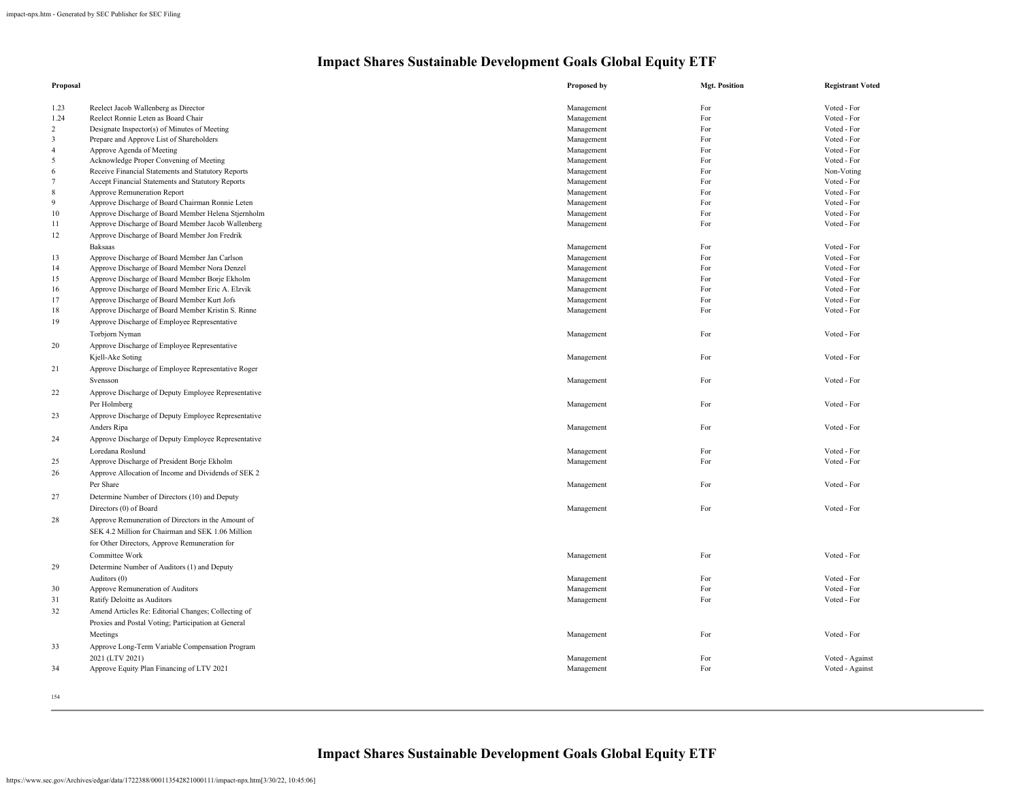| Proposal       |                                                     | <b>Proposed by</b> | <b>Mgt. Position</b> | <b>Registrant Voted</b> |
|----------------|-----------------------------------------------------|--------------------|----------------------|-------------------------|
| 1.23           | Reelect Jacob Wallenberg as Director                | Management         | For                  | Voted - For             |
| 1.24           | Reelect Ronnie Leten as Board Chair                 | Management         | For                  | Voted - For             |
| 2              | Designate Inspector(s) of Minutes of Meeting        | Management         | For                  | Voted - For             |
| 3              | Prepare and Approve List of Shareholders            | Management         | For                  | Voted - For             |
| $\overline{4}$ | Approve Agenda of Meeting                           | Management         | For                  | Voted - For             |
| 5              | Acknowledge Proper Convening of Meeting             | Management         | For                  | Voted - For             |
| 6              | Receive Financial Statements and Statutory Reports  | Management         | For                  | Non-Voting              |
| $\tau$         | Accept Financial Statements and Statutory Reports   | Management         | For                  | Voted - For             |
| 8              | Approve Remuneration Report                         | Management         | For                  | Voted - For             |
| 9              | Approve Discharge of Board Chairman Ronnie Leten    | Management         | For                  | Voted - For             |
| 10             | Approve Discharge of Board Member Helena Stjernholm | Management         | For                  | Voted - For             |
| 11             | Approve Discharge of Board Member Jacob Wallenberg  | Management         | For                  | Voted - For             |
| 12             | Approve Discharge of Board Member Jon Fredrik       |                    |                      |                         |
|                | <b>Baksaas</b>                                      | Management         | For                  | Voted - For             |
| 13             | Approve Discharge of Board Member Jan Carlson       | Management         | For                  | Voted - For             |
| 14             | Approve Discharge of Board Member Nora Denzel       | Management         | For                  | Voted - For             |
| 15             | Approve Discharge of Board Member Borje Ekholm      | Management         | For                  | Voted - For             |
| 16             | Approve Discharge of Board Member Eric A. Elzvik    | Management         | For                  | Voted - For             |
| 17             | Approve Discharge of Board Member Kurt Jofs         | Management         | For                  | Voted - For             |
| 18             | Approve Discharge of Board Member Kristin S. Rinne  | Management         | For                  | Voted - For             |
| 19             | Approve Discharge of Employee Representative        |                    |                      |                         |
|                | Torbjorn Nyman                                      | Management         | For                  | Voted - For             |
| 20             | Approve Discharge of Employee Representative        |                    |                      |                         |
|                | Kjell-Ake Soting                                    | Management         | For                  | Voted - For             |
|                |                                                     |                    |                      |                         |
| 21             | Approve Discharge of Employee Representative Roger  |                    |                      |                         |
|                | Svensson                                            | Management         | For                  | Voted - For             |
| 22             | Approve Discharge of Deputy Employee Representative |                    |                      |                         |
|                | Per Holmberg                                        | Management         | For                  | Voted - For             |
| 23             | Approve Discharge of Deputy Employee Representative |                    |                      |                         |
|                | Anders Ripa                                         | Management         | For                  | Voted - For             |
| 24             | Approve Discharge of Deputy Employee Representative |                    |                      |                         |
|                | Loredana Roslund                                    | Management         | For                  | Voted - For             |
| 25             | Approve Discharge of President Borje Ekholm         | Management         | For                  | Voted - For             |
| 26             | Approve Allocation of Income and Dividends of SEK 2 |                    |                      |                         |
|                | Per Share                                           | Management         | For                  | Voted - For             |
| 27             | Determine Number of Directors (10) and Deputy       |                    |                      |                         |
|                | Directors (0) of Board                              | Management         | For                  | Voted - For             |
| 28             |                                                     |                    |                      |                         |
|                | Approve Remuneration of Directors in the Amount of  |                    |                      |                         |
|                | SEK 4.2 Million for Chairman and SEK 1.06 Million   |                    |                      |                         |
|                | for Other Directors, Approve Remuneration for       |                    |                      |                         |
|                | Committee Work                                      | Management         | For                  | Voted - For             |
| 29             | Determine Number of Auditors (1) and Deputy         |                    |                      |                         |
|                | Auditors (0)                                        | Management         | For                  | Voted - For             |
| 30             | Approve Remuneration of Auditors                    | Management         | For                  | Voted - For             |
| 31             | Ratify Deloitte as Auditors                         | Management         | For                  | Voted - For             |
| 32             | Amend Articles Re: Editorial Changes; Collecting of |                    |                      |                         |
|                | Proxies and Postal Voting; Participation at General |                    |                      |                         |
|                | Meetings                                            | Management         | For                  | Voted - For             |
| 33             | Approve Long-Term Variable Compensation Program     |                    |                      |                         |
|                | 2021 (LTV 2021)                                     | Management         | For                  | Voted - Against         |
| 34             | Approve Equity Plan Financing of LTV 2021           | Management         | For                  | Voted - Against         |
|                |                                                     |                    |                      |                         |
|                |                                                     |                    |                      |                         |

154

**Impact Shares Sustainable Development Goals Global Equity ETF**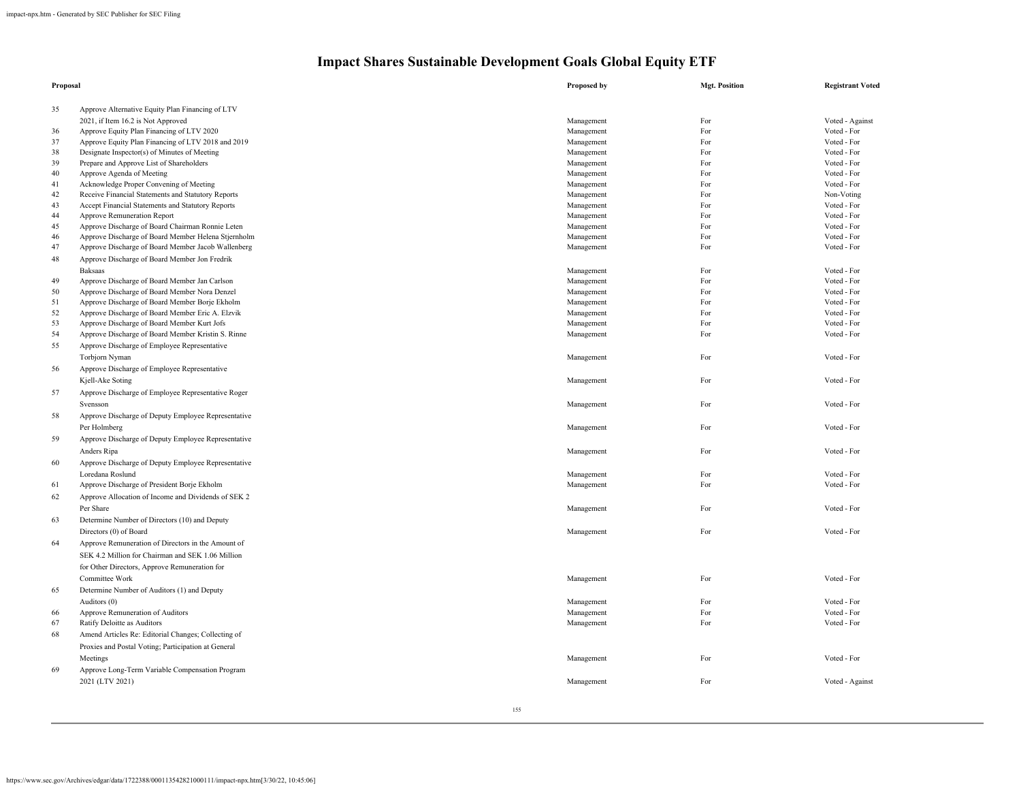| Proposal |                                                     | Proposed by | <b>Mgt. Position</b> | <b>Registrant Voted</b> |
|----------|-----------------------------------------------------|-------------|----------------------|-------------------------|
| 35       | Approve Alternative Equity Plan Financing of LTV    |             |                      |                         |
|          | 2021, if Item 16.2 is Not Approved                  | Management  | For                  | Voted - Against         |
| 36       | Approve Equity Plan Financing of LTV 2020           | Management  | For                  | Voted - For             |
| 37       | Approve Equity Plan Financing of LTV 2018 and 2019  | Management  | For                  | Voted - For             |
| 38       | Designate Inspector(s) of Minutes of Meeting        | Management  | For                  | Voted - For             |
| 39       | Prepare and Approve List of Shareholders            | Management  | For                  | Voted - For             |
| 40       | Approve Agenda of Meeting                           | Management  | For                  | Voted - For             |
| 41       | Acknowledge Proper Convening of Meeting             | Management  | For                  | Voted - For             |
| 42       | Receive Financial Statements and Statutory Reports  | Management  | For                  | Non-Voting              |
| 43       | Accept Financial Statements and Statutory Reports   | Management  | For                  | Voted - For             |
| 44       | Approve Remuneration Report                         | Management  | For                  | Voted - For             |
| 45       | Approve Discharge of Board Chairman Ronnie Leten    | Management  | For                  | Voted - For             |
| 46       | Approve Discharge of Board Member Helena Stjernholm | Management  | For                  | Voted - For             |
| 47       | Approve Discharge of Board Member Jacob Wallenberg  | Management  | For                  | Voted - For             |
| 48       | Approve Discharge of Board Member Jon Fredrik       |             |                      |                         |
|          | <b>Baksaas</b>                                      | Management  | For                  | Voted - For             |
| 49       | Approve Discharge of Board Member Jan Carlson       | Management  | For                  | Voted - For             |
| 50       | Approve Discharge of Board Member Nora Denzel       | Management  | For                  | Voted - For             |
| 51       | Approve Discharge of Board Member Borje Ekholm      | Management  | For                  | Voted - For             |
| 52       | Approve Discharge of Board Member Eric A. Elzvik    | Management  | For                  | Voted - For             |
| 53       | Approve Discharge of Board Member Kurt Jofs         | Management  | For                  | Voted - For             |
| 54       | Approve Discharge of Board Member Kristin S. Rinne  | Management  | For                  | Voted - For             |
| 55       | Approve Discharge of Employee Representative        |             |                      |                         |
|          | Torbjorn Nyman                                      | Management  | For                  | Voted - For             |
| 56       | Approve Discharge of Employee Representative        |             |                      |                         |
|          | Kjell-Ake Soting                                    | Management  | For                  | Voted - For             |
| 57       | Approve Discharge of Employee Representative Roger  |             |                      |                         |
|          | Svensson                                            | Management  | For                  | Voted - For             |
| 58       | Approve Discharge of Deputy Employee Representative |             |                      |                         |
|          | Per Holmberg                                        |             | For                  | Voted - For             |
|          |                                                     | Management  |                      |                         |
| 59       | Approve Discharge of Deputy Employee Representative |             |                      |                         |
|          | Anders Ripa                                         | Management  | For                  | Voted - For             |
| 60       | Approve Discharge of Deputy Employee Representative |             |                      |                         |
|          | Loredana Roslund                                    | Management  | For                  | Voted - For             |
| 61       | Approve Discharge of President Borje Ekholm         | Management  | For                  | Voted - For             |
| 62       | Approve Allocation of Income and Dividends of SEK 2 |             |                      |                         |
|          | Per Share                                           | Management  | For                  | Voted - For             |
| 63       | Determine Number of Directors (10) and Deputy       |             |                      |                         |
|          | Directors (0) of Board                              | Management  | For                  | Voted - For             |
| 64       | Approve Remuneration of Directors in the Amount of  |             |                      |                         |
|          | SEK 4.2 Million for Chairman and SEK 1.06 Million   |             |                      |                         |
|          | for Other Directors, Approve Remuneration for       |             |                      |                         |
|          | Committee Work                                      | Management  | For                  | Voted - For             |
| 65       | Determine Number of Auditors (1) and Deputy         |             |                      |                         |
|          |                                                     |             | For                  | Voted - For             |
|          | Auditors (0)                                        | Management  | For                  | Voted - For             |
| 66       | Approve Remuneration of Auditors                    | Management  |                      | Voted - For             |
| 67       | Ratify Deloitte as Auditors                         | Management  | For                  |                         |
| 68       | Amend Articles Re: Editorial Changes; Collecting of |             |                      |                         |
|          | Proxies and Postal Voting; Participation at General |             |                      |                         |
|          | Meetings                                            | Management  | For                  | Voted - For             |
| 69       | Approve Long-Term Variable Compensation Program     |             |                      |                         |
|          | 2021 (LTV 2021)                                     | Management  | For                  | Voted - Against         |
|          |                                                     |             |                      |                         |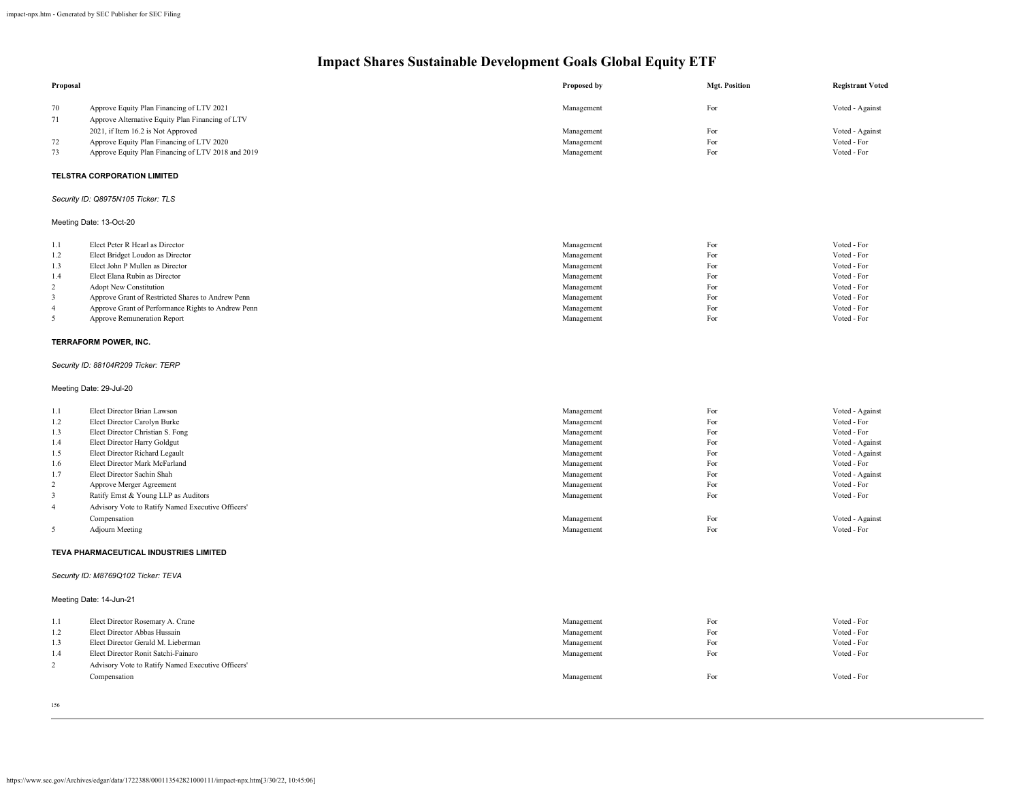| Proposal                |                                                                                                                                     | Proposed by | <b>Mgt. Position</b> | <b>Registrant Voted</b>            |
|-------------------------|-------------------------------------------------------------------------------------------------------------------------------------|-------------|----------------------|------------------------------------|
| 70<br>71                | Approve Equity Plan Financing of LTV 2021<br>Approve Alternative Equity Plan Financing of LTV<br>2021, if Item 16.2 is Not Approved | Management  | For<br>For           | Voted - Against<br>Voted - Against |
| 72                      |                                                                                                                                     | Management  |                      | Voted - For                        |
|                         | Approve Equity Plan Financing of LTV 2020                                                                                           | Management  | For                  |                                    |
| 73                      | Approve Equity Plan Financing of LTV 2018 and 2019                                                                                  | Management  | For                  | Voted - For                        |
|                         | TELSTRA CORPORATION LIMITED                                                                                                         |             |                      |                                    |
|                         | Security ID: Q8975N105 Ticker: TLS                                                                                                  |             |                      |                                    |
|                         | Meeting Date: 13-Oct-20                                                                                                             |             |                      |                                    |
| 1.1                     | Elect Peter R Hearl as Director                                                                                                     | Management  | For                  | Voted - For                        |
| 1.2                     | Elect Bridget Loudon as Director                                                                                                    | Management  | For                  | Voted - For                        |
| 1.3                     | Elect John P Mullen as Director                                                                                                     | Management  | For                  | Voted - For                        |
| 1.4                     | Elect Elana Rubin as Director                                                                                                       | Management  | For                  | Voted - For                        |
| 2                       | Adopt New Constitution                                                                                                              | Management  | For                  | Voted - For                        |
| 3                       | Approve Grant of Restricted Shares to Andrew Penn                                                                                   | Management  | For                  | Voted - For                        |
| 4                       | Approve Grant of Performance Rights to Andrew Penn                                                                                  | Management  | For                  | Voted - For                        |
| 5                       | Approve Remuneration Report                                                                                                         | Management  | For                  | Voted - For                        |
|                         | TERRAFORM POWER, INC.                                                                                                               |             |                      |                                    |
|                         | Security ID: 88104R209 Ticker: TERP                                                                                                 |             |                      |                                    |
|                         | Meeting Date: 29-Jul-20                                                                                                             |             |                      |                                    |
| 1.1                     | Elect Director Brian Lawson                                                                                                         | Management  | For                  | Voted - Against                    |
| 1.2                     | Elect Director Carolyn Burke                                                                                                        | Management  | For                  | Voted - For                        |
| 1.3                     | Elect Director Christian S. Fong                                                                                                    | Management  | For                  | Voted - For                        |
| 1.4                     | Elect Director Harry Goldgut                                                                                                        | Management  | For                  | Voted - Against                    |
| 1.5                     | Elect Director Richard Legault                                                                                                      | Management  | For                  | Voted - Against                    |
| 1.6                     | Elect Director Mark McFarland                                                                                                       | Management  | For                  | Voted - For                        |
| 1.7                     | Elect Director Sachin Shah                                                                                                          | Management  | For                  | Voted - Against                    |
| $\overline{c}$          | Approve Merger Agreement                                                                                                            | Management  | For                  | Voted - For                        |
| 3                       | Ratify Ernst & Young LLP as Auditors                                                                                                | Management  | For                  | Voted - For                        |
| $\overline{\mathbf{4}}$ | Advisory Vote to Ratify Named Executive Officers'                                                                                   |             |                      |                                    |
|                         | Compensation                                                                                                                        | Management  | For                  | Voted - Against                    |
| 5                       | <b>Adjourn Meeting</b>                                                                                                              | Management  | For                  | Voted - For                        |
|                         | TEVA PHARMACEUTICAL INDUSTRIES LIMITED                                                                                              |             |                      |                                    |
|                         | Security ID: M8769Q102 Ticker: TEVA                                                                                                 |             |                      |                                    |
|                         | Meeting Date: 14-Jun-21                                                                                                             |             |                      |                                    |
| 1.1                     | Elect Director Rosemary A. Crane                                                                                                    | Management  | For                  | Voted - For                        |
| 1.2                     | Elect Director Abbas Hussain                                                                                                        | Management  | For                  | Voted - For                        |
| 1.3                     | Elect Director Gerald M. Lieberman                                                                                                  | Management  | For                  | Voted - For                        |
| 1.4                     | Elect Director Ronit Satchi-Fainaro                                                                                                 | Management  | For                  | Voted - For                        |
| $\overline{c}$          | Advisory Vote to Ratify Named Executive Officers'                                                                                   |             |                      |                                    |
|                         | Compensation                                                                                                                        | Management  | For                  | Voted - For                        |
|                         |                                                                                                                                     |             |                      |                                    |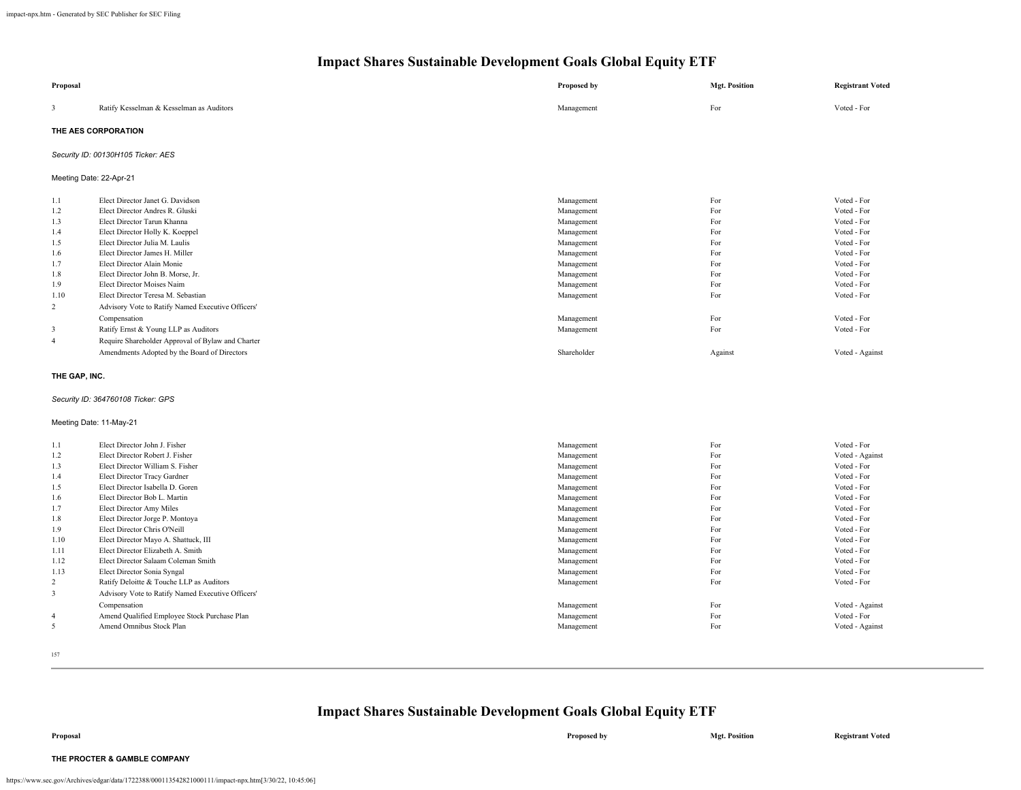| Proposal                                                                                                                        |                                                                                                                                                                                                                                                                                                                                                                                                                                                                                                                                                                    | <b>Proposed by</b>                                                                                                                                                                               | <b>Mgt. Position</b>                                                                                  | <b>Registrant Voted</b>                                                                                                                                                                                            |
|---------------------------------------------------------------------------------------------------------------------------------|--------------------------------------------------------------------------------------------------------------------------------------------------------------------------------------------------------------------------------------------------------------------------------------------------------------------------------------------------------------------------------------------------------------------------------------------------------------------------------------------------------------------------------------------------------------------|--------------------------------------------------------------------------------------------------------------------------------------------------------------------------------------------------|-------------------------------------------------------------------------------------------------------|--------------------------------------------------------------------------------------------------------------------------------------------------------------------------------------------------------------------|
| 3                                                                                                                               | Ratify Kesselman & Kesselman as Auditors                                                                                                                                                                                                                                                                                                                                                                                                                                                                                                                           | Management                                                                                                                                                                                       | For                                                                                                   | Voted - For                                                                                                                                                                                                        |
|                                                                                                                                 | THE AES CORPORATION                                                                                                                                                                                                                                                                                                                                                                                                                                                                                                                                                |                                                                                                                                                                                                  |                                                                                                       |                                                                                                                                                                                                                    |
|                                                                                                                                 | Security ID: 00130H105 Ticker: AES                                                                                                                                                                                                                                                                                                                                                                                                                                                                                                                                 |                                                                                                                                                                                                  |                                                                                                       |                                                                                                                                                                                                                    |
| Meeting Date: 22-Apr-21                                                                                                         |                                                                                                                                                                                                                                                                                                                                                                                                                                                                                                                                                                    |                                                                                                                                                                                                  |                                                                                                       |                                                                                                                                                                                                                    |
| 1.1<br>1.2<br>1.3<br>1.4<br>1.5<br>1.6<br>1.7<br>1.8<br>1.9<br>1.10<br>2<br>3<br>$\overline{4}$                                 | Elect Director Janet G. Davidson<br>Elect Director Andres R. Gluski<br>Elect Director Tarun Khanna<br>Elect Director Holly K. Koeppel<br>Elect Director Julia M. Laulis<br>Elect Director James H. Miller<br>Elect Director Alain Monie<br>Elect Director John B. Morse, Jr.<br>Elect Director Moises Naim<br>Elect Director Teresa M. Sebastian<br>Advisory Vote to Ratify Named Executive Officers'<br>Compensation<br>Ratify Ernst & Young LLP as Auditors<br>Require Shareholder Approval of Bylaw and Charter<br>Amendments Adopted by the Board of Directors | Management<br>Management<br>Management<br>Management<br>Management<br>Management<br>Management<br>Management<br>Management<br>Management<br>Management<br>Management<br>Shareholder              | For<br>For<br>For<br>For<br>For<br>For<br>For<br>For<br>For<br>For<br>For<br>For<br>Against           | Voted - For<br>Voted - For<br>Voted - For<br>Voted - For<br>Voted - For<br>Voted - For<br>Voted - For<br>Voted - For<br>Voted - For<br>Voted - For<br>Voted - For<br>Voted - For<br>Voted - Against                |
| THE GAP, INC.                                                                                                                   |                                                                                                                                                                                                                                                                                                                                                                                                                                                                                                                                                                    |                                                                                                                                                                                                  |                                                                                                       |                                                                                                                                                                                                                    |
|                                                                                                                                 | Security ID: 364760108 Ticker: GPS                                                                                                                                                                                                                                                                                                                                                                                                                                                                                                                                 |                                                                                                                                                                                                  |                                                                                                       |                                                                                                                                                                                                                    |
|                                                                                                                                 | Meeting Date: 11-May-21                                                                                                                                                                                                                                                                                                                                                                                                                                                                                                                                            |                                                                                                                                                                                                  |                                                                                                       |                                                                                                                                                                                                                    |
| 1.1<br>1.2<br>1.3<br>1.4<br>1.5<br>1.6<br>1.7<br>1.8<br>1.9<br>1.10<br>1.11<br>1.12<br>1.13<br>$\overline{2}$<br>$\overline{3}$ | Elect Director John J. Fisher<br>Elect Director Robert J. Fisher<br>Elect Director William S. Fisher<br>Elect Director Tracy Gardner<br>Elect Director Isabella D. Goren<br>Elect Director Bob L. Martin<br>Elect Director Amy Miles<br>Elect Director Jorge P. Montoya<br>Elect Director Chris O'Neill<br>Elect Director Mayo A. Shattuck, III<br>Elect Director Elizabeth A. Smith<br>Elect Director Salaam Coleman Smith<br>Elect Director Sonia Syngal<br>Ratify Deloitte & Touche LLP as Auditors<br>Advisory Vote to Ratify Named Executive Officers'        | Management<br>Management<br>Management<br>Management<br>Management<br>Management<br>Management<br>Management<br>Management<br>Management<br>Management<br>Management<br>Management<br>Management | For<br>For<br>For<br>For<br>For<br>For<br>For<br>For<br>For<br>For<br>For<br>For<br>For<br>For<br>For | Voted - For<br>Voted - Against<br>Voted - For<br>Voted - For<br>Voted - For<br>Voted - For<br>Voted - For<br>Voted - For<br>Voted - For<br>Voted - For<br>Voted - For<br>Voted - For<br>Voted - For<br>Voted - For |
| $\overline{4}$<br>5                                                                                                             | Compensation<br>Amend Qualified Employee Stock Purchase Plan<br>Amend Omnibus Stock Plan                                                                                                                                                                                                                                                                                                                                                                                                                                                                           | Management<br>Management<br>Management                                                                                                                                                           | For<br>For                                                                                            | Voted - Against<br>Voted - For<br>Voted - Against                                                                                                                                                                  |

157

# **Impact Shares Sustainable Development Goals Global Equity ETF**

**Proposal Proposed by Mgt. Position Registrant Voted**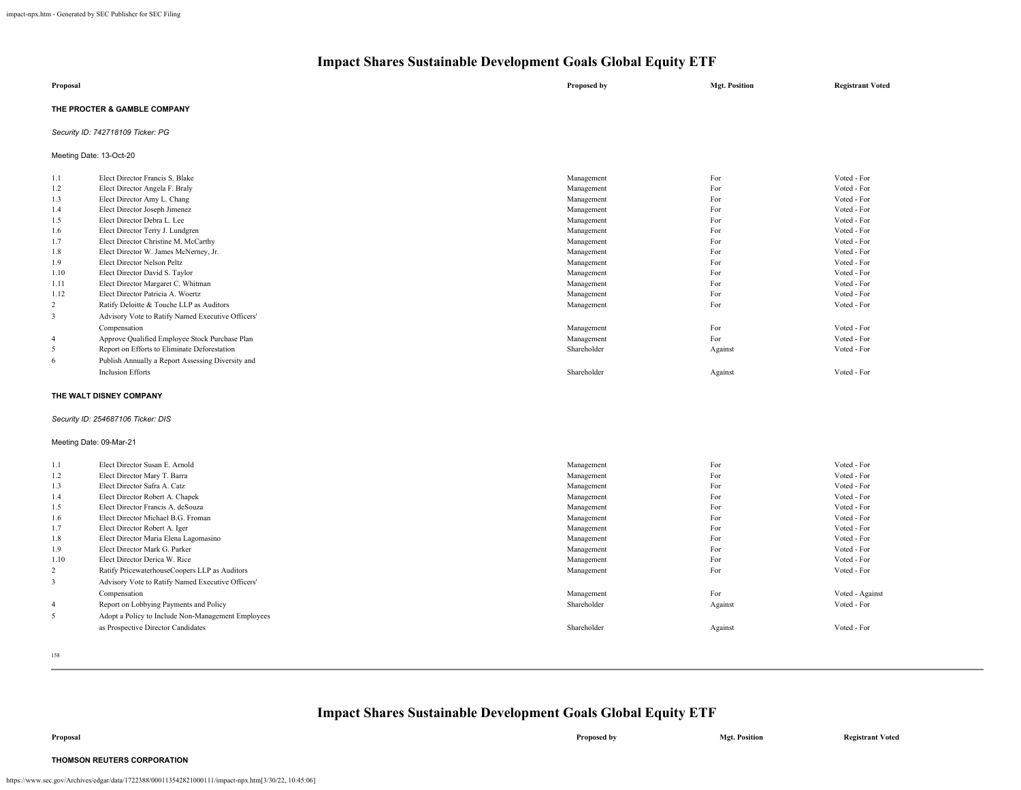| Proposal                     | Proposed by | <b>Mgt. Position</b> | <b>Registrant Voted</b> |
|------------------------------|-------------|----------------------|-------------------------|
| THE PROCTER & GAMBLE COMPANY |             |                      |                         |

### *Security ID: 742718109 Ticker: PG*

Meeting Date: 13-Oct-20

| 1.1            | Elect Director Francis S. Blake                   | Management  | For     | Voted - For |
|----------------|---------------------------------------------------|-------------|---------|-------------|
| 1.2            | Elect Director Angela F. Braly                    | Management  | For     | Voted - For |
| 1.3            | Elect Director Amy L. Chang                       | Management  | For     | Voted - For |
| 1.4            | Elect Director Joseph Jimenez                     | Management  | For     | Voted - For |
| 1.5            | Elect Director Debra L. Lee                       | Management  | For     | Voted - For |
| 1.6            | Elect Director Terry J. Lundgren                  | Management  | For     | Voted - For |
| 1.7            | Elect Director Christine M. McCarthy              | Management  | For     | Voted - For |
| 1.8            | Elect Director W. James McNerney, Jr.             | Management  | For     | Voted - For |
| 1.9            | Elect Director Nelson Peltz                       | Management  | For     | Voted - For |
| 1.10           | Elect Director David S. Taylor                    | Management  | For     | Voted - For |
| 1.11           | Elect Director Margaret C. Whitman                | Management  | For     | Voted - For |
| 1.12           | Elect Director Patricia A. Woertz                 | Management  | For     | Voted - For |
| 2              | Ratify Deloitte & Touche LLP as Auditors          | Management  | For     | Voted - For |
| 3              | Advisory Vote to Ratify Named Executive Officers' |             |         |             |
|                | Compensation                                      | Management  | For     | Voted - For |
| $\overline{4}$ | Approve Qualified Employee Stock Purchase Plan    | Management  | For     | Voted - For |
| 5              | Report on Efforts to Eliminate Deforestation      | Shareholder | Against | Voted - For |
| 6              | Publish Annually a Report Assessing Diversity and |             |         |             |
|                | <b>Inclusion Efforts</b>                          | Shareholder | Against | Voted - For |
|                |                                                   |             |         |             |

#### **THE WALT DISNEY COMPANY**

#### *Security ID: 254687106 Ticker: DIS*

#### Meeting Date: 09-Mar-21

| 1.1            | Elect Director Susan E. Arnold                     | Management  | For     | Voted - For     |
|----------------|----------------------------------------------------|-------------|---------|-----------------|
| 1.2            | Elect Director Mary T. Barra                       | Management  | For     | Voted - For     |
| 1.3            | Elect Director Safra A. Catz                       | Management  | For     | Voted - For     |
| 1.4            | Elect Director Robert A. Chapek                    | Management  | For     | Voted - For     |
| 1.5            | Elect Director Francis A. deSouza                  | Management  | For     | Voted - For     |
| 1.6            | Elect Director Michael B.G. Froman                 | Management  | For     | Voted - For     |
| 1.7            | Elect Director Robert A. Iger                      | Management  | For     | Voted - For     |
| 1.8            | Elect Director Maria Elena Lagomasino              | Management  | For     | Voted - For     |
| 1.9            | Elect Director Mark G. Parker                      | Management  | For     | Voted - For     |
| 1.10           | Elect Director Derica W. Rice                      | Management  | For     | Voted - For     |
| $\overline{c}$ | Ratify PricewaterhouseCoopers LLP as Auditors      | Management  | For     | Voted - For     |
| 3              | Advisory Vote to Ratify Named Executive Officers'  |             |         |                 |
|                | Compensation                                       | Management  | For     | Voted - Against |
| $\overline{4}$ | Report on Lobbying Payments and Policy             | Shareholder | Against | Voted - For     |
| 5              | Adopt a Policy to Include Non-Management Employees |             |         |                 |
|                | as Prospective Director Candidates                 | Shareholder | Against | Voted - For     |
|                |                                                    |             |         |                 |

158

### **Impact Shares Sustainable Development Goals Global Equity ETF**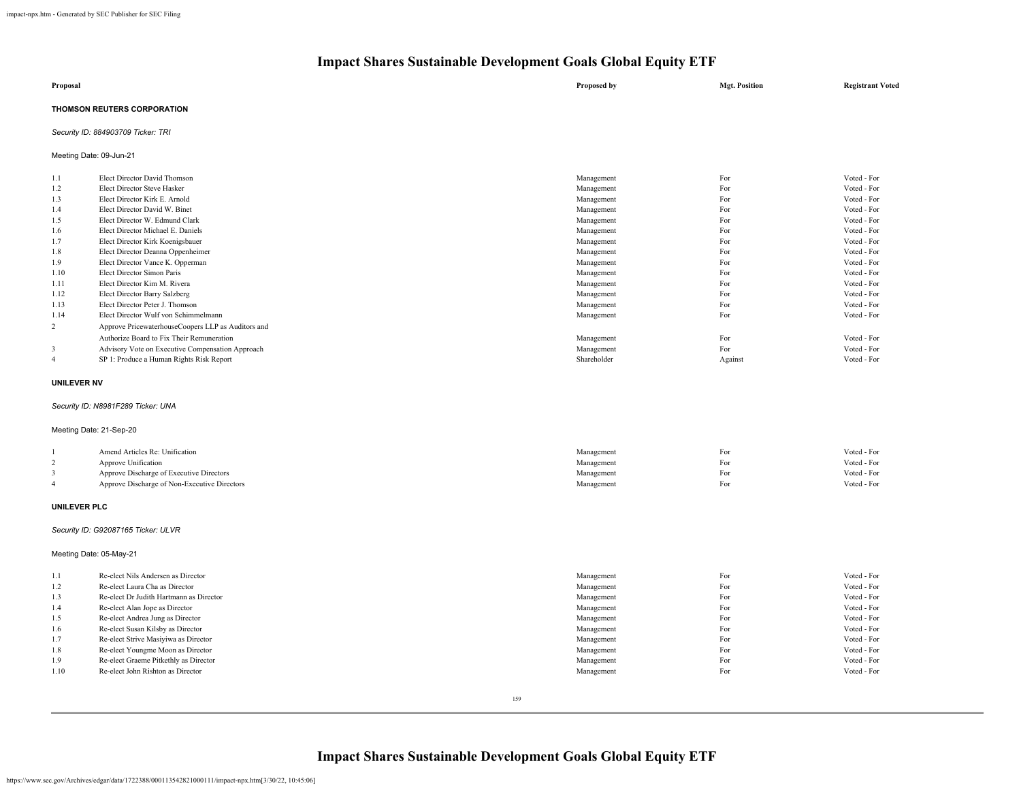| Proposal                           | Proposed by | <b>Mgt. Position</b> | <b>Registrant Voted</b> |
|------------------------------------|-------------|----------------------|-------------------------|
| THOMSON REUTERS CORPORATION        |             |                      |                         |
| Security ID: 884903709 Ticker: TRI |             |                      |                         |

Meeting Date: 09-Jun-21

| 1.1  | Elect Director David Thomson                       | Management  | For     | Voted - For |
|------|----------------------------------------------------|-------------|---------|-------------|
| 1.2  | Elect Director Steve Hasker                        | Management  | For     | Voted - For |
| 1.3  | Elect Director Kirk E. Arnold                      | Management  | For     | Voted - For |
| 1.4  | Elect Director David W. Binet                      | Management  | For     | Voted - For |
| 1.5  | Elect Director W. Edmund Clark                     | Management  | For     | Voted - For |
| 1.6  | Elect Director Michael E. Daniels                  | Management  | For     | Voted - For |
| 1.7  | Elect Director Kirk Koenigsbauer                   | Management  | For     | Voted - For |
| 1.8  | Elect Director Deanna Oppenheimer                  | Management  | For     | Voted - For |
| 1.9  | Elect Director Vance K. Opperman                   | Management  | For     | Voted - For |
| 1.10 | Elect Director Simon Paris                         | Management  | For     | Voted - For |
| 1.11 | Elect Director Kim M. Rivera                       | Management  | For     | Voted - For |
| 1.12 | Elect Director Barry Salzberg                      | Management  | For     | Voted - For |
| 1.13 | Elect Director Peter J. Thomson                    | Management  | For     | Voted - For |
| 1.14 | Elect Director Wulf von Schimmelmann               | Management  | For     | Voted - For |
| 2    | Approve PricewaterhouseCoopers LLP as Auditors and |             |         |             |
|      | Authorize Board to Fix Their Remuneration          | Management  | For     | Voted - For |
| 3    | Advisory Vote on Executive Compensation Approach   | Management  | For     | Voted - For |
| 4    | SP 1: Produce a Human Rights Risk Report           | Shareholder | Against | Voted - For |

#### **UNILEVER NV**

### *Security ID: N8981F289 Ticker: UNA*

Meeting Date: 21-Sep-20

| Amend Articles Re: Unification               | Management | For  | Voted - For |
|----------------------------------------------|------------|------|-------------|
| Approve Unification                          | Management | For  | Voted - For |
| Approve Discharge of Executive Directors     | Management | r'or | Voted - For |
| Approve Discharge of Non-Executive Directors | Management | For  | Voted - For |

### **UNILEVER PLC**

### *Security ID: G92087165 Ticker: ULVR*

Meeting Date: 05-May-21

| 1.1  | Re-elect Nils Andersen as Director      | Management | For | Voted - For |
|------|-----------------------------------------|------------|-----|-------------|
| 1.2  | Re-elect Laura Cha as Director          | Management | For | Voted - For |
| 1.3  | Re-elect Dr Judith Hartmann as Director | Management | For | Voted - For |
| 1.4  | Re-elect Alan Jope as Director          | Management | For | Voted - For |
| 1.5  | Re-elect Andrea Jung as Director        | Management | For | Voted - For |
| 1.6  | Re-elect Susan Kilsby as Director       | Management | For | Voted - For |
| 1.7  | Re-elect Strive Masiyiwa as Director    | Management | For | Voted - For |
| 1.8  | Re-elect Youngme Moon as Director       | Management | For | Voted - For |
| 1.9  | Re-elect Graeme Pitkethly as Director   | Management | For | Voted - For |
| 1.10 | Re-elect John Rishton as Director       | Management | For | Voted - For |
|      |                                         |            |     |             |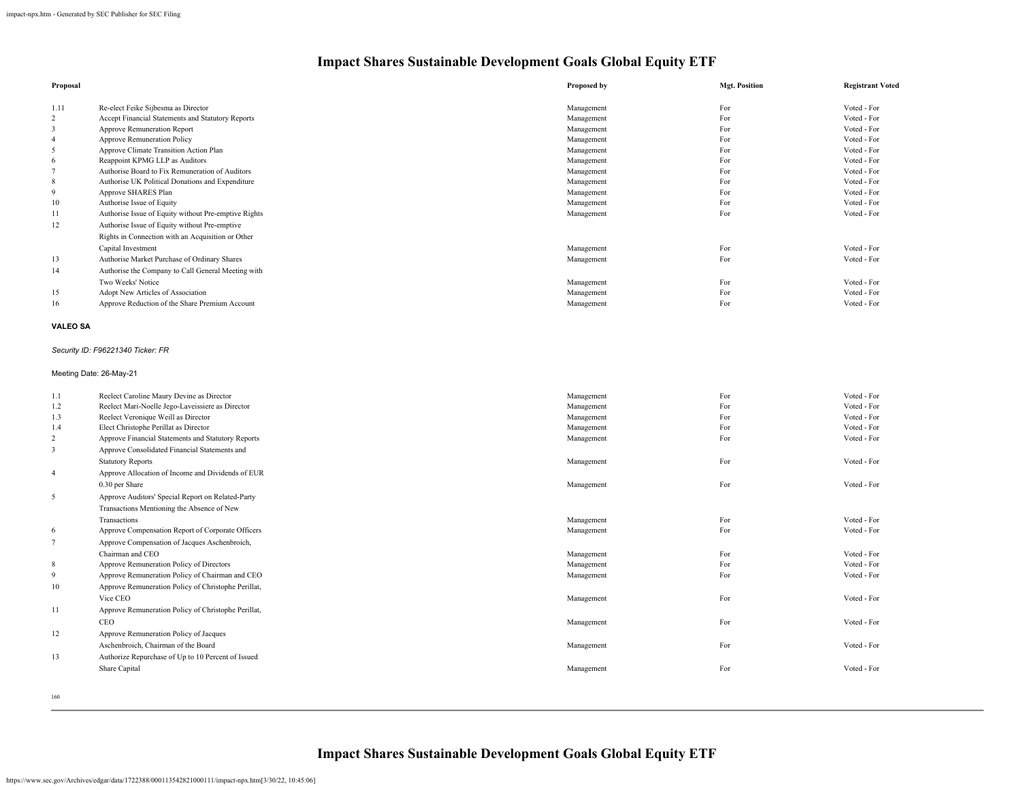| Proposal        |                                                      | Proposed by | <b>Mgt. Position</b> | <b>Registrant Voted</b> |
|-----------------|------------------------------------------------------|-------------|----------------------|-------------------------|
| 1.11            | Re-elect Feike Sijbesma as Director                  | Management  | For                  | Voted - For             |
| 2               | Accept Financial Statements and Statutory Reports    | Management  | For                  | Voted - For             |
| 3               | Approve Remuneration Report                          | Management  | For                  | Voted - For             |
| 4               | Approve Remuneration Policy                          | Management  | For                  | Voted - For             |
| 5               | Approve Climate Transition Action Plan               | Management  | For                  | Voted - For             |
| 6               | Reappoint KPMG LLP as Auditors                       | Management  | For                  | Voted - For             |
|                 | Authorise Board to Fix Remuneration of Auditors      | Management  | For                  | Voted - For             |
| 8               | Authorise UK Political Donations and Expenditure     | Management  | For                  | Voted - For             |
| 9               | Approve SHARES Plan                                  | Management  | For                  | Voted - For             |
| 10              | Authorise Issue of Equity                            | Management  | For                  | Voted - For             |
| 11              | Authorise Issue of Equity without Pre-emptive Rights | Management  | For                  | Voted - For             |
| 12              | Authorise Issue of Equity without Pre-emptive        |             |                      |                         |
|                 | Rights in Connection with an Acquisition or Other    |             |                      |                         |
|                 | Capital Investment                                   | Management  | For                  | Voted - For             |
| 13              | Authorise Market Purchase of Ordinary Shares         | Management  | For                  | Voted - For             |
| 14              | Authorise the Company to Call General Meeting with   |             |                      |                         |
|                 | Two Weeks' Notice                                    | Management  | For                  | Voted - For             |
| 15              | Adopt New Articles of Association                    | Management  | For                  | Voted - For             |
| 16              | Approve Reduction of the Share Premium Account       | Management  | For                  | Voted - For             |
| <b>VALEO SA</b> |                                                      |             |                      |                         |
|                 | Security ID: F96221340 Ticker: FR                    |             |                      |                         |
|                 | Meeting Date: 26-May-21                              |             |                      |                         |

| 1.1            | Reelect Caroline Maury Devine as Director           | Management | For | Voted - For |
|----------------|-----------------------------------------------------|------------|-----|-------------|
| 1.2            | Reelect Mari-Noelle Jego-Laveissiere as Director    | Management | For | Voted - For |
| 1.3            | Reelect Veronique Weill as Director                 | Management | For | Voted - For |
| 1.4            | Elect Christophe Perillat as Director               | Management | For | Voted - For |
| $\overline{2}$ | Approve Financial Statements and Statutory Reports  | Management | For | Voted - For |
| 3              | Approve Consolidated Financial Statements and       |            |     |             |
|                | <b>Statutory Reports</b>                            | Management | For | Voted - For |
| $\overline{4}$ | Approve Allocation of Income and Dividends of EUR   |            |     |             |
|                | 0.30 per Share                                      | Management | For | Voted - For |
| 5              | Approve Auditors' Special Report on Related-Party   |            |     |             |
|                | Transactions Mentioning the Absence of New          |            |     |             |
|                | Transactions                                        | Management | For | Voted - For |
| 6              | Approve Compensation Report of Corporate Officers   | Management | For | Voted - For |
| $\overline{7}$ | Approve Compensation of Jacques Aschenbroich,       |            |     |             |
|                | Chairman and CEO                                    | Management | For | Voted - For |
| 8              | Approve Remuneration Policy of Directors            | Management | For | Voted - For |
| 9              | Approve Remuneration Policy of Chairman and CEO     | Management | For | Voted - For |
| 10             | Approve Remuneration Policy of Christophe Perillat, |            |     |             |
|                | Vice CEO                                            | Management | For | Voted - For |
| 11             | Approve Remuneration Policy of Christophe Perillat, |            |     |             |
|                | CEO                                                 | Management | For | Voted - For |
| 12             | Approve Remuneration Policy of Jacques              |            |     |             |
|                | Aschenbroich, Chairman of the Board                 | Management | For | Voted - For |
| 13             | Authorize Repurchase of Up to 10 Percent of Issued  |            |     |             |
|                | Share Capital                                       | Management | For | Voted - For |
|                |                                                     |            |     |             |

160

**Impact Shares Sustainable Development Goals Global Equity ETF**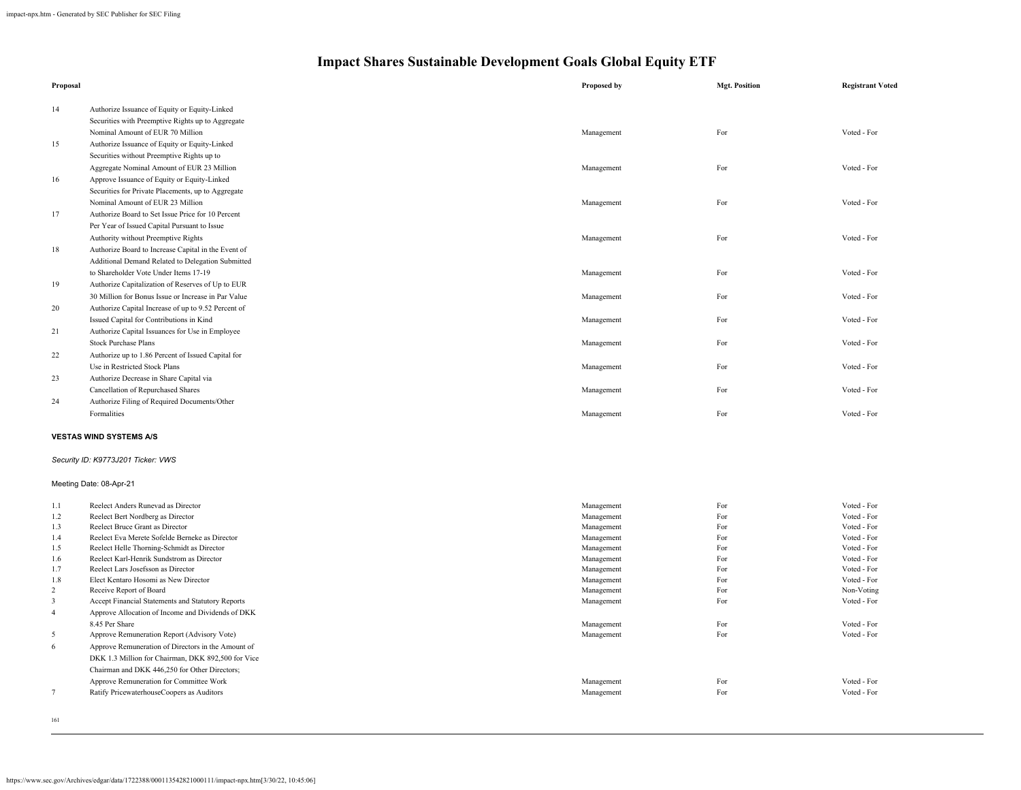| Proposal                                    |                                                                              | Proposed by              | <b>Mgt. Position</b> | <b>Registrant Voted</b>   |
|---------------------------------------------|------------------------------------------------------------------------------|--------------------------|----------------------|---------------------------|
| 14                                          | Authorize Issuance of Equity or Equity-Linked                                |                          |                      |                           |
|                                             | Securities with Preemptive Rights up to Aggregate                            |                          |                      |                           |
|                                             | Nominal Amount of EUR 70 Million                                             | Management               | For                  | Voted - For               |
| 15                                          | Authorize Issuance of Equity or Equity-Linked                                |                          |                      |                           |
|                                             | Securities without Preemptive Rights up to                                   |                          |                      |                           |
|                                             | Aggregate Nominal Amount of EUR 23 Million                                   | Management               | For                  | Voted - For               |
| 16                                          | Approve Issuance of Equity or Equity-Linked                                  |                          |                      |                           |
|                                             | Securities for Private Placements, up to Aggregate                           |                          |                      |                           |
|                                             | Nominal Amount of EUR 23 Million                                             | Management               | For                  | Voted - For               |
| 17                                          | Authorize Board to Set Issue Price for 10 Percent                            |                          |                      |                           |
|                                             | Per Year of Issued Capital Pursuant to Issue                                 |                          |                      |                           |
|                                             | Authority without Preemptive Rights                                          | Management               | For                  | Voted - For               |
| $18\,$                                      | Authorize Board to Increase Capital in the Event of                          |                          |                      |                           |
|                                             | Additional Demand Related to Delegation Submitted                            |                          |                      |                           |
|                                             | to Shareholder Vote Under Items 17-19                                        | Management               | For                  | Voted - For               |
| 19                                          | Authorize Capitalization of Reserves of Up to EUR                            |                          |                      |                           |
|                                             | 30 Million for Bonus Issue or Increase in Par Value                          | Management               | For                  | Voted - For               |
| 20                                          | Authorize Capital Increase of up to 9.52 Percent of                          |                          |                      |                           |
|                                             | Issued Capital for Contributions in Kind                                     | Management               | For                  | Voted - For               |
| 21                                          | Authorize Capital Issuances for Use in Employee                              |                          |                      |                           |
|                                             | <b>Stock Purchase Plans</b>                                                  | Management               | For                  | Voted - For               |
| 22                                          | Authorize up to 1.86 Percent of Issued Capital for                           |                          |                      |                           |
|                                             | Use in Restricted Stock Plans                                                | Management               | For                  | Voted - For               |
| 23                                          | Authorize Decrease in Share Capital via                                      |                          |                      |                           |
|                                             | Cancellation of Repurchased Shares                                           | Management               | For                  | Voted - For               |
| 24                                          | Authorize Filing of Required Documents/Other                                 |                          |                      |                           |
|                                             | Formalities                                                                  | Management               | For                  | Voted - For               |
|                                             | <b>VESTAS WIND SYSTEMS A/S</b>                                               |                          |                      |                           |
|                                             | Security ID: K9773J201 Ticker: VWS                                           |                          |                      |                           |
|                                             | Meeting Date: 08-Apr-21                                                      |                          |                      |                           |
| 1.1                                         | Reelect Anders Runevad as Director                                           | Management               | For                  | Voted - For               |
| 1.2                                         | Reelect Bert Nordberg as Director                                            | Management               | For                  | Voted - For               |
| 1.3                                         | Reelect Bruce Grant as Director                                              | Management               | For                  | Voted - For               |
| 1.4                                         | Reelect Eva Merete Sofelde Berneke as Director                               | Management               | For                  | Voted - For               |
| 1.5                                         | Reelect Helle Thorning-Schmidt as Director                                   | Management               | For                  | Voted - For               |
| 1.6                                         | Reelect Karl-Henrik Sundstrom as Director                                    | Management               | For                  | Voted - For               |
| 1.7                                         | Reelect Lars Josefsson as Director                                           | Management               | For                  | Voted - For               |
| 1.8                                         | Elect Kentaro Hosomi as New Director                                         | Management               | For                  | Voted - For               |
| $\boldsymbol{2}$<br>$\overline{\mathbf{3}}$ | Receive Report of Board<br>Accept Financial Statements and Statutory Reports | Management<br>Management | For<br>For           | Non-Voting<br>Voted - For |
| $\overline{4}$                              | Approve Allocation of Income and Dividends of DKK                            |                          |                      |                           |
|                                             | 8.45 Per Share                                                               | Management               | For                  | Voted - For               |
| 5                                           | Approve Remuneration Report (Advisory Vote)                                  | Management               | For                  | Voted - For               |
| 6                                           | Approve Remuneration of Directors in the Amount of                           |                          |                      |                           |
|                                             | DKK 1.3 Million for Chairman, DKK 892,500 for Vice                           |                          |                      |                           |
|                                             | Chairman and DKK 446,250 for Other Directors;                                |                          |                      |                           |
|                                             | Approve Remuneration for Committee Work                                      | Management               | For                  | Voted - For               |
| $\overline{7}$                              | Ratify PricewaterhouseCoopers as Auditors                                    | Management               | For                  | Voted - For               |
|                                             |                                                                              |                          |                      |                           |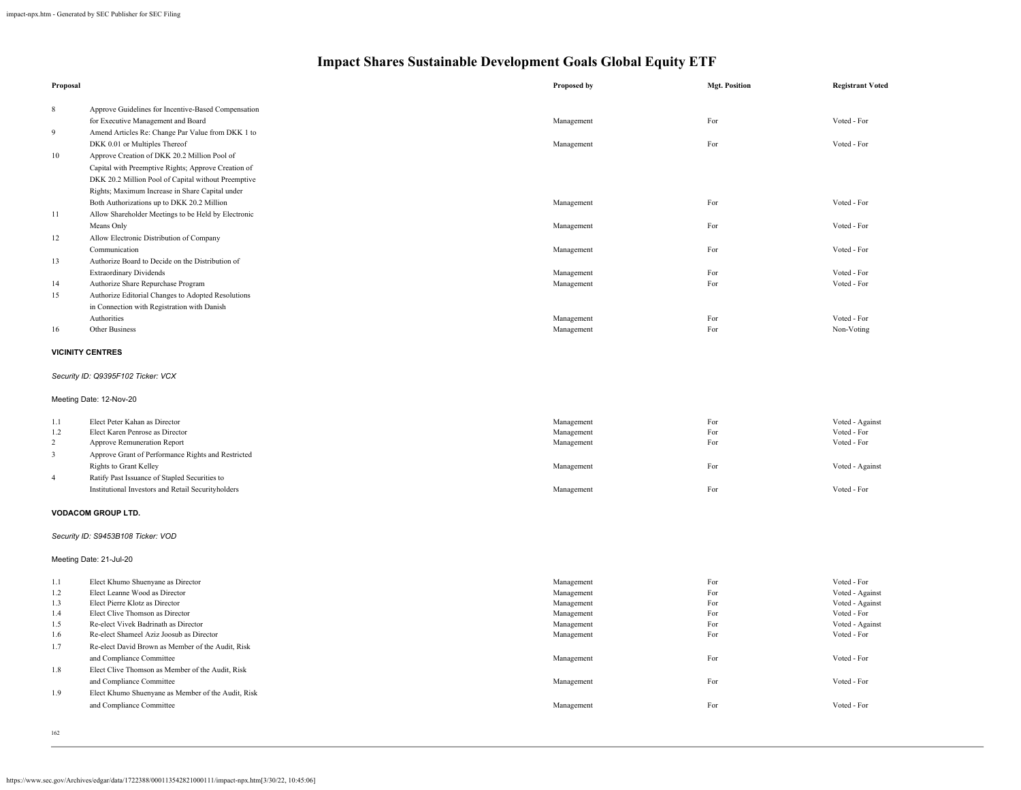| Proposal                |                                                                    | Proposed by              | <b>Mgt. Position</b> | <b>Registrant Voted</b>        |
|-------------------------|--------------------------------------------------------------------|--------------------------|----------------------|--------------------------------|
| 8                       | Approve Guidelines for Incentive-Based Compensation                |                          |                      |                                |
|                         | for Executive Management and Board                                 | Management               | For                  | Voted - For                    |
| 9                       | Amend Articles Re: Change Par Value from DKK 1 to                  |                          |                      |                                |
|                         | DKK 0.01 or Multiples Thereof                                      | Management               | For                  | Voted - For                    |
| 10                      | Approve Creation of DKK 20.2 Million Pool of                       |                          |                      |                                |
|                         | Capital with Preemptive Rights; Approve Creation of                |                          |                      |                                |
|                         | DKK 20.2 Million Pool of Capital without Preemptive                |                          |                      |                                |
|                         | Rights; Maximum Increase in Share Capital under                    |                          |                      |                                |
|                         | Both Authorizations up to DKK 20.2 Million                         | Management               | For                  | Voted - For                    |
| 11                      | Allow Shareholder Meetings to be Held by Electronic                |                          |                      |                                |
|                         | Means Only                                                         | Management               | For                  | Voted - For                    |
| 12                      | Allow Electronic Distribution of Company                           |                          |                      |                                |
|                         | Communication                                                      | Management               | For                  | Voted - For                    |
| 13                      | Authorize Board to Decide on the Distribution of                   |                          |                      |                                |
|                         | <b>Extraordinary Dividends</b>                                     | Management               | For                  | Voted - For                    |
| 14                      | Authorize Share Repurchase Program                                 | Management               | For                  | Voted - For                    |
| 15                      | Authorize Editorial Changes to Adopted Resolutions                 |                          |                      |                                |
|                         | in Connection with Registration with Danish                        |                          |                      |                                |
|                         | Authorities                                                        | Management               | For                  | Voted - For                    |
| 16                      | Other Business                                                     | Management               | For                  | Non-Voting                     |
|                         |                                                                    |                          |                      |                                |
|                         | <b>VICINITY CENTRES</b>                                            |                          |                      |                                |
|                         | Security ID: Q9395F102 Ticker: VCX                                 |                          |                      |                                |
|                         |                                                                    |                          |                      |                                |
|                         | Meeting Date: 12-Nov-20                                            |                          |                      |                                |
| 1.1                     | Elect Peter Kahan as Director                                      | Management               | For                  | Voted - Against                |
| 1.2                     | Elect Karen Penrose as Director                                    | Management               | For                  | Voted - For                    |
| $\overline{\mathbf{c}}$ | Approve Remuneration Report                                        | Management               | For                  | Voted - For                    |
| 3                       | Approve Grant of Performance Rights and Restricted                 |                          |                      |                                |
|                         | Rights to Grant Kelley                                             | Management               | For                  | Voted - Against                |
| 4                       | Ratify Past Issuance of Stapled Securities to                      |                          |                      |                                |
|                         | Institutional Investors and Retail Securityholders                 | Management               | For                  | Voted - For                    |
|                         | <b>VODACOM GROUP LTD.</b>                                          |                          |                      |                                |
|                         | Security ID: S9453B108 Ticker: VOD                                 |                          |                      |                                |
|                         | Meeting Date: 21-Jul-20                                            |                          |                      |                                |
|                         |                                                                    |                          |                      |                                |
| 1.1<br>1.2              | Elect Khumo Shuenyane as Director<br>Elect Leanne Wood as Director | Management<br>Management | For<br>For           | Voted - For<br>Voted - Against |
| 1.3                     | Elect Pierre Klotz as Director                                     | Management               | For                  | Voted - Against                |
| 1.4                     | Elect Clive Thomson as Director                                    | Management               | For                  | Voted - For                    |
| 1.5                     | Re-elect Vivek Badrinath as Director                               | Management               | For                  | Voted - Against                |
| 1.6                     | Re-elect Shameel Aziz Joosub as Director                           | Management               | For                  | Voted - For                    |
| 1.7                     | Re-elect David Brown as Member of the Audit, Risk                  |                          |                      |                                |
|                         | and Compliance Committee                                           | Management               | For                  | Voted - For                    |
| 1.8                     | Elect Clive Thomson as Member of the Audit, Risk                   |                          |                      |                                |
|                         | and Compliance Committee                                           | Management               | For                  | Voted - For                    |
| 1.9                     | Elect Khumo Shuenyane as Member of the Audit, Risk                 |                          |                      |                                |
|                         | and Compliance Committee                                           | Management               | For                  | Voted - For                    |
|                         |                                                                    |                          |                      |                                |

<sup>162</sup>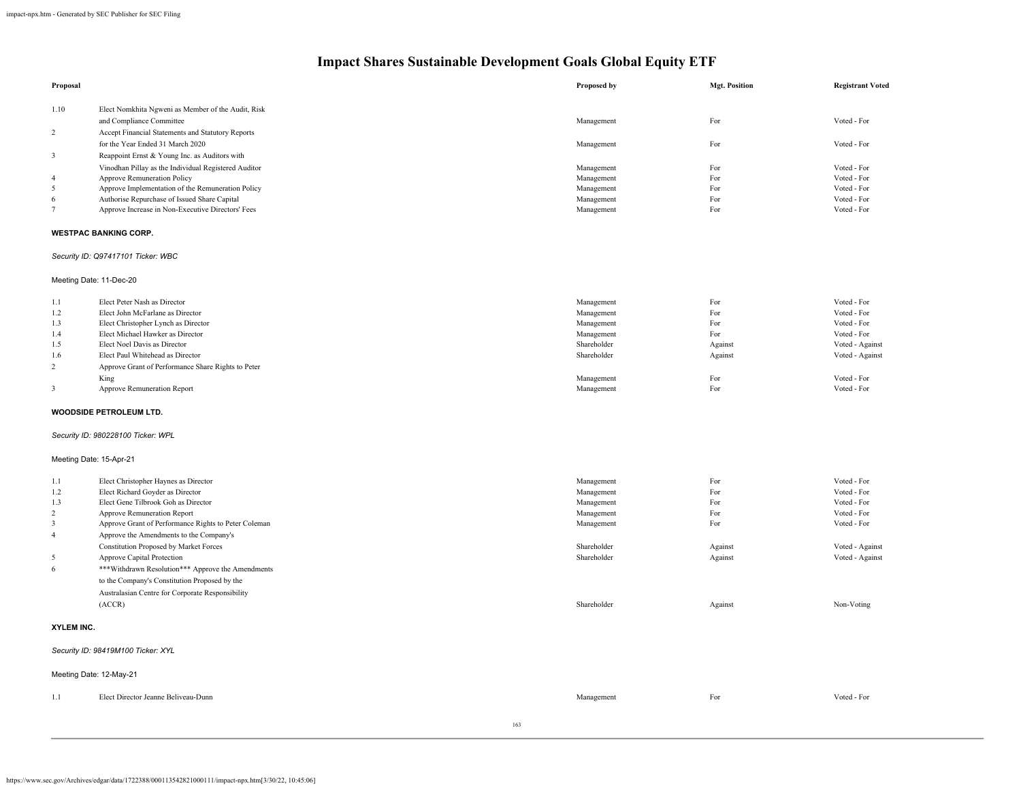| Proposal                |                                                      | Proposed by | <b>Mgt. Position</b> | <b>Registrant Voted</b> |
|-------------------------|------------------------------------------------------|-------------|----------------------|-------------------------|
| 1.10                    | Elect Nomkhita Ngweni as Member of the Audit, Risk   |             |                      |                         |
|                         | and Compliance Committee                             | Management  | For                  | Voted - For             |
| $\overline{2}$          | Accept Financial Statements and Statutory Reports    |             |                      |                         |
|                         | for the Year Ended 31 March 2020                     | Management  | For                  | Voted - For             |
| $\sqrt{3}$              | Reappoint Ernst & Young Inc. as Auditors with        |             |                      |                         |
|                         | Vinodhan Pillay as the Individual Registered Auditor | Management  | For                  | Voted - For             |
| $\overline{4}$          | Approve Remuneration Policy                          | Management  | For                  | Voted - For             |
| 5                       | Approve Implementation of the Remuneration Policy    | Management  | For                  | Voted - For             |
| 6                       | Authorise Repurchase of Issued Share Capital         | Management  | For                  | Voted - For             |
| $\overline{7}$          | Approve Increase in Non-Executive Directors' Fees    | Management  | For                  | Voted - For             |
|                         | <b>WESTPAC BANKING CORP.</b>                         |             |                      |                         |
|                         | Security ID: Q97417101 Ticker: WBC                   |             |                      |                         |
|                         | Meeting Date: 11-Dec-20                              |             |                      |                         |
| 1.1                     | Elect Peter Nash as Director                         | Management  | For                  | Voted - For             |
| 1.2                     | Elect John McFarlane as Director                     | Management  | For                  | Voted - For             |
| 1.3                     | Elect Christopher Lynch as Director                  | Management  | For                  | Voted - For             |
| 1.4                     | Elect Michael Hawker as Director                     | Management  | For                  | Voted - For             |
| 1.5                     | Elect Noel Davis as Director                         | Shareholder | Against              | Voted - Against         |
| 1.6                     | Elect Paul Whitehead as Director                     | Shareholder | Against              | Voted - Against         |
| $\sqrt{2}$              | Approve Grant of Performance Share Rights to Peter   |             |                      |                         |
|                         | King                                                 | Management  | For                  | Voted - For             |
| $\overline{\mathbf{3}}$ | Approve Remuneration Report                          | Management  | For                  | Voted - For             |
|                         | WOODSIDE PETROLEUM LTD.                              |             |                      |                         |
|                         | Security ID: 980228100 Ticker: WPL                   |             |                      |                         |
|                         | Meeting Date: 15-Apr-21                              |             |                      |                         |
| 1.1                     | Elect Christopher Haynes as Director                 | Management  | For                  | Voted - For             |
| 1.2                     | Elect Richard Goyder as Director                     | Management  | For                  | Voted - For             |
| 1.3                     | Elect Gene Tilbrook Goh as Director                  | Management  | For                  | Voted - For             |
| $\mathfrak{2}$          | Approve Remuneration Report                          | Management  | For                  | Voted - For             |
| $\mathbf{3}$            | Approve Grant of Performance Rights to Peter Coleman | Management  | For                  | Voted - For             |
| $\overline{4}$          | Approve the Amendments to the Company's              |             |                      |                         |
|                         | Constitution Proposed by Market Forces               | Shareholder | Against              | Voted - Against         |
| 5                       | Approve Capital Protection                           | Shareholder | Against              | Voted - Against         |
| $\,$ 6 $\,$             | ***Withdrawn Resolution*** Approve the Amendments    |             |                      |                         |
|                         | to the Company's Constitution Proposed by the        |             |                      |                         |
|                         | Australasian Centre for Corporate Responsibility     |             |                      |                         |
|                         | (ACCR)                                               | Shareholder | Against              | Non-Voting              |
| XYLEM INC.              |                                                      |             |                      |                         |
|                         | Security ID: 98419M100 Ticker: XYL                   |             |                      |                         |
|                         | Meeting Date: 12-May-21                              |             |                      |                         |
| 1.1                     | Elect Director Jeanne Beliveau-Dunn                  | Management  | For                  | Voted - For             |
|                         |                                                      |             |                      |                         |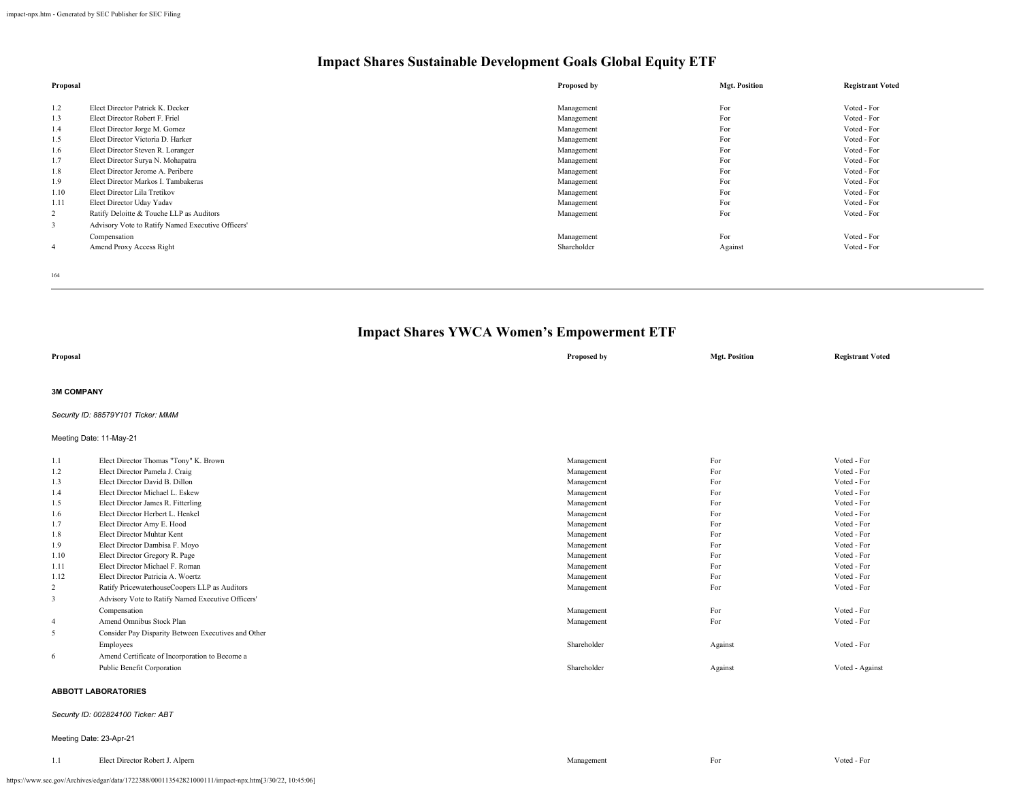| Proposal       |                                                   | Proposed by | <b>Mgt. Position</b> | <b>Registrant Voted</b> |
|----------------|---------------------------------------------------|-------------|----------------------|-------------------------|
|                |                                                   |             |                      |                         |
| 1.2            | Elect Director Patrick K. Decker                  | Management  | For                  | Voted - For             |
| 1.3            | Elect Director Robert F. Friel                    | Management  | For                  | Voted - For             |
| 1.4            | Elect Director Jorge M. Gomez                     | Management  | For                  | Voted - For             |
| 1.5            | Elect Director Victoria D. Harker                 | Management  | For                  | Voted - For             |
| 1.6            | Elect Director Steven R. Loranger                 | Management  | For                  | Voted - For             |
| 1.7            | Elect Director Surva N. Mohapatra                 | Management  | For                  | Voted - For             |
| 1.8            | Elect Director Jerome A. Peribere                 | Management  | For                  | Voted - For             |
| 1.9            | Elect Director Markos I. Tambakeras               | Management  | For                  | Voted - For             |
| 1.10           | Elect Director Lila Tretikov                      | Management  | For                  | Voted - For             |
| 1.11           | Elect Director Uday Yadav                         | Management  | For                  | Voted - For             |
| $\overline{2}$ | Ratify Deloitte & Touche LLP as Auditors          | Management  | For                  | Voted - For             |
| 3              | Advisory Vote to Ratify Named Executive Officers' |             |                      |                         |
|                | Compensation                                      | Management  | For                  | Voted - For             |
| 4              | Amend Proxy Access Right                          | Shareholder | Against              | Voted - For             |
|                |                                                   |             |                      |                         |

164

## **Impact Shares YWCA Women's Empowerment ETF**

| Proposal          |                                                     | Proposed by | <b>Mgt. Position</b> | <b>Registrant Voted</b> |
|-------------------|-----------------------------------------------------|-------------|----------------------|-------------------------|
| <b>3M COMPANY</b> |                                                     |             |                      |                         |
|                   | Security ID: 88579Y101 Ticker: MMM                  |             |                      |                         |
|                   | Meeting Date: 11-May-21                             |             |                      |                         |
| 1.1               | Elect Director Thomas "Tony" K. Brown               | Management  | For                  | Voted - For             |
| 1.2               | Elect Director Pamela J. Craig                      | Management  | For                  | Voted - For             |
| 1.3               | Elect Director David B. Dillon                      | Management  | For                  | Voted - For             |
| 1.4               | Elect Director Michael L. Eskew                     | Management  | For                  | Voted - For             |
| 1.5               | Elect Director James R. Fitterling                  | Management  | For                  | Voted - For             |
| 1.6               | Elect Director Herbert L. Henkel                    | Management  | For                  | Voted - For             |
| 1.7               | Elect Director Amy E. Hood                          | Management  | For                  | Voted - For             |
| 1.8               | Elect Director Muhtar Kent                          | Management  | For                  | Voted - For             |
| 1.9               | Elect Director Dambisa F. Moyo                      | Management  | For                  | Voted - For             |
| 1.10              | Elect Director Gregory R. Page                      | Management  | For                  | Voted - For             |
| 1.11              | Elect Director Michael F. Roman                     | Management  | For                  | Voted - For             |
| 1.12              | Elect Director Patricia A. Woertz                   | Management  | For                  | Voted - For             |
| $\overline{2}$    | Ratify PricewaterhouseCoopers LLP as Auditors       | Management  | For                  | Voted - For             |
| 3                 | Advisory Vote to Ratify Named Executive Officers'   |             |                      |                         |
|                   | Compensation                                        | Management  | For                  | Voted - For             |
| $\overline{4}$    | Amend Omnibus Stock Plan                            | Management  | For                  | Voted - For             |
| 5                 | Consider Pay Disparity Between Executives and Other |             |                      |                         |
|                   | Employees                                           | Shareholder | Against              | Voted - For             |
| 6                 | Amend Certificate of Incorporation to Become a      |             |                      |                         |
|                   | Public Benefit Corporation                          | Shareholder | Against              | Voted - Against         |
|                   | <b>ABBOTT LABORATORIES</b>                          |             |                      |                         |

### *Security ID: 002824100 Ticker: ABT*

#### Meeting Date: 23-Apr-21

| 11<br>1.1 | Elect Director Robert J. Alpern | Management | For | Voted - For |
|-----------|---------------------------------|------------|-----|-------------|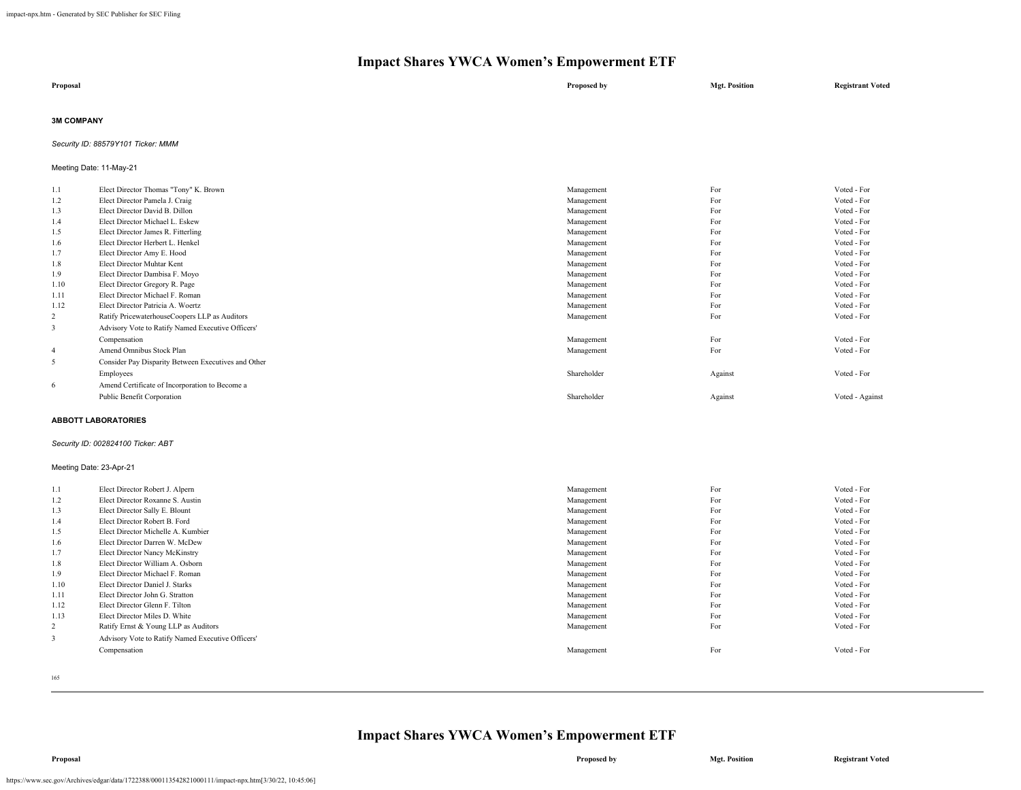| Proposal | Proposed by | <b>Mgt. Position</b> | <b>Registrant Voted</b> |
|----------|-------------|----------------------|-------------------------|
|          |             |                      |                         |

### **3M COMPANY**

*Security ID: 88579Y101 Ticker: MMM*

### Meeting Date: 11-May-21

| 1.1            | Elect Director Thomas "Tony" K. Brown               | Management  | For     | Voted - For     |
|----------------|-----------------------------------------------------|-------------|---------|-----------------|
| 1.2            | Elect Director Pamela J. Craig                      | Management  | For     | Voted - For     |
| 1.3            | Elect Director David B. Dillon                      | Management  | For     | Voted - For     |
| 1.4            | Elect Director Michael L. Eskew                     | Management  | For     | Voted - For     |
| 1.5            | Elect Director James R. Fitterling                  | Management  | For     | Voted - For     |
| 1.6            | Elect Director Herbert L. Henkel                    | Management  | For     | Voted - For     |
| 1.7            | Elect Director Amy E. Hood                          | Management  | For     | Voted - For     |
| 1.8            | Elect Director Muhtar Kent                          | Management  | For     | Voted - For     |
| 1.9            | Elect Director Dambisa F. Moyo                      | Management  | For     | Voted - For     |
| 1.10           | Elect Director Gregory R. Page                      | Management  | For     | Voted - For     |
| 1.11           | Elect Director Michael F. Roman                     | Management  | For     | Voted - For     |
| 1.12           | Elect Director Patricia A. Woertz                   | Management  | For     | Voted - For     |
| 2              | Ratify PricewaterhouseCoopers LLP as Auditors       | Management  | For     | Voted - For     |
| 3              | Advisory Vote to Ratify Named Executive Officers'   |             |         |                 |
|                | Compensation                                        | Management  | For     | Voted - For     |
| $\overline{4}$ | Amend Omnibus Stock Plan                            | Management  | For     | Voted - For     |
| 5              | Consider Pay Disparity Between Executives and Other |             |         |                 |
|                | Employees                                           | Shareholder | Against | Voted - For     |
| 6              | Amend Certificate of Incorporation to Become a      |             |         |                 |
|                | Public Benefit Corporation                          | Shareholder | Against | Voted - Against |
|                |                                                     |             |         |                 |

#### **ABBOTT LABORATORIES**

### *Security ID: 002824100 Ticker: ABT*

### Meeting Date: 23-Apr-21

| 1.1            | Elect Director Robert J. Alpern                   | Management | For | Voted - For |
|----------------|---------------------------------------------------|------------|-----|-------------|
| 1.2            | Elect Director Roxanne S. Austin                  | Management | For | Voted - For |
| 1.3            | Elect Director Sally E. Blount                    | Management | For | Voted - For |
| 1.4            | Elect Director Robert B. Ford                     | Management | For | Voted - For |
| 1.5            | Elect Director Michelle A. Kumbier                | Management | For | Voted - For |
| 1.6            | Elect Director Darren W. McDew                    | Management | For | Voted - For |
| 1.7            | Elect Director Nancy McKinstry                    | Management | For | Voted - For |
| 1.8            | Elect Director William A. Osborn                  | Management | For | Voted - For |
| 1.9            | Elect Director Michael F. Roman                   | Management | For | Voted - For |
| 1.10           | Elect Director Daniel J. Starks                   | Management | For | Voted - For |
| 1.11           | Elect Director John G. Stratton                   | Management | For | Voted - For |
| 1.12           | Elect Director Glenn F. Tilton                    | Management | For | Voted - For |
| 1.13           | Elect Director Miles D. White                     | Management | For | Voted - For |
| $\overline{2}$ | Ratify Ernst & Young LLP as Auditors              | Management | For | Voted - For |
| 3              | Advisory Vote to Ratify Named Executive Officers' |            |     |             |
|                | Compensation                                      | Management | For | Voted - For |
|                |                                                   |            |     |             |

165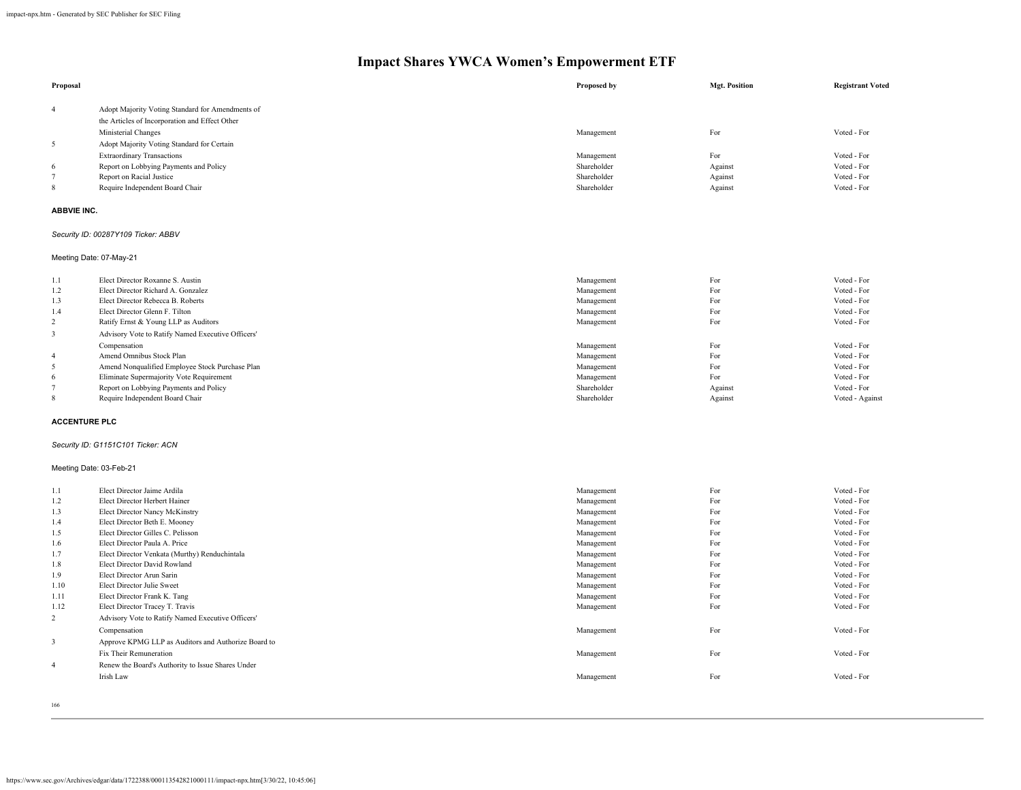| Proposal               |                                                             | Proposed by                | <b>Mgt. Position</b> | <b>Registrant Voted</b>    |
|------------------------|-------------------------------------------------------------|----------------------------|----------------------|----------------------------|
| 4                      | Adopt Majority Voting Standard for Amendments of            |                            |                      |                            |
|                        | the Articles of Incorporation and Effect Other              |                            |                      |                            |
|                        | Ministerial Changes                                         | Management                 | For                  | Voted - For                |
| $\sqrt{5}$             |                                                             |                            |                      |                            |
|                        | Adopt Majority Voting Standard for Certain                  |                            |                      |                            |
|                        | <b>Extraordinary Transactions</b>                           | Management                 | For                  | Voted - For                |
| 6<br>$\overline{7}$    | Report on Lobbying Payments and Policy                      | Shareholder<br>Shareholder | Against              | Voted - For<br>Voted - For |
| 8                      | Report on Racial Justice<br>Require Independent Board Chair | Shareholder                | Against<br>Against   | Voted - For                |
|                        |                                                             |                            |                      |                            |
| <b>ABBVIE INC.</b>     |                                                             |                            |                      |                            |
|                        | Security ID: 00287Y109 Ticker: ABBV                         |                            |                      |                            |
|                        | Meeting Date: 07-May-21                                     |                            |                      |                            |
| 1.1                    | Elect Director Roxanne S. Austin                            | Management                 | For                  | Voted - For                |
| 1.2                    | Elect Director Richard A. Gonzalez                          | Management                 | For                  | Voted - For                |
| 1.3                    | Elect Director Rebecca B. Roberts                           | Management                 | For                  | Voted - For                |
| 1.4                    | Elect Director Glenn F. Tilton                              | Management                 | For                  | Voted - For                |
| $\sqrt{2}$             | Ratify Ernst & Young LLP as Auditors                        | Management                 | For                  | Voted - For                |
| $\mathfrak z$          | Advisory Vote to Ratify Named Executive Officers'           |                            |                      |                            |
|                        | Compensation                                                | Management                 | For                  | Voted - For                |
| $\overline{4}$         | Amend Omnibus Stock Plan                                    | Management                 | For                  | Voted - For                |
| $\sqrt{5}$             | Amend Nonqualified Employee Stock Purchase Plan             | Management                 | For                  | Voted - For                |
| 6                      | Eliminate Supermajority Vote Requirement                    | Management                 | For                  | Voted - For                |
| 7                      | Report on Lobbying Payments and Policy                      | Shareholder                | Against              | Voted - For                |
| 8                      | Require Independent Board Chair                             | Shareholder                | Against              | Voted - Against            |
|                        | <b>ACCENTURE PLC</b>                                        |                            |                      |                            |
|                        | Security ID: G1151C101 Ticker: ACN                          |                            |                      |                            |
|                        | Meeting Date: 03-Feb-21                                     |                            |                      |                            |
| 1.1                    | Elect Director Jaime Ardila                                 | Management                 | For                  | Voted - For                |
| 1.2                    | Elect Director Herbert Hainer                               | Management                 | For                  | Voted - For                |
| 1.3                    | Elect Director Nancy McKinstry                              | Management                 | For                  | Voted - For                |
| 1.4                    | Elect Director Beth E. Mooney                               | Management                 | For                  | Voted - For                |
| 1.5                    | Elect Director Gilles C. Pelisson                           | Management                 | For                  | Voted - For                |
| 1.6                    | Elect Director Paula A. Price                               | Management                 | For                  | Voted - For                |
| 1.7                    | Elect Director Venkata (Murthy) Renduchintala               | Management                 | For                  | Voted - For                |
| 1.8                    | Elect Director David Rowland                                | Management                 | For                  | Voted - For                |
| 1.9                    | Elect Director Arun Sarin                                   | Management                 | For<br>For           | Voted - For<br>Voted - For |
| 1.10                   | Elect Director Julie Sweet                                  | Management                 | For                  | Voted - For                |
| 1.11                   | Elect Director Frank K. Tang                                | Management                 | For                  | Voted - For                |
| 1.12<br>$\overline{c}$ | Elect Director Tracey T. Travis                             | Management                 |                      |                            |
|                        | Advisory Vote to Ratify Named Executive Officers'           |                            |                      |                            |
|                        | Compensation                                                | Management                 | For                  | Voted - For                |
| $\mathfrak z$          | Approve KPMG LLP as Auditors and Authorize Board to         |                            |                      |                            |
|                        | Fix Their Remuneration                                      | Management                 | For                  | Voted - For                |
| 4                      | Renew the Board's Authority to Issue Shares Under           |                            |                      |                            |
|                        | Irish Law                                                   | Management                 | For                  | Voted - For                |
|                        |                                                             |                            |                      |                            |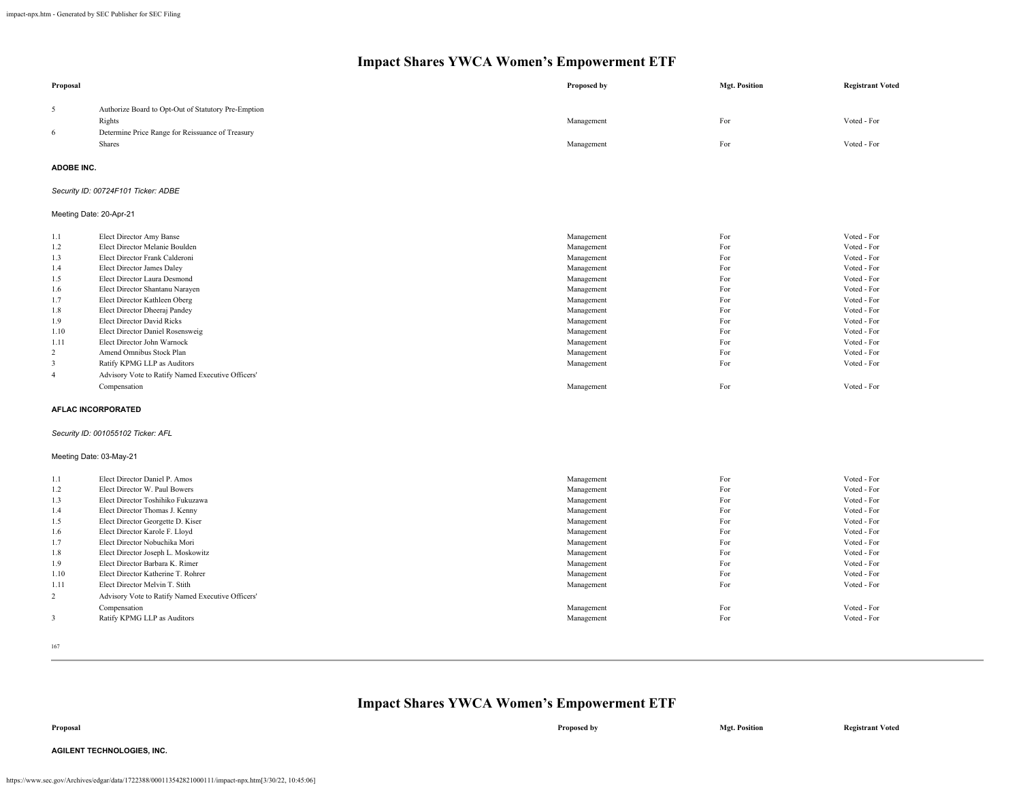| Proposal                |                                                                   | Proposed by              | <b>Mgt. Position</b> | <b>Registrant Voted</b>    |
|-------------------------|-------------------------------------------------------------------|--------------------------|----------------------|----------------------------|
| 5                       | Authorize Board to Opt-Out of Statutory Pre-Emption               |                          |                      |                            |
|                         | Rights                                                            | Management               | For                  | Voted - For                |
| 6                       | Determine Price Range for Reissuance of Treasury                  |                          |                      |                            |
|                         | Shares                                                            | Management               | For                  | Voted - For                |
| <b>ADOBE INC.</b>       |                                                                   |                          |                      |                            |
|                         | Security ID: 00724F101 Ticker: ADBE                               |                          |                      |                            |
| Meeting Date: 20-Apr-21 |                                                                   |                          |                      |                            |
| 1.1                     | Elect Director Amy Banse                                          | Management               | For                  | Voted - For                |
| 1.2                     | Elect Director Melanie Boulden                                    | Management               | For                  | Voted - For                |
| 1.3                     | Elect Director Frank Calderoni                                    | Management               | For                  | Voted - For                |
| 1.4                     | Elect Director James Daley                                        | Management               | For                  | Voted - For                |
| 1.5                     | Elect Director Laura Desmond                                      | Management               | For                  | Voted - For                |
| 1.6                     | Elect Director Shantanu Narayen                                   | Management               | For                  | Voted - For                |
| 1.7                     | Elect Director Kathleen Oberg                                     | Management               | For                  | Voted - For                |
| 1.8                     | Elect Director Dheeraj Pandey                                     | Management               | For                  | Voted - For                |
| 1.9                     | <b>Elect Director David Ricks</b>                                 | Management               | For                  | Voted - For                |
| 1.10                    | Elect Director Daniel Rosensweig<br>Elect Director John Warnock   | Management               | For<br>For           | Voted - For<br>Voted - For |
| 1.11<br>2               | Amend Omnibus Stock Plan                                          | Management               | For                  | Voted - For                |
| $\overline{3}$          | Ratify KPMG LLP as Auditors                                       | Management<br>Management | For                  | Voted - For                |
|                         |                                                                   |                          |                      |                            |
| $\overline{4}$          | Advisory Vote to Ratify Named Executive Officers'<br>Compensation | Management               | For                  | Voted - For                |
|                         |                                                                   |                          |                      |                            |
|                         | <b>AFLAC INCORPORATED</b>                                         |                          |                      |                            |
|                         | Security ID: 001055102 Ticker: AFL                                |                          |                      |                            |
| Meeting Date: 03-May-21 |                                                                   |                          |                      |                            |
| 1.1                     | Elect Director Daniel P. Amos                                     | Management               | For                  | Voted - For                |
| 1.2                     | Elect Director W. Paul Bowers                                     | Management               | For                  | Voted - For                |
| 1.3                     | Elect Director Toshihiko Fukuzawa                                 | Management               | For                  | Voted - For                |
| 1.4                     | Elect Director Thomas J. Kenny                                    | Management               | For                  | Voted - For                |
| 1.5                     | Elect Director Georgette D. Kiser                                 | Management               | For                  | Voted - For                |
| 1.6                     | Elect Director Karole F. Lloyd                                    | Management               | For                  | Voted - For                |
| 1.7                     | Elect Director Nobuchika Mori                                     | Management               | For                  | Voted - For                |
| 1.8                     | Elect Director Joseph L. Moskowitz                                | Management               | For                  | Voted - For                |
| 1.9                     | Elect Director Barbara K. Rimer                                   | Management               | For                  | Voted - For                |
| 1.10                    | Elect Director Katherine T. Rohrer                                | Management               | For                  | Voted - For                |
| 1.11                    | Elect Director Melvin T. Stith                                    | Management               | For                  | Voted - For                |
| 2                       | Advisory Vote to Ratify Named Executive Officers'                 |                          |                      |                            |
|                         | Compensation                                                      | Management               | For                  | Voted - For                |
| $\overline{3}$          | Ratify KPMG LLP as Auditors                                       | Management               | For                  | Voted - For                |

167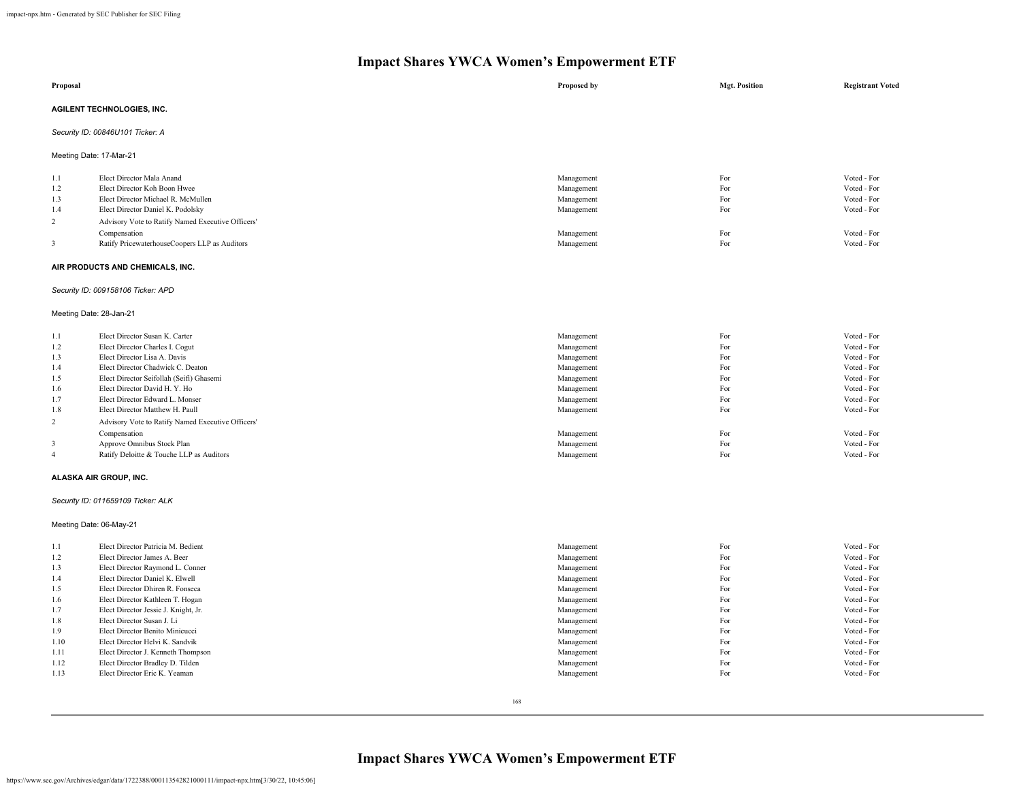| Proposal                |                                                   | Proposed by | <b>Mgt. Position</b> | <b>Registrant Voted</b> |  |  |  |
|-------------------------|---------------------------------------------------|-------------|----------------------|-------------------------|--|--|--|
|                         | AGILENT TECHNOLOGIES, INC.                        |             |                      |                         |  |  |  |
|                         | Security ID: 00846U101 Ticker: A                  |             |                      |                         |  |  |  |
| Meeting Date: 17-Mar-21 |                                                   |             |                      |                         |  |  |  |
| 1.1                     | Elect Director Mala Anand                         | Management  | For                  | Voted - For             |  |  |  |
|                         |                                                   |             | For                  | Voted - For             |  |  |  |
| 1.2                     | Elect Director Koh Boon Hwee                      | Management  |                      |                         |  |  |  |
| 1.3                     | Elect Director Michael R. McMullen                | Management  | For                  | Voted - For             |  |  |  |
| 1.4                     | Elect Director Daniel K. Podolsky                 | Management  | For                  | Voted - For             |  |  |  |
| $\overline{2}$          | Advisory Vote to Ratify Named Executive Officers' |             |                      |                         |  |  |  |
|                         | Compensation                                      | Management  | For                  | Voted - For             |  |  |  |
| $\mathbf{3}$            | Ratify PricewaterhouseCoopers LLP as Auditors     | Management  | For                  | Voted - For             |  |  |  |
|                         | AIR PRODUCTS AND CHEMICALS, INC.                  |             |                      |                         |  |  |  |
|                         | Security ID: 009158106 Ticker: APD                |             |                      |                         |  |  |  |
| Meeting Date: 28-Jan-21 |                                                   |             |                      |                         |  |  |  |
|                         |                                                   |             |                      |                         |  |  |  |
| 1.1                     | Elect Director Susan K. Carter                    | Management  | For                  | Voted - For             |  |  |  |
| 1.2                     | Elect Director Charles I. Cogut                   | Management  | For                  | Voted - For             |  |  |  |
| 1.3                     | Elect Director Lisa A. Davis                      | Management  | For                  | Voted - For             |  |  |  |
| 1.4                     | Elect Director Chadwick C. Deaton                 | Management  | For                  | Voted - For             |  |  |  |
| 1.5                     | Elect Director Seifollah (Seifi) Ghasemi          | Management  | For                  | Voted - For             |  |  |  |
| 1.6                     | Elect Director David H.Y. Ho                      | Management  | For                  | Voted - For             |  |  |  |
| 1.7                     | Elect Director Edward L. Monser                   | Management  | For                  | Voted - For             |  |  |  |
| 1.8                     | Elect Director Matthew H. Paull                   | Management  | For                  | Voted - For             |  |  |  |
| 2                       | Advisory Vote to Ratify Named Executive Officers' |             |                      |                         |  |  |  |
|                         |                                                   |             | For                  | Voted - For             |  |  |  |
|                         | Compensation                                      | Management  | For                  | Voted - For             |  |  |  |
| $\overline{\mathbf{3}}$ | Approve Omnibus Stock Plan                        | Management  |                      |                         |  |  |  |
| $\overline{4}$          | Ratify Deloitte & Touche LLP as Auditors          | Management  | For                  | Voted - For             |  |  |  |
|                         | ALASKA AIR GROUP, INC.                            |             |                      |                         |  |  |  |
|                         | Security ID: 011659109 Ticker: ALK                |             |                      |                         |  |  |  |
| Meeting Date: 06-May-21 |                                                   |             |                      |                         |  |  |  |
| 1.1                     | Elect Director Patricia M. Bedient                | Management  | For                  | Voted - For             |  |  |  |
| 1.2                     | Elect Director James A. Beer                      | Management  | For                  | Voted - For             |  |  |  |
| 1.3                     | Elect Director Raymond L. Conner                  | Management  | For                  | Voted - For             |  |  |  |
| 1.4                     | Elect Director Daniel K. Elwell                   | Management  | For                  | Voted - For             |  |  |  |
| 1.5                     | Elect Director Dhiren R. Fonseca                  | Management  | For                  | Voted - For             |  |  |  |
|                         | Elect Director Kathleen T. Hogan                  | Management  | For                  | Voted - For             |  |  |  |
| 1.6<br>1.7              | Elect Director Jessie J. Knight, Jr.              | Management  | For                  | Voted - For             |  |  |  |
|                         |                                                   |             |                      |                         |  |  |  |
| 1.8                     | Elect Director Susan J. Li                        | Management  | For                  | Voted - For             |  |  |  |
| 1.9                     | Elect Director Benito Minicucci                   | Management  | For                  | Voted - For             |  |  |  |
| 1.10                    | Elect Director Helvi K. Sandvik                   | Management  | For                  | Voted - For             |  |  |  |
| 1.11                    | Elect Director J. Kenneth Thompson                | Management  | For                  | Voted - For             |  |  |  |
| 1.12                    | Elect Director Bradley D. Tilden                  | Management  | For                  | Voted - For             |  |  |  |
| 1.13                    | Elect Director Eric K. Yeaman                     | Management  | For                  | Voted - For             |  |  |  |
|                         |                                                   |             |                      |                         |  |  |  |

168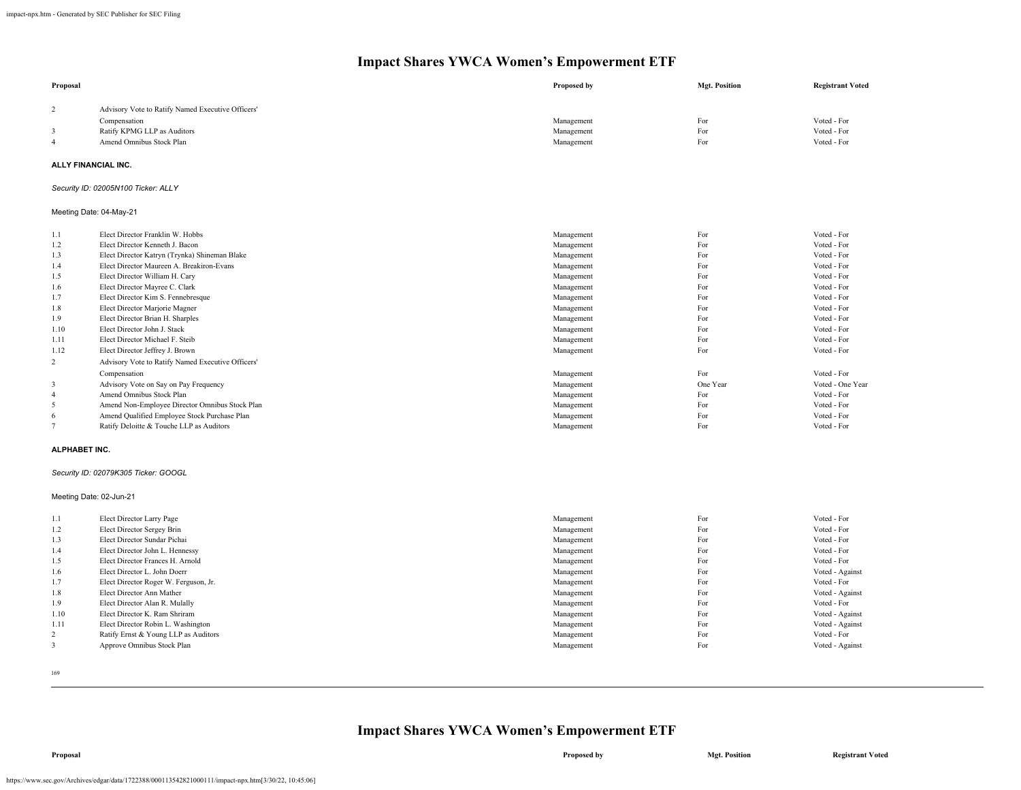| Proposal                |                                                   | <b>Proposed by</b> | <b>Mgt. Position</b> | <b>Registrant Voted</b> |
|-------------------------|---------------------------------------------------|--------------------|----------------------|-------------------------|
| $\overline{c}$          | Advisory Vote to Ratify Named Executive Officers' |                    |                      |                         |
|                         | Compensation                                      | Management         | For                  | Voted - For             |
| 3                       | Ratify KPMG LLP as Auditors                       | Management         | For                  | Voted - For             |
| $\overline{4}$          | Amend Omnibus Stock Plan                          | Management         | For                  | Voted - For             |
|                         |                                                   |                    |                      |                         |
| ALLY FINANCIAL INC.     |                                                   |                    |                      |                         |
|                         | Security ID: 02005N100 Ticker: ALLY               |                    |                      |                         |
|                         | Meeting Date: 04-May-21                           |                    |                      |                         |
| 1.1                     | Elect Director Franklin W. Hobbs                  | Management         | For                  | Voted - For             |
| 1.2                     | Elect Director Kenneth J. Bacon                   | Management         | For                  | Voted - For             |
| 1.3                     | Elect Director Katryn (Trynka) Shineman Blake     | Management         | For                  | Voted - For             |
| 1.4                     | Elect Director Maureen A. Breakiron-Evans         | Management         | For                  | Voted - For             |
| 1.5                     | Elect Director William H. Cary                    | Management         | For                  | Voted - For             |
| 1.6                     | Elect Director Mayree C. Clark                    | Management         | For                  | Voted - For             |
| 1.7                     | Elect Director Kim S. Fennebresque                | Management         | For                  | Voted - For             |
| 1.8                     | Elect Director Marjorie Magner                    | Management         | For                  | Voted - For             |
| 1.9                     | Elect Director Brian H. Sharples                  | Management         | For                  | Voted - For             |
| 1.10                    | Elect Director John J. Stack                      | Management         | For                  | Voted - For             |
| 1.11                    | Elect Director Michael F. Steib                   | Management         | For                  | Voted - For             |
| 1.12                    | Elect Director Jeffrey J. Brown                   | Management         | For                  | Voted - For             |
| 2                       | Advisory Vote to Ratify Named Executive Officers' |                    |                      |                         |
|                         | Compensation                                      | Management         | For                  | Voted - For             |
| 3                       | Advisory Vote on Say on Pay Frequency             | Management         | One Year             | Voted - One Year        |
| $\overline{4}$          | Amend Omnibus Stock Plan                          | Management         | For                  | Voted - For             |
| 5                       | Amend Non-Employee Director Omnibus Stock Plan    | Management         | For                  | Voted - For             |
| 6                       | Amend Qualified Employee Stock Purchase Plan      | Management         | For                  | Voted - For             |
| $7\phantom{.0}$         | Ratify Deloitte & Touche LLP as Auditors          | Management         | For                  | Voted - For             |
| <b>ALPHABET INC.</b>    |                                                   |                    |                      |                         |
|                         | Security ID: 02079K305 Ticker: GOOGL              |                    |                      |                         |
| Meeting Date: 02-Jun-21 |                                                   |                    |                      |                         |
| 1.1                     | Elect Director Larry Page                         | Management         | For                  | Voted - For             |
| 1.2                     | Elect Director Sergey Brin                        | Management         | For                  | Voted - For             |
| 1.3                     | Elect Director Sundar Pichai                      | Management         | For                  | Voted - For             |
| 1.4                     | Elect Director John L. Hennessy                   | Management         | For                  | Voted - For             |
| 1.5                     | Elect Director Frances H. Arnold                  | Management         | For                  | Voted - For             |
| 1.6                     | Elect Director L. John Doerr                      | Management         | For                  | Voted - Against         |
| 1.7                     | Elect Director Roger W. Ferguson, Jr.             | Management         | For                  | Voted - For             |
| 1.8                     | Elect Director Ann Mather                         | Management         | For                  | Voted - Against         |
| 1.9                     | Elect Director Alan R. Mulally                    | Management         | For                  | Voted - For             |
| 1.10                    | Elect Director K. Ram Shriram                     | Management         | For                  | Voted - Against         |
| 1.11                    | Elect Director Robin L. Washington                | Management         | For                  | Voted - Against         |
| $\overline{c}$          | Ratify Ernst & Young LLP as Auditors              | Management         | For                  | Voted - For             |
| 3                       | Approve Omnibus Stock Plan                        | Management         | For                  | Voted - Against         |

169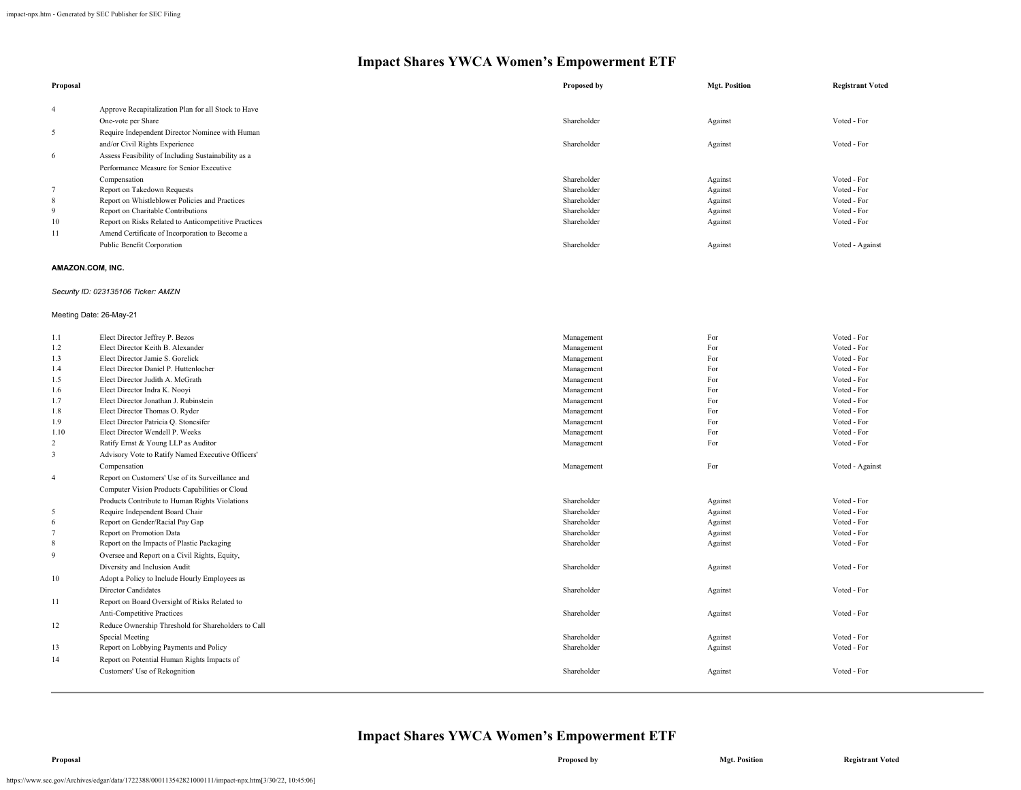| Proposal       |                                                      | Proposed by | <b>Mgt. Position</b> | <b>Registrant Voted</b> |
|----------------|------------------------------------------------------|-------------|----------------------|-------------------------|
| $\overline{4}$ | Approve Recapitalization Plan for all Stock to Have  |             |                      |                         |
|                | One-vote per Share                                   | Shareholder | Against              | Voted - For             |
| 5              | Require Independent Director Nominee with Human      |             |                      |                         |
|                | and/or Civil Rights Experience                       | Shareholder | Against              | Voted - For             |
| 6              | Assess Feasibility of Including Sustainability as a  |             |                      |                         |
|                | Performance Measure for Senior Executive             |             |                      |                         |
|                | Compensation                                         | Shareholder | Against              | Voted - For             |
|                | Report on Takedown Requests                          | Shareholder | Against              | Voted - For             |
| 8              | Report on Whistleblower Policies and Practices       | Shareholder | Against              | Voted - For             |
| 9              | Report on Charitable Contributions                   | Shareholder | Against              | Voted - For             |
| 10             | Report on Risks Related to Anticompetitive Practices | Shareholder | Against              | Voted - For             |
| 11             | Amend Certificate of Incorporation to Become a       |             |                      |                         |
|                | Public Benefit Corporation                           | Shareholder | Against              | Voted - Against         |

#### **AMAZON.COM, INC.**

### *Security ID: 023135106 Ticker: AMZN*

### Meeting Date: 26-May-21

| 1.1            | Elect Director Jeffrey P. Bezos                     | Management  | For     | Voted - For     |
|----------------|-----------------------------------------------------|-------------|---------|-----------------|
| 1.2            | Elect Director Keith B. Alexander                   | Management  | For     | Voted - For     |
| 1.3            | Elect Director Jamie S. Gorelick                    | Management  | For     | Voted - For     |
| 1.4            | Elect Director Daniel P. Huttenlocher               | Management  | For     | Voted - For     |
| 1.5            | Elect Director Judith A. McGrath                    | Management  | For     | Voted - For     |
| 1.6            | Elect Director Indra K. Nooyi                       | Management  | For     | Voted - For     |
| 1.7            | Elect Director Jonathan J. Rubinstein               | Management  | For     | Voted - For     |
| 1.8            | Elect Director Thomas O. Ryder                      | Management  | For     | Voted - For     |
| 1.9            | Elect Director Patricia Q. Stonesifer               | Management  | For     | Voted - For     |
| 1.10           | Elect Director Wendell P. Weeks                     | Management  | For     | Voted - For     |
| $\overline{2}$ | Ratify Ernst & Young LLP as Auditor                 | Management  | For     | Voted - For     |
| 3              | Advisory Vote to Ratify Named Executive Officers'   |             |         |                 |
|                | Compensation                                        | Management  | For     | Voted - Against |
| $\overline{4}$ | Report on Customers' Use of its Surveillance and    |             |         |                 |
|                | Computer Vision Products Capabilities or Cloud      |             |         |                 |
|                | Products Contribute to Human Rights Violations      | Shareholder | Against | Voted - For     |
| 5              | Require Independent Board Chair                     | Shareholder | Against | Voted - For     |
| 6              | Report on Gender/Racial Pay Gap                     | Shareholder | Against | Voted - For     |
| $\overline{7}$ | Report on Promotion Data                            | Shareholder | Against | Voted - For     |
| 8              | Report on the Impacts of Plastic Packaging          | Shareholder | Against | Voted - For     |
| 9              | Oversee and Report on a Civil Rights, Equity,       |             |         |                 |
|                | Diversity and Inclusion Audit                       | Shareholder | Against | Voted - For     |
| 10             | Adopt a Policy to Include Hourly Employees as       |             |         |                 |
|                | <b>Director Candidates</b>                          | Shareholder | Against | Voted - For     |
| 11             | Report on Board Oversight of Risks Related to       |             |         |                 |
|                | Anti-Competitive Practices                          | Shareholder | Against | Voted - For     |
| 12             | Reduce Ownership Threshold for Shareholders to Call |             |         |                 |
|                | Special Meeting                                     | Shareholder | Against | Voted - For     |
| 13             | Report on Lobbying Payments and Policy              | Shareholder | Against | Voted - For     |
| 14             | Report on Potential Human Rights Impacts of         |             |         |                 |
|                | Customers' Use of Rekognition                       | Shareholder | Against | Voted - For     |
|                |                                                     |             |         |                 |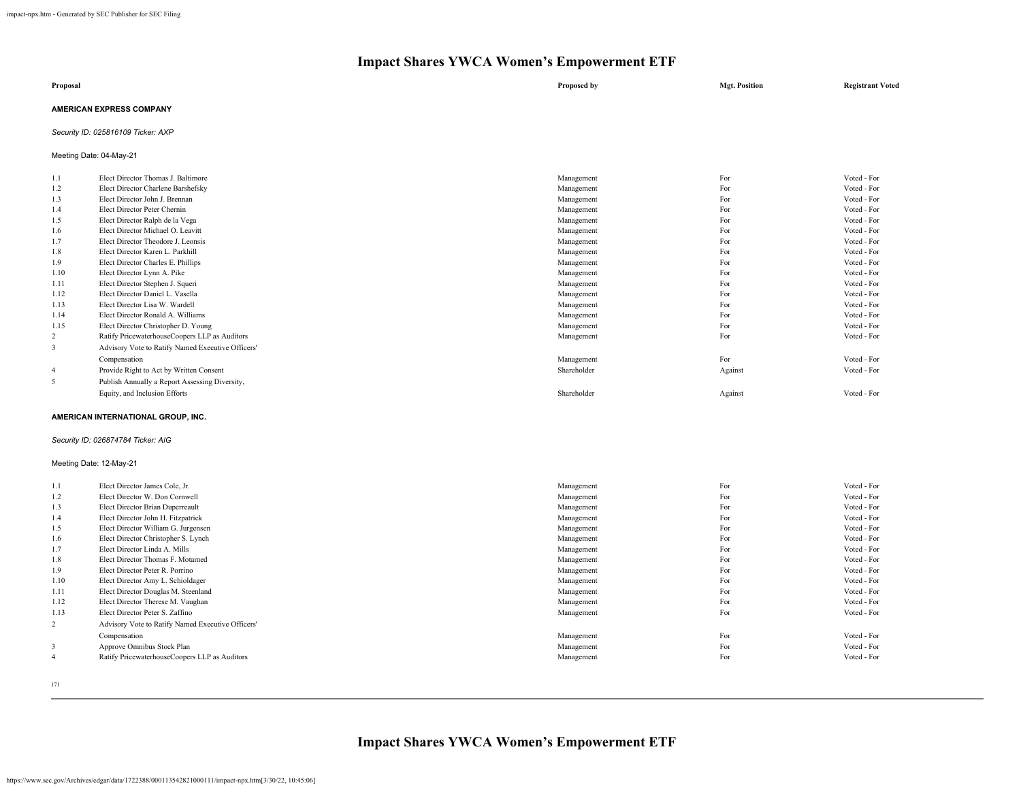| Proposal                        | Proposed by | <b>Mgt. Position</b> | <b>Registrant Voted</b> |
|---------------------------------|-------------|----------------------|-------------------------|
| <b>AMERICAN EXPRESS COMPANY</b> |             |                      |                         |

*Security ID: 025816109 Ticker: AXP*

Meeting Date: 04-May-21

| 1.1            | Elect Director Thomas J. Baltimore                | Management  | For     | Voted - For |
|----------------|---------------------------------------------------|-------------|---------|-------------|
| 1.2            | Elect Director Charlene Barshefsky                | Management  | For     | Voted - For |
| 1.3            | Elect Director John J. Brennan                    | Management  | For     | Voted - For |
| 1.4            | Elect Director Peter Chernin                      | Management  | For     | Voted - For |
| 1.5            | Elect Director Ralph de la Vega                   | Management  | For     | Voted - For |
| 1.6            | Elect Director Michael O. Leavitt                 | Management  | For     | Voted - For |
| 1.7            | Elect Director Theodore J. Leonsis                | Management  | For     | Voted - For |
| 1.8            | Elect Director Karen L. Parkhill                  | Management  | For     | Voted - For |
| 1.9            | Elect Director Charles E. Phillips                | Management  | For     | Voted - For |
| 1.10           | Elect Director Lynn A. Pike                       | Management  | For     | Voted - For |
| 1.11           | Elect Director Stephen J. Squeri                  | Management  | For     | Voted - For |
| 1.12           | Elect Director Daniel L. Vasella                  | Management  | For     | Voted - For |
| 1.13           | Elect Director Lisa W. Wardell                    | Management  | For     | Voted - For |
| 1.14           | Elect Director Ronald A. Williams                 | Management  | For     | Voted - For |
| 1.15           | Elect Director Christopher D. Young               | Management  | For     | Voted - For |
| $\overline{c}$ | Ratify PricewaterhouseCoopers LLP as Auditors     | Management  | For     | Voted - For |
| 3              | Advisory Vote to Ratify Named Executive Officers' |             |         |             |
|                | Compensation                                      | Management  | For     | Voted - For |
| 4              | Provide Right to Act by Written Consent           | Shareholder | Against | Voted - For |
| 5              | Publish Annually a Report Assessing Diversity,    |             |         |             |
|                | Equity, and Inclusion Efforts                     | Shareholder | Against | Voted - For |
|                |                                                   |             |         |             |

### **AMERICAN INTERNATIONAL GROUP, INC.**

### *Security ID: 026874784 Ticker: AIG*

### Meeting Date: 12-May-21

| 1.1            | Elect Director James Cole, Jr.                    | Management | For | Voted - For |
|----------------|---------------------------------------------------|------------|-----|-------------|
| 1.2            | Elect Director W. Don Cornwell                    | Management | For | Voted - For |
| 1.3            | Elect Director Brian Duperreault                  | Management | For | Voted - For |
| 1.4            | Elect Director John H. Fitzpatrick                | Management | For | Voted - For |
| 1.5            | Elect Director William G. Jurgensen               | Management | For | Voted - For |
| 1.6            | Elect Director Christopher S. Lynch               | Management | For | Voted - For |
| 1.7            | Elect Director Linda A. Mills                     | Management | For | Voted - For |
| 1.8            | Elect Director Thomas F. Motamed                  | Management | For | Voted - For |
| 1.9            | Elect Director Peter R. Porrino                   | Management | For | Voted - For |
| 1.10           | Elect Director Amy L. Schioldager                 | Management | For | Voted - For |
| 1.11           | Elect Director Douglas M. Steenland               | Management | For | Voted - For |
| 1.12           | Elect Director Therese M. Vaughan                 | Management | For | Voted - For |
| 1.13           | Elect Director Peter S. Zaffino                   | Management | For | Voted - For |
| $\overline{2}$ | Advisory Vote to Ratify Named Executive Officers' |            |     |             |
|                | Compensation                                      | Management | For | Voted - For |
| 3              | Approve Omnibus Stock Plan                        | Management | For | Voted - For |
| $\overline{4}$ | Ratify PricewaterhouseCoopers LLP as Auditors     | Management | For | Voted - For |
|                |                                                   |            |     |             |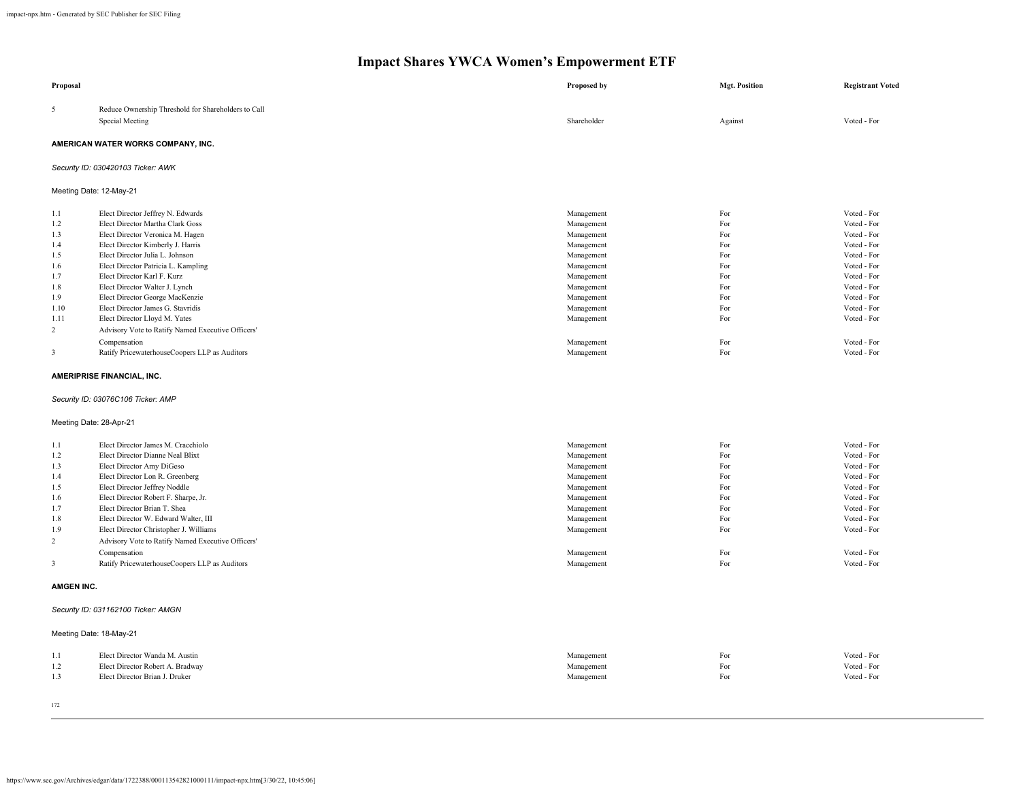| Proposal                                                                                                |                                                                                                                                                                                                                                                                                                                                                                                                                                                                                                                           | Proposed by                                                                                                                                                                        | <b>Mgt. Position</b>                                                                    | <b>Registrant Voted</b>                                                                                                                                                                         |
|---------------------------------------------------------------------------------------------------------|---------------------------------------------------------------------------------------------------------------------------------------------------------------------------------------------------------------------------------------------------------------------------------------------------------------------------------------------------------------------------------------------------------------------------------------------------------------------------------------------------------------------------|------------------------------------------------------------------------------------------------------------------------------------------------------------------------------------|-----------------------------------------------------------------------------------------|-------------------------------------------------------------------------------------------------------------------------------------------------------------------------------------------------|
| 5                                                                                                       | Reduce Ownership Threshold for Shareholders to Call<br>Special Meeting                                                                                                                                                                                                                                                                                                                                                                                                                                                    | Shareholder                                                                                                                                                                        | Against                                                                                 | Voted - For                                                                                                                                                                                     |
|                                                                                                         | AMERICAN WATER WORKS COMPANY, INC.                                                                                                                                                                                                                                                                                                                                                                                                                                                                                        |                                                                                                                                                                                    |                                                                                         |                                                                                                                                                                                                 |
|                                                                                                         | Security ID: 030420103 Ticker: AWK                                                                                                                                                                                                                                                                                                                                                                                                                                                                                        |                                                                                                                                                                                    |                                                                                         |                                                                                                                                                                                                 |
|                                                                                                         | Meeting Date: 12-May-21                                                                                                                                                                                                                                                                                                                                                                                                                                                                                                   |                                                                                                                                                                                    |                                                                                         |                                                                                                                                                                                                 |
| 1.1<br>1.2<br>1.3<br>1.4<br>1.5<br>1.6<br>1.7<br>1.8<br>1.9<br>1.10<br>1.11<br>$\overline{c}$<br>3      | Elect Director Jeffrey N. Edwards<br>Elect Director Martha Clark Goss<br>Elect Director Veronica M. Hagen<br>Elect Director Kimberly J. Harris<br>Elect Director Julia L. Johnson<br>Elect Director Patricia L. Kampling<br>Elect Director Karl F. Kurz<br>Elect Director Walter J. Lynch<br>Elect Director George MacKenzie<br>Elect Director James G. Stavridis<br>Elect Director Lloyd M. Yates<br>Advisory Vote to Ratify Named Executive Officers'<br>Compensation<br>Ratify PricewaterhouseCoopers LLP as Auditors  | Management<br>Management<br>Management<br>Management<br>Management<br>Management<br>Management<br>Management<br>Management<br>Management<br>Management<br>Management<br>Management | For<br>For<br>For<br>For<br>For<br>For<br>For<br>For<br>For<br>For<br>For<br>For<br>For | Voted - For<br>Voted - For<br>Voted - For<br>Voted - For<br>Voted - For<br>Voted - For<br>Voted - For<br>Voted - For<br>Voted - For<br>Voted - For<br>Voted - For<br>Voted - For<br>Voted - For |
|                                                                                                         | AMERIPRISE FINANCIAL, INC.                                                                                                                                                                                                                                                                                                                                                                                                                                                                                                |                                                                                                                                                                                    |                                                                                         |                                                                                                                                                                                                 |
|                                                                                                         | Security ID: 03076C106 Ticker: AMP                                                                                                                                                                                                                                                                                                                                                                                                                                                                                        |                                                                                                                                                                                    |                                                                                         |                                                                                                                                                                                                 |
|                                                                                                         | Meeting Date: 28-Apr-21                                                                                                                                                                                                                                                                                                                                                                                                                                                                                                   |                                                                                                                                                                                    |                                                                                         |                                                                                                                                                                                                 |
| 1.1<br>1.2<br>1.3<br>1.4<br>1.5<br>1.6<br>1.7<br>1.8<br>1.9<br>$\overline{2}$<br>3<br><b>AMGEN INC.</b> | Elect Director James M. Cracchiolo<br>Elect Director Dianne Neal Blixt<br>Elect Director Amy DiGeso<br>Elect Director Lon R. Greenberg<br>Elect Director Jeffrey Noddle<br>Elect Director Robert F. Sharpe, Jr.<br>Elect Director Brian T. Shea<br>Elect Director W. Edward Walter, III<br>Elect Director Christopher J. Williams<br>Advisory Vote to Ratify Named Executive Officers'<br>Compensation<br>Ratify PricewaterhouseCoopers LLP as Auditors<br>Security ID: 031162100 Ticker: AMGN<br>Meeting Date: 18-May-21 | Management<br>Management<br>Management<br>Management<br>Management<br>Management<br>Management<br>Management<br>Management<br>Management<br>Management                             | For<br>For<br>For<br>For<br>For<br>For<br>For<br>For<br>For<br>For<br>For               | Voted - For<br>Voted - For<br>Voted - For<br>Voted - For<br>Voted - For<br>Voted - For<br>Voted - For<br>Voted - For<br>Voted - For<br>Voted - For<br>Voted - For                               |
| 1.1<br>1.2<br>1.3                                                                                       | Elect Director Wanda M. Austin<br>Elect Director Robert A. Bradway<br>Elect Director Brian J. Druker                                                                                                                                                                                                                                                                                                                                                                                                                      | Management<br>Management<br>Management                                                                                                                                             | For<br>For<br>For                                                                       | Voted - For<br>Voted - For<br>Voted - For                                                                                                                                                       |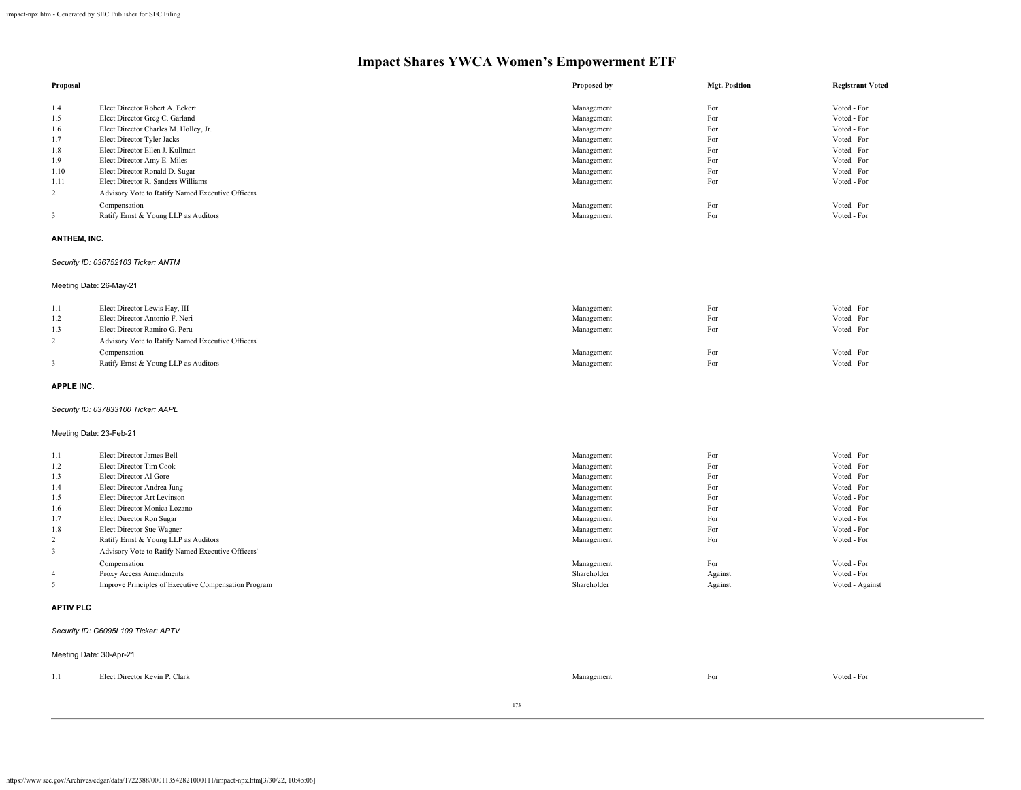| Proposal |                                                   | Proposed by | <b>Mgt. Position</b> | <b>Registrant Voted</b> |
|----------|---------------------------------------------------|-------------|----------------------|-------------------------|
| 1.4      | Elect Director Robert A. Eckert                   | Management  | For                  | Voted - For             |
| 1.5      | Elect Director Greg C. Garland                    | Management  | For                  | Voted - For             |
| 1.6      | Elect Director Charles M. Holley, Jr.             | Management  | For                  | Voted - For             |
| 1.7      | Elect Director Tyler Jacks                        | Management  | For                  | Voted - For             |
| 1.8      | Elect Director Ellen J. Kullman                   | Management  | For                  | Voted - For             |
| 1.9      | Elect Director Amy E. Miles                       | Management  | For                  | Voted - For             |
| 1.10     | Elect Director Ronald D. Sugar                    | Management  | For                  | Voted - For             |
| 1.11     | Elect Director R. Sanders Williams                | Management  | For                  | Voted - For             |
| 2        | Advisory Vote to Ratify Named Executive Officers' |             |                      |                         |
|          | Compensation                                      | Management  | For                  | Voted - For             |
|          | Ratify Ernst & Young LLP as Auditors              | Management  | For                  | Voted - For             |

#### **ANTHEM, INC.**

### *Security ID: 036752103 Ticker: ANTM*

### Meeting Date: 26-May-21

| 1.1 | Elect Director Lewis Hay, III                     | Management | For | Voted - For |
|-----|---------------------------------------------------|------------|-----|-------------|
| 1.2 | Elect Director Antonio F. Neri                    | Management | For | Voted - For |
| 1.3 | Elect Director Ramiro G. Peru                     | Management | For | Voted - For |
|     | Advisory Vote to Ratify Named Executive Officers' |            |     |             |
|     | Compensation                                      | Management | For | Voted - For |
|     | Ratify Ernst & Young LLP as Auditors              | Management | For | Voted - For |

#### **APPLE INC.**

### *Security ID: 037833100 Ticker: AAPL*

### Meeting Date: 23-Feb-21

| 1.1            | Elect Director James Bell                            | Management  | For     | Voted - For     |
|----------------|------------------------------------------------------|-------------|---------|-----------------|
| 1.2            | Elect Director Tim Cook                              | Management  | For     | Voted - For     |
| 1.3            | Elect Director Al Gore                               | Management  | For     | Voted - For     |
| 1.4            | Elect Director Andrea Jung                           | Management  | For     | Voted - For     |
| 1.5            | Elect Director Art Levinson                          | Management  | For     | Voted - For     |
| 1.6            | Elect Director Monica Lozano                         | Management  | For     | Voted - For     |
| 1.7            | Elect Director Ron Sugar                             | Management  | For     | Voted - For     |
| 1.8            | Elect Director Sue Wagner                            | Management  | For     | Voted - For     |
| 2              | Ratify Ernst & Young LLP as Auditors                 | Management  | For     | Voted - For     |
| 3              | Advisory Vote to Ratify Named Executive Officers'    |             |         |                 |
|                | Compensation                                         | Management  | For     | Voted - For     |
| $\overline{4}$ | Proxy Access Amendments                              | Shareholder | Against | Voted - For     |
|                | Improve Principles of Executive Compensation Program | Shareholder | Against | Voted - Against |
|                |                                                      |             |         |                 |

#### **APTIV PLC**

### *Security ID: G6095L109 Ticker: APTV*

| Meeting Date: 30-Apr-21 |                               |            |     |             |
|-------------------------|-------------------------------|------------|-----|-------------|
| 1.1                     | Elect Director Kevin P. Clark | Management | For | Voted - For |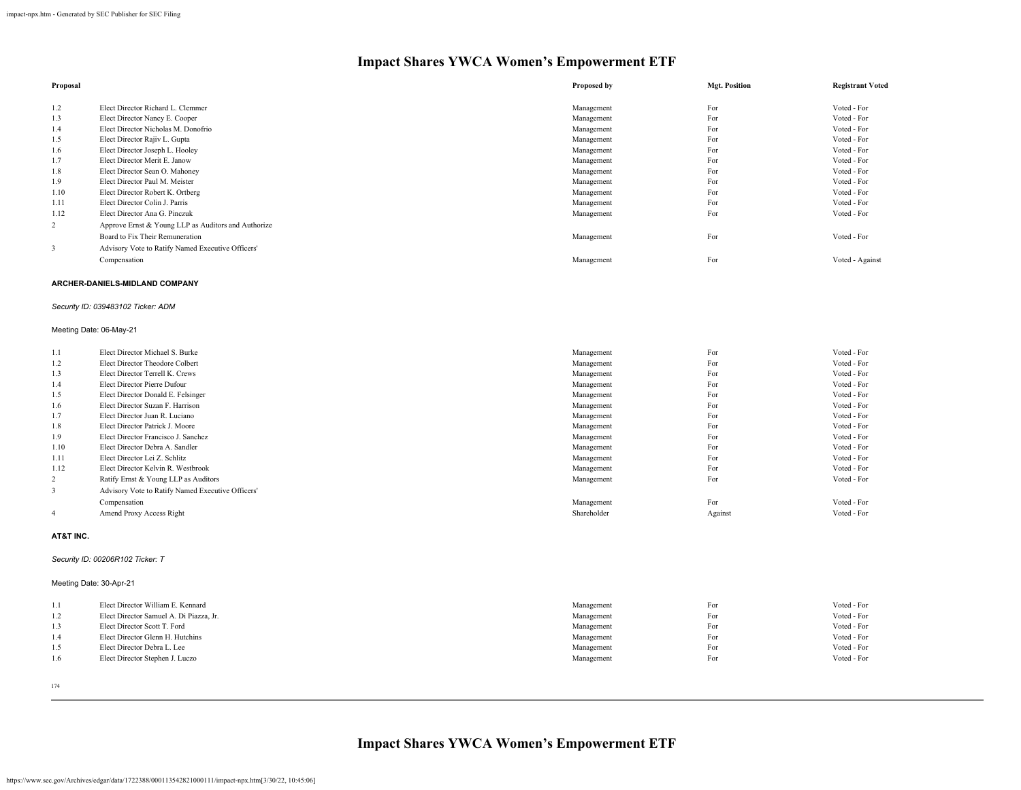| Proposal       |                                                     | Proposed by | <b>Mgt. Position</b> | <b>Registrant Voted</b> |
|----------------|-----------------------------------------------------|-------------|----------------------|-------------------------|
| 1.2            | Elect Director Richard L. Clemmer                   | Management  | For                  | Voted - For             |
| 1.3            | Elect Director Nancy E. Cooper                      | Management  | For                  | Voted - For             |
| 1.4            | Elect Director Nicholas M. Donofrio                 | Management  | For                  | Voted - For             |
| 1.5            | Elect Director Rajiv L. Gupta                       | Management  | For                  | Voted - For             |
| 1.6            | Elect Director Joseph L. Hooley                     | Management  | For                  | Voted - For             |
| 1.7            | Elect Director Merit E. Janow                       | Management  | For                  | Voted - For             |
| 1.8            | Elect Director Sean O. Mahoney                      | Management  | For                  | Voted - For             |
| 1.9            | Elect Director Paul M. Meister                      | Management  | For                  | Voted - For             |
| 1.10           | Elect Director Robert K. Ortberg                    | Management  | For                  | Voted - For             |
| 1.11           | Elect Director Colin J. Parris                      | Management  | For                  | Voted - For             |
| 1.12           | Elect Director Ana G. Pinczuk                       | Management  | For                  | Voted - For             |
| $\overline{2}$ | Approve Ernst & Young LLP as Auditors and Authorize |             |                      |                         |
|                | Board to Fix Their Remuneration                     | Management  | For                  | Voted - For             |
| 3              | Advisory Vote to Ratify Named Executive Officers'   |             |                      |                         |
|                | Compensation                                        | Management  | For                  | Voted - Against         |

#### **ARCHER-DANIELS-MIDLAND COMPANY**

### *Security ID: 039483102 Ticker: ADM*

### Meeting Date: 06-May-21

| 1.1            | Elect Director Michael S. Burke                   | Management  | For     | Voted - For |
|----------------|---------------------------------------------------|-------------|---------|-------------|
| 1.2            | Elect Director Theodore Colbert                   | Management  | For     | Voted - For |
| 1.3            | Elect Director Terrell K. Crews                   | Management  | For     | Voted - For |
| 1.4            | Elect Director Pierre Dufour                      | Management  | For     | Voted - For |
| 1.5            | Elect Director Donald E. Felsinger                | Management  | For     | Voted - For |
| 1.6            | Elect Director Suzan F. Harrison                  | Management  | For     | Voted - For |
| 1.7            | Elect Director Juan R. Luciano                    | Management  | For     | Voted - For |
| 1.8            | Elect Director Patrick J. Moore                   | Management  | For     | Voted - For |
| 1.9            | Elect Director Francisco J. Sanchez               | Management  | For     | Voted - For |
| 1.10           | Elect Director Debra A. Sandler                   | Management  | For     | Voted - For |
| 1.11           | Elect Director Lei Z. Schlitz                     | Management  | For     | Voted - For |
| 1.12           | Elect Director Kelvin R. Westbrook                | Management  | For     | Voted - For |
| $\overline{2}$ | Ratify Ernst & Young LLP as Auditors              | Management  | For     | Voted - For |
| 3              | Advisory Vote to Ratify Named Executive Officers' |             |         |             |
|                | Compensation                                      | Management  | For     | Voted - For |
| $\overline{4}$ | Amend Proxy Access Right                          | Shareholder | Against | Voted - For |
|                |                                                   |             |         |             |

#### **AT&T INC.**

### *Security ID: 00206R102 Ticker: T*

### Meeting Date: 30-Apr-21

| 1.1 | Elect Director William E. Kennard       | Management | For | Voted - For |
|-----|-----------------------------------------|------------|-----|-------------|
| 1.2 | Elect Director Samuel A. Di Piazza, Jr. | Management | For | Voted - For |
| 1.3 | Elect Director Scott T. Ford            | Management | For | Voted - For |
| 1.4 | Elect Director Glenn H. Hutchins        | Management | For | Voted - For |
| 1.5 | Elect Director Debra L. Lee             | Management | For | Voted - For |
| 1.6 | Elect Director Stephen J. Luczo         | Management | For | Voted - For |
|     |                                         |            |     |             |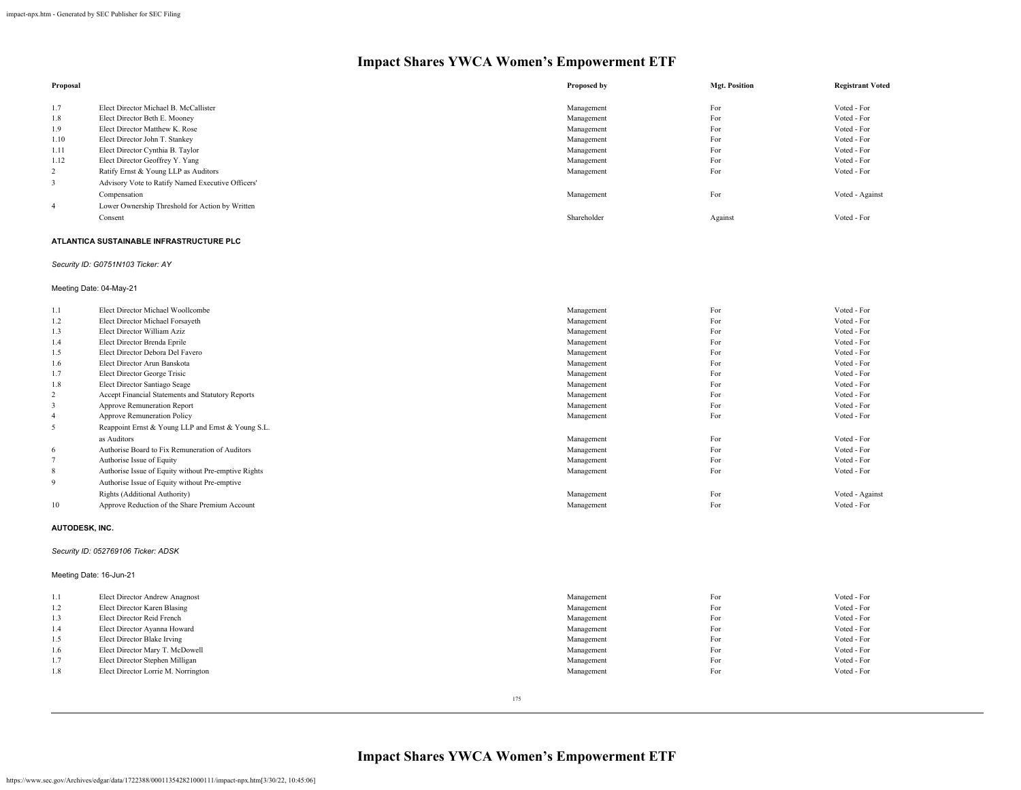| Proposal       |                                                   | Proposed by | <b>Mgt. Position</b> | <b>Registrant Voted</b> |
|----------------|---------------------------------------------------|-------------|----------------------|-------------------------|
| 1.7            | Elect Director Michael B. McCallister             | Management  | For                  | Voted - For             |
| 1.8            | Elect Director Beth E. Mooney                     | Management  | For                  | Voted - For             |
| 1.9            | Elect Director Matthew K. Rose                    | Management  | For                  | Voted - For             |
| 1.10           | Elect Director John T. Stankey                    | Management  | For                  | Voted - For             |
| 1.11           | Elect Director Cynthia B. Taylor                  | Management  | For                  | Voted - For             |
| 1.12           | Elect Director Geoffrey Y. Yang                   | Management  | For                  | Voted - For             |
| 2              | Ratify Ernst & Young LLP as Auditors              | Management  | For                  | Voted - For             |
| 3              | Advisory Vote to Ratify Named Executive Officers' |             |                      |                         |
|                | Compensation                                      | Management  | For                  | Voted - Against         |
| $\overline{4}$ | Lower Ownership Threshold for Action by Written   |             |                      |                         |
|                | Consent                                           | Shareholder | Against              | Voted - For             |

### **ATLANTICA SUSTAINABLE INFRASTRUCTURE PLC**

### *Security ID: G0751N103 Ticker: AY*

### Meeting Date: 04-May-21

| 1.1            | Elect Director Michael Woollcombe                    | Management | For | Voted - For     |
|----------------|------------------------------------------------------|------------|-----|-----------------|
| 1.2            | Elect Director Michael Forsayeth                     | Management | For | Voted - For     |
| 1.3            | Elect Director William Aziz                          | Management | For | Voted - For     |
| 1.4            | Elect Director Brenda Eprile                         | Management | For | Voted - For     |
| 1.5            | Elect Director Debora Del Favero                     | Management | For | Voted - For     |
| 1.6            | Elect Director Arun Banskota                         | Management | For | Voted - For     |
| 1.7            | Elect Director George Trisic                         | Management | For | Voted - For     |
| 1.8            | Elect Director Santiago Seage                        | Management | For | Voted - For     |
| 2              | Accept Financial Statements and Statutory Reports    | Management | For | Voted - For     |
| 3              | Approve Remuneration Report                          | Management | For | Voted - For     |
| $\overline{4}$ | Approve Remuneration Policy                          | Management | For | Voted - For     |
| 5              | Reappoint Ernst & Young LLP and Ernst & Young S.L.   |            |     |                 |
|                | as Auditors                                          | Management | For | Voted - For     |
| 6              | Authorise Board to Fix Remuneration of Auditors      | Management | For | Voted - For     |
|                | Authorise Issue of Equity                            | Management | For | Voted - For     |
| 8              | Authorise Issue of Equity without Pre-emptive Rights | Management | For | Voted - For     |
| 9              | Authorise Issue of Equity without Pre-emptive        |            |     |                 |
|                | Rights (Additional Authority)                        | Management | For | Voted - Against |
| 10             | Approve Reduction of the Share Premium Account       | Management | For | Voted - For     |
|                |                                                      |            |     |                 |

#### **AUTODESK, INC.**

### *Security ID: 052769106 Ticker: ADSK*

### Meeting Date: 16-Jun-21

| 1.1 | Elect Director Andrew Anagnost      | Management | For | Voted - For |
|-----|-------------------------------------|------------|-----|-------------|
| 1.2 | Elect Director Karen Blasing        | Management | For | Voted - For |
| 1.3 | Elect Director Reid French          | Management | For | Voted - For |
| 1.4 | Elect Director Ayanna Howard        | Management | For | Voted - For |
| 1.5 | Elect Director Blake Irving         | Management | For | Voted - For |
| 1.6 | Elect Director Mary T. McDowell     | Management | For | Voted - For |
| 1.7 | Elect Director Stephen Milligan     | Management | For | Voted - For |
| 1.8 | Elect Director Lorrie M. Norrington | Management | For | Voted - For |
|     |                                     |            |     |             |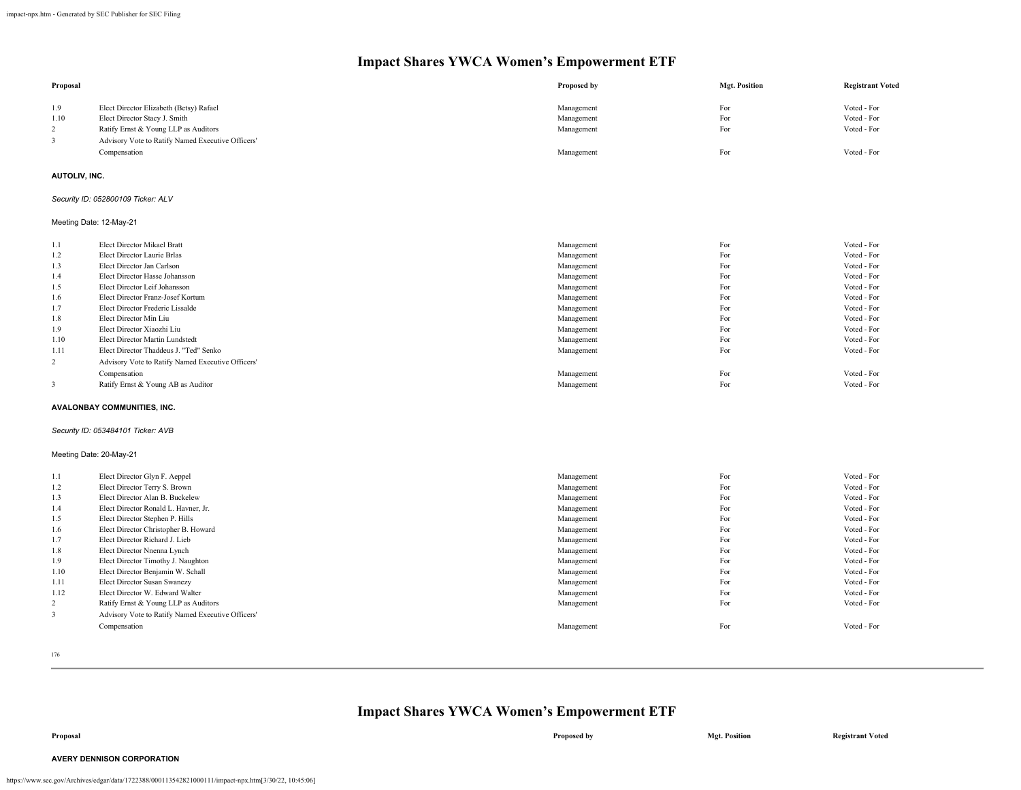| Proposal                |                                                                   | Proposed by              | <b>Mgt. Position</b> | <b>Registrant Voted</b>    |
|-------------------------|-------------------------------------------------------------------|--------------------------|----------------------|----------------------------|
| 1.9                     | Elect Director Elizabeth (Betsy) Rafael                           | Management               | For                  | Voted - For                |
| 1.10                    | Elect Director Stacy J. Smith                                     | Management               | For                  | Voted - For                |
| $\overline{2}$          | Ratify Ernst & Young LLP as Auditors                              | Management               | For                  | Voted - For                |
| 3                       | Advisory Vote to Ratify Named Executive Officers'                 |                          |                      |                            |
|                         | Compensation                                                      | Management               | For                  | Voted - For                |
|                         |                                                                   |                          |                      |                            |
| AUTOLIV, INC.           |                                                                   |                          |                      |                            |
|                         | Security ID: 052800109 Ticker: ALV                                |                          |                      |                            |
| Meeting Date: 12-May-21 |                                                                   |                          |                      |                            |
| 1.1                     | Elect Director Mikael Bratt                                       | Management               | For                  | Voted - For                |
| 1.2                     | Elect Director Laurie Brlas                                       | Management               | For                  | Voted - For                |
| 1.3                     | Elect Director Jan Carlson                                        | Management               | For                  | Voted - For                |
| 1.4                     | Elect Director Hasse Johansson                                    | Management               | For                  | Voted - For                |
| 1.5                     | Elect Director Leif Johansson                                     | Management               | For                  | Voted - For                |
| 1.6                     | Elect Director Franz-Josef Kortum                                 | Management               | For                  | Voted - For                |
| 1.7                     | Elect Director Frederic Lissalde                                  | Management               | For                  | Voted - For                |
| 1.8                     | Elect Director Min Liu                                            | Management               | For                  | Voted - For                |
| 1.9                     | Elect Director Xiaozhi Liu                                        | Management               | For                  | Voted - For                |
| 1.10                    | Elect Director Martin Lundstedt                                   | Management               | For                  | Voted - For                |
| 1.11                    | Elect Director Thaddeus J. "Ted" Senko                            | Management               | For                  | Voted - For                |
| 2                       | Advisory Vote to Ratify Named Executive Officers'                 |                          |                      |                            |
|                         | Compensation                                                      | Management               | For                  | Voted - For                |
| $\mathbf{3}$            | Ratify Ernst & Young AB as Auditor                                | Management               | For                  | Voted - For                |
|                         | AVALONBAY COMMUNITIES, INC.                                       |                          |                      |                            |
|                         | Security ID: 053484101 Ticker: AVB                                |                          |                      |                            |
| Meeting Date: 20-May-21 |                                                                   |                          |                      |                            |
| 1.1                     | Elect Director Glyn F. Aeppel                                     | Management               | For                  | Voted - For                |
| 1.2                     | Elect Director Terry S. Brown                                     | Management               | For                  | Voted - For                |
| 1.3                     | Elect Director Alan B. Buckelew                                   | Management               | For                  | Voted - For                |
| 1.4                     | Elect Director Ronald L. Havner, Jr.                              | Management               | For                  | Voted - For                |
| 1.5                     | Elect Director Stephen P. Hills                                   | Management               | For                  | Voted - For                |
| 1.6                     | Elect Director Christopher B. Howard                              | Management               | For                  | Voted - For                |
| 1.7                     | Elect Director Richard J. Lieb                                    | Management               | For                  | Voted - For                |
| 1.8                     | Elect Director Nnenna Lynch                                       | Management               | For                  | Voted - For                |
| 1.9                     | Elect Director Timothy J. Naughton                                | Management               | For<br>For           | Voted - For                |
| 1.10                    | Elect Director Benjamin W. Schall<br>Elect Director Susan Swanezy | Management               | For                  | Voted - For<br>Voted - For |
| 1.11<br>1.12            | Elect Director W. Edward Walter                                   | Management<br>Management | For                  | Voted - For                |
| 2                       | Ratify Ernst & Young LLP as Auditors                              | Management               | For                  | Voted - For                |
| $\overline{\mathbf{3}}$ | Advisory Vote to Ratify Named Executive Officers'                 |                          |                      |                            |
|                         |                                                                   |                          | For                  | Voted - For                |
|                         | Compensation                                                      | Management               |                      |                            |

176

# **Impact Shares YWCA Women's Empowerment ETF**

**Proposal Proposed by Mgt. Position Registrant Voted**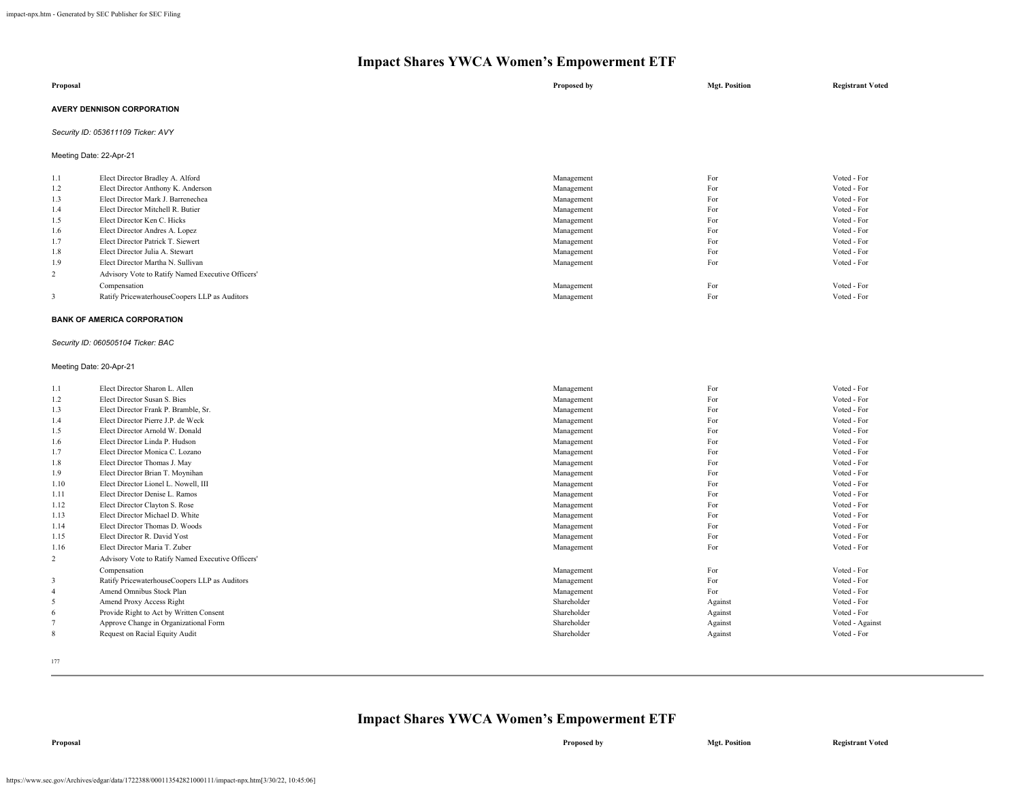| Proposal                           | Proposed by | <b>Mgt. Position</b> | <b>Registrant Voted</b> |
|------------------------------------|-------------|----------------------|-------------------------|
| <b>AVERY DENNISON CORPORATION</b>  |             |                      |                         |
| Security ID: 053611109 Ticker: AVY |             |                      |                         |

Meeting Date: 22-Apr-21

| 1.1 | Elect Director Bradley A. Alford                  | Management | For | Voted - For |
|-----|---------------------------------------------------|------------|-----|-------------|
| 1.2 | Elect Director Anthony K. Anderson                | Management | For | Voted - For |
| 1.3 | Elect Director Mark J. Barrenechea                | Management | For | Voted - For |
| 1.4 | Elect Director Mitchell R. Butier                 | Management | For | Voted - For |
| 1.5 | Elect Director Ken C. Hicks                       | Management | For | Voted - For |
| 1.6 | Elect Director Andres A. Lopez                    | Management | For | Voted - For |
| 1.7 | Elect Director Patrick T. Siewert                 | Management | For | Voted - For |
| 1.8 | Elect Director Julia A. Stewart                   | Management | For | Voted - For |
| 1.9 | Elect Director Martha N. Sullivan                 | Management | For | Voted - For |
| 2   | Advisory Vote to Ratify Named Executive Officers' |            |     |             |
|     | Compensation                                      | Management | For | Voted - For |
|     | Ratify PricewaterhouseCoopers LLP as Auditors     | Management | For | Voted - For |

#### **BANK OF AMERICA CORPORATION**

### *Security ID: 060505104 Ticker: BAC*

#### Meeting Date: 20-Apr-21

| 1.1                     | Elect Director Sharon L. Allen                    | Management  | For     | Voted - For     |
|-------------------------|---------------------------------------------------|-------------|---------|-----------------|
| 1.2                     | Elect Director Susan S. Bies                      | Management  | For     | Voted - For     |
| 1.3                     | Elect Director Frank P. Bramble, Sr.              | Management  | For     | Voted - For     |
| 1.4                     | Elect Director Pierre J.P. de Weck                | Management  | For     | Voted - For     |
| 1.5                     | Elect Director Arnold W. Donald                   | Management  | For     | Voted - For     |
| 1.6                     | Elect Director Linda P. Hudson                    | Management  | For     | Voted - For     |
| 1.7                     | Elect Director Monica C. Lozano                   | Management  | For     | Voted - For     |
| 1.8                     | Elect Director Thomas J. May                      | Management  | For     | Voted - For     |
| 1.9                     | Elect Director Brian T. Moynihan                  | Management  | For     | Voted - For     |
| 1.10                    | Elect Director Lionel L. Nowell, III              | Management  | For     | Voted - For     |
| 1.11                    | Elect Director Denise L. Ramos                    | Management  | For     | Voted - For     |
| 1.12                    | Elect Director Clayton S. Rose                    | Management  | For     | Voted - For     |
| 1.13                    | Elect Director Michael D. White                   | Management  | For     | Voted - For     |
| 1.14                    | Elect Director Thomas D. Woods                    | Management  | For     | Voted - For     |
| 1.15                    | Elect Director R David Yost                       | Management  | For     | Voted - For     |
| 1.16                    | Elect Director Maria T. Zuber                     | Management  | For     | Voted - For     |
| 2                       | Advisory Vote to Ratify Named Executive Officers' |             |         |                 |
|                         | Compensation                                      | Management  | For     | Voted - For     |
| $\overline{\mathbf{3}}$ | Ratify PricewaterhouseCoopers LLP as Auditors     | Management  | For     | Voted - For     |
| $\overline{4}$          | Amend Omnibus Stock Plan                          | Management  | For     | Voted - For     |
| 5                       | Amend Proxy Access Right                          | Shareholder | Against | Voted - For     |
| 6                       | Provide Right to Act by Written Consent           | Shareholder | Against | Voted - For     |
|                         | Approve Change in Organizational Form             | Shareholder | Against | Voted - Against |
| 8                       | Request on Racial Equity Audit                    | Shareholder | Against | Voted - For     |
|                         |                                                   |             |         |                 |

177

## **Impact Shares YWCA Women's Empowerment ETF**

**Proposal Proposed by Mgt. Position Registrant Voted**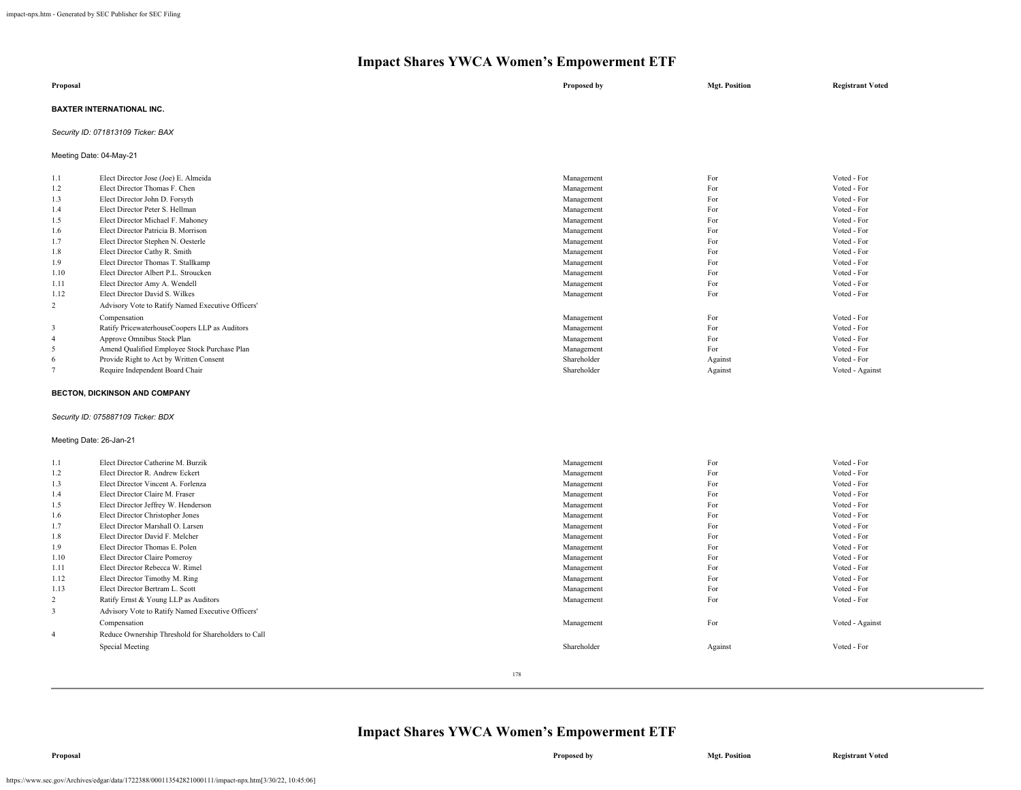| Proposal                  | Proposed by | <b>Mgt. Position</b> | <b>Registrant Voted</b> |
|---------------------------|-------------|----------------------|-------------------------|
| BAXTER INTERNATIONAL INC. |             |                      |                         |

### *Security ID: 071813109 Ticker: BAX*

Meeting Date: 04-May-21

| 1.1            | Elect Director Jose (Joe) E. Almeida              | Management  | For     | Voted - For     |
|----------------|---------------------------------------------------|-------------|---------|-----------------|
| 1.2            | Elect Director Thomas F. Chen                     | Management  | For     | Voted - For     |
| 1.3            | Elect Director John D. Forsyth                    | Management  | For     | Voted - For     |
| 1.4            | Elect Director Peter S. Hellman                   | Management  | For     | Voted - For     |
| 1.5            | Elect Director Michael F. Mahoney                 | Management  | For     | Voted - For     |
| 1.6            | Elect Director Patricia B. Morrison               | Management  | For     | Voted - For     |
| 1.7            | Elect Director Stephen N. Oesterle                | Management  | For     | Voted - For     |
| 1.8            | Elect Director Cathy R. Smith                     | Management  | For     | Voted - For     |
| 1.9            | Elect Director Thomas T. Stallkamp                | Management  | For     | Voted - For     |
| 1.10           | Elect Director Albert P.L. Stroucken              | Management  | For     | Voted - For     |
| 1.11           | Elect Director Amy A. Wendell                     | Management  | For     | Voted - For     |
| 1.12           | Elect Director David S. Wilkes                    | Management  | For     | Voted - For     |
| 2              | Advisory Vote to Ratify Named Executive Officers' |             |         |                 |
|                | Compensation                                      | Management  | For     | Voted - For     |
| 3              | Ratify PricewaterhouseCoopers LLP as Auditors     | Management  | For     | Voted - For     |
| $\overline{4}$ | Approve Omnibus Stock Plan                        | Management  | For     | Voted - For     |
| 5              | Amend Qualified Employee Stock Purchase Plan      | Management  | For     | Voted - For     |
| 6              | Provide Right to Act by Written Consent           | Shareholder | Against | Voted - For     |
|                | Require Independent Board Chair                   | Shareholder | Against | Voted - Against |

### **BECTON, DICKINSON AND COMPANY**

### *Security ID: 075887109 Ticker: BDX*

#### Meeting Date: 26-Jan-21

| 1.1            | Elect Director Catherine M. Burzik                  | Management  | For     | Voted - For     |
|----------------|-----------------------------------------------------|-------------|---------|-----------------|
| 1.2            | Elect Director R. Andrew Eckert                     | Management  | For     | Voted - For     |
| 1.3            | Elect Director Vincent A. Forlenza                  | Management  | For     | Voted - For     |
| 1.4            | Elect Director Claire M. Fraser                     | Management  | For     | Voted - For     |
| 1.5            | Elect Director Jeffrey W. Henderson                 | Management  | For     | Voted - For     |
| 1.6            | Elect Director Christopher Jones                    | Management  | For     | Voted - For     |
| 1.7            | Elect Director Marshall O. Larsen                   | Management  | For     | Voted - For     |
| 1.8            | Elect Director David F. Melcher                     | Management  | For     | Voted - For     |
| 1.9            | Elect Director Thomas E. Polen                      | Management  | For     | Voted - For     |
| 1.10           | Elect Director Claire Pomeroy                       | Management  | For     | Voted - For     |
| 1.11           | Elect Director Rebecca W. Rimel                     | Management  | For     | Voted - For     |
| 1.12           | Elect Director Timothy M. Ring                      | Management  | For     | Voted - For     |
| 1.13           | Elect Director Bertram L. Scott                     | Management  | For     | Voted - For     |
| 2              | Ratify Ernst & Young LLP as Auditors                | Management  | For     | Voted - For     |
| 3              | Advisory Vote to Ratify Named Executive Officers'   |             |         |                 |
|                | Compensation                                        | Management  | For     | Voted - Against |
| $\overline{4}$ | Reduce Ownership Threshold for Shareholders to Call |             |         |                 |
|                | Special Meeting                                     | Shareholder | Against | Voted - For     |
|                |                                                     |             |         |                 |
|                |                                                     | 178         |         |                 |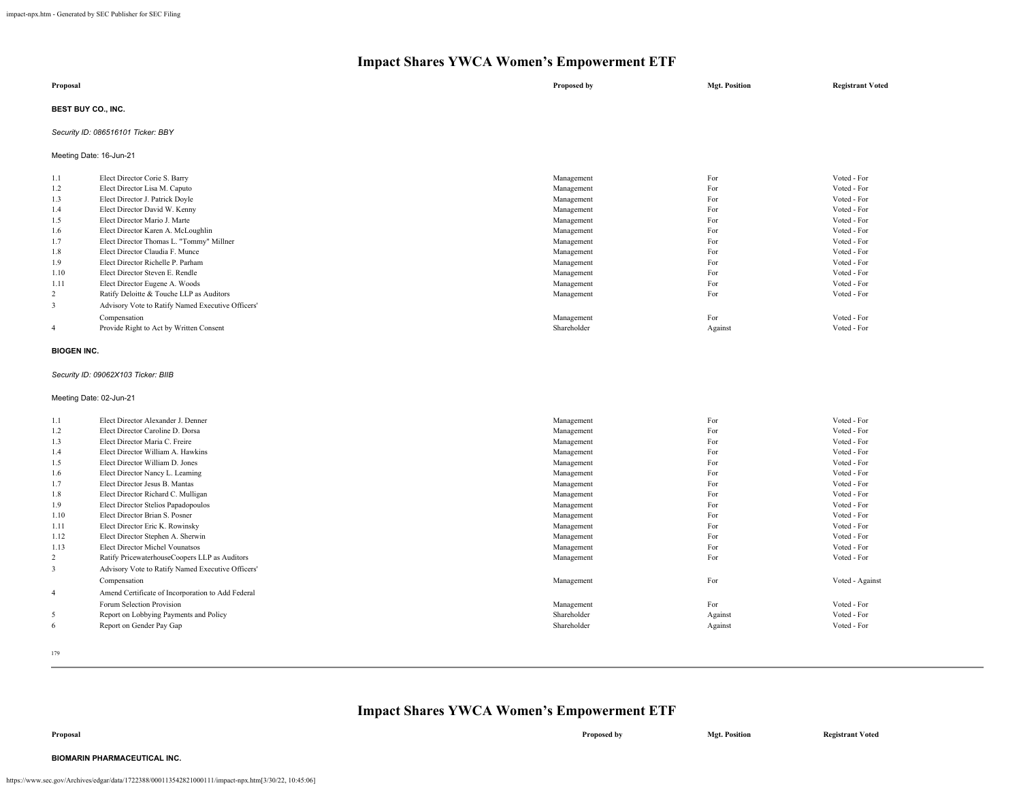| Proposal                  | Proposed by | <b>Mgt. Position</b> | <b>Registrant Voted</b> |
|---------------------------|-------------|----------------------|-------------------------|
| <b>BEST BUY CO., INC.</b> |             |                      |                         |

### *Security ID: 086516101 Ticker: BBY*

Meeting Date: 16-Jun-21

| 1.1            | Elect Director Corie S. Barry                     | Management  | For     | Voted - For |
|----------------|---------------------------------------------------|-------------|---------|-------------|
| 1.2            | Elect Director Lisa M. Caputo                     | Management  | For     | Voted - For |
| 1.3            | Elect Director J. Patrick Doyle                   | Management  | For     | Voted - For |
| 1.4            | Elect Director David W. Kenny                     | Management  | For     | Voted - For |
| 1.5            | Elect Director Mario J. Marte                     | Management  | For     | Voted - For |
| 1.6            | Elect Director Karen A. McLoughlin                | Management  | For     | Voted - For |
| 1.7            | Elect Director Thomas L. "Tommy" Millner          | Management  | For     | Voted - For |
| 1.8            | Elect Director Claudia F. Munce                   | Management  | For     | Voted - For |
| 1.9            | Elect Director Richelle P. Parham                 | Management  | For     | Voted - For |
| 1.10           | Elect Director Steven E. Rendle                   | Management  | For     | Voted - For |
| 1.11           | Elect Director Eugene A. Woods                    | Management  | For     | Voted - For |
| 2              | Ratify Deloitte & Touche LLP as Auditors          | Management  | For     | Voted - For |
| 3              | Advisory Vote to Ratify Named Executive Officers' |             |         |             |
|                | Compensation                                      | Management  | For     | Voted - For |
| $\overline{4}$ | Provide Right to Act by Written Consent           | Shareholder | Against | Voted - For |
|                |                                                   |             |         |             |

#### **BIOGEN INC.**

#### *Security ID: 09062X103 Ticker: BIIB*

Meeting Date: 02-Jun-21

| 1.1            | Elect Director Alexander J. Denner                | Management  | For     | Voted - For     |
|----------------|---------------------------------------------------|-------------|---------|-----------------|
| 1.2            | Elect Director Caroline D. Dorsa                  | Management  | For     | Voted - For     |
| 1.3            | Elect Director Maria C. Freire                    | Management  | For     | Voted - For     |
| 1.4            | Elect Director William A. Hawkins                 | Management  | For     | Voted - For     |
| 1.5            | Elect Director William D. Jones                   | Management  | For     | Voted - For     |
| 1.6            | Elect Director Nancy L. Leaming                   | Management  | For     | Voted - For     |
| 1.7            | Elect Director Jesus B. Mantas                    | Management  | For     | Voted - For     |
| 1.8            | Elect Director Richard C. Mulligan                | Management  | For     | Voted - For     |
| 1.9            | Elect Director Stelios Papadopoulos               | Management  | For     | Voted - For     |
| 1.10           | Elect Director Brian S. Posner                    | Management  | For     | Voted - For     |
| 1.11           | Elect Director Eric K. Rowinsky                   | Management  | For     | Voted - For     |
| 1.12           | Elect Director Stephen A. Sherwin                 | Management  | For     | Voted - For     |
| 1.13           | Elect Director Michel Vounatsos                   | Management  | For     | Voted - For     |
| 2              | Ratify PricewaterhouseCoopers LLP as Auditors     | Management  | For     | Voted - For     |
| 3              | Advisory Vote to Ratify Named Executive Officers' |             |         |                 |
|                | Compensation                                      | Management  | For     | Voted - Against |
| $\overline{4}$ | Amend Certificate of Incorporation to Add Federal |             |         |                 |
|                | Forum Selection Provision                         | Management  | For     | Voted - For     |
| 5              | Report on Lobbying Payments and Policy            | Shareholder | Against | Voted - For     |
| 6              | Report on Gender Pay Gap                          | Shareholder | Against | Voted - For     |
|                |                                                   |             |         |                 |

179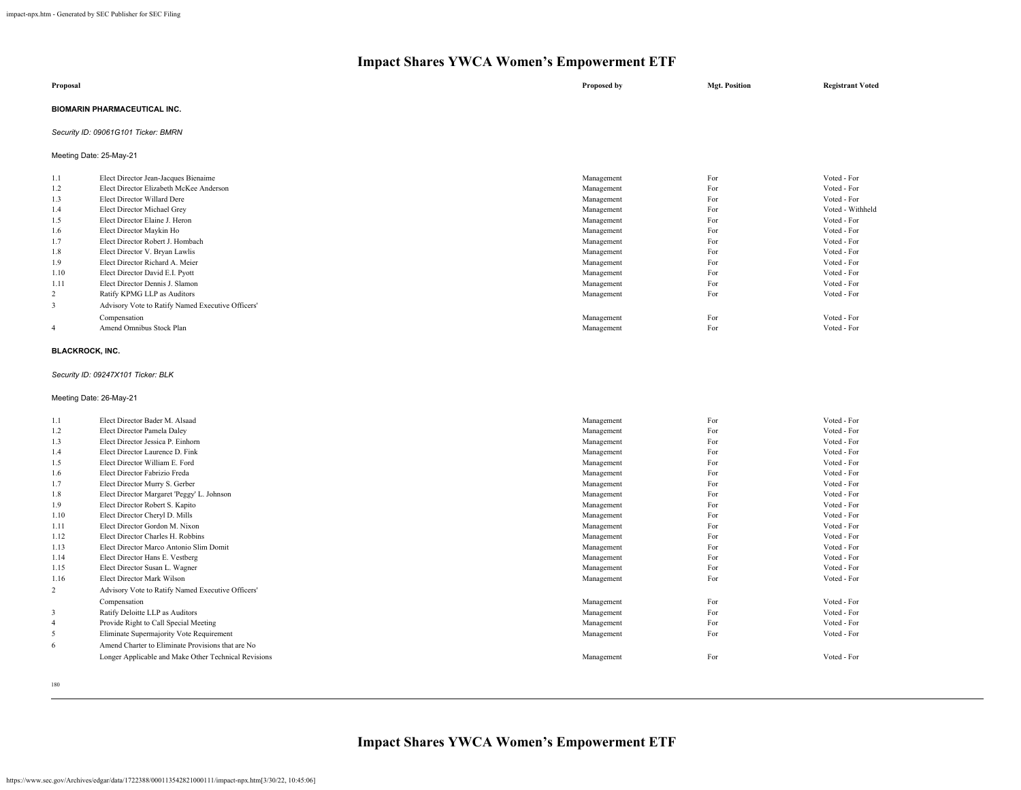| Proposal                            | Proposed by | <b>Mgt. Position</b> | <b>Registrant Voted</b> |
|-------------------------------------|-------------|----------------------|-------------------------|
| <b>BIOMARIN PHARMACEUTICAL INC.</b> |             |                      |                         |
| Security ID: 09061G101 Ticker: BMRN |             |                      |                         |

Meeting Date: 25-May-21

| 1.1            | Elect Director Jean-Jacques Bienaime              | Management | For | Voted - For      |
|----------------|---------------------------------------------------|------------|-----|------------------|
| 1.2            | Elect Director Elizabeth McKee Anderson           | Management | For | Voted - For      |
| 1.3            | Elect Director Willard Dere                       | Management | For | Voted - For      |
| 1.4            | Elect Director Michael Grey                       | Management | For | Voted - Withheld |
| 1.5            | Elect Director Elaine J. Heron                    | Management | For | Voted - For      |
| 1.6            | Elect Director Maykin Ho                          | Management | For | Voted - For      |
| 1.7            | Elect Director Robert J. Hombach                  | Management | For | Voted - For      |
| 1.8            | Elect Director V. Bryan Lawlis                    | Management | For | Voted - For      |
| 1.9            | Elect Director Richard A. Meier                   | Management | For | Voted - For      |
| 1.10           | Elect Director David E.I. Pyott                   | Management | For | Voted - For      |
| 1.11           | Elect Director Dennis J. Slamon                   | Management | For | Voted - For      |
| $\overline{2}$ | Ratify KPMG LLP as Auditors                       | Management | For | Voted - For      |
| 3              | Advisory Vote to Ratify Named Executive Officers' |            |     |                  |
|                | Compensation                                      | Management | For | Voted - For      |
| $\overline{4}$ | Amend Omnibus Stock Plan                          | Management | For | Voted - For      |
|                |                                                   |            |     |                  |

#### **BLACKROCK, INC.**

*Security ID: 09247X101 Ticker: BLK*

Meeting Date: 26-May-21

| 1.1            | Elect Director Bader M. Alsaad                       | Management | For | Voted - For |
|----------------|------------------------------------------------------|------------|-----|-------------|
| 1.2            | Elect Director Pamela Daley                          | Management | For | Voted - For |
| 1.3            | Elect Director Jessica P Einhorn                     | Management | For | Voted - For |
| 1.4            | Elect Director Laurence D. Fink                      | Management | For | Voted - For |
| 1.5            | Elect Director William E. Ford                       | Management | For | Voted - For |
| 1.6            | Elect Director Fabrizio Freda                        | Management | For | Voted - For |
| 1.7            | Elect Director Murry S. Gerber                       | Management | For | Voted - For |
| 1.8            | Elect Director Margaret 'Peggy' L. Johnson           | Management | For | Voted - For |
| 1.9            | Elect Director Robert S. Kapito                      | Management | For | Voted - For |
| 1.10           | Elect Director Cheryl D. Mills                       | Management | For | Voted - For |
| 1.11           | Elect Director Gordon M. Nixon                       | Management | For | Voted - For |
| 1.12           | Elect Director Charles H. Robbins                    | Management | For | Voted - For |
| 1.13           | Elect Director Marco Antonio Slim Domit              | Management | For | Voted - For |
| 1.14           | Elect Director Hans E. Vestberg                      | Management | For | Voted - For |
| 1.15           | Elect Director Susan L. Wagner                       | Management | For | Voted - For |
| 1.16           | Elect Director Mark Wilson                           | Management | For | Voted - For |
| 2              | Advisory Vote to Ratify Named Executive Officers'    |            |     |             |
|                | Compensation                                         | Management | For | Voted - For |
| 3              | Ratify Deloitte LLP as Auditors                      | Management | For | Voted - For |
| $\overline{4}$ | Provide Right to Call Special Meeting                | Management | For | Voted - For |
| 5              | Eliminate Supermajority Vote Requirement             | Management | For | Voted - For |
| 6              | Amend Charter to Eliminate Provisions that are No    |            |     |             |
|                | Longer Applicable and Make Other Technical Revisions | Management | For | Voted - For |
|                |                                                      |            |     |             |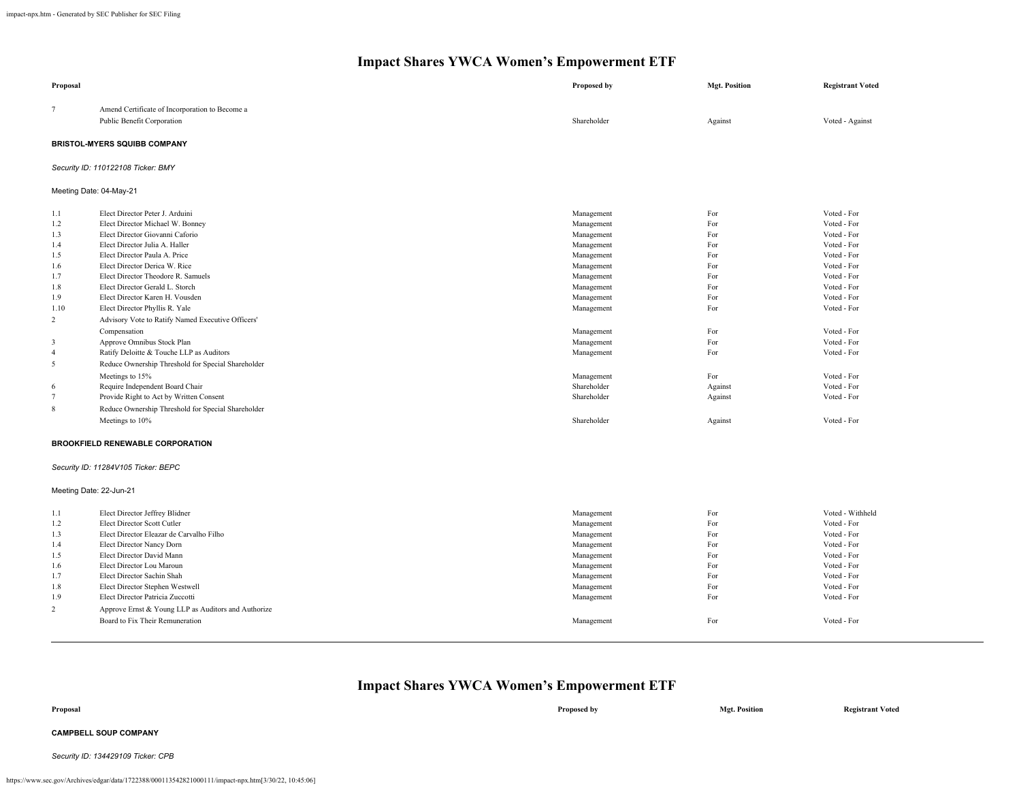| Proposal                                                                                                                                    |                                                                                                                                                                                                                                                                                                                                                                                                                                                                                                                                                                                                                                                                                                                      | <b>Proposed by</b>                                                                                                                                                                                                             | <b>Mgt. Position</b>                                                                                                 | <b>Registrant Voted</b>                                                                                                                                                                                                                      |  |
|---------------------------------------------------------------------------------------------------------------------------------------------|----------------------------------------------------------------------------------------------------------------------------------------------------------------------------------------------------------------------------------------------------------------------------------------------------------------------------------------------------------------------------------------------------------------------------------------------------------------------------------------------------------------------------------------------------------------------------------------------------------------------------------------------------------------------------------------------------------------------|--------------------------------------------------------------------------------------------------------------------------------------------------------------------------------------------------------------------------------|----------------------------------------------------------------------------------------------------------------------|----------------------------------------------------------------------------------------------------------------------------------------------------------------------------------------------------------------------------------------------|--|
| $\tau$                                                                                                                                      | Amend Certificate of Incorporation to Become a<br>Public Benefit Corporation                                                                                                                                                                                                                                                                                                                                                                                                                                                                                                                                                                                                                                         | Shareholder                                                                                                                                                                                                                    | Against                                                                                                              | Voted - Against                                                                                                                                                                                                                              |  |
| <b>BRISTOL-MYERS SQUIBB COMPANY</b>                                                                                                         |                                                                                                                                                                                                                                                                                                                                                                                                                                                                                                                                                                                                                                                                                                                      |                                                                                                                                                                                                                                |                                                                                                                      |                                                                                                                                                                                                                                              |  |
| Security ID: 110122108 Ticker: BMY                                                                                                          |                                                                                                                                                                                                                                                                                                                                                                                                                                                                                                                                                                                                                                                                                                                      |                                                                                                                                                                                                                                |                                                                                                                      |                                                                                                                                                                                                                                              |  |
| Meeting Date: 04-May-21                                                                                                                     |                                                                                                                                                                                                                                                                                                                                                                                                                                                                                                                                                                                                                                                                                                                      |                                                                                                                                                                                                                                |                                                                                                                      |                                                                                                                                                                                                                                              |  |
| 1.1<br>1.2<br>1.3<br>1.4<br>1.5<br>1.6<br>1.7<br>1.8<br>1.9<br>1.10<br>$\overline{c}$<br>3<br>$\overline{4}$<br>5<br>6<br>$\tau$<br>$\,8\,$ | Elect Director Peter J. Arduini<br>Elect Director Michael W. Bonney<br>Elect Director Giovanni Caforio<br>Elect Director Julia A. Haller<br>Elect Director Paula A. Price<br>Elect Director Derica W. Rice<br>Elect Director Theodore R. Samuels<br>Elect Director Gerald L. Storch<br>Elect Director Karen H. Vousden<br>Elect Director Phyllis R. Yale<br>Advisory Vote to Ratify Named Executive Officers'<br>Compensation<br>Approve Omnibus Stock Plan<br>Ratify Deloitte & Touche LLP as Auditors<br>Reduce Ownership Threshold for Special Shareholder<br>Meetings to 15%<br>Require Independent Board Chair<br>Provide Right to Act by Written Consent<br>Reduce Ownership Threshold for Special Shareholder | Management<br>Management<br>Management<br>Management<br>Management<br>Management<br>Management<br>Management<br>Management<br>Management<br>Management<br>Management<br>Management<br>Management<br>Shareholder<br>Shareholder | For<br>For<br>For<br>For<br>For<br>For<br>For<br>For<br>For<br>For<br>For<br>For<br>For<br>For<br>Against<br>Against | Voted - For<br>Voted - For<br>Voted - For<br>Voted - For<br>Voted - For<br>Voted - For<br>Voted - For<br>Voted - For<br>Voted - For<br>Voted - For<br>Voted - For<br>Voted - For<br>Voted - For<br>Voted - For<br>Voted - For<br>Voted - For |  |
|                                                                                                                                             | Meetings to 10%                                                                                                                                                                                                                                                                                                                                                                                                                                                                                                                                                                                                                                                                                                      | Shareholder                                                                                                                                                                                                                    | Against                                                                                                              | Voted - For                                                                                                                                                                                                                                  |  |
| <b>BROOKFIELD RENEWABLE CORPORATION</b><br>Security ID: 11284V105 Ticker: BEPC<br>Meeting Date: 22-Jun-21                                   |                                                                                                                                                                                                                                                                                                                                                                                                                                                                                                                                                                                                                                                                                                                      |                                                                                                                                                                                                                                |                                                                                                                      |                                                                                                                                                                                                                                              |  |
| 1.1<br>1.2<br>1.3<br>1.4<br>1.5<br>1.6<br>1.7<br>1.8<br>1.9<br>$\overline{c}$                                                               | Elect Director Jeffrey Blidner<br>Elect Director Scott Cutler<br>Elect Director Eleazar de Carvalho Filho<br>Elect Director Nancy Dorn<br>Elect Director David Mann<br>Elect Director Lou Maroun<br>Elect Director Sachin Shah<br>Elect Director Stephen Westwell<br>Elect Director Patricia Zuccotti<br>Approve Ernst & Young LLP as Auditors and Authorize<br>Board to Fix Their Remuneration                                                                                                                                                                                                                                                                                                                      | Management<br>Management<br>Management<br>Management<br>Management<br>Management<br>Management<br>Management<br>Management<br>Management                                                                                       | For<br>For<br>For<br>For<br>For<br>For<br>For<br>For<br>For<br>For                                                   | Voted - Withheld<br>Voted - For<br>Voted - For<br>Voted - For<br>Voted - For<br>Voted - For<br>Voted - For<br>Voted - For<br>Voted - For<br>Voted - For                                                                                      |  |

## **Impact Shares YWCA Women's Empowerment ETF**

| Proposal | Proposed by | <b>Mgt. Position</b> | <b>Registrant Voted</b> |
|----------|-------------|----------------------|-------------------------|
|          |             |                      |                         |

### **CAMPBELL SOUP COMPANY**

*Security ID: 134429109 Ticker: CPB*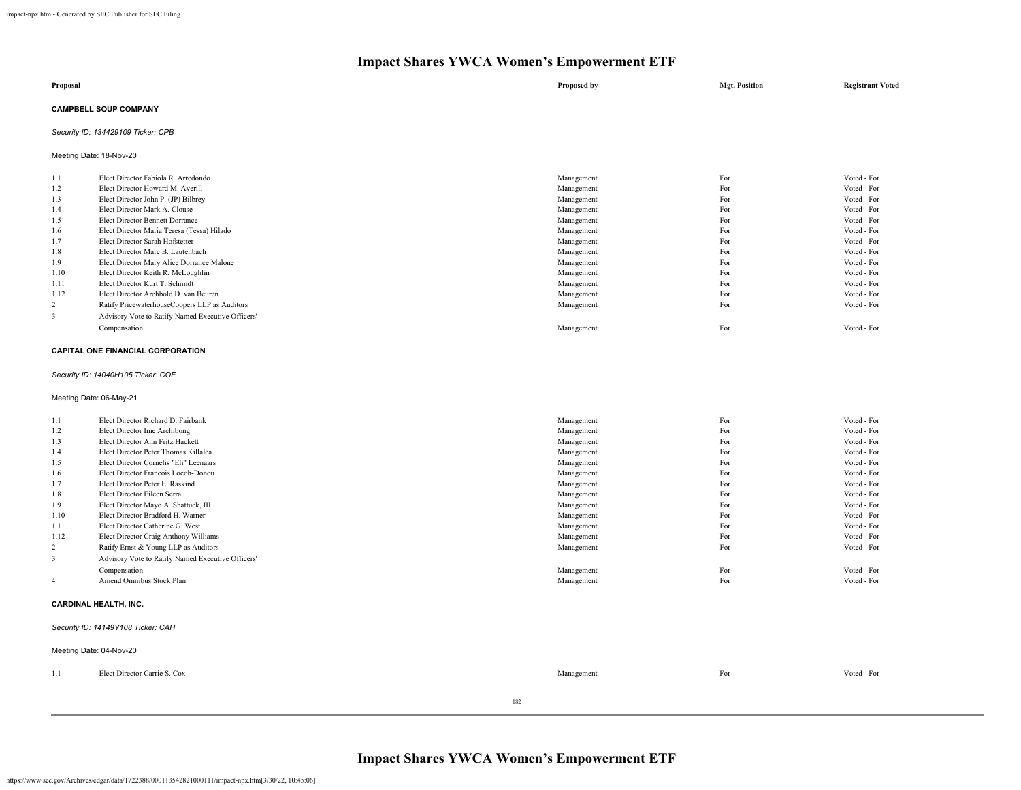| Proposal                     | Proposed by | <b>Mgt. Position</b> | <b>Registrant Voted</b> |
|------------------------------|-------------|----------------------|-------------------------|
| <b>CAMPBELL SOUP COMPANY</b> |             |                      |                         |

### *Security ID: 134429109 Ticker: CPB*

Meeting Date: 18-Nov-20

| 1.1  | Elect Director Fabiola R. Arredondo               | Management | For | Voted - For |
|------|---------------------------------------------------|------------|-----|-------------|
| 1.2  | Elect Director Howard M. Averill                  | Management | For | Voted - For |
| 1.3  | Elect Director John P. (JP) Bilbrey               | Management | For | Voted - For |
| 1.4  | Elect Director Mark A. Clouse                     | Management | For | Voted - For |
| 1.5  | Elect Director Bennett Dorrance                   | Management | For | Voted - For |
| 1.6  | Elect Director Maria Teresa (Tessa) Hilado        | Management | For | Voted - For |
| 1.7  | Elect Director Sarah Hofstetter                   | Management | For | Voted - For |
| 1.8  | Elect Director Marc B. Lautenbach                 | Management | For | Voted - For |
| 1.9  | Elect Director Mary Alice Dorrance Malone         | Management | For | Voted - For |
| 1.10 | Elect Director Keith R. McLoughlin                | Management | For | Voted - For |
| 1.11 | Elect Director Kurt T. Schmidt                    | Management | For | Voted - For |
| 1.12 | Elect Director Archbold D. van Beuren             | Management | For | Voted - For |
| 2    | Ratify PricewaterhouseCoopers LLP as Auditors     | Management | For | Voted - For |
| 3    | Advisory Vote to Ratify Named Executive Officers' |            |     |             |
|      | Compensation                                      | Management | For | Voted - For |

#### **CAPITAL ONE FINANCIAL CORPORATION**

*Security ID: 14040H105 Ticker: COF*

### Meeting Date: 06-May-21

| 1.1  | Elect Director Richard D. Fairbank                |            |     | Voted - For |  |
|------|---------------------------------------------------|------------|-----|-------------|--|
|      |                                                   | Management | For |             |  |
| 1.2  | Elect Director Ime Archibong                      | Management | For | Voted - For |  |
| 1.3  | Elect Director Ann Fritz Hackett                  | Management | For | Voted - For |  |
| 1.4  | Elect Director Peter Thomas Killalea              | Management | For | Voted - For |  |
| 1.5  | Elect Director Cornelis "Eli" Leenaars            | Management | For | Voted - For |  |
| 1.6  | Elect Director Francois Locoh-Donou               | Management | For | Voted - For |  |
| 1.7  | Elect Director Peter E. Raskind                   | Management | For | Voted - For |  |
| 1.8  | Elect Director Eileen Serra                       | Management | For | Voted - For |  |
| 1.9  | Elect Director Mayo A. Shattuck, III              | Management | For | Voted - For |  |
| 1.10 | Elect Director Bradford H. Warner                 | Management | For | Voted - For |  |
| 1.11 | Elect Director Catherine G. West                  | Management | For | Voted - For |  |
| 1.12 | Elect Director Craig Anthony Williams             | Management | For | Voted - For |  |
| 2    | Ratify Ernst & Young LLP as Auditors              | Management | For | Voted - For |  |
| 3    | Advisory Vote to Ratify Named Executive Officers' |            |     |             |  |
|      | Compensation                                      | Management | For | Voted - For |  |
| 4    | Amend Omnibus Stock Plan                          | Management | For | Voted - For |  |
|      | <b>CARDINAL HEALTH, INC.</b>                      |            |     |             |  |

### *Security ID: 14149Y108 Ticker: CAH*

|     | Meeting Date: 04-Nov-20      |     |            |     |             |
|-----|------------------------------|-----|------------|-----|-------------|
| 1.1 | Elect Director Carrie S. Cox |     | Management | For | Voted - For |
|     |                              | 182 |            |     |             |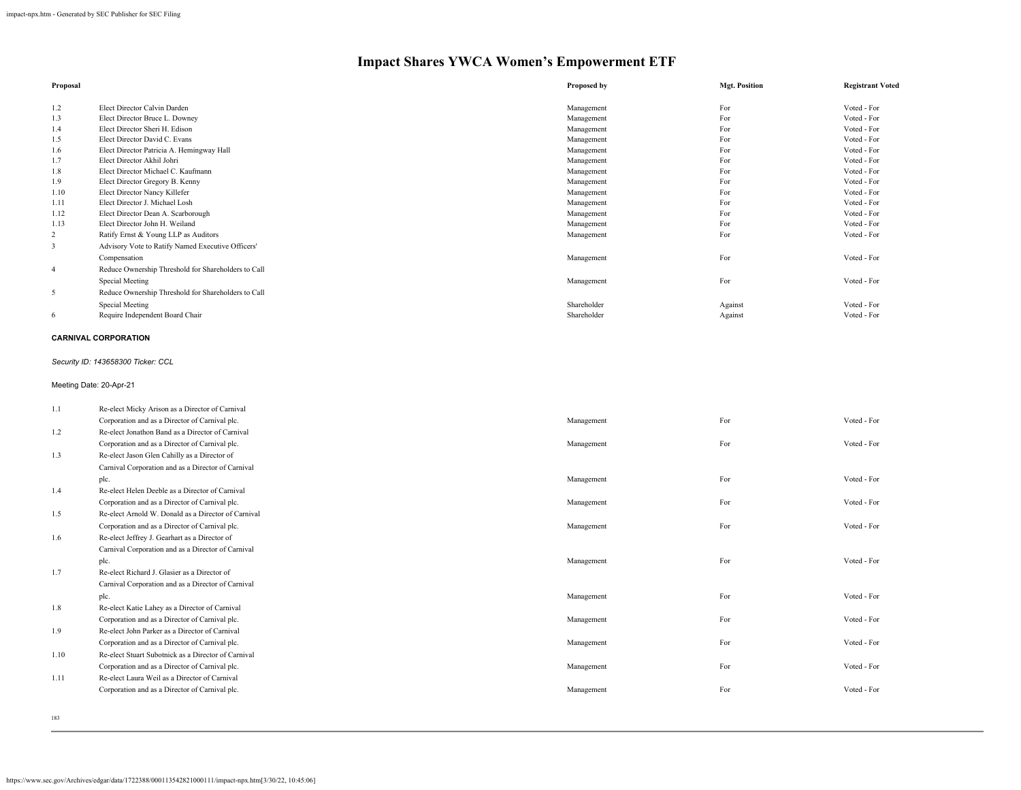| Proposal |                                                     | Proposed by | <b>Mgt. Position</b> | <b>Registrant Voted</b> |
|----------|-----------------------------------------------------|-------------|----------------------|-------------------------|
| 1.2      | Elect Director Calvin Darden                        | Management  | For                  | Voted - For             |
| 1.3      | Elect Director Bruce L. Downey                      | Management  | For                  | Voted - For             |
|          | Elect Director Sheri H. Edison                      |             | For                  | Voted - For             |
| 1.4      |                                                     | Management  |                      |                         |
| 1.5      | Elect Director David C. Evans                       | Management  | For                  | Voted - For             |
| 1.6      | Elect Director Patricia A. Hemingway Hall           | Management  | For                  | Voted - For             |
| 1.7      | Elect Director Akhil Johri                          | Management  | For                  | Voted - For             |
| 1.8      | Elect Director Michael C. Kaufmann                  | Management  | For                  | Voted - For             |
| 1.9      | Elect Director Gregory B. Kenny                     | Management  | For                  | Voted - For             |
| 1.10     | Elect Director Nancy Killefer                       | Management  | For                  | Voted - For             |
| 1.11     | Elect Director J. Michael Losh                      | Management  | For                  | Voted - For             |
| 1.12     | Elect Director Dean A. Scarborough                  | Management  | For                  | Voted - For             |
| 1.13     | Elect Director John H. Weiland                      | Management  | For                  | Voted - For             |
| 2        | Ratify Ernst & Young LLP as Auditors                | Management  | For                  | Voted - For             |
| 3        | Advisory Vote to Ratify Named Executive Officers'   |             |                      |                         |
|          | Compensation                                        | Management  | For                  | Voted - For             |
| 4        | Reduce Ownership Threshold for Shareholders to Call |             |                      |                         |
|          | Special Meeting                                     | Management  | For                  | Voted - For             |
| 5        | Reduce Ownership Threshold for Shareholders to Call |             |                      |                         |
|          | Special Meeting                                     | Shareholder | Against              | Voted - For             |
| 6        | Require Independent Board Chair                     | Shareholder | Against              | Voted - For             |

#### **CARNIVAL CORPORATION**

### *Security ID: 143658300 Ticker: CCL*

Meeting Date: 20-Apr-21

| 1.1  | Re-elect Micky Arison as a Director of Carnival     |            |     |             |
|------|-----------------------------------------------------|------------|-----|-------------|
|      | Corporation and as a Director of Carnival plc.      | Management | For | Voted - For |
| 1.2  | Re-elect Jonathon Band as a Director of Carnival    |            |     |             |
|      | Corporation and as a Director of Carnival plc.      | Management | For | Voted - For |
| 1.3  | Re-elect Jason Glen Cahilly as a Director of        |            |     |             |
|      | Carnival Corporation and as a Director of Carnival  |            |     |             |
|      | plc.                                                | Management | For | Voted - For |
| 1.4  | Re-elect Helen Deeble as a Director of Carnival     |            |     |             |
|      | Corporation and as a Director of Carnival plc.      | Management | For | Voted - For |
| 1.5  | Re-elect Arnold W. Donald as a Director of Carnival |            |     |             |
|      | Corporation and as a Director of Carnival plc.      | Management | For | Voted - For |
| 1.6  | Re-elect Jeffrey J. Gearhart as a Director of       |            |     |             |
|      | Carnival Corporation and as a Director of Carnival  |            |     |             |
|      | plc.                                                | Management | For | Voted - For |
| 1.7  | Re-elect Richard J. Glasier as a Director of        |            |     |             |
|      | Carnival Corporation and as a Director of Carnival  |            |     |             |
|      | plc.                                                | Management | For | Voted - For |
| 1.8  | Re-elect Katie Lahey as a Director of Carnival      |            |     |             |
|      | Corporation and as a Director of Carnival plc.      | Management | For | Voted - For |
| 1.9  | Re-elect John Parker as a Director of Carnival      |            |     |             |
|      | Corporation and as a Director of Carnival plc.      | Management | For | Voted - For |
| 1.10 | Re-elect Stuart Subotnick as a Director of Carnival |            |     |             |
|      | Corporation and as a Director of Carnival plc.      | Management | For | Voted - For |
| 1.11 | Re-elect Laura Weil as a Director of Carnival       |            |     |             |
|      | Corporation and as a Director of Carnival plc.      | Management | For | Voted - For |
|      |                                                     |            |     |             |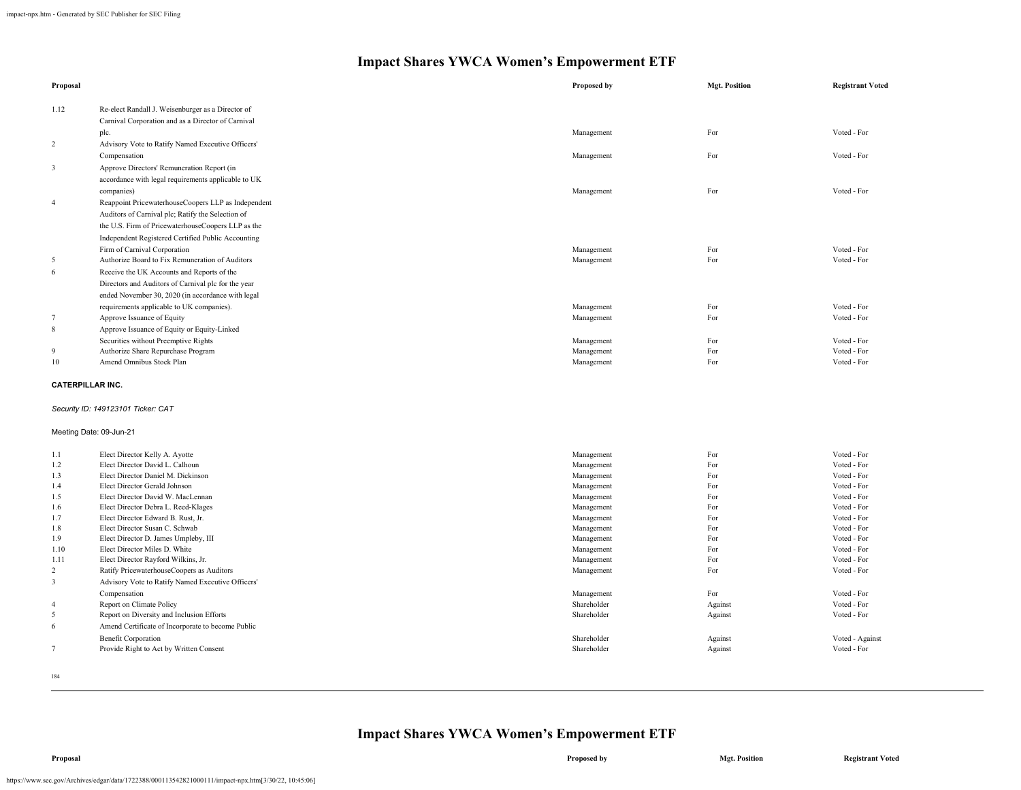| Proposal         |                                                     | Proposed by              | <b>Mgt. Position</b> | <b>Registrant Voted</b>    |
|------------------|-----------------------------------------------------|--------------------------|----------------------|----------------------------|
| 1.12             | Re-elect Randall J. Weisenburger as a Director of   |                          |                      |                            |
|                  | Carnival Corporation and as a Director of Carnival  |                          |                      |                            |
|                  | plc.                                                | Management               | For                  | Voted - For                |
| $\overline{2}$   | Advisory Vote to Ratify Named Executive Officers'   |                          |                      |                            |
|                  | Compensation                                        | Management               | For                  | Voted - For                |
| $\mathbf{3}$     | Approve Directors' Remuneration Report (in          |                          |                      |                            |
|                  | accordance with legal requirements applicable to UK |                          |                      |                            |
|                  | companies)                                          | Management               | For                  | Voted - For                |
| $\overline{4}$   | Reappoint PricewaterhouseCoopers LLP as Independent |                          |                      |                            |
|                  | Auditors of Carnival plc; Ratify the Selection of   |                          |                      |                            |
|                  | the U.S. Firm of PricewaterhouseCoopers LLP as the  |                          |                      |                            |
|                  |                                                     |                          |                      |                            |
|                  | Independent Registered Certified Public Accounting  |                          |                      |                            |
| 5                | Firm of Carnival Corporation                        | Management<br>Management | For<br>For           | Voted - For<br>Voted - For |
|                  | Authorize Board to Fix Remuneration of Auditors     |                          |                      |                            |
| 6                | Receive the UK Accounts and Reports of the          |                          |                      |                            |
|                  | Directors and Auditors of Carnival plc for the year |                          |                      |                            |
|                  | ended November 30, 2020 (in accordance with legal   |                          |                      |                            |
|                  | requirements applicable to UK companies).           | Management               | For                  | Voted - For                |
| $\overline{7}$   | Approve Issuance of Equity                          | Management               | For                  | Voted - For                |
| 8                | Approve Issuance of Equity or Equity-Linked         |                          |                      |                            |
|                  | Securities without Preemptive Rights                | Management               | For                  | Voted - For                |
| 9                | Authorize Share Repurchase Program                  | Management               | For                  | Voted - For                |
| $10\,$           | Amend Omnibus Stock Plan                            | Management               | For                  | Voted - For                |
| CATERPILLAR INC. |                                                     |                          |                      |                            |
|                  | Security ID: 149123101 Ticker: CAT                  |                          |                      |                            |
|                  | Meeting Date: 09-Jun-21                             |                          |                      |                            |
| 1.1              | Elect Director Kelly A. Ayotte                      | Management               | For                  | Voted - For                |
| 1.2              | Elect Director David L. Calhoun                     | Management               | For                  | Voted - For                |
| 1.3              | Elect Director Daniel M. Dickinson                  | Management               | For                  | Voted - For                |
| 1.4              | Elect Director Gerald Johnson                       | Management               | For                  | Voted - For                |
| 1.5              | Elect Director David W. MacLennan                   | Management               | For                  | Voted - For                |
| 1.6              | Elect Director Debra L. Reed-Klages                 | Management               | For                  | Voted - For                |
| 1.7              | Elect Director Edward B. Rust, Jr.                  | Management               | For                  | Voted - For                |
| 1.8              | Elect Director Susan C. Schwab                      | Management               | For                  | Voted - For                |
| 1.9              | Elect Director D. James Umpleby, III                | Management               | For                  | Voted - For                |
| 1.10             | Elect Director Miles D. White                       | Management               | For                  | Voted - For                |
| 1.11             | Elect Director Rayford Wilkins, Jr.                 | Management               | For                  | Voted - For                |
| $\overline{2}$   | Ratify PricewaterhouseCoopers as Auditors           | Management               | For                  | Voted - For                |
| 3                | Advisory Vote to Ratify Named Executive Officers'   |                          |                      |                            |
|                  | Compensation                                        | Management               | For                  | Voted - For                |
| $\overline{4}$   | Report on Climate Policy                            | Shareholder              | Against              | Voted - For                |
| 5                | Report on Diversity and Inclusion Efforts           | Shareholder              | Against              | Voted - For                |
| 6                | Amend Certificate of Incorporate to become Public   |                          |                      |                            |
|                  | <b>Benefit Corporation</b>                          | Shareholder              | Against              | Voted - Against            |
| $7\phantom{.0}$  | Provide Right to Act by Written Consent             | Shareholder              | Against              | Voted - For                |
|                  |                                                     |                          |                      |                            |

184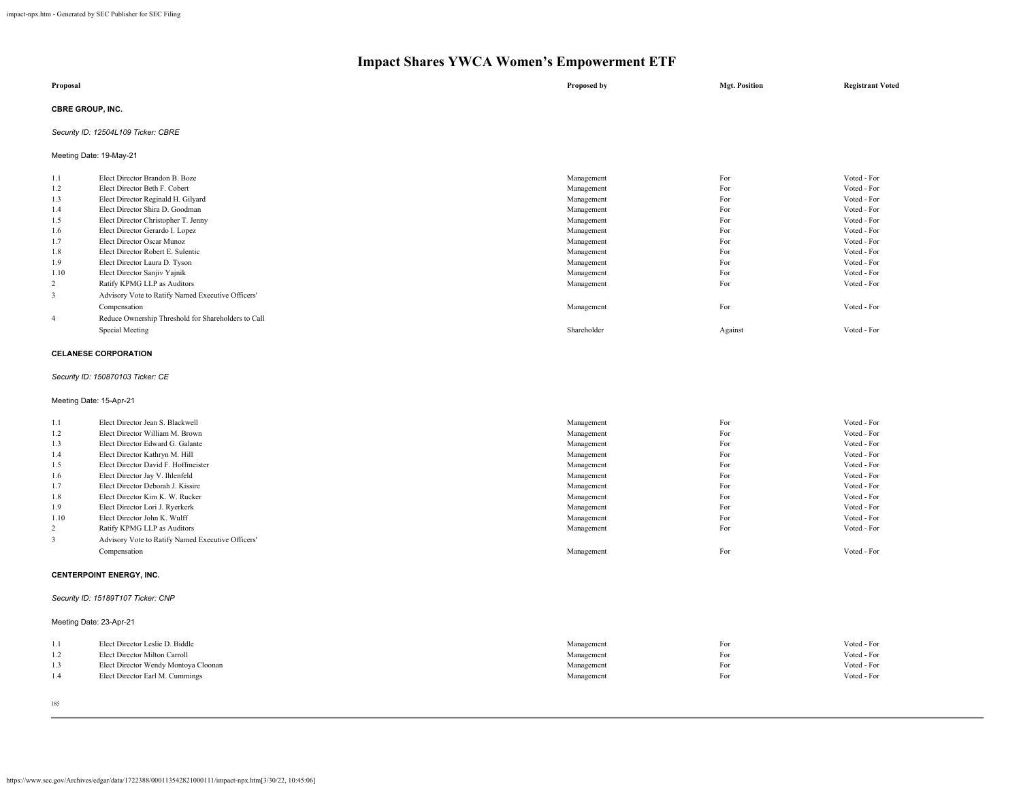| Proposal                                 | Proposed by | <b>Mgt. Position</b> | <b>Registrant Voted</b> |
|------------------------------------------|-------------|----------------------|-------------------------|
| <b>CBRE GROUP, INC.</b><br>$\sim$ $\sim$ |             |                      |                         |

### *Security ID: 12504L109 Ticker: CBRE*

Meeting Date: 19-May-21

| 1.1            | Elect Director Brandon B. Boze                      | Management  | For     | Voted - For |
|----------------|-----------------------------------------------------|-------------|---------|-------------|
| 1.2            | Elect Director Beth F. Cobert                       | Management  | For     | Voted - For |
| 1.3            | Elect Director Reginald H. Gilyard                  | Management  | For     | Voted - For |
| 1.4            | Elect Director Shira D. Goodman                     | Management  | For     | Voted - For |
| 1.5            | Elect Director Christopher T. Jenny                 | Management  | For     | Voted - For |
| 1.6            | Elect Director Gerardo I. Lopez                     | Management  | For     | Voted - For |
| 1.7            | Elect Director Oscar Munoz                          | Management  | For     | Voted - For |
| 1.8            | Elect Director Robert E. Sulentic                   | Management  | For     | Voted - For |
| 1.9            | Elect Director Laura D. Tyson                       | Management  | For     | Voted - For |
| 1.10           | Elect Director Sanjiv Yajnik                        | Management  | For     | Voted - For |
| 2              | Ratify KPMG LLP as Auditors                         | Management  | For     | Voted - For |
|                | Advisory Vote to Ratify Named Executive Officers'   |             |         |             |
|                | Compensation                                        | Management  | For     | Voted - For |
| $\overline{4}$ | Reduce Ownership Threshold for Shareholders to Call |             |         |             |
|                | Special Meeting                                     | Shareholder | Against | Voted - For |
|                |                                                     |             |         |             |

#### **CELANESE CORPORATION**

### *Security ID: 150870103 Ticker: CE*

Meeting Date: 15-Apr-21

| 1.1            | Elect Director Jean S. Blackwell                  | Management | For | Voted - For |
|----------------|---------------------------------------------------|------------|-----|-------------|
| 1.2            | Elect Director William M. Brown                   | Management | For | Voted - For |
| 1.3            | Elect Director Edward G. Galante                  | Management | For | Voted - For |
| 1.4            | Elect Director Kathryn M. Hill                    | Management | For | Voted - For |
| 1.5            | Elect Director David F. Hoffmeister               | Management | For | Voted - For |
| 1.6            | Elect Director Jay V. Ihlenfeld                   | Management | For | Voted - For |
| 1.7            | Elect Director Deborah J. Kissire                 | Management | For | Voted - For |
| 1.8            | Elect Director Kim K. W. Rucker                   | Management | For | Voted - For |
| 1.9            | Elect Director Lori J. Ryerkerk                   | Management | For | Voted - For |
| 1.10           | Elect Director John K. Wulff                      | Management | For | Voted - For |
| $\overline{2}$ | Ratify KPMG LLP as Auditors                       | Management | For | Voted - For |
| 3              | Advisory Vote to Ratify Named Executive Officers' |            |     |             |
|                | Compensation                                      | Management | For | Voted - For |
|                |                                                   |            |     |             |

### **CENTERPOINT ENERGY, INC.**

### *Security ID: 15189T107 Ticker: CNP*

Meeting Date: 23-Apr-21

| 1.1 | Elect Director Leslie D. Biddle      | Management | For | Voted - For |
|-----|--------------------------------------|------------|-----|-------------|
|     | Elect Director Milton Carroll        | Management | For | Voted - For |
|     | Elect Director Wendy Montoya Cloonan | Management | For | Voted - For |
| 1.4 | Elect Director Earl M. Cummings      | Management | For | Voted - For |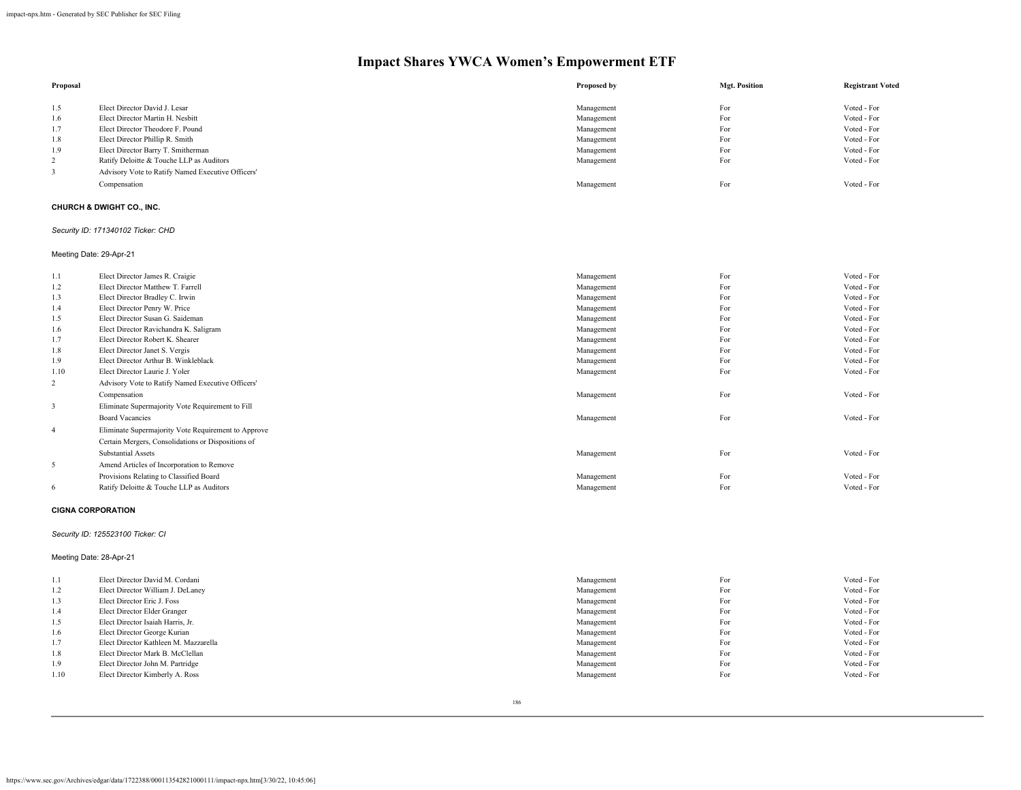| Proposal |                                                   | Proposed by | <b>Mgt. Position</b> | <b>Registrant Voted</b> |
|----------|---------------------------------------------------|-------------|----------------------|-------------------------|
| 1.5      | Elect Director David J. Lesar                     | Management  | For                  | Voted - For             |
| 1.6      | Elect Director Martin H. Nesbitt                  | Management  | For                  | Voted - For             |
| 1.7      | Elect Director Theodore F. Pound                  | Management  | For                  | Voted - For             |
| 1.8      | Elect Director Phillip R. Smith                   | Management  | For                  | Voted - For             |
| 1.9      | Elect Director Barry T. Smitherman                | Management  | For                  | Voted - For             |
| 2        | Ratify Deloitte & Touche LLP as Auditors          | Management  | For                  | Voted - For             |
|          | Advisory Vote to Ratify Named Executive Officers' |             |                      |                         |
|          | Compensation                                      | Management  | For                  | Voted - For             |

### **CHURCH & DWIGHT CO., INC.**

### *Security ID: 171340102 Ticker: CHD*

Meeting Date: 29-Apr-21

| 1.1            | Elect Director James R. Craigie                     | Management | For | Voted - For |
|----------------|-----------------------------------------------------|------------|-----|-------------|
| 1.2            | Elect Director Matthew T. Farrell                   | Management | For | Voted - For |
| 1.3            | Elect Director Bradley C. Irwin                     | Management | For | Voted - For |
| 1.4            | Elect Director Penry W. Price                       | Management | For | Voted - For |
| 1.5            | Elect Director Susan G. Saideman                    | Management | For | Voted - For |
| 1.6            | Elect Director Ravichandra K. Saligram              | Management | For | Voted - For |
| 1.7            | Elect Director Robert K. Shearer                    | Management | For | Voted - For |
| 1.8            | Elect Director Janet S. Vergis                      | Management | For | Voted - For |
| 1.9            | Elect Director Arthur B. Winkleblack                | Management | For | Voted - For |
| 1.10           | Elect Director Laurie J. Yoler                      | Management | For | Voted - For |
| 2              | Advisory Vote to Ratify Named Executive Officers'   |            |     |             |
|                | Compensation                                        | Management | For | Voted - For |
| 3              | Eliminate Supermajority Vote Requirement to Fill    |            |     |             |
|                | <b>Board Vacancies</b>                              | Management | For | Voted - For |
| $\overline{4}$ | Eliminate Supermajority Vote Requirement to Approve |            |     |             |
|                | Certain Mergers, Consolidations or Dispositions of  |            |     |             |
|                | <b>Substantial Assets</b>                           | Management | For | Voted - For |
| 5              | Amend Articles of Incorporation to Remove           |            |     |             |
|                | Provisions Relating to Classified Board             | Management | For | Voted - For |
| -6             | Ratify Deloitte & Touche LLP as Auditors            | Management | For | Voted - For |
|                |                                                     |            |     |             |

#### **CIGNA CORPORATION**

#### *Security ID: 125523100 Ticker: CI*

Meeting Date: 28-Apr-21

| 1.1  | Elect Director David M. Cordani       | Management | For | Voted - For |
|------|---------------------------------------|------------|-----|-------------|
| 1.2  | Elect Director William J. DeLaney     | Management | For | Voted - For |
| 1.3  | Elect Director Eric J. Foss           | Management | For | Voted - For |
| 1.4  | Elect Director Elder Granger          | Management | For | Voted - For |
| 1.5  | Elect Director Isaiah Harris, Jr.     | Management | For | Voted - For |
| 1.6  | Elect Director George Kurian          | Management | For | Voted - For |
| 1.7  | Elect Director Kathleen M. Mazzarella | Management | For | Voted - For |
| 1.8  | Elect Director Mark B. McClellan      | Management | For | Voted - For |
| 1.9  | Elect Director John M. Partridge      | Management | For | Voted - For |
| 1.10 | Elect Director Kimberly A. Ross       | Management | For | Voted - For |
|      |                                       |            |     |             |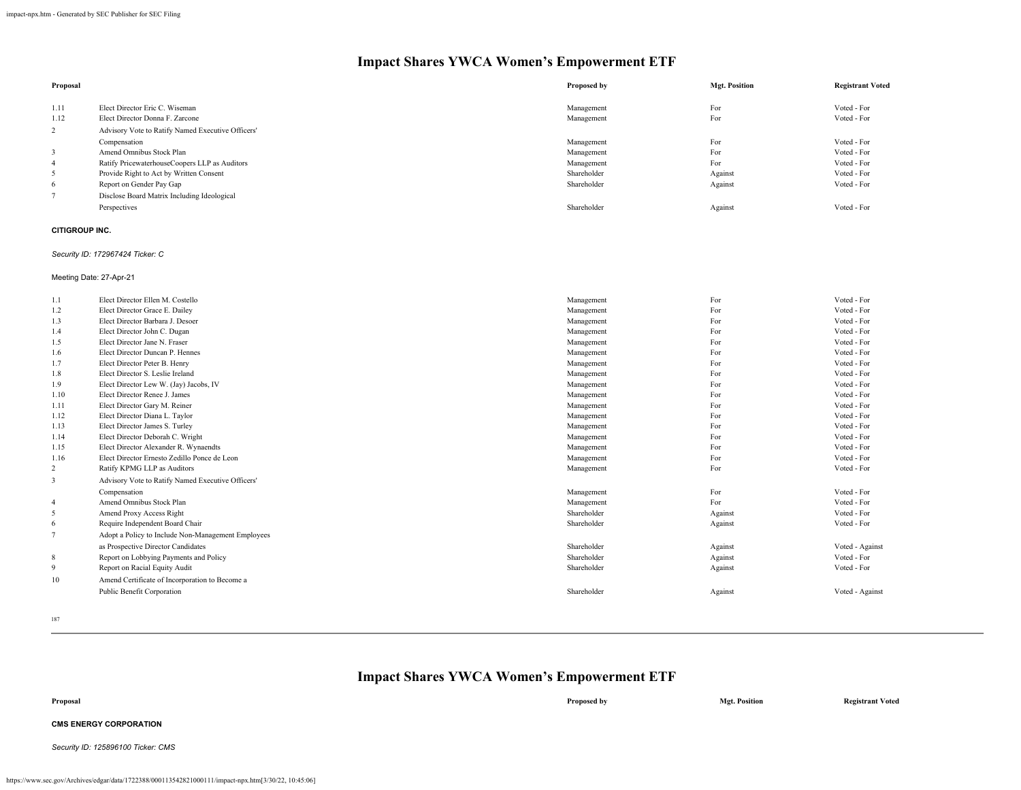|                                                   | Proposed by | <b>Mgt. Position</b> | <b>Registrant Voted</b> |
|---------------------------------------------------|-------------|----------------------|-------------------------|
| Elect Director Eric C. Wiseman                    | Management  | For                  | Voted - For             |
| Elect Director Donna F. Zarcone                   | Management  | For                  | Voted - For             |
| Advisory Vote to Ratify Named Executive Officers' |             |                      |                         |
| Compensation                                      | Management  | For                  | Voted - For             |
| Amend Omnibus Stock Plan                          | Management  | For                  | Voted - For             |
| Ratify PricewaterhouseCoopers LLP as Auditors     | Management  | For                  | Voted - For             |
| Provide Right to Act by Written Consent           | Shareholder | Against              | Voted - For             |
| Report on Gender Pay Gap                          | Shareholder | Against              | Voted - For             |
| Disclose Board Matrix Including Ideological       |             |                      |                         |
| Perspectives                                      | Shareholder | Against              | Voted - For             |
|                                                   |             |                      |                         |

### **CITIGROUP INC.**

### *Security ID: 172967424 Ticker: C*

Meeting Date: 27-Apr-21

| 1.1            | Elect Director Ellen M. Costello                   | Management  | For     | Voted - For     |
|----------------|----------------------------------------------------|-------------|---------|-----------------|
| 1.2            | Elect Director Grace E. Dailey                     | Management  | For     | Voted - For     |
| 1.3            | Elect Director Barbara J Desoer                    | Management  | For     | Voted - For     |
| 1.4            | Elect Director John C. Dugan                       | Management  | For     | Voted - For     |
| 1.5            | Elect Director Jane N. Fraser                      | Management  | For     | Voted - For     |
| 1.6            | Elect Director Duncan P. Hennes                    | Management  | For     | Voted - For     |
| 1.7            | Elect Director Peter B. Henry                      | Management  | For     | Voted - For     |
| 1.8            | Elect Director S. Leslie Ireland                   | Management  | For     | Voted - For     |
| 1.9            | Elect Director Lew W. (Jay) Jacobs, IV             | Management  | For     | Voted - For     |
| 1.10           | Elect Director Renee J. James                      | Management  | For     | Voted - For     |
| 1.11           | Elect Director Gary M. Reiner                      | Management  | For     | Voted - For     |
| 1.12           | Elect Director Diana L. Taylor                     | Management  | For     | Voted - For     |
| 1.13           | Elect Director James S. Turley                     | Management  | For     | Voted - For     |
| 1.14           | Elect Director Deborah C. Wright                   | Management  | For     | Voted - For     |
| 1.15           | Elect Director Alexander R. Wynaendts              | Management  | For     | Voted - For     |
| 1.16           | Elect Director Ernesto Zedillo Ponce de Leon       | Management  | For     | Voted - For     |
| 2              | Ratify KPMG LLP as Auditors                        | Management  | For     | Voted - For     |
| 3              | Advisory Vote to Ratify Named Executive Officers'  |             |         |                 |
|                | Compensation                                       | Management  | For     | Voted - For     |
| $\overline{4}$ | Amend Omnibus Stock Plan                           | Management  | For     | Voted - For     |
| 5              | Amend Proxy Access Right                           | Shareholder | Against | Voted - For     |
| 6              | Require Independent Board Chair                    | Shareholder | Against | Voted - For     |
|                | Adopt a Policy to Include Non-Management Employees |             |         |                 |
|                | as Prospective Director Candidates                 | Shareholder | Against | Voted - Against |
| 8              | Report on Lobbying Payments and Policy             | Shareholder | Against | Voted - For     |
| 9              | Report on Racial Equity Audit                      | Shareholder | Against | Voted - For     |
| 10             | Amend Certificate of Incorporation to Become a     |             |         |                 |
|                | Public Benefit Corporation                         | Shareholder | Against | Voted - Against |
|                |                                                    |             |         |                 |

187

| Proposal                           | Proposed by | <b>Mgt. Position</b> | <b>Registrant Voted</b> |
|------------------------------------|-------------|----------------------|-------------------------|
| <b>CMS ENERGY CORPORATION</b>      |             |                      |                         |
| Security ID: 125896100 Ticker: CMS |             |                      |                         |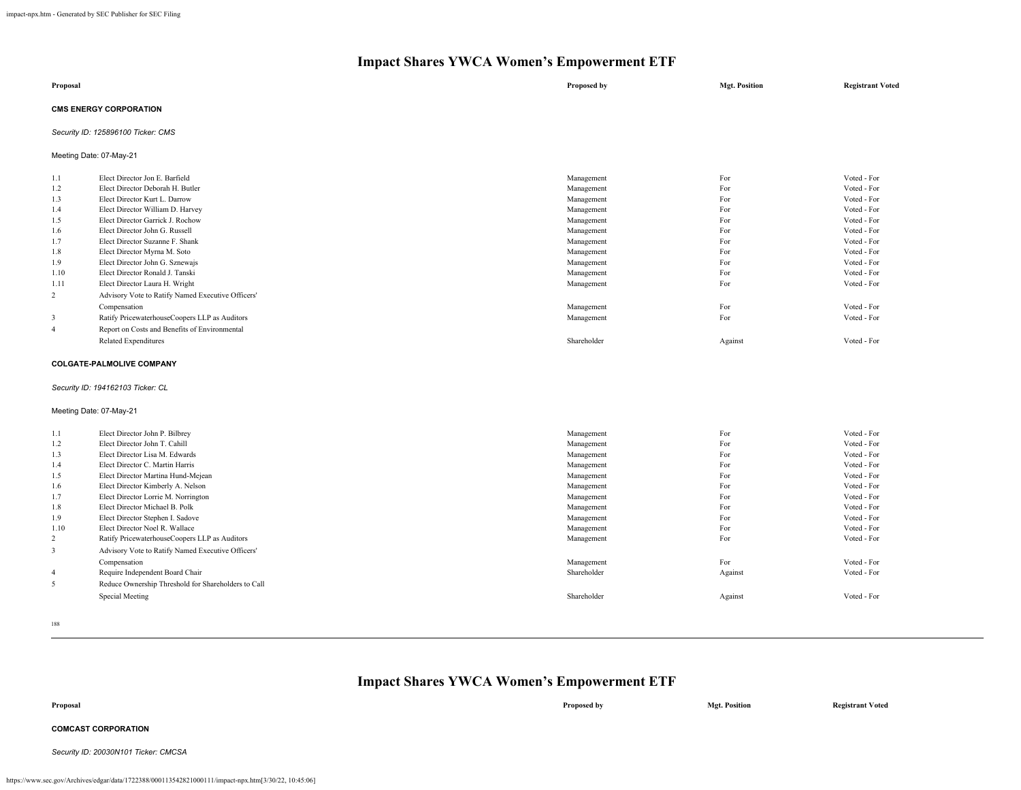| Proposal                      | Proposed by | <b>Mgt. Position</b> | <b>Registrant Voted</b> |
|-------------------------------|-------------|----------------------|-------------------------|
| <b>CMS ENERGY CORPORATION</b> |             |                      |                         |

### *Security ID: 125896100 Ticker: CMS*

Meeting Date: 07-May-21

| 1.1            | Elect Director Jon E. Barfield                    | Management  | For     | Voted - For |
|----------------|---------------------------------------------------|-------------|---------|-------------|
| 1.2            | Elect Director Deborah H. Butler                  | Management  | For     | Voted - For |
| 1.3            | Elect Director Kurt L. Darrow                     | Management  | For     | Voted - For |
| 1.4            | Elect Director William D. Harvey                  | Management  | For     | Voted - For |
| 1.5            | Elect Director Garrick J. Rochow                  | Management  | For     | Voted - For |
| 1.6            | Elect Director John G. Russell                    | Management  | For     | Voted - For |
| 1.7            | Elect Director Suzanne F. Shank                   | Management  | For     | Voted - For |
| 1.8            | Elect Director Myrna M. Soto                      | Management  | For     | Voted - For |
| 1.9            | Elect Director John G. Sznewajs                   | Management  | For     | Voted - For |
| 1.10           | Elect Director Ronald J. Tanski                   | Management  | For     | Voted - For |
| 1.11           | Elect Director Laura H. Wright                    | Management  | For     | Voted - For |
| 2              | Advisory Vote to Ratify Named Executive Officers' |             |         |             |
|                | Compensation                                      | Management  | For     | Voted - For |
| 3              | Ratify PricewaterhouseCoopers LLP as Auditors     | Management  | For     | Voted - For |
| $\overline{4}$ | Report on Costs and Benefits of Environmental     |             |         |             |
|                | <b>Related Expenditures</b>                       | Shareholder | Against | Voted - For |

#### **COLGATE-PALMOLIVE COMPANY**

### *Security ID: 194162103 Ticker: CL*

### Meeting Date: 07-May-21

| 1.1            | Elect Director John P. Bilbrey                      | Management  | For     | Voted - For |
|----------------|-----------------------------------------------------|-------------|---------|-------------|
| 1.2            | Elect Director John T. Cahill                       | Management  | For     | Voted - For |
| 1.3            | Elect Director Lisa M. Edwards                      | Management  | For     | Voted - For |
| 1.4            | Elect Director C. Martin Harris                     | Management  | For     | Voted - For |
| 1.5            | Elect Director Martina Hund-Mejean                  | Management  | For     | Voted - For |
| 1.6            | Elect Director Kimberly A. Nelson                   | Management  | For     | Voted - For |
| 1.7            | Elect Director Lorrie M. Norrington                 | Management  | For     | Voted - For |
| 1.8            | Elect Director Michael B. Polk                      | Management  | For     | Voted - For |
| 1.9            | Elect Director Stephen I. Sadove                    | Management  | For     | Voted - For |
| 1.10           | Elect Director Noel R. Wallace                      | Management  | For     | Voted - For |
| 2              | Ratify PricewaterhouseCoopers LLP as Auditors       | Management  | For     | Voted - For |
| 3              | Advisory Vote to Ratify Named Executive Officers'   |             |         |             |
|                | Compensation                                        | Management  | For     | Voted - For |
| $\overline{4}$ | Require Independent Board Chair                     | Shareholder | Against | Voted - For |
| 5              | Reduce Ownership Threshold for Shareholders to Call |             |         |             |
|                | Special Meeting                                     | Shareholder | Against | Voted - For |
|                |                                                     |             |         |             |

188

| Proposal                             | Proposed by | <b>Mgt. Position</b> | <b>Registrant Voted</b> |
|--------------------------------------|-------------|----------------------|-------------------------|
| <b>COMCAST CORPORATION</b>           |             |                      |                         |
| Security ID: 20030N101 Ticker: CMCSA |             |                      |                         |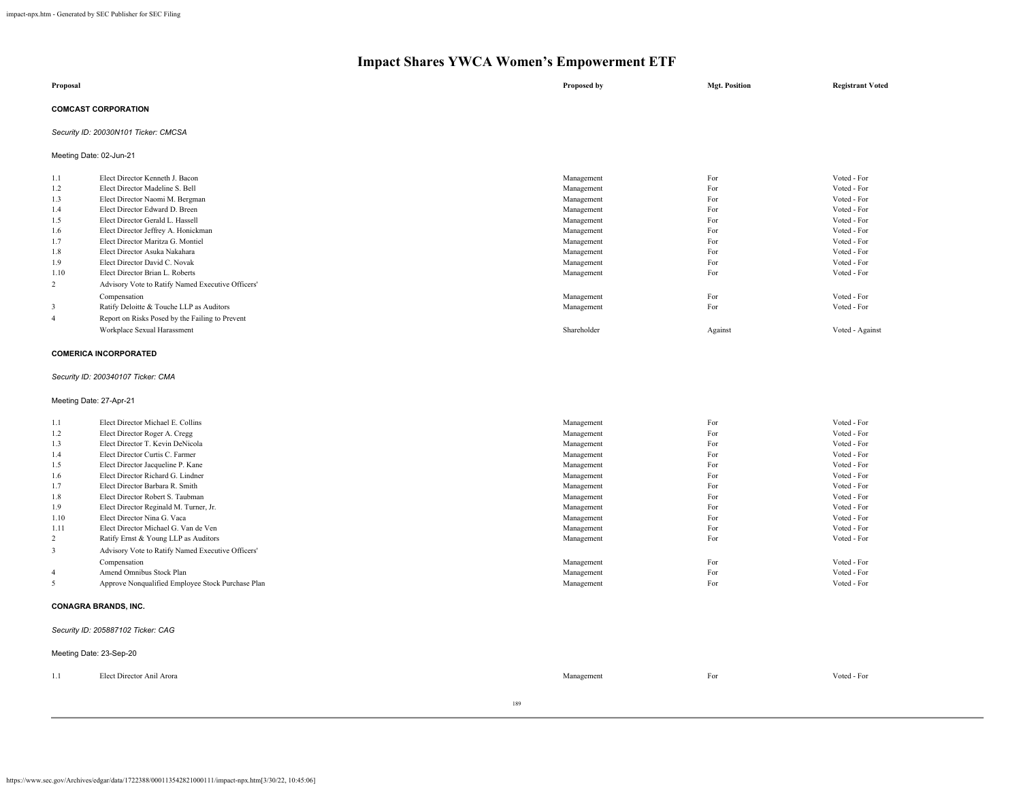| Proposal                   | Proposed by | <b>Mgt. Position</b> | <b>Registrant Voted</b> |
|----------------------------|-------------|----------------------|-------------------------|
| <b>COMCAST CORPORATION</b> |             |                      |                         |

*Security ID: 20030N101 Ticker: CMCSA*

Meeting Date: 02-Jun-21

| 1.1  | Elect Director Kenneth J. Bacon                   | Management  | For     | Voted - For     |
|------|---------------------------------------------------|-------------|---------|-----------------|
| 1.2  | Elect Director Madeline S. Bell                   | Management  | For     | Voted - For     |
| 1.3  | Elect Director Naomi M. Bergman                   | Management  | For     | Voted - For     |
| 1.4  | Elect Director Edward D. Breen                    | Management  | For     | Voted - For     |
| 1.5  | Elect Director Gerald L. Hassell                  | Management  | For     | Voted - For     |
| 1.6  | Elect Director Jeffrey A. Honickman               | Management  | For     | Voted - For     |
| 1.7  | Elect Director Maritza G. Montiel                 | Management  | For     | Voted - For     |
| 1.8  | Elect Director Asuka Nakahara                     | Management  | For     | Voted - For     |
| 1.9  | Elect Director David C. Novak                     | Management  | For     | Voted - For     |
| 1.10 | Elect Director Brian L. Roberts                   | Management  | For     | Voted - For     |
| 2    | Advisory Vote to Ratify Named Executive Officers' |             |         |                 |
|      | Compensation                                      | Management  | For     | Voted - For     |
| 3    | Ratify Deloitte & Touche LLP as Auditors          | Management  | For     | Voted - For     |
| 4    | Report on Risks Posed by the Failing to Prevent   |             |         |                 |
|      | Workplace Sexual Harassment                       | Shareholder | Against | Voted - Against |
|      |                                                   |             |         |                 |

#### **COMERICA INCORPORATED**

### *Security ID: 200340107 Ticker: CMA*

Meeting Date: 27-Apr-21

| For<br>Elect Director Michael E. Collins<br>1.1<br>Management               | Voted - For |
|-----------------------------------------------------------------------------|-------------|
| For<br>1.2<br>Elect Director Roger A. Cregg<br>Management                   | Voted - For |
| For<br>Elect Director T. Kevin DeNicola<br>1.3<br>Management                | Voted - For |
| For<br>Elect Director Curtis C. Farmer<br>1.4<br>Management                 | Voted - For |
| For<br>1.5<br>Elect Director Jacqueline P. Kane<br>Management               | Voted - For |
| For<br>Elect Director Richard G. Lindner<br>1.6<br>Management               | Voted - For |
| For<br>1.7<br>Elect Director Barbara R. Smith<br>Management                 | Voted - For |
| For<br>Elect Director Robert S. Taubman<br>1.8<br>Management                | Voted - For |
| For<br>1.9<br>Elect Director Reginald M. Turner, Jr.<br>Management          | Voted - For |
| For<br>1.10<br>Elect Director Nina G. Vaca<br>Management                    | Voted - For |
| For<br>1.11<br>Elect Director Michael G. Van de Ven<br>Management           | Voted - For |
| For<br>2<br>Ratify Ernst & Young LLP as Auditors<br>Management              | Voted - For |
| Advisory Vote to Ratify Named Executive Officers'<br>3                      |             |
| For<br>Management<br>Compensation                                           | Voted - For |
| For<br>Amend Omnibus Stock Plan<br>Management<br>4                          | Voted - For |
| For<br>5<br>Approve Nonqualified Employee Stock Purchase Plan<br>Management | Voted - For |

### **CONAGRA BRANDS, INC.**

#### *Security ID: 205887102 Ticker: CAG*

|      | Meeting Date: 23-Sep-20   |            |     |             |
|------|---------------------------|------------|-----|-------------|
| -1.1 | Elect Director Anil Arora | Management | For | Voted - For |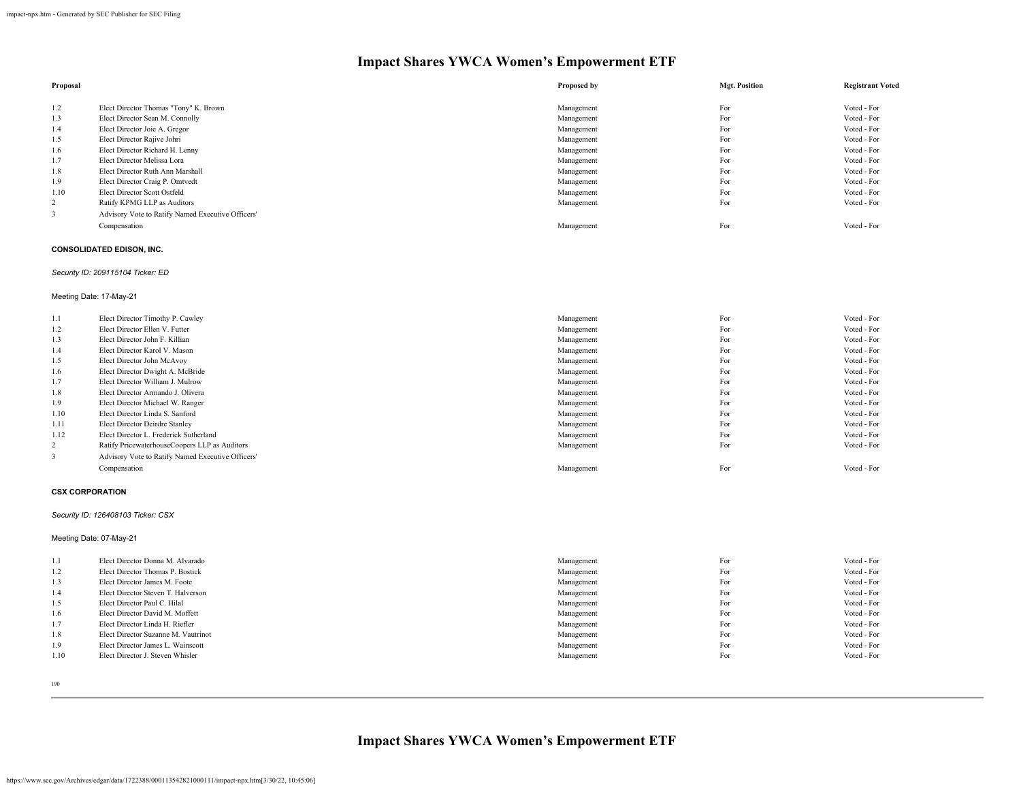| Proposal       |                                                   | Proposed by | <b>Mgt. Position</b> | <b>Registrant Voted</b> |
|----------------|---------------------------------------------------|-------------|----------------------|-------------------------|
|                |                                                   |             |                      |                         |
| 1.2            | Elect Director Thomas "Tony" K. Brown             | Management  | For                  | Voted - For             |
| 1.3            | Elect Director Sean M. Connolly                   | Management  | For                  | Voted - For             |
| 1.4            | Elect Director Joie A. Gregor                     | Management  | For                  | Voted - For             |
| 1.5            | Elect Director Rajive Johri                       | Management  | For                  | Voted - For             |
| 1.6            | Elect Director Richard H. Lenny                   | Management  | For                  | Voted - For             |
| 1.7            | Elect Director Melissa Lora                       | Management  | For                  | Voted - For             |
| 1.8            | Elect Director Ruth Ann Marshall                  | Management  | For                  | Voted - For             |
| 1.9            | Elect Director Craig P. Omtvedt                   | Management  | For                  | Voted - For             |
| 1.10           | Elect Director Scott Ostfeld                      | Management  | For                  | Voted - For             |
| $\overline{2}$ | Ratify KPMG LLP as Auditors                       | Management  | For                  | Voted - For             |
|                | Advisory Vote to Ratify Named Executive Officers' |             |                      |                         |
|                | Compensation                                      | Management  | For                  | Voted - For             |

### **CONSOLIDATED EDISON, INC.**

### *Security ID: 209115104 Ticker: ED*

### Meeting Date: 17-May-21

| 1.1  | Elect Director Timothy P. Cawley                  | Management | For | Voted - For |
|------|---------------------------------------------------|------------|-----|-------------|
| 1.2  | Elect Director Ellen V. Futter                    | Management | For | Voted - For |
| 1.3  | Elect Director John F. Killian                    | Management | For | Voted - For |
| 1.4  | Elect Director Karol V. Mason                     | Management | For | Voted - For |
| 1.5  | Elect Director John McAvoy                        | Management | For | Voted - For |
| 1.6  | Elect Director Dwight A. McBride                  | Management | For | Voted - For |
| 1.7  | Elect Director William J. Mulrow                  | Management | For | Voted - For |
| 1.8  | Elect Director Armando J. Olivera                 | Management | For | Voted - For |
| 1.9  | Elect Director Michael W. Ranger                  | Management | For | Voted - For |
| 1.10 | Elect Director Linda S. Sanford                   | Management | For | Voted - For |
| 1.11 | Elect Director Deirdre Stanley                    | Management | For | Voted - For |
| 1.12 | Elect Director L. Frederick Sutherland            | Management | For | Voted - For |
| 2    | Ratify PricewaterhouseCoopers LLP as Auditors     | Management | For | Voted - For |
|      | Advisory Vote to Ratify Named Executive Officers' |            |     |             |
|      | Compensation                                      | Management | For | Voted - For |

#### **CSX CORPORATION**

#### *Security ID: 126408103 Ticker: CSX*

#### Meeting Date: 07-May-21

| 1.1  | Elect Director Donna M. Alvarado    | Management | For | Voted - For |
|------|-------------------------------------|------------|-----|-------------|
| 1.2  | Elect Director Thomas P. Bostick    | Management | For | Voted - For |
| 1.3  | Elect Director James M. Foote       | Management | For | Voted - For |
| 1.4  | Elect Director Steven T. Halverson  | Management | For | Voted - For |
| 1.5  | Elect Director Paul C. Hilal        | Management | For | Voted - For |
| 1.6  | Elect Director David M. Moffett     | Management | For | Voted - For |
| 1.7  | Elect Director Linda H. Riefler     | Management | For | Voted - For |
| 1.8  | Elect Director Suzanne M. Vautrinot | Management | For | Voted - For |
| 1.9  | Elect Director James L. Wainscott   | Management | For | Voted - For |
| 1.10 | Elect Director J. Steven Whisler    | Management | For | Voted - For |
|      |                                     |            |     |             |

190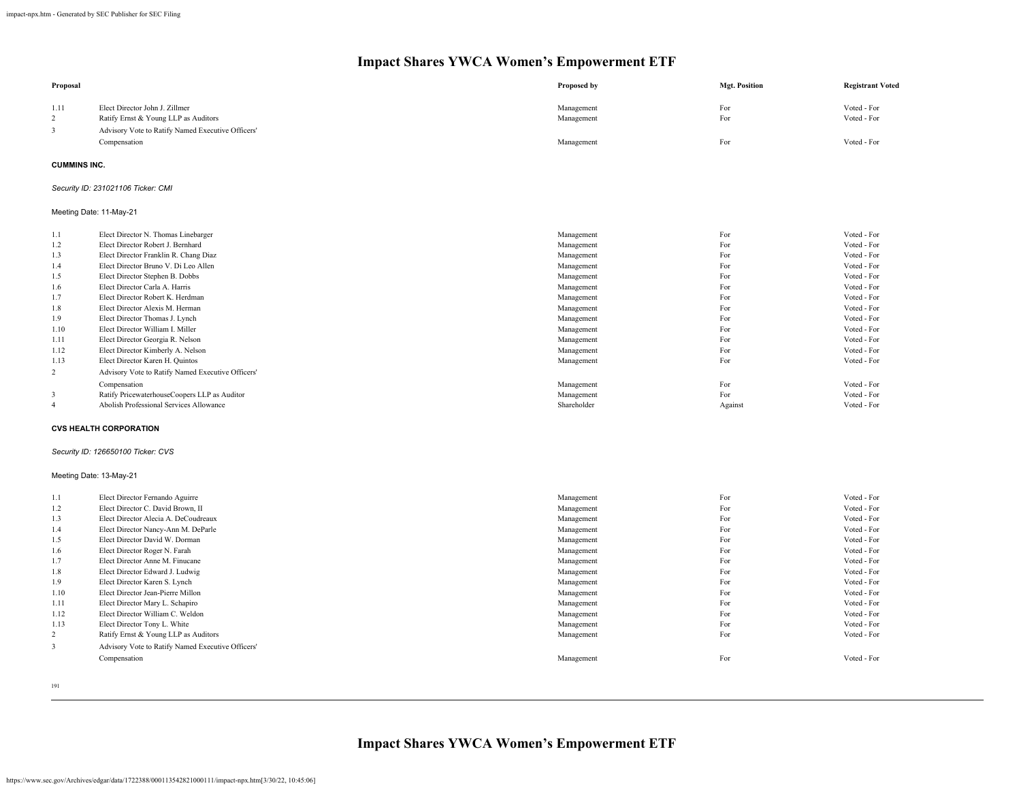| Proposal                                          |                                                                                                                             | Proposed by              | <b>Mgt. Position</b> | <b>Registrant Voted</b>    |
|---------------------------------------------------|-----------------------------------------------------------------------------------------------------------------------------|--------------------------|----------------------|----------------------------|
| 1.11<br>$\overline{2}$<br>$\overline{\mathbf{3}}$ | Elect Director John J. Zillmer<br>Ratify Ernst & Young LLP as Auditors<br>Advisory Vote to Ratify Named Executive Officers' | Management<br>Management | For<br>For           | Voted - For<br>Voted - For |
|                                                   | Compensation                                                                                                                | Management               | For                  | Voted - For                |
| <b>CUMMINS INC.</b>                               |                                                                                                                             |                          |                      |                            |
|                                                   | Security ID: 231021106 Ticker: CMI                                                                                          |                          |                      |                            |
|                                                   | Meeting Date: 11-May-21                                                                                                     |                          |                      |                            |
| 1.1                                               | Elect Director N. Thomas Linebarger                                                                                         | Management               | For                  | Voted - For                |
| 1.2                                               | Elect Director Robert J. Bernhard                                                                                           | Management               | For                  | Voted - For                |
| 1.3                                               | Elect Director Franklin R. Chang Diaz                                                                                       | Management               | For                  | Voted - For                |
| 1.4                                               | Elect Director Bruno V. Di Leo Allen                                                                                        | Management               | For                  | Voted - For                |
| 1.5                                               | Elect Director Stephen B. Dobbs                                                                                             | Management               | For                  | Voted - For                |
| 1.6                                               | Elect Director Carla A. Harris                                                                                              | Management               | For                  | Voted - For                |
| 1.7                                               | Elect Director Robert K. Herdman                                                                                            | Management               | For                  | Voted - For                |
| 1.8                                               | Elect Director Alexis M. Herman                                                                                             | Management               | For                  | Voted - For                |
| 1.9                                               | Elect Director Thomas J. Lynch                                                                                              | Management               | For                  | Voted - For                |
| 1.10                                              | Elect Director William I. Miller                                                                                            | Management               | For                  | Voted - For                |
| 1.11                                              | Elect Director Georgia R. Nelson                                                                                            | Management               | For                  | Voted - For                |
| 1.12                                              | Elect Director Kimberly A. Nelson                                                                                           | Management               | For                  | Voted - For                |
| 1.13                                              | Elect Director Karen H. Quintos                                                                                             | Management               | For                  | Voted - For                |
| $\overline{c}$                                    | Advisory Vote to Ratify Named Executive Officers'                                                                           |                          |                      |                            |
|                                                   | Compensation                                                                                                                | Management               | For                  | Voted - For                |
| 3                                                 | Ratify PricewaterhouseCoopers LLP as Auditor                                                                                | Management               | For                  | Voted - For                |
| $\overline{4}$                                    | Abolish Professional Services Allowance                                                                                     | Shareholder              | Against              | Voted - For                |
|                                                   | <b>CVS HEALTH CORPORATION</b>                                                                                               |                          |                      |                            |
|                                                   | Security ID: 126650100 Ticker: CVS                                                                                          |                          |                      |                            |
|                                                   | Meeting Date: 13-May-21                                                                                                     |                          |                      |                            |
| 1.1                                               | Elect Director Fernando Aguirre                                                                                             | Management               | For                  | Voted - For                |
| 1.2                                               | Elect Director C. David Brown, II                                                                                           | Management               | For                  | Voted - For                |
| 1.3                                               | Elect Director Alecia A. DeCoudreaux                                                                                        | Management               | For                  | Voted - For                |
| 1.4                                               | Elect Director Nancy-Ann M. DeParle                                                                                         | Management               | For                  | Voted - For                |
| 1.5                                               | Elect Director David W. Dorman                                                                                              | Management               | For                  | Voted - For                |
| 1.6                                               | Elect Director Roger N. Farah                                                                                               | Management               | For                  | Voted - For                |
| 1.7                                               | Elect Director Anne M. Finucane                                                                                             | Management               | For                  | Voted - For                |
| 1.8                                               | Elect Director Edward J. Ludwig                                                                                             | Management               | For                  | Voted - For                |
| 1.9                                               | Elect Director Karen S. Lynch                                                                                               | Management               | For                  | Voted - For                |
| 1.10                                              | Elect Director Jean-Pierre Millon                                                                                           | Management               | For                  | Voted - For                |
| 1.11                                              | Elect Director Mary L. Schapiro                                                                                             | Management               | For                  | Voted - For                |
| 1.12                                              | Elect Director William C. Weldon                                                                                            | Management               | For                  | Voted - For                |
| 1.13                                              | Elect Director Tony L. White                                                                                                | Management               | For                  | Voted - For                |
| $\overline{c}$                                    | Ratify Ernst & Young LLP as Auditors                                                                                        | Management               | For                  | Voted - For                |
| 3                                                 | Advisory Vote to Ratify Named Executive Officers'                                                                           |                          |                      |                            |
|                                                   | Compensation                                                                                                                | Management               | For                  | Voted - For                |
|                                                   |                                                                                                                             |                          |                      |                            |

191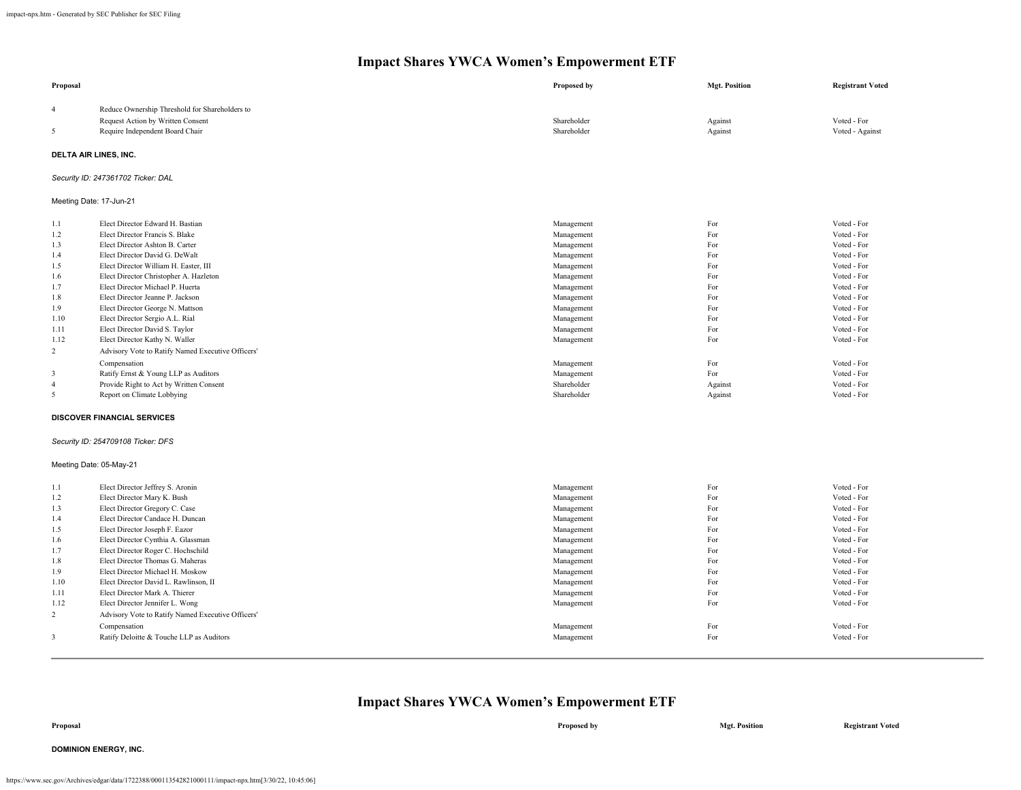| Proposal                |                                                   | Proposed by | <b>Mgt. Position</b> | <b>Registrant Voted</b> |  |  |
|-------------------------|---------------------------------------------------|-------------|----------------------|-------------------------|--|--|
| $\overline{4}$          | Reduce Ownership Threshold for Shareholders to    |             |                      |                         |  |  |
|                         | Request Action by Written Consent                 | Shareholder | Against              | Voted - For             |  |  |
| 5                       | Require Independent Board Chair                   | Shareholder | Against              | Voted - Against         |  |  |
| DELTA AIR LINES, INC.   |                                                   |             |                      |                         |  |  |
|                         | Security ID: 247361702 Ticker: DAL                |             |                      |                         |  |  |
|                         | Meeting Date: 17-Jun-21                           |             |                      |                         |  |  |
| 1.1                     | Elect Director Edward H. Bastian                  | Management  | For                  | Voted - For             |  |  |
| 1.2                     | Elect Director Francis S. Blake                   | Management  | For                  | Voted - For             |  |  |
| 1.3                     | Elect Director Ashton B. Carter                   | Management  | For                  | Voted - For             |  |  |
| 1.4                     | Elect Director David G. DeWalt                    | Management  | For                  | Voted - For             |  |  |
| 1.5                     | Elect Director William H. Easter, III             | Management  | For                  | Voted - For             |  |  |
| 1.6                     | Elect Director Christopher A. Hazleton            | Management  | For                  | Voted - For             |  |  |
| 1.7                     | Elect Director Michael P. Huerta                  | Management  | For                  | Voted - For             |  |  |
| 1.8                     | Elect Director Jeanne P. Jackson                  | Management  | For                  | Voted - For             |  |  |
| 1.9                     | Elect Director George N. Mattson                  | Management  | For                  | Voted - For             |  |  |
| 1.10                    | Elect Director Sergio A.L. Rial                   | Management  | For                  | Voted - For             |  |  |
| 1.11                    | Elect Director David S. Taylor                    | Management  | For                  | Voted - For             |  |  |
| 1.12                    | Elect Director Kathy N. Waller                    | Management  | For                  | Voted - For             |  |  |
| $\overline{2}$          | Advisory Vote to Ratify Named Executive Officers' |             |                      |                         |  |  |
|                         | Compensation                                      | Management  | For                  | Voted - For             |  |  |
| 3                       | Ratify Ernst & Young LLP as Auditors              | Management  | For                  | Voted - For             |  |  |
| $\overline{4}$          | Provide Right to Act by Written Consent           | Shareholder | Against              | Voted - For             |  |  |
| 5                       | Report on Climate Lobbying                        | Shareholder | Against              | Voted - For             |  |  |
|                         | <b>DISCOVER FINANCIAL SERVICES</b>                |             |                      |                         |  |  |
|                         | Security ID: 254709108 Ticker: DFS                |             |                      |                         |  |  |
| Meeting Date: 05-May-21 |                                                   |             |                      |                         |  |  |
| 1.1                     | Elect Director Jeffrey S. Aronin                  | Management  | For                  | Voted - For             |  |  |
| 1.2                     | Elect Director Mary K. Bush                       | Management  | For                  | Voted - For             |  |  |
| 1.3                     | Elect Director Gregory C. Case                    | Management  | For                  | Voted - For             |  |  |
| 1.4                     | Elect Director Candace H. Duncan                  | Management  | For                  | Voted - For             |  |  |
| 1.5                     | Elect Director Joseph F. Eazor                    | Management  | For                  | Voted - For             |  |  |
| 1.6                     | Elect Director Cynthia A. Glassman                | Management  | For                  | Voted - For             |  |  |
| 1.7                     | Elect Director Roger C. Hochschild                | Management  | For                  | Voted - For             |  |  |
| 1.8                     | Elect Director Thomas G. Maheras                  | Management  | For                  | Voted - For             |  |  |
| 1.9                     | Elect Director Michael H. Moskow                  | Management  | For                  | Voted - For             |  |  |
| 1.10                    | Elect Director David L. Rawlinson, II             | Management  | For                  | Voted - For             |  |  |
| 1.11                    | Elect Director Mark A. Thierer                    | Management  | For                  | Voted - For             |  |  |
| 1.12                    | Elect Director Jennifer L. Wong                   | Management  | For                  | Voted - For             |  |  |
| 2                       | Advisory Vote to Ratify Named Executive Officers' |             |                      |                         |  |  |
|                         | Compensation                                      | Management  | For                  | Voted - For             |  |  |
| 3                       | Ratify Deloitte & Touche LLP as Auditors          | Management  | For                  | Voted - For             |  |  |
|                         |                                                   |             |                      |                         |  |  |

### **Impact Shares YWCA Women's Empowerment ETF**

**Proposal Proposed by Mgt. Position Registrant Voted**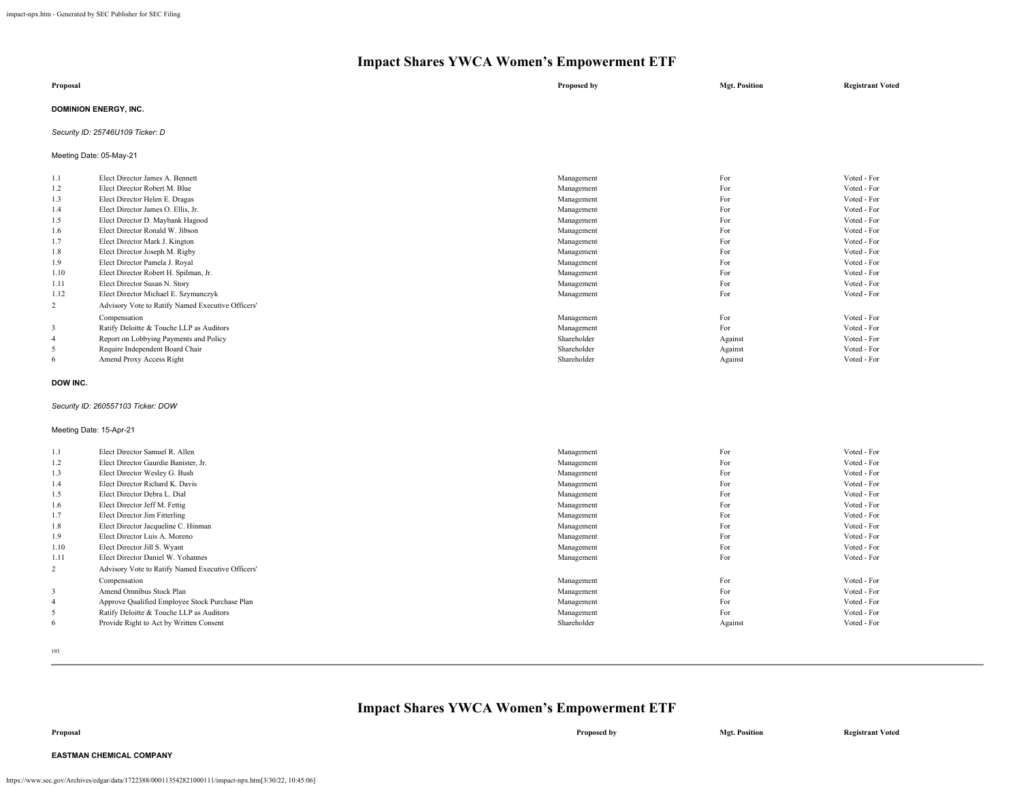| Proposal                     | Proposed by | <b>Mgt. Position</b> | <b>Registrant Voted</b> |
|------------------------------|-------------|----------------------|-------------------------|
| <b>DOMINION ENERGY, INC.</b> |             |                      |                         |

### *Security ID: 25746U109 Ticker: D*

Meeting Date: 05-May-21

| 1.1            | Elect Director James A. Bennett                   | Management  | For     | Voted - For |
|----------------|---------------------------------------------------|-------------|---------|-------------|
| 1.2            | Elect Director Robert M. Blue                     | Management  | For     | Voted - For |
| 1.3            | Elect Director Helen E. Dragas                    | Management  | For     | Voted - For |
| 1.4            | Elect Director James O. Ellis, Jr.                | Management  | For     | Voted - For |
| 1.5            | Elect Director D. Maybank Hagood                  | Management  | For     | Voted - For |
| 1.6            | Elect Director Ronald W. Jibson                   | Management  | For     | Voted - For |
| 1.7            | Elect Director Mark J. Kington                    | Management  | For     | Voted - For |
| 1.8            | Elect Director Joseph M. Rigby                    | Management  | For     | Voted - For |
| 1.9            | Elect Director Pamela J. Royal                    | Management  | For     | Voted - For |
| 1.10           | Elect Director Robert H. Spilman, Jr.             | Management  | For     | Voted - For |
| 1.11           | Elect Director Susan N. Story                     | Management  | For     | Voted - For |
| 1.12           | Elect Director Michael E. Szymanczyk              | Management  | For     | Voted - For |
| $\overline{2}$ | Advisory Vote to Ratify Named Executive Officers' |             |         |             |
|                | Compensation                                      | Management  | For     | Voted - For |
| 3              | Ratify Deloitte & Touche LLP as Auditors          | Management  | For     | Voted - For |
| $\overline{4}$ | Report on Lobbying Payments and Policy            | Shareholder | Against | Voted - For |
| 5              | Require Independent Board Chair                   | Shareholder | Against | Voted - For |
| 6              | Amend Proxy Access Right                          | Shareholder | Against | Voted - For |

#### **DOW INC.**

### *Security ID: 260557103 Ticker: DOW*

Meeting Date: 15-Apr-21

| 1.1            | Elect Director Samuel R. Allen                    | Management  | For     | Voted - For |
|----------------|---------------------------------------------------|-------------|---------|-------------|
| 1.2            | Elect Director Gaurdie Banister, Jr.              | Management  | For     | Voted - For |
| 1.3            | Elect Director Wesley G. Bush                     | Management  | For     | Voted - For |
| 1.4            | Elect Director Richard K. Davis                   | Management  | For     | Voted - For |
| 1.5            | Elect Director Debra L. Dial                      | Management  | For     | Voted - For |
| 1.6            | Elect Director Jeff M. Fettig                     | Management  | For     | Voted - For |
| 1.7            | Elect Director Jim Fitterling                     | Management  | For     | Voted - For |
| 1.8            | Elect Director Jacqueline C. Hinman               | Management  | For     | Voted - For |
| 1.9            | Elect Director Luis A. Moreno                     | Management  | For     | Voted - For |
| 1.10           | Elect Director Jill S. Wyant                      | Management  | For     | Voted - For |
| 1.11           | Elect Director Daniel W. Yohannes                 | Management  | For     | Voted - For |
| $\overline{c}$ | Advisory Vote to Ratify Named Executive Officers' |             |         |             |
|                | Compensation                                      | Management  | For     | Voted - For |
| 3              | Amend Omnibus Stock Plan                          | Management  | For     | Voted - For |
| $\overline{4}$ | Approve Qualified Employee Stock Purchase Plan    | Management  | For     | Voted - For |
| 5              | Ratify Deloitte & Touche LLP as Auditors          | Management  | For     | Voted - For |
| 6              | Provide Right to Act by Written Consent           | Shareholder | Against | Voted - For |

193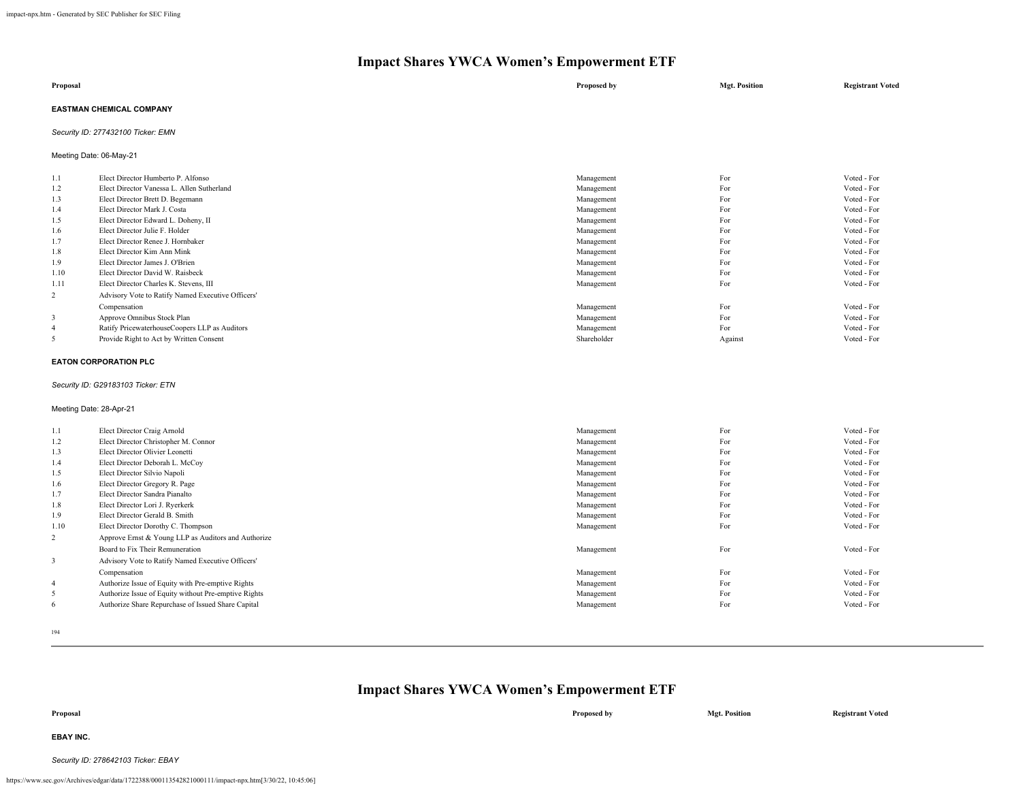| Proposal                 | Proposed by | <b>Mgt. Position</b> | <b>Registrant Voted</b> |
|--------------------------|-------------|----------------------|-------------------------|
| EASTMAN CHEMICAL COMPANY |             |                      |                         |

### *Security ID: 277432100 Ticker: EMN*

Meeting Date: 06-May-21

| 1.1            | Elect Director Humberto P. Alfonso                | Management  | For     | Voted - For |
|----------------|---------------------------------------------------|-------------|---------|-------------|
| 1.2            | Elect Director Vanessa L. Allen Sutherland        | Management  | For     | Voted - For |
| 1.3            | Elect Director Brett D. Begemann                  | Management  | For     | Voted - For |
| 1.4            | Elect Director Mark J. Costa                      | Management  | For     | Voted - For |
| 1.5            | Elect Director Edward L. Doheny, II               | Management  | For     | Voted - For |
| 1.6            | Elect Director Julie F. Holder                    | Management  | For     | Voted - For |
| 1.7            | Elect Director Renee J. Hornbaker                 | Management  | For     | Voted - For |
| 1.8            | Elect Director Kim Ann Mink                       | Management  | For     | Voted - For |
| 1.9            | Elect Director James J. O'Brien                   | Management  | For     | Voted - For |
| 1.10           | Elect Director David W. Raisbeck                  | Management  | For     | Voted - For |
| 1.11           | Elect Director Charles K. Stevens, III            | Management  | For     | Voted - For |
| 2              | Advisory Vote to Ratify Named Executive Officers' |             |         |             |
|                | Compensation                                      | Management  | For     | Voted - For |
| 3              | Approve Omnibus Stock Plan                        | Management  | For     | Voted - For |
| $\overline{4}$ | Ratify PricewaterhouseCoopers LLP as Auditors     | Management  | For     | Voted - For |
|                | Provide Right to Act by Written Consent           | Shareholder | Against | Voted - For |
|                |                                                   |             |         |             |

#### **EATON CORPORATION PLC**

#### *Security ID: G29183103 Ticker: ETN*

### Meeting Date: 28-Apr-21

| 1.1            | Elect Director Craig Arnold                          | Management | For | Voted - For |
|----------------|------------------------------------------------------|------------|-----|-------------|
| 1.2            | Elect Director Christopher M. Connor                 | Management | For | Voted - For |
| 1.3            | Elect Director Olivier Leonetti                      | Management | For | Voted - For |
| 1.4            | Elect Director Deborah L. McCoy                      | Management | For | Voted - For |
| 1.5            | Elect Director Silvio Napoli                         | Management | For | Voted - For |
| 1.6            | Elect Director Gregory R. Page                       | Management | For | Voted - For |
| 1.7            | Elect Director Sandra Pianalto                       | Management | For | Voted - For |
| 1.8            | Elect Director Lori J. Ryerkerk                      | Management | For | Voted - For |
| 1.9            | Elect Director Gerald B. Smith                       | Management | For | Voted - For |
| 1.10           | Elect Director Dorothy C. Thompson                   | Management | For | Voted - For |
| 2              | Approve Ernst & Young LLP as Auditors and Authorize  |            |     |             |
|                | Board to Fix Their Remuneration                      | Management | For | Voted - For |
| 3              | Advisory Vote to Ratify Named Executive Officers'    |            |     |             |
|                | Compensation                                         | Management | For | Voted - For |
| $\overline{4}$ | Authorize Issue of Equity with Pre-emptive Rights    | Management | For | Voted - For |
| 5              | Authorize Issue of Equity without Pre-emptive Rights | Management | For | Voted - For |
| 6              | Authorize Share Repurchase of Issued Share Capital   | Management | For | Voted - For |
|                |                                                      |            |     |             |

194

| Proposal         | Proposed by | <b>Mgt. Position</b> | <b>Registrant Voted</b> |
|------------------|-------------|----------------------|-------------------------|
| <b>EBAY INC.</b> |             |                      |                         |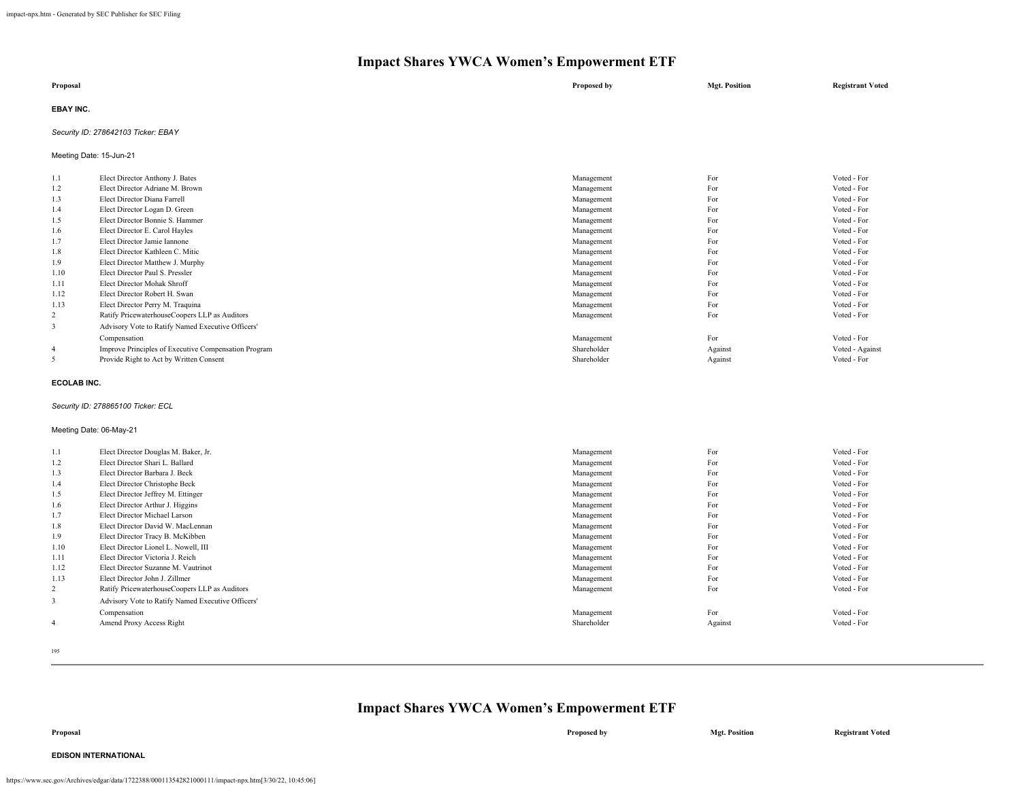| Proposal         | Proposed by | <b>Mgt. Position</b> | <b>Registrant Voted</b> |
|------------------|-------------|----------------------|-------------------------|
| <b>EBAY INC.</b> |             |                      |                         |

### *Security ID: 278642103 Ticker: EBAY*

Meeting Date: 15-Jun-21

| 1.1            | Elect Director Anthony J. Bates                      | Management  | For     | Voted - For     |
|----------------|------------------------------------------------------|-------------|---------|-----------------|
| 1.2            | Elect Director Adriane M. Brown                      | Management  | For     | Voted - For     |
| 1.3            | Elect Director Diana Farrell                         | Management  | For     | Voted - For     |
| 1.4            | Elect Director Logan D. Green                        | Management  | For     | Voted - For     |
| 1.5            | Elect Director Bonnie S. Hammer                      | Management  | For     | Voted - For     |
| 1.6            | Elect Director E. Carol Hayles                       | Management  | For     | Voted - For     |
| 1.7            | Elect Director Jamie Iannone                         | Management  | For     | Voted - For     |
| 1.8            | Elect Director Kathleen C. Mitic                     | Management  | For     | Voted - For     |
| 1.9            | Elect Director Matthew J. Murphy                     | Management  | For     | Voted - For     |
| 1.10           | Elect Director Paul S. Pressler                      | Management  | For     | Voted - For     |
| 1.11           | Elect Director Mohak Shroff                          | Management  | For     | Voted - For     |
| 1.12           | Elect Director Robert H. Swan                        | Management  | For     | Voted - For     |
| 1.13           | Elect Director Perry M. Traquina                     | Management  | For     | Voted - For     |
| 2              | Ratify PricewaterhouseCoopers LLP as Auditors        | Management  | For     | Voted - For     |
| 3              | Advisory Vote to Ratify Named Executive Officers'    |             |         |                 |
|                | Compensation                                         | Management  | For     | Voted - For     |
| $\overline{4}$ | Improve Principles of Executive Compensation Program | Shareholder | Against | Voted - Against |
| 5              | Provide Right to Act by Written Consent              | Shareholder | Against | Voted - For     |
|                |                                                      |             |         |                 |

#### **ECOLAB INC.**

### *Security ID: 278865100 Ticker: ECL*

### Meeting Date: 06-May-21

| 1.1            | Elect Director Douglas M. Baker, Jr.              | Management  | For     | Voted - For |
|----------------|---------------------------------------------------|-------------|---------|-------------|
| 1.2            | Elect Director Shari L. Ballard                   | Management  | For     | Voted - For |
| 1.3            | Elect Director Barbara J. Beck                    | Management  | For     | Voted - For |
| 1.4            | Elect Director Christophe Beck                    | Management  | For     | Voted - For |
| 1.5            | Elect Director Jeffrey M. Ettinger                | Management  | For     | Voted - For |
| 1.6            | Elect Director Arthur J. Higgins                  | Management  | For     | Voted - For |
| 1.7            | Elect Director Michael Larson                     | Management  | For     | Voted - For |
| 1.8            | Elect Director David W. MacLennan                 | Management  | For     | Voted - For |
| 1.9            | Elect Director Tracy B. McKibben                  | Management  | For     | Voted - For |
| 1.10           | Elect Director Lionel L. Nowell, III              | Management  | For     | Voted - For |
| 1.11           | Elect Director Victoria J. Reich                  | Management  | For     | Voted - For |
| 1.12           | Elect Director Suzanne M. Vautrinot               | Management  | For     | Voted - For |
| 1.13           | Elect Director John J. Zillmer                    | Management  | For     | Voted - For |
| $\overline{2}$ | Ratify PricewaterhouseCoopers LLP as Auditors     | Management  | For     | Voted - For |
| 3              | Advisory Vote to Ratify Named Executive Officers' |             |         |             |
|                | Compensation                                      | Management  | For     | Voted - For |
| -4             | Amend Proxy Access Right                          | Shareholder | Against | Voted - For |

195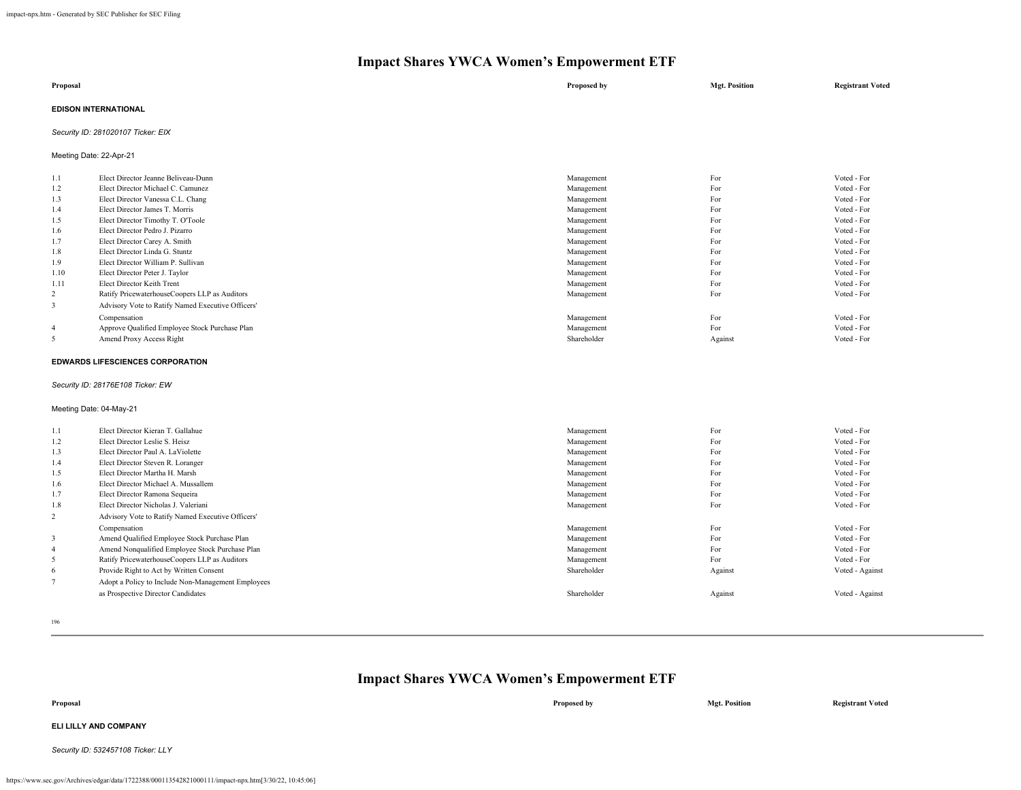| Proposal                    | Proposed by | <b>Mgt. Position</b> | <b>Registrant Voted</b> |
|-----------------------------|-------------|----------------------|-------------------------|
| <b>EDISON INTERNATIONAL</b> |             |                      |                         |

*Security ID: 281020107 Ticker: EIX*

Meeting Date: 22-Apr-21

| 1.1            | Elect Director Jeanne Beliveau-Dunn               | Management  | For     | Voted - For |
|----------------|---------------------------------------------------|-------------|---------|-------------|
| 1.2            | Elect Director Michael C. Camunez                 | Management  | For     | Voted - For |
| 1.3            | Elect Director Vanessa C.L. Chang                 | Management  | For     | Voted - For |
| 1.4            | Elect Director James T. Morris                    | Management  | For     | Voted - For |
| 1.5            | Elect Director Timothy T. O'Toole                 | Management  | For     | Voted - For |
| 1.6            | Elect Director Pedro J. Pizarro                   | Management  | For     | Voted - For |
| 1.7            | Elect Director Carey A. Smith                     | Management  | For     | Voted - For |
| 1.8            | Elect Director Linda G. Stuntz                    | Management  | For     | Voted - For |
| 1.9            | Elect Director William P. Sullivan                | Management  | For     | Voted - For |
| 1.10           | Elect Director Peter J. Taylor                    | Management  | For     | Voted - For |
| 1.11           | Elect Director Keith Trent                        | Management  | For     | Voted - For |
| 2              | Ratify PricewaterhouseCoopers LLP as Auditors     | Management  | For     | Voted - For |
| 3              | Advisory Vote to Ratify Named Executive Officers' |             |         |             |
|                | Compensation                                      | Management  | For     | Voted - For |
| $\overline{4}$ | Approve Qualified Employee Stock Purchase Plan    | Management  | For     | Voted - For |
| 5              | Amend Proxy Access Right                          | Shareholder | Against | Voted - For |
|                |                                                   |             |         |             |

### **EDWARDS LIFESCIENCES CORPORATION**

#### *Security ID: 28176E108 Ticker: EW*

### Meeting Date: 04-May-21

| 1.1            | Elect Director Kieran T. Gallahue                  | Management  | For     | Voted - For     |
|----------------|----------------------------------------------------|-------------|---------|-----------------|
| 1.2            | Elect Director Leslie S. Heisz                     | Management  | For     | Voted - For     |
| 1.3            | Elect Director Paul A. LaViolette                  | Management  | For     | Voted - For     |
| 1.4            | Elect Director Steven R. Loranger                  | Management  | For     | Voted - For     |
| 1.5            | Elect Director Martha H. Marsh                     | Management  | For     | Voted - For     |
| 1.6            | Elect Director Michael A. Mussallem                | Management  | For     | Voted - For     |
| 1.7            | Elect Director Ramona Sequeira                     | Management  | For     | Voted - For     |
| 1.8            | Elect Director Nicholas J. Valeriani               | Management  | For     | Voted - For     |
| 2              | Advisory Vote to Ratify Named Executive Officers'  |             |         |                 |
|                | Compensation                                       | Management  | For     | Voted - For     |
| 3              | Amend Qualified Employee Stock Purchase Plan       | Management  | For     | Voted - For     |
| $\overline{4}$ | Amend Nonqualified Employee Stock Purchase Plan    | Management  | For     | Voted - For     |
| 5              | Ratify PricewaterhouseCoopers LLP as Auditors      | Management  | For     | Voted - For     |
| 6              | Provide Right to Act by Written Consent            | Shareholder | Against | Voted - Against |
|                | Adopt a Policy to Include Non-Management Employees |             |         |                 |
|                | as Prospective Director Candidates                 | Shareholder | Against | Voted - Against |
|                |                                                    |             |         |                 |

196

| Proposal                           | Proposed by | <b>Mgt. Position</b> | <b>Registrant Voted</b> |
|------------------------------------|-------------|----------------------|-------------------------|
| ELI LILLY AND COMPANY              |             |                      |                         |
| Security ID: 532457108 Ticker: LLY |             |                      |                         |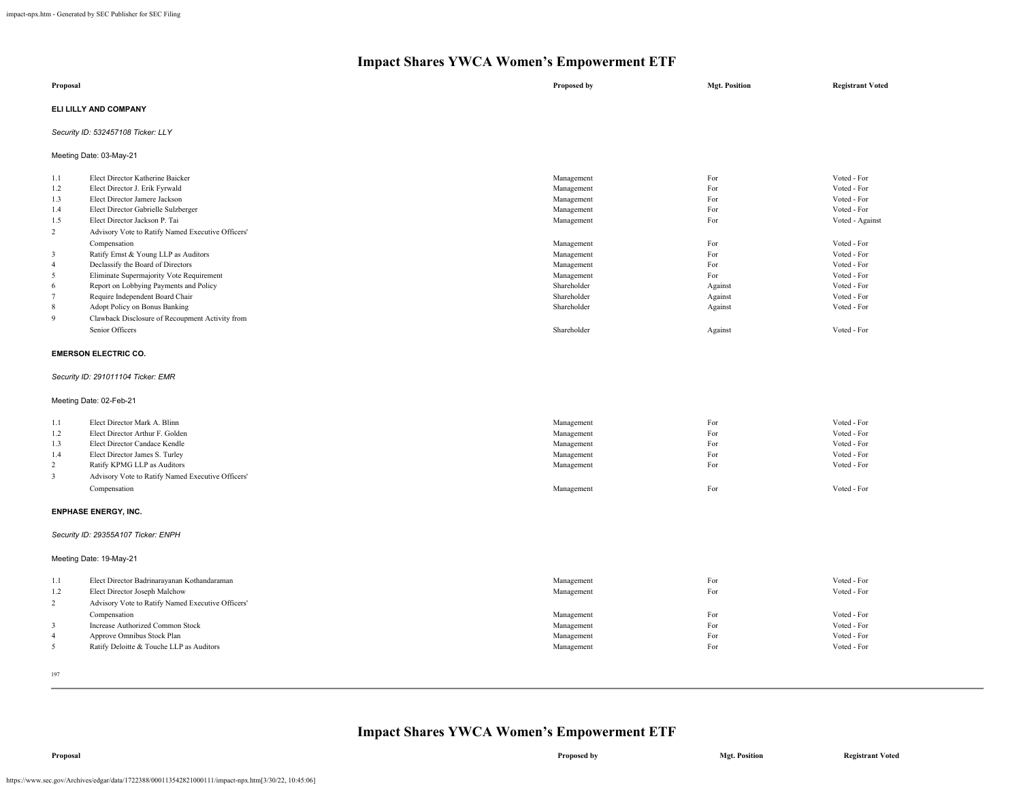| Proposal              | Proposed by | <b>Mgt. Position</b> | <b>Registrant Voted</b> |
|-----------------------|-------------|----------------------|-------------------------|
| ELI LILLY AND COMPANY |             |                      |                         |

### *Security ID: 532457108 Ticker: LLY*

Meeting Date: 03-May-21

| 1.1            | Elect Director Katherine Baicker                  | Management  | For     | Voted - For     |
|----------------|---------------------------------------------------|-------------|---------|-----------------|
| 1.2            | Elect Director J. Erik Fyrwald                    | Management  | For     | Voted - For     |
| 1.3            | Elect Director Jamere Jackson                     | Management  | For     | Voted - For     |
| 1.4            | Elect Director Gabrielle Sulzberger               | Management  | For     | Voted - For     |
| 1.5            | Elect Director Jackson P. Tai                     | Management  | For     | Voted - Against |
| $\overline{c}$ | Advisory Vote to Ratify Named Executive Officers' |             |         |                 |
|                | Compensation                                      | Management  | For     | Voted - For     |
| 3              | Ratify Ernst & Young LLP as Auditors              | Management  | For     | Voted - For     |
| $\overline{4}$ | Declassify the Board of Directors                 | Management  | For     | Voted - For     |
| 5              | Eliminate Supermajority Vote Requirement          | Management  | For     | Voted - For     |
| 6              | Report on Lobbying Payments and Policy            | Shareholder | Against | Voted - For     |
| $\mathbf{a}$   | Require Independent Board Chair                   | Shareholder | Against | Voted - For     |
| 8              | Adopt Policy on Bonus Banking                     | Shareholder | Against | Voted - For     |
| 9              | Clawback Disclosure of Recoupment Activity from   |             |         |                 |
|                | Senior Officers                                   | Shareholder | Against | Voted - For     |
|                |                                                   |             |         |                 |

#### **EMERSON ELECTRIC CO.**

### *Security ID: 291011104 Ticker: EMR*

Meeting Date: 02-Feb-21

| 1.1 | Elect Director Mark A. Blinn                      | Management | For | Voted - For |
|-----|---------------------------------------------------|------------|-----|-------------|
| 1.2 | Elect Director Arthur F. Golden                   | Management | For | Voted - For |
| 1.3 | Elect Director Candace Kendle                     | Management | For | Voted - For |
| 1.4 | Elect Director James S. Turley                    | Management | For | Voted - For |
|     | Ratify KPMG LLP as Auditors                       | Management | For | Voted - For |
|     | Advisory Vote to Ratify Named Executive Officers' |            |     |             |
|     | Compensation                                      | Management | For | Voted - For |

#### **ENPHASE ENERGY, INC.**

#### *Security ID: 29355A107 Ticker: ENPH*

Meeting Date: 19-May-21

| 1.1<br>1.2 | Elect Director Badrinarayanan Kothandaraman<br>Elect Director Joseph Malchow | Management<br>Management | For<br>For | Voted - For<br>Voted - For |
|------------|------------------------------------------------------------------------------|--------------------------|------------|----------------------------|
|            |                                                                              |                          |            |                            |
| $\sim$     | Advisory Vote to Ratify Named Executive Officers'                            |                          |            |                            |
|            | Compensation                                                                 | Management               | For        | Voted - For                |
|            | Increase Authorized Common Stock                                             | Management               | For        | Voted - For                |
|            | Approve Omnibus Stock Plan                                                   | Management               | For        | Voted - For                |
|            | Ratify Deloitte & Touche LLP as Auditors                                     | Management               | For        | Voted - For                |
|            |                                                                              |                          |            |                            |

197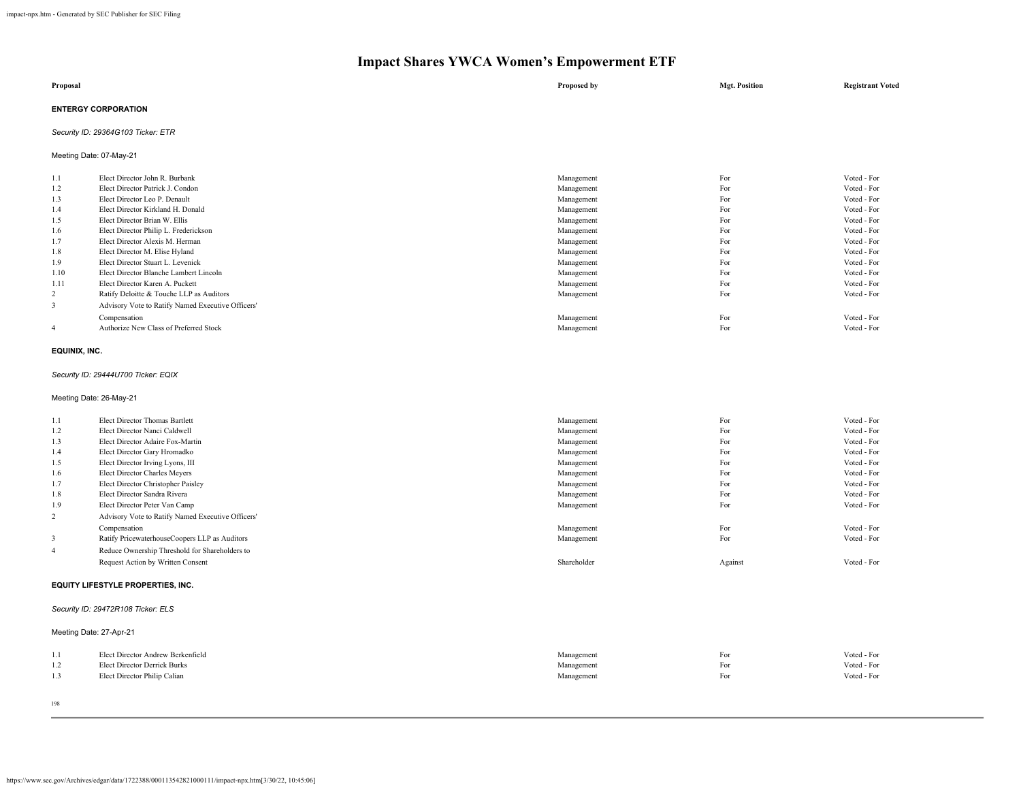| Proposal                   | Proposed by | <b>Mgt. Position</b> | <b>Registrant Voted</b> |
|----------------------------|-------------|----------------------|-------------------------|
| <b>ENTERGY CORPORATION</b> |             |                      |                         |

### *Security ID: 29364G103 Ticker: ETR*

Meeting Date: 07-May-21

| 1.1            | Elect Director John R. Burbank                    | Management | For | Voted - For |
|----------------|---------------------------------------------------|------------|-----|-------------|
| 1.2            | Elect Director Patrick J. Condon                  | Management | For | Voted - For |
| 1.3            | Elect Director Leo P. Denault                     | Management | For | Voted - For |
| 1.4            | Elect Director Kirkland H. Donald                 | Management | For | Voted - For |
| 1.5            | Elect Director Brian W. Ellis                     | Management | For | Voted - For |
| 1.6            | Elect Director Philip L. Frederickson             | Management | For | Voted - For |
| 1.7            | Elect Director Alexis M. Herman                   | Management | For | Voted - For |
| 1.8            | Elect Director M. Elise Hyland                    | Management | For | Voted - For |
| 1.9            | Elect Director Stuart L. Levenick                 | Management | For | Voted - For |
| 1.10           | Elect Director Blanche Lambert Lincoln            | Management | For | Voted - For |
| 1.11           | Elect Director Karen A. Puckett                   | Management | For | Voted - For |
| $\overline{2}$ | Ratify Deloitte & Touche LLP as Auditors          | Management | For | Voted - For |
| 3              | Advisory Vote to Ratify Named Executive Officers' |            |     |             |
|                | Compensation                                      | Management | For | Voted - For |
| $\overline{4}$ | Authorize New Class of Preferred Stock            | Management | For | Voted - For |
|                |                                                   |            |     |             |

#### **EQUINIX, INC.**

### *Security ID: 29444U700 Ticker: EQIX*

Meeting Date: 26-May-21

| 1.1            | Elect Director Thomas Bartlett                    | Management  | For     | Voted - For |  |
|----------------|---------------------------------------------------|-------------|---------|-------------|--|
| 1.2            | Elect Director Nanci Caldwell                     | Management  | For     | Voted - For |  |
| 1.3            | Elect Director Adaire Fox-Martin                  | Management  | For     | Voted - For |  |
| 1.4            | Elect Director Gary Hromadko                      | Management  | For     | Voted - For |  |
| 1.5            | Elect Director Irving Lyons, III                  | Management  | For     | Voted - For |  |
| 1.6            | Elect Director Charles Meyers                     | Management  | For     | Voted - For |  |
| 1.7            | Elect Director Christopher Paisley                | Management  | For     | Voted - For |  |
| 1.8            | Elect Director Sandra Rivera                      | Management  | For     | Voted - For |  |
| 1.9            | Elect Director Peter Van Camp                     | Management  | For     | Voted - For |  |
| 2              | Advisory Vote to Ratify Named Executive Officers' |             |         |             |  |
|                | Compensation                                      | Management  | For     | Voted - For |  |
| 3              | Ratify PricewaterhouseCoopers LLP as Auditors     | Management  | For     | Voted - For |  |
| $\overline{4}$ | Reduce Ownership Threshold for Shareholders to    |             |         |             |  |
|                | Request Action by Written Consent                 | Shareholder | Against | Voted - For |  |
|                | <b>EQUITY LIFESTYLE PROPERTIES, INC.</b>          |             |         |             |  |

### *Security ID: 29472R108 Ticker: ELS*

Meeting Date: 27-Apr-21

|     | Elect Director Andrew Berkenfield   | Management | For | Voted - For |
|-----|-------------------------------------|------------|-----|-------------|
| 1.2 | <b>Elect Director Derrick Burks</b> | Management | For | Voted - For |
| 1.3 | Elect Director Philip Calian        | Management | For | Voted - For |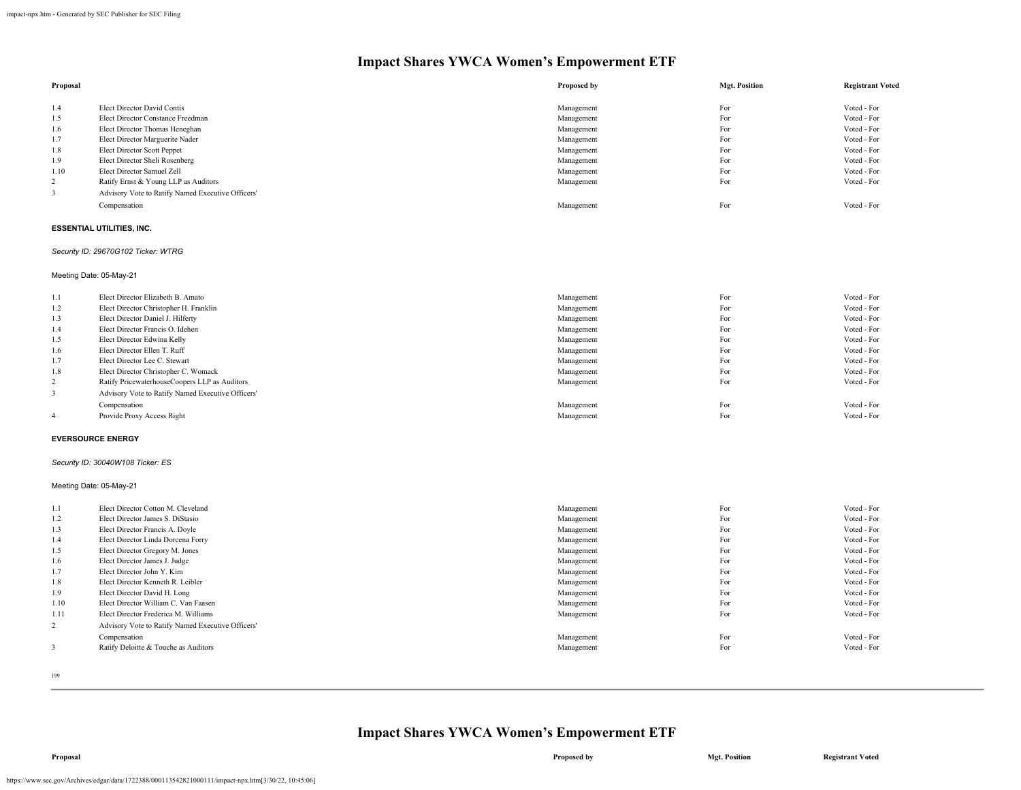| Voted - For |
|-------------|
|             |
|             |
| Voted - For |
| Voted - For |
| Voted - For |
| Voted - For |
| Voted - For |
| Voted - For |
| Voted - For |
|             |
| Voted - For |
|             |

#### **ESSENTIAL UTILITIES, INC.**

#### *Security ID: 29670G102 Ticker: WTRG*

Meeting Date: 05-May-21

| 1.1            | Elect Director Elizabeth B. Amato                 | Management | For | Voted - For |
|----------------|---------------------------------------------------|------------|-----|-------------|
| 1.2            | Elect Director Christopher H. Franklin            | Management | For | Voted - For |
| 1.3            | Elect Director Daniel J. Hilferty                 | Management | For | Voted - For |
| 1.4            | Elect Director Francis O. Idehen                  | Management | For | Voted - For |
| 1.5            | Elect Director Edwina Kelly                       | Management | For | Voted - For |
| 1.6            | Elect Director Ellen T. Ruff                      | Management | For | Voted - For |
| 1.7            | Elect Director Lee C. Stewart                     | Management | For | Voted - For |
| 1.8            | Elect Director Christopher C. Womack              | Management | For | Voted - For |
|                | Ratify PricewaterhouseCoopers LLP as Auditors     | Management | For | Voted - For |
|                | Advisory Vote to Ratify Named Executive Officers' |            |     |             |
|                | Compensation                                      | Management | For | Voted - For |
| $\overline{4}$ | Provide Proxy Access Right                        | Management | For | Voted - For |
|                |                                                   |            |     |             |

#### **EVERSOURCE ENERGY**

### *Security ID: 30040W108 Ticker: ES*

Meeting Date: 05-May-21

| 1.1  | Elect Director Cotton M. Cleveland                | Management | For | Voted - For |
|------|---------------------------------------------------|------------|-----|-------------|
| 1.2  | Elect Director James S. DiStasio                  | Management | For | Voted - For |
| 1.3  | Elect Director Francis A. Doyle                   | Management | For | Voted - For |
| 1.4  | Elect Director Linda Dorcena Forry                | Management | For | Voted - For |
| 1.5  | Elect Director Gregory M. Jones                   | Management | For | Voted - For |
| 1.6  | Elect Director James J. Judge                     | Management | For | Voted - For |
| 1.7  | Elect Director John Y. Kim                        | Management | For | Voted - For |
| 1.8  | Elect Director Kenneth R. Leibler                 | Management | For | Voted - For |
| 1.9  | Elect Director David H. Long                      | Management | For | Voted - For |
| 1.10 | Elect Director William C. Van Faasen              | Management | For | Voted - For |
| 1.11 | Elect Director Frederica M. Williams              | Management | For | Voted - For |
| 2    | Advisory Vote to Ratify Named Executive Officers' |            |     |             |
|      | Compensation                                      | Management | For | Voted - For |
| 3    | Ratify Deloitte & Touche as Auditors              | Management | For | Voted - For |
|      |                                                   |            |     |             |
|      |                                                   |            |     |             |

199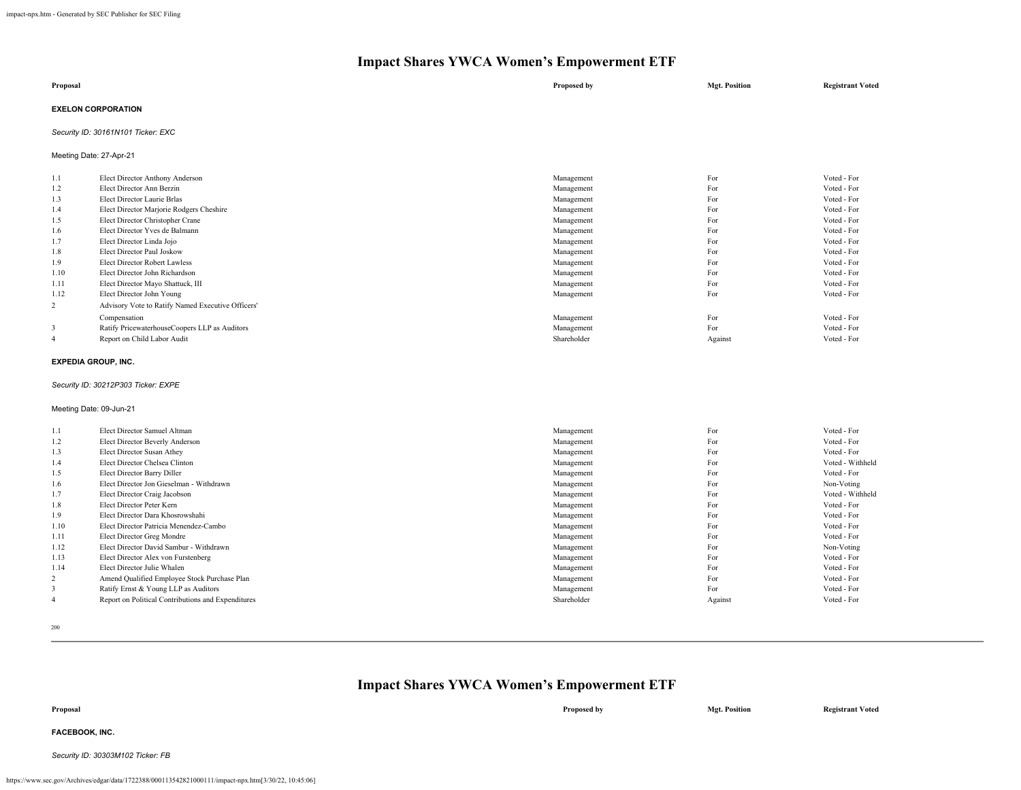| Proposal                  | Proposed by | <b>Mgt. Position</b> | <b>Registrant Voted</b> |
|---------------------------|-------------|----------------------|-------------------------|
| <b>EXELON CORPORATION</b> |             |                      |                         |

### *Security ID: 30161N101 Ticker: EXC*

Meeting Date: 27-Apr-21

| 1.1  | Elect Director Anthony Anderson                   | Management  | For     | Voted - For |
|------|---------------------------------------------------|-------------|---------|-------------|
| 1.2  | Elect Director Ann Berzin                         | Management  | For     | Voted - For |
| 1.3  | Elect Director Laurie Brlas                       | Management  | For     | Voted - For |
| 1.4  | Elect Director Marjorie Rodgers Cheshire          | Management  | For     | Voted - For |
| 1.5  | Elect Director Christopher Crane                  | Management  | For     | Voted - For |
| 1.6  | Elect Director Yves de Balmann                    | Management  | For     | Voted - For |
| 1.7  | Elect Director Linda Jojo                         | Management  | For     | Voted - For |
| 1.8  | Elect Director Paul Joskow                        | Management  | For     | Voted - For |
| 1.9  | <b>Elect Director Robert Lawless</b>              | Management  | For     | Voted - For |
| 1.10 | Elect Director John Richardson                    | Management  | For     | Voted - For |
| 1.11 | Elect Director Mayo Shattuck, III                 | Management  | For     | Voted - For |
| 1.12 | Elect Director John Young                         | Management  | For     | Voted - For |
| 2    | Advisory Vote to Ratify Named Executive Officers' |             |         |             |
|      | Compensation                                      | Management  | For     | Voted - For |
| 3    | Ratify PricewaterhouseCoopers LLP as Auditors     | Management  | For     | Voted - For |
| 4    | Report on Child Labor Audit                       | Shareholder | Against | Voted - For |
|      |                                                   |             |         |             |

#### **EXPEDIA GROUP, INC.**

#### *Security ID: 30212P303 Ticker: EXPE*

#### Meeting Date: 09-Jun-21

| 1.1  | Elect Director Samuel Altman                       | Management  | For     | Voted - For      |
|------|----------------------------------------------------|-------------|---------|------------------|
| 1.2  | Elect Director Beverly Anderson                    | Management  | For     | Voted - For      |
| 1.3  | Elect Director Susan Athey                         | Management  | For     | Voted - For      |
| 1.4  | Elect Director Chelsea Clinton                     | Management  | For     | Voted - Withheld |
| 1.5  | Elect Director Barry Diller                        | Management  | For     | Voted - For      |
| 1.6  | Elect Director Jon Gieselman - Withdrawn           | Management  | For     | Non-Voting       |
| 1.7  | Elect Director Craig Jacobson                      | Management  | For     | Voted - Withheld |
| 1.8  | Elect Director Peter Kern                          | Management  | For     | Voted - For      |
| 1.9  | Elect Director Dara Khosrowshahi                   | Management  | For     | Voted - For      |
| 1.10 | Elect Director Patricia Menendez-Cambo             | Management  | For     | Voted - For      |
| 1.11 | Elect Director Greg Mondre                         | Management  | For     | Voted - For      |
| 1.12 | Elect Director David Sambur - Withdrawn            | Management  | For     | Non-Voting       |
| 1.13 | Elect Director Alex von Furstenberg                | Management  | For     | Voted - For      |
| 1.14 | Elect Director Julie Whalen                        | Management  | For     | Voted - For      |
| 2    | Amend Qualified Employee Stock Purchase Plan       | Management  | For     | Voted - For      |
| 3    | Ratify Ernst & Young LLP as Auditors               | Management  | For     | Voted - For      |
|      | Report on Political Contributions and Expenditures | Shareholder | Against | Voted - For      |

200

### **Impact Shares YWCA Women's Empowerment ETF**

**FACEBOOK, INC.**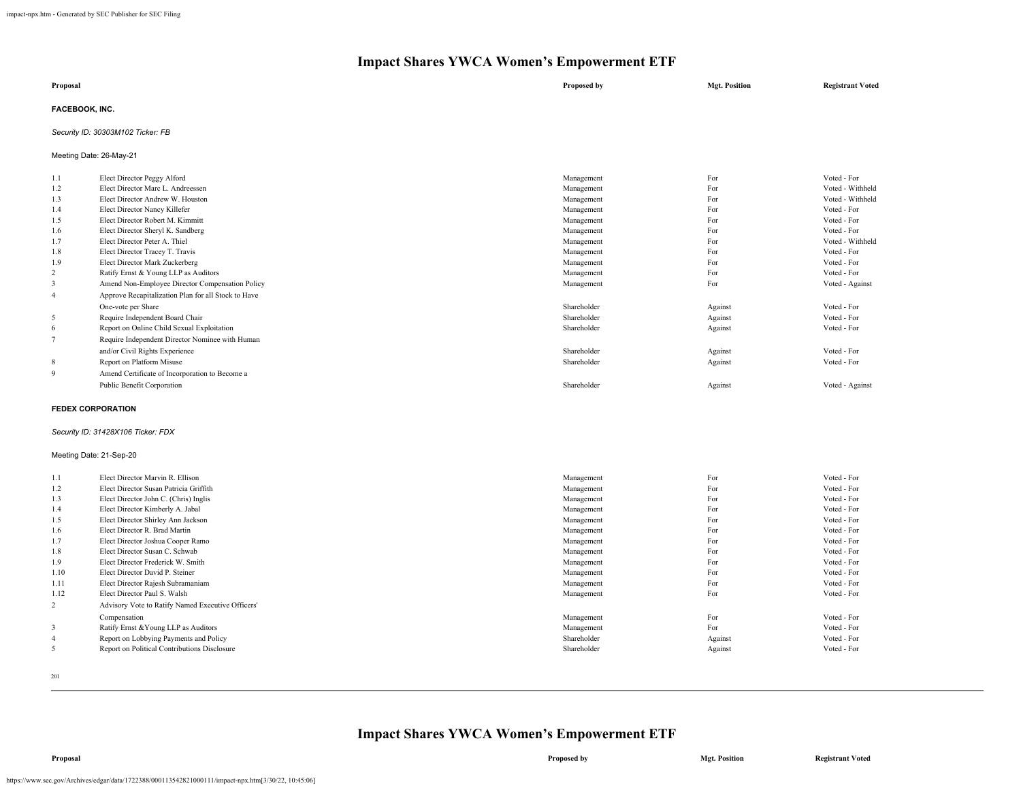| Proposal              | Proposed by | <b>Mgt. Position</b> | <b>Registrant Voted</b> |
|-----------------------|-------------|----------------------|-------------------------|
| <b>FACEBOOK, INC.</b> |             |                      |                         |

### *Security ID: 30303M102 Ticker: FB*

Meeting Date: 26-May-21

| 1.1            | Elect Director Peggy Alford                         | Management  | For     | Voted - For      |
|----------------|-----------------------------------------------------|-------------|---------|------------------|
| 1.2            | Elect Director Marc L. Andreessen                   | Management  | For     | Voted - Withheld |
| 1.3            | Elect Director Andrew W. Houston                    | Management  | For     | Voted - Withheld |
| 1.4            | Elect Director Nancy Killefer                       | Management  | For     | Voted - For      |
| 1.5            | Elect Director Robert M. Kimmitt                    | Management  | For     | Voted - For      |
| 1.6            | Elect Director Sheryl K. Sandberg                   | Management  | For     | Voted - For      |
| 1.7            | Elect Director Peter A. Thiel                       | Management  | For     | Voted - Withheld |
| 1.8            | Elect Director Tracey T. Travis                     | Management  | For     | Voted - For      |
| 1.9            | Elect Director Mark Zuckerberg                      | Management  | For     | Voted - For      |
| 2              | Ratify Ernst & Young LLP as Auditors                | Management  | For     | Voted - For      |
| 3              | Amend Non-Employee Director Compensation Policy     | Management  | For     | Voted - Against  |
| $\overline{4}$ | Approve Recapitalization Plan for all Stock to Have |             |         |                  |
|                | One-vote per Share                                  | Shareholder | Against | Voted - For      |
| 5              | Require Independent Board Chair                     | Shareholder | Against | Voted - For      |
| 6              | Report on Online Child Sexual Exploitation          | Shareholder | Against | Voted - For      |
|                | Require Independent Director Nominee with Human     |             |         |                  |
|                | and/or Civil Rights Experience                      | Shareholder | Against | Voted - For      |
| 8              | Report on Platform Misuse                           | Shareholder | Against | Voted - For      |
| 9              | Amend Certificate of Incorporation to Become a      |             |         |                  |
|                | Public Benefit Corporation                          | Shareholder | Against | Voted - Against  |
|                |                                                     |             |         |                  |

#### **FEDEX CORPORATION**

#### *Security ID: 31428X106 Ticker: FDX*

### Meeting Date: 21-Sep-20

| 1.1            | Elect Director Marvin R. Ellison                  | Management  | For     | Voted - For |
|----------------|---------------------------------------------------|-------------|---------|-------------|
|                | Elect Director Susan Patricia Griffith            |             | For     |             |
| 1.2            |                                                   | Management  |         | Voted - For |
| 1.3            | Elect Director John C. (Chris) Inglis             | Management  | For     | Voted - For |
| 1.4            | Elect Director Kimberly A. Jabal                  | Management  | For     | Voted - For |
| 1.5            | Elect Director Shirley Ann Jackson                | Management  | For     | Voted - For |
| 1.6            | Elect Director R. Brad Martin                     | Management  | For     | Voted - For |
| 1.7            | Elect Director Joshua Cooper Ramo                 | Management  | For     | Voted - For |
| 1.8            | Elect Director Susan C. Schwab                    | Management  | For     | Voted - For |
| 1.9            | Elect Director Frederick W. Smith                 | Management  | For     | Voted - For |
| 1.10           | Elect Director David P. Steiner                   | Management  | For     | Voted - For |
| 1.11           | Elect Director Rajesh Subramaniam                 | Management  | For     | Voted - For |
| 1.12           | Elect Director Paul S. Walsh                      | Management  | For     | Voted - For |
| $\overline{c}$ | Advisory Vote to Ratify Named Executive Officers' |             |         |             |
|                | Compensation                                      | Management  | For     | Voted - For |
| 3              | Ratify Ernst & Young LLP as Auditors              | Management  | For     | Voted - For |
| $\overline{4}$ | Report on Lobbying Payments and Policy            | Shareholder | Against | Voted - For |
| 5              | Report on Political Contributions Disclosure      | Shareholder | Against | Voted - For |
|                |                                                   |             |         |             |

201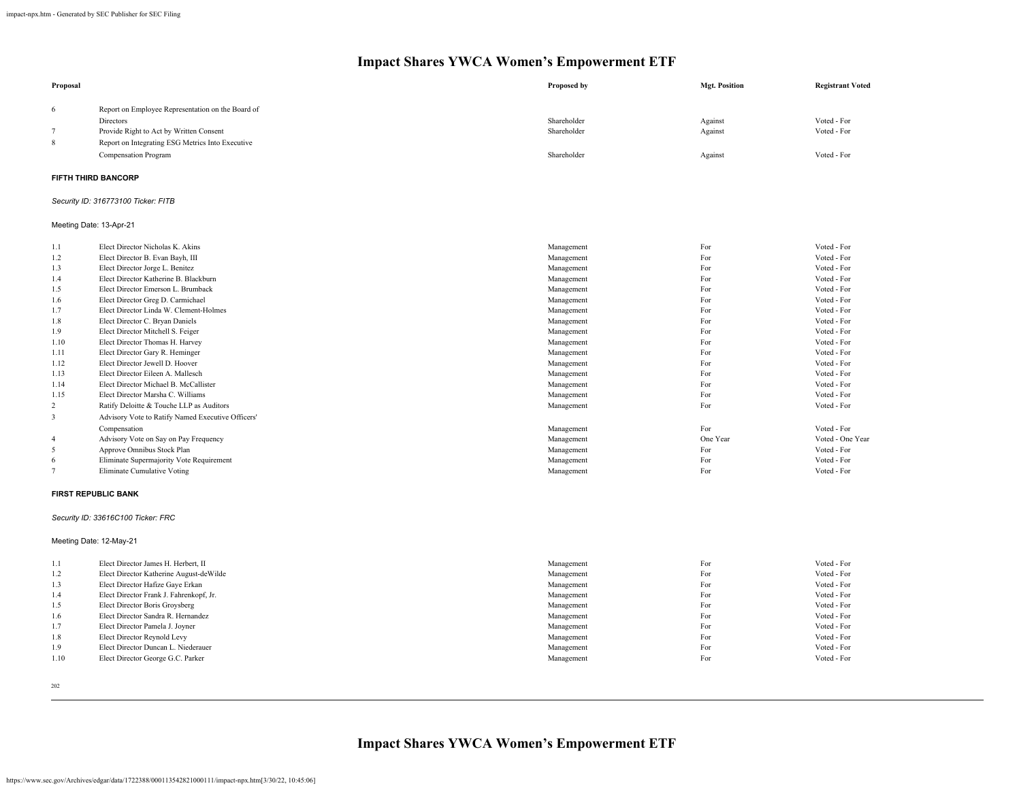| Proposal       |                                                   | Proposed by | <b>Mgt. Position</b> | <b>Registrant Voted</b> |
|----------------|---------------------------------------------------|-------------|----------------------|-------------------------|
| 6              | Report on Employee Representation on the Board of |             |                      |                         |
|                | Directors                                         | Shareholder | Against              | Voted - For             |
| 7              | Provide Right to Act by Written Consent           | Shareholder | Against              | Voted - For             |
| 8              | Report on Integrating ESG Metrics Into Executive  |             |                      |                         |
|                | Compensation Program                              | Shareholder | Against              | Voted - For             |
|                | <b>FIFTH THIRD BANCORP</b>                        |             |                      |                         |
|                | Security ID: 316773100 Ticker: FITB               |             |                      |                         |
|                | Meeting Date: 13-Apr-21                           |             |                      |                         |
| 1.1            | Elect Director Nicholas K. Akins                  | Management  | For                  | Voted - For             |
| 1.2            | Elect Director B. Evan Bayh, III                  | Management  | For                  | Voted - For             |
| 1.3            | Elect Director Jorge L. Benitez                   | Management  | For                  | Voted - For             |
| 1.4            | Elect Director Katherine B. Blackburn             | Management  | For                  | Voted - For             |
| 1.5            | Elect Director Emerson L. Brumback                | Management  | For                  | Voted - For             |
| 1.6            | Elect Director Greg D. Carmichael                 | Management  | For                  | Voted - For             |
| 1.7            | Elect Director Linda W. Clement-Holmes            | Management  | For                  | Voted - For             |
| 1.8            | Elect Director C. Bryan Daniels                   | Management  | For                  | Voted - For             |
| 1.9            | Elect Director Mitchell S. Feiger                 | Management  | For                  | Voted - For             |
| 1.10           | Elect Director Thomas H. Harvey                   | Management  | For                  | Voted - For             |
| 1.11           | Elect Director Gary R. Heminger                   | Management  | For                  | Voted - For             |
| 1.12           | Elect Director Jewell D. Hoover                   | Management  | For                  | Voted - For             |
| 1.13           | Elect Director Eileen A. Mallesch                 | Management  | For                  | Voted - For             |
| 1.14           | Elect Director Michael B. McCallister             | Management  | For                  | Voted - For             |
| 1.15           | Elect Director Marsha C. Williams                 | Management  | For                  | Voted - For             |
| $\overline{c}$ | Ratify Deloitte & Touche LLP as Auditors          | Management  | For                  | Voted - For             |
| 3              | Advisory Vote to Ratify Named Executive Officers' |             |                      |                         |
|                | Compensation                                      | Management  | For                  | Voted - For             |
| 4              | Advisory Vote on Say on Pay Frequency             | Management  | One Year             | Voted - One Year        |
| 5              | Approve Omnibus Stock Plan                        | Management  | For                  | Voted - For             |
| 6              | Eliminate Supermajority Vote Requirement          | Management  | For                  | Voted - For             |
| $\overline{7}$ | Eliminate Cumulative Voting                       | Management  | For                  | Voted - For             |
|                | <b>FIRST REPUBLIC BANK</b>                        |             |                      |                         |
|                | Security ID: 33616C100 Ticker: FRC                |             |                      |                         |
|                | Meeting Date: 12-May-21                           |             |                      |                         |
| 1.1            | Elect Director James H. Herbert, II               | Management  | For                  | Voted - For             |
| 1.2            | Elect Director Katherine August-deWilde           | Management  | For                  | Voted - For             |
| 1.3            | Elect Director Hafize Gaye Erkan                  | Management  | For                  | Voted - For             |
| 1.4            | Elect Director Frank J. Fahrenkopf, Jr.           | Management  | For                  | Voted - For             |
| 1.5            | Elect Director Boris Groysberg                    | Management  | For                  | Voted - For             |
| 1.6            | Elect Director Sandra R. Hernandez                | Management  | For                  | Voted - For             |
| 1.7            | Elect Director Pamela J. Joyner                   | Management  | For                  | Voted - For             |
| 1.8            | Elect Director Reynold Levy                       | Management  | For                  | Voted - For             |
| 1.9            | Elect Director Duncan L. Niederauer               | Management  | For                  | Voted - For             |
| 1.10           | Elect Director George G.C. Parker                 | Management  | For                  | Voted - For             |
|                |                                                   |             |                      |                         |

202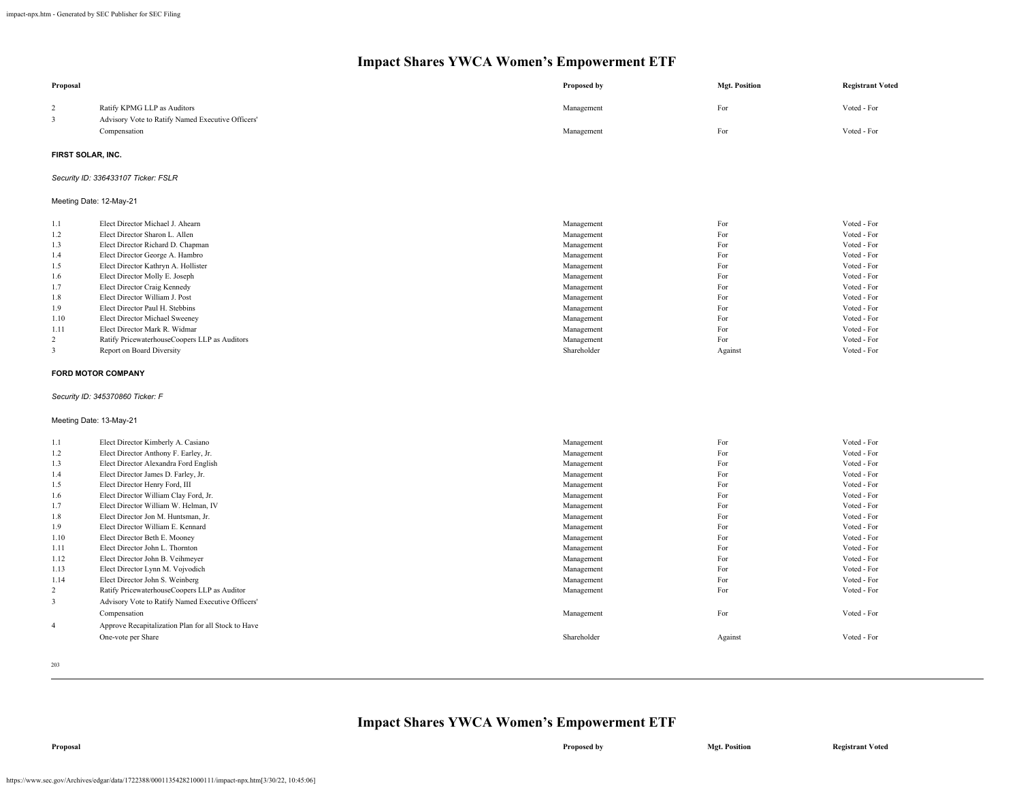| Proposal                |                                                     | Proposed by              | <b>Mgt. Position</b> | <b>Registrant Voted</b> |
|-------------------------|-----------------------------------------------------|--------------------------|----------------------|-------------------------|
| $\overline{2}$          | Ratify KPMG LLP as Auditors                         | Management               | For                  | Voted - For             |
| 3                       | Advisory Vote to Ratify Named Executive Officers'   |                          |                      |                         |
|                         | Compensation                                        | Management               | For                  | Voted - For             |
| FIRST SOLAR, INC.       |                                                     |                          |                      |                         |
|                         | Security ID: 336433107 Ticker: FSLR                 |                          |                      |                         |
| Meeting Date: 12-May-21 |                                                     |                          |                      |                         |
|                         | Elect Director Michael J. Ahearn                    |                          | For                  | Voted - For             |
| 1.1<br>1.2              | Elect Director Sharon L. Allen                      | Management               | For                  | Voted - For             |
| 1.3                     | Elect Director Richard D. Chapman                   | Management<br>Management | For                  | Voted - For             |
|                         | Elect Director George A. Hambro                     | Management               | For                  | Voted - For             |
| 1.4<br>1.5              | Elect Director Kathryn A. Hollister                 | Management               | For                  | Voted - For             |
| 1.6                     | Elect Director Molly E. Joseph                      | Management               | For                  | Voted - For             |
| 1.7                     | Elect Director Craig Kennedy                        | Management               | For                  | Voted - For             |
| 1.8                     | Elect Director William J. Post                      | Management               | For                  | Voted - For             |
| 1.9                     | Elect Director Paul H. Stebbins                     | Management               | For                  | Voted - For             |
| 1.10                    | Elect Director Michael Sweeney                      | Management               | For                  | Voted - For             |
| 1.11                    | Elect Director Mark R. Widmar                       | Management               | For                  | Voted - For             |
| 2                       | Ratify PricewaterhouseCoopers LLP as Auditors       | Management               | For                  | Voted - For             |
| 3                       | Report on Board Diversity                           | Shareholder              | Against              | Voted - For             |
|                         |                                                     |                          |                      |                         |
|                         | <b>FORD MOTOR COMPANY</b>                           |                          |                      |                         |
|                         | Security ID: 345370860 Ticker: F                    |                          |                      |                         |
| Meeting Date: 13-May-21 |                                                     |                          |                      |                         |
| 1.1                     | Elect Director Kimberly A. Casiano                  | Management               | For                  | Voted - For             |
| 1.2                     | Elect Director Anthony F. Earley, Jr.               | Management               | For                  | Voted - For             |
| 1.3                     | Elect Director Alexandra Ford English               | Management               | For                  | Voted - For             |
| 1.4                     | Elect Director James D. Farley, Jr.                 | Management               | For                  | Voted - For             |
| 1.5                     | Elect Director Henry Ford, III                      | Management               | For                  | Voted - For             |
| 1.6                     | Elect Director William Clay Ford, Jr.               | Management               | For                  | Voted - For             |
| 1.7                     | Elect Director William W. Helman, IV                | Management               | For                  | Voted - For             |
| 1.8                     | Elect Director Jon M. Huntsman, Jr.                 | Management               | For                  | Voted - For             |
| 1.9                     | Elect Director William E. Kennard                   | Management               | For                  | Voted - For             |
| 1.10                    | Elect Director Beth E. Mooney                       | Management               | For                  | Voted - For             |
| 1.11                    | Elect Director John L. Thornton                     | Management               | For                  | Voted - For             |
| 1.12                    | Elect Director John B. Veihmeyer                    | Management               | For                  | Voted - For             |
| 1.13                    | Elect Director Lynn M. Vojvodich                    | Management               | For                  | Voted - For             |
| 1.14                    | Elect Director John S. Weinberg                     | Management               | For                  | Voted - For             |
| 2                       | Ratify PricewaterhouseCoopers LLP as Auditor        | Management               | For                  | Voted - For             |
| $\overline{\mathbf{3}}$ | Advisory Vote to Ratify Named Executive Officers'   |                          |                      |                         |
|                         | Compensation                                        | Management               | For                  | Voted - For             |
| $\overline{4}$          | Approve Recapitalization Plan for all Stock to Have |                          |                      |                         |
|                         | One-vote per Share                                  | Shareholder              | Against              | Voted - For             |
|                         |                                                     |                          |                      |                         |

203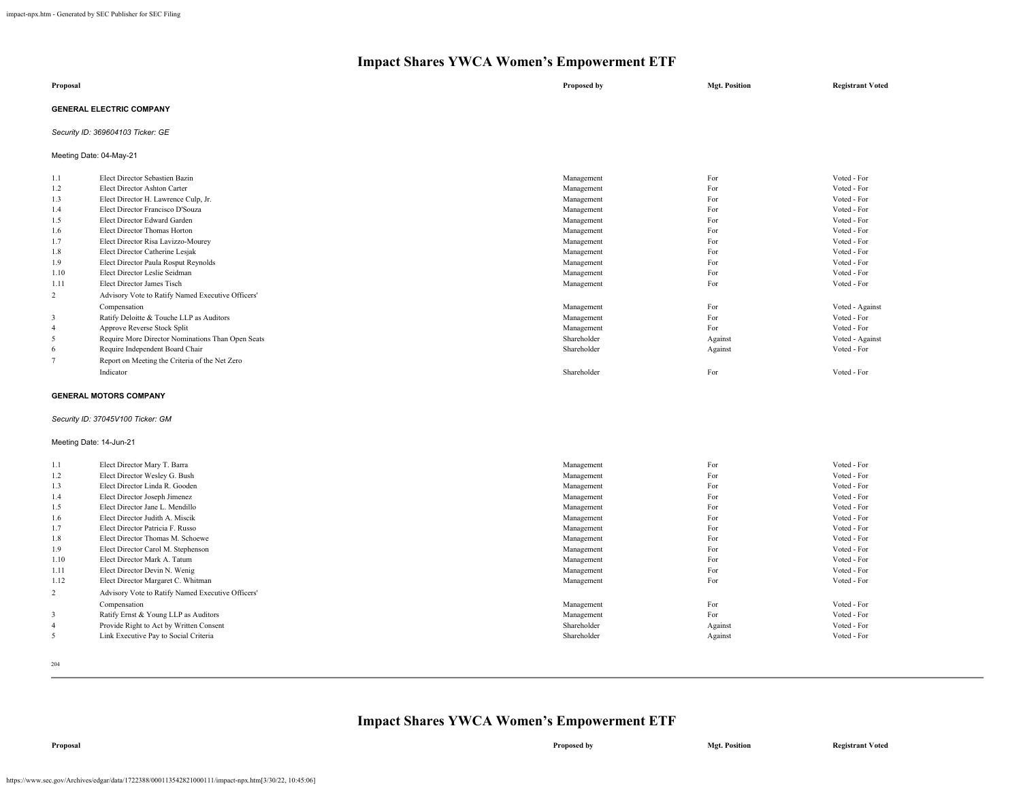| Proposal                        | Proposed by | <b>Mgt. Position</b> | <b>Registrant Voted</b> |
|---------------------------------|-------------|----------------------|-------------------------|
| <b>GENERAL ELECTRIC COMPANY</b> |             |                      |                         |

### *Security ID: 369604103 Ticker: GE*

Meeting Date: 04-May-21

| 1.1            | Elect Director Sebastien Bazin                    | Management  | For     | Voted - For     |
|----------------|---------------------------------------------------|-------------|---------|-----------------|
| 1.2            | Elect Director Ashton Carter                      | Management  | For     | Voted - For     |
| 1.3            | Elect Director H. Lawrence Culp, Jr.              | Management  | For     | Voted - For     |
| 1.4            | Elect Director Francisco D'Souza                  | Management  | For     | Voted - For     |
| 1.5            | Elect Director Edward Garden                      | Management  | For     | Voted - For     |
| 1.6            | Elect Director Thomas Horton                      | Management  | For     | Voted - For     |
| 1.7            | Elect Director Risa Lavizzo-Mourey                | Management  | For     | Voted - For     |
| 1.8            | Elect Director Catherine Lesjak                   | Management  | For     | Voted - For     |
| 1.9            | Elect Director Paula Rosput Reynolds              | Management  | For     | Voted - For     |
| 1.10           | Elect Director Leslie Seidman                     | Management  | For     | Voted - For     |
| 1.11           | Elect Director James Tisch                        | Management  | For     | Voted - For     |
| 2              | Advisory Vote to Ratify Named Executive Officers' |             |         |                 |
|                | Compensation                                      | Management  | For     | Voted - Against |
| 3              | Ratify Deloitte & Touche LLP as Auditors          | Management  | For     | Voted - For     |
| $\overline{4}$ | Approve Reverse Stock Split                       | Management  | For     | Voted - For     |
| 5              | Require More Director Nominations Than Open Seats | Shareholder | Against | Voted - Against |
| -6             | Require Independent Board Chair                   | Shareholder | Against | Voted - For     |
|                | Report on Meeting the Criteria of the Net Zero    |             |         |                 |
|                | Indicator                                         | Shareholder | For     | Voted - For     |
|                |                                                   |             |         |                 |

#### **GENERAL MOTORS COMPANY**

#### *Security ID: 37045V100 Ticker: GM*

#### Meeting Date: 14-Jun-21

| 1.1  | Elect Director Mary T. Barra                      | Management  | For     | Voted - For |
|------|---------------------------------------------------|-------------|---------|-------------|
| 1.2  | Elect Director Wesley G. Bush                     | Management  | For     | Voted - For |
| 1.3  | Elect Director Linda R. Gooden                    | Management  | For     | Voted - For |
| 1.4  | Elect Director Joseph Jimenez                     | Management  | For     | Voted - For |
| 1.5  | Elect Director Jane L. Mendillo                   | Management  | For     | Voted - For |
| 1.6  | Elect Director Judith A. Miscik                   | Management  | For     | Voted - For |
| 1.7  | Elect Director Patricia F. Russo                  | Management  | For     | Voted - For |
| 1.8  | Elect Director Thomas M. Schoewe                  | Management  | For     | Voted - For |
| 1.9  | Elect Director Carol M. Stephenson                | Management  | For     | Voted - For |
| 1.10 | Elect Director Mark A. Tatum                      | Management  | For     | Voted - For |
| 1.11 | Elect Director Devin N. Wenig                     | Management  | For     | Voted - For |
| 1.12 | Elect Director Margaret C. Whitman                | Management  | For     | Voted - For |
| 2    | Advisory Vote to Ratify Named Executive Officers' |             |         |             |
|      | Compensation                                      | Management  | For     | Voted - For |
| 3    | Ratify Ernst & Young LLP as Auditors              | Management  | For     | Voted - For |
|      | Provide Right to Act by Written Consent           | Shareholder | Against | Voted - For |
|      | Link Executive Pay to Social Criteria             | Shareholder | Against | Voted - For |

204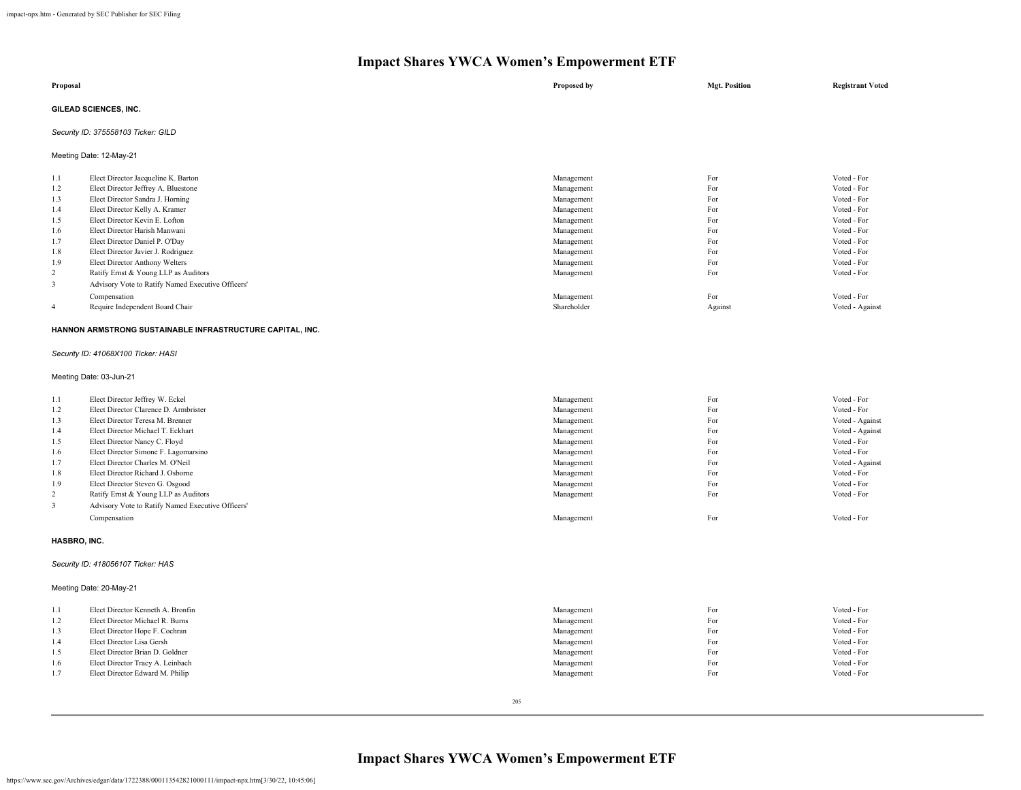|                                                      | Impact shares Y WCA Women's Empowerment ETF                                                                                                                                                                                                                                                 |                                                                                                              |                                                      |                                                                                                                      |  |
|------------------------------------------------------|---------------------------------------------------------------------------------------------------------------------------------------------------------------------------------------------------------------------------------------------------------------------------------------------|--------------------------------------------------------------------------------------------------------------|------------------------------------------------------|----------------------------------------------------------------------------------------------------------------------|--|
| Proposal                                             |                                                                                                                                                                                                                                                                                             | Proposed by                                                                                                  | <b>Mgt. Position</b>                                 | <b>Registrant Voted</b>                                                                                              |  |
|                                                      | GILEAD SCIENCES, INC.                                                                                                                                                                                                                                                                       |                                                                                                              |                                                      |                                                                                                                      |  |
|                                                      | Security ID: 375558103 Ticker: GILD                                                                                                                                                                                                                                                         |                                                                                                              |                                                      |                                                                                                                      |  |
|                                                      | Meeting Date: 12-May-21                                                                                                                                                                                                                                                                     |                                                                                                              |                                                      |                                                                                                                      |  |
| 1.1<br>1.2<br>1.3<br>1.4<br>1.5<br>1.6<br>1.7<br>1.8 | Elect Director Jacqueline K. Barton<br>Elect Director Jeffrey A. Bluestone<br>Elect Director Sandra J. Horning<br>Elect Director Kelly A. Kramer<br>Elect Director Kevin E. Lofton<br>Elect Director Harish Manwani<br>Elect Director Daniel P. O'Day<br>Elect Director Javier J. Rodriguez | Management<br>Management<br>Management<br>Management<br>Management<br>Management<br>Management<br>Management | For<br>For<br>For<br>For<br>For<br>For<br>For<br>For | Voted - For<br>Voted - For<br>Voted - For<br>Voted - For<br>Voted - For<br>Voted - For<br>Voted - For<br>Voted - For |  |
| 1.9<br>2<br>3<br>$\overline{4}$                      | Elect Director Anthony Welters<br>Ratify Ernst & Young LLP as Auditors<br>Advisory Vote to Ratify Named Executive Officers'<br>Compensation<br>Require Independent Board Chair                                                                                                              | Management<br>Management<br>Management<br>Shareholder                                                        | For<br>For<br>For<br>Against                         | Voted - For<br>Voted - For<br>Voted - For<br>Voted - Against                                                         |  |
|                                                      | HANNON ARMSTRONG SUSTAINABLE INFRASTRUCTURE CAPITAL, INC.                                                                                                                                                                                                                                   |                                                                                                              |                                                      |                                                                                                                      |  |

*Security ID: 41068X100 Ticker: HASI*

Meeting Date: 03-Jun-21

| 1.1 | Elect Director Jeffrey W. Eckel                   | Management | For | Voted - For     |
|-----|---------------------------------------------------|------------|-----|-----------------|
| 1.2 | Elect Director Clarence D. Armbrister             | Management | For | Voted - For     |
| 1.3 | Elect Director Teresa M. Brenner                  | Management | For | Voted - Against |
| 1.4 | Elect Director Michael T. Eckhart                 | Management | For | Voted - Against |
| 1.5 | Elect Director Nancy C. Floyd                     | Management | For | Voted - For     |
| 1.6 | Elect Director Simone F. Lagomarsino              | Management | For | Voted - For     |
| 1.7 | Elect Director Charles M. O'Neil                  | Management | For | Voted - Against |
| 1.8 | Elect Director Richard J. Osborne                 | Management | For | Voted - For     |
| 1.9 | Elect Director Steven G. Osgood                   | Management | For | Voted - For     |
| 2   | Ratify Ernst & Young LLP as Auditors              | Management | For | Voted - For     |
|     | Advisory Vote to Ratify Named Executive Officers' |            |     |                 |
|     | Compensation                                      | Management | For | Voted - For     |
|     |                                                   |            |     |                 |

### **HASBRO, INC.**

### *Security ID: 418056107 Ticker: HAS*

Meeting Date: 20-May-21

| 1.1 | Elect Director Kenneth A. Bronfin | Management | For | Voted - For |
|-----|-----------------------------------|------------|-----|-------------|
| 1.2 | Elect Director Michael R. Burns   | Management | For | Voted - For |
| 1.3 | Elect Director Hope F. Cochran    | Management | For | Voted - For |
| 1.4 | Elect Director Lisa Gersh         | Management | For | Voted - For |
| 1.5 | Elect Director Brian D. Goldner   | Management | For | Voted - For |
| 1.6 | Elect Director Tracy A. Leinbach  | Management | For | Voted - For |
| 1.7 | Elect Director Edward M. Philip   | Management | For | Voted - For |
|     |                                   |            |     |             |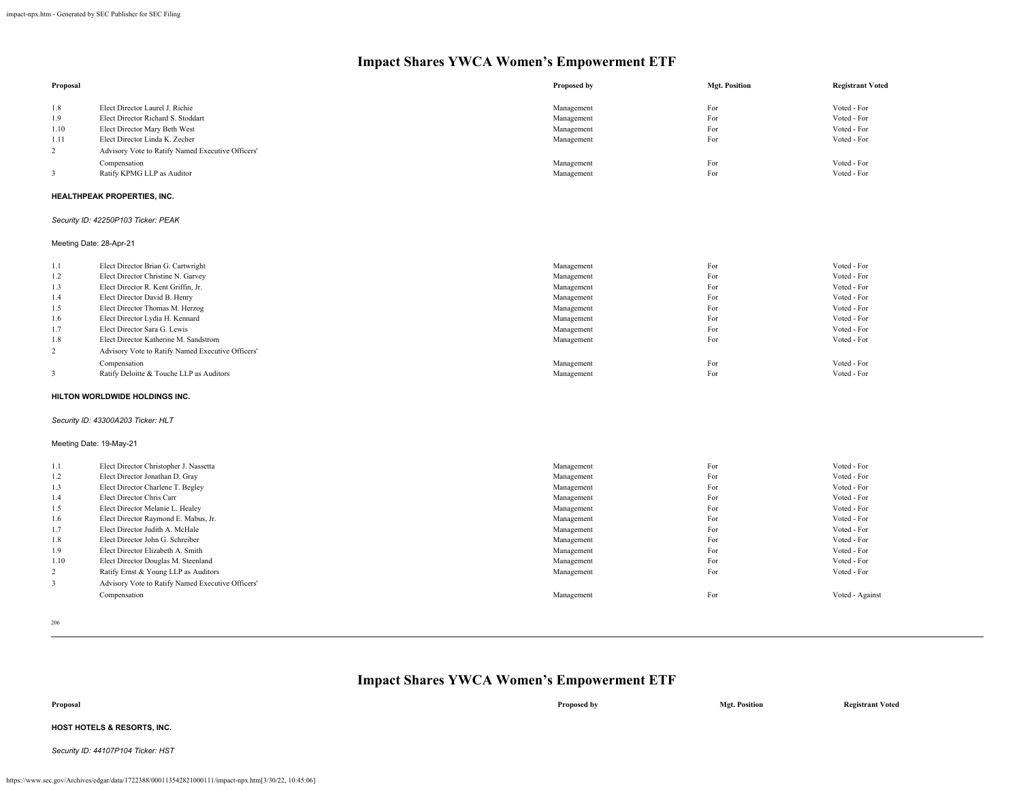| Proposal       |                                                   | Proposed by | <b>Mgt. Position</b> | <b>Registrant Voted</b> |
|----------------|---------------------------------------------------|-------------|----------------------|-------------------------|
| 1.8            | Elect Director Laurel J. Richie                   | Management  | For                  | Voted - For             |
| 1.9            | Elect Director Richard S. Stoddart                | Management  | For                  | Voted - For             |
| 1.10           | Elect Director Mary Beth West                     | Management  | For                  | Voted - For             |
| 1.11           | Elect Director Linda K. Zecher                    | Management  | For                  | Voted - For             |
| $\overline{2}$ | Advisory Vote to Ratify Named Executive Officers' |             |                      |                         |
|                | Compensation                                      | Management  | For                  | Voted - For             |
| 3              | Ratify KPMG LLP as Auditor                        | Management  | For                  | Voted - For             |
|                | HEALTHPEAK PROPERTIES, INC.                       |             |                      |                         |
|                | Security ID: 42250P103 Ticker: PEAK               |             |                      |                         |
|                | Meeting Date: 28-Apr-21                           |             |                      |                         |
| 1.1            | Elect Director Brian G. Cartwright                | Management  | For                  | Voted - For             |
| 1.2            | Elect Director Christine N. Garvey                | Management  | For                  | Voted - For             |
| 1.3            | Elect Director R. Kent Griffin, Jr.               | Management  | For                  | Voted - For             |
| 1.4            | Elect Director David B. Henry                     | Management  | For                  | Voted - For             |
| 1.5            | Elect Director Thomas M. Herzog                   | Management  | For                  | Voted - For             |
| 1.6            | Elect Director Lydia H. Kennard                   | Management  | For                  | Voted - For             |
| 1.7            | Elect Director Sara G. Lewis                      | Management  | For                  | Voted - For             |
| 1.8            | Elect Director Katherine M. Sandstrom             | Management  | For                  | Voted - For             |
| $\overline{2}$ | Advisory Vote to Ratify Named Executive Officers' |             |                      |                         |
|                | Compensation                                      | Management  | For                  | Voted - For             |
| 3              | Ratify Deloitte & Touche LLP as Auditors          | Management  | For                  | Voted - For             |
|                | HILTON WORLDWIDE HOLDINGS INC.                    |             |                      |                         |
|                | Security ID: 43300A203 Ticker: HLT                |             |                      |                         |
|                | Meeting Date: 19-May-21                           |             |                      |                         |
| 1.1            | Elect Director Christopher J. Nassetta            | Management  | For                  | Voted - For             |
| 1.2            | Elect Director Jonathan D. Gray                   | Management  | For                  | Voted - For             |
| 1.3            | Elect Director Charlene T. Begley                 | Management  | For                  | Voted - For             |
| 1.4            | Elect Director Chris Carr                         | Management  | For                  | Voted - For             |
| 1.5            | Elect Director Melanie L. Healey                  | Management  | For                  | Voted - For             |
| 1.6            | Elect Director Raymond E. Mabus, Jr.              | Management  | For                  | Voted - For             |
| 1.7            | Elect Director Judith A. McHale                   | Management  | For                  | Voted - For             |
| 1.8            | Elect Director John G. Schreiber                  | Management  | For                  | Voted - For             |
| 1.9            | Elect Director Elizabeth A. Smith                 | Management  | For                  | Voted - For             |
| 1.10           | Elect Director Douglas M. Steenland               | Management  | For                  | Voted - For             |
| 2              | Ratify Ernst & Young LLP as Auditors              | Management  | For                  | Voted - For             |
| 3              | Advisory Vote to Ratify Named Executive Officers' |             |                      |                         |
|                | Compensation                                      | Management  | For                  | Voted - Against         |
|                |                                                   |             |                      |                         |

206

| <b>Impact Shares YWCA Women's Empowerment ETF</b> |  |
|---------------------------------------------------|--|
|                                                   |  |

**Proposal Proposed by Mgt. Position Registrant Voted HOST HOTELS & RESORTS, INC.** *Security ID: 44107P104 Ticker: HST*

```
https://www.sec.gov/Archives/edgar/data/1722388/000113542821000111/impact-npx.htm[3/30/22, 10:45:06]
```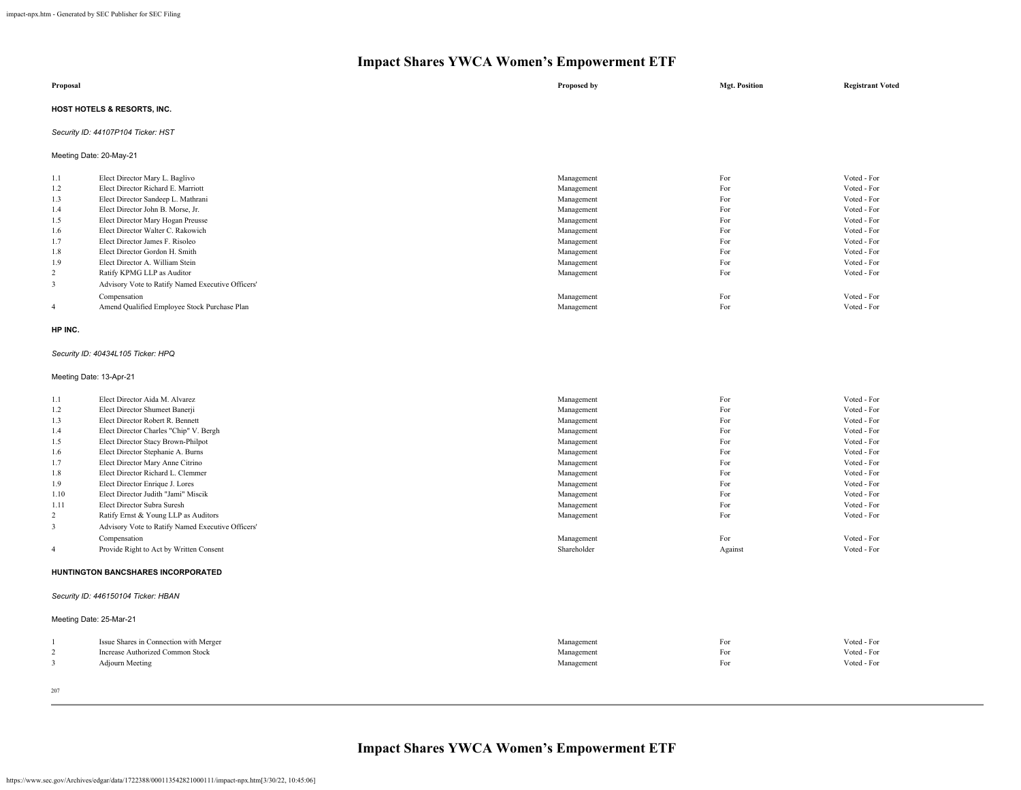| Proposal |                                        |  | Proposed by | <b>Mgt. Position</b> | <b>Registrant Voted</b> |  |
|----------|----------------------------------------|--|-------------|----------------------|-------------------------|--|
|          | <b>HOST HOTELS &amp; RESORTS, INC.</b> |  |             |                      |                         |  |
|          | Security ID: 44107P104 Ticker: HST     |  |             |                      |                         |  |
|          | Meeting Date: 20-May-21                |  |             |                      |                         |  |
| 1.1      | Elect Director Mary L. Baglivo         |  | Management  | For                  | Voted - For             |  |
| 1.2      | Elect Director Richard E. Marriott     |  | Management  | For                  | Voted - For             |  |
| 1.3      | Elect Director Sandeep L. Mathrani     |  | Management  | For                  | Voted - For             |  |
| 1.4      | Elect Director John B. Morse, Jr.      |  | Management  | For                  | Voted - For             |  |
| 1.5      | Elect Director Mary Hogan Preusse      |  | Management  | For                  | Voted - For             |  |
| 1.6      | Elect Director Walter C. Rakowich      |  | Management  | For                  | Voted - For             |  |
| 1.7      | Elect Director James F. Risoleo        |  | Management  | For                  | Voted - For             |  |
| 1.8      | Elect Director Gordon H. Smith         |  | Management  | For                  | Voted - For             |  |

| $\cdot$ . $\cdot$ |                                                   |            | $\sim$ | $\cdots$    |
|-------------------|---------------------------------------------------|------------|--------|-------------|
| 1.9               | Elect Director A. William Stein                   | Management | For    | Voted - For |
|                   | Ratify KPMG LLP as Auditor                        | Management | For    | Voted - For |
|                   | Advisory Vote to Ratify Named Executive Officers' |            |        |             |
|                   | Compensation                                      | Management | ror    | Voted - For |
|                   | Amend Qualified Employee Stock Purchase Plan      | Management | r or   | Voted - For |
|                   |                                                   |            |        |             |

#### **HP INC.**

#### *Security ID: 40434L105 Ticker: HPQ*

### Meeting Date: 13-Apr-21

| 1.1            | Elect Director Aida M. Alvarez                    |             | For     |             |
|----------------|---------------------------------------------------|-------------|---------|-------------|
|                |                                                   | Management  |         | Voted - For |
| 1.2            | Elect Director Shumeet Banerji                    | Management  | For     | Voted - For |
| 1.3            | Elect Director Robert R. Bennett                  | Management  | For     | Voted - For |
| 1.4            | Elect Director Charles "Chip" V. Bergh            | Management  | For     | Voted - For |
| 1.5            | Elect Director Stacy Brown-Philpot                | Management  | For     | Voted - For |
| 1.6            | Elect Director Stephanie A. Burns                 | Management  | For     | Voted - For |
| 1.7            | Elect Director Mary Anne Citrino                  | Management  | For     | Voted - For |
| 1.8            | Elect Director Richard L. Clemmer                 | Management  | For     | Voted - For |
| 1.9            | Elect Director Enrique J. Lores                   | Management  | For     | Voted - For |
| 1.10           | Elect Director Judith "Jami" Miscik               | Management  | For     | Voted - For |
| 1.11           | Elect Director Subra Suresh                       | Management  | For     | Voted - For |
| 2              | Ratify Ernst & Young LLP as Auditors              | Management  | For     | Voted - For |
| 3              | Advisory Vote to Ratify Named Executive Officers' |             |         |             |
|                | Compensation                                      | Management  | For     | Voted - For |
| $\overline{4}$ | Provide Right to Act by Written Consent           | Shareholder | Against | Voted - For |
|                | <b>HUNTINGTON BANCSHARES INCORPORATED</b>         |             |         |             |
|                |                                                   |             |         |             |
|                |                                                   |             |         |             |

### *Security ID: 446150104 Ticker: HBAN*

| Meeting Date: 25-Mar-21                |            |     |             |
|----------------------------------------|------------|-----|-------------|
| Issue Shares in Connection with Merger | Management | For | Voted - For |
| Increase Authorized Common Stock       | Management | For | Voted - For |
| <b>Adjourn Meeting</b>                 | Management | For | Voted - For |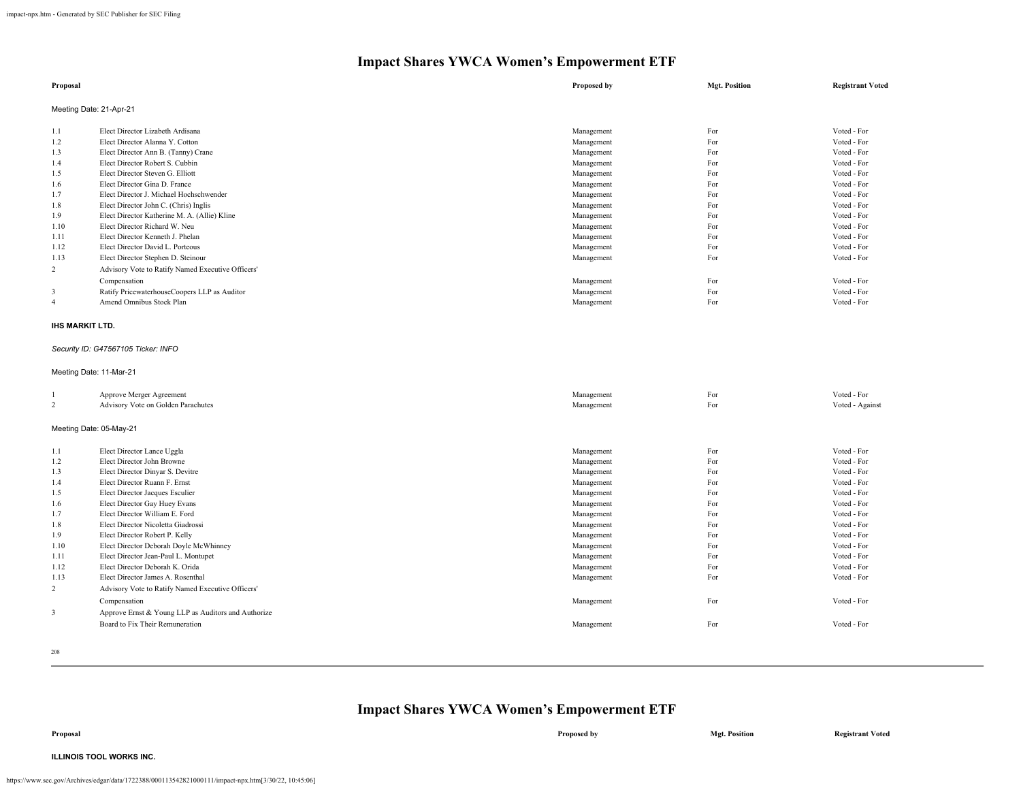| Proposal                                                                                         |                                                                                                                                                                                                                                                                                                                                                                                                                                                                                                                                                                            | Proposed by                                                                                                                                                                                      | <b>Mgt. Position</b>                                                                           | <b>Registrant Voted</b>                                                                                                                                                                                        |
|--------------------------------------------------------------------------------------------------|----------------------------------------------------------------------------------------------------------------------------------------------------------------------------------------------------------------------------------------------------------------------------------------------------------------------------------------------------------------------------------------------------------------------------------------------------------------------------------------------------------------------------------------------------------------------------|--------------------------------------------------------------------------------------------------------------------------------------------------------------------------------------------------|------------------------------------------------------------------------------------------------|----------------------------------------------------------------------------------------------------------------------------------------------------------------------------------------------------------------|
| Meeting Date: 21-Apr-21                                                                          |                                                                                                                                                                                                                                                                                                                                                                                                                                                                                                                                                                            |                                                                                                                                                                                                  |                                                                                                |                                                                                                                                                                                                                |
| 1.1<br>1.2<br>1.3<br>1.4<br>1.5<br>1.6<br>1.7<br>1.8<br>1.9<br>1.10<br>1.11<br>1.12<br>1.13<br>2 | Elect Director Lizabeth Ardisana<br>Elect Director Alanna Y. Cotton<br>Elect Director Ann B. (Tanny) Crane<br>Elect Director Robert S. Cubbin<br>Elect Director Steven G. Elliott<br>Elect Director Gina D. France<br>Elect Director J. Michael Hochschwender<br>Elect Director John C. (Chris) Inglis<br>Elect Director Katherine M. A. (Allie) Kline<br>Elect Director Richard W. Neu<br>Elect Director Kenneth J. Phelan<br>Elect Director David L. Porteous<br>Elect Director Stephen D. Steinour<br>Advisory Vote to Ratify Named Executive Officers'<br>Compensation | Management<br>Management<br>Management<br>Management<br>Management<br>Management<br>Management<br>Management<br>Management<br>Management<br>Management<br>Management<br>Management<br>Management | For<br>For<br>For<br>For<br>For<br>For<br>For<br>For<br>For<br>For<br>For<br>For<br>For<br>For | Voted - For<br>Voted - For<br>Voted - For<br>Voted - For<br>Voted - For<br>Voted - For<br>Voted - For<br>Voted - For<br>Voted - For<br>Voted - For<br>Voted - For<br>Voted - For<br>Voted - For<br>Voted - For |
| 3<br>$\overline{4}$                                                                              | Ratify PricewaterhouseCoopers LLP as Auditor<br>Amend Omnibus Stock Plan                                                                                                                                                                                                                                                                                                                                                                                                                                                                                                   | Management<br>Management                                                                                                                                                                         | For<br>For                                                                                     | Voted - For<br>Voted - For                                                                                                                                                                                     |
| <b>IHS MARKIT LTD.</b><br>Meeting Date: 11-Mar-21                                                | Security ID: G47567105 Ticker: INFO                                                                                                                                                                                                                                                                                                                                                                                                                                                                                                                                        |                                                                                                                                                                                                  |                                                                                                | Voted - For                                                                                                                                                                                                    |
| $\overline{c}$                                                                                   | Approve Merger Agreement<br>Advisory Vote on Golden Parachutes                                                                                                                                                                                                                                                                                                                                                                                                                                                                                                             | Management<br>Management                                                                                                                                                                         | For<br>For                                                                                     | Voted - Against                                                                                                                                                                                                |
| Meeting Date: 05-May-21                                                                          |                                                                                                                                                                                                                                                                                                                                                                                                                                                                                                                                                                            |                                                                                                                                                                                                  |                                                                                                |                                                                                                                                                                                                                |
| 1.1<br>1.2                                                                                       | Elect Director Lance Uggla<br>Elect Director John Browne                                                                                                                                                                                                                                                                                                                                                                                                                                                                                                                   | Management<br>Management                                                                                                                                                                         | For<br>For                                                                                     | Voted - For<br>Voted - For                                                                                                                                                                                     |
| 1.3<br>1.4<br>1.5<br>1.6<br>1.7<br>1.8<br>1.9<br>1.10<br>1.11<br>1.12<br>1.13<br>2               | Elect Director Dinyar S. Devitre<br>Elect Director Ruann F. Ernst<br>Elect Director Jacques Esculier<br>Elect Director Gay Huey Evans<br>Elect Director William E. Ford<br>Elect Director Nicoletta Giadrossi<br>Elect Director Robert P. Kelly<br>Elect Director Deborah Doyle McWhinney<br>Elect Director Jean-Paul L. Montupet<br>Elect Director Deborah K. Orida<br>Elect Director James A. Rosenthal<br>Advisory Vote to Ratify Named Executive Officers'                                                                                                             | Management<br>Management<br>Management<br>Management<br>Management<br>Management<br>Management<br>Management<br>Management<br>Management<br>Management                                           | For<br>For<br>For<br>For<br>For<br>For<br>For<br>For<br>For<br>For<br>For                      | Voted - For<br>Voted - For<br>Voted - For<br>Voted - For<br>Voted - For<br>Voted - For<br>Voted - For<br>Voted - For<br>Voted - For<br>Voted - For<br>Voted - For                                              |
|                                                                                                  | Compensation                                                                                                                                                                                                                                                                                                                                                                                                                                                                                                                                                               | Management                                                                                                                                                                                       | For                                                                                            | Voted - For                                                                                                                                                                                                    |
| 3                                                                                                | Approve Ernst & Young LLP as Auditors and Authorize<br>Board to Fix Their Remuneration                                                                                                                                                                                                                                                                                                                                                                                                                                                                                     | Management                                                                                                                                                                                       | For                                                                                            | Voted - For                                                                                                                                                                                                    |

208

### **Impact Shares YWCA Women's Empowerment ETF**

**Proposal Proposed by Mgt. Position Registrant Voted**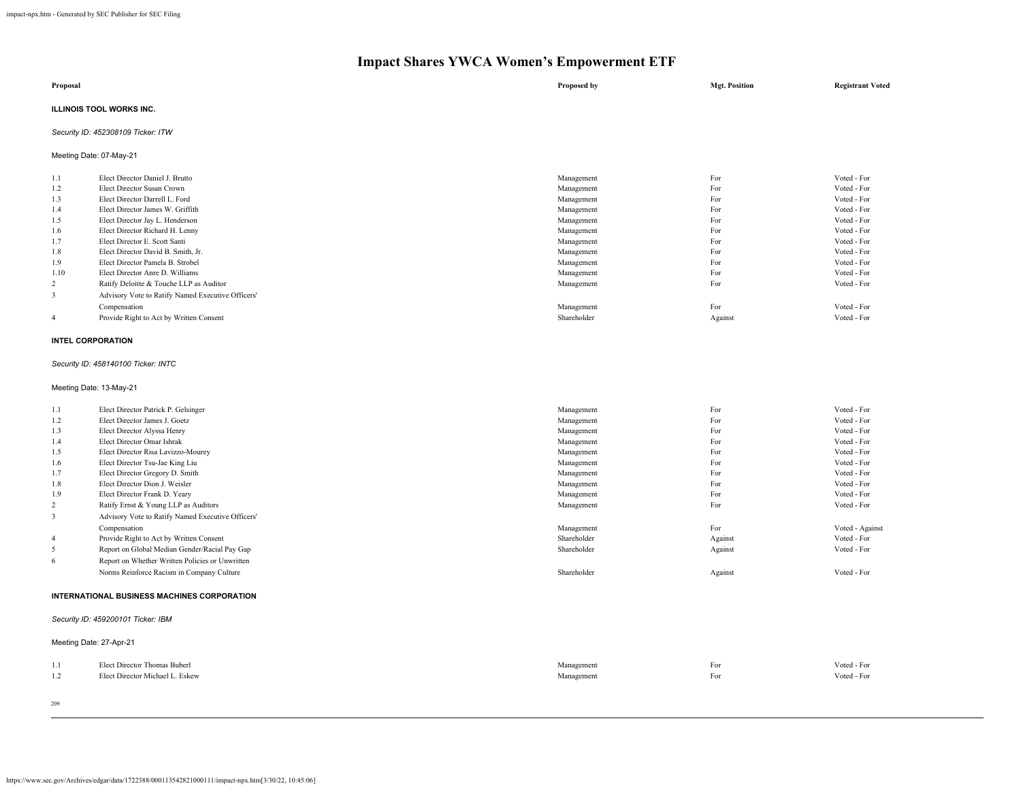| Proposal                           | Proposed by | <b>Mgt. Position</b> | <b>Registrant Voted</b> |
|------------------------------------|-------------|----------------------|-------------------------|
| ILLINOIS TOOL WORKS INC.           |             |                      |                         |
| Security ID: 452308109 Ticker: ITW |             |                      |                         |
| Meeting Date: 07-May-21            |             |                      |                         |

| 1.1            | Elect Director Daniel J. Brutto                   | Management  | For     | Voted - For |
|----------------|---------------------------------------------------|-------------|---------|-------------|
| 1.2            | Elect Director Susan Crown                        | Management  | For     | Voted - For |
| 1.3            | Elect Director Darrell L. Ford                    | Management  | For     | Voted - For |
| 1.4            | Elect Director James W. Griffith                  | Management  | For     | Voted - For |
| 1.5            | Elect Director Jay L. Henderson                   | Management  | For     | Voted - For |
| 1.6            | Elect Director Richard H. Lenny                   | Management  | For     | Voted - For |
| 1.7            | Elect Director E. Scott Santi                     | Management  | For     | Voted - For |
| 1.8            | Elect Director David B. Smith, Jr.                | Management  | For     | Voted - For |
| 1.9            | Elect Director Pamela B. Strobel                  | Management  | For     | Voted - For |
| 1.10           | Elect Director Anre D. Williams                   | Management  | For     | Voted - For |
| 2              | Ratify Deloitte & Touche LLP as Auditor           | Management  | For     | Voted - For |
| 3              | Advisory Vote to Ratify Named Executive Officers' |             |         |             |
|                | Compensation                                      | Management  | For     | Voted - For |
| $\overline{4}$ | Provide Right to Act by Written Consent           | Shareholder | Against | Voted - For |

### **INTEL CORPORATION**

*Security ID: 458140100 Ticker: INTC*

Meeting Date: 13-May-21

| 1.1 | Elect Director Patrick P. Gelsinger                | Management  | For     | Voted - For     |  |  |
|-----|----------------------------------------------------|-------------|---------|-----------------|--|--|
| 1.2 | Elect Director James J. Goetz                      | Management  | For     | Voted - For     |  |  |
| 1.3 | Elect Director Alyssa Henry                        | Management  | For     | Voted - For     |  |  |
| 1.4 | Elect Director Omar Ishrak                         | Management  | For     | Voted - For     |  |  |
| 1.5 | Elect Director Risa Lavizzo-Mourey                 | Management  | For     | Voted - For     |  |  |
| 1.6 | Elect Director Tsu-Jae King Liu                    | Management  | For     | Voted - For     |  |  |
| 1.7 | Elect Director Gregory D. Smith                    | Management  | For     | Voted - For     |  |  |
| 1.8 | Elect Director Dion J. Weisler                     | Management  | For     | Voted - For     |  |  |
| 1.9 | Elect Director Frank D. Yeary                      | Management  | For     | Voted - For     |  |  |
| 2   | Ratify Ernst & Young LLP as Auditors               | Management  | For     | Voted - For     |  |  |
| 3   | Advisory Vote to Ratify Named Executive Officers'  |             |         |                 |  |  |
|     | Compensation                                       | Management  | For     | Voted - Against |  |  |
| 4   | Provide Right to Act by Written Consent            | Shareholder | Against | Voted - For     |  |  |
| 5   | Report on Global Median Gender/Racial Pay Gap      | Shareholder | Against | Voted - For     |  |  |
| -6  | Report on Whether Written Policies or Unwritten    |             |         |                 |  |  |
|     | Norms Reinforce Racism in Company Culture          | Shareholder | Against | Voted - For     |  |  |
|     | <b>INTERNATIONAL BUSINESS MACHINES CORPORATION</b> |             |         |                 |  |  |
|     | Security ID: 459200101 Ticker: IBM                 |             |         |                 |  |  |
|     | Meeting Date: 27-Apr-21                            |             |         |                 |  |  |
| 1.1 | Elect Director Thomas Buberl                       | Management  | For     | Voted - For     |  |  |
| 1.2 | Elect Director Michael L. Eskew                    | Management  | For     | Voted - For     |  |  |
|     |                                                    |             |         |                 |  |  |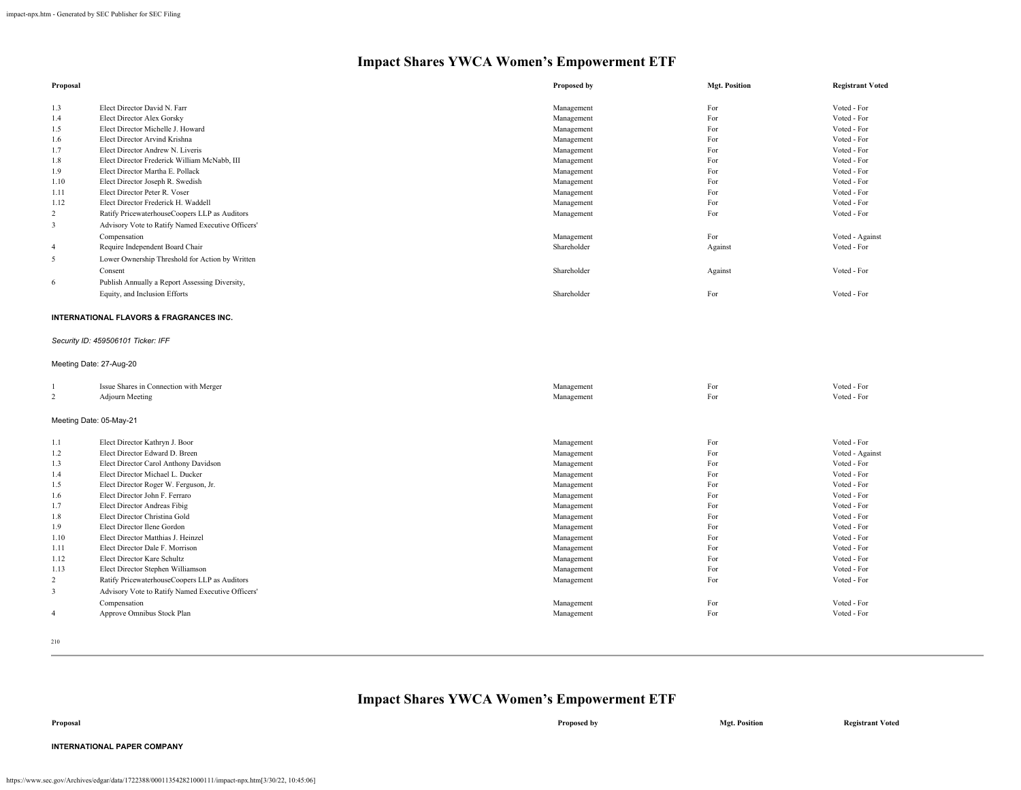| Proposal                |                                                               | Proposed by | <b>Mgt. Position</b> | <b>Registrant Voted</b> |
|-------------------------|---------------------------------------------------------------|-------------|----------------------|-------------------------|
|                         |                                                               |             |                      |                         |
| 1.3                     | Elect Director David N. Farr                                  | Management  | For                  | Voted - For             |
| 1.4                     | Elect Director Alex Gorsky                                    | Management  | For                  | Voted - For             |
| 1.5                     | Elect Director Michelle J. Howard                             | Management  | For                  | Voted - For             |
| 1.6                     | Elect Director Arvind Krishna                                 | Management  | For                  | Voted - For             |
| 1.7                     | Elect Director Andrew N. Liveris                              | Management  | For                  | Voted - For             |
| 1.8                     | Elect Director Frederick William McNabb, III                  | Management  | For                  | Voted - For             |
| 1.9                     | Elect Director Martha E. Pollack                              | Management  | For                  | Voted - For             |
| 1.10                    | Elect Director Joseph R. Swedish                              | Management  | For                  | Voted - For             |
| 1.11                    | Elect Director Peter R. Voser                                 | Management  | For                  | Voted - For             |
| 1.12                    | Elect Director Frederick H. Waddell                           | Management  | For                  | Voted - For             |
| 2                       | Ratify PricewaterhouseCoopers LLP as Auditors                 | Management  | For                  | Voted - For             |
| $\overline{3}$          | Advisory Vote to Ratify Named Executive Officers'             |             |                      |                         |
|                         | Compensation                                                  | Management  | For                  | Voted - Against         |
| $\overline{4}$          | Require Independent Board Chair                               | Shareholder | Against              | Voted - For             |
| 5                       | Lower Ownership Threshold for Action by Written               |             |                      |                         |
|                         | Consent                                                       | Shareholder | Against              | Voted - For             |
| 6                       | Publish Annually a Report Assessing Diversity,                |             |                      |                         |
|                         |                                                               | Shareholder | For                  | Voted - For             |
|                         | Equity, and Inclusion Efforts                                 |             |                      |                         |
|                         | INTERNATIONAL FLAVORS & FRAGRANCES INC.                       |             |                      |                         |
|                         |                                                               |             |                      |                         |
|                         | Security ID: 459506101 Ticker: IFF                            |             |                      |                         |
|                         |                                                               |             |                      |                         |
| Meeting Date: 27-Aug-20 |                                                               |             |                      |                         |
|                         |                                                               |             |                      |                         |
| 1                       | Issue Shares in Connection with Merger                        | Management  | For                  | Voted - For             |
| 2                       | <b>Adjourn Meeting</b>                                        | Management  | For                  | Voted - For             |
|                         |                                                               |             |                      |                         |
| Meeting Date: 05-May-21 |                                                               |             |                      |                         |
| 1.1                     | Elect Director Kathryn J. Boor                                | Management  | For                  | Voted - For             |
| 1.2                     | Elect Director Edward D. Breen                                | Management  | For                  | Voted - Against         |
| 1.3                     | Elect Director Carol Anthony Davidson                         | Management  | For                  | Voted - For             |
| 1.4                     | Elect Director Michael L. Ducker                              | Management  | For                  | Voted - For             |
| 1.5                     | Elect Director Roger W. Ferguson, Jr.                         | Management  | For                  | Voted - For             |
| 1.6                     | Elect Director John F. Ferraro                                | Management  | For                  | Voted - For             |
|                         |                                                               |             |                      | Voted - For             |
| 1.7                     | Elect Director Andreas Fibig<br>Elect Director Christina Gold | Management  | For<br>For           | Voted - For             |
| 1.8                     |                                                               | Management  |                      |                         |
| 1.9                     | Elect Director Ilene Gordon                                   | Management  | For                  | Voted - For             |
| 1.10                    | Elect Director Matthias J. Heinzel                            | Management  | For                  | Voted - For             |
| 1.11                    | Elect Director Dale F. Morrison                               | Management  | For                  | Voted - For             |
| 1.12                    | <b>Elect Director Kare Schultz</b>                            | Management  | For                  | Voted - For             |
| 1.13                    | Elect Director Stephen Williamson                             | Management  | For                  | Voted - For             |
| $\overline{c}$          | Ratify PricewaterhouseCoopers LLP as Auditors                 | Management  | For                  | Voted - For             |
| 3                       | Advisory Vote to Ratify Named Executive Officers'             |             |                      |                         |
|                         | Compensation                                                  | Management  | For                  | Voted - For             |
| $\overline{4}$          | Approve Omnibus Stock Plan                                    | Management  | For                  | Voted - For             |
|                         |                                                               |             |                      |                         |

210

## **Impact Shares YWCA Women's Empowerment ETF**

**Proposal Proposed by Mgt. Position Registrant Voted**

**INTERNATIONAL PAPER COMPANY**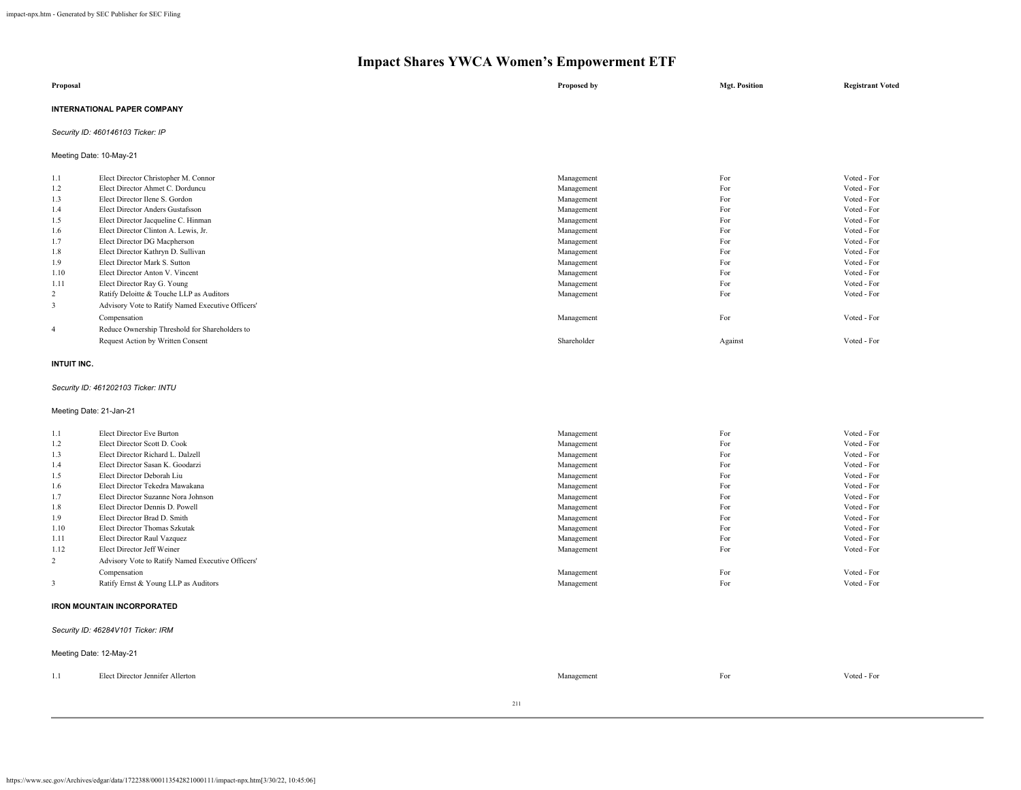| Proposal                           | Proposed by | <b>Mgt. Position</b> | <b>Registrant Voted</b> |
|------------------------------------|-------------|----------------------|-------------------------|
| <b>INTERNATIONAL PAPER COMPANY</b> |             |                      |                         |
| Security ID: 460146103 Ticker: IP  |             |                      |                         |

Meeting Date: 10-May-21

| 1.1            | Elect Director Christopher M. Connor              | Management  | For     | Voted - For |
|----------------|---------------------------------------------------|-------------|---------|-------------|
| 1.2            | Elect Director Ahmet C. Dorduncu                  | Management  | For     | Voted - For |
| 1.3            | Elect Director Ilene S. Gordon                    | Management  | For     | Voted - For |
| 1.4            | Elect Director Anders Gustafsson                  | Management  | For     | Voted - For |
| 1.5            | Elect Director Jacqueline C. Hinman               | Management  | For     | Voted - For |
| 1.6            | Elect Director Clinton A. Lewis, Jr.              | Management  | For     | Voted - For |
| 1.7            | Elect Director DG Macpherson                      | Management  | For     | Voted - For |
| 1.8            | Elect Director Kathryn D. Sullivan                | Management  | For     | Voted - For |
| 1.9            | Elect Director Mark S. Sutton                     | Management  | For     | Voted - For |
| 1.10           | Elect Director Anton V. Vincent                   | Management  | For     | Voted - For |
| 1.11           | Elect Director Ray G. Young                       | Management  | For     | Voted - For |
| 2              | Ratify Deloitte & Touche LLP as Auditors          | Management  | For     | Voted - For |
| 3              | Advisory Vote to Ratify Named Executive Officers' |             |         |             |
|                | Compensation                                      | Management  | For     | Voted - For |
| $\overline{4}$ | Reduce Ownership Threshold for Shareholders to    |             |         |             |
|                | Request Action by Written Consent                 | Shareholder | Against | Voted - For |

#### **INTUIT INC.**

### *Security ID: 461202103 Ticker: INTU*

Meeting Date: 21-Jan-21

| 1.1            | Elect Director Eve Burton                         | Management | For | Voted - For |
|----------------|---------------------------------------------------|------------|-----|-------------|
| 1.2            | Elect Director Scott D. Cook                      | Management | For | Voted - For |
| 1.3            | Elect Director Richard L. Dalzell                 | Management | For | Voted - For |
| 1.4            | Elect Director Sasan K. Goodarzi                  | Management | For | Voted - For |
| 1.5            | Elect Director Deborah Liu                        | Management | For | Voted - For |
| 1.6            | Elect Director Tekedra Mawakana                   | Management | For | Voted - For |
| 1.7            | Elect Director Suzanne Nora Johnson               | Management | For | Voted - For |
| 1.8            | Elect Director Dennis D. Powell                   | Management | For | Voted - For |
| 1.9            | Elect Director Brad D. Smith                      | Management | For | Voted - For |
| 1.10           | Elect Director Thomas Szkutak                     | Management | For | Voted - For |
| 1.11           | Elect Director Raul Vazquez                       | Management | For | Voted - For |
| 1.12           | Elect Director Jeff Weiner                        | Management | For | Voted - For |
| $\overline{2}$ | Advisory Vote to Ratify Named Executive Officers' |            |     |             |
|                | Compensation                                      | Management | For | Voted - For |
| 3              | Ratify Ernst & Young LLP as Auditors              | Management | For | Voted - For |
|                |                                                   |            |     |             |

#### **IRON MOUNTAIN INCORPORATED**

#### *Security ID: 46284V101 Ticker: IRM*

|     | Meeting Date: 12-May-21          |            |     |             |
|-----|----------------------------------|------------|-----|-------------|
| 1.1 | Elect Director Jennifer Allerton | Management | For | Voted - For |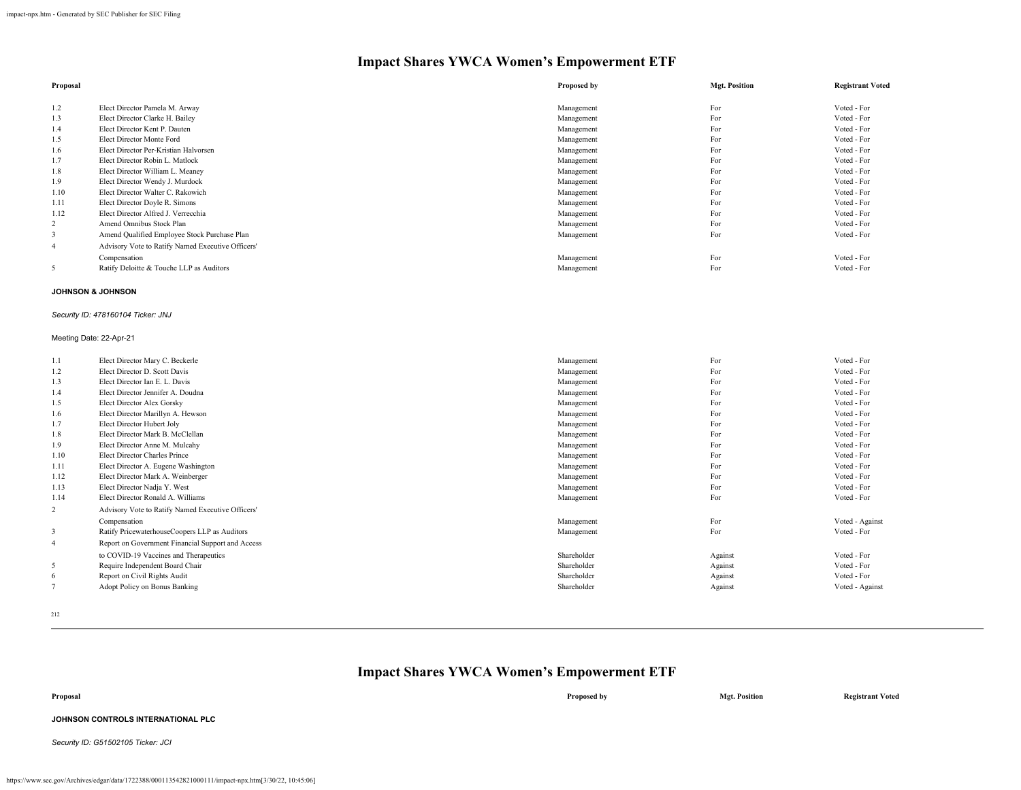| Proposal       |                                                   | Proposed by | <b>Mgt. Position</b> | <b>Registrant Voted</b> |
|----------------|---------------------------------------------------|-------------|----------------------|-------------------------|
|                |                                                   |             |                      |                         |
| 1.2            | Elect Director Pamela M. Arway                    | Management  | For                  | Voted - For             |
| 1.3            | Elect Director Clarke H. Bailey                   | Management  | For                  | Voted - For             |
| 1.4            | Elect Director Kent P. Dauten                     | Management  | For                  | Voted - For             |
| 1.5            | Elect Director Monte Ford                         | Management  | For                  | Voted - For             |
| 1.6            | Elect Director Per-Kristian Halvorsen             | Management  | For                  | Voted - For             |
| 1.7            | Elect Director Robin L. Matlock                   | Management  | For                  | Voted - For             |
| 1.8            | Elect Director William L. Meaney                  | Management  | For                  | Voted - For             |
| 1.9            | Elect Director Wendy J. Murdock                   | Management  | For                  | Voted - For             |
| 1.10           | Elect Director Walter C. Rakowich                 | Management  | For                  | Voted - For             |
| 1.11           | Elect Director Doyle R. Simons                    | Management  | For                  | Voted - For             |
| 1.12           | Elect Director Alfred J. Verrecchia               | Management  | For                  | Voted - For             |
| 2              | Amend Omnibus Stock Plan                          | Management  | For                  | Voted - For             |
|                | Amend Qualified Employee Stock Purchase Plan      | Management  | For                  | Voted - For             |
| $\overline{4}$ | Advisory Vote to Ratify Named Executive Officers' |             |                      |                         |
|                | Compensation                                      | Management  | For                  | Voted - For             |
| 5              | Ratify Deloitte & Touche LLP as Auditors          | Management  | For                  | Voted - For             |

### **JOHNSON & JOHNSON**

### *Security ID: 478160104 Ticker: JNJ*

### Meeting Date: 22-Apr-21

| 1.1            | Elect Director Mary C. Beckerle                   | Management  | For     | Voted - For     |
|----------------|---------------------------------------------------|-------------|---------|-----------------|
| 1.2            | Elect Director D. Scott Davis                     | Management  | For     | Voted - For     |
| 1.3            | Elect Director Ian E. L. Davis                    | Management  | For     | Voted - For     |
| 1.4            | Elect Director Jennifer A. Doudna                 | Management  | For     | Voted - For     |
| 1.5            | Elect Director Alex Gorsky                        | Management  | For     | Voted - For     |
| 1.6            | Elect Director Marillyn A. Hewson                 | Management  | For     | Voted - For     |
| 1.7            | Elect Director Hubert Joly                        | Management  | For     | Voted - For     |
| 1.8            | Elect Director Mark B. McClellan                  | Management  | For     | Voted - For     |
| 1.9            | Elect Director Anne M. Mulcahy                    | Management  | For     | Voted - For     |
| 1.10           | <b>Elect Director Charles Prince</b>              | Management  | For     | Voted - For     |
| 1.11           | Elect Director A. Eugene Washington               | Management  | For     | Voted - For     |
| 1.12           | Elect Director Mark A. Weinberger                 | Management  | For     | Voted - For     |
| 1.13           | Elect Director Nadja Y. West                      | Management  | For     | Voted - For     |
| 1.14           | Elect Director Ronald A. Williams                 | Management  | For     | Voted - For     |
| 2              | Advisory Vote to Ratify Named Executive Officers' |             |         |                 |
|                | Compensation                                      | Management  | For     | Voted - Against |
| 3              | Ratify PricewaterhouseCoopers LLP as Auditors     | Management  | For     | Voted - For     |
| $\overline{4}$ | Report on Government Financial Support and Access |             |         |                 |
|                | to COVID-19 Vaccines and Therapeutics             | Shareholder | Against | Voted - For     |
| 5              | Require Independent Board Chair                   | Shareholder | Against | Voted - For     |
| 6              | Report on Civil Rights Audit                      | Shareholder | Against | Voted - For     |
|                | Adopt Policy on Bonus Banking                     | Shareholder | Against | Voted - Against |
|                |                                                   |             |         |                 |

212

## **Impact Shares YWCA Women's Empowerment ETF**

| Proposal                           | Proposed by | <b>Mgt. Position</b> | <b>Registrant Voted</b> |
|------------------------------------|-------------|----------------------|-------------------------|
| JOHNSON CONTROLS INTERNATIONAL PLC |             |                      |                         |

*Security ID: G51502105 Ticker: JCI*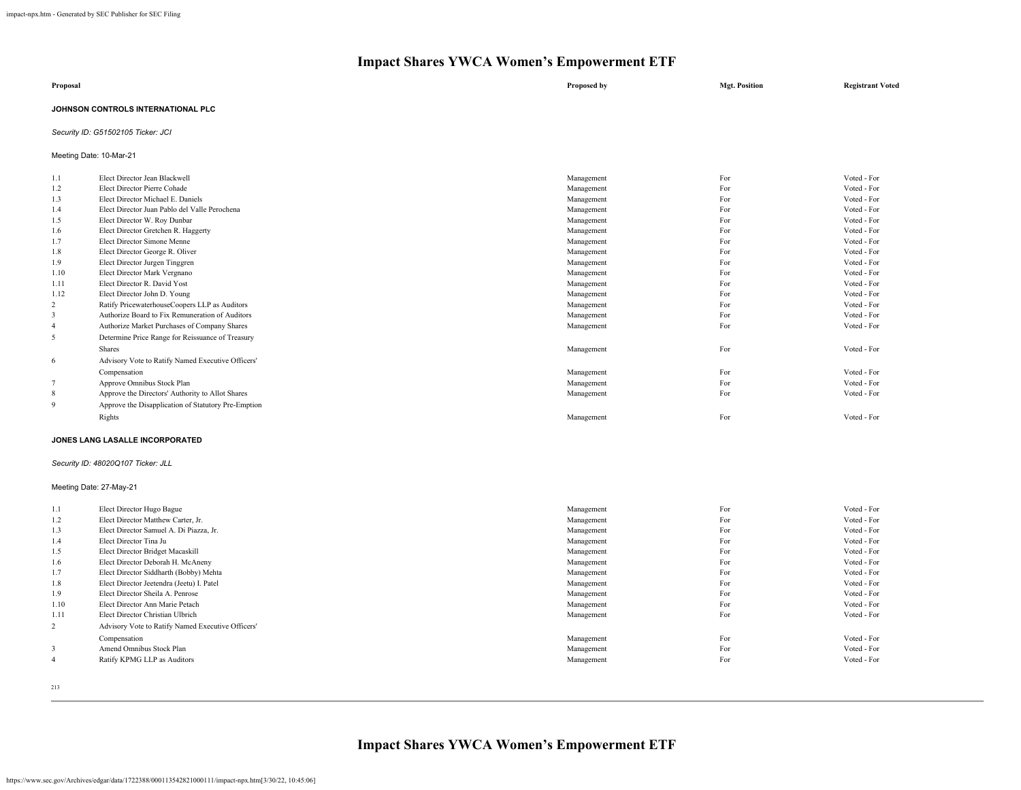| Proposal                           | Proposed by | <b>Mgt. Position</b> | <b>Registrant Voted</b> |
|------------------------------------|-------------|----------------------|-------------------------|
| JOHNSON CONTROLS INTERNATIONAL PLC |             |                      |                         |

### *Security ID: G51502105 Ticker: JCI*

Meeting Date: 10-Mar-21

| 1.1                     | Elect Director Jean Blackwell                       | Management | For | Voted - For |
|-------------------------|-----------------------------------------------------|------------|-----|-------------|
| 1.2                     | Elect Director Pierre Cohade                        | Management | For | Voted - For |
| 1.3                     | Elect Director Michael E. Daniels                   | Management | For | Voted - For |
| 1.4                     | Elect Director Juan Pablo del Valle Perochena       | Management | For | Voted - For |
| 1.5                     | Elect Director W. Roy Dunbar                        | Management | For | Voted - For |
| 1.6                     | Elect Director Gretchen R. Haggerty                 | Management | For | Voted - For |
| 1.7                     | Elect Director Simone Menne                         | Management | For | Voted - For |
| 1.8                     | Elect Director George R. Oliver                     | Management | For | Voted - For |
| 1.9                     | Elect Director Jurgen Tinggren                      | Management | For | Voted - For |
| 1.10                    | Elect Director Mark Vergnano                        | Management | For | Voted - For |
| 1.11                    | Elect Director R. David Yost                        | Management | For | Voted - For |
| 1.12                    | Elect Director John D. Young                        | Management | For | Voted - For |
| 2                       | Ratify PricewaterhouseCoopers LLP as Auditors       | Management | For | Voted - For |
| 3                       | Authorize Board to Fix Remuneration of Auditors     | Management | For | Voted - For |
|                         | Authorize Market Purchases of Company Shares        | Management | For | Voted - For |
| 5                       | Determine Price Range for Reissuance of Treasury    |            |     |             |
|                         | <b>Shares</b>                                       | Management | For | Voted - For |
| 6                       | Advisory Vote to Ratify Named Executive Officers'   |            |     |             |
|                         | Compensation                                        | Management | For | Voted - For |
|                         | Approve Omnibus Stock Plan                          | Management | For | Voted - For |
| 8                       | Approve the Directors' Authority to Allot Shares    | Management | For | Voted - For |
| 9                       | Approve the Disapplication of Statutory Pre-Emption |            |     |             |
|                         | Rights                                              | Management | For | Voted - For |
|                         |                                                     |            |     |             |
|                         | JONES LANG LASALLE INCORPORATED                     |            |     |             |
|                         | Security ID: 48020Q107 Ticker: JLL                  |            |     |             |
| Meeting Date: 27-May-21 |                                                     |            |     |             |
| 1.1                     | Elect Director Hugo Bague                           | Management | For | Voted - For |
| 1.2                     | Elect Director Matthew Carter, Jr.                  | Management | For | Voted - For |
|                         |                                                     |            |     |             |

| 1.2            | Elect Director Matthew Carter, Jr.                | Management | For | Voted - For |
|----------------|---------------------------------------------------|------------|-----|-------------|
| 1.3            | Elect Director Samuel A. Di Piazza, Jr.           | Management | For | Voted - For |
| 1.4            | Elect Director Tina Ju                            | Management | For | Voted - For |
| 1.5            | Elect Director Bridget Macaskill                  | Management | For | Voted - For |
| 1.6            | Elect Director Deborah H. McAneny                 | Management | For | Voted - For |
| 1.7            | Elect Director Siddharth (Bobby) Mehta            | Management | For | Voted - For |
| 1.8            | Elect Director Jeetendra (Jeetu) I. Patel         | Management | For | Voted - For |
| 1.9            | Elect Director Sheila A. Penrose                  | Management | For | Voted - For |
| 1.10           | Elect Director Ann Marie Petach                   | Management | For | Voted - For |
| 1.11           | Elect Director Christian Ulbrich                  | Management | For | Voted - For |
| $\overline{2}$ | Advisory Vote to Ratify Named Executive Officers' |            |     |             |
|                | Compensation                                      | Management | For | Voted - For |
| 3              | Amend Omnibus Stock Plan                          | Management | For | Voted - For |
| 4              | Ratify KPMG LLP as Auditors                       | Management | For | Voted - For |
|                |                                                   |            |     |             |

213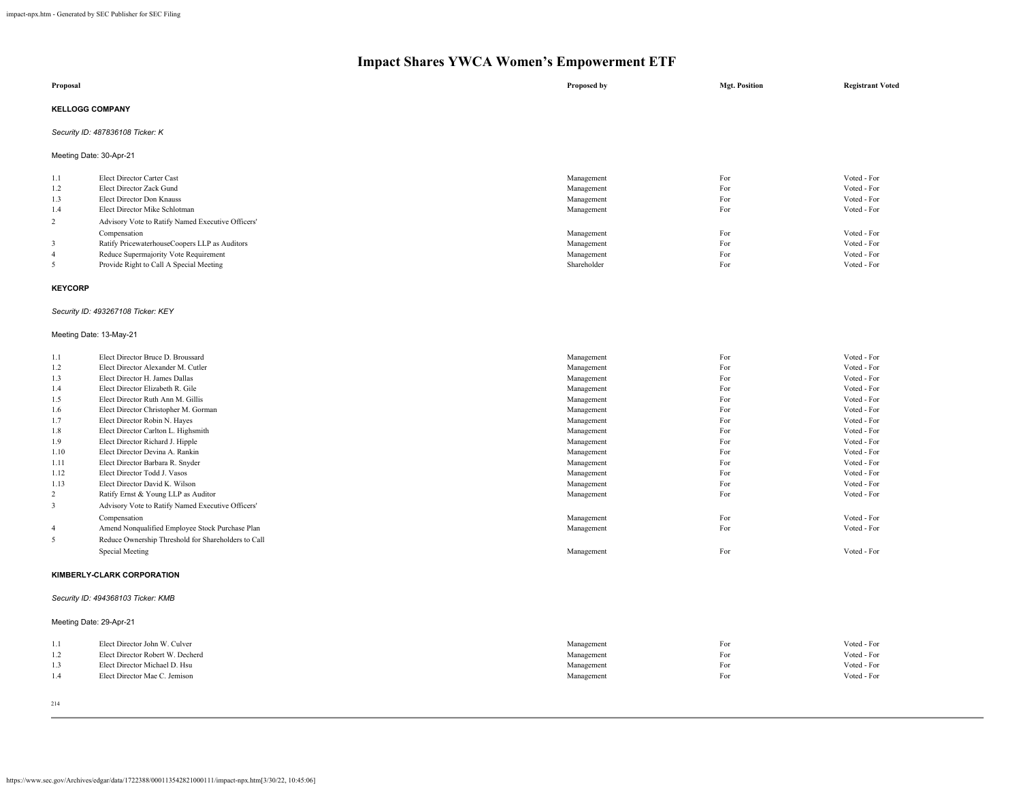|                | $\ldots$                                          |             |                      |                         |
|----------------|---------------------------------------------------|-------------|----------------------|-------------------------|
| Proposal       |                                                   | Proposed by | <b>Mgt. Position</b> | <b>Registrant Voted</b> |
|                | <b>KELLOGG COMPANY</b>                            |             |                      |                         |
|                | Security ID: 487836108 Ticker: K                  |             |                      |                         |
|                | Meeting Date: 30-Apr-21                           |             |                      |                         |
| 1.1            | Elect Director Carter Cast                        | Management  | For                  | Voted - For             |
| 1.2            | Elect Director Zack Gund                          | Management  | For                  | Voted - For             |
| 1.3            | Elect Director Don Knauss                         | Management  | For                  | Voted - For             |
| 1.4            | Elect Director Mike Schlotman                     | Management  | For                  | Voted - For             |
| $\overline{2}$ | Advisory Vote to Ratify Named Executive Officers' |             |                      |                         |
|                | Compensation                                      | Management  | For                  | Voted - For             |
| 3              | Ratify PricewaterhouseCoopers LLP as Auditors     | Management  | For                  | Voted - For             |
| $\overline{4}$ | Reduce Supermajority Vote Requirement             | Management  | For                  | Voted - For             |
| 5              | Provide Right to Call A Special Meeting           | Shareholder | For                  | Voted - For             |

#### **KEYCORP**

### *Security ID: 493267108 Ticker: KEY*

### Meeting Date: 13-May-21

| 1.1            | Elect Director Bruce D. Broussard                   | Management | For | Voted - For |
|----------------|-----------------------------------------------------|------------|-----|-------------|
| 1.2            | Elect Director Alexander M. Cutler                  | Management | For | Voted - For |
| 1.3            | Elect Director H. James Dallas                      | Management | For | Voted - For |
| 1.4            | Elect Director Elizabeth R. Gile                    | Management | For | Voted - For |
| 1.5            | Elect Director Ruth Ann M. Gillis                   | Management | For | Voted - For |
| 1.6            | Elect Director Christopher M. Gorman                | Management | For | Voted - For |
| 1.7            | Elect Director Robin N. Hayes                       | Management | For | Voted - For |
| 1.8            | Elect Director Carlton L. Highsmith                 | Management | For | Voted - For |
| 1.9            | Elect Director Richard J. Hipple                    | Management | For | Voted - For |
| 1.10           | Elect Director Devina A. Rankin                     | Management | For | Voted - For |
| 1.11           | Elect Director Barbara R. Snyder                    | Management | For | Voted - For |
| 1.12           | Elect Director Todd J. Vasos                        | Management | For | Voted - For |
| 1.13           | Elect Director David K. Wilson                      | Management | For | Voted - For |
| 2              | Ratify Ernst & Young LLP as Auditor                 | Management | For | Voted - For |
| 3              | Advisory Vote to Ratify Named Executive Officers'   |            |     |             |
|                | Compensation                                        | Management | For | Voted - For |
| $\overline{4}$ | Amend Nonqualified Employee Stock Purchase Plan     | Management | For | Voted - For |
| 5              | Reduce Ownership Threshold for Shareholders to Call |            |     |             |
|                | Special Meeting                                     | Management | For | Voted - For |
|                |                                                     |            |     |             |

#### **KIMBERLY-CLARK CORPORATION**

### *Security ID: 494368103 Ticker: KMB*

### Meeting Date: 29-Apr-21

| 1.1 | Elect Director John W. Culver    | Management | Voted - For |
|-----|----------------------------------|------------|-------------|
| 1.4 | Elect Director Robert W. Decherd | Management | Voted - For |
|     | Elect Director Michael D. Hsu    | Management | Voted - For |
|     | Elect Director Mae C. Jemison    | Management | Voted - For |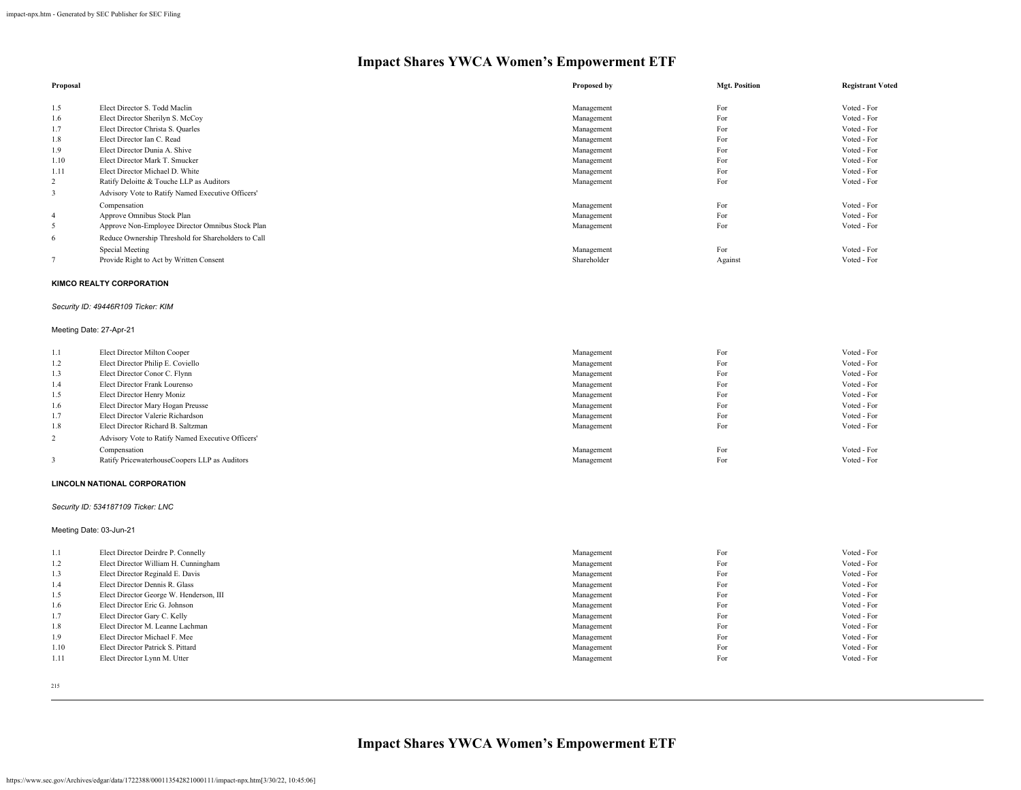| Proposal                |                                                                       | Proposed by | <b>Mgt. Position</b> | <b>Registrant Voted</b> |
|-------------------------|-----------------------------------------------------------------------|-------------|----------------------|-------------------------|
| 1.5                     | Elect Director S. Todd Maclin                                         | Management  | For                  | Voted - For             |
| 1.6                     | Elect Director Sherilyn S. McCoy                                      | Management  | For                  | Voted - For             |
| 1.7                     | Elect Director Christa S. Quarles                                     | Management  | For                  | Voted - For             |
| 1.8                     | Elect Director Ian C. Read                                            | Management  | For                  | Voted - For             |
| 1.9                     | Elect Director Dunia A. Shive                                         | Management  | For                  | Voted - For             |
| 1.10                    | Elect Director Mark T. Smucker                                        | Management  | For                  | Voted - For             |
| 1.11                    | Elect Director Michael D. White                                       | Management  | For                  | Voted - For             |
| 2                       | Ratify Deloitte & Touche LLP as Auditors                              | Management  | For                  | Voted - For             |
| $\overline{\mathbf{3}}$ | Advisory Vote to Ratify Named Executive Officers'                     |             |                      |                         |
|                         | Compensation                                                          | Management  | For                  | Voted - For             |
| $\overline{4}$          | Approve Omnibus Stock Plan                                            | Management  | For                  | Voted - For             |
| 5                       | Approve Non-Employee Director Omnibus Stock Plan                      | Management  | For                  | Voted - For             |
| 6                       | Reduce Ownership Threshold for Shareholders to Call                   |             |                      |                         |
|                         | Special Meeting                                                       | Management  | For                  | Voted - For             |
| $\overline{7}$          | Provide Right to Act by Written Consent                               | Shareholder | Against              | Voted - For             |
|                         | <b>KIMCO REALTY CORPORATION</b><br>Security ID: 49446R109 Ticker: KIM |             |                      |                         |
|                         | Meeting Date: 27-Apr-21                                               |             |                      |                         |
| 1.1                     | Elect Director Milton Cooper                                          | Management  | For                  | Voted - For             |
| 1.2                     | Elect Director Philip E. Coviello                                     | Management  | For                  | Voted - For             |
| 1.3                     | Elect Director Conor C. Flynn                                         | Management  | For                  | Voted - For             |
| 1.4                     | Elect Director Frank Lourenso                                         | Management  | For                  | Voted - For             |
| 1.5                     | Elect Director Henry Moniz                                            | Management  | For                  | Voted - For             |
| 1.6                     | Elect Director Mary Hogan Preusse                                     | Management  | For                  | Voted - For             |
| 1.7                     | Elect Director Valerie Richardson                                     | Management  | For                  | Voted - For             |
| 1.8                     | Elect Director Richard B. Saltzman                                    | Management  | For                  | Voted - For             |
| $\overline{c}$          | Advisory Vote to Ratify Named Executive Officers'                     |             |                      |                         |
|                         | Compensation                                                          | Management  | For                  | Voted - For             |
| 3                       | Ratify PricewaterhouseCoopers LLP as Auditors                         | Management  | For                  | Voted - For             |
|                         | <b>LINCOLN NATIONAL CORPORATION</b>                                   |             |                      |                         |
|                         | Security ID: 534187109 Ticker: LNC                                    |             |                      |                         |
|                         | Meeting Date: 03-Jun-21                                               |             |                      |                         |

1.1 Elect Director Deirdre P. Connelly **Management** For Voted - For Voted - For Voted - For Voted - For Voted - For 1.2 Elect Director William H. Cunningham Voted - For Voted - For Voted - For Voted - For Voted - For Voted - For 1.3 Elect Director Reginald E. Davis Voted - For Voted - For Voted - For Voted - For Voted - For Voted - For 1.4 Elect Director Dennis R. Glass Voted - For Voted - For Voted - For Voted - For Voted - For Voted - For Voted - For 1.5 Elect Director George W. Henderson, III **Management** For Voted - For Voted - For Voted - For Voted - For Voted - For Voted - For Voted - For Voted - For Voted - For Voted - For Voted - For Voted - For Voted - For Voted 1.6 Elect Director Eric G. Johnson Voted - For Voted - For Voted - For Voted - For Voted - For 1.7 Elect Director Gary C. Kelly Voted - For Voted - For Voted - For Voted - For Voted - For Voted - For Voted - For 1.8 Elect Director M. Leanne Lachman Voted - For Voted - For Voted - For Voted - For Voted - For Voted - For 1.9 Elect Director Michael F. Mee Voted - For Voted - For Voted - For Voted - For Voted - For Voted - For Voted - For 1.10 Elect Director Patrick S. Pittard Voted - For Voted - For Voted - For Voted - For Voted - For Voted - For<br>1.11 Elect Director Lynn M. Utter Voted - For Voted - For Voted - For Voted - For Voted - For Voted - For Voted

- 
- 215

**Impact Shares YWCA Women's Empowerment ETF**

Elect Director Lynn M. Utter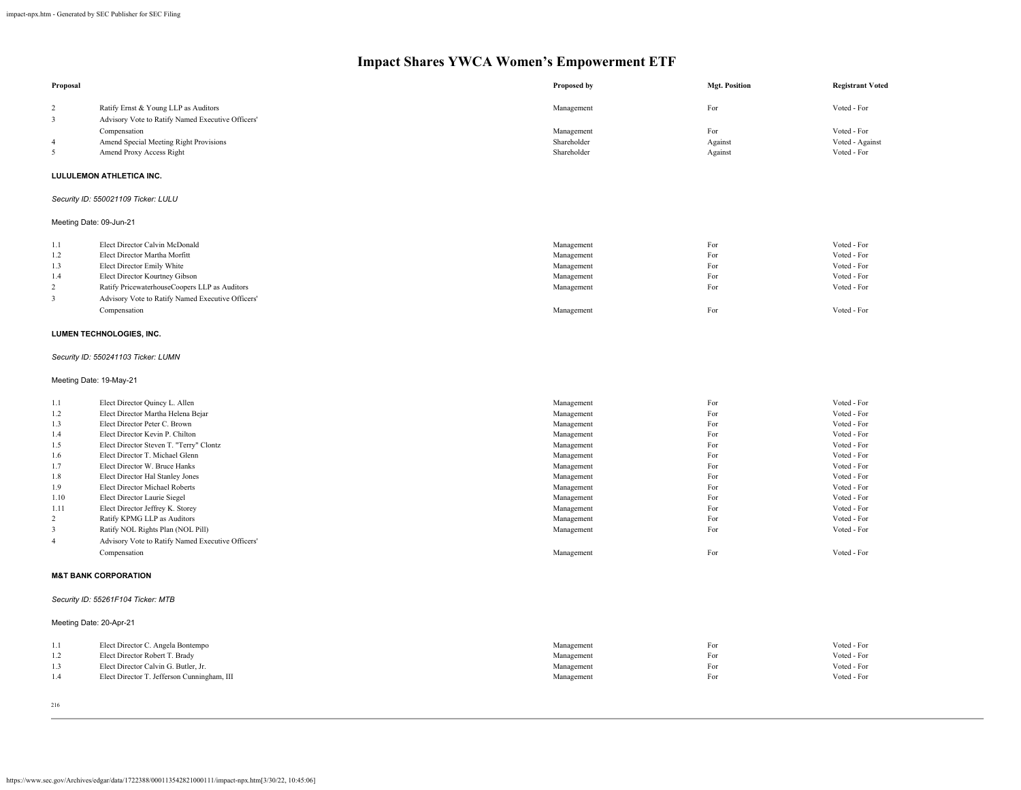| Proposal                |                                                                                           | Proposed by              | <b>Mgt. Position</b> | <b>Registrant Voted</b>    |
|-------------------------|-------------------------------------------------------------------------------------------|--------------------------|----------------------|----------------------------|
| $\overline{c}$<br>3     | Ratify Ernst & Young LLP as Auditors<br>Advisory Vote to Ratify Named Executive Officers' | Management               | For                  | Voted - For                |
|                         | Compensation                                                                              | Management               | For                  | Voted - For                |
| 4                       | Amend Special Meeting Right Provisions                                                    | Shareholder              | Against              | Voted - Against            |
| 5                       | Amend Proxy Access Right                                                                  | Shareholder              | Against              | Voted - For                |
|                         | LULULEMON ATHLETICA INC.                                                                  |                          |                      |                            |
|                         | Security ID: 550021109 Ticker: LULU                                                       |                          |                      |                            |
|                         | Meeting Date: 09-Jun-21                                                                   |                          |                      |                            |
| 1.1                     | Elect Director Calvin McDonald                                                            | Management               | For                  | Voted - For                |
| 1.2                     | Elect Director Martha Morfitt                                                             | Management               | For                  | Voted - For                |
| 1.3                     | Elect Director Emily White                                                                | Management               | For                  | Voted - For                |
| 1.4                     | Elect Director Kourtney Gibson                                                            | Management               | For                  | Voted - For                |
| $\overline{\mathbf{c}}$ | Ratify PricewaterhouseCoopers LLP as Auditors                                             | Management               | For                  | Voted - For                |
| $\mathfrak z$           | Advisory Vote to Ratify Named Executive Officers'                                         |                          |                      |                            |
|                         | Compensation                                                                              | Management               | For                  | Voted - For                |
|                         | LUMEN TECHNOLOGIES, INC.                                                                  |                          |                      |                            |
|                         | Security ID: 550241103 Ticker: LUMN                                                       |                          |                      |                            |
|                         | Meeting Date: 19-May-21                                                                   |                          |                      |                            |
| 1.1                     | Elect Director Quincy L. Allen                                                            | Management               | For                  | Voted - For                |
| 1.2                     | Elect Director Martha Helena Bejar                                                        | Management               | For                  | Voted - For                |
| 1.3                     | Elect Director Peter C. Brown                                                             | Management               | For                  | Voted - For                |
| 1.4                     | Elect Director Kevin P. Chilton                                                           | Management               | For                  | Voted - For                |
| 1.5                     | Elect Director Steven T. "Terry" Clontz                                                   | Management               | For                  | Voted - For                |
| 1.6                     | Elect Director T. Michael Glenn                                                           | Management               | For                  | Voted - For                |
| 1.7                     | Elect Director W. Bruce Hanks                                                             | Management               | For                  | Voted - For                |
| 1.8                     | Elect Director Hal Stanley Jones                                                          | Management               | For                  | Voted - For                |
| 1.9                     | Elect Director Michael Roberts                                                            | Management               | For                  | Voted - For                |
| 1.10<br>1.11            | Elect Director Laurie Siegel<br>Elect Director Jeffrey K. Storey                          | Management<br>Management | For<br>For           | Voted - For<br>Voted - For |
| $\overline{\mathbf{c}}$ | Ratify KPMG LLP as Auditors                                                               | Management               | For                  | Voted - For                |
| $\mathfrak{Z}$          | Ratify NOL Rights Plan (NOL Pill)                                                         | Management               | For                  | Voted - For                |
| 4                       | Advisory Vote to Ratify Named Executive Officers'                                         |                          |                      |                            |
|                         | Compensation                                                                              | Management               | For                  | Voted - For                |
|                         | <b>M&amp;T BANK CORPORATION</b>                                                           |                          |                      |                            |
|                         | Security ID: 55261F104 Ticker: MTB                                                        |                          |                      |                            |
|                         |                                                                                           |                          |                      |                            |
|                         | Meeting Date: 20-Apr-21                                                                   |                          |                      |                            |
| 1.1                     | Elect Director C. Angela Bontempo                                                         | Management               | For                  | Voted - For                |
| 1.2                     | Elect Director Robert T. Brady                                                            | Management               | For                  | Voted - For                |
| 1.3                     | Elect Director Calvin G. Butler, Jr.                                                      | Management               | For                  | Voted - For                |
| 1.4                     | Elect Director T. Jefferson Cunningham, III                                               | Management               | For                  | Voted - For                |
|                         |                                                                                           |                          |                      |                            |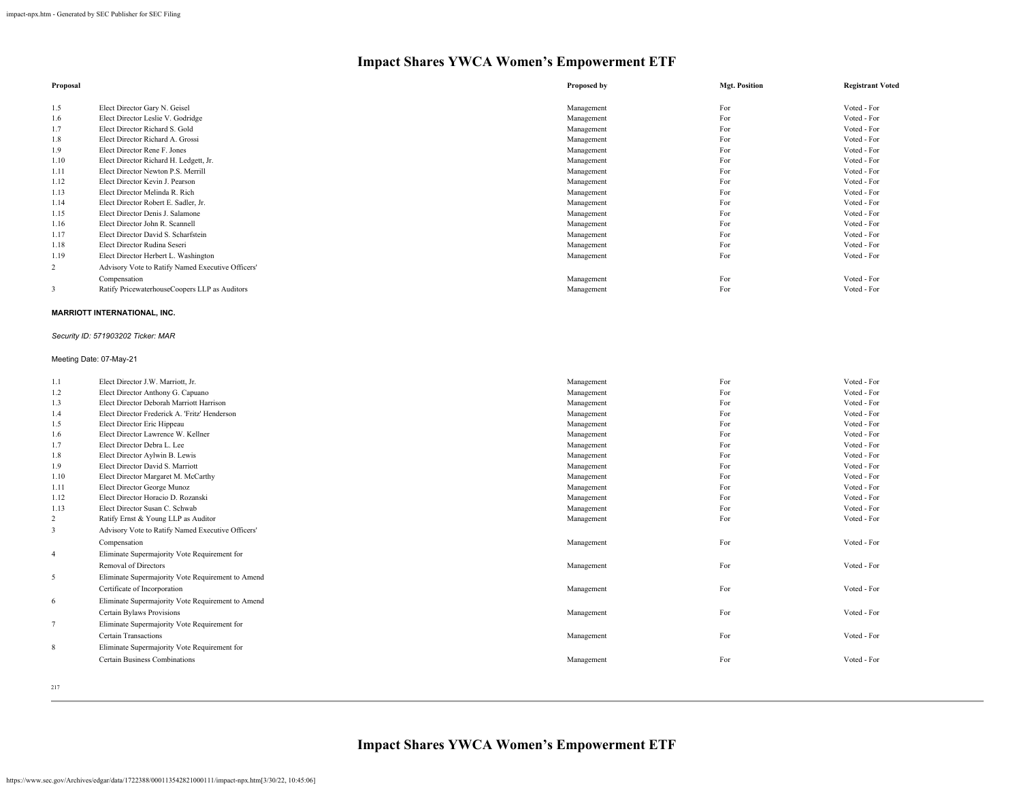| Proposal |                                                   | Proposed by | <b>Mgt. Position</b> | <b>Registrant Voted</b> |
|----------|---------------------------------------------------|-------------|----------------------|-------------------------|
|          |                                                   |             |                      |                         |
| 1.5      | Elect Director Gary N. Geisel                     | Management  | For                  | Voted - For             |
| 1.6      | Elect Director Leslie V. Godridge                 | Management  | For                  | Voted - For             |
| 1.7      | Elect Director Richard S. Gold                    | Management  | For                  | Voted - For             |
| 1.8      | Elect Director Richard A. Grossi                  | Management  | For                  | Voted - For             |
| 1.9      | Elect Director Rene F. Jones                      | Management  | For                  | Voted - For             |
| 1.10     | Elect Director Richard H. Ledgett, Jr.            | Management  | For                  | Voted - For             |
| 1.11     | Elect Director Newton P.S. Merrill                | Management  | For                  | Voted - For             |
| 1.12     | Elect Director Kevin J. Pearson                   | Management  | For                  | Voted - For             |
| 1.13     | Elect Director Melinda R. Rich                    | Management  | For                  | Voted - For             |
| 1.14     | Elect Director Robert E. Sadler, Jr.              | Management  | For                  | Voted - For             |
| 1.15     | Elect Director Denis J. Salamone                  | Management  | For                  | Voted - For             |
| 1.16     | Elect Director John R. Scannell                   | Management  | For                  | Voted - For             |
| 1.17     | Elect Director David S. Scharfstein               | Management  | For                  | Voted - For             |
| 1.18     | Elect Director Rudina Seseri                      | Management  | For                  | Voted - For             |
| 1.19     | Elect Director Herbert L. Washington              | Management  | For                  | Voted - For             |
| 2        | Advisory Vote to Ratify Named Executive Officers' |             |                      |                         |
|          | Compensation                                      | Management  | For                  | Voted - For             |
| 3        | Ratify PricewaterhouseCoopers LLP as Auditors     | Management  | For                  | Voted - For             |
|          | MARRIOTT INTERNATIONAL, INC.                      |             |                      |                         |

### *Security ID: 571903202 Ticker: MAR*

### Meeting Date: 07-May-21

| 1.1            | Elect Director J.W. Marriott, Jr.                 | Management | For | Voted - For |
|----------------|---------------------------------------------------|------------|-----|-------------|
| 1.2            | Elect Director Anthony G. Capuano                 | Management | For | Voted - For |
| 1.3            | Elect Director Deborah Marriott Harrison          | Management | For | Voted - For |
| 1.4            | Elect Director Frederick A. 'Fritz' Henderson     | Management | For | Voted - For |
| 1.5            | Elect Director Eric Hippeau                       | Management | For | Voted - For |
| 1.6            | Elect Director Lawrence W. Kellner                | Management | For | Voted - For |
| 1.7            | Elect Director Debra L. Lee                       | Management | For | Voted - For |
| 1.8            | Elect Director Aylwin B. Lewis                    | Management | For | Voted - For |
| 1.9            | Elect Director David S. Marriott                  | Management | For | Voted - For |
| 1.10           | Elect Director Margaret M. McCarthy               | Management | For | Voted - For |
| 1.11           | Elect Director George Munoz                       | Management | For | Voted - For |
| 1.12           | Elect Director Horacio D. Rozanski                | Management | For | Voted - For |
| 1.13           | Elect Director Susan C. Schwab                    | Management | For | Voted - For |
| 2              | Ratify Ernst & Young LLP as Auditor               | Management | For | Voted - For |
| 3              | Advisory Vote to Ratify Named Executive Officers' |            |     |             |
|                | Compensation                                      | Management | For | Voted - For |
| $\overline{4}$ | Eliminate Supermajority Vote Requirement for      |            |     |             |
|                | Removal of Directors                              | Management | For | Voted - For |
| 5              | Eliminate Supermajority Vote Requirement to Amend |            |     |             |
|                | Certificate of Incorporation                      | Management | For | Voted - For |
| 6              | Eliminate Supermajority Vote Requirement to Amend |            |     |             |
|                | Certain Bylaws Provisions                         | Management | For | Voted - For |
| $\overline{7}$ | Eliminate Supermajority Vote Requirement for      |            |     |             |
|                | Certain Transactions                              | Management | For | Voted - For |
| 8              | Eliminate Supermajority Vote Requirement for      |            |     |             |
|                | <b>Certain Business Combinations</b>              | Management | For | Voted - For |
|                |                                                   |            |     |             |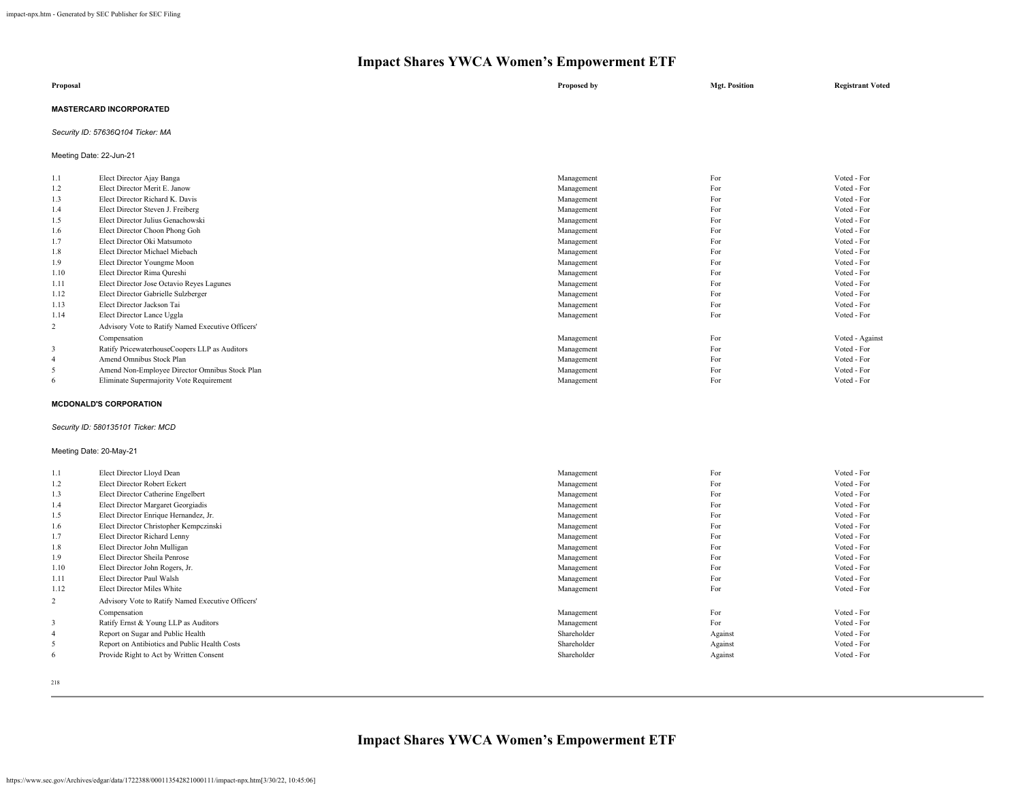| Proposal                       | Proposed by | <b>Mgt. Position</b> | <b>Registrant Voted</b> |
|--------------------------------|-------------|----------------------|-------------------------|
| <b>MASTERCARD INCORPORATED</b> |             |                      |                         |

# *Security ID: 57636Q104 Ticker: MA*

Meeting Date: 22-Jun-21

| 1.1  | Elect Director Ajay Banga                         | Management | For | Voted - For     |
|------|---------------------------------------------------|------------|-----|-----------------|
| 1.2  | Elect Director Merit E. Janow                     | Management | For | Voted - For     |
| 1.3  | Elect Director Richard K. Davis                   | Management | For | Voted - For     |
| 1.4  | Elect Director Steven J. Freiberg                 | Management | For | Voted - For     |
| 1.5  | Elect Director Julius Genachowski                 | Management | For | Voted - For     |
| 1.6  | Elect Director Choon Phong Goh                    | Management | For | Voted - For     |
| 1.7  | Elect Director Oki Matsumoto                      | Management | For | Voted - For     |
| 1.8  | Elect Director Michael Miebach                    | Management | For | Voted - For     |
| 1.9  | Elect Director Youngme Moon                       | Management | For | Voted - For     |
| 1.10 | Elect Director Rima Qureshi                       | Management | For | Voted - For     |
| 1.11 | Elect Director Jose Octavio Reves Lagunes         | Management | For | Voted - For     |
| 1.12 | Elect Director Gabrielle Sulzberger               | Management | For | Voted - For     |
| 1.13 | Elect Director Jackson Tai                        | Management | For | Voted - For     |
| 1.14 | Elect Director Lance Uggla                        | Management | For | Voted - For     |
| 2    | Advisory Vote to Ratify Named Executive Officers' |            |     |                 |
|      | Compensation                                      | Management | For | Voted - Against |
| 3    | Ratify PricewaterhouseCoopers LLP as Auditors     | Management | For | Voted - For     |
|      | Amend Omnibus Stock Plan                          | Management | For | Voted - For     |
| 5    | Amend Non-Employee Director Omnibus Stock Plan    | Management | For | Voted - For     |
| 6    | Eliminate Supermajority Vote Requirement          | Management | For | Voted - For     |
|      |                                                   |            |     |                 |

#### **MCDONALD'S CORPORATION**

# *Security ID: 580135101 Ticker: MCD*

#### Meeting Date: 20-May-21

| 1.1            | Elect Director Lloyd Dean                         | Management  | For     | Voted - For |
|----------------|---------------------------------------------------|-------------|---------|-------------|
| 1.2            | Elect Director Robert Eckert                      | Management  | For     | Voted - For |
| 1.3            | Elect Director Catherine Engelbert                | Management  | For     | Voted - For |
| 1.4            | Elect Director Margaret Georgiadis                | Management  | For     | Voted - For |
| 1.5            | Elect Director Enrique Hernandez, Jr.             | Management  | For     | Voted - For |
| 1.6            | Elect Director Christopher Kempczinski            | Management  | For     | Voted - For |
| 1.7            | Elect Director Richard Lenny                      | Management  | For     | Voted - For |
| 1.8            | Elect Director John Mulligan                      | Management  | For     | Voted - For |
| 1.9            | Elect Director Sheila Penrose                     | Management  | For     | Voted - For |
| 1.10           | Elect Director John Rogers, Jr.                   | Management  | For     | Voted - For |
| 1.11           | Elect Director Paul Walsh                         | Management  | For     | Voted - For |
| 1.12           | Elect Director Miles White                        | Management  | For     | Voted - For |
| $\overline{2}$ | Advisory Vote to Ratify Named Executive Officers' |             |         |             |
|                | Compensation                                      | Management  | For     | Voted - For |
| 3              | Ratify Ernst & Young LLP as Auditors              | Management  | For     | Voted - For |
| $\overline{4}$ | Report on Sugar and Public Health                 | Shareholder | Against | Voted - For |
| 5              | Report on Antibiotics and Public Health Costs     | Shareholder | Against | Voted - For |
| 6              | Provide Right to Act by Written Consent           | Shareholder | Against | Voted - For |
|                |                                                   |             |         |             |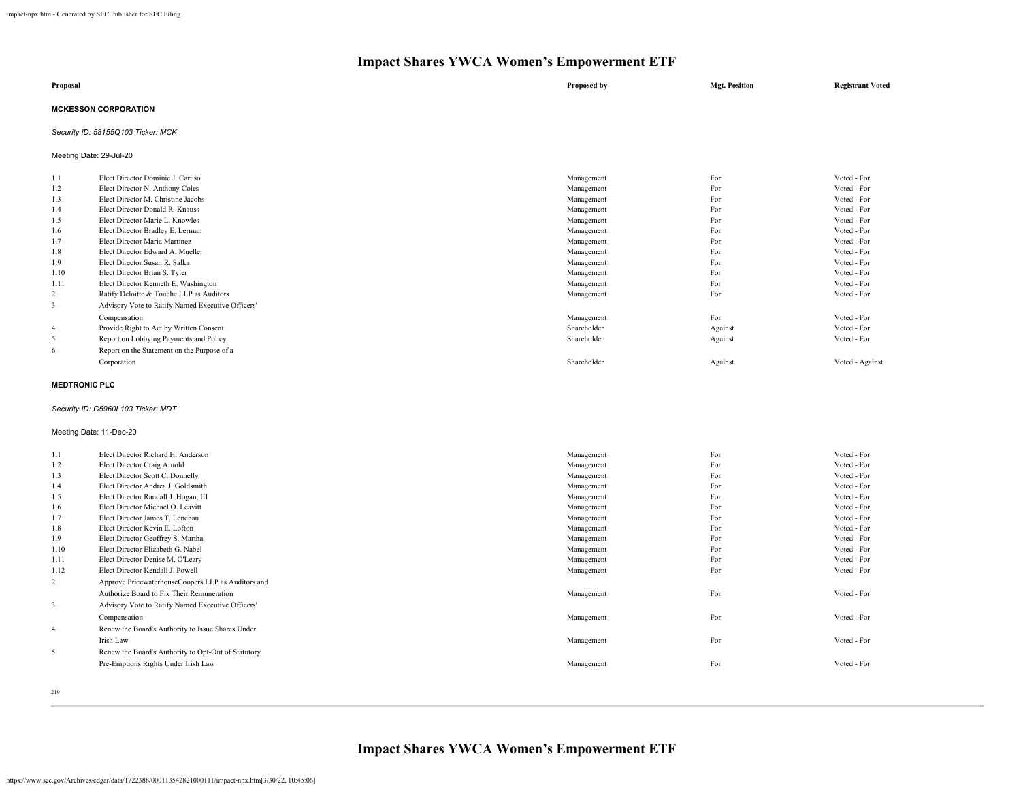| Proposal                    | Proposed by | <b>Mgt. Position</b> | <b>Registrant Voted</b> |
|-----------------------------|-------------|----------------------|-------------------------|
| <b>MCKESSON CORPORATION</b> |             |                      |                         |

# *Security ID: 58155Q103 Ticker: MCK*

Meeting Date: 29-Jul-20

| 1.1            | Elect Director Dominic J. Caruso                  | Management  | For     | Voted - For     |
|----------------|---------------------------------------------------|-------------|---------|-----------------|
| 1.2            | Elect Director N. Anthony Coles                   | Management  | For     | Voted - For     |
| 1.3            | Elect Director M. Christine Jacobs                | Management  | For     | Voted - For     |
| 1.4            | Elect Director Donald R. Knauss                   | Management  | For     | Voted - For     |
| 1.5            | Elect Director Marie L. Knowles                   | Management  | For     | Voted - For     |
| 1.6            | Elect Director Bradley E. Lerman                  | Management  | For     | Voted - For     |
| 1.7            | Elect Director Maria Martinez                     | Management  | For     | Voted - For     |
| 1.8            | Elect Director Edward A. Mueller                  | Management  | For     | Voted - For     |
| 1.9            | Elect Director Susan R. Salka                     | Management  | For     | Voted - For     |
| 1.10           | Elect Director Brian S. Tyler                     | Management  | For     | Voted - For     |
| 1.11           | Elect Director Kenneth E. Washington              | Management  | For     | Voted - For     |
| 2              | Ratify Deloitte & Touche LLP as Auditors          | Management  | For     | Voted - For     |
| 3              | Advisory Vote to Ratify Named Executive Officers' |             |         |                 |
|                | Compensation                                      | Management  | For     | Voted - For     |
| $\overline{4}$ | Provide Right to Act by Written Consent           | Shareholder | Against | Voted - For     |
| 5              | Report on Lobbying Payments and Policy            | Shareholder | Against | Voted - For     |
| 6              | Report on the Statement on the Purpose of a       |             |         |                 |
|                | Corporation                                       | Shareholder | Against | Voted - Against |
|                |                                                   |             |         |                 |

# **MEDTRONIC PLC**

#### *Security ID: G5960L103 Ticker: MDT*

#### Meeting Date: 11-Dec-20

| 1.1            | Elect Director Richard H. Anderson                  | Management | For | Voted - For |
|----------------|-----------------------------------------------------|------------|-----|-------------|
| 1.2            | Elect Director Craig Arnold                         | Management | For | Voted - For |
| 1.3            | Elect Director Scott C. Donnelly                    | Management | For | Voted - For |
| 1.4            | Elect Director Andrea J. Goldsmith                  | Management | For | Voted - For |
| 1.5            | Elect Director Randall J. Hogan, III                | Management | For | Voted - For |
| 1.6            | Elect Director Michael O. Leavitt                   | Management | For | Voted - For |
| 1.7            | Elect Director James T. Lenehan                     | Management | For | Voted - For |
| 1.8            | Elect Director Kevin E. Lofton                      | Management | For | Voted - For |
| 1.9            | Elect Director Geoffrey S. Martha                   | Management | For | Voted - For |
| 1.10           | Elect Director Elizabeth G. Nabel                   | Management | For | Voted - For |
| 1.11           | Elect Director Denise M. O'Leary                    | Management | For | Voted - For |
| 1.12           | Elect Director Kendall J. Powell                    | Management | For | Voted - For |
| 2              | Approve PricewaterhouseCoopers LLP as Auditors and  |            |     |             |
|                | Authorize Board to Fix Their Remuneration           | Management | For | Voted - For |
| 3              | Advisory Vote to Ratify Named Executive Officers'   |            |     |             |
|                | Compensation                                        | Management | For | Voted - For |
| $\overline{4}$ | Renew the Board's Authority to Issue Shares Under   |            |     |             |
|                | Irish Law                                           | Management | For | Voted - For |
| 5              | Renew the Board's Authority to Opt-Out of Statutory |            |     |             |
|                | Pre-Emptions Rights Under Irish Law                 | Management | For | Voted - For |
|                |                                                     |            |     |             |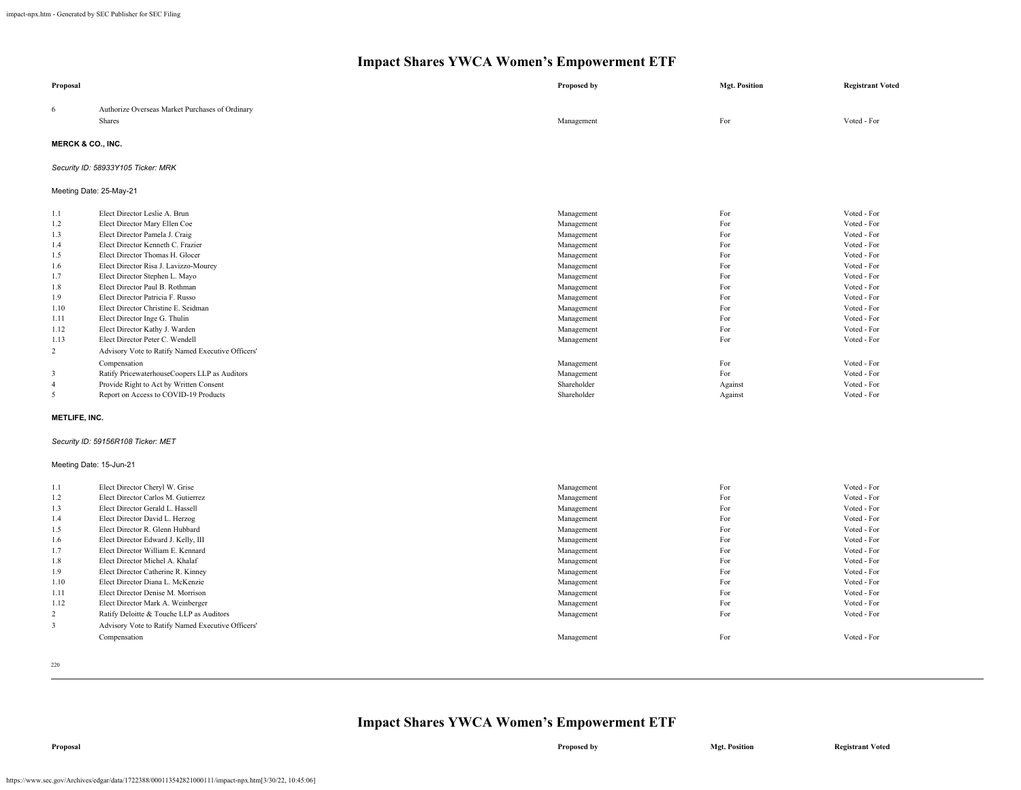| Proposal                     |                                                   | <b>Proposed by</b> | <b>Mgt. Position</b> | <b>Registrant Voted</b> |
|------------------------------|---------------------------------------------------|--------------------|----------------------|-------------------------|
| 6                            | Authorize Overseas Market Purchases of Ordinary   |                    |                      |                         |
|                              | Shares                                            | Management         | For                  | Voted - For             |
| <b>MERCK &amp; CO., INC.</b> |                                                   |                    |                      |                         |
|                              |                                                   |                    |                      |                         |
|                              | Security ID: 58933Y105 Ticker: MRK                |                    |                      |                         |
| Meeting Date: 25-May-21      |                                                   |                    |                      |                         |
| 1.1                          | Elect Director Leslie A. Brun                     | Management         | For                  | Voted - For             |
| 1.2                          | Elect Director Mary Ellen Coe                     | Management         | For                  | Voted - For             |
| 1.3                          | Elect Director Pamela J. Craig                    | Management         | For                  | Voted - For             |
| 1.4                          | Elect Director Kenneth C. Frazier                 | Management         | For                  | Voted - For             |
| 1.5                          | Elect Director Thomas H. Glocer                   | Management         | For                  | Voted - For             |
| 1.6                          | Elect Director Risa J. Lavizzo-Mourey             | Management         | For                  | Voted - For             |
| 1.7                          | Elect Director Stephen L. Mayo                    | Management         | For                  | Voted - For             |
| 1.8                          | Elect Director Paul B. Rothman                    | Management         | For                  | Voted - For             |
| 1.9                          | Elect Director Patricia F. Russo                  | Management         | For                  | Voted - For             |
| 1.10                         | Elect Director Christine E. Seidman               | Management         | For                  | Voted - For             |
| 1.11                         | Elect Director Inge G. Thulin                     | Management         | For                  | Voted - For             |
| 1.12                         | Elect Director Kathy J. Warden                    | Management         | For                  | Voted - For             |
| 1.13                         | Elect Director Peter C. Wendell                   | Management         | For                  | Voted - For             |
| 2                            | Advisory Vote to Ratify Named Executive Officers' |                    |                      |                         |
|                              | Compensation                                      | Management         | For                  | Voted - For             |
| 3                            | Ratify PricewaterhouseCoopers LLP as Auditors     | Management         | For                  | Voted - For             |
| $\overline{4}$               | Provide Right to Act by Written Consent           | Shareholder        | Against              | Voted - For             |
| 5                            | Report on Access to COVID-19 Products             | Shareholder        | Against              | Voted - For             |
| <b>METLIFE, INC.</b>         |                                                   |                    |                      |                         |
|                              | Security ID: 59156R108 Ticker: MET                |                    |                      |                         |
| Meeting Date: 15-Jun-21      |                                                   |                    |                      |                         |
| 1.1                          | Elect Director Cheryl W. Grise                    | Management         | For                  | Voted - For             |
| 1.2                          | Elect Director Carlos M. Gutierrez                | Management         | For                  | Voted - For             |
| 1.3                          | Elect Director Gerald L. Hassell                  | Management         | For                  | Voted - For             |
| 1.4                          | Elect Director David L. Herzog                    | Management         | For                  | Voted - For             |
| 1.5                          | Elect Director R. Glenn Hubbard                   | Management         | For                  | Voted - For             |
| 1.6                          | Elect Director Edward J. Kelly, III               | Management         | For                  | Voted - For             |
| 1.7                          | Elect Director William E. Kennard                 | Management         | For                  | Voted - For             |
| 1.8                          | Elect Director Michel A. Khalaf                   | Management         | For                  | Voted - For             |
| 1.9                          | Elect Director Catherine R. Kinney                | Management         | For                  | Voted - For             |
| 1.10                         | Elect Director Diana L. McKenzie                  | Management         | For                  | Voted - For             |
| 1.11                         | Elect Director Denise M. Morrison                 | Management         | For                  | Voted - For             |
| 1.12                         | Elect Director Mark A. Weinberger                 | Management         | For                  | Voted - For             |
| $\overline{c}$               | Ratify Deloitte & Touche LLP as Auditors          | Management         | For                  | Voted - For             |
| 3                            | Advisory Vote to Ratify Named Executive Officers' |                    |                      |                         |
|                              | Compensation                                      | Management         | For                  | Voted - For             |
|                              |                                                   |                    |                      |                         |

220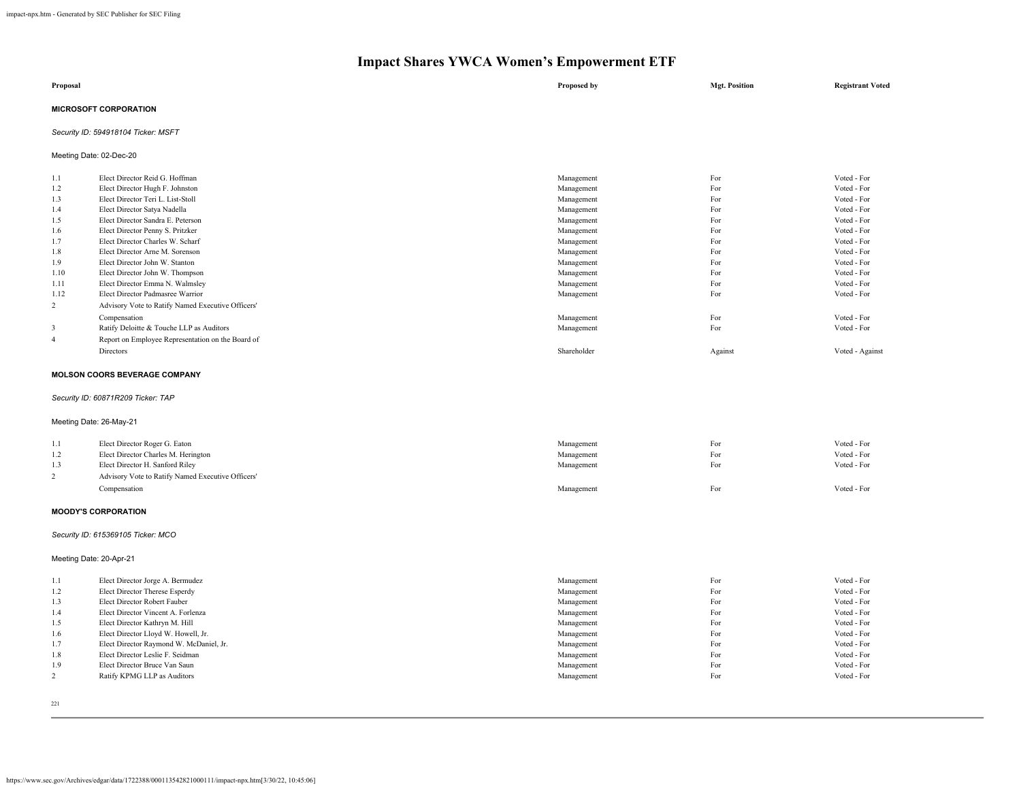| Proposal                     | Proposed by | <b>Mgt. Position</b> | <b>Registrant Voted</b> |
|------------------------------|-------------|----------------------|-------------------------|
| <b>MICROSOFT CORPORATION</b> |             |                      |                         |

# *Security ID: 594918104 Ticker: MSFT*

Meeting Date: 02-Dec-20

| 1.1  | Elect Director Reid G. Hoffman                    | Management  | For     | Voted - For     |
|------|---------------------------------------------------|-------------|---------|-----------------|
| 1.2  | Elect Director Hugh F. Johnston                   | Management  | For     | Voted - For     |
| 1.3  | Elect Director Teri L. List-Stoll                 | Management  | For     | Voted - For     |
| 1.4  | Elect Director Satya Nadella                      | Management  | For     | Voted - For     |
| 1.5  | Elect Director Sandra E. Peterson                 | Management  | For     | Voted - For     |
| 1.6  | Elect Director Penny S. Pritzker                  | Management  | For     | Voted - For     |
| 1.7  | Elect Director Charles W. Scharf                  | Management  | For     | Voted - For     |
| 1.8  | Elect Director Arne M. Sorenson                   | Management  | For     | Voted - For     |
| 1.9  | Elect Director John W. Stanton                    | Management  | For     | Voted - For     |
| 1.10 | Elect Director John W. Thompson                   | Management  | For     | Voted - For     |
| 1.11 | Elect Director Emma N. Walmsley                   | Management  | For     | Voted - For     |
| 1.12 | Elect Director Padmasree Warrior                  | Management  | For     | Voted - For     |
| 2    | Advisory Vote to Ratify Named Executive Officers' |             |         |                 |
|      | Compensation                                      | Management  | For     | Voted - For     |
| 3    | Ratify Deloitte & Touche LLP as Auditors          | Management  | For     | Voted - For     |
| -4   | Report on Employee Representation on the Board of |             |         |                 |
|      | Directors                                         | Shareholder | Against | Voted - Against |
|      |                                                   |             |         |                 |

#### **MOLSON COORS BEVERAGE COMPANY**

# *Security ID: 60871R209 Ticker: TAP*

Meeting Date: 26-May-21

| 1.1 | Elect Director Roger G. Eaton                     | Management | For | Voted - For |
|-----|---------------------------------------------------|------------|-----|-------------|
| 1.2 | Elect Director Charles M. Herington               | Management | For | Voted - For |
| 1.3 | Elect Director H. Sanford Riley                   | Management | For | Voted - For |
|     | Advisory Vote to Ratify Named Executive Officers' |            |     |             |
|     | Compensation                                      | Management | For | Voted - For |

#### **MOODY'S CORPORATION**

*Security ID: 615369105 Ticker: MCO*

# Meeting Date: 20-Apr-21

| 1.1 | Elect Director Jorge A. Bermudez        | Management | For | Voted - For |
|-----|-----------------------------------------|------------|-----|-------------|
| 1.2 | Elect Director Therese Esperdy          | Management | For | Voted - For |
| 1.3 | Elect Director Robert Fauber            | Management | For | Voted - For |
| 1.4 | Elect Director Vincent A. Forlenza      | Management | For | Voted - For |
| 1.5 | Elect Director Kathryn M. Hill          | Management | For | Voted - For |
| 1.6 | Elect Director Lloyd W. Howell, Jr.     | Management | For | Voted - For |
| 1.7 | Elect Director Raymond W. McDaniel, Jr. | Management | For | Voted - For |
| 1.8 | Elect Director Leslie F. Seidman        | Management | For | Voted - For |
| 1.9 | Elect Director Bruce Van Saun           | Management | For | Voted - For |
|     | Ratify KPMG LLP as Auditors             | Management | For | Voted - For |
|     |                                         |            |     |             |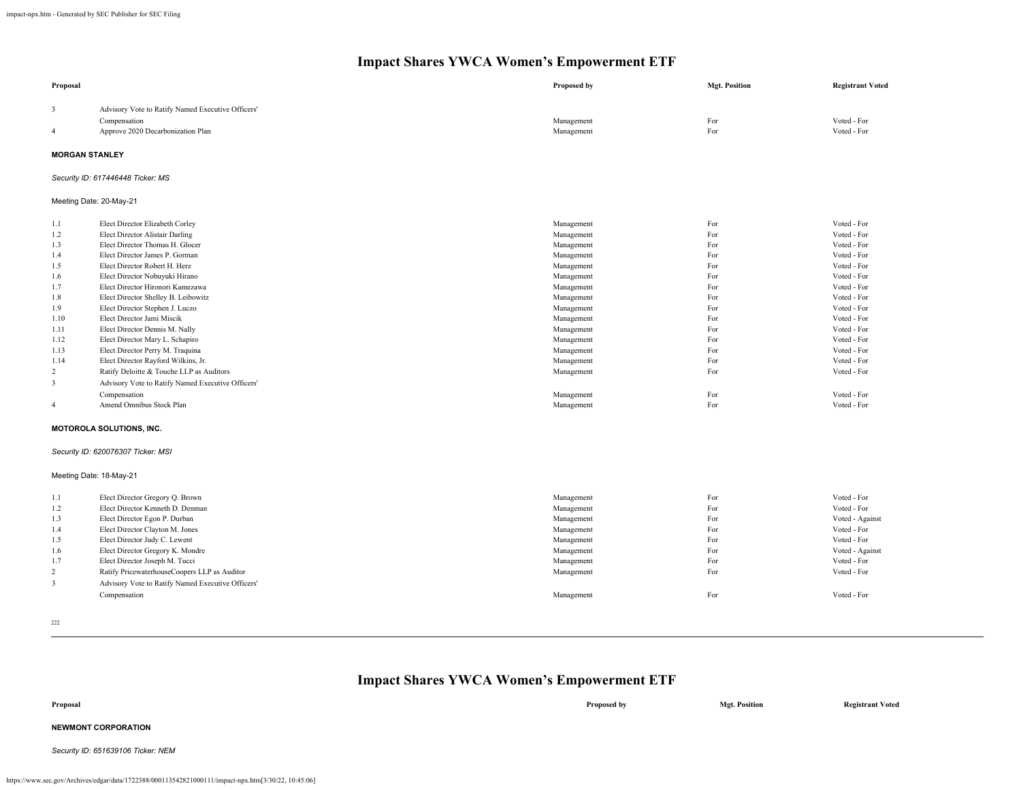| Proposal                |                                                   | Proposed by | <b>Mgt. Position</b> | <b>Registrant Voted</b> |
|-------------------------|---------------------------------------------------|-------------|----------------------|-------------------------|
| 3                       | Advisory Vote to Ratify Named Executive Officers' |             |                      |                         |
|                         | Compensation                                      | Management  | For                  | Voted - For             |
| 4                       | Approve 2020 Decarbonization Plan                 | Management  | For                  | Voted - For             |
| <b>MORGAN STANLEY</b>   |                                                   |             |                      |                         |
|                         | Security ID: 617446448 Ticker: MS                 |             |                      |                         |
| Meeting Date: 20-May-21 |                                                   |             |                      |                         |
| 1.1                     | Elect Director Elizabeth Corley                   | Management  | For                  | Voted - For             |
| 1.2                     | <b>Elect Director Alistair Darling</b>            | Management  | For                  | Voted - For             |
| 1.3                     | Elect Director Thomas H. Glocer                   | Management  | For                  | Voted - For             |
| 1.4                     | Elect Director James P. Gorman                    | Management  | For                  | Voted - For             |
| 1.5                     | Elect Director Robert H. Herz                     | Management  | For                  | Voted - For             |
| 1.6                     | Elect Director Nobuyuki Hirano                    | Management  | For                  | Voted - For             |
| 1.7                     | Elect Director Hironori Kamezawa                  | Management  | For                  | Voted - For             |
| 1.8                     | Elect Director Shelley B. Leibowitz               | Management  | For                  | Voted - For             |
| 1.9                     | Elect Director Stephen J. Luczo                   | Management  | For                  | Voted - For             |
| 1.10                    | Elect Director Jami Miscik                        | Management  | For                  | Voted - For             |
| 1.11                    | Elect Director Dennis M. Nally                    | Management  | For                  | Voted - For             |
| 1.12                    | Elect Director Mary L. Schapiro                   | Management  | For                  | Voted - For             |
| 1.13                    | Elect Director Perry M. Traquina                  | Management  | For                  | Voted - For             |
| 1.14                    | Elect Director Rayford Wilkins, Jr.               | Management  | For                  | Voted - For             |
| 2                       | Ratify Deloitte & Touche LLP as Auditors          | Management  | For                  | Voted - For             |
| 3                       | Advisory Vote to Ratify Named Executive Officers' |             |                      |                         |
|                         | Compensation                                      | Management  | For                  | Voted - For             |
| $\overline{4}$          | Amend Omnibus Stock Plan                          | Management  | For                  | Voted - For             |
|                         | <b>MOTOROLA SOLUTIONS, INC.</b>                   |             |                      |                         |
|                         | Security ID: 620076307 Ticker: MSI                |             |                      |                         |
| Meeting Date: 18-May-21 |                                                   |             |                      |                         |
| 1.1                     | Elect Director Gregory Q. Brown                   | Management  | For                  | Voted - For             |
| 1.2                     | Elect Director Kenneth D. Denman                  | Management  | For                  | Voted - For             |
| 1.3                     | Elect Director Egon P. Durban                     | Management  | For                  | Voted - Against         |
| 1.4                     | Elect Director Clayton M. Jones                   | Management  | For                  | Voted - For             |
| 1.5                     | Elect Director Judy C. Lewent                     | Management  | For                  | Voted - For             |
| 1.6                     | Elect Director Gregory K. Mondre                  | Management  | For                  | Voted - Against         |
| 1.7                     | Elect Director Joseph M. Tucci                    | Management  | For                  | Voted - For             |
| 2                       | Ratify PricewaterhouseCoopers LLP as Auditor      | Management  | For                  | Voted - For             |
| $\mathbf{3}$            | Advisory Vote to Ratify Named Executive Officers' |             |                      |                         |
|                         | Compensation                                      | Management  | For                  | Voted - For             |
|                         |                                                   |             |                      |                         |

|                                    | <b>Impact Shares YWCA Women's Empowerment ETF</b> |                      |                         |
|------------------------------------|---------------------------------------------------|----------------------|-------------------------|
| Proposal                           | Proposed by                                       | <b>Mgt. Position</b> | <b>Registrant Voted</b> |
| <b>NEWMONT CORPORATION</b>         |                                                   |                      |                         |
| Security ID: 651639106 Ticker: NEM |                                                   |                      |                         |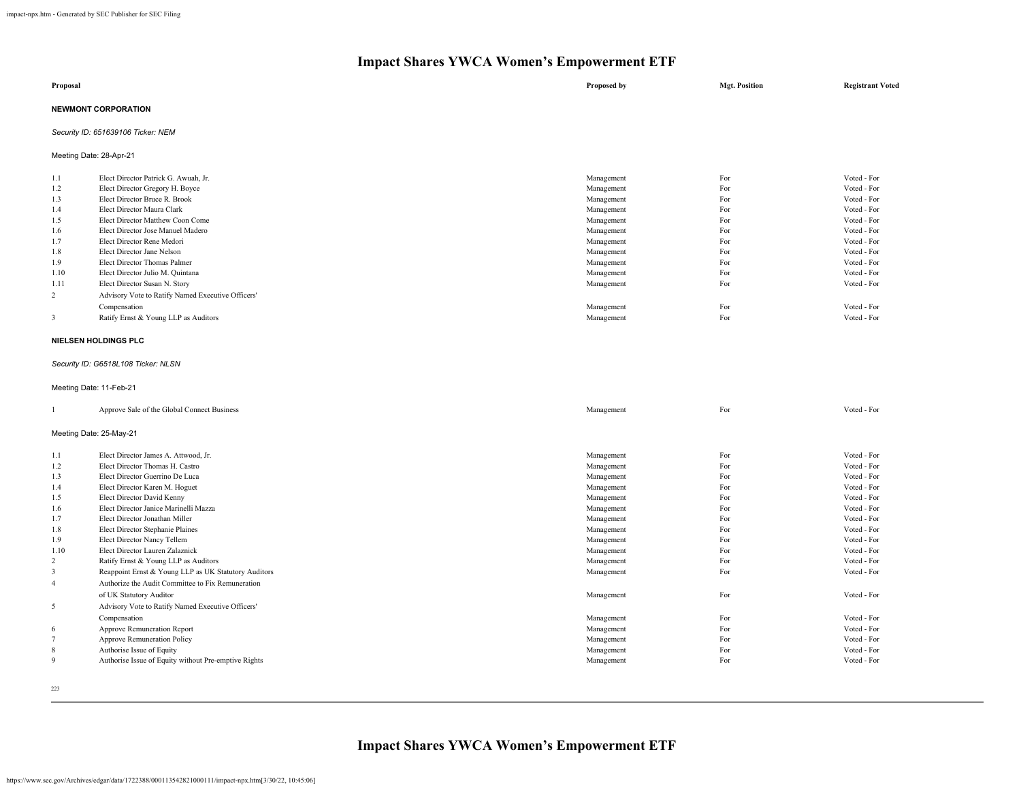|          | $\sim$                               | -           |                      |                         |
|----------|--------------------------------------|-------------|----------------------|-------------------------|
| Proposal |                                      | Proposed by | <b>Mgt. Position</b> | <b>Registrant Voted</b> |
|          | <b>NEWMONT CORPORATION</b>           |             |                      |                         |
|          | Security ID: 651639106 Ticker: NEM   |             |                      |                         |
|          | Meeting Date: 28-Apr-21              |             |                      |                         |
| 1.1      | Elect Director Patrick G. Awuah, Jr. | Management  | For                  | Voted - For             |
| 1.2      | Elect Director Gregory H. Boyce      | Management  | For                  | Voted - For             |
| 1.3      | Elect Director Bruce R. Brook        | Management  | For                  | Voted - For             |
| 1.4      | Elect Director Maura Clark           | Management  | For                  | Voted - For             |
| 1.5      | Elect Director Matthew Coon Come     | Management  | For                  | Voted - For             |
| 1.6      | Elect Director Jose Manuel Madero    | Management  | For                  | Voted - For             |

| 1.7  | Elect Director Rene Medori                        | Management | For | Voted - For |
|------|---------------------------------------------------|------------|-----|-------------|
| 1.8  | Elect Director Jane Nelson                        | Management | For | Voted - For |
| 1.9  | Elect Director Thomas Palmer                      | Management | For | Voted - For |
| 1.10 | Elect Director Julio M. Quintana                  | Management | For | Voted - For |
| 1.11 | Elect Director Susan N. Story                     | Management | For | Voted - For |
|      | Advisory Vote to Ratify Named Executive Officers' |            |     |             |
|      | Compensation                                      | Management | For | Voted - For |
|      | Ratify Ernst & Young LLP as Auditors              | Management | For | Voted - For |
|      |                                                   |            |     |             |

#### **NIELSEN HOLDINGS PLC**

#### *Security ID: G6518L108 Ticker: NLSN*

Meeting Date: 11-Feb-21

|                | Approve Sale of the Global Connect Business          | Management | For | Voted - For |
|----------------|------------------------------------------------------|------------|-----|-------------|
|                | Meeting Date: 25-May-21                              |            |     |             |
| 1.1            | Elect Director James A. Attwood, Jr.                 | Management | For | Voted - For |
| 1.2            | Elect Director Thomas H. Castro                      | Management | For | Voted - For |
| 1.3            | Elect Director Guerrino De Luca                      | Management | For | Voted - For |
| 1.4            | Elect Director Karen M. Hoguet                       | Management | For | Voted - For |
| 1.5            | Elect Director David Kenny                           | Management | For | Voted - For |
| 1.6            | Elect Director Janice Marinelli Mazza                | Management | For | Voted - For |
| 1.7            | Elect Director Jonathan Miller                       | Management | For | Voted - For |
| 1.8            | Elect Director Stephanie Plaines                     | Management | For | Voted - For |
| 1.9            | Elect Director Nancy Tellem                          | Management | For | Voted - For |
| 1.10           | Elect Director Lauren Zalaznick                      | Management | For | Voted - For |
| 2              | Ratify Ernst & Young LLP as Auditors                 | Management | For | Voted - For |
| 3              | Reappoint Ernst & Young LLP as UK Statutory Auditors | Management | For | Voted - For |
| $\overline{4}$ | Authorize the Audit Committee to Fix Remuneration    |            |     |             |
|                | of UK Statutory Auditor                              | Management | For | Voted - For |
| 5              | Advisory Vote to Ratify Named Executive Officers'    |            |     |             |
|                | Compensation                                         | Management | For | Voted - For |
| 6              | Approve Remuneration Report                          | Management | For | Voted - For |
| 7              | Approve Remuneration Policy                          | Management | For | Voted - For |
| 8              | Authorise Issue of Equity                            | Management | For | Voted - For |
| 9              | Authorise Issue of Equity without Pre-emptive Rights | Management | For | Voted - For |
|                |                                                      |            |     |             |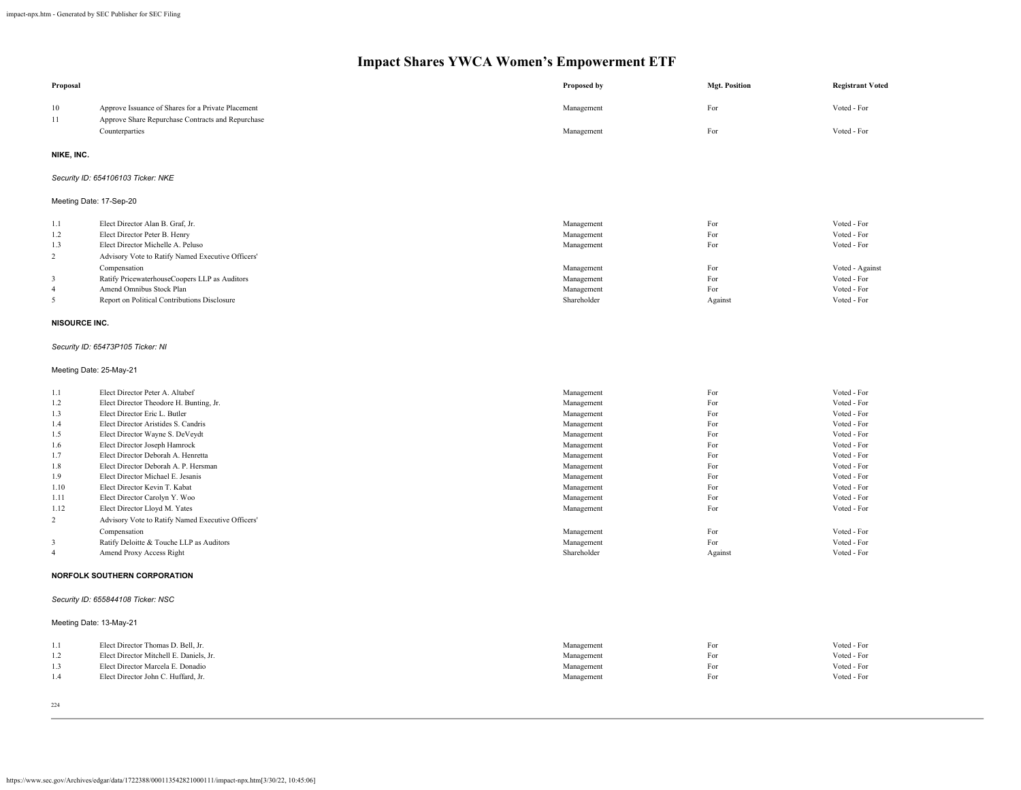| Proposal       |                                                                                                         | Proposed by              | <b>Mgt. Position</b> | <b>Registrant Voted</b>        |  |  |  |
|----------------|---------------------------------------------------------------------------------------------------------|--------------------------|----------------------|--------------------------------|--|--|--|
| 10<br>11       | Approve Issuance of Shares for a Private Placement<br>Approve Share Repurchase Contracts and Repurchase | Management               | For                  | Voted - For                    |  |  |  |
|                | Counterparties                                                                                          | Management               | For                  | Voted - For                    |  |  |  |
| NIKE, INC.     |                                                                                                         |                          |                      |                                |  |  |  |
|                | Security ID: 654106103 Ticker: NKE                                                                      |                          |                      |                                |  |  |  |
|                | Meeting Date: 17-Sep-20                                                                                 |                          |                      |                                |  |  |  |
| 1.1            | Elect Director Alan B. Graf, Jr.                                                                        | Management               | For                  | Voted - For                    |  |  |  |
| 1.2            | Elect Director Peter B. Henry                                                                           | Management               | For                  | Voted - For                    |  |  |  |
| 1.3            | Elect Director Michelle A. Peluso                                                                       | Management               | For                  | Voted - For                    |  |  |  |
| $\overline{2}$ | Advisory Vote to Ratify Named Executive Officers'                                                       |                          |                      |                                |  |  |  |
| 3              | Compensation<br>Ratify PricewaterhouseCoopers LLP as Auditors                                           | Management               | For<br>For           | Voted - Against<br>Voted - For |  |  |  |
| $\overline{4}$ | Amend Omnibus Stock Plan                                                                                | Management<br>Management | For                  | Voted - For                    |  |  |  |
| 5              | Report on Political Contributions Disclosure                                                            | Shareholder              | Against              | Voted - For                    |  |  |  |
| NISOURCE INC.  |                                                                                                         |                          |                      |                                |  |  |  |
|                |                                                                                                         |                          |                      |                                |  |  |  |
|                | Security ID: 65473P105 Ticker: NI                                                                       |                          |                      |                                |  |  |  |
|                | Meeting Date: 25-May-21                                                                                 |                          |                      |                                |  |  |  |
| 1.1            | Elect Director Peter A. Altabef                                                                         | Management               | For                  | Voted - For                    |  |  |  |
| 1.2            | Elect Director Theodore H. Bunting, Jr.                                                                 | Management               | For                  | Voted - For                    |  |  |  |
| 1.3            | Elect Director Eric L. Butler                                                                           | Management               | For                  | Voted - For                    |  |  |  |
| 1.4            | Elect Director Aristides S. Candris                                                                     | Management               | For                  | Voted - For                    |  |  |  |
| 1.5            | Elect Director Wayne S. DeVeydt                                                                         | Management               | For                  | Voted - For                    |  |  |  |
| 1.6            | Elect Director Joseph Hamrock                                                                           | Management               | For                  | Voted - For                    |  |  |  |
| 1.7            | Elect Director Deborah A. Henretta                                                                      | Management               | For                  | Voted - For                    |  |  |  |
| 1.8            | Elect Director Deborah A. P. Hersman                                                                    | Management               | For<br>For           | Voted - For<br>Voted - For     |  |  |  |
| 1.9<br>1.10    | Elect Director Michael E. Jesanis<br>Elect Director Kevin T. Kabat                                      | Management               | For                  | Voted - For                    |  |  |  |
| 1.11           | Elect Director Carolyn Y. Woo                                                                           | Management<br>Management | For                  | Voted - For                    |  |  |  |
| 1.12           | Elect Director Lloyd M. Yates                                                                           | Management               | For                  | Voted - For                    |  |  |  |
| $\overline{c}$ | Advisory Vote to Ratify Named Executive Officers'                                                       |                          |                      |                                |  |  |  |
|                | Compensation                                                                                            | Management               | For                  | Voted - For                    |  |  |  |
| 3              | Ratify Deloitte & Touche LLP as Auditors                                                                | Management               | For                  | Voted - For                    |  |  |  |
| $\overline{4}$ | Amend Proxy Access Right                                                                                | Shareholder              | Against              | Voted - For                    |  |  |  |
|                | NORFOLK SOUTHERN CORPORATION                                                                            |                          |                      |                                |  |  |  |
|                | Security ID: 655844108 Ticker: NSC                                                                      |                          |                      |                                |  |  |  |
|                | Meeting Date: 13-May-21                                                                                 |                          |                      |                                |  |  |  |
| 1.1            | Elect Director Thomas D. Bell, Jr.                                                                      | Management               | For                  | Voted - For                    |  |  |  |
| 1.2            | Elect Director Mitchell E. Daniels, Jr.                                                                 | Management               | For                  | Voted - For                    |  |  |  |
| 1.3            | Elect Director Marcela E. Donadio                                                                       | Management               | For                  | Voted - For                    |  |  |  |
| 1.4            | Elect Director John C. Huffard, Jr.                                                                     | Management               | For                  | Voted - For                    |  |  |  |
|                |                                                                                                         |                          |                      |                                |  |  |  |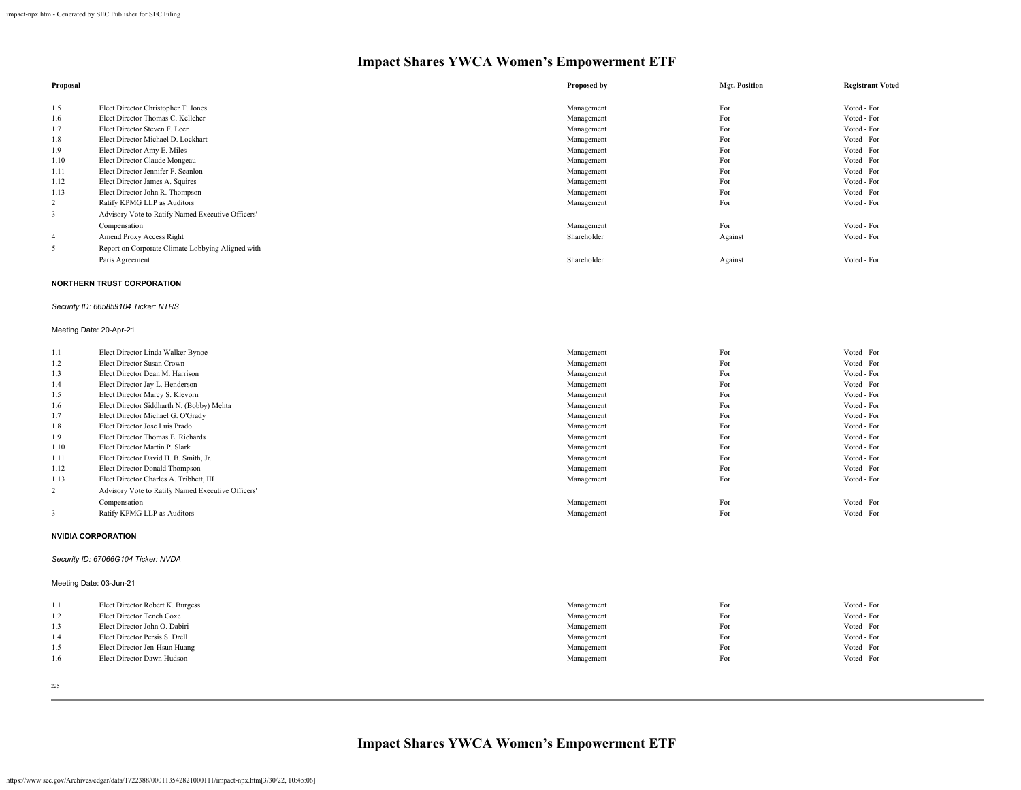| Proposal |                                                   | Proposed by | <b>Mgt. Position</b> | <b>Registrant Voted</b> |
|----------|---------------------------------------------------|-------------|----------------------|-------------------------|
| 1.5      | Elect Director Christopher T. Jones               | Management  | For                  | Voted - For             |
| 1.6      | Elect Director Thomas C. Kelleher                 | Management  | For                  | Voted - For             |
| 1.7      | Elect Director Steven F. Leer                     | Management  | For                  | Voted - For             |
| 1.8      | Elect Director Michael D. Lockhart                | Management  | For                  | Voted - For             |
| 1.9      | Elect Director Amy E. Miles                       | Management  | For                  | Voted - For             |
| 1.10     | Elect Director Claude Mongeau                     | Management  | For                  | Voted - For             |
| 1.11     | Elect Director Jennifer F. Scanlon                | Management  | For                  | Voted - For             |
| 1.12     | Elect Director James A. Squires                   | Management  | For                  | Voted - For             |
| 1.13     | Elect Director John R. Thompson                   | Management  | For                  | Voted - For             |
| 2        | Ratify KPMG LLP as Auditors                       | Management  | For                  | Voted - For             |
| 3        | Advisory Vote to Ratify Named Executive Officers' |             |                      |                         |
|          | Compensation                                      | Management  | For                  | Voted - For             |
| 4        | Amend Proxy Access Right                          | Shareholder | Against              | Voted - For             |
| 5        | Report on Corporate Climate Lobbying Aligned with |             |                      |                         |
|          | Paris Agreement                                   | Shareholder | Against              | Voted - For             |

#### **NORTHERN TRUST CORPORATION**

#### *Security ID: 665859104 Ticker: NTRS*

# Meeting Date: 20-Apr-21

| 1.1  | Elect Director Linda Walker Bynoe                 | Management | For | Voted - For |
|------|---------------------------------------------------|------------|-----|-------------|
| 1.2  | Elect Director Susan Crown                        | Management | For | Voted - For |
| 1.3  | Elect Director Dean M. Harrison                   | Management | For | Voted - For |
| 1.4  | Elect Director Jay L. Henderson                   | Management | For | Voted - For |
| 1.5  | Elect Director Marcy S. Klevorn                   | Management | For | Voted - For |
| 1.6  | Elect Director Siddharth N. (Bobby) Mehta         | Management | For | Voted - For |
| 1.7  | Elect Director Michael G. O'Grady                 | Management | For | Voted - For |
| 1.8  | Elect Director Jose Luis Prado                    | Management | For | Voted - For |
| 1.9  | Elect Director Thomas E. Richards                 | Management | For | Voted - For |
| 1.10 | Elect Director Martin P. Slark                    | Management | For | Voted - For |
| 1.11 | Elect Director David H. B. Smith, Jr.             | Management | For | Voted - For |
| 1.12 | Elect Director Donald Thompson                    | Management | For | Voted - For |
| 1.13 | Elect Director Charles A. Tribbett, III           | Management | For | Voted - For |
| 2    | Advisory Vote to Ratify Named Executive Officers' |            |     |             |
|      | Compensation                                      | Management | For | Voted - For |
| 3    | Ratify KPMG LLP as Auditors                       | Management | For | Voted - For |
|      |                                                   |            |     |             |

#### **NVIDIA CORPORATION**

# *Security ID: 67066G104 Ticker: NVDA*

# Meeting Date: 03-Jun-21

| 1.1 | Elect Director Robert K. Burgess | Management | For | Voted - For |
|-----|----------------------------------|------------|-----|-------------|
| 1.2 | Elect Director Tench Coxe        | Management | For | Voted - For |
| 1.3 | Elect Director John O. Dabiri    | Management | For | Voted - For |
| 1.4 | Elect Director Persis S. Drell   | Management | For | Voted - For |
| 1.5 | Elect Director Jen-Hsun Huang    | Management | For | Voted - For |
| 1.6 | Elect Director Dawn Hudson       | Management | For | Voted - For |
|     |                                  |            |     |             |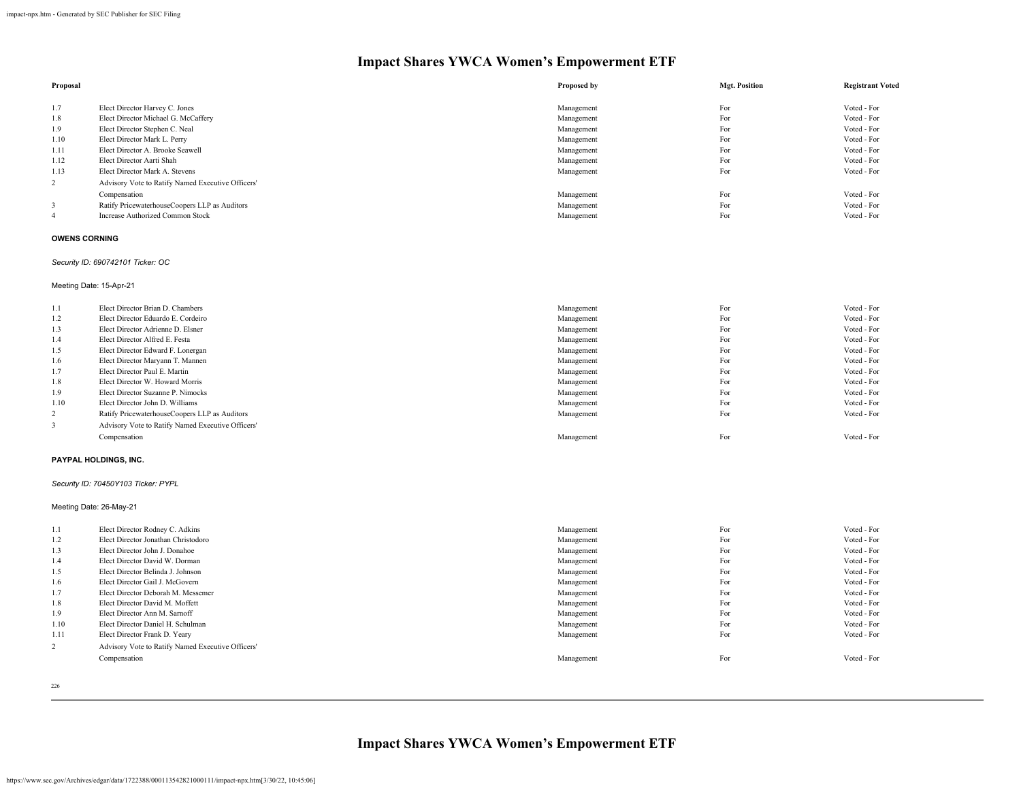| Proposal |                                                   | Proposed by | <b>Mgt. Position</b> | <b>Registrant Voted</b> |
|----------|---------------------------------------------------|-------------|----------------------|-------------------------|
|          |                                                   |             |                      |                         |
| 1.7      | Elect Director Harvey C. Jones                    | Management  | For                  | Voted - For             |
| 1.8      | Elect Director Michael G. McCaffery               | Management  | For                  | Voted - For             |
| 1.9      | Elect Director Stephen C. Neal                    | Management  | For                  | Voted - For             |
| 1.10     | Elect Director Mark L. Perry                      | Management  | For                  | Voted - For             |
| 1.11     | Elect Director A. Brooke Seawell                  | Management  | For                  | Voted - For             |
| 1.12     | Elect Director Aarti Shah                         | Management  | For                  | Voted - For             |
| 1.13     | Elect Director Mark A. Stevens                    | Management  | For                  | Voted - For             |
| 2        | Advisory Vote to Ratify Named Executive Officers' |             |                      |                         |
|          | Compensation                                      | Management  | For                  | Voted - For             |
|          | Ratify PricewaterhouseCoopers LLP as Auditors     | Management  | For                  | Voted - For             |
|          | <b>Increase Authorized Common Stock</b>           | Management  | For                  | Voted - For             |

#### **OWENS CORNING**

# *Security ID: 690742101 Ticker: OC*

Meeting Date: 15-Apr-21

| 1.1  | Elect Director Brian D. Chambers                  | Management | For | Voted - For |
|------|---------------------------------------------------|------------|-----|-------------|
| 1.2  | Elect Director Eduardo E. Cordeiro                | Management | For | Voted - For |
| 1.3  | Elect Director Adrienne D. Elsner                 | Management | For | Voted - For |
| 1.4  | Elect Director Alfred E. Festa                    | Management | For | Voted - For |
| 1.5  | Elect Director Edward F. Lonergan                 | Management | For | Voted - For |
| 1.6  | Elect Director Maryann T. Mannen                  | Management | For | Voted - For |
| 1.7  | Elect Director Paul E. Martin                     | Management | For | Voted - For |
| 1.8  | Elect Director W. Howard Morris                   | Management | For | Voted - For |
| 1.9  | Elect Director Suzanne P. Nimocks                 | Management | For | Voted - For |
| 1.10 | Elect Director John D. Williams                   | Management | For | Voted - For |
| 2    | Ratify PricewaterhouseCoopers LLP as Auditors     | Management | For | Voted - For |
|      | Advisory Vote to Ratify Named Executive Officers' |            |     |             |
|      | Compensation                                      | Management | For | Voted - For |

#### **PAYPAL HOLDINGS, INC.**

#### *Security ID: 70450Y103 Ticker: PYPL*

Meeting Date: 26-May-21

| 1.1            | Elect Director Rodney C. Adkins                   |            | For | Voted - For |
|----------------|---------------------------------------------------|------------|-----|-------------|
|                |                                                   | Management |     |             |
| 1.2            | Elect Director Jonathan Christodoro               | Management | For | Voted - For |
| 1.3            | Elect Director John J. Donahoe                    | Management | For | Voted - For |
| 1.4            | Elect Director David W. Dorman                    | Management | For | Voted - For |
| 1.5            | Elect Director Belinda J. Johnson                 | Management | For | Voted - For |
| 1.6            | Elect Director Gail J. McGovern                   | Management | For | Voted - For |
| 1.7            | Elect Director Deborah M. Messemer                | Management | For | Voted - For |
| 1.8            | Elect Director David M. Moffett                   | Management | For | Voted - For |
| 1.9            | Elect Director Ann M. Sarnoff                     | Management | For | Voted - For |
| 1.10           | Elect Director Daniel H. Schulman                 | Management | For | Voted - For |
| 1.11           | Elect Director Frank D. Yeary                     | Management | For | Voted - For |
| $\overline{2}$ | Advisory Vote to Ratify Named Executive Officers' |            |     |             |
|                | Compensation                                      | Management | For | Voted - For |
|                |                                                   |            |     |             |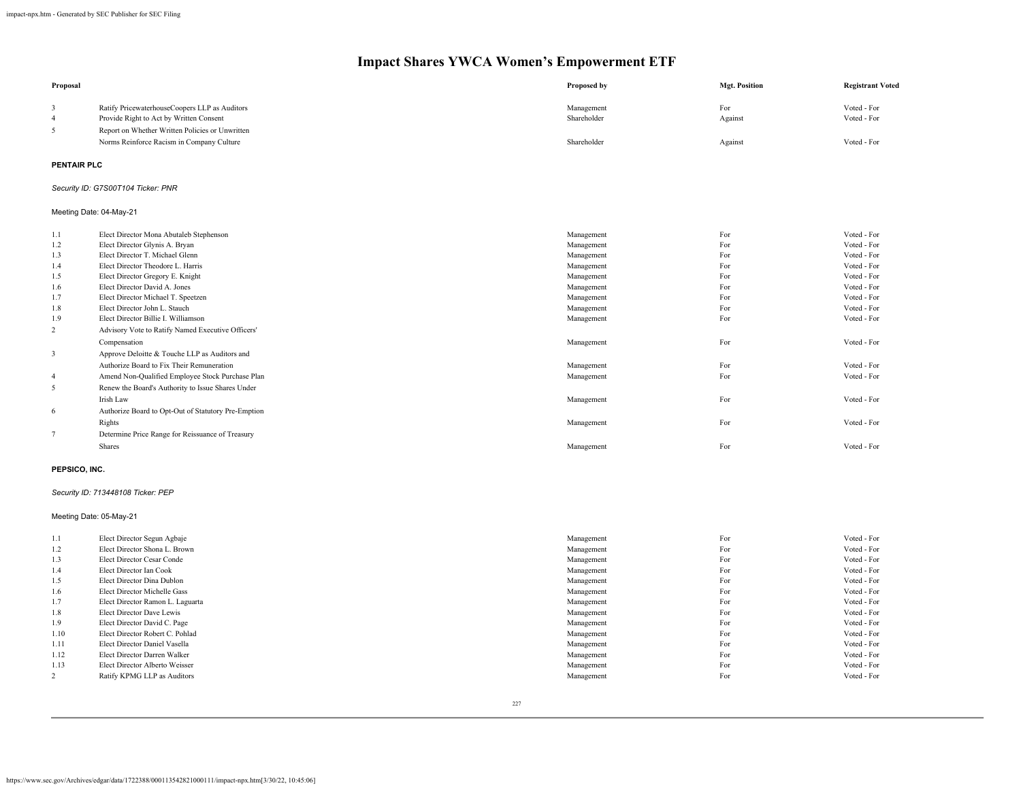| Proposal                 |                                                                                                                                             | <b>Proposed by</b>        | <b>Mgt. Position</b> | <b>Registrant Voted</b>    |
|--------------------------|---------------------------------------------------------------------------------------------------------------------------------------------|---------------------------|----------------------|----------------------------|
| 3<br>$\overline{4}$<br>5 | Ratify PricewaterhouseCoopers LLP as Auditors<br>Provide Right to Act by Written Consent<br>Report on Whether Written Policies or Unwritten | Management<br>Shareholder | For<br>Against       | Voted - For<br>Voted - For |
|                          | Norms Reinforce Racism in Company Culture                                                                                                   | Shareholder               | Against              | Voted - For                |
| <b>PENTAIR PLC</b>       |                                                                                                                                             |                           |                      |                            |
|                          | Security ID: G7S00T104 Ticker: PNR                                                                                                          |                           |                      |                            |
|                          | Meeting Date: 04-May-21                                                                                                                     |                           |                      |                            |
| 1.1                      | Elect Director Mona Abutaleb Stephenson                                                                                                     | Management                | For                  | Voted - For                |
| 1.2                      | Elect Director Glynis A. Bryan                                                                                                              | Management                | For                  | Voted - For                |
| 1.3                      | Elect Director T. Michael Glenn                                                                                                             | Management                | For                  | Voted - For                |
| 1.4                      | Elect Director Theodore L. Harris                                                                                                           | Management                | For                  | Voted - For                |
| 1.5                      | Elect Director Gregory E. Knight                                                                                                            | Management                | For                  | Voted - For                |
| 1.6                      | Elect Director David A. Jones                                                                                                               | Management                | For                  | Voted - For                |
| 1.7                      | Elect Director Michael T. Speetzen                                                                                                          | Management                | For                  | Voted - For                |
| 1.8                      | Elect Director John L. Stauch                                                                                                               | Management                | For                  | Voted - For                |
| 1.9                      | Elect Director Billie I. Williamson                                                                                                         | Management                | For                  | Voted - For                |
| $\overline{c}$           | Advisory Vote to Ratify Named Executive Officers'                                                                                           |                           |                      |                            |
|                          | Compensation                                                                                                                                | Management                | For                  | Voted - For                |
| $\overline{3}$           | Approve Deloitte & Touche LLP as Auditors and                                                                                               |                           |                      |                            |
|                          | Authorize Board to Fix Their Remuneration                                                                                                   | Management                | For                  | Voted - For                |
| $\overline{4}$           | Amend Non-Qualified Employee Stock Purchase Plan                                                                                            | Management                | For                  | Voted - For                |
| $\sqrt{5}$               | Renew the Board's Authority to Issue Shares Under                                                                                           |                           |                      |                            |
|                          | Irish Law                                                                                                                                   | Management                | For                  | Voted - For                |
|                          |                                                                                                                                             |                           |                      |                            |
| 6                        | Authorize Board to Opt-Out of Statutory Pre-Emption                                                                                         |                           |                      |                            |
|                          | Rights                                                                                                                                      | Management                | For                  | Voted - For                |
| $\overline{7}$           | Determine Price Range for Reissuance of Treasury                                                                                            |                           |                      |                            |
|                          | Shares                                                                                                                                      | Management                | For                  | Voted - For                |
| PEPSICO, INC.            |                                                                                                                                             |                           |                      |                            |
|                          | Security ID: 713448108 Ticker: PEP                                                                                                          |                           |                      |                            |
|                          | Meeting Date: 05-May-21                                                                                                                     |                           |                      |                            |
| 1.1                      | Elect Director Segun Agbaje                                                                                                                 | Management                | For                  | Voted - For                |
| 1.2                      | Elect Director Shona L. Brown                                                                                                               | Management                | For                  | Voted - For                |
| 1.3                      | Elect Director Cesar Conde                                                                                                                  | Management                | For                  | Voted - For                |
| 1.4                      | Elect Director Ian Cook                                                                                                                     | Management                | For                  | Voted - For                |
| 1.5                      | Elect Director Dina Dublon                                                                                                                  | Management                | For                  | Voted - For                |
| 1.6                      | Elect Director Michelle Gass                                                                                                                | Management                | For                  | Voted - For                |
| 1.7                      | Elect Director Ramon L. Laguarta                                                                                                            | Management                | For                  | Voted - For                |
| 1.8                      | Elect Director Dave Lewis                                                                                                                   | Management                | For                  | Voted - For                |
| 1.9                      | Elect Director David C. Page                                                                                                                | Management                | For                  | Voted - For                |
| 1.10                     | Elect Director Robert C. Pohlad                                                                                                             | Management                | For                  | Voted - For                |
| 1.11                     | Elect Director Daniel Vasella                                                                                                               | Management                | For                  | Voted - For                |
| 1.12                     | Elect Director Darren Walker                                                                                                                | Management                | For                  | Voted - For                |
| 1.13                     | Elect Director Alberto Weisser                                                                                                              | Management                | For                  | Voted - For                |
| $\overline{c}$           | Ratify KPMG LLP as Auditors                                                                                                                 | Management                | For                  | Voted - For                |
|                          |                                                                                                                                             |                           |                      |                            |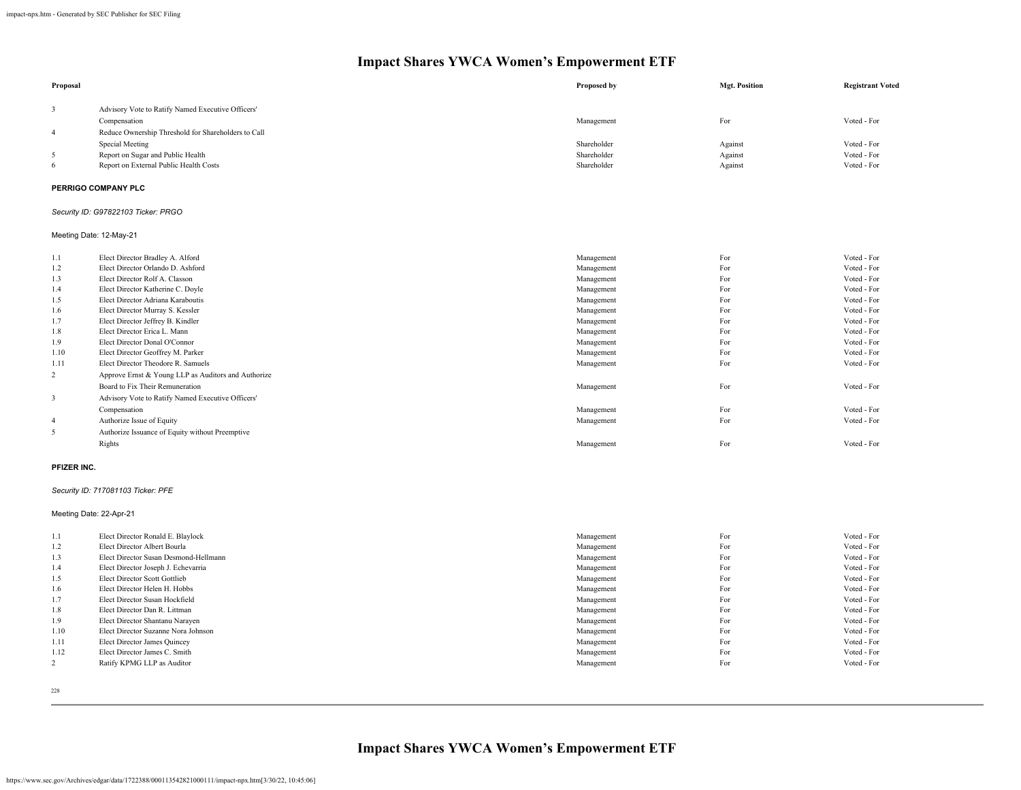| Proposal       |                                                     | Proposed by | <b>Mgt. Position</b> | <b>Registrant Voted</b> |
|----------------|-----------------------------------------------------|-------------|----------------------|-------------------------|
| 3              | Advisory Vote to Ratify Named Executive Officers'   |             |                      |                         |
|                | Compensation                                        | Management  | For                  | Voted - For             |
| $\overline{4}$ | Reduce Ownership Threshold for Shareholders to Call |             |                      |                         |
|                | Special Meeting                                     | Shareholder | Against              | Voted - For             |
| 5              | Report on Sugar and Public Health                   | Shareholder | Against              | Voted - For             |
| 6              | Report on External Public Health Costs              | Shareholder | Against              | Voted - For             |
|                | PERRIGO COMPANY PLC                                 |             |                      |                         |
|                | Security ID: G97822103 Ticker: PRGO                 |             |                      |                         |
|                | Meeting Date: 12-May-21                             |             |                      |                         |
| 1.1            | Elect Director Bradley A. Alford                    | Management  | For                  | Voted - For             |
| 1.2            | Elect Director Orlando D. Ashford                   | Management  | For                  | Voted - For             |
| 1.3            | Elect Director Rolf A. Classon                      | Management  | For                  | Voted - For             |
| 1.4            | Elect Director Katherine C. Doyle                   | Management  | For                  | Voted - For             |
| 1.5            | Elect Director Adriana Karaboutis                   | Management  | For                  | Voted - For             |
| 1.6            | Elect Director Murray S. Kessler                    | Management  | For                  | Voted - For             |
| 1.7            | Elect Director Jeffrey B. Kindler                   | Management  | For                  | Voted - For             |
| 1.8            | Elect Director Erica L. Mann                        | Management  | For                  | Voted - For             |
| 1.9            | Elect Director Donal O'Connor                       | Management  | For                  | Voted - For             |
| 1.10           | Elect Director Geoffrey M. Parker                   | Management  | For                  | Voted - For             |
| 1.11           | Elect Director Theodore R. Samuels                  | Management  | For                  | Voted - For             |
| 2              | Approve Ernst & Young LLP as Auditors and Authorize |             |                      |                         |
|                | Board to Fix Their Remuneration                     | Management  | For                  | Voted - For             |
| 3              | Advisory Vote to Ratify Named Executive Officers'   |             |                      |                         |
|                | Compensation                                        | Management  | For                  | Voted - For             |
| $\overline{4}$ | Authorize Issue of Equity                           | Management  | For                  | Voted - For             |
| 5              | Authorize Issuance of Equity without Preemptive     |             |                      |                         |
|                | Rights                                              | Management  | For                  | Voted - For             |
|                |                                                     |             |                      |                         |

#### **PFIZER INC.**

# *Security ID: 717081103 Ticker: PFE*

Meeting Date: 22-Apr-21

| 1.1  | Elect Director Ronald E. Blaylock     | Management | For | Voted - For |
|------|---------------------------------------|------------|-----|-------------|
| 1.2  | Elect Director Albert Bourla          | Management | For | Voted - For |
| 1.3  | Elect Director Susan Desmond-Hellmann | Management | For | Voted - For |
| 1.4  | Elect Director Joseph J. Echevarria   | Management | For | Voted - For |
| 1.5  | Elect Director Scott Gottlieb         | Management | For | Voted - For |
| 1.6  | Elect Director Helen H. Hobbs         | Management | For | Voted - For |
| 1.7  | Elect Director Susan Hockfield        | Management | For | Voted - For |
| 1.8  | Elect Director Dan R. Littman         | Management | For | Voted - For |
| 1.9  | Elect Director Shantanu Narayen       | Management | For | Voted - For |
| 1.10 | Elect Director Suzanne Nora Johnson   | Management | For | Voted - For |
| 1.11 | Elect Director James Quincey          | Management | For | Voted - For |
| 1.12 | Elect Director James C. Smith         | Management | For | Voted - For |
|      | Ratify KPMG LLP as Auditor            | Management | For | Voted - For |
|      |                                       |            |     |             |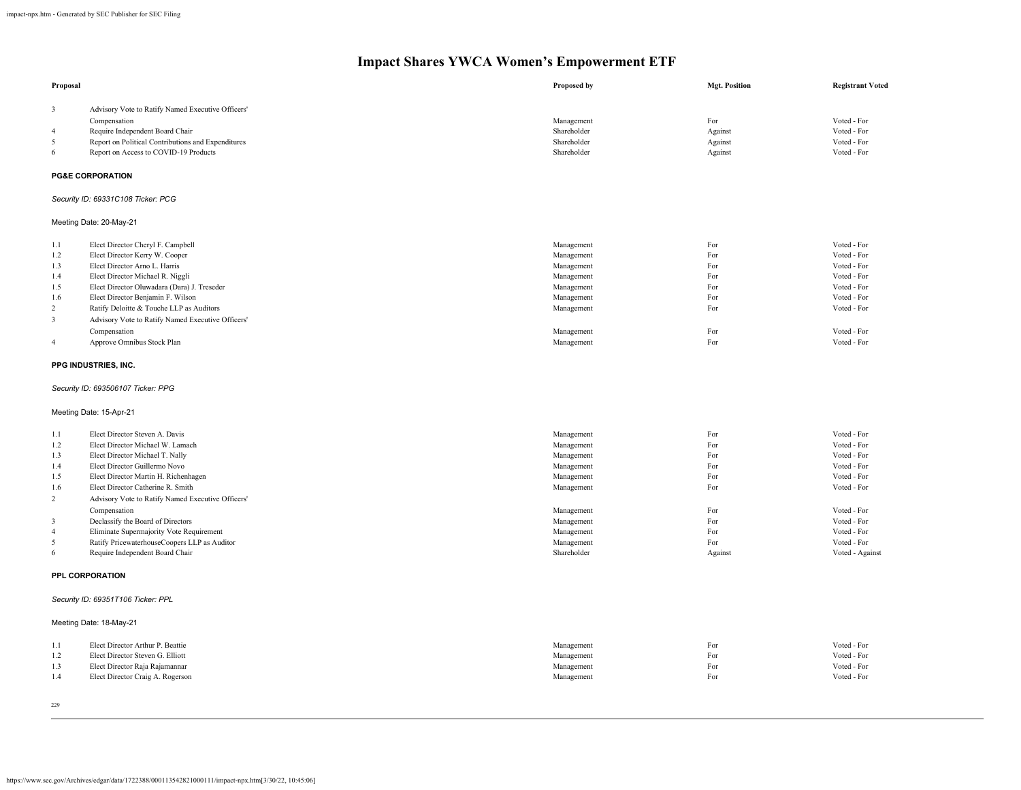| Proposal                |                                                    | Proposed by | <b>Mgt. Position</b> | <b>Registrant Voted</b> |
|-------------------------|----------------------------------------------------|-------------|----------------------|-------------------------|
| 3                       | Advisory Vote to Ratify Named Executive Officers'  |             |                      |                         |
|                         | Compensation                                       | Management  | For                  | Voted - For             |
| 4                       | Require Independent Board Chair                    | Shareholder | Against              | Voted - For             |
| 5                       | Report on Political Contributions and Expenditures | Shareholder | Against              | Voted - For             |
| 6                       | Report on Access to COVID-19 Products              | Shareholder | Against              | Voted - For             |
|                         | <b>PG&amp;E CORPORATION</b>                        |             |                      |                         |
|                         | Security ID: 69331C108 Ticker: PCG                 |             |                      |                         |
|                         | Meeting Date: 20-May-21                            |             |                      |                         |
| 1.1                     | Elect Director Cheryl F. Campbell                  | Management  | For                  | Voted - For             |
| 1.2                     | Elect Director Kerry W. Cooper                     | Management  | For                  | Voted - For             |
| 1.3                     | Elect Director Arno L. Harris                      | Management  | For                  | Voted - For             |
| 1.4                     | Elect Director Michael R. Niggli                   | Management  | For                  | Voted - For             |
| 1.5                     | Elect Director Oluwadara (Dara) J. Treseder        | Management  | For                  | Voted - For             |
| 1.6                     | Elect Director Benjamin F. Wilson                  | Management  | For                  | Voted - For             |
| $\overline{\mathbf{c}}$ | Ratify Deloitte & Touche LLP as Auditors           | Management  | For                  | Voted - For             |
| 3                       | Advisory Vote to Ratify Named Executive Officers'  |             |                      |                         |
|                         | Compensation                                       | Management  | For                  | Voted - For             |
| 4                       | Approve Omnibus Stock Plan                         | Management  | For                  | Voted - For             |
|                         | PPG INDUSTRIES, INC.                               |             |                      |                         |
|                         | Security ID: 693506107 Ticker: PPG                 |             |                      |                         |
|                         | Meeting Date: 15-Apr-21                            |             |                      |                         |
| 1.1                     | Elect Director Steven A. Davis                     | Management  | For                  | Voted - For             |
| 1.2                     | Elect Director Michael W. Lamach                   | Management  | For                  | Voted - For             |
| 1.3                     | Elect Director Michael T. Nally                    | Management  | For                  | Voted - For             |
| 1.4                     | Elect Director Guillermo Novo                      | Management  | For                  | Voted - For             |
| 1.5                     | Elect Director Martin H. Richenhagen               | Management  | For                  | Voted - For             |
| 1.6                     | Elect Director Catherine R. Smith                  | Management  | For                  | Voted - For             |
| $\overline{\mathbf{c}}$ | Advisory Vote to Ratify Named Executive Officers'  |             |                      |                         |
|                         | Compensation                                       | Management  | For                  | Voted - For             |
| 3                       | Declassify the Board of Directors                  | Management  | For                  | Voted - For             |
| 4                       | Eliminate Supermajority Vote Requirement           | Management  | For                  | Voted - For             |
| 5                       | Ratify PricewaterhouseCoopers LLP as Auditor       | Management  | For                  | Voted - For             |
| 6                       | Require Independent Board Chair                    | Shareholder | Against              | Voted - Against         |
|                         | PPL CORPORATION                                    |             |                      |                         |
|                         | Security ID: 69351T106 Ticker: PPL                 |             |                      |                         |
|                         | Meeting Date: 18-May-21                            |             |                      |                         |
| 1.1                     | Elect Director Arthur P. Beattie                   | Management  | For                  | Voted - For             |
| 1.2                     | Elect Director Steven G. Elliott                   | Management  | For                  | Voted - For             |
| 1.3                     | Elect Director Raja Rajamannar                     | Management  | For                  | Voted - For             |
| 1.4                     | Elect Director Craig A. Rogerson                   | Management  | For                  | Voted - For             |
|                         |                                                    |             |                      |                         |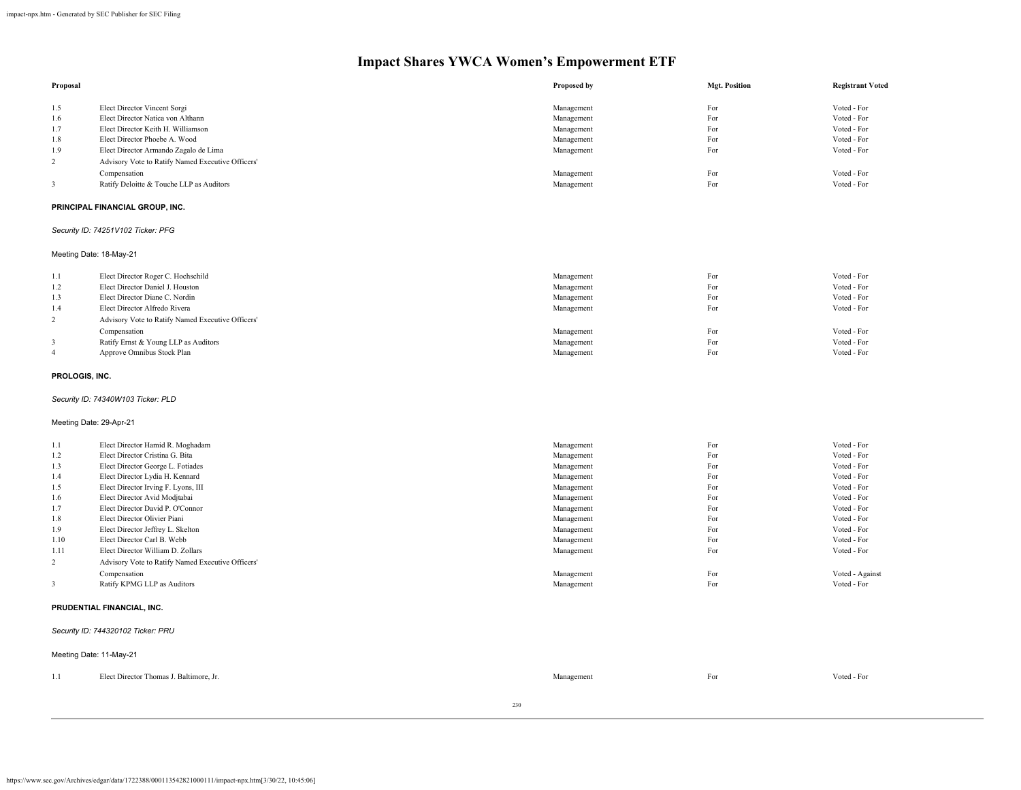| Proposal                     |                                                   | Proposed by | <b>Mgt. Position</b> | <b>Registrant Voted</b> |
|------------------------------|---------------------------------------------------|-------------|----------------------|-------------------------|
| 1.5                          | Elect Director Vincent Sorgi                      | Management  | For                  | Voted - For             |
| 1.6                          | Elect Director Natica von Althann                 | Management  | For                  | Voted - For             |
| 1.7                          | Elect Director Keith H. Williamson                | Management  | For                  | Voted - For             |
| 1.8                          | Elect Director Phoebe A. Wood                     | Management  | For                  | Voted - For             |
| 1.9                          | Elect Director Armando Zagalo de Lima             | Management  | For                  | Voted - For             |
| $\sqrt{2}$                   | Advisory Vote to Ratify Named Executive Officers' |             |                      |                         |
|                              |                                                   |             |                      |                         |
|                              | Compensation                                      | Management  | For                  | Voted - For             |
| 3                            | Ratify Deloitte & Touche LLP as Auditors          | Management  | For                  | Voted - For             |
|                              | PRINCIPAL FINANCIAL GROUP, INC.                   |             |                      |                         |
|                              | Security ID: 74251V102 Ticker: PFG                |             |                      |                         |
|                              | Meeting Date: 18-May-21                           |             |                      |                         |
| 1.1                          | Elect Director Roger C. Hochschild                | Management  | For                  | Voted - For             |
| 1.2                          | Elect Director Daniel J. Houston                  | Management  | For                  | Voted - For             |
| 1.3                          | Elect Director Diane C. Nordin                    | Management  | For                  | Voted - For             |
| 1.4                          | Elect Director Alfredo Rivera                     | Management  | For                  | Voted - For             |
| $\sqrt{2}$                   | Advisory Vote to Ratify Named Executive Officers' |             |                      |                         |
|                              |                                                   |             |                      | Voted - For             |
|                              | Compensation                                      | Management  | For                  |                         |
| 3<br>$\overline{\mathbf{4}}$ | Ratify Ernst & Young LLP as Auditors              | Management  | For                  | Voted - For             |
|                              | Approve Omnibus Stock Plan                        | Management  | For                  | Voted - For             |
| PROLOGIS, INC.               |                                                   |             |                      |                         |
|                              | Security ID: 74340W103 Ticker: PLD                |             |                      |                         |
| Meeting Date: 29-Apr-21      |                                                   |             |                      |                         |
| 1.1                          | Elect Director Hamid R. Moghadam                  | Management  | For                  | Voted - For             |
| 1.2                          | Elect Director Cristina G. Bita                   | Management  | For                  | Voted - For             |
| 1.3                          | Elect Director George L. Fotiades                 | Management  | For                  | Voted - For             |
| 1.4                          | Elect Director Lydia H. Kennard                   | Management  | For                  | Voted - For             |
| 1.5                          | Elect Director Irving F. Lyons, III               | Management  | For                  | Voted - For             |
| 1.6                          | Elect Director Avid Modjtabai                     | Management  | For                  | Voted - For             |
| 1.7                          | Elect Director David P. O'Connor                  | Management  | For                  | Voted - For             |
| 1.8                          | Elect Director Olivier Piani                      | Management  | For                  | Voted - For             |
| 1.9                          | Elect Director Jeffrey L. Skelton                 | Management  | For                  | Voted - For             |
| 1.10                         | Elect Director Carl B. Webb                       | Management  | For                  | Voted - For             |
| 1.11                         | Elect Director William D. Zollars                 | Management  | For                  | Voted - For             |
| $\overline{2}$               |                                                   |             |                      |                         |
|                              | Advisory Vote to Ratify Named Executive Officers' |             |                      |                         |
|                              | Compensation                                      | Management  | For                  | Voted - Against         |
| 3                            | Ratify KPMG LLP as Auditors                       | Management  | For                  | Voted - For             |
|                              | PRUDENTIAL FINANCIAL, INC.                        |             |                      |                         |
|                              | Security ID: 744320102 Ticker: PRU                |             |                      |                         |
|                              | Meeting Date: 11-May-21                           |             |                      |                         |
| 1.1                          | Elect Director Thomas J. Baltimore, Jr.           | Management  | For                  | Voted - For             |
|                              |                                                   |             |                      |                         |

230

https://www.sec.gov/Archives/edgar/data/1722388/000113542821000111/impact-npx.htm[3/30/22, 10:45:06]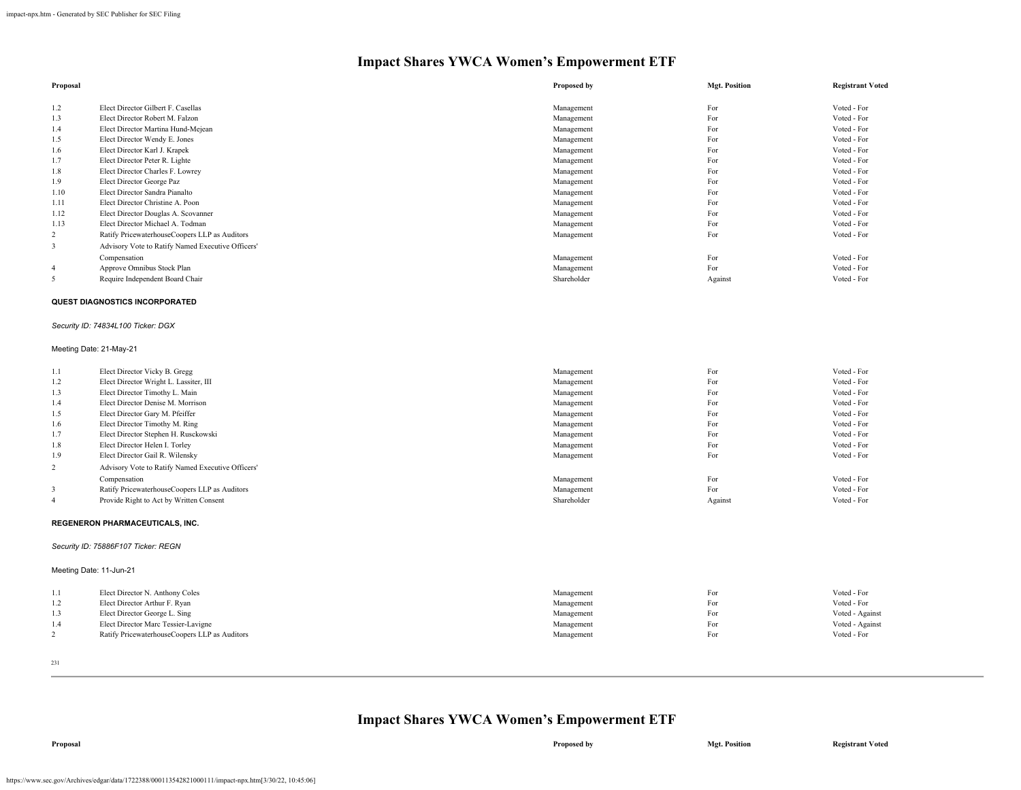| Proposal                |                                                               | Proposed by | <b>Mgt. Position</b> | <b>Registrant Voted</b> |
|-------------------------|---------------------------------------------------------------|-------------|----------------------|-------------------------|
| 1.2                     | Elect Director Gilbert F. Casellas                            | Management  | For                  | Voted - For             |
| 1.3                     | Elect Director Robert M. Falzon                               | Management  | For                  | Voted - For             |
| 1.4                     | Elect Director Martina Hund-Mejean                            | Management  | For                  | Voted - For             |
| 1.5                     | Elect Director Wendy E. Jones                                 | Management  | For                  | Voted - For             |
| 1.6                     | Elect Director Karl J. Krapek                                 | Management  | For                  | Voted - For             |
| 1.7                     | Elect Director Peter R. Lighte                                | Management  | For                  | Voted - For             |
| 1.8                     | Elect Director Charles F. Lowrey                              | Management  | For                  | Voted - For             |
| 1.9                     | Elect Director George Paz                                     | Management  | For                  | Voted - For             |
| 1.10                    | Elect Director Sandra Pianalto                                | Management  | For                  | Voted - For             |
| 1.11                    | Elect Director Christine A. Poon                              | Management  | For                  | Voted - For             |
| 1.12                    | Elect Director Douglas A. Scovanner                           | Management  | For                  | Voted - For             |
| 1.13                    | Elect Director Michael A. Todman                              | Management  | For                  | Voted - For             |
| $\overline{c}$          | Ratify PricewaterhouseCoopers LLP as Auditors                 | Management  | For                  | Voted - For             |
| 3                       | Advisory Vote to Ratify Named Executive Officers'             |             |                      |                         |
|                         | Compensation                                                  | Management  | For                  | Voted - For             |
| 4                       | Approve Omnibus Stock Plan                                    | Management  | For                  | Voted - For             |
| 5                       | Require Independent Board Chair                               | Shareholder | Against              | Voted - For             |
|                         | Security ID: 74834L100 Ticker: DGX<br>Meeting Date: 21-May-21 |             |                      |                         |
| 1.1                     | Elect Director Vicky B. Gregg                                 | Management  | For                  | Voted - For             |
| 1.2                     | Elect Director Wright L. Lassiter, III                        | Management  | For                  | Voted - For             |
| 1.3                     | Elect Director Timothy L. Main                                | Management  | For                  | Voted - For             |
| 1.4                     | Elect Director Denise M. Morrison                             | Management  | For                  | Voted - For             |
| 1.5                     | Elect Director Gary M. Pfeiffer                               | Management  | For                  | Voted - For             |
| 1.6                     | Elect Director Timothy M. Ring                                | Management  | For                  | Voted - For             |
| 1.7                     | Elect Director Stephen H. Rusckowski                          | Management  | For                  | Voted - For             |
| 1.8                     | Elect Director Helen I. Torley                                | Management  | For                  | Voted - For             |
| 1.9                     | Elect Director Gail R. Wilensky                               | Management  | For                  | Voted - For             |
| $\overline{2}$          | Advisory Vote to Ratify Named Executive Officers'             |             |                      |                         |
|                         | Compensation                                                  | Management  | For                  | Voted - For             |
| 3                       | Ratify PricewaterhouseCoopers LLP as Auditors                 | Management  | For                  | Voted - For             |
| $\overline{4}$          | Provide Right to Act by Written Consent                       | Shareholder | Against              | Voted - For             |
|                         | REGENERON PHARMACEUTICALS, INC.                               |             |                      |                         |
|                         | Security ID: 75886F107 Ticker: REGN                           |             |                      |                         |
| Meeting Date: 11-Jun-21 |                                                               |             |                      |                         |

| Management                                                                                                                                                                                | For | Voted - For     |
|-------------------------------------------------------------------------------------------------------------------------------------------------------------------------------------------|-----|-----------------|
| Management                                                                                                                                                                                | For | Voted - For     |
| Management                                                                                                                                                                                | For | Voted - Against |
| Management                                                                                                                                                                                | For | Voted - Against |
| Management                                                                                                                                                                                | For | Voted - For     |
| Elect Director N. Anthony Coles<br>Elect Director Arthur F. Ryan<br>Elect Director George L. Sing<br>Elect Director Marc Tessier-Lavigne<br>Ratify PricewaterhouseCoopers LLP as Auditors |     |                 |

231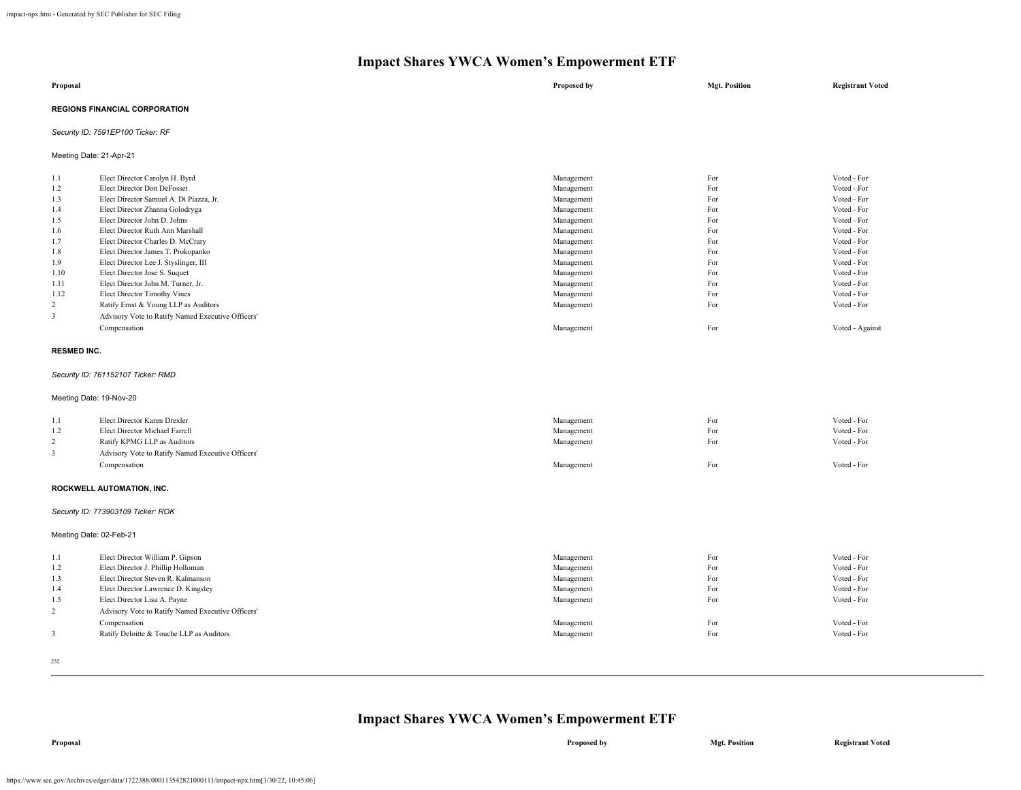| Proposal                             | Proposed by | <b>Mgt. Position</b> | <b>Registrant Voted</b> |
|--------------------------------------|-------------|----------------------|-------------------------|
| <b>REGIONS FINANCIAL CORPORATION</b> |             |                      |                         |
| Security ID: 7591EP100 Ticker: RF    |             |                      |                         |

Meeting Date: 21-Apr-21

| 1.1  | Elect Director Carolyn H. Byrd                    | Management | For | Voted - For     |
|------|---------------------------------------------------|------------|-----|-----------------|
| 1.2  | Elect Director Don DeFosset                       | Management | For | Voted - For     |
| 1.3  | Elect Director Samuel A. Di Piazza, Jr.           | Management | For | Voted - For     |
| 1.4  | Elect Director Zhanna Golodryga                   | Management | For | Voted - For     |
| 1.5  | Elect Director John D. Johns                      | Management | For | Voted - For     |
| 1.6  | Elect Director Ruth Ann Marshall                  | Management | For | Voted - For     |
| 1.7  | Elect Director Charles D. McCrary                 | Management | For | Voted - For     |
| 1.8  | Elect Director James T. Prokopanko                | Management | For | Voted - For     |
| 1.9  | Elect Director Lee J. Styslinger, III             | Management | For | Voted - For     |
| 1.10 | Elect Director Jose S. Suquet                     | Management | For | Voted - For     |
| 1.11 | Elect Director John M. Turner, Jr.                | Management | For | Voted - For     |
| 1.12 | Elect Director Timothy Vines                      | Management | For | Voted - For     |
| 2    | Ratify Ernst & Young LLP as Auditors              | Management | For | Voted - For     |
| 3    | Advisory Vote to Ratify Named Executive Officers' |            |     |                 |
|      | Compensation                                      | Management | For | Voted - Against |

#### **RESMED INC.**

#### *Security ID: 761152107 Ticker: RMD*

#### Meeting Date: 19-Nov-20

| 1.1 | Elect Director Karen Drexler                      | Management | For | Voted - For |
|-----|---------------------------------------------------|------------|-----|-------------|
| 1.2 | Elect Director Michael Farrell                    | Management | For | Voted - For |
|     | Ratify KPMG LLP as Auditors                       | Management | For | Voted - For |
|     | Advisory Vote to Ratify Named Executive Officers' |            |     |             |
|     | Compensation                                      | Management | For | Voted - For |
|     |                                                   |            |     |             |

# **ROCKWELL AUTOMATION, INC.**

#### *Security ID: 773903109 Ticker: ROK*

Meeting Date: 02-Feb-21

| 1.1<br>1.2 | Elect Director William P. Gipson<br>Elect Director J. Phillip Holloman | Management<br>Management | For<br>For | Voted - For<br>Voted - For |
|------------|------------------------------------------------------------------------|--------------------------|------------|----------------------------|
| 1.3        | Elect Director Steven R. Kalmanson                                     | Management               | For        | Voted - For                |
| 1.4        | Elect Director Lawrence D. Kingsley                                    | Management               | For        | Voted - For                |
| 1.5        | Elect Director Lisa A. Payne                                           | Management               | For        | Voted - For                |
|            | Advisory Vote to Ratify Named Executive Officers'                      |                          |            |                            |
|            | Compensation                                                           | Management               | For        | Voted - For                |
|            | Ratify Deloitte & Touche LLP as Auditors                               | Management               | For        | Voted - For                |
|            |                                                                        |                          |            |                            |

232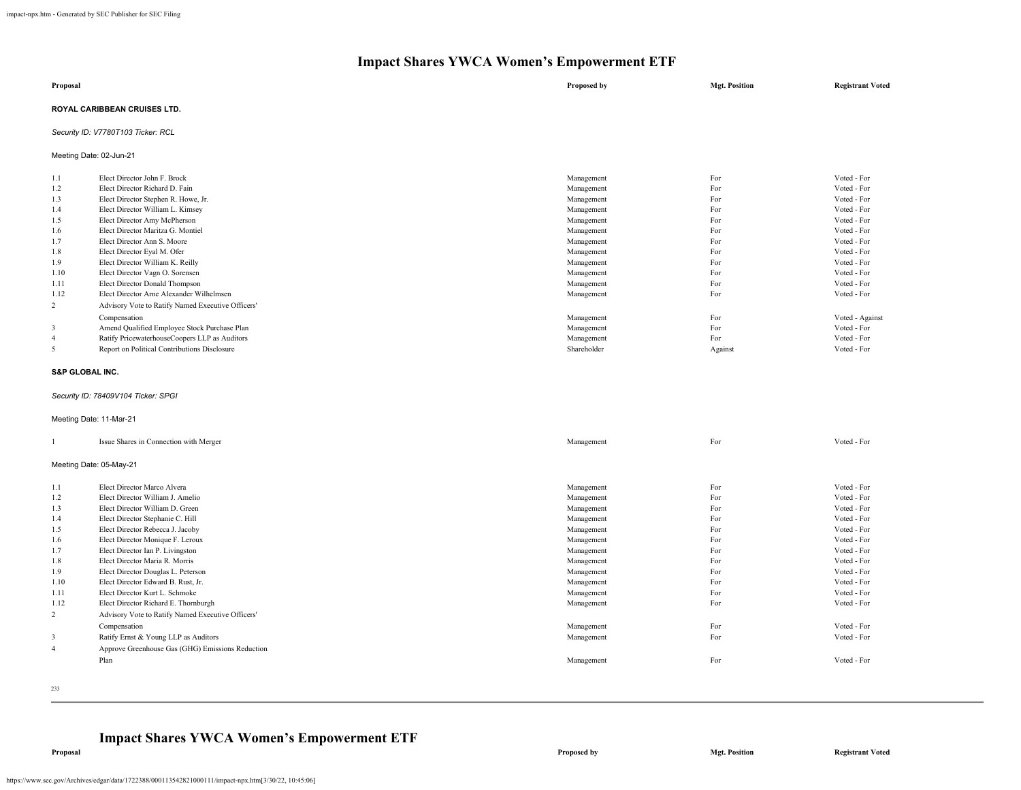| Proposal                            | Proposed by | <b>Mgt. Position</b> | <b>Registrant Voted</b> |
|-------------------------------------|-------------|----------------------|-------------------------|
| <b>ROYAL CARIBBEAN CRUISES LTD.</b> |             |                      |                         |

# *Security ID: V7780T103 Ticker: RCL*

Meeting Date: 02-Jun-21

| 1.1  | Elect Director John F. Brock                      | Management  | For     | Voted - For     |
|------|---------------------------------------------------|-------------|---------|-----------------|
| 1.2  | Elect Director Richard D. Fain                    | Management  | For     | Voted - For     |
| 1.3  | Elect Director Stephen R. Howe, Jr.               | Management  | For     | Voted - For     |
| 1.4  | Elect Director William L. Kimsey                  | Management  | For     | Voted - For     |
| 1.5  | Elect Director Amy McPherson                      | Management  | For     | Voted - For     |
| 1.6  | Elect Director Maritza G. Montiel                 | Management  | For     | Voted - For     |
| 1.7  | Elect Director Ann S. Moore                       | Management  | For     | Voted - For     |
| 1.8  | Elect Director Eyal M. Ofer                       | Management  | For     | Voted - For     |
| 1.9  | Elect Director William K. Reilly                  | Management  | For     | Voted - For     |
| 1.10 | Elect Director Vagn O. Sorensen                   | Management  | For     | Voted - For     |
| 1.11 | Elect Director Donald Thompson                    | Management  | For     | Voted - For     |
| 1.12 | Elect Director Arne Alexander Wilhelmsen          | Management  | For     | Voted - For     |
| 2    | Advisory Vote to Ratify Named Executive Officers' |             |         |                 |
|      | Compensation                                      | Management  | For     | Voted - Against |
| 3    | Amend Qualified Employee Stock Purchase Plan      | Management  | For     | Voted - For     |
| 4    | Ratify PricewaterhouseCoopers LLP as Auditors     | Management  | For     | Voted - For     |
| 5    | Report on Political Contributions Disclosure      | Shareholder | Against | Voted - For     |
|      |                                                   |             |         |                 |

#### **S&P GLOBAL INC.**

# *Security ID: 78409V104 Ticker: SPGI*

#### Meeting Date: 11-Mar-21

|                | Issue Shares in Connection with Merger            | Management | For | Voted - For |
|----------------|---------------------------------------------------|------------|-----|-------------|
|                | Meeting Date: 05-May-21                           |            |     |             |
| 1.1            | Elect Director Marco Alvera                       | Management | For | Voted - For |
| 1.2            | Elect Director William J. Amelio                  | Management | For | Voted - For |
| 1.3            | Elect Director William D. Green                   | Management | For | Voted - For |
| 1.4            | Elect Director Stephanie C. Hill                  | Management | For | Voted - For |
| 1.5            | Elect Director Rebecca J. Jacoby                  | Management | For | Voted - For |
| 1.6            | Elect Director Monique F. Leroux                  | Management | For | Voted - For |
| 1.7            | Elect Director Ian P. Livingston                  | Management | For | Voted - For |
| 1.8            | Elect Director Maria R. Morris                    | Management | For | Voted - For |
| 1.9            | Elect Director Douglas L. Peterson                | Management | For | Voted - For |
| 1.10           | Elect Director Edward B. Rust, Jr.                | Management | For | Voted - For |
| 1.11           | Elect Director Kurt L. Schmoke                    | Management | For | Voted - For |
| 1.12           | Elect Director Richard E. Thornburgh              | Management | For | Voted - For |
| 2              | Advisory Vote to Ratify Named Executive Officers' |            |     |             |
|                | Compensation                                      | Management | For | Voted - For |
| 3              | Ratify Ernst & Young LLP as Auditors              | Management | For | Voted - For |
| $\overline{4}$ | Approve Greenhouse Gas (GHG) Emissions Reduction  |            |     |             |
|                | Plan                                              | Management | For | Voted - For |
|                |                                                   |            |     |             |

233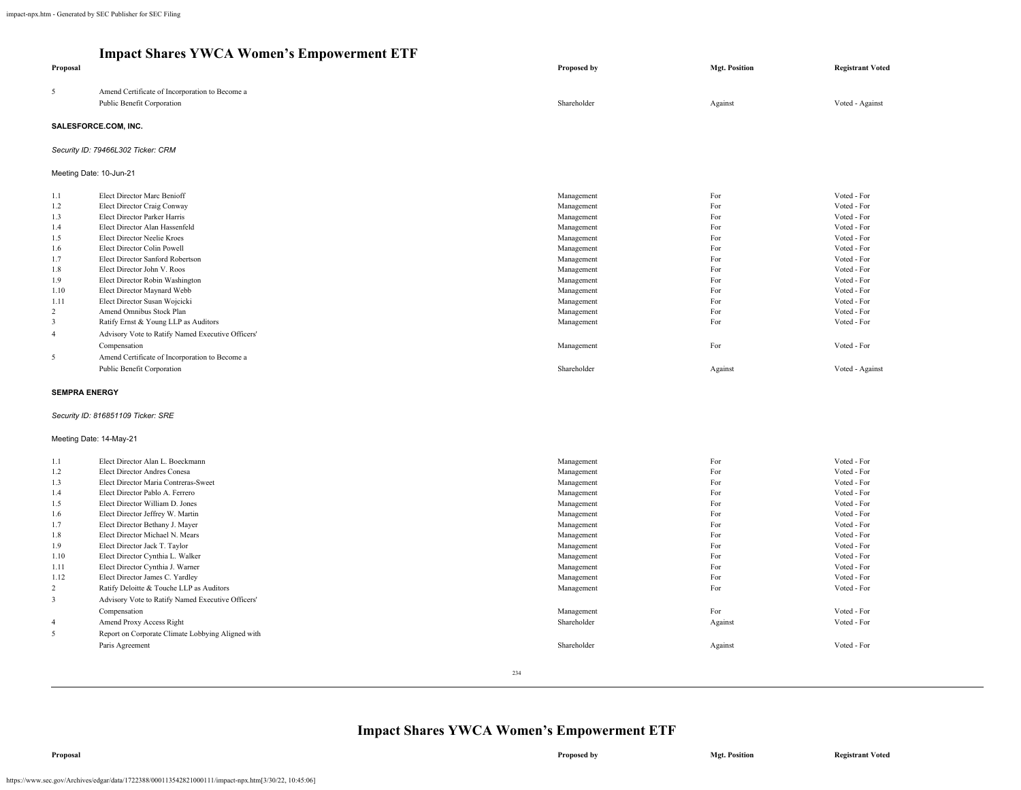| Proposal                                                                                                |                                                                                                                                                                                                                                                                                                                                                                                                                                                                                           | Proposed by                                                                                                                                                                        | <b>Mgt. Position</b>                                                                    | <b>Registrant Voted</b>                                                                                                                                                                         |  |  |
|---------------------------------------------------------------------------------------------------------|-------------------------------------------------------------------------------------------------------------------------------------------------------------------------------------------------------------------------------------------------------------------------------------------------------------------------------------------------------------------------------------------------------------------------------------------------------------------------------------------|------------------------------------------------------------------------------------------------------------------------------------------------------------------------------------|-----------------------------------------------------------------------------------------|-------------------------------------------------------------------------------------------------------------------------------------------------------------------------------------------------|--|--|
| 5                                                                                                       | Amend Certificate of Incorporation to Become a<br>Public Benefit Corporation                                                                                                                                                                                                                                                                                                                                                                                                              | Shareholder                                                                                                                                                                        | Against                                                                                 | Voted - Against                                                                                                                                                                                 |  |  |
|                                                                                                         | SALESFORCE.COM, INC.                                                                                                                                                                                                                                                                                                                                                                                                                                                                      |                                                                                                                                                                                    |                                                                                         |                                                                                                                                                                                                 |  |  |
|                                                                                                         | Security ID: 79466L302 Ticker: CRM                                                                                                                                                                                                                                                                                                                                                                                                                                                        |                                                                                                                                                                                    |                                                                                         |                                                                                                                                                                                                 |  |  |
|                                                                                                         | Meeting Date: 10-Jun-21                                                                                                                                                                                                                                                                                                                                                                                                                                                                   |                                                                                                                                                                                    |                                                                                         |                                                                                                                                                                                                 |  |  |
| 1.1<br>1.2<br>1.3<br>1.4<br>1.5<br>1.6<br>1.7<br>1.8<br>1.9<br>1.10<br>1.11<br>2<br>3<br>$\overline{4}$ | Elect Director Marc Benioff<br>Elect Director Craig Conway<br>Elect Director Parker Harris<br>Elect Director Alan Hassenfeld<br>Elect Director Neelie Kroes<br>Elect Director Colin Powell<br>Elect Director Sanford Robertson<br>Elect Director John V. Roos<br>Elect Director Robin Washington<br>Elect Director Maynard Webb<br>Elect Director Susan Wojcicki<br>Amend Omnibus Stock Plan<br>Ratify Ernst & Young LLP as Auditors<br>Advisory Vote to Ratify Named Executive Officers' | Management<br>Management<br>Management<br>Management<br>Management<br>Management<br>Management<br>Management<br>Management<br>Management<br>Management<br>Management<br>Management | For<br>For<br>For<br>For<br>For<br>For<br>For<br>For<br>For<br>For<br>For<br>For<br>For | Voted - For<br>Voted - For<br>Voted - For<br>Voted - For<br>Voted - For<br>Voted - For<br>Voted - For<br>Voted - For<br>Voted - For<br>Voted - For<br>Voted - For<br>Voted - For<br>Voted - For |  |  |
| 5                                                                                                       | Compensation<br>Amend Certificate of Incorporation to Become a<br>Public Benefit Corporation                                                                                                                                                                                                                                                                                                                                                                                              | Management<br>Shareholder                                                                                                                                                          | For<br>Against                                                                          | Voted - For<br>Voted - Against                                                                                                                                                                  |  |  |
|                                                                                                         | <b>SEMPRA ENERGY</b><br>Security ID: 816851109 Ticker: SRE                                                                                                                                                                                                                                                                                                                                                                                                                                |                                                                                                                                                                                    |                                                                                         |                                                                                                                                                                                                 |  |  |

#### Meeting Date: 14-May-21

| 1.1            | Elect Director Alan L. Boeckmann                  | Management  | For     | Voted - For |
|----------------|---------------------------------------------------|-------------|---------|-------------|
| 1.2            | Elect Director Andres Conesa                      | Management  | For     | Voted - For |
| 1.3            | Elect Director Maria Contreras-Sweet              | Management  | For     | Voted - For |
| 1.4            | Elect Director Pablo A. Ferrero                   | Management  | For     | Voted - For |
| 1.5            | Elect Director William D. Jones                   | Management  | For     | Voted - For |
| 1.6            | Elect Director Jeffrey W. Martin                  | Management  | For     | Voted - For |
| 1.7            | Elect Director Bethany J. Mayer                   | Management  | For     | Voted - For |
| 1.8            | Elect Director Michael N. Mears                   | Management  | For     | Voted - For |
| 1.9            | Elect Director Jack T. Taylor                     | Management  | For     | Voted - For |
| 1.10           | Elect Director Cynthia L. Walker                  | Management  | For     | Voted - For |
| 1.11           | Elect Director Cynthia J. Warner                  | Management  | For     | Voted - For |
| 1.12           | Elect Director James C. Yardley                   | Management  | For     | Voted - For |
| 2              | Ratify Deloitte & Touche LLP as Auditors          | Management  | For     | Voted - For |
| 3              | Advisory Vote to Ratify Named Executive Officers' |             |         |             |
|                | Compensation                                      | Management  | For     | Voted - For |
| $\overline{4}$ | Amend Proxy Access Right                          | Shareholder | Against | Voted - For |
| 5              | Report on Corporate Climate Lobbying Aligned with |             |         |             |
|                | Paris Agreement                                   | Shareholder | Against | Voted - For |
|                |                                                   |             |         |             |
|                |                                                   | 234         |         |             |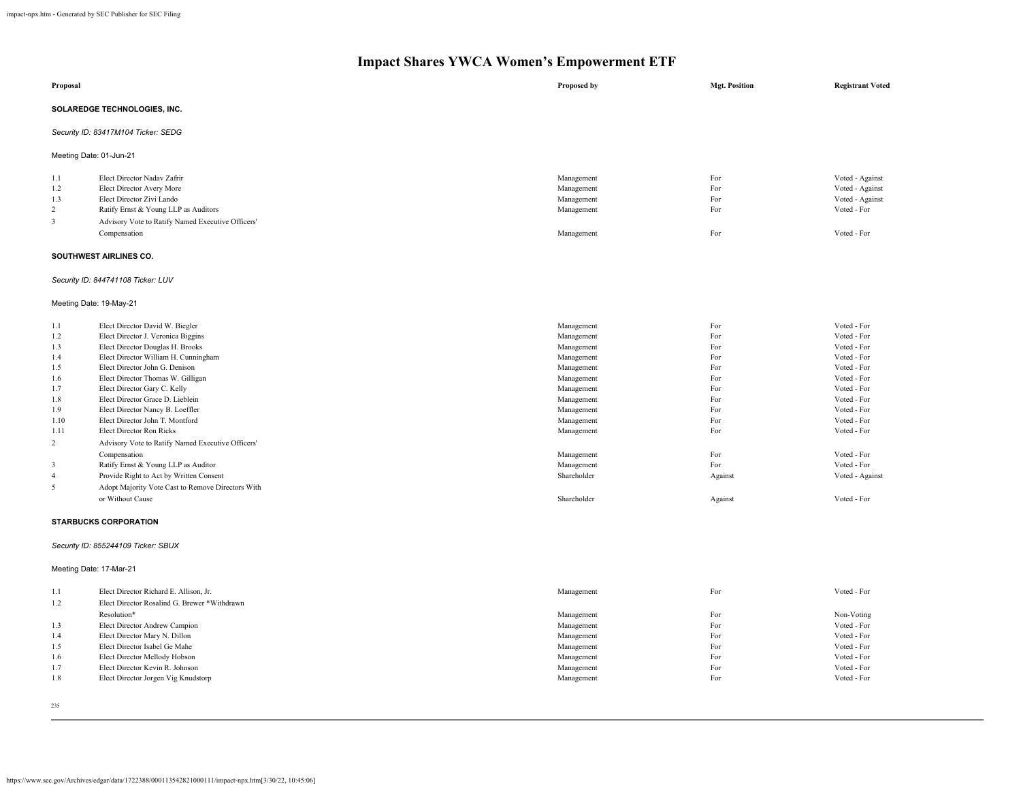| Proposal                |                                                                | <b>Proposed by</b>       | <b>Mgt. Position</b> | <b>Registrant Voted</b>    |
|-------------------------|----------------------------------------------------------------|--------------------------|----------------------|----------------------------|
|                         | SOLAREDGE TECHNOLOGIES, INC.                                   |                          |                      |                            |
|                         | Security ID: 83417M104 Ticker: SEDG                            |                          |                      |                            |
| Meeting Date: 01-Jun-21 |                                                                |                          |                      |                            |
|                         |                                                                |                          |                      |                            |
| 1.1                     | Elect Director Nadav Zafrir                                    | Management               | For                  | Voted - Against            |
| 1.2                     | Elect Director Avery More                                      | Management               | For                  | Voted - Against            |
| 1.3                     | Elect Director Zivi Lando                                      | Management               | For                  | Voted - Against            |
| 2                       | Ratify Ernst & Young LLP as Auditors                           | Management               | For                  | Voted - For                |
| 3                       | Advisory Vote to Ratify Named Executive Officers'              |                          |                      |                            |
|                         | Compensation                                                   | Management               | For                  | Voted - For                |
|                         |                                                                |                          |                      |                            |
|                         | SOUTHWEST AIRLINES CO.                                         |                          |                      |                            |
|                         | Security ID: 844741108 Ticker: LUV                             |                          |                      |                            |
| Meeting Date: 19-May-21 |                                                                |                          |                      |                            |
| 1.1                     | Elect Director David W. Biegler                                | Management               | For                  | Voted - For                |
| 1.2                     | Elect Director J. Veronica Biggins                             | Management               | For                  | Voted - For                |
| 1.3                     | Elect Director Douglas H. Brooks                               | Management               | For                  | Voted - For                |
| 1.4                     | Elect Director William H. Cunningham                           | Management               | For                  | Voted - For                |
| 1.5                     | Elect Director John G. Denison                                 | Management               | For                  | Voted - For                |
| 1.6                     | Elect Director Thomas W. Gilligan                              | Management               | For                  | Voted - For                |
| 1.7                     | Elect Director Gary C. Kelly                                   | Management               | For                  | Voted - For                |
| 1.8                     | Elect Director Grace D. Lieblein                               | Management               | For                  | Voted - For                |
| 1.9                     | Elect Director Nancy B. Loeffler                               | Management               | For                  | Voted - For                |
| 1.10                    | Elect Director John T. Montford                                | Management               | For                  | Voted - For                |
| 1.11                    | <b>Elect Director Ron Ricks</b>                                | Management               | For                  | Voted - For                |
| 2                       | Advisory Vote to Ratify Named Executive Officers'              |                          |                      |                            |
|                         | Compensation                                                   | Management               | For                  | Voted - For                |
| 3                       | Ratify Ernst & Young LLP as Auditor                            | Management               | For                  | Voted - For                |
| $\overline{4}$          | Provide Right to Act by Written Consent                        | Shareholder              | Against              | Voted - Against            |
| 5                       | Adopt Majority Vote Cast to Remove Directors With              |                          |                      |                            |
|                         | or Without Cause                                               | Shareholder              | Against              | Voted - For                |
|                         | <b>STARBUCKS CORPORATION</b>                                   |                          |                      |                            |
|                         | Security ID: 855244109 Ticker: SBUX                            |                          |                      |                            |
| Meeting Date: 17-Mar-21 |                                                                |                          |                      |                            |
| 1.1                     | Elect Director Richard E. Allison, Jr.                         | Management               | For                  | Voted - For                |
|                         |                                                                |                          |                      |                            |
| 1.2                     | Elect Director Rosalind G. Brewer *Withdrawn                   |                          |                      |                            |
|                         | Resolution*                                                    | Management               | For                  | Non-Voting                 |
| 1.3                     | Elect Director Andrew Campion                                  | Management               | For<br>For           | Voted - For<br>Voted - For |
| 1.4                     | Elect Director Mary N. Dillon<br>Elect Director Isabel Ge Mahe | Management               | For                  | Voted - For                |
| 1.5<br>1.6              | Elect Director Mellody Hobson                                  | Management<br>Management | For                  | Voted - For                |
|                         |                                                                |                          |                      |                            |

- 
- 1.7 Elect Director Kevin R. Johnson Voted For Voted For Voted For Voted For Voted For Voted For Voted For Voted For Voted For Voted For Voted For Voted For Voted For Voted For Voted For Voted 1.8 Elect Director Jorgen Vig Knudstorp **For Vigilary Contract Property** For Vigilary 1.8 and 2.0 and 2.0 and 2.0 and 2.0 and 2.0 and 2.0 and 2.0 and 2.0 and 2.0 and 2.0 and 2.0 and 2.0 and 2.0 and 2.0 and 2.0 and 2.0 and
- 235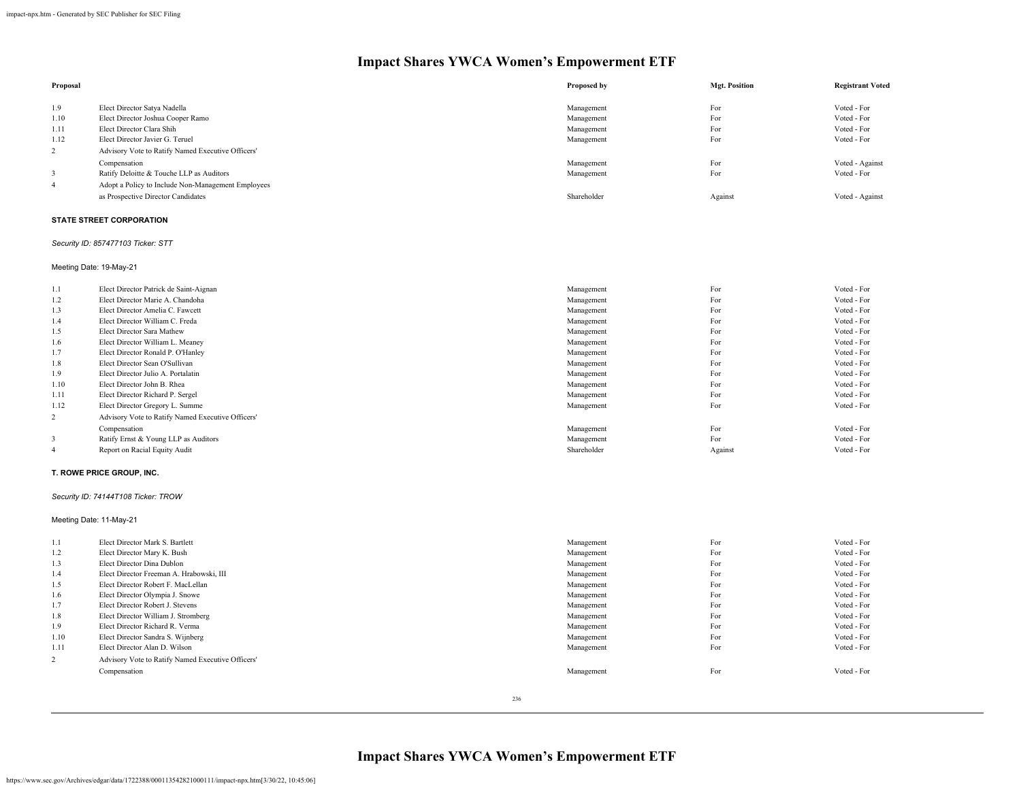| Proposal |                                                    | Proposed by | <b>Mgt. Position</b> | <b>Registrant Voted</b> |
|----------|----------------------------------------------------|-------------|----------------------|-------------------------|
| 1.9      | Elect Director Satya Nadella                       | Management  | For                  | Voted - For             |
| 1.10     | Elect Director Joshua Cooper Ramo                  | Management  | For                  | Voted - For             |
| 1.11     | Elect Director Clara Shih                          | Management  | For                  | Voted - For             |
| 1.12     | Elect Director Javier G. Teruel                    | Management  | For                  | Voted - For             |
|          | Advisory Vote to Ratify Named Executive Officers'  |             |                      |                         |
|          | Compensation                                       | Management  | For                  | Voted - Against         |
|          | Ratify Deloitte & Touche LLP as Auditors           | Management  | For                  | Voted - For             |
| 4        | Adopt a Policy to Include Non-Management Employees |             |                      |                         |
|          | as Prospective Director Candidates                 | Shareholder | Against              | Voted - Against         |

# **STATE STREET CORPORATION**

# *Security ID: 857477103 Ticker: STT*

Meeting Date: 19-May-21

| 1.1  | Elect Director Patrick de Saint-Aignan            | Management  | For     | Voted - For |
|------|---------------------------------------------------|-------------|---------|-------------|
| 1.2  | Elect Director Marie A. Chandoha                  | Management  | For     | Voted - For |
| 1.3  | Elect Director Amelia C. Fawcett                  | Management  | For     | Voted - For |
| 1.4  | Elect Director William C. Freda                   | Management  | For     | Voted - For |
| 1.5  | Elect Director Sara Mathew                        | Management  | For     | Voted - For |
| 1.6  | Elect Director William L. Meaney                  | Management  | For     | Voted - For |
| 1.7  | Elect Director Ronald P. O'Hanley                 | Management  | For     | Voted - For |
| 1.8  | Elect Director Sean O'Sullivan                    | Management  | For     | Voted - For |
| 1.9  | Elect Director Julio A. Portalatin                | Management  | For     | Voted - For |
| 1.10 | Elect Director John B. Rhea                       | Management  | For     | Voted - For |
| 1.11 | Elect Director Richard P. Sergel                  | Management  | For     | Voted - For |
| 1.12 | Elect Director Gregory L. Summe                   | Management  | For     | Voted - For |
| 2    | Advisory Vote to Ratify Named Executive Officers' |             |         |             |
|      | Compensation                                      | Management  | For     | Voted - For |
| 3    | Ratify Ernst & Young LLP as Auditors              | Management  | For     | Voted - For |
|      | Report on Racial Equity Audit                     | Shareholder | Against | Voted - For |
|      |                                                   |             |         |             |

#### **T. ROWE PRICE GROUP, INC.**

# *Security ID: 74144T108 Ticker: TROW*

Meeting Date: 11-May-21

| 1.1  | Elect Director Mark S. Bartlett                   | Management | For | Voted - For |
|------|---------------------------------------------------|------------|-----|-------------|
| 1.2  | Elect Director Mary K. Bush                       | Management | For | Voted - For |
| 1.3  | Elect Director Dina Dublon                        | Management | For | Voted - For |
| 1.4  | Elect Director Freeman A. Hrabowski, III          | Management | For | Voted - For |
| 1.5  | Elect Director Robert F. MacLellan                | Management | For | Voted - For |
| 1.6  | Elect Director Olympia J. Snowe                   | Management | For | Voted - For |
| 1.7  | Elect Director Robert J. Stevens                  | Management | For | Voted - For |
| 1.8  | Elect Director William J. Stromberg               | Management | For | Voted - For |
| 1.9  | Elect Director Richard R. Verma                   | Management | For | Voted - For |
| 1.10 | Elect Director Sandra S. Wijnberg                 | Management | For | Voted - For |
| 1.11 | Elect Director Alan D. Wilson                     | Management | For | Voted - For |
| 2    | Advisory Vote to Ratify Named Executive Officers' |            |     |             |
|      | Compensation                                      | Management | For | Voted - For |
|      |                                                   |            |     |             |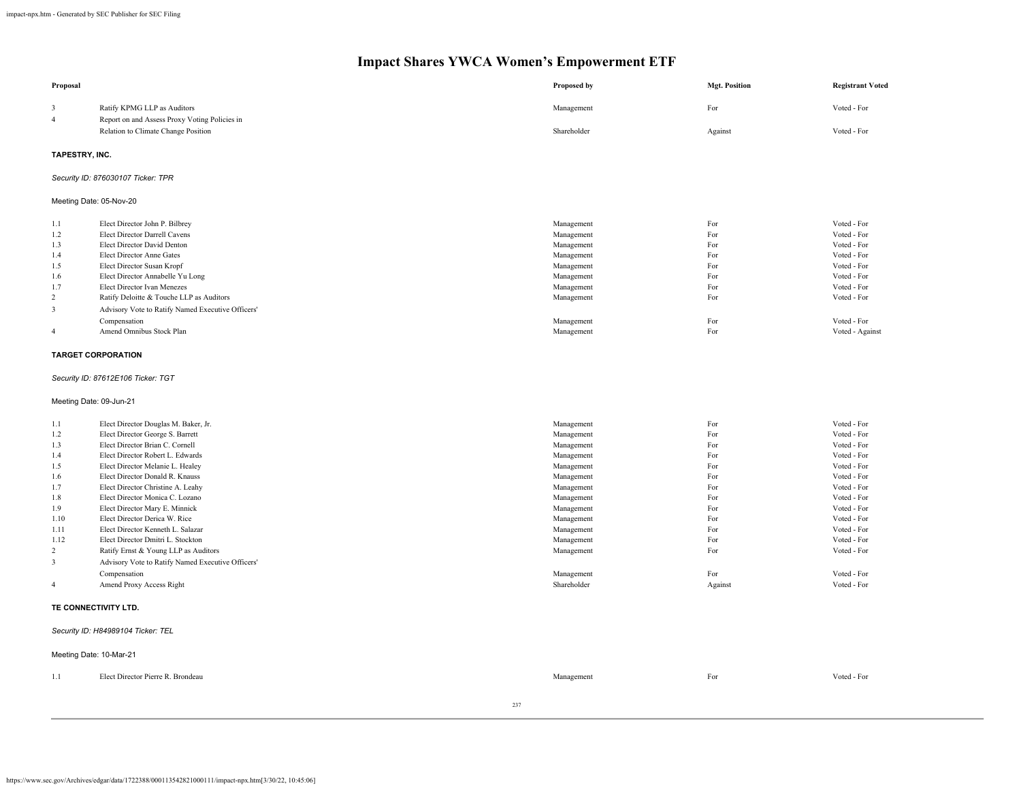| Proposal                |                                                   | Proposed by | <b>Mgt. Position</b> | <b>Registrant Voted</b> |
|-------------------------|---------------------------------------------------|-------------|----------------------|-------------------------|
| 3                       | Ratify KPMG LLP as Auditors                       | Management  | For                  | Voted - For             |
| $\overline{\mathbf{4}}$ | Report on and Assess Proxy Voting Policies in     |             |                      |                         |
|                         | Relation to Climate Change Position               | Shareholder | Against              | Voted - For             |
| TAPESTRY, INC.          |                                                   |             |                      |                         |
|                         | Security ID: 876030107 Ticker: TPR                |             |                      |                         |
|                         | Meeting Date: 05-Nov-20                           |             |                      |                         |
| 1.1                     | Elect Director John P. Bilbrey                    | Management  | For                  | Voted - For             |
| 1.2                     | Elect Director Darrell Cavens                     | Management  | For                  | Voted - For             |
| 1.3                     | Elect Director David Denton                       | Management  | For                  | Voted - For             |
| 1.4                     | <b>Elect Director Anne Gates</b>                  | Management  | For                  | Voted - For             |
| 1.5                     | Elect Director Susan Kropf                        | Management  | For                  | Voted - For             |
| 1.6                     | Elect Director Annabelle Yu Long                  | Management  | For                  | Voted - For             |
| 1.7                     | Elect Director Ivan Menezes                       | Management  | For                  | Voted - For             |
| $\sqrt{2}$              | Ratify Deloitte & Touche LLP as Auditors          | Management  | For                  | Voted - For             |
| $\mathfrak z$           | Advisory Vote to Ratify Named Executive Officers' |             |                      |                         |
|                         | Compensation                                      | Management  | For                  | Voted - For             |
| $\overline{4}$          | Amend Omnibus Stock Plan                          | Management  | For                  | Voted - Against         |
|                         | <b>TARGET CORPORATION</b>                         |             |                      |                         |
|                         | Security ID: 87612E106 Ticker: TGT                |             |                      |                         |
| Meeting Date: 09-Jun-21 |                                                   |             |                      |                         |
| 1.1                     | Elect Director Douglas M. Baker, Jr.              | Management  | For                  | Voted - For             |
| 1.2                     | Elect Director George S. Barrett                  | Management  | For                  | Voted - For             |
| 1.3                     | Elect Director Brian C. Cornell                   | Management  | For                  | Voted - For             |
| 1.4                     | Elect Director Robert L. Edwards                  | Management  | For                  | Voted - For             |
| 1.5                     | Elect Director Melanie L. Healey                  | Management  | For                  | Voted - For             |
| 1.6                     | Elect Director Donald R. Knauss                   | Management  | For                  | Voted - For             |
| 1.7                     | Elect Director Christine A. Leahy                 | Management  | For                  | Voted - For             |
| 1.8                     | Elect Director Monica C. Lozano                   | Management  | For                  | Voted - For             |
| 1.9                     | Elect Director Mary E. Minnick                    | Management  | For                  | Voted - For             |
| 1.10                    | Elect Director Derica W. Rice                     | Management  | For                  | Voted - For             |
| 1.11                    | Elect Director Kenneth L. Salazar                 | Management  | For                  | Voted - For             |
| 1.12                    | Elect Director Dmitri L. Stockton                 | Management  | For                  | Voted - For             |
| $\overline{c}$          | Ratify Ernst & Young LLP as Auditors              | Management  | For                  | Voted - For             |
| $\mathfrak z$           | Advisory Vote to Ratify Named Executive Officers' |             |                      |                         |
|                         | Compensation                                      | Management  | For                  | Voted - For             |
| $\overline{4}$          | Amend Proxy Access Right                          | Shareholder | Against              | Voted - For             |
|                         | TE CONNECTIVITY LTD.                              |             |                      |                         |
|                         | Security ID: H84989104 Ticker: TEL                |             |                      |                         |
| Meeting Date: 10-Mar-21 |                                                   |             |                      |                         |
| 1.1                     | Elect Director Pierre R. Brondeau                 | Management  | For                  | Voted - For             |

237

https://www.sec.gov/Archives/edgar/data/1722388/000113542821000111/impact-npx.htm[3/30/22, 10:45:06]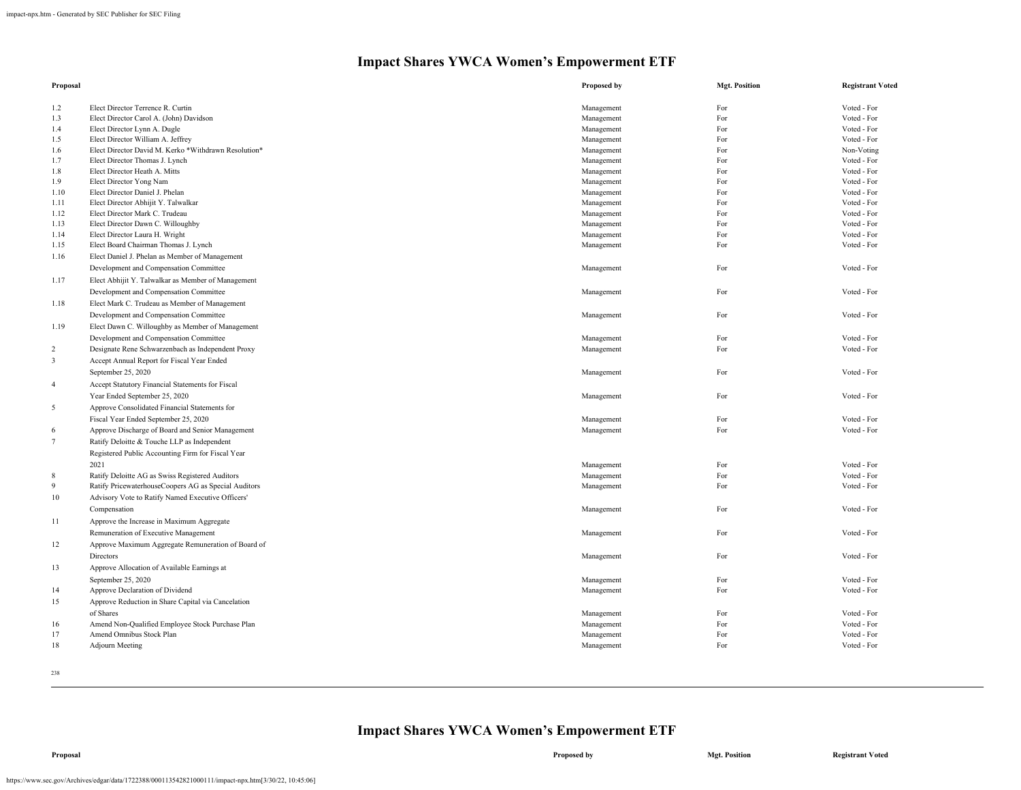| Proposal        |                                                                              | Proposed by              | <b>Mgt. Position</b> | <b>Registrant Voted</b>    |
|-----------------|------------------------------------------------------------------------------|--------------------------|----------------------|----------------------------|
|                 |                                                                              |                          |                      |                            |
| 1.2<br>1.3      | Elect Director Terrence R. Curtin<br>Elect Director Carol A. (John) Davidson | Management<br>Management | For<br>For           | Voted - For<br>Voted - For |
| 1.4             | Elect Director Lynn A. Dugle                                                 | Management               | For                  | Voted - For                |
| 1.5             | Elect Director William A. Jeffrey                                            | Management               | For                  | Voted - For                |
| 1.6             | Elect Director David M. Kerko *Withdrawn Resolution*                         | Management               | For                  | Non-Voting                 |
| 1.7             | Elect Director Thomas J. Lynch                                               | Management               | For                  | Voted - For                |
| 1.8             | Elect Director Heath A. Mitts                                                | Management               | For                  | Voted - For                |
| 1.9             | Elect Director Yong Nam                                                      | Management               | For                  | Voted - For                |
| 1.10            | Elect Director Daniel J. Phelan                                              | Management               | For                  | Voted - For                |
| 1.11            | Elect Director Abhijit Y. Talwalkar                                          | Management               | For                  | Voted - For                |
| 1.12            | Elect Director Mark C. Trudeau                                               | Management               | For                  | Voted - For                |
| 1.13            | Elect Director Dawn C. Willoughby                                            | Management               | For                  | Voted - For                |
| 1.14            | Elect Director Laura H. Wright                                               | Management               | For                  | Voted - For                |
| 1.15            | Elect Board Chairman Thomas J. Lynch                                         | Management               | For                  | Voted - For                |
| 1.16            | Elect Daniel J. Phelan as Member of Management                               |                          |                      |                            |
|                 | Development and Compensation Committee                                       | Management               | For                  | Voted - For                |
| 1.17            | Elect Abhijit Y. Talwalkar as Member of Management                           |                          |                      |                            |
|                 |                                                                              |                          |                      |                            |
|                 | Development and Compensation Committee                                       | Management               | For                  | Voted - For                |
| 1.18            | Elect Mark C. Trudeau as Member of Management                                |                          |                      |                            |
|                 | Development and Compensation Committee                                       | Management               | For                  | Voted - For                |
| 1.19            | Elect Dawn C. Willoughby as Member of Management                             |                          |                      |                            |
|                 | Development and Compensation Committee                                       | Management               | For                  | Voted - For                |
| $\overline{c}$  | Designate Rene Schwarzenbach as Independent Proxy                            | Management               | For                  | Voted - For                |
| $\overline{3}$  | Accept Annual Report for Fiscal Year Ended                                   |                          |                      |                            |
|                 | September 25, 2020                                                           | Management               | For                  | Voted - For                |
| $\overline{4}$  | Accept Statutory Financial Statements for Fiscal                             |                          |                      |                            |
|                 | Year Ended September 25, 2020                                                | Management               | For                  | Voted - For                |
| 5               | Approve Consolidated Financial Statements for                                |                          |                      |                            |
|                 | Fiscal Year Ended September 25, 2020                                         | Management               | For                  | Voted - For                |
| 6               | Approve Discharge of Board and Senior Management                             | Management               | For                  | Voted - For                |
| $7\overline{ }$ | Ratify Deloitte & Touche LLP as Independent                                  |                          |                      |                            |
|                 | Registered Public Accounting Firm for Fiscal Year                            |                          |                      |                            |
|                 | 2021                                                                         | Management               | For                  | Voted - For                |
| 8               | Ratify Deloitte AG as Swiss Registered Auditors                              | Management               | For                  | Voted - For                |
| 9               | Ratify PricewaterhouseCoopers AG as Special Auditors                         | Management               | For                  | Voted - For                |
|                 |                                                                              |                          |                      |                            |
| 10              | Advisory Vote to Ratify Named Executive Officers'                            |                          |                      |                            |
|                 | Compensation                                                                 | Management               | For                  | Voted - For                |
| 11              | Approve the Increase in Maximum Aggregate                                    |                          |                      |                            |
|                 | Remuneration of Executive Management                                         | Management               | For                  | Voted - For                |
| 12              | Approve Maximum Aggregate Remuneration of Board of                           |                          |                      |                            |
|                 | Directors                                                                    | Management               | For                  | Voted - For                |
| 13              | Approve Allocation of Available Earnings at                                  |                          |                      |                            |
|                 | September 25, 2020                                                           | Management               | For                  | Voted - For                |
| 14              | Approve Declaration of Dividend                                              | Management               | For                  | Voted - For                |
| 15              | Approve Reduction in Share Capital via Cancelation                           |                          |                      |                            |
|                 | of Shares                                                                    | Management               | For                  | Voted - For                |
| 16              | Amend Non-Qualified Employee Stock Purchase Plan                             | Management               | For                  | Voted - For                |
| 17              | Amend Omnibus Stock Plan                                                     | Management               | For                  | Voted - For                |
| 18              | <b>Adjourn Meeting</b>                                                       | Management               | For                  | Voted - For                |
|                 |                                                                              |                          |                      |                            |
|                 |                                                                              |                          |                      |                            |
| 238             |                                                                              |                          |                      |                            |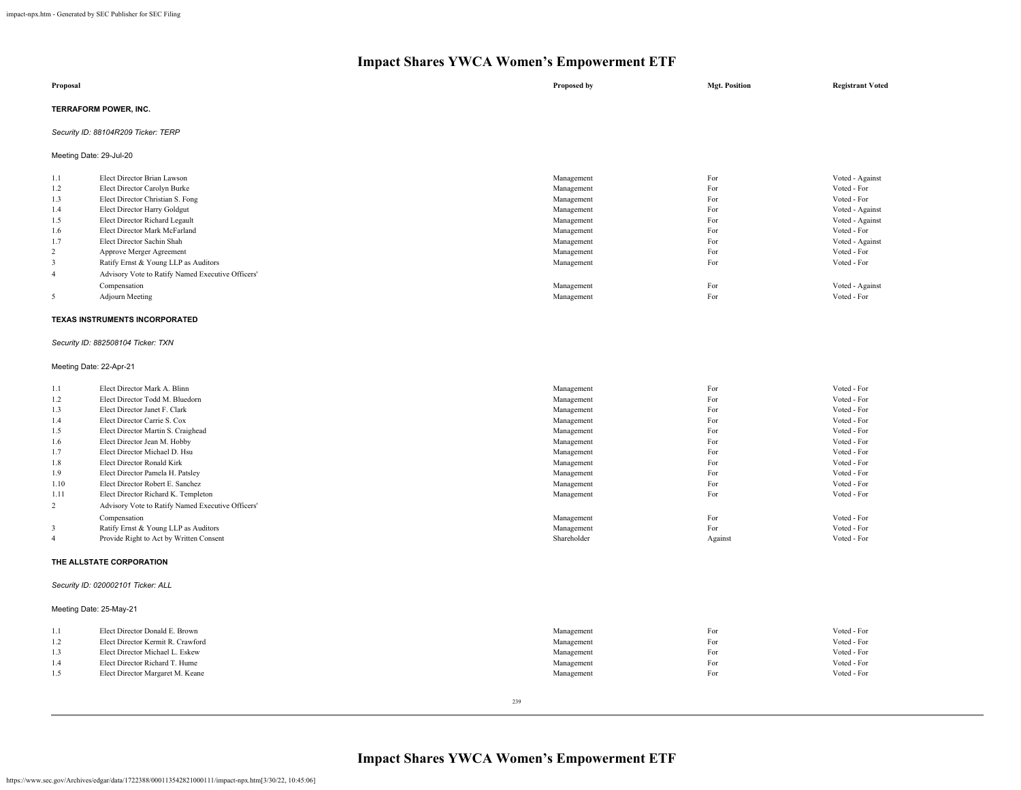| Proposal                            | Proposed by | <b>Mgt. Position</b> | <b>Registrant Voted</b> |
|-------------------------------------|-------------|----------------------|-------------------------|
| TERRAFORM POWER, INC.               |             |                      |                         |
| Security ID: 88104R209 Ticker: TERP |             |                      |                         |

Meeting Date: 29-Jul-20

| 1.1 | Elect Director Brian Lawson                       | Management | For | Voted - Against |
|-----|---------------------------------------------------|------------|-----|-----------------|
| 1.2 | Elect Director Carolyn Burke                      | Management | For | Voted - For     |
| 1.3 | Elect Director Christian S. Fong                  | Management | For | Voted - For     |
| 1.4 | Elect Director Harry Goldgut                      | Management | For | Voted - Against |
| 1.5 | Elect Director Richard Legault                    | Management | For | Voted - Against |
| 1.6 | Elect Director Mark McFarland                     | Management | For | Voted - For     |
| 1.7 | Elect Director Sachin Shah                        | Management | For | Voted - Against |
| 2   | Approve Merger Agreement                          | Management | For | Voted - For     |
|     | Ratify Ernst & Young LLP as Auditors              | Management | For | Voted - For     |
| 4   | Advisory Vote to Ratify Named Executive Officers' |            |     |                 |
|     | Compensation                                      | Management | For | Voted - Against |
|     | Adjourn Meeting                                   | Management | For | Voted - For     |

#### **TEXAS INSTRUMENTS INCORPORATED**

# *Security ID: 882508104 Ticker: TXN*

#### Meeting Date: 22-Apr-21

| 1.1  | Elect Director Mark A. Blinn                      | Management  | For     | Voted - For |
|------|---------------------------------------------------|-------------|---------|-------------|
| 1.2  | Elect Director Todd M. Bluedorn                   | Management  | For     | Voted - For |
| 1.3  | Elect Director Janet F. Clark                     | Management  | For     | Voted - For |
| 1.4  | Elect Director Carrie S. Cox                      | Management  | For     | Voted - For |
| 1.5  | Elect Director Martin S. Craighead                | Management  | For     | Voted - For |
| 1.6  | Elect Director Jean M. Hobby                      | Management  | For     | Voted - For |
| 1.7  | Elect Director Michael D. Hsu                     | Management  | For     | Voted - For |
| 1.8  | Elect Director Ronald Kirk                        | Management  | For     | Voted - For |
| 1.9  | Elect Director Pamela H. Patsley                  | Management  | For     | Voted - For |
| 1.10 | Elect Director Robert E. Sanchez                  | Management  | For     | Voted - For |
| 1.11 | Elect Director Richard K. Templeton               | Management  | For     | Voted - For |
| 2    | Advisory Vote to Ratify Named Executive Officers' |             |         |             |
|      | Compensation                                      | Management  | For     | Voted - For |
| 3    | Ratify Ernst & Young LLP as Auditors              | Management  | For     | Voted - For |
|      | Provide Right to Act by Written Consent           | Shareholder | Against | Voted - For |
|      |                                                   |             |         |             |

# **THE ALLSTATE CORPORATION**

# *Security ID: 020002101 Ticker: ALL*

# Meeting Date: 25-May-21

|     | Elect Director Donald E. Brown    | Management | For | Voted - For |
|-----|-----------------------------------|------------|-----|-------------|
| 1.2 | Elect Director Kermit R. Crawford | Management | For | Voted - For |
| 1.3 | Elect Director Michael L. Eskew   | Management | For | Voted - For |
| 1.4 | Elect Director Richard T. Hume    | Management | For | Voted - For |
| 1.5 | Elect Director Margaret M. Keane  | Management | For | Voted - For |
|     |                                   |            |     |             |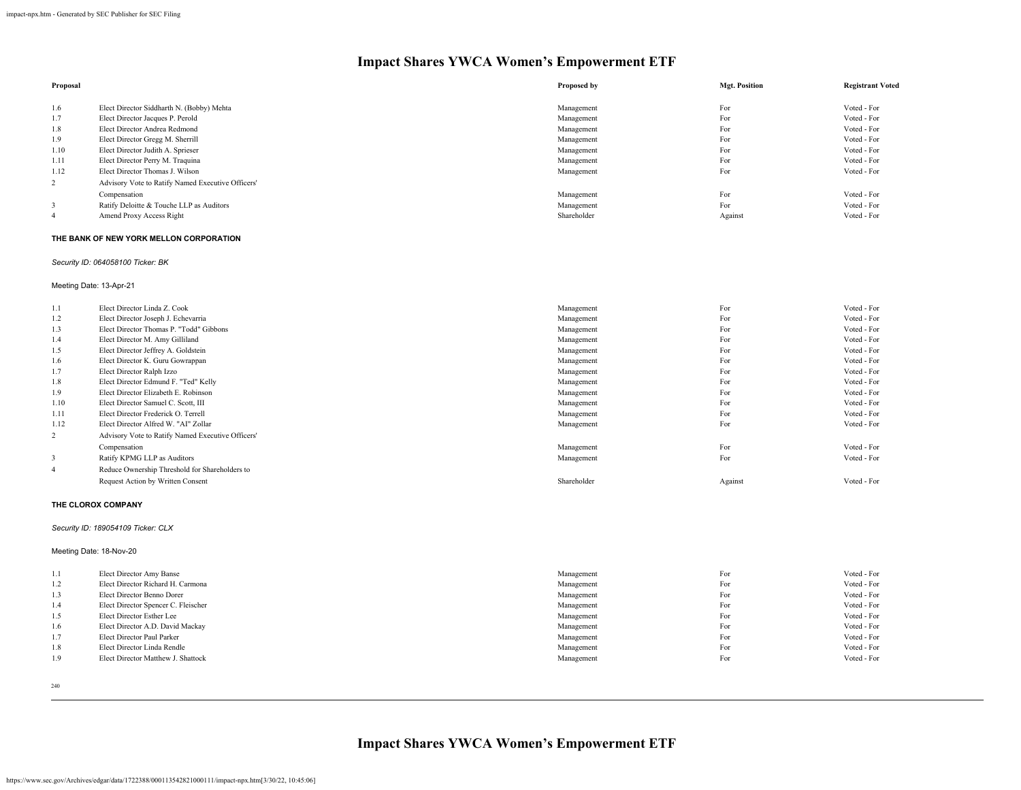| Proposal |                                                   | Proposed by | <b>Mgt. Position</b> | <b>Registrant Voted</b> |
|----------|---------------------------------------------------|-------------|----------------------|-------------------------|
|          |                                                   |             |                      |                         |
| 1.6      | Elect Director Siddharth N. (Bobby) Mehta         | Management  | For                  | Voted - For             |
| 1.7      | Elect Director Jacques P. Perold                  | Management  | For                  | Voted - For             |
| 1.8      | Elect Director Andrea Redmond                     | Management  | For                  | Voted - For             |
| 1.9      | Elect Director Gregg M. Sherrill                  | Management  | For                  | Voted - For             |
| 1.10     | Elect Director Judith A. Sprieser                 | Management  | For                  | Voted - For             |
| 1.11     | Elect Director Perry M. Traquina                  | Management  | For                  | Voted - For             |
| 1.12     | Elect Director Thomas J. Wilson                   | Management  | For                  | Voted - For             |
| 2        | Advisory Vote to Ratify Named Executive Officers' |             |                      |                         |
|          | Compensation                                      | Management  | For                  | Voted - For             |
|          | Ratify Deloitte & Touche LLP as Auditors          | Management  | For                  | Voted - For             |
|          | Amend Proxy Access Right                          | Shareholder | Against              | Voted - For             |

#### **THE BANK OF NEW YORK MELLON CORPORATION**

# *Security ID: 064058100 Ticker: BK*

Meeting Date: 13-Apr-21

| 1.1            | Elect Director Linda Z. Cook                      | Management  | For     | Voted - For |
|----------------|---------------------------------------------------|-------------|---------|-------------|
| 1.2            | Elect Director Joseph J. Echevarria               | Management  | For     | Voted - For |
| 1.3            | Elect Director Thomas P. "Todd" Gibbons           | Management  | For     | Voted - For |
| 1.4            | Elect Director M. Amy Gilliland                   | Management  | For     | Voted - For |
| 1.5            | Elect Director Jeffrey A. Goldstein               | Management  | For     | Voted - For |
| 1.6            | Elect Director K. Guru Gowrappan                  | Management  | For     | Voted - For |
| 1.7            | Elect Director Ralph Izzo                         | Management  | For     | Voted - For |
| 1.8            | Elect Director Edmund F. "Ted" Kelly              | Management  | For     | Voted - For |
| 1.9            | Elect Director Elizabeth E. Robinson              | Management  | For     | Voted - For |
| 1.10           | Elect Director Samuel C. Scott, III               | Management  | For     | Voted - For |
| 1.11           | Elect Director Frederick O. Terrell               | Management  | For     | Voted - For |
| 1.12           | Elect Director Alfred W. "AI" Zollar              | Management  | For     | Voted - For |
| 2              | Advisory Vote to Ratify Named Executive Officers' |             |         |             |
|                | Compensation                                      | Management  | For     | Voted - For |
| 3              | Ratify KPMG LLP as Auditors                       | Management  | For     | Voted - For |
| $\overline{4}$ | Reduce Ownership Threshold for Shareholders to    |             |         |             |
|                | Request Action by Written Consent                 | Shareholder | Against | Voted - For |
|                |                                                   |             |         |             |

#### **THE CLOROX COMPANY**

# *Security ID: 189054109 Ticker: CLX*

Meeting Date: 18-Nov-20

| 1.1 | Elect Director Amy Banse            | Management | For | Voted - For |
|-----|-------------------------------------|------------|-----|-------------|
| 1.2 | Elect Director Richard H. Carmona   | Management | For | Voted - For |
| 1.3 | Elect Director Benno Dorer          | Management | For | Voted - For |
| 1.4 | Elect Director Spencer C. Fleischer | Management | For | Voted - For |
| 1.5 | Elect Director Esther Lee           | Management | For | Voted - For |
| 1.6 | Elect Director A.D. David Mackay    | Management | For | Voted - For |
| 1.7 | Elect Director Paul Parker          | Management | For | Voted - For |
| 1.8 | Elect Director Linda Rendle         | Management | For | Voted - For |
| 1.9 | Elect Director Matthew J. Shattock  | Management | For | Voted - For |
|     |                                     |            |     |             |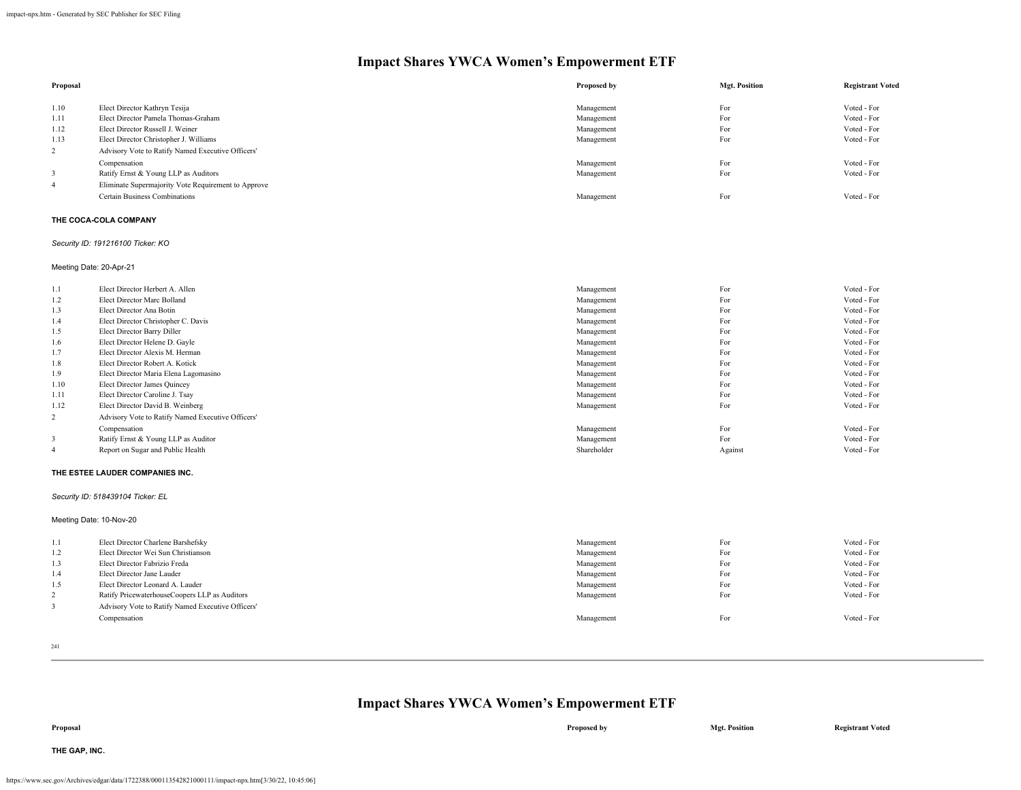| Proposal       |                                                     | Proposed by | <b>Mgt. Position</b> | <b>Registrant Voted</b> |
|----------------|-----------------------------------------------------|-------------|----------------------|-------------------------|
| 1.10           | Elect Director Kathryn Tesija                       | Management  | For                  | Voted - For             |
| 1.11           | Elect Director Pamela Thomas-Graham                 | Management  | For                  | Voted - For             |
| 1.12           | Elect Director Russell J. Weiner                    | Management  | For                  | Voted - For             |
| 1.13           | Elect Director Christopher J. Williams              | Management  | For                  | Voted - For             |
| 2              | Advisory Vote to Ratify Named Executive Officers'   |             |                      |                         |
|                | Compensation                                        | Management  | For                  | Voted - For             |
| 3              | Ratify Ernst & Young LLP as Auditors                | Management  | For                  | Voted - For             |
| $\overline{4}$ | Eliminate Supermajority Vote Requirement to Approve |             |                      |                         |
|                | <b>Certain Business Combinations</b>                | Management  | For                  | Voted - For             |

# **THE COCA-COLA COMPANY**

*Security ID: 191216100 Ticker: KO*

Meeting Date: 20-Apr-21

| 1.1  | Elect Director Herbert A. Allen                   | Management  | For     | Voted - For |
|------|---------------------------------------------------|-------------|---------|-------------|
| 1.2  | Elect Director Marc Bolland                       | Management  | For     | Voted - For |
| 1.3  | Elect Director Ana Botin                          | Management  | For     | Voted - For |
| 1.4  | Elect Director Christopher C. Davis               | Management  | For     | Voted - For |
| 1.5  | Elect Director Barry Diller                       | Management  | For     | Voted - For |
| 1.6  | Elect Director Helene D. Gayle                    | Management  | For     | Voted - For |
| 1.7  | Elect Director Alexis M. Herman                   | Management  | For     | Voted - For |
| 1.8  | Elect Director Robert A. Kotick                   | Management  | For     | Voted - For |
| 1.9  | Elect Director Maria Elena Lagomasino             | Management  | For     | Voted - For |
| 1.10 | Elect Director James Quincey                      | Management  | For     | Voted - For |
| 1.11 | Elect Director Caroline J. Tsay                   | Management  | For     | Voted - For |
| 1.12 | Elect Director David B. Weinberg                  | Management  | For     | Voted - For |
| 2    | Advisory Vote to Ratify Named Executive Officers' |             |         |             |
|      | Compensation                                      | Management  | For     | Voted - For |
| 3    | Ratify Ernst & Young LLP as Auditor               | Management  | For     | Voted - For |
|      | Report on Sugar and Public Health                 | Shareholder | Against | Voted - For |
|      |                                                   |             |         |             |

#### **THE ESTEE LAUDER COMPANIES INC.**

*Security ID: 518439104 Ticker: EL*

Meeting Date: 10-Nov-20

| -1.1 | Elect Director Charlene Barshefsky                | Management | For | Voted - For |
|------|---------------------------------------------------|------------|-----|-------------|
| 1.2  | Elect Director Wei Sun Christianson               | Management | For | Voted - For |
| 1.3  | Elect Director Fabrizio Freda                     | Management | For | Voted - For |
| 1.4  | Elect Director Jane Lauder                        | Management | For | Voted - For |
| 1.5  | Elect Director Leonard A. Lauder                  | Management | For | Voted - For |
|      | Ratify PricewaterhouseCoopers LLP as Auditors     | Management | For | Voted - For |
| -3   | Advisory Vote to Ratify Named Executive Officers' |            |     |             |
|      | Compensation                                      | Management | For | Voted - For |

241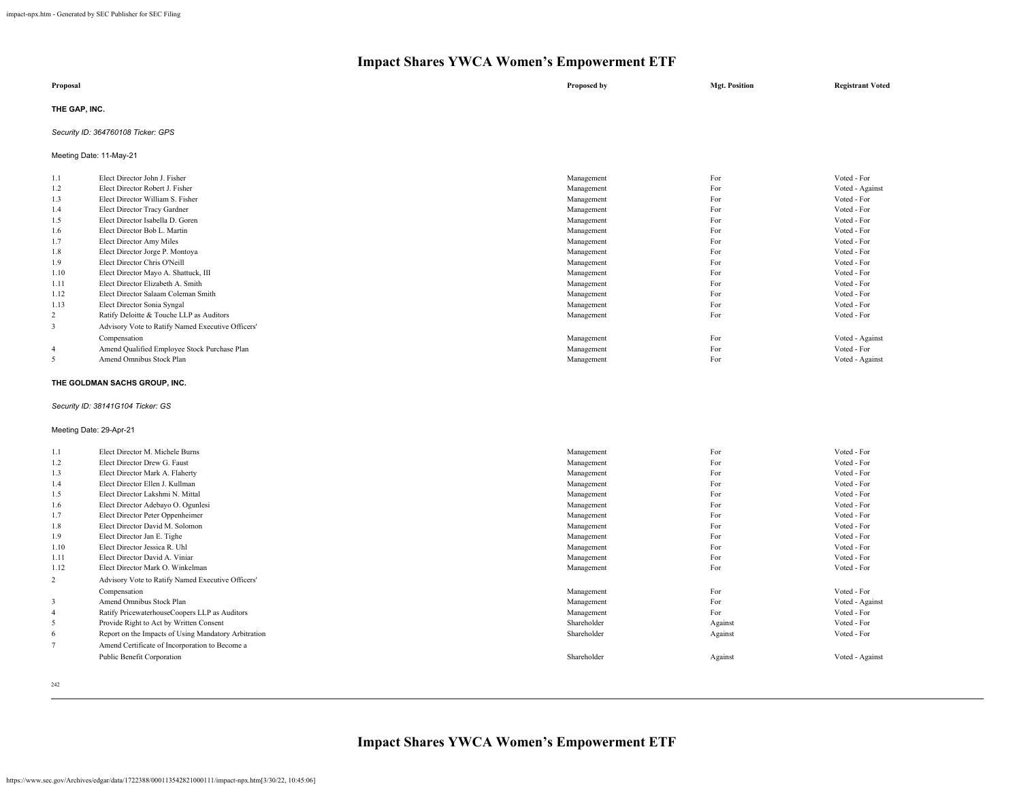| Proposal      | Proposed by | <b>Mgt. Position</b> | <b>Registrant Voted</b> |
|---------------|-------------|----------------------|-------------------------|
| THE GAP, INC. |             |                      |                         |

# *Security ID: 364760108 Ticker: GPS*

Meeting Date: 11-May-21

| 1.1            | Elect Director John J. Fisher                     | Management | For | Voted - For     |
|----------------|---------------------------------------------------|------------|-----|-----------------|
| 1.2            | Elect Director Robert J. Fisher                   | Management | For | Voted - Against |
| 1.3            | Elect Director William S. Fisher                  | Management | For | Voted - For     |
| 1.4            | Elect Director Tracy Gardner                      | Management | For | Voted - For     |
| 1.5            | Elect Director Isabella D. Goren                  | Management | For | Voted - For     |
| 1.6            | Elect Director Bob L. Martin                      | Management | For | Voted - For     |
| 1.7            | Elect Director Amy Miles                          | Management | For | Voted - For     |
| 1.8            | Elect Director Jorge P. Montoya                   | Management | For | Voted - For     |
| 1.9            | Elect Director Chris O'Neill                      | Management | For | Voted - For     |
| 1.10           | Elect Director Mayo A. Shattuck, III              | Management | For | Voted - For     |
| 1.11           | Elect Director Elizabeth A. Smith                 | Management | For | Voted - For     |
| 1.12           | Elect Director Salaam Coleman Smith               | Management | For | Voted - For     |
| 1.13           | Elect Director Sonia Syngal                       | Management | For | Voted - For     |
| 2              | Ratify Deloitte & Touche LLP as Auditors          | Management | For | Voted - For     |
| 3              | Advisory Vote to Ratify Named Executive Officers' |            |     |                 |
|                | Compensation                                      | Management | For | Voted - Against |
| $\overline{4}$ | Amend Qualified Employee Stock Purchase Plan      | Management | For | Voted - For     |
| 5              | Amend Omnibus Stock Plan                          | Management | For | Voted - Against |

#### **THE GOLDMAN SACHS GROUP, INC.**

# *Security ID: 38141G104 Ticker: GS*

# Meeting Date: 29-Apr-21

| 1.1  | Elect Director M. Michele Burns                      | Management  | For     | Voted - For     |
|------|------------------------------------------------------|-------------|---------|-----------------|
| 1.2  | Elect Director Drew G. Faust                         | Management  | For     | Voted - For     |
| 1.3  | Elect Director Mark A. Flaherty                      | Management  | For     | Voted - For     |
| 1.4  | Elect Director Ellen J. Kullman                      | Management  | For     | Voted - For     |
| 1.5  | Elect Director Lakshmi N. Mittal                     | Management  | For     | Voted - For     |
| 1.6  | Elect Director Adebayo O. Ogunlesi                   | Management  | For     | Voted - For     |
| 1.7  | Elect Director Peter Oppenheimer                     | Management  | For     | Voted - For     |
| 1.8  | Elect Director David M. Solomon                      | Management  | For     | Voted - For     |
| 1.9  | Elect Director Jan E. Tighe                          | Management  | For     | Voted - For     |
| 1.10 | Elect Director Jessica R. Uhl                        | Management  | For     | Voted - For     |
| 1.11 | Elect Director David A. Viniar                       | Management  | For     | Voted - For     |
| 1.12 | Elect Director Mark O. Winkelman                     | Management  | For     | Voted - For     |
| 2    | Advisory Vote to Ratify Named Executive Officers'    |             |         |                 |
|      | Compensation                                         | Management  | For     | Voted - For     |
| 3    | Amend Omnibus Stock Plan                             | Management  | For     | Voted - Against |
|      | Ratify PricewaterhouseCoopers LLP as Auditors        | Management  | For     | Voted - For     |
| 5    | Provide Right to Act by Written Consent              | Shareholder | Against | Voted - For     |
| 6    | Report on the Impacts of Using Mandatory Arbitration | Shareholder | Against | Voted - For     |
|      | Amend Certificate of Incorporation to Become a       |             |         |                 |
|      | Public Benefit Corporation                           | Shareholder | Against | Voted - Against |
|      |                                                      |             |         |                 |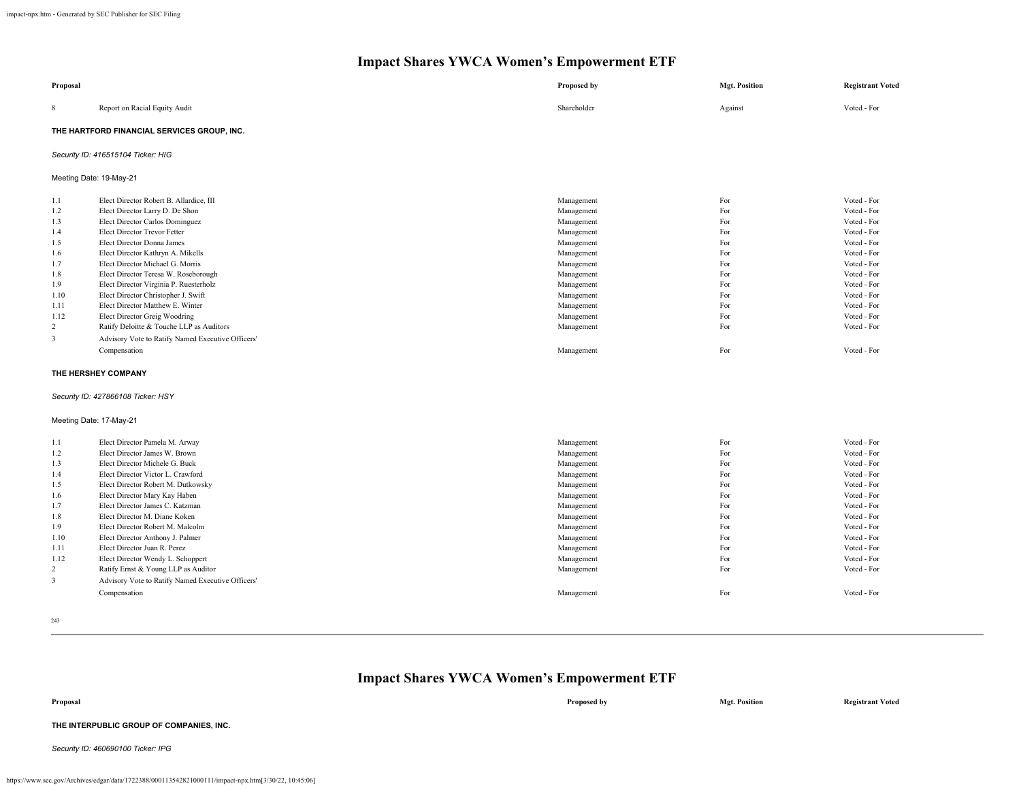| Proposal                                                                                                   |                                                                                                                                                                                                                                                                                                                                                                                                                                                                                                                                                                                            | Proposed by                                                                                                                                                                                      | <b>Mgt. Position</b>                                                                           | <b>Registrant Voted</b>                                                                                                                                                                                        |
|------------------------------------------------------------------------------------------------------------|--------------------------------------------------------------------------------------------------------------------------------------------------------------------------------------------------------------------------------------------------------------------------------------------------------------------------------------------------------------------------------------------------------------------------------------------------------------------------------------------------------------------------------------------------------------------------------------------|--------------------------------------------------------------------------------------------------------------------------------------------------------------------------------------------------|------------------------------------------------------------------------------------------------|----------------------------------------------------------------------------------------------------------------------------------------------------------------------------------------------------------------|
| 8                                                                                                          | Report on Racial Equity Audit                                                                                                                                                                                                                                                                                                                                                                                                                                                                                                                                                              | Shareholder                                                                                                                                                                                      | Against                                                                                        | Voted - For                                                                                                                                                                                                    |
|                                                                                                            | THE HARTFORD FINANCIAL SERVICES GROUP, INC.                                                                                                                                                                                                                                                                                                                                                                                                                                                                                                                                                |                                                                                                                                                                                                  |                                                                                                |                                                                                                                                                                                                                |
|                                                                                                            | Security ID: 416515104 Ticker: HIG                                                                                                                                                                                                                                                                                                                                                                                                                                                                                                                                                         |                                                                                                                                                                                                  |                                                                                                |                                                                                                                                                                                                                |
|                                                                                                            | Meeting Date: 19-May-21                                                                                                                                                                                                                                                                                                                                                                                                                                                                                                                                                                    |                                                                                                                                                                                                  |                                                                                                |                                                                                                                                                                                                                |
| 1.1<br>1.2<br>1.3<br>1.4<br>1.5<br>1.6<br>1.7<br>1.8<br>1.9<br>1.10<br>1.11<br>1.12<br>2<br>3              | Elect Director Robert B. Allardice. III<br>Elect Director Larry D. De Shon<br>Elect Director Carlos Dominguez<br>Elect Director Trevor Fetter<br>Elect Director Donna James<br>Elect Director Kathryn A. Mikells<br>Elect Director Michael G. Morris<br>Elect Director Teresa W. Roseborough<br>Elect Director Virginia P. Ruesterholz<br>Elect Director Christopher J. Swift<br>Elect Director Matthew E. Winter<br>Elect Director Greig Woodring<br>Ratify Deloitte & Touche LLP as Auditors<br>Advisory Vote to Ratify Named Executive Officers'<br>Compensation<br>THE HERSHEY COMPANY | Management<br>Management<br>Management<br>Management<br>Management<br>Management<br>Management<br>Management<br>Management<br>Management<br>Management<br>Management<br>Management<br>Management | For<br>For<br>For<br>For<br>For<br>For<br>For<br>For<br>For<br>For<br>For<br>For<br>For<br>For | Voted - For<br>Voted - For<br>Voted - For<br>Voted - For<br>Voted - For<br>Voted - For<br>Voted - For<br>Voted - For<br>Voted - For<br>Voted - For<br>Voted - For<br>Voted - For<br>Voted - For<br>Voted - For |
|                                                                                                            | Security ID: 427866108 Ticker: HSY                                                                                                                                                                                                                                                                                                                                                                                                                                                                                                                                                         |                                                                                                                                                                                                  |                                                                                                |                                                                                                                                                                                                                |
|                                                                                                            | Meeting Date: 17-May-21                                                                                                                                                                                                                                                                                                                                                                                                                                                                                                                                                                    |                                                                                                                                                                                                  |                                                                                                |                                                                                                                                                                                                                |
| 1.1<br>1.2<br>1.3<br>1.4<br>1.5<br>1.6<br>1.7<br>1.8<br>1.9<br>1.10<br>1.11<br>1.12<br>$\overline{c}$<br>3 | Elect Director Pamela M. Arway<br>Elect Director James W. Brown<br>Elect Director Michele G. Buck<br>Elect Director Victor L. Crawford<br>Elect Director Robert M. Dutkowsky<br>Elect Director Mary Kay Haben<br>Elect Director James C. Katzman<br>Elect Director M. Diane Koken<br>Elect Director Robert M. Malcolm<br>Elect Director Anthony J. Palmer<br>Elect Director Juan R. Perez<br>Elect Director Wendy L. Schoppert<br>Ratify Ernst & Young LLP as Auditor<br>Advisory Vote to Ratify Named Executive Officers'<br>Compensation                                                 | Management<br>Management<br>Management<br>Management<br>Management<br>Management<br>Management<br>Management<br>Management<br>Management<br>Management<br>Management<br>Management<br>Management | For<br>For<br>For<br>For<br>For<br>For<br>For<br>For<br>For<br>For<br>For<br>For<br>For<br>For | Voted - For<br>Voted - For<br>Voted - For<br>Voted - For<br>Voted - For<br>Voted - For<br>Voted - For<br>Voted - For<br>Voted - For<br>Voted - For<br>Voted - For<br>Voted - For<br>Voted - For<br>Voted - For |
|                                                                                                            |                                                                                                                                                                                                                                                                                                                                                                                                                                                                                                                                                                                            |                                                                                                                                                                                                  |                                                                                                |                                                                                                                                                                                                                |

243

**Impact Shares YWCA Women's Empowerment ETF**

**Proposal Proposed by Mgt. Position Registrant Voted THE INTERPUBLIC GROUP OF COMPANIES, INC.**

*Security ID: 460690100 Ticker: IPG*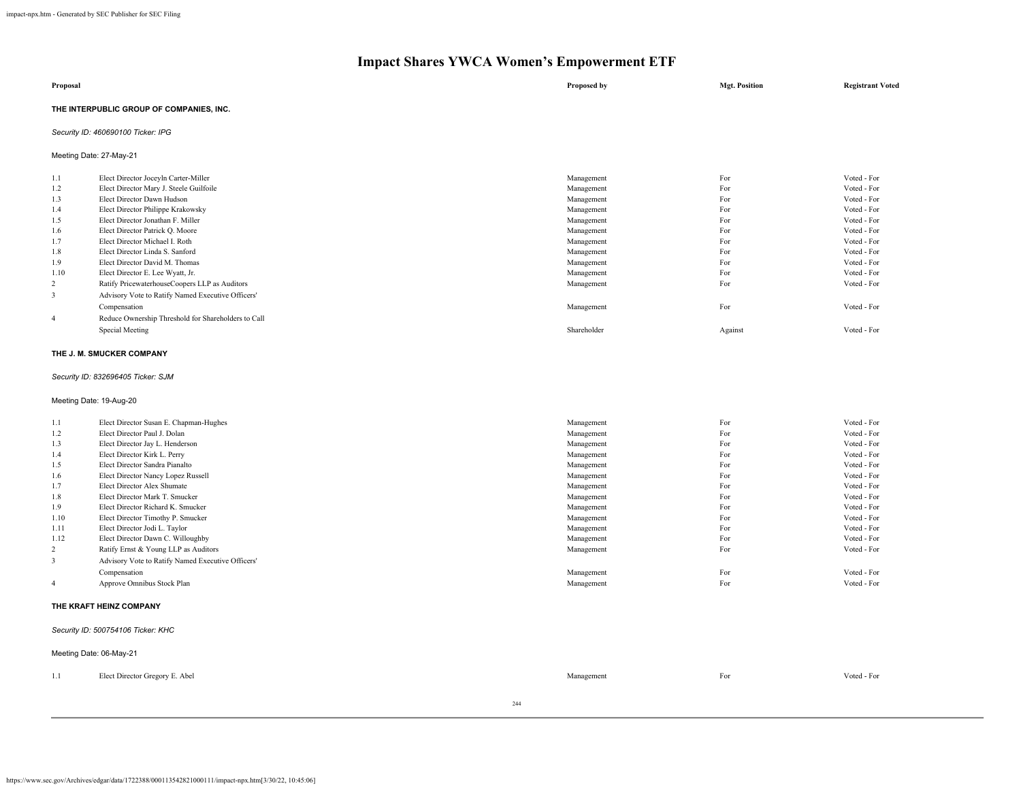| Proposal                                 | Proposed by | <b>Mgt. Position</b> | <b>Registrant Voted</b> |
|------------------------------------------|-------------|----------------------|-------------------------|
| THE INTERPUBLIC GROUP OF COMPANIES, INC. |             |                      |                         |

# *Security ID: 460690100 Ticker: IPG*

Meeting Date: 27-May-21

| 1.1            | Elect Director Joceyln Carter-Miller                | Management  | For     | Voted - For |
|----------------|-----------------------------------------------------|-------------|---------|-------------|
| 1.2            | Elect Director Mary J. Steele Guilfoile             | Management  | For     | Voted - For |
| 1.3            | Elect Director Dawn Hudson                          | Management  | For     | Voted - For |
| 1.4            | Elect Director Philippe Krakowsky                   | Management  | For     | Voted - For |
| 1.5            | Elect Director Jonathan F. Miller                   | Management  | For     | Voted - For |
| 1.6            | Elect Director Patrick Q. Moore                     | Management  | For     | Voted - For |
| 1.7            | Elect Director Michael I. Roth                      | Management  | For     | Voted - For |
| 1.8            | Elect Director Linda S. Sanford                     | Management  | For     | Voted - For |
| 1.9            | Elect Director David M. Thomas                      | Management  | For     | Voted - For |
| 1.10           | Elect Director E. Lee Wyatt, Jr.                    | Management  | For     | Voted - For |
| 2              | Ratify PricewaterhouseCoopers LLP as Auditors       | Management  | For     | Voted - For |
| 3              | Advisory Vote to Ratify Named Executive Officers'   |             |         |             |
|                | Compensation                                        | Management  | For     | Voted - For |
| $\overline{4}$ | Reduce Ownership Threshold for Shareholders to Call |             |         |             |
|                | Special Meeting                                     | Shareholder | Against | Voted - For |
|                |                                                     |             |         |             |

#### **THE J. M. SMUCKER COMPANY**

# *Security ID: 832696405 Ticker: SJM*

Meeting Date: 19-Aug-20

| 1.1            | Elect Director Susan E. Chapman-Hughes            | Management | For | Voted - For |
|----------------|---------------------------------------------------|------------|-----|-------------|
| 1.2            | Elect Director Paul J. Dolan                      | Management | For | Voted - For |
| 1.3            | Elect Director Jay L. Henderson                   | Management | For | Voted - For |
| 1.4            | Elect Director Kirk L. Perry                      | Management | For | Voted - For |
| 1.5            | Elect Director Sandra Pianalto                    | Management | For | Voted - For |
| 1.6            | Elect Director Nancy Lopez Russell                | Management | For | Voted - For |
| 1.7            | Elect Director Alex Shumate                       | Management | For | Voted - For |
| 1.8            | Elect Director Mark T. Smucker                    | Management | For | Voted - For |
| 1.9            | Elect Director Richard K. Smucker                 | Management | For | Voted - For |
| 1.10           | Elect Director Timothy P. Smucker                 | Management | For | Voted - For |
| 1.11           | Elect Director Jodi L. Taylor                     | Management | For | Voted - For |
| 1.12           | Elect Director Dawn C. Willoughby                 | Management | For | Voted - For |
| $\overline{2}$ | Ratify Ernst & Young LLP as Auditors              | Management | For | Voted - For |
| 3              | Advisory Vote to Ratify Named Executive Officers' |            |     |             |
|                | Compensation                                      | Management | For | Voted - For |
| $\overline{4}$ | Approve Omnibus Stock Plan                        | Management | For | Voted - For |

#### **THE KRAFT HEINZ COMPANY**

#### *Security ID: 500754106 Ticker: KHC*

|     | Meeting Date: 06-May-21        |            |     |             |
|-----|--------------------------------|------------|-----|-------------|
| 1.1 | Elect Director Gregory E. Abel | Management | For | Voted - For |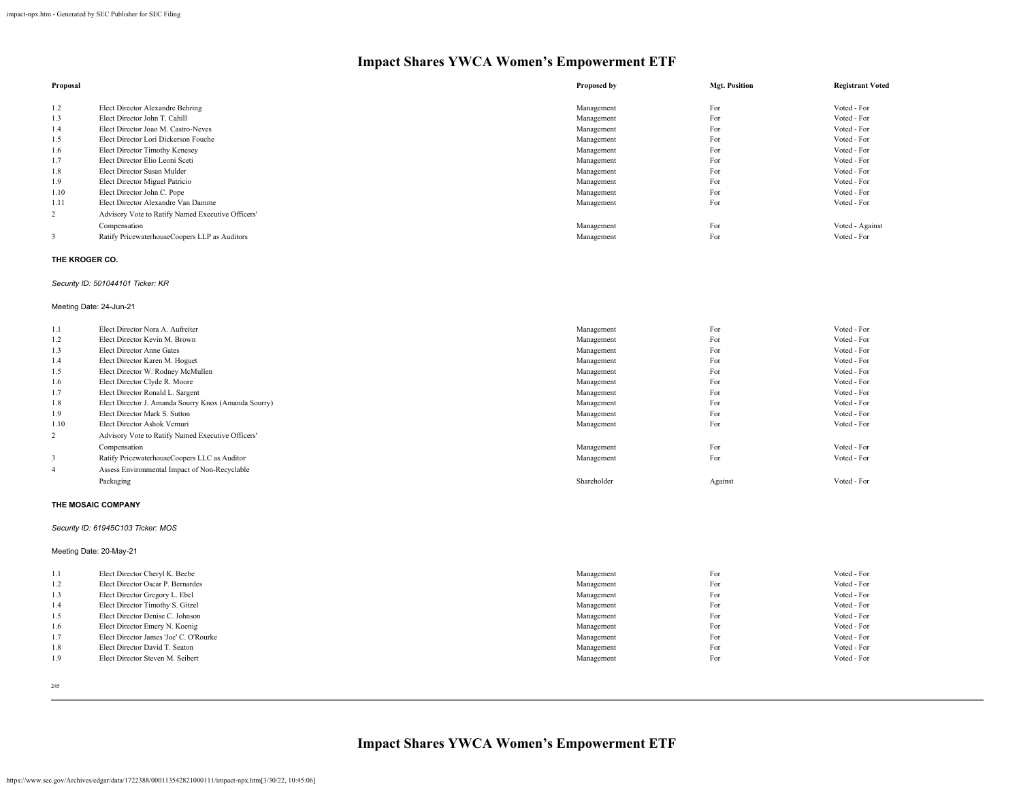| Proposal       |                                                   | Proposed by | <b>Mgt. Position</b> | <b>Registrant Voted</b> |
|----------------|---------------------------------------------------|-------------|----------------------|-------------------------|
|                |                                                   |             |                      |                         |
| 1.2            | Elect Director Alexandre Behring                  | Management  | For                  | Voted - For             |
| 1.3            | Elect Director John T. Cahill                     | Management  | For                  | Voted - For             |
| 1.4            | Elect Director Joao M. Castro-Neves               | Management  | For                  | Voted - For             |
| 1.5            | Elect Director Lori Dickerson Fouche              | Management  | For                  | Voted - For             |
| 1.6            | Elect Director Timothy Kenesey                    | Management  | For                  | Voted - For             |
| 1.7            | Elect Director Elio Leoni Sceti                   | Management  | For                  | Voted - For             |
| 1.8            | Elect Director Susan Mulder                       | Management  | For                  | Voted - For             |
| 1.9            | Elect Director Miguel Patricio                    | Management  | For                  | Voted - For             |
| 1.10           | Elect Director John C. Pope                       | Management  | For                  | Voted - For             |
| 1.11           | Elect Director Alexandre Van Damme                | Management  | For                  | Voted - For             |
| $\overline{2}$ | Advisory Vote to Ratify Named Executive Officers' |             |                      |                         |
|                | Compensation                                      | Management  | For                  | Voted - Against         |
|                | Ratify PricewaterhouseCoopers LLP as Auditors     | Management  | For                  | Voted - For             |

# **THE KROGER CO.**

#### *Security ID: 501044101 Ticker: KR*

#### Meeting Date: 24-Jun-21

| 1.1            | Elect Director Nora A. Aufreiter                     | Management  | For     | Voted - For |
|----------------|------------------------------------------------------|-------------|---------|-------------|
| 1.2            | Elect Director Kevin M. Brown                        | Management  | For     | Voted - For |
| 1.3            | Elect Director Anne Gates                            | Management  | For     | Voted - For |
| 1.4            | Elect Director Karen M. Hoguet                       | Management  | For     | Voted - For |
| 1.5            | Elect Director W. Rodney McMullen                    | Management  | For     | Voted - For |
| 1.6            | Elect Director Clyde R. Moore                        | Management  | For     | Voted - For |
| 1.7            | Elect Director Ronald L. Sargent                     | Management  | For     | Voted - For |
| 1.8            | Elect Director J. Amanda Sourry Knox (Amanda Sourry) | Management  | For     | Voted - For |
| 1.9            | Elect Director Mark S. Sutton                        | Management  | For     | Voted - For |
| 1.10           | Elect Director Ashok Vemuri                          | Management  | For     | Voted - For |
| 2              | Advisory Vote to Ratify Named Executive Officers'    |             |         |             |
|                | Compensation                                         | Management  | For     | Voted - For |
|                | Ratify PricewaterhouseCoopers LLC as Auditor         | Management  | For     | Voted - For |
| $\overline{4}$ | Assess Environmental Impact of Non-Recyclable        |             |         |             |
|                | Packaging                                            | Shareholder | Against | Voted - For |

#### **THE MOSAIC COMPANY**

# *Security ID: 61945C103 Ticker: MOS*

Meeting Date: 20-May-21

| 1.1 | Elect Director Cheryl K. Beebe         | Management | For | Voted - For |
|-----|----------------------------------------|------------|-----|-------------|
| 1.2 | Elect Director Oscar P. Bernardes      | Management | For | Voted - For |
| 1.3 | Elect Director Gregory L. Ebel         | Management | For | Voted - For |
| 1.4 | Elect Director Timothy S. Gitzel       | Management | For | Voted - For |
| 1.5 | Elect Director Denise C. Johnson       | Management | For | Voted - For |
| 1.6 | Elect Director Emery N. Koenig         | Management | For | Voted - For |
| 1.7 | Elect Director James 'Joc' C. O'Rourke | Management | For | Voted - For |
| 1.8 | Elect Director David T. Seaton         | Management | For | Voted - For |
| 1.9 | Elect Director Steven M. Seibert       | Management | For | Voted - For |
|     |                                        |            |     |             |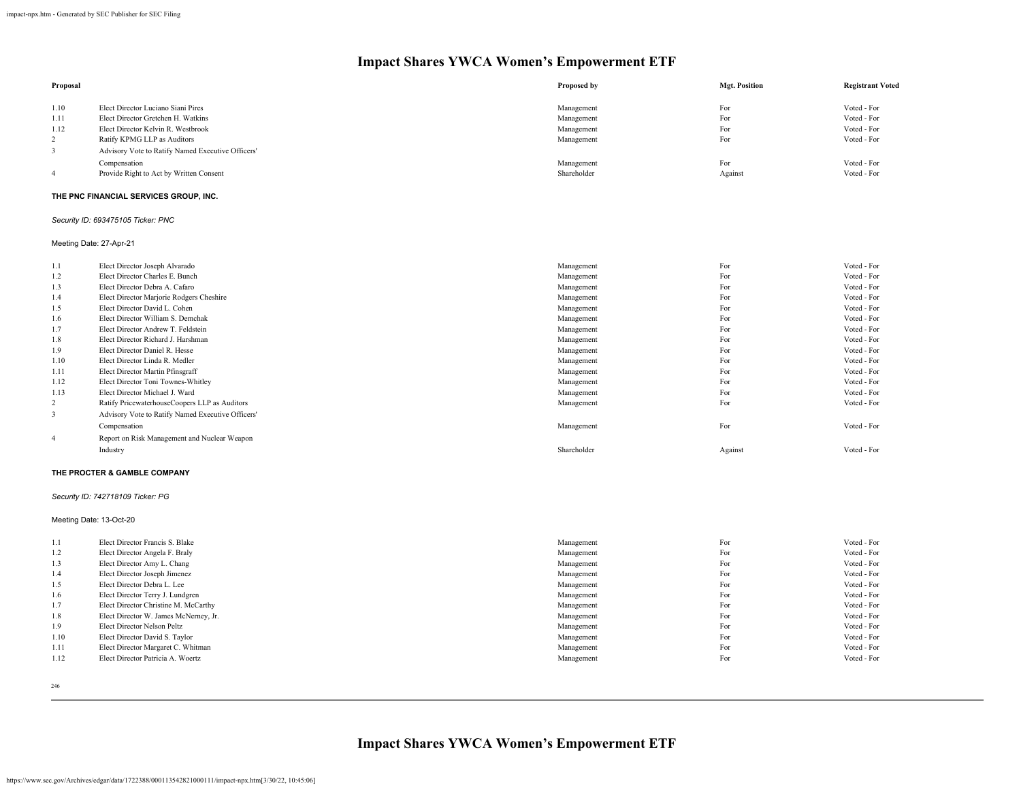| Proposal       |                                                   | Proposed by | <b>Mgt. Position</b> | <b>Registrant Voted</b> |
|----------------|---------------------------------------------------|-------------|----------------------|-------------------------|
| 1.10           | Elect Director Luciano Siani Pires                | Management  | For                  | Voted - For             |
| 1.11           | Elect Director Gretchen H. Watkins                | Management  | For                  | Voted - For             |
| 1.12           | Elect Director Kelvin R. Westbrook                | Management  | For                  | Voted - For             |
| $\mathcal{L}$  | Ratify KPMG LLP as Auditors                       | Management  | For                  | Voted - For             |
|                | Advisory Vote to Ratify Named Executive Officers' |             |                      |                         |
|                | Compensation                                      | Management  | For                  | Voted - For             |
| $\overline{4}$ | Provide Right to Act by Written Consent           | Shareholder | Against              | Voted - For             |

# **THE PNC FINANCIAL SERVICES GROUP, INC.**

*Security ID: 693475105 Ticker: PNC*

# Meeting Date: 27-Apr-21

| 1.1            | Elect Director Joseph Alvarado                    | Management  | For     | Voted - For |
|----------------|---------------------------------------------------|-------------|---------|-------------|
| 1.2            | Elect Director Charles E. Bunch                   | Management  | For     | Voted - For |
| 1.3            | Elect Director Debra A. Cafaro                    | Management  | For     | Voted - For |
| 1.4            | Elect Director Marjorie Rodgers Cheshire          | Management  | For     | Voted - For |
| 1.5            | Elect Director David L. Cohen                     | Management  | For     | Voted - For |
| 1.6            | Elect Director William S. Demchak                 | Management  | For     | Voted - For |
| 1.7            | Elect Director Andrew T. Feldstein                | Management  | For     | Voted - For |
| 1.8            | Elect Director Richard J. Harshman                | Management  | For     | Voted - For |
| 1.9            | Elect Director Daniel R. Hesse                    | Management  | For     | Voted - For |
| 1.10           | Elect Director Linda R. Medler                    | Management  | For     | Voted - For |
| 1.11           | Elect Director Martin Pfinsgraff                  | Management  | For     | Voted - For |
| 1.12           | Elect Director Toni Townes-Whitley                | Management  | For     | Voted - For |
| 1.13           | Elect Director Michael J. Ward                    | Management  | For     | Voted - For |
| 2              | Ratify PricewaterhouseCoopers LLP as Auditors     | Management  | For     | Voted - For |
| 3              | Advisory Vote to Ratify Named Executive Officers' |             |         |             |
|                | Compensation                                      | Management  | For     | Voted - For |
| $\overline{4}$ | Report on Risk Management and Nuclear Weapon      |             |         |             |
|                | Industry                                          | Shareholder | Against | Voted - For |
|                |                                                   |             |         |             |

#### **THE PROCTER & GAMBLE COMPANY**

# *Security ID: 742718109 Ticker: PG*

Meeting Date: 13-Oct-20

| 1.1  | Elect Director Francis S. Blake       | Management | For | Voted - For |
|------|---------------------------------------|------------|-----|-------------|
| 1.2  | Elect Director Angela F. Braly        | Management | For | Voted - For |
| 1.3  | Elect Director Amy L. Chang           | Management | For | Voted - For |
| 1.4  | Elect Director Joseph Jimenez         | Management | For | Voted - For |
| 1.5  | Elect Director Debra L. Lee           | Management | For | Voted - For |
| 1.6  | Elect Director Terry J. Lundgren      | Management | For | Voted - For |
| 1.7  | Elect Director Christine M. McCarthy  | Management | For | Voted - For |
| 1.8  | Elect Director W. James McNerney, Jr. | Management | For | Voted - For |
| 1.9  | Elect Director Nelson Peltz           | Management | For | Voted - For |
| 1.10 | Elect Director David S. Taylor        | Management | For | Voted - For |
| 1.11 | Elect Director Margaret C. Whitman    | Management | For | Voted - For |
| 1.12 | Elect Director Patricia A. Woertz     | Management | For | Voted - For |
|      |                                       |            |     |             |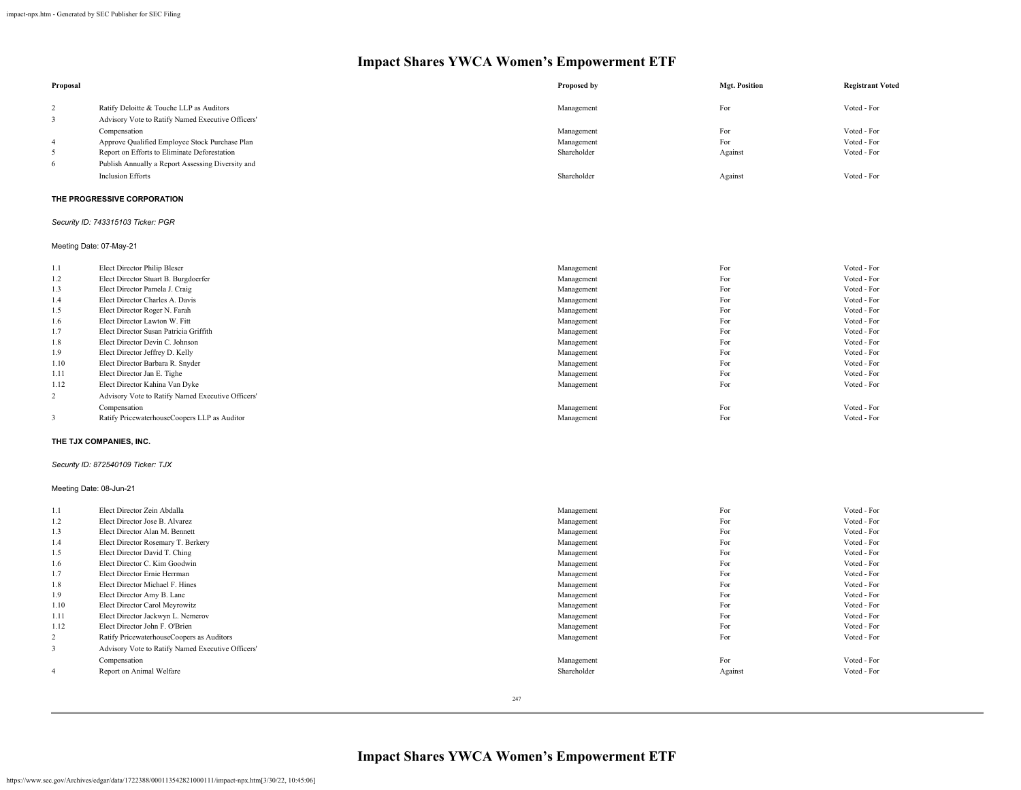| Proposal                |                                                   | Proposed by | <b>Mgt. Position</b> | <b>Registrant Voted</b> |
|-------------------------|---------------------------------------------------|-------------|----------------------|-------------------------|
| $\overline{2}$          | Ratify Deloitte & Touche LLP as Auditors          | Management  | For                  | Voted - For             |
| 3                       | Advisory Vote to Ratify Named Executive Officers' |             |                      |                         |
|                         | Compensation                                      | Management  | For                  | Voted - For             |
| $\overline{4}$          | Approve Qualified Employee Stock Purchase Plan    | Management  | For                  | Voted - For             |
| 5                       | Report on Efforts to Eliminate Deforestation      | Shareholder | Against              | Voted - For             |
| 6                       | Publish Annually a Report Assessing Diversity and |             |                      |                         |
|                         | <b>Inclusion Efforts</b>                          | Shareholder | Against              | Voted - For             |
|                         | THE PROGRESSIVE CORPORATION                       |             |                      |                         |
|                         | Security ID: 743315103 Ticker: PGR                |             |                      |                         |
| Meeting Date: 07-May-21 |                                                   |             |                      |                         |

| 1.1            | Elect Director Philip Bleser                      | Management | For | Voted - For |
|----------------|---------------------------------------------------|------------|-----|-------------|
| 1.2            | Elect Director Stuart B. Burgdoerfer              | Management | For | Voted - For |
| 1.3            | Elect Director Pamela J. Craig                    | Management | For | Voted - For |
| 1.4            | Elect Director Charles A. Davis                   | Management | For | Voted - For |
| 1.5            | Elect Director Roger N. Farah                     | Management | For | Voted - For |
| 1.6            | Elect Director Lawton W. Fitt                     | Management | For | Voted - For |
| 1.7            | Elect Director Susan Patricia Griffith            | Management | For | Voted - For |
| 1.8            | Elect Director Devin C. Johnson                   | Management | For | Voted - For |
| 1.9            | Elect Director Jeffrey D. Kelly                   | Management | For | Voted - For |
| 1.10           | Elect Director Barbara R. Snyder                  | Management | For | Voted - For |
| 1.11           | Elect Director Jan E. Tighe                       | Management | For | Voted - For |
| 1.12           | Elect Director Kahina Van Dyke                    | Management | For | Voted - For |
| $\overline{2}$ | Advisory Vote to Ratify Named Executive Officers' |            |     |             |
|                | Compensation                                      | Management | For | Voted - For |
| 3              | Ratify PricewaterhouseCoopers LLP as Auditor      | Management | For | Voted - For |
|                |                                                   |            |     |             |

# **THE TJX COMPANIES, INC.**

# *Security ID: 872540109 Ticker: TJX*

# Meeting Date: 08-Jun-21

| 1.1            | Elect Director Zein Abdalla                       | Management  | For     | Voted - For |
|----------------|---------------------------------------------------|-------------|---------|-------------|
| 1.2            | Elect Director Jose B. Alvarez                    | Management  | For     | Voted - For |
| 1.3            | Elect Director Alan M. Bennett                    | Management  | For     | Voted - For |
| 1.4            | Elect Director Rosemary T. Berkery                | Management  | For     | Voted - For |
| 1.5            | Elect Director David T. Ching                     | Management  | For     | Voted - For |
| 1.6            | Elect Director C. Kim Goodwin                     | Management  | For     | Voted - For |
| 1.7            | Elect Director Ernie Herrman                      | Management  | For     | Voted - For |
| 1.8            | Elect Director Michael F. Hines                   | Management  | For     | Voted - For |
| 1.9            | Elect Director Amy B. Lane                        | Management  | For     | Voted - For |
| 1.10           | Elect Director Carol Meyrowitz                    | Management  | For     | Voted - For |
| 1.11           | Elect Director Jackwyn L. Nemerov                 | Management  | For     | Voted - For |
| 1.12           | Elect Director John F. O'Brien                    | Management  | For     | Voted - For |
| 2              | Ratify PricewaterhouseCoopers as Auditors         | Management  | For     | Voted - For |
| 3              | Advisory Vote to Ratify Named Executive Officers' |             |         |             |
|                | Compensation                                      | Management  | For     | Voted - For |
| $\overline{4}$ | Report on Animal Welfare                          | Shareholder | Against | Voted - For |
|                |                                                   |             |         |             |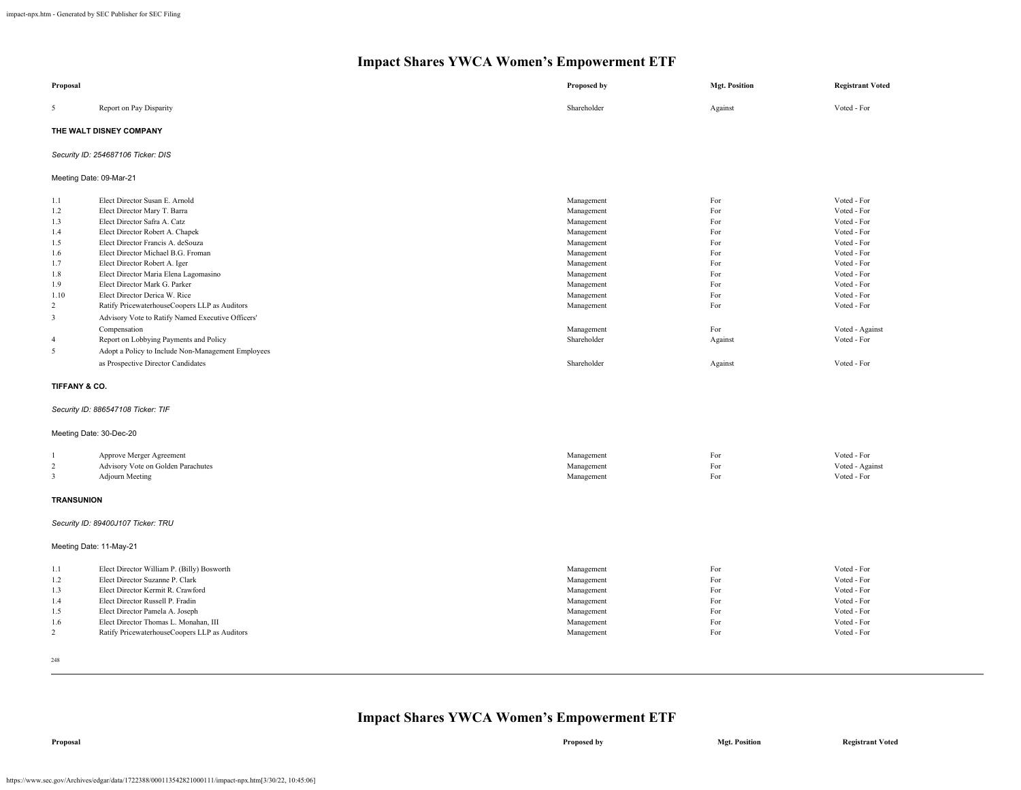| Proposal                                                 |                                                                                                                                                                                                                                                                                     | Proposed by                                                                                    | <b>Mgt. Position</b>                          | <b>Registrant Voted</b>                                                                               |
|----------------------------------------------------------|-------------------------------------------------------------------------------------------------------------------------------------------------------------------------------------------------------------------------------------------------------------------------------------|------------------------------------------------------------------------------------------------|-----------------------------------------------|-------------------------------------------------------------------------------------------------------|
| 5                                                        | Report on Pay Disparity                                                                                                                                                                                                                                                             | Shareholder                                                                                    | Against                                       | Voted - For                                                                                           |
|                                                          | THE WALT DISNEY COMPANY                                                                                                                                                                                                                                                             |                                                                                                |                                               |                                                                                                       |
|                                                          | Security ID: 254687106 Ticker: DIS                                                                                                                                                                                                                                                  |                                                                                                |                                               |                                                                                                       |
| Meeting Date: 09-Mar-21                                  |                                                                                                                                                                                                                                                                                     |                                                                                                |                                               |                                                                                                       |
| 1.1<br>1.2                                               | Elect Director Susan E. Arnold<br>Elect Director Mary T. Barra                                                                                                                                                                                                                      | Management<br>Management                                                                       | For<br>For                                    | Voted - For<br>Voted - For                                                                            |
| 1.3<br>1.4<br>1.5                                        | Elect Director Safra A. Catz<br>Elect Director Robert A. Chapek<br>Elect Director Francis A. deSouza                                                                                                                                                                                | Management<br>Management<br>Management                                                         | For<br>For<br>For                             | Voted - For<br>Voted - For<br>Voted - For                                                             |
| 1.6<br>1.7                                               | Elect Director Michael B.G. Froman<br>Elect Director Robert A. Iger                                                                                                                                                                                                                 | Management<br>Management                                                                       | For<br>For                                    | Voted - For<br>Voted - For                                                                            |
| 1.8<br>1.9<br>1.10                                       | Elect Director Maria Elena Lagomasino<br>Elect Director Mark G. Parker<br>Elect Director Derica W. Rice                                                                                                                                                                             | Management<br>Management<br>Management                                                         | For<br>For<br>For                             | Voted - For<br>Voted - For<br>Voted - For                                                             |
| $\overline{c}$<br>$\overline{\mathbf{3}}$                | Ratify PricewaterhouseCoopers LLP as Auditors<br>Advisory Vote to Ratify Named Executive Officers'                                                                                                                                                                                  | Management                                                                                     | For                                           | Voted - For                                                                                           |
| $\overline{4}$<br>5                                      | Compensation<br>Report on Lobbying Payments and Policy<br>Adopt a Policy to Include Non-Management Employees                                                                                                                                                                        | Management<br>Shareholder                                                                      | For<br>Against                                | Voted - Against<br>Voted - For                                                                        |
|                                                          | as Prospective Director Candidates                                                                                                                                                                                                                                                  | Shareholder                                                                                    | Against                                       | Voted - For                                                                                           |
| TIFFANY & CO.                                            |                                                                                                                                                                                                                                                                                     |                                                                                                |                                               |                                                                                                       |
|                                                          | Security ID: 886547108 Ticker: TIF                                                                                                                                                                                                                                                  |                                                                                                |                                               |                                                                                                       |
| Meeting Date: 30-Dec-20                                  |                                                                                                                                                                                                                                                                                     |                                                                                                |                                               |                                                                                                       |
| $\overline{c}$<br>$\mathbf{3}$                           | Approve Merger Agreement<br>Advisory Vote on Golden Parachutes<br><b>Adjourn Meeting</b>                                                                                                                                                                                            | Management<br>Management<br>Management                                                         | For<br>For<br>For                             | Voted - For<br>Voted - Against<br>Voted - For                                                         |
| <b>TRANSUNION</b>                                        |                                                                                                                                                                                                                                                                                     |                                                                                                |                                               |                                                                                                       |
|                                                          | Security ID: 89400J107 Ticker: TRU                                                                                                                                                                                                                                                  |                                                                                                |                                               |                                                                                                       |
| Meeting Date: 11-May-21                                  |                                                                                                                                                                                                                                                                                     |                                                                                                |                                               |                                                                                                       |
| 1.1<br>1.2<br>1.3<br>1.4<br>1.5<br>1.6<br>$\overline{2}$ | Elect Director William P. (Billy) Bosworth<br>Elect Director Suzanne P. Clark<br>Elect Director Kermit R. Crawford<br>Elect Director Russell P. Fradin<br>Elect Director Pamela A. Joseph<br>Elect Director Thomas L. Monahan, III<br>Ratify PricewaterhouseCoopers LLP as Auditors | Management<br>Management<br>Management<br>Management<br>Management<br>Management<br>Management | For<br>For<br>For<br>For<br>For<br>For<br>For | Voted - For<br>Voted - For<br>Voted - For<br>Voted - For<br>Voted - For<br>Voted - For<br>Voted - For |

248

# **Impact Shares YWCA Women's Empowerment ETF**

**Proposal Proposed by Mgt. Position Registrant Voted**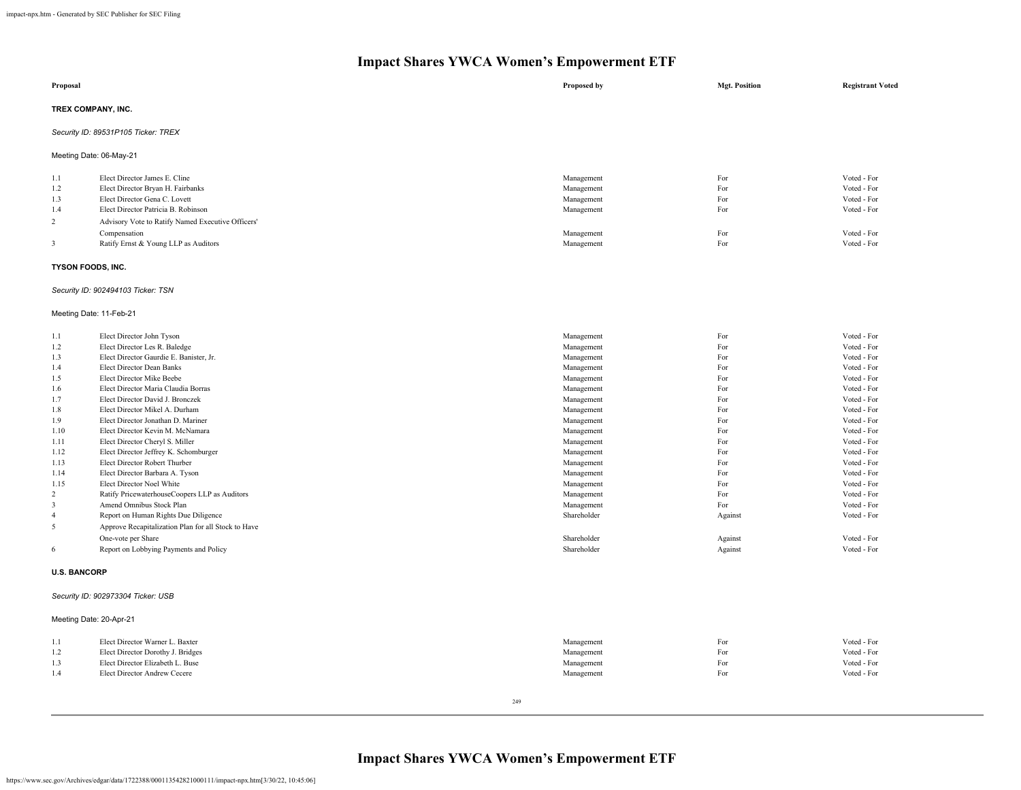|                    | $\blacksquare$<br>.<br>.                          |             |                      |                         |
|--------------------|---------------------------------------------------|-------------|----------------------|-------------------------|
| Proposal           |                                                   | Proposed by | <b>Mgt. Position</b> | <b>Registrant Voted</b> |
| TREX COMPANY, INC. |                                                   |             |                      |                         |
|                    | Security ID: 89531P105 Ticker: TREX               |             |                      |                         |
|                    | Meeting Date: 06-May-21                           |             |                      |                         |
| 1.1                | Elect Director James E. Cline                     | Management  | For                  | Voted - For             |
| 1.2                | Elect Director Bryan H. Fairbanks                 | Management  | For                  | Voted - For             |
| 1.3                | Elect Director Gena C. Lovett                     | Management  | For                  | Voted - For             |
| 1.4                | Elect Director Patricia B. Robinson               | Management  | For                  | Voted - For             |
| 2                  | Advisory Vote to Ratify Named Executive Officers' |             |                      |                         |
|                    | Compensation                                      | Management  | For                  | Voted - For             |
| 3                  | Ratify Ernst & Young LLP as Auditors              | Management  | For                  | Voted - For             |

#### **TYSON FOODS, INC.**

#### *Security ID: 902494103 Ticker: TSN*

# Meeting Date: 11-Feb-21

| 1.1            | Elect Director John Tyson                           | Management  | For     | Voted - For |
|----------------|-----------------------------------------------------|-------------|---------|-------------|
| 1.2            | Elect Director Les R. Baledge                       | Management  | For     | Voted - For |
| 1.3            | Elect Director Gaurdie E. Banister, Jr.             | Management  | For     | Voted - For |
| 1.4            | Elect Director Dean Banks                           | Management  | For     | Voted - For |
| 1.5            | Elect Director Mike Beebe                           | Management  | For     | Voted - For |
| 1.6            | Elect Director Maria Claudia Borras                 | Management  | For     | Voted - For |
| 1.7            | Elect Director David J. Bronczek                    | Management  | For     | Voted - For |
| 1.8            | Elect Director Mikel A. Durham                      | Management  | For     | Voted - For |
| 1.9            | Elect Director Jonathan D. Mariner                  | Management  | For     | Voted - For |
| 1.10           | Elect Director Kevin M. McNamara                    | Management  | For     | Voted - For |
| 1.11           | Elect Director Cheryl S. Miller                     | Management  | For     | Voted - For |
| 1.12           | Elect Director Jeffrey K. Schomburger               | Management  | For     | Voted - For |
| 1.13           | Elect Director Robert Thurber                       | Management  | For     | Voted - For |
| 1.14           | Elect Director Barbara A. Tyson                     | Management  | For     | Voted - For |
| 1.15           | Elect Director Noel White                           | Management  | For     | Voted - For |
| 2              | Ratify PricewaterhouseCoopers LLP as Auditors       | Management  | For     | Voted - For |
| 3              | Amend Omnibus Stock Plan                            | Management  | For     | Voted - For |
| $\overline{4}$ | Report on Human Rights Due Diligence                | Shareholder | Against | Voted - For |
| 5              | Approve Recapitalization Plan for all Stock to Have |             |         |             |
|                | One-vote per Share                                  | Shareholder | Against | Voted - For |
| -6             | Report on Lobbying Payments and Policy              | Shareholder | Against | Voted - For |
|                |                                                     |             |         |             |

# **U.S. BANCORP**

# *Security ID: 902973304 Ticker: USB*

# Meeting Date: 20-Apr-21

|     | Elect Director Warner L. Baxter   | Management | For | Voted - For |
|-----|-----------------------------------|------------|-----|-------------|
| 1.2 | Elect Director Dorothy J. Bridges | Management | For | Voted - For |
|     | Elect Director Elizabeth L. Buse  | Management | For | Voted - For |
|     | Elect Director Andrew Cecere      | Management | For | Voted - For |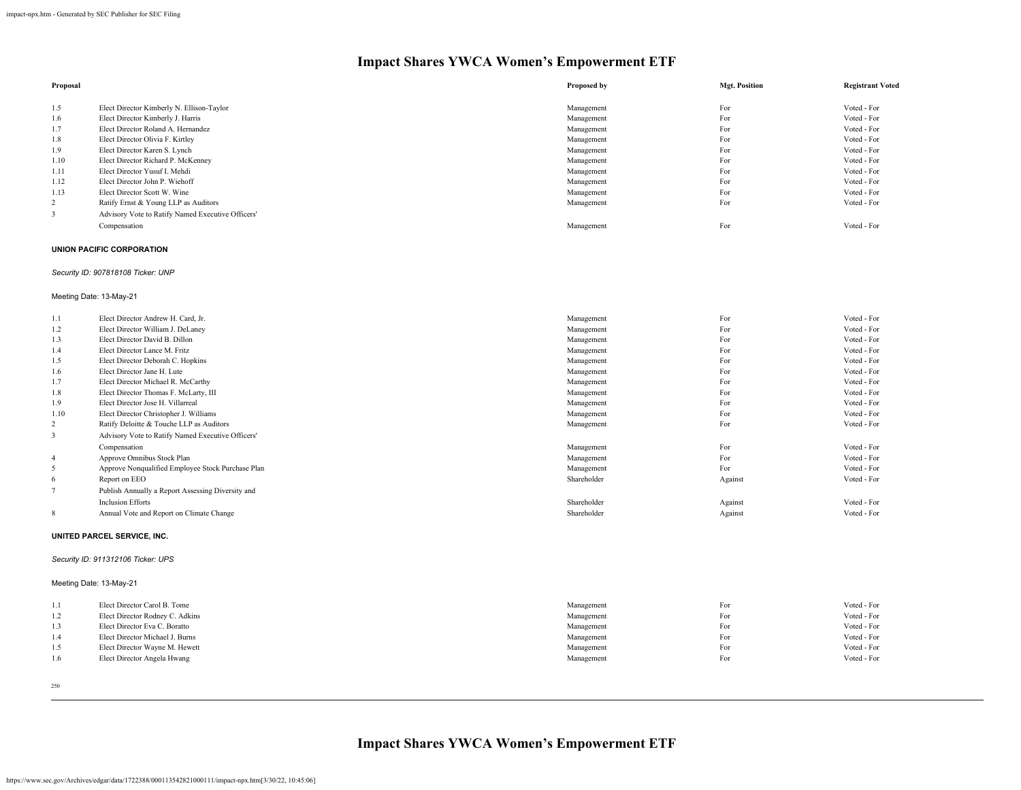| Proposal |                                                   | Proposed by | <b>Mgt. Position</b> | <b>Registrant Voted</b> |
|----------|---------------------------------------------------|-------------|----------------------|-------------------------|
|          |                                                   |             |                      |                         |
| 1.5      | Elect Director Kimberly N. Ellison-Taylor         | Management  | For                  | Voted - For             |
| 1.6      | Elect Director Kimberly J. Harris                 | Management  | For                  | Voted - For             |
| 1.7      | Elect Director Roland A. Hernandez                | Management  | For                  | Voted - For             |
| 1.8      | Elect Director Olivia F. Kirtley                  | Management  | For                  | Voted - For             |
| 1.9      | Elect Director Karen S. Lynch                     | Management  | For                  | Voted - For             |
| 1.10     | Elect Director Richard P. McKenney                | Management  | For                  | Voted - For             |
| 1.11     | Elect Director Yusuf I. Mehdi                     | Management  | For                  | Voted - For             |
| 1.12     | Elect Director John P. Wiehoff                    | Management  | For                  | Voted - For             |
| 1.13     | Elect Director Scott W. Wine                      | Management  | For                  | Voted - For             |
| 2        | Ratify Ernst & Young LLP as Auditors              | Management  | For                  | Voted - For             |
|          | Advisory Vote to Ratify Named Executive Officers' |             |                      |                         |
|          | Compensation                                      | Management  | For                  | Voted - For             |

#### **UNION PACIFIC CORPORATION**

# *Security ID: 907818108 Ticker: UNP*

# Meeting Date: 13-May-21

| 1.1  | Elect Director Andrew H. Card, Jr.                | Management  | For     | Voted - For |
|------|---------------------------------------------------|-------------|---------|-------------|
| 1.2  | Elect Director William J. DeLaney                 | Management  | For     | Voted - For |
| 1.3  | Elect Director David B. Dillon                    | Management  | For     | Voted - For |
| 1.4  | Elect Director Lance M. Fritz                     | Management  | For     | Voted - For |
| 1.5  | Elect Director Deborah C. Hopkins                 | Management  | For     | Voted - For |
| 1.6  | Elect Director Jane H. Lute                       | Management  | For     | Voted - For |
| 1.7  | Elect Director Michael R. McCarthy                | Management  | For     | Voted - For |
| 1.8  | Elect Director Thomas F. McLarty, III             | Management  | For     | Voted - For |
| 1.9  | Elect Director Jose H. Villarreal                 | Management  | For     | Voted - For |
| 1.10 | Elect Director Christopher J. Williams            | Management  | For     | Voted - For |
| 2    | Ratify Deloitte & Touche LLP as Auditors          | Management  | For     | Voted - For |
| 3    | Advisory Vote to Ratify Named Executive Officers' |             |         |             |
|      | Compensation                                      | Management  | For     | Voted - For |
| 4    | Approve Omnibus Stock Plan                        | Management  | For     | Voted - For |
| 5    | Approve Nonqualified Employee Stock Purchase Plan | Management  | For     | Voted - For |
| 6    | Report on EEO                                     | Shareholder | Against | Voted - For |
|      | Publish Annually a Report Assessing Diversity and |             |         |             |
|      | <b>Inclusion Efforts</b>                          | Shareholder | Against | Voted - For |
| 8    | Annual Vote and Report on Climate Change          | Shareholder | Against | Voted - For |
|      |                                                   |             |         |             |

#### **UNITED PARCEL SERVICE, INC.**

# *Security ID: 911312106 Ticker: UPS*

# Meeting Date: 13-May-21

| 1.1 | Elect Director Carol B. Tome    | Management | For | Voted - For |
|-----|---------------------------------|------------|-----|-------------|
| 1.2 | Elect Director Rodney C. Adkins | Management | For | Voted - For |
| 1.3 | Elect Director Eva C. Boratto   | Management | For | Voted - For |
| 1.4 | Elect Director Michael J. Burns | Management | For | Voted - For |
| 1.5 | Elect Director Wayne M. Hewett  | Management | For | Voted - For |
| 1.6 | Elect Director Angela Hwang     | Management | For | Voted - For |
|     |                                 |            |     |             |

250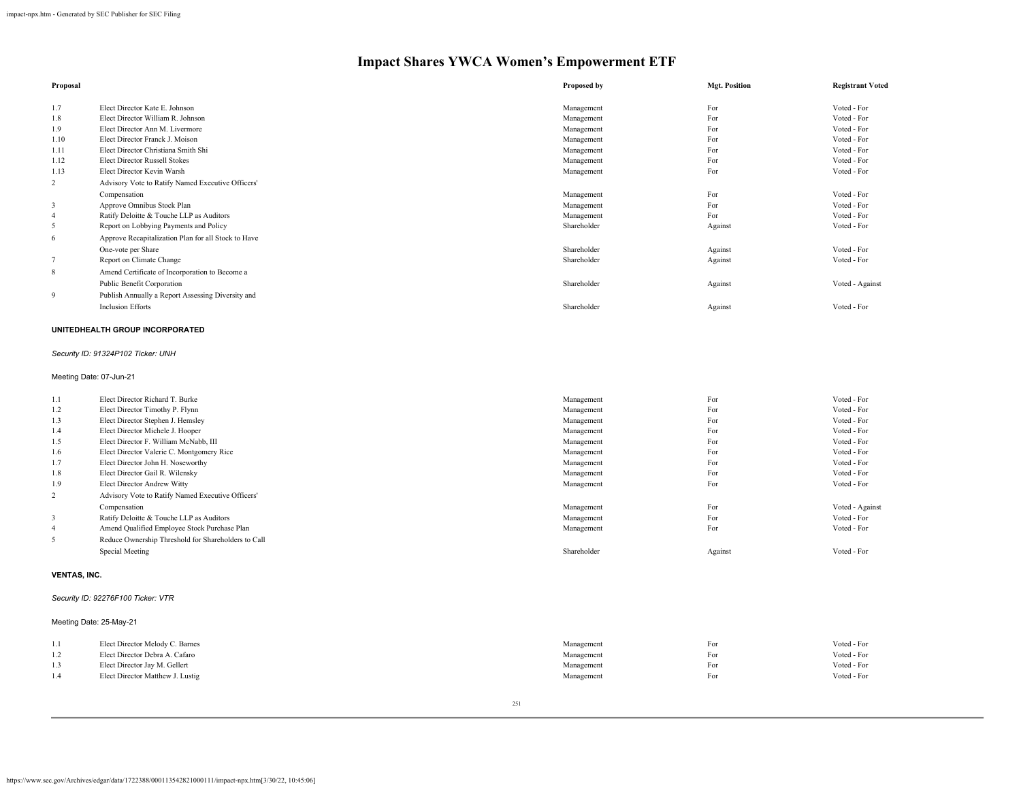| Proposal       |                                                     | Proposed by | <b>Mgt. Position</b> | <b>Registrant Voted</b> |
|----------------|-----------------------------------------------------|-------------|----------------------|-------------------------|
| 1.7            | Elect Director Kate E. Johnson                      | Management  | For                  | Voted - For             |
| 1.8            | Elect Director William R. Johnson                   | Management  | For                  | Voted - For             |
| 1.9            | Elect Director Ann M. Livermore                     | Management  | For                  | Voted - For             |
| 1.10           | Elect Director Franck J. Moison                     | Management  | For                  | Voted - For             |
| 1.11           | Elect Director Christiana Smith Shi                 | Management  | For                  | Voted - For             |
| 1.12           | <b>Elect Director Russell Stokes</b>                | Management  | For                  | Voted - For             |
| 1.13           | Elect Director Kevin Warsh                          | Management  | For                  | Voted - For             |
| 2              | Advisory Vote to Ratify Named Executive Officers'   |             |                      |                         |
|                | Compensation                                        | Management  | For                  | Voted - For             |
| 3              | Approve Omnibus Stock Plan                          | Management  | For                  | Voted - For             |
| $\overline{4}$ | Ratify Deloitte & Touche LLP as Auditors            | Management  | For                  | Voted - For             |
| 5              | Report on Lobbying Payments and Policy              | Shareholder | Against              | Voted - For             |
| 6              | Approve Recapitalization Plan for all Stock to Have |             |                      |                         |
|                | One-vote per Share                                  | Shareholder | Against              | Voted - For             |
|                | Report on Climate Change                            | Shareholder | Against              | Voted - For             |
| 8              | Amend Certificate of Incorporation to Become a      |             |                      |                         |
|                | Public Benefit Corporation                          | Shareholder | Against              | Voted - Against         |
| 9              | Publish Annually a Report Assessing Diversity and   |             |                      |                         |
|                | <b>Inclusion Efforts</b>                            | Shareholder | Against              | Voted - For             |

# **UNITEDHEALTH GROUP INCORPORATED**

# *Security ID: 91324P102 Ticker: UNH*

# Meeting Date: 07-Jun-21

| 1.1            | Elect Director Richard T. Burke                     | Management  | For     | Voted - For     |
|----------------|-----------------------------------------------------|-------------|---------|-----------------|
| 1.2            | Elect Director Timothy P. Flynn                     | Management  | For     | Voted - For     |
| 1.3            | Elect Director Stephen J. Hemsley                   | Management  | For     | Voted - For     |
| 1.4            | Elect Director Michele J. Hooper                    | Management  | For     | Voted - For     |
| 1.5            | Elect Director F. William McNabb, III               | Management  | For     | Voted - For     |
| 1.6            | Elect Director Valerie C. Montgomery Rice           | Management  | For     | Voted - For     |
| 1.7            | Elect Director John H. Noseworthy                   | Management  | For     | Voted - For     |
| 1.8            | Elect Director Gail R. Wilensky                     | Management  | For     | Voted - For     |
| 1.9            | Elect Director Andrew Witty                         | Management  | For     | Voted - For     |
| 2              | Advisory Vote to Ratify Named Executive Officers'   |             |         |                 |
|                | Compensation                                        | Management  | For     | Voted - Against |
| 3              | Ratify Deloitte & Touche LLP as Auditors            | Management  | For     | Voted - For     |
| $\overline{4}$ | Amend Qualified Employee Stock Purchase Plan        | Management  | For     | Voted - For     |
| 5              | Reduce Ownership Threshold for Shareholders to Call |             |         |                 |
|                | Special Meeting                                     | Shareholder | Against | Voted - For     |
|                |                                                     |             |         |                 |

# **VENTAS, INC.**

# *Security ID: 92276F100 Ticker: VTR*

# Meeting Date: 25-May-21

| Voted - For |
|-------------|
| Voted - For |
| Voted - For |
| Voted - For |
|             |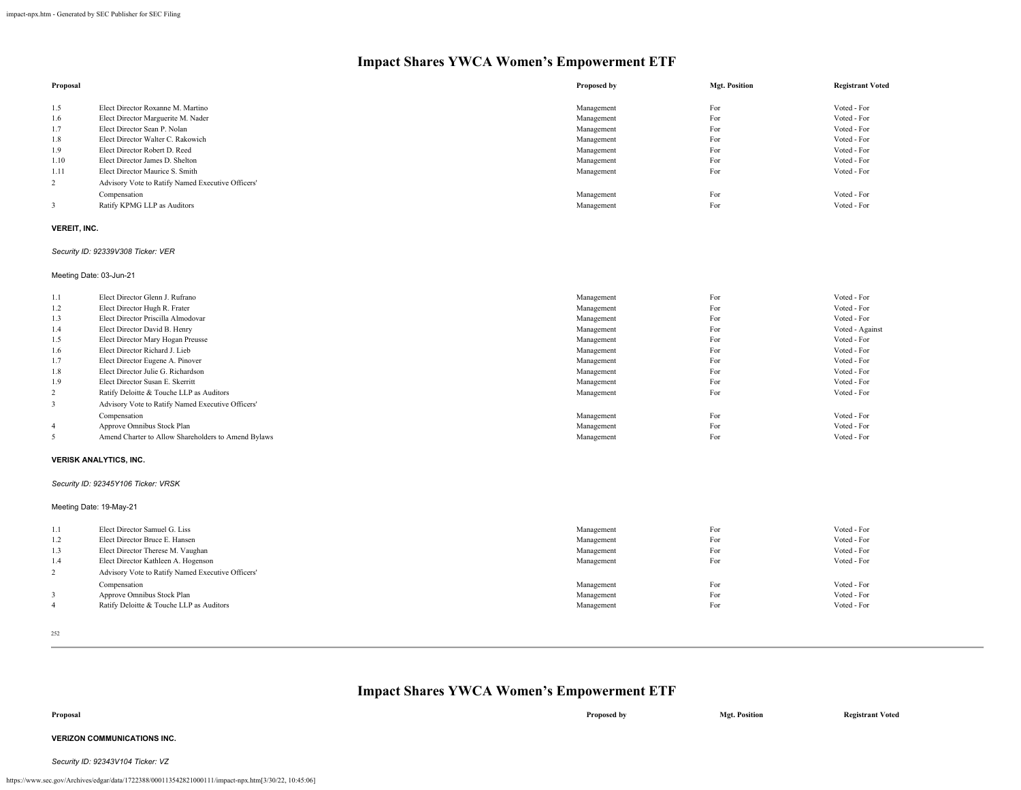| Proposal |                                                   | Proposed by | <b>Mgt. Position</b> | <b>Registrant Voted</b> |
|----------|---------------------------------------------------|-------------|----------------------|-------------------------|
|          |                                                   |             |                      |                         |
| 1.5      | Elect Director Roxanne M. Martino                 | Management  | For                  | Voted - For             |
| 1.6      | Elect Director Marguerite M. Nader                | Management  | For                  | Voted - For             |
| 1.7      | Elect Director Sean P. Nolan                      | Management  | For                  | Voted - For             |
| 1.8      | Elect Director Walter C. Rakowich                 | Management  | For                  | Voted - For             |
| 1.9      | Elect Director Robert D. Reed                     | Management  | For                  | Voted - For             |
| 1.10     | Elect Director James D. Shelton                   | Management  | For                  | Voted - For             |
| 1.11     | Elect Director Maurice S. Smith                   | Management  | For                  | Voted - For             |
| 2        | Advisory Vote to Ratify Named Executive Officers' |             |                      |                         |
|          | Compensation                                      | Management  | For                  | Voted - For             |
|          | Ratify KPMG LLP as Auditors                       | Management  | For                  | Voted - For             |

#### **VEREIT, INC.**

#### *Security ID: 92339V308 Ticker: VER*

Meeting Date: 03-Jun-21

| 1.1            | Elect Director Glenn J. Rufrano                     | Management | For | Voted - For     |
|----------------|-----------------------------------------------------|------------|-----|-----------------|
| 1.2            | Elect Director Hugh R. Frater                       | Management | For | Voted - For     |
| 1.3            | Elect Director Priscilla Almodovar                  | Management | For | Voted - For     |
| 1.4            | Elect Director David B. Henry                       | Management | For | Voted - Against |
| 1.5            | Elect Director Mary Hogan Preusse                   | Management | For | Voted - For     |
| 1.6            | Elect Director Richard J. Lieb                      | Management | For | Voted - For     |
| 1.7            | Elect Director Eugene A. Pinover                    | Management | For | Voted - For     |
| 1.8            | Elect Director Julie G. Richardson                  | Management | For | Voted - For     |
| 1.9            | Elect Director Susan E. Skerritt                    | Management | For | Voted - For     |
| 2              | Ratify Deloitte & Touche LLP as Auditors            | Management | For | Voted - For     |
| 3              | Advisory Vote to Ratify Named Executive Officers'   |            |     |                 |
|                | Compensation                                        | Management | For | Voted - For     |
| $\overline{4}$ | Approve Omnibus Stock Plan                          | Management | For | Voted - For     |
|                | Amend Charter to Allow Shareholders to Amend Bylaws | Management | For | Voted - For     |

#### **VERISK ANALYTICS, INC.**

*Security ID: 92345Y106 Ticker: VRSK*

Meeting Date: 19-May-21

| 1.1 | Elect Director Samuel G. Liss                     | Management | For | Voted - For |
|-----|---------------------------------------------------|------------|-----|-------------|
| 1.2 | Elect Director Bruce E. Hansen                    | Management | For | Voted - For |
| 1.3 | Elect Director Therese M. Vaughan                 | Management | For | Voted - For |
| 1.4 | Elect Director Kathleen A. Hogenson               | Management | For | Voted - For |
|     | Advisory Vote to Ratify Named Executive Officers' |            |     |             |
| 4   | Compensation                                      | Management | For | Voted - For |
|     | Approve Omnibus Stock Plan                        | Management | For | Voted - For |
|     | Ratify Deloitte & Touche LLP as Auditors          | Management | For | Voted - For |

252

# **Impact Shares YWCA Women's Empowerment ETF**

| Proposal | Proposed by | <b>Mgt. Position</b> | <b>Registrant Voted</b> |
|----------|-------------|----------------------|-------------------------|
|          |             |                      |                         |

# **VERIZON COMMUNICATIONS INC.**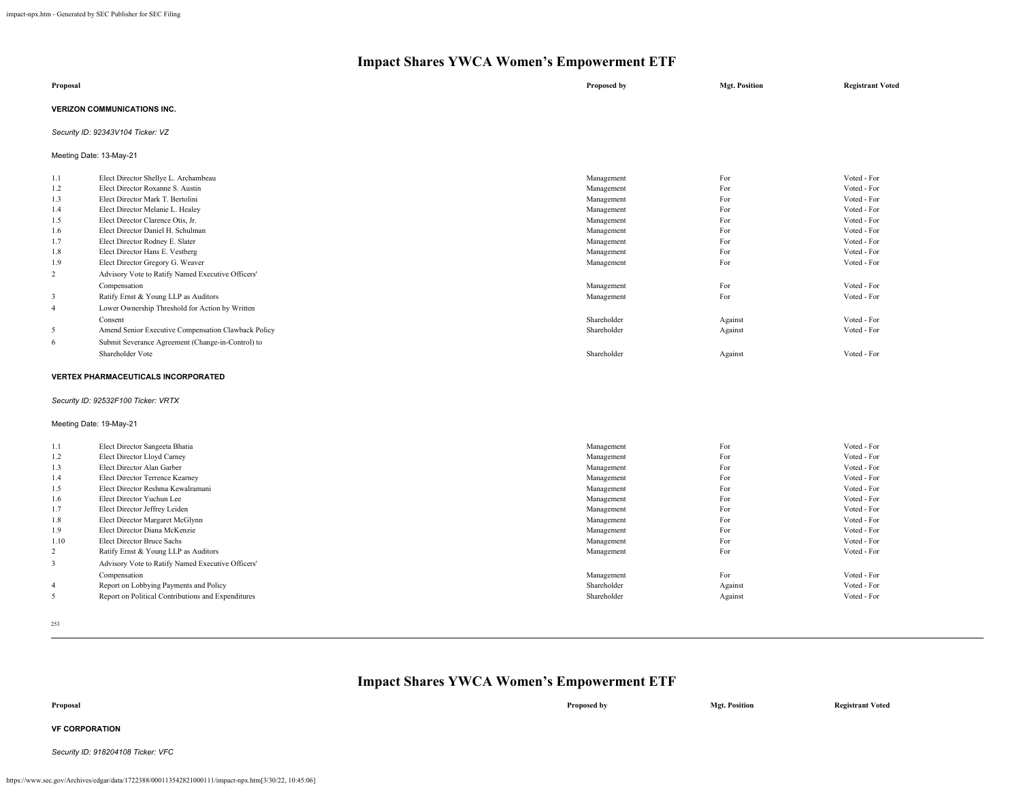| Proposal |                                      | Proposed by | <b>Mgt. Position</b> | <b>Registrant Voted</b> |  |  |
|----------|--------------------------------------|-------------|----------------------|-------------------------|--|--|
|          | <b>VERIZON COMMUNICATIONS INC.</b>   |             |                      |                         |  |  |
|          | Security ID: 92343V104 Ticker: VZ    |             |                      |                         |  |  |
|          | Meeting Date: 13-May-21              |             |                      |                         |  |  |
| 1.1      | Elect Director Shellye L. Archambeau | Management  | For                  | Voted - For             |  |  |
| 1.2      | Elect Director Roxanne S. Austin     | Management  | For                  | Voted - For             |  |  |
| .        | __________________                   |             | $\sim$               | .                       |  |  |

| 1.3            | Elect Director Mark T. Bertolini                    | Management  | For     | Voted - For |
|----------------|-----------------------------------------------------|-------------|---------|-------------|
| 1.4            | Elect Director Melanie L. Healey                    | Management  | For     | Voted - For |
| 1.5            | Elect Director Clarence Otis, Jr.                   | Management  | For     | Voted - For |
| 1.6            | Elect Director Daniel H. Schulman                   | Management  | For     | Voted - For |
| 1.7            | Elect Director Rodney E. Slater                     | Management  | For     | Voted - For |
| 1.8            | Elect Director Hans E. Vestberg                     | Management  | For     | Voted - For |
| 1.9            | Elect Director Gregory G. Weaver                    | Management  | For     | Voted - For |
| $\overline{c}$ | Advisory Vote to Ratify Named Executive Officers'   |             |         |             |
|                | Compensation                                        | Management  | For     | Voted - For |
| 3              | Ratify Ernst & Young LLP as Auditors                | Management  | For     | Voted - For |
| 4              | Lower Ownership Threshold for Action by Written     |             |         |             |
|                | Consent                                             | Shareholder | Against | Voted - For |
| 5              | Amend Senior Executive Compensation Clawback Policy | Shareholder | Against | Voted - For |
| 6              | Submit Severance Agreement (Change-in-Control) to   |             |         |             |
|                | Shareholder Vote                                    | Shareholder | Against | Voted - For |

# **VERTEX PHARMACEUTICALS INCORPORATED**

# *Security ID: 92532F100 Ticker: VRTX*

# Meeting Date: 19-May-21

| 1.1            | Elect Director Sangeeta Bhatia                     | Management  | For     | Voted - For |
|----------------|----------------------------------------------------|-------------|---------|-------------|
| 1.2            | Elect Director Lloyd Carney                        | Management  | For     | Voted - For |
| 1.3            | Elect Director Alan Garber                         | Management  | For     | Voted - For |
| 1.4            | Elect Director Terrence Kearney                    | Management  | For     | Voted - For |
| 1.5            | Elect Director Reshma Kewalramani                  | Management  | For     | Voted - For |
| 1.6            | Elect Director Yuchun Lee                          | Management  | For     | Voted - For |
| 1.7            | Elect Director Jeffrey Leiden                      | Management  | For     | Voted - For |
| 1.8            | Elect Director Margaret McGlynn                    | Management  | For     | Voted - For |
| 1.9            | Elect Director Diana McKenzie                      | Management  | For     | Voted - For |
| 1.10           | Elect Director Bruce Sachs                         | Management  | For     | Voted - For |
| 2              | Ratify Ernst & Young LLP as Auditors               | Management  | For     | Voted - For |
|                | Advisory Vote to Ratify Named Executive Officers'  |             |         |             |
|                | Compensation                                       | Management  | For     | Voted - For |
| $\overline{4}$ | Report on Lobbying Payments and Policy             | Shareholder | Against | Voted - For |
| 5              | Report on Political Contributions and Expenditures | Shareholder | Against | Voted - For |

253

| Proposal                           | Proposed by | <b>Mgt. Position</b> | <b>Registrant Voted</b> |
|------------------------------------|-------------|----------------------|-------------------------|
| <b>VF CORPORATION</b>              |             |                      |                         |
| Security ID: 918204108 Ticker: VFC |             |                      |                         |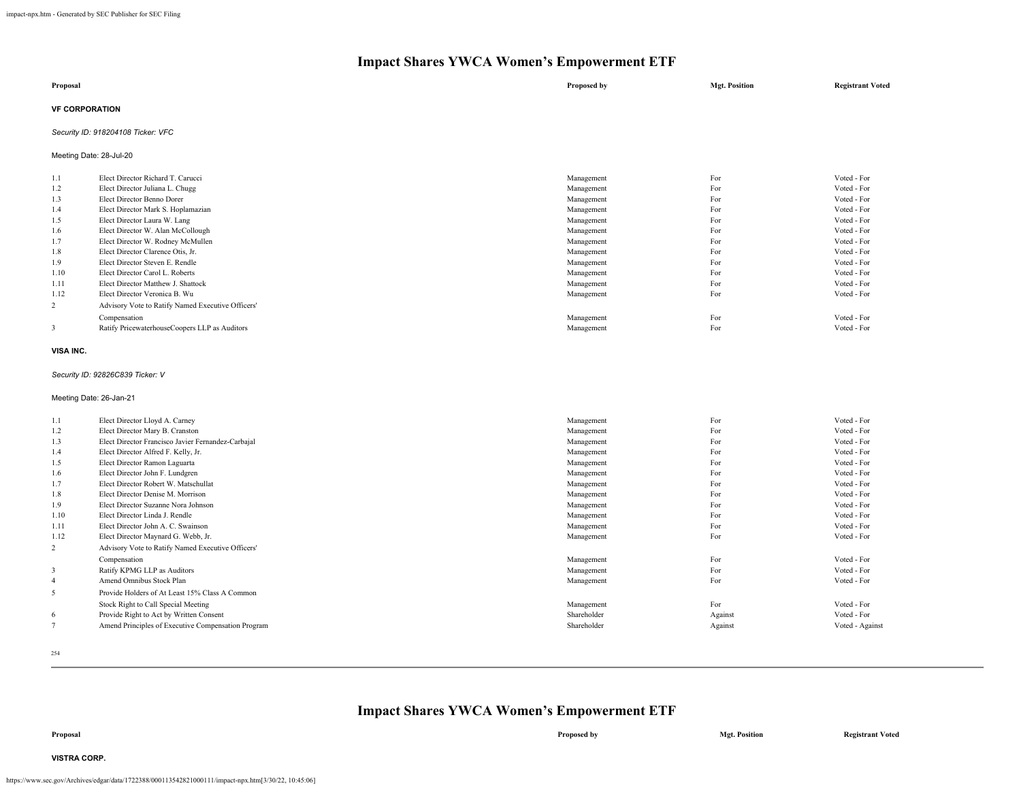| Proposal              | Proposed by | <b>Mgt. Position</b> | <b>Registrant Voted</b> |
|-----------------------|-------------|----------------------|-------------------------|
| <b>VF CORPORATION</b> |             |                      |                         |

## *Security ID: 918204108 Ticker: VFC*

Meeting Date: 28-Jul-20

| 1.1  | Elect Director Richard T. Carucci                 | Management | For | Voted - For |
|------|---------------------------------------------------|------------|-----|-------------|
| 1.2  | Elect Director Juliana L. Chugg                   | Management | For | Voted - For |
| 1.3  | Elect Director Benno Dorer                        | Management | For | Voted - For |
| 1.4  | Elect Director Mark S. Hoplamazian                | Management | For | Voted - For |
| 1.5  | Elect Director Laura W. Lang                      | Management | For | Voted - For |
| 1.6  | Elect Director W. Alan McCollough                 | Management | For | Voted - For |
| 1.7  | Elect Director W. Rodney McMullen                 | Management | For | Voted - For |
| 1.8  | Elect Director Clarence Otis, Jr.                 | Management | For | Voted - For |
| 1.9  | Elect Director Steven E. Rendle                   | Management | For | Voted - For |
| 1.10 | Elect Director Carol L. Roberts                   | Management | For | Voted - For |
| 1.11 | Elect Director Matthew J. Shattock                | Management | For | Voted - For |
| 1.12 | Elect Director Veronica B. Wu                     | Management | For | Voted - For |
| 2    | Advisory Vote to Ratify Named Executive Officers' |            |     |             |
|      | Compensation                                      | Management | For | Voted - For |
| 3    | Ratify PricewaterhouseCoopers LLP as Auditors     | Management | For | Voted - For |
|      |                                                   |            |     |             |

### **VISA INC.**

### *Security ID: 92826C839 Ticker: V*

Meeting Date: 26-Jan-21

| 1.1            | Elect Director Lloyd A. Carney                     | Management  | For     | Voted - For     |
|----------------|----------------------------------------------------|-------------|---------|-----------------|
| 1.2            | Elect Director Mary B. Cranston                    | Management  | For     | Voted - For     |
| 1.3            | Elect Director Francisco Javier Fernandez-Carbajal | Management  | For     | Voted - For     |
| 1.4            | Elect Director Alfred F. Kelly, Jr.                | Management  | For     | Voted - For     |
| 1.5            | Elect Director Ramon Laguarta                      | Management  | For     | Voted - For     |
| 1.6            | Elect Director John F. Lundgren                    | Management  | For     | Voted - For     |
| 1.7            | Elect Director Robert W. Matschullat               | Management  | For     | Voted - For     |
| 1.8            | Elect Director Denise M. Morrison                  | Management  | For     | Voted - For     |
| 1.9            | Elect Director Suzanne Nora Johnson                | Management  | For     | Voted - For     |
| 1.10           | Elect Director Linda J. Rendle                     | Management  | For     | Voted - For     |
| 1.11           | Elect Director John A. C. Swainson                 | Management  | For     | Voted - For     |
| 1.12           | Elect Director Maynard G. Webb, Jr.                | Management  | For     | Voted - For     |
| $\overline{2}$ | Advisory Vote to Ratify Named Executive Officers'  |             |         |                 |
|                | Compensation                                       | Management  | For     | Voted - For     |
| 3              | Ratify KPMG LLP as Auditors                        | Management  | For     | Voted - For     |
| $\overline{4}$ | Amend Omnibus Stock Plan                           | Management  | For     | Voted - For     |
| 5              | Provide Holders of At Least 15% Class A Common     |             |         |                 |
|                | Stock Right to Call Special Meeting                | Management  | For     | Voted - For     |
| 6              | Provide Right to Act by Written Consent            | Shareholder | Against | Voted - For     |
|                | Amend Principles of Executive Compensation Program | Shareholder | Against | Voted - Against |
|                |                                                    |             |         |                 |

254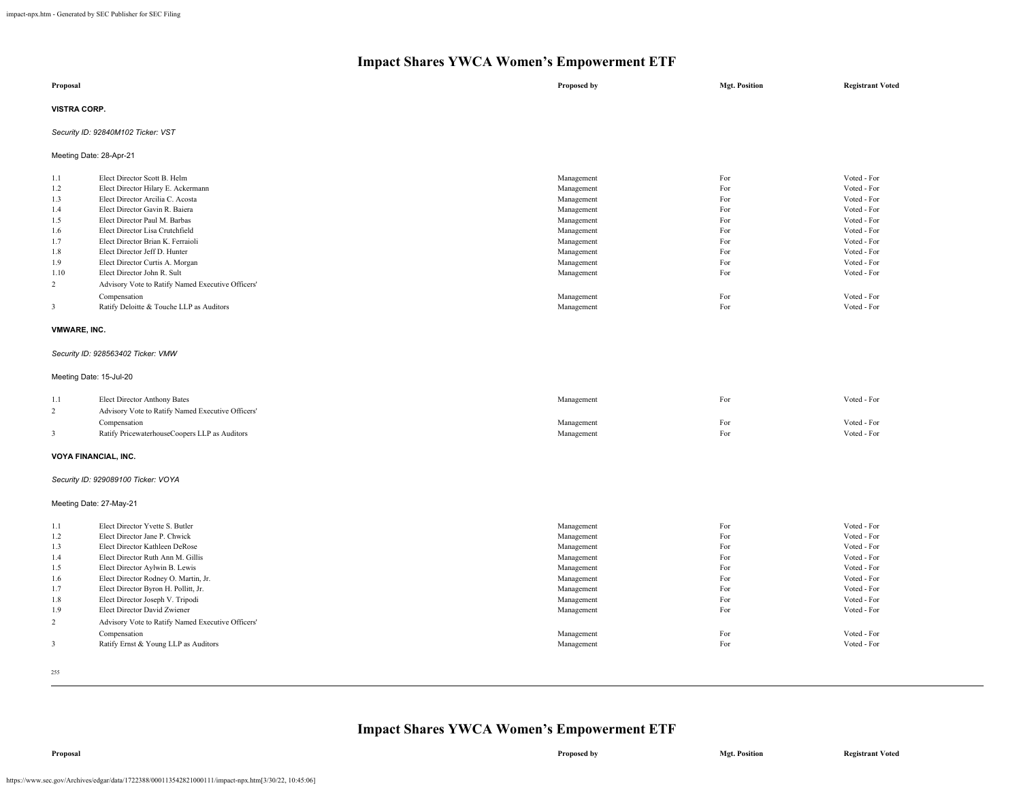|                                                                          | Impact shares Y WCA Women's Empowerment ETF                                                                                                                                                                                                                                                                                                                                                                               |                                                                                                                                                        |                                                                           |                                                                                                                                                                   |  |
|--------------------------------------------------------------------------|---------------------------------------------------------------------------------------------------------------------------------------------------------------------------------------------------------------------------------------------------------------------------------------------------------------------------------------------------------------------------------------------------------------------------|--------------------------------------------------------------------------------------------------------------------------------------------------------|---------------------------------------------------------------------------|-------------------------------------------------------------------------------------------------------------------------------------------------------------------|--|
| Proposal                                                                 |                                                                                                                                                                                                                                                                                                                                                                                                                           | Proposed by                                                                                                                                            | <b>Mgt. Position</b>                                                      | <b>Registrant Voted</b>                                                                                                                                           |  |
| <b>VISTRA CORP.</b>                                                      |                                                                                                                                                                                                                                                                                                                                                                                                                           |                                                                                                                                                        |                                                                           |                                                                                                                                                                   |  |
|                                                                          | Security ID: 92840M102 Ticker: VST                                                                                                                                                                                                                                                                                                                                                                                        |                                                                                                                                                        |                                                                           |                                                                                                                                                                   |  |
|                                                                          | Meeting Date: 28-Apr-21                                                                                                                                                                                                                                                                                                                                                                                                   |                                                                                                                                                        |                                                                           |                                                                                                                                                                   |  |
| 1.1<br>1.2<br>1.3<br>1.4<br>1.5<br>1.6<br>1.7<br>1.8<br>1.9<br>1.10<br>2 | Elect Director Scott B. Helm<br>Elect Director Hilary E. Ackermann<br>Elect Director Arcilia C. Acosta<br>Elect Director Gavin R. Baiera<br>Elect Director Paul M. Barbas<br>Elect Director Lisa Crutchfield<br>Elect Director Brian K. Ferraioli<br>Elect Director Jeff D. Hunter<br>Elect Director Curtis A. Morgan<br>Elect Director John R. Sult<br>Advisory Vote to Ratify Named Executive Officers'<br>Compensation | Management<br>Management<br>Management<br>Management<br>Management<br>Management<br>Management<br>Management<br>Management<br>Management<br>Management | For<br>For<br>For<br>For<br>For<br>For<br>For<br>For<br>For<br>For<br>For | Voted - For<br>Voted - For<br>Voted - For<br>Voted - For<br>Voted - For<br>Voted - For<br>Voted - For<br>Voted - For<br>Voted - For<br>Voted - For<br>Voted - For |  |
| 3                                                                        | Ratify Deloitte & Touche LLP as Auditors                                                                                                                                                                                                                                                                                                                                                                                  | Management                                                                                                                                             | For                                                                       | Voted - For                                                                                                                                                       |  |
|                                                                          | <b>VMWARE, INC.</b>                                                                                                                                                                                                                                                                                                                                                                                                       |                                                                                                                                                        |                                                                           |                                                                                                                                                                   |  |
|                                                                          | Security ID: 928563402 Ticker: VMW                                                                                                                                                                                                                                                                                                                                                                                        |                                                                                                                                                        |                                                                           |                                                                                                                                                                   |  |
|                                                                          | Meeting Date: 15-Jul-20                                                                                                                                                                                                                                                                                                                                                                                                   |                                                                                                                                                        |                                                                           |                                                                                                                                                                   |  |

| 1.1 | Elect Director Anthony Bates                      | Management | r or | Voted - For |
|-----|---------------------------------------------------|------------|------|-------------|
|     | Advisory Vote to Ratify Named Executive Officers' |            |      |             |
|     | Compensation                                      | Management | For  | Voted - For |
|     | Ratify PricewaterhouseCoopers LLP as Auditors     | Management | For  | Voted - For |
|     |                                                   |            |      |             |

### **VOYA FINANCIAL, INC.**

## *Security ID: 929089100 Ticker: VOYA*

Meeting Date: 27-May-21

| 1.1 | Elect Director Yvette S. Butler                   | Management | For | Voted - For |
|-----|---------------------------------------------------|------------|-----|-------------|
| 1.2 | Elect Director Jane P. Chwick                     | Management | For | Voted - For |
| 1.3 | Elect Director Kathleen DeRose                    | Management | For | Voted - For |
| 1.4 | Elect Director Ruth Ann M. Gillis                 | Management | For | Voted - For |
| 1.5 | Elect Director Aylwin B. Lewis                    | Management | For | Voted - For |
| 1.6 | Elect Director Rodney O. Martin, Jr.              | Management | For | Voted - For |
| 1.7 | Elect Director Byron H. Pollitt, Jr.              | Management | For | Voted - For |
| 1.8 | Elect Director Joseph V. Tripodi                  | Management | For | Voted - For |
| 1.9 | Elect Director David Zwiener                      | Management | For | Voted - For |
| 2   | Advisory Vote to Ratify Named Executive Officers' |            |     |             |
|     | Compensation                                      | Management | For | Voted - For |
|     | Ratify Ernst & Young LLP as Auditors              | Management | For | Voted - For |
|     |                                                   |            |     |             |
|     |                                                   |            |     |             |

255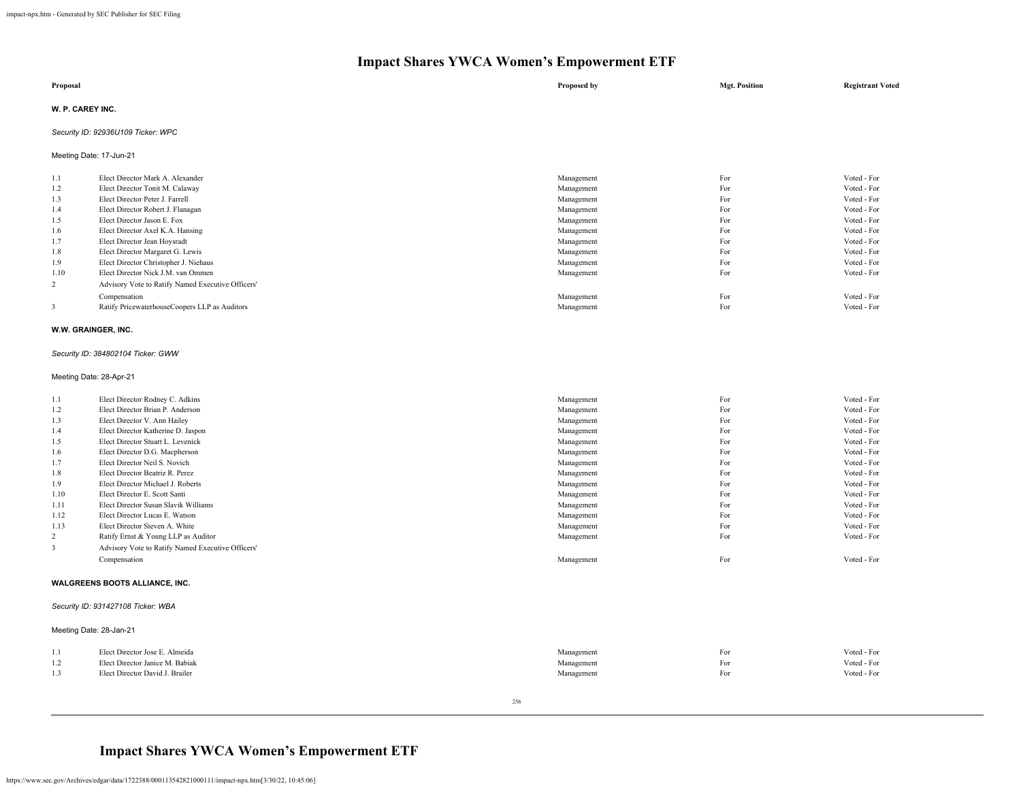| Proposal                           | Proposed by | <b>Mgt. Position</b> | <b>Registrant Voted</b> |
|------------------------------------|-------------|----------------------|-------------------------|
| <b>W. P. CAREY INC.</b>            |             |                      |                         |
| Security ID: 92936U109 Ticker: WPC |             |                      |                         |

Meeting Date: 17-Jun-21

| 1.1            | Elect Director Mark A. Alexander                  | Management | For | Voted - For |
|----------------|---------------------------------------------------|------------|-----|-------------|
| 1.2            | Elect Director Tonit M. Calaway                   | Management | For | Voted - For |
| 1.3            | Elect Director Peter J. Farrell                   | Management | For | Voted - For |
| 1.4            | Elect Director Robert J. Flanagan                 | Management | For | Voted - For |
| 1.5            | Elect Director Jason E. Fox                       | Management | For | Voted - For |
| 1.6            | Elect Director Axel K.A. Hansing                  | Management | For | Voted - For |
| 1.7            | Elect Director Jean Hoysradt                      | Management | For | Voted - For |
| 1.8            | Elect Director Margaret G. Lewis                  | Management | For | Voted - For |
| 1.9            | Elect Director Christopher J. Niehaus             | Management | For | Voted - For |
| 1.10           | Elect Director Nick J.M. van Ommen                | Management | For | Voted - For |
| $\overline{2}$ | Advisory Vote to Ratify Named Executive Officers' |            |     |             |
|                | Compensation                                      | Management | For | Voted - For |
|                | Ratify PricewaterhouseCoopers LLP as Auditors     | Management | For | Voted - For |
|                |                                                   |            |     |             |

## **W.W. GRAINGER, INC.**

### *Security ID: 384802104 Ticker: GWW*

## Meeting Date: 28-Apr-21

| 1.1  | Elect Director Rodney C. Adkins                   | Management | For | Voted - For |
|------|---------------------------------------------------|------------|-----|-------------|
| 1.2  | Elect Director Brian P. Anderson                  | Management | For | Voted - For |
| 1.3  | Elect Director V. Ann Hailey                      | Management | For | Voted - For |
| 1.4  | Elect Director Katherine D. Jaspon                | Management | For | Voted - For |
| 1.5  | Elect Director Stuart L. Levenick                 | Management | For | Voted - For |
| 1.6  | Elect Director D.G. Macpherson                    | Management | For | Voted - For |
| 1.7  | Elect Director Neil S. Novich                     | Management | For | Voted - For |
| 1.8  | Elect Director Beatriz R. Perez                   | Management | For | Voted - For |
| 1.9  | Elect Director Michael J. Roberts                 | Management | For | Voted - For |
| 1.10 | Elect Director E. Scott Santi                     | Management | For | Voted - For |
| 1.11 | Elect Director Susan Slavik Williams              | Management | For | Voted - For |
| 1.12 | Elect Director Lucas E. Watson                    | Management | For | Voted - For |
| 1.13 | Elect Director Steven A. White                    | Management | For | Voted - For |
| 2    | Ratify Ernst & Young LLP as Auditor               | Management | For | Voted - For |
| 3    | Advisory Vote to Ratify Named Executive Officers' |            |     |             |
|      | Compensation                                      | Management | For | Voted - For |
|      |                                                   |            |     |             |

### **WALGREENS BOOTS ALLIANCE, INC.**

## *Security ID: 931427108 Ticker: WBA*

|                                 | Management                                                                                   | For | Voted - For |
|---------------------------------|----------------------------------------------------------------------------------------------|-----|-------------|
|                                 | Management                                                                                   | For | Voted - For |
| Elect Director David J. Brailer | Management                                                                                   | For | Voted - For |
|                                 | Meeting Date: 28-Jan-21<br>Elect Director Jose E. Almeida<br>Elect Director Janice M. Babiak |     |             |

256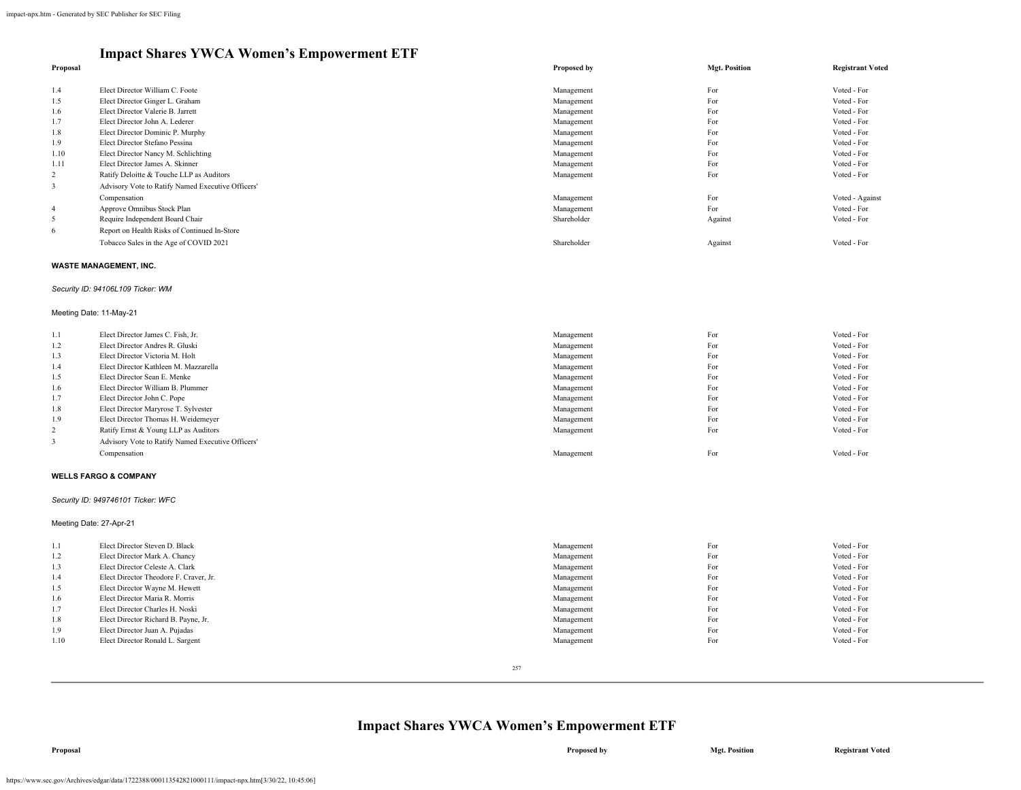### **Proposal Proposed by Mgt. Position Registrant Voted** 1.4 Elect Director William C. Foote Voted - For Voted - For Voted - For Voted - For Voted - For Voted - For Voted - For 1.5 Elect Director Ginger L. Graham Voted - For Voted - For Voted - For Voted - For Voted - For Voted - For 1.6 Elect Director Valerie B. Jarrett Voted - For Voted - For Voted - For Voted - For Voted - For Voted - For 1.7 Elect Director John A. Lederer Voted - For Voted - For Voted - For Voted - For Voted - For Voted - For Voted - For 1.8 Elect Director Dominic P. Murphy Water and The Control of the Management Management For The Control of Total - For Voted - For Voted - For Voted - For Voted - For Voted - For Voted - For Voted - For Voted - For Voted -1.9 Elect Director Stefano Pessina Noted - For Voted - For Voted - For Voted - For Voted - For Voted - For Voted - For Voted - For Voted - For Voted - For Voted - For Voted - For Voted - For Voted - For Voted - For Voted -1.10 Elect Director Nancy M. Schlichting Voted - For Voted - For Voted - For Voted - For Voted - For Voted - For Voted - For Voted - For Voted - For Voted - For Voted - For Voted - For Voted - For Voted - For Voted - For V 1.11 Elect Director James A. Skinner Management For Voted - For Voted - For Voted - For Voted - For Voted - For Voted - For Voted - For Voted - For Voted - For Voted - For Voted - For Voted - For Voted - For Voted - For Vo 2 Ratify Deloitte & Touche LLP as Auditors 3 Advisory Vote to Ratify Named Executive Officers' Compensation **For** Voted - Against Voted - Against **Management For For** Voted - Against Voted - Against Voted - Against Voted - Against Voted - Against Voted - Against Voted - Against Voted - Against Voted - Against Vo 4 Approve Omnibus Stock Plan Voted - For Voted - For Voted - For Voted - For Voted - For Voted - For 5 Require Independent Board Chair Shareholder Against Voted - For 6 Report on Health Risks of Continued In-Store Tobacco Sales in the Age of COVID 2021 Voted - For Noted - For Noted - For Noted - For Noted - For Noted - For

### **WASTE MANAGEMENT, INC.**

#### *Security ID: 94106L109 Ticker: WM*

#### Meeting Date: 11-May-21

| 1.1 | Elect Director James C. Fish, Jr.                 | Management | For | Voted - For |
|-----|---------------------------------------------------|------------|-----|-------------|
| 1.2 | Elect Director Andres R. Gluski                   | Management | For | Voted - For |
| 1.3 | Elect Director Victoria M. Holt                   | Management | For | Voted - For |
| 1.4 | Elect Director Kathleen M. Mazzarella             | Management | For | Voted - For |
| 1.5 | Elect Director Sean E. Menke                      | Management | For | Voted - For |
| 1.6 | Elect Director William B. Plummer                 | Management | For | Voted - For |
| 1.7 | Elect Director John C. Pope                       | Management | For | Voted - For |
| 1.8 | Elect Director Maryrose T. Sylvester              | Management | For | Voted - For |
| 1.9 | Elect Director Thomas H. Weidemeyer               | Management | For | Voted - For |
|     | Ratify Ernst & Young LLP as Auditors              | Management | For | Voted - For |
|     | Advisory Vote to Ratify Named Executive Officers' |            |     |             |
|     | Compensation                                      | Management | For | Voted - For |

#### **WELLS FARGO & COMPANY**

#### *Security ID: 949746101 Ticker: WFC*

Meeting Date: 27-Apr-21

| 1.1  | Elect Director Steven D. Black         | Management | For | Voted - For |
|------|----------------------------------------|------------|-----|-------------|
| 1.2  | Elect Director Mark A. Chancy          | Management | For | Voted - For |
| 1.3  | Elect Director Celeste A. Clark        | Management | For | Voted - For |
| 1.4  | Elect Director Theodore F. Craver, Jr. | Management | For | Voted - For |
| 1.5  | Elect Director Wayne M. Hewett         | Management | For | Voted - For |
| 1.6  | Elect Director Maria R. Morris         | Management | For | Voted - For |
| 1.7  | Elect Director Charles H. Noski        | Management | For | Voted - For |
| 1.8  | Elect Director Richard B. Payne, Jr.   | Management | For | Voted - For |
| 1.9  | Elect Director Juan A. Pujadas         | Management | For | Voted - For |
| 1.10 | Elect Director Ronald L. Sargent       | Management | For | Voted - For |
|      |                                        |            |     |             |

257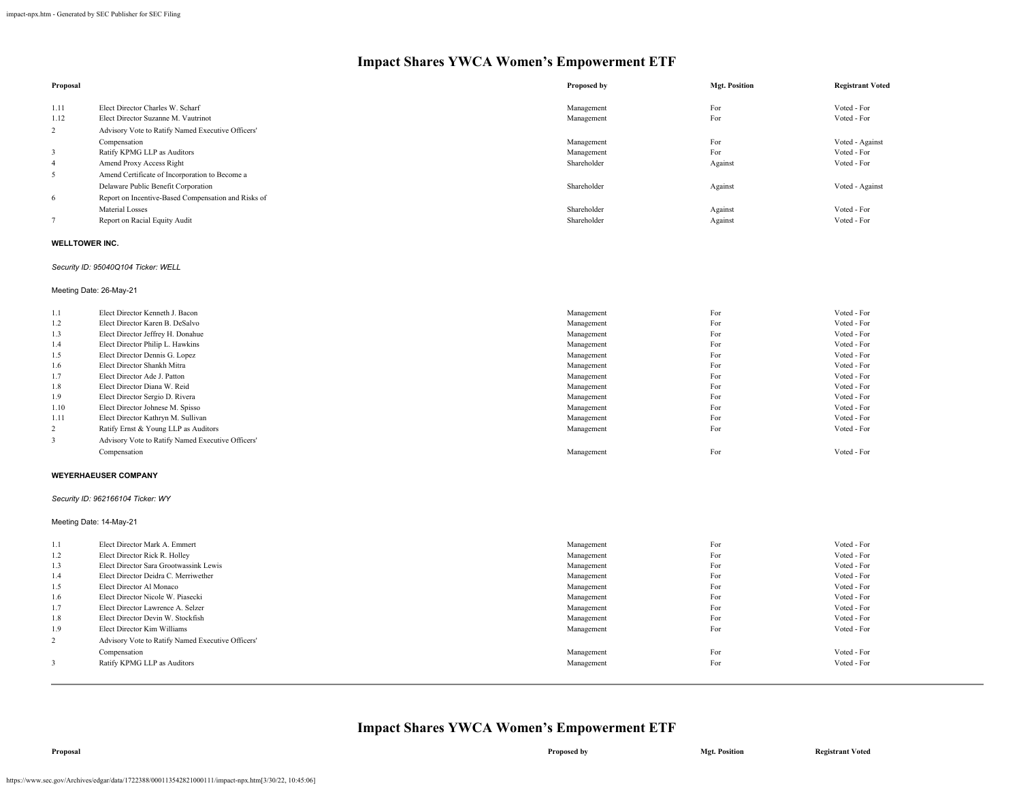| Proposal                |                                                     | Proposed by | <b>Mgt. Position</b> | <b>Registrant Voted</b> |
|-------------------------|-----------------------------------------------------|-------------|----------------------|-------------------------|
| 1.11                    | Elect Director Charles W. Scharf                    | Management  | For                  | Voted - For             |
| 1.12                    | Elect Director Suzanne M. Vautrinot                 | Management  | For                  | Voted - For             |
| 2                       | Advisory Vote to Ratify Named Executive Officers'   |             |                      |                         |
|                         | Compensation                                        | Management  | For                  | Voted - Against         |
| $\overline{\mathbf{3}}$ | Ratify KPMG LLP as Auditors                         | Management  | For                  | Voted - For             |
| 4                       | Amend Proxy Access Right                            | Shareholder | Against              | Voted - For             |
| 5                       | Amend Certificate of Incorporation to Become a      |             |                      |                         |
|                         | Delaware Public Benefit Corporation                 | Shareholder | Against              | Voted - Against         |
| 6                       | Report on Incentive-Based Compensation and Risks of |             |                      |                         |
|                         | Material Losses                                     | Shareholder | Against              | Voted - For             |
|                         | Report on Racial Equity Audit                       | Shareholder | Against              | Voted - For             |

### **WELLTOWER INC.**

## *Security ID: 95040Q104 Ticker: WELL*

Meeting Date: 26-May-21

| 1.1            | Elect Director Kenneth J. Bacon                   | Management | For | Voted - For |
|----------------|---------------------------------------------------|------------|-----|-------------|
| 1.2            | Elect Director Karen B. DeSalvo                   | Management | For | Voted - For |
| 1.3            | Elect Director Jeffrey H. Donahue                 | Management | For | Voted - For |
| 1.4            | Elect Director Philip L. Hawkins                  | Management | For | Voted - For |
| 1.5            | Elect Director Dennis G. Lopez                    | Management | For | Voted - For |
| 1.6            | Elect Director Shankh Mitra                       | Management | For | Voted - For |
| 1.7            | Elect Director Ade J. Patton                      | Management | For | Voted - For |
| 1.8            | Elect Director Diana W. Reid                      | Management | For | Voted - For |
| 1.9            | Elect Director Sergio D. Rivera                   | Management | For | Voted - For |
| 1.10           | Elect Director Johnese M. Spisso                  | Management | For | Voted - For |
| 1.11           | Elect Director Kathryn M. Sullivan                | Management | For | Voted - For |
| $\overline{2}$ | Ratify Ernst & Young LLP as Auditors              | Management | For | Voted - For |
|                | Advisory Vote to Ratify Named Executive Officers' |            |     |             |
|                | Compensation                                      | Management | For | Voted - For |
|                |                                                   |            |     |             |

### **WEYERHAEUSER COMPANY**

*Security ID: 962166104 Ticker: WY*

## Meeting Date: 14-May-21

| 1.1 | Elect Director Mark A. Emmert                     | Management | For | Voted - For |
|-----|---------------------------------------------------|------------|-----|-------------|
| 1.2 | Elect Director Rick R. Holley                     | Management | For | Voted - For |
| 1.3 | Elect Director Sara Grootwassink Lewis            | Management | For | Voted - For |
| 1.4 | Elect Director Deidra C. Merriwether              | Management | For | Voted - For |
| 1.5 | Elect Director Al Monaco                          | Management | For | Voted - For |
| 1.6 | Elect Director Nicole W. Piasecki                 | Management | For | Voted - For |
| 1.7 | Elect Director Lawrence A. Selzer                 | Management | For | Voted - For |
| 1.8 | Elect Director Devin W. Stockfish                 | Management | For | Voted - For |
| 1.9 | Elect Director Kim Williams                       | Management | For | Voted - For |
| 2   | Advisory Vote to Ratify Named Executive Officers' |            |     |             |
|     | Compensation                                      | Management | For | Voted - For |
|     | Ratify KPMG LLP as Auditors                       | Management | For | Voted - For |
|     |                                                   |            |     |             |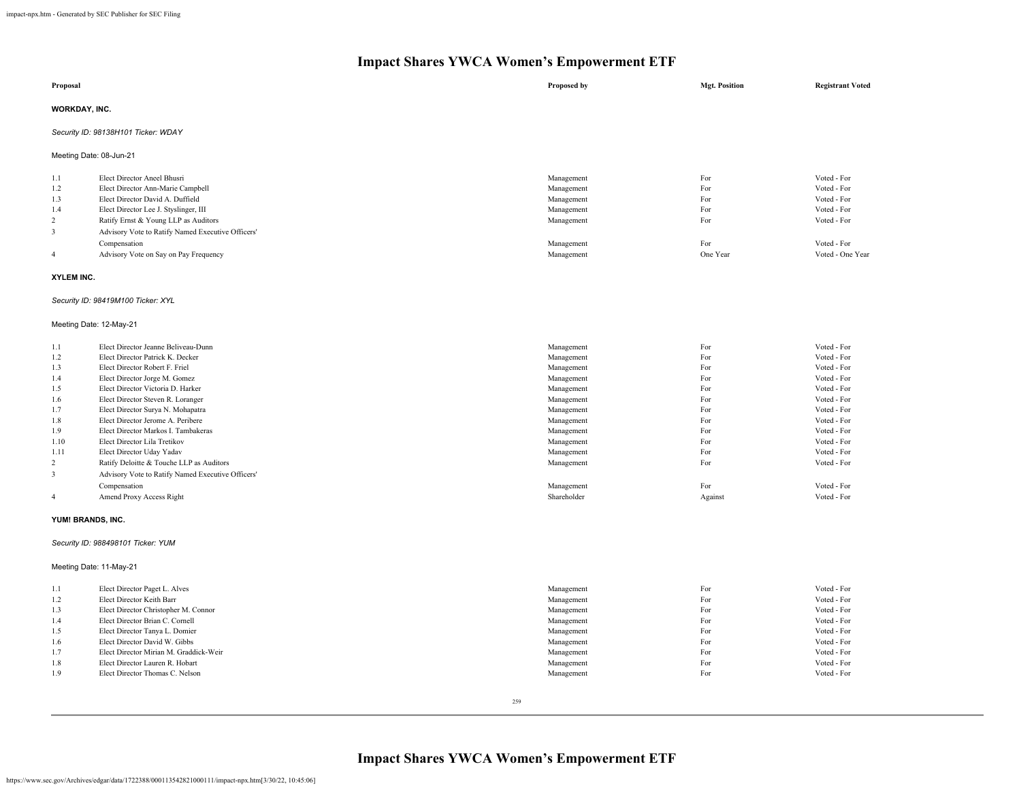| Proposal                |                                                   | Proposed by | <b>Mgt. Position</b> | <b>Registrant Voted</b> |
|-------------------------|---------------------------------------------------|-------------|----------------------|-------------------------|
| <b>WORKDAY, INC.</b>    |                                                   |             |                      |                         |
|                         | Security ID: 98138H101 Ticker: WDAY               |             |                      |                         |
| Meeting Date: 08-Jun-21 |                                                   |             |                      |                         |
| 1.1                     | Elect Director Aneel Bhusri                       | Management  | For                  | Voted - For             |
| 1.2                     | Elect Director Ann-Marie Campbell                 | Management  | For                  | Voted - For             |
| 1.3                     | Elect Director David A. Duffield                  | Management  | For                  | Voted - For             |
| 1.4                     | Elect Director Lee J. Styslinger, III             | Management  | For                  | Voted - For             |
| 2                       | Ratify Ernst & Young LLP as Auditors              | Management  | For                  | Voted - For             |
| 3                       | Advisory Vote to Ratify Named Executive Officers' |             |                      |                         |
|                         | Compensation                                      | Management  | For                  | Voted - For             |
| $\overline{4}$          | Advisory Vote on Say on Pay Frequency             | Management  | One Year             | Voted - One Year        |

### **XYLEM INC.**

### *Security ID: 98419M100 Ticker: XYL*

## Meeting Date: 12-May-21

| 1.1            | Elect Director Jeanne Beliveau-Dunn               | Management  | For     | Voted - For |
|----------------|---------------------------------------------------|-------------|---------|-------------|
| 1.2            | Elect Director Patrick K. Decker                  | Management  | For     | Voted - For |
| 1.3            | Elect Director Robert F. Friel                    | Management  | For     | Voted - For |
| 1.4            | Elect Director Jorge M. Gomez                     | Management  | For     | Voted - For |
| 1.5            | Elect Director Victoria D. Harker                 | Management  | For     | Voted - For |
| 1.6            | Elect Director Steven R. Loranger                 | Management  | For     | Voted - For |
| 1.7            | Elect Director Surva N. Mohapatra                 | Management  | For     | Voted - For |
| 1.8            | Elect Director Jerome A. Peribere                 | Management  | For     | Voted - For |
| 1.9            | Elect Director Markos I. Tambakeras               | Management  | For     | Voted - For |
| 1.10           | Elect Director Lila Tretikov                      | Management  | For     | Voted - For |
| 1.11           | Elect Director Uday Yadav                         | Management  | For     | Voted - For |
| 2              | Ratify Deloitte & Touche LLP as Auditors          | Management  | For     | Voted - For |
| 3              | Advisory Vote to Ratify Named Executive Officers' |             |         |             |
|                | Compensation                                      | Management  | For     | Voted - For |
| $\overline{4}$ | Amend Proxy Access Right                          | Shareholder | Against | Voted - For |

### **YUM! BRANDS, INC.**

## *Security ID: 988498101 Ticker: YUM*

Meeting Date: 11-May-21

| 1.1 | Elect Director Paget L. Alves          | Management | For | Voted - For |
|-----|----------------------------------------|------------|-----|-------------|
| 1.2 | Elect Director Keith Barr              | Management | For | Voted - For |
| 1.3 | Elect Director Christopher M. Connor   | Management | For | Voted - For |
| 1.4 | Elect Director Brian C. Cornell        | Management | For | Voted - For |
| 1.5 | Elect Director Tanya L. Domier         | Management | For | Voted - For |
| 1.6 | Elect Director David W. Gibbs          | Management | For | Voted - For |
| 1.7 | Elect Director Mirian M. Graddick-Weir | Management | For | Voted - For |
| 1.8 | Elect Director Lauren R. Hobart        | Management | For | Voted - For |
| 1.9 | Elect Director Thomas C. Nelson        | Management | For | Voted - For |
|     |                                        |            |     |             |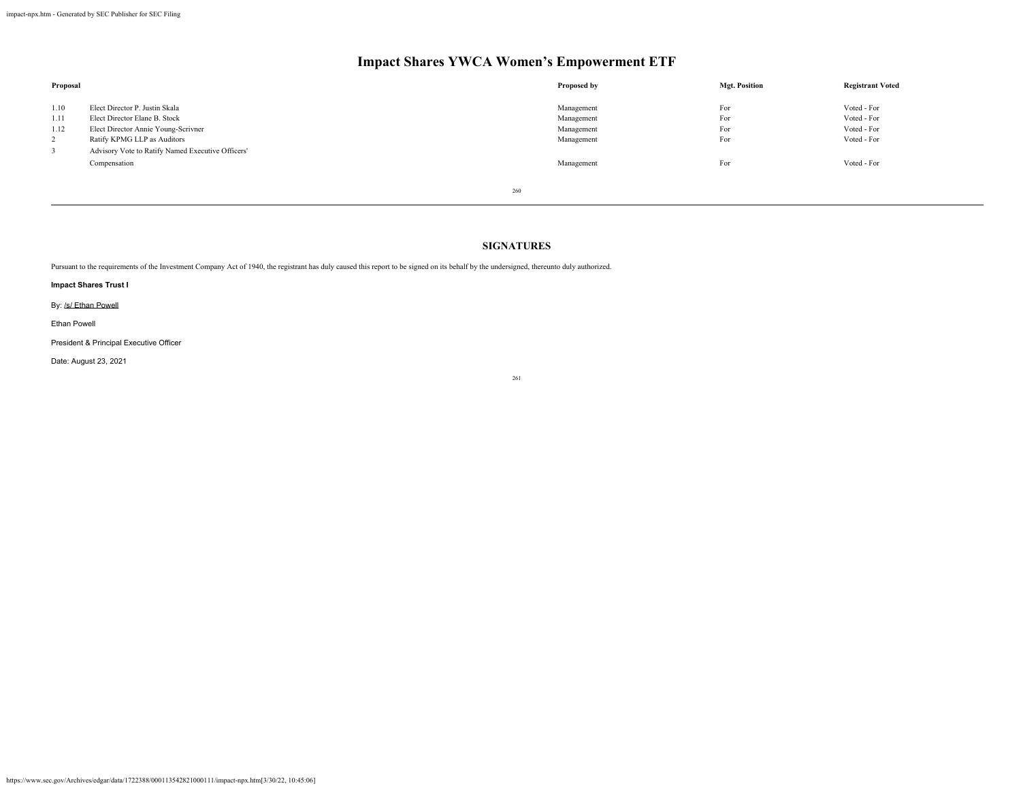| Proposal                              |                                                                                                                                       | Proposed by                                          | <b>Mgt. Position</b>     | <b>Registrant Voted</b>                                  |
|---------------------------------------|---------------------------------------------------------------------------------------------------------------------------------------|------------------------------------------------------|--------------------------|----------------------------------------------------------|
| 1.10<br>1.11<br>1.12<br>$\mathcal{L}$ | Elect Director P. Justin Skala<br>Elect Director Elane B. Stock<br>Elect Director Annie Young-Scrivner<br>Ratify KPMG LLP as Auditors | Management<br>Management<br>Management<br>Management | For<br>For<br>For<br>For | Voted - For<br>Voted - For<br>Voted - For<br>Voted - For |
| $\overline{3}$                        | Advisory Vote to Ratify Named Executive Officers'<br>Compensation                                                                     | Management                                           | For                      | Voted - For                                              |

260

## **SIGNATURES**

Pursuant to the requirements of the Investment Company Act of 1940, the registrant has duly caused this report to be signed on its behalf by the undersigned, thereunto duly authorized.

## **Impact Shares Trust I**

By: /s/ Ethan Powell

Ethan Powell

President & Principal Executive Officer

Date: August 23, 2021

261